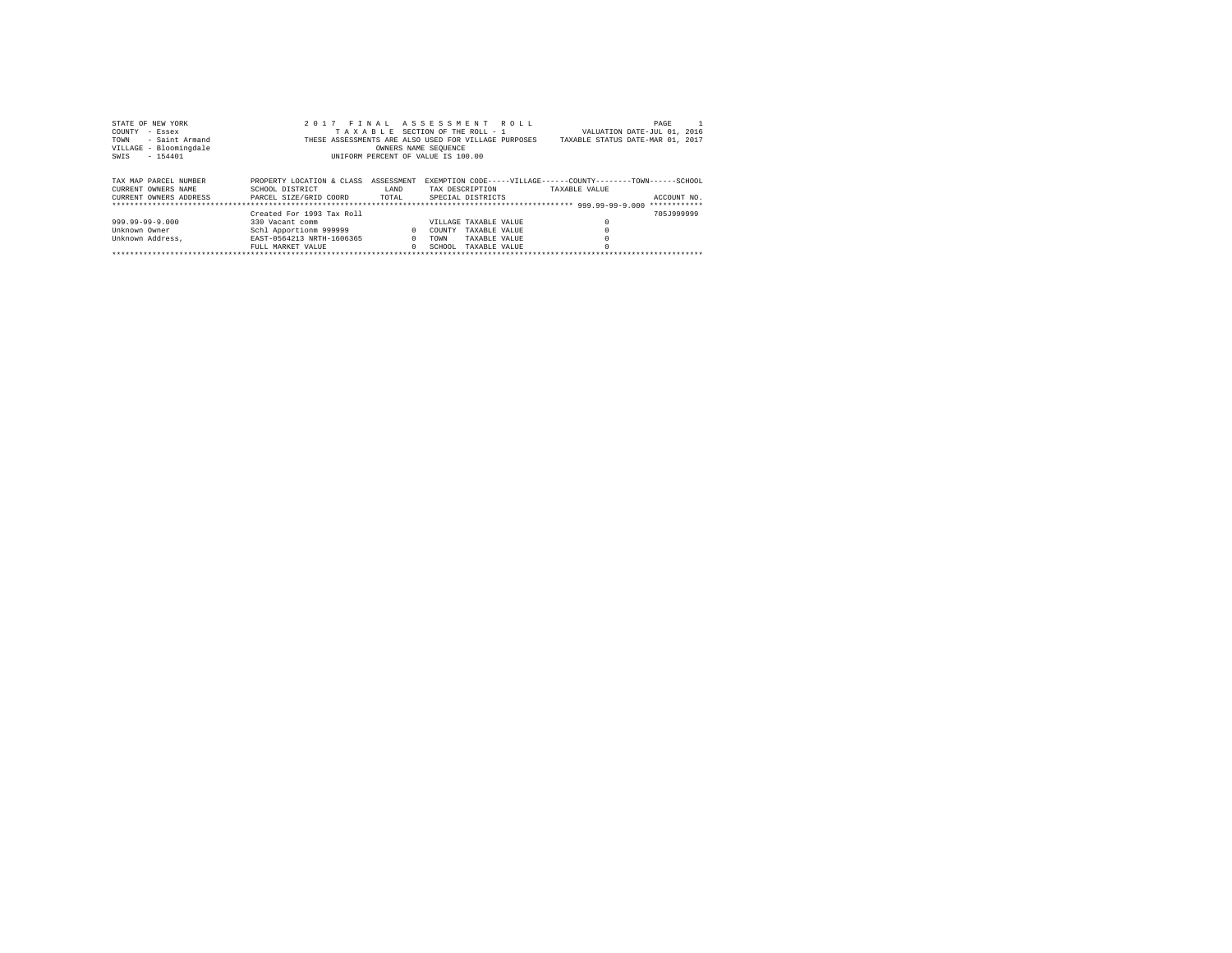| STATE OF NEW YORK      | 2017 FINAL ASSESSMENT ROLL                           |              |                       |               |                                                                | PAGE         |
|------------------------|------------------------------------------------------|--------------|-----------------------|---------------|----------------------------------------------------------------|--------------|
| COUNTY<br>$-$ Essex    | TAXABLE SECTION OF THE ROLL - 1                      |              |                       |               | VALUATION DATE-JUL 01, 2016                                    |              |
| - Saint Armand<br>TOWN | THESE ASSESSMENTS ARE ALSO USED FOR VILLAGE PURPOSES |              |                       |               | TAXABLE STATUS DATE-MAR 01, 2017                               |              |
| VILLAGE - Bloomingdale |                                                      |              | OWNERS NAME SEOUENCE  |               |                                                                |              |
| $-154401$<br>SWIS      | UNIFORM PERCENT OF VALUE IS 100.00                   |              |                       |               |                                                                |              |
|                        |                                                      |              |                       |               |                                                                |              |
|                        |                                                      |              |                       |               |                                                                |              |
| TAX MAP PARCEL NUMBER  | PROPERTY LOCATION & CLASS<br>ASSESSMENT              |              |                       |               | EXEMPTION CODE-----VILLAGE------COUNTY--------TOWN------SCHOOL |              |
| CURRENT OWNERS NAME    | SCHOOL DISTRICT<br>LAND                              |              | TAX DESCRIPTION       |               | TAXABLE VALUE                                                  |              |
| CURRENT OWNERS ADDRESS | PARCEL SIZE/GRID COORD<br>TOTAL                      |              | SPECIAL DISTRICTS     |               |                                                                | ACCOUNT NO.  |
|                        |                                                      |              |                       |               |                                                                | ************ |
|                        | Created For 1993 Tax Roll                            |              |                       |               |                                                                | 705.1999999  |
| 999.99-99-9.000        | 330 Vacant comm                                      |              | VILLAGE TAXABLE VALUE |               |                                                                |              |
| Unknown Owner          | Schl Apportionm 999999                               | $\mathbf{r}$ | COUNTY                | TAXABLE VALUE |                                                                |              |
| Unknown Address.       | EAST-0564213 NRTH-1606365                            | $\Omega$     | <b>TOWN</b>           | TAXABLE VALUE |                                                                |              |
|                        | FULL MARKET VALUE                                    | $\Omega$     | SCHOOL.               | TAXABLE VALUE |                                                                |              |
|                        |                                                      |              |                       |               |                                                                |              |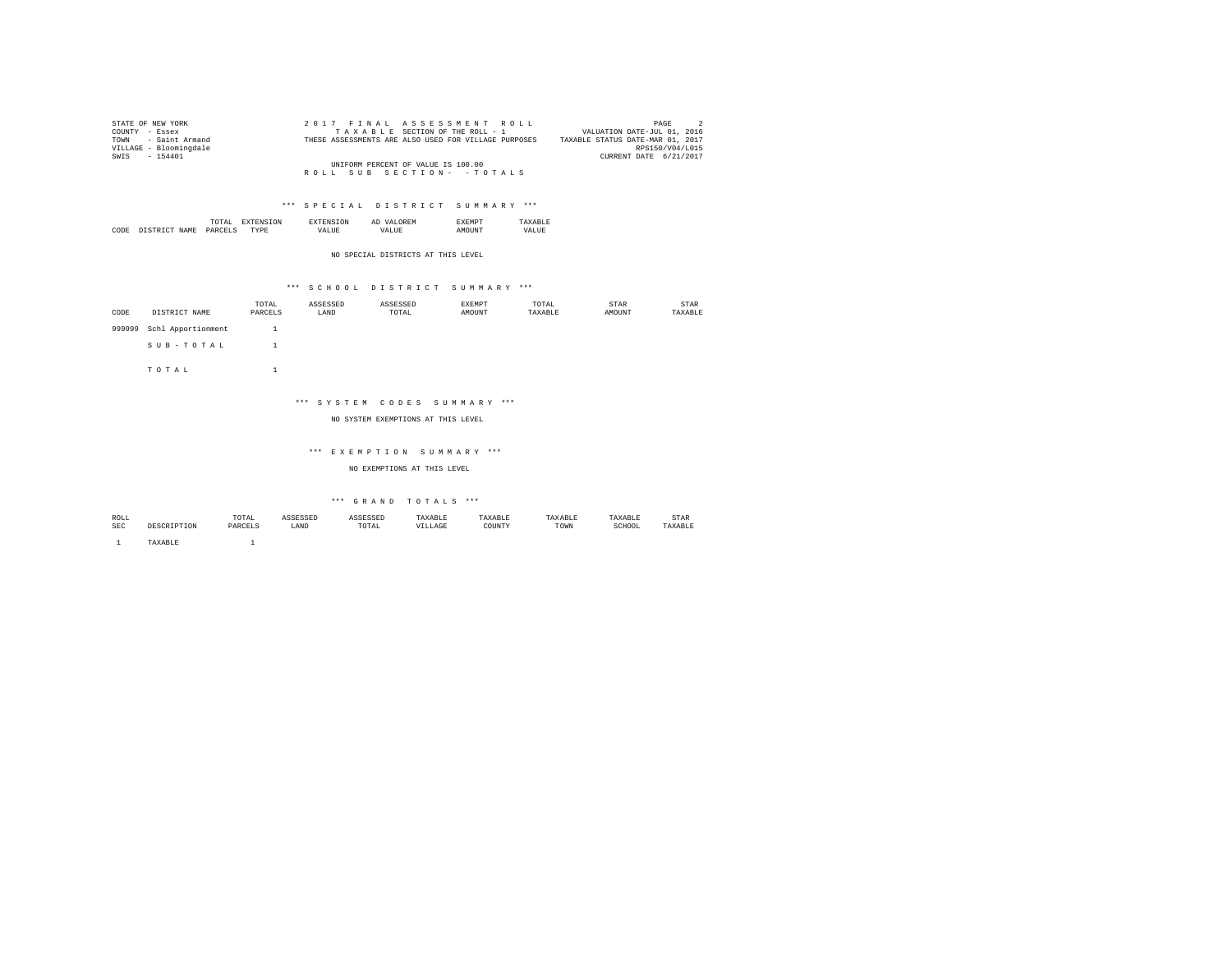| STATE OF NEW YORK      | 2017 FINAL ASSESSMENT ROLL                           | $\overline{2}$<br>PAGE           |
|------------------------|------------------------------------------------------|----------------------------------|
| COUNTY - Essex         | TAXABLE SECTION OF THE ROLL - 1                      | VALUATION DATE-JUL 01, 2016      |
| TOWN - Saint Armand    | THESE ASSESSMENTS ARE ALSO USED FOR VILLAGE PURPOSES | TAXABLE STATUS DATE-MAR 01, 2017 |
| VILLAGE - Bloomingdale |                                                      | RPS150/V04/L015                  |
| SWIS - 154401          |                                                      | CURRENT DATE 6/21/2017           |
|                        | UNIFORM PERCENT OF VALUE IS 100.00                   |                                  |
|                        | ROLL SUB SECTION- - TOTALS                           |                                  |

|           | the contract of the contract of the contract of | ΩN            | . IVI 64 |           |
|-----------|-------------------------------------------------|---------------|----------|-----------|
| CODI<br>. |                                                 | <br><br>_____ | m        | ▵<br>- 11 |

NO SPECIAL DISTRICTS AT THIS LEVEL

# \*\*\* S C H O O L D I S T R I C T S U M M A R Y \*\*\*

| CODE   | DISTRICT NAME      | TOTAL<br>PARCELS | ASSESSED<br>LAND | ASSESSED<br>TOTAL | <b>EXEMPT</b><br>AMOUNT | TOTAL<br>TAXABLE | STAR<br>AMOUNT | STAR<br>TAXABLE |
|--------|--------------------|------------------|------------------|-------------------|-------------------------|------------------|----------------|-----------------|
| 999999 | Schl Apportionment |                  |                  |                   |                         |                  |                |                 |
|        | SUB-TOTAL          |                  |                  |                   |                         |                  |                |                 |
|        | TOTAL              |                  |                  |                   |                         |                  |                |                 |

### \*\*\* S Y S T E M C O D E S S U M M A R Y \*\*\*

### NO SYSTEM EXEMPTIONS AT THIS LEVEL

#### \*\*\* E X E M P T I O N S U M M A R Y \*\*\*

NO EXEMPTIONS AT THIS LEVEL

# $\hspace{0.1cm}$  \*\*\*  $\hspace{0.1cm}$  G R A N D  $\hspace{0.1cm}$  T O T A L S  $\hspace{0.1cm}$  \*\*\*

| ROLL |             | TOTAL   | ACCROCED<br>3 L O O L L | <b>ASSESSED</b> | TAXABLE | TAXABLE | TAXABLE | TAXABLE | STAR    |
|------|-------------|---------|-------------------------|-----------------|---------|---------|---------|---------|---------|
| SEC  | DESCRIPTION | PARCELS | LAND                    | TOTAL           | VILLAGE | COUNTY  | TOWN    | SCHOOL  | TAXABLE |
|      | TAXABLE     |         |                         |                 |         |         |         |         |         |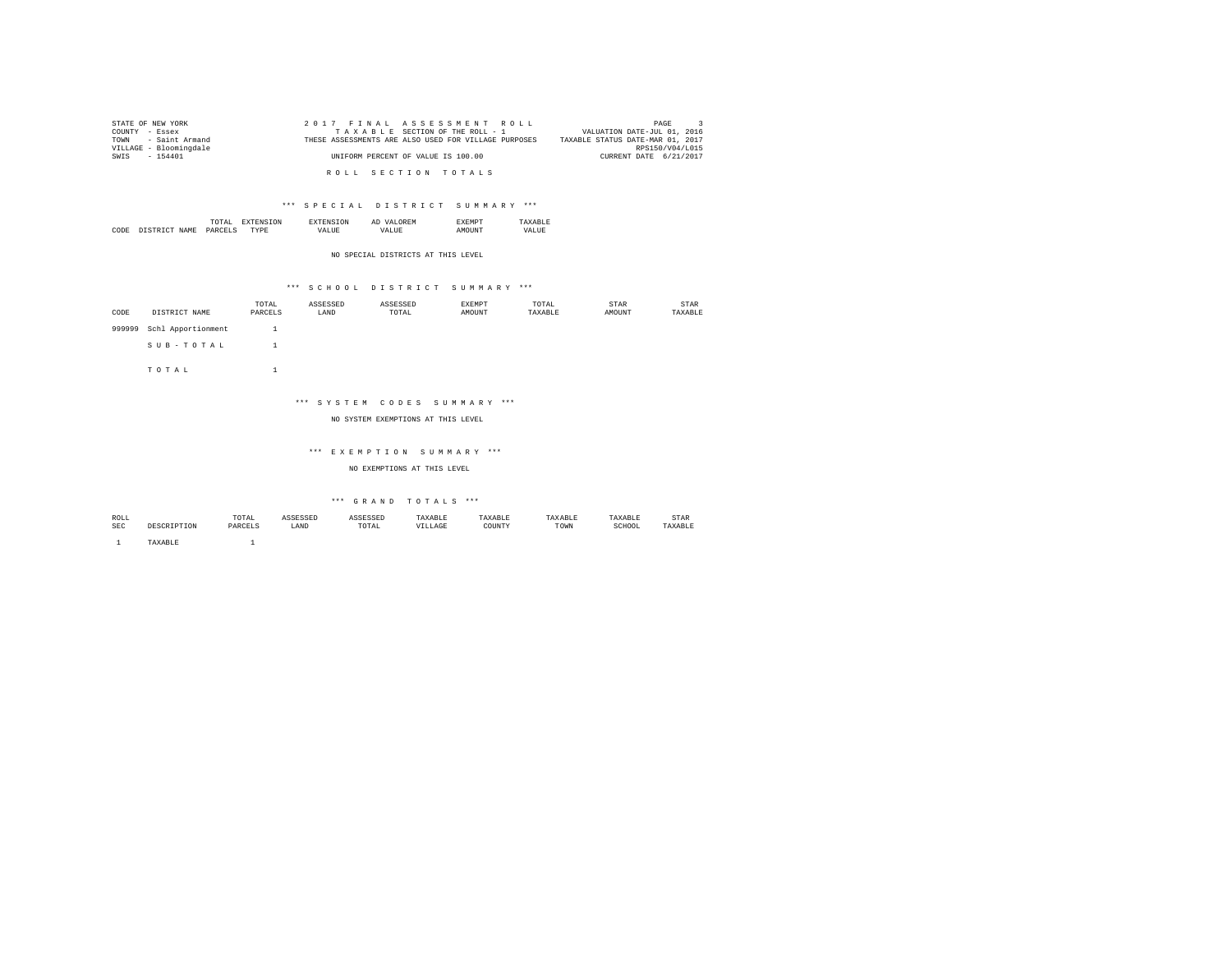| STATE OF NEW YORK      | 2017 FINAL ASSESSMENT ROLL                           | PAGE                             |
|------------------------|------------------------------------------------------|----------------------------------|
| COUNTY - Essex         | TAXABLE SECTION OF THE ROLL - 1                      | VALUATION DATE-JUL 01, 2016      |
| TOWN - Saint Armand    | THESE ASSESSMENTS ARE ALSO USED FOR VILLAGE PURPOSES | TAXABLE STATUS DATE-MAR 01, 2017 |
| VILLAGE - Bloomingdale |                                                      | RPS150/V04/L015                  |
| SWIS - 154401          | UNIFORM PERCENT OF VALUE IS 100.00                   | CURRENT DATE 6/21/2017           |
|                        |                                                      |                                  |
|                        | ROLL SECTION TOTALS                                  |                                  |

|      |        | the contract of the contract of the contract of | m   |        | Al       | ?ME |         |
|------|--------|-------------------------------------------------|-----|--------|----------|-----|---------|
| CODE | NT∆M∍. | `ת מ                                            | мp. | ''Aldr | ≀A I.II⊧ |     | "'AT.L. |

NO SPECIAL DISTRICTS AT THIS LEVEL

### \*\*\* S C H O O L D I S T R I C T S U M M A R Y \*\*\*

| CODE   | DISTRICT NAME      | TOTAL<br>PARCELS | ASSESSED<br>LAND | ASSESSED<br>TOTAL | EXEMPT<br>AMOUNT | TOTAL<br>TAXABLE | STAR<br>AMOUNT | STAR<br>TAXABLE |
|--------|--------------------|------------------|------------------|-------------------|------------------|------------------|----------------|-----------------|
|        |                    |                  |                  |                   |                  |                  |                |                 |
| 999999 | Schl Apportionment |                  |                  |                   |                  |                  |                |                 |
|        | SUB-TOTAL          |                  |                  |                   |                  |                  |                |                 |
|        | TOTAL              |                  |                  |                   |                  |                  |                |                 |

### \*\*\* S Y S T E M C O D E S S U M M A R Y \*\*\*

### NO SYSTEM EXEMPTIONS AT THIS LEVEL

#### \*\*\* E X E M P T I O N S U M M A R Y \*\*\*

NO EXEMPTIONS AT THIS LEVEL

# $\hspace{0.1cm}$  \*\*\*  $\hspace{0.1cm}$  G R A N D  $\hspace{0.1cm}$  T O T A L S  $\hspace{0.1cm}$  \*\*\*

| ROLL       |        | TOTAL    | ecrectn<br>ستديات | <b>SSESSED</b><br>the control of the control of the      | TAXABLE | TAXABLE     | 'AXABLE | TAXABLE     | STAR           |
|------------|--------|----------|-------------------|----------------------------------------------------------|---------|-------------|---------|-------------|----------------|
| <b>SEC</b> |        | DARCET " | LAND              | TOTAL<br>the contract of the contract of the contract of | ILLAGE  | COUNTY<br>. | TOWN    | SCHOOL<br>. | <b>TAVADID</b> |
|            |        |          |                   |                                                          |         |             |         |             |                |
|            | AXABLE |          |                   |                                                          |         |             |         |             |                |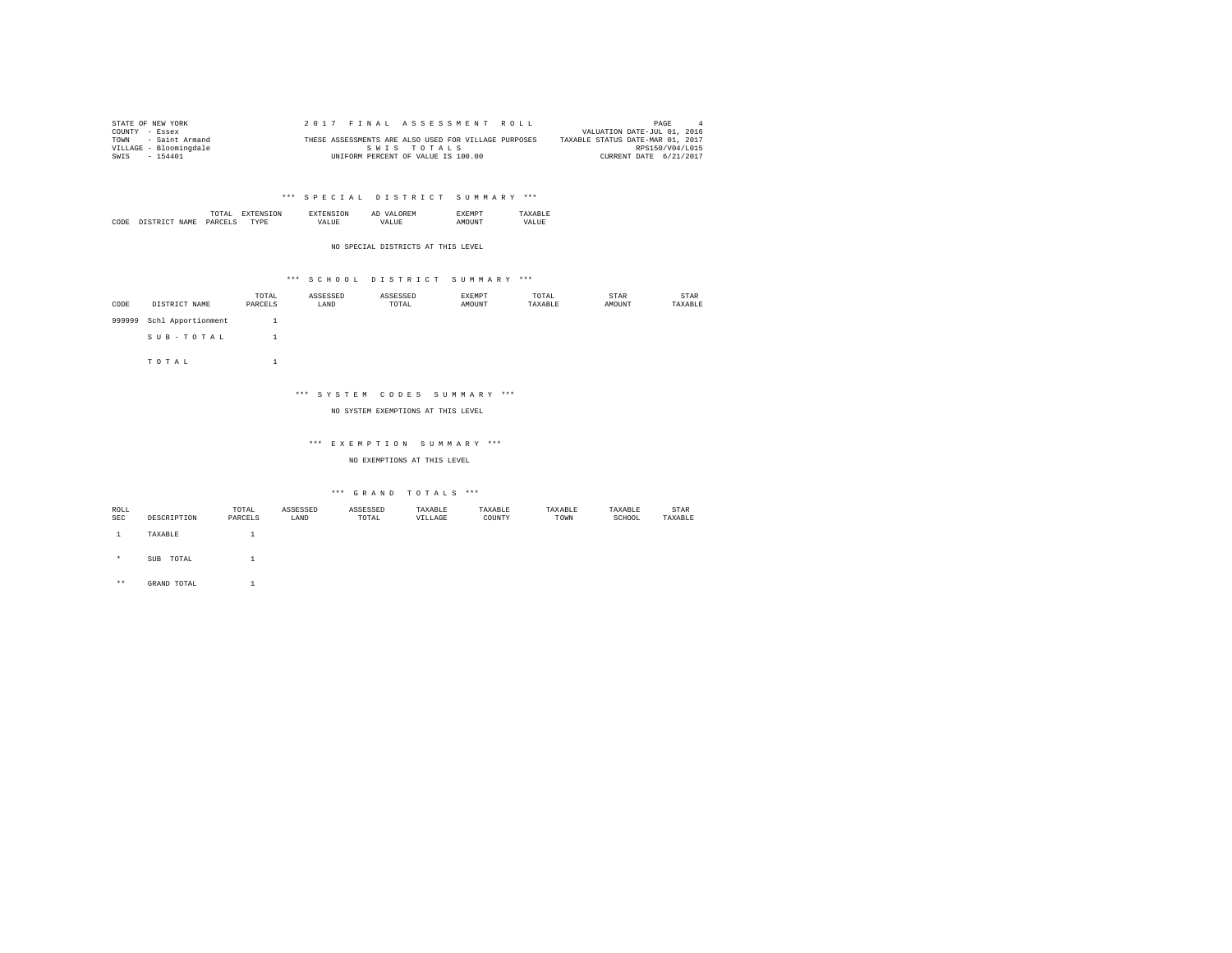| STATE OF NEW YORK      | 2017 FINAL ASSESSMENT ROLL                           | PAGE                             |
|------------------------|------------------------------------------------------|----------------------------------|
| COUNTY - Essex         |                                                      | VALUATION DATE-JUL 01, 2016      |
| - Saint Armand<br>TOWN | THESE ASSESSMENTS ARE ALSO USED FOR VILLAGE PURPOSES | TAXABLE STATUS DATE-MAR 01, 2017 |
| VILLAGE - Bloomingdale | SWIS TOTALS                                          | RPS150/V04/L015                  |
| SWIS<br>$-154401$      | UNIFORM PERCENT OF VALUE IS 100.00                   | CURRENT DATE 6/21/2017           |

|  | the contract of the contract of the contract of |  | A. |  |
|--|-------------------------------------------------|--|----|--|
|  |                                                 |  |    |  |
|  |                                                 |  |    |  |

NO SPECIAL DISTRICTS AT THIS LEVEL

### \*\*\* S C H O O L D I S T R I C T S U M M A R Y \*\*\*

| CODE | DISTRICT NAME             | TOTAL<br>PARCELS | ASSESSED<br>LAND | ASSESSED<br>TOTAL | EXEMPT<br><b>AMOUNT</b> | TOTAL<br>TAXABLE | STAR<br>AMOUNT | <b>STAR</b><br>TAXABLE |
|------|---------------------------|------------------|------------------|-------------------|-------------------------|------------------|----------------|------------------------|
|      | 999999 Schl Apportionment |                  |                  |                   |                         |                  |                |                        |
|      | SUB-TOTAL                 |                  |                  |                   |                         |                  |                |                        |

T O T A L 1

# \*\*\* S Y S T E M C O D E S S U M M A R Y \*\*\*

NO SYSTEM EXEMPTIONS AT THIS LEVEL

### \*\*\* E X E M P T I O N S U M M A R Y \*\*\*

NO EXEMPTIONS AT THIS LEVEL

### \*\*\* G R A N D T O T A L S \*\*\*

| ROLL       |              | TOTAL   | ASSESSED | ASSESSED | TAXABLE | TAXABLE | TAXABLE | TAXABLE | STAR    |
|------------|--------------|---------|----------|----------|---------|---------|---------|---------|---------|
| <b>SEC</b> | DESCRIPTION  | PARCELS | LAND     | TOTAL    | VILLAGE | COUNTY  | TOWN    | SCHOOL  | TAXABLE |
|            |              |         |          |          |         |         |         |         |         |
|            | TAXABLE      |         |          |          |         |         |         |         |         |
|            |              |         |          |          |         |         |         |         |         |
|            |              |         |          |          |         |         |         |         |         |
| $\star$    | TOTAL<br>SUB |         |          |          |         |         |         |         |         |

\*\* GRAND TOTAL 1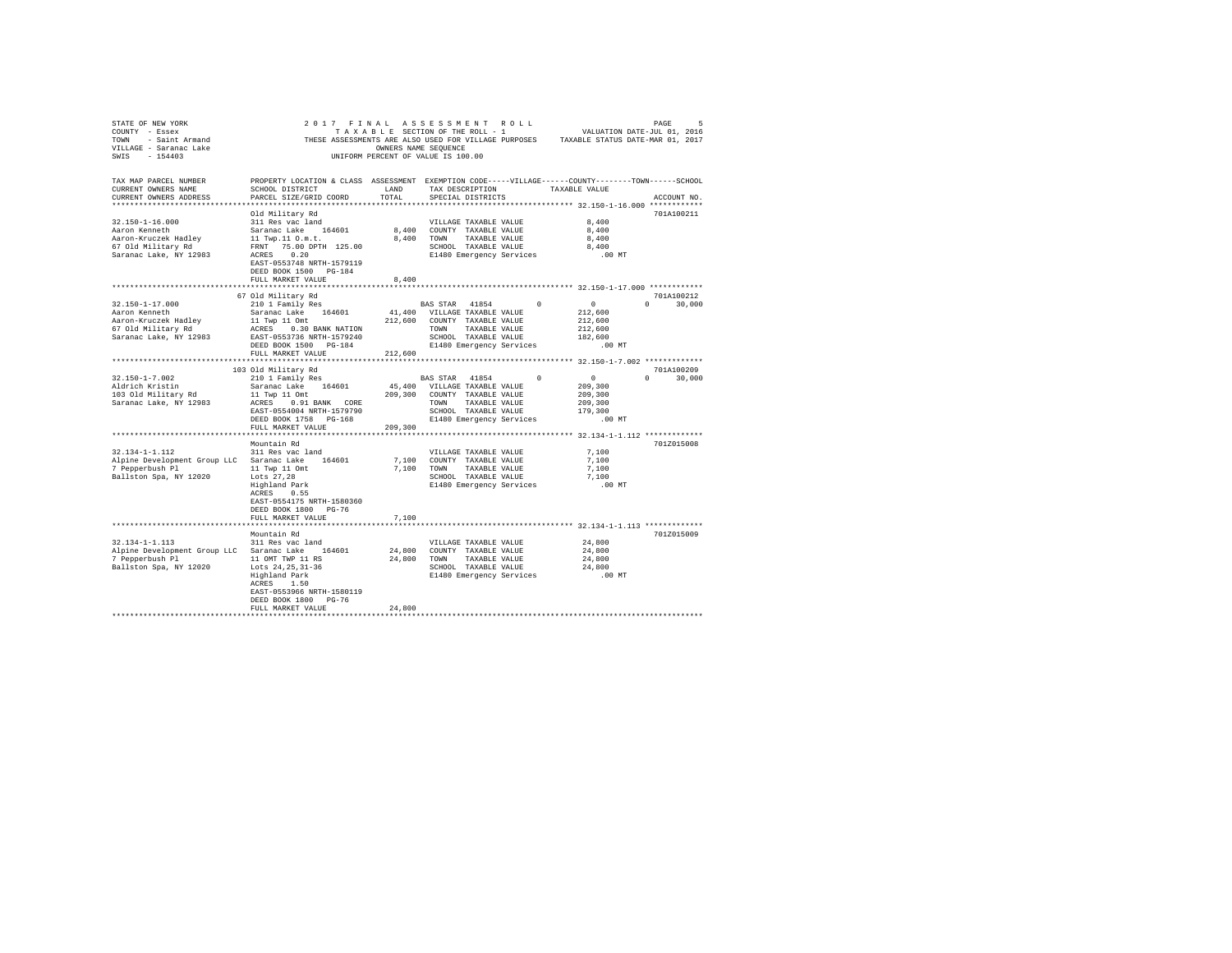| STATE OF NEW YORK                                |                                                                                                    |                      | 2017 FINAL ASSESSMENT ROLL         |          | PAGE 5<br>VALUATION DATE-JUL 01, 2016 |               |
|--------------------------------------------------|----------------------------------------------------------------------------------------------------|----------------------|------------------------------------|----------|---------------------------------------|---------------|
| COUNTY - Essex                                   |                                                                                                    |                      | TAXABLE SECTION OF THE ROLL - 1    |          |                                       |               |
| TOWN - Saint Armand<br>VILLAGE - Saranac Lake    | THESE ASSESSMENTS ARE ALSO USED FOR VILLAGE PURPOSES TAXABLE STATUS DATE-MAR 01, 2017              |                      |                                    |          |                                       |               |
|                                                  |                                                                                                    | OWNERS NAME SEQUENCE |                                    |          |                                       |               |
| SWIS - 154403                                    |                                                                                                    |                      | UNIFORM PERCENT OF VALUE IS 100.00 |          |                                       |               |
|                                                  |                                                                                                    |                      |                                    |          |                                       |               |
|                                                  |                                                                                                    |                      |                                    |          |                                       |               |
| TAX MAP PARCEL NUMBER                            | PROPERTY LOCATION & CLASS ASSESSMENT EXEMPTION CODE-----VILLAGE------COUNTY-------TOWN------SCHOOL |                      |                                    |          |                                       |               |
| CURRENT OWNERS NAME                              | SCHOOL DISTRICT                                                                                    | LAND                 | TAX DESCRIPTION                    |          | TAXABLE VALUE                         |               |
| CURRENT OWNERS ADDRESS                           | PARCEL SIZE/GRID COORD                                                                             | TOTAL                | SPECIAL DISTRICTS                  |          |                                       | ACCOUNT NO.   |
|                                                  |                                                                                                    |                      |                                    |          |                                       |               |
|                                                  | Old Military Rd                                                                                    |                      |                                    |          |                                       | 701A100211    |
| $32.150 - 1 - 16.000$                            | 311 Res vac land                                                                                   |                      | VILLAGE TAXABLE VALUE              |          | 8,400                                 |               |
| Aaron Kenneth                                    | Saranac Lake 164601                                                                                |                      | 8,400 COUNTY TAXABLE VALUE         |          | 8,400                                 |               |
| Aaron-Kruczek Hadley                             | 11 Twp.11 O.m.t.                                                                                   |                      | 8,400 TOWN TAXABLE VALUE           |          | 8,400                                 |               |
| 67 Old Military Rd                               | FRNT 75.00 DPTH 125.00                                                                             |                      | SCHOOL TAXABLE VALUE               |          | 8,400                                 |               |
| Saranac Lake, NY 12983                           | ACRES 0.20                                                                                         |                      | E1480 Emergency Services           |          | .00 MT                                |               |
|                                                  | EAST-0553748 NRTH-1579119                                                                          |                      |                                    |          |                                       |               |
|                                                  | DEED BOOK 1500 PG-184                                                                              |                      |                                    |          |                                       |               |
|                                                  | FULL MARKET VALUE                                                                                  | 8,400                |                                    |          |                                       |               |
|                                                  |                                                                                                    |                      |                                    |          |                                       |               |
|                                                  |                                                                                                    |                      |                                    |          |                                       | 701A100212    |
|                                                  | 67 Old Military Rd                                                                                 |                      | BAS STAR 41854                     | $\Omega$ | $\sim$ 0                              | $\Omega$      |
| 32.150-1-17.000                                  | 210 1 Family Res                                                                                   |                      |                                    |          |                                       | 30,000        |
| Aaron Kenneth                                    | Saranac Lake 164601                                                                                |                      | 41,400 VILLAGE TAXABLE VALUE       |          | 212,600                               |               |
| Aaron-Kruczek Hadley                             | 11 Twp 11 Omt                                                                                      |                      | 212,600 COUNTY TAXABLE VALUE       |          | 212,600                               |               |
| 67 Old Military Rd                               |                                                                                                    |                      | TOWN<br>TAXABLE VALUE              |          | 212,600                               |               |
| Saranac Lake, NY 12983                           | EAST-0553736 NRTH-1579240                                                                          |                      | SCHOOL TAXABLE VALUE               |          | 182,600                               |               |
|                                                  |                                                                                                    |                      | E1480 Emergency Services           |          | $.00$ MT                              |               |
|                                                  | FULL MARKET VALUE                                                                                  | 212,600              |                                    |          |                                       |               |
|                                                  |                                                                                                    |                      |                                    |          |                                       |               |
|                                                  | 103 Old Military Rd                                                                                |                      |                                    |          |                                       | 701A100209    |
| $32.150 - 1 - 7.002$                             | 210 1 Family Res                                                                                   |                      | BAS STAR 41854                     | $\Omega$ | $\sim$ 0                              | $0 \t 30,000$ |
| Aldrich Kristin                                  | Saranac Lake 164601                                                                                |                      | 45,400 VILLAGE TAXABLE VALUE       |          | 209,300                               |               |
| 103 Old Military Rd                              | 11 Twp 11 Omt                                                                                      |                      | 209,300 COUNTY TAXABLE VALUE       |          | 209,300                               |               |
| Saranac Lake, NY 12983                           | ACRES 0.91 BANK CORE                                                                               |                      | TOWN TAXABLE VALUE                 |          | 209,300                               |               |
|                                                  | EAST-0554004 NRTH-1579790                                                                          |                      | SCHOOL TAXABLE VALUE               |          | 179,300                               |               |
|                                                  | DEED BOOK 1758 PG-168                                                                              |                      | E1480 Emergency Services           |          | $.00$ MT                              |               |
|                                                  | FULL MARKET VALUE                                                                                  | 209,300              |                                    |          |                                       |               |
|                                                  |                                                                                                    |                      |                                    |          |                                       |               |
|                                                  | Mountain Rd                                                                                        |                      |                                    |          |                                       | 701Z015008    |
| 32.134-1-1.112                                   | 311 Res vac land                                                                                   |                      | VILLAGE TAXABLE VALUE              |          | 7,100                                 |               |
| Alpine Development Group LLC Saranac Lake 164601 |                                                                                                    |                      | 7,100 COUNTY TAXABLE VALUE         |          | 7,100                                 |               |
| 7 Pepperbush Pl                                  |                                                                                                    |                      | 7,100 TOWN TAXABLE VALUE           |          | 7.100                                 |               |
| Ballston Spa, NY 12020                           |                                                                                                    |                      | SCHOOL TAXABLE VALUE               |          | 7.100                                 |               |
|                                                  | 11 Twp 11 Omt<br>Lots 27,28<br>Highland Park                                                       |                      |                                    |          |                                       |               |
|                                                  |                                                                                                    |                      | E1480 Emergency Services           |          | $.00$ MT                              |               |
|                                                  | ACRES 0.55                                                                                         |                      |                                    |          |                                       |               |
|                                                  | EAST-0554175 NRTH-1580360                                                                          |                      |                                    |          |                                       |               |
|                                                  | DEED BOOK 1800 PG-76                                                                               |                      |                                    |          |                                       |               |
|                                                  | FULL MARKET VALUE                                                                                  | 7.100                |                                    |          |                                       |               |
|                                                  |                                                                                                    |                      |                                    |          |                                       |               |
|                                                  | Mountain Rd                                                                                        |                      |                                    |          |                                       | 701Z015009    |
| 32.134-1-1.113                                   | 311 Res vac land                                                                                   |                      | VILLAGE TAXABLE VALUE              |          | 24,800                                |               |
| Alpine Development Group LLC Saranac Lake 164601 |                                                                                                    |                      | 24,800 COUNTY TAXABLE VALUE        |          | 24,800                                |               |
| 7 Pepperbush Pl                                  | 11 OMT TWP 11 RS                                                                                   |                      | 24,800 TOWN TAXABLE VALUE          |          | 24,800                                |               |
| Ballston Spa, NY 12020                           | Lots 24, 25, 31-36                                                                                 |                      | SCHOOL TAXABLE VALUE               |          | 24,800                                |               |
|                                                  | Highland Park                                                                                      |                      | E1480 Emergency Services .00 MT    |          |                                       |               |
|                                                  | ACRES 1.50                                                                                         |                      |                                    |          |                                       |               |
|                                                  | EAST-0553966 NRTH-1580119                                                                          |                      |                                    |          |                                       |               |
|                                                  | DEED BOOK 1800 PG-76                                                                               |                      |                                    |          |                                       |               |
|                                                  | FULL MARKET VALUE                                                                                  | 24,800               |                                    |          |                                       |               |
|                                                  |                                                                                                    |                      |                                    |          |                                       |               |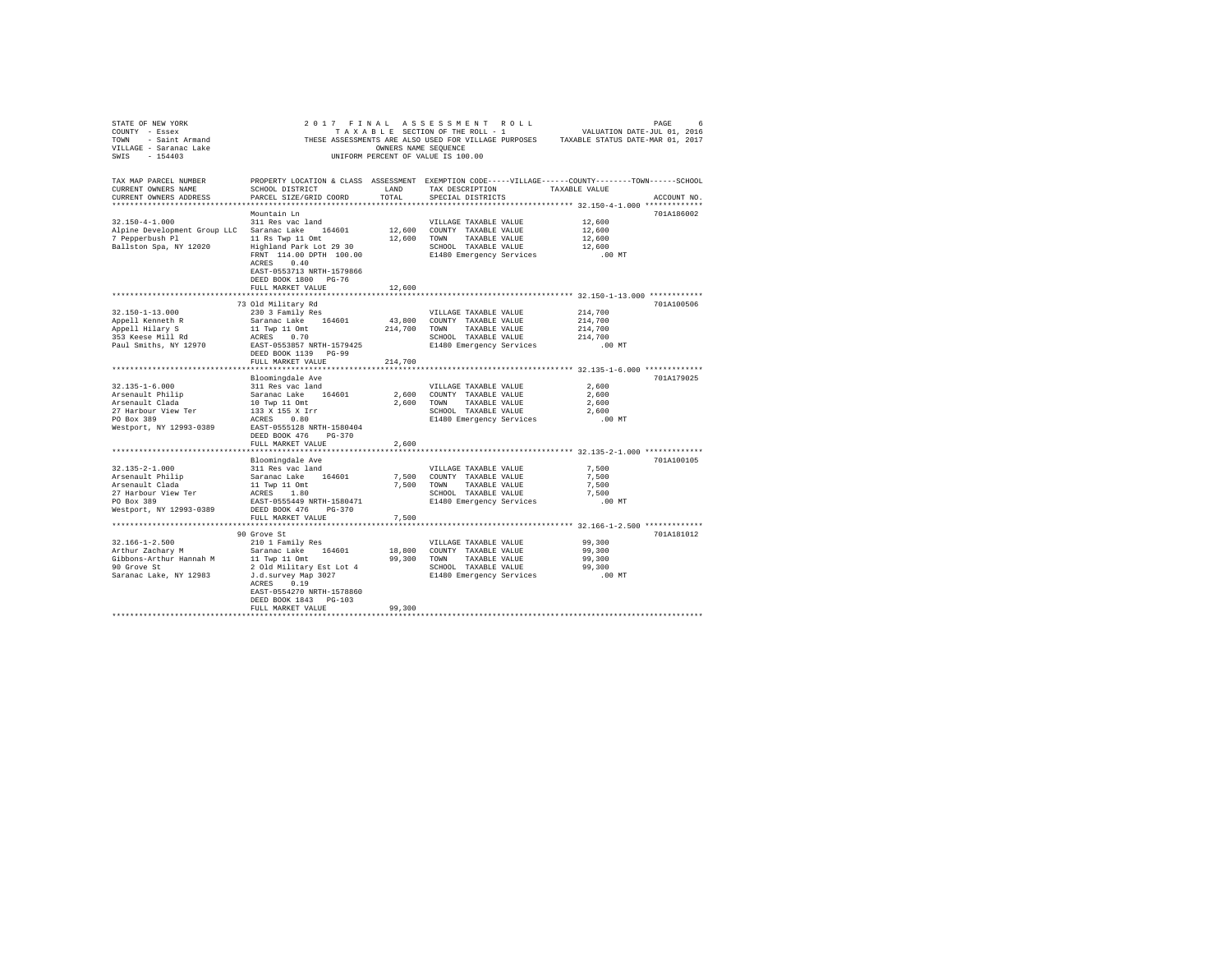| STATE OF NEW YORK                                                                                                                                   |                                                                                                                                                                                                                           | OWNERS NAME SEOUENCE     | UNIFORM PERCENT OF VALUE IS 100.00                                                                                                                                   | THESE ASSESSMENTS ARE ALSO USED FOR VILLAGE PURPOSES TAXABLE STATUS DATE-MAR 01, 2017                                              |
|-----------------------------------------------------------------------------------------------------------------------------------------------------|---------------------------------------------------------------------------------------------------------------------------------------------------------------------------------------------------------------------------|--------------------------|----------------------------------------------------------------------------------------------------------------------------------------------------------------------|------------------------------------------------------------------------------------------------------------------------------------|
| TAX MAP PARCEL NUMBER<br>CURRENT OWNERS NAME<br>CURRENT OWNERS ADDRESS                                                                              | SCHOOL DISTRICT<br>PARCEL SIZE/GRID COORD                                                                                                                                                                                 | LAND<br>TOTAL            | TAX DESCRIPTION<br>SPECIAL DISTRICTS                                                                                                                                 | PROPERTY LOCATION & CLASS ASSESSMENT EXEMPTION CODE-----VILLAGE------COUNTY-------TOWN------SCHOOL<br>TAXABLE VALUE<br>ACCOUNT NO. |
| $32.150 - 4 - 1.000$<br>Alpine Development Group LLC Saranac Lake 164601<br>7 Pepperbush Pl<br>Ballston Spa, NY 12020                               | Mountain Ln<br>311 Res vac land<br>11 Rs Twp 11 Omt<br>Highland Park Lot 29 30<br>ACRES 0.40<br>EAST-0553713 NRTH-1579866<br>DEED BOOK 1800 PG-76<br>FULL MARKET VALUE                                                    | 12,600                   | VILLAGE TAXABLE VALUE<br>12,600 COUNTY TAXABLE VALUE<br>12,600 TOWN TAXABLE VALUE<br>SCHOOL TAXABLE VALUE<br>FRNT 114.00 DPTH 100.00 E1480 Emergency Services .00 MT | 701A186002<br>12,600<br>12,600<br>12,600<br>12,600                                                                                 |
| $32.150 - 1 - 13.000$<br>Appell Kenneth R<br>Appell Hilary S<br>353 Keese Mill Rd<br>Paul Smiths, NY 12970                                          | 73 Old Military Rd<br>230 3 Family Res<br>Saranac Lake 164601<br>11 Twp 11 Omt<br>214,700 TOWN TAXABLE VALUE<br>ACRES 0.70 SCHOOL TAXABLE VALUE<br>EAST-0553857 NRTH-1579425<br>DEED BOOK 1139 PG-99<br>FULL MARKET VALUE | *************<br>214,700 | VILLAGE TAXABLE VALUE<br>43,800 COUNTY TAXABLE VALUE<br>SCHOOL TAXABLE VALUE<br>E1480 Emergency Services                                                             | ************** 32.150-1-13.000 ************<br>701A100506<br>214,700<br>214,700<br>214,700<br>214,700<br>$.00$ MT                  |
| 32.135-1-6.000<br>Arsenault Philip<br>Arsenault Clada<br>27 Harbour View Ter<br>PO Box 389<br>Westport, NY 12993-0389                               | Bloomingdale Ave<br>311 Res vac land<br>Saranac Lake 164601<br>10 Twp 11 Omt<br>133 X 155 X Irr<br>ACRES 0.80<br>EAST-0555128 NRTH-1580404<br>DEED BOOK 476 PG-370<br>FULL MARKET VALUE                                   | 2,600                    | VILLAGE TAXABLE VALUE<br>2,600 COUNTY TAXABLE VALUE<br>2,600 TOWN TAXABLE VALUE<br>SCHOOL TAXABLE VALUE<br>E1480 Emergency Services                                  | 701A179025<br>2,600<br>2.600<br>2,600<br>2,600<br>.00MT                                                                            |
| $32.135 - 2 - 1.000$<br>Arsenault Philip<br>Arsenault Clada<br>27 Harbour View Ter<br>PO Box 389<br>Westport, NY 12993-0389 DEED BOOK 476 PG-370    | ******************************<br>Bloomingdale Ave<br>311 Res vac land<br>Saranac Lake 164601<br>EAST-0555449 NRTH-1580471<br>FULL MARKET VALUE                                                                           | 7,500                    | VILLAGE TAXABLE VALUE<br>7,500 COUNTY TAXABLE VALUE<br>7.500 TOWN TAXABLE VALUE<br>SCHOOL TAXABLE VALUE<br>E1480 Emergency Services .00 MT                           | 701A100105<br>7.500<br>7,500<br>7,500<br>7,500                                                                                     |
| $32.166 - 1 - 2.500$<br>32.100-1-2.500<br>Arthur Zachary M<br>Gibbons-Arthur Hannah M<br>90 Grove St<br>Saranac Lake, NY 12983 J.d. survey Map 3027 | 90 Grove St<br>210 1 Family Res<br>Saranac Lake 164601<br>11 Twp 11 Omt<br>2 Old Military Est Lot 4<br>ACRES 0.19<br>EAST-0554270 NRTH-1578860<br>DEED BOOK 1843 PG-103<br>FULL MARKET VALUE                              | 99,300                   | VILLAGE TAXABLE VALUE<br>18,800 COUNTY TAXABLE VALUE<br>99,300 TOWN TAXABLE VALUE                                                                                    | 701A181012<br>99,300<br>99,300<br>99,300                                                                                           |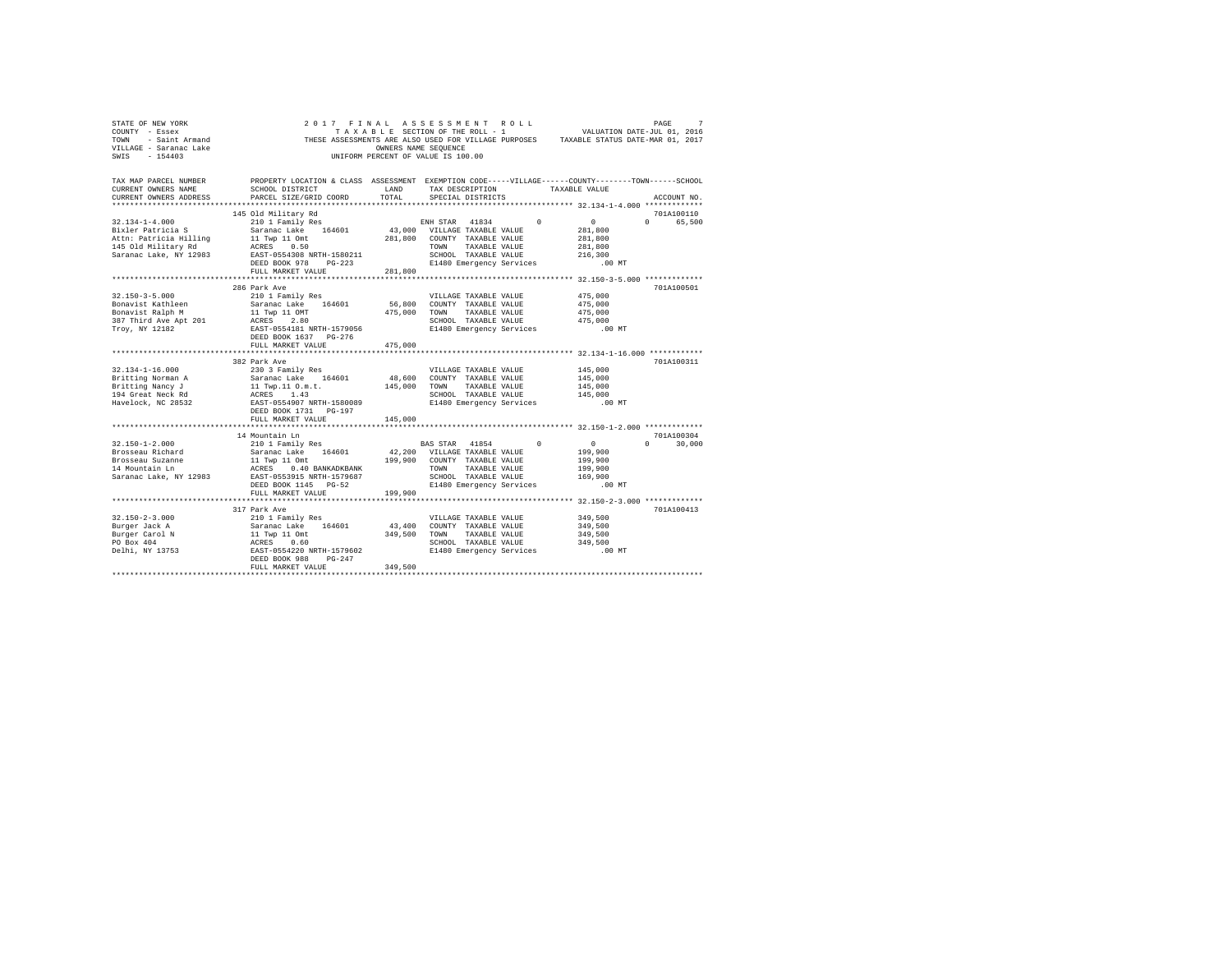| STATE OF NEW YORK                                                      |                                                                                                                                                                                                                                                                                                     |                      | 2017 FINAL ASSESSMENT ROLL                                    |               |                                                                                       | 7<br>PAGE     |
|------------------------------------------------------------------------|-----------------------------------------------------------------------------------------------------------------------------------------------------------------------------------------------------------------------------------------------------------------------------------------------------|----------------------|---------------------------------------------------------------|---------------|---------------------------------------------------------------------------------------|---------------|
| COUNTY - Essex                                                         |                                                                                                                                                                                                                                                                                                     |                      | TAXABLE SECTION OF THE ROLL - 1                               |               | VALUATION DATE-JUL 01, 2016                                                           |               |
|                                                                        |                                                                                                                                                                                                                                                                                                     |                      |                                                               |               | THESE ASSESSMENTS ARE ALSO USED FOR VILLAGE PURPOSES TAXABLE STATUS DATE-MAR 01, 2017 |               |
| TOWN - Saint Armand<br>VILLAGE - Saranac Lake                          |                                                                                                                                                                                                                                                                                                     | OWNERS NAME SEQUENCE |                                                               |               |                                                                                       |               |
| SWIS - 154403                                                          |                                                                                                                                                                                                                                                                                                     |                      | UNIFORM PERCENT OF VALUE IS 100.00                            |               |                                                                                       |               |
|                                                                        |                                                                                                                                                                                                                                                                                                     |                      |                                                               |               |                                                                                       |               |
|                                                                        |                                                                                                                                                                                                                                                                                                     |                      |                                                               |               |                                                                                       |               |
| TAX MAP PARCEL NUMBER                                                  | PROPERTY LOCATION & CLASS ASSESSMENT EXEMPTION CODE-----VILLAGE------COUNTY-------TOWN------SCHOOL                                                                                                                                                                                                  |                      |                                                               |               |                                                                                       |               |
| CURRENT OWNERS NAME                                                    | SCHOOL DISTRICT                                                                                                                                                                                                                                                                                     |                      | LAND TAX DESCRIPTION TAXABLE VALUE<br>TOTAL SERCIAL DISTRICTS |               |                                                                                       |               |
| CURRENT OWNERS ADDRESS                                                 | PARCEL SIZE/GRID COORD                                                                                                                                                                                                                                                                              | TOTAL.               | SPECIAL DISTRICTS                                             |               |                                                                                       | ACCOUNT NO.   |
|                                                                        |                                                                                                                                                                                                                                                                                                     |                      |                                                               |               |                                                                                       |               |
|                                                                        | 145 Old Military Rd                                                                                                                                                                                                                                                                                 |                      |                                                               |               |                                                                                       | 701A100110    |
| $32.134 - 1 - 4.000$                                                   |                                                                                                                                                                                                                                                                                                     |                      |                                                               |               | $\sim$ 0                                                                              | 0 65,500      |
| Bixler Patricia S                                                      |                                                                                                                                                                                                                                                                                                     |                      |                                                               |               | 281,800                                                                               |               |
|                                                                        |                                                                                                                                                                                                                                                                                                     |                      | 281.800 COUNTY TAXABLE VALUE                                  |               | 281,800                                                                               |               |
| Attn: Patricia Hilling 11 Twp 11 Omt<br>145 Old Military Rd ACRES 0.50 |                                                                                                                                                                                                                                                                                                     |                      | TOWN<br>TAXABLE VALUE                                         |               | 281,800                                                                               |               |
| Saranac Lake, NY 12983                                                 | EAST-0554308 NRTH-1580211                                                                                                                                                                                                                                                                           |                      | SCHOOL TAXABLE VALUE                                          |               | 216,300                                                                               |               |
|                                                                        | DEED BOOK 978 PG-223                                                                                                                                                                                                                                                                                |                      | E1480 Emergency Services                                      |               | .00 MT                                                                                |               |
|                                                                        | FULL MARKET VALUE                                                                                                                                                                                                                                                                                   | 281,800              |                                                               |               |                                                                                       |               |
|                                                                        |                                                                                                                                                                                                                                                                                                     |                      |                                                               |               |                                                                                       |               |
|                                                                        | 286 Park Ave                                                                                                                                                                                                                                                                                        |                      |                                                               |               |                                                                                       | 701A100501    |
| $32.150 - 3 - 5.000$                                                   | 210 1 Family Res                                                                                                                                                                                                                                                                                    |                      | VILLAGE TAXABLE VALUE                                         |               | 475,000                                                                               |               |
| Bonavist Kathleen                                                      | Saranac Lake 164601 56,800 COUNTY TAXABLE VALUE                                                                                                                                                                                                                                                     |                      |                                                               |               | 475,000                                                                               |               |
| Bonavist Ralph M                                                       | 11 Twp 11 OMT                                                                                                                                                                                                                                                                                       | 475,000 TOWN         |                                                               | TAXABLE VALUE | 475,000                                                                               |               |
| 387 Third Ave Apt 201                                                  | ACRES 2.80                                                                                                                                                                                                                                                                                          |                      | SCHOOL TAXABLE VALUE                                          |               | 475,000                                                                               |               |
| Troy, NY 12182                                                         | EAST-0554181 NRTH-1579056                                                                                                                                                                                                                                                                           |                      | E1480 Emergency Services                                      |               | $.00$ MT                                                                              |               |
|                                                                        | DEED BOOK 1637 PG-276                                                                                                                                                                                                                                                                               |                      |                                                               |               |                                                                                       |               |
|                                                                        |                                                                                                                                                                                                                                                                                                     |                      |                                                               |               |                                                                                       |               |
|                                                                        |                                                                                                                                                                                                                                                                                                     | 475,000              |                                                               |               |                                                                                       |               |
|                                                                        | FULL MARKET VALUE                                                                                                                                                                                                                                                                                   |                      |                                                               |               |                                                                                       |               |
|                                                                        | 382 Park Ave                                                                                                                                                                                                                                                                                        |                      |                                                               |               |                                                                                       | 701A100311    |
| $32.134 - 1 - 16.000$                                                  | 230 3 Family Res                                                                                                                                                                                                                                                                                    |                      | VILLAGE TAXABLE VALUE                                         |               | 145,000                                                                               |               |
|                                                                        |                                                                                                                                                                                                                                                                                                     |                      |                                                               |               | 145,000                                                                               |               |
|                                                                        |                                                                                                                                                                                                                                                                                                     |                      | 48,600 COUNTY TAXABLE VALUE                                   | TAXABLE VALUE | 145,000                                                                               |               |
| Britting Norman A<br>Britting Nancy J                                  |                                                                                                                                                                                                                                                                                                     |                      | SCHOOL TAXABLE VALUE                                          |               | 145,000                                                                               |               |
| 194 Great Neck Rd                                                      | Saranac Lake 164601 48,600 COUNTY<br>11 Twp.11 O.m.t. 145,000 TOWN<br>ACRES 1.43 SCHOOL                                                                                                                                                                                                             |                      |                                                               |               | $.00$ MT                                                                              |               |
| Havelock, NC 28532                                                     |                                                                                                                                                                                                                                                                                                     |                      | E1480 Emergency Services                                      |               |                                                                                       |               |
|                                                                        | EAST-0554907 NRTH-1580089<br>DEED BOOK 1731 PG-197                                                                                                                                                                                                                                                  |                      |                                                               |               |                                                                                       |               |
|                                                                        | FULL MARKET VALUE                                                                                                                                                                                                                                                                                   | 145,000              |                                                               |               |                                                                                       |               |
|                                                                        |                                                                                                                                                                                                                                                                                                     |                      |                                                               |               |                                                                                       | 701A100304    |
|                                                                        | 14 Mountain Ln                                                                                                                                                                                                                                                                                      |                      |                                                               |               | $\sim$ 0                                                                              |               |
| 32.150-1-2.000                                                         | ч мошканнын<br>210 1 Family Res                                                                                                                                                                                                                                                                     |                      | BAS STAR 41854 0                                              |               |                                                                                       | $0 \t 30,000$ |
| Brosseau Richard                                                       |                                                                                                                                                                                                                                                                                                     |                      |                                                               |               | 199,900                                                                               |               |
| Brosseau Suzanne                                                       |                                                                                                                                                                                                                                                                                                     |                      |                                                               |               | 199,900                                                                               |               |
| 14 Mountain Ln                                                         |                                                                                                                                                                                                                                                                                                     |                      |                                                               |               | 199,900                                                                               |               |
| Saranac Lake, NY 12983                                                 | 210 1 Tamily Res (54601 42,200 VILLAGE TAXABLE VALUE<br>11 Twp 11 Omt 199,900 COUNTY TAXABLE VALUE<br>2008 2014 AC BANKADKBANK 199,900 COUNTY TAXABLE VALUE<br>2008 0.400 ACHONIC TAXABLE VALUE<br>EAST-0553915 NRTH-1579687                                                                        |                      | SCHOOL TAXABLE VALUE                                          |               | 169,900                                                                               |               |
|                                                                        | DEED BOOK 1145 PG-52                                                                                                                                                                                                                                                                                |                      | E1480 Emergency Services                                      |               | .00 MT                                                                                |               |
|                                                                        | FULL MARKET VALUE                                                                                                                                                                                                                                                                                   | 199,900              |                                                               |               |                                                                                       |               |
|                                                                        |                                                                                                                                                                                                                                                                                                     |                      |                                                               |               |                                                                                       |               |
|                                                                        | 317 Park Ave                                                                                                                                                                                                                                                                                        |                      |                                                               |               |                                                                                       | 701A100413    |
| $32.150 - 2 - 3.000$                                                   | 210 1 Family Res                                                                                                                                                                                                                                                                                    |                      | VILLAGE TAXABLE VALUE                                         |               | 349,500                                                                               |               |
| Burger Jack A                                                          |                                                                                                                                                                                                                                                                                                     |                      | 43,400 COUNTY TAXABLE VALUE                                   |               | 349,500                                                                               |               |
| Burger Carol N                                                         |                                                                                                                                                                                                                                                                                                     |                      | 349,500 TOWN TAXABLE VALUE                                    |               | 349,500                                                                               |               |
| PO Box 404                                                             |                                                                                                                                                                                                                                                                                                     |                      | SCHOOL TAXABLE VALUE                                          |               | 349,500<br>$.00$ MT                                                                   |               |
| Delhi, NY 13753                                                        | $\begin{tabular}{ll} $\angle 10$ & $\mathrm{r}$~\text{simily Res} \\ \text{Saraance Lake} & $\mathrm{164601}$ \\ 11~\text{Typ 11}~\text{Ont} \\ \text{ACRES} & 0.60 \\ \text{ESST-0554220 NRTH-1579602} \\ \text{IRPRD-DOV} & $\triangle 00$ & $\mathrm{m}$. \end{tabular}$<br>DEED BOOK 988 PG-247 |                      | E1480 Emergency Services                                      |               |                                                                                       |               |
|                                                                        | FULL MARKET VALUE                                                                                                                                                                                                                                                                                   | 349,500              |                                                               |               |                                                                                       |               |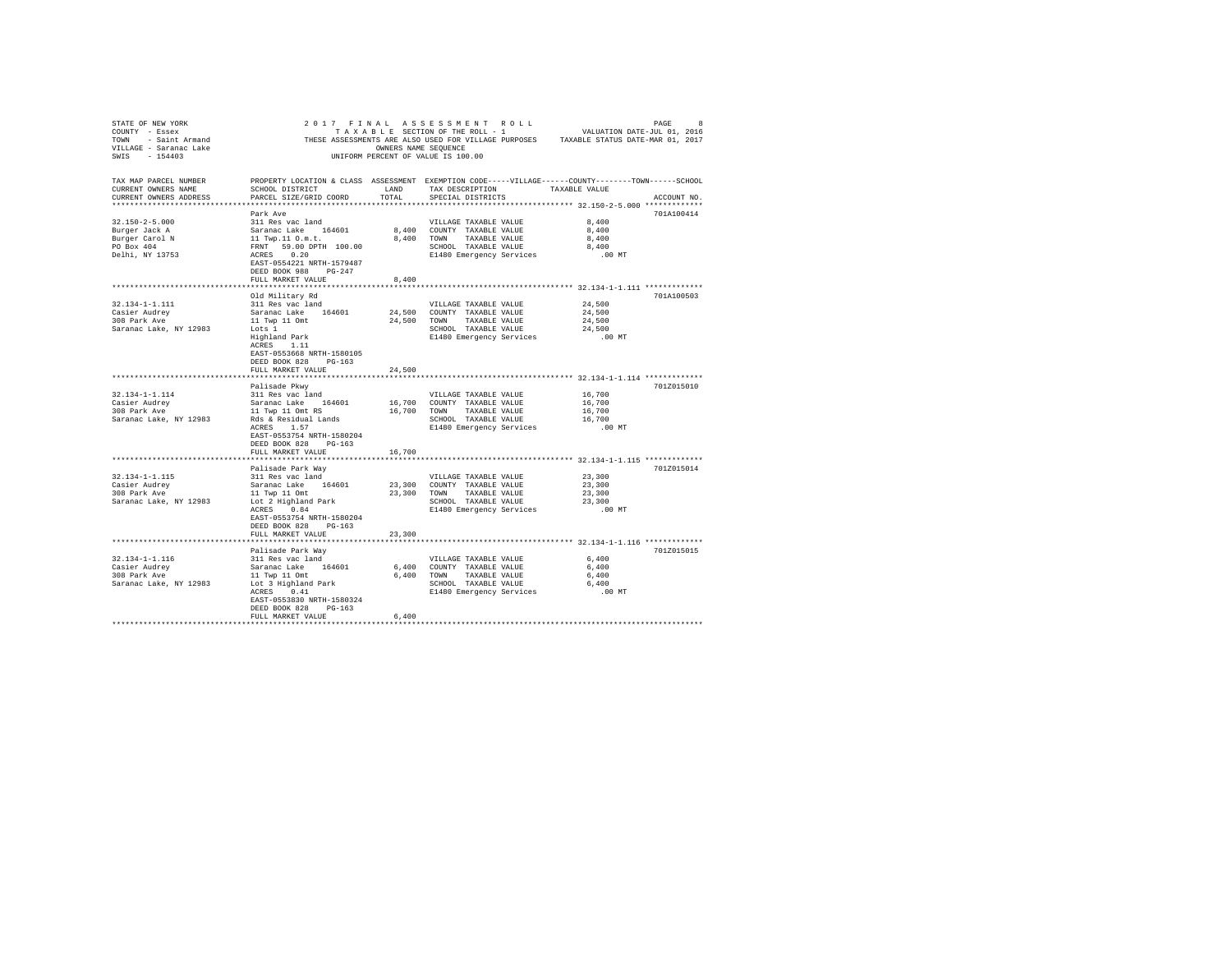| STATE OF NEW YORK                                                                                                                                                                                                                                  |                                                                                                              |                      |                                                  | $2017 \quad F\texttt{INAL} \quad \texttt{ASSESSMENT} \quad \texttt{COLL} \quad \texttt{PAGE} \quad \texttt{8} \\ \texttt{TAXABLE} \quad \texttt{SECTION OF THE ROLL} - 1 \quad \texttt{VALUATION DATE-JUL} \quad \texttt{01, 2016} \quad \texttt{02, 2016} \quad \texttt{03, 2017} \quad \texttt{04, 2018} \quad \texttt{05, 2018} \quad \texttt{06, 2019} \quad \texttt{08, 2019} \quad \texttt{09, 2019} \quad \texttt{01,$ |  |
|----------------------------------------------------------------------------------------------------------------------------------------------------------------------------------------------------------------------------------------------------|--------------------------------------------------------------------------------------------------------------|----------------------|--------------------------------------------------|-------------------------------------------------------------------------------------------------------------------------------------------------------------------------------------------------------------------------------------------------------------------------------------------------------------------------------------------------------------------------------------------------------------------------------|--|
| $\begin{array}{lll} \texttt{COUNT} & -& \texttt{Esesex} \\ \texttt{TOWN} & -& \texttt{Saint Armand} \\ \texttt{VILLIAGE} & -& \texttt{Saranac Lake} \\ & & \texttt{SAA12} \end{array} \hspace{1.5cm} \begin{array}{ll} \texttt{THESE} \end{array}$ |                                                                                                              |                      |                                                  |                                                                                                                                                                                                                                                                                                                                                                                                                               |  |
|                                                                                                                                                                                                                                                    |                                                                                                              | OWNERS NAME SEOUENCE |                                                  | THESE ASSESSMENTS ARE ALSO USED FOR VILLAGE PURPOSES TAXABLE STATUS DATE-MAR 01, 2017                                                                                                                                                                                                                                                                                                                                         |  |
|                                                                                                                                                                                                                                                    |                                                                                                              |                      | UNIFORM PERCENT OF VALUE IS 100.00               |                                                                                                                                                                                                                                                                                                                                                                                                                               |  |
|                                                                                                                                                                                                                                                    |                                                                                                              |                      |                                                  |                                                                                                                                                                                                                                                                                                                                                                                                                               |  |
| TAX MAP PARCEL NUMBER                                                                                                                                                                                                                              |                                                                                                              |                      |                                                  | PROPERTY LOCATION & CLASS ASSESSMENT EXEMPTION CODE-----VILLAGE------COUNTY-------TOWN------SCHOOL                                                                                                                                                                                                                                                                                                                            |  |
| CURRENT OWNERS NAME                                                                                                                                                                                                                                | SCHOOL DISTRICT                                                                                              | LAND                 | TAX DESCRIPTION TAXABLE VALUE                    |                                                                                                                                                                                                                                                                                                                                                                                                                               |  |
| CURRENT OWNERS ADDRESS                                                                                                                                                                                                                             | PARCEL SIZE/GRID COORD                                                                                       | TOTAL                | SPECIAL DISTRICTS                                | ACCOUNT NO.                                                                                                                                                                                                                                                                                                                                                                                                                   |  |
|                                                                                                                                                                                                                                                    |                                                                                                              |                      |                                                  |                                                                                                                                                                                                                                                                                                                                                                                                                               |  |
|                                                                                                                                                                                                                                                    | Park Ave                                                                                                     |                      |                                                  | 701A100414                                                                                                                                                                                                                                                                                                                                                                                                                    |  |
| 32.150-2-5.000                                                                                                                                                                                                                                     | 311 Res vac land                                                                                             |                      | VILLAGE TAXABLE VALUE                            | 8,400                                                                                                                                                                                                                                                                                                                                                                                                                         |  |
|                                                                                                                                                                                                                                                    |                                                                                                              |                      | 8,400 COUNTY TAXABLE VALUE                       | 8,400                                                                                                                                                                                                                                                                                                                                                                                                                         |  |
| Burger Jack A<br>Burger Jack A<br>Burger Carol N                                                                                                                                                                                                   |                                                                                                              |                      | 8,400 TOWN TAXABLE VALUE                         | 8,400                                                                                                                                                                                                                                                                                                                                                                                                                         |  |
| PO Box 404                                                                                                                                                                                                                                         |                                                                                                              |                      | SCHOOL TAXABLE VALUE                             | 8,400                                                                                                                                                                                                                                                                                                                                                                                                                         |  |
| Delhi, NY 13753                                                                                                                                                                                                                                    | Saranac Lake 164601<br>11 Twp.11 0.m.t.<br>FRNT 59.00 DPTH 100.00<br>ACRES 0.20<br>EAST-0554221 NRTH-1579487 |                      | E1480 Emergency Services                         | $.00$ MT                                                                                                                                                                                                                                                                                                                                                                                                                      |  |
|                                                                                                                                                                                                                                                    |                                                                                                              |                      |                                                  |                                                                                                                                                                                                                                                                                                                                                                                                                               |  |
|                                                                                                                                                                                                                                                    | DEED BOOK 988 PG-247                                                                                         |                      |                                                  |                                                                                                                                                                                                                                                                                                                                                                                                                               |  |
|                                                                                                                                                                                                                                                    | FULL MARKET VALUE                                                                                            | 8,400                |                                                  |                                                                                                                                                                                                                                                                                                                                                                                                                               |  |
|                                                                                                                                                                                                                                                    |                                                                                                              |                      |                                                  |                                                                                                                                                                                                                                                                                                                                                                                                                               |  |
|                                                                                                                                                                                                                                                    | Old Military Rd                                                                                              |                      |                                                  | 701A100503                                                                                                                                                                                                                                                                                                                                                                                                                    |  |
| 32.134-1-1.111                                                                                                                                                                                                                                     | 311 Res vac land                                                                                             |                      | VILLAGE TAXABLE VALUE                            | 24,500                                                                                                                                                                                                                                                                                                                                                                                                                        |  |
| Casier Audrey<br>308 Park Ave                                                                                                                                                                                                                      | Saranac Lake 164601                                                                                          |                      | 24,500 COUNTY TAXABLE VALUE                      | 24,500                                                                                                                                                                                                                                                                                                                                                                                                                        |  |
|                                                                                                                                                                                                                                                    | 11 Twp 11 Omt                                                                                                |                      | 24,500 TOWN TAXABLE VALUE                        | 24,500                                                                                                                                                                                                                                                                                                                                                                                                                        |  |
| Saranac Lake, NY 12983                                                                                                                                                                                                                             | Lots 1                                                                                                       |                      | SCHOOL TAXABLE VALUE                             | 24,500                                                                                                                                                                                                                                                                                                                                                                                                                        |  |
|                                                                                                                                                                                                                                                    | Highland Park<br>ACRES 1.11                                                                                  |                      | E1480 Emergency Services                         | $.00$ MT                                                                                                                                                                                                                                                                                                                                                                                                                      |  |
|                                                                                                                                                                                                                                                    |                                                                                                              |                      |                                                  |                                                                                                                                                                                                                                                                                                                                                                                                                               |  |
|                                                                                                                                                                                                                                                    | EAST-0553668 NRTH-1580105                                                                                    |                      |                                                  |                                                                                                                                                                                                                                                                                                                                                                                                                               |  |
|                                                                                                                                                                                                                                                    | DEED BOOK 828 PG-163                                                                                         |                      |                                                  |                                                                                                                                                                                                                                                                                                                                                                                                                               |  |
|                                                                                                                                                                                                                                                    | FULL MARKET VALUE                                                                                            | 24,500               |                                                  |                                                                                                                                                                                                                                                                                                                                                                                                                               |  |
|                                                                                                                                                                                                                                                    | Palisade Pkwv                                                                                                |                      |                                                  | 701Z015010                                                                                                                                                                                                                                                                                                                                                                                                                    |  |
| 32.134-1-1.114                                                                                                                                                                                                                                     | 311 Res vac land                                                                                             |                      | VILLAGE TAXABLE VALUE                            | 16,700                                                                                                                                                                                                                                                                                                                                                                                                                        |  |
|                                                                                                                                                                                                                                                    |                                                                                                              |                      |                                                  | 16,700                                                                                                                                                                                                                                                                                                                                                                                                                        |  |
|                                                                                                                                                                                                                                                    |                                                                                                              |                      |                                                  | 16,700                                                                                                                                                                                                                                                                                                                                                                                                                        |  |
|                                                                                                                                                                                                                                                    |                                                                                                              |                      | SCHOOL TAXABLE VALUE                             | 16,700                                                                                                                                                                                                                                                                                                                                                                                                                        |  |
|                                                                                                                                                                                                                                                    |                                                                                                              |                      | E1480 Emergency Services                         | .00 MT                                                                                                                                                                                                                                                                                                                                                                                                                        |  |
|                                                                                                                                                                                                                                                    | EAST-0553754 NRTH-1580204                                                                                    |                      |                                                  |                                                                                                                                                                                                                                                                                                                                                                                                                               |  |
|                                                                                                                                                                                                                                                    | DEED BOOK 828 PG-163                                                                                         |                      |                                                  |                                                                                                                                                                                                                                                                                                                                                                                                                               |  |
|                                                                                                                                                                                                                                                    | FULL MARKET VALUE                                                                                            | 16,700               |                                                  |                                                                                                                                                                                                                                                                                                                                                                                                                               |  |
|                                                                                                                                                                                                                                                    |                                                                                                              |                      |                                                  |                                                                                                                                                                                                                                                                                                                                                                                                                               |  |
|                                                                                                                                                                                                                                                    | Palisade Park Way                                                                                            |                      |                                                  | 701Z015014                                                                                                                                                                                                                                                                                                                                                                                                                    |  |
| 32.134-1-1.115                                                                                                                                                                                                                                     | raiisade rark way<br>311 Res vac land                                                                        |                      | VILLAGE TAXABLE VALUE                            | 23,300                                                                                                                                                                                                                                                                                                                                                                                                                        |  |
|                                                                                                                                                                                                                                                    |                                                                                                              |                      |                                                  | 23,300                                                                                                                                                                                                                                                                                                                                                                                                                        |  |
|                                                                                                                                                                                                                                                    |                                                                                                              |                      |                                                  | 23,300                                                                                                                                                                                                                                                                                                                                                                                                                        |  |
|                                                                                                                                                                                                                                                    |                                                                                                              |                      |                                                  | 23,300                                                                                                                                                                                                                                                                                                                                                                                                                        |  |
|                                                                                                                                                                                                                                                    |                                                                                                              |                      | E1480 Emergency Services                         | .00 MT                                                                                                                                                                                                                                                                                                                                                                                                                        |  |
|                                                                                                                                                                                                                                                    | EAST-0553754 NRTH-1580204                                                                                    |                      |                                                  |                                                                                                                                                                                                                                                                                                                                                                                                                               |  |
|                                                                                                                                                                                                                                                    | DEED BOOK 828 PG-163                                                                                         |                      |                                                  |                                                                                                                                                                                                                                                                                                                                                                                                                               |  |
|                                                                                                                                                                                                                                                    | FULL MARKET VALUE                                                                                            | 23,300               |                                                  |                                                                                                                                                                                                                                                                                                                                                                                                                               |  |
|                                                                                                                                                                                                                                                    |                                                                                                              |                      |                                                  | *************************** 32.134-1-1.116 *************                                                                                                                                                                                                                                                                                                                                                                      |  |
|                                                                                                                                                                                                                                                    | Palisade Park Way                                                                                            |                      |                                                  | 701Z015015                                                                                                                                                                                                                                                                                                                                                                                                                    |  |
| 32.134-1-1.116                                                                                                                                                                                                                                     | 311 Res vac land                                                                                             |                      | VILLAGE TAXABLE VALUE                            | 6,400                                                                                                                                                                                                                                                                                                                                                                                                                         |  |
|                                                                                                                                                                                                                                                    |                                                                                                              |                      | 6,400 COUNTY TAXABLE VALUE                       | 6,400                                                                                                                                                                                                                                                                                                                                                                                                                         |  |
| Casier Audrey Saranac Lake 164601 6,40<br>2009 Park Ave 11 Twp 11 Omt 6,40<br>Saranac Lake, NY 12983 Lot 3 Highland Park 6,40<br>Lot 3 Highland Park 6,40                                                                                          |                                                                                                              |                      | 6,400 TOWN TAXABLE VALUE<br>SCHOOL TAXABLE VALUE | 6,400                                                                                                                                                                                                                                                                                                                                                                                                                         |  |
|                                                                                                                                                                                                                                                    |                                                                                                              |                      |                                                  | 6,400                                                                                                                                                                                                                                                                                                                                                                                                                         |  |
|                                                                                                                                                                                                                                                    | EAST-0553830 NRTH-1580324                                                                                    |                      | E1480 Emergency Services                         | .00 MT                                                                                                                                                                                                                                                                                                                                                                                                                        |  |
|                                                                                                                                                                                                                                                    | DEED BOOK 828 PG-163                                                                                         |                      |                                                  |                                                                                                                                                                                                                                                                                                                                                                                                                               |  |
|                                                                                                                                                                                                                                                    | FULL MARKET VALUE                                                                                            | 6,400                |                                                  |                                                                                                                                                                                                                                                                                                                                                                                                                               |  |
|                                                                                                                                                                                                                                                    |                                                                                                              |                      |                                                  |                                                                                                                                                                                                                                                                                                                                                                                                                               |  |
|                                                                                                                                                                                                                                                    |                                                                                                              |                      |                                                  |                                                                                                                                                                                                                                                                                                                                                                                                                               |  |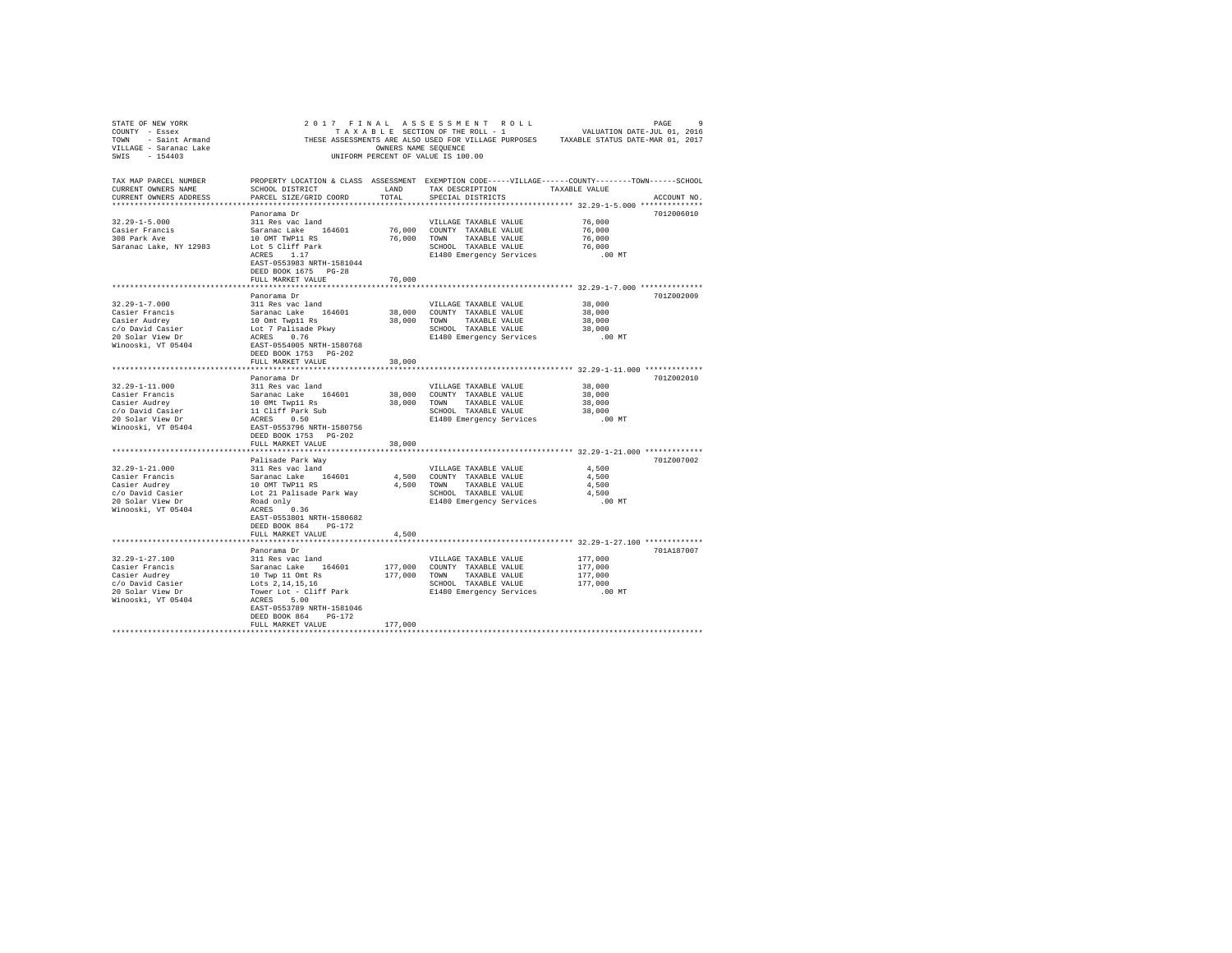| TAX MAP PARCEL NUMBER<br>CURRENT OWNERS NAME                                                                                                                                                                                                                                                                                                                                           | PROPERTY LOCATION & CLASS ASSESSMENT EXEMPTION CODE-----VILLAGE------COUNTY-------TOWN------SCHOOL                                                    |                   |                                                                                             |                                                          |             |
|----------------------------------------------------------------------------------------------------------------------------------------------------------------------------------------------------------------------------------------------------------------------------------------------------------------------------------------------------------------------------------------|-------------------------------------------------------------------------------------------------------------------------------------------------------|-------------------|---------------------------------------------------------------------------------------------|----------------------------------------------------------|-------------|
| CURRENT OWNERS NAME                                                                                                                                                                                                                                                                                                                                                                    | SCHOOL DISTRICT                       LAND        TAX DESCRIPTION                  TAXABLE VALUE                                                      |                   |                                                                                             |                                                          |             |
| CURRENT OWNERS ADDRESS                                                                                                                                                                                                                                                                                                                                                                 | PARCEL SIZE/GRID COORD TOTAL                                                                                                                          |                   | SPECIAL DISTRICTS                                                                           |                                                          | ACCOUNT NO. |
|                                                                                                                                                                                                                                                                                                                                                                                        |                                                                                                                                                       |                   |                                                                                             |                                                          |             |
|                                                                                                                                                                                                                                                                                                                                                                                        | Panorama Dr                                                                                                                                           |                   |                                                                                             |                                                          | 7012006010  |
| $32.29 - 1 - 5.000$                                                                                                                                                                                                                                                                                                                                                                    | 311 Res vac land                                                                                                                                      |                   | VILLAGE TAXABLE VALUE                                                                       | 76,000<br>76,000                                         |             |
|                                                                                                                                                                                                                                                                                                                                                                                        |                                                                                                                                                       |                   | 76,000 COUNTY TAXABLE VALUE                                                                 |                                                          |             |
|                                                                                                                                                                                                                                                                                                                                                                                        |                                                                                                                                                       |                   | 76,000 TOWN TAXABLE VALUE                                                                   | 76,000<br>76,000<br>00 MT.                               |             |
|                                                                                                                                                                                                                                                                                                                                                                                        |                                                                                                                                                       |                   | SCHOOL TAXABLE VALUE                                                                        |                                                          |             |
|                                                                                                                                                                                                                                                                                                                                                                                        | ACRES 1.17                                                                                                                                            |                   | E1480 Emergency Services                                                                    |                                                          |             |
|                                                                                                                                                                                                                                                                                                                                                                                        | EAST-0553983 NRTH-1581044                                                                                                                             |                   |                                                                                             |                                                          |             |
|                                                                                                                                                                                                                                                                                                                                                                                        | DEED BOOK 1675 PG-28                                                                                                                                  |                   |                                                                                             |                                                          |             |
|                                                                                                                                                                                                                                                                                                                                                                                        | FULL MARKET VALUE                                                                                                                                     | 76,000            |                                                                                             |                                                          |             |
|                                                                                                                                                                                                                                                                                                                                                                                        |                                                                                                                                                       |                   |                                                                                             | **************************** 32.29-1-7.000 ************* |             |
|                                                                                                                                                                                                                                                                                                                                                                                        | Panorama Dr                                                                                                                                           |                   |                                                                                             |                                                          | 701Z002009  |
| $32.29 - 1 - 7.000$                                                                                                                                                                                                                                                                                                                                                                    | 311 Res vac land                                                                                                                                      |                   | VILLAGE TAXABLE VALUE                                                                       | 38,000                                                   |             |
|                                                                                                                                                                                                                                                                                                                                                                                        |                                                                                                                                                       |                   |                                                                                             | 38,000                                                   |             |
|                                                                                                                                                                                                                                                                                                                                                                                        |                                                                                                                                                       |                   |                                                                                             |                                                          |             |
|                                                                                                                                                                                                                                                                                                                                                                                        |                                                                                                                                                       |                   | TOWN TAXABLE VALUE 38,000<br>SCHOOL TAXABLE VALUE 38,000<br>E1480 Emergency Services .00 MT |                                                          |             |
|                                                                                                                                                                                                                                                                                                                                                                                        |                                                                                                                                                       |                   |                                                                                             |                                                          |             |
|                                                                                                                                                                                                                                                                                                                                                                                        |                                                                                                                                                       |                   |                                                                                             |                                                          |             |
|                                                                                                                                                                                                                                                                                                                                                                                        |                                                                                                                                                       |                   |                                                                                             |                                                          |             |
|                                                                                                                                                                                                                                                                                                                                                                                        | FULL MARKET VALUE                                                                                                                                     | 38,000            |                                                                                             |                                                          |             |
|                                                                                                                                                                                                                                                                                                                                                                                        |                                                                                                                                                       |                   |                                                                                             |                                                          |             |
|                                                                                                                                                                                                                                                                                                                                                                                        | Panorama Dr                                                                                                                                           |                   |                                                                                             |                                                          | 701Z002010  |
| $32.29 - 1 - 11.000$                                                                                                                                                                                                                                                                                                                                                                   | 311 Res vac land                                                                                                                                      |                   | VILLAGE TAXABLE VALUE                                                                       | 38,000                                                   |             |
| $\begin{tabular}{lllllllllll} 32.29--111.0000 & 311 & 880 & 840 & 1480 & 38,000 \\ \hline Casier Runcis & 32 & 100 & Myt. {\tt wpl1 Rs} & 38,000 \\ \hline CoDavid Casier & 100 & Myt. {\tt wpl1 Rs} & 38,000 \\ \hline C/O David Casier & 11 \; Cliff~ Park Sub \\ 20 \; Solar View\; Dr & 20 \; RES795558 \; MRTH-1580756 \\ \hline EED\; BOOK\; 1753 & PG-202 & 12.324 \\ \end{tab$ |                                                                                                                                                       |                   | 38,000 COUNTY TAXABLE VALUE                                                                 | 38,000                                                   |             |
|                                                                                                                                                                                                                                                                                                                                                                                        |                                                                                                                                                       |                   | 38,000 TOWN TAXABLE VALUE                                                                   | 38,000                                                   |             |
|                                                                                                                                                                                                                                                                                                                                                                                        |                                                                                                                                                       |                   | SCHOOL TAXABLE VALUE                                                                        | 38,000                                                   |             |
|                                                                                                                                                                                                                                                                                                                                                                                        |                                                                                                                                                       |                   | E1480 Emergency Services .00 MT                                                             |                                                          |             |
|                                                                                                                                                                                                                                                                                                                                                                                        |                                                                                                                                                       |                   |                                                                                             |                                                          |             |
|                                                                                                                                                                                                                                                                                                                                                                                        |                                                                                                                                                       |                   |                                                                                             |                                                          |             |
|                                                                                                                                                                                                                                                                                                                                                                                        | FULL MARKET VALUE                                                                                                                                     | 38,000            |                                                                                             |                                                          |             |
|                                                                                                                                                                                                                                                                                                                                                                                        |                                                                                                                                                       |                   |                                                                                             |                                                          |             |
|                                                                                                                                                                                                                                                                                                                                                                                        | Palisade Park Way                                                                                                                                     |                   |                                                                                             |                                                          | 701Z007002  |
| $32.29 - 1 - 21.000$                                                                                                                                                                                                                                                                                                                                                                   | 311 Res vac land                                                                                                                                      |                   | VILLAGE TAXABLE VALUE                                                                       | 4,500                                                    |             |
|                                                                                                                                                                                                                                                                                                                                                                                        |                                                                                                                                                       |                   |                                                                                             |                                                          |             |
|                                                                                                                                                                                                                                                                                                                                                                                        |                                                                                                                                                       |                   |                                                                                             |                                                          |             |
|                                                                                                                                                                                                                                                                                                                                                                                        |                                                                                                                                                       |                   |                                                                                             |                                                          |             |
|                                                                                                                                                                                                                                                                                                                                                                                        |                                                                                                                                                       |                   |                                                                                             |                                                          |             |
|                                                                                                                                                                                                                                                                                                                                                                                        |                                                                                                                                                       |                   |                                                                                             |                                                          |             |
|                                                                                                                                                                                                                                                                                                                                                                                        | EAST-0553801 NRTH-1580682                                                                                                                             |                   |                                                                                             |                                                          |             |
|                                                                                                                                                                                                                                                                                                                                                                                        | DEED BOOK 864 PG-172                                                                                                                                  |                   |                                                                                             |                                                          |             |
|                                                                                                                                                                                                                                                                                                                                                                                        | FULL MARKET VALUE                                                                                                                                     | 4,500             |                                                                                             |                                                          |             |
|                                                                                                                                                                                                                                                                                                                                                                                        |                                                                                                                                                       | *************     |                                                                                             |                                                          |             |
|                                                                                                                                                                                                                                                                                                                                                                                        | Panorama Dr                                                                                                                                           |                   |                                                                                             |                                                          | 701A187007  |
| $32.29 - 1 - 27.100$                                                                                                                                                                                                                                                                                                                                                                   | 311 Res vac land                                                                                                                                      |                   | VILLAGE TAXABLE VALUE                                                                       | 177,000                                                  |             |
| Casier Francis                                                                                                                                                                                                                                                                                                                                                                         |                                                                                                                                                       |                   | 177,000 COUNTY TAXABLE VALUE                                                                | 177,000                                                  |             |
|                                                                                                                                                                                                                                                                                                                                                                                        |                                                                                                                                                       | 177,000 TOWN      | TAXABLE VALUE                                                                               | 177,000                                                  |             |
|                                                                                                                                                                                                                                                                                                                                                                                        |                                                                                                                                                       |                   |                                                                                             |                                                          |             |
|                                                                                                                                                                                                                                                                                                                                                                                        |                                                                                                                                                       |                   | SCHOOL TAXABLE VALUE 177,000<br>E1480 Emergency Services .00 MT                             |                                                          |             |
| Casier Francis<br>Casier Audrey<br>C/o David Casier<br>20 Solar View Dr<br>Winooski, VT 05404                                                                                                                                                                                                                                                                                          | 311 Acas vac Laure<br>10 Twp 11 Omt Rs<br>10 Twp 11 Omt Rs<br>Lots 2,14,15,16<br>Tower Lot - Cliff Park<br>ACRES<br>5.00<br>BAST-0553789 NRTH-1581046 |                   |                                                                                             |                                                          |             |
|                                                                                                                                                                                                                                                                                                                                                                                        |                                                                                                                                                       |                   |                                                                                             |                                                          |             |
|                                                                                                                                                                                                                                                                                                                                                                                        | DEED BOOK 864 PG-172                                                                                                                                  |                   |                                                                                             |                                                          |             |
|                                                                                                                                                                                                                                                                                                                                                                                        | FULL MARKET VALUE                                                                                                                                     | 177,000           |                                                                                             |                                                          |             |
|                                                                                                                                                                                                                                                                                                                                                                                        |                                                                                                                                                       | ***************** |                                                                                             |                                                          |             |
|                                                                                                                                                                                                                                                                                                                                                                                        |                                                                                                                                                       |                   |                                                                                             |                                                          |             |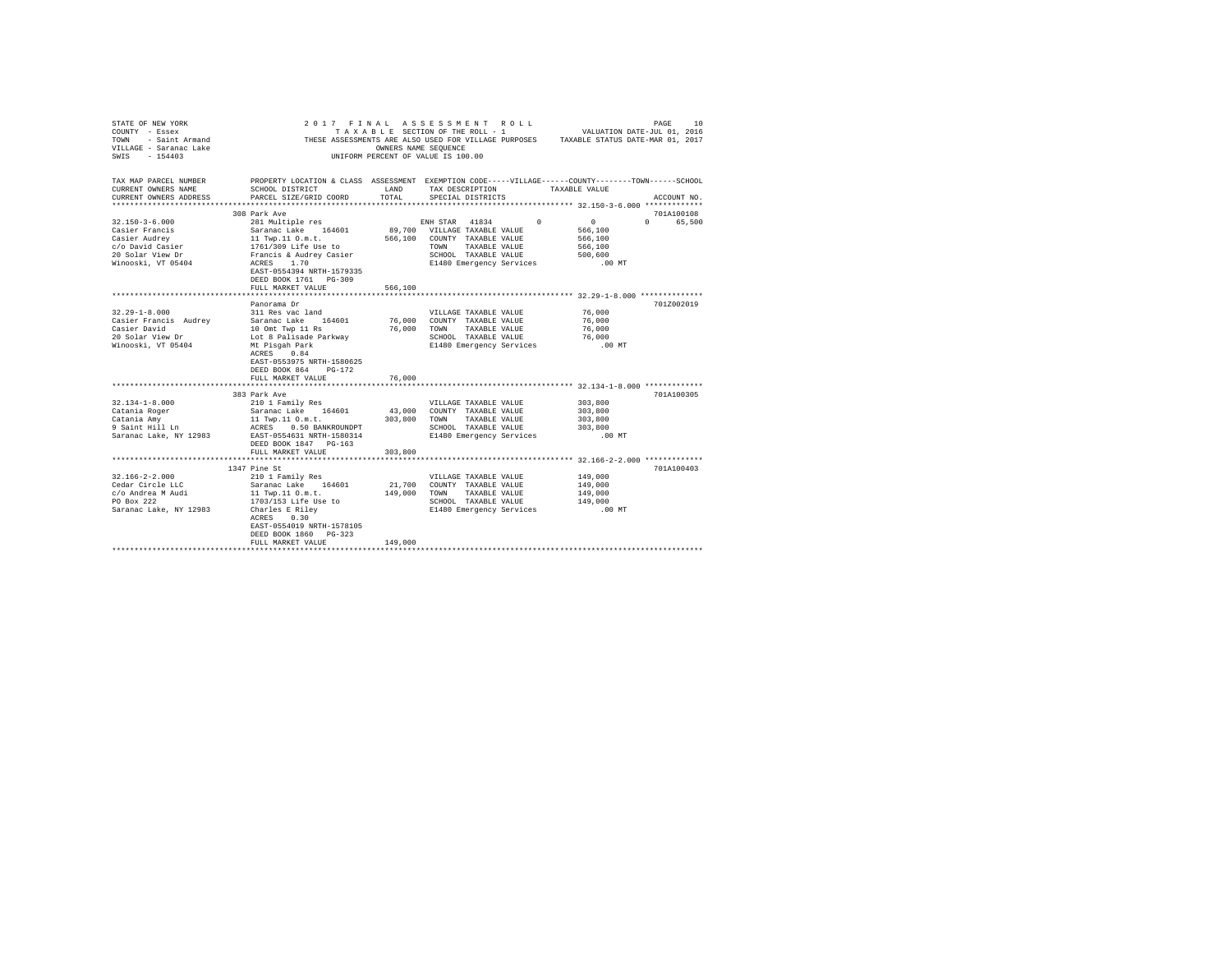| STATE OF NEW YORK<br>COUNTY - Essex<br>TOWN - Saint Armand | 2017 FINAL ASSESSMENT ROLL                                                                         |                   | TAXABLE SECTION OF THE ROLL - 1    | THESE ASSESSMENTS ARE ALSO USED FOR VILLAGE PURPOSES TAXABLE STATUS DATE-MAR 01, 2017 | VALUATION DATE-JUL 01, 2016 | 10<br>PAGE                      |
|------------------------------------------------------------|----------------------------------------------------------------------------------------------------|-------------------|------------------------------------|---------------------------------------------------------------------------------------|-----------------------------|---------------------------------|
| VILLAGE - Saranac Lake<br>SWTS $-154403$                   | OWNERS NAME SEQUENCE                                                                               |                   | UNIFORM PERCENT OF VALUE IS 100.00 |                                                                                       |                             |                                 |
| TAX MAP PARCEL NUMBER                                      | PROPERTY LOCATION & CLASS ASSESSMENT EXEMPTION CODE-----VILLAGE------COUNTY-------TOWN------SCHOOL |                   |                                    |                                                                                       |                             |                                 |
| CURRENT OWNERS NAME                                        | SCHOOL DISTRICT                                                                                    | LAND              |                                    | TAX DESCRIPTION TAXABLE VALUE                                                         |                             |                                 |
| CURRENT OWNERS ADDRESS                                     | PARCEL SIZE/GRID COORD                                                                             | TOTAL             | SPECIAL DISTRICTS                  |                                                                                       |                             | ACCOUNT NO.                     |
|                                                            | 308 Park Ave                                                                                       |                   |                                    |                                                                                       |                             | 701A100108                      |
| $32.150 - 3 - 6.000$                                       | 281 Multiple res                                                                                   |                   | ENH STAR 41834                     | $\Omega$                                                                              | $\sim$ 0                    | $\Omega$ and $\Omega$<br>65,500 |
| Casier Francis                                             | Saranac Lake 164601                                                                                |                   | 89,700 VILLAGE TAXABLE VALUE       |                                                                                       | 566,100                     |                                 |
| Casier Audrey                                              | 11 Twp.11 O.m.t.<br>1761/309 Life Use to<br>Francis & Audrey Casier<br>ACRES 1.70                  |                   | 566,100 COUNTY TAXABLE VALUE       |                                                                                       | 566,100                     |                                 |
| c/o David Casier                                           |                                                                                                    |                   | TOWN TAXABLE VALUE                 |                                                                                       | 566,100                     |                                 |
| 20 Solar View Dr                                           |                                                                                                    |                   | SCHOOL TAXABLE VALUE               |                                                                                       | 500,600                     |                                 |
| Winooski, VT 05404                                         |                                                                                                    |                   | E1480 Emergency Services           |                                                                                       | .00 MT                      |                                 |
|                                                            | EAST-0554394 NRTH-1579335<br>DEED BOOK 1761 PG-309                                                 |                   |                                    |                                                                                       |                             |                                 |
|                                                            | FULL MARKET VALUE                                                                                  | 566,100           |                                    |                                                                                       |                             |                                 |
|                                                            |                                                                                                    | ***************** |                                    | ******************************** 32.29-1-8.000 ***************                        |                             |                                 |
|                                                            | Panorama Dr                                                                                        |                   |                                    |                                                                                       |                             | 701Z002019                      |
| $32.29 - 1 - 8.000$                                        | 311 Res vac land                                                                                   |                   | VILLAGE TAXABLE VALUE              |                                                                                       | 76,000                      |                                 |
| Casier Francis Audrey                                      | Saranac Lake 164601                                                                                | 76,000            | COUNTY TAXABLE VALUE               |                                                                                       | 76,000                      |                                 |
| Casier David                                               | 10 Omt Twp 11 Rs                                                                                   |                   | 76,000 TOWN TAXABLE VALUE          |                                                                                       | 76,000                      |                                 |
| 20 Solar View Dr                                           | Lot 8 Palisade Parkway                                                                             |                   | SCHOOL TAXABLE VALUE               |                                                                                       | 76,000                      |                                 |
| Winooski, VT 05404                                         | Mt Pisgah Park                                                                                     |                   | E1480 Emergency Services           |                                                                                       | $.00$ MT                    |                                 |
|                                                            | ACRES 0.84                                                                                         |                   |                                    |                                                                                       |                             |                                 |
|                                                            | EAST-0553975 NRTH-1580625<br>DEED BOOK 864 PG-172                                                  |                   |                                    |                                                                                       |                             |                                 |
|                                                            | FULL MARKET VALUE                                                                                  | 76,000            |                                    |                                                                                       |                             |                                 |
|                                                            |                                                                                                    |                   |                                    |                                                                                       |                             |                                 |
|                                                            | 383 Park Ave                                                                                       |                   |                                    |                                                                                       |                             | 701A100305                      |
| $32.134 - 1 - 8.000$                                       | 210 1 Family Res                                                                                   |                   | VILLAGE TAXABLE VALUE              |                                                                                       | 303,800                     |                                 |
| Catania Roger                                              | Saranac Lake 164601                                                                                | 43,000            | COUNTY TAXABLE VALUE               |                                                                                       | 303,800                     |                                 |
| Catania Amv                                                | 11 Twp.11 O.m.t.<br>ACRES 0.50 BANKROUNDPT                                                         | 303,800           | TOWN TAXABLE VALUE                 |                                                                                       | 303,800                     |                                 |
| 9 Saint Hill Ln                                            |                                                                                                    |                   | SCHOOL TAXABLE VALUE               |                                                                                       | 303,800                     |                                 |
| Saranac Lake, NY 12983                                     | EAST-0554631 NRTH-1580314                                                                          |                   |                                    | E1480 Emergency Services                                                              | .00MT                       |                                 |
|                                                            | DEED BOOK 1847 PG-163<br>FULL MARKET VALUE                                                         |                   |                                    |                                                                                       |                             |                                 |
|                                                            |                                                                                                    | 303,800           |                                    |                                                                                       |                             |                                 |
|                                                            | 1347 Pine St                                                                                       |                   |                                    |                                                                                       |                             | 701A100403                      |
| $32.166 - 2 - 2.000$                                       | 210 1 Family Res                                                                                   |                   | VILLAGE TAXABLE VALUE              |                                                                                       | 149,000                     |                                 |
| Cedar Circle LLC                                           | Saranac Lake 164601                                                                                | 21,700            | COUNTY TAXABLE VALUE               |                                                                                       | 149,000                     |                                 |
| c/o Andrea M Audi                                          | 11 Twp.11 O.m.t.                                                                                   | 149,000           | TOWN                               | TAXABLE VALUE                                                                         | 149,000                     |                                 |
| PO Box 222                                                 | 1703/153 Life Use to                                                                               |                   | SCHOOL TAXABLE VALUE               |                                                                                       | 149,000                     |                                 |
| Saranac Lake, NY 12983                                     | Charles E Riley<br>ACRES - 0.30                                                                    |                   |                                    | E1480 Emergency Services                                                              | $.00$ MT                    |                                 |
|                                                            | ACRES 0.30                                                                                         |                   |                                    |                                                                                       |                             |                                 |
|                                                            | EAST-0554019 NRTH-1578105                                                                          |                   |                                    |                                                                                       |                             |                                 |
|                                                            | DEED BOOK 1860 PG-323<br>FULL MARKET VALUE                                                         | 149,000           |                                    |                                                                                       |                             |                                 |
|                                                            |                                                                                                    |                   |                                    |                                                                                       |                             |                                 |
|                                                            |                                                                                                    |                   |                                    |                                                                                       |                             |                                 |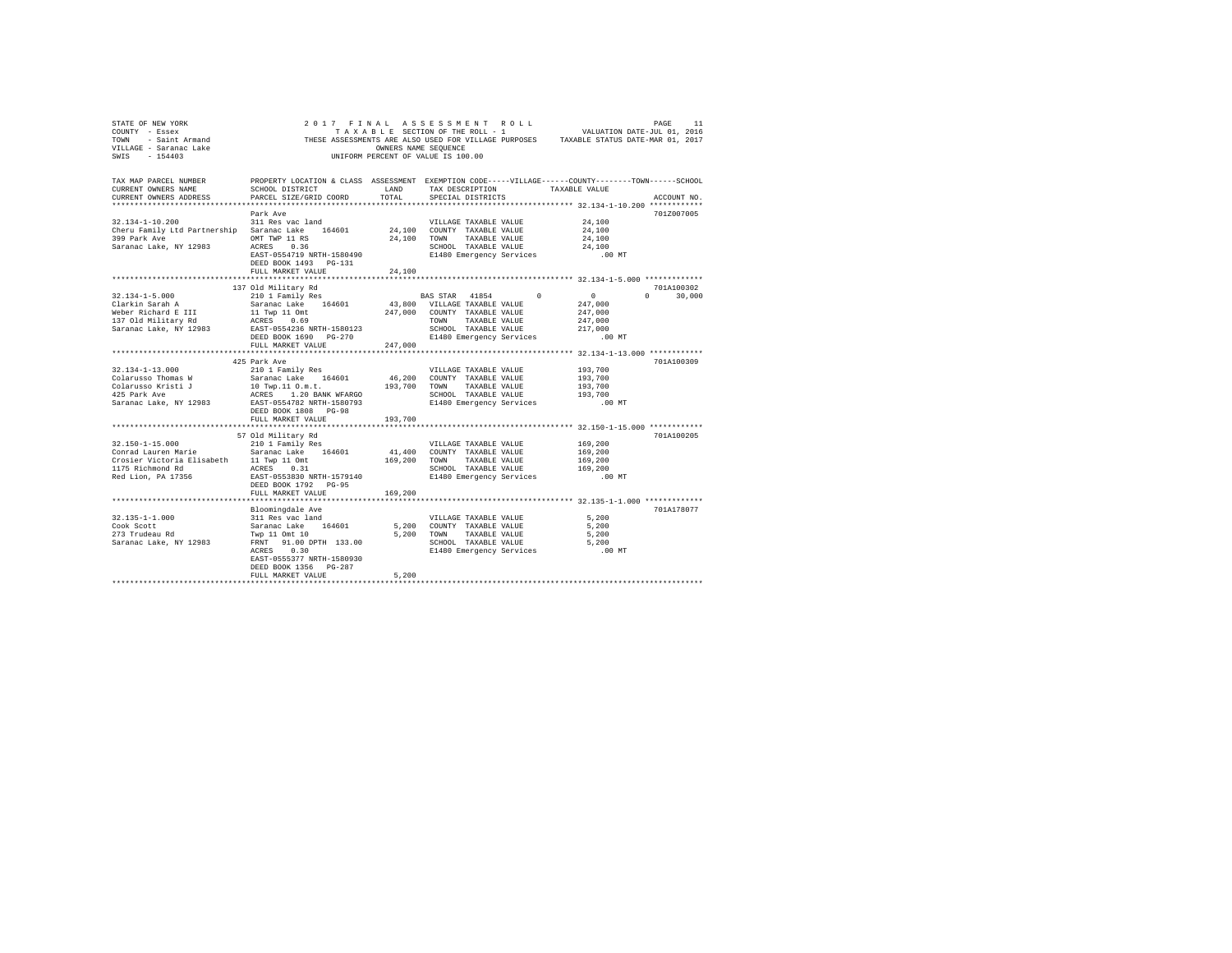| STATE OF NEW YORK<br>COUNTY - Essex<br>TOWN - Saint Armand<br>VILLAGE - Saranac Lake<br>SWIS - 154403 | 2017 FINAL ASSESSMENT ROLL                                                                                                                      | TAXABLE SECTION OF THE ROLL - 1<br>OWNERS NAME SEQUENCE<br>UNIFORM PERCENT OF VALUE IS 100.00 |                             |                       |                          | VALUATION DATE-JUL 01, 2016<br>THESE ASSESSMENTS ARE ALSO USED FOR VILLAGE PURPOSES TAXABLE STATUS DATE-MAR 01, 2017 | PAGE       | 11          |
|-------------------------------------------------------------------------------------------------------|-------------------------------------------------------------------------------------------------------------------------------------------------|-----------------------------------------------------------------------------------------------|-----------------------------|-----------------------|--------------------------|----------------------------------------------------------------------------------------------------------------------|------------|-------------|
| TAX MAP PARCEL NUMBER<br>CURRENT OWNERS NAME<br>CURRENT OWNERS ADDRESS                                | PROPERTY LOCATION & CLASS ASSESSMENT EXEMPTION CODE-----VILLAGE------COUNTY-------TOWN------SCHOOL<br>SCHOOL DISTRICT<br>PARCEL SIZE/GRID COORD | LAND<br>TOTAL                                                                                 |                             | SPECIAL DISTRICTS     |                          | TAX DESCRIPTION TAXABLE VALUE                                                                                        |            | ACCOUNT NO. |
|                                                                                                       |                                                                                                                                                 |                                                                                               |                             |                       |                          |                                                                                                                      | 701Z007005 |             |
| $32.134 - 1 - 10.200$                                                                                 | Park Ave<br>311 Res vac land                                                                                                                    |                                                                                               |                             | VILLAGE TAXABLE VALUE |                          | 24,100                                                                                                               |            |             |
| Cheru Family Ltd Partnership Saranac Lake 164601                                                      |                                                                                                                                                 |                                                                                               | 24,100 COUNTY TAXABLE VALUE |                       |                          | 24,100                                                                                                               |            |             |
| 399 Park Ave                                                                                          | OMT TWP 11 RS                                                                                                                                   | 24,100                                                                                        | TOWN                        | TAXABLE VALUE         |                          | 24,100                                                                                                               |            |             |
| Saranac Lake, NY 12983                                                                                | ACRES 0.36                                                                                                                                      |                                                                                               |                             |                       | SCHOOL TAXABLE VALUE     | 24,100                                                                                                               |            |             |
|                                                                                                       | EAST-0554719 NRTH-1580490                                                                                                                       |                                                                                               |                             |                       | E1480 Emergency Services | $.00$ MT                                                                                                             |            |             |
|                                                                                                       | DEED BOOK 1493 PG-131                                                                                                                           |                                                                                               |                             |                       |                          |                                                                                                                      |            |             |
|                                                                                                       | FULL MARKET VALUE                                                                                                                               | 24,100                                                                                        |                             |                       |                          |                                                                                                                      |            |             |
|                                                                                                       |                                                                                                                                                 |                                                                                               |                             |                       |                          |                                                                                                                      |            |             |
|                                                                                                       | 137 Old Military Rd                                                                                                                             |                                                                                               |                             |                       |                          |                                                                                                                      | 701A100302 |             |
| $32.134 - 1 - 5.000$                                                                                  | 210 1 Family Res                                                                                                                                |                                                                                               | BAS STAR 41854              |                       | $\Omega$                 | $\mathbf{0}$                                                                                                         | $\Omega$   | 30,000      |
| Clarkin Sarah A                                                                                       | Saranac Lake 164601                                                                                                                             | 43,800 VILLAGE TAXABLE VALUE                                                                  |                             |                       |                          | 247,000                                                                                                              |            |             |
| Weber Richard E III                                                                                   | 11 Twp 11 Omt                                                                                                                                   | 247,000                                                                                       |                             | COUNTY TAXABLE VALUE  |                          | 247,000                                                                                                              |            |             |
| 137 Old Military Rd                                                                                   | ACRES 0.69                                                                                                                                      |                                                                                               | <b>TOWN</b>                 | TAXABLE VALUE         |                          | 247,000                                                                                                              |            |             |
| Saranac Lake, NY 12983                                                                                | EAST-0554236 NRTH-1580123                                                                                                                       |                                                                                               |                             | SCHOOL TAXABLE VALUE  |                          | 217,000                                                                                                              |            |             |
|                                                                                                       | DEED BOOK 1690 PG-270                                                                                                                           |                                                                                               |                             |                       | E1480 Emergency Services | $.00$ MT                                                                                                             |            |             |
|                                                                                                       | FULL MARKET VALUE                                                                                                                               | 247,000                                                                                       |                             |                       |                          |                                                                                                                      |            |             |
|                                                                                                       | 425 Park Ave                                                                                                                                    |                                                                                               |                             |                       |                          |                                                                                                                      | 701A100309 |             |
| $32.134 - 1 - 13.000$                                                                                 | 210 1 Family Res                                                                                                                                |                                                                                               |                             | VILLAGE TAXABLE VALUE |                          | 193,700                                                                                                              |            |             |
| Colarusso Thomas W                                                                                    | Saranac Lake 164601                                                                                                                             | 46,200                                                                                        |                             | COUNTY TAXABLE VALUE  |                          | 193,700                                                                                                              |            |             |
| Colarusso Kristi J                                                                                    | 10 Twp.11 0.m.t.                                                                                                                                | 193,700                                                                                       | TOWN                        | TAXABLE VALUE         |                          | 193,700                                                                                                              |            |             |
| 425 Park Ave                                                                                          | ACRES 1.20 BANK WFARGO                                                                                                                          |                                                                                               |                             |                       | SCHOOL TAXABLE VALUE     | 193,700                                                                                                              |            |             |
| Saranac Lake, NY 12983                                                                                | EAST-0554782 NRTH-1580793                                                                                                                       |                                                                                               |                             |                       | E1480 Emergency Services | $.00$ MT                                                                                                             |            |             |
|                                                                                                       | DEED BOOK 1808 PG-98                                                                                                                            |                                                                                               |                             |                       |                          |                                                                                                                      |            |             |
|                                                                                                       | FULL MARKET VALUE                                                                                                                               | 193,700                                                                                       |                             |                       |                          |                                                                                                                      |            |             |
|                                                                                                       | **************************                                                                                                                      | ***********                                                                                   |                             |                       |                          |                                                                                                                      |            |             |
|                                                                                                       | 57 Old Military Rd                                                                                                                              |                                                                                               |                             |                       |                          |                                                                                                                      | 701A100205 |             |
| $32.150 - 1 - 15.000$                                                                                 | 210 1 Family Res                                                                                                                                |                                                                                               |                             | VILLAGE TAXABLE VALUE |                          | 169,200                                                                                                              |            |             |
| Conrad Lauren Marie                                                                                   | Saranac Lake 164601                                                                                                                             | 41,400                                                                                        |                             | COUNTY TAXABLE VALUE  |                          | 169,200                                                                                                              |            |             |
| Crosier Victoria Elisabeth                                                                            | 11 Twp 11 Omt<br>ACRES 0.31                                                                                                                     | 169,200                                                                                       | TOWN                        | TAXABLE VALUE         |                          | 169,200                                                                                                              |            |             |
| 1175 Richmond Rd                                                                                      | EAST-0553830 NRTH-1579140                                                                                                                       |                                                                                               |                             |                       | SCHOOL TAXABLE VALUE     | 169,200<br>.00 MT                                                                                                    |            |             |
| Red Lion, PA 17356                                                                                    | DEED BOOK 1792 PG-95                                                                                                                            |                                                                                               |                             |                       | E1480 Emergency Services |                                                                                                                      |            |             |
|                                                                                                       | FULL MARKET VALUE                                                                                                                               | 169,200                                                                                       |                             |                       |                          |                                                                                                                      |            |             |
|                                                                                                       | Bloomingdale Ave                                                                                                                                |                                                                                               |                             |                       |                          |                                                                                                                      | 701A178077 |             |
| $32.135 - 1 - 1.000$                                                                                  | 311 Res vac land                                                                                                                                |                                                                                               |                             | VILLAGE TAXABLE VALUE |                          | 5,200                                                                                                                |            |             |
| Cook Scott                                                                                            | Saranac Lake 164601                                                                                                                             | 5,200                                                                                         |                             | COUNTY TAXABLE VALUE  |                          | 5,200                                                                                                                |            |             |
| 273 Trudeau Rd                                                                                        | Twp 11 Omt 10                                                                                                                                   | 5.200                                                                                         | TOWN                        | TAXABLE VALUE         |                          | 5,200                                                                                                                |            |             |
| Saranac Lake, NY 12983                                                                                | FRNT 91.00 DPTH 133.00                                                                                                                          |                                                                                               |                             |                       | SCHOOL TAXABLE VALUE     | 5,200                                                                                                                |            |             |
|                                                                                                       | 0.30<br>ACRES                                                                                                                                   |                                                                                               |                             |                       | E1480 Emergency Services | $.00$ MT                                                                                                             |            |             |
|                                                                                                       | EAST-0555377 NRTH-1580930                                                                                                                       |                                                                                               |                             |                       |                          |                                                                                                                      |            |             |
|                                                                                                       | DEED BOOK 1356 PG-287                                                                                                                           |                                                                                               |                             |                       |                          |                                                                                                                      |            |             |
|                                                                                                       | FULL MARKET VALUE                                                                                                                               | 5.200                                                                                         |                             |                       |                          |                                                                                                                      |            |             |
|                                                                                                       |                                                                                                                                                 |                                                                                               |                             |                       |                          |                                                                                                                      |            |             |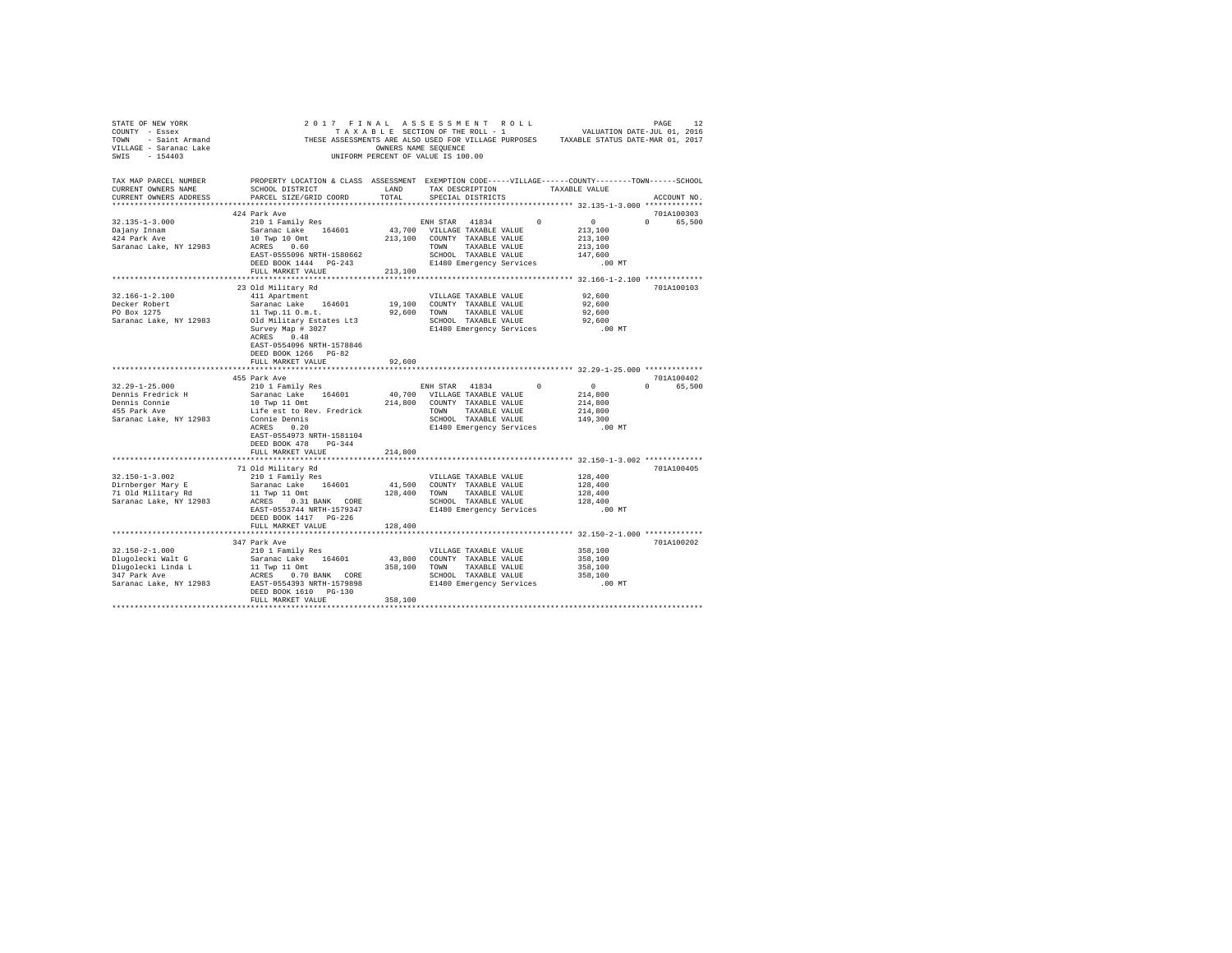| STATE OF NEW YORK FRACE ASSESS ON EXAMPLE AS A STRIP OF A SAMPLE PARK ON THE SERVIT - ESSEX ASSESSMENT SAMPLE ON TAXABLE STATE OF THE TOWN THEST ASSESSMENTS ARE ALSO USED FOR VILLAGE PURPOSES TAXABLE STATUS DATE-HAR 01, 20<br>SWIS - 154403                                                                                                                                                         |                                                                                                                                                                                                                               | UNIFORM PERCENT OF VALUE IS 100.00   |                       |  |                              |          |             |  |
|---------------------------------------------------------------------------------------------------------------------------------------------------------------------------------------------------------------------------------------------------------------------------------------------------------------------------------------------------------------------------------------------------------|-------------------------------------------------------------------------------------------------------------------------------------------------------------------------------------------------------------------------------|--------------------------------------|-----------------------|--|------------------------------|----------|-------------|--|
| TAX MAP PARCEL NUMBER PROPERTY LOCATION & CLASS ASSESSMENT EXEMPTION CODE-----VILLAGE-----COUNTY-------TOWN------SCHOOL<br>CURRENT OWNERS NAME<br>CURRENT OWNERS ADDRESS                                                                                                                                                                                                                                | SCHOOL DISTRICT $\hfill$ LAND $\hfill$ TAX DESCRIPTION $\hfill$ TAXABLE VALUE<br>PARCEL SIZE/GRID COORD                                                                                                                       | TOTAL                                | SPECIAL DISTRICTS     |  |                              |          | ACCOUNT NO. |  |
|                                                                                                                                                                                                                                                                                                                                                                                                         |                                                                                                                                                                                                                               |                                      |                       |  |                              |          |             |  |
|                                                                                                                                                                                                                                                                                                                                                                                                         | 424 Park Ave                                                                                                                                                                                                                  |                                      |                       |  |                              |          | 701A100303  |  |
| $\begin{tabular}{l c c c c c} \multicolumn{1}{c c c c} \multicolumn{1}{c c c} \multicolumn{1}{c c c} \multicolumn{1}{c c c} \multicolumn{1}{c c c} \multicolumn{1}{c c c} \multicolumn{1}{c c c} \multicolumn{1}{c c c} \multicolumn{1}{c c c} \multicolumn{1}{c c c} \multicolumn{1}{c c c} \multicolumn{1}{c c c} \multicolumn{1}{c c c} \multicolumn{1}{c c c} \multicolumn{1}{c c c} \multicolumn{$ |                                                                                                                                                                                                                               |                                      |                       |  |                              |          | 0 65,500    |  |
|                                                                                                                                                                                                                                                                                                                                                                                                         |                                                                                                                                                                                                                               |                                      |                       |  |                              |          |             |  |
|                                                                                                                                                                                                                                                                                                                                                                                                         |                                                                                                                                                                                                                               |                                      |                       |  |                              |          |             |  |
|                                                                                                                                                                                                                                                                                                                                                                                                         |                                                                                                                                                                                                                               |                                      |                       |  |                              |          |             |  |
|                                                                                                                                                                                                                                                                                                                                                                                                         |                                                                                                                                                                                                                               |                                      |                       |  |                              |          |             |  |
|                                                                                                                                                                                                                                                                                                                                                                                                         | FULL MARKET VALUE                                                                                                                                                                                                             | 213,100                              |                       |  |                              |          |             |  |
|                                                                                                                                                                                                                                                                                                                                                                                                         |                                                                                                                                                                                                                               |                                      |                       |  |                              |          |             |  |
|                                                                                                                                                                                                                                                                                                                                                                                                         | 23 Old Militarv Rd                                                                                                                                                                                                            |                                      |                       |  |                              |          | 701A100103  |  |
| $32.166 - 1 - 2.100$                                                                                                                                                                                                                                                                                                                                                                                    | 411 Apartment                                                                                                                                                                                                                 |                                      |                       |  | VILLAGE TAXABLE VALUE 92,600 |          |             |  |
| Decker Robert                                                                                                                                                                                                                                                                                                                                                                                           | Saranac Lake 164601                                                                                                                                                                                                           | 19,100 COUNTY TAXABLE VALUE          |                       |  |                              | 92,600   |             |  |
| PO Box 1275                                                                                                                                                                                                                                                                                                                                                                                             |                                                                                                                                                                                                                               |                                      |                       |  |                              |          |             |  |
| Saranac Lake, NY 12983                                                                                                                                                                                                                                                                                                                                                                                  | Unit and the second of the section of the section of the section of the section of the section of the section of the section of the section of the section of the section of the section of the section of the section of the |                                      |                       |  |                              |          |             |  |
|                                                                                                                                                                                                                                                                                                                                                                                                         |                                                                                                                                                                                                                               |                                      |                       |  |                              | $.00$ MT |             |  |
|                                                                                                                                                                                                                                                                                                                                                                                                         | ACRES 0.48                                                                                                                                                                                                                    |                                      |                       |  |                              |          |             |  |
|                                                                                                                                                                                                                                                                                                                                                                                                         | EAST-0554096 NRTH-1578846                                                                                                                                                                                                     |                                      |                       |  |                              |          |             |  |
|                                                                                                                                                                                                                                                                                                                                                                                                         | DEED BOOK 1266 PG-82                                                                                                                                                                                                          |                                      |                       |  |                              |          |             |  |
|                                                                                                                                                                                                                                                                                                                                                                                                         | FULL MARKET VALUE                                                                                                                                                                                                             | 92,600                               |                       |  |                              |          |             |  |
|                                                                                                                                                                                                                                                                                                                                                                                                         | 455 Park Ave                                                                                                                                                                                                                  |                                      |                       |  |                              |          | 701A100402  |  |
| $32.29 - 1 - 25.000$                                                                                                                                                                                                                                                                                                                                                                                    | 210 1 Family Res                                                                                                                                                                                                              |                                      |                       |  | ENH STAR 41834 0 0           |          | 0 65,500    |  |
|                                                                                                                                                                                                                                                                                                                                                                                                         |                                                                                                                                                                                                                               |                                      |                       |  |                              |          |             |  |
|                                                                                                                                                                                                                                                                                                                                                                                                         |                                                                                                                                                                                                                               |                                      |                       |  |                              |          |             |  |
|                                                                                                                                                                                                                                                                                                                                                                                                         |                                                                                                                                                                                                                               |                                      |                       |  |                              |          |             |  |
|                                                                                                                                                                                                                                                                                                                                                                                                         |                                                                                                                                                                                                                               |                                      |                       |  |                              |          |             |  |
|                                                                                                                                                                                                                                                                                                                                                                                                         |                                                                                                                                                                                                                               |                                      |                       |  |                              |          |             |  |
|                                                                                                                                                                                                                                                                                                                                                                                                         | EAST-0554973 NRTH-1581104                                                                                                                                                                                                     |                                      |                       |  |                              |          |             |  |
|                                                                                                                                                                                                                                                                                                                                                                                                         | DEED BOOK 478 PG-344                                                                                                                                                                                                          |                                      |                       |  |                              |          |             |  |
|                                                                                                                                                                                                                                                                                                                                                                                                         | FULL MARKET VALUE                                                                                                                                                                                                             | 214,800                              |                       |  |                              |          |             |  |
|                                                                                                                                                                                                                                                                                                                                                                                                         |                                                                                                                                                                                                                               |                                      |                       |  |                              |          |             |  |
|                                                                                                                                                                                                                                                                                                                                                                                                         | 71 Old Military Rd                                                                                                                                                                                                            |                                      |                       |  |                              |          | 701A100405  |  |
| 32.150-1-3.002                                                                                                                                                                                                                                                                                                                                                                                          | 210 1 Family Res                                                                                                                                                                                                              |                                      | VILLAGE TAXABLE VALUE |  |                              | 128,400  |             |  |
|                                                                                                                                                                                                                                                                                                                                                                                                         |                                                                                                                                                                                                                               | $41\,,500$ $\,$ COUNTY TAXABLE VALUE |                       |  |                              |          |             |  |
|                                                                                                                                                                                                                                                                                                                                                                                                         |                                                                                                                                                                                                                               |                                      |                       |  |                              |          |             |  |
|                                                                                                                                                                                                                                                                                                                                                                                                         |                                                                                                                                                                                                                               |                                      |                       |  |                              |          |             |  |
|                                                                                                                                                                                                                                                                                                                                                                                                         |                                                                                                                                                                                                                               |                                      |                       |  |                              |          |             |  |
|                                                                                                                                                                                                                                                                                                                                                                                                         | FULL MARKET VALUE                                                                                                                                                                                                             | 128,400                              |                       |  |                              |          |             |  |
|                                                                                                                                                                                                                                                                                                                                                                                                         |                                                                                                                                                                                                                               |                                      |                       |  |                              |          |             |  |
|                                                                                                                                                                                                                                                                                                                                                                                                         | 347 Park Ave                                                                                                                                                                                                                  |                                      |                       |  |                              |          | 701A100202  |  |
| 32.150-2-1.000                                                                                                                                                                                                                                                                                                                                                                                          | 210 1 Family Res                                                                                                                                                                                                              |                                      | VILLAGE TAXABLE VALUE |  |                              | 358,100  |             |  |
|                                                                                                                                                                                                                                                                                                                                                                                                         |                                                                                                                                                                                                                               |                                      |                       |  |                              |          |             |  |
|                                                                                                                                                                                                                                                                                                                                                                                                         |                                                                                                                                                                                                                               |                                      |                       |  |                              |          |             |  |
|                                                                                                                                                                                                                                                                                                                                                                                                         |                                                                                                                                                                                                                               |                                      |                       |  |                              |          |             |  |
|                                                                                                                                                                                                                                                                                                                                                                                                         |                                                                                                                                                                                                                               |                                      |                       |  |                              | $.00$ MT |             |  |
|                                                                                                                                                                                                                                                                                                                                                                                                         | DEED BOOK 1610 PG-130                                                                                                                                                                                                         |                                      |                       |  |                              |          |             |  |
|                                                                                                                                                                                                                                                                                                                                                                                                         | FULL MARKET VALUE                                                                                                                                                                                                             | 358,100                              |                       |  |                              |          |             |  |
|                                                                                                                                                                                                                                                                                                                                                                                                         |                                                                                                                                                                                                                               |                                      |                       |  |                              |          |             |  |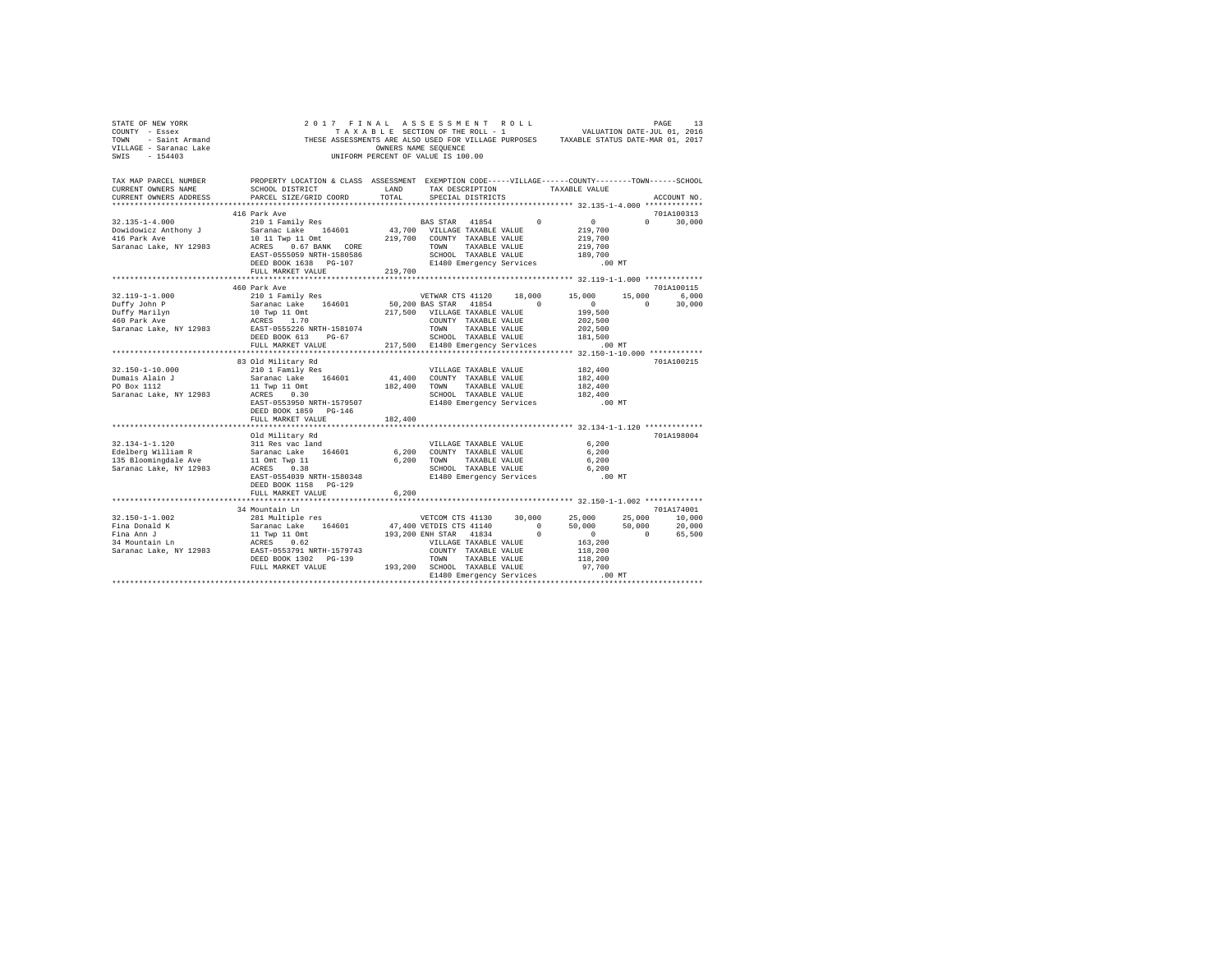| SWIS - 154403                                                                                   | $\begin{array}{cccccccccccccc} \texttt{STATE OF NEW YORK} & & & & & 2\ 0\ 1\ 7\ & & & & 2\ 0\ 1\ 7\ & & & & 1\ 0\ \texttt{COMYT} & & & & & & \texttt{T}\ \texttt{COMPT} & & & & & & & & \texttt{T}\ \texttt{COMPT} & & & & & & & & & \texttt{T}\ \texttt{COMPT} & & & & & & & & & \texttt{T}\ \texttt{COMPT} & & & & & & & & & \texttt{T}\ \texttt{COMPT} & & & & & & & & & \texttt{T}\ \texttt{COMPT} & & & & & & & & & \texttt{T}\ \texttt{COMPT}$                                                                                                                                   |               | UNIFORM PERCENT OF VALUE IS 100.00                                                                                                |               |                                            |                                                              |
|-------------------------------------------------------------------------------------------------|----------------------------------------------------------------------------------------------------------------------------------------------------------------------------------------------------------------------------------------------------------------------------------------------------------------------------------------------------------------------------------------------------------------------------------------------------------------------------------------------------------------------------------------------------------------------------------------|---------------|-----------------------------------------------------------------------------------------------------------------------------------|---------------|--------------------------------------------|--------------------------------------------------------------|
| TAX MAP PARCEL NUMBER<br>CURRENT OWNERS NAME<br>CURRENT OWNERS ADDRESS                          | PROPERTY LOCATION & CLASS ASSESSMENT EXEMPTION CODE-----VILLAGE------COUNTY-------TOWN------SCHOOL<br>SCHOOL DISTRICT<br>PARCEL SIZE/GRID COORD                                                                                                                                                                                                                                                                                                                                                                                                                                        | LAND<br>TOTAL | TAX DESCRIPTION TAXABLE VALUE<br>SPECIAL DISTRICTS                                                                                |               |                                            | ACCOUNT NO.                                                  |
|                                                                                                 | 416 Park Ave                                                                                                                                                                                                                                                                                                                                                                                                                                                                                                                                                                           |               |                                                                                                                                   |               |                                            | 701A100313<br>$0 \t 30.000$                                  |
|                                                                                                 |                                                                                                                                                                                                                                                                                                                                                                                                                                                                                                                                                                                        |               |                                                                                                                                   |               |                                            |                                                              |
| $32.119 - 1 - 1.000$<br>Duffy John P<br>Duffy Marilyn<br>460 Park Ave<br>Saranac Lake, NY 12983 | EAST-0555226 NRTH-1581074                                                                                                                                                                                                                                                                                                                                                                                                                                                                                                                                                              |               | TOWN<br>TAXABLE VALUE                                                                                                             |               | 202,500                                    | 701A100115<br>15,000 6,000<br>$0 \t 30.000$                  |
|                                                                                                 | DEED BOOK 613 PG-67<br>FULL MARKET VALUE                                                                                                                                                                                                                                                                                                                                                                                                                                                                                                                                               |               | SCHOOL TAXABLE VALUE 181,500<br>217,500 E1480 Emergency Services .00 MT                                                           |               |                                            |                                                              |
| 32.150-1-10.000<br>Dumais Alain J<br>PO Box 1112<br>Saranac Lake, NY 12983                      | 83 Old Military Rd<br>210 1 Family Res<br>210 1 Family Res<br>Saranac Lake 164601 41,400 COUNTY TAXABLE VALUE<br>11 Twp 11 Omt<br>ACRES 0.30<br>EAST-0553950 NRTH-1579507<br>DEED BOOK 1859 PG-146                                                                                                                                                                                                                                                                                                                                                                                     |               | VILLAGE TAXABLE VALUE 182,400<br>182,400 TOWN TAXABLE VALUE<br>SCHOOL TAXABLE VALUE<br>SCHOOL IMANULL<br>E1480 Emergency Services |               | 182,400<br>182,400<br>182,400<br>.00 MT    | 701A100215                                                   |
|                                                                                                 | FULL MARKET VALUE                                                                                                                                                                                                                                                                                                                                                                                                                                                                                                                                                                      | 182,400       |                                                                                                                                   |               |                                            |                                                              |
|                                                                                                 | Old Military Rd<br>$111 \text{ Res } \text{vac} \text{ land} \begin{array}{l} \text{511} \text{ Res } \text{vac} \text{ land} \\ \text{521} \text{ data} \text{ } \text{Total} \text{ } \text{C} \text{ } \text{C} \text{ } \text{MME} \text{ } \text{ } \text{N} \text{ } \text{ } \text{MME} \text{ } \text{ } \text{S} \text{ } \text{ } \text{MME} \text{ } \text{ } \text{ } \text{MME} \text{ } \text{ } \text{ } \text{MME} \text{ } \text{ } \text{ } \text{MME} \text{ } \text{ } \text{ } \text{$<br>EAST-0554039 NRTH-1580348<br>DEED BOOK 1158 PG-129<br>FULL MARKET VALUE | 6,200         | SCHOOL TAXABLE VALUE<br>E1480 Emergency Services                                                                                  |               | 6,200<br>6,200<br>6,200<br>6,200<br>.00 MT | 701A198004                                                   |
|                                                                                                 | ************************                                                                                                                                                                                                                                                                                                                                                                                                                                                                                                                                                               |               |                                                                                                                                   |               |                                            |                                                              |
| $32.150 - 1 - 1.002$<br>Fina Donald K<br>Fina Ann J<br>34 Mountain Ln                           | 34 Mountain Ln<br>281 Multiple res<br>Saranac Lake 164601<br>11 Twp 11 Omt<br>ACRES 0.62                                                                                                                                                                                                                                                                                                                                                                                                                                                                                               |               | VETCOM CTS 41130 30,000 25,000<br>47,400 VETDIS CTS 41140 0 50,000<br>193,200 ENH STAR 41834 0 0                                  |               |                                            | 701A174001<br>25,000 10,000<br>$50,000$ $20,000$<br>0 65,500 |
|                                                                                                 | FULL MARKET VALUE                                                                                                                                                                                                                                                                                                                                                                                                                                                                                                                                                                      |               | VILLAGE TAXABLE VALUE<br>COUNTY TAXABLE VALUE<br>TOWN<br>193,200 SCHOOL TAXABLE VALUE                                             | TAXABLE VALUE | 163,200<br>118,200<br>118,200<br>97,700    |                                                              |
|                                                                                                 |                                                                                                                                                                                                                                                                                                                                                                                                                                                                                                                                                                                        |               | E1480 Emergency Services                                                                                                          |               | .00 MT                                     |                                                              |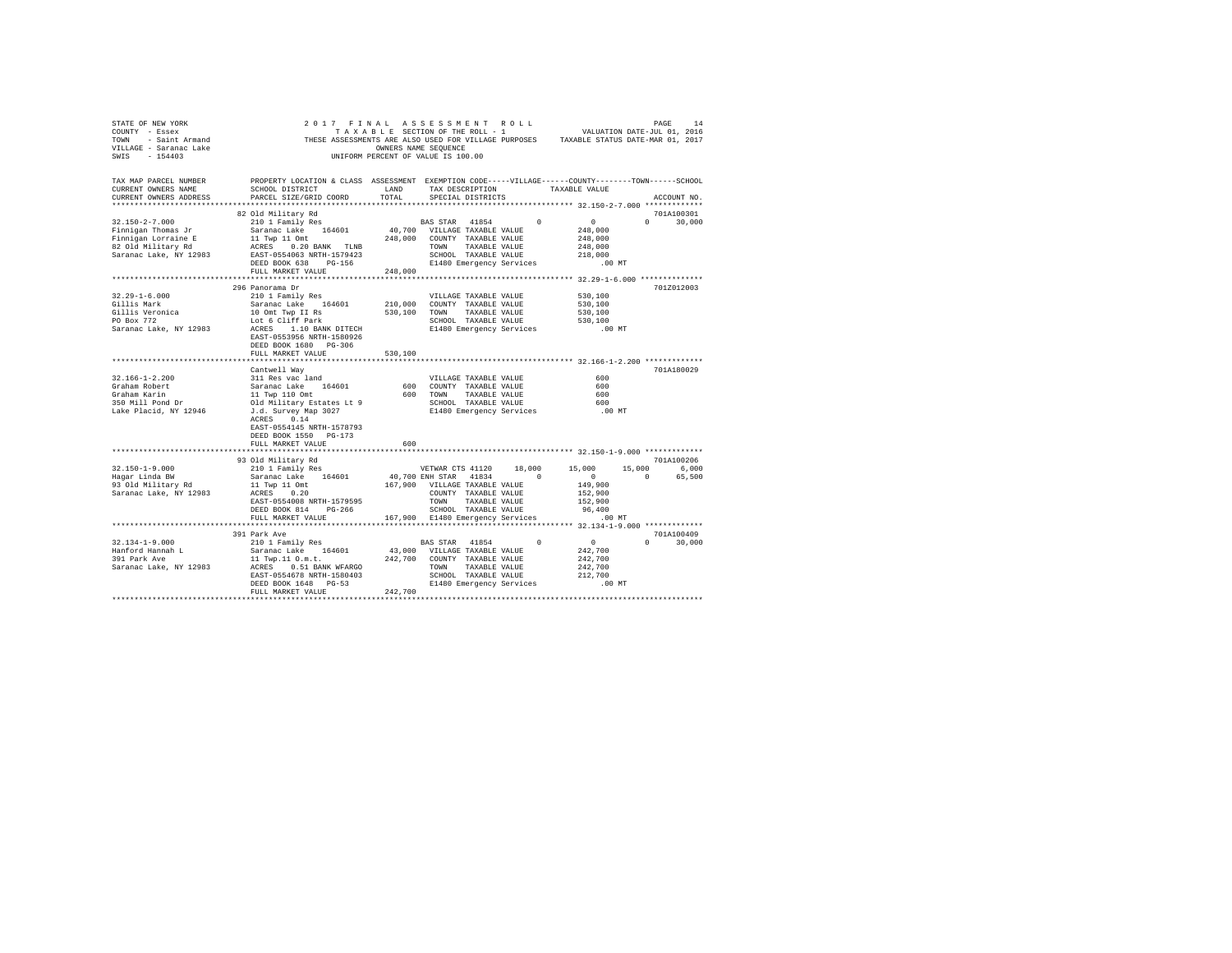| SWIS - 154403                                                                                                                                                                                                                                                                                                                                                                                                                                                                                                    | OWNERS NAME SEQUENCE<br>UNIFORM PERCENT OF VALUE IS 100.00                                                                                                                |         |                                                                            |                                                                        |               |
|------------------------------------------------------------------------------------------------------------------------------------------------------------------------------------------------------------------------------------------------------------------------------------------------------------------------------------------------------------------------------------------------------------------------------------------------------------------------------------------------------------------|---------------------------------------------------------------------------------------------------------------------------------------------------------------------------|---------|----------------------------------------------------------------------------|------------------------------------------------------------------------|---------------|
| TAX MAP PARCEL NUMBER     PROPERTY LOCATION & CLASS ASSESSMENT EXEMPTION CODE-----VILLAGE-----COUNTY-------TOWN------SCHOOL<br>CURRENT OWNERS NAME     SCHOOL DISTRICT     LAND   TAX DESCRIPTION     TAXABLE VALUE<br>CURRENT OWNERS ADDRESS                                                                                                                                                                                                                                                                    | PARCEL SIZE/GRID COORD                                                                                                                                                    | TOTAL   | SPECIAL DISTRICTS                                                          |                                                                        | ACCOUNT NO.   |
|                                                                                                                                                                                                                                                                                                                                                                                                                                                                                                                  |                                                                                                                                                                           |         |                                                                            |                                                                        |               |
|                                                                                                                                                                                                                                                                                                                                                                                                                                                                                                                  | 82 Old Military Rd                                                                                                                                                        |         |                                                                            |                                                                        | 701A100301    |
|                                                                                                                                                                                                                                                                                                                                                                                                                                                                                                                  |                                                                                                                                                                           |         |                                                                            |                                                                        | $0 \t30,000$  |
|                                                                                                                                                                                                                                                                                                                                                                                                                                                                                                                  |                                                                                                                                                                           |         |                                                                            |                                                                        |               |
|                                                                                                                                                                                                                                                                                                                                                                                                                                                                                                                  |                                                                                                                                                                           |         |                                                                            |                                                                        |               |
|                                                                                                                                                                                                                                                                                                                                                                                                                                                                                                                  |                                                                                                                                                                           |         |                                                                            |                                                                        |               |
|                                                                                                                                                                                                                                                                                                                                                                                                                                                                                                                  |                                                                                                                                                                           |         | SCHOOL TAXABLE VALUE<br>E1480 Emergency Services                           |                                                                        |               |
|                                                                                                                                                                                                                                                                                                                                                                                                                                                                                                                  | DEED BOOK 638 PG-156                                                                                                                                                      |         |                                                                            | $.00$ MT                                                               |               |
|                                                                                                                                                                                                                                                                                                                                                                                                                                                                                                                  | FULL MARKET VALUE                                                                                                                                                         | 248,000 |                                                                            |                                                                        |               |
|                                                                                                                                                                                                                                                                                                                                                                                                                                                                                                                  |                                                                                                                                                                           |         |                                                                            |                                                                        |               |
| $32.29 - 1 - 6.000$                                                                                                                                                                                                                                                                                                                                                                                                                                                                                              | 296 Panorama Dr                                                                                                                                                           |         |                                                                            | 530,100                                                                | 701Z012003    |
| Gillis Mark                                                                                                                                                                                                                                                                                                                                                                                                                                                                                                      | 210 1 Family Res<br>Saranac Lake 164601 210,000 COUNTY TAXABLE VALUE<br>10 OUT TWO II RS 164601 530,100 TOWN TAXABLE VALUE<br>LOT 6 Cliff Park 530,100 TOWN TAXABLE VALUE |         |                                                                            | 530,100                                                                |               |
|                                                                                                                                                                                                                                                                                                                                                                                                                                                                                                                  |                                                                                                                                                                           |         |                                                                            | 530,100                                                                |               |
| Gillis Veronica<br>PO Box 772                                                                                                                                                                                                                                                                                                                                                                                                                                                                                    |                                                                                                                                                                           |         |                                                                            | 530,100                                                                |               |
|                                                                                                                                                                                                                                                                                                                                                                                                                                                                                                                  |                                                                                                                                                                           |         | E1480 Emergency Services                                                   | .00 MT                                                                 |               |
| $\texttt{Saranac Lake, NY 12983}\footnotesize \texttt{LOC 6 Cliff Park}\footnotesize \texttt{SCHODC. TAXABLE VALUE}\footnotesize \texttt{NADE RAYLUE} \footnotesize \texttt{SCH00L} \footnotesize \texttt{RAYLUE} \footnotesize \texttt{SCH00L} \footnotesize \texttt{RAYLUE} \footnotesize \texttt{SCH00L} \footnotesize \texttt{RAYLUE} \footnotesize \texttt{SCH00L} \footnotesize \texttt{RAYLUE} \footnotesize \texttt{SCH00L} \footnotesize \texttt{RAYLUE} \footnotesize \texttt{SCH00L} \footnotesize \$ |                                                                                                                                                                           |         |                                                                            |                                                                        |               |
|                                                                                                                                                                                                                                                                                                                                                                                                                                                                                                                  | DEED BOOK 1680 PG-306                                                                                                                                                     |         |                                                                            |                                                                        |               |
|                                                                                                                                                                                                                                                                                                                                                                                                                                                                                                                  | FULL MARKET VALUE                                                                                                                                                         | 530,100 |                                                                            |                                                                        |               |
|                                                                                                                                                                                                                                                                                                                                                                                                                                                                                                                  |                                                                                                                                                                           |         |                                                                            |                                                                        |               |
|                                                                                                                                                                                                                                                                                                                                                                                                                                                                                                                  | Cantwell Wav                                                                                                                                                              |         |                                                                            |                                                                        | 701A180029    |
| $32.166 - 1 - 2.200$                                                                                                                                                                                                                                                                                                                                                                                                                                                                                             | 311 Res vac land                                                                                                                                                          |         | VILLAGE TAXABLE VALUE<br>600 COUNTY TAXABLE VALUE<br>VILLAGE TAXABLE VALUE | 600                                                                    |               |
|                                                                                                                                                                                                                                                                                                                                                                                                                                                                                                                  |                                                                                                                                                                           |         |                                                                            | 600                                                                    |               |
|                                                                                                                                                                                                                                                                                                                                                                                                                                                                                                                  |                                                                                                                                                                           |         | 600 TOWN TAXABLE VALUE                                                     | 600                                                                    |               |
|                                                                                                                                                                                                                                                                                                                                                                                                                                                                                                                  |                                                                                                                                                                           |         |                                                                            | SCHOOL TAXABLE VALUE 600<br>E1480 Emergency Services 600 MT            |               |
|                                                                                                                                                                                                                                                                                                                                                                                                                                                                                                                  |                                                                                                                                                                           |         |                                                                            |                                                                        |               |
|                                                                                                                                                                                                                                                                                                                                                                                                                                                                                                                  |                                                                                                                                                                           |         |                                                                            |                                                                        |               |
|                                                                                                                                                                                                                                                                                                                                                                                                                                                                                                                  |                                                                                                                                                                           |         |                                                                            |                                                                        |               |
|                                                                                                                                                                                                                                                                                                                                                                                                                                                                                                                  | DEED BOOK 1550 PG-173                                                                                                                                                     |         |                                                                            |                                                                        |               |
|                                                                                                                                                                                                                                                                                                                                                                                                                                                                                                                  | FULL MARKET VALUE                                                                                                                                                         | 600     |                                                                            |                                                                        |               |
|                                                                                                                                                                                                                                                                                                                                                                                                                                                                                                                  | 93 Old Military Rd                                                                                                                                                        |         |                                                                            |                                                                        | 701A100206    |
| $32.150 - 1 - 9.000$                                                                                                                                                                                                                                                                                                                                                                                                                                                                                             | 210 1 Family Res                                                                                                                                                          |         |                                                                            |                                                                        |               |
| Hagar Linda BW                                                                                                                                                                                                                                                                                                                                                                                                                                                                                                   | 10 1 Family Res<br>210 1 Family Res<br>210 1 Family Res<br>210 1 Family Res<br>30 10 10 65,500<br>20 16,000<br>20 65,500                                                  |         |                                                                            |                                                                        |               |
| 93 Old Military Rd                                                                                                                                                                                                                                                                                                                                                                                                                                                                                               |                                                                                                                                                                           |         | 167,900 VILLAGE TAXABLE VALUE                                              | 149,900                                                                |               |
| Saranac Lake, NY 12983                                                                                                                                                                                                                                                                                                                                                                                                                                                                                           | 11 Twp 11 Omt<br>ACRES 0.20                                                                                                                                               |         | COUNTY TAXABLE VALUE                                                       | 152,900                                                                |               |
|                                                                                                                                                                                                                                                                                                                                                                                                                                                                                                                  | EAST-0554008 NRTH-1579595                                                                                                                                                 |         |                                                                            | 152,900                                                                |               |
|                                                                                                                                                                                                                                                                                                                                                                                                                                                                                                                  | DEED BOOK 814 PG-266                                                                                                                                                      |         | TOWN TAXABLE VALUE<br>SCHOOL TAXABLE VALUE                                 |                                                                        |               |
|                                                                                                                                                                                                                                                                                                                                                                                                                                                                                                                  | FULL MARKET VALUE                                                                                                                                                         |         |                                                                            | SCHOOL TAXABLE VALUE 96,400<br>167,900 E1480 Emergency Services .00 MT |               |
|                                                                                                                                                                                                                                                                                                                                                                                                                                                                                                                  |                                                                                                                                                                           |         |                                                                            |                                                                        |               |
|                                                                                                                                                                                                                                                                                                                                                                                                                                                                                                                  |                                                                                                                                                                           |         |                                                                            |                                                                        |               |
|                                                                                                                                                                                                                                                                                                                                                                                                                                                                                                                  | 391 Park Ave                                                                                                                                                              |         |                                                                            |                                                                        | 701A100409    |
| $32.134 - 1 - 9.000$                                                                                                                                                                                                                                                                                                                                                                                                                                                                                             |                                                                                                                                                                           |         | BAS STAR 41854 0 0                                                         |                                                                        | $0 \t 30.000$ |
|                                                                                                                                                                                                                                                                                                                                                                                                                                                                                                                  | 210 1 Family Res                                                                                                                                                          |         |                                                                            | 242,700                                                                |               |
| Hanford Hannah L<br>391 Park Ave                                                                                                                                                                                                                                                                                                                                                                                                                                                                                 | Saranac Lake 164601 43,000 VILLAGE TAXABLE VALUE<br>11 Twp.11 O.m.t. 242,700 COUNTY TAXABLE VALUE                                                                         |         |                                                                            | 242,700                                                                |               |
|                                                                                                                                                                                                                                                                                                                                                                                                                                                                                                                  |                                                                                                                                                                           |         |                                                                            | 242,700                                                                |               |
|                                                                                                                                                                                                                                                                                                                                                                                                                                                                                                                  |                                                                                                                                                                           |         |                                                                            | 212,700                                                                |               |
|                                                                                                                                                                                                                                                                                                                                                                                                                                                                                                                  |                                                                                                                                                                           |         |                                                                            | $.00$ MT                                                               |               |
|                                                                                                                                                                                                                                                                                                                                                                                                                                                                                                                  | FULL MARKET VALUE                                                                                                                                                         | 242,700 |                                                                            |                                                                        |               |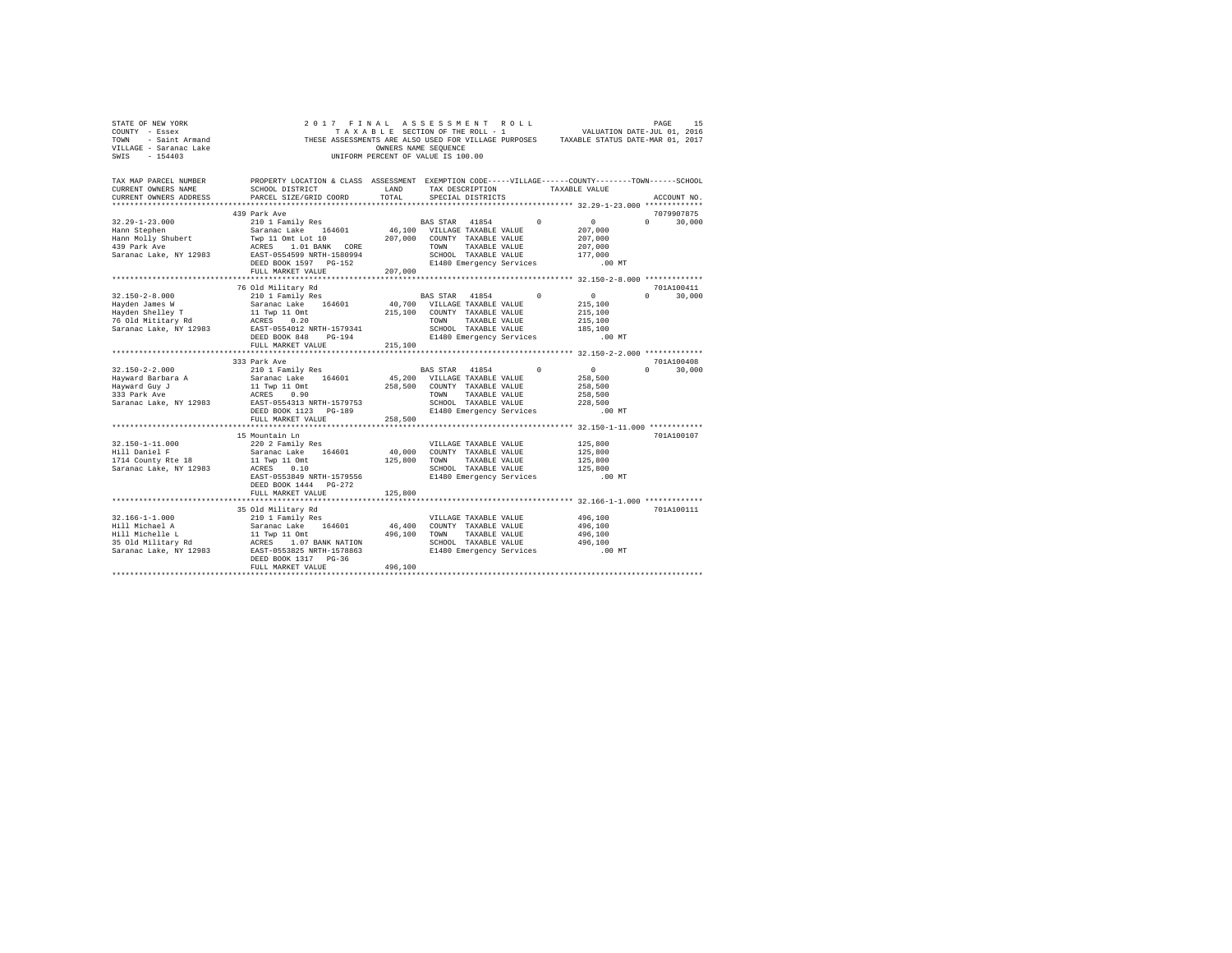| STATE OF NEW YORK<br>COUNTY - Essex<br>TOWN - Saint Armand<br>VILLAGE - Saranac Lake<br>$-154403$<br>SWTS | THESE ASSESSMENTS ARE ALSO USED FOR VILLAGE PURPOSES TAXABLE STATUS DATE-MAR 01, 2017                                                                               | OWNERS NAME SEQUENCE | 2017 FINAL ASSESSMENT ROLL<br>TAXABLE SECTION OF THE ROLL - 1<br>UNIFORM PERCENT OF VALUE IS 100.00        |          | VALUATION DATE-JUL 01, 2016                   | PAGE     | 15                   |
|-----------------------------------------------------------------------------------------------------------|---------------------------------------------------------------------------------------------------------------------------------------------------------------------|----------------------|------------------------------------------------------------------------------------------------------------|----------|-----------------------------------------------|----------|----------------------|
| TAX MAP PARCEL NUMBER<br>CURRENT OWNERS NAME<br>CURRENT OWNERS ADDRESS                                    | PROPERTY LOCATION & CLASS ASSESSMENT EXEMPTION CODE-----VILLAGE------COUNTY-------TOWN------SCHOOL<br>SCHOOL DISTRICT<br>PARCEL SIZE/GRID COORD<br>**************** | LAND<br>TOTAL.       | TAX DESCRIPTION<br>SPECIAL DISTRICTS                                                                       |          | TAXABLE VALUE                                 |          | ACCOUNT NO.          |
|                                                                                                           |                                                                                                                                                                     |                      |                                                                                                            |          | **************** 32.29-1-23.000 ************* |          |                      |
| $32.29 - 1 - 23.000$                                                                                      | 439 Park Ave<br>210 1 Family Res                                                                                                                                    |                      | BAS STAR 41854                                                                                             | $\Omega$ | $\sim$ 0                                      | $\Omega$ | 7079907875           |
| Hann Stephen<br>Hann Molly Shubert<br>439 Park Ave<br>Saranac Lake, NY 12983                              | Saranac Lake 164601<br>Twp 11 Omt Lot 10<br>ACRES 1.01 BANK CORE<br>EAST-0554599 NRTH-1580994                                                                       |                      | 46,100 VILLAGE TAXABLE VALUE<br>207.000 COUNTY TAXABLE VALUE<br>TOWN TAXABLE VALUE<br>SCHOOL TAXABLE VALUE |          | 207,000<br>207,000<br>207,000<br>177,000      |          | 30,000               |
|                                                                                                           | DEED BOOK 1597 PG-152                                                                                                                                               |                      | E1480 Emergency Services                                                                                   |          | $.00$ MT                                      |          |                      |
|                                                                                                           | FULL MARKET VALUE                                                                                                                                                   | 207,000              |                                                                                                            |          |                                               |          |                      |
|                                                                                                           |                                                                                                                                                                     |                      |                                                                                                            |          |                                               |          |                      |
| $32.150 - 2 - 8.000$                                                                                      | 76 Old Military Rd                                                                                                                                                  |                      | BAS STAR 41854                                                                                             | $\Omega$ | 0                                             | $\Omega$ | 701A100411<br>30,000 |
| Hayden James W                                                                                            | 210 1 Family Res<br>Saranac Lake 164601                                                                                                                             |                      | 40,700 VILLAGE TAXABLE VALUE                                                                               |          | 215,100                                       |          |                      |
| Hayden Shelley T                                                                                          | 11 Twp 11 Omt                                                                                                                                                       |                      | 215,100 COUNTY TAXABLE VALUE                                                                               |          | 215,100                                       |          |                      |
| 76 Old Mititary Rd                                                                                        | ACRES 0.20                                                                                                                                                          |                      | TOWN<br>TAXABLE VALUE                                                                                      |          | 215,100                                       |          |                      |
| Saranac Lake, NY 12983                                                                                    | EAST-0554012 NRTH-1579341                                                                                                                                           |                      | SCHOOL TAXABLE VALUE                                                                                       |          | 185,100                                       |          |                      |
|                                                                                                           | DEED BOOK 848 PG-194                                                                                                                                                |                      | E1480 Emergency Services                                                                                   |          | $.00$ MT                                      |          |                      |
|                                                                                                           | FULL MARKET VALUE                                                                                                                                                   | 215,100              |                                                                                                            |          |                                               |          |                      |
|                                                                                                           |                                                                                                                                                                     |                      |                                                                                                            |          |                                               |          |                      |
|                                                                                                           | 333 Park Ave                                                                                                                                                        |                      |                                                                                                            |          |                                               |          | 701A100408           |
| $32.150 - 2 - 2.000$                                                                                      | 210 1 Family Res                                                                                                                                                    |                      | BAS STAR 41854                                                                                             | $\Omega$ | 0                                             | $\Omega$ | 30.000               |
| Hayward Barbara A                                                                                         | Saranac Lake 164601                                                                                                                                                 |                      | 45,200 VILLAGE TAXABLE VALUE                                                                               |          | 258,500                                       |          |                      |
| Hayward Guy J                                                                                             | 11 Twp 11 Omt                                                                                                                                                       |                      | 258,500 COUNTY TAXABLE VALUE                                                                               |          | 258,500                                       |          |                      |
| 333 Park Ave                                                                                              | ACRES 0.90                                                                                                                                                          |                      | TOWN<br>TAXABLE VALUE                                                                                      |          | 258,500                                       |          |                      |
| Saranac Lake, NY 12983                                                                                    | EAST-0554313 NRTH-1579753                                                                                                                                           |                      | SCHOOL TAXABLE VALUE                                                                                       |          | 228,500                                       |          |                      |
|                                                                                                           | DEED BOOK 1123 PG-189                                                                                                                                               |                      | E1480 Emergency Services                                                                                   |          | $.00$ MT                                      |          |                      |
|                                                                                                           | FULL MARKET VALUE                                                                                                                                                   | 258,500              |                                                                                                            |          |                                               |          |                      |
|                                                                                                           |                                                                                                                                                                     |                      |                                                                                                            |          |                                               |          | 701A100107           |
| 32.150-1-11.000                                                                                           | 15 Mountain Ln<br>220 2 Family Res                                                                                                                                  |                      | VILLAGE TAXABLE VALUE                                                                                      |          | 125,800                                       |          |                      |
| Hill Daniel F                                                                                             | Saranac Lake 164601                                                                                                                                                 |                      | 40,000 COUNTY TAXABLE VALUE                                                                                |          | 125,800                                       |          |                      |
| 1714 County Rte 18                                                                                        | 11 Twp 11 Omt                                                                                                                                                       |                      | 125,800 TOWN TAXABLE VALUE                                                                                 |          | 125,800                                       |          |                      |
| Saranac Lake, NY 12983                                                                                    | ACRES 0.10                                                                                                                                                          |                      | SCHOOL TAXABLE VALUE                                                                                       |          | 125,800                                       |          |                      |
|                                                                                                           | EAST-0553849 NRTH-1579556                                                                                                                                           |                      | E1480 Emergency Services                                                                                   |          | $.00$ MT                                      |          |                      |
|                                                                                                           | DEED BOOK 1444 PG-272                                                                                                                                               |                      |                                                                                                            |          |                                               |          |                      |
|                                                                                                           | FULL MARKET VALUE                                                                                                                                                   | 125,800              |                                                                                                            |          |                                               |          |                      |
|                                                                                                           |                                                                                                                                                                     |                      |                                                                                                            |          |                                               |          |                      |
|                                                                                                           | 35 Old Military Rd                                                                                                                                                  |                      |                                                                                                            |          |                                               |          | 701A100111           |
| $32.166 - 1 - 1.000$                                                                                      | 210 1 Family Res                                                                                                                                                    |                      | VILLAGE TAXABLE VALUE                                                                                      |          | 496,100                                       |          |                      |
| Hill Michael A                                                                                            | Saranac Lake 164601                                                                                                                                                 |                      | 46,400 COUNTY TAXABLE VALUE                                                                                |          | 496,100                                       |          |                      |
| Hill Michelle L<br>35 Old Military Rd                                                                     | 11 Twp 11 Omt<br>ACRES 1.07 BANK NATION                                                                                                                             |                      | 496,100 TOWN TAXABLE VALUE<br>SCHOOL TAXABLE VALUE                                                         |          | 496,100<br>496,100                            |          |                      |
| Saranac Lake, NY 12983                                                                                    | EAST-0553825 NRTH-1578863                                                                                                                                           |                      | E1480 Emergency Services                                                                                   |          | $.00$ MT                                      |          |                      |
|                                                                                                           | DEED BOOK 1317 PG-36                                                                                                                                                |                      |                                                                                                            |          |                                               |          |                      |
|                                                                                                           | FULL MARKET VALUE                                                                                                                                                   | 496,100              |                                                                                                            |          |                                               |          |                      |
|                                                                                                           |                                                                                                                                                                     |                      |                                                                                                            |          |                                               |          |                      |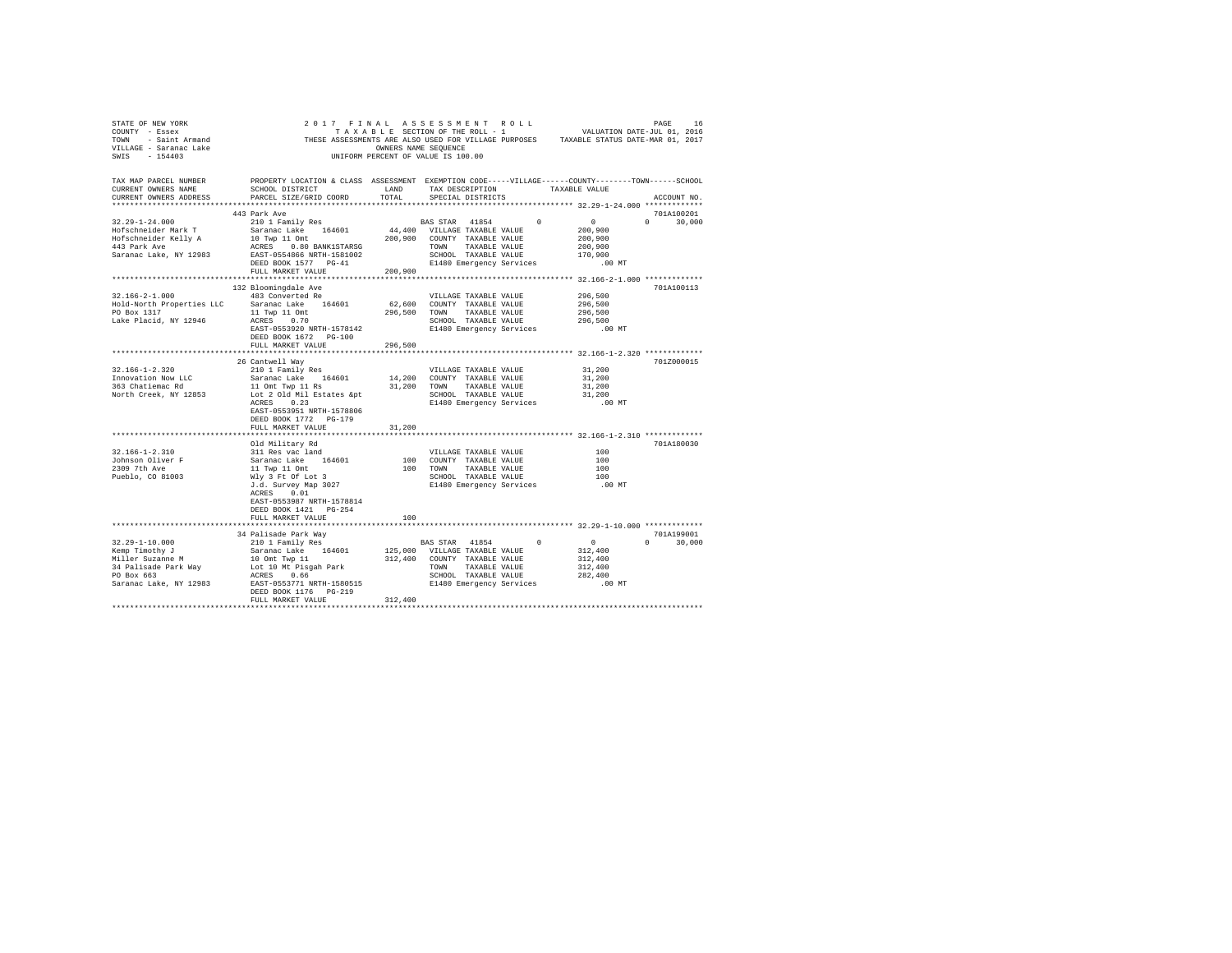| VILLAGE - Saranac Lake<br>SWIS - 154403                                                                                                                                                                                                           |                                                                                                                         | OWNERS NAME SEQUENCE<br>UNIFORM PERCENT OF VALUE IS 100.00 |                          |                   |                                                                          |                                                                  |                             |
|---------------------------------------------------------------------------------------------------------------------------------------------------------------------------------------------------------------------------------------------------|-------------------------------------------------------------------------------------------------------------------------|------------------------------------------------------------|--------------------------|-------------------|--------------------------------------------------------------------------|------------------------------------------------------------------|-----------------------------|
| TAX MAP PARCEL NUMBER PROPERTY LOCATION & CLASS ASSESSMENT EXEMPTION CODE-----VILLAGE------COUNTY-------TOWN------SCHOOL<br>CURRENT OWNERS NAME<br>CURRENT OWNERS ADDRESS                                                                         | SCHOOL DISTRICT                     LAND        TAX DESCRIPTION                 TAXABLE VALUE<br>PARCEL SIZE/GRID COORD | TOTAL                                                      |                          | SPECIAL DISTRICTS |                                                                          |                                                                  | ACCOUNT NO.                 |
|                                                                                                                                                                                                                                                   |                                                                                                                         |                                                            |                          |                   |                                                                          |                                                                  |                             |
|                                                                                                                                                                                                                                                   | 443 Park Ave                                                                                                            |                                                            |                          |                   |                                                                          |                                                                  | 701A100201<br>$0 \t 30,000$ |
|                                                                                                                                                                                                                                                   |                                                                                                                         |                                                            |                          |                   |                                                                          |                                                                  |                             |
|                                                                                                                                                                                                                                                   |                                                                                                                         |                                                            |                          |                   |                                                                          | 200,900<br>200,900                                               |                             |
|                                                                                                                                                                                                                                                   |                                                                                                                         |                                                            |                          |                   |                                                                          |                                                                  |                             |
|                                                                                                                                                                                                                                                   |                                                                                                                         |                                                            |                          |                   |                                                                          |                                                                  |                             |
|                                                                                                                                                                                                                                                   |                                                                                                                         |                                                            |                          |                   |                                                                          | .00 MT                                                           |                             |
|                                                                                                                                                                                                                                                   | FULL MARKET VALUE 200.900                                                                                               |                                                            |                          |                   |                                                                          |                                                                  |                             |
|                                                                                                                                                                                                                                                   |                                                                                                                         |                                                            |                          |                   |                                                                          |                                                                  |                             |
|                                                                                                                                                                                                                                                   | 132 Bloomingdale Ave                                                                                                    |                                                            |                          |                   |                                                                          |                                                                  | 701A100113                  |
| $32.166 - 2 - 1.000$                                                                                                                                                                                                                              | 483 Converted Re                                                                                                        |                                                            |                          |                   | VILLAGE TAXABLE VALUE                                                    | 296,500                                                          |                             |
|                                                                                                                                                                                                                                                   |                                                                                                                         |                                                            |                          |                   |                                                                          | 296,500                                                          |                             |
| Hold-North Properties LLC<br>296,500 COUNTY TAXABLE VALUE PO Box 1317<br>1846 Placid, NY 12946<br>296,500 TONN TAXABLE VALUE (ARE PLACIDE ACRES 0.70 296,500 TONN TAXABLE VALUE                                                                   |                                                                                                                         |                                                            |                          |                   |                                                                          | 296,500                                                          |                             |
|                                                                                                                                                                                                                                                   |                                                                                                                         |                                                            |                          |                   | SCHOOL TAXABLE VALUE<br>SCHOOL TAXABLE VALUE<br>E1480 Emergency Services | 296,500                                                          |                             |
|                                                                                                                                                                                                                                                   | EAST-0553920 NRTH-1578142                                                                                               |                                                            |                          |                   |                                                                          | .00 MT                                                           |                             |
|                                                                                                                                                                                                                                                   | DEED BOOK 1672 PG-100                                                                                                   |                                                            |                          |                   |                                                                          |                                                                  |                             |
|                                                                                                                                                                                                                                                   | FULL MARKET VALUE                                                                                                       | 296,500                                                    |                          |                   |                                                                          | *********************************** 32.166-1-2.320 ************* |                             |
|                                                                                                                                                                                                                                                   | 26 Cantwell Way                                                                                                         |                                                            |                          |                   |                                                                          |                                                                  | 701Z000015                  |
| $32.166 - 1 - 2.320$                                                                                                                                                                                                                              | 210 1 Family Res                                                                                                        |                                                            | VILLAGE TAXABLE VALUE    |                   |                                                                          | 31,200                                                           |                             |
|                                                                                                                                                                                                                                                   |                                                                                                                         |                                                            |                          |                   |                                                                          | 31,200                                                           |                             |
|                                                                                                                                                                                                                                                   |                                                                                                                         |                                                            |                          |                   |                                                                          |                                                                  |                             |
| 32.166-1-2.320<br>Innovation Now LLC<br>3aranac Lake 164601 14,200 COUNTY TAXABLE VALUE<br>363 Chatiemac Rd<br>363 Chatiemac Rd<br>363 Chatiemac Rd<br>363 Chatiemac Rd<br>363 Chatiemac Rd<br>363 Chatiemac Rd<br>363 Chatiemac Rd<br>363 Chatie |                                                                                                                         |                                                            |                          |                   |                                                                          | $31,200$<br>$31,200$                                             |                             |
|                                                                                                                                                                                                                                                   | ACRES 0.23                                                                                                              |                                                            |                          |                   | E1480 Emergency Services                                                 | .00 MT                                                           |                             |
|                                                                                                                                                                                                                                                   | EAST-0553951 NRTH-1578806                                                                                               |                                                            |                          |                   |                                                                          |                                                                  |                             |
|                                                                                                                                                                                                                                                   | DEED BOOK 1772 PG-179                                                                                                   |                                                            |                          |                   |                                                                          |                                                                  |                             |
|                                                                                                                                                                                                                                                   | FULL MARKET VALUE                                                                                                       | 31,200                                                     |                          |                   |                                                                          |                                                                  |                             |
|                                                                                                                                                                                                                                                   |                                                                                                                         |                                                            |                          |                   |                                                                          |                                                                  |                             |
|                                                                                                                                                                                                                                                   | Old Military Rd                                                                                                         |                                                            |                          |                   |                                                                          |                                                                  | 701A180030                  |
| $32.166 - 1 - 2.310$                                                                                                                                                                                                                              |                                                                                                                         |                                                            | VILLAGE TAXABLE VALUE    |                   |                                                                          | 1.00                                                             |                             |
| Johnson Oliver F<br>2309 7th Ave                                                                                                                                                                                                                  | 311 Res vac land<br>Saranac Lake 164601<br>11 Twp 11 Omt<br>Wly 3 Ft Of Lot 3                                           |                                                            | 100 COUNTY TAXABLE VALUE |                   |                                                                          | 100                                                              |                             |
|                                                                                                                                                                                                                                                   |                                                                                                                         |                                                            | 100 TOWN TAXABLE VALUE   |                   |                                                                          | 100                                                              |                             |
| Pueblo, CO 81003                                                                                                                                                                                                                                  |                                                                                                                         |                                                            |                          |                   | SCHOOL TAXABLE VALUE<br>E1480 Emergency Services                         | 100<br>$.00$ MT                                                  |                             |
|                                                                                                                                                                                                                                                   | J.d. Survey Map 3027<br>ACRES 0.01                                                                                      |                                                            |                          |                   |                                                                          |                                                                  |                             |
|                                                                                                                                                                                                                                                   | EAST-0553987 NRTH-1578814                                                                                               |                                                            |                          |                   |                                                                          |                                                                  |                             |
|                                                                                                                                                                                                                                                   | DEED BOOK 1421 PG-254                                                                                                   |                                                            |                          |                   |                                                                          |                                                                  |                             |
|                                                                                                                                                                                                                                                   | FULL MARKET VALUE                                                                                                       | 100                                                        |                          |                   |                                                                          |                                                                  |                             |
|                                                                                                                                                                                                                                                   |                                                                                                                         |                                                            |                          |                   |                                                                          |                                                                  |                             |
|                                                                                                                                                                                                                                                   |                                                                                                                         |                                                            |                          |                   |                                                                          |                                                                  | 701A199001                  |
|                                                                                                                                                                                                                                                   |                                                                                                                         |                                                            |                          |                   |                                                                          |                                                                  | $0 \t 30,000$               |
|                                                                                                                                                                                                                                                   |                                                                                                                         |                                                            |                          |                   |                                                                          |                                                                  |                             |
|                                                                                                                                                                                                                                                   |                                                                                                                         |                                                            |                          |                   |                                                                          |                                                                  |                             |
|                                                                                                                                                                                                                                                   |                                                                                                                         |                                                            |                          |                   |                                                                          |                                                                  |                             |
|                                                                                                                                                                                                                                                   |                                                                                                                         |                                                            |                          |                   |                                                                          |                                                                  |                             |
|                                                                                                                                                                                                                                                   |                                                                                                                         |                                                            |                          |                   |                                                                          | .00 MT                                                           |                             |
|                                                                                                                                                                                                                                                   | DEED BOOK 1176 PG-219                                                                                                   |                                                            |                          |                   |                                                                          |                                                                  |                             |
|                                                                                                                                                                                                                                                   | FULL MARKET VALUE                                                                                                       | 312,400                                                    |                          |                   |                                                                          |                                                                  |                             |
|                                                                                                                                                                                                                                                   |                                                                                                                         |                                                            |                          |                   |                                                                          |                                                                  |                             |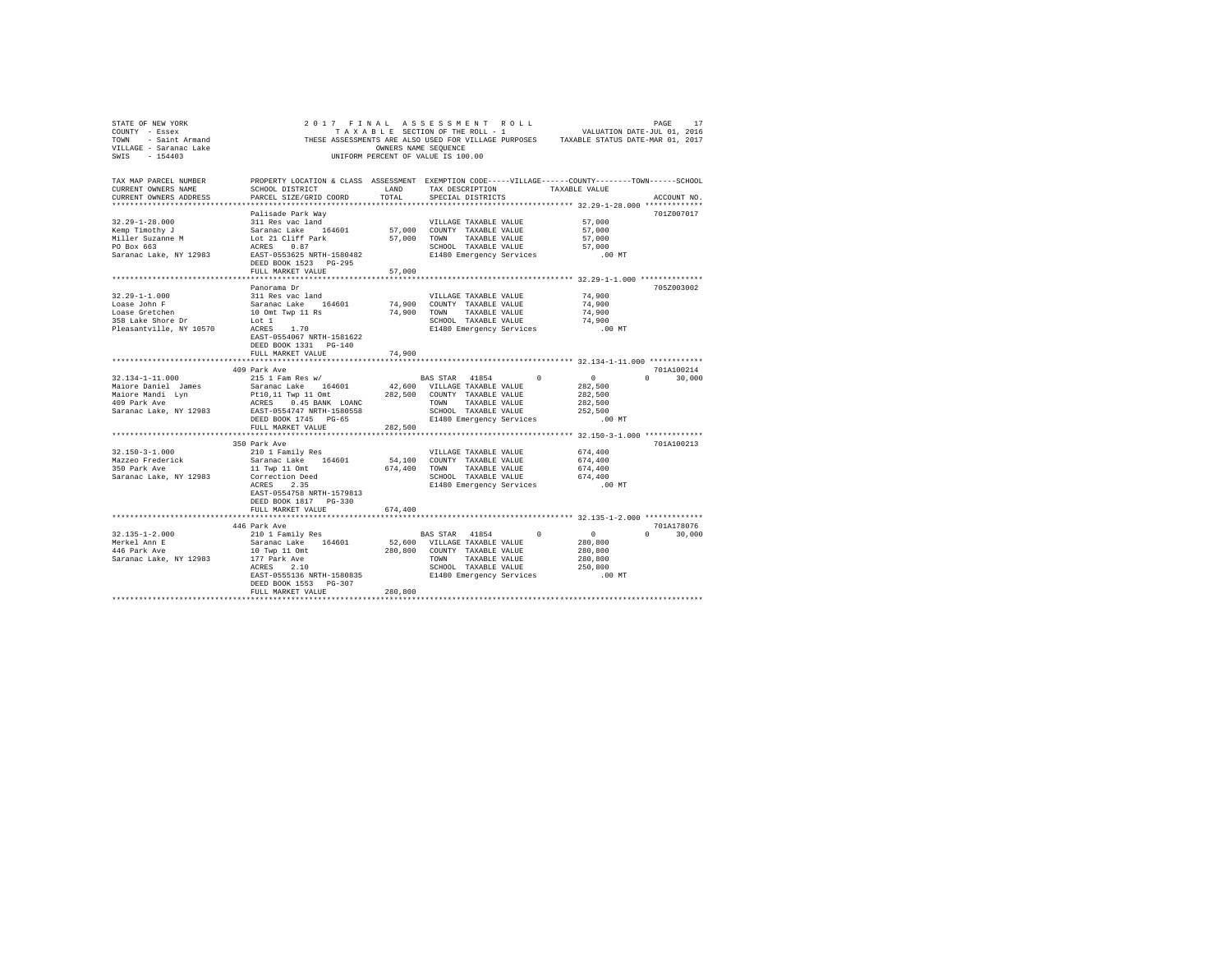| STATE OF NEW YORK                                       |                                                                                                                                                                                                                                                |              |                                                  |          |                             |
|---------------------------------------------------------|------------------------------------------------------------------------------------------------------------------------------------------------------------------------------------------------------------------------------------------------|--------------|--------------------------------------------------|----------|-----------------------------|
| TAX MAP PARCEL NUMBER<br>CURRENT OWNERS NAME            | PROPERTY LOCATION & CLASS ASSESSMENT EXEMPTION CODE-----VILLAGE------COUNTY-------TOWN------SCHOOL<br>SCHOOL DISTRICT                                                                                                                          | LAND         | TAX DESCRIPTION TAXABLE VALUE                    |          |                             |
| CURRENT OWNERS ADDRESS                                  | PARCEL SIZE/GRID COORD                                                                                                                                                                                                                         | TOTAL        | SPECIAL DISTRICTS                                |          | ACCOUNT NO.                 |
|                                                         | Palisade Park Way                                                                                                                                                                                                                              |              |                                                  |          | 701Z007017                  |
| $32.29 - 1 - 28.000$                                    |                                                                                                                                                                                                                                                |              |                                                  | 57,000   |                             |
| Kemp Timothy J                                          |                                                                                                                                                                                                                                                |              |                                                  | 57,000   |                             |
|                                                         |                                                                                                                                                                                                                                                |              |                                                  | 57,000   |                             |
| Miller Suzanne M<br>PO Box 663                          | VILLAGE TAXABLE VALUE<br>Saranac Lake 164601 57,000 COUNTY TAXABLE VALUE<br>LOC 21 Cliff Park 57,000 COUNTY TAXABLE VALUE<br>ACRES 0.87<br>ACRES 0.87<br>SCHOOL TAXABLE VALUE<br>SCHOOL TAXABLE VALUE<br>SCHOOL TAXABLE VALUE<br>SCHOOL TAXABL |              |                                                  | 57,000   |                             |
| Saranac Lake, NY 12983                                  |                                                                                                                                                                                                                                                |              | E1480 Emergency Services                         | $.00$ MT |                             |
|                                                         | DEED BOOK 1523 PG-295                                                                                                                                                                                                                          |              |                                                  |          |                             |
|                                                         | FULL MARKET VALUE                                                                                                                                                                                                                              | 57,000       |                                                  |          |                             |
|                                                         |                                                                                                                                                                                                                                                |              |                                                  |          |                             |
|                                                         | Panorama Dr                                                                                                                                                                                                                                    |              |                                                  |          | 705Z003002                  |
|                                                         | 311 Res vac land                                                                                                                                                                                                                               |              | VILLAGE TAXABLE VALUE                            | 74,900   |                             |
| $32.29 - 1 - 1.000$<br>Loase John F                     | Saranac Lake 164601 74,900<br>10 Omt Twp 11 Rs 74,900                                                                                                                                                                                          |              | COUNTY TAXABLE VALUE                             | 74,900   |                             |
| Loase Gretchen                                          |                                                                                                                                                                                                                                                |              | 74,900 TOWN TAXABLE VALUE                        | 74,900   |                             |
| 358 Lake Shore Dr                                       | Lot 1<br>ACRES 1.70                                                                                                                                                                                                                            |              | SCHOOL TAXABLE VALUE                             | 74,900   |                             |
| Pleasantville, NY 10570                                 | EAST-0554067 NRTH-1581622<br>DEED BOOK 1331 PG-140                                                                                                                                                                                             |              | E1480 Emergency Services .00 MT                  |          |                             |
|                                                         | FULL MARKET VALUE                                                                                                                                                                                                                              | 74,900       |                                                  |          |                             |
|                                                         |                                                                                                                                                                                                                                                |              |                                                  |          |                             |
| 32.134-1-11.000                                         | 409 Park Ave<br>215 1 Fam Res w/                                                                                                                                                                                                               |              | BAS STAR 41854 0                                 | $\sim$ 0 | 701A100214<br>$0 \t 30.000$ |
|                                                         |                                                                                                                                                                                                                                                |              | 42,600 VILLAGE TAXABLE VALUE                     | 282,500  |                             |
|                                                         |                                                                                                                                                                                                                                                |              |                                                  | 282,500  |                             |
| Maiore Daniel James<br>Maiore Mandi Lyn<br>409 Park Ave |                                                                                                                                                                                                                                                |              |                                                  | 282,500  |                             |
| Saranac Lake, NY 12983                                  | EAST-0554747 NRTH-1580558                                                                                                                                                                                                                      |              | SCHOOL TAXABLE VALUE                             | 252,500  |                             |
|                                                         | DEED BOOK 1745 PG-65                                                                                                                                                                                                                           |              | E1480 Emergency Services                         | $.00$ MT |                             |
|                                                         | FULL MARKET VALUE                                                                                                                                                                                                                              | 282,500      |                                                  |          |                             |
|                                                         |                                                                                                                                                                                                                                                |              |                                                  |          |                             |
|                                                         | 350 Park Ave                                                                                                                                                                                                                                   |              |                                                  |          | 701A100213                  |
| $32.150 - 3 - 1.000$                                    | 210 1 Family Res                                                                                                                                                                                                                               |              | VILLAGE TAXABLE VALUE 674,400                    |          |                             |
| Mazzeo Frederick                                        | Saranac Lake 164601                                                                                                                                                                                                                            |              | 54,100 COUNTY TAXABLE VALUE                      | 674,400  |                             |
| 350 Park Ave                                            | 11 Twp 11 Omt                                                                                                                                                                                                                                  | 674,400 TOWN | TAXABLE VALUE                                    | 674,400  |                             |
| Saranac Lake, NY 12983                                  | Correction Deed<br>ACRES 2.35                                                                                                                                                                                                                  |              | SCHOOL TAXABLE VALUE<br>E1480 Emergency Services | 674,400  |                             |
|                                                         |                                                                                                                                                                                                                                                |              |                                                  | $.00$ MT |                             |
|                                                         | EAST-0554758 NRTH-1579813                                                                                                                                                                                                                      |              |                                                  |          |                             |
|                                                         | DEED BOOK 1817 PG-330<br>FULL MARKET VALUE                                                                                                                                                                                                     | 674,400      |                                                  |          |                             |
|                                                         |                                                                                                                                                                                                                                                |              |                                                  |          |                             |
|                                                         | 446 Park Ave                                                                                                                                                                                                                                   |              |                                                  |          | 701A178076                  |
| $32.135 - 1 - 2.000$                                    | 210 1 Family Res                                                                                                                                                                                                                               |              | BAS STAR 41854 0                                 | $\sim$ 0 | $0 \t 30.000$               |
|                                                         | Saranac Lake 164601                                                                                                                                                                                                                            |              | 52,600 VILLAGE TAXABLE VALUE                     | 280,800  |                             |
| Merkel Ann E<br>446 Park Ave<br>446 Park Ave            |                                                                                                                                                                                                                                                |              | 280,800 COUNTY TAXABLE VALUE                     | 280,800  |                             |
| Saranac Lake, NY 12983                                  |                                                                                                                                                                                                                                                |              | TOWN TAXABLE VALUE                               | 280,800  |                             |
|                                                         | 10 Twp 11 Omt<br>177 Park Ave<br>ACRES 2.10                                                                                                                                                                                                    |              | SCHOOL TAXABLE VALUE                             | 250,800  |                             |
|                                                         | EAST-0555136 NRTH-1580835 E1480 Emergency Services                                                                                                                                                                                             |              |                                                  | .00 MT   |                             |
|                                                         | DEED BOOK 1553 PG-307                                                                                                                                                                                                                          |              |                                                  |          |                             |
|                                                         | FULL MARKET VALUE                                                                                                                                                                                                                              | 280,800      |                                                  |          |                             |
|                                                         |                                                                                                                                                                                                                                                |              |                                                  |          |                             |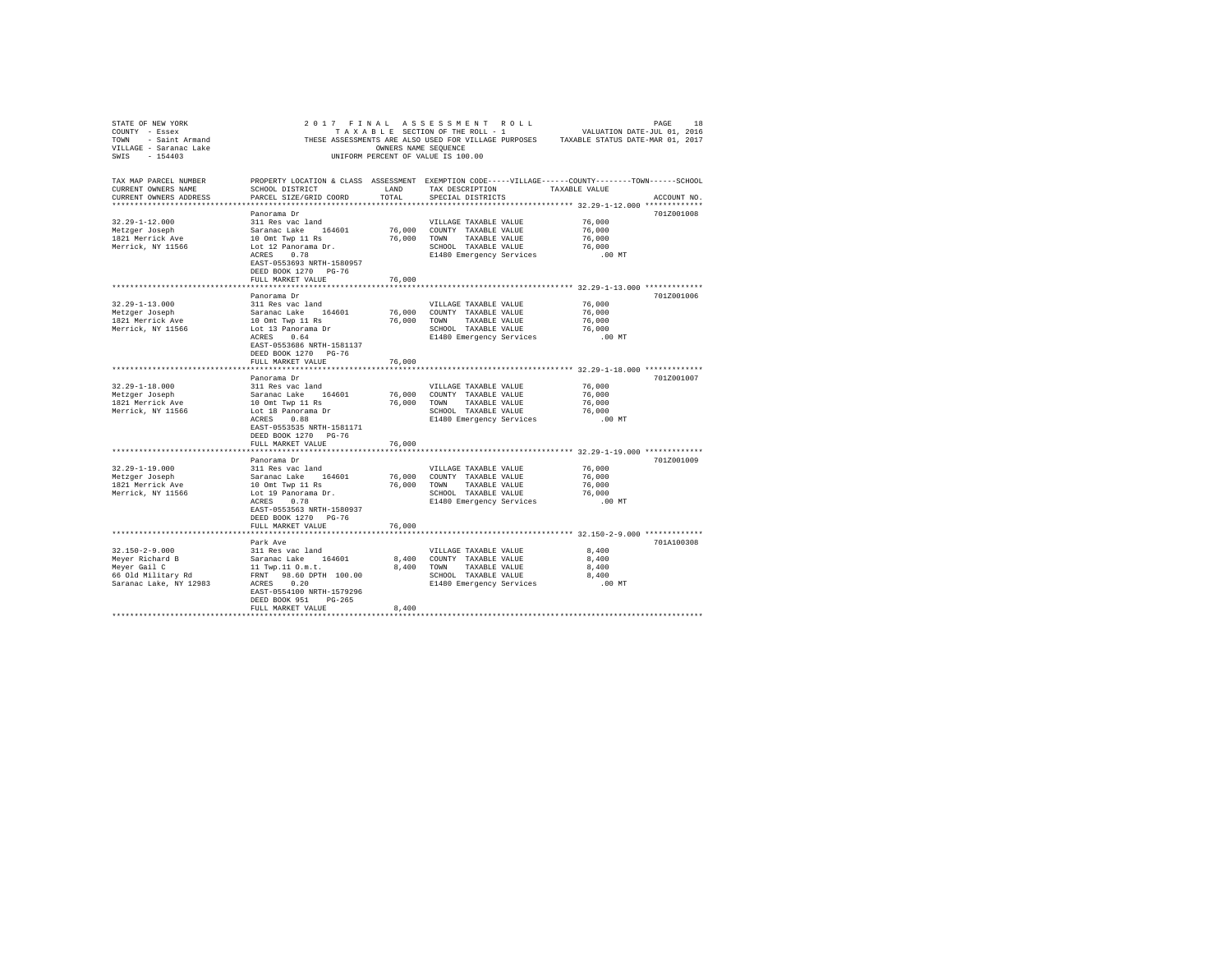| STATE OF NEW YORK         |                                                                                                    |                      | 2017 FINAL ASSESSMENT ROLL         |                                                                                       | PAGE 18<br>VALUATION DATE-JUL 01, 2016 |
|---------------------------|----------------------------------------------------------------------------------------------------|----------------------|------------------------------------|---------------------------------------------------------------------------------------|----------------------------------------|
| COUNTY - Essex            |                                                                                                    |                      | TAXABLE SECTION OF THE ROLL - 1    |                                                                                       |                                        |
| TOWN - Saint Armand       |                                                                                                    |                      |                                    | THESE ASSESSMENTS ARE ALSO USED FOR VILLAGE PURPOSES TAXABLE STATUS DATE-MAR 01, 2017 |                                        |
| VILLAGE - Saranac Lake    |                                                                                                    | OWNERS NAME SEOUENCE |                                    |                                                                                       |                                        |
| SWIS<br>$-154403$         |                                                                                                    |                      | UNIFORM PERCENT OF VALUE IS 100.00 |                                                                                       |                                        |
|                           |                                                                                                    |                      |                                    |                                                                                       |                                        |
|                           |                                                                                                    |                      |                                    |                                                                                       |                                        |
| TAX MAP PARCEL NUMBER     | PROPERTY LOCATION & CLASS ASSESSMENT EXEMPTION CODE-----VILLAGE------COUNTY-------TOWN------SCHOOL |                      |                                    |                                                                                       |                                        |
| CURRENT OWNERS NAME       | SCHOOL DISTRICT                                                                                    | LAND                 | TAX DESCRIPTION                    | TAXABLE VALUE                                                                         |                                        |
| CURRENT OWNERS ADDRESS    | PARCEL SIZE/GRID COORD                                                                             | TOTAL.               | SPECIAL DISTRICTS                  |                                                                                       | ACCOUNT NO.                            |
| ************************* |                                                                                                    |                      |                                    |                                                                                       |                                        |
|                           | Panorama Dr                                                                                        |                      |                                    |                                                                                       | 701Z001008                             |
| $32.29 - 1 - 12.000$      | 311 Res vac land                                                                                   |                      | VILLAGE TAXABLE VALUE              | 76,000                                                                                |                                        |
| Metzger Joseph            | Saranac Lake 164601                                                                                |                      | 76,000 COUNTY TAXABLE VALUE        | 76,000                                                                                |                                        |
| 1821 Merrick Ave          | 10 Omt Twp 11 Rs                                                                                   | 76,000               | TOWN TAXABLE VALUE                 | 76,000                                                                                |                                        |
|                           |                                                                                                    |                      |                                    | 76,000                                                                                |                                        |
| Merrick, NY 11566         | Lot 12 Panorama Dr.                                                                                |                      | SCHOOL TAXABLE VALUE               |                                                                                       |                                        |
|                           | ACRES 0.78                                                                                         |                      | E1480 Emergency Services           | .00 MT                                                                                |                                        |
|                           | EAST-0553693 NRTH-1580957                                                                          |                      |                                    |                                                                                       |                                        |
|                           | DEED BOOK 1270 PG-76                                                                               |                      |                                    |                                                                                       |                                        |
|                           | FULL MARKET VALUE                                                                                  | 76,000               |                                    |                                                                                       |                                        |
|                           |                                                                                                    |                      |                                    |                                                                                       |                                        |
|                           | Panorama Dr                                                                                        |                      |                                    |                                                                                       | 701Z001006                             |
| $32.29 - 1 - 13.000$      | 311 Res vac land                                                                                   |                      | VILLAGE TAXABLE VALUE              | 76,000                                                                                |                                        |
| Metzger Joseph            | Saranac Lake 164601                                                                                | 76,000               | COUNTY TAXABLE VALUE               | 76,000                                                                                |                                        |
| 1821 Merrick Ave          | 10 Omt Twp 11 Rs                                                                                   | 76,000               | TOWN TAXABLE VALUE                 | 76,000                                                                                |                                        |
| Merrick, NY 11566         | Lot 13 Panorama Dr                                                                                 |                      | SCHOOL TAXABLE VALUE               | 76,000                                                                                |                                        |
|                           | ACRES 0.64                                                                                         |                      | E1480 Emergency Services           | $.00$ MT                                                                              |                                        |
|                           | EAST-0553686 NRTH-1581137                                                                          |                      |                                    |                                                                                       |                                        |
|                           | DEED BOOK 1270 PG-76                                                                               |                      |                                    |                                                                                       |                                        |
|                           | FULL MARKET VALUE                                                                                  | 76,000               |                                    |                                                                                       |                                        |
|                           |                                                                                                    |                      |                                    |                                                                                       |                                        |
|                           |                                                                                                    |                      |                                    |                                                                                       | 701Z001007                             |
|                           | Panorama Dr                                                                                        |                      |                                    |                                                                                       |                                        |
| $32.29 - 1 - 18.000$      | 311 Res vac land                                                                                   |                      | VILLAGE TAXABLE VALUE              | 76,000                                                                                |                                        |
| Metzger Joseph            | Saranac Lake 164601                                                                                | 76,000               | COUNTY TAXABLE VALUE               | 76,000                                                                                |                                        |
| 1821 Merrick Ave          | 10 Omt Twp 11 Rs                                                                                   | 76,000               | TOWN<br>TAXABLE VALUE              | 76,000                                                                                |                                        |
| Merrick, NY 11566         | Lot 18 Panorama Dr                                                                                 |                      | SCHOOL TAXABLE VALUE               | 76,000                                                                                |                                        |
|                           | ACRES 0.88                                                                                         |                      | E1480 Emergency Services           | .00MT                                                                                 |                                        |
|                           | EAST-0553535 NRTH-1581171                                                                          |                      |                                    |                                                                                       |                                        |
|                           | DEED BOOK 1270 PG-76                                                                               |                      |                                    |                                                                                       |                                        |
|                           | FULL MARKET VALUE                                                                                  | 76,000               |                                    |                                                                                       |                                        |
|                           | ***********************                                                                            |                      |                                    | ******************************** 32.29-1-19.000 *************                         |                                        |
|                           | Panorama Dr                                                                                        |                      |                                    |                                                                                       | 701Z001009                             |
| $32.29 - 1 - 19.000$      | 311 Res vac land                                                                                   |                      | VILLAGE TAXABLE VALUE              | 76,000                                                                                |                                        |
| Metzger Joseph            | Saranac Lake 164601                                                                                | 76,000               | COUNTY TAXABLE VALUE               | 76,000                                                                                |                                        |
| 1821 Merrick Ave          | 10 Omt Twp 11 Rs                                                                                   | 76,000               | TOWN TAXABLE VALUE                 | 76,000                                                                                |                                        |
| Merrick, NY 11566         | Lot 19 Panorama Dr.                                                                                |                      | SCHOOL TAXABLE VALUE               | 76,000                                                                                |                                        |
|                           | ACRES 0.78                                                                                         |                      | E1480 Emergency Services           | $.00$ MT                                                                              |                                        |
|                           | EAST-0553563 NRTH-1580937                                                                          |                      |                                    |                                                                                       |                                        |
|                           |                                                                                                    |                      |                                    |                                                                                       |                                        |
|                           | DEED BOOK 1270 PG-76                                                                               |                      |                                    |                                                                                       |                                        |
|                           | FULL MARKET VALUE                                                                                  | 76,000               |                                    |                                                                                       |                                        |
|                           |                                                                                                    |                      |                                    |                                                                                       |                                        |
|                           | Park Ave                                                                                           |                      |                                    |                                                                                       | 701A100308                             |
| $32.150 - 2 - 9.000$      | 311 Res vac land                                                                                   |                      | VILLAGE TAXABLE VALUE              | 8,400                                                                                 |                                        |
| Meyer Richard B           | Saranac Lake 164601                                                                                |                      | 8,400 COUNTY TAXABLE VALUE         | 8,400                                                                                 |                                        |
| Meyer Gail C              | 11 Twp.11 0.m.t.                                                                                   | 8,400                | TOWN TAXABLE VALUE                 | 8,400                                                                                 |                                        |
| 66 Old Military Rd        | FRNT 98.60 DPTH 100.00                                                                             |                      | SCHOOL TAXABLE VALUE               | 8,400                                                                                 |                                        |
| Saranac Lake, NY 12983    | ACRES 0.20                                                                                         |                      | E1480 Emergency Services           | $.00$ MT                                                                              |                                        |
|                           | EAST-0554100 NRTH-1579296                                                                          |                      |                                    |                                                                                       |                                        |
|                           | DEED BOOK 951 PG-265                                                                               |                      |                                    |                                                                                       |                                        |
|                           | FULL MARKET VALUE                                                                                  | 8,400                |                                    |                                                                                       |                                        |
|                           |                                                                                                    |                      |                                    |                                                                                       |                                        |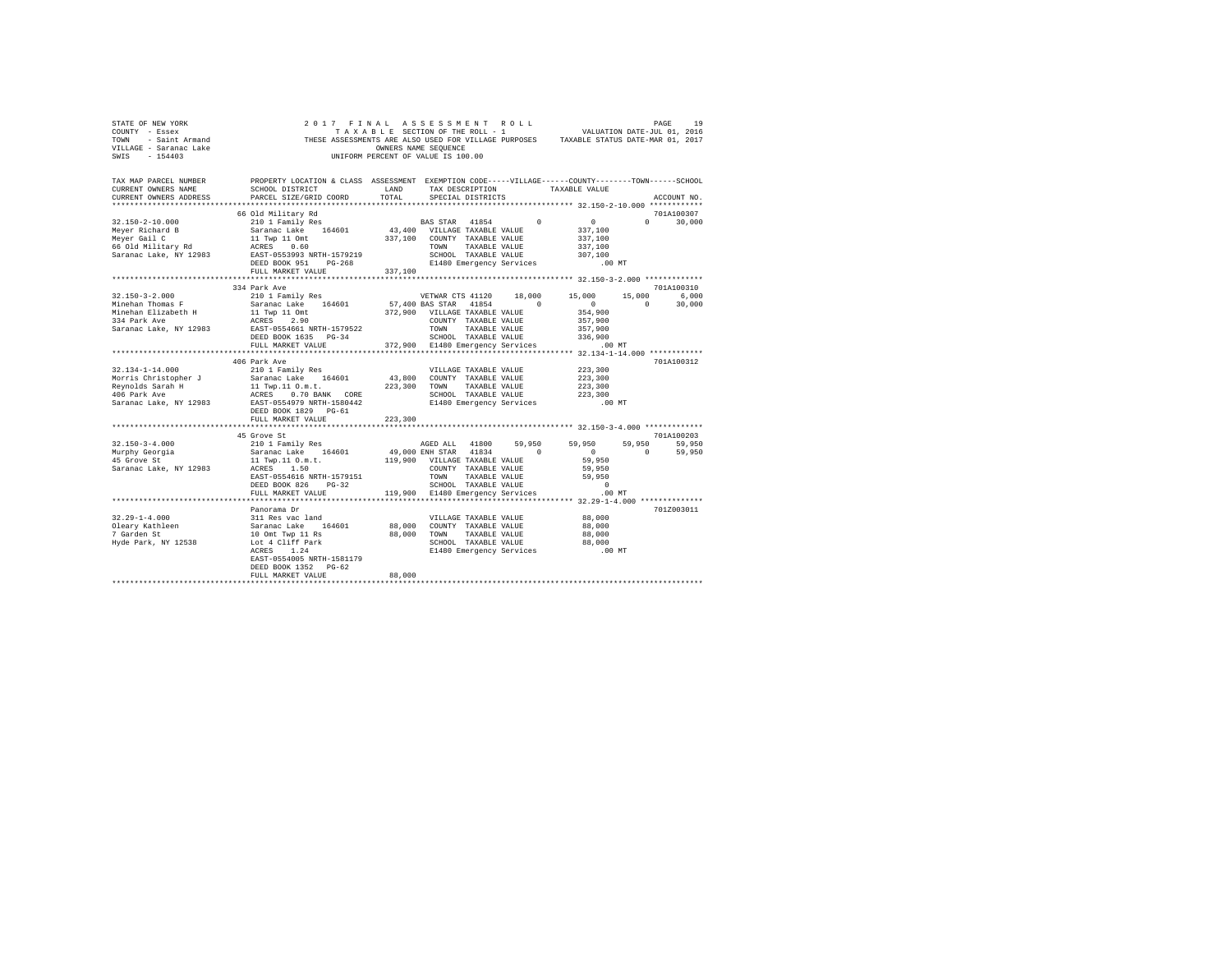| STATE OF NEW YORK<br>COUNTY - Essex<br>TOWN - Saint Armand<br>VILLAGE - Saranac Lake<br>SWIS - 154403<br>TAX MAP PARCEL NUMBER THE PROPERTY LOCATION & CLASS ASSESSMENT EXEMPTION CODE-----VILLAGE------COUNTY-------TOWN------SCHOOL                                                                                                                                                             | 2017 FINAL ASSESSMENT ROLL<br>THE RAIL AND IS AND A THE ROLL - 1<br>TRAIL BLE SECTION OF THE ROLL - 1 WALUATION DATE-JUL 01, 2016<br>THESE ASSESSMENTS ARE ALSO USED FOR VILLAGE PURPOSES TAXABLE STATUS DATE-MAR 01, 2017                                                                                                            | OWNERS NAME SEQUENCE<br>UNIFORM PERCENT OF VALUE IS 100.00 |                   |                                             | PAGE<br>19    |  |
|---------------------------------------------------------------------------------------------------------------------------------------------------------------------------------------------------------------------------------------------------------------------------------------------------------------------------------------------------------------------------------------------------|---------------------------------------------------------------------------------------------------------------------------------------------------------------------------------------------------------------------------------------------------------------------------------------------------------------------------------------|------------------------------------------------------------|-------------------|---------------------------------------------|---------------|--|
| CURRENT OWNERS NAME                                                                                                                                                                                                                                                                                                                                                                               | SCHOOL DISTRICT LAND                                                                                                                                                                                                                                                                                                                  |                                                            |                   | TAX DESCRIPTION TAXABLE VALUE               |               |  |
| CURRENT OWNERS ADDRESS                                                                                                                                                                                                                                                                                                                                                                            | PARCEL SIZE/GRID COORD                                                                                                                                                                                                                                                                                                                | TOTAL                                                      | SPECIAL DISTRICTS |                                             | ACCOUNT NO.   |  |
|                                                                                                                                                                                                                                                                                                                                                                                                   |                                                                                                                                                                                                                                                                                                                                       |                                                            |                   |                                             |               |  |
|                                                                                                                                                                                                                                                                                                                                                                                                   | 66 Old Military Rd<br>210 1 Family Res                                                                                                                                                                                                                                                                                                |                                                            |                   |                                             | 701A100307    |  |
| $32.150 - 2 - 10.000$<br>Meyer Richard B                                                                                                                                                                                                                                                                                                                                                          |                                                                                                                                                                                                                                                                                                                                       |                                                            |                   | BAS STAR 41854 0 0<br>337,100               | $0 \t 30.000$ |  |
| Meyer Gail C                                                                                                                                                                                                                                                                                                                                                                                      |                                                                                                                                                                                                                                                                                                                                       |                                                            |                   | 337,100                                     |               |  |
| 66 Old Military Rd                                                                                                                                                                                                                                                                                                                                                                                |                                                                                                                                                                                                                                                                                                                                       |                                                            |                   |                                             |               |  |
| Saranac Lake, NY 12983                                                                                                                                                                                                                                                                                                                                                                            |                                                                                                                                                                                                                                                                                                                                       |                                                            |                   | 337,100<br>307,100                          |               |  |
|                                                                                                                                                                                                                                                                                                                                                                                                   | DEED BOOK 951 PG-268                                                                                                                                                                                                                                                                                                                  |                                                            |                   | E1480 Emergency Services .00 MT             |               |  |
|                                                                                                                                                                                                                                                                                                                                                                                                   | FULL MARKET VALUE 337,100                                                                                                                                                                                                                                                                                                             |                                                            |                   |                                             |               |  |
|                                                                                                                                                                                                                                                                                                                                                                                                   |                                                                                                                                                                                                                                                                                                                                       |                                                            |                   |                                             |               |  |
|                                                                                                                                                                                                                                                                                                                                                                                                   | 334 Park Ave                                                                                                                                                                                                                                                                                                                          |                                                            |                   |                                             | 701A100310    |  |
| $32.150 - 3 - 2.000$                                                                                                                                                                                                                                                                                                                                                                              | 210 1 Family Res                                                                                                                                                                                                                                                                                                                      |                                                            |                   | VETWAR CTS 41120 18,000 15,000 15,000 6,000 |               |  |
|                                                                                                                                                                                                                                                                                                                                                                                                   |                                                                                                                                                                                                                                                                                                                                       |                                                            |                   |                                             |               |  |
|                                                                                                                                                                                                                                                                                                                                                                                                   |                                                                                                                                                                                                                                                                                                                                       |                                                            |                   |                                             |               |  |
|                                                                                                                                                                                                                                                                                                                                                                                                   |                                                                                                                                                                                                                                                                                                                                       |                                                            |                   |                                             |               |  |
|                                                                                                                                                                                                                                                                                                                                                                                                   |                                                                                                                                                                                                                                                                                                                                       |                                                            |                   |                                             |               |  |
| $\begin{tabular}{l c c c c c} \multicolumn{3}{c}{\textbf{M}:=\textbf{h}=0.000} & \multicolumn{3}{c}{\textbf{M}:=\textbf{h}=0.000} & \multicolumn{3}{c}{\textbf{M}:=\textbf{h}=0.000} & \multicolumn{3}{c}{\textbf{M}:=\textbf{h}=0.000} & \multicolumn{3}{c}{\textbf{M}:=\textbf{h}=0.000} & \multicolumn{3}{c}{\textbf{M}:=\textbf{h}=0.000} & \multicolumn{3}{c}{\textbf{M}:=\textbf{h}=0.000}$ |                                                                                                                                                                                                                                                                                                                                       |                                                            |                   |                                             |               |  |
|                                                                                                                                                                                                                                                                                                                                                                                                   |                                                                                                                                                                                                                                                                                                                                       |                                                            |                   |                                             |               |  |
|                                                                                                                                                                                                                                                                                                                                                                                                   | 406 Park Ave                                                                                                                                                                                                                                                                                                                          |                                                            |                   |                                             | 701A100312    |  |
|                                                                                                                                                                                                                                                                                                                                                                                                   |                                                                                                                                                                                                                                                                                                                                       |                                                            |                   |                                             |               |  |
|                                                                                                                                                                                                                                                                                                                                                                                                   |                                                                                                                                                                                                                                                                                                                                       |                                                            |                   |                                             |               |  |
|                                                                                                                                                                                                                                                                                                                                                                                                   |                                                                                                                                                                                                                                                                                                                                       |                                                            |                   |                                             |               |  |
|                                                                                                                                                                                                                                                                                                                                                                                                   |                                                                                                                                                                                                                                                                                                                                       |                                                            |                   |                                             |               |  |
|                                                                                                                                                                                                                                                                                                                                                                                                   | DEED BOOK 1829 PG-61                                                                                                                                                                                                                                                                                                                  |                                                            |                   | .00 MT                                      |               |  |
|                                                                                                                                                                                                                                                                                                                                                                                                   | FULL MARKET VALUE                                                                                                                                                                                                                                                                                                                     | 223,300                                                    |                   |                                             |               |  |
|                                                                                                                                                                                                                                                                                                                                                                                                   |                                                                                                                                                                                                                                                                                                                                       |                                                            |                   |                                             |               |  |
|                                                                                                                                                                                                                                                                                                                                                                                                   | 45 Grove St                                                                                                                                                                                                                                                                                                                           |                                                            |                   |                                             | 701A100203    |  |
| $32.150 - 3 - 4.000$                                                                                                                                                                                                                                                                                                                                                                              | $\begin{tabular}{lcccc} 45 Gvove St \\ 210 1 Fami1y Res & AGED ALL & 41800 & 59,950 & 59,950 & 59,950 & 59,950 & 59,950 \\ Saranac Lake & 164601 & 49,000 ENH STAR & 41834 & 0 & 0 & 59,950 \\ 11 Type, 11.0 m.t. & 119,900 VLLLAR R1814 & 0 & 0 & 0 & 59,950 \\ RCES & 1.50 & VLLLARST RXABLE VALUE & 59,950 & 0 & 59,950 \\ RRES &$ |                                                            |                   |                                             |               |  |
| Murphy Georgia                                                                                                                                                                                                                                                                                                                                                                                    |                                                                                                                                                                                                                                                                                                                                       |                                                            |                   |                                             |               |  |
| 45 Grove St                                                                                                                                                                                                                                                                                                                                                                                       |                                                                                                                                                                                                                                                                                                                                       |                                                            |                   |                                             |               |  |
| Saranac Lake, NY 12983                                                                                                                                                                                                                                                                                                                                                                            |                                                                                                                                                                                                                                                                                                                                       |                                                            |                   |                                             |               |  |
|                                                                                                                                                                                                                                                                                                                                                                                                   |                                                                                                                                                                                                                                                                                                                                       |                                                            |                   |                                             |               |  |
|                                                                                                                                                                                                                                                                                                                                                                                                   |                                                                                                                                                                                                                                                                                                                                       |                                                            |                   |                                             |               |  |
|                                                                                                                                                                                                                                                                                                                                                                                                   |                                                                                                                                                                                                                                                                                                                                       |                                                            |                   |                                             |               |  |
|                                                                                                                                                                                                                                                                                                                                                                                                   | Panorama Dr                                                                                                                                                                                                                                                                                                                           |                                                            |                   |                                             | 7017003011    |  |
| $32.29 - 1 - 4.000$                                                                                                                                                                                                                                                                                                                                                                               |                                                                                                                                                                                                                                                                                                                                       |                                                            |                   | 88,000                                      |               |  |
|                                                                                                                                                                                                                                                                                                                                                                                                   |                                                                                                                                                                                                                                                                                                                                       |                                                            |                   | 88,000                                      |               |  |
| Oleary Kathleen<br>7 Garden St                                                                                                                                                                                                                                                                                                                                                                    |                                                                                                                                                                                                                                                                                                                                       |                                                            |                   | 88,000                                      |               |  |
| Hyde Park, NY 12538                                                                                                                                                                                                                                                                                                                                                                               |                                                                                                                                                                                                                                                                                                                                       |                                                            |                   | 88,000                                      |               |  |
|                                                                                                                                                                                                                                                                                                                                                                                                   |                                                                                                                                                                                                                                                                                                                                       |                                                            |                   | E1480 Emergency Services .00 MT             |               |  |
|                                                                                                                                                                                                                                                                                                                                                                                                   | EAST-0554005 NRTH-1581179                                                                                                                                                                                                                                                                                                             |                                                            |                   |                                             |               |  |
|                                                                                                                                                                                                                                                                                                                                                                                                   | DEED BOOK 1352 PG-62                                                                                                                                                                                                                                                                                                                  |                                                            |                   |                                             |               |  |
|                                                                                                                                                                                                                                                                                                                                                                                                   | FULL MARKET VALUE                                                                                                                                                                                                                                                                                                                     | 88,000                                                     |                   |                                             |               |  |
|                                                                                                                                                                                                                                                                                                                                                                                                   |                                                                                                                                                                                                                                                                                                                                       |                                                            |                   |                                             |               |  |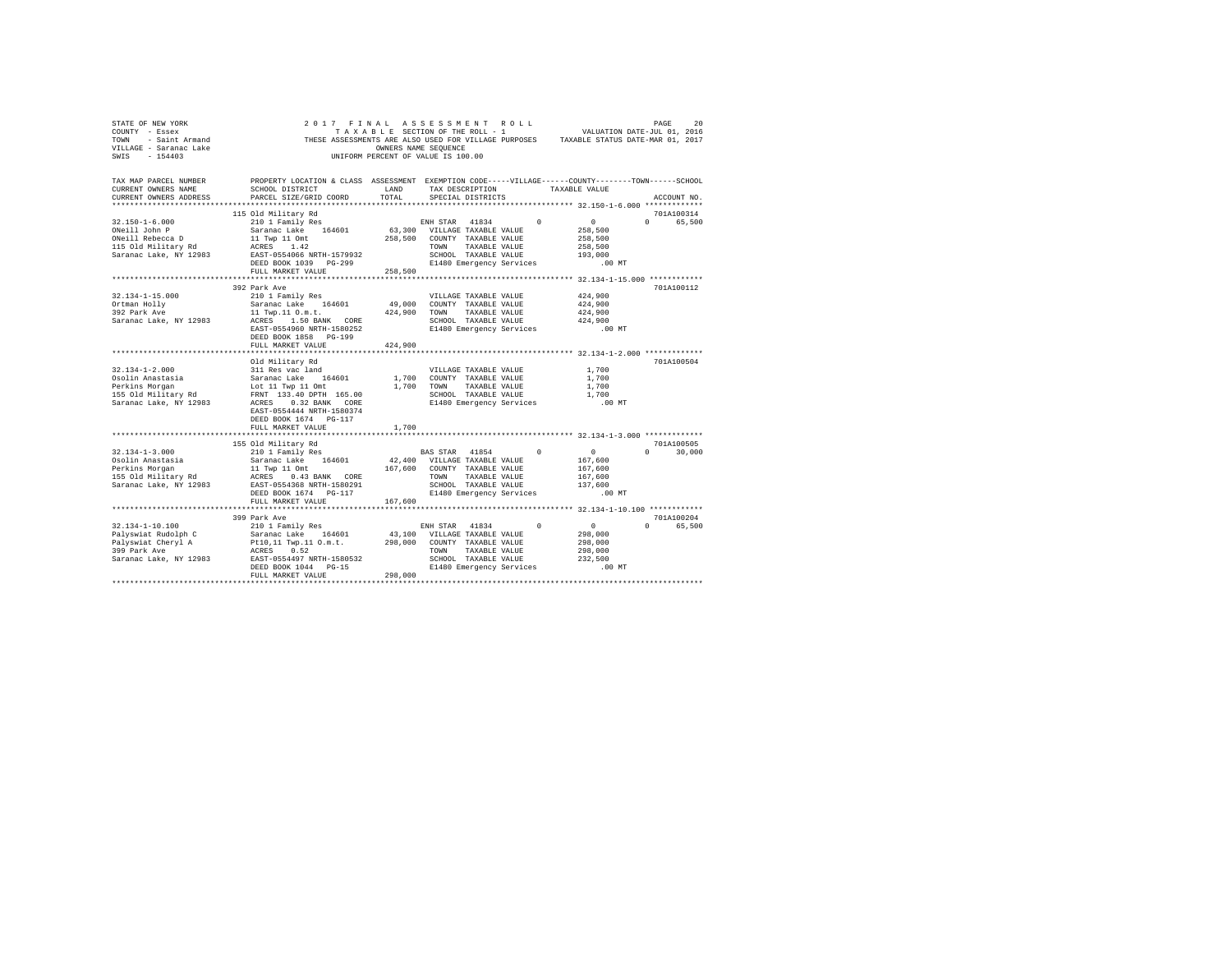| STATE OF NEW YORK<br>COUNTY - Essex<br>TOWN - Saint Armand<br>VILLAGE - Saranac Lake<br>SWIS - 154403 | 2017 FINAL ASSESSMENT ROLL<br>THESE ASSESSMENTS ARE ALSO USED FOR VILLAGE PURPOSES TAXABLE STATUS DATE-MAR 01, 2017                            | TAXABLE SECTION OF THE ROLL - 1<br>OWNERS NAME SEQUENCE<br>UNIFORM PERCENT OF VALUE IS 100.00 |                          |                                            |                               | VALUATION DATE-JUL 01, 2016 |          | PAGE                 | 20     |
|-------------------------------------------------------------------------------------------------------|------------------------------------------------------------------------------------------------------------------------------------------------|-----------------------------------------------------------------------------------------------|--------------------------|--------------------------------------------|-------------------------------|-----------------------------|----------|----------------------|--------|
| TAX MAP PARCEL NUMBER<br>CURRENT OWNERS NAME<br>CURRENT OWNERS ADDRESS                                | PROPERTY LOCATION & CLASS ASSESSMENT EXEMPTION CODE-----VILLAGE-----COUNTY-------TOWN------SCHOOL<br>SCHOOL DISTRICT<br>PARCEL SIZE/GRID COORD | LAND<br>TOTAL                                                                                 |                          | SPECIAL DISTRICTS                          | TAX DESCRIPTION TAXABLE VALUE |                             |          | ACCOUNT NO.          |        |
|                                                                                                       | 115 Old Military Rd                                                                                                                            |                                                                                               |                          |                                            |                               |                             |          | 701A100314           |        |
| $32.150 - 1 - 6.000$                                                                                  | 210 1 Family Res                                                                                                                               |                                                                                               | ENH STAR 41834           |                                            | $\Omega$                      | $\sim$ 0                    | $\Omega$ |                      | 65,500 |
| ONeill John P                                                                                         | Saranac Lake 164601                                                                                                                            | 63,300 VILLAGE TAXABLE VALUE                                                                  |                          |                                            |                               | 258,500                     |          |                      |        |
| ONeill Rebecca D                                                                                      | 11 Twp 11 Omt                                                                                                                                  | 258,500                                                                                       |                          | COUNTY TAXABLE VALUE                       |                               | 258,500                     |          |                      |        |
| 115 Old Military Rd                                                                                   | ACRES 1.42<br>EAST-0554066 NRTH-1579932                                                                                                        |                                                                                               | TOWN                     | TAXABLE VALUE                              |                               | 258,500                     |          |                      |        |
| Saranac Lake, NY 12983                                                                                |                                                                                                                                                |                                                                                               |                          | SCHOOL TAXABLE VALUE                       |                               | 193,000                     |          |                      |        |
|                                                                                                       | DEED BOOK 1039 PG-299                                                                                                                          |                                                                                               | E1480 Emergency Services |                                            |                               | $.00$ MT                    |          |                      |        |
|                                                                                                       | FULL MARKET VALUE                                                                                                                              | 258,500                                                                                       |                          |                                            |                               |                             |          |                      |        |
|                                                                                                       |                                                                                                                                                |                                                                                               |                          |                                            |                               |                             |          |                      |        |
| $32.134 - 1 - 15.000$                                                                                 | 392 Park Ave                                                                                                                                   |                                                                                               |                          |                                            |                               |                             |          | 701A100112           |        |
|                                                                                                       | 210 1 Family Res<br>Saranac Lake 164601                                                                                                        | 49,000                                                                                        |                          | VILLAGE TAXABLE VALUE                      |                               | 424,900<br>424,900          |          |                      |        |
| Ortman Holly<br>392 Park Ave                                                                          | 11 Twp.11 O.m.t.                                                                                                                               | 424,900                                                                                       |                          | COUNTY TAXABLE VALUE<br>TOWN TAXABLE VALUE |                               | 424,900                     |          |                      |        |
| Saranac Lake, NY 12983                                                                                | ACRES 1.50 BANK CORE                                                                                                                           |                                                                                               |                          | SCHOOL TAXABLE VALUE                       |                               | 424,900                     |          |                      |        |
|                                                                                                       | EAST-0554960 NRTH-1580252                                                                                                                      |                                                                                               |                          | E1480 Emergency Services                   |                               | $.00$ MT                    |          |                      |        |
|                                                                                                       | DEED BOOK 1858 PG-199                                                                                                                          |                                                                                               |                          |                                            |                               |                             |          |                      |        |
|                                                                                                       | FULL MARKET VALUE                                                                                                                              | 424,900                                                                                       |                          |                                            |                               |                             |          |                      |        |
|                                                                                                       |                                                                                                                                                |                                                                                               |                          |                                            |                               |                             |          |                      |        |
|                                                                                                       | Old Military Rd                                                                                                                                |                                                                                               |                          |                                            |                               |                             |          | 701A100504           |        |
| $32.134 - 1 - 2.000$                                                                                  | 311 Res vac land                                                                                                                               |                                                                                               |                          | VILLAGE TAXABLE VALUE                      |                               | 1,700                       |          |                      |        |
| Osolin Anastasia                                                                                      |                                                                                                                                                | 1,700                                                                                         |                          | COUNTY TAXABLE VALUE                       |                               | 1,700                       |          |                      |        |
| Perkins Morgan                                                                                        |                                                                                                                                                | 1,700                                                                                         | TOWN                     | TAXABLE VALUE                              |                               | 1,700                       |          |                      |        |
| 155 Old Military Rd                                                                                   | 311 Res Vac Tanu<br>Saranac Lake 164601<br>Lot 11 Twp 11 Omt<br>FRNT 133.40 DPTH 165.00<br>ACRES 0.32 BANK CORE                                |                                                                                               |                          | SCHOOL TAXABLE VALUE                       |                               | 1,700                       |          |                      |        |
| Saranac Lake, NY 12983                                                                                | EAST-0554444 NRTH-1580374                                                                                                                      |                                                                                               | E1480 Emergency Services |                                            |                               | .00 MT                      |          |                      |        |
|                                                                                                       | DEED BOOK 1674 PG-117<br>FULL MARKET VALUE                                                                                                     | 1,700                                                                                         |                          |                                            |                               |                             |          |                      |        |
|                                                                                                       |                                                                                                                                                |                                                                                               |                          |                                            |                               |                             |          |                      |        |
|                                                                                                       | 155 Old Military Rd                                                                                                                            |                                                                                               |                          |                                            |                               |                             |          | 701A100505           |        |
| $32.134 - 1 - 3.000$                                                                                  | 210 1 Family Res                                                                                                                               |                                                                                               | BAS STAR 41854           |                                            |                               | $\sim$ 0                    | $\Omega$ | 30,000               |        |
| Osolin Anastasia                                                                                      | Saranac Lake 164601                                                                                                                            | 42,400 VILLAGE TAXABLE VALUE                                                                  |                          |                                            |                               | 167,600                     |          |                      |        |
| Perkins Morgan                                                                                        | 11 Twp 11 Omt                                                                                                                                  | 167,600                                                                                       |                          | COUNTY TAXABLE VALUE                       |                               | 167,600                     |          |                      |        |
| 155 Old Military Rd                                                                                   | ACRES 0.43 BANK CORE<br>EAST-0554368 NRTH-1580291                                                                                              |                                                                                               | TOWN                     | TAXABLE VALUE                              |                               | 167,600                     |          |                      |        |
| Saranac Lake, NY 12983                                                                                |                                                                                                                                                |                                                                                               |                          | SCHOOL TAXABLE VALUE                       |                               | 137,600                     |          |                      |        |
|                                                                                                       | DEED BOOK 1674 PG-117                                                                                                                          |                                                                                               | E1480 Emergency Services |                                            |                               | $.00$ MT                    |          |                      |        |
|                                                                                                       | FULL MARKET VALUE                                                                                                                              | 167,600                                                                                       |                          |                                            |                               |                             |          |                      |        |
|                                                                                                       |                                                                                                                                                |                                                                                               |                          |                                            |                               |                             |          |                      |        |
| $32.134 - 1 - 10.100$                                                                                 | 399 Park Ave<br>210 1 Family Res                                                                                                               |                                                                                               | ENH STAR 41834           |                                            | $\Omega$                      | $\sim$ 0                    | $\cap$   | 701A100204<br>65,500 |        |
| Palyswiat Rudolph C                                                                                   | Saranac Lake 164601                                                                                                                            | 43,100 VILLAGE TAXABLE VALUE                                                                  |                          |                                            |                               | 298,000                     |          |                      |        |
| Palyswiat Cheryl A                                                                                    |                                                                                                                                                | 298,000                                                                                       | COUNTY TAXABLE VALUE     |                                            |                               | 298,000                     |          |                      |        |
| 399 Park Ave                                                                                          | Pt10,11 Twp.11 O.m.t.<br>ACRES 0.52                                                                                                            |                                                                                               | TOWN                     | TAXABLE VALUE                              |                               | 298,000                     |          |                      |        |
| Saranac Lake, NY 12983                                                                                | EAST-0554497 NRTH-1580532                                                                                                                      |                                                                                               |                          | SCHOOL TAXABLE VALUE                       |                               | 232.500                     |          |                      |        |
|                                                                                                       | DEED BOOK 1044 PG-15                                                                                                                           |                                                                                               |                          | E1480 Emergency Services                   |                               | $.00$ MT                    |          |                      |        |
|                                                                                                       | FULL MARKET VALUE                                                                                                                              | 298,000                                                                                       |                          |                                            |                               |                             |          |                      |        |
|                                                                                                       |                                                                                                                                                |                                                                                               |                          |                                            |                               |                             |          |                      |        |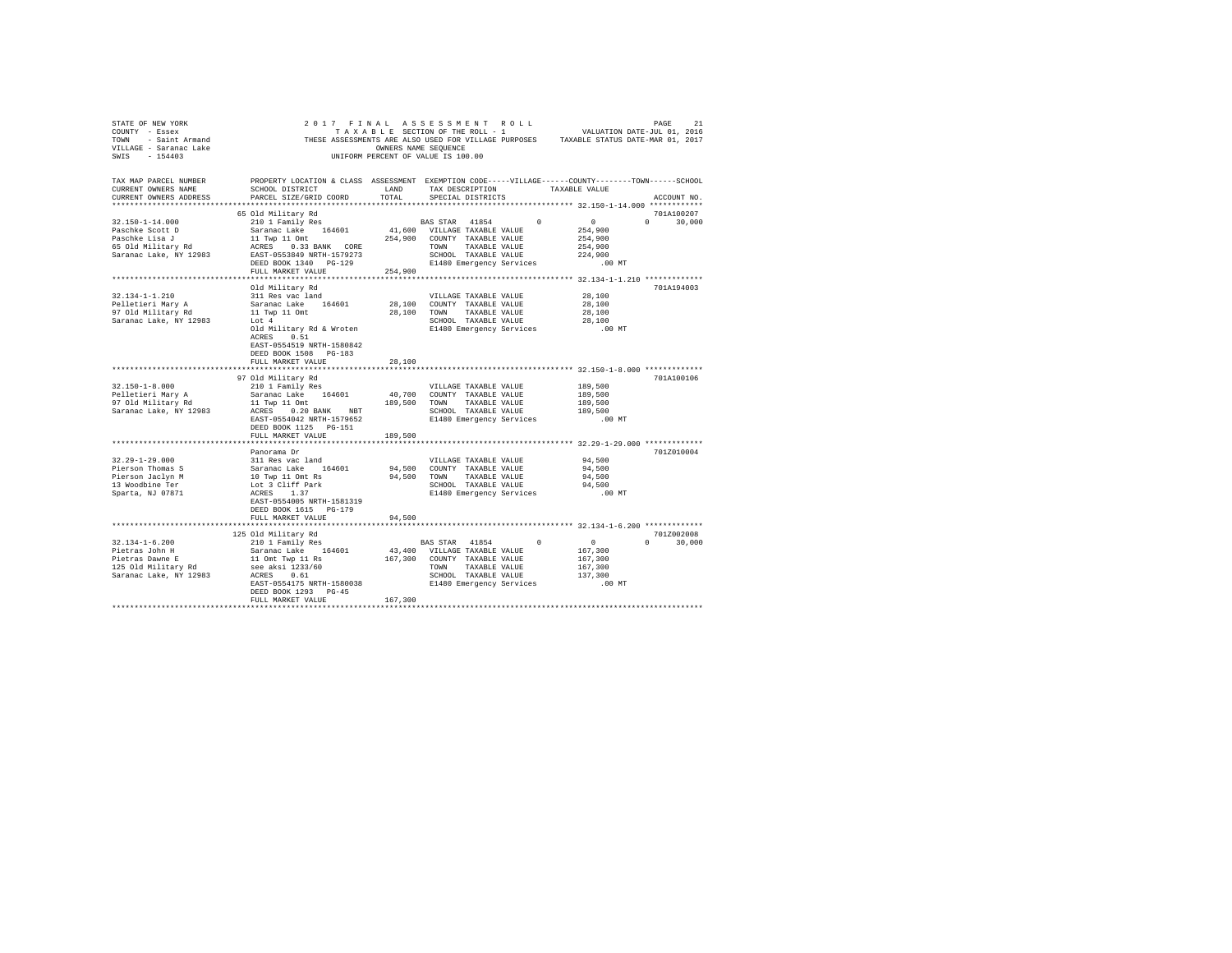| STATE OF NEW YORK<br>COUNTY - Essex<br>TOWN - Saint Armand<br>VILLAGE - Saranac Lake<br>SWIS - 154403 | 2017 FINAL ASSESSMENT ROLL<br>TAXABLE SECTION OF THE ROLL - 1<br>THESE ASSESSMENTS ARE ALSO USED FOR VILLAGE PURPOSES TAXABLE STATUS DATE-JUL 01, 2016        | OWNERS NAME SEQUENCE<br>UNIFORM PERCENT OF VALUE IS 100.00                                                                               |                                                  |  |                    | PAGE                        | 21 |
|-------------------------------------------------------------------------------------------------------|---------------------------------------------------------------------------------------------------------------------------------------------------------------|------------------------------------------------------------------------------------------------------------------------------------------|--------------------------------------------------|--|--------------------|-----------------------------|----|
| TAX MAP PARCEL NUMBER<br>CURRENT OWNERS NAME<br>CURRENT OWNERS ADDRESS                                | PROPERTY LOCATION & CLASS ASSESSMENT EXEMPTION CODE-----VILLAGE------COUNTY-------TOWN------SCHOOL<br>PARCEL SIZE/GRID COORD                                  | TOTAL                                                                                                                                    | SPECIAL DISTRICTS                                |  |                    | ACCOUNT NO.                 |    |
|                                                                                                       |                                                                                                                                                               |                                                                                                                                          |                                                  |  |                    |                             |    |
| 32.150-1-14.000                                                                                       | 65 Old Militarv Rd                                                                                                                                            |                                                                                                                                          |                                                  |  |                    | 701A100207<br>$0 \t 30,000$ |    |
| Paschke Scott D                                                                                       |                                                                                                                                                               | $\begin{tabular}{lllllllllll} \texttt{BAS STAR} & 41854 & 0 & 0 \\ 41,600 & \texttt{VILLAGE TAXABLE VALUE} & & 254,900 \\ \end{tabular}$ |                                                  |  | 254,900            |                             |    |
| Paschke Lisa J                                                                                        |                                                                                                                                                               |                                                                                                                                          |                                                  |  | 254,900            |                             |    |
| 65 Old Military Rd                                                                                    |                                                                                                                                                               |                                                                                                                                          |                                                  |  | 254,900            |                             |    |
| Saranac Lake, NY 12983                                                                                |                                                                                                                                                               |                                                                                                                                          |                                                  |  | 224,900            |                             |    |
|                                                                                                       |                                                                                                                                                               |                                                                                                                                          |                                                  |  | .00 MT             |                             |    |
|                                                                                                       | FULL MARKET VALUE                                                                                                                                             | 254,900                                                                                                                                  |                                                  |  |                    |                             |    |
|                                                                                                       |                                                                                                                                                               |                                                                                                                                          |                                                  |  |                    |                             |    |
|                                                                                                       | Old Military Rd                                                                                                                                               |                                                                                                                                          |                                                  |  |                    | 701A194003                  |    |
| $32.134 - 1 - 1.210$                                                                                  | 311 Res vac land                                                                                                                                              |                                                                                                                                          | VILLAGE TAXABLE VALUE                            |  | 28,100             |                             |    |
| Pelletieri Mary A                                                                                     | Saranac Lake 164601                                                                                                                                           | 28,100 COUNTY TAXABLE VALUE                                                                                                              |                                                  |  | 28,100             |                             |    |
| 97 Old Military Rd                                                                                    | 11 Twp 11 Omt                                                                                                                                                 | 28,100 TOWN TAXABLE VALUE                                                                                                                |                                                  |  | 28,100             |                             |    |
| Saranac Lake, NY 12983                                                                                | Lot 4<br>Old Military Rd & Wroten                                                                                                                             |                                                                                                                                          | SCHOOL TAXABLE VALUE<br>E1480 Emergency Services |  | 28,100<br>$.00$ MT |                             |    |
|                                                                                                       | ACRES 0.51                                                                                                                                                    |                                                                                                                                          |                                                  |  |                    |                             |    |
|                                                                                                       | EAST-0554519 NRTH-1580842                                                                                                                                     |                                                                                                                                          |                                                  |  |                    |                             |    |
|                                                                                                       | DEED BOOK 1508 PG-183                                                                                                                                         |                                                                                                                                          |                                                  |  |                    |                             |    |
|                                                                                                       | FULL MARKET VALUE                                                                                                                                             | 28,100                                                                                                                                   |                                                  |  |                    |                             |    |
|                                                                                                       |                                                                                                                                                               |                                                                                                                                          |                                                  |  |                    |                             |    |
|                                                                                                       | 97 Old Military Rd                                                                                                                                            |                                                                                                                                          |                                                  |  |                    | 701A100106                  |    |
| $32.150 - 1 - 8.000$                                                                                  | 210 1 Family Res                                                                                                                                              |                                                                                                                                          | VILLAGE TAXABLE VALUE                            |  | 189,500            |                             |    |
| Pelletieri Mary A<br>97 Old Military Rd                                                               | 210 1 raming nes 164601 160,700 COUNTY TAXABLE VALUE<br>Saranac Lake 164601 160,700 COUNTY TAXABLE VALUE<br>11 Twp 11 Omt 189,500 TOWN TAXABLE VALUE          |                                                                                                                                          |                                                  |  | 189,500            |                             |    |
|                                                                                                       |                                                                                                                                                               |                                                                                                                                          |                                                  |  | 189,500            |                             |    |
| Saranac Lake, NY 12983                                                                                | ${\tt ACKES} \qquad \quad 0.20 \text{ BANK} \qquad \text{NBT} \qquad \qquad {\tt SCH0OL} \quad {\tt TAXABLE\ VALUE}$                                          |                                                                                                                                          |                                                  |  | 189,500            |                             |    |
|                                                                                                       | EAST-0554042 NRTH-1579652<br>DEED BOOK 1125 PG-151                                                                                                            |                                                                                                                                          | E1480 Emergency Services                         |  | $.00$ MT           |                             |    |
|                                                                                                       | FULL MARKET VALUE                                                                                                                                             | 189,500                                                                                                                                  |                                                  |  |                    |                             |    |
|                                                                                                       |                                                                                                                                                               |                                                                                                                                          |                                                  |  |                    |                             |    |
|                                                                                                       | Panorama Dr                                                                                                                                                   |                                                                                                                                          |                                                  |  |                    | 701Z010004                  |    |
| $32.29 - 1 - 29.000$                                                                                  | NILLAGE TAXABLE VALUE<br>311 Res vac land<br>164601 94,500 COUNTY TAXABLE VALUE<br>10 Twp 11 Ont Rs<br>10 TAXABLE VALUE<br>16 1 Cliff Park<br>16 3 Cliff Park |                                                                                                                                          |                                                  |  | 94,500             |                             |    |
| Pierson Thomas S                                                                                      |                                                                                                                                                               |                                                                                                                                          |                                                  |  | 94,500             |                             |    |
| Pierson Jaclyn M                                                                                      |                                                                                                                                                               | 94,500 TOWN TAXABLE VALUE                                                                                                                |                                                  |  | 94,500             |                             |    |
| 13 Woodbine Ter                                                                                       |                                                                                                                                                               |                                                                                                                                          | SCHOOL TAXABLE VALUE                             |  | 94,500             |                             |    |
| Sparta, NJ 07871                                                                                      | ACRES 1.37                                                                                                                                                    |                                                                                                                                          | E1480 Emergency Services                         |  | .00 MT             |                             |    |
|                                                                                                       | EAST-0554005 NRTH-1581319                                                                                                                                     |                                                                                                                                          |                                                  |  |                    |                             |    |
|                                                                                                       | DEED BOOK 1615 PG-179                                                                                                                                         |                                                                                                                                          |                                                  |  |                    |                             |    |
|                                                                                                       | FULL MARKET VALUE                                                                                                                                             | 94,500                                                                                                                                   |                                                  |  |                    |                             |    |
|                                                                                                       | 125 Old Military Rd                                                                                                                                           |                                                                                                                                          |                                                  |  |                    | 701Z002008                  |    |
| $32.134 - 1 - 6.200$                                                                                  | 210 1 Family Res                                                                                                                                              | BAS STAR 41854 0                                                                                                                         |                                                  |  | $\sim$ 0           | $0 \t 30.000$               |    |
|                                                                                                       |                                                                                                                                                               | 43,400 VILLAGE TAXABLE VALUE                                                                                                             |                                                  |  | 167,300            |                             |    |
|                                                                                                       |                                                                                                                                                               | 167,300 COUNTY TAXABLE VALUE                                                                                                             |                                                  |  | 167,300            |                             |    |
|                                                                                                       |                                                                                                                                                               | TOWN TAXABLE VALUE                                                                                                                       |                                                  |  | 167,300            |                             |    |
|                                                                                                       |                                                                                                                                                               |                                                                                                                                          | SCHOOL TAXABLE VALUE                             |  | 137,300            |                             |    |
|                                                                                                       | EAST-0554175 NRTH-1580038                                                                                                                                     |                                                                                                                                          | E1480 Emergency Services                         |  | .00 MT             |                             |    |
|                                                                                                       | DEED BOOK 1293 PG-45                                                                                                                                          |                                                                                                                                          |                                                  |  |                    |                             |    |
|                                                                                                       | FULL MARKET VALUE                                                                                                                                             | 167,300                                                                                                                                  |                                                  |  |                    |                             |    |
|                                                                                                       |                                                                                                                                                               |                                                                                                                                          |                                                  |  |                    |                             |    |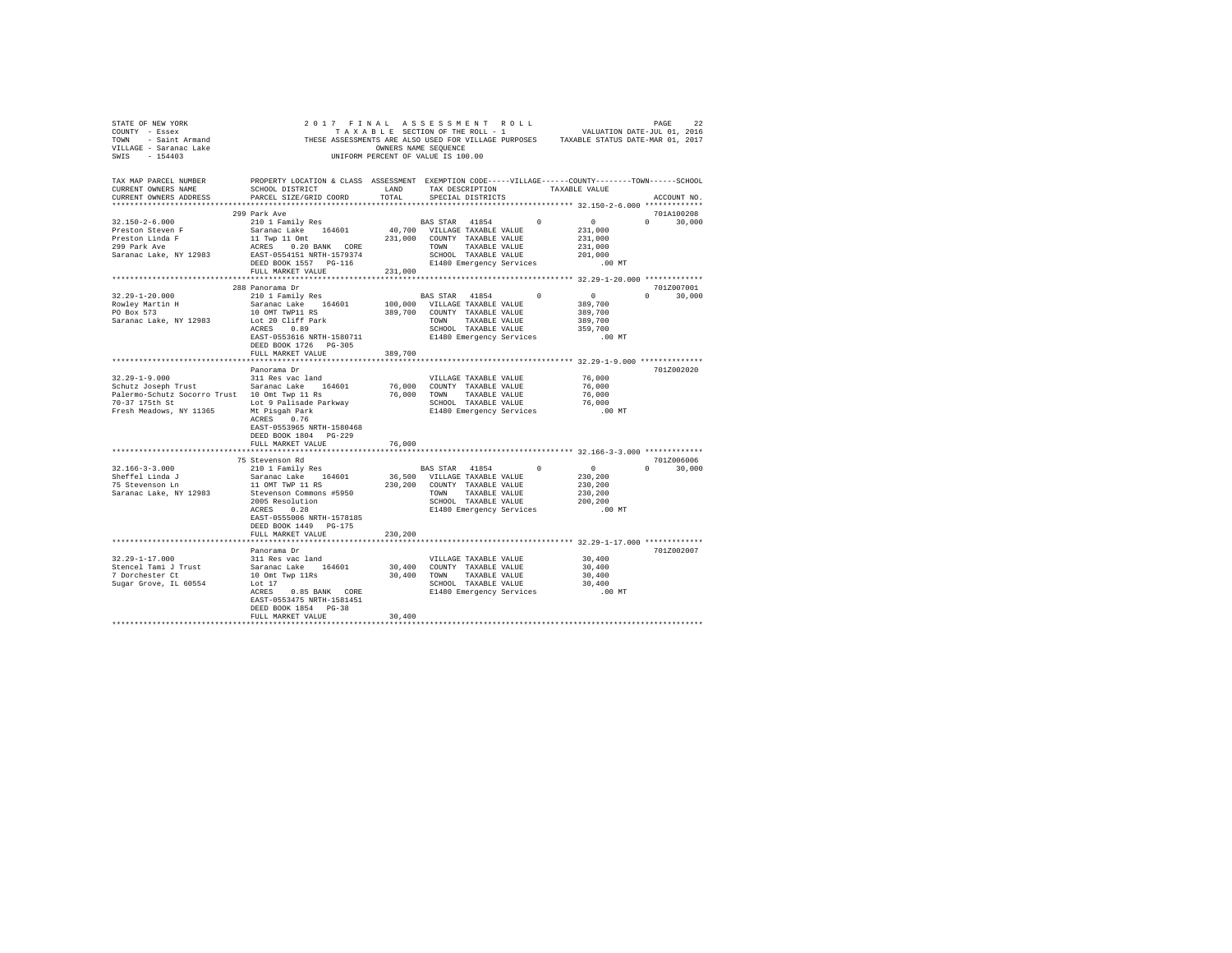| TAX MAP PARCEL NUMBER THE PROPERTY LOCATION & CLASS ASSESSMENT EXEMPTION CODE-----VILLAGE------COUNTY-------TOWN------SCHOOL                                                                                                                                                                                                                                                                            |                                                    |        |  | ACCOUNT NO. |
|---------------------------------------------------------------------------------------------------------------------------------------------------------------------------------------------------------------------------------------------------------------------------------------------------------------------------------------------------------------------------------------------------------|----------------------------------------------------|--------|--|-------------|
|                                                                                                                                                                                                                                                                                                                                                                                                         |                                                    |        |  |             |
| $\begin{tabular}{l c c c c c} \multicolumn{4}{c c c c} \multicolumn{4}{c c c} \multicolumn{4}{c c c} \multicolumn{4}{c c c} \multicolumn{4}{c c c} \multicolumn{4}{c c c} \multicolumn{4}{c c c} \multicolumn{4}{c c c} \multicolumn{4}{c c c} \multicolumn{4}{c c c} \multicolumn{4}{c c c} \multicolumn{4}{c c c} \multicolumn{4}{c c c} \multicolumn{4}{c c c} \multicolumn{4}{c c c} \multicolumn{$ |                                                    |        |  |             |
|                                                                                                                                                                                                                                                                                                                                                                                                         |                                                    |        |  |             |
|                                                                                                                                                                                                                                                                                                                                                                                                         |                                                    |        |  |             |
|                                                                                                                                                                                                                                                                                                                                                                                                         |                                                    |        |  |             |
|                                                                                                                                                                                                                                                                                                                                                                                                         |                                                    |        |  |             |
|                                                                                                                                                                                                                                                                                                                                                                                                         |                                                    |        |  |             |
|                                                                                                                                                                                                                                                                                                                                                                                                         |                                                    |        |  |             |
|                                                                                                                                                                                                                                                                                                                                                                                                         |                                                    |        |  |             |
|                                                                                                                                                                                                                                                                                                                                                                                                         |                                                    |        |  |             |
|                                                                                                                                                                                                                                                                                                                                                                                                         |                                                    |        |  |             |
|                                                                                                                                                                                                                                                                                                                                                                                                         |                                                    |        |  |             |
|                                                                                                                                                                                                                                                                                                                                                                                                         |                                                    |        |  |             |
|                                                                                                                                                                                                                                                                                                                                                                                                         | Panorama Dr                                        |        |  | 701Z002020  |
|                                                                                                                                                                                                                                                                                                                                                                                                         |                                                    |        |  |             |
|                                                                                                                                                                                                                                                                                                                                                                                                         |                                                    |        |  |             |
|                                                                                                                                                                                                                                                                                                                                                                                                         |                                                    |        |  |             |
|                                                                                                                                                                                                                                                                                                                                                                                                         |                                                    |        |  |             |
|                                                                                                                                                                                                                                                                                                                                                                                                         |                                                    |        |  |             |
|                                                                                                                                                                                                                                                                                                                                                                                                         |                                                    |        |  |             |
|                                                                                                                                                                                                                                                                                                                                                                                                         |                                                    |        |  |             |
|                                                                                                                                                                                                                                                                                                                                                                                                         | EAST-0553965 NRTH-1580468                          |        |  |             |
|                                                                                                                                                                                                                                                                                                                                                                                                         | DEED BOOK 1804 PG-229                              |        |  |             |
|                                                                                                                                                                                                                                                                                                                                                                                                         | FULL MARKET VALUE                                  | 76,000 |  |             |
|                                                                                                                                                                                                                                                                                                                                                                                                         |                                                    |        |  |             |
|                                                                                                                                                                                                                                                                                                                                                                                                         |                                                    |        |  |             |
|                                                                                                                                                                                                                                                                                                                                                                                                         |                                                    |        |  |             |
|                                                                                                                                                                                                                                                                                                                                                                                                         |                                                    |        |  |             |
|                                                                                                                                                                                                                                                                                                                                                                                                         |                                                    |        |  |             |
|                                                                                                                                                                                                                                                                                                                                                                                                         |                                                    |        |  |             |
|                                                                                                                                                                                                                                                                                                                                                                                                         |                                                    |        |  |             |
|                                                                                                                                                                                                                                                                                                                                                                                                         |                                                    |        |  |             |
|                                                                                                                                                                                                                                                                                                                                                                                                         | DEED BOOK 1449 PG-175<br>FULL MARKET VALUE 230,200 |        |  |             |
|                                                                                                                                                                                                                                                                                                                                                                                                         |                                                    |        |  |             |
|                                                                                                                                                                                                                                                                                                                                                                                                         |                                                    |        |  | 701Z002007  |
|                                                                                                                                                                                                                                                                                                                                                                                                         | Panorama Dr                                        |        |  |             |
|                                                                                                                                                                                                                                                                                                                                                                                                         |                                                    |        |  |             |
|                                                                                                                                                                                                                                                                                                                                                                                                         |                                                    |        |  |             |
|                                                                                                                                                                                                                                                                                                                                                                                                         |                                                    |        |  |             |
|                                                                                                                                                                                                                                                                                                                                                                                                         |                                                    |        |  |             |
|                                                                                                                                                                                                                                                                                                                                                                                                         | EAST-0553475 NRTH-1581451<br>DEED BOOK 1854 PG-38  |        |  |             |
|                                                                                                                                                                                                                                                                                                                                                                                                         | FULL MARKET VALUE                                  | 30.400 |  |             |
|                                                                                                                                                                                                                                                                                                                                                                                                         |                                                    |        |  |             |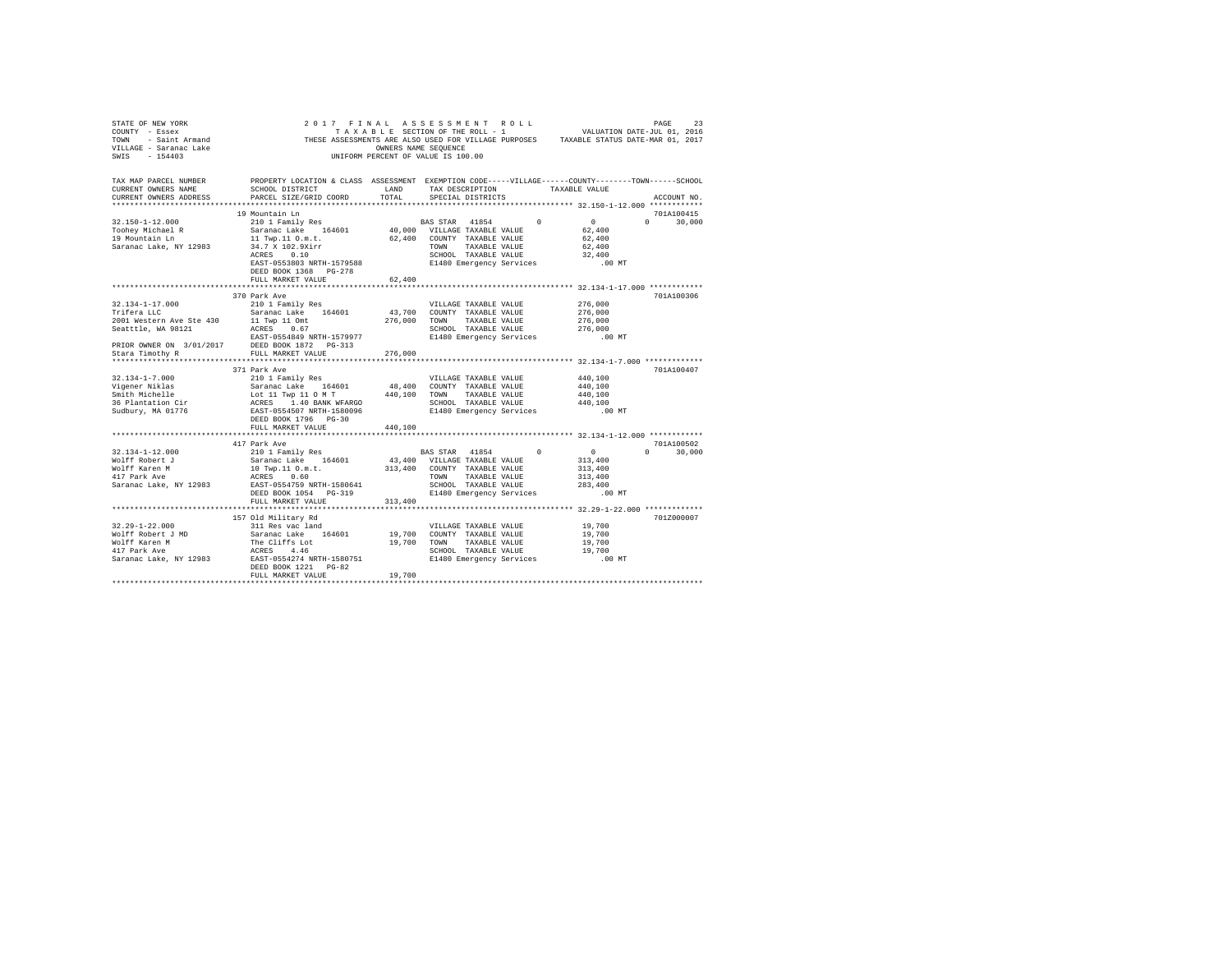| STATE OF NEW YORK<br>SINGLE - SINGLE SERVICE SINGLE THE SAINT - SAINT Armand THE THE STATE STATES OF SATURDA STATES SERVICE SERVICE SERVICE SERVICE SERVICE SERVICE SERVICE SERVICE SERVICE SERVICE SERVICE SERVICE SERVICE SERVICE SERVICE SERVICE |                                                                                                                                                                                                                                        | OWNERS NAME SEQUENCE | 2017 FINAL ASSESSMENT ROLL<br>TAXABLE SECTION OF THE ROLL - 1<br>UNIFORM PERCENT OF VALUE IS 100.00 |          | 23 PAGE<br>2016 VALUATION DATE-JUL 01, 2016<br>THESE ASSESSMENTS ARE ALSO USED FOR VILLAGE PURPOSES TAXABLE STATUS DATE-MAR 01, 2017 |                    |
|-----------------------------------------------------------------------------------------------------------------------------------------------------------------------------------------------------------------------------------------------------|----------------------------------------------------------------------------------------------------------------------------------------------------------------------------------------------------------------------------------------|----------------------|-----------------------------------------------------------------------------------------------------|----------|--------------------------------------------------------------------------------------------------------------------------------------|--------------------|
| TAX MAP PARCEL NUMBER<br>CURRENT OWNERS NAME<br>CURRENT OWNERS ADDRESS                                                                                                                                                                              | PROPERTY LOCATION & CLASS ASSESSMENT EXEMPTION CODE-----VILLAGE------COUNTY-------TOWN------SCHOOL<br>SCHOOL DISTRICT LAND<br>PARCEL SIZE/GRID COORD TOTAL                                                                             |                      | TAX DESCRIPTION TAXABLE VALUE<br>SPECIAL DISTRICTS                                                  |          |                                                                                                                                      | ACCOUNT NO.        |
|                                                                                                                                                                                                                                                     | 19 Mountain Ln                                                                                                                                                                                                                         |                      |                                                                                                     |          |                                                                                                                                      | 701A100415         |
| $32.150 - 1 - 12.000$<br>Toohey Michael R<br>19 Mountain Ln<br>Saranac Lake, NY 12983                                                                                                                                                               | 11 Twp.11 O.m.t.<br>34.7 X 102.9Xirr<br>ACRES 0.10                                                                                                                                                                                     |                      | 62,400 COUNTY TAXABLE VALUE<br>TOWN TAXABLE VALUE<br>SCHOOL TAXABLE VALUE                           | $\Omega$ | $\sim$ 0<br>62,400<br>62,400<br>62,400<br>32,400                                                                                     | $\Omega$<br>30,000 |
|                                                                                                                                                                                                                                                     | EAST-0553803 NRTH-1579588<br>DEED BOOK 1368 PG-278<br>FULL MARKET VALUE                                                                                                                                                                | 62,400               | E1480 Emergency Services                                                                            |          | $.00$ MT                                                                                                                             |                    |
|                                                                                                                                                                                                                                                     |                                                                                                                                                                                                                                        |                      |                                                                                                     |          |                                                                                                                                      |                    |
| 32.134-1-17.000<br>Trifera LLC                                                                                                                                                                                                                      | 370 Park Ave<br>210 1 Family Res<br>Saranac Lake 164601                                                                                                                                                                                |                      | VILLAGE TAXABLE VALUE<br>43,700 COUNTY TAXABLE VALUE                                                |          | 276,000<br>276,000                                                                                                                   | 701A100306         |
|                                                                                                                                                                                                                                                     | 2001 Western Ave Ste 430 11 Twp 11 Omt<br>Seattile, WA 98121 2023 0.67<br>EXES 0.67 EXES-0554649 NRTH-1579977<br>PRIOR OWNER ON 3/01/2017 DEED BOOK 1872 PG-313<br>Stara Timothy R                                                     |                      | 276,000 TOWN<br>TAXABLE VALUE<br>SCHOOL TAXABLE VALUE<br>E1480 Emergency Services                   |          | 276,000<br>276,000<br>.00MT                                                                                                          |                    |
|                                                                                                                                                                                                                                                     |                                                                                                                                                                                                                                        | 276,000              |                                                                                                     |          |                                                                                                                                      |                    |
|                                                                                                                                                                                                                                                     | 371 Park Ave                                                                                                                                                                                                                           |                      |                                                                                                     |          |                                                                                                                                      | 701A100407         |
| 32.134-1-7.000<br>Vigener Niklas<br>Smith Michelle                                                                                                                                                                                                  | 210 1 Family Res                                                                                                                                                                                                                       |                      | VILLAGE TAXABLE VALUE                                                                               |          | 440,100                                                                                                                              |                    |
|                                                                                                                                                                                                                                                     |                                                                                                                                                                                                                                        |                      |                                                                                                     |          | 440,100                                                                                                                              |                    |
|                                                                                                                                                                                                                                                     |                                                                                                                                                                                                                                        |                      |                                                                                                     |          | 440,100                                                                                                                              |                    |
| 36 Plantation Cir<br>Sudbury, MA 01776                                                                                                                                                                                                              | 210 1 Family Res 48,400 COUNTY TAXABLE VALUE<br>SATARAC LAT TWO 11 O MT 48,400 COUNTY TAXABLE VALUE<br>LOC 11 TWP 11 O MT 440,100 TOWN TAXABLE VALUE<br>ACRES 1.400 RES 10 BARK WEREO SCHOOL TAXABLE VALUE<br>EAST-0554507 NRTH-158009 |                      | SCHOOL TAXABLE VALUE<br>E1480 Emergency Services                                                    |          | 440,100                                                                                                                              |                    |
|                                                                                                                                                                                                                                                     | DEED BOOK 1796 PG-30<br>FULL MARKET VALUE 440,100                                                                                                                                                                                      |                      |                                                                                                     |          | .00 MT                                                                                                                               |                    |
|                                                                                                                                                                                                                                                     |                                                                                                                                                                                                                                        |                      |                                                                                                     |          |                                                                                                                                      |                    |
|                                                                                                                                                                                                                                                     | 417 Park Ave                                                                                                                                                                                                                           |                      |                                                                                                     |          |                                                                                                                                      | 701A100502         |
| 32.134-1-12.000<br>Wolff Robert J<br>Wolff Karen M                                                                                                                                                                                                  | 210 1 Family Res<br>Saranac Lake 164601 43,400 VILLAGE TAXABLE VALUE<br>10 Twp.11 0.m.t.                                                                                                                                               |                      | BAS STAR 41854 0<br>313,400 COUNTY TAXABLE VALUE                                                    |          | $\sim$ 0<br>313,400<br>313,400                                                                                                       | $0 \t 30.000$      |
| 417 Park Ave<br>Saranac Lake, NY 12983                                                                                                                                                                                                              | ACRES 0.60<br>EAST-0554759 NRTH-1580641<br>DEED BOOK 1054 PG-319                                                                                                                                                                       |                      | TOWN<br>TAXABLE VALUE<br>SCHOOL TAXABLE VALUE<br>E1480 Emergency Services                           |          | 313,400<br>283,400<br>$.00$ MT                                                                                                       |                    |
|                                                                                                                                                                                                                                                     | FULL MARKET VALUE                                                                                                                                                                                                                      | 313,400              |                                                                                                     |          |                                                                                                                                      |                    |
|                                                                                                                                                                                                                                                     |                                                                                                                                                                                                                                        |                      |                                                                                                     |          |                                                                                                                                      |                    |
|                                                                                                                                                                                                                                                     | 157 Old Military Rd                                                                                                                                                                                                                    |                      |                                                                                                     |          |                                                                                                                                      | 701Z000007         |
| $32.29 - 1 - 22.000$                                                                                                                                                                                                                                | 311 Res vac land                                                                                                                                                                                                                       |                      | VILLAGE TAXABLE VALUE                                                                               |          | 19,700                                                                                                                               |                    |
|                                                                                                                                                                                                                                                     | $\verb Wolff Robert J MD  & \verb Sarnac Lake  164601  19,700 COUNTY TAXABLE VALUE  \\$                                                                                                                                                |                      |                                                                                                     |          | 19,700                                                                                                                               |                    |
|                                                                                                                                                                                                                                                     |                                                                                                                                                                                                                                        |                      | 19,700 TOWN TAXABLE VALUE                                                                           |          | 19,700                                                                                                                               |                    |
|                                                                                                                                                                                                                                                     | DEED BOOK 1221 PG-82                                                                                                                                                                                                                   |                      | SCHOOL TAXABLE VALUE<br>E1480 Emergency Services                                                    |          | 19,700<br>$.00$ MT                                                                                                                   |                    |
|                                                                                                                                                                                                                                                     | FULL MARKET VALUE                                                                                                                                                                                                                      | 19,700               |                                                                                                     |          |                                                                                                                                      |                    |
|                                                                                                                                                                                                                                                     |                                                                                                                                                                                                                                        |                      |                                                                                                     |          |                                                                                                                                      |                    |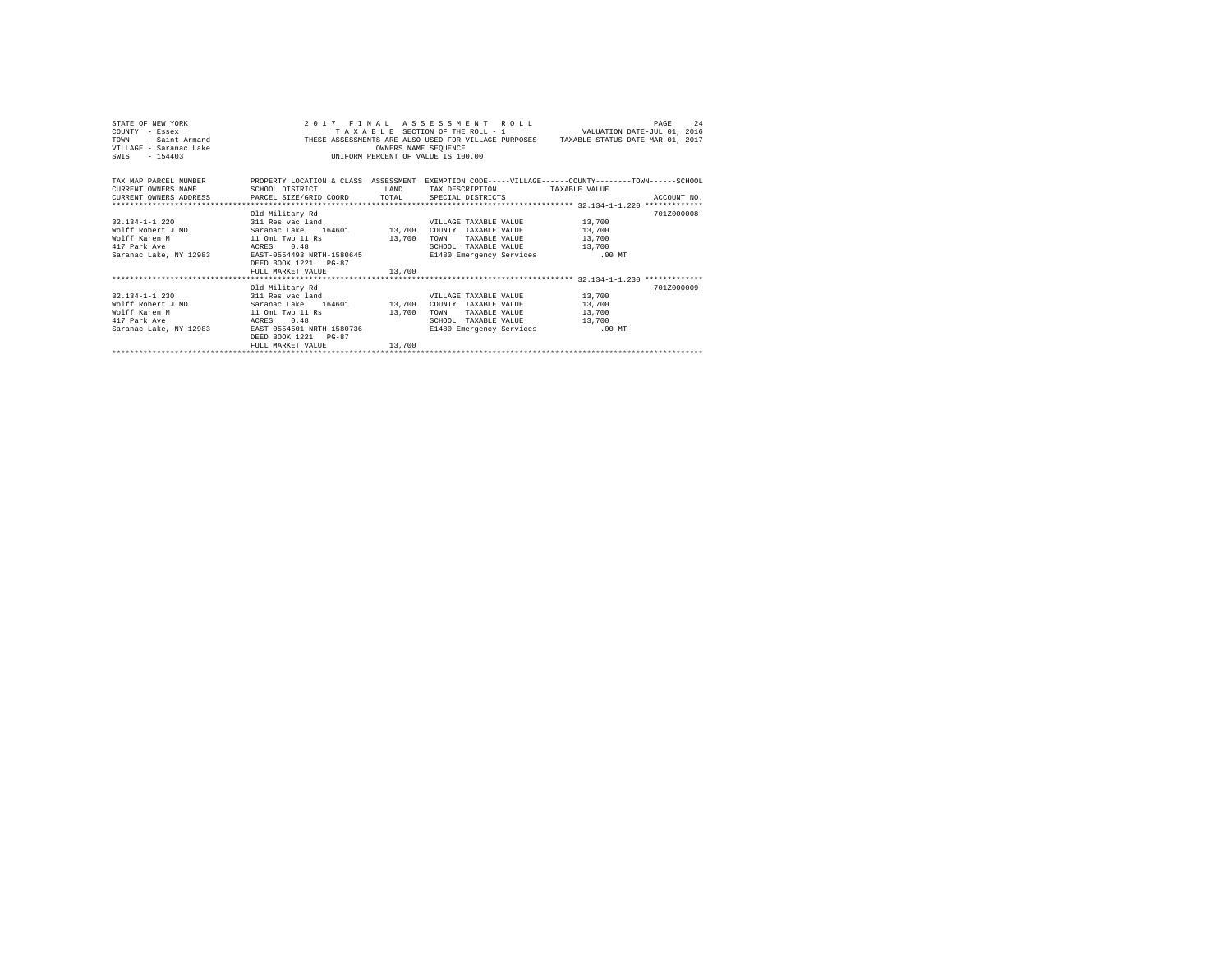| STATE OF NEW YORK<br>COUNTY - Essex<br>TOWN<br>VILLAGE - Saranac Lake<br>SWIS - 154403 |                                         |        | 2017 FINAL ASSESSMENT ROLL      | 24<br>PAGE<br>TAXABLE SECTION OF THE ROLL - 1 VALUATION DATE-JUL 01, 2016<br>F A X A B L E SECTION OF THE ROLL - 1 UALUATION DATE-JUL 01, 2016<br>FREE ASSESSMENTS ARE ALSO USED FOR VILLAGE PURPOSES TAXABLE STATUS DATE-MAR 01, 2017<br>FREE STATION OF THEST AND ESSUENCE ON SAME SAME STATUS DATE-MAR 01, 201 |
|----------------------------------------------------------------------------------------|-----------------------------------------|--------|---------------------------------|-------------------------------------------------------------------------------------------------------------------------------------------------------------------------------------------------------------------------------------------------------------------------------------------------------------------|
|                                                                                        |                                         |        |                                 | TAX MAP PARCEL NUMBER PROPERTY LOCATION & CLASS ASSESSMENT EXEMPTION CODE-----VILLAGE------COUNTY-------TOWN-----SCHOOL                                                                                                                                                                                           |
| CURRENT OWNERS NAME                                                                    | SCHOOL DISTRICT LAND                    |        | TAX DESCRIPTION TAXABLE VALUE   |                                                                                                                                                                                                                                                                                                                   |
| CURRENT OWNERS ADDRESS PARCEL SIZE/GRID COORD TOTAL SPECIAL DISTRICTS                  |                                         |        |                                 | ACCOUNT NO.                                                                                                                                                                                                                                                                                                       |
|                                                                                        |                                         |        |                                 |                                                                                                                                                                                                                                                                                                                   |
|                                                                                        | Old Military Rd                         |        |                                 | 701Z000008                                                                                                                                                                                                                                                                                                        |
| 32.134-1-1.220 311 Res vac land                                                        |                                         |        | VILLAGE TAXABLE VALUE 13,700    |                                                                                                                                                                                                                                                                                                                   |
| Wolff Robert J MD Saranac Lake 164601 13,700                                           |                                         |        | COUNTY TAXABLE VALUE 13,700     |                                                                                                                                                                                                                                                                                                                   |
| Wolff Karen M                                                                          | 11 Omt Twp 11 Rs 13,700                 |        | TAXABLE VALUE 13,700<br>TOWN    |                                                                                                                                                                                                                                                                                                                   |
| 417 Park Ave<br>ACRES 0.48                                                             |                                         |        | SCHOOL TAXABLE VALUE 13,700     |                                                                                                                                                                                                                                                                                                                   |
| Saranac Lake, NY 12983 EAST-0554493 NRTH-1580645 E1480 Emergency Services .00 MT       |                                         |        |                                 |                                                                                                                                                                                                                                                                                                                   |
|                                                                                        | DEED BOOK 1221 PG-87                    |        |                                 |                                                                                                                                                                                                                                                                                                                   |
|                                                                                        | FULL MARKET VALUE 13,700                |        |                                 |                                                                                                                                                                                                                                                                                                                   |
|                                                                                        | Old Military Rd                         |        |                                 | 701Z000009                                                                                                                                                                                                                                                                                                        |
| 32.134-1-1.230 311 Res vac land                                                        |                                         |        | VILLAGE TAXABLE VALUE 13,700    |                                                                                                                                                                                                                                                                                                                   |
| Wolff Robert J MD                                                                      | Saranac Lake 164601 13,700              |        | COUNTY TAXABLE VALUE 13,700     |                                                                                                                                                                                                                                                                                                                   |
| Wolff Karen M                                                                          | 11 Omt Twp 11 Rs 13,700                 |        | TAXABLE VALUE 13,700<br>TOWN    |                                                                                                                                                                                                                                                                                                                   |
| ACRES 0.48<br>417 Park Ave                                                             |                                         |        | SCHOOL TAXABLE VALUE 13,700     |                                                                                                                                                                                                                                                                                                                   |
| Saranac Lake, NY 12983                                                                 | ACRES 0.48<br>EAST-0554501 NRTH-1580736 |        | E1480 Emergency Services .00 MT |                                                                                                                                                                                                                                                                                                                   |
|                                                                                        | DEED BOOK 1221 PG-87                    |        |                                 |                                                                                                                                                                                                                                                                                                                   |
|                                                                                        | FULL MARKET VALUE                       | 13,700 |                                 |                                                                                                                                                                                                                                                                                                                   |
|                                                                                        |                                         |        |                                 |                                                                                                                                                                                                                                                                                                                   |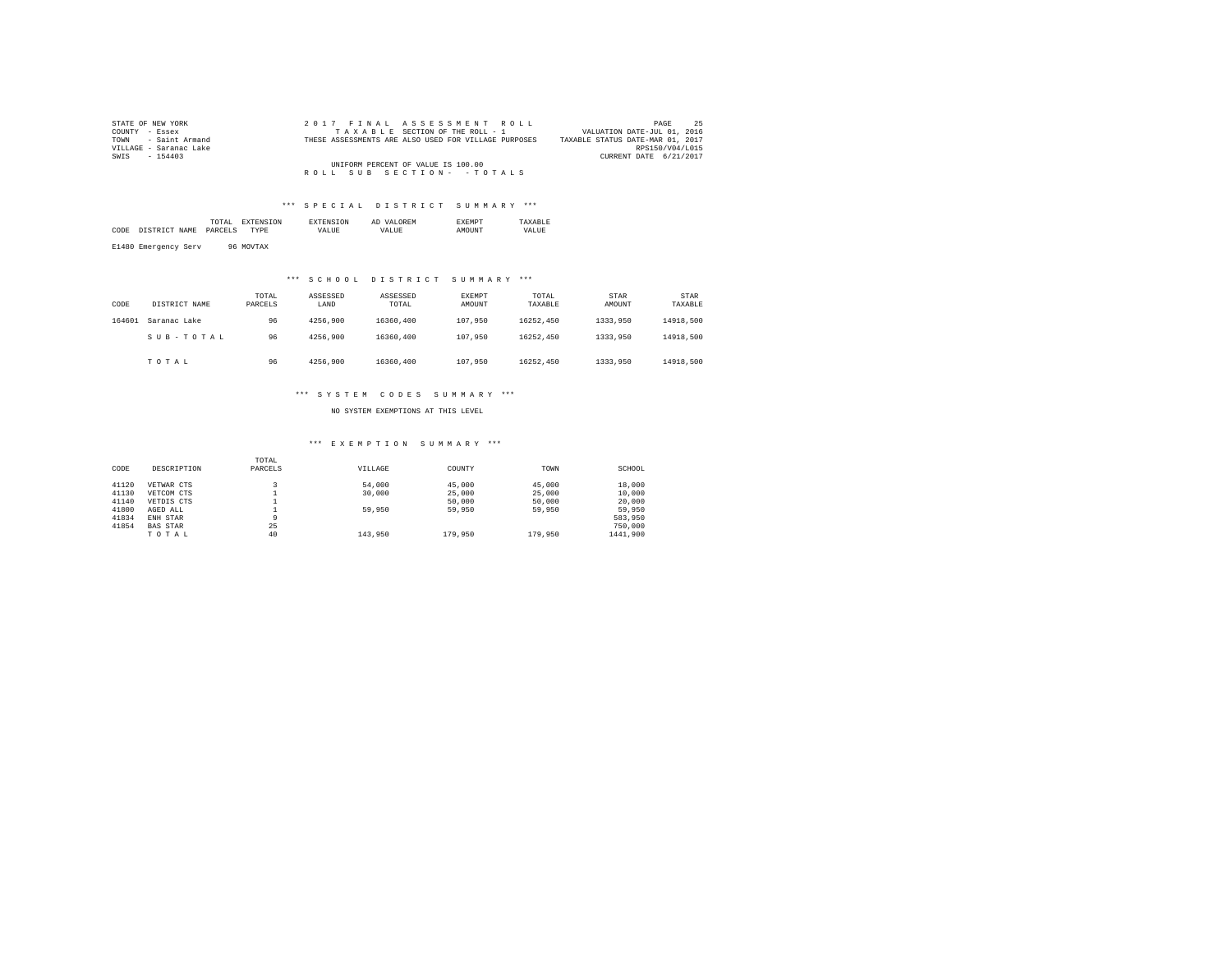| STATE OF NEW YORK      | 2017 FINAL ASSESSMENT ROLL                           | -25<br>PAGE                      |
|------------------------|------------------------------------------------------|----------------------------------|
| COUNTY - Essex         | TAXABLE SECTION OF THE ROLL - 1                      | VALUATION DATE-JUL 01, 2016      |
| TOWN - Saint Armand    | THESE ASSESSMENTS ARE ALSO USED FOR VILLAGE PURPOSES | TAXABLE STATUS DATE-MAR 01, 2017 |
| VILLAGE - Saranac Lake |                                                      | RPS150/V04/L015                  |
| SWIS - 154403          |                                                      | CURRENT DATE 6/21/2017           |
|                        | UNIFORM PERCENT OF VALUE IS 100.00                   |                                  |
|                        | ROLL SUB SECTION- - TOTALS                           |                                  |

|      |                      | TAL<br>the contract of the contract of the contract of |    |       | AΓ<br>. . |             |
|------|----------------------|--------------------------------------------------------|----|-------|-----------|-------------|
| CODE | ' CTD<br>AME<br>$ -$ | ロスロバ<br>. כדו                                          | ъF | /ALUE | $\cdots$  | ALUE<br>VD. |
|      |                      |                                                        |    |       |           |             |

E1480 Emergency Serv 96 MOVTAX

# \*\*\* S C H O O L D I S T R I C T S U M M A R Y \*\*\*

| CODE   | DISTRICT NAME | TOTAL<br>PARCELS | ASSESSED<br>LAND | ASSESSED<br>TOTAL | <b>EXEMPT</b><br>AMOUNT | TOTAL<br>TAXABLE | STAR<br>AMOUNT | STAR<br>TAXABLE |
|--------|---------------|------------------|------------------|-------------------|-------------------------|------------------|----------------|-----------------|
| 164601 | Saranac Lake  | 96               | 4256.900         | 16360,400         | 107,950                 | 16252.450        | 1333,950       | 14918,500       |
|        | SUB-TOTAL     | 96               | 4256.900         | 16360,400         | 107,950                 | 16252.450        | 1333,950       | 14918,500       |
|        | TOTAL         | 96               | 4256.900         | 16360,400         | 107.950                 | 16252.450        | 1333,950       | 14918,500       |

### \*\*\* S Y S T E M C O D E S S U M M A R Y \*\*\*

NO SYSTEM EXEMPTIONS AT THIS LEVEL

### \*\*\* E X E M P T I O N S U M M A R Y \*\*\*

|       |                 | TOTAL   |         |         |         |          |
|-------|-----------------|---------|---------|---------|---------|----------|
| CODE  | DESCRIPTION     | PARCELS | VILLAGE | COUNTY  | TOWN    | SCHOOL   |
| 41120 | VETWAR CTS      |         | 54,000  | 45,000  | 45,000  | 18,000   |
| 41130 | VETCOM CTS      |         | 30,000  | 25,000  | 25,000  | 10,000   |
| 41140 | VETDIS CTS      |         |         | 50,000  | 50,000  | 20,000   |
| 41800 | AGED ALL        |         | 59,950  | 59,950  | 59,950  | 59,950   |
| 41834 | ENH STAR        | 9       |         |         |         | 583.950  |
| 41854 | <b>BAS STAR</b> | 25      |         |         |         | 750,000  |
|       | TOTAL           | 40      | 143,950 | 179,950 | 179,950 | 1441,900 |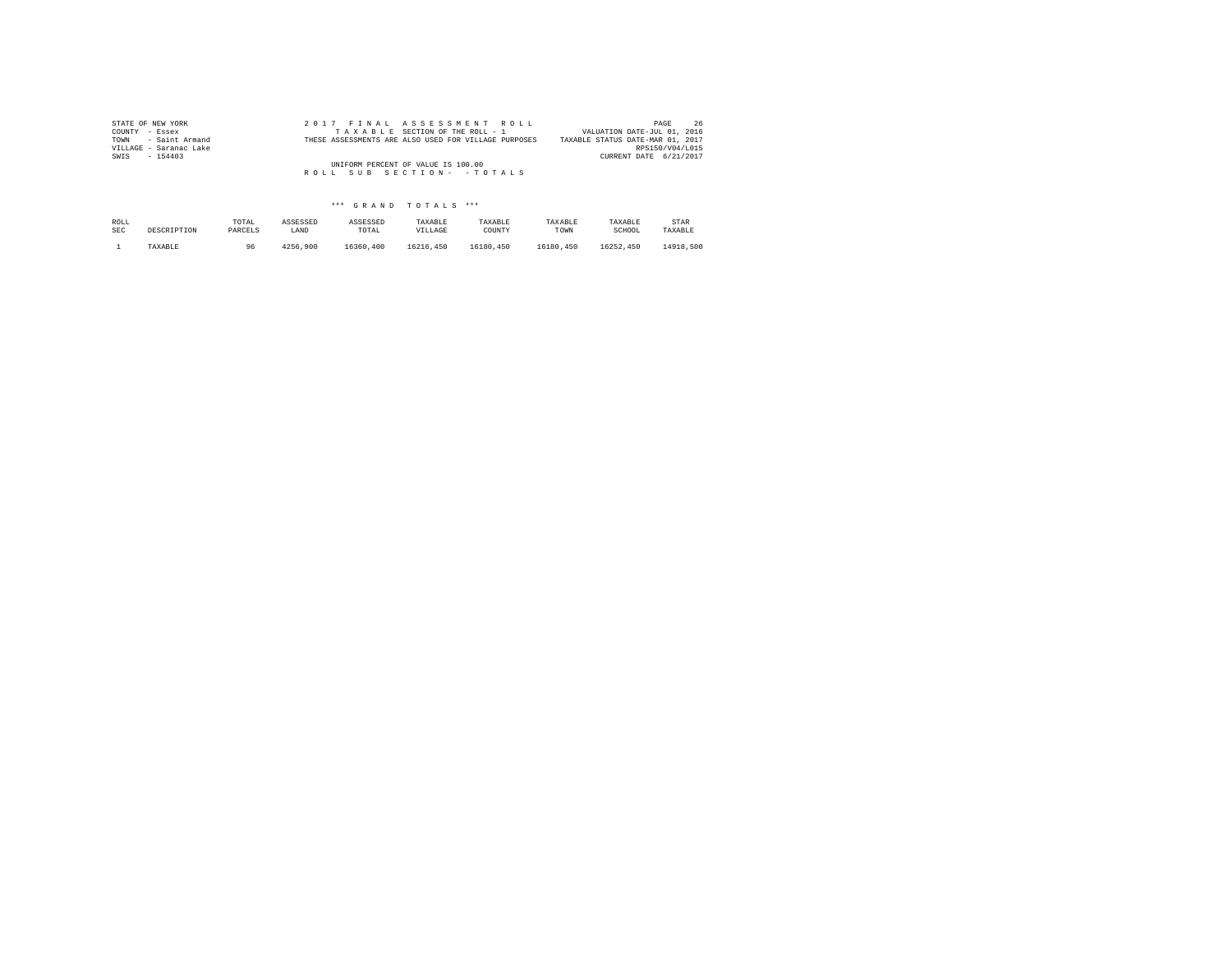| STATE OF NEW YORK      |  | 2017 FINAL ASSESSMENT ROLL                           | 26<br>PAGE                       |
|------------------------|--|------------------------------------------------------|----------------------------------|
| COUNTY - Essex         |  | TAXABLE SECTION OF THE ROLL - 1                      | VALUATION DATE-JUL 01, 2016      |
| TOWN - Saint Armand    |  | THESE ASSESSMENTS ARE ALSO USED FOR VILLAGE PURPOSES | TAXABLE STATUS DATE-MAR 01, 2017 |
| VILLAGE - Saranac Lake |  |                                                      | RPS150/V04/L015                  |
| SWIS<br>$-154403$      |  |                                                      | CURRENT DATE 6/21/2017           |
|                        |  | UNIFORM PERCENT OF VALUE IS 100.00                   |                                  |
|                        |  | ROLL SUB SECTION- - TOTALS                           |                                  |
|                        |  |                                                      |                                  |

| ROLL       | DESCRIPTION | TOTAL   | ASSESSED | ASSESSED  | TAXABLE   | TAXABLE   | TAXABLE   | TAXABLE   | STAR      |
|------------|-------------|---------|----------|-----------|-----------|-----------|-----------|-----------|-----------|
| <b>SEC</b> |             | PARCELS | LAND     | TOTAL     | VILLAGE   | COUNTY    | TOWN      | SCHOOL    | TAXABLE   |
|            | TAXABLE     | 96      | 4256.900 | 16360,400 | 16216,450 | 16180.450 | 16180.450 | 16252.450 | 14918,500 |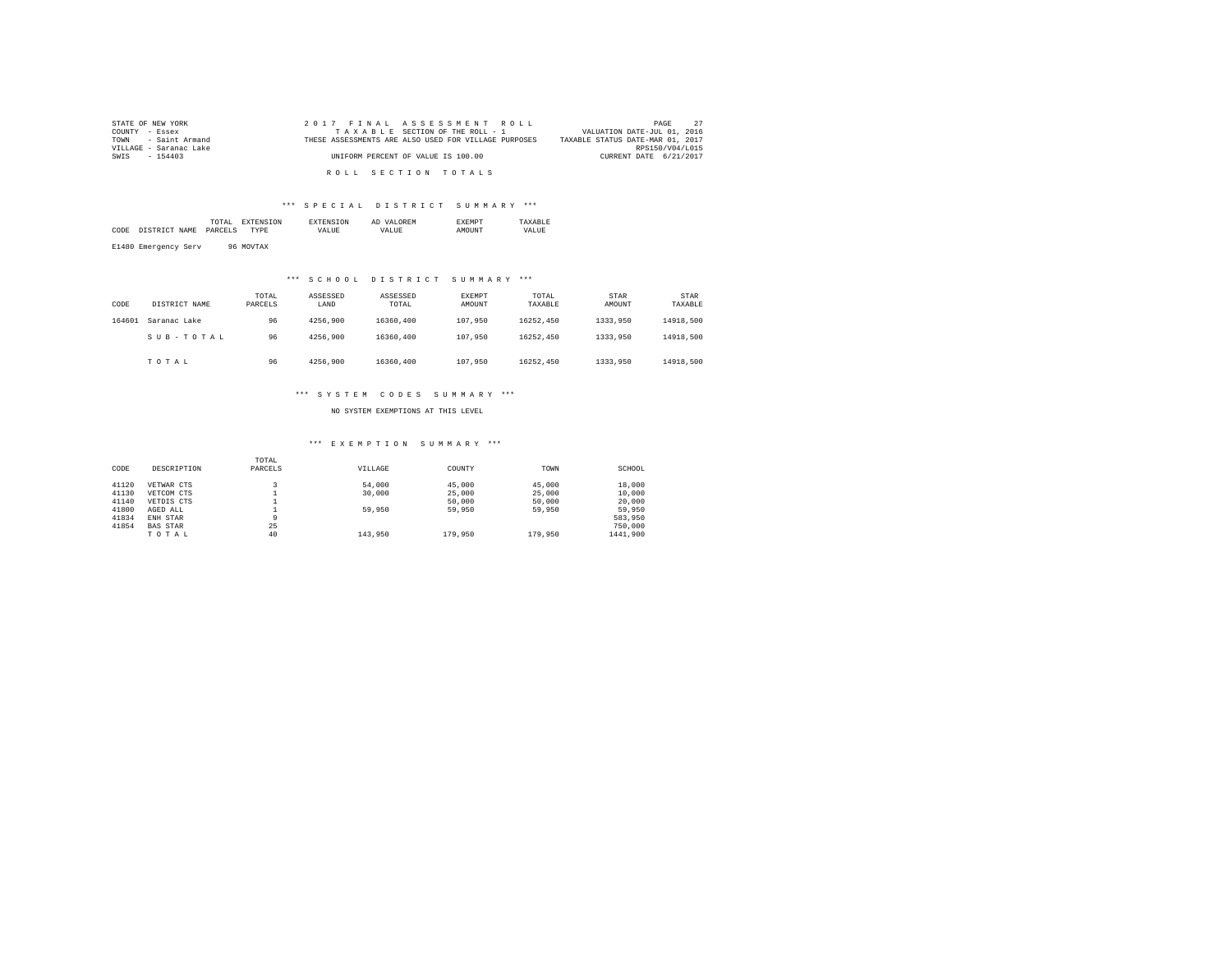| STATE OF NEW YORK      | 2017 FINAL ASSESSMENT ROLL                           | 27<br>PAGE                       |
|------------------------|------------------------------------------------------|----------------------------------|
| COUNTY - Essex         | TAXABLE SECTION OF THE ROLL - 1                      | VALUATION DATE-JUL 01, 2016      |
| TOWN - Saint Armand    | THESE ASSESSMENTS ARE ALSO USED FOR VILLAGE PURPOSES | TAXABLE STATUS DATE-MAR 01, 2017 |
| VILLAGE - Saranac Lake |                                                      | RPS150/V04/L015                  |
| SWIS - 154403          | UNIFORM PERCENT OF VALUE IS 100.00                   | CURRENT DATE 6/21/2017           |
|                        |                                                      |                                  |
|                        | ROLL SECTION TOTALS                                  |                                  |

|      |                      | TAL<br>the contract of the contract of the contract of |    |       | AΓ<br>. . |             |
|------|----------------------|--------------------------------------------------------|----|-------|-----------|-------------|
| CODE | ' CTD<br>AME<br>$ -$ | ロスロバ<br>. כדו                                          | ъF | /ALUE | $\cdots$  | ALUE<br>VD. |
|      |                      |                                                        |    |       |           |             |

E1480 Emergency Serv 96 MOVTAX

# \*\*\* S C H O O L D I S T R I C T S U M M A R Y \*\*\*

| CODE   | DISTRICT NAME | TOTAL<br>PARCELS | ASSESSED<br>LAND | ASSESSED<br>TOTAL | <b>EXEMPT</b><br>AMOUNT | TOTAL<br>TAXABLE | STAR<br>AMOUNT | STAR<br>TAXABLE |
|--------|---------------|------------------|------------------|-------------------|-------------------------|------------------|----------------|-----------------|
| 164601 | Saranac Lake  | 96               | 4256.900         | 16360,400         | 107,950                 | 16252.450        | 1333,950       | 14918.500       |
|        | SUB-TOTAL     | 96               | 4256.900         | 16360,400         | 107,950                 | 16252.450        | 1333,950       | 14918.500       |
|        | TOTAL         | 96               | 4256.900         | 16360,400         | 107,950                 | 16252.450        | 1333,950       | 14918.500       |

### \*\*\* S Y S T E M C O D E S S U M M A R Y \*\*\*

NO SYSTEM EXEMPTIONS AT THIS LEVEL

### \*\*\* E X E M P T I O N S U M M A R Y \*\*\*

|       |                 | TOTAL   |         |         |         |          |
|-------|-----------------|---------|---------|---------|---------|----------|
| CODE  | DESCRIPTION     | PARCELS | VILLAGE | COUNTY  | TOWN    | SCHOOL   |
| 41120 | VETWAR CTS      |         | 54,000  | 45,000  | 45,000  | 18,000   |
| 41130 | VETCOM CTS      |         | 30,000  | 25,000  | 25,000  | 10,000   |
| 41140 | VETDIS CTS      |         |         | 50,000  | 50,000  | 20,000   |
| 41800 | AGED ALL        |         | 59,950  | 59,950  | 59,950  | 59,950   |
| 41834 | ENH STAR        | 9       |         |         |         | 583.950  |
| 41854 | <b>BAS STAR</b> | 25      |         |         |         | 750,000  |
|       | TOTAL           | 40      | 143,950 | 179,950 | 179,950 | 1441,900 |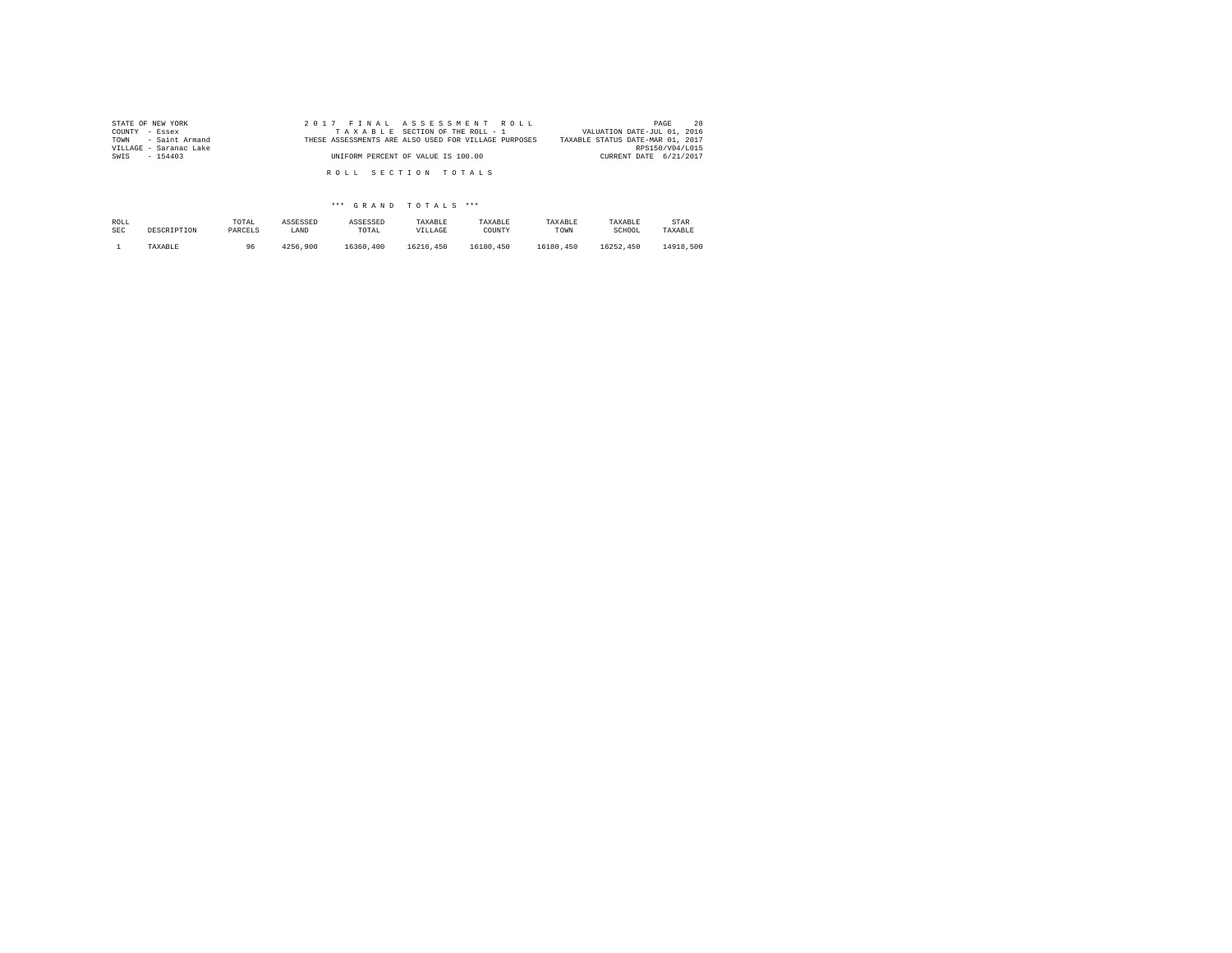| STATE OF NEW YORK      | 2017 FINAL ASSESSMENT ROLL                           | 28<br>PAGE                       |
|------------------------|------------------------------------------------------|----------------------------------|
| COUNTY - Essex         | TAXABLE SECTION OF THE ROLL - 1                      | VALUATION DATE-JUL 01, 2016      |
| TOWN - Saint Armand    | THESE ASSESSMENTS ARE ALSO USED FOR VILLAGE PURPOSES | TAXABLE STATUS DATE-MAR 01, 2017 |
| VILLAGE - Saranac Lake |                                                      | RPS150/V04/L015                  |
| SWIS<br>$-154403$      | UNIFORM PERCENT OF VALUE IS 100.00                   | CURRENT DATE 6/21/2017           |
|                        |                                                      |                                  |
|                        | ROLL SECTION TOTALS                                  |                                  |
|                        |                                                      |                                  |

| ROLL       | DESCRIPTION | TOTAL   | ASSESSED | ASSESSED  | TAXABLE   | TAXABLE   | TAXABLE   | TAXABLE   | STAR      |
|------------|-------------|---------|----------|-----------|-----------|-----------|-----------|-----------|-----------|
| <b>SEC</b> |             | PARCELS | LAND     | TOTAL     | VILLAGE   | COUNTY    | TOWN      | SCHOOL    | TAXABLE   |
|            | TAXABLE     | 96      | 4256.900 | 16360,400 | 16216.450 | 16180.450 | 16180.450 | 16252.450 | 14918,500 |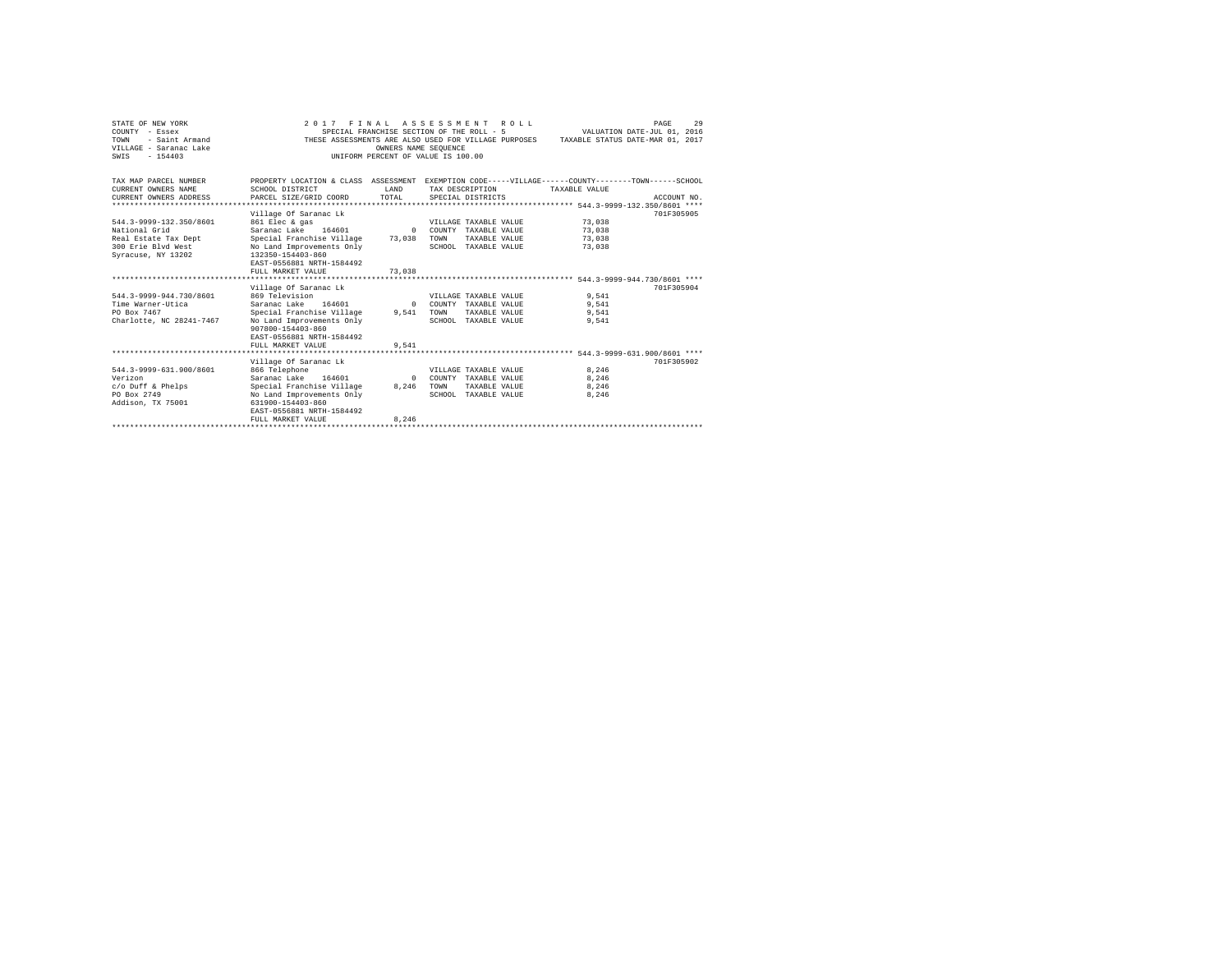| STATE OF NEW YORK<br>COUNTY - Essex<br>- Saint Armand<br>TOWN<br>VILLAGE - Saranac Lake<br>SWTS<br>$-154403$ | 2017 FINAL ASSESSMENT                                                                                                                                                                                  | OWNERS NAME SEOUENCE       | R O T. T.<br>SPECIAL FRANCHISE SECTION OF THE ROLL - 5<br>UNIFORM PERCENT OF VALUE IS 100.00   | VALUATION DATE-JUL 01, 2016<br>THESE ASSESSMENTS ARE ALSO USED FOR VILLAGE PURPOSES TAXABLE STATUS DATE-MAR 01, 2017 | 29<br>PAGE  |
|--------------------------------------------------------------------------------------------------------------|--------------------------------------------------------------------------------------------------------------------------------------------------------------------------------------------------------|----------------------------|------------------------------------------------------------------------------------------------|----------------------------------------------------------------------------------------------------------------------|-------------|
| TAX MAP PARCEL NUMBER<br>CURRENT OWNERS NAME<br>CURRENT OWNERS ADDRESS                                       | PROPERTY LOCATION & CLASS ASSESSMENT EXEMPTION CODE-----VILLAGE------COUNTY-------TOWN------SCHOOL<br>SCHOOL DISTRICT<br>PARCEL SIZE/GRID COORD                                                        | T.AND<br>TOTAL             | TAX DESCRIPTION<br>SPECIAL DISTRICTS                                                           | TAXABLE VALUE                                                                                                        | ACCOUNT NO. |
| 544.3-9999-132.350/8601<br>National Grid<br>Real Estate Tax Dept<br>300 Erie Blvd West<br>Syracuse, NY 13202 | Village Of Saranac Lk<br>861 Elec & gas<br>Saranac Lake 164601<br>Special Franchise Village 73,038<br>No Land Improvements Only<br>132350-154403-860<br>EAST-0556881 NRTH-1584492<br>FULL MARKET VALUE | $\Omega$<br>73,038         | VILLAGE TAXABLE VALUE<br>COUNTY TAXABLE VALUE<br>TOWN<br>TAXABLE VALUE<br>SCHOOL TAXABLE VALUE | 73,038<br>73,038<br>73,038<br>73,038                                                                                 | 701F305905  |
| 544.3-9999-944.730/8601<br>Time Warner-Utica<br>PO Box 7467<br>Charlotte, NC 28241-7467                      | Village Of Saranac Lk<br>869 Television<br>Saranac Lake 164601<br>Special Franchise Village 9.541<br>No Land Improvements Only<br>907800-154403-860<br>EAST-0556881 NRTH-1584492<br>FULL MARKET VALUE  | $\Omega$<br>9.541          | VILLAGE TAXABLE VALUE<br>COUNTY TAXABLE VALUE<br>TOWN<br>TAXABLE VALUE<br>SCHOOL TAXABLE VALUE | 9.541<br>9.541<br>9.541<br>9.541                                                                                     | 701F305904  |
| 544.3-9999-631.900/8601<br>Verizon<br>c/o Duff & Phelps<br>PO Box 2749<br>Addison, TX 75001                  | Village Of Saranac Lk<br>866 Telephone<br>Saranac Lake 164601<br>Special Franchise Village<br>No Land Improvements Only<br>631900-154403-860<br>EAST-0556881 NRTH-1584492<br>FULL MARKET VALUE         | $\Omega$<br>8,246<br>8.246 | VILLAGE TAXABLE VALUE<br>COUNTY TAXABLE VALUE<br>TAXABLE VALUE<br>TOWN<br>SCHOOL TAXABLE VALUE | 8.246<br>8,246<br>8.246<br>8.246                                                                                     | 701F305902  |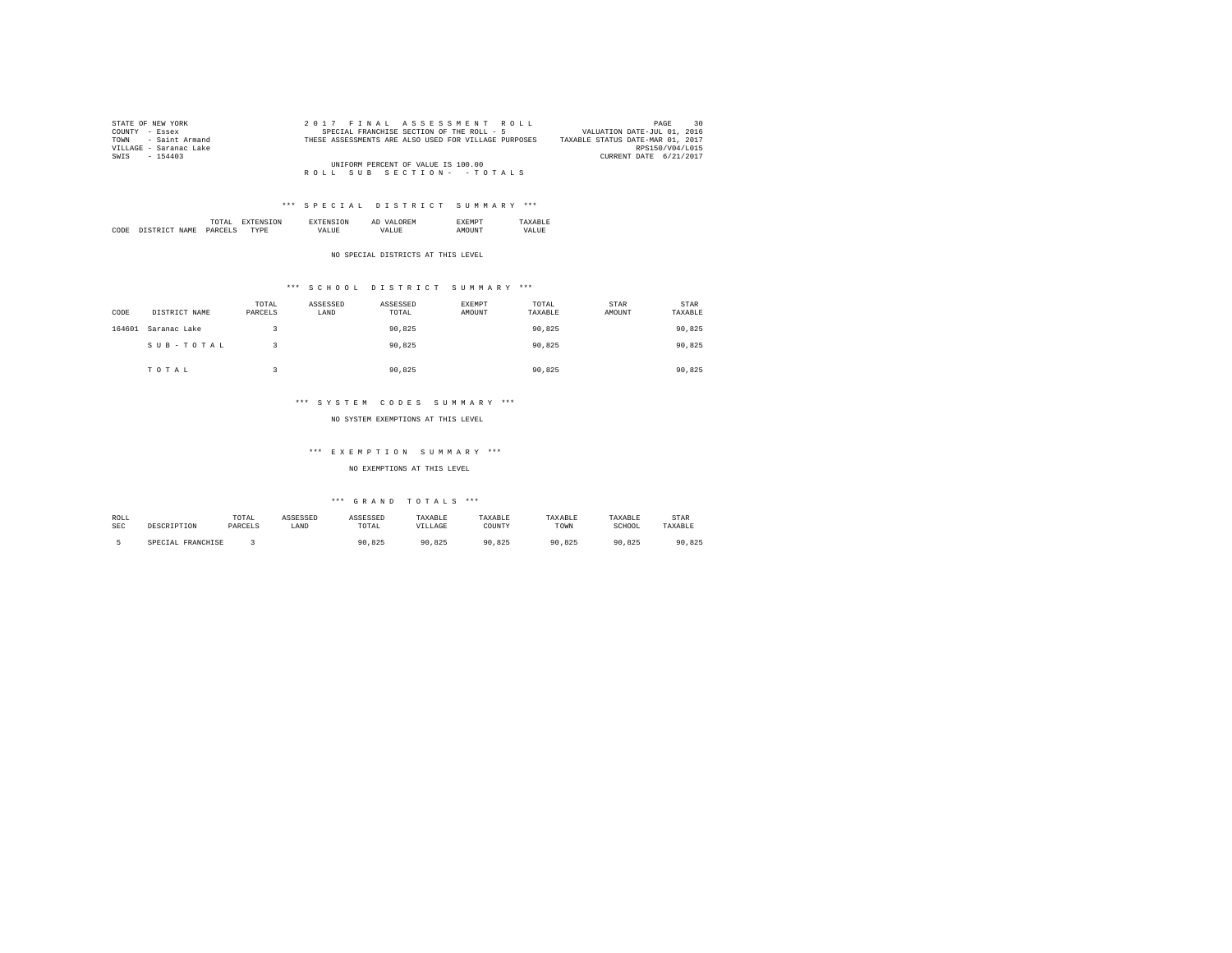| STATE OF NEW YORK      | 2017 FINAL ASSESSMENT ROLL                           | 30<br>PAGE                       |
|------------------------|------------------------------------------------------|----------------------------------|
| COUNTY - Essex         | SPECIAL FRANCHISE SECTION OF THE ROLL - 5            | VALUATION DATE-JUL 01, 2016      |
| TOWN - Saint Armand    | THESE ASSESSMENTS ARE ALSO USED FOR VILLAGE PURPOSES | TAXABLE STATUS DATE-MAR 01, 2017 |
| VILLAGE - Saranac Lake |                                                      | RPS150/V04/L015                  |
| SWIS - 154403          |                                                      | CURRENT DATE 6/21/2017           |
|                        | UNIFORM PERCENT OF VALUE IS 100.00                   |                                  |
|                        | ROLL SUB SECTION- - TOTALS                           |                                  |

|      |                | the contract of the contract of the contract of | <b>L'NI</b> | АL | . .  |  |
|------|----------------|-------------------------------------------------|-------------|----|------|--|
| CODE | NAMF<br>$\sim$ | DARC                                            | $\cdots$    |    | 5118 |  |

NO SPECIAL DISTRICTS AT THIS LEVEL

# \*\*\* S C H O O L D I S T R I C T S U M M A R Y \*\*\*

| CODE   | DISTRICT NAME | TOTAL<br>PARCELS | ASSESSED<br>LAND | ASSESSED<br>TOTAL | EXEMPT<br>AMOUNT | TOTAL<br>TAXABLE | STAR<br>AMOUNT | <b>STAR</b><br>TAXABLE |
|--------|---------------|------------------|------------------|-------------------|------------------|------------------|----------------|------------------------|
| 164601 | Saranac Lake  |                  |                  | 90.825            |                  | 90.825           |                | 90,825                 |
|        | SUB-TOTAL     |                  |                  | 90.825            |                  | 90.825           |                | 90,825                 |
|        | TOTAL         |                  |                  | 90.825            |                  | 90.825           |                | 90.825                 |

### \*\*\* S Y S T E M C O D E S S U M M A R Y \*\*\*

NO SYSTEM EXEMPTIONS AT THIS LEVEL

### \*\*\* E X E M P T I O N S U M M A R Y \*\*\*

NO EXEMPTIONS AT THIS LEVEL

| ROLL | DESCRIPTION       | TOTAL   | ASSESSED | ASSESSED | TAXABLE | TAXABLE    | TAXABLE | TAXABLE | STAR    |
|------|-------------------|---------|----------|----------|---------|------------|---------|---------|---------|
| SEC  |                   | PARCELS | LAND     | TOTAL    | VILLAGE | COUNTY     | TOWN    | SCHOOL  | TAXABLE |
|      | SPECIAL FRANCHISE |         |          | 90.825   | 90.825  | 90<br>.825 | 90.825  | 90.825  | 90.825  |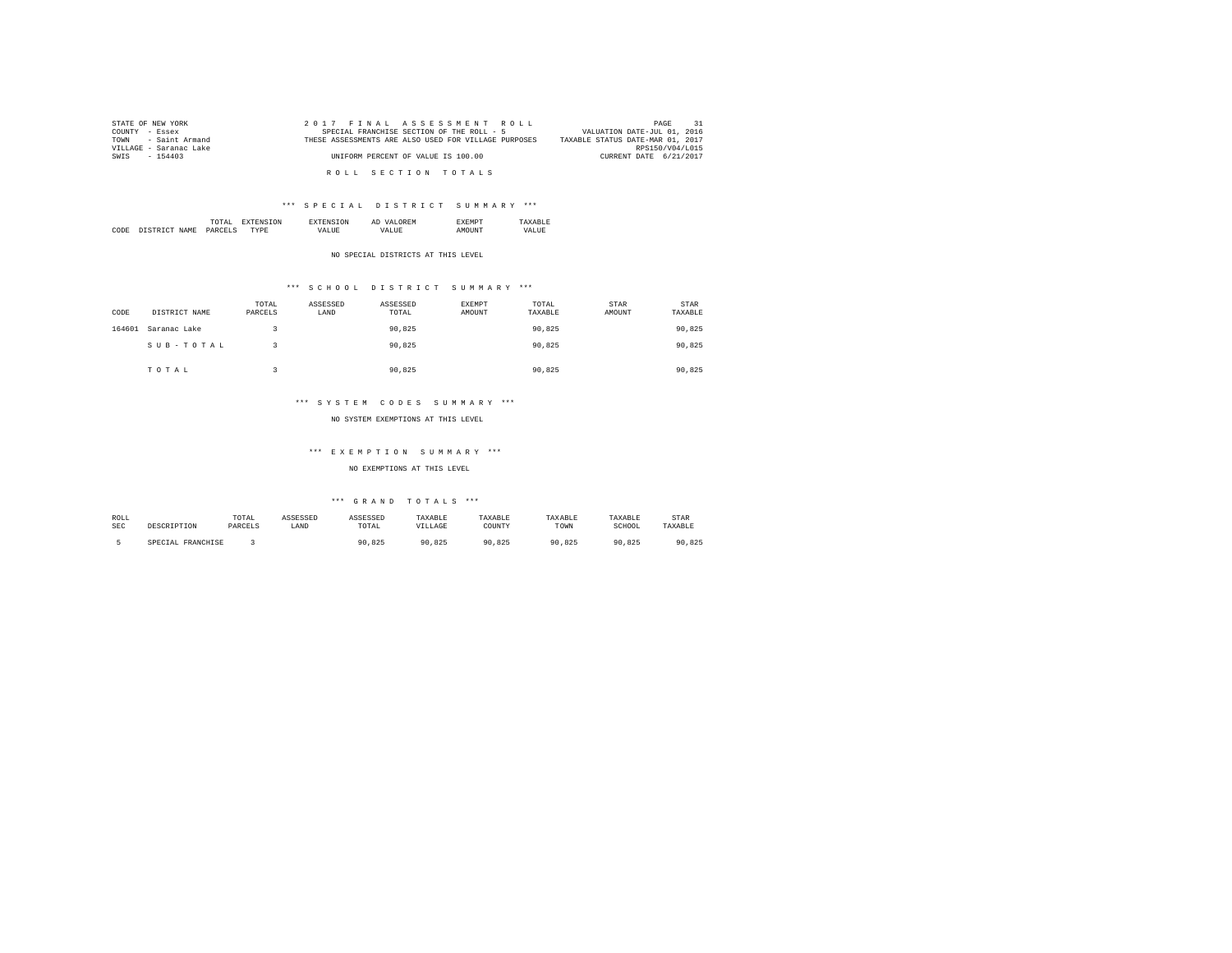| STATE OF NEW YORK      | 2017 FINAL ASSESSMENT ROLL                           | 31<br>PAGE                       |
|------------------------|------------------------------------------------------|----------------------------------|
| COUNTY - Essex         | SPECIAL FRANCHISE SECTION OF THE ROLL - 5            | VALUATION DATE-JUL 01, 2016      |
| TOWN - Saint Armand    | THESE ASSESSMENTS ARE ALSO USED FOR VILLAGE PURPOSES | TAXABLE STATUS DATE-MAR 01, 2017 |
| VILLAGE - Saranac Lake |                                                      | RPS150/V04/L015                  |
| SWIS - 154403          | UNIFORM PERCENT OF VALUE IS 100.00                   | CURRENT DATE 6/21/2017           |
|                        |                                                      |                                  |
|                        | ROLL SECTION TOTALS                                  |                                  |

|      |      | the contract of the contract of the contract of | ΩN |        | Al |  |
|------|------|-------------------------------------------------|----|--------|----|--|
| CODE | NAME | DΔ<br>______                                    |    | $\sim$ |    |  |

NO SPECIAL DISTRICTS AT THIS LEVEL

# \*\*\* S C H O O L D I S T R I C T S U M M A R Y \*\*\*

| CODE   | DISTRICT NAME | TOTAL<br>PARCELS | ASSESSED<br>LAND | ASSESSED<br>TOTAL | EXEMPT<br>AMOUNT | TOTAL<br>TAXABLE | <b>STAR</b><br>AMOUNT | STAR<br>TAXABLE |
|--------|---------------|------------------|------------------|-------------------|------------------|------------------|-----------------------|-----------------|
| 164601 | Saranac Lake  |                  |                  | 90.825            |                  | 90.825           |                       | 90,825          |
|        | SUB-TOTAL     |                  |                  | 90.825            |                  | 90.825           |                       | 90,825          |
|        | TOTAL         |                  |                  | 90.825            |                  | 90.825           |                       | 90.825          |

### \*\*\* S Y S T E M C O D E S S U M M A R Y \*\*\*

NO SYSTEM EXEMPTIONS AT THIS LEVEL

### \*\*\* E X E M P T I O N S U M M A R Y \*\*\*

NO EXEMPTIONS AT THIS LEVEL

| ROLL       | DESCRIPTION       | TOTAL   | ASSESSED | ASSESSED | TAXABLE | TAXABLE | TAXABLE         | TAXABLE | STAR       |
|------------|-------------------|---------|----------|----------|---------|---------|-----------------|---------|------------|
| <b>SEC</b> |                   | PARCELS | LAND     | TOTAL    | VILLAGE | COUNT)  | TOWN            | SCHOOL  | TAXABLE    |
|            | SPECIAL FRANCHISE |         |          | 90.825   | 90.825  | 90.825  | .825<br>$\circ$ | 90.825  | 90<br>.825 |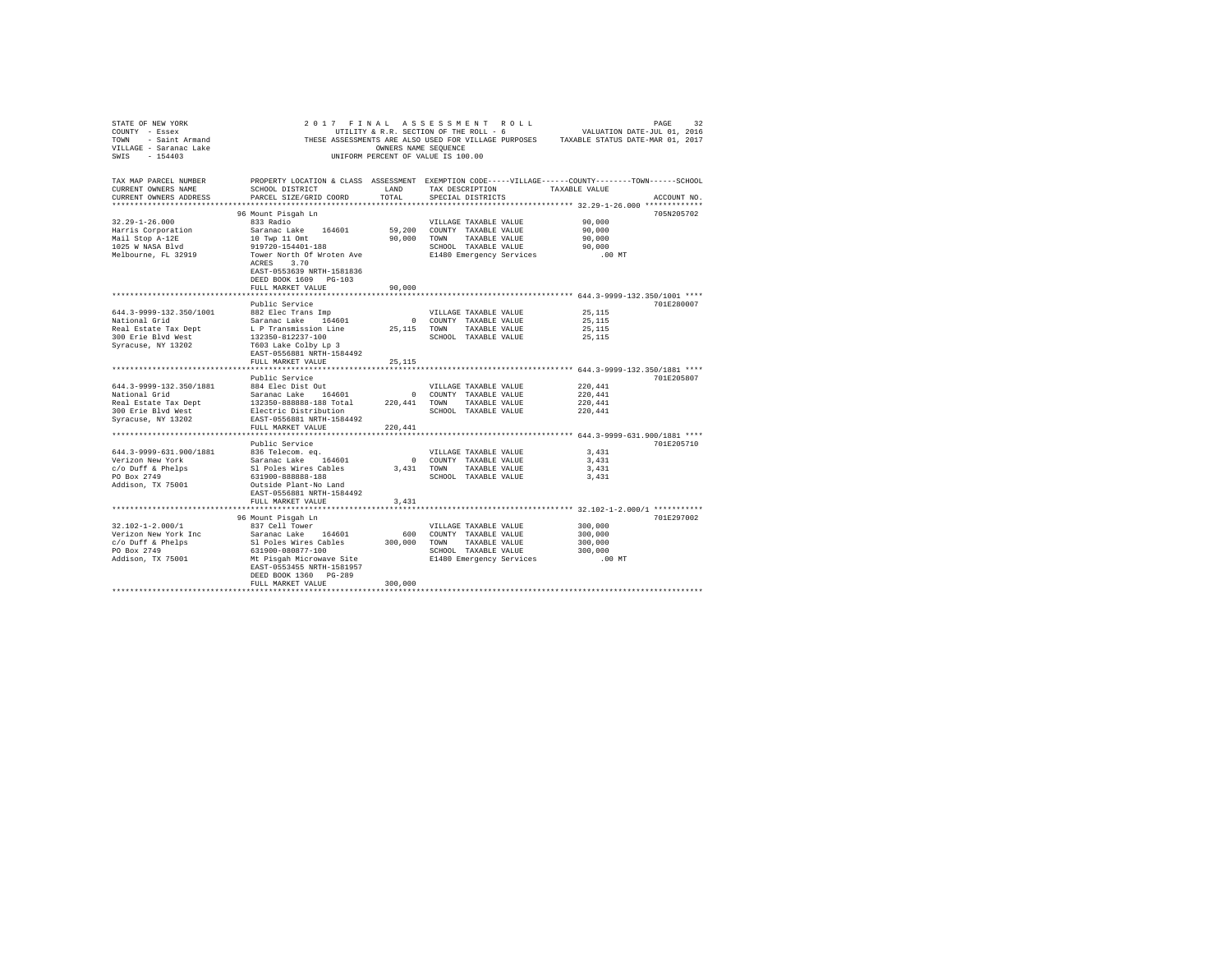| STATE OF NEW YORK<br>COUNTY - Essex<br>- Saint Armand<br>TOWN<br>VILLAGE - Saranac Lake<br>$-154403$<br>SWTS | 2017<br>FINAL                                                                                                         | OWNERS NAME SEOUENCE | ASSESSMENT ROLL<br>UTILITY & R.R. SECTION OF THE ROLL - 6<br>UNIFORM PERCENT OF VALUE IS 100.00 | VALUATION DATE-JUL 01, 2016<br>THESE ASSESSMENTS ARE ALSO USED FOR VILLAGE PURPOSES TAXABLE STATUS DATE-MAR 01, 2017 | PAGE<br>32  |
|--------------------------------------------------------------------------------------------------------------|-----------------------------------------------------------------------------------------------------------------------|----------------------|-------------------------------------------------------------------------------------------------|----------------------------------------------------------------------------------------------------------------------|-------------|
| TAX MAP PARCEL NUMBER<br>CURRENT OWNERS NAME                                                                 | PROPERTY LOCATION & CLASS ASSESSMENT EXEMPTION CODE-----VILLAGE------COUNTY-------TOWN------SCHOOL<br>SCHOOL DISTRICT | LAND                 | TAX DESCRIPTION                                                                                 | TAXABLE VALUE                                                                                                        |             |
| CURRENT OWNERS ADDRESS<br>**********************                                                             | PARCEL SIZE/GRID COORD                                                                                                | TOTAL                | SPECIAL DISTRICTS                                                                               |                                                                                                                      | ACCOUNT NO. |
|                                                                                                              |                                                                                                                       |                      |                                                                                                 |                                                                                                                      | 705N205702  |
| $32.29 - 1 - 26.000$                                                                                         | 96 Mount Pisgah Ln<br>833 Radio                                                                                       |                      | VILLAGE TAXABLE VALUE                                                                           | 90,000                                                                                                               |             |
| Harris Corporation                                                                                           | Saranac Lake<br>164601                                                                                                | 59,200               | COUNTY TAXABLE VALUE                                                                            | 90,000                                                                                                               |             |
| Mail Stop A-12E                                                                                              | 10 Twp 11 Omt                                                                                                         | 90,000               | TOWN<br>TAXABLE VALUE                                                                           | 90,000                                                                                                               |             |
| 1025 W NASA Blvd                                                                                             | 919720-154401-188                                                                                                     |                      | SCHOOL TAXABLE VALUE                                                                            | 90,000                                                                                                               |             |
| Melbourne, FL 32919                                                                                          | Tower North Of Wroten Ave<br>3.70<br>ACRES<br>EAST-0553639 NRTH-1581836<br>DEED BOOK 1609 PG-103                      |                      | E1480 Emergency Services                                                                        | $.00$ MT                                                                                                             |             |
|                                                                                                              | FULL MARKET VALUE                                                                                                     | 90,000               |                                                                                                 |                                                                                                                      |             |
|                                                                                                              | Public Service                                                                                                        |                      |                                                                                                 |                                                                                                                      | 701E280007  |
| 644.3-9999-132.350/1001                                                                                      | 882 Elec Trans Imp                                                                                                    |                      | VILLAGE TAXABLE VALUE                                                                           | 25, 115                                                                                                              |             |
| National Grid                                                                                                | Saranac Lake 164601                                                                                                   | $\circ$              | COUNTY TAXABLE VALUE                                                                            | 25,115                                                                                                               |             |
| Real Estate Tax Dept                                                                                         | L P Transmission Line                                                                                                 | 25, 115              | TOWN<br>TAXABLE VALUE                                                                           | 25,115                                                                                                               |             |
| 300 Erie Blyd West                                                                                           | 132350-812237-100                                                                                                     |                      | SCHOOL TAXABLE VALUE                                                                            | 25,115                                                                                                               |             |
| Syracuse, NY 13202                                                                                           | T603 Lake Colby Lp 3<br>EAST-0556881 NRTH-1584492<br>FULL MARKET VALUE                                                | 25,115               |                                                                                                 |                                                                                                                      |             |
|                                                                                                              |                                                                                                                       |                      |                                                                                                 | ************************ 644.3-9999-132.350/1881 ****                                                                |             |
|                                                                                                              | Public Service                                                                                                        |                      |                                                                                                 |                                                                                                                      | 701E205807  |
| 644.3-9999-132.350/1881                                                                                      | 884 Elec Dist Out                                                                                                     |                      | VILLAGE TAXABLE VALUE                                                                           | 220,441                                                                                                              |             |
| National Grid                                                                                                | Saranac Lake 164601                                                                                                   | $^{\circ}$           | COUNTY TAXABLE VALUE                                                                            | 220,441                                                                                                              |             |
| Real Estate Tax Dept                                                                                         | 132350-888888-188 Total                                                                                               | 220.441              | TOWN<br>TAXABLE VALUE                                                                           | 220,441                                                                                                              |             |
| 300 Erie Blvd West                                                                                           | Electric Distribution                                                                                                 |                      | SCHOOL TAXABLE VALUE                                                                            | 220,441                                                                                                              |             |
| Syracuse, NY 13202                                                                                           | EAST-0556881 NRTH-1584492<br>FULL MARKET VALUE                                                                        | 220.441              |                                                                                                 |                                                                                                                      |             |
|                                                                                                              |                                                                                                                       |                      |                                                                                                 | **************************** 644.3-9999-631.900/1881 ****                                                            |             |
|                                                                                                              | Public Service                                                                                                        |                      |                                                                                                 |                                                                                                                      | 701E205710  |
| 644.3-9999-631.900/1881                                                                                      | 836 Telecom. eq.                                                                                                      |                      | VILLAGE TAXABLE VALUE                                                                           | 3.431                                                                                                                |             |
| Verizon New York                                                                                             | Saranac Lake 164601                                                                                                   | $\Omega$             | COUNTY TAXABLE VALUE                                                                            | 3,431                                                                                                                |             |
| c/o Duff & Phelps                                                                                            | Sl Poles Wires Cables                                                                                                 | 3,431                | TOWN<br>TAXABLE VALUE                                                                           | 3.431                                                                                                                |             |
| PO Box 2749                                                                                                  | 631900-888888-188                                                                                                     |                      | SCHOOL TAXABLE VALUE                                                                            | 3,431                                                                                                                |             |
| Addison, TX 75001                                                                                            | Outside Plant-No Land<br>EAST-0556881 NRTH-1584492                                                                    |                      |                                                                                                 |                                                                                                                      |             |
|                                                                                                              | FULL MARKET VALUE                                                                                                     | 3,431                |                                                                                                 |                                                                                                                      |             |
|                                                                                                              |                                                                                                                       |                      |                                                                                                 | ************************* 32.102-1-2.000/1 ***********                                                               |             |
|                                                                                                              | 96 Mount Pisgah Ln                                                                                                    |                      |                                                                                                 |                                                                                                                      | 701E297002  |
| $32.102 - 1 - 2.000/1$<br>Verizon New York Inc                                                               | 837 Cell Tower<br>Saranac Lake 164601                                                                                 | 600                  | VILLAGE TAXABLE VALUE                                                                           | 300,000<br>300,000                                                                                                   |             |
| $c$ /o Duff & Phelps                                                                                         | Sl Poles Wires Cables                                                                                                 | 300,000              | COUNTY TAXABLE VALUE<br>TOWN<br>TAXABLE VALUE                                                   | 300,000                                                                                                              |             |
| PO Box 2749                                                                                                  | 631900-080877-100                                                                                                     |                      | SCHOOL TAXABLE VALUE                                                                            | 300,000                                                                                                              |             |
| Addison, TX 75001                                                                                            | Mt Pisqah Microwave Site                                                                                              |                      | E1480 Emergency Services                                                                        | $.00$ MT                                                                                                             |             |
|                                                                                                              | EAST-0553455 NRTH-1581957<br>DEED BOOK 1360 PG-289                                                                    |                      |                                                                                                 |                                                                                                                      |             |
|                                                                                                              | FULL MARKET VALUE                                                                                                     | 300,000              |                                                                                                 |                                                                                                                      |             |
|                                                                                                              |                                                                                                                       |                      |                                                                                                 |                                                                                                                      |             |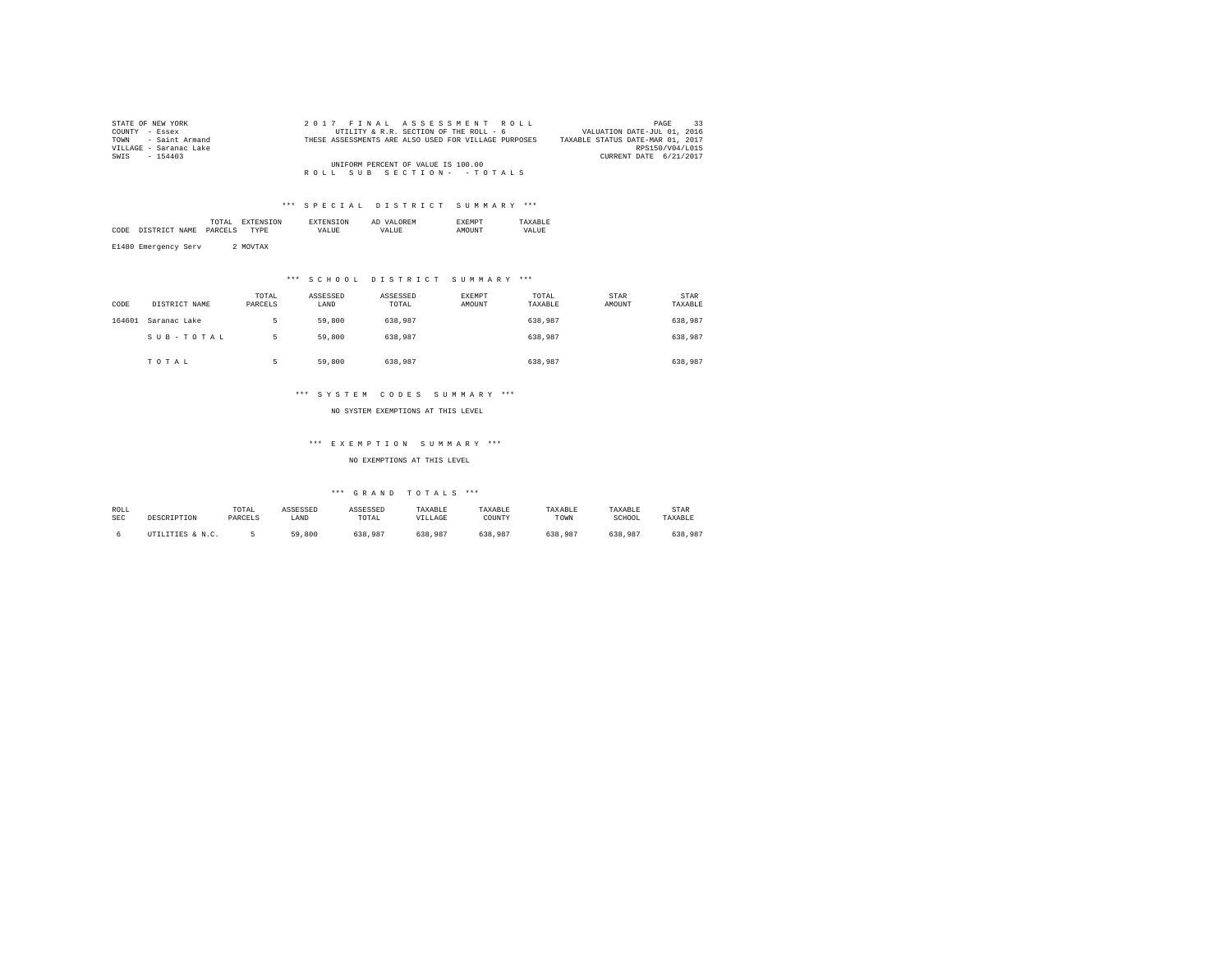| STATE OF NEW YORK      | 2017 FINAL ASSESSMENT ROLL                           | PAGE                             |
|------------------------|------------------------------------------------------|----------------------------------|
| COUNTY - Essex         | UTILITY & R.R. SECTION OF THE ROLL - 6               | VALUATION DATE-JUL 01, 2016      |
| TOWN - Saint Armand    | THESE ASSESSMENTS ARE ALSO USED FOR VILLAGE PURPOSES | TAXABLE STATUS DATE-MAR 01, 2017 |
| VILLAGE - Saranac Lake |                                                      | RPS150/V04/L015                  |
| SWIS<br>$-154403$      |                                                      | CURRENT DATE 6/21/2017           |
|                        | UNIFORM PERCENT OF VALUE IS 100.00                   |                                  |
|                        | ROLL SUB SECTION- - TOTALS                           |                                  |

|      |      | .<br>the contract of the contract of the contract of | נורו ' |          | AL  |              |             |
|------|------|------------------------------------------------------|--------|----------|-----|--------------|-------------|
| CODE | NAME | DADCET                                               | DF     | $\cdots$ | 77. | <b>OTTMP</b> | .<br>. TIDE |
|      |      |                                                      |        |          |     |              |             |

E1480 Emergency Serv 2 MOVTAX

# \*\*\* S C H O O L D I S T R I C T S U M M A R Y \*\*\*

| CODE   | DISTRICT NAME | TOTAL<br>PARCELS | ASSESSED<br>LAND | ASSESSED<br>TOTAL | EXEMPT<br>AMOUNT | TOTAL<br>TAXABLE | <b>STAR</b><br>AMOUNT | <b>STAR</b><br>TAXABLE |
|--------|---------------|------------------|------------------|-------------------|------------------|------------------|-----------------------|------------------------|
| 164601 | Saranac Lake  | ь                | 59,800           | 638,987           |                  | 638.987          |                       | 638,987                |
|        | SUB-TOTAL     | ь                | 59,800           | 638,987           |                  | 638.987          |                       | 638,987                |
|        | TOTAL         |                  | 59,800           | 638,987           |                  | 638.987          |                       | 638,987                |

### \*\*\* S Y S T E M C O D E S S U M M A R Y \*\*\*

NO SYSTEM EXEMPTIONS AT THIS LEVEL

### \*\*\* E X E M P T I O N S U M M A R Y \*\*\*

NO EXEMPTIONS AT THIS LEVEL

| ROLL       |                  | TOTAL   | ASSESSED | ASSESSED | TAXABLE | TAXABLE | TAXABLE | TAXABLE | STAR    |
|------------|------------------|---------|----------|----------|---------|---------|---------|---------|---------|
| <b>SEC</b> | DESCRIPTION      | PARCELS | LAND     | TOTAL    | VILLAGE | COUNTY  | TOWN    | SCHOOL  | TAXABLE |
|            | UTILITIES & N.C. |         | 59,800   | 638.987  | 638,987 | 638.987 | 638,987 | 638.987 | 638,987 |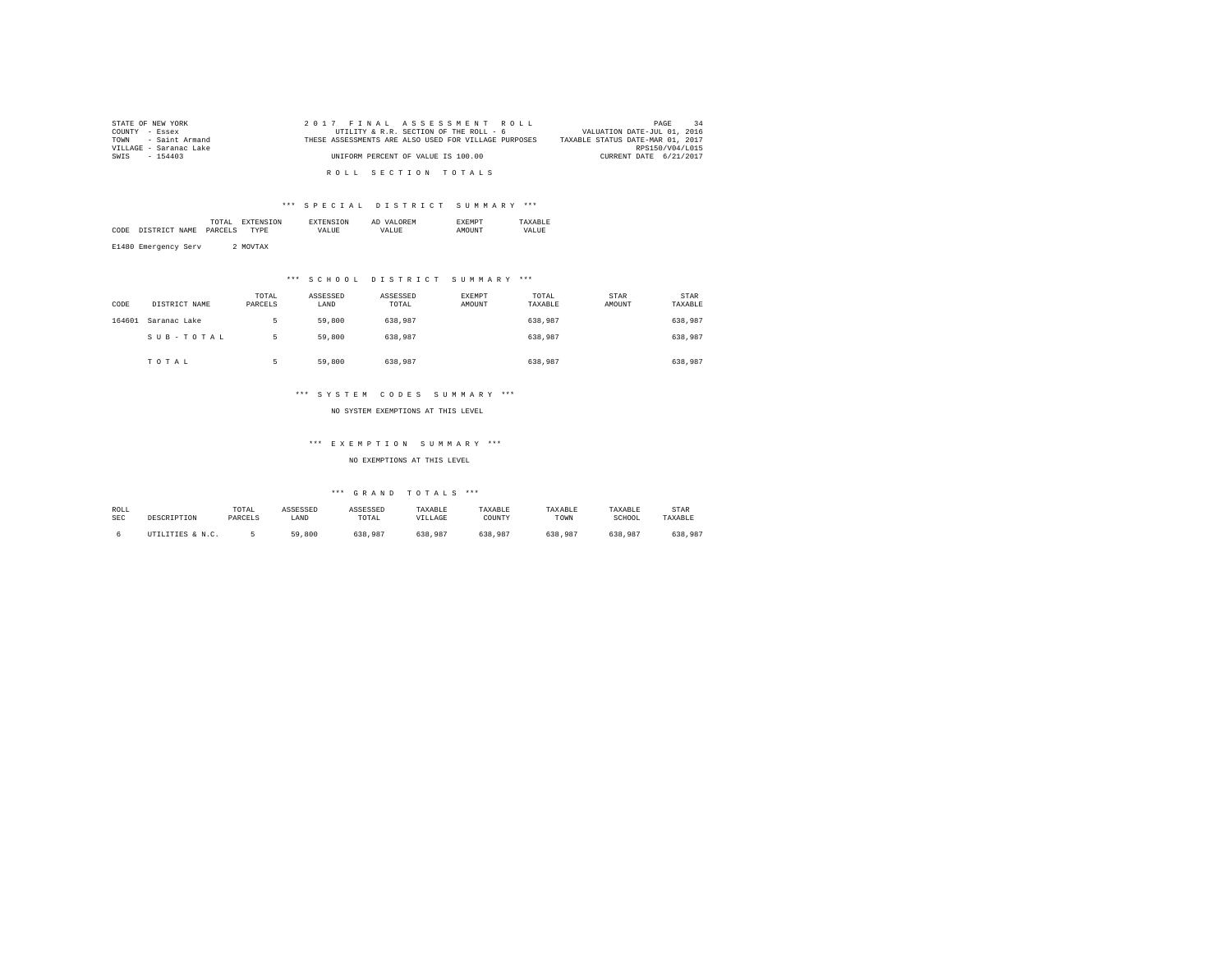| STATE OF NEW YORK      | 2017 FINAL ASSESSMENT ROLL                           | 34<br>PAGE                       |
|------------------------|------------------------------------------------------|----------------------------------|
| COUNTY - Essex         | UTILITY & R.R. SECTION OF THE ROLL - 6               | VALUATION DATE-JUL 01, 2016      |
| TOWN - Saint Armand    | THESE ASSESSMENTS ARE ALSO USED FOR VILLAGE PURPOSES | TAXABLE STATUS DATE-MAR 01, 2017 |
| VILLAGE - Saranac Lake |                                                      | RPS150/V04/L015                  |
| SWIS - 154403          | UNIFORM PERCENT OF VALUE IS 100.00                   | CURRENT DATE 6/21/2017           |
|                        |                                                      |                                  |
|                        | ROLL SECTION TOTALS                                  |                                  |

| $ -$<br>$\sim$<br>77.<br>$\cdots$<br>'N. |      |      | the contract of the contract of the contract of | 'N | AL | 'N |  |
|------------------------------------------|------|------|-------------------------------------------------|----|----|----|--|
|                                          | CODE | NAME | DARC                                            |    |    |    |  |

E1480 Emergency Serv 2 MOVTAX

### \*\*\* S C H O O L D I S T R I C T S U M M A R Y \*\*\*

| CODE   | DISTRICT NAME | TOTAL<br>PARCELS | ASSESSED<br>LAND | ASSESSED<br>TOTAL | EXEMPT<br><b>AMOUNT</b> | TOTAL<br>TAXABLE | STAR<br>AMOUNT | <b>STAR</b><br>TAXABLE |
|--------|---------------|------------------|------------------|-------------------|-------------------------|------------------|----------------|------------------------|
| 164601 | Saranac Lake  |                  | 59,800           | 638,987           |                         | 638,987          |                | 638,987                |
|        | SUB-TOTAL     | 5                | 59,800           | 638,987           |                         | 638,987          |                | 638,987                |
|        | TOTAL         |                  | 59,800           | 638,987           |                         | 638.987          |                | 638,987                |

### \*\*\* S Y S T E M C O D E S S U M M A R Y \*\*\*

NO SYSTEM EXEMPTIONS AT THIS LEVEL

### \*\*\* E X E M P T I O N S U M M A R Y \*\*\*

NO EXEMPTIONS AT THIS LEVEL

| ROLL       |                  | TOTAL   | ASSESSED | ASSESSED | TAXABLE | TAXABLE | TAXABLE | TAXABLE | STAR    |
|------------|------------------|---------|----------|----------|---------|---------|---------|---------|---------|
| <b>SEC</b> | DESCRIPTION      | PARCELS | LAND     | TOTAL    | VILLAGE | COUNTY  | TOWN    | SCHOOL  | TAXABLE |
|            | UTILITIES & N.C. |         | 59,800   | 638.987  | 638,987 | 638.987 | 638,987 | 638.987 | 638,987 |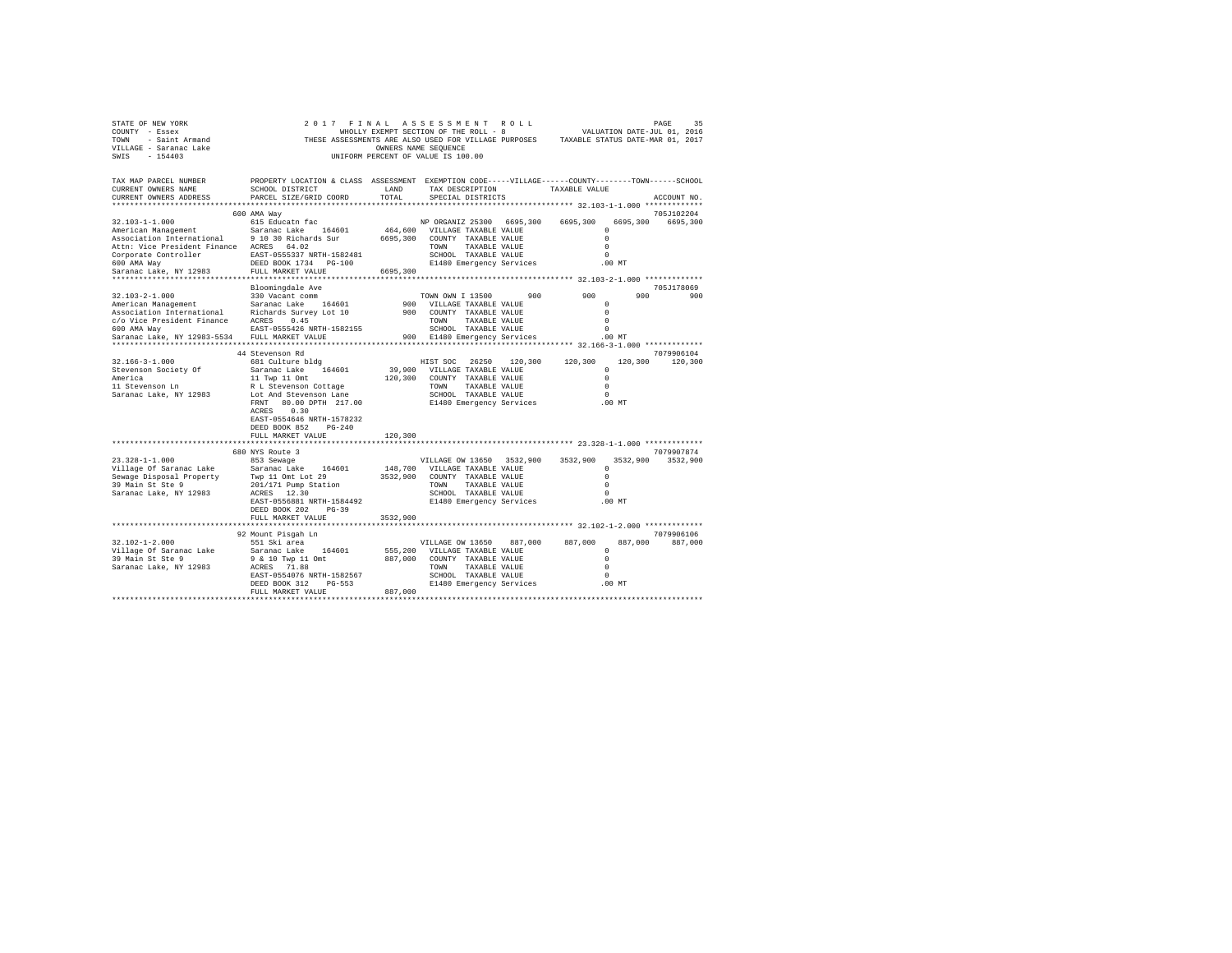| STATE OF NEW YORK<br>COUNTY - Essex<br>TOWN - Saint Armand<br>VILLAGE - Saranac Lake<br>SWIS - 154403 | WHOLLY EXEMPT SECTION OF THE ROLL - 8 WALUATION DATE-JUL 01, 2016<br>THESE ASSESSMENTS ARE ALSO USED FOR VILLAGE PURPOSES TAXABLE STATUS DATE-MAR 01, 2017 | OWNERS NAME SEQUENCE | 2017 FINAL ASSESSMENT ROLL<br>WHOLLY EXEMPT SECTION OF THE ROLL - 8<br>UNIFORM PERCENT OF VALUE IS 100.00 |               |               |                      | 35<br>PAGE<br>VALUATION DATE-JUL 01, 2016 |
|-------------------------------------------------------------------------------------------------------|------------------------------------------------------------------------------------------------------------------------------------------------------------|----------------------|-----------------------------------------------------------------------------------------------------------|---------------|---------------|----------------------|-------------------------------------------|
| TAX MAP PARCEL NUMBER<br>CURRENT OWNERS NAME<br>CURRENT OWNERS ADDRESS                                | PROPERTY LOCATION & CLASS ASSESSMENT EXEMPTION CODE-----VILLAGE------COUNTY-------TOWN------SCHOOL<br>SCHOOL DISTRICT<br>PARCEL SIZE/GRID COORD            | LAND<br>TOTAL        | TAX DESCRIPTION<br>SPECIAL DISTRICTS                                                                      |               | TAXABLE VALUE |                      | ACCOUNT NO.                               |
|                                                                                                       |                                                                                                                                                            |                      |                                                                                                           |               |               |                      | 705J102204                                |
| 32.103-1-1.000                                                                                        | 600 AMA Way<br>615 Educatn fac                                                                                                                             |                      | NP ORGANIZ 25300 6695,300                                                                                 |               | 6695,300      | 6695,300             | 6695,300                                  |
| American Management                                                                                   | Saranac Lake 164601                                                                                                                                        |                      | 464,600 VILLAGE TAXABLE VALUE                                                                             |               |               | $^{\circ}$           |                                           |
| Association International 9 10 30 Richards Sur                                                        |                                                                                                                                                            |                      | 6695,300 COUNTY TAXABLE VALUE                                                                             |               |               | $\Omega$             |                                           |
| Attn: Vice President Finance ACRES 64.02                                                              |                                                                                                                                                            |                      | TOWN TAXABLE VALUE                                                                                        |               |               | $\Omega$             |                                           |
| Corporate Controller EAST-0555337 NRTH-1582481                                                        |                                                                                                                                                            |                      | SCHOOL TAXABLE VALUE                                                                                      |               |               | $\Omega$             |                                           |
| 600 AMA Way                                                                                           | DEED BOOK 1734 PG-100                                                                                                                                      |                      | E1480 Emergency Services                                                                                  |               |               | $.00$ MT             |                                           |
| Saranac Lake, NY 12983<br>*******************************                                             | FULL MARKET VALUE<br>********************                                                                                                                  | 6695,300             |                                                                                                           |               |               |                      |                                           |
|                                                                                                       | Bloomingdale Ave                                                                                                                                           |                      |                                                                                                           |               |               |                      | 705J178069                                |
| 32.103-2-1.000                                                                                        | 330 Vacant comm                                                                                                                                            |                      | TOWN OWN I 13500                                                                                          | 900           | 900           | 900                  | 900                                       |
| American Management                                                                                   | Saranac Lake 164601                                                                                                                                        |                      | 900 VILLAGE TAXABLE VALUE                                                                                 |               |               | $^{\circ}$           |                                           |
| Association International Richards Survey Lot 10                                                      |                                                                                                                                                            |                      | 900 COUNTY TAXABLE VALUE                                                                                  |               |               | $\Omega$             |                                           |
| c/o Vice President Finance ACRES 0.45                                                                 |                                                                                                                                                            |                      | TOWN TAXABLE VALUE                                                                                        |               |               | $\Omega$             |                                           |
| 600 AMA Way                                                                                           | EAST-0555426 NRTH-1582155                                                                                                                                  |                      | SCHOOL TAXABLE VALUE                                                                                      |               |               | $\Omega$             |                                           |
| Saranac Lake, NY 12983-5534                                                                           | FULL MARKET VALUE                                                                                                                                          |                      | 900 E1480 Emergency Services                                                                              |               |               | $.00$ MT             |                                           |
|                                                                                                       |                                                                                                                                                            |                      |                                                                                                           |               |               |                      |                                           |
| 32.166-3-1.000                                                                                        | 44 Stevenson Rd<br>681 Culture bldg                                                                                                                        |                      | HIST SOC 26250 120,300 120,300                                                                            |               |               |                      | 7079906104<br>120,300 120,300             |
| Stevenson Society Of                                                                                  | Saranac Lake 164601                                                                                                                                        |                      | 39,900 VILLAGE TAXABLE VALUE                                                                              |               |               | $\Omega$             |                                           |
|                                                                                                       | 11 Twp 11 Omt                                                                                                                                              |                      | 120,300 COUNTY TAXABLE VALUE                                                                              |               |               | $\Omega$             |                                           |
| America<br>11 Stevenson Ln                                                                            | R L Stevenson Cottage                                                                                                                                      |                      | TOWN TAXABLE VALUE                                                                                        |               |               | $\Omega$             |                                           |
| Saranac Lake, NY 12983                                                                                | Lot And Stevenson Lane                                                                                                                                     |                      | SCHOOL TAXABLE VALUE                                                                                      |               |               | $\Omega$             |                                           |
|                                                                                                       | FRNT 80.00 DPTH 217.00                                                                                                                                     |                      | E1480 Emergency Services                                                                                  |               | $.00$ MT      |                      |                                           |
|                                                                                                       | ACRES 0.30                                                                                                                                                 |                      |                                                                                                           |               |               |                      |                                           |
|                                                                                                       | EAST-0554646 NRTH-1578232                                                                                                                                  |                      |                                                                                                           |               |               |                      |                                           |
|                                                                                                       | DEED BOOK 852 PG-240<br>FULL MARKET VALUE                                                                                                                  | 120,300              |                                                                                                           |               |               |                      |                                           |
|                                                                                                       |                                                                                                                                                            |                      |                                                                                                           |               |               |                      |                                           |
|                                                                                                       | 680 NYS Route 3                                                                                                                                            |                      |                                                                                                           |               |               |                      | 7079907874                                |
| $23.328 - 1 - 1.000$                                                                                  | 853 Sewage                                                                                                                                                 |                      | VILLAGE OW 13650 3532,900                                                                                 |               | 3532,900      |                      | 3532.900 3532.900                         |
| Village Of Saranac Lake Saranac Lake 164601<br>Sewage Disposal Property Twp 11 Omt Lot 29             |                                                                                                                                                            |                      | 148,700 VILLAGE TAXABLE VALUE                                                                             |               |               | $\Omega$             |                                           |
|                                                                                                       |                                                                                                                                                            |                      | 3532.900 COUNTY TAXABLE VALUE                                                                             |               |               | $\Omega$             |                                           |
| 39 Main St Ste 9                                                                                      | 201/171 Pump Station<br>ACRES 12.30                                                                                                                        |                      | TOWN TAXABLE VALUE<br>SCHOOL TAXABLE VALUE                                                                |               |               | $\Omega$<br>$\Omega$ |                                           |
| Saranac Lake, NY 12983                                                                                | EAST-0556881 NRTH-1584492                                                                                                                                  |                      | E1480 Emergency Services                                                                                  |               |               | .00MT                |                                           |
|                                                                                                       | DEED BOOK 202 PG-39                                                                                                                                        |                      |                                                                                                           |               |               |                      |                                           |
|                                                                                                       | FULL MARKET VALUE                                                                                                                                          | 3532,900             |                                                                                                           |               |               |                      |                                           |
|                                                                                                       |                                                                                                                                                            |                      |                                                                                                           |               |               |                      |                                           |
|                                                                                                       | 92 Mount Pisgah Ln                                                                                                                                         |                      |                                                                                                           |               |               |                      | 7079906106                                |
| $32.102 - 1 - 2.000$                                                                                  | 551 Ski area                                                                                                                                               |                      | VILLAGE OW 13650                                                                                          | 887,000       | 887,000       | 887,000              | 887,000                                   |
| Village Of Saranac Lake                                                                               | Saranac Lake 164601                                                                                                                                        |                      | 555,200 VILLAGE TAXABLE VALUE                                                                             |               |               | $^{\circ}$           |                                           |
| 39 Main St Ste 9                                                                                      | 9 & 10 Twp 11 Omt<br>ACRES 71.88                                                                                                                           |                      | 887,000 COUNTY TAXABLE VALUE                                                                              |               |               | $\Omega$<br>$\Omega$ |                                           |
| Saranac Lake, NY 12983                                                                                | EAST-0554076 NRTH-1582567                                                                                                                                  |                      | TOWN<br>SCHOOL TAXABLE VALUE                                                                              | TAXABLE VALUE |               | $\Omega$             |                                           |
|                                                                                                       | DEED BOOK 312 PG-553                                                                                                                                       |                      | E1480 Emergency Services                                                                                  |               |               | .00 MT               |                                           |
|                                                                                                       | FULL MARKET VALUE                                                                                                                                          | 887,000              |                                                                                                           |               |               |                      |                                           |
|                                                                                                       |                                                                                                                                                            |                      |                                                                                                           |               |               |                      |                                           |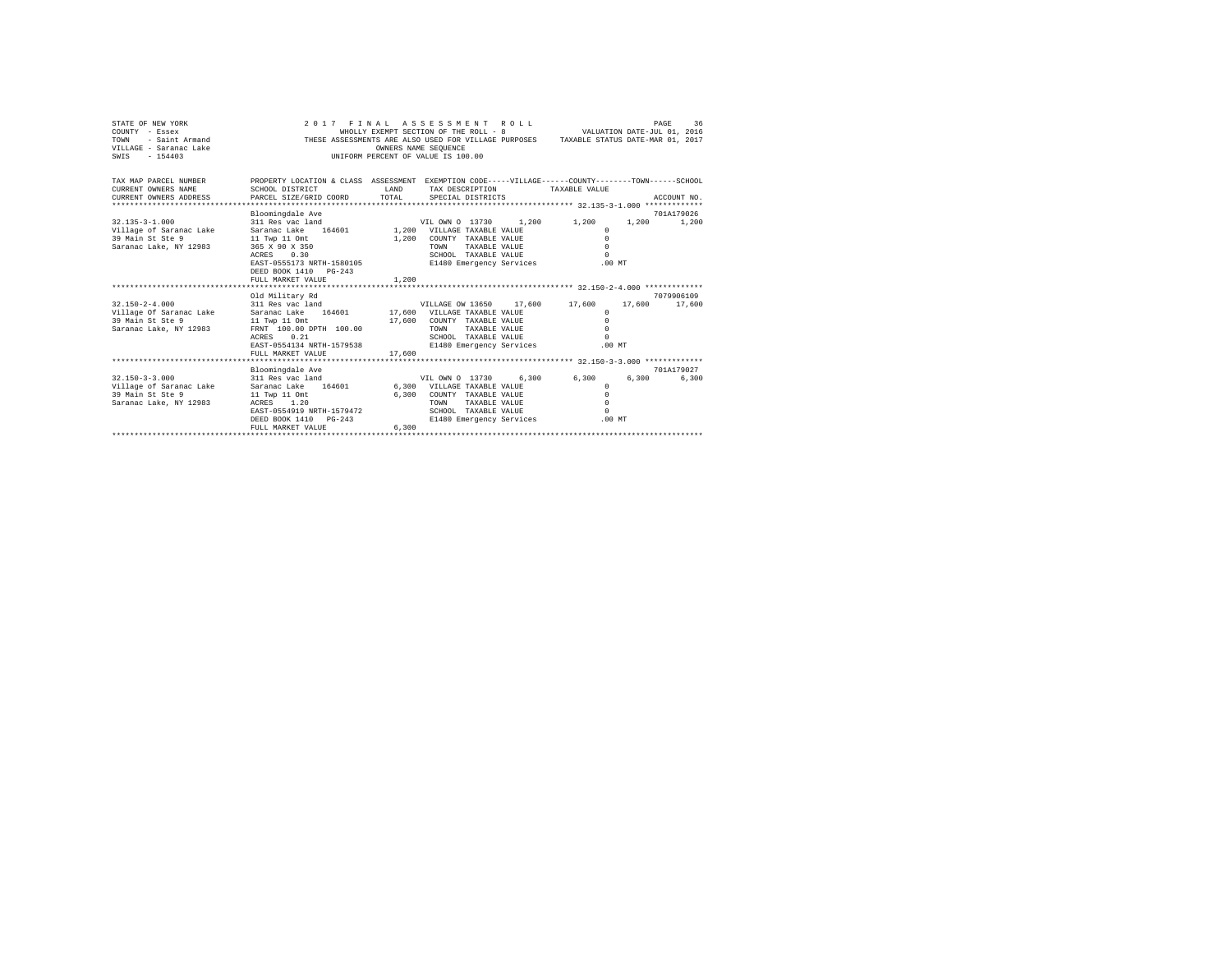| STATE OF NEW YORK<br>COUNTY - Essex<br>TOWN<br>- Saint Armand<br>VILLAGE - Saranac Lake<br>$-154403$<br>SWIS |                                                                                                                       |              | 2017 FINAL ASSESSMENT ROLL<br>WHOLLY EXEMPT SECTION OF THE ROLL - 8<br>THESE ASSESSMENTS ARE ALSO USED FOR VILLAGE PURPOSES TAXABLE STATUS DATE-MAR 01, 2017<br>OWNERS NAME SEQUENCE<br>UNIFORM PERCENT OF VALUE IS 100.00 |       | VALUATION DATE-JUL 01, 2016 |        | PAGE<br>36          |
|--------------------------------------------------------------------------------------------------------------|-----------------------------------------------------------------------------------------------------------------------|--------------|----------------------------------------------------------------------------------------------------------------------------------------------------------------------------------------------------------------------------|-------|-----------------------------|--------|---------------------|
| TAX MAP PARCEL NUMBER<br>CURRENT OWNERS NAME                                                                 | PROPERTY LOCATION & CLASS ASSESSMENT EXEMPTION CODE-----VILLAGE------COUNTY-------TOWN------SCHOOL<br>SCHOOL DISTRICT | <b>T.AND</b> | TAX DESCRIPTION                                                                                                                                                                                                            |       | TAXABLE VALUE               |        |                     |
| CURRENT OWNERS ADDRESS                                                                                       | PARCEL SIZE/GRID COORD                                                                                                | TOTAL        | SPECIAL DISTRICTS                                                                                                                                                                                                          |       |                             |        | ACCOUNT NO.         |
|                                                                                                              |                                                                                                                       |              |                                                                                                                                                                                                                            |       |                             |        |                     |
| $32.135 - 3 - 1.000$                                                                                         | Bloomingdale Ave<br>311 Res vac land                                                                                  |              | VIL OWN 0 13730                                                                                                                                                                                                            | 1.200 | 1,200                       | 1,200  | 701A179026<br>1,200 |
| Village of Saranac Lake                                                                                      | 164601<br>Saranac Lake                                                                                                |              | 1,200 VILLAGE TAXABLE VALUE                                                                                                                                                                                                |       | $^{\circ}$                  |        |                     |
| 39 Main St Ste 9                                                                                             | 11 Twp 11 Omt                                                                                                         | 1,200        | COUNTY TAXABLE VALUE                                                                                                                                                                                                       |       | $\Omega$                    |        |                     |
| Saranac Lake, NY 12983                                                                                       | 365 X 90 X 350                                                                                                        |              | TAXABLE VALUE<br>TOWN                                                                                                                                                                                                      |       | $\Omega$                    |        |                     |
|                                                                                                              | 0.30<br>ACRES                                                                                                         |              | SCHOOL TAXABLE VALUE                                                                                                                                                                                                       |       | $\Omega$                    |        |                     |
|                                                                                                              | EAST-0555173 NRTH-1580105                                                                                             |              | E1480 Emergency Services                                                                                                                                                                                                   |       | .00MT                       |        |                     |
|                                                                                                              | DEED BOOK 1410 PG-243                                                                                                 |              |                                                                                                                                                                                                                            |       |                             |        |                     |
|                                                                                                              | FULL MARKET VALUE                                                                                                     | 1,200        |                                                                                                                                                                                                                            |       |                             |        |                     |
|                                                                                                              |                                                                                                                       |              |                                                                                                                                                                                                                            |       |                             |        |                     |
|                                                                                                              | Old Military Rd                                                                                                       |              |                                                                                                                                                                                                                            |       |                             |        | 7079906109          |
| $32.150 - 2 - 4.000$                                                                                         | 311 Res vac land                                                                                                      |              | VILLAGE OW 13650                                                                                                                                                                                                           |       | 17.600 17.600               | 17,600 | 17,600              |
| Village Of Saranac Lake<br>39 Main St Ste 9                                                                  | Saranac Lake<br>164601<br>11 Twp 11 Omt                                                                               |              | 17,600 VILLAGE TAXABLE VALUE<br>17,600 COUNTY TAXABLE VALUE                                                                                                                                                                |       | $\Omega$<br>$\Omega$        |        |                     |
| Saranac Lake, NY 12983                                                                                       | FRNT 100.00 DPTH 100.00                                                                                               |              | TOWN<br>TAXABLE VALUE                                                                                                                                                                                                      |       | $\Omega$                    |        |                     |
|                                                                                                              | 0.21<br>ACRES                                                                                                         |              | SCHOOL TAXABLE VALUE                                                                                                                                                                                                       |       | $\Omega$                    |        |                     |
|                                                                                                              | EAST-0554134 NRTH-1579538                                                                                             |              | E1480 Emergency Services                                                                                                                                                                                                   |       | $.00$ MT                    |        |                     |
|                                                                                                              | FULL MARKET VALUE                                                                                                     | 17,600       |                                                                                                                                                                                                                            |       |                             |        |                     |
|                                                                                                              |                                                                                                                       |              |                                                                                                                                                                                                                            |       |                             |        |                     |
|                                                                                                              | Bloomingdale Ave                                                                                                      |              |                                                                                                                                                                                                                            |       |                             |        | 701A179027          |
| $32.150 - 3 - 3.000$                                                                                         | 311 Res vac land                                                                                                      |              | VIL OWN 0 13730                                                                                                                                                                                                            | 6.300 | 6,300                       | 6,300  | 6.300               |
| Village of Saranac Lake                                                                                      | 164601<br>Saranac Lake                                                                                                |              | 6,300 VILLAGE TAXABLE VALUE                                                                                                                                                                                                |       | $\Omega$                    |        |                     |
| 39 Main St Ste 9                                                                                             | 11 Twp 11 Omt                                                                                                         | 6,300        | COUNTY TAXABLE VALUE                                                                                                                                                                                                       |       | $\Omega$                    |        |                     |
| Saranac Lake, NY 12983                                                                                       | ACRES 1.20                                                                                                            |              | <b>TOWN</b><br>TAXABLE VALUE                                                                                                                                                                                               |       | $\Omega$                    |        |                     |
|                                                                                                              | EAST-0554919 NRTH-1579472                                                                                             |              | SCHOOL TAXABLE VALUE                                                                                                                                                                                                       |       | $\Omega$                    |        |                     |
|                                                                                                              | DEED BOOK 1410 PG-243                                                                                                 | 6,300        | E1480 Emergency Services                                                                                                                                                                                                   |       | .00MT                       |        |                     |
|                                                                                                              | FULL MARKET VALUE                                                                                                     |              |                                                                                                                                                                                                                            |       |                             |        |                     |
|                                                                                                              |                                                                                                                       |              |                                                                                                                                                                                                                            |       |                             |        |                     |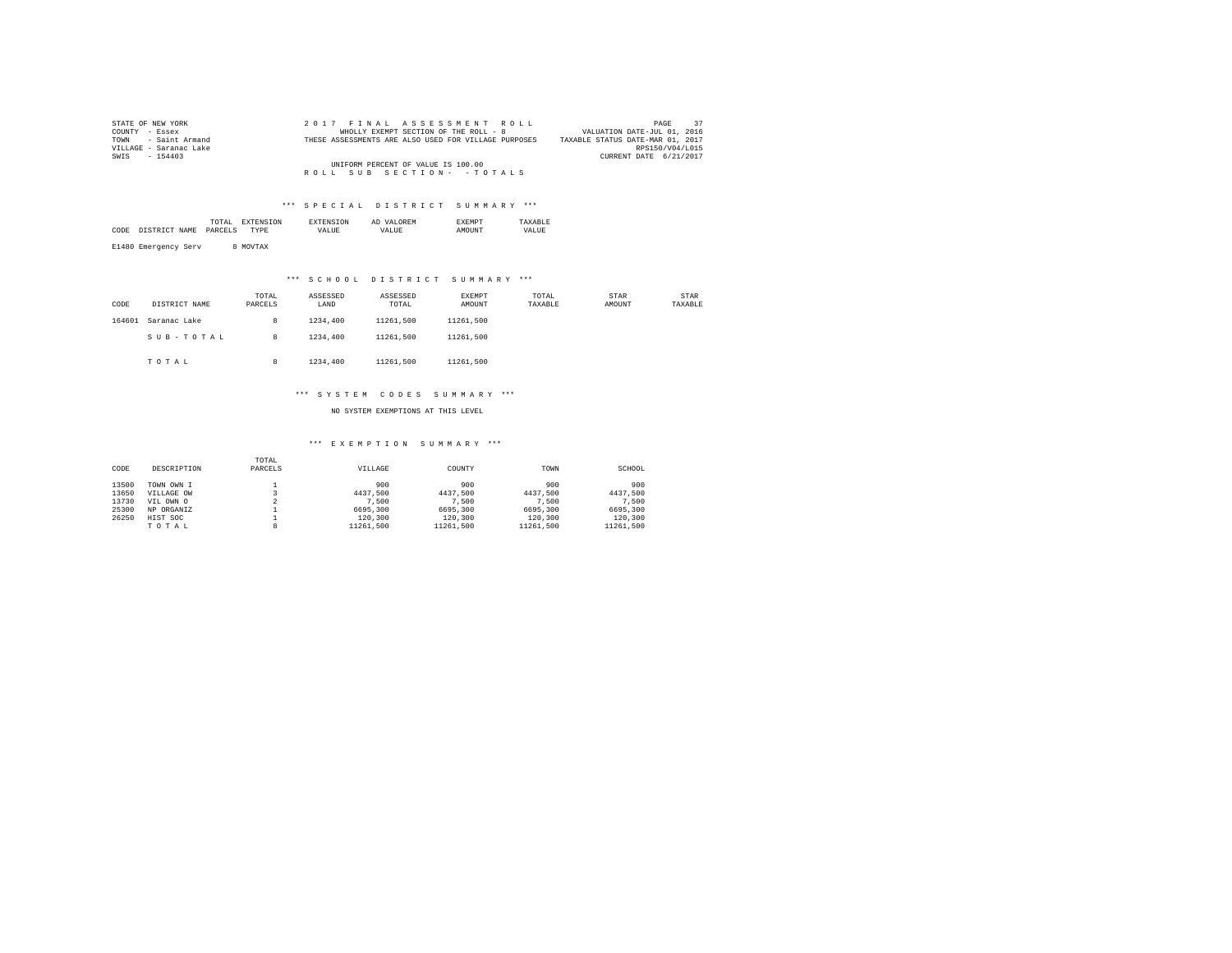| STATE OF NEW YORK      | 2017 FINAL ASSESSMENT ROLL                           | 37<br>PAGE                       |
|------------------------|------------------------------------------------------|----------------------------------|
| COUNTY - Essex         | WHOLLY EXEMPT SECTION OF THE ROLL - 8                | VALUATION DATE-JUL 01, 2016      |
| TOWN - Saint Armand    | THESE ASSESSMENTS ARE ALSO USED FOR VILLAGE PURPOSES | TAXABLE STATUS DATE-MAR 01, 2017 |
| VILLAGE - Saranac Lake |                                                      | RPS150/V04/L015                  |
| SWIS - 154403          |                                                      | CURRENT DATE 6/21/2017           |
|                        | UNIFORM PERCENT OF VALUE IS 100.00                   |                                  |
|                        | ROLL SUB SECTION- - TOTALS                           |                                  |

### \*\*\* S P E C I A L D I S T R I C T S U M M A R Y \*\*\*

|      | the contract of the contract of the contract of |   |       | <br>Al | . M L |       |
|------|-------------------------------------------------|---|-------|--------|-------|-------|
| CODI |                                                 | . | /ALUE | VALUE  | יהודר | VALUE |
|      |                                                 |   |       |        |       |       |

E1480 Emergency Serv 8 MOVTAX

## \*\*\* S C H O O L D I S T R I C T S U M M A R Y \*\*\*

| CODE   | DISTRICT NAME | TOTAL<br>PARCELS | ASSESSED<br>LAND | ASSESSED<br>TOTAL | EXEMPT<br>AMOUNT | TOTAL<br>TAXABLE | <b>STAR</b><br>AMOUNT | STAR<br>TAXABLE |
|--------|---------------|------------------|------------------|-------------------|------------------|------------------|-----------------------|-----------------|
| 164601 | Saranac Lake  | 8                | 1234,400         | 11261.500         | 11261.500        |                  |                       |                 |
|        | SUB-TOTAL     | 8                | 1234,400         | 11261.500         | 11261.500        |                  |                       |                 |
|        | TOTAL         | 8                | 1234,400         | 11261.500         | 11261.500        |                  |                       |                 |

#### \*\*\* S Y S T E M C O D E S S U M M A R Y \*\*\*

NO SYSTEM EXEMPTIONS AT THIS LEVEL

#### \*\*\* E X E M P T I O N S U M M A R Y \*\*\*

| CODE  | DESCRIPTION | TOTAL<br>PARCELS | VILLAGE   | COUNTY    | TOWN      | SCHOOL    |
|-------|-------------|------------------|-----------|-----------|-----------|-----------|
| 13500 | TOWN OWN I  |                  | 900       | 900       | 900       | 900       |
| 13650 | VILLAGE OW  |                  | 4437.500  | 4437.500  | 4437.500  | 4437.500  |
| 13730 | VIL OWN O   |                  | 7.500     | 7.500     | 7.500     | 7.500     |
| 25300 | NP ORGANIZ  |                  | 6695,300  | 6695,300  | 6695,300  | 6695,300  |
| 26250 | HIST SOC    |                  | 120,300   | 120,300   | 120,300   | 120,300   |
|       | TOTAL       | 8                | 11261.500 | 11261.500 | 11261.500 | 11261.500 |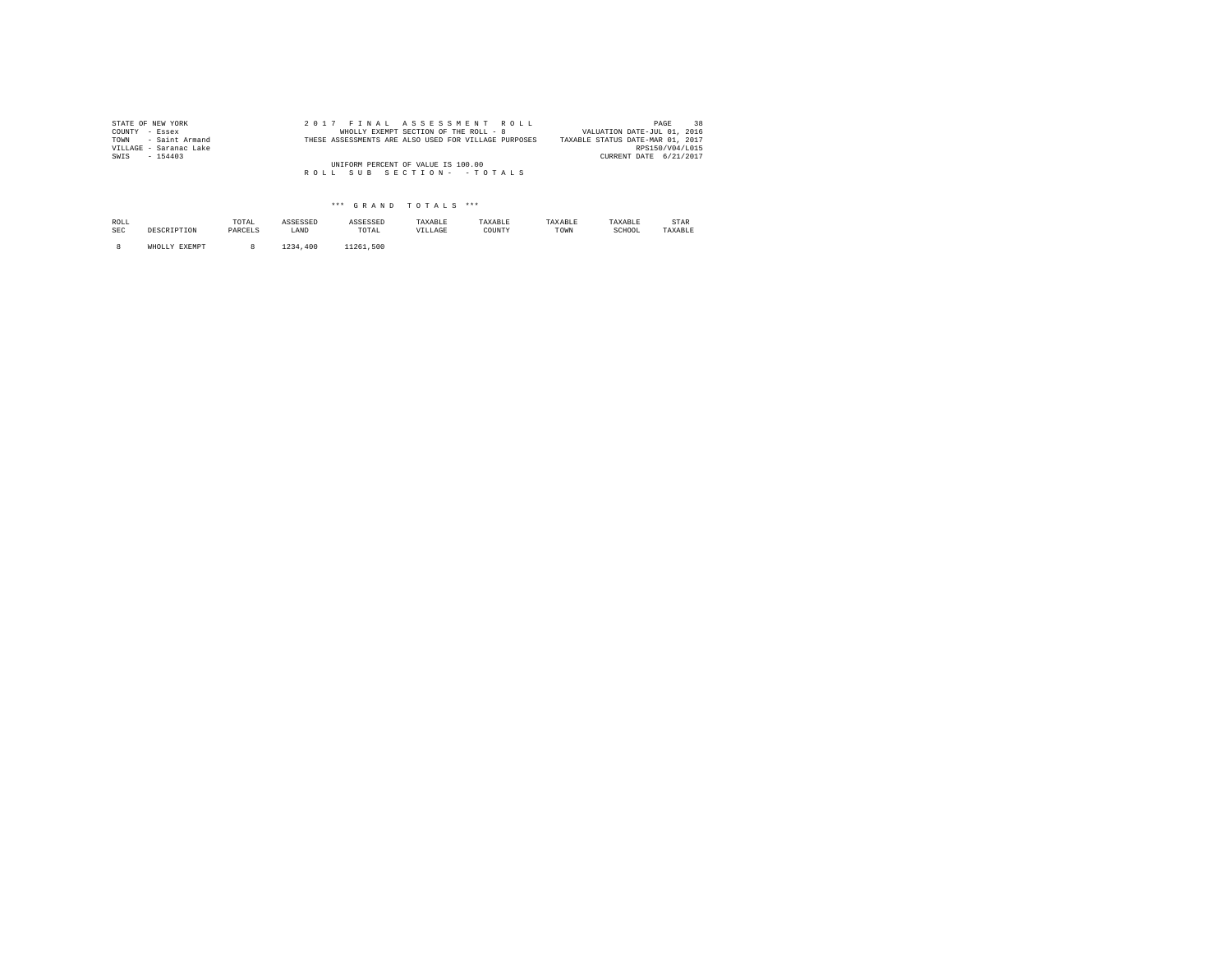| STATE OF NEW YORK      | 2017 FINAL ASSESSMENT ROLL                           | 38<br>PAGE                       |
|------------------------|------------------------------------------------------|----------------------------------|
| COUNTY - Essex         | WHOLLY EXEMPT SECTION OF THE ROLL - 8                | VALUATION DATE-JUL 01, 2016      |
| TOWN - Saint Armand    | THESE ASSESSMENTS ARE ALSO USED FOR VILLAGE PURPOSES | TAXABLE STATUS DATE-MAR 01, 2017 |
| VILLAGE - Saranac Lake |                                                      | RPS150/V04/L015                  |
| SWIS - 154403          |                                                      | CURRENT DATE 6/21/2017           |
|                        | UNIFORM PERCENT OF VALUE IS 100.00                   |                                  |
|                        | ROLL SUB SECTION- - TOTALS                           |                                  |
|                        |                                                      |                                  |

## \*\*\* G R A N D T O T A L S \*\*\*

| ROLL<br><b>SEC</b> | DESCRIPTION   | TOTAL<br>PARCELS | ASSESSED<br>LAND | ASSESSED<br>TOTAL | TAXABLE<br>VILLAGE | TAXABLE<br>COUNTY | TAXABLE<br>TOWN | TAXABLE<br>SCHOOL | STAR<br>TAXABLE |
|--------------------|---------------|------------------|------------------|-------------------|--------------------|-------------------|-----------------|-------------------|-----------------|
|                    | WHOLLY EXEMPT |                  | .400<br>1234     | 11261.500         |                    |                   |                 |                   |                 |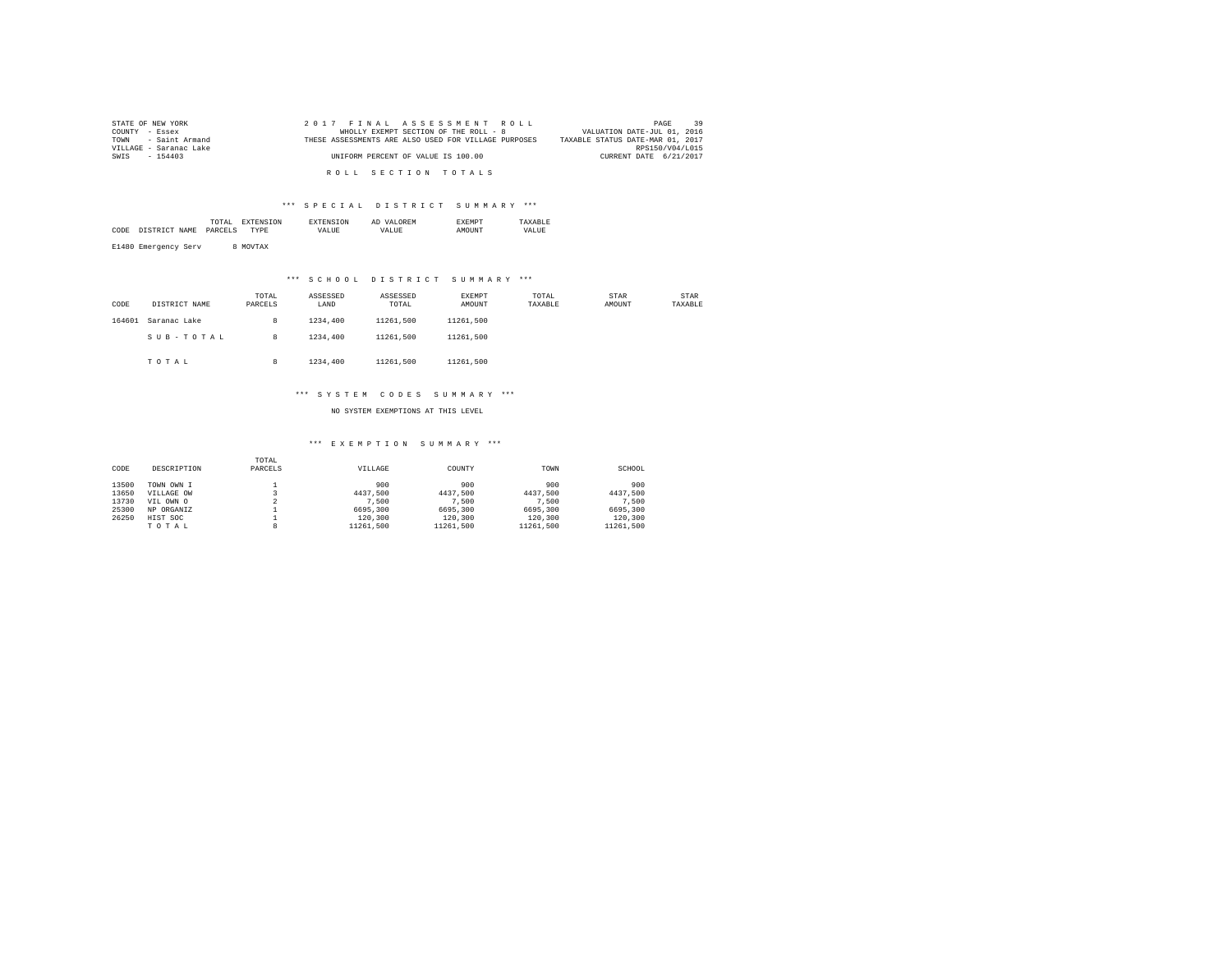| STATE OF NEW YORK      | 2017 FINAL ASSESSMENT ROLL                           | 39<br>PAGE                       |
|------------------------|------------------------------------------------------|----------------------------------|
| COUNTY - Essex         | WHOLLY EXEMPT SECTION OF THE ROLL - 8                | VALUATION DATE-JUL 01, 2016      |
| TOWN - Saint Armand    | THESE ASSESSMENTS ARE ALSO USED FOR VILLAGE PURPOSES | TAXABLE STATUS DATE-MAR 01, 2017 |
| VILLAGE - Saranac Lake |                                                      | RPS150/V04/L015                  |
| SWIS - 154403          | UNIFORM PERCENT OF VALUE IS 100.00                   | CURRENT DATE 6/21/2017           |
|                        |                                                      |                                  |
|                        | ROLL SECTION TOTALS                                  |                                  |

#### \*\*\* S P E C I A L D I S T R I C T S U M M A R Y \*\*\*

|      |                     | the contract of the contract of the contract of | 'N |                | ∩REM<br>Al |       |
|------|---------------------|-------------------------------------------------|----|----------------|------------|-------|
| CODE | ידים דמידים<br>MAMU | DA DA                                           |    | VALUE<br>_____ | VALUE      | VALUE |
|      |                     |                                                 |    |                |            |       |

E1480 Emergency Serv 8 MOVTAX

## \*\*\* S C H O O L D I S T R I C T S U M M A R Y \*\*\*

| CODE   | DISTRICT NAME | TOTAL<br>PARCELS | ASSESSED<br>LAND | ASSESSED<br>TOTAL | EXEMPT<br>AMOUNT | TOTAL<br>TAXABLE | <b>STAR</b><br>AMOUNT | STAR<br>TAXABLE |
|--------|---------------|------------------|------------------|-------------------|------------------|------------------|-----------------------|-----------------|
| 164601 | Saranac Lake  | 8                | 1234,400         | 11261.500         | 11261.500        |                  |                       |                 |
|        | SUB-TOTAL     | 8                | 1234,400         | 11261.500         | 11261.500        |                  |                       |                 |
|        | TOTAL         | 8                | 1234,400         | 11261.500         | 11261.500        |                  |                       |                 |

#### \*\*\* S Y S T E M C O D E S S U M M A R Y \*\*\*

NO SYSTEM EXEMPTIONS AT THIS LEVEL

#### \*\*\* E X E M P T I O N S U M M A R Y \*\*\*

| CODE  | DESCRIPTION | TOTAL<br>PARCELS | VILLAGE   | COUNTY    | TOWN      | SCHOOL    |
|-------|-------------|------------------|-----------|-----------|-----------|-----------|
| 13500 | TOWN OWN I  |                  | 900       | 900       | 900       | 900       |
| 13650 | VILLAGE OW  |                  | 4437.500  | 4437.500  | 4437.500  | 4437.500  |
| 13730 | VIL OWN O   |                  | 7.500     | 7.500     | 7.500     | 7.500     |
| 25300 | NP ORGANIZ  |                  | 6695,300  | 6695,300  | 6695,300  | 6695,300  |
| 26250 | HIST SOC    |                  | 120,300   | 120,300   | 120,300   | 120,300   |
|       | TOTAL       | 8                | 11261.500 | 11261.500 | 11261.500 | 11261.500 |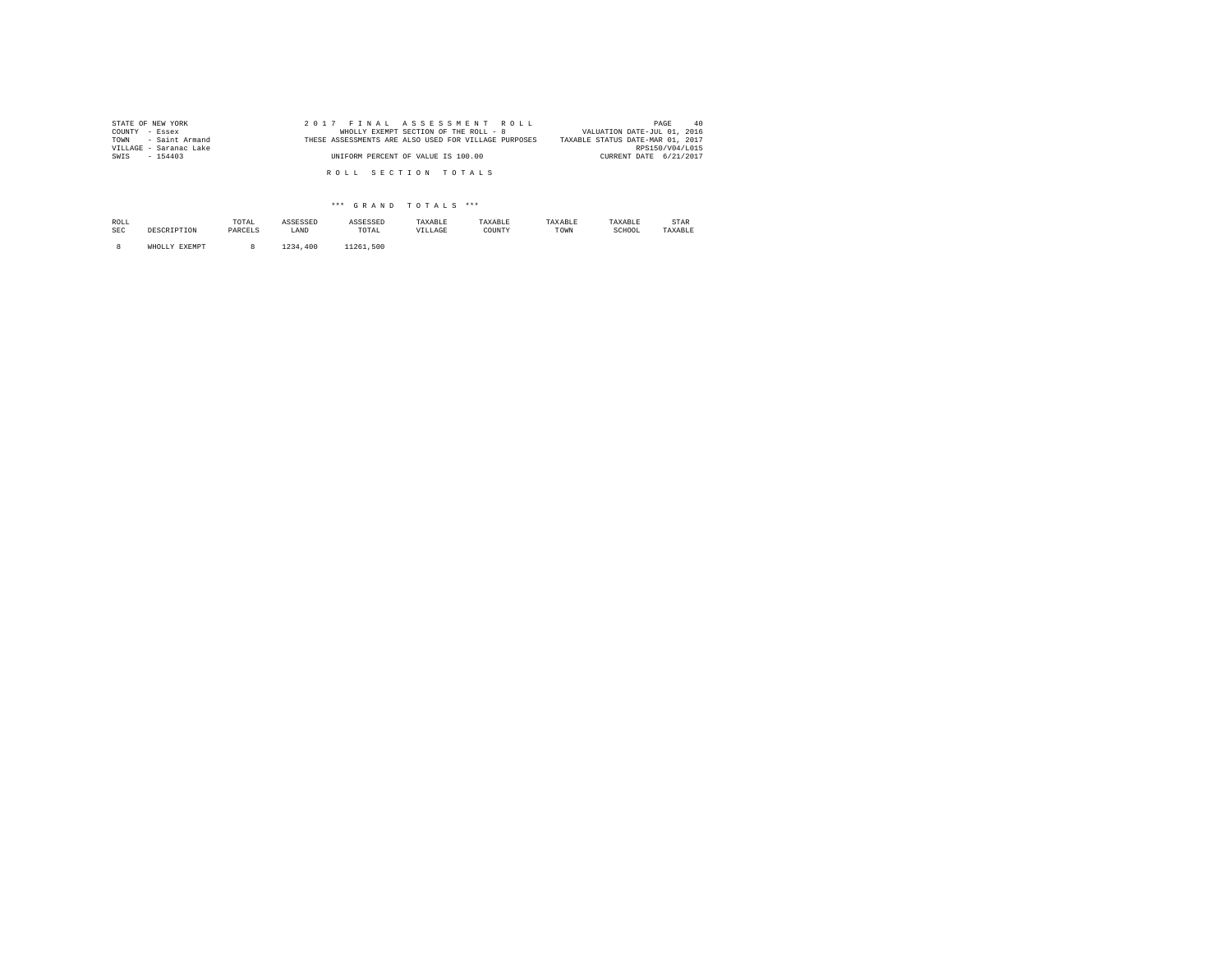| STATE OF NEW YORK      | 2017 FINAL ASSESSMENT ROLL                           | 40<br>PAGE                       |
|------------------------|------------------------------------------------------|----------------------------------|
| COUNTY - Essex         | WHOLLY EXEMPT SECTION OF THE ROLL - 8                | VALUATION DATE-JUL 01, 2016      |
| TOWN - Saint Armand    | THESE ASSESSMENTS ARE ALSO USED FOR VILLAGE PURPOSES | TAXABLE STATUS DATE-MAR 01, 2017 |
| VILLAGE - Saranac Lake |                                                      | RPS150/V04/L015                  |
| SWIS - 154403          | UNIFORM PERCENT OF VALUE IS 100.00                   | CURRENT DATE 6/21/2017           |
|                        |                                                      |                                  |
|                        | ROLL SECTION TOTALS                                  |                                  |
|                        |                                                      |                                  |

## \*\*\* G R A N D T O T A L S \*\*\*

| ROLL<br>SEC | DESCRIPTION   | TOTAL<br>PARCELS | ASSESSED<br>LAND | ASSESSED<br>TOTAL | TAXABLE<br>VILLAGE | TAXABLE<br>COUNTY | TAXABLE<br>TOWN | TAXABLE<br>SCHOOL | STAR<br>TAXABLE |
|-------------|---------------|------------------|------------------|-------------------|--------------------|-------------------|-----------------|-------------------|-----------------|
|             | WHOLLY EXEMPT |                  | 1234<br>.400     | 11261.500         |                    |                   |                 |                   |                 |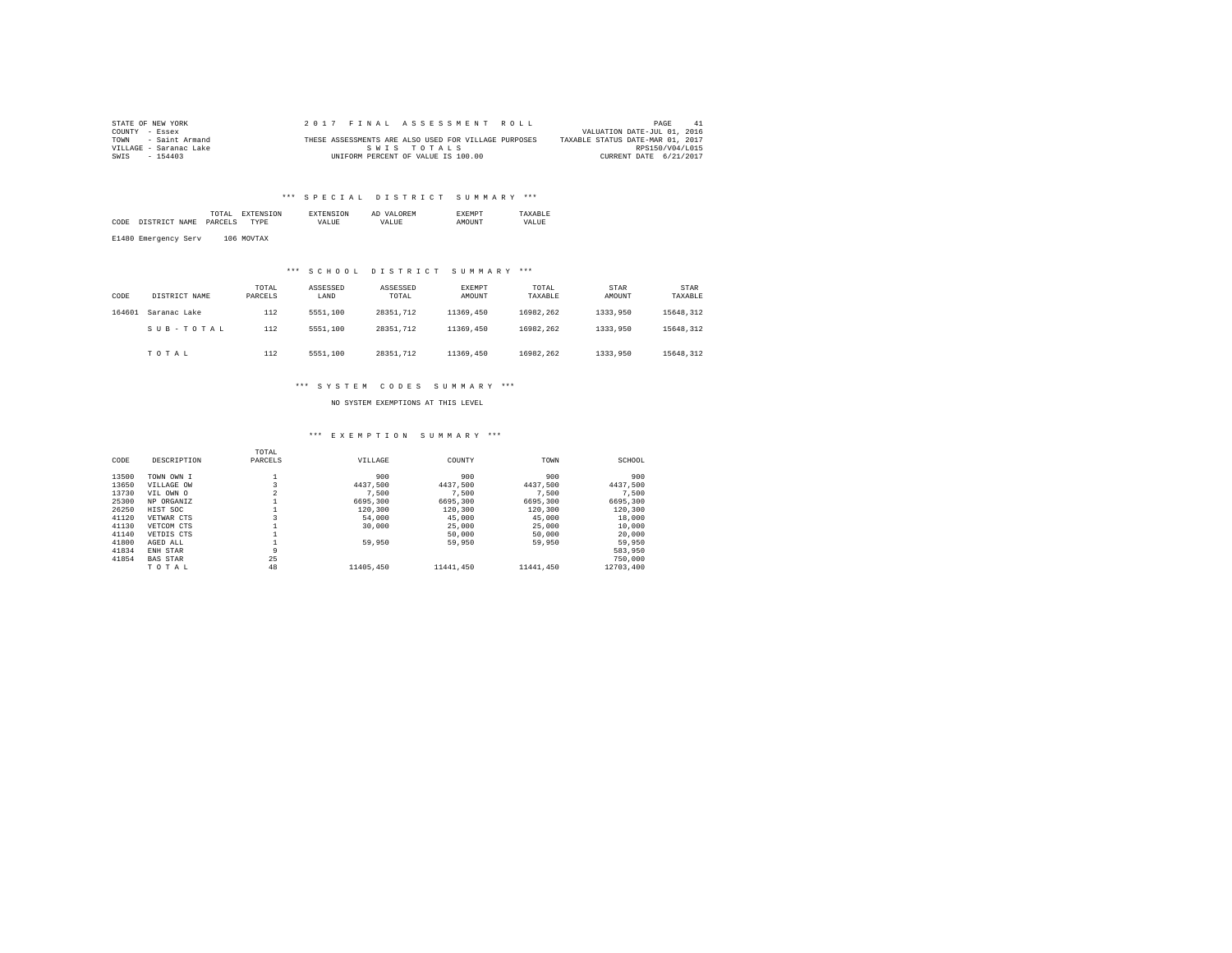| STATE OF NEW YORK      |  | 2017 FINAL ASSESSMENT ROLL                           |                                  | PAGE<br>41                  |
|------------------------|--|------------------------------------------------------|----------------------------------|-----------------------------|
| COUNTY - Essex         |  |                                                      |                                  | VALUATION DATE-JUL 01, 2016 |
| TOWN - Saint Armand    |  | THESE ASSESSMENTS ARE ALSO USED FOR VILLAGE PURPOSES | TAXABLE STATUS DATE-MAR 01, 2017 |                             |
| VILLAGE - Saranac Lake |  | SWIS TOTALS                                          |                                  | RPS150/V04/L015             |
| SWIS<br>$-154403$      |  | UNIFORM PERCENT OF VALUE IS 100.00                   |                                  | CURRENT DATE 6/21/2017      |

## \*\*\* SPECIAL DISTRICT SUMMARY \*\*\*

|      |                      | TOTAL   | <b>EXTENSION</b> | <b>EXTENSION</b> | AD VALOREM | <b>EXEMPT</b> | TAXARLE |
|------|----------------------|---------|------------------|------------------|------------|---------------|---------|
| CODE | DISTRICT NAME        | PARCELS | <b>TYPE</b>      | <b>VALUE</b>     | VALUE.     | AMOUNT        | VALUE   |
|      | E1480 Emergency Serv |         | 106 MOVTAX       |                  |            |               |         |

#### \*\*\* S C H O O L D I S T R I C T S U M M A R Y \*\*\*

| CODE   | DISTRICT NAME | TOTAL<br>PARCELS | ASSESSED<br>LAND | ASSESSED<br>TOTAL | <b>EXEMPT</b><br>AMOUNT | TOTAL<br>TAXABLE | STAR<br>AMOUNT | STAR<br>TAXABLE |
|--------|---------------|------------------|------------------|-------------------|-------------------------|------------------|----------------|-----------------|
| 164601 | Saranac Lake  | 112              | 5551,100         | 28351.712         | 11369,450               | 16982.262        | 1333,950       | 15648.312       |
|        | SUB-TOTAL     | 112              | 5551,100         | 28351.712         | 11369,450               | 16982.262        | 1333,950       | 15648.312       |
|        | TOTAL         | 112              | 5551,100         | 28351.712         | 11369,450               | 16982.262        | 1333,950       | 15648.312       |

#### \*\*\* S Y S T E M C O D E S S U M M A R Y \*\*\*

NO SYSTEM EXEMPTIONS AT THIS LEVEL

#### \*\*\* E X E M P T I O N S U M M A R Y \*\*\*

|       |                 | TOTAL          |           |           |           |           |
|-------|-----------------|----------------|-----------|-----------|-----------|-----------|
| CODE  | DESCRIPTION     | PARCELS        | VILLAGE   | COUNTY    | TOWN      | SCHOOL    |
| 13500 | TOWN OWN I      |                | 900       | 900       | 900       | 900       |
| 13650 | VILLAGE OW      |                | 4437.500  | 4437.500  | 4437.500  | 4437.500  |
| 13730 | VIL OWN O       | $\overline{2}$ | 7.500     | 7.500     | 7.500     | 7.500     |
| 25300 | NP ORGANIZ      |                | 6695,300  | 6695,300  | 6695,300  | 6695,300  |
| 26250 | HIST SOC        |                | 120,300   | 120,300   | 120,300   | 120,300   |
| 41120 | VETWAR CTS      |                | 54,000    | 45,000    | 45,000    | 18,000    |
| 41130 | VETCOM CTS      |                | 30,000    | 25,000    | 25,000    | 10,000    |
| 41140 | VETDIS CTS      |                |           | 50,000    | 50,000    | 20,000    |
| 41800 | AGED ALL        |                | 59,950    | 59,950    | 59,950    | 59,950    |
| 41834 | ENH STAR        | 9              |           |           |           | 583,950   |
| 41854 | <b>BAS STAR</b> | 25             |           |           |           | 750,000   |
|       | TOTAL           | 48             | 11405,450 | 11441,450 | 11441.450 | 12703,400 |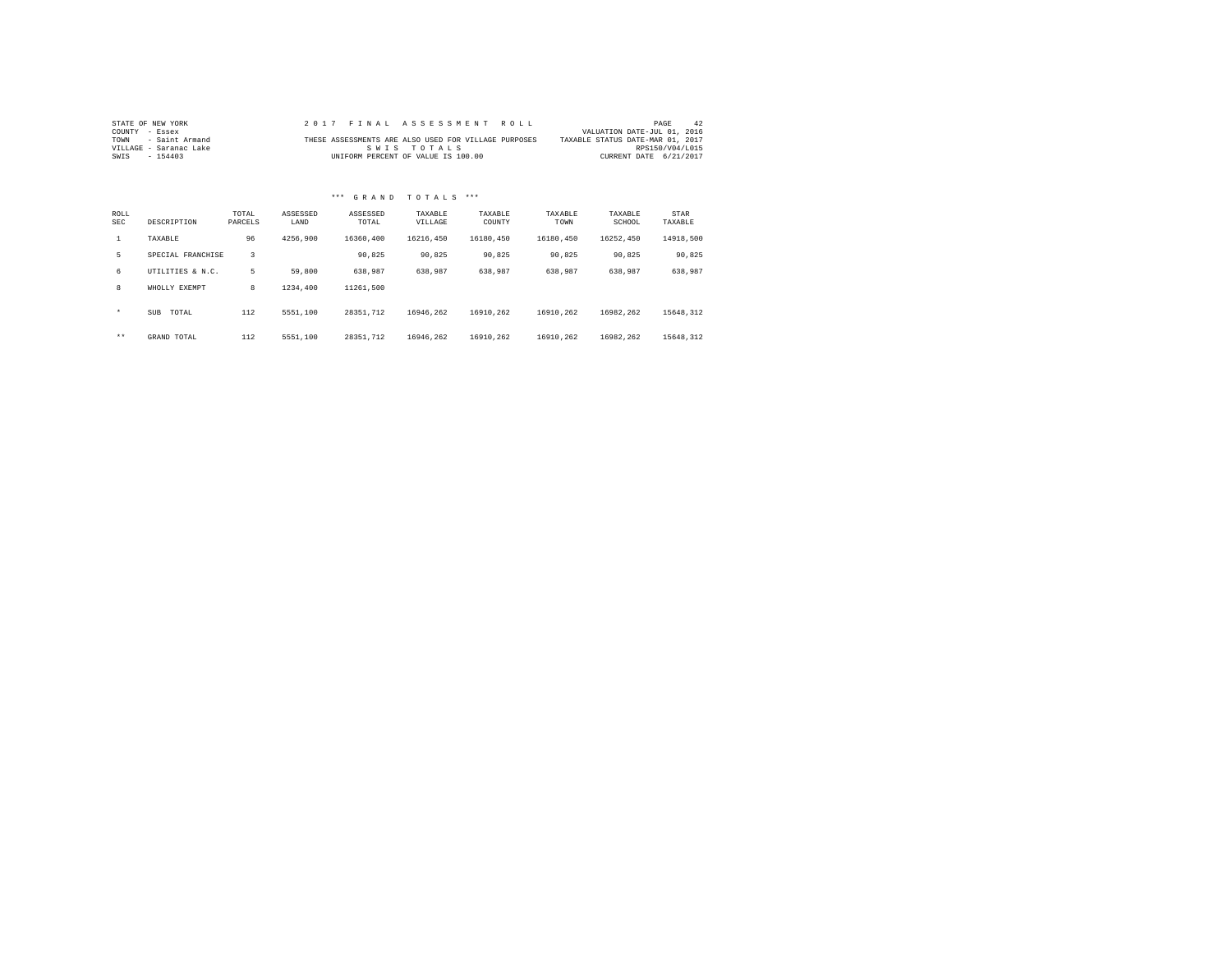| STATE OF NEW YORK      | 2017 FINAL ASSESSMENT ROLL                           | 42<br>PAGE                       |
|------------------------|------------------------------------------------------|----------------------------------|
| COUNTY - Essex         |                                                      | VALUATION DATE-JUL 01, 2016      |
| TOWN - Saint Armand    | THESE ASSESSMENTS ARE ALSO USED FOR VILLAGE PURPOSES | TAXABLE STATUS DATE-MAR 01, 2017 |
| VILLAGE - Saranac Lake | SWIS TOTALS                                          | RPS150/V04/L015                  |
| SWIS - 154403          | UNIFORM PERCENT OF VALUE IS 100.00                   | CURRENT DATE 6/21/2017           |

# \*\*\* G R A N D T O T A L S \*\*\*

| ROLL<br>SEC | DESCRIPTION         | TOTAL<br>PARCELS | ASSESSED<br>LAND | ASSESSED<br>TOTAL | TAXABLE<br>VILLAGE | TAXABLE<br>COUNTY | TAXABLE<br>TOWN | TAXABLE<br>SCHOOL | STAR<br>TAXABLE |
|-------------|---------------------|------------------|------------------|-------------------|--------------------|-------------------|-----------------|-------------------|-----------------|
|             | TAXABLE             | 96               | 4256,900         | 16360.400         | 16216.450          | 16180.450         | 16180.450       | 16252.450         | 14918,500       |
| 5           | SPECIAL FRANCHISE   | $\overline{3}$   |                  | 90.825            | 90.825             | 90.825            | 90.825          | 90.825            | 90.825          |
| 6           | UTILITIES & N.C.    | 5                | 59,800           | 638.987           | 638,987            | 638,987           | 638,987         | 638.987           | 638,987         |
| 8           | WHOLLY EXEMPT       | 8                | 1234,400         | 11261.500         |                    |                   |                 |                   |                 |
| $\star$     | <b>SUB</b><br>TOTAL | 112              | 5551,100         | 28351.712         | 16946.262          | 16910.262         | 16910.262       | 16982.262         | 15648.312       |
| $***$       | GRAND TOTAL         | 112              | 5551,100         | 28351.712         | 16946.262          | 16910.262         | 16910.262       | 16982.262         | 15648.312       |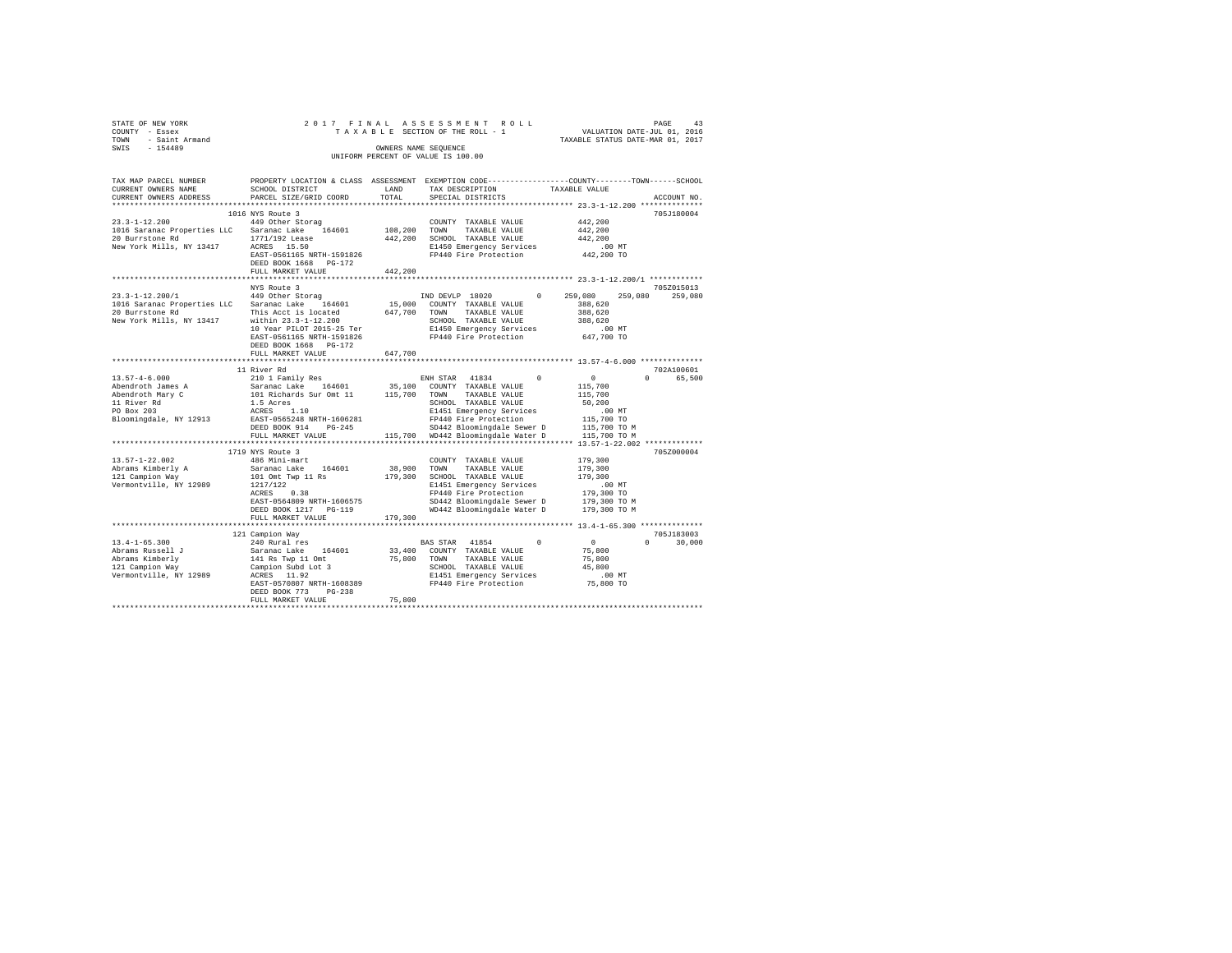|                | STATE OF NEW YORK   |  |  |                                    | 2017 FINAL ASSESSMENT ROLL      |                                  | PAGE | 43 |
|----------------|---------------------|--|--|------------------------------------|---------------------------------|----------------------------------|------|----|
| COUNTY - Essex |                     |  |  |                                    | TAXABLE SECTION OF THE ROLL - 1 | VALUATION DATE-JUL 01, 2016      |      |    |
|                | TOWN - Saint Armand |  |  |                                    |                                 | TAXABLE STATUS DATE-MAR 01, 2017 |      |    |
| SWIS           | $-154489$           |  |  | OWNERS NAME SEOUENCE               |                                 |                                  |      |    |
|                |                     |  |  | UNIFORM PERCENT OF VALUE IS 100.00 |                                 |                                  |      |    |
|                |                     |  |  |                                    |                                 |                                  |      |    |

| TAX MAP PARCEL NUMBER       |                                      |              | PROPERTY LOCATION & CLASS ASSESSMENT EXEMPTION CODE----------------COUNTY-------TOWN-----SCHOOL |                    |                    |
|-----------------------------|--------------------------------------|--------------|-------------------------------------------------------------------------------------------------|--------------------|--------------------|
| CURRENT OWNERS NAME         | SCHOOL DISTRICT                      | LAND         | TAX DESCRIPTION                                                                                 | TAXABLE VALUE      |                    |
| CURRENT OWNERS ADDRESS      | PARCEL SIZE/GRID COORD               | TOTAL        | SPECIAL DISTRICTS                                                                               |                    | ACCOUNT NO.        |
|                             |                                      |              |                                                                                                 |                    |                    |
|                             | 1016 NYS Route 3                     |              |                                                                                                 |                    | 705J180004         |
| $23.3 - 1 - 12.200$         | 449 Other Storag                     |              | COUNTY TAXABLE VALUE                                                                            | 442.200            |                    |
| 1016 Saranac Properties LLC | Saranac Lake 164601                  | 108,200 TOWN | TAXABLE VALUE                                                                                   | 442.200            |                    |
| 20 Burrstone Rd             | 1771/192 Lease                       | 442,200      | SCHOOL TAXABLE VALUE                                                                            | 442.200            |                    |
| New York Mills, NY 13417    | ACRES 15.50                          |              | E1450 Emergency Services                                                                        | $.00$ MT           |                    |
|                             | EAST-0561165 NRTH-1591826            |              | FP440 Fire Protection                                                                           | 442,200 TO         |                    |
|                             | DEED BOOK 1668 PG-172                |              |                                                                                                 |                    |                    |
|                             | FULL MARKET VALUE                    | 442.200      |                                                                                                 |                    |                    |
|                             | ************************             |              |                                                                                                 |                    |                    |
|                             | NYS Route 3                          |              |                                                                                                 |                    | 705Z015013         |
| $23.3 - 1 - 12.200 / 1$     | 449 Other Storag                     |              | IND DEVLP 18020<br>$^{\circ}$                                                                   | 259,080<br>259,080 | 259,080            |
| 1016 Saranac Properties LLC | Saranac Lake 164601                  |              | 15,000 COUNTY TAXABLE VALUE                                                                     | 388,620            |                    |
| 20 Burrstone Rd             | This Acct is located                 | 647,700 TOWN | TAXABLE VALUE                                                                                   | 388,620            |                    |
| New York Mills, NY 13417    | within 23.3-1-12.200                 |              | SCHOOL TAXABLE VALUE                                                                            | 388,620            |                    |
|                             | 10 Year PILOT 2015-25 Ter            |              | E1450 Emergency Services                                                                        | $.00$ MT           |                    |
|                             | EAST-0561165 NRTH-1591826            |              | FP440 Fire Protection                                                                           | 647,700 TO         |                    |
|                             | DEED BOOK 1668 PG-172                |              |                                                                                                 |                    |                    |
|                             | FULL MARKET VALUE                    | 647,700      |                                                                                                 |                    |                    |
|                             |                                      |              |                                                                                                 |                    |                    |
|                             |                                      |              |                                                                                                 |                    |                    |
|                             | 11 River Rd                          |              |                                                                                                 |                    | 702A100601         |
| $13.57 - 4 - 6.000$         | 210 1 Family Res                     |              | ENH STAR 41834 0                                                                                | $\sim$ 0           | $\cap$<br>65,500   |
| Abendroth James A           | Saranac Lake 164601                  |              | 35,100 COUNTY TAXABLE VALUE                                                                     | 115,700            |                    |
| Abendroth Mary C            | 101 Richards Sur Omt 11 115,700 TOWN |              | TAXABLE VALUE                                                                                   | 115,700            |                    |
| 11 River Rd                 | 1.5 Acres                            |              | SCHOOL TAXABLE VALUE                                                                            | 50,200             |                    |
| PO Box 203                  | ACRES 1.10                           |              | E1451 Emergency Services                                                                        | $.00$ MT           |                    |
| Bloomingdale, NY 12913      | EAST-0565248 NRTH-1606281            |              | FP440 Fire Protection                                                                           | 115,700 TO         |                    |
|                             | DEED BOOK 914<br>$PG-245$            |              | SD442 Bloomingdale Sewer D                                                                      | 115,700 TO M       |                    |
|                             | FULL MARKET VALUE                    |              | 115,700 WD442 Bloomingdale Water D                                                              | 115,700 TO M       |                    |
|                             |                                      |              |                                                                                                 |                    |                    |
|                             | 1719 NYS Route 3                     |              |                                                                                                 |                    | 705Z000004         |
| $13.57 - 1 - 22.002$        | 486 Mini-mart                        |              | COUNTY TAXABLE VALUE                                                                            | 179,300            |                    |
| Abrams Kimberly A           | Saranac Lake 164601                  | 38,900 TOWN  | TAXABLE VALUE                                                                                   | 179,300            |                    |
| 121 Campion Way             | 101 Omt Twp 11 Rs                    |              | 179,300 SCHOOL TAXABLE VALUE                                                                    | 179,300            |                    |
| Vermontville, NY 12989      | 1217/122                             |              | E1451 Emergency Services                                                                        | .00MT              |                    |
|                             | ACRES<br>0.38                        |              | FP440 Fire Protection                                                                           | 179,300 TO         |                    |
|                             |                                      |              |                                                                                                 |                    |                    |
|                             | EAST-0564809 NRTH-1606575            |              | SD442 Bloomingdale Sewer D                                                                      | 179,300 TO M       |                    |
|                             | DEED BOOK 1217 PG-119                |              | WD442 Bloomingdale Water D                                                                      | 179,300 TO M       |                    |
|                             | FULL MARKET VALUE                    | 179,300      |                                                                                                 |                    |                    |
|                             |                                      |              |                                                                                                 |                    |                    |
|                             | 121 Campion Way                      |              |                                                                                                 |                    | 705J183003         |
| $13.4 - 1 - 65.300$         | 240 Rural res                        |              | BAS STAR 41854<br>$\Omega$                                                                      | $\sim$ 0           | 30,000<br>$\Omega$ |
| Abrams Russell J            | 164601<br>Saranac Lake               |              | 33,400 COUNTY TAXABLE VALUE                                                                     | 75,800             |                    |
| Abrams Kimberly             | 141 Rs Twp 11 Omt                    |              | 75,800 TOWN<br>TAXABLE VALUE                                                                    | 75,800             |                    |
| 121 Campion Way             | Campion Subd Lot 3                   |              | SCHOOL TAXABLE VALUE                                                                            | 45,800             |                    |
| Vermontville, NY 12989      | ACRES 11.92                          |              | E1451 Emergency Services                                                                        | $.00$ MT           |                    |
|                             | EAST-0570807 NRTH-1608389            |              | FP440 Fire Protection                                                                           | 75,800 TO          |                    |
|                             | DEED BOOK 773<br>$PG-238$            |              |                                                                                                 |                    |                    |
|                             | FULL MARKET VALUE                    | 75,800       |                                                                                                 |                    |                    |
|                             |                                      |              |                                                                                                 |                    |                    |
|                             |                                      |              |                                                                                                 |                    |                    |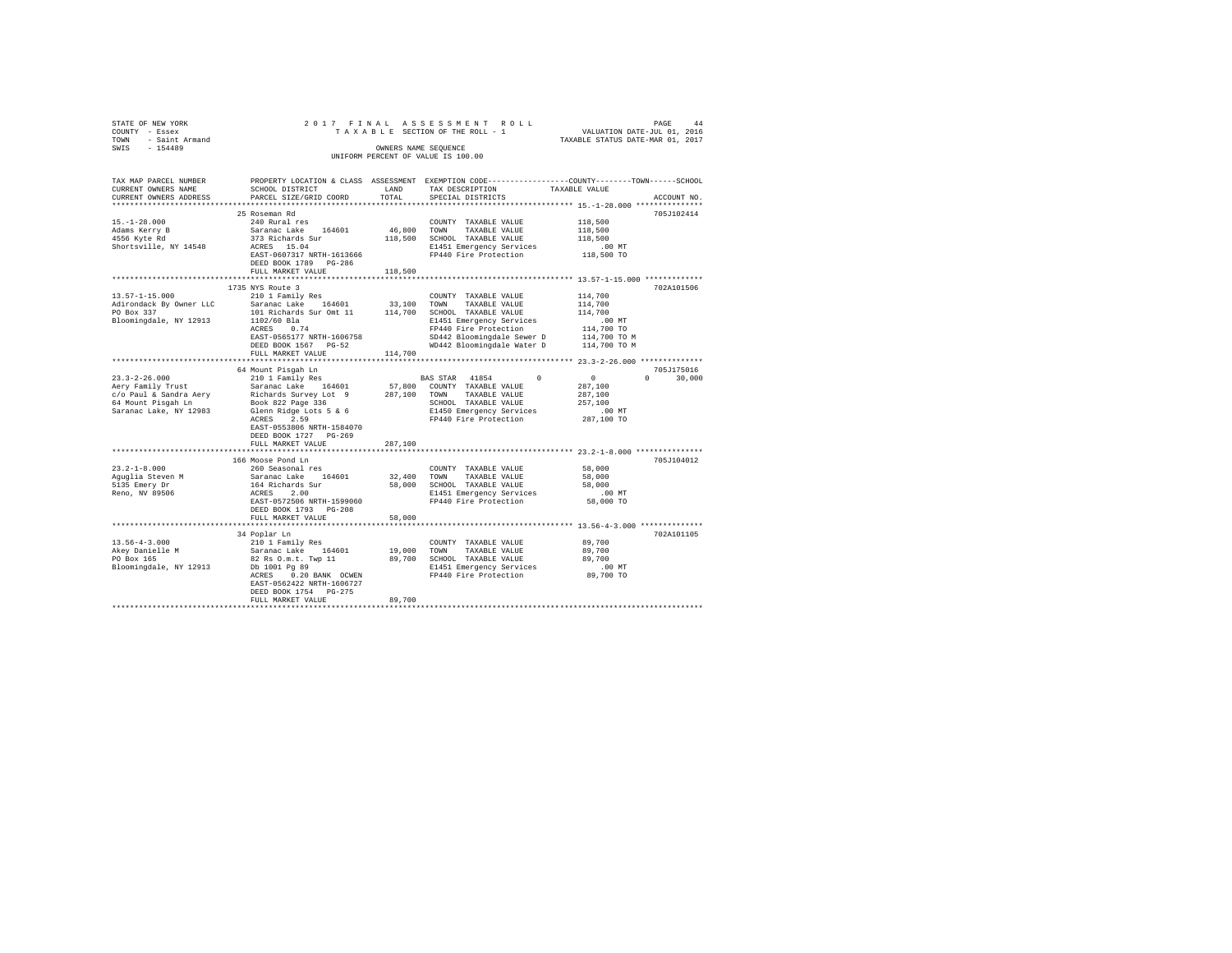| STATE OF NEW YORK                        |                                                                                                                                                                                                                                                               |         |                                                                                                 |                                                    |               |
|------------------------------------------|---------------------------------------------------------------------------------------------------------------------------------------------------------------------------------------------------------------------------------------------------------------|---------|-------------------------------------------------------------------------------------------------|----------------------------------------------------|---------------|
| COUNTY - Essex                           |                                                                                                                                                                                                                                                               |         |                                                                                                 |                                                    |               |
| TOWN - Saint Armand                      |                                                                                                                                                                                                                                                               |         |                                                                                                 |                                                    |               |
| SWIS - 154489                            |                                                                                                                                                                                                                                                               |         | OWNERS NAME SEOUENCE                                                                            |                                                    |               |
|                                          |                                                                                                                                                                                                                                                               |         | UNIFORM PERCENT OF VALUE IS 100.00                                                              |                                                    |               |
|                                          |                                                                                                                                                                                                                                                               |         |                                                                                                 |                                                    |               |
| TAX MAP PARCEL NUMBER                    |                                                                                                                                                                                                                                                               |         | PROPERTY LOCATION & CLASS ASSESSMENT EXEMPTION CODE---------------COUNTY-------TOWN------SCHOOL |                                                    |               |
| CURRENT OWNERS NAME                      | SCHOOL DISTRICT                                                                                                                                                                                                                                               | LAND    | TAX DESCRIPTION                                                                                 | TAXABLE VALUE                                      |               |
| CURRENT OWNERS ADDRESS                   | PARCEL SIZE/GRID COORD                                                                                                                                                                                                                                        | TOTAL   | SPECIAL DISTRICTS                                                                               |                                                    | ACCOUNT NO.   |
|                                          |                                                                                                                                                                                                                                                               |         |                                                                                                 |                                                    |               |
|                                          | 25 Roseman Rd                                                                                                                                                                                                                                                 |         |                                                                                                 |                                                    | 705J102414    |
| $15. - 1 - 28.000$                       | 240 Rural res                                                                                                                                                                                                                                                 |         | COUNTY TAXABLE VALUE                                                                            | 118,500                                            |               |
|                                          | Saranac Lake 164601                                                                                                                                                                                                                                           |         | 46,800 TOWN TAXABLE VALUE                                                                       | 118,500                                            |               |
| Adams Kerry B<br>4556 Kyte Rd            | 373 Richards Sur                                                                                                                                                                                                                                              |         | 118,500 SCHOOL TAXABLE VALUE                                                                    | 118,500                                            |               |
| Shortsville, NY 14548                    | ACRES 15.04                                                                                                                                                                                                                                                   |         | E1451 Emergency Services                                                                        |                                                    |               |
|                                          |                                                                                                                                                                                                                                                               |         | EAST-0607317 NRTH-1613666<br>FP440 Fire Protection<br>PRPH DOOK 1700 - 2011                     | 00 MT.<br>118,500 TO                               |               |
|                                          | DEED BOOK 1789 PG-286                                                                                                                                                                                                                                         |         |                                                                                                 |                                                    |               |
|                                          | FULL MARKET VALUE                                                                                                                                                                                                                                             | 118,500 |                                                                                                 |                                                    |               |
|                                          |                                                                                                                                                                                                                                                               |         | ***************************** 13.57-1-15.000 *************                                      |                                                    |               |
|                                          | 1735 NYS Route 3                                                                                                                                                                                                                                              |         |                                                                                                 |                                                    | 702A101506    |
| $13.57 - 1 - 15.000$                     | 210 1 Family Res                                                                                                                                                                                                                                              |         | COUNTY TAXABLE VALUE                                                                            | 114,700                                            |               |
| Adirondack By Owner LLC                  | Saranac Lake 164601                                                                                                                                                                                                                                           |         | 33,100 TOWN TAXABLE VALUE                                                                       | 114,700                                            |               |
| PO Box 337                               | 101 Richards Sur Omt 11 114,700 SCHOOL TAXABLE VALUE                                                                                                                                                                                                          |         |                                                                                                 | 114,700                                            |               |
| Bloomingdale, NY 12913                   |                                                                                                                                                                                                                                                               |         | E1451 Emergency Services                                                                        | .00 MT                                             |               |
|                                          | 1102/60 Bla<br>ACRES 0.74                                                                                                                                                                                                                                     |         | FP440 Fire Protection                                                                           | 114,700 TO                                         |               |
|                                          |                                                                                                                                                                                                                                                               |         |                                                                                                 |                                                    |               |
|                                          | EAST-0565177 NRTH-1606758                                                                                                                                                                                                                                     |         | SD442 Bloomingdale Sewer D 114,700 TO M<br>WD442 Bloomingdale Water D 114,700 TO M              |                                                    |               |
|                                          | DEED BOOK 1567 PG-52<br>FULL MARKET VALUE                                                                                                                                                                                                                     |         |                                                                                                 |                                                    |               |
|                                          | *********************                                                                                                                                                                                                                                         | 114,700 |                                                                                                 | ********************* 23.3-2-26.000 ************** |               |
|                                          |                                                                                                                                                                                                                                                               |         |                                                                                                 |                                                    |               |
|                                          | 64 Mount Pisqah Ln                                                                                                                                                                                                                                            |         |                                                                                                 |                                                    | 705J175016    |
| $23.3 - 2 - 26.000$<br>Aery Family Trust | 210 1 Family Res                                                                                                                                                                                                                                              |         | BAS STAR 41854<br>$^{\circ}$                                                                    | $\sim$ 0<br>287,100                                | $0 \t 30,000$ |
|                                          | Saranac Lake 164601                                                                                                                                                                                                                                           |         | 57,800 COUNTY TAXABLE VALUE                                                                     |                                                    |               |
| c/o Paul & Sandra Aery                   |                                                                                                                                                                                                                                                               |         | 287,100 TOWN TAXABLE VALUE                                                                      | 287,100                                            |               |
| 64 Mount Pisgah Ln                       | Elchards Survey Lot 9<br>Book 822 Page 336<br>Glenn Ridge Lots 5 & 6                                                                                                                                                                                          |         | SCHOOL TAXABLE VALUE                                                                            | 257,100                                            |               |
| Saranac Lake, NY 12983                   |                                                                                                                                                                                                                                                               |         | E1450 Emergency Services                                                                        | .00 MT                                             |               |
|                                          | ACRES 2.59                                                                                                                                                                                                                                                    |         | FP440 Fire Protection                                                                           | 287,100 TO                                         |               |
|                                          | EAST-0553806 NRTH-1584070                                                                                                                                                                                                                                     |         |                                                                                                 |                                                    |               |
|                                          | DEED BOOK 1727 PG-269                                                                                                                                                                                                                                         |         |                                                                                                 |                                                    |               |
|                                          | FULL MARKET VALUE                                                                                                                                                                                                                                             | 287,100 |                                                                                                 |                                                    |               |
|                                          |                                                                                                                                                                                                                                                               |         |                                                                                                 |                                                    |               |
|                                          | 166 Moose Pond Ln                                                                                                                                                                                                                                             |         |                                                                                                 |                                                    | 705J104012    |
| $23.2 - 1 - 8.000$                       | 260 Seasonal res                                                                                                                                                                                                                                              |         | COUNTY TAXABLE VALUE                                                                            | 58,000                                             |               |
| Aguglia Steven M                         | Saranac Lake 164601<br>164 Richards Sur                                                                                                                                                                                                                       |         | 32,400 TOWN TAXABLE VALUE<br>58,000 SCHOOL TAXABLE VALUE                                        | 58,000                                             |               |
| 5135 Emery Dr                            |                                                                                                                                                                                                                                                               |         |                                                                                                 | 58,000                                             |               |
| Reno, NV 89506                           | ACRES 2.00                                                                                                                                                                                                                                                    |         | E1451 Emergency Services                                                                        | $.00$ MT                                           |               |
|                                          | EAST-0572506 NRTH-1599060                                                                                                                                                                                                                                     |         | FP440 Fire Protection                                                                           | 58,000 TO                                          |               |
|                                          | DEED BOOK 1793 PG-208                                                                                                                                                                                                                                         |         |                                                                                                 |                                                    |               |
|                                          | FULL MARKET VALUE                                                                                                                                                                                                                                             | 58,000  |                                                                                                 |                                                    |               |
|                                          |                                                                                                                                                                                                                                                               |         | ***************************** 13.56-4-3.000 **************                                      |                                                    |               |
|                                          | 34 Poplar Ln                                                                                                                                                                                                                                                  |         |                                                                                                 |                                                    | 702A101105    |
|                                          | 13.56-4-3.000<br>Akey Danielle M<br>Po Box 165<br>Po Box 165<br>Po Box 165<br>Po Box 165<br>Po 1001 Pg 89<br>Doll Pg 89<br>Domingdale, NY 12913<br>Doll Pg 89<br>Po 1001 Pg 89<br>Po Box 165<br>Po Box 12913<br>Doll Pg 89<br>Po Box 165<br>Po Box 12913<br>P |         | COUNTY TAXABLE VALUE                                                                            | 89,700                                             |               |
|                                          |                                                                                                                                                                                                                                                               |         | 19,000 TOWN TAXABLE VALUE                                                                       | 89,700                                             |               |
|                                          |                                                                                                                                                                                                                                                               |         | 89,700 SCHOOL TAXABLE VALUE                                                                     | 89,700                                             |               |
|                                          |                                                                                                                                                                                                                                                               |         |                                                                                                 |                                                    |               |
|                                          | ACRES 0.20 BANK OCWEN                                                                                                                                                                                                                                         |         | E1451 Emergency Services .00 MT<br>FP440 Fire Protection 89,700 TO                              |                                                    |               |
|                                          | EAST-0562422 NRTH-1606727                                                                                                                                                                                                                                     |         |                                                                                                 |                                                    |               |
|                                          | DEED BOOK 1754 PG-275                                                                                                                                                                                                                                         |         |                                                                                                 |                                                    |               |
|                                          | FULL MARKET VALUE                                                                                                                                                                                                                                             | 89,700  |                                                                                                 |                                                    |               |
|                                          |                                                                                                                                                                                                                                                               |         |                                                                                                 |                                                    |               |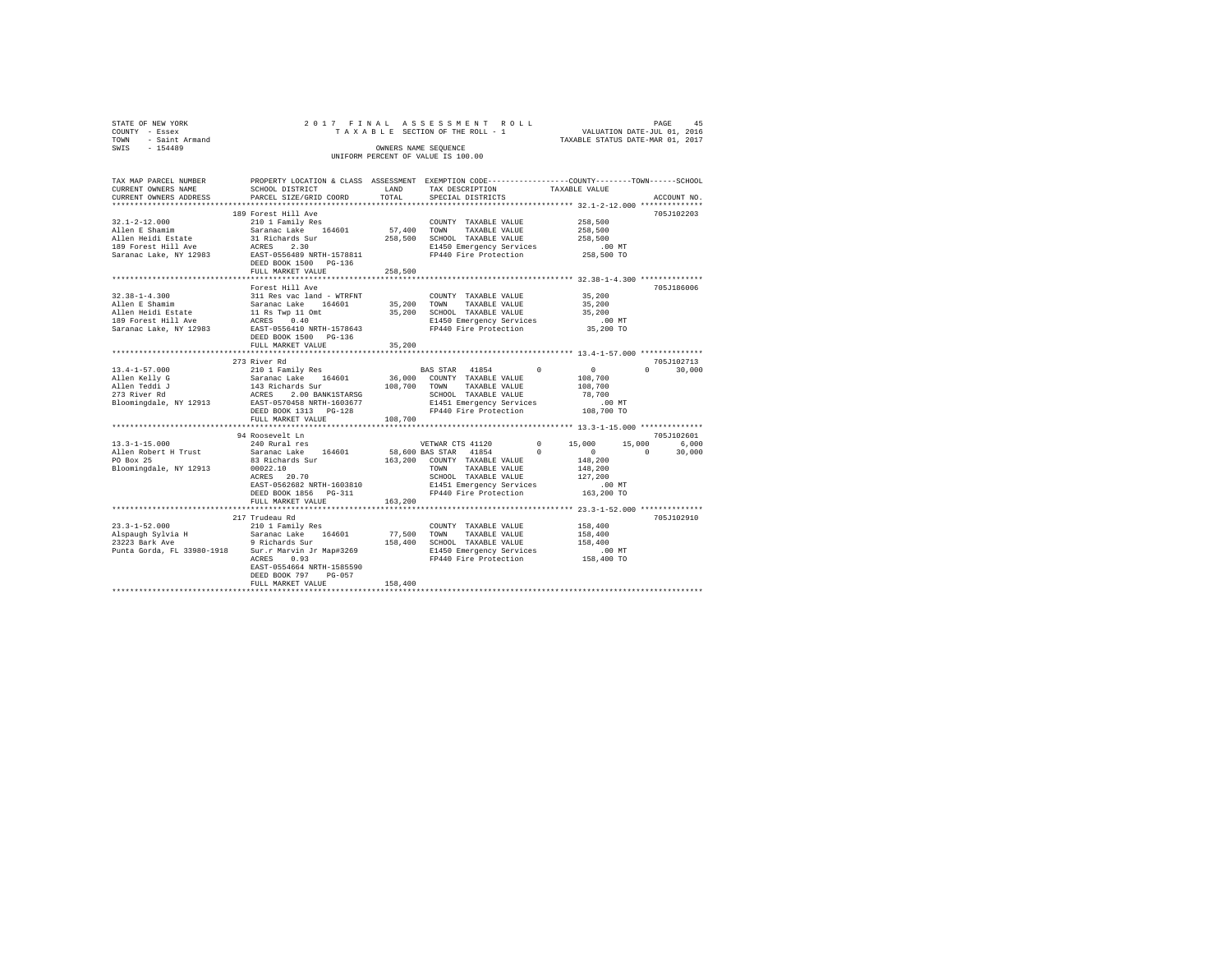| STATE OF NEW YORK<br>COUNTY - Essex                                                                                                                                                                                                                                    |                                            |          | PAGE 45 בDAGE 45 A S S B S S M B N T R O L L PAGE 45 PAGE 45 T A X A B L B SECTION OF THE ROLL - 1 TAXABLE STATUS DATE-NAR 0.1, 2016 |         |               |
|------------------------------------------------------------------------------------------------------------------------------------------------------------------------------------------------------------------------------------------------------------------------|--------------------------------------------|----------|--------------------------------------------------------------------------------------------------------------------------------------|---------|---------------|
|                                                                                                                                                                                                                                                                        |                                            |          |                                                                                                                                      |         |               |
|                                                                                                                                                                                                                                                                        |                                            |          | OWNERS NAME SEQUENCE                                                                                                                 |         |               |
| TOWN - Saint Armand<br>SWIS - 154489                                                                                                                                                                                                                                   |                                            |          | UNIFORM PERCENT OF VALUE IS 100.00                                                                                                   |         |               |
|                                                                                                                                                                                                                                                                        |                                            |          |                                                                                                                                      |         |               |
| TAX MAP PARCEL NUMBER                                                                                                                                                                                                                                                  |                                            |          | PROPERTY LOCATION & CLASS ASSESSMENT EXEMPTION CODE---------------COUNTY-------TOWN------SCHOOL                                      |         |               |
|                                                                                                                                                                                                                                                                        |                                            |          |                                                                                                                                      |         |               |
|                                                                                                                                                                                                                                                                        |                                            |          |                                                                                                                                      |         | ACCOUNT NO.   |
|                                                                                                                                                                                                                                                                        |                                            |          |                                                                                                                                      |         |               |
|                                                                                                                                                                                                                                                                        |                                            |          |                                                                                                                                      |         | 705J102203    |
|                                                                                                                                                                                                                                                                        |                                            |          |                                                                                                                                      |         |               |
|                                                                                                                                                                                                                                                                        |                                            |          |                                                                                                                                      |         |               |
|                                                                                                                                                                                                                                                                        |                                            |          |                                                                                                                                      |         |               |
|                                                                                                                                                                                                                                                                        |                                            |          |                                                                                                                                      |         |               |
|                                                                                                                                                                                                                                                                        |                                            |          |                                                                                                                                      |         |               |
|                                                                                                                                                                                                                                                                        | DEED BOOK 1500 PG-136                      |          |                                                                                                                                      |         |               |
|                                                                                                                                                                                                                                                                        | FULL MARKET VALUE                          | 258,500  |                                                                                                                                      |         |               |
|                                                                                                                                                                                                                                                                        |                                            |          |                                                                                                                                      |         |               |
|                                                                                                                                                                                                                                                                        | Forest Hill Ave                            |          |                                                                                                                                      |         | 705J186006    |
|                                                                                                                                                                                                                                                                        |                                            |          |                                                                                                                                      |         |               |
|                                                                                                                                                                                                                                                                        |                                            |          |                                                                                                                                      |         |               |
| $111\n32.38-1-4.300\nAll the 50\nAllen Schamin\nAllem Schamin\n33.200\nAllen Health State\n34.201\nAllem Schamin\n35.201\nAllem Schamin\n36.202\nAllem Schamin\n37.203\n38.204\n39.200\n30.201\n31.200\n32.201\n33.201\n34.201\n35.201\n36.202\n37.203\n38.201\n39.20$ |                                            |          |                                                                                                                                      |         |               |
|                                                                                                                                                                                                                                                                        |                                            |          |                                                                                                                                      |         |               |
|                                                                                                                                                                                                                                                                        |                                            |          |                                                                                                                                      |         |               |
|                                                                                                                                                                                                                                                                        | DEED BOOK 1500 PG-136<br>FULL MARKET VALUE | 35,200   |                                                                                                                                      |         |               |
|                                                                                                                                                                                                                                                                        |                                            |          |                                                                                                                                      |         |               |
|                                                                                                                                                                                                                                                                        |                                            |          |                                                                                                                                      |         | 705.T102713   |
|                                                                                                                                                                                                                                                                        |                                            |          |                                                                                                                                      |         | $0 \t 30.000$ |
|                                                                                                                                                                                                                                                                        |                                            |          |                                                                                                                                      |         |               |
|                                                                                                                                                                                                                                                                        |                                            |          |                                                                                                                                      |         |               |
|                                                                                                                                                                                                                                                                        |                                            |          |                                                                                                                                      |         |               |
|                                                                                                                                                                                                                                                                        |                                            |          |                                                                                                                                      |         |               |
|                                                                                                                                                                                                                                                                        |                                            |          |                                                                                                                                      |         |               |
|                                                                                                                                                                                                                                                                        | FULL MARKET VALUE 108,700                  |          |                                                                                                                                      |         |               |
|                                                                                                                                                                                                                                                                        |                                            |          |                                                                                                                                      |         |               |
|                                                                                                                                                                                                                                                                        | 94 Roosevelt Ln                            |          |                                                                                                                                      |         | 705J102601    |
| 13.3-1-15.000<br>Allen Robert H Trust                                                                                                                                                                                                                                  |                                            |          |                                                                                                                                      |         |               |
|                                                                                                                                                                                                                                                                        |                                            |          |                                                                                                                                      |         |               |
| PO Box 25                                                                                                                                                                                                                                                              | 83 Richards Sur<br>00022.10<br>ACRES 20.70 |          | 163,200 COUNTY TAXABLE VALUE<br>TOWN TAXABLE VALUE                                                                                   | 148,200 |               |
| Bloomingdale, NY 12913 00022.10                                                                                                                                                                                                                                        |                                            |          |                                                                                                                                      | 148,200 |               |
|                                                                                                                                                                                                                                                                        |                                            |          |                                                                                                                                      | 127,200 |               |
|                                                                                                                                                                                                                                                                        | EAST-0562682 NRTH-1603810                  |          |                                                                                                                                      |         |               |
|                                                                                                                                                                                                                                                                        | DEED BOOK 1856 PG-311                      |          | SCHOOL TAXABLE VALUE 127,200<br>E1451 Emergency Services 10.00 MT<br>FP440 Fire Protection 163,200 TO                                |         |               |
|                                                                                                                                                                                                                                                                        | FULL MARKET VALUE                          | 163, 200 |                                                                                                                                      |         |               |
|                                                                                                                                                                                                                                                                        |                                            |          |                                                                                                                                      |         |               |
|                                                                                                                                                                                                                                                                        | 217 Trudeau Rd                             |          |                                                                                                                                      |         | 705J102910    |
| $23.3 - 1 - 52.000$                                                                                                                                                                                                                                                    | 210 1 Family Res                           |          | COUNTY TAXABLE VALUE                                                                                                                 | 158,400 |               |
|                                                                                                                                                                                                                                                                        |                                            |          |                                                                                                                                      | 158,400 |               |
|                                                                                                                                                                                                                                                                        |                                            |          |                                                                                                                                      | 158,400 |               |
|                                                                                                                                                                                                                                                                        |                                            |          | E1450 Emergency Services .00 MT<br>FP440 Fire Protection .058,400 TO                                                                 |         |               |
|                                                                                                                                                                                                                                                                        | ACRES 0.93                                 |          |                                                                                                                                      |         |               |
|                                                                                                                                                                                                                                                                        | EAST-0554664 NRTH-1585590                  |          |                                                                                                                                      |         |               |
|                                                                                                                                                                                                                                                                        | DRED BOOK 707 - BC 057                     |          |                                                                                                                                      |         |               |

DEED BOOK 797 PG-057 FULL MARKET VALUE 158,400 \*\*\*\*\*\*\*\*\*\*\*\*\*\*\*\*\*\*\*\*\*\*\*\*\*\*\*\*\*\*\*\*\*\*\*\*\*\*\*\*\*\*\*\*\*\*\*\*\*\*\*\*\*\*\*\*\*\*\*\*\*\*\*\*\*\*\*\*\*\*\*\*\*\*\*\*\*\*\*\*\*\*\*\*\*\*\*\*\*\*\*\*\*\*\*\*\*\*\*\*\*\*\*\*\*\*\*\*\*\*\*\*\*\*\*\*\*\*\*\*\*\*\*\*\*\*\*\*\*\*\*\*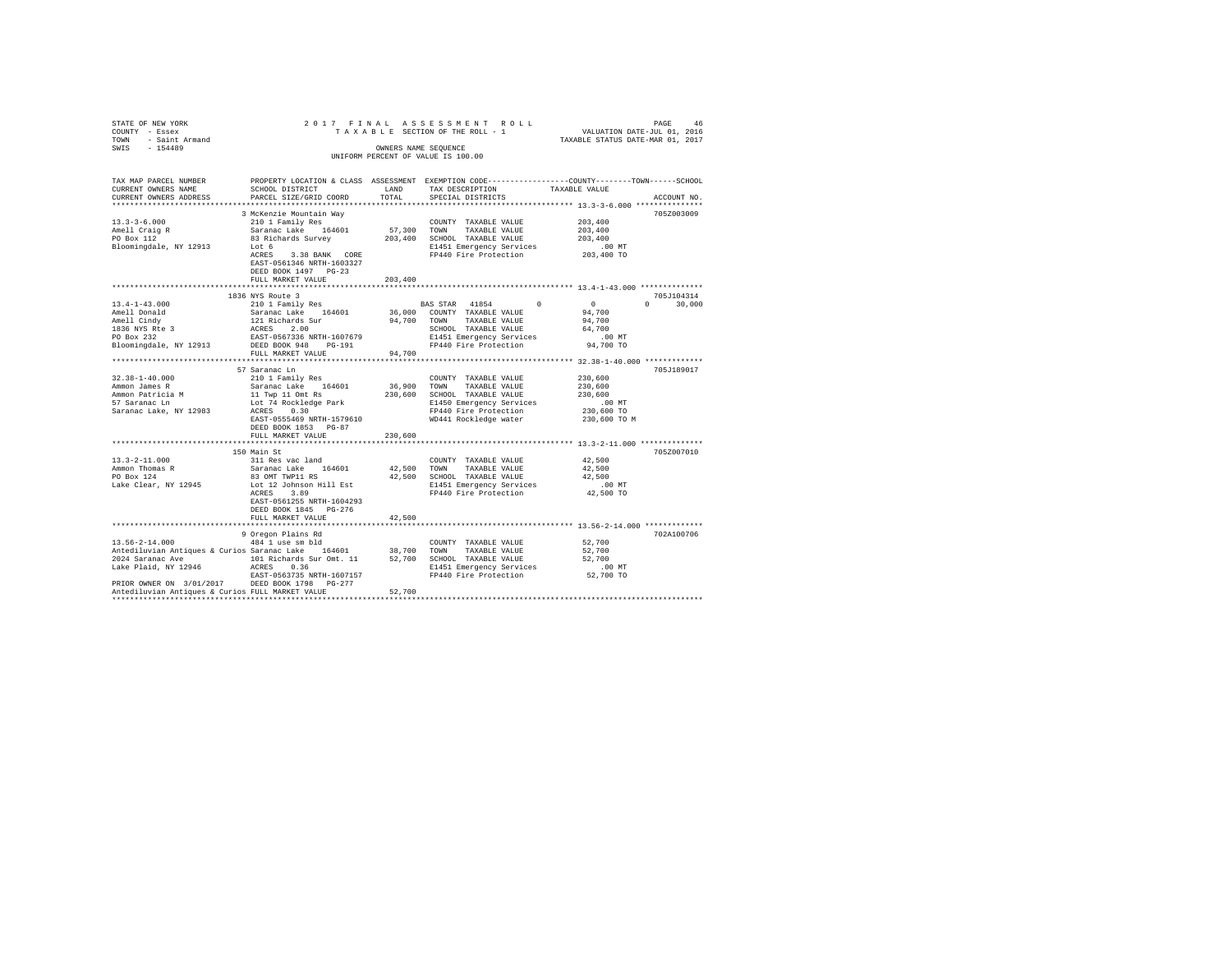| STATE OF NEW YORK<br>COUNTY - Essex                                                                | 2017 FINAL                                            |                      | TAXABLE SECTION OF THE ROLL - 1    | PAGE 46 PAGE 46<br>SECTION OF THE ROLL - 1 VALUATION DATE-JUL 01, 2016<br>TAXABLE STATUS DATE-MAR 01, 2017 |
|----------------------------------------------------------------------------------------------------|-------------------------------------------------------|----------------------|------------------------------------|------------------------------------------------------------------------------------------------------------|
| TOWN - Saint Armand                                                                                |                                                       |                      |                                    |                                                                                                            |
| SWIS - 154489                                                                                      |                                                       | OWNERS NAME SEQUENCE |                                    |                                                                                                            |
|                                                                                                    |                                                       |                      | UNIFORM PERCENT OF VALUE IS 100.00 |                                                                                                            |
|                                                                                                    |                                                       |                      |                                    |                                                                                                            |
| TAX MAP PARCEL NUMBER                                                                              |                                                       |                      |                                    | PROPERTY LOCATION & CLASS ASSESSMENT EXEMPTION CODE----------------COUNTY-------TOWN-----SCHOOL            |
| CURRENT OWNERS NAME                                                                                | SCHOOL DISTRICT                                       | LAND                 | TAX DESCRIPTION                    | TAXABLE VALUE                                                                                              |
| CURRENT OWNERS ADDRESS                                                                             | PARCEL SIZE/GRID COORD                                | TOTAL                | SPECIAL DISTRICTS                  | ACCOUNT NO.                                                                                                |
|                                                                                                    |                                                       |                      |                                    |                                                                                                            |
|                                                                                                    | 3 McKenzie Mountain Way                               |                      |                                    | 705Z003009                                                                                                 |
| $13.3 - 3 - 6.000$                                                                                 | 210 1 Family Res                                      |                      | COUNTY TAXABLE VALUE               | 203,400                                                                                                    |
|                                                                                                    | Saranac Lake 164601                                   | 57,300 TOWN          | TAXABLE VALUE                      | 203,400                                                                                                    |
| Amell Craig R<br>PO Box 112                                                                        | 83 Richards Survey                                    |                      | 203,400 SCHOOL TAXABLE VALUE       | 203,400                                                                                                    |
| Bloomingdale, NY 12913                                                                             | Lot 6                                                 |                      | E1451 Emergency Services           | $.00$ MT                                                                                                   |
|                                                                                                    | ACRES 3.38 BANK CORE                                  |                      | FP440 Fire Protection              | 203,400 TO                                                                                                 |
|                                                                                                    | EAST-0561346 NRTH-1603327                             |                      |                                    |                                                                                                            |
|                                                                                                    | DEED BOOK 1497 PG-23                                  |                      |                                    |                                                                                                            |
|                                                                                                    | FULL MARKET VALUE                                     | 203,400              |                                    |                                                                                                            |
|                                                                                                    |                                                       |                      |                                    |                                                                                                            |
| $13.4 - 1 - 43.000$                                                                                | 1836 NYS Route 3<br>210 1 Family Res                  |                      | BAS STAR 41854 0                   | 705J104314<br>$\sim$ 0<br>$\Omega$ and $\Omega$<br>30,000                                                  |
|                                                                                                    |                                                       |                      | 36,000 COUNTY TAXABLE VALUE        | 94,700                                                                                                     |
| Amell Donald<br>Amell Cindy                                                                        | Saranac Lake 164601<br>121 Richards Sur<br>ACRES 2.00 | 94.700 TOWN          | TAXABLE VALUE                      | 94,700                                                                                                     |
|                                                                                                    |                                                       |                      | SCHOOL TAXABLE VALUE               | 64,700                                                                                                     |
| 1836 NYS Rte 3<br>PO Box 232                                                                       | EAST-0567336 NRTH-1607679                             |                      | E1451 Emergency Services           | $.00$ MT                                                                                                   |
| Bloomingdale, NY 12913                                                                             | DEED BOOK 948 PG-191                                  |                      | FP440 Fire Protection              | 94,700 TO                                                                                                  |
|                                                                                                    | FULL MARKET VALUE                                     | 94,700               |                                    |                                                                                                            |
|                                                                                                    |                                                       |                      |                                    |                                                                                                            |
|                                                                                                    | 57 Saranac Ln                                         |                      |                                    | 705J189017                                                                                                 |
| $32.38 - 1 - 40.000$                                                                               | 210 1 Family Res                                      |                      | COUNTY TAXABLE VALUE               | 230,600                                                                                                    |
| Ammon James R                                                                                      | Saranac Lake 164601                                   | 36,900 TOWN          | TAXABLE VALUE                      | 230,600                                                                                                    |
| Ammon Patricia M<br>57 Saranac Ln                                                                  | 11 Twp 11 Omt Rs                                      |                      | 230,600 SCHOOL TAXABLE VALUE       | 230,600                                                                                                    |
|                                                                                                    | Lot 74 Rockledge Park<br>ACRES 0.30                   |                      | E1450 Emergency Services           | .00 MT                                                                                                     |
| Saranac Lake, NY 12983                                                                             |                                                       |                      | FP440 Fire Protection              | 230,600 TO                                                                                                 |
|                                                                                                    | EAST-0555469 NRTH-1579610                             |                      | WD441 Rockledge water              | 230,600 TO M                                                                                               |
|                                                                                                    | DEED BOOK 1853 PG-87                                  |                      |                                    |                                                                                                            |
|                                                                                                    | FULL MARKET VALUE                                     | 230,600              |                                    |                                                                                                            |
|                                                                                                    | 150 Main St                                           |                      |                                    | 705Z007010                                                                                                 |
| $13.3 - 2 - 11.000$                                                                                | 311 Res vac land                                      |                      | COUNTY TAXABLE VALUE               | 42,500                                                                                                     |
|                                                                                                    | Saranac Lake 164601                                   | 42.500 TOWN          | TAXABLE VALUE                      | 42.500                                                                                                     |
| Ammon Thomas R<br>PO Box 124                                                                       | 83 OMT TWP11 RS                                       |                      | 42,500 SCHOOL TAXABLE VALUE        | 42,500                                                                                                     |
| Lake Clear, NY 12945                                                                               | Lot 12 Johnson Hill Est                               |                      | E1451 Emergency Services           | $.00$ MT                                                                                                   |
|                                                                                                    | ACRES 3.89                                            |                      | FP440 Fire Protection              | 42,500 TO                                                                                                  |
|                                                                                                    | EAST-0561255 NRTH-1604293                             |                      |                                    |                                                                                                            |
|                                                                                                    | DEED BOOK 1845 PG-276                                 |                      |                                    |                                                                                                            |
|                                                                                                    | FULL MARKET VALUE                                     | 42,500               |                                    |                                                                                                            |
|                                                                                                    |                                                       |                      |                                    |                                                                                                            |
|                                                                                                    | 9 Oregon Plains Rd                                    |                      |                                    | 702A100706                                                                                                 |
| 13.56-2-14.000                                                                                     | 484 1 use sm bld                                      |                      | COUNTY TAXABLE VALUE               | 52,700                                                                                                     |
| Antediluvian Antiques & Curios Saranac Lake 164601                                                 |                                                       |                      | 38,700 TOWN TAXABLE VALUE          | 52,700                                                                                                     |
| 2024 Saranac Ave 101 Richards Sur Omt. 11                                                          |                                                       |                      | 52,700 SCHOOL TAXABLE VALUE        | 52,700                                                                                                     |
| Lake Plaid, NY 12946                                                                               | ACRES 0.36                                            |                      | E1451 Emergency Services           | $.00$ MT                                                                                                   |
|                                                                                                    | EAST-0563735 NRTH-1607157                             |                      | FP440 Fire Protection              | 52,700 TO                                                                                                  |
| PRIOR OWNER ON 3/01/2017 DEED BOOK 1798 PG-277<br>Antediluvian Antiques & Curios FULL MARKET VALUE |                                                       | 52,700               |                                    |                                                                                                            |
|                                                                                                    |                                                       |                      |                                    |                                                                                                            |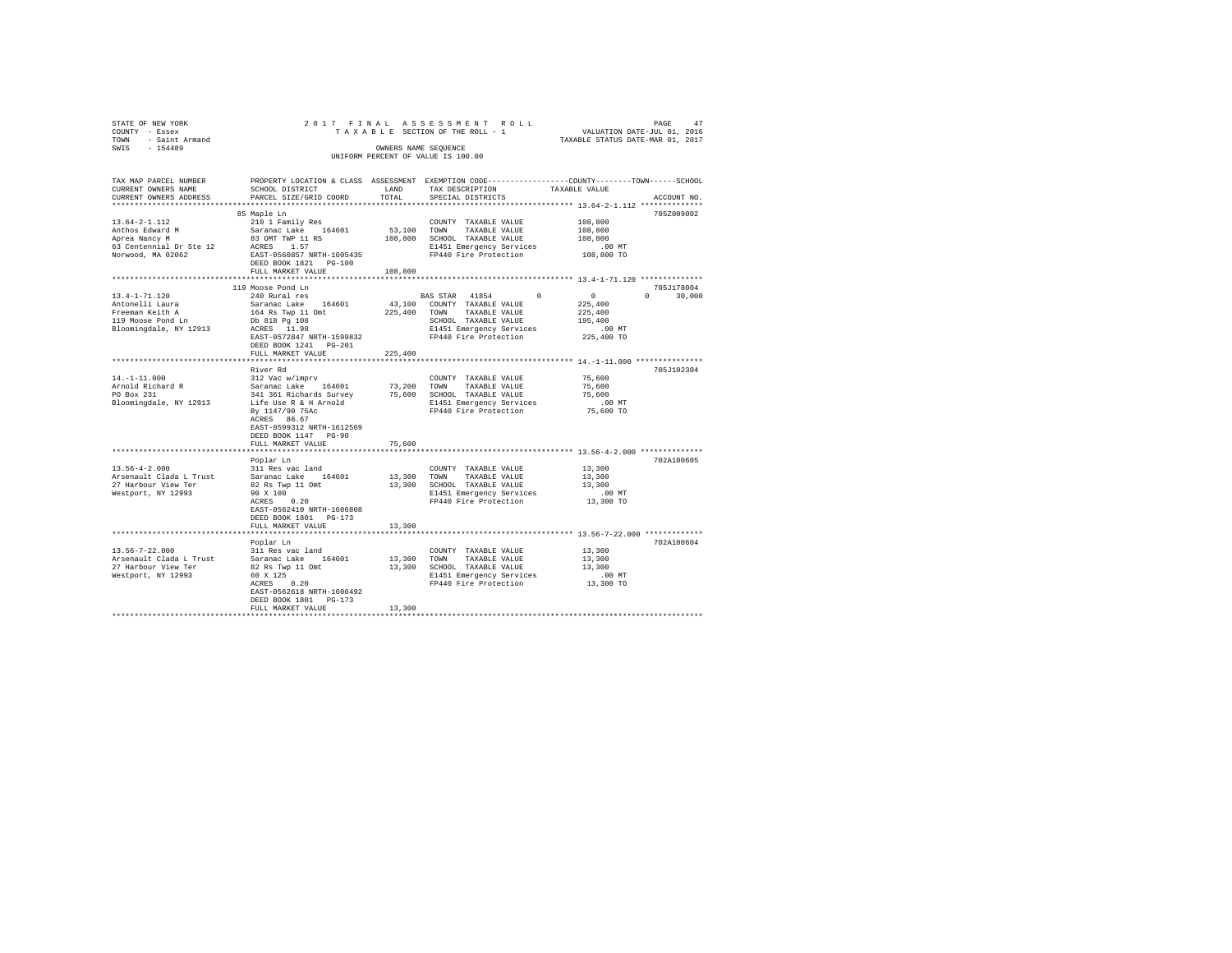| STATE OF NEW YORK<br>COUNTY - Essex<br>TOWN - Saint Armand<br>SWIS - 154489                              |                                                                                                                                                                                                                                                                                                                                                                      |         | OWNERS NAME SEQUENCE<br>UNIFORM PERCENT OF VALUE IS 100.00                                                                                                                                                                                                                                                                                                                                                                                                                                                                      | $\begin{tabular}{ccccc} 2 & 0 & 1 & 7 & F II N AL & A S S E S S S M E N T & R O L L & VALUATION DATEM DATOM DATTOM DATTOM DATT-ULU 01, 2016 & 2017 & 0147 & 01017 \end{tabular}$ |  |  |  |
|----------------------------------------------------------------------------------------------------------|----------------------------------------------------------------------------------------------------------------------------------------------------------------------------------------------------------------------------------------------------------------------------------------------------------------------------------------------------------------------|---------|---------------------------------------------------------------------------------------------------------------------------------------------------------------------------------------------------------------------------------------------------------------------------------------------------------------------------------------------------------------------------------------------------------------------------------------------------------------------------------------------------------------------------------|----------------------------------------------------------------------------------------------------------------------------------------------------------------------------------|--|--|--|
| TAX MAP PARCEL NUMBER<br>CURRENT OWNERS NAME                                                             | CURRENT OWNERS ADDRESS PARCEL SIZE/GRID COORD TOTAL SPECIAL DISTRICTS                                                                                                                                                                                                                                                                                                |         |                                                                                                                                                                                                                                                                                                                                                                                                                                                                                                                                 | PROPERTY LOCATION & CLASS ASSESSMENT EXEMPTION CODE---------------COUNTY-------TOWN------SCHOOL<br>ACCOUNT NO.                                                                   |  |  |  |
| $13.64 - 2 - 1.112$<br>Anthos Edward M<br>Aprea Nancy M<br>63 Centennial Dr Ste 12<br>Norwood, MA 02062  | 85 Maple Ln<br>210 1 Family Res<br>Saranac Lake 164601 53,100 TOWN TAXABLE VALUE<br>83 ONT TWP 11 RS 108,800 SCHOOL TAXABLE VALUE<br>ACRES 1.57 1185 108,800 SCHOOL TAXABLE VALUE<br>ACRES 1.57<br>ACRES 1.57<br>EAST-0560857 NRTH-1605435<br>DEED BOOK 1821 PG-100<br>FULL MARKET VALUE 108,800                                                                     |         |                                                                                                                                                                                                                                                                                                                                                                                                                                                                                                                                 | 705Z009002<br>108,800<br>108,800<br>108,800                                                                                                                                      |  |  |  |
|                                                                                                          |                                                                                                                                                                                                                                                                                                                                                                      |         |                                                                                                                                                                                                                                                                                                                                                                                                                                                                                                                                 |                                                                                                                                                                                  |  |  |  |
| $13.4 - 1 - 71.120$<br>Antonelli Laura<br>Freeman Keith A<br>119 Moose Pond Ln<br>Bloomingdale, NY 12913 | 119 Moose Pond Ln<br>240 Rural res<br>Saranac Lake 164601<br>164 Rs Twp 11 Omt 225,400 TOWN TAXABLE VALUE<br>Db 818 Pg 108<br>ACRES 11.98<br>EAST-0572847 NRTH-1599832<br>DEED BOOK 1241    PG-201<br>FULL MARKET VALUE                                                                                                                                              | 225,400 | $\begin{tabular}{ccccc} \texttt{X} & \texttt{S} & \texttt{S} & \texttt{S} & \texttt{S} & \texttt{S} & \texttt{S} & \texttt{S} & \texttt{S} & \texttt{S} & \texttt{S} & \texttt{S} & \texttt{S} & \texttt{S} & \texttt{S} & \texttt{S} & \texttt{S} & \texttt{S} & \texttt{S} & \texttt{S} & \texttt{S} & \texttt{S} & \texttt{S} & \texttt{S} & \texttt{S} & \texttt{S} & \texttt{S} & \texttt{S} & \texttt{S} & \texttt{S} & \$<br>SCHOOL TAXABLE VALUE<br>E1451 Emergency Services .00 MT<br>FP440 Fire Protection 225,400 TO | 705J178004<br>$0 \t 30,000$<br>195,400                                                                                                                                           |  |  |  |
|                                                                                                          |                                                                                                                                                                                                                                                                                                                                                                      |         |                                                                                                                                                                                                                                                                                                                                                                                                                                                                                                                                 |                                                                                                                                                                                  |  |  |  |
| 14.-1-11.000<br>Arnold Richard R<br>PO Box 231<br>Bloomingdale, NY 12913                                 | River Rd<br>312 Vac w/imprv<br>Saranac Lake 164601 73,200 COWN TAXABLE VALUE<br>341 361 Richards Survey 75,600 SCHOOL TAXABLE VALUE<br>241 361 Richards Survey 75,600 SCHOOL TAXABLE VALUE<br>EP 114790 75AC<br>EP 1440 Fire Protection<br>RCRES 86.67<br>RCRES 86.67<br>EAST-0599312 NRTH-1612569<br>DEED BOOK 1147 PG-90                                           |         | COUNTY TAXABLE VALUE                                                                                                                                                                                                                                                                                                                                                                                                                                                                                                            | 705J102304<br>75,600<br>75,600<br>75,600<br>$.00$ MT<br>75,600 TO                                                                                                                |  |  |  |
|                                                                                                          | FULL MARKET VALUE                                                                                                                                                                                                                                                                                                                                                    | 75,600  |                                                                                                                                                                                                                                                                                                                                                                                                                                                                                                                                 |                                                                                                                                                                                  |  |  |  |
|                                                                                                          |                                                                                                                                                                                                                                                                                                                                                                      |         |                                                                                                                                                                                                                                                                                                                                                                                                                                                                                                                                 |                                                                                                                                                                                  |  |  |  |
| $13.56 - 4 - 2.000$<br>Arsenault Clada L Trust<br>27 Harbour View Ter<br>Westport, NY 12993              | Poplar Ln<br>311 Res vac land<br>Saranac Lake 164601<br>902 Rando June 1977 - 1977 - 1978 SCHOOL TAXABLE VALUE<br>90 X 100<br>RESS 0.20 R1451 Emergency Services<br>RCRES 0.20<br>90 X 100<br>EAST-0562410 NRTH-1606808<br>DEED BOOK 1801    PG-173<br>FULL MARKET VALUE                                                                                             | 13,300  | COUNTY TAXABLE VALUE<br>13,300 TOWN TAXABLE VALUE<br>COUNTY TAXABLE VALUE 13,300                                                                                                                                                                                                                                                                                                                                                                                                                                                | 702A100605<br>13,300<br>13,300<br>.00 MT.<br>13,300 TO                                                                                                                           |  |  |  |
|                                                                                                          |                                                                                                                                                                                                                                                                                                                                                                      |         |                                                                                                                                                                                                                                                                                                                                                                                                                                                                                                                                 | *********************** 13.56-7-22.000 *************                                                                                                                             |  |  |  |
| 13.56-7-22.000<br>Arsenault Clada L Trust<br>27 Harbour View Ter<br>Westport, NY 12993                   | Poplar Ln<br>311 Res vac land<br>Saranac Lake 164601<br>91 - 1920 - 1930 - 1930 - 1940 - 1940 - 1940 - 1940 - 1940 - 1940 - 1940 - 1940 - 1940 - 1940 - 1940 - 1940 - 1<br> 1950 - 1950 - 1940 - 1940 - 1940 - 1940 - 1940 - 1940 - 1940 - 1940 - 1940 - 1940 - 1940 - 1940 - 1940 - 1940<br>EAST-0562618 NRTH-1606492<br>DEED BOOK 1801 PG-173<br>FULL MARKET VALUE | 13,300  | COUNTY TAXABLE VALUE<br>13,300 TOWN TAXABLE VALUE                                                                                                                                                                                                                                                                                                                                                                                                                                                                               | 702A100604<br>13,300<br>13,300                                                                                                                                                   |  |  |  |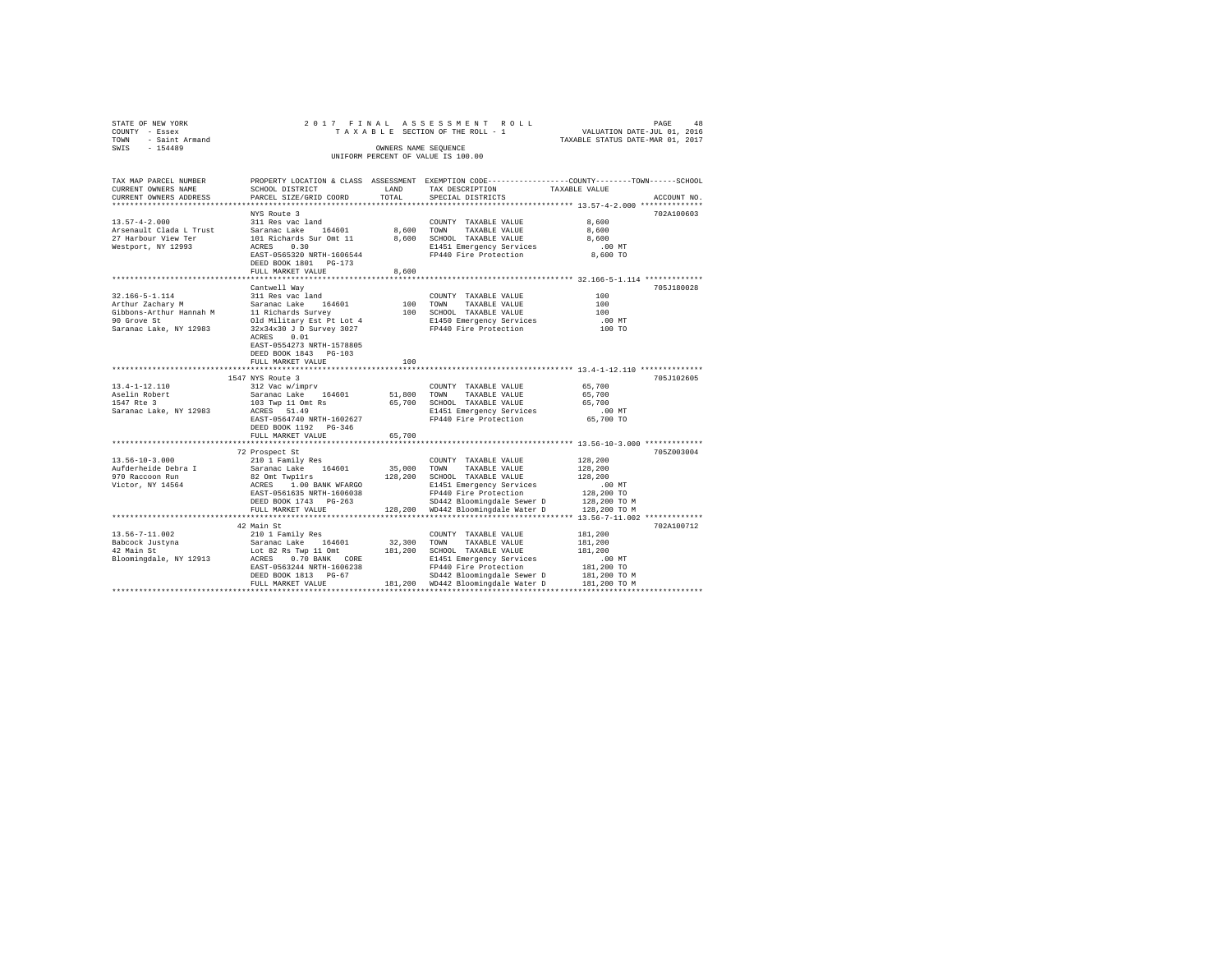| STATE OF NEW YORK<br>COUNTY - Essex<br>TOWN - Saint Armand<br>SWIS - 154489 |                                                                                              | OWNERS NAME SEQUENCE | 2017 FINAL ASSESSMENT ROLL<br>UNIFORM PERCENT OF VALUE IS 100.00                                                                                                                                                                                                                                                                                                                                                                                                        | PAGE<br>48<br>T A X A B L E SECTION OF THE ROLL - 1 VALUATION DATE-JUL 01, 2016<br>TAXABLE STATUS DATE-MAR 01, 2017            |  |
|-----------------------------------------------------------------------------|----------------------------------------------------------------------------------------------|----------------------|-------------------------------------------------------------------------------------------------------------------------------------------------------------------------------------------------------------------------------------------------------------------------------------------------------------------------------------------------------------------------------------------------------------------------------------------------------------------------|--------------------------------------------------------------------------------------------------------------------------------|--|
| TAX MAP PARCEL NUMBER<br>CURRENT OWNERS NAME<br>CURRENT OWNERS ADDRESS      | SCHOOL DISTRICT<br>PARCEL SIZE/GRID COORD                                                    | LAND<br>TOTAL        | TAX DESCRIPTION<br>SPECIAL DISTRICTS                                                                                                                                                                                                                                                                                                                                                                                                                                    | PROPERTY LOCATION & CLASS ASSESSMENT EXEMPTION CODE---------------COUNTY-------TOWN-----SCHOOL<br>TAXABLE VALUE<br>ACCOUNT NO. |  |
|                                                                             |                                                                                              |                      |                                                                                                                                                                                                                                                                                                                                                                                                                                                                         |                                                                                                                                |  |
|                                                                             | NYS Route 3                                                                                  |                      |                                                                                                                                                                                                                                                                                                                                                                                                                                                                         | 702A100603                                                                                                                     |  |
|                                                                             |                                                                                              |                      | COUNTY TAXABLE VALUE                                                                                                                                                                                                                                                                                                                                                                                                                                                    | 8,600                                                                                                                          |  |
|                                                                             |                                                                                              |                      | 8,600 TOWN TAXABLE VALUE                                                                                                                                                                                                                                                                                                                                                                                                                                                | 8,600                                                                                                                          |  |
|                                                                             |                                                                                              |                      | 8,600 SCHOOL TAXABLE VALUE                                                                                                                                                                                                                                                                                                                                                                                                                                              | 8,600                                                                                                                          |  |
| Westport, NY 12993                                                          | ACRES 0.30                                                                                   |                      | E1451 Emergency Services                                                                                                                                                                                                                                                                                                                                                                                                                                                | .00 MT                                                                                                                         |  |
|                                                                             | EAST-0565320 NRTH-1606544<br>DEED BOOK 1801 PG-173                                           |                      | FP440 Fire Protection                                                                                                                                                                                                                                                                                                                                                                                                                                                   | 8,600 TO                                                                                                                       |  |
|                                                                             | FULL MARKET VALUE                                                                            | 8,600                |                                                                                                                                                                                                                                                                                                                                                                                                                                                                         |                                                                                                                                |  |
|                                                                             |                                                                                              |                      |                                                                                                                                                                                                                                                                                                                                                                                                                                                                         |                                                                                                                                |  |
|                                                                             | Cantwell Way                                                                                 |                      |                                                                                                                                                                                                                                                                                                                                                                                                                                                                         | 705J180028                                                                                                                     |  |
| 32.166-5-1.114                                                              | 311 Res vac land                                                                             |                      | COUNTY TAXABLE VALUE<br>100 TOWN TAXABLE VALUE<br>COUNTY TAXABLE VALUE                                                                                                                                                                                                                                                                                                                                                                                                  | 100                                                                                                                            |  |
| Arthur Zachary M                                                            | Saranac Lake 164601                                                                          |                      |                                                                                                                                                                                                                                                                                                                                                                                                                                                                         | 100                                                                                                                            |  |
|                                                                             | Gibbons-Arthur Hannah M 11 Richards Survey                                                   |                      | 100 SCHOOL TAXABLE VALUE                                                                                                                                                                                                                                                                                                                                                                                                                                                | 100                                                                                                                            |  |
| 90 Grove St<br>Saranac Lake, NY 12983                                       | Old Military Est Pt Lot 4<br>32x34x30 J D Survey 3027                                        |                      | E1450 Emergency Services<br>FP440 Fire Protection                                                                                                                                                                                                                                                                                                                                                                                                                       | .00 MT<br>100 TO                                                                                                               |  |
|                                                                             | ACRES 0.01                                                                                   |                      |                                                                                                                                                                                                                                                                                                                                                                                                                                                                         |                                                                                                                                |  |
|                                                                             | EAST-0554273 NRTH-1578805                                                                    |                      |                                                                                                                                                                                                                                                                                                                                                                                                                                                                         |                                                                                                                                |  |
|                                                                             | DEED BOOK 1843 PG-103                                                                        |                      |                                                                                                                                                                                                                                                                                                                                                                                                                                                                         |                                                                                                                                |  |
|                                                                             | FULL MARKET VALUE                                                                            | 100                  |                                                                                                                                                                                                                                                                                                                                                                                                                                                                         |                                                                                                                                |  |
|                                                                             |                                                                                              |                      |                                                                                                                                                                                                                                                                                                                                                                                                                                                                         |                                                                                                                                |  |
|                                                                             | 1547 NYS Route 3                                                                             |                      |                                                                                                                                                                                                                                                                                                                                                                                                                                                                         | 705J102605                                                                                                                     |  |
| $13.4 - 1 - 12.110$<br>Aselin Robert                                        | 312 Vac w/imprv<br>Saranac Lake 164601                                                       |                      | COUNTY TAXABLE VALUE<br>51,800 TOWN TAXABLE VALUE                                                                                                                                                                                                                                                                                                                                                                                                                       | 65,700<br>65,700                                                                                                               |  |
| 1547 Rte 3                                                                  |                                                                                              |                      | 65,700 SCHOOL TAXABLE VALUE                                                                                                                                                                                                                                                                                                                                                                                                                                             | 65,700                                                                                                                         |  |
| Saranac Lake, NY 12983                                                      | 103 Twp 11 Omt Rs<br>ACRES 51.49                                                             |                      | E1451 Emergency Services                                                                                                                                                                                                                                                                                                                                                                                                                                                | $.00$ MT                                                                                                                       |  |
|                                                                             | EAST-0564740 NRTH-1602627                                                                    |                      | FP440 Fire Protection                                                                                                                                                                                                                                                                                                                                                                                                                                                   | 65,700 TO                                                                                                                      |  |
|                                                                             | DEED BOOK 1192    PG-346                                                                     |                      |                                                                                                                                                                                                                                                                                                                                                                                                                                                                         |                                                                                                                                |  |
|                                                                             | FULL MARKET VALUE                                                                            | 65,700               |                                                                                                                                                                                                                                                                                                                                                                                                                                                                         |                                                                                                                                |  |
|                                                                             |                                                                                              |                      |                                                                                                                                                                                                                                                                                                                                                                                                                                                                         |                                                                                                                                |  |
| $13.56 - 10 - 3.000$                                                        | 72 Prospect St<br>210 1 Family Res                                                           |                      | COUNTY TAXABLE VALUE                                                                                                                                                                                                                                                                                                                                                                                                                                                    | 705Z003004<br>128,200                                                                                                          |  |
| Aufderheide Debra I                                                         | Saranac Lake 164601                                                                          |                      |                                                                                                                                                                                                                                                                                                                                                                                                                                                                         | 128,200                                                                                                                        |  |
| 970 Raccoon Run                                                             | Saranac Lake 164601 35,000 TOWN TAXABLE VALUE<br>82 Omt Twp11rs 128,200 SCHOOL TAXABLE VALUE |                      |                                                                                                                                                                                                                                                                                                                                                                                                                                                                         | 128,200                                                                                                                        |  |
| Victor, NY 14564                                                            | ACRES 1.00 BANK WFARGO                                                                       |                      | $1451\ \mbox{Energy Services}\mbox{1461} \begin{tabular}{lcccc} \multicolumn{2}{c}{\textbf{Energency Services}} & \multicolumn{2}{c}{0.0}\ \multicolumn{2}{c}{\textbf{NT}} & \multicolumn{2}{c}{\textbf{100}} \\ \multicolumn{2}{c}{\textbf{FP440 Fire Protocolion}} & \multicolumn{2}{c}{\textbf{128,200 TO M}} \\ \multicolumn{2}{c}{\textbf{128,200 TO M}} & \multicolumn{2}{c}{\textbf{128,200 TO M}} \\ \multicolumn{2}{c}{\textbf{128,200 TO M}} & \multicolumn{$ |                                                                                                                                |  |
|                                                                             | EAST-0561635 NRTH-1606038                                                                    |                      |                                                                                                                                                                                                                                                                                                                                                                                                                                                                         |                                                                                                                                |  |
|                                                                             | DEED BOOK 1743 PG-263                                                                        |                      |                                                                                                                                                                                                                                                                                                                                                                                                                                                                         |                                                                                                                                |  |
|                                                                             | FULL MARKET VALUE                                                                            |                      |                                                                                                                                                                                                                                                                                                                                                                                                                                                                         |                                                                                                                                |  |
|                                                                             |                                                                                              |                      |                                                                                                                                                                                                                                                                                                                                                                                                                                                                         |                                                                                                                                |  |
| 13.56-7-11.002                                                              | 42 Main St<br>210 1 Family Res                                                               |                      | COUNTY TAXABLE VALUE                                                                                                                                                                                                                                                                                                                                                                                                                                                    | 702A100712<br>181,200                                                                                                          |  |
|                                                                             | Saranac Lake 164601                                                                          |                      | 32,300 TOWN TAXABLE VALUE                                                                                                                                                                                                                                                                                                                                                                                                                                               | 181,200                                                                                                                        |  |
|                                                                             |                                                                                              |                      | Lot 82 Rs Twp 11 Omt 181,200 SCHOOL TAXABLE VALUE                                                                                                                                                                                                                                                                                                                                                                                                                       | 181,200                                                                                                                        |  |
| Babcock Justyna                                                             |                                                                                              |                      |                                                                                                                                                                                                                                                                                                                                                                                                                                                                         |                                                                                                                                |  |
| $42$ Main St<br>Bloomingdale, NY 12913                                      |                                                                                              |                      | E1451 Emergency Services                                                                                                                                                                                                                                                                                                                                                                                                                                                | $.00$ MT                                                                                                                       |  |
|                                                                             | ACRES 0.70 BANK CORE<br>EAST-0563244 NRTH-1606238                                            |                      |                                                                                                                                                                                                                                                                                                                                                                                                                                                                         | 181,200 TO                                                                                                                     |  |
|                                                                             | DEED BOOK 1813 PG-67<br>FULL MARKET VALUE                                                    |                      | FP440 Fire Protection<br>SD442 Bloomingdale Sewer D<br>181,200 WD442 Bloomingdale Water D                                                                                                                                                                                                                                                                                                                                                                               | 181,200 TO M<br>181,200 TO M                                                                                                   |  |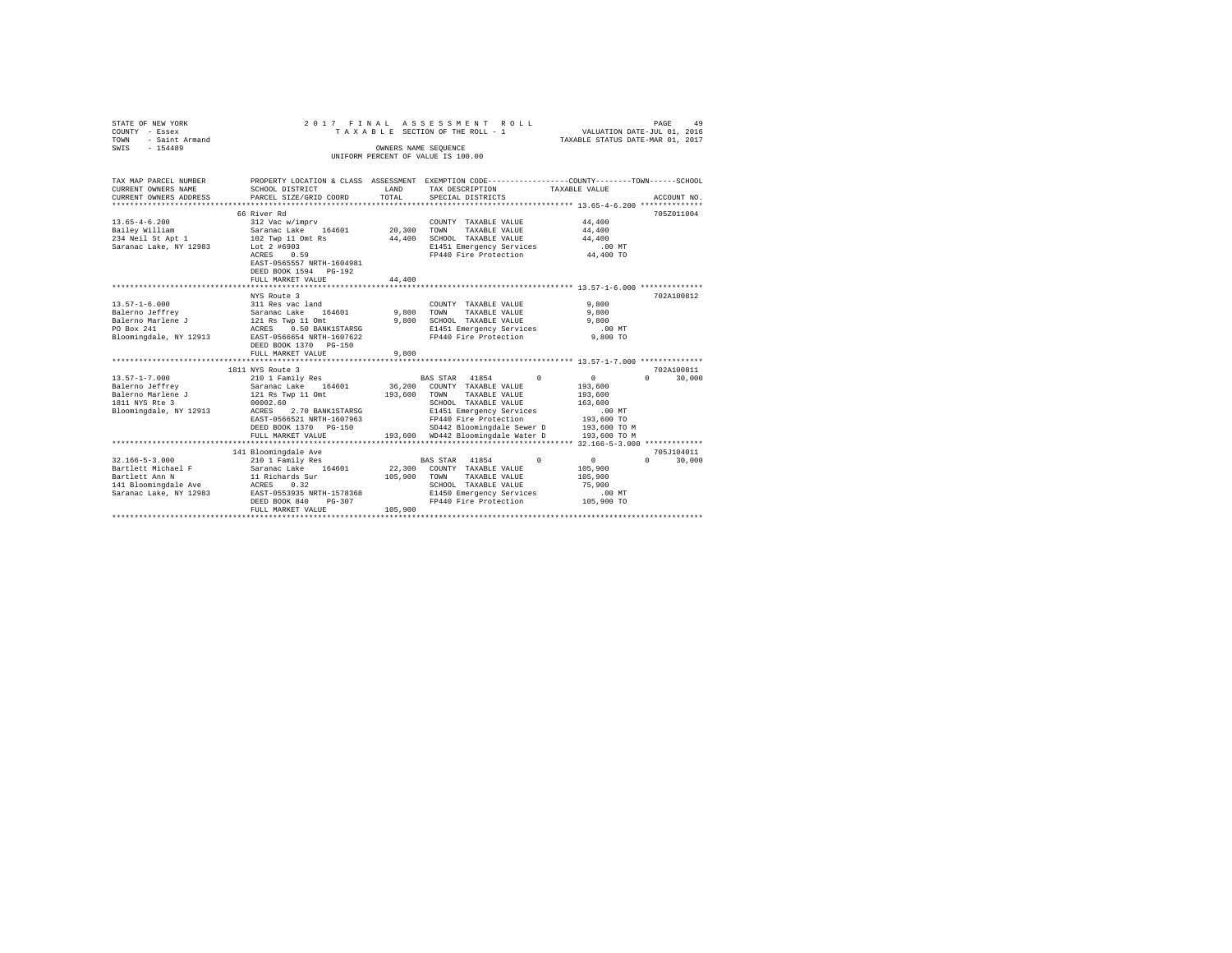| VALUATION DATE-JUL 01, 2016<br>TAXABLE STATUS DATE-MAR 01, 2017<br>TAXABLE SECTION OF THE ROLL - 1<br><b>TOWN</b><br>- Saint Armand<br>SWIS - 154489<br>OWNERS NAME SEQUENCE<br>UNIFORM PERCENT OF VALUE IS 100.00<br>PROPERTY LOCATION & CLASS ASSESSMENT EXEMPTION CODE---------------COUNTY-------TOWN------SCHOOL<br>TAX MAP PARCEL NUMBER<br>CURRENT OWNERS NAME<br>SCHOOL DISTRICT<br>LAND<br>TAX DESCRIPTION<br>TAXABLE VALUE<br>TOTAL<br>CURRENT OWNERS ADDRESS<br>PARCEL SIZE/GRID COORD<br>SPECIAL DISTRICTS<br>ACCOUNT NO.<br>66 River Rd<br>705Z011004<br>44,400<br>$13.65 - 4 - 6.200$<br>312 Vac w/imprv<br>COUNTY TAXABLE VALUE<br>Bailey William<br>Saranac Lake 164601<br>20.300 TOWN<br>44,400<br>TAXABLE VALUE<br>234 Neil St Apt 1<br>102 Twp 11 Omt Rs<br>Lot 2 #6903<br>44,400 SCHOOL TAXABLE VALUE<br>44,400<br>Saranac Lake, NY 12983<br>E1451 Emergency Services<br>$.00$ MT<br>FP440 Fire Protection 44,400 TO<br>ACRES 0.59<br>EAST-0565557 NRTH-1604981<br>DEED BOOK 1594 PG-192<br>44,400<br>FULL MARKET VALUE<br>***************************<br>702A100812<br>NYS Route 3<br>9,800<br>COUNTY TAXABLE VALUE<br>9,800 TOWN TAXABLE VALUE<br>9,800<br>9,800 SCHOOL TAXABLE VALUE<br>9,800<br>E1451 Emergency Services<br>FP440 Fire Protection<br>.00 MT<br>Bloomingdale, NY 12913<br>9,800 TO<br>EAST-0566654 NRTH-1607622<br>DEED BOOK 1370 PG-150<br>9,800<br>FULL MARKET VALUE<br>702A100811<br>1811 NYS Route 3<br>$[13.57-1-7.000 \qquad 210 \text{ 1 Family Res}$<br>Balerno Jeffrey Saranac Lake 164601<br>Balerno Marlene J $[12] \text{ Rs Type } 11 \text{ 0mt}$ $[1811 \text{ WIS } \text{Rte } 3 \qquad 00002.60$<br>BAS STAR 41854 0<br>$\sim$ 0<br>$\Omega$<br>30,000<br>36,200<br>193,600<br>COUNTY TAXABLE VALUE<br>193,600<br>TOWN TAXABLE VALUE<br>193,600<br>SCHOOL TAXABLE VALUE<br>163,600<br>Bloomingdale, NY 12913 ACRES 2.70 BANK1STARSG<br>E1451 Emergency Services<br>$.00$ MT<br>FP440 Fire Protection<br>EAST-0566521 NRTH-1607963<br>193,600 TO<br>SD442 Bloomingdale Sewer D 193,600 TO M<br>DEED BOOK 1370 PG-150<br>193,600 WD442 Bloomingdale Water D<br>FULL MARKET VALUE<br>193,600 TO M<br>141 Bloomingdale Ave<br>705J104011<br>$\sim$ 0<br>$32.166 - 5 - 3.000$<br>210 1 Family Res<br>BAS STAR 41854<br>$\Omega$<br>$\mathbf{0}$<br>30,000<br>22,300 COUNTY TAXABLE VALUE<br>Bartlett Michael F<br>Bartlett Ann N<br>Saranac Lake 164601<br>11 Richards Sur<br>105,900<br>Bartlett Ann N<br>105,900 TOWN TAXABLE VALUE<br>105,900<br>SCHOOL TAXABLE VALUE<br>75,900<br>E1450 Emergency Services<br>$.00$ MT<br>$FP440$ Fire Protection $105,900$ TO<br>DEED BOOK 840<br>PG-307<br>105,900<br>FULL MARKET VALUE | STATE OF NEW YORK |  | 2017 FINAL ASSESSMENT ROLL | PAGE<br>49 |
|-----------------------------------------------------------------------------------------------------------------------------------------------------------------------------------------------------------------------------------------------------------------------------------------------------------------------------------------------------------------------------------------------------------------------------------------------------------------------------------------------------------------------------------------------------------------------------------------------------------------------------------------------------------------------------------------------------------------------------------------------------------------------------------------------------------------------------------------------------------------------------------------------------------------------------------------------------------------------------------------------------------------------------------------------------------------------------------------------------------------------------------------------------------------------------------------------------------------------------------------------------------------------------------------------------------------------------------------------------------------------------------------------------------------------------------------------------------------------------------------------------------------------------------------------------------------------------------------------------------------------------------------------------------------------------------------------------------------------------------------------------------------------------------------------------------------------------------------------------------------------------------------------------------------------------------------------------------------------------------------------------------------------------------------------------------------------------------------------------------------------------------------------------------------------------------------------------------------------------------------------------------------------------------------------------------------------------------------------------------------------------------------------------------------------------------------------------------------------------------------------------------------------------------------------------------------------------------------------------------------------------------------------------------------------------------|-------------------|--|----------------------------|------------|
|                                                                                                                                                                                                                                                                                                                                                                                                                                                                                                                                                                                                                                                                                                                                                                                                                                                                                                                                                                                                                                                                                                                                                                                                                                                                                                                                                                                                                                                                                                                                                                                                                                                                                                                                                                                                                                                                                                                                                                                                                                                                                                                                                                                                                                                                                                                                                                                                                                                                                                                                                                                                                                                                                   | COUNTY - Essex    |  |                            |            |
|                                                                                                                                                                                                                                                                                                                                                                                                                                                                                                                                                                                                                                                                                                                                                                                                                                                                                                                                                                                                                                                                                                                                                                                                                                                                                                                                                                                                                                                                                                                                                                                                                                                                                                                                                                                                                                                                                                                                                                                                                                                                                                                                                                                                                                                                                                                                                                                                                                                                                                                                                                                                                                                                                   |                   |  |                            |            |
|                                                                                                                                                                                                                                                                                                                                                                                                                                                                                                                                                                                                                                                                                                                                                                                                                                                                                                                                                                                                                                                                                                                                                                                                                                                                                                                                                                                                                                                                                                                                                                                                                                                                                                                                                                                                                                                                                                                                                                                                                                                                                                                                                                                                                                                                                                                                                                                                                                                                                                                                                                                                                                                                                   |                   |  |                            |            |
|                                                                                                                                                                                                                                                                                                                                                                                                                                                                                                                                                                                                                                                                                                                                                                                                                                                                                                                                                                                                                                                                                                                                                                                                                                                                                                                                                                                                                                                                                                                                                                                                                                                                                                                                                                                                                                                                                                                                                                                                                                                                                                                                                                                                                                                                                                                                                                                                                                                                                                                                                                                                                                                                                   |                   |  |                            |            |
|                                                                                                                                                                                                                                                                                                                                                                                                                                                                                                                                                                                                                                                                                                                                                                                                                                                                                                                                                                                                                                                                                                                                                                                                                                                                                                                                                                                                                                                                                                                                                                                                                                                                                                                                                                                                                                                                                                                                                                                                                                                                                                                                                                                                                                                                                                                                                                                                                                                                                                                                                                                                                                                                                   |                   |  |                            |            |
|                                                                                                                                                                                                                                                                                                                                                                                                                                                                                                                                                                                                                                                                                                                                                                                                                                                                                                                                                                                                                                                                                                                                                                                                                                                                                                                                                                                                                                                                                                                                                                                                                                                                                                                                                                                                                                                                                                                                                                                                                                                                                                                                                                                                                                                                                                                                                                                                                                                                                                                                                                                                                                                                                   |                   |  |                            |            |
|                                                                                                                                                                                                                                                                                                                                                                                                                                                                                                                                                                                                                                                                                                                                                                                                                                                                                                                                                                                                                                                                                                                                                                                                                                                                                                                                                                                                                                                                                                                                                                                                                                                                                                                                                                                                                                                                                                                                                                                                                                                                                                                                                                                                                                                                                                                                                                                                                                                                                                                                                                                                                                                                                   |                   |  |                            |            |
|                                                                                                                                                                                                                                                                                                                                                                                                                                                                                                                                                                                                                                                                                                                                                                                                                                                                                                                                                                                                                                                                                                                                                                                                                                                                                                                                                                                                                                                                                                                                                                                                                                                                                                                                                                                                                                                                                                                                                                                                                                                                                                                                                                                                                                                                                                                                                                                                                                                                                                                                                                                                                                                                                   |                   |  |                            |            |
|                                                                                                                                                                                                                                                                                                                                                                                                                                                                                                                                                                                                                                                                                                                                                                                                                                                                                                                                                                                                                                                                                                                                                                                                                                                                                                                                                                                                                                                                                                                                                                                                                                                                                                                                                                                                                                                                                                                                                                                                                                                                                                                                                                                                                                                                                                                                                                                                                                                                                                                                                                                                                                                                                   |                   |  |                            |            |
|                                                                                                                                                                                                                                                                                                                                                                                                                                                                                                                                                                                                                                                                                                                                                                                                                                                                                                                                                                                                                                                                                                                                                                                                                                                                                                                                                                                                                                                                                                                                                                                                                                                                                                                                                                                                                                                                                                                                                                                                                                                                                                                                                                                                                                                                                                                                                                                                                                                                                                                                                                                                                                                                                   |                   |  |                            |            |
|                                                                                                                                                                                                                                                                                                                                                                                                                                                                                                                                                                                                                                                                                                                                                                                                                                                                                                                                                                                                                                                                                                                                                                                                                                                                                                                                                                                                                                                                                                                                                                                                                                                                                                                                                                                                                                                                                                                                                                                                                                                                                                                                                                                                                                                                                                                                                                                                                                                                                                                                                                                                                                                                                   |                   |  |                            |            |
|                                                                                                                                                                                                                                                                                                                                                                                                                                                                                                                                                                                                                                                                                                                                                                                                                                                                                                                                                                                                                                                                                                                                                                                                                                                                                                                                                                                                                                                                                                                                                                                                                                                                                                                                                                                                                                                                                                                                                                                                                                                                                                                                                                                                                                                                                                                                                                                                                                                                                                                                                                                                                                                                                   |                   |  |                            |            |
|                                                                                                                                                                                                                                                                                                                                                                                                                                                                                                                                                                                                                                                                                                                                                                                                                                                                                                                                                                                                                                                                                                                                                                                                                                                                                                                                                                                                                                                                                                                                                                                                                                                                                                                                                                                                                                                                                                                                                                                                                                                                                                                                                                                                                                                                                                                                                                                                                                                                                                                                                                                                                                                                                   |                   |  |                            |            |
|                                                                                                                                                                                                                                                                                                                                                                                                                                                                                                                                                                                                                                                                                                                                                                                                                                                                                                                                                                                                                                                                                                                                                                                                                                                                                                                                                                                                                                                                                                                                                                                                                                                                                                                                                                                                                                                                                                                                                                                                                                                                                                                                                                                                                                                                                                                                                                                                                                                                                                                                                                                                                                                                                   |                   |  |                            |            |
|                                                                                                                                                                                                                                                                                                                                                                                                                                                                                                                                                                                                                                                                                                                                                                                                                                                                                                                                                                                                                                                                                                                                                                                                                                                                                                                                                                                                                                                                                                                                                                                                                                                                                                                                                                                                                                                                                                                                                                                                                                                                                                                                                                                                                                                                                                                                                                                                                                                                                                                                                                                                                                                                                   |                   |  |                            |            |
|                                                                                                                                                                                                                                                                                                                                                                                                                                                                                                                                                                                                                                                                                                                                                                                                                                                                                                                                                                                                                                                                                                                                                                                                                                                                                                                                                                                                                                                                                                                                                                                                                                                                                                                                                                                                                                                                                                                                                                                                                                                                                                                                                                                                                                                                                                                                                                                                                                                                                                                                                                                                                                                                                   |                   |  |                            |            |
|                                                                                                                                                                                                                                                                                                                                                                                                                                                                                                                                                                                                                                                                                                                                                                                                                                                                                                                                                                                                                                                                                                                                                                                                                                                                                                                                                                                                                                                                                                                                                                                                                                                                                                                                                                                                                                                                                                                                                                                                                                                                                                                                                                                                                                                                                                                                                                                                                                                                                                                                                                                                                                                                                   |                   |  |                            |            |
|                                                                                                                                                                                                                                                                                                                                                                                                                                                                                                                                                                                                                                                                                                                                                                                                                                                                                                                                                                                                                                                                                                                                                                                                                                                                                                                                                                                                                                                                                                                                                                                                                                                                                                                                                                                                                                                                                                                                                                                                                                                                                                                                                                                                                                                                                                                                                                                                                                                                                                                                                                                                                                                                                   |                   |  |                            |            |
|                                                                                                                                                                                                                                                                                                                                                                                                                                                                                                                                                                                                                                                                                                                                                                                                                                                                                                                                                                                                                                                                                                                                                                                                                                                                                                                                                                                                                                                                                                                                                                                                                                                                                                                                                                                                                                                                                                                                                                                                                                                                                                                                                                                                                                                                                                                                                                                                                                                                                                                                                                                                                                                                                   |                   |  |                            |            |
|                                                                                                                                                                                                                                                                                                                                                                                                                                                                                                                                                                                                                                                                                                                                                                                                                                                                                                                                                                                                                                                                                                                                                                                                                                                                                                                                                                                                                                                                                                                                                                                                                                                                                                                                                                                                                                                                                                                                                                                                                                                                                                                                                                                                                                                                                                                                                                                                                                                                                                                                                                                                                                                                                   |                   |  |                            |            |
|                                                                                                                                                                                                                                                                                                                                                                                                                                                                                                                                                                                                                                                                                                                                                                                                                                                                                                                                                                                                                                                                                                                                                                                                                                                                                                                                                                                                                                                                                                                                                                                                                                                                                                                                                                                                                                                                                                                                                                                                                                                                                                                                                                                                                                                                                                                                                                                                                                                                                                                                                                                                                                                                                   |                   |  |                            |            |
|                                                                                                                                                                                                                                                                                                                                                                                                                                                                                                                                                                                                                                                                                                                                                                                                                                                                                                                                                                                                                                                                                                                                                                                                                                                                                                                                                                                                                                                                                                                                                                                                                                                                                                                                                                                                                                                                                                                                                                                                                                                                                                                                                                                                                                                                                                                                                                                                                                                                                                                                                                                                                                                                                   |                   |  |                            |            |
|                                                                                                                                                                                                                                                                                                                                                                                                                                                                                                                                                                                                                                                                                                                                                                                                                                                                                                                                                                                                                                                                                                                                                                                                                                                                                                                                                                                                                                                                                                                                                                                                                                                                                                                                                                                                                                                                                                                                                                                                                                                                                                                                                                                                                                                                                                                                                                                                                                                                                                                                                                                                                                                                                   |                   |  |                            |            |
|                                                                                                                                                                                                                                                                                                                                                                                                                                                                                                                                                                                                                                                                                                                                                                                                                                                                                                                                                                                                                                                                                                                                                                                                                                                                                                                                                                                                                                                                                                                                                                                                                                                                                                                                                                                                                                                                                                                                                                                                                                                                                                                                                                                                                                                                                                                                                                                                                                                                                                                                                                                                                                                                                   |                   |  |                            |            |
|                                                                                                                                                                                                                                                                                                                                                                                                                                                                                                                                                                                                                                                                                                                                                                                                                                                                                                                                                                                                                                                                                                                                                                                                                                                                                                                                                                                                                                                                                                                                                                                                                                                                                                                                                                                                                                                                                                                                                                                                                                                                                                                                                                                                                                                                                                                                                                                                                                                                                                                                                                                                                                                                                   |                   |  |                            |            |
|                                                                                                                                                                                                                                                                                                                                                                                                                                                                                                                                                                                                                                                                                                                                                                                                                                                                                                                                                                                                                                                                                                                                                                                                                                                                                                                                                                                                                                                                                                                                                                                                                                                                                                                                                                                                                                                                                                                                                                                                                                                                                                                                                                                                                                                                                                                                                                                                                                                                                                                                                                                                                                                                                   |                   |  |                            |            |
|                                                                                                                                                                                                                                                                                                                                                                                                                                                                                                                                                                                                                                                                                                                                                                                                                                                                                                                                                                                                                                                                                                                                                                                                                                                                                                                                                                                                                                                                                                                                                                                                                                                                                                                                                                                                                                                                                                                                                                                                                                                                                                                                                                                                                                                                                                                                                                                                                                                                                                                                                                                                                                                                                   |                   |  |                            |            |
|                                                                                                                                                                                                                                                                                                                                                                                                                                                                                                                                                                                                                                                                                                                                                                                                                                                                                                                                                                                                                                                                                                                                                                                                                                                                                                                                                                                                                                                                                                                                                                                                                                                                                                                                                                                                                                                                                                                                                                                                                                                                                                                                                                                                                                                                                                                                                                                                                                                                                                                                                                                                                                                                                   |                   |  |                            |            |
|                                                                                                                                                                                                                                                                                                                                                                                                                                                                                                                                                                                                                                                                                                                                                                                                                                                                                                                                                                                                                                                                                                                                                                                                                                                                                                                                                                                                                                                                                                                                                                                                                                                                                                                                                                                                                                                                                                                                                                                                                                                                                                                                                                                                                                                                                                                                                                                                                                                                                                                                                                                                                                                                                   |                   |  |                            |            |
|                                                                                                                                                                                                                                                                                                                                                                                                                                                                                                                                                                                                                                                                                                                                                                                                                                                                                                                                                                                                                                                                                                                                                                                                                                                                                                                                                                                                                                                                                                                                                                                                                                                                                                                                                                                                                                                                                                                                                                                                                                                                                                                                                                                                                                                                                                                                                                                                                                                                                                                                                                                                                                                                                   |                   |  |                            |            |
|                                                                                                                                                                                                                                                                                                                                                                                                                                                                                                                                                                                                                                                                                                                                                                                                                                                                                                                                                                                                                                                                                                                                                                                                                                                                                                                                                                                                                                                                                                                                                                                                                                                                                                                                                                                                                                                                                                                                                                                                                                                                                                                                                                                                                                                                                                                                                                                                                                                                                                                                                                                                                                                                                   |                   |  |                            |            |
|                                                                                                                                                                                                                                                                                                                                                                                                                                                                                                                                                                                                                                                                                                                                                                                                                                                                                                                                                                                                                                                                                                                                                                                                                                                                                                                                                                                                                                                                                                                                                                                                                                                                                                                                                                                                                                                                                                                                                                                                                                                                                                                                                                                                                                                                                                                                                                                                                                                                                                                                                                                                                                                                                   |                   |  |                            |            |
|                                                                                                                                                                                                                                                                                                                                                                                                                                                                                                                                                                                                                                                                                                                                                                                                                                                                                                                                                                                                                                                                                                                                                                                                                                                                                                                                                                                                                                                                                                                                                                                                                                                                                                                                                                                                                                                                                                                                                                                                                                                                                                                                                                                                                                                                                                                                                                                                                                                                                                                                                                                                                                                                                   |                   |  |                            |            |
|                                                                                                                                                                                                                                                                                                                                                                                                                                                                                                                                                                                                                                                                                                                                                                                                                                                                                                                                                                                                                                                                                                                                                                                                                                                                                                                                                                                                                                                                                                                                                                                                                                                                                                                                                                                                                                                                                                                                                                                                                                                                                                                                                                                                                                                                                                                                                                                                                                                                                                                                                                                                                                                                                   |                   |  |                            |            |
|                                                                                                                                                                                                                                                                                                                                                                                                                                                                                                                                                                                                                                                                                                                                                                                                                                                                                                                                                                                                                                                                                                                                                                                                                                                                                                                                                                                                                                                                                                                                                                                                                                                                                                                                                                                                                                                                                                                                                                                                                                                                                                                                                                                                                                                                                                                                                                                                                                                                                                                                                                                                                                                                                   |                   |  |                            |            |
|                                                                                                                                                                                                                                                                                                                                                                                                                                                                                                                                                                                                                                                                                                                                                                                                                                                                                                                                                                                                                                                                                                                                                                                                                                                                                                                                                                                                                                                                                                                                                                                                                                                                                                                                                                                                                                                                                                                                                                                                                                                                                                                                                                                                                                                                                                                                                                                                                                                                                                                                                                                                                                                                                   |                   |  |                            |            |
|                                                                                                                                                                                                                                                                                                                                                                                                                                                                                                                                                                                                                                                                                                                                                                                                                                                                                                                                                                                                                                                                                                                                                                                                                                                                                                                                                                                                                                                                                                                                                                                                                                                                                                                                                                                                                                                                                                                                                                                                                                                                                                                                                                                                                                                                                                                                                                                                                                                                                                                                                                                                                                                                                   |                   |  |                            |            |
|                                                                                                                                                                                                                                                                                                                                                                                                                                                                                                                                                                                                                                                                                                                                                                                                                                                                                                                                                                                                                                                                                                                                                                                                                                                                                                                                                                                                                                                                                                                                                                                                                                                                                                                                                                                                                                                                                                                                                                                                                                                                                                                                                                                                                                                                                                                                                                                                                                                                                                                                                                                                                                                                                   |                   |  |                            |            |
|                                                                                                                                                                                                                                                                                                                                                                                                                                                                                                                                                                                                                                                                                                                                                                                                                                                                                                                                                                                                                                                                                                                                                                                                                                                                                                                                                                                                                                                                                                                                                                                                                                                                                                                                                                                                                                                                                                                                                                                                                                                                                                                                                                                                                                                                                                                                                                                                                                                                                                                                                                                                                                                                                   |                   |  |                            |            |
|                                                                                                                                                                                                                                                                                                                                                                                                                                                                                                                                                                                                                                                                                                                                                                                                                                                                                                                                                                                                                                                                                                                                                                                                                                                                                                                                                                                                                                                                                                                                                                                                                                                                                                                                                                                                                                                                                                                                                                                                                                                                                                                                                                                                                                                                                                                                                                                                                                                                                                                                                                                                                                                                                   |                   |  |                            |            |
|                                                                                                                                                                                                                                                                                                                                                                                                                                                                                                                                                                                                                                                                                                                                                                                                                                                                                                                                                                                                                                                                                                                                                                                                                                                                                                                                                                                                                                                                                                                                                                                                                                                                                                                                                                                                                                                                                                                                                                                                                                                                                                                                                                                                                                                                                                                                                                                                                                                                                                                                                                                                                                                                                   |                   |  |                            |            |
|                                                                                                                                                                                                                                                                                                                                                                                                                                                                                                                                                                                                                                                                                                                                                                                                                                                                                                                                                                                                                                                                                                                                                                                                                                                                                                                                                                                                                                                                                                                                                                                                                                                                                                                                                                                                                                                                                                                                                                                                                                                                                                                                                                                                                                                                                                                                                                                                                                                                                                                                                                                                                                                                                   |                   |  |                            |            |
|                                                                                                                                                                                                                                                                                                                                                                                                                                                                                                                                                                                                                                                                                                                                                                                                                                                                                                                                                                                                                                                                                                                                                                                                                                                                                                                                                                                                                                                                                                                                                                                                                                                                                                                                                                                                                                                                                                                                                                                                                                                                                                                                                                                                                                                                                                                                                                                                                                                                                                                                                                                                                                                                                   |                   |  |                            |            |
|                                                                                                                                                                                                                                                                                                                                                                                                                                                                                                                                                                                                                                                                                                                                                                                                                                                                                                                                                                                                                                                                                                                                                                                                                                                                                                                                                                                                                                                                                                                                                                                                                                                                                                                                                                                                                                                                                                                                                                                                                                                                                                                                                                                                                                                                                                                                                                                                                                                                                                                                                                                                                                                                                   |                   |  |                            |            |
|                                                                                                                                                                                                                                                                                                                                                                                                                                                                                                                                                                                                                                                                                                                                                                                                                                                                                                                                                                                                                                                                                                                                                                                                                                                                                                                                                                                                                                                                                                                                                                                                                                                                                                                                                                                                                                                                                                                                                                                                                                                                                                                                                                                                                                                                                                                                                                                                                                                                                                                                                                                                                                                                                   |                   |  |                            |            |
|                                                                                                                                                                                                                                                                                                                                                                                                                                                                                                                                                                                                                                                                                                                                                                                                                                                                                                                                                                                                                                                                                                                                                                                                                                                                                                                                                                                                                                                                                                                                                                                                                                                                                                                                                                                                                                                                                                                                                                                                                                                                                                                                                                                                                                                                                                                                                                                                                                                                                                                                                                                                                                                                                   |                   |  |                            |            |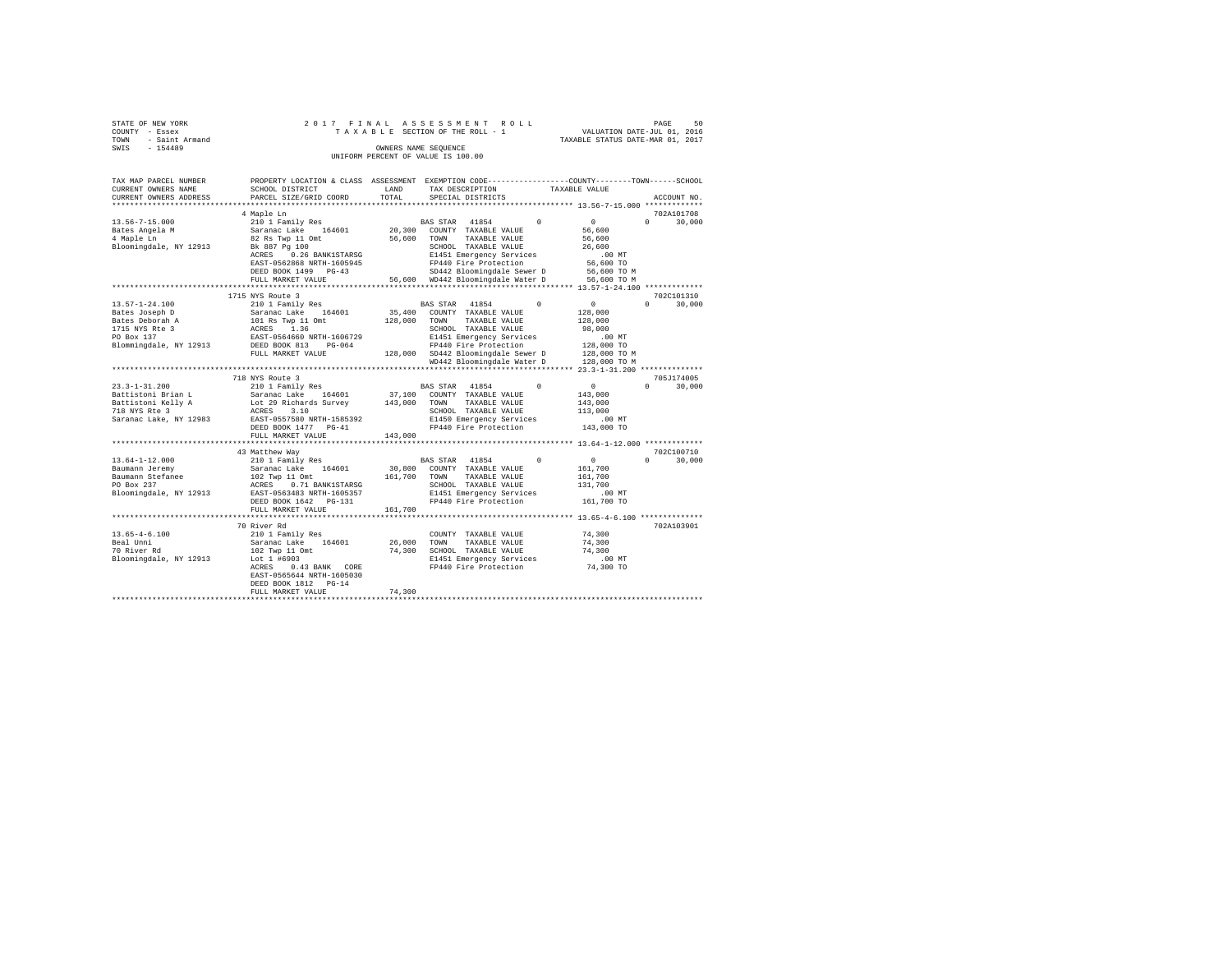|                | STATE OF NEW YORK   |  |  |  |  | 2017 FINAL ASSESSMENT ROLL         |  |  |  |  |  |                                  |                             |  | PAGE | 50 |
|----------------|---------------------|--|--|--|--|------------------------------------|--|--|--|--|--|----------------------------------|-----------------------------|--|------|----|
| COUNTY - Essex |                     |  |  |  |  | TAXABLE SECTION OF THE ROLL - 1    |  |  |  |  |  |                                  | VALUATION DATE-JUL 01, 2016 |  |      |    |
|                | TOWN - Saint Armand |  |  |  |  |                                    |  |  |  |  |  | TAXABLE STATUS DATE-MAR 01, 2017 |                             |  |      |    |
| SWIS           | $-154489$           |  |  |  |  | OWNERS NAME SEOUENCE               |  |  |  |  |  |                                  |                             |  |      |    |
|                |                     |  |  |  |  | UNIFORM PERCENT OF VALUE IS 100.00 |  |  |  |  |  |                                  |                             |  |      |    |

| TAX MAP PARCEL NUMBER  | PROPERTY LOCATION & CLASS ASSESSMENT |         | EXEMPTION CODE----------------COUNTY-------TOWN------SCHOOL |            |               |                      |
|------------------------|--------------------------------------|---------|-------------------------------------------------------------|------------|---------------|----------------------|
| CURRENT OWNERS NAME    | SCHOOL DISTRICT                      | LAND    | TAX DESCRIPTION                                             |            | TAXABLE VALUE |                      |
| CURRENT OWNERS ADDRESS | PARCEL SIZE/GRID COORD               | TOTAL   | SPECIAL DISTRICTS                                           |            |               | ACCOUNT NO.          |
|                        | 4 Maple Ln                           |         |                                                             |            |               | 702A101708           |
| $13.56 - 7 - 15.000$   | 210 1 Family Res                     |         | BAS STAR 41854                                              | $\Omega$   | $\Omega$      | $\Omega$<br>30,000   |
| Bates Angela M         | Saranac Lake<br>164601               | 20,300  | COUNTY TAXABLE VALUE                                        |            | 56,600        |                      |
|                        |                                      |         |                                                             |            |               |                      |
| 4 Maple Ln             | 82 Rs Twp 11 Omt                     | 56,600  | TOWN<br>TAXABLE VALUE                                       |            | 56,600        |                      |
| Bloomingdale, NY 12913 | Bk 887 Pg 100                        |         | SCHOOL TAXABLE VALUE                                        |            | 26,600        |                      |
|                        | 0.26 BANK1STARSG<br>ACRES            |         | E1451 Emergency Services                                    |            | $.00$ MT      |                      |
|                        | EAST-0562868 NRTH-1605945            |         | FP440 Fire Protection                                       |            | 56,600 TO     |                      |
|                        | DEED BOOK 1499 PG-43                 |         | SD442 Bloomingdale Sewer D                                  |            | 56,600 TO M   |                      |
|                        | FULL MARKET VALUE                    |         | 56,600 WD442 Bloomingdale Water D                           |            | 56,600 TO M   |                      |
|                        | **********************************   |         |                                                             |            |               |                      |
|                        | 1715 NYS Route 3                     |         |                                                             |            |               | 702C101310           |
| $13.57 - 1 - 24.100$   | 210 1 Family Res                     |         | 41854<br>BAS STAR                                           | $^{\circ}$ | $\mathbf{0}$  | 30,000<br>$^{\circ}$ |
| Bates Joseph D         | 164601<br>Saranac Lake               | 35,400  | COUNTY TAXABLE VALUE                                        |            | 128,000       |                      |
| Bates Deborah A        | 101 Rs Twp 11 Omt                    | 128,000 | TOWN<br>TAXABLE VALUE                                       |            | 128,000       |                      |
| 1715 NYS Rte 3         | 1.36<br>ACRES                        |         | SCHOOL TAXABLE VALUE                                        |            | 98,000        |                      |
| PO Box 137             | EAST-0564660 NRTH-1606729            |         | E1451 Emergency Services                                    |            | .00 MT        |                      |
| Blommingdale, NY 12913 | DEED BOOK 813<br>PG-064              |         | FP440 Fire Protection                                       |            | 128,000 TO    |                      |
|                        | FULL MARKET VALUE                    |         | 128,000 SD442 Bloomingdale Sewer D                          |            | 128,000 TO M  |                      |
|                        |                                      |         |                                                             |            |               |                      |
|                        |                                      |         | WD442 Bloomingdale Water D                                  |            | 128,000 TO M  |                      |
|                        |                                      |         |                                                             |            |               |                      |
|                        | 718 NYS Route 3                      |         |                                                             |            |               | 705J174005           |
| $23.3 - 1 - 31.200$    | 210 1 Family Res                     |         | BAS STAR 41854                                              | $\Omega$   | $\sim$ 0      | $\Omega$<br>30,000   |
| Battistoni Brian L     | 164601<br>Saranac Lake               | 37,100  | COUNTY TAXABLE VALUE                                        |            | 143,000       |                      |
| Battistoni Kelly A     | Lot 29 Richards Survey               | 143,000 | TAXABLE VALUE<br>TOWN                                       |            | 143,000       |                      |
| 718 NYS Rte 3          | ACRES<br>3.10                        |         | SCHOOL TAXABLE VALUE                                        |            | 113,000       |                      |
| Saranac Lake, NY 12983 | EAST-0557580 NRTH-1585392            |         | E1450 Emergency Services                                    |            | $.00$ MT      |                      |
|                        | DEED BOOK 1477 PG-41                 |         | FP440 Fire Protection                                       |            | 143,000 TO    |                      |
|                        | FULL MARKET VALUE                    | 143,000 |                                                             |            |               |                      |
|                        |                                      |         |                                                             |            |               |                      |
|                        | 43 Matthew Way                       |         |                                                             |            |               | 702C100710           |
| $13.64 - 1 - 12.000$   | 210 1 Family Res                     |         | BAS STAR 41854                                              | $\Omega$   | $\circ$       | $\Omega$<br>30,000   |
| Baumann Jeremy         | Saranac Lake<br>164601               | 30,800  | COUNTY TAXABLE VALUE                                        |            | 161,700       |                      |
| Baumann Stefanee       | 102 Twp 11 Omt                       | 161,700 | TAXABLE VALUE<br>TOWN                                       |            | 161,700       |                      |
| PO Box 237             | ACRES<br>0.71 BANK1STARSG            |         | SCHOOL TAXABLE VALUE                                        |            | 131,700       |                      |
| Bloomingdale, NY 12913 | EAST-0563483 NRTH-1605357            |         | E1451 Emergency Services                                    |            | .00MT         |                      |
|                        |                                      |         | FP440 Fire Protection                                       |            | 161,700 TO    |                      |
|                        | DEED BOOK 1642 PG-131                |         |                                                             |            |               |                      |
|                        | FULL MARKET VALUE                    | 161,700 |                                                             |            |               |                      |
|                        |                                      |         |                                                             |            |               |                      |
|                        | 70 River Rd                          |         |                                                             |            |               | 702A103901           |
| $13.65 - 4 - 6.100$    | 210 1 Family Res                     |         | COUNTY TAXABLE VALUE                                        |            | 74,300        |                      |
| Beal Unni              | Saranac Lake<br>164601               | 26,000  | TOWN<br>TAXABLE VALUE                                       |            | 74,300        |                      |
| 70 River Rd            | 102 Twp 11 Omt                       | 74,300  | SCHOOL TAXABLE VALUE                                        |            | 74,300        |                      |
| Bloomingdale, NY 12913 | Lot 1 #6903                          |         | E1451 Emergency Services                                    |            | $.00$ MT      |                      |
|                        | 0.43 BANK CORE<br>ACRES              |         | FP440 Fire Protection                                       |            | 74,300 TO     |                      |
|                        | EAST-0565644 NRTH-1605030            |         |                                                             |            |               |                      |
|                        | DEED BOOK 1812 PG-14                 |         |                                                             |            |               |                      |
|                        | FULL MARKET VALUE                    | 74,300  |                                                             |            |               |                      |
|                        |                                      |         |                                                             |            |               |                      |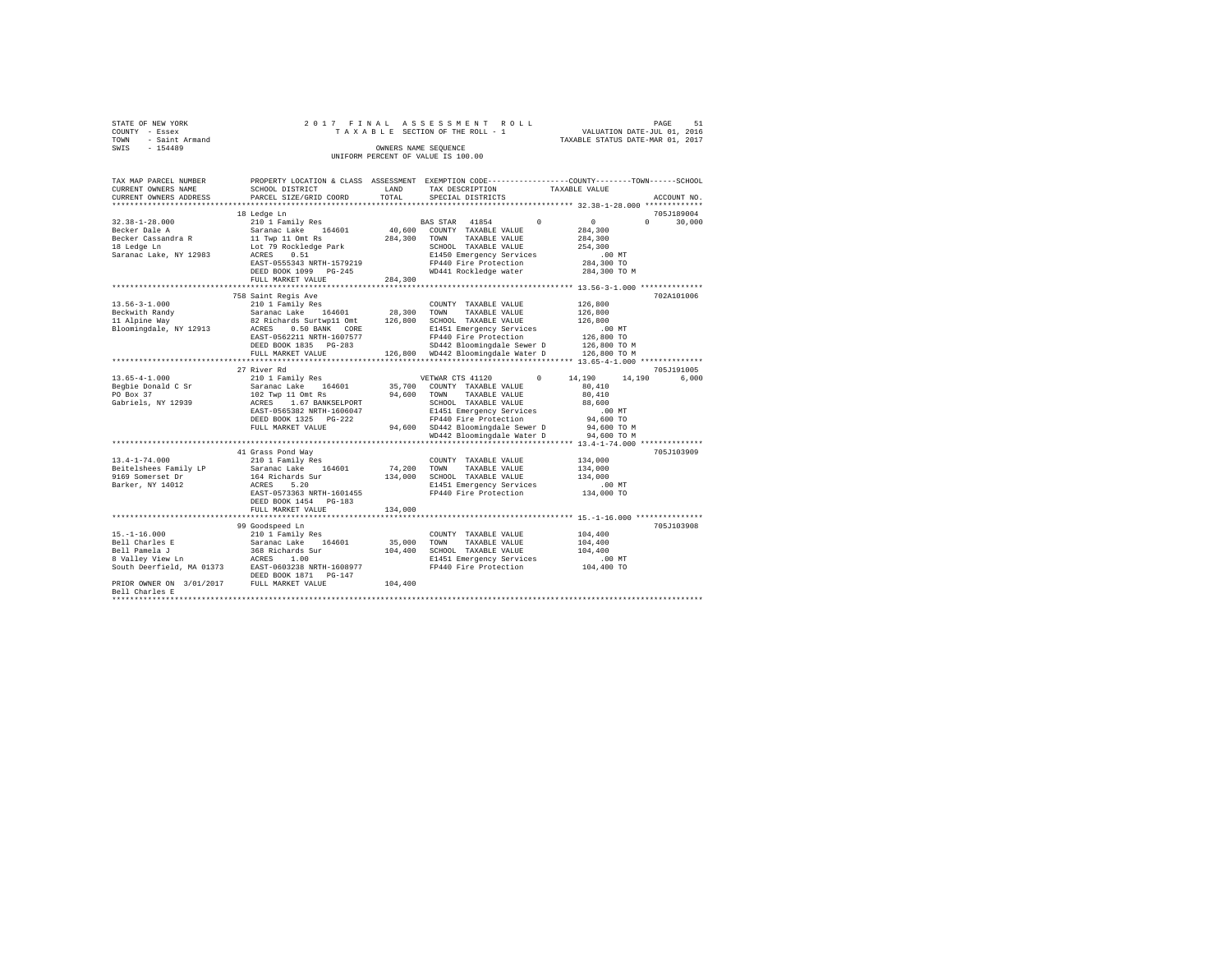| STATE OF NEW YORK   |  | 2017 FINAL ASSESSMENT ROLL         |                                  | PAGE | 51 |
|---------------------|--|------------------------------------|----------------------------------|------|----|
| COUNTY - Essex      |  | TAXABLE SECTION OF THE ROLL - 1    | VALUATION DATE-JUL 01, 2016      |      |    |
| TOWN - Saint Armand |  |                                    | TAXABLE STATUS DATE-MAR 01, 2017 |      |    |
| SWIS<br>$-154489$   |  | OWNERS NAME SEOUENCE               |                                  |      |    |
|                     |  | UNIFORM PERCENT OF VALUE IS 100.00 |                                  |      |    |

| TAX MAP PARCEL NUMBER<br>CURRENT OWNERS NAME        | PROPERTY LOCATION & CLASS ASSESSMENT EXEMPTION CODE---------------COUNTY-------TOWN------SCHOOL<br>SCHOOL DISTRICT | LAND    | TAX DESCRIPTION                                 |            | TAXABLE VALUE    |              |        |
|-----------------------------------------------------|--------------------------------------------------------------------------------------------------------------------|---------|-------------------------------------------------|------------|------------------|--------------|--------|
| CURRENT OWNERS ADDRESS                              | PARCEL SIZE/GRID COORD                                                                                             | TOTAL   | SPECIAL DISTRICTS                               |            |                  | ACCOUNT NO.  |        |
| *********************                               |                                                                                                                    |         |                                                 |            |                  |              |        |
|                                                     | 18 Ledge Ln                                                                                                        |         |                                                 |            |                  | 705J189004   |        |
| $32.38 - 1 - 28.000$                                | 210 1 Family Res<br>Saranac Lake 164601                                                                            |         | BAS STAR 41854                                  | $^{\circ}$ | $\mathbf{0}$     | $\mathbf{r}$ | 30,000 |
| Becker Dale A                                       |                                                                                                                    | 40,600  | COUNTY TAXABLE VALUE                            |            | 284,300          |              |        |
| Becker Cassandra R                                  | 11 Twp 11 Omt Rs                                                                                                   | 284,300 | TOWN<br>TAXABLE VALUE                           |            | 284,300          |              |        |
| 18 Ledge Ln                                         | Lot 79 Rockledge Park                                                                                              |         | SCHOOL TAXABLE VALUE                            |            | 254,300          |              |        |
| Saranac Lake, NY 12983                              | 0.51<br>ACRES                                                                                                      |         | E1450 Emergency Services                        |            | $.00$ MT         |              |        |
|                                                     | EAST-0555343 NRTH-1579219                                                                                          |         | FP440 Fire Protection                           |            | 284,300 TO       |              |        |
|                                                     | DEED BOOK 1099 PG-245                                                                                              |         | WD441 Rockledge water                           |            | 284,300 TO M     |              |        |
|                                                     | FULL MARKET VALUE                                                                                                  | 284,300 |                                                 |            |                  |              |        |
|                                                     |                                                                                                                    |         |                                                 |            |                  |              |        |
|                                                     | 758 Saint Regis Ave                                                                                                |         |                                                 |            |                  | 702A101006   |        |
| $13.56 - 3 - 1.000$                                 | 210 1 Family Res                                                                                                   |         | COUNTY TAXABLE VALUE                            |            | 126,800          |              |        |
| Beckwith Randv                                      | Saranac Lake 164601                                                                                                |         | 28,300 TOWN<br>TAXABLE VALUE                    |            | 126,800          |              |        |
| 11 Alpine Way                                       | 82 Richards Surtwp11 Omt 126,800                                                                                   |         | SCHOOL TAXABLE VALUE                            |            | 126,800          |              |        |
| Bloomingdale, NY 12913                              | ACRES 0.50 BANK CORE                                                                                               |         | E1451 Emergency Services                        |            | .00 MT           |              |        |
|                                                     | EAST-0562211 NRTH-1607577                                                                                          |         | FP440 Fire Protection                           |            | 126,800 TO       |              |        |
|                                                     | DEED BOOK 1835 PG-283                                                                                              |         | SD442 Bloomingdale Sewer D                      |            | 126,800 TO M     |              |        |
|                                                     | FULL MARKET VALUE                                                                                                  |         | 126,800 WD442 Bloomingdale Water D 126,800 TO M |            |                  |              |        |
|                                                     |                                                                                                                    |         |                                                 |            |                  |              |        |
|                                                     | 27 River Rd                                                                                                        |         |                                                 |            |                  | 705J191005   |        |
| $13.65 - 4 - 1.000$                                 | 210 1 Family Res                                                                                                   |         | VETWAR CTS 41120                                | $\Omega$   | 14,190<br>14,190 |              | 6,000  |
| Begbie Donald C Sr                                  | Saranac Lake 164601                                                                                                |         | 35,700 COUNTY TAXABLE VALUE                     |            | 80,410           |              |        |
| PO Box 37                                           | 102 Twp 11 Omt Rs                                                                                                  |         | 94,600 TOWN TAXABLE VALUE                       |            | 80,410           |              |        |
| Gabriels, NY 12939                                  | ACRES 1.67 BANKSELPORT                                                                                             |         | SCHOOL TAXABLE VALUE                            |            | 88,600           |              |        |
|                                                     | EAST-0565382 NRTH-1606047                                                                                          |         | E1451 Emergency Services                        |            | $.00$ MT         |              |        |
|                                                     | DEED BOOK 1325 PG-222                                                                                              |         | FP440 Fire Protection                           |            | 94,600 TO        |              |        |
|                                                     | FULL MARKET VALUE                                                                                                  |         | 94,600 SD442 Bloomingdale Sewer D               |            | 94,600 TO M      |              |        |
|                                                     |                                                                                                                    |         | WD442 Bloomingdale Water D                      |            | 94,600 TO M      |              |        |
|                                                     |                                                                                                                    |         |                                                 |            |                  |              |        |
|                                                     | 41 Grass Pond Way                                                                                                  |         |                                                 |            |                  | 705J103909   |        |
| $13.4 - 1 - 74.000$                                 | 210 1 Family Res                                                                                                   |         | COUNTY TAXABLE VALUE                            |            | 134,000          |              |        |
| Beitelshees Family LP                               | Saranac Lake 164601                                                                                                | 74,200  | TAXABLE VALUE<br>TOWN                           |            | 134,000          |              |        |
| 9169 Somerset Dr                                    | 164 Richards Sur                                                                                                   | 134,000 | SCHOOL TAXABLE VALUE                            |            | 134,000          |              |        |
| Barker, NY 14012                                    | 5.20<br>ACRES                                                                                                      |         | E1451 Emergency Services                        |            | $.00$ MT         |              |        |
|                                                     | EAST-0573363 NRTH-1601455                                                                                          |         | FP440 Fire Protection                           |            | 134,000 TO       |              |        |
|                                                     | DEED BOOK 1454 PG-183                                                                                              |         |                                                 |            |                  |              |        |
|                                                     | FULL MARKET VALUE                                                                                                  | 134,000 |                                                 |            |                  |              |        |
|                                                     |                                                                                                                    |         |                                                 |            |                  |              |        |
|                                                     | 99 Goodspeed Ln                                                                                                    |         |                                                 |            |                  | 705J103908   |        |
| $15. - 1 - 16.000$                                  | 210 1 Family Res                                                                                                   |         | COUNTY TAXABLE VALUE                            |            | 104,400          |              |        |
| Bell Charles E                                      |                                                                                                                    | 35,000  | TOWN<br>TAXABLE VALUE                           |            | 104,400          |              |        |
| Bell Pamela J                                       | Saranac Lake 164601<br>368 Richards Sur                                                                            | 104,400 | SCHOOL TAXABLE VALUE                            |            | 104,400          |              |        |
| 8 Valley View Ln                                    | ACRES 1.00                                                                                                         |         | E1451 Emergency Services                        |            | .00 MT           |              |        |
| South Deerfield, MA 01373 EAST-0603238 NRTH-1608977 |                                                                                                                    |         | FP440 Fire Protection                           |            | 104,400 TO       |              |        |
|                                                     | DEED BOOK 1871 PG-147                                                                                              |         |                                                 |            |                  |              |        |
| PRIOR OWNER ON 3/01/2017 FULL MARKET VALUE          |                                                                                                                    | 104,400 |                                                 |            |                  |              |        |
| Bell Charles E                                      |                                                                                                                    |         |                                                 |            |                  |              |        |
|                                                     |                                                                                                                    |         |                                                 |            |                  |              |        |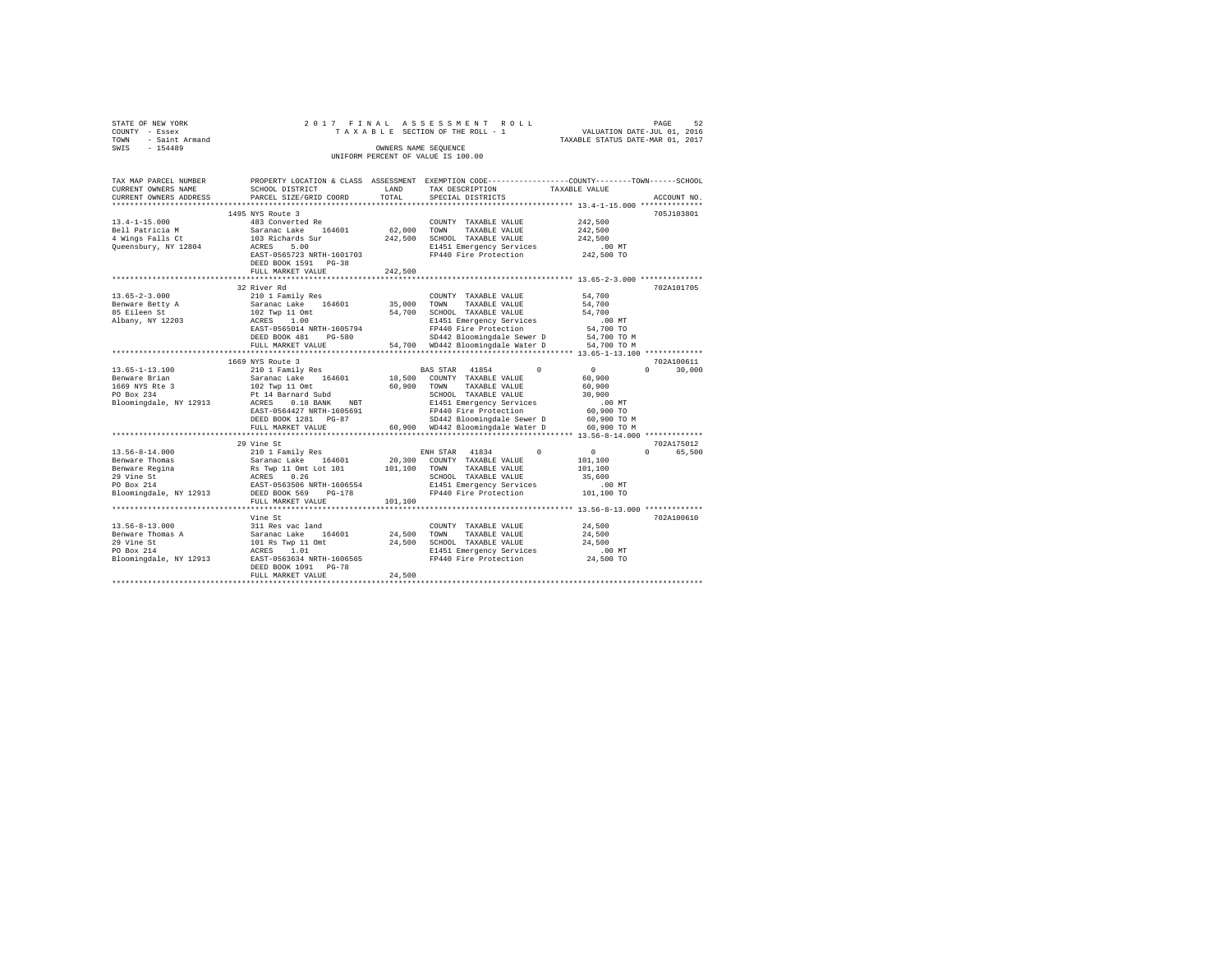| STATE OF NEW YORK      | 2017 FINAL                                     |                         | ASSESSMENT ROLL                                                                                |                                  | PAGE<br>52         |
|------------------------|------------------------------------------------|-------------------------|------------------------------------------------------------------------------------------------|----------------------------------|--------------------|
| COUNTY - Essex         |                                                |                         | TAXABLE SECTION OF THE ROLL - 1                                                                | VALUATION DATE-JUL 01, 2016      |                    |
| TOWN<br>- Saint Armand |                                                |                         |                                                                                                | TAXABLE STATUS DATE-MAR 01, 2017 |                    |
| $-154489$<br>SWIS      |                                                |                         | OWNERS NAME SEQUENCE                                                                           |                                  |                    |
|                        |                                                |                         | UNIFORM PERCENT OF VALUE IS 100.00                                                             |                                  |                    |
|                        |                                                |                         |                                                                                                |                                  |                    |
| TAX MAP PARCEL NUMBER  |                                                |                         | PROPERTY LOCATION & CLASS ASSESSMENT EXEMPTION CODE---------------COUNTY-------TOWN-----SCHOOL |                                  |                    |
| CURRENT OWNERS NAME    | SCHOOL DISTRICT                                | LAND                    | TAX DESCRIPTION                                                                                | TAXABLE VALUE                    |                    |
| CURRENT OWNERS ADDRESS | PARCEL SIZE/GRID COORD                         | TOTAL                   | SPECIAL DISTRICTS                                                                              |                                  | ACCOUNT NO.        |
|                        |                                                |                         |                                                                                                |                                  |                    |
|                        | 1495 NYS Route 3                               |                         |                                                                                                |                                  | 705J103801         |
| $13.4 - 1 - 15.000$    | 483 Converted Re                               |                         | COUNTY TAXABLE VALUE                                                                           | 242,500                          |                    |
| Bell Patricia M        | Saranac Lake 164601                            | 62,000                  | TOWN<br>TAXABLE VALUE                                                                          | 242,500                          |                    |
| 4 Wings Falls Ct       | 103 Richards Sur                               | 242,500                 | SCHOOL TAXABLE VALUE                                                                           | 242.500                          |                    |
| Queensbury, NY 12804   | ACRES 5.00                                     |                         | E1451 Emergency Services                                                                       | $.00$ MT                         |                    |
|                        | EAST-0565723 NRTH-1601703                      |                         | FP440 Fire Protection                                                                          | 242,500 TO                       |                    |
|                        | DEED BOOK 1591 PG-38                           |                         |                                                                                                |                                  |                    |
|                        | FULL MARKET VALUE<br>************************* | 242.500<br>************ | *********************************** 13.65-2-3.000 **************                               |                                  |                    |
|                        | 32 River Rd                                    |                         |                                                                                                |                                  | 702A101705         |
| $13.65 - 2 - 3.000$    | 210 1 Family Res                               |                         | COUNTY TAXABLE VALUE                                                                           | 54,700                           |                    |
| Benware Betty A        | Saranac Lake 164601                            | 35,000                  | TOWN<br>TAXABLE VALUE                                                                          | 54,700                           |                    |
| 85 Eileen St           | 102 Twp 11 Omt                                 | 54,700                  | SCHOOL TAXABLE VALUE                                                                           | 54,700                           |                    |
| Albany, NY 12203       | ACRES 1.00                                     |                         | E1451 Emergency Services                                                                       | $.00$ MT                         |                    |
|                        | EAST-0565014 NRTH-1605794                      |                         | FP440 Fire Protection                                                                          | 54,700 TO                        |                    |
|                        | DEED BOOK 481 PG-580                           |                         | SD442 Bloomingdale Sewer D                                                                     | 54,700 TO M                      |                    |
|                        | FULL MARKET VALUE                              |                         | 54,700 WD442 Bloomingdale Water D                                                              | 54,700 TO M                      |                    |
|                        |                                                |                         |                                                                                                |                                  |                    |
|                        | 1669 NYS Route 3                               |                         |                                                                                                |                                  | 702A100611         |
| $13.65 - 1 - 13.100$   | 210 1 Family Res                               |                         | BAS STAR<br>41854<br>$\Omega$                                                                  | $\Omega$                         | $\Omega$<br>30,000 |
| Benware Brian          | Saranac Lake 164601                            | 18,500                  | COUNTY TAXABLE VALUE                                                                           | 60,900                           |                    |
| 1669 NYS Rte 3         | 102 Twp 11 Omt                                 | 60.900                  | TOWN<br>TAXABLE VALUE                                                                          | 60,900                           |                    |
| PO Box 234             | Pt 14 Barnard Subd                             |                         | SCHOOL TAXABLE VALUE                                                                           | 30.900                           |                    |
| Bloomingdale, NY 12913 | ACRES 0.18 BANK NBT                            |                         | E1451 Emergency Services                                                                       | $.00$ MT                         |                    |
|                        | EAST-0564427 NRTH-1605691                      |                         | FP440 Fire Protection                                                                          | 60,900 TO                        |                    |
|                        | DEED BOOK 1281 PG-87                           |                         | SD442 Bloomingdale Sewer D                                                                     | 60,900 TO M                      |                    |
|                        | FULL MARKET VALUE                              |                         | 60.900 WD442 Bloomingdale Water D                                                              | 60,900 TO M                      |                    |
|                        | 29 Vine St                                     |                         |                                                                                                |                                  | 702A175012         |
| $13.56 - 8 - 14.000$   | 210 1 Family Res                               |                         | ENH STAR 41834<br>$\Omega$                                                                     | $\Omega$                         | $\Omega$<br>65,500 |
| Benware Thomas         | Saranac Lake 164601                            | 20,300                  | COUNTY TAXABLE VALUE                                                                           | 101,100                          |                    |
| Benware Regina         | Rs Twp 11 Omt Lot 101                          | 101,100                 | TOWN<br>TAXABLE VALUE                                                                          | 101,100                          |                    |
| 29 Vine St             | ACRES 0.26                                     |                         | SCHOOL TAXABLE VALUE                                                                           | 35,600                           |                    |
| PO Box 214             | EAST-0563506 NRTH-1606554                      |                         | E1451 Emergency Services                                                                       | $.00$ MT                         |                    |
| Bloomingdale, NY 12913 | DEED BOOK 569 PG-178                           |                         | FP440 Fire Protection                                                                          | 101,100 TO                       |                    |
|                        | FULL MARKET VALUE                              | 101,100                 |                                                                                                |                                  |                    |
|                        |                                                |                         |                                                                                                |                                  |                    |
|                        | Vine St                                        |                         |                                                                                                |                                  | 702A100610         |
| $13.56 - 8 - 13.000$   | 311 Res vac land                               |                         | COUNTY TAXABLE VALUE                                                                           | 24,500                           |                    |
| Benware Thomas A       | Saranac Lake 164601                            | 24,500                  | TOWN<br>TAXABLE VALUE                                                                          | 24,500                           |                    |
| 29 Vine St             | 101 Rs Twp 11 Omt                              | 24,500                  | SCHOOL TAXABLE VALUE                                                                           | 24,500                           |                    |
| PO Box 214             | ACRES 1.01                                     |                         | E1451 Emergency Services                                                                       | $.00$ MT                         |                    |
| Bloomingdale, NY 12913 | EAST-0563634 NRTH-1606565                      |                         | FP440 Fire Protection                                                                          | 24,500 TO                        |                    |
|                        | DEED BOOK 1091 PG-78                           | 24,500                  |                                                                                                |                                  |                    |
|                        | FULL MARKET VALUE                              |                         |                                                                                                |                                  |                    |
|                        |                                                |                         |                                                                                                |                                  |                    |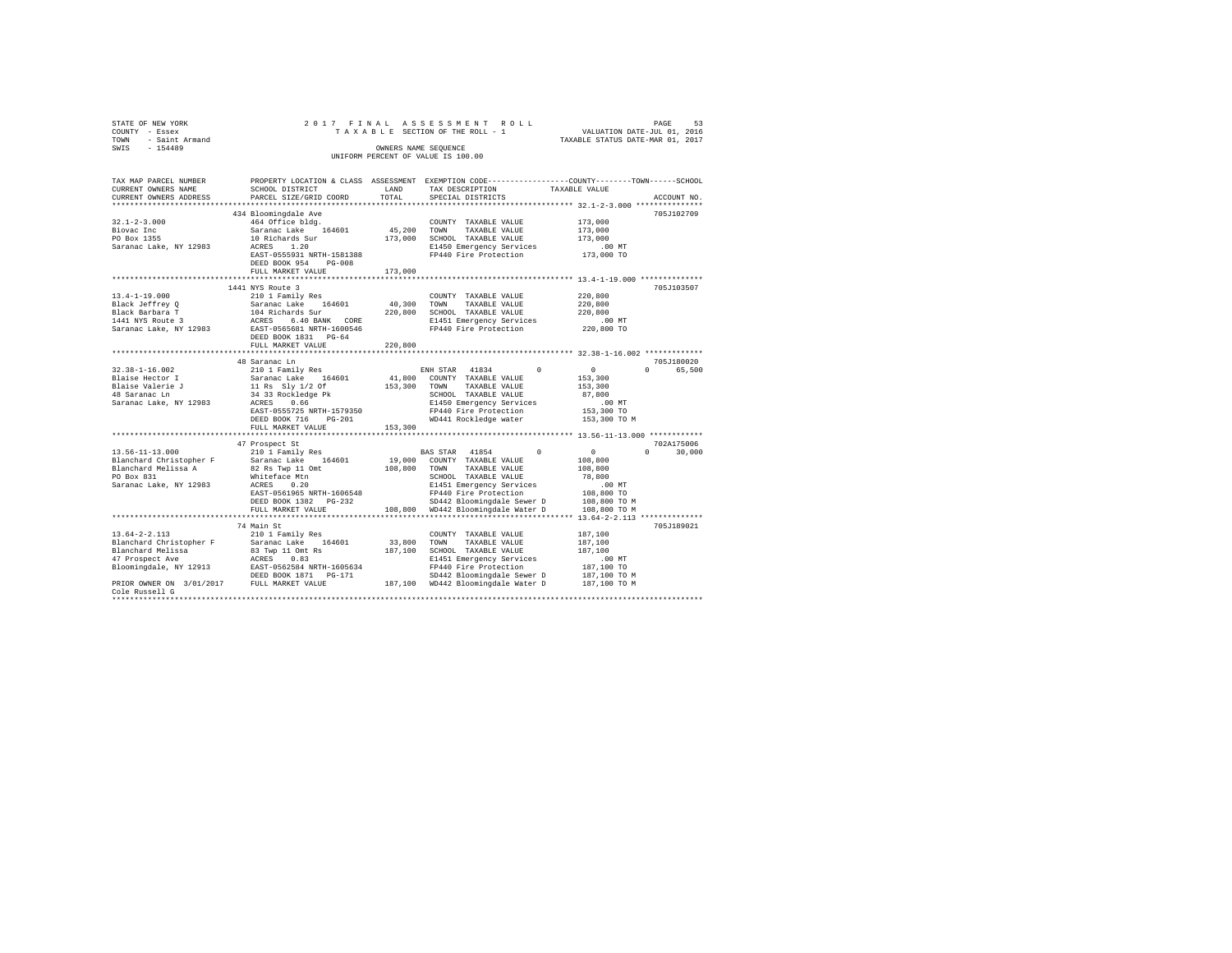| STATE OF NEW YORK                 | 2017 FINAL                                       |              | ASSESSMENT ROLL                                 | $\begin{tabular}{ccccc} \texttt{VALUATION} & \texttt{PAUE} & 01, & 2016 \\ \texttt{VALUATION} & \texttt{DATE-JUL} & 01, & 2016 \\ & \texttt{SMD} & 01, & 2017 \\ \end{tabular}$ |
|-----------------------------------|--------------------------------------------------|--------------|-------------------------------------------------|---------------------------------------------------------------------------------------------------------------------------------------------------------------------------------|
| COUNTY - Essex                    |                                                  |              | TAXABLE SECTION OF THE ROLL - 1                 |                                                                                                                                                                                 |
| - Saint Armand<br>TOWN            |                                                  |              |                                                 | TAXABLE STATUS DATE-MAR 01, 2017                                                                                                                                                |
| $-154489$<br>SWIS                 |                                                  |              | OWNERS NAME SEQUENCE                            |                                                                                                                                                                                 |
|                                   |                                                  |              | UNIFORM PERCENT OF VALUE IS 100.00              |                                                                                                                                                                                 |
|                                   |                                                  |              |                                                 |                                                                                                                                                                                 |
|                                   |                                                  |              |                                                 |                                                                                                                                                                                 |
| TAX MAP PARCEL NUMBER             |                                                  |              |                                                 | PROPERTY LOCATION & CLASS ASSESSMENT EXEMPTION CODE---------------COUNTY-------TOWN-----SCHOOL                                                                                  |
|                                   | SCHOOL DISTRICT                                  |              |                                                 |                                                                                                                                                                                 |
| CURRENT OWNERS NAME               |                                                  | LAND         | TAX DESCRIPTION                                 | TAXABLE VALUE                                                                                                                                                                   |
| CURRENT OWNERS ADDRESS            | PARCEL SIZE/GRID COORD                           | TOTAL        | SPECIAL DISTRICTS                               | ACCOUNT NO.                                                                                                                                                                     |
|                                   |                                                  |              |                                                 |                                                                                                                                                                                 |
|                                   | 434 Bloomingdale Ave                             |              |                                                 | 705J102709                                                                                                                                                                      |
| $32.1 - 2 - 3.000$                | 464 Office bldg.                                 |              | COUNTY TAXABLE VALUE                            | 173,000                                                                                                                                                                         |
| Biovac Inc                        | Saranac Lake 164601                              | 45,200 TOWN  | TAXABLE VALUE                                   | 173,000                                                                                                                                                                         |
| PO Box 1355                       | 10 Richards Sur                                  |              | 173,000 SCHOOL TAXABLE VALUE                    | 173,000                                                                                                                                                                         |
| Saranac Lake, NY 12983            | ACRES 1.20                                       |              | E1450 Emergency Services                        | $.00$ MT                                                                                                                                                                        |
|                                   |                                                  |              |                                                 | 173,000 TO                                                                                                                                                                      |
|                                   | EAST-0555931 NRTH-1581388                        |              | FP440 Fire Protection                           |                                                                                                                                                                                 |
|                                   | DEED BOOK 954<br>PG-008                          |              |                                                 |                                                                                                                                                                                 |
|                                   | FULL MARKET VALUE                                | 173,000      |                                                 |                                                                                                                                                                                 |
|                                   |                                                  |              |                                                 |                                                                                                                                                                                 |
|                                   | 1441 NYS Route 3                                 |              |                                                 | 705J103507                                                                                                                                                                      |
| $13.4 - 1 - 19.000$               | 210 1 Family Res                                 |              | COUNTY TAXABLE VALUE                            | 220,800                                                                                                                                                                         |
| Black Jeffrey Q                   | Saranac Lake 164601                              | 40,300       | TOWN<br>TAXABLE VALUE                           | 220,800                                                                                                                                                                         |
| Black Barbara T                   |                                                  |              | 220,800 SCHOOL TAXABLE VALUE                    | 220,800                                                                                                                                                                         |
| 1441 NYS Route 3                  | 104 Richards Sur<br>ACRES 6.40 BANK CORE         |              | E1451 Emergency Services                        | $.00$ MT                                                                                                                                                                        |
|                                   |                                                  |              |                                                 |                                                                                                                                                                                 |
| Saranac Lake, NY 12983            | EAST-0565681 NRTH-1600546                        |              | FP440 Fire Protection                           | 220,800 TO                                                                                                                                                                      |
|                                   | DEED BOOK 1831 PG-64                             |              |                                                 |                                                                                                                                                                                 |
|                                   | FULL MARKET VALUE                                | 220,800      |                                                 |                                                                                                                                                                                 |
|                                   |                                                  |              |                                                 |                                                                                                                                                                                 |
|                                   | 48 Saranac Ln                                    |              |                                                 | 705J180020                                                                                                                                                                      |
| $32.38 - 1 - 16.002$              | 210 1 Family Res                                 |              | $\Omega$<br>ENH STAR 41834                      | 65,500<br>$^{\circ}$<br>$\cap$                                                                                                                                                  |
| Blaise Hector I                   | Saranac Lake 164601                              |              | 41,800 COUNTY TAXABLE VALUE                     | 153,300                                                                                                                                                                         |
|                                   | 11 Rs Sly 1/2 Of                                 | 153,300 TOWN | TAXABLE VALUE                                   | 153,300                                                                                                                                                                         |
| Blaise Valerie J<br>48 Saranac Ln | 34 33 Rockledge Pk                               |              | SCHOOL TAXABLE VALUE                            | 87,800                                                                                                                                                                          |
|                                   |                                                  |              |                                                 |                                                                                                                                                                                 |
| Saranac Lake, NY 12983            | ACRES 0.66                                       |              | E1450 Emergency Services                        | $.00$ MT                                                                                                                                                                        |
|                                   | EAST-0555725 NRTH-1579350                        |              | FP440 Fire Protection                           | 153,300 TO                                                                                                                                                                      |
|                                   | DEED BOOK 716<br>$PG-201$                        |              | WD441 Rockledge water                           | 153,300 TO M                                                                                                                                                                    |
|                                   | FULL MARKET VALUE                                | 153,300      |                                                 |                                                                                                                                                                                 |
|                                   |                                                  |              |                                                 |                                                                                                                                                                                 |
|                                   | 47 Prospect St                                   |              |                                                 | 702A175006                                                                                                                                                                      |
| $13.56 - 11 - 13.000$             | 210 1 Family Res                                 |              | BAS STAR 41854<br>$\Omega$                      | $\circ$<br>30,000<br>$\Omega$                                                                                                                                                   |
| Blanchard Christopher F           | Saranac Lake 164601                              |              | 19,000 COUNTY TAXABLE VALUE                     | 108,800                                                                                                                                                                         |
| Blanchard Melissa A               |                                                  |              | TAXABLE VALUE                                   | 108,800                                                                                                                                                                         |
|                                   | 82 Rs Twp 11 Omt                                 | 108,800 TOWN |                                                 |                                                                                                                                                                                 |
| PO Box 831                        | Whiteface Mtn                                    |              | SCHOOL TAXABLE VALUE                            | 78,800                                                                                                                                                                          |
| Saranac Lake, NY 12983            | ACRES<br>0.20                                    |              | E1451 Emergency Services                        | $.00$ MT                                                                                                                                                                        |
|                                   | EAST-0561965 NRTH-1606548                        |              | FP440 Fire Protection                           | 108,800 TO                                                                                                                                                                      |
|                                   | DEED BOOK 1382 PG-232                            |              | SD442 Bloomingdale Sewer D                      | 108,800 TO M                                                                                                                                                                    |
|                                   | FULL MARKET VALUE                                |              | 108,800 WD442 Bloomingdale Water D 108,800 TO M |                                                                                                                                                                                 |
|                                   |                                                  |              |                                                 |                                                                                                                                                                                 |
|                                   | 74 Main St                                       |              |                                                 | 705J189021                                                                                                                                                                      |
| $13.64 - 2 - 2.113$               |                                                  |              |                                                 |                                                                                                                                                                                 |
|                                   | 210 1 Family Res                                 |              | COUNTY TAXABLE VALUE                            | 187,100                                                                                                                                                                         |
| Blanchard Christopher F           | Saranac Lake 164601                              | 33,800 TOWN  | TAXABLE VALUE                                   | 187,100                                                                                                                                                                         |
| Blanchard Melissa                 | 83 Twp 11 Omt Rs                                 |              | 187,100 SCHOOL TAXABLE VALUE                    | 187,100                                                                                                                                                                         |
| 47 Prospect Ave                   | ACRES 0.83                                       |              | E1451 Emergency Services                        | $.00$ MT                                                                                                                                                                        |
|                                   | Bloomingdale, NY 12913 EAST-0562584 NRTH-1605634 |              | FP440 Fire Protection                           | 187,100 TO                                                                                                                                                                      |
|                                   | DEED BOOK 1871    PG-171                         |              | SD442 Bloomingdale Sewer D                      | 187,100 TO M                                                                                                                                                                    |
|                                   | PRIOR OWNER ON 3/01/2017 FULL MARKET VALUE       |              | 187,100 WD442 Bloomingdale Water D              | 187,100 TO M                                                                                                                                                                    |
| Cole Russell G                    |                                                  |              |                                                 |                                                                                                                                                                                 |
|                                   |                                                  |              |                                                 |                                                                                                                                                                                 |
|                                   |                                                  |              |                                                 |                                                                                                                                                                                 |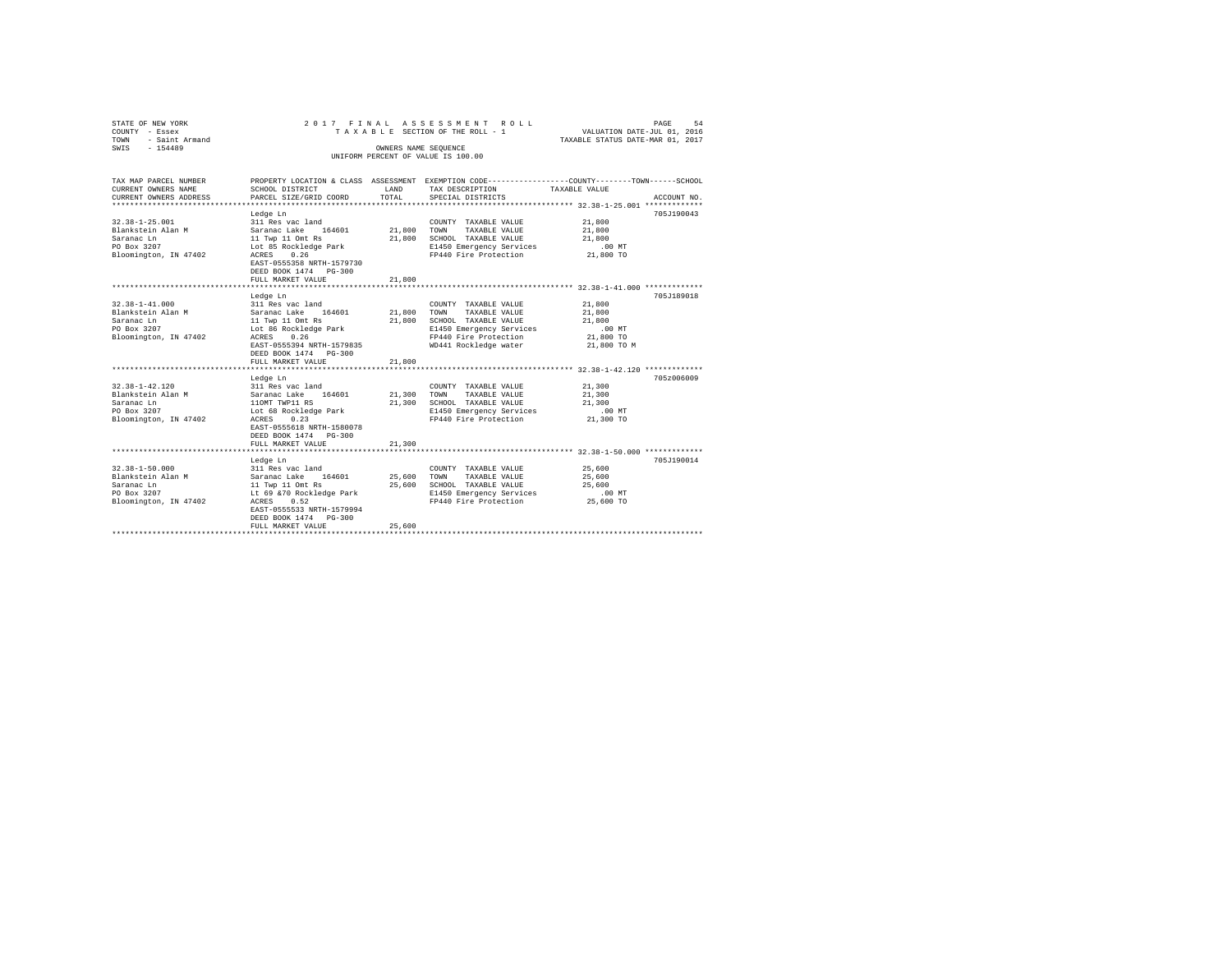| STATE OF NEW YORK<br>COUNTY - Essex<br>TOWN<br>- Saint Armand |                                 |                      | 2017 FINAL ASSESSMENT ROLL<br>TAXABLE SECTION OF THE ROLL - 1 | PAGE<br>54<br>VALUATION DATE-JUL 01, 2016<br>TAXABLE STATUS DATE-MAR 01, 2017                                   |
|---------------------------------------------------------------|---------------------------------|----------------------|---------------------------------------------------------------|-----------------------------------------------------------------------------------------------------------------|
| $-154489$<br>SWIS                                             |                                 | OWNERS NAME SEQUENCE |                                                               |                                                                                                                 |
|                                                               |                                 |                      | UNIFORM PERCENT OF VALUE IS 100.00                            |                                                                                                                 |
|                                                               |                                 |                      |                                                               |                                                                                                                 |
| TAX MAP PARCEL NUMBER<br>CURRENT OWNERS NAME                  | SCHOOL DISTRICT                 | LAND                 | TAX DESCRIPTION                                               | PROPERTY LOCATION & CLASS ASSESSMENT EXEMPTION CODE---------------COUNTY-------TOWN-----SCHOOL<br>TAXABLE VALUE |
| CURRENT OWNERS ADDRESS                                        | PARCEL SIZE/GRID COORD          | TOTAL                | SPECIAL DISTRICTS                                             | ACCOUNT NO.                                                                                                     |
|                                                               |                                 |                      |                                                               |                                                                                                                 |
|                                                               | Ledge Ln                        |                      |                                                               | 705.T190043                                                                                                     |
| $32.38 - 1 - 25.001$                                          | 311 Res vac land                |                      | COUNTY TAXABLE VALUE                                          | 21,800                                                                                                          |
| Blankstein Alan M                                             | Saranac Lake 164601             | 21,800 TOWN          | TAXABLE VALUE                                                 | 21,800                                                                                                          |
| Saranac Ln                                                    | 11 Twp 11 Omt Rs                | 21,800               | SCHOOL TAXABLE VALUE                                          | 21,800                                                                                                          |
| PO Box 3207                                                   | Lot 85 Rockledge Park           |                      | E1450 Emergency Services                                      | $.00$ MT                                                                                                        |
| Bloomington, IN 47402                                         | 0.26<br>ACRES                   |                      | FP440 Fire Protection                                         | 21,800 TO                                                                                                       |
|                                                               | EAST-0555358 NRTH-1579730       |                      |                                                               |                                                                                                                 |
|                                                               | DEED BOOK 1474 PG-300           |                      |                                                               |                                                                                                                 |
|                                                               | FULL MARKET VALUE               | 21,800               |                                                               |                                                                                                                 |
|                                                               |                                 |                      |                                                               |                                                                                                                 |
|                                                               | Ledge Ln                        |                      |                                                               | 705J189018                                                                                                      |
| $32.38 - 1 - 41.000$                                          | 311 Res vac land                |                      | COUNTY TAXABLE VALUE                                          | 21,800                                                                                                          |
| Blankstein Alan M                                             | Saranac Lake 164601             | 21,800               | TOWN<br>TAXABLE VALUE                                         | 21,800                                                                                                          |
| Saranac Ln                                                    | 11 Twp 11 Omt Rs                | 21,800               | SCHOOL TAXABLE VALUE                                          | 21,800                                                                                                          |
| PO Box 3207                                                   | Lot 86 Rockledge Park           |                      | E1450 Emergency Services                                      | .00MT                                                                                                           |
| Bloomington, IN 47402                                         | ACRES 0.26                      |                      | FP440 Fire Protection                                         | 21,800 TO                                                                                                       |
|                                                               | EAST-0555394 NRTH-1579835       |                      | WD441 Rockledge water                                         | 21,800 TO M                                                                                                     |
|                                                               | DEED BOOK 1474 PG-300           |                      |                                                               |                                                                                                                 |
|                                                               | FULL MARKET VALUE               | 21,800               |                                                               |                                                                                                                 |
|                                                               | Ledge Ln                        |                      |                                                               | 705z006009                                                                                                      |
| $32.38 - 1 - 42.120$                                          | 311 Res vac land                |                      | COUNTY TAXABLE VALUE                                          | 21,300                                                                                                          |
| Blankstein Alan M                                             | Saranac Lake 164601             | 21,300               | TOWN<br>TAXABLE VALUE                                         | 21,300                                                                                                          |
| Saranac Ln                                                    | 110MT TWP11 RS                  | 21,300               | SCHOOL TAXABLE VALUE                                          | 21,300                                                                                                          |
| PO Box 3207                                                   | Lot 68 Rockledge Park           |                      | E1450 Emergency Services                                      | $.00$ MT                                                                                                        |
| Bloomington, IN 47402                                         | 0.23<br>ACRES                   |                      | FP440 Fire Protection                                         | 21,300 TO                                                                                                       |
|                                                               | EAST-0555618 NRTH-1580078       |                      |                                                               |                                                                                                                 |
|                                                               | DEED BOOK 1474 PG-300           |                      |                                                               |                                                                                                                 |
|                                                               | FULL MARKET VALUE               | 21,300               |                                                               |                                                                                                                 |
|                                                               | ******************************* |                      |                                                               | ******************************* 32.38-1-50.000 *************                                                    |
|                                                               | Ledge Ln                        |                      |                                                               | 705.T190014                                                                                                     |
| $32.38 - 1 - 50.000$                                          | 311 Res vac land                |                      | COUNTY TAXABLE VALUE                                          | 25,600                                                                                                          |
| Blankstein Alan M                                             | Saranac Lake 164601             | 25,600               | TOWN<br>TAXABLE VALUE                                         | 25,600                                                                                                          |
| Saranac Ln                                                    | 11 Twp 11 Omt Rs                | 25,600               | SCHOOL TAXABLE VALUE                                          | 25,600                                                                                                          |
| PO Box 3207                                                   | Lt 69 & 70 Rockledge Park       |                      | E1450 Emergency Services                                      | $.00$ MT                                                                                                        |
| Bloomington, IN 47402                                         | ACRES<br>0.52                   |                      | FP440 Fire Protection                                         | 25,600 TO                                                                                                       |
|                                                               | EAST-0555533 NRTH-1579994       |                      |                                                               |                                                                                                                 |
|                                                               | DEED BOOK 1474 PG-300           |                      |                                                               |                                                                                                                 |
|                                                               | FULL MARKET VALUE               | 25,600               |                                                               |                                                                                                                 |
|                                                               |                                 |                      |                                                               |                                                                                                                 |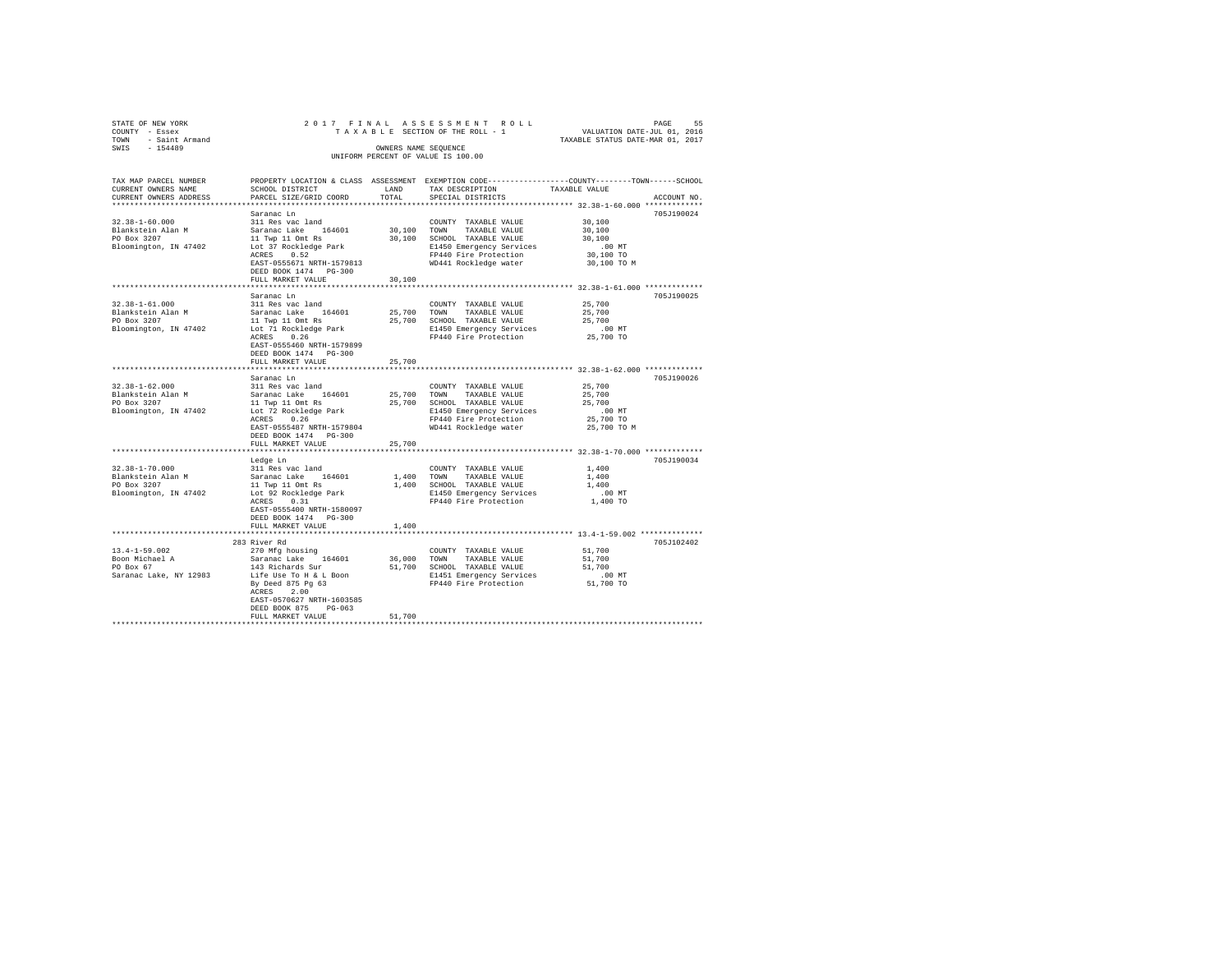| STATE OF NEW YORK     |                                                                                 |        | 2017 FINAL ASSESSMENT ROLL                                   |                                  | 55<br>PAGE  |
|-----------------------|---------------------------------------------------------------------------------|--------|--------------------------------------------------------------|----------------------------------|-------------|
| COUNTY - Essex        |                                                                                 |        | TAXABLE SECTION OF THE ROLL - 1 WALUATION DATE-JUL 01, 2016  |                                  |             |
| TOWN - Saint Armand   |                                                                                 |        |                                                              | TAXABLE STATUS DATE-MAR 01, 2017 |             |
| $-154489$<br>SWIS     |                                                                                 |        | OWNERS NAME SEQUENCE                                         |                                  |             |
|                       |                                                                                 |        | UNIFORM PERCENT OF VALUE IS 100.00                           |                                  |             |
|                       |                                                                                 |        |                                                              |                                  |             |
| TAX MAP PARCEL NUMBER | PROPERTY LOCATION & CLASS ASSESSMENT                                            |        | EXEMPTION CODE-----------------COUNTY-------TOWN------SCHOOL |                                  |             |
| CURRENT OWNERS NAME   | SCHOOL DISTRICT                                                                 | LAND   | TAX DESCRIPTION                                              | TAXABLE VALUE                    |             |
|                       | CURRENT OWNERS ADDRESS . PARCEL SIZE/GRID COORD . TOTAL . SPECIAL DISTRICTS     |        |                                                              |                                  | ACCOUNT NO. |
|                       |                                                                                 |        |                                                              |                                  |             |
|                       | Saranac Ln                                                                      |        |                                                              |                                  | 705J190024  |
| 32.38-1-60.000        | 311 Res vac land                                                                |        | COUNTY TAXABLE VALUE                                         | 30,100                           |             |
|                       | Blankstein Alan M                  Saranac Lake     164601               30,100 |        | TOWN<br>TAXABLE VALUE                                        | 30,100                           |             |
| PO Box 3207           | 11 Twp 11 Omt Rs                                                                | 30,100 | SCHOOL TAXABLE VALUE                                         | 30,100                           |             |
|                       | Bloomington, IN 47402 Lot 37 Rockledge Park                                     |        | E1450 Emergency Services .00 MT                              |                                  |             |
|                       | ACRES 0.52                                                                      |        | FP440 Fire Protection                                        | 30,100 TO                        |             |
|                       | EAST-0555671 NRTH-1579813                                                       |        | WD441 Rockledge water                                        | 30,100 TO M                      |             |
|                       | DEED BOOK 1474 PG-300                                                           |        |                                                              |                                  |             |
|                       | FULL MARKET VALUE                                                               | 30 100 |                                                              |                                  |             |

|                                                                                   | DEED ROOK 1474<br>PG-300<br>FULL MARKET VALUE                                                                                                                                                                                  | 30,100                     |                                                                                                                                                                                            |                                                                 |            |
|-----------------------------------------------------------------------------------|--------------------------------------------------------------------------------------------------------------------------------------------------------------------------------------------------------------------------------|----------------------------|--------------------------------------------------------------------------------------------------------------------------------------------------------------------------------------------|-----------------------------------------------------------------|------------|
| $32.38 - 1 - 61.000$<br>Blankstein Alan M<br>PO Box 3207<br>Bloomington, IN 47402 | Saranac Ln<br>311 Res vac land<br>164601<br>Saranac Lake<br>11 Twp 11 Omt Rs<br>Lot 71 Rockledge Park<br>0.26<br>ACRES<br>EAST-0555460 NRTH-1579899<br>DEED BOOK 1474 PG-300<br>FULL MARKET VALUE<br>********************      | 25,700<br>25,700<br>25,700 | COUNTY TAXABLE VALUE<br>TAXABLE VALUE<br>TOWN<br>SCHOOL TAXABLE VALUE<br>E1450 Emergency Services<br>FP440 Fire Protection<br>******************************** 32.38-1-62.000 ************ | 25,700<br>25,700<br>25,700<br>.00MT<br>25,700 TO                | 705J190025 |
| $32.38 - 1 - 62.000$<br>Blankstein Alan M<br>PO Box 3207<br>Bloomington, IN 47402 | Saranac Ln<br>311 Res vac land<br>164601<br>Saranac Lake<br>11 Twp 11 Omt Rs<br>Lot 72 Rockledge Park<br>ACRES<br>0.26<br>EAST-0555487 NRTH-1579804<br>DEED BOOK 1474 PG-300<br>FULL MARKET VALUE<br>************************* | 25,700<br>25,700<br>25,700 | COUNTY TAXABLE VALUE<br>TOWN<br>TAXABLE VALUE<br>SCHOOL TAXABLE VALUE<br>E1450 Emergency Services<br>FP440 Fire Protection<br>WD441 Rockledge water                                        | 25,700<br>25,700<br>25,700<br>.00MT<br>25,700 TO<br>25,700 TO M | 705J190026 |
| $32.38 - 1 - 70.000$<br>Blankstein Alan M<br>PO Box 3207<br>Bloomington, IN 47402 | Ledge Ln<br>311 Res vac land<br>Saranac Lake<br>164601<br>11 Twp 11 Omt Rs<br>Lot 92 Rockledge Park<br>ACRES<br>0.31<br>EAST-0555400 NRTH-1580097<br>DEED BOOK 1474 PG-300<br>FULL MARKET VALUE                                | 1,400<br>1,400<br>1,400    | COUNTY TAXABLE VALUE<br>TOWN<br>TAXABLE VALUE<br>SCHOOL TAXABLE VALUE<br>E1450 Emergency Services<br>FP440 Fire Protection<br>**************************** 13.4-1-59.002 *************     | 1,400<br>1,400<br>1,400<br>$.00$ MT<br>1,400 TO                 | 705J190034 |
| $13.4 - 1 - 59.002$<br>Boon Michael A<br>PO Box 67<br>Saranac Lake, NY 12983      | 283 River Rd<br>270 Mfg housing<br>164601<br>Saranac Lake<br>143 Richards Sur<br>Life Use To H & L Boon<br>By Deed 875 Pg 63<br>2.00<br>ACRES<br>EAST-0570627 NRTH-1603585<br>DEED BOOK 875<br>$PG-063$<br>FULL MARKET VALUE   | 36,000<br>51,700<br>51,700 | COUNTY TAXABLE VALUE<br>TOWN<br>TAXABLE VALUE<br>SCHOOL TAXABLE VALUE<br>E1451 Emergency Services<br>FP440 Fire Protection                                                                 | 51,700<br>51,700<br>51,700<br>$.00$ MT<br>51,700 TO             | 705J102402 |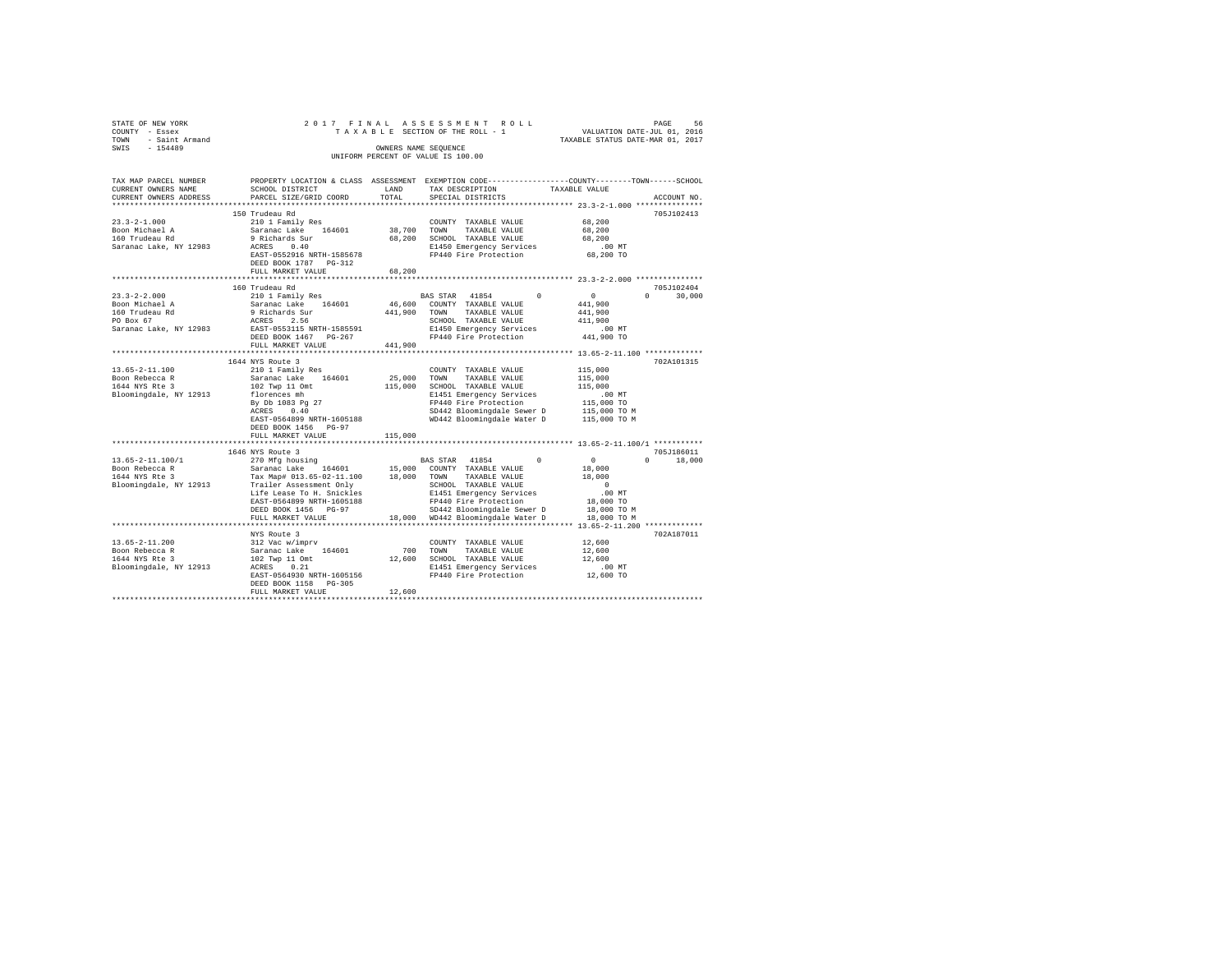| STATE OF NEW YORK                        |                                                  |             | 2017 FINAL ASSESSMENT ROLL                                                                     | PAGE 56<br>VALUATION DATE-JUL 01, 2016 |               |
|------------------------------------------|--------------------------------------------------|-------------|------------------------------------------------------------------------------------------------|----------------------------------------|---------------|
| COUNTY - Essex<br>TOWN - Saint Armand    |                                                  |             | TAXABLE SECTION OF THE ROLL - 1                                                                | TAXABLE STATUS DATE-MAR 01, 2017       |               |
| SWIS - 154489                            |                                                  |             | OWNERS NAME SEQUENCE                                                                           |                                        |               |
|                                          |                                                  |             | UNIFORM PERCENT OF VALUE IS 100.00                                                             |                                        |               |
|                                          |                                                  |             |                                                                                                |                                        |               |
| TAX MAP PARCEL NUMBER                    |                                                  |             | PROPERTY LOCATION & CLASS ASSESSMENT EXEMPTION CODE---------------COUNTY-------TOWN-----SCHOOL |                                        |               |
| CURRENT OWNERS NAME                      | SCHOOL DISTRICT                                  | LAND        | TAX DESCRIPTION                                                                                | TAXABLE VALUE                          |               |
| CURRENT OWNERS ADDRESS                   | PARCEL SIZE/GRID COORD                           | TOTAL       | SPECIAL DISTRICTS                                                                              |                                        | ACCOUNT NO.   |
|                                          |                                                  |             |                                                                                                |                                        |               |
|                                          | 150 Trudeau Rd                                   |             |                                                                                                |                                        | 705J102413    |
| $23.3 - 2 - 1.000$                       | 210 1 Family Res                                 |             | COUNTY TAXABLE VALUE                                                                           | 68,200                                 |               |
| Boon Michael A                           | Saranac Lake 164601                              | 38,700 TOWN | TAXABLE VALUE                                                                                  | 68,200                                 |               |
| 160 Trudeau Rd                           | 9 Richards Sur<br>ACRES 0.40                     |             | 68.200 SCHOOL TAXABLE VALUE                                                                    | 68,200                                 |               |
| Saranac Lake, NY 12983                   |                                                  |             | E1450 Emergency Services                                                                       | $.00$ MT                               |               |
|                                          | EAST-0552916 NRTH-1585678                        |             | FP440 Fire Protection                                                                          | 68,200 TO                              |               |
|                                          | DEED BOOK 1787 PG-312<br>FULL MARKET VALUE       | 68,200      |                                                                                                |                                        |               |
|                                          |                                                  |             |                                                                                                |                                        |               |
|                                          | 160 Trudeau Rd                                   |             |                                                                                                |                                        | 705J102404    |
| $23.3 - 2 - 2.000$                       | 210 1 Family Res                                 |             | BAS STAR 41854                                                                                 | $\sim$ 0                               | $0 \t 30,000$ |
| Boon Michael A                           | Saranac Lake 164601                              |             | 46,600 COUNTY TAXABLE VALUE                                                                    | 441,900                                |               |
|                                          | 9 Richards Sur                                   |             | 441,900 TOWN TAXABLE VALUE                                                                     | 441,900                                |               |
| 160 Trudeau Rd<br>PO Box 67              | ACRES 2.56                                       |             | SCHOOL TAXABLE VALUE                                                                           | 411,900                                |               |
|                                          | Saranac Lake, NY 12983 EAST-0553115 NRTH-1585591 |             | E1450 Emergency Services<br>FP440 Fire Protection                                              | .00 MT                                 |               |
|                                          | DEED BOOK 1467 PG-267                            |             |                                                                                                | 441,900 TO                             |               |
|                                          | FULL MARKET VALUE                                | 441,900     |                                                                                                |                                        |               |
|                                          |                                                  |             |                                                                                                |                                        |               |
|                                          | 1644 NYS Route 3                                 |             |                                                                                                |                                        | 702A101315    |
| $13.65 - 2 - 11.100$                     | 210 1 Family Res                                 |             | COUNTY TAXABLE VALUE                                                                           | 115,000                                |               |
| Boon Rebecca R                           | Saranac Lake 164601                              | 25,000      | TOWN<br>TAXABLE VALUE                                                                          | 115,000                                |               |
| 1644 NYS Rte 3                           | 102 Twp 11 Omt                                   |             | 115,000 SCHOOL TAXABLE VALUE                                                                   | 115,000                                |               |
| Bloomingdale, NY 12913                   | florences mh                                     |             | E1451 Emergency Services                                                                       | $.00$ MT                               |               |
|                                          | By Db 1083 Pg 27                                 |             | FP440 Fire Protection                                                                          | 115,000 TO                             |               |
|                                          | ACRES 0.40<br>EAST-0564899 NRTH-1605188          |             | SD442 Bloomingdale Sewer D<br>WD442 Bloomingdale Water D                                       | 115,000 TO M<br>115,000 TO M           |               |
|                                          | DEED BOOK 1456 PG-97                             |             |                                                                                                |                                        |               |
|                                          | FULL MARKET VALUE                                | 115,000     |                                                                                                |                                        |               |
|                                          |                                                  |             |                                                                                                |                                        |               |
|                                          | 1646 NYS Route 3                                 |             |                                                                                                |                                        | 705J186011    |
| $13.65 - 2 - 11.100 / 1$                 | 270 Mfg housing                                  |             | BAS STAR 41854<br>$^{\circ}$                                                                   | $\sim$ 0                               | $0 \t 18.000$ |
| Boon Rebecca R                           | Saranac Lake 164601 15,000 COUNTY TAXABLE VALUE  |             |                                                                                                | 18,000                                 |               |
| 1644 NYS Rte 3                           |                                                  |             | TAXABLE VALUE                                                                                  | 18,000                                 |               |
| Bloomingdale, NY 12913                   | Trailer Assessment Only                          |             | SCHOOL TAXABLE VALUE                                                                           | $\sim$ 0                               |               |
|                                          | Life Lease To H. Snickles                        |             | E1451 Emergency Services                                                                       | .00MT                                  |               |
|                                          | EAST-0564899 NRTH-1605188                        |             | FP440 Fire Protection                                                                          | 18,000 TO                              |               |
|                                          | DEED BOOK 1456 PG-97                             |             | SD442 Bloomingdale Sewer D                                                                     | 18,000 TO M                            |               |
|                                          | FULL MARKET VALUE                                |             | 18,000 WD442 Bloomingdale Water D                                                              | 18,000 TO M                            |               |
|                                          |                                                  |             |                                                                                                |                                        |               |
|                                          | NYS Route 3                                      |             |                                                                                                |                                        | 702A187011    |
| $13.65 - 2 - 11.200$                     | 312 Vac w/imprv                                  |             | COUNTY TAXABLE VALUE                                                                           | 12,600                                 |               |
| Boon Rebecca R                           | Saranac Lake 164601<br>102 Twp 11 Omt            | 700 TOWN    | TAXABLE VALUE<br>12,600 SCHOOL TAXABLE VALUE                                                   | 12,600<br>12,600                       |               |
| 1644 NYS Rte 3<br>Bloomingdale, NY 12913 | ACRES 0.21                                       |             | E1451 Emergency Services                                                                       | .00 MT                                 |               |
|                                          | EAST-0564930 NRTH-1605156                        |             | FP440 Fire Protection                                                                          | $12.600$ TO                            |               |
|                                          | DEED BOOK 1158 PG-305                            |             |                                                                                                |                                        |               |
|                                          | FULL MARKET VALUE                                | 12,600      |                                                                                                |                                        |               |
|                                          |                                                  |             |                                                                                                |                                        |               |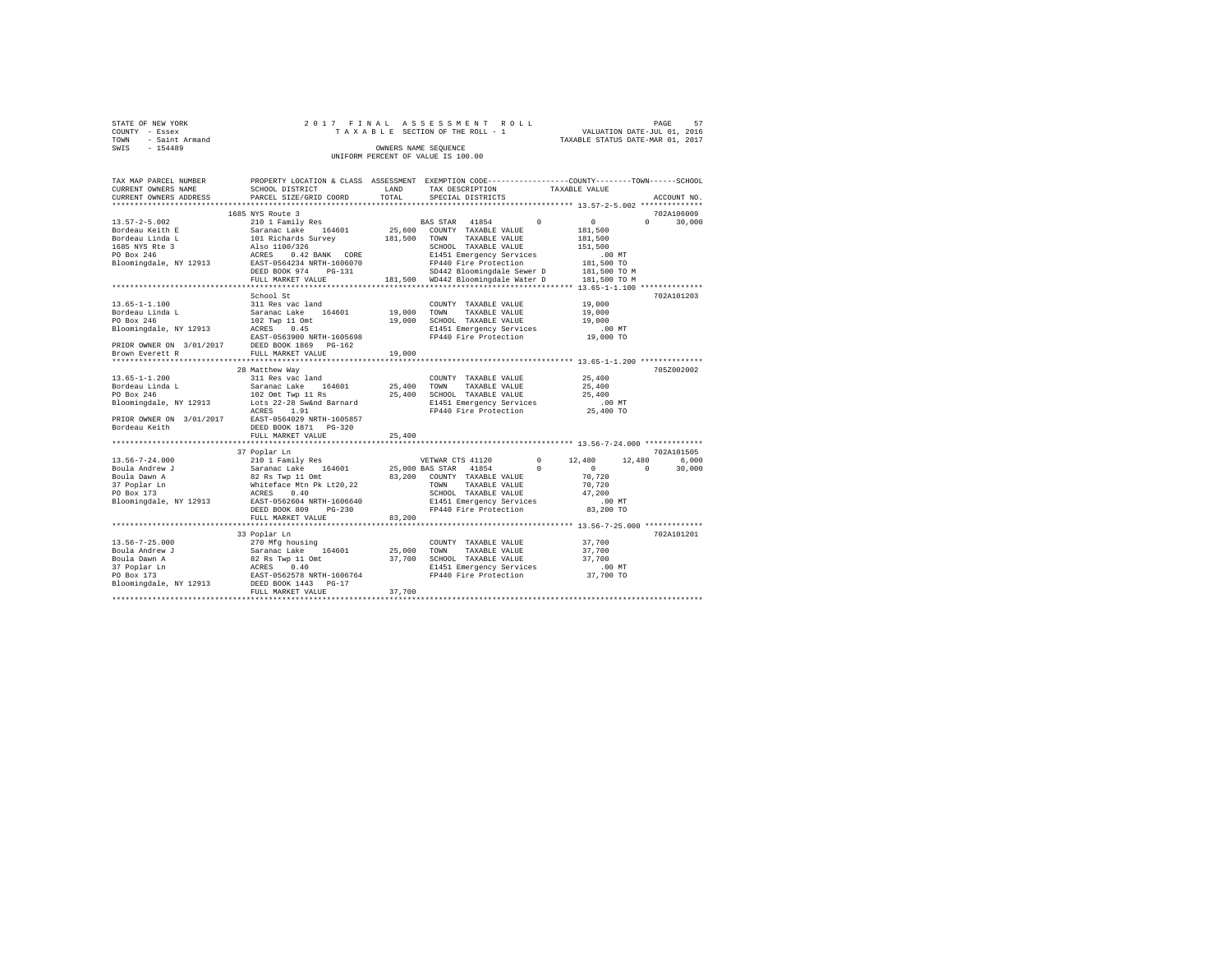| STATE OF NEW YORK   | 2017 FINAL ASSESSMENT ROLL         | PAGE                             | 57 |
|---------------------|------------------------------------|----------------------------------|----|
| COUNTY - Essex      | TAXABLE SECTION OF THE ROLL - 1    | VALUATION DATE-JUL 01, 2016      |    |
| TOWN - Saint Armand |                                    | TAXABLE STATUS DATE-MAR 01, 2017 |    |
| SWIS<br>$-154489$   | OWNERS NAME SEOUENCE               |                                  |    |
|                     | UNIFORM PERCENT OF VALUE IS 100.00 |                                  |    |

| TAX MAP PARCEL NUMBER                                                                          |                                                                                                          |             | PROPERTY LOCATION & CLASS ASSESSMENT EXEMPTION CODE----------------COUNTY-------TOWN------SCHOOL |                                                      |                    |
|------------------------------------------------------------------------------------------------|----------------------------------------------------------------------------------------------------------|-------------|--------------------------------------------------------------------------------------------------|------------------------------------------------------|--------------------|
| CURRENT OWNERS NAME                                                                            | SCHOOL DISTRICT                                                                                          | LAND        | TAX DESCRIPTION                                                                                  | TAXABLE VALUE                                        |                    |
| CURRENT OWNERS ADDRESS                                                                         | PARCEL SIZE/GRID COORD                                                                                   | TOTAL       | SPECIAL DISTRICTS                                                                                |                                                      | ACCOUNT NO.        |
|                                                                                                |                                                                                                          |             |                                                                                                  |                                                      |                    |
|                                                                                                | 1685 NYS Route 3                                                                                         |             |                                                                                                  |                                                      | 702A106009         |
| 13.57-2-5.002                                                                                  | 210 1 Family Res                                                                                         |             | BAS STAR 41854<br>$\Omega$                                                                       | $\circ$                                              | $\Omega$<br>30,000 |
| Bordeau Keith E                                                                                |                                                                                                          | 25,600      | COUNTY TAXABLE VALUE                                                                             | 181,500                                              |                    |
| Bordeau Linda L                                                                                |                                                                                                          | 181,500     | TOWN TAXABLE VALUE                                                                               | 181,500                                              |                    |
| 1685 NYS Rte 3                                                                                 |                                                                                                          |             | SCHOOL TAXABLE VALUE                                                                             | 151,500                                              |                    |
| PO Box 246                                                                                     | Saranac Lake 164601<br>101 Richards Survey<br>Also 1100/326<br>ACRES 0.42 BANK CORE                      |             | E1451 Emergency Services                                                                         | $.00$ MT                                             |                    |
| Bloomingdale, NY 12913 EAST-0564234 NRTH-1606070                                               |                                                                                                          |             | FP440 Fire Protection                                                                            | 181,500 TO                                           |                    |
|                                                                                                | DEED BOOK 974<br>$PG-131$                                                                                |             | SD442 Bloomingdale Sewer D 181,500 TO M                                                          |                                                      |                    |
|                                                                                                | FULL MARKET VALUE                                                                                        |             | 181,500 WD442 Bloomingdale Water D 181,500 TO M                                                  |                                                      |                    |
|                                                                                                |                                                                                                          |             |                                                                                                  |                                                      |                    |
|                                                                                                | School St                                                                                                |             |                                                                                                  |                                                      | 702A101203         |
| $13.65 - 1 - 1.100$                                                                            |                                                                                                          |             |                                                                                                  |                                                      |                    |
|                                                                                                |                                                                                                          |             | COUNTY TAXABLE VALUE                                                                             | 19,000                                               |                    |
| Bordeau Linda L                                                                                |                                                                                                          | 19,000 TOWN | TAXABLE VALUE                                                                                    | 19,000                                               |                    |
| PO Box 246                                                                                     |                                                                                                          |             | 19,000 SCHOOL TAXABLE VALUE                                                                      | 19,000                                               |                    |
| Bloomingdale, NY 12913                                                                         | 311 Res vac land<br>Saranac Lake 164601<br>102 Twp 11 Omt<br>ACRES 0.45                                  |             | E1451 Emergency Services                                                                         | .00 MT                                               |                    |
|                                                                                                |                                                                                                          |             | FP440 Fire Protection                                                                            | 19,000 TO                                            |                    |
| EAST-0563900 NRTH-1605698<br>PRIOR OWNER ON 3/01/2017 DEED BOOK 1869 PG-162<br>Brown Everett R |                                                                                                          |             |                                                                                                  |                                                      |                    |
|                                                                                                |                                                                                                          | 19,000      |                                                                                                  |                                                      |                    |
|                                                                                                |                                                                                                          |             |                                                                                                  |                                                      |                    |
|                                                                                                | 28 Matthew Way                                                                                           |             |                                                                                                  |                                                      | 705Z002002         |
| $13.65 - 1 - 1.200$                                                                            |                                                                                                          |             | COUNTY TAXABLE VALUE                                                                             | 25,400                                               |                    |
|                                                                                                |                                                                                                          |             | 25,400 TOWN<br>TAXABLE VALUE                                                                     | 25,400                                               |                    |
| Bordeau Linda L<br>PO Box 246                                                                  | 311 Res vac land<br>Saranac Lake 164601<br>102 Omt Twp 11 Rs<br>Lots 22-28 Sw&nd Barnard                 | 25,400      | SCHOOL TAXABLE VALUE                                                                             | 25,400                                               |                    |
| Bloomingdale, NY 12913                                                                         |                                                                                                          |             | E1451 Emergency Services                                                                         | .00 MT                                               |                    |
|                                                                                                | ACRES 1.91                                                                                               |             | FP440 Fire Protection                                                                            | 25,400 TO                                            |                    |
| PRIOR OWNER ON 3/01/2017 EAST-0564029 NRTH-1605857                                             |                                                                                                          |             |                                                                                                  |                                                      |                    |
| Bordeau Keith                                                                                  | DEED BOOK 1871 PG-320                                                                                    |             |                                                                                                  |                                                      |                    |
|                                                                                                | FULL MARKET VALUE                                                                                        | 25,400      |                                                                                                  |                                                      |                    |
|                                                                                                |                                                                                                          |             |                                                                                                  |                                                      |                    |
|                                                                                                | 37 Poplar Ln                                                                                             |             |                                                                                                  |                                                      | 702A101505         |
| 13.56-7-24.000                                                                                 | 210 1 Family Res                                                                                         |             | VETWAR CTS 41120<br>$^{\circ}$                                                                   | 12,480<br>12,480                                     | 6,000              |
| Boula Andrew J                                                                                 |                                                                                                          |             | 25,000 BAS STAR 41854<br>$\Omega$                                                                | $\sim$ 0                                             | 30,000<br>$\Omega$ |
| Boula Dawn A                                                                                   |                                                                                                          |             | 83,200 COUNTY TAXABLE VALUE                                                                      | 70,720                                               |                    |
|                                                                                                |                                                                                                          |             | TOWN                                                                                             |                                                      |                    |
| 37 Poplar Ln                                                                                   | Saranac Lake 164601<br>Saranac Lake 164601<br>82 Rs Twp 11 Omt<br>Whiteface Mtn Pk Lt20,22<br>ACRES 0.40 |             | TAXABLE VALUE                                                                                    | 70,720                                               |                    |
| PO Box 173                                                                                     |                                                                                                          |             | SCHOOL TAXABLE VALUE                                                                             | 47,200                                               |                    |
| Bloomingdale, NY 12913                                                                         | EAST-0562604 NRTH-1606640                                                                                |             | E1451 Emergency Services                                                                         | .00 MT                                               |                    |
|                                                                                                | DEED BOOK 809<br>PG-230                                                                                  |             | FP440 Fire Protection                                                                            | 83,200 TO                                            |                    |
|                                                                                                | FULL MARKET VALUE                                                                                        | 83,200      |                                                                                                  |                                                      |                    |
|                                                                                                | **********************                                                                                   |             |                                                                                                  | *********************** 13.56-7-25.000 ************* |                    |
|                                                                                                | 33 Poplar Ln                                                                                             |             |                                                                                                  |                                                      | 702A101201         |
| $13.56 - 7 - 25.000$                                                                           |                                                                                                          |             | COUNTY TAXABLE VALUE                                                                             | 37,700                                               |                    |
| Boula Andrew J                                                                                 |                                                                                                          | 25,000 TOWN | TAXABLE VALUE                                                                                    | 37,700                                               |                    |
| Boula Dawn A                                                                                   |                                                                                                          |             | 37,700 SCHOOL TAXABLE VALUE                                                                      | 37,700                                               |                    |
| 37 Poplar Ln                                                                                   |                                                                                                          |             | E1451 Emergency Services                                                                         | $.00$ MT                                             |                    |
| PO Box 173                                                                                     | 270 Mfg housing<br>Saranac Lake 164601<br>82 Rs Twp 11 Omt<br>ACRES 0.40<br>EAST-0562578 NRTH-1606764    |             | FP440 Fire Protection                                                                            | 37,700 TO                                            |                    |
| Bloomingdale, NY 12913                                                                         | DEED BOOK 1443 PG-17                                                                                     |             |                                                                                                  |                                                      |                    |
|                                                                                                | FULL MARKET VALUE                                                                                        | 37,700      |                                                                                                  |                                                      |                    |
|                                                                                                |                                                                                                          |             |                                                                                                  |                                                      |                    |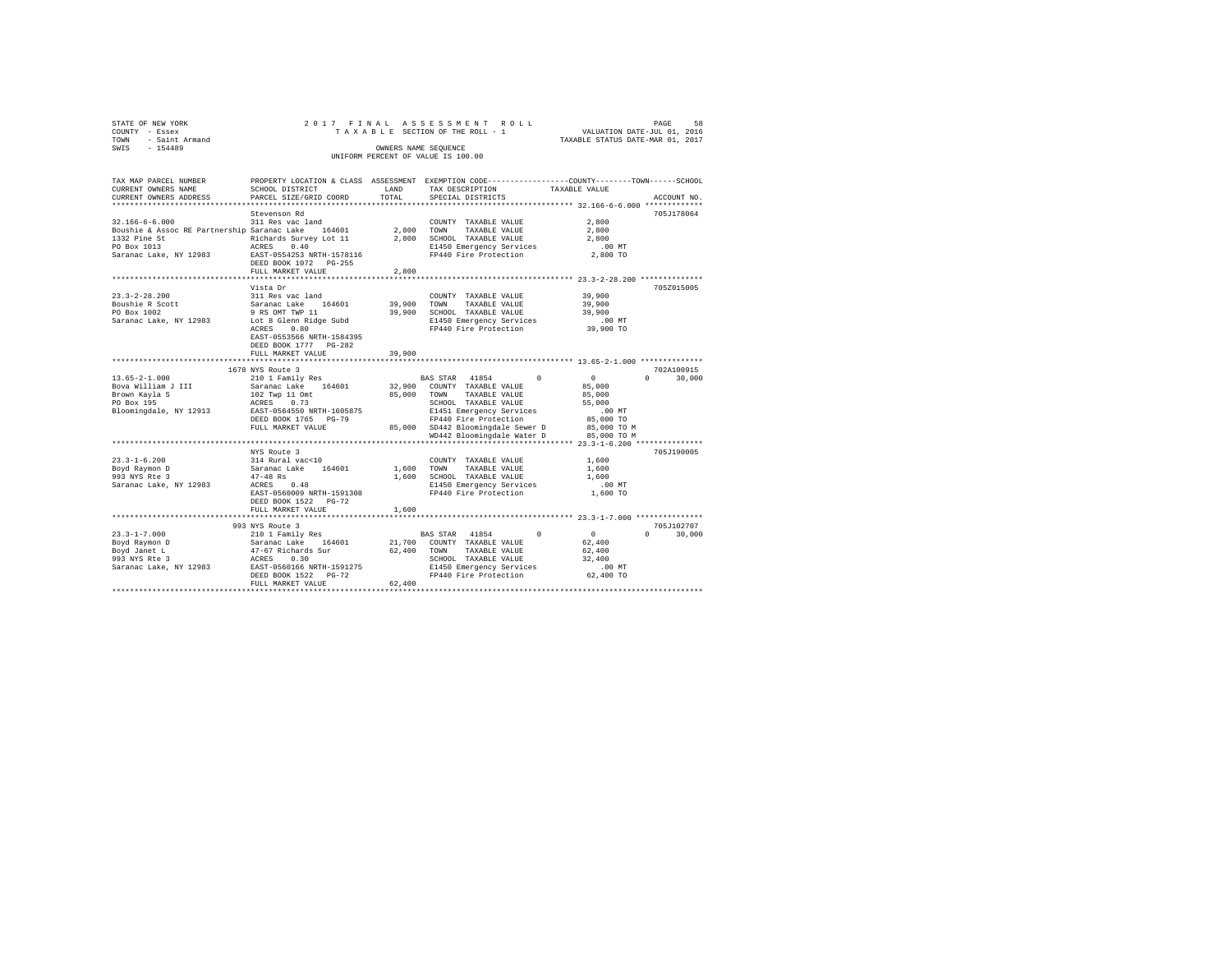| STATE OF NEW YORK   | 2017 FINAL ASSESSMENT ROLL         | 58<br>PAGE                       |
|---------------------|------------------------------------|----------------------------------|
| COUNTY - Essex      | TAXABLE SECTION OF THE ROLL - 1    | VALUATION DATE-JUL 01, 2016      |
| TOWN - Saint Armand |                                    | TAXABLE STATUS DATE-MAR 01, 2017 |
| SWIS<br>$-154489$   | OWNERS NAME SEOUENCE               |                                  |
|                     | UNIFORM PERCENT OF VALUE IS 100.00 |                                  |

| TAX MAP PARCEL NUMBER<br>CURRENT OWNERS NAME       | SCHOOL DISTRICT                                      | LAND        | TAX DESCRIPTION                                             | PROPERTY LOCATION & CLASS ASSESSMENT EXEMPTION CODE----------------COUNTY-------TOWN------SCHOOL<br>TAXABLE VALUE |
|----------------------------------------------------|------------------------------------------------------|-------------|-------------------------------------------------------------|-------------------------------------------------------------------------------------------------------------------|
| CURRENT OWNERS ADDRESS                             | PARCEL SIZE/GRID COORD                               | TOTAL       | SPECIAL DISTRICTS                                           | ACCOUNT NO.                                                                                                       |
|                                                    |                                                      |             |                                                             |                                                                                                                   |
|                                                    | Stevenson Rd                                         |             |                                                             | 705J178064                                                                                                        |
| $32.166 - 6 - 6.000$                               | 311 Res vac land                                     |             | COUNTY TAXABLE VALUE                                        | 2,800                                                                                                             |
| Boushie & Assoc RE Partnership Saranac Lake 164601 |                                                      |             | 2,800 TOWN<br>TAXABLE VALUE                                 | 2,800                                                                                                             |
| 1332 Pine St                                       | Richards Survey Lot 11                               |             | 2,800 SCHOOL TAXABLE VALUE                                  | 2,800                                                                                                             |
| PO Box 1013                                        | 0.40<br>ACRES                                        |             | E1450 Emergency Services                                    | .00 MT                                                                                                            |
| Saranac Lake, NY 12983                             | EAST-0554253 NRTH-1578116                            |             | FP440 Fire Protection                                       | 2,800 TO                                                                                                          |
|                                                    | DEED BOOK 1072 PG-255                                |             |                                                             |                                                                                                                   |
|                                                    | FULL MARKET VALUE                                    | 2,800       |                                                             |                                                                                                                   |
|                                                    |                                                      |             |                                                             | ********************************** 23.3-2-28.200 ***************                                                  |
|                                                    | Vista Dr                                             |             |                                                             | 705Z015005                                                                                                        |
| $23.3 - 2 - 28.200$                                | 311 Res vac land                                     |             | COUNTY TAXABLE VALUE                                        | 39,900                                                                                                            |
| Boushie R Scott                                    | Saranac Lake 164601                                  | 39,900 TOWN | TAXABLE VALUE                                               | 39,900                                                                                                            |
| PO Box 1002                                        | 9 RS OMT TWP 11                                      | 39,900      | SCHOOL TAXABLE VALUE                                        | 39,900                                                                                                            |
| Saranac Lake, NY 12983                             | Lot 8 Glenn Ridge Subd                               |             | E1450 Emergency Services                                    | $.00$ MT                                                                                                          |
|                                                    | 0.80<br>ACRES                                        |             | FP440 Fire Protection                                       | 39,900 TO                                                                                                         |
|                                                    | EAST-0553566 NRTH-1584395                            |             |                                                             |                                                                                                                   |
|                                                    | DEED BOOK 1777 PG-282                                |             |                                                             |                                                                                                                   |
|                                                    | FULL MARKET VALUE<br>******************************* | 39,900      |                                                             |                                                                                                                   |
|                                                    |                                                      |             |                                                             |                                                                                                                   |
|                                                    | 1678 NYS Route 3                                     |             |                                                             | 702A100915                                                                                                        |
| $13.65 - 2 - 1.000$                                | 210 1 Family Res<br>Saranac Lake 164601              |             | $^{\circ}$<br>BAS STAR 41854<br>32.900 COUNTY TAXABLE VALUE | $\overline{0}$<br>30,000<br>$\Omega$                                                                              |
| Bova William J III<br>Brown Kayla S                | 102 Twp 11 Omt                                       |             | 85,000 TOWN<br>TAXABLE VALUE                                | 85,000                                                                                                            |
| PO Box 195                                         | ACRES<br>0.73                                        |             |                                                             | 85,000                                                                                                            |
| Bloomingdale, NY 12913                             | EAST-0564550 NRTH-1605875                            |             | SCHOOL TAXABLE VALUE<br>E1451 Emergency Services            | 55,000<br>.00 MT                                                                                                  |
|                                                    |                                                      |             | FP440 Fire Protection                                       |                                                                                                                   |
|                                                    | DEED BOOK 1765 PG-79<br>FULL MARKET VALUE            |             | 85,000 SD442 Bloomingdale Sewer D                           | 85,000 TO<br>85,000 TO M                                                                                          |
|                                                    |                                                      |             | WD442 Bloomingdale Water D                                  | 85,000 TO M                                                                                                       |
|                                                    |                                                      |             |                                                             |                                                                                                                   |
|                                                    | NYS Route 3                                          |             |                                                             | 705J190005                                                                                                        |
| $23.3 - 1 - 6.200$                                 | 314 Rural vac<10                                     |             | COUNTY TAXABLE VALUE                                        | 1,600                                                                                                             |
| Boyd Raymon D                                      | Saranac Lake 164601                                  |             | 1,600 TOWN<br>TAXABLE VALUE                                 | 1,600                                                                                                             |
| 993 NYS Rte 3                                      | $47 - 48$ Rs                                         |             | 1,600 SCHOOL TAXABLE VALUE                                  | 1,600                                                                                                             |
| Saranac Lake, NY 12983                             | 0.48<br>ACRES                                        |             | E1450 Emergency Services                                    | $.00$ MT                                                                                                          |
|                                                    | EAST-0560009 NRTH-1591308                            |             | FP440 Fire Protection                                       | 1,600 TO                                                                                                          |
|                                                    | DEED BOOK 1522 PG-72                                 |             |                                                             |                                                                                                                   |
|                                                    | FULL MARKET VALUE                                    | 1,600       |                                                             |                                                                                                                   |
|                                                    |                                                      |             |                                                             |                                                                                                                   |
|                                                    | 993 NYS Route 3                                      |             |                                                             | 705J102707                                                                                                        |
| $23.3 - 1 - 7.000$                                 | 210 1 Family Res                                     |             | BAS STAR 41854<br>$\Omega$                                  | $\sim$ 0<br>$\Omega$<br>30,000                                                                                    |
| Boyd Raymon D                                      |                                                      |             | 21,700 COUNTY TAXABLE VALUE                                 | 62,400                                                                                                            |
| Boyd Janet L                                       | Saranac Lake 164601<br>47-67 Richards Sur            |             | 62,400 TOWN<br>TAXABLE VALUE                                | 62,400                                                                                                            |
| 993 NYS Rte 3                                      |                                                      |             | SCHOOL TAXABLE VALUE                                        | 32,400                                                                                                            |
| Saranac Lake, NY 12983                             | ACRES 0.30<br>EAST-0560166 NRTH-1591275              |             | E1450 Emergency Services                                    | $.00$ MT                                                                                                          |
|                                                    | DEED BOOK 1522 PG-72                                 |             | FP440 Fire Protection                                       | 62,400 TO                                                                                                         |
|                                                    | FULL MARKET VALUE                                    | 62,400      |                                                             |                                                                                                                   |
|                                                    |                                                      |             |                                                             |                                                                                                                   |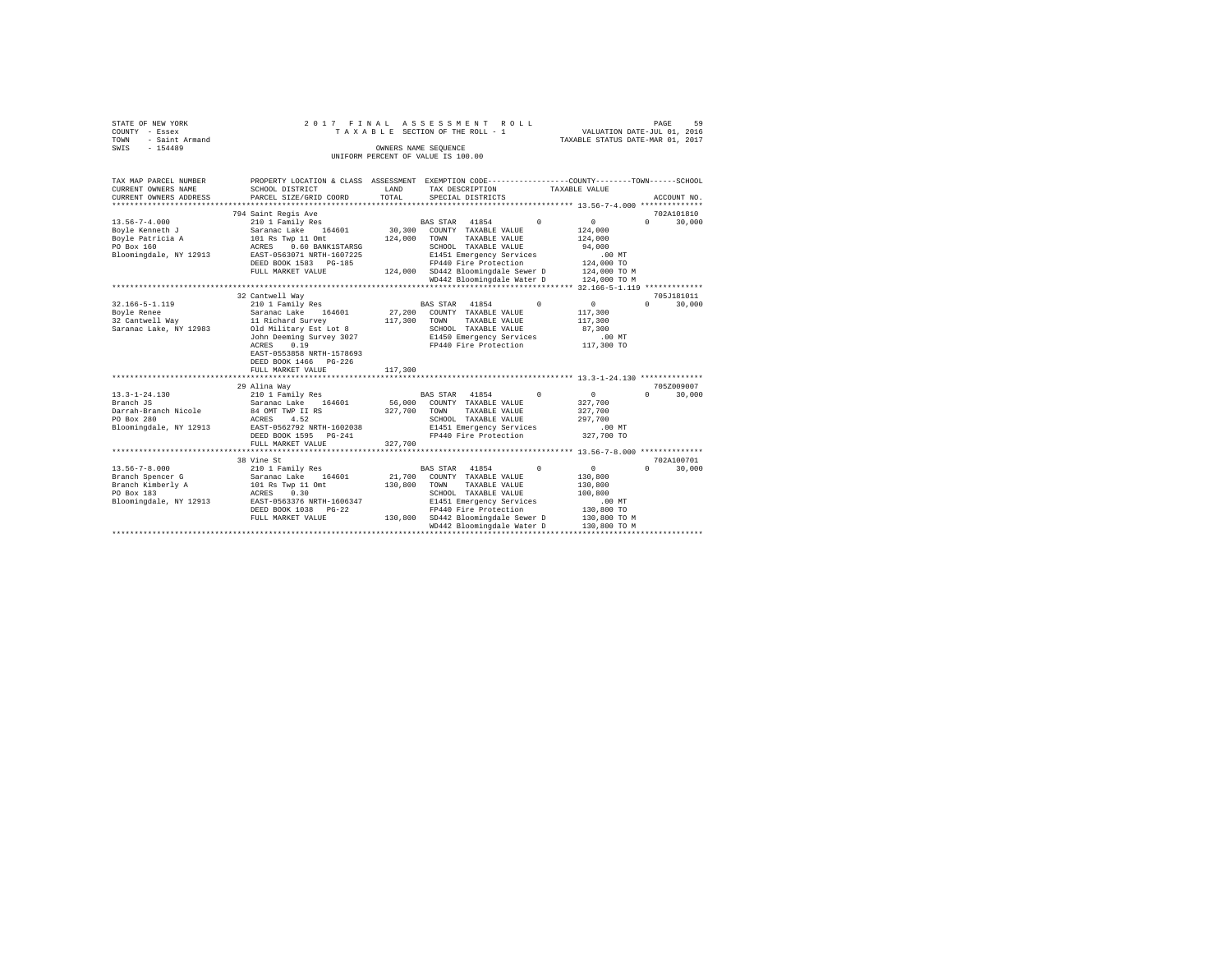| STATE OF NEW YORK<br>COUNTY - Essex | 2017 FINAL                                 |         | ASSESSMENT ROLL<br>TAXABLE SECTION OF THE ROLL - 1                                              | VALUATION DATE-JUL 01, 2016      | PAGE<br>59             |
|-------------------------------------|--------------------------------------------|---------|-------------------------------------------------------------------------------------------------|----------------------------------|------------------------|
| - Saint Armand<br>TOWN              |                                            |         |                                                                                                 | TAXABLE STATUS DATE-MAR 01, 2017 |                        |
| $-154489$<br>SWIS                   |                                            |         | OWNERS NAME SEOUENCE                                                                            |                                  |                        |
|                                     |                                            |         | UNIFORM PERCENT OF VALUE IS 100.00                                                              |                                  |                        |
|                                     |                                            |         |                                                                                                 |                                  |                        |
| TAX MAP PARCEL NUMBER               |                                            |         | PROPERTY LOCATION & CLASS ASSESSMENT EXEMPTION CODE---------------COUNTY-------TOWN------SCHOOL |                                  |                        |
| CURRENT OWNERS NAME                 | SCHOOL DISTRICT                            | LAND    | TAX DESCRIPTION                                                                                 | TAXABLE VALUE                    |                        |
| CURRENT OWNERS ADDRESS              | PARCEL SIZE/GRID COORD                     | TOTAL   | SPECIAL DISTRICTS                                                                               |                                  | ACCOUNT NO.            |
| *****************                   |                                            |         |                                                                                                 |                                  |                        |
|                                     | 794 Saint Regis Ave                        |         |                                                                                                 |                                  | 702A101810             |
| $13.56 - 7 - 4.000$                 | 210 1 Family Res                           |         | 41854<br>$^{\circ}$<br><b>BAS STAR</b>                                                          | $\circ$                          | $\Omega$<br>30,000     |
| Boyle Kenneth J                     | Saranac Lake 164601                        | 30,300  | COUNTY TAXABLE VALUE                                                                            | 124,000                          |                        |
| Boyle Patricia A                    | 101 Rs Twp 11 Omt                          | 124,000 | TOWN<br>TAXABLE VALUE                                                                           | 124,000                          |                        |
| PO Box 160                          | ACRES 0.60 BANK1STARSG                     |         | SCHOOL TAXABLE VALUE                                                                            | 94,000                           |                        |
| Bloomingdale, NY 12913              | EAST-0563071 NRTH-1607225                  |         | E1451 Emergency Services                                                                        | $.00$ MT                         |                        |
|                                     | DEED BOOK 1583 PG-185                      |         | FP440 Fire Protection                                                                           | 124,000 TO                       |                        |
|                                     | FULL MARKET VALUE                          | 124,000 | SD442 Bloomingdale Sewer D                                                                      | 124,000 TO M                     |                        |
|                                     |                                            |         | WD442 Bloomingdale Water D                                                                      | 124,000 TO M                     |                        |
|                                     |                                            |         |                                                                                                 |                                  |                        |
|                                     | 32 Cantwell Wav                            |         |                                                                                                 |                                  | 705J181011             |
| $32.166 - 5 - 1.119$                | 210 1 Family Res                           |         | BAS STAR 41854<br>$\Omega$                                                                      | $\mathbf{0}$                     | $\Omega$<br>30,000     |
| Boyle Renee                         | Saranac Lake 164601                        | 27,200  | COUNTY TAXABLE VALUE                                                                            | 117,300                          |                        |
| 32 Cantwell Way                     | 11 Richard Survey                          | 117,300 | TAXABLE VALUE<br>TOWN                                                                           | 117,300                          |                        |
| Saranac Lake, NY 12983              | Old Military Est Lot 8                     |         | SCHOOL TAXABLE VALUE                                                                            | 87,300                           |                        |
|                                     | John Deeming Survey 3027                   |         | E1450 Emergency Services                                                                        | $.00$ MT                         |                        |
|                                     | ACRES<br>0.19                              |         | FP440 Fire Protection                                                                           | 117,300 TO                       |                        |
|                                     | EAST-0553858 NRTH-1578693                  |         |                                                                                                 |                                  |                        |
|                                     | DEED BOOK 1466 PG-226<br>FULL MARKET VALUE | 117,300 |                                                                                                 |                                  |                        |
|                                     |                                            |         |                                                                                                 |                                  |                        |
|                                     | 29 Alina Way                               |         |                                                                                                 |                                  | 705Z009007             |
| $13.3 - 1 - 24.130$                 | 210 1 Family Res                           |         | 41854<br>$\Omega$<br>BAS STAR                                                                   | $\mathbf{0}$                     | 30,000<br>$\Omega$     |
| Branch JS                           | Saranac Lake 164601                        | 56,000  | COUNTY TAXABLE VALUE                                                                            | 327,700                          |                        |
| Darrah-Branch Nicole                | 84 OMT TWP II RS                           | 327,700 | TOWN<br>TAXABLE VALUE                                                                           | 327,700                          |                        |
| PO Box 280                          | 4.52<br>ACRES                              |         | SCHOOL TAXABLE VALUE                                                                            | 297,700                          |                        |
| Bloomingdale, NY 12913              | EAST-0562792 NRTH-1602038                  |         | E1451 Emergency Services                                                                        | $.00$ MT                         |                        |
|                                     | DEED BOOK 1595 PG-241                      |         | FP440 Fire Protection                                                                           | 327,700 TO                       |                        |
|                                     | FULL MARKET VALUE                          | 327,700 |                                                                                                 |                                  |                        |
|                                     | ******************************             |         |                                                                                                 |                                  |                        |
|                                     | 38 Vine St                                 |         |                                                                                                 |                                  | 702A100701             |
| $13.56 - 7 - 8.000$                 | 210 1 Family Res                           |         | 41854<br>$\Omega$<br><b>BAS STAR</b>                                                            | $\circ$                          | 30,000<br>$\mathbf{r}$ |
| Branch Spencer G                    | Saranac Lake 164601                        | 21,700  | COUNTY TAXABLE VALUE                                                                            | 130,800                          |                        |
| Branch Kimberly A                   | 101 Rs Twp 11 Omt                          | 130,800 | TOWN<br>TAXABLE VALUE                                                                           | 130,800                          |                        |
| PO Box 183                          | ACRES 0.30                                 |         | SCHOOL TAXABLE VALUE                                                                            | 100,800                          |                        |
| Bloomingdale, NY 12913              | EAST-0563376 NRTH-1606347                  |         | E1451 Emergency Services                                                                        | .00MT                            |                        |
|                                     | DEED BOOK 1038 PG-22                       |         | FP440 Fire Protection                                                                           | 130,800 TO                       |                        |
|                                     | FULL MARKET VALUE                          |         | 130,800 SD442 Bloomingdale Sewer D                                                              | 130,800 TO M                     |                        |
|                                     |                                            |         | WD442 Bloomingdale Water D                                                                      | 130,800 TO M                     |                        |
|                                     |                                            |         |                                                                                                 |                                  |                        |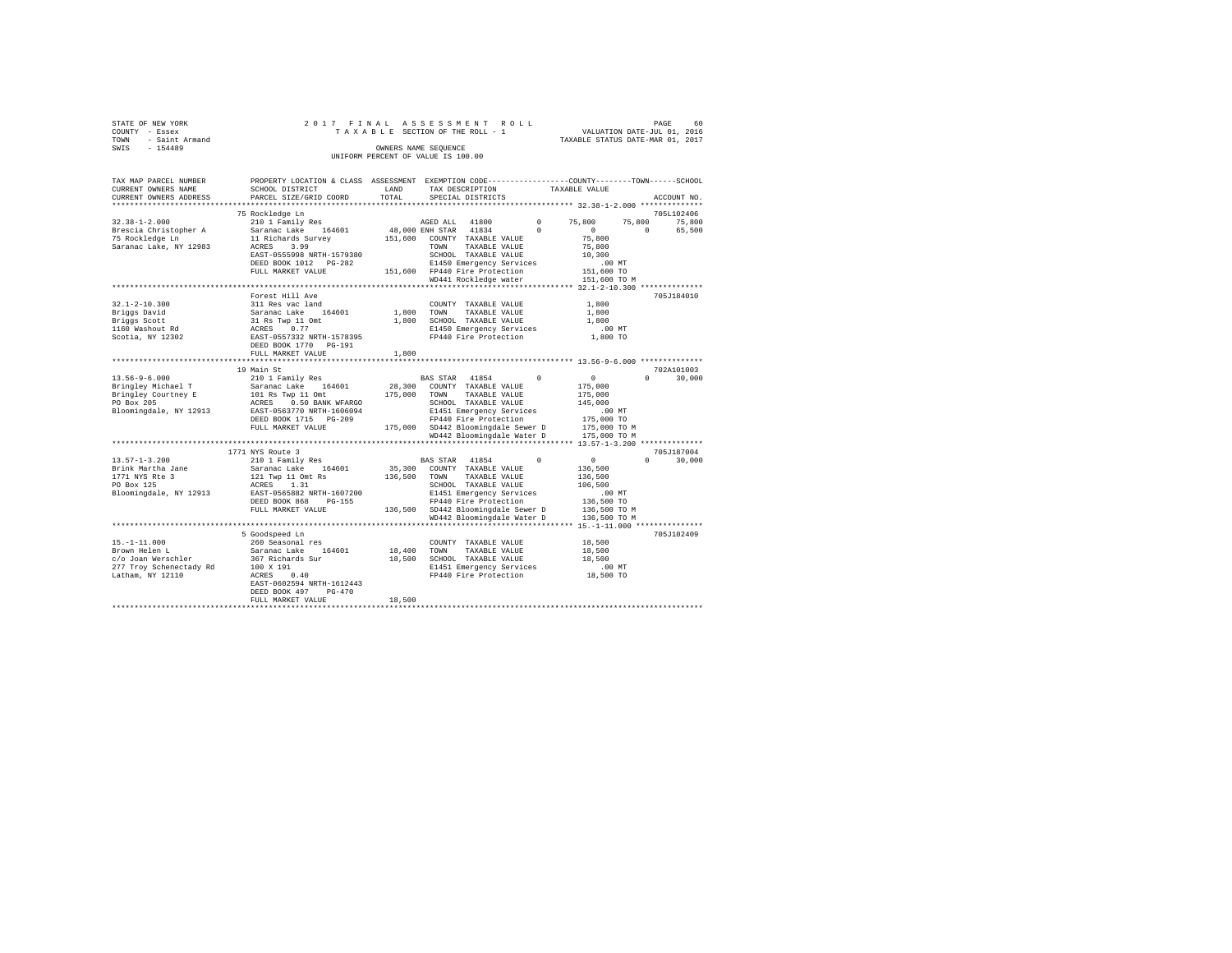| STATE OF NEW YORK |                     |  |  |  | 2017 FINAL ASSESSMENT ROLL         |  |  |  |  |  |                                  |                             |  | PAGE | 60. |  |
|-------------------|---------------------|--|--|--|------------------------------------|--|--|--|--|--|----------------------------------|-----------------------------|--|------|-----|--|
| COUNTY - Essex    |                     |  |  |  | TAXABLE SECTION OF THE ROLL - 1    |  |  |  |  |  |                                  | VALUATION DATE-JUL 01, 2016 |  |      |     |  |
|                   | TOWN - Saint Armand |  |  |  |                                    |  |  |  |  |  | TAXABLE STATUS DATE-MAR 01, 2017 |                             |  |      |     |  |
| SWIS              | $-154489$           |  |  |  | OWNERS NAME SEOUENCE               |  |  |  |  |  |                                  |                             |  |      |     |  |
|                   |                     |  |  |  | UNIFORM PERCENT OF VALUE IS 100.00 |  |  |  |  |  |                                  |                             |  |      |     |  |

| TAX MAP PARCEL NUMBER<br>CURRENT OWNERS NAME<br>CURRENT OWNERS ADDRESS | PROPERTY LOCATION & CLASS ASSESSMENT EXEMPTION CODE---------------COUNTY-------TOWN-----SCHOOL<br>SCHOOL DISTRICT<br>PARCEL SIZE/GRID COORD | LAND<br>TOTAL | TAX DESCRIPTION<br>SPECIAL DISTRICTS                         |          | TAXABLE VALUE    | ACCOUNT NO.                                   |
|------------------------------------------------------------------------|---------------------------------------------------------------------------------------------------------------------------------------------|---------------|--------------------------------------------------------------|----------|------------------|-----------------------------------------------|
|                                                                        |                                                                                                                                             |               |                                                              |          |                  |                                               |
|                                                                        | 75 Rockledge Ln                                                                                                                             |               |                                                              |          |                  | 705L102406                                    |
| $32.38 - 1 - 2.000$                                                    | 210 1 Family Res                                                                                                                            |               | AGED ALL 41800                                               | $\Omega$ | 75,800<br>75,800 | 75,800                                        |
| Brescia Christopher A                                                  | Saranac Lake 164601                                                                                                                         |               | 48,000 ENH STAR 41834                                        | $\Omega$ | $\sim$ 0         | $\Omega$<br>65,500                            |
| 75 Rockledge Ln                                                        | 11 Richards Survey                                                                                                                          |               | 151,600 COUNTY TAXABLE VALUE                                 |          | 75,800           |                                               |
| Saranac Lake, NY 12983                                                 | 3.99<br>ACRES                                                                                                                               |               | TOWN TAXABLE VALUE                                           |          | 75,800<br>10,300 |                                               |
|                                                                        | EAST-0555998 NRTH-1579380<br>DEED BOOK 1012 PG-282                                                                                          |               | SCHOOL TAXABLE VALUE<br>E1450 Emergency Services             |          | $.00$ MT         |                                               |
|                                                                        | FULL MARKET VALUE                                                                                                                           |               | 151,600 FP440 Fire Protection                                |          | 151,600 TO       |                                               |
|                                                                        |                                                                                                                                             |               | WD441 Rockledge water                                        |          | 151,600 TO M     |                                               |
|                                                                        |                                                                                                                                             |               | ******************************** 32.1-2-10.300 ************* |          |                  |                                               |
|                                                                        | Forest Hill Ave                                                                                                                             |               |                                                              |          |                  | 705J184010                                    |
| $32.1 - 2 - 10.300$                                                    | 311 Res vac land                                                                                                                            |               | COUNTY TAXABLE VALUE                                         |          | 1,800            |                                               |
| Briggs David                                                           | Saranac Lake 164601                                                                                                                         |               | 1,800 TOWN<br>TAXABLE VALUE                                  |          | 1,800            |                                               |
| Briggs Scott                                                           | 31 Rs Twp 11 Omt<br>ACRES 0.77                                                                                                              |               | 1,800 SCHOOL TAXABLE VALUE                                   |          | 1,800            |                                               |
| 1160 Washout Rd                                                        |                                                                                                                                             |               | E1450 Emergency Services                                     |          | $.00$ MT         |                                               |
| Scotia, NY 12302                                                       | EAST-0557332 NRTH-1578395                                                                                                                   |               | FP440 Fire Protection                                        |          | 1,800 TO         |                                               |
|                                                                        | DEED BOOK 1770 PG-191                                                                                                                       |               |                                                              |          |                  |                                               |
|                                                                        | FULL MARKET VALUE<br>*********************************                                                                                      | 1,800         |                                                              |          |                  |                                               |
|                                                                        | 19 Main St                                                                                                                                  |               |                                                              |          |                  | 702A101003                                    |
| $13.56 - 9 - 6.000$                                                    | 210 1 Family Res                                                                                                                            |               | BAS STAR 41854                                               | $\sim$ 0 | $\sim$ 0         | $\Omega$<br>30,000                            |
| Bringley Michael T                                                     | Saranac Lake 164601                                                                                                                         |               | 28,300 COUNTY TAXABLE VALUE                                  |          | 175,000          |                                               |
| Bringley Courtney E                                                    | 101 Rs Twp 11 Omt                                                                                                                           |               | 175,000 TOWN TAXABLE VALUE                                   |          | 175,000          |                                               |
| PO Box 205                                                             | ACRES 0.50 BANK WFARGO                                                                                                                      |               | SCHOOL TAXABLE VALUE                                         |          | 145,000          |                                               |
| Bloomingdale, NY 12913                                                 | EAST-0563770 NRTH-1606094                                                                                                                   |               | E1451 Emergency Services                                     |          | $.00$ MT         |                                               |
|                                                                        | DEED BOOK 1715 PG-209                                                                                                                       |               | FP440 Fire Protection                                        |          | 175,000 TO       |                                               |
|                                                                        | FULL MARKET VALUE                                                                                                                           |               | 175,000 SD442 Bloomingdale Sewer D                           |          | 175,000 TO M     |                                               |
|                                                                        |                                                                                                                                             |               | WD442 Bloomingdale Water D                                   |          | 175,000 TO M     |                                               |
|                                                                        |                                                                                                                                             |               |                                                              |          |                  |                                               |
| $13.57 - 1 - 3.200$                                                    | 1771 NYS Route 3<br>210 1 Family Res                                                                                                        |               | BAS STAR 41854                                               | $\Omega$ | $\sim$ 0         | 705J187004<br>30,000<br>$\Omega$ and $\Omega$ |
| Brink Martha Jane                                                      | Saranac Lake 164601                                                                                                                         | 35,300        | COUNTY TAXABLE VALUE                                         |          | 136,500          |                                               |
| 1771 NYS Rte 3                                                         | 121 Twp 11 Omt Rs                                                                                                                           | 136,500       | TOWN TAXABLE VALUE                                           |          | 136,500          |                                               |
| PO Box 125                                                             | ACRES 1.31                                                                                                                                  |               | SCHOOL TAXABLE VALUE                                         |          | 106,500          |                                               |
| Bloomingdale, NY 12913                                                 | EAST-0565882 NRTH-1607200                                                                                                                   |               | E1451 Emergency Services                                     |          | $.00$ MT         |                                               |
|                                                                        | DEED BOOK 868 PG-155                                                                                                                        |               | FP440 Fire Protection                                        |          | 136,500 TO       |                                               |
|                                                                        | FULL MARKET VALUE                                                                                                                           |               | 136,500 SD442 Bloomingdale Sewer D                           |          | 136,500 TO M     |                                               |
|                                                                        |                                                                                                                                             |               | WD442 Bloomingdale Water D                                   |          | 136,500 TO M     |                                               |
|                                                                        |                                                                                                                                             |               | ************************* 15.-1-11.000 ***********           |          |                  |                                               |
|                                                                        | 5 Goodspeed Ln                                                                                                                              |               |                                                              |          |                  | 705J102409                                    |
| $15. - 1 - 11.000$                                                     | 260 Seasonal res                                                                                                                            |               | COUNTY TAXABLE VALUE                                         |          | 18,500           |                                               |
| Brown Helen L                                                          | Saranac Lake 164601                                                                                                                         | 18,400 TOWN   | TAXABLE VALUE                                                |          | 18,500<br>18,500 |                                               |
| c/o Joan Werschler<br>277 Troy Schenectady Rd                          | 367 Richards Sur<br>100 X 191                                                                                                               |               | 18,500 SCHOOL TAXABLE VALUE<br>E1451 Emergency Services      |          | $.00$ MT         |                                               |
| Latham, NY 12110                                                       | $ACRES$ 0.40                                                                                                                                |               | FP440 Fire Protection                                        |          | 18,500 TO        |                                               |
|                                                                        | EAST-0602594 NRTH-1612443                                                                                                                   |               |                                                              |          |                  |                                               |
|                                                                        | DEED BOOK 497<br>PG-470                                                                                                                     |               |                                                              |          |                  |                                               |
|                                                                        | FULL MARKET VALUE                                                                                                                           | 18,500        |                                                              |          |                  |                                               |
|                                                                        |                                                                                                                                             |               |                                                              |          |                  |                                               |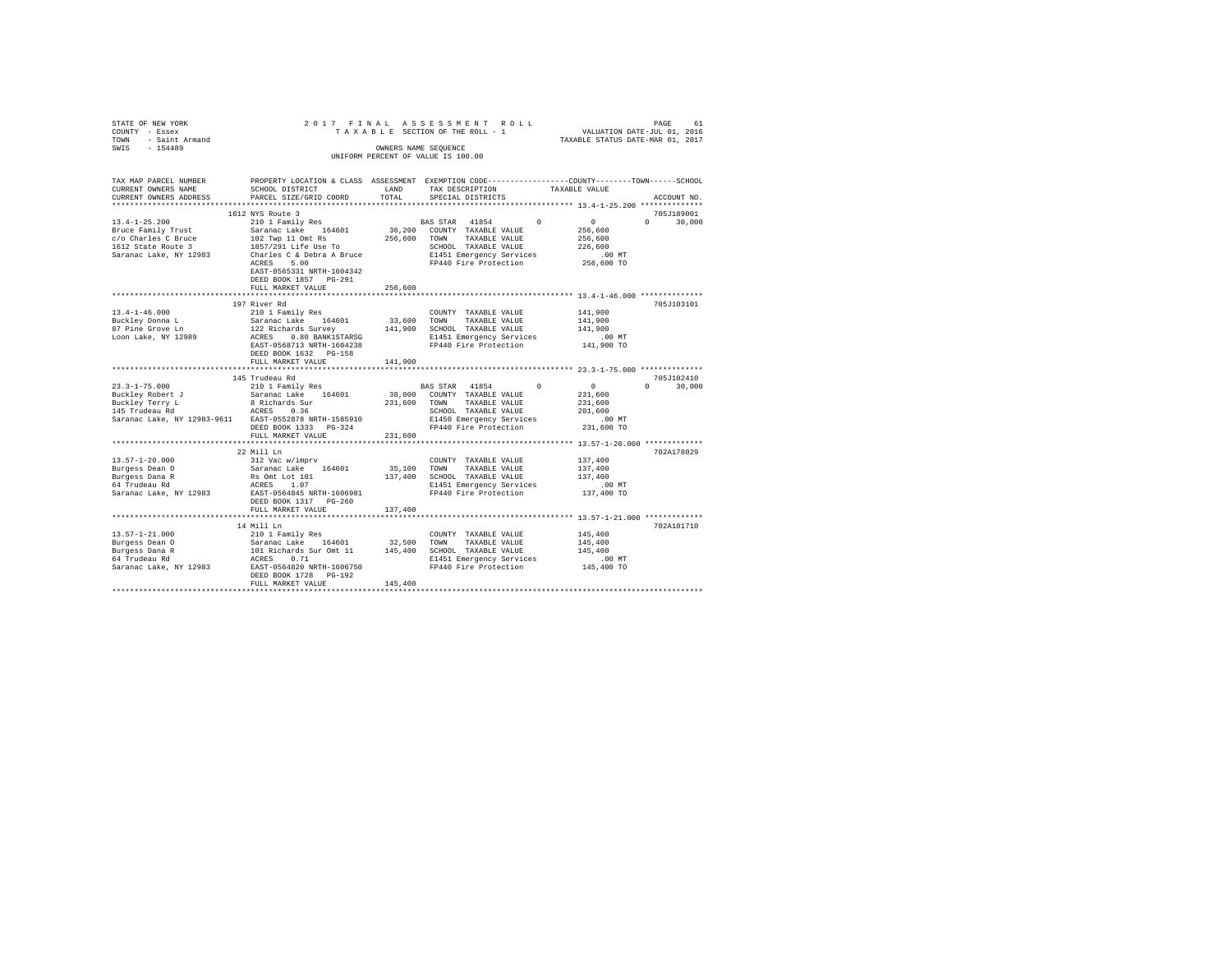| STATE OF NEW YORK<br>COUNTY - Essex<br>- Saint Armand<br>TOWN | 2017 FINAL                                                                                      |              | ASSESSMENT ROLL<br>TAXABLE SECTION OF THE ROLL - 1         | VALUATION DATE-JUL 01, 2016<br>TAXABLE STATUS DATE-MAR 01, 2017   | PAGE<br>61         |
|---------------------------------------------------------------|-------------------------------------------------------------------------------------------------|--------------|------------------------------------------------------------|-------------------------------------------------------------------|--------------------|
| $-154489$<br>SWIS                                             |                                                                                                 |              | OWNERS NAME SEOUENCE<br>UNIFORM PERCENT OF VALUE IS 100.00 |                                                                   |                    |
| TAX MAP PARCEL NUMBER                                         | PROPERTY LOCATION & CLASS ASSESSMENT EXEMPTION CODE---------------COUNTY-------TOWN------SCHOOL |              |                                                            |                                                                   |                    |
| CURRENT OWNERS NAME                                           | SCHOOL DISTRICT                                                                                 | LAND         | TAX DESCRIPTION                                            | TAXABLE VALUE                                                     |                    |
| CURRENT OWNERS ADDRESS                                        | PARCEL SIZE/GRID COORD                                                                          | TOTAL        | SPECIAL DISTRICTS                                          |                                                                   | ACCOUNT NO.        |
| ************************                                      |                                                                                                 |              |                                                            |                                                                   |                    |
|                                                               | 1612 NYS Route 3                                                                                |              |                                                            |                                                                   | 705J189001         |
| $13.4 - 1 - 25.200$                                           | 210 1 Family Res                                                                                |              | BAS STAR 41854                                             | $\Omega$<br>$\Omega$                                              | $\cap$<br>30,000   |
| Bruce Family Trust                                            | Saranac Lake 164601                                                                             | 36,200       | COUNTY TAXABLE VALUE                                       | 256,600                                                           |                    |
| c/o Charles C Bruce                                           | 102 Twp 11 Omt Rs                                                                               | 256,600 TOWN | TAXABLE VALUE                                              | 256,600                                                           |                    |
| 1612 State Route 3                                            | 1857/291 Life Use To                                                                            |              | SCHOOL TAXABLE VALUE                                       | 226,600                                                           |                    |
| Saranac Lake, NY 12983                                        | Charles C & Debra A Bruce                                                                       |              | E1451 Emergency Services                                   | $.00$ MT                                                          |                    |
|                                                               | 5.00<br>ACRES                                                                                   |              | FP440 Fire Protection                                      | 256,600 TO                                                        |                    |
|                                                               | EAST-0565331 NRTH-1604342                                                                       |              |                                                            |                                                                   |                    |
|                                                               | DEED BOOK 1857 PG-291                                                                           |              |                                                            |                                                                   |                    |
|                                                               | FULL MARKET VALUE                                                                               | 256,600      |                                                            |                                                                   |                    |
|                                                               | 197 River Rd                                                                                    |              |                                                            |                                                                   | 705J103101         |
| $13.4 - 1 - 46.000$                                           | 210 1 Family Res                                                                                |              | COUNTY TAXABLE VALUE                                       | 141,900                                                           |                    |
| Buckley Donna L                                               | Saranac Lake 164601                                                                             | 33,600       | TOWN<br>TAXABLE VALUE                                      | 141,900                                                           |                    |
| 87 Pine Grove Ln                                              | 122 Richards Survey                                                                             | 141,900      | SCHOOL TAXABLE VALUE                                       | 141,900                                                           |                    |
| Loon Lake, NY 12989                                           | ACRES 0.80 BANK1STARSG                                                                          |              | E1451 Emergency Services                                   | $.00$ MT                                                          |                    |
|                                                               | EAST-0568713 NRTH-1604238                                                                       |              | FP440 Fire Protection                                      | 141,900 TO                                                        |                    |
|                                                               | DEED BOOK 1632 PG-158                                                                           |              |                                                            |                                                                   |                    |
|                                                               | FULL MARKET VALUE                                                                               | 141,900      |                                                            |                                                                   |                    |
|                                                               | ************************                                                                        | ***********  |                                                            | *********************************** 23.3-1-75.000 *************** |                    |
|                                                               | 145 Trudeau Rd                                                                                  |              |                                                            |                                                                   | 705J102410         |
| $23.3 - 1 - 75.000$                                           | 210 1 Family Res                                                                                |              | BAS STAR 41854                                             | $\sim$ 0<br>$\Omega$                                              | $\Omega$<br>30,000 |
| Buckley Robert J                                              | Saranac Lake 164601                                                                             | 38,000       | COUNTY TAXABLE VALUE                                       | 231,600                                                           |                    |
| Buckley Terry L                                               | 8 Richards Sur                                                                                  | 231,600      | TAXABLE VALUE<br>TOWN                                      | 231,600                                                           |                    |
| 145 Trudeau Rd                                                | ACRES 0.36                                                                                      |              | SCHOOL TAXABLE VALUE                                       | 201,600                                                           |                    |
| Saranac Lake, NY 12983-9611 EAST-0552878 NRTH-1585910         |                                                                                                 |              | E1450 Emergency Services                                   | $.00$ MT                                                          |                    |
|                                                               | DEED BOOK 1333 PG-324                                                                           |              | FP440 Fire Protection                                      | 231,600 TO                                                        |                    |
| *********************                                         | FULL MARKET VALUE<br>*************************                                                  | 231,600      |                                                            |                                                                   |                    |
|                                                               | 22 Mill Ln                                                                                      |              |                                                            |                                                                   | 702A178029         |
| $13.57 - 1 - 20.000$                                          | 312 Vac w/imprv                                                                                 |              | COUNTY TAXABLE VALUE                                       | 137,400                                                           |                    |
| Burgess Dean 0                                                | Saranac Lake 164601                                                                             | 35,100       | TOWN<br>TAXABLE VALUE                                      | 137,400                                                           |                    |
| Burgess Dana R                                                | Rs Omt Lot 101                                                                                  | 137,400      | SCHOOL TAXABLE VALUE                                       | 137,400                                                           |                    |
| $64$ Trudeau Rd                                               | ACRES 1.07                                                                                      |              | E1451 Emergency Services                                   | $.00$ MT                                                          |                    |
| Saranac Lake, NY 12983                                        | EAST-0564845 NRTH-1606981                                                                       |              | FP440 Fire Protection                                      | 137,400 TO                                                        |                    |
|                                                               | DEED BOOK 1317 PG-260                                                                           |              |                                                            |                                                                   |                    |
|                                                               | FULL MARKET VALUE                                                                               | 137,400      |                                                            |                                                                   |                    |
|                                                               |                                                                                                 |              |                                                            |                                                                   |                    |
|                                                               | 14 Mill Ln                                                                                      |              |                                                            |                                                                   | 702A101710         |
| $13.57 - 1 - 21.000$                                          | 210 1 Family Res                                                                                |              | COUNTY TAXABLE VALUE                                       | 145,400                                                           |                    |
| Burgess Dean O                                                | Saranac Lake 164601                                                                             | 32,500       | TOWN<br>TAXABLE VALUE                                      | 145,400                                                           |                    |
| Burgess Dana R                                                | 101 Richards Sur Omt 11                                                                         |              | 145,400 SCHOOL TAXABLE VALUE                               | 145,400                                                           |                    |
| 64 Trudeau Rd                                                 | ACRES 0.71                                                                                      |              | E1451 Emergency Services                                   | $.00$ MT                                                          |                    |
| Saranac Lake, NY 12983                                        | EAST-0564820 NRTH-1606750<br>DEED BOOK 1728 PG-192                                              |              | FP440 Fire Protection                                      | 145,400 TO                                                        |                    |
|                                                               | FULL MARKET VALUE                                                                               | 145,400      |                                                            |                                                                   |                    |
|                                                               |                                                                                                 |              |                                                            |                                                                   |                    |
|                                                               |                                                                                                 |              |                                                            |                                                                   |                    |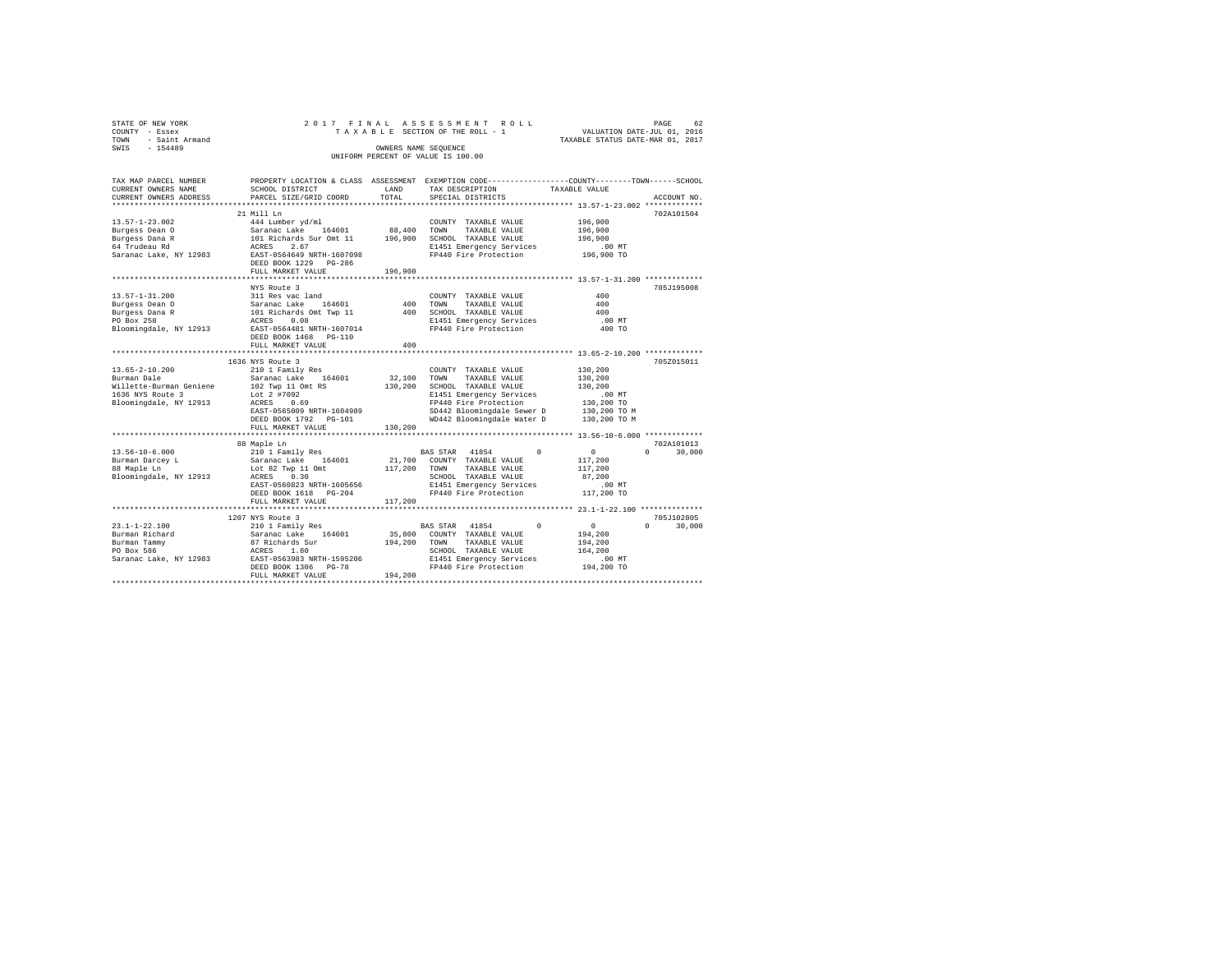|        | STATE OF NEW YORK     |                                                                      | 2017 FINAL ASSESSMENT ROLL         |                                  | PAGE | 62 |
|--------|-----------------------|----------------------------------------------------------------------|------------------------------------|----------------------------------|------|----|
| COUNTY | - Essex               |                                                                      | TAXABLE SECTION OF THE ROLL - 1    | VALUATION DATE-JUL 01, 2016      |      |    |
| TOWN   | - Saint Armand        |                                                                      |                                    | TAXABLE STATUS DATE-MAR 01, 2017 |      |    |
| SWIS   | $-154489$             |                                                                      | OWNERS NAME SEQUENCE               |                                  |      |    |
|        |                       |                                                                      | UNIFORM PERCENT OF VALUE IS 100.00 |                                  |      |    |
|        |                       |                                                                      |                                    |                                  |      |    |
|        | TAX MAP PARCEL NUMBER | PROPERTY LOCATION & CLASS ASSESSMENT EXEMPTION CODE----------------- |                                    | -COUNTY--------TOWN-----SCHOOL   |      |    |

| CURRENT OWNERS NAME                    | <br>SCHOOL DISTRICT                                                         | LAND           | TAX DESCRIPTION                                                       | TAXABLE VALUE          |                             |
|----------------------------------------|-----------------------------------------------------------------------------|----------------|-----------------------------------------------------------------------|------------------------|-----------------------------|
| CURRENT OWNERS ADDRESS                 | PARCEL SIZE/GRID COORD                                                      | TOTAL          | SPECIAL DISTRICTS                                                     |                        | ACCOUNT NO.                 |
|                                        |                                                                             |                |                                                                       |                        |                             |
|                                        | 21 Mill Ln                                                                  |                |                                                                       |                        | 702A101504                  |
| $13.57 - 1 - 23.002$                   | 444 Lumber yd/ml                                                            |                | COUNTY TAXABLE VALUE                                                  | 196,900                |                             |
| Burgess Dean O                         | Saranac Lake 164601 88,400<br>101 Richards Sur Omt 11 196,900<br>ACRES 2.67 | 88,400 TOWN    | TAXABLE VALUE                                                         | 196,900                |                             |
| Burgess Dana R                         |                                                                             |                | SCHOOL TAXABLE VALUE                                                  | 196,900                |                             |
| 64 Trudeau Rd                          |                                                                             |                | E1451 Emergency Services<br>FP440 Fire Protection                     | $.00$ MT<br>196,900 TO |                             |
|                                        | Saranac Lake, NY 12983 EAST-0564649 NRTH-1607098                            |                |                                                                       |                        |                             |
|                                        | DEED BOOK 1229 PG-286                                                       |                |                                                                       |                        |                             |
|                                        | FULL MARKET VALUE                                                           | 196,900        |                                                                       |                        |                             |
|                                        |                                                                             |                |                                                                       |                        | 705J195008                  |
|                                        | NYS Route 3                                                                 |                |                                                                       | 400                    |                             |
| 13.57-1-31.200                         | 311 Res vac land                                                            |                | COUNTY TAXABLE VALUE                                                  | 400                    |                             |
| Burgess Dean O                         |                                                                             | 400 TOWN       | TAXABLE VALUE                                                         |                        |                             |
| Burgess Dana R                         | Saranac Lake 164601<br>101 Richards Omt Twp 11<br>ACRES 0.08                | 400            | SCHOOL TAXABLE VALUE<br>E1451 Emergency Services                      | 400                    |                             |
| PO Box 258                             |                                                                             |                |                                                                       | $.00$ MT               |                             |
|                                        | Bloomingdale, NY 12913 EAST-0564481 NRTH-1607014                            |                | FP440 Fire Protection                                                 | 400 TO                 |                             |
|                                        | DEED BOOK 1468 PG-110                                                       |                |                                                                       |                        |                             |
|                                        | FULL MARKET VALUE                                                           | 400            |                                                                       |                        |                             |
|                                        | 1636 NYS Route 3                                                            |                |                                                                       |                        | 705Z015011                  |
| 13.65-2-10.200                         | 210 1 Family Res                                                            |                |                                                                       | 130,200                |                             |
|                                        |                                                                             | 32,100 TOWN    | COUNTY TAXABLE VALUE<br>TAXABLE VALUE                                 |                        |                             |
| Burman Dale<br>Willette-Burman Geniene | Saranac Lake 164601<br>102 Twp 11 Omt RS                                    | 130,200        | SCHOOL TAXABLE VALUE                                                  | 130,200<br>130,200     |                             |
| 1636 NYS Route 3                       | Lot 2 #7092                                                                 |                | E1451 Emergency Services                                              | $.00$ MT               |                             |
| Bloomingdale, NY 12913                 | $ACRES$ 0.69                                                                |                | FP440 Fire Protection                                                 | 00 MT.<br>130,200 TO   |                             |
|                                        | EAST-0565009 NRTH-1604989                                                   |                |                                                                       |                        |                             |
|                                        |                                                                             |                | SD442 Bloomingdale Sewer D 130,200 TO M<br>WD442 Bloomingdale Water D | 130,200 TO M           |                             |
|                                        | DEED BOOK 1792 PG-101<br>FULL MARKET VALUE                                  | 130,200        |                                                                       |                        |                             |
|                                        |                                                                             |                |                                                                       |                        |                             |
|                                        |                                                                             |                |                                                                       |                        | 702A101013                  |
|                                        |                                                                             |                | BAS STAR 41854<br>$\Omega$                                            | $\sim$ 0               | $0 \qquad \qquad$<br>30,000 |
|                                        |                                                                             |                | 21,700 COUNTY TAXABLE VALUE                                           | 117,200                |                             |
|                                        |                                                                             |                | TAXABLE VALUE                                                         | 117,200                |                             |
| Bloomingdale, NY 12913 ACRES 0.30      |                                                                             | $117,200$ TOWN | SCHOOL TAXABLE VALUE                                                  | 87,200                 |                             |
|                                        | EAST-0560823 NRTH-1605656                                                   |                |                                                                       |                        |                             |
|                                        | DEED BOOK 1618 PG-204                                                       |                | E1451 Emergency Services .00 MT<br>FP440 Fire Protection  117,200 TO  |                        |                             |
|                                        | FULL MARKET VALUE                                                           | 117,200        |                                                                       |                        |                             |
|                                        |                                                                             |                |                                                                       |                        |                             |
|                                        | 1207 NYS Route 3                                                            |                |                                                                       |                        | 705J102805                  |
|                                        |                                                                             |                | BAS STAR 41854<br>$\Omega$                                            | $\sim$ 0               | $0 \qquad \qquad$<br>30,000 |
|                                        |                                                                             |                | 35,800 COUNTY TAXABLE VALUE                                           | 194,200                |                             |
|                                        |                                                                             | 194,200        | TOWN<br>TAXABLE VALUE                                                 | 194,200                |                             |
|                                        |                                                                             |                | SCHOOL TAXABLE VALUE                                                  | 164,200                |                             |
|                                        |                                                                             |                | E1451 Emergency Services                                              | $.00$ MT               |                             |
|                                        | DEED BOOK 1306 PG-78                                                        |                | FP440 Fire Protection 194,200 TO                                      |                        |                             |
|                                        | FULL MARKET VALUE                                                           | 194,200        |                                                                       |                        |                             |
|                                        |                                                                             |                |                                                                       |                        |                             |
|                                        |                                                                             |                |                                                                       |                        |                             |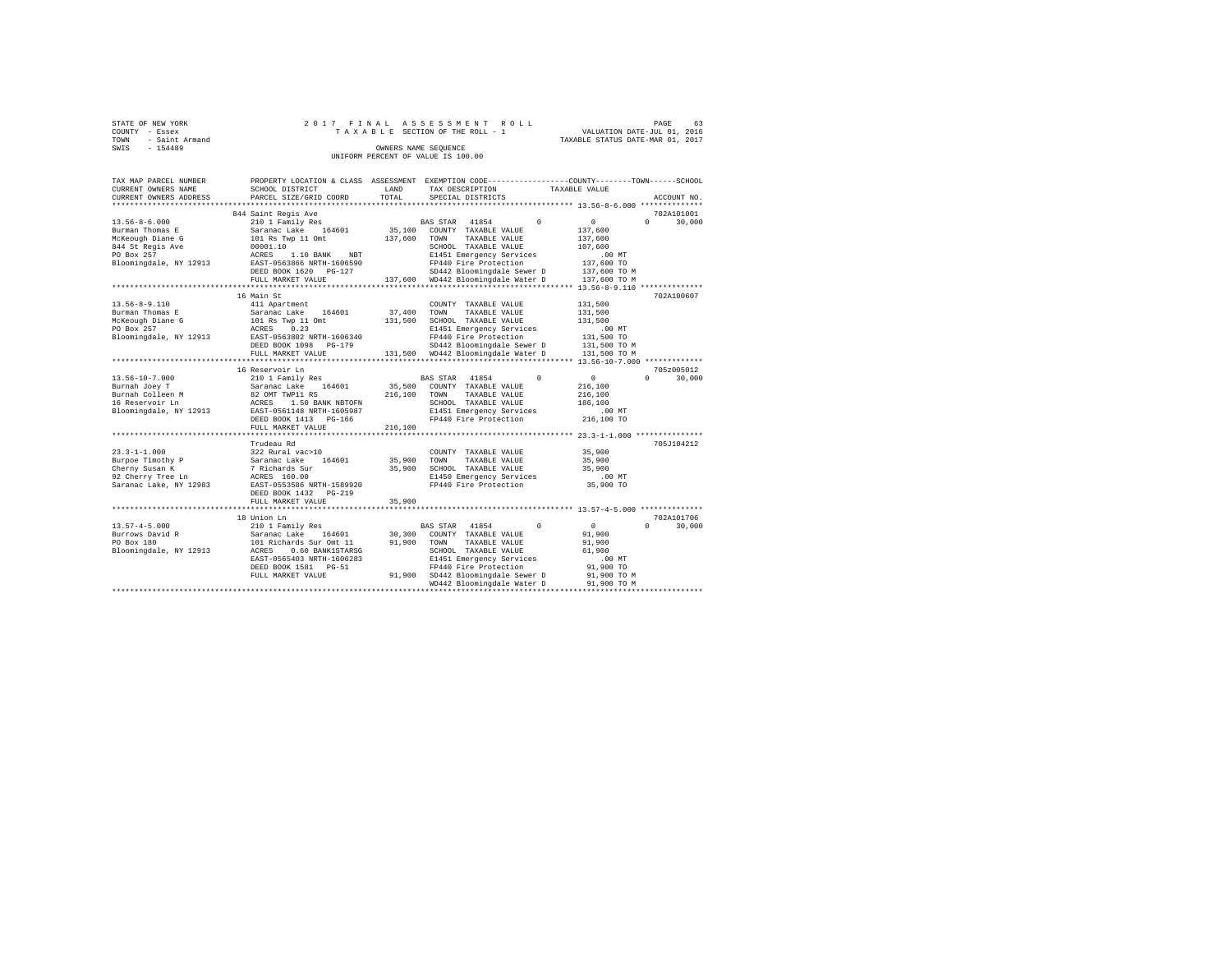| STATE OF NEW YORK   |  | 2017 FINAL ASSESSMENT ROLL         |                                  | PAGE                        | 63 |
|---------------------|--|------------------------------------|----------------------------------|-----------------------------|----|
| COUNTY - Essex      |  | TAXABLE SECTION OF THE ROLL - 1    |                                  | VALUATION DATE-JUL 01, 2016 |    |
| TOWN - Saint Armand |  |                                    | TAXABLE STATUS DATE-MAR 01, 2017 |                             |    |
| SWIS<br>$-154489$   |  | OWNERS NAME SEOUENCE               |                                  |                             |    |
|                     |  | UNIFORM PERCENT OF VALUE IS 100.00 |                                  |                             |    |
|                     |  |                                    |                                  |                             |    |

| TAX MAP PARCEL NUMBER  |                                                  |         | PROPERTY LOCATION & CLASS ASSESSMENT EXEMPTION CODE---------------COUNTY------TOWN-----SCHOOL |                                  |
|------------------------|--------------------------------------------------|---------|-----------------------------------------------------------------------------------------------|----------------------------------|
| CURRENT OWNERS NAME    | SCHOOL DISTRICT                                  | LAND    | TAX DESCRIPTION                                                                               | TAXABLE VALUE                    |
| CURRENT OWNERS ADDRESS | PARCEL SIZE/GRID COORD                           | TOTAL   | SPECIAL DISTRICTS                                                                             | ACCOUNT NO.                      |
|                        |                                                  |         |                                                                                               |                                  |
|                        | 844 Saint Regis Ave                              |         |                                                                                               | 702A101001                       |
| $13.56 - 8 - 6.000$    | 210 1 Family Res                                 |         | $\Omega$<br>BAS STAR 41854                                                                    | $\Omega$<br>$\Omega$<br>30,000   |
| Burman Thomas E        | 164601<br>Saranac Lake                           | 35,100  | COUNTY TAXABLE VALUE                                                                          | 137,600                          |
| McKeough Diane G       | 101 Rs Twp 11 Omt                                | 137,600 | TAXABLE VALUE<br>TOWN                                                                         | 137,600                          |
| 844 St Regis Ave       | 00001.10                                         |         | SCHOOL TAXABLE VALUE                                                                          | 107,600                          |
| PO Box 257             | 1.10 BANK<br>ACRES<br>NBT                        |         | E1451 Emergency Services                                                                      | $.00$ MT                         |
| Bloomingdale, NY 12913 | EAST-0563866 NRTH-1606590                        |         | FP440 Fire Protection                                                                         | 137,600 TO                       |
|                        | DEED BOOK 1620 PG-127                            |         | SD442 Bloomingdale Sewer D                                                                    | 137,600 TO M                     |
|                        | FULL MARKET VALUE                                |         | 137,600 WD442 Bloomingdale Water D                                                            | 137,600 TO M                     |
|                        |                                                  |         |                                                                                               |                                  |
|                        | 16 Main St                                       |         |                                                                                               | 702A100607                       |
| $13.56 - 8 - 9.110$    | 411 Apartment                                    |         | COUNTY TAXABLE VALUE                                                                          | 131,500                          |
|                        |                                                  |         |                                                                                               |                                  |
| Burman Thomas E        | 164601<br>Saranac Lake                           | 37,400  | TOWN<br>TAXABLE VALUE                                                                         | 131,500                          |
| McKeough Diane G       | 101 Rs Twp 11 Omt                                | 131,500 | SCHOOL TAXABLE VALUE                                                                          | 131,500                          |
| PO Box 257             | ACRES<br>0.23                                    |         | E1451 Emergency Services                                                                      | .00MT                            |
| Bloomingdale, NY 12913 | EAST-0563802 NRTH-1606340                        |         | FP440 Fire Protection                                                                         | 131,500 TO                       |
|                        | DEED BOOK 1098 PG-179                            |         | SD442 Bloomingdale Sewer D                                                                    | 131,500 TO M                     |
|                        | FULL MARKET VALUE                                |         | 131,500 WD442 Bloomingdale Water D                                                            | 131,500 TO M                     |
|                        |                                                  |         |                                                                                               |                                  |
|                        | 16 Reservoir Ln                                  |         |                                                                                               | 705z005012                       |
| $13.56 - 10 - 7.000$   | 210 1 Family Res                                 |         | BAS STAR 41854<br>$\Omega$                                                                    | $\circ$<br>30,000<br>$\Omega$    |
| Burnah Joey T          | Saranac Lake<br>164601                           | 35,500  | COUNTY TAXABLE VALUE                                                                          | 216,100                          |
| Burnah Colleen M       | 82 OMT TWP11 RS                                  | 216,100 | TOWN<br>TAXABLE VALUE                                                                         | 216,100                          |
| 16 Reservoir Ln        | 1.50 BANK NBTOFN<br>ACRES                        |         | SCHOOL TAXABLE VALUE                                                                          | 186,100                          |
| Bloomingdale, NY 12913 | EAST-0561148 NRTH-1605987                        |         | E1451 Emergency Services                                                                      | $.00$ MT                         |
|                        | DEED BOOK 1413 PG-166                            |         | FP440 Fire Protection                                                                         | 216,100 TO                       |
|                        | FULL MARKET VALUE                                | 216,100 |                                                                                               |                                  |
|                        | ************************                         |         | *********************************** 23.3-1-1.000 ***************                              |                                  |
|                        | Trudeau Rd                                       |         |                                                                                               | 705J104212                       |
| $23.3 - 1 - 1.000$     | 322 Rural vac>10                                 |         | COUNTY TAXABLE VALUE                                                                          | 35,900                           |
| Burpoe Timothy P       | Saranac Lake<br>164601                           | 35,900  | TOWN<br>TAXABLE VALUE                                                                         | 35,900                           |
|                        |                                                  | 35,900  |                                                                                               | 35,900                           |
| Cherny Susan K         | 7 Richards Sur                                   |         | SCHOOL TAXABLE VALUE                                                                          |                                  |
| 92 Cherry Tree Ln      | ACRES 160.00                                     |         | E1450 Emergency Services                                                                      | $.00$ MT                         |
| Saranac Lake, NY 12983 | EAST-0553586 NRTH-1589920                        |         | FP440 Fire Protection                                                                         | 35,900 TO                        |
|                        | DEED BOOK 1432<br>$PG-219$                       |         |                                                                                               |                                  |
|                        | FULL MARKET VALUE<br>*************************** | 35,900  |                                                                                               |                                  |
|                        |                                                  |         |                                                                                               |                                  |
|                        | 18 Union Ln                                      |         |                                                                                               | 702A101706                       |
| $13.57 - 4 - 5.000$    | 210 1 Family Res                                 |         | $\Omega$<br>BAS STAR 41854                                                                    | $^{\circ}$<br>$\Omega$<br>30,000 |
| Burrows David R        | 164601<br>Saranac Lake                           | 30,300  | COUNTY TAXABLE VALUE                                                                          | 91,900                           |
| PO Box 180             | 101 Richards Sur Omt 11                          | 91,900  | TOWN<br>TAXABLE VALUE                                                                         | 91,900                           |
| Bloomingdale, NY 12913 | ACRES<br>0.60 BANK1STARSG                        |         | SCHOOL TAXABLE VALUE                                                                          | 61,900                           |
|                        | EAST-0565403 NRTH-1606283                        |         | E1451 Emergency Services                                                                      | .00 MT                           |
|                        | DEED BOOK 1581 PG-51                             |         | FP440 Fire Protection                                                                         | 91,900 TO                        |
|                        | FULL MARKET VALUE                                |         | 91,900 SD442 Bloomingdale Sewer D                                                             | 91,900 TO M                      |
|                        |                                                  |         | WD442 Bloomingdale Water D                                                                    | 91,900 TO M                      |
|                        |                                                  |         |                                                                                               |                                  |
|                        |                                                  |         |                                                                                               |                                  |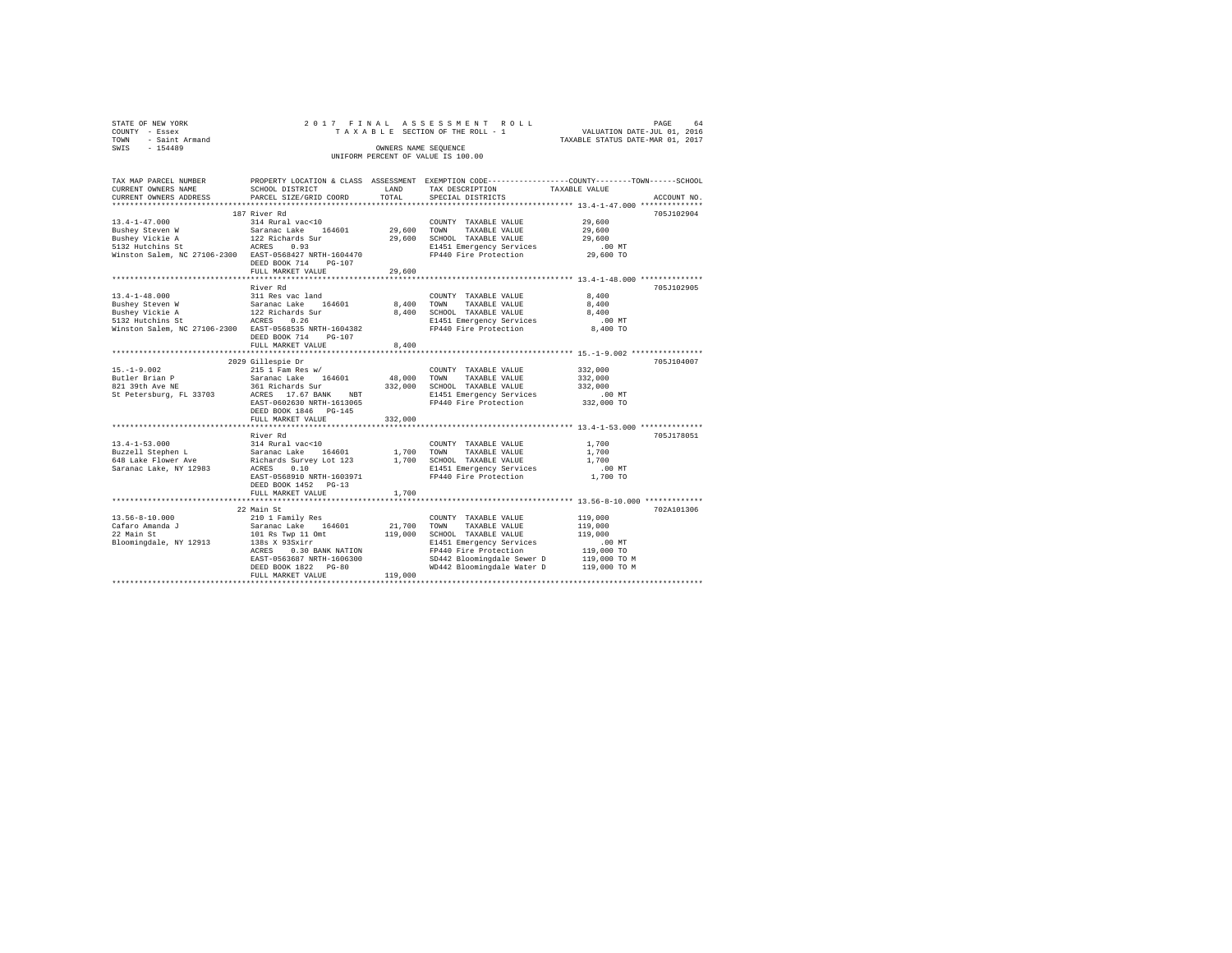| 64                               |
|----------------------------------|
| VALUATION DATE-JUL 01, 2016      |
| TAXABLE STATUS DATE-MAR 01, 2017 |
|                                  |
|                                  |
|                                  |
|                                  |

| TAX MAP PARCEL NUMBER                                  |                                         |             | PROPERTY LOCATION & CLASS ASSESSMENT EXEMPTION CODE---------------COUNTY-------TOWN-----SCHOOL |                            |             |
|--------------------------------------------------------|-----------------------------------------|-------------|------------------------------------------------------------------------------------------------|----------------------------|-------------|
| CURRENT OWNERS NAME                                    | SCHOOL DISTRICT                         | LAND        | TAX DESCRIPTION                                                                                | TAXABLE VALUE              |             |
| CURRENT OWNERS ADDRESS                                 | PARCEL SIZE/GRID COORD                  | TOTAL       | SPECIAL DISTRICTS                                                                              |                            | ACCOUNT NO. |
|                                                        |                                         |             |                                                                                                |                            |             |
|                                                        | 187 River Rd                            |             |                                                                                                |                            | 705J102904  |
| $13.4 - 1 - 47.000$                                    | 314 Rural vac<10                        |             | COUNTY TAXABLE VALUE                                                                           | 29,600                     |             |
| Bushey Steven W                                        | Saranac Lake<br>164601                  | 29,600 TOWN | TAXABLE VALUE                                                                                  | 29,600                     |             |
| Bushey Vickie A                                        | 122 Richards Sur<br>ACRES 0.93          |             | 29,600 SCHOOL TAXABLE VALUE                                                                    | 29,600                     |             |
| 5132 Hutchins St                                       |                                         |             | E1451 Emergency Services                                                                       | .00 MT                     |             |
| Winston Salem, NC 27106-2300 EAST-0568427 NRTH-1604470 |                                         |             | FP440 Fire Protection                                                                          | 29,600 TO                  |             |
|                                                        | DEED BOOK 714<br>PG-107                 |             |                                                                                                |                            |             |
|                                                        | FULL MARKET VALUE                       | 29,600      |                                                                                                |                            |             |
|                                                        |                                         |             |                                                                                                |                            |             |
|                                                        | River Rd                                |             |                                                                                                |                            | 705J102905  |
| $13.4 - 1 - 48.000$                                    | 311 Res vac land                        |             | COUNTY TAXABLE VALUE                                                                           | 8,400                      |             |
| Bushey Steven W                                        | Saranac Lake 164601<br>122 Richards Sur | 8,400 TOWN  | TAXABLE VALUE                                                                                  | 8,400                      |             |
| Bushey Vickie A                                        |                                         | 8,400       | SCHOOL TAXABLE VALUE                                                                           | 8,400                      |             |
| 5132 Hutchins St                                       | 0.26<br>ACRES                           |             |                                                                                                | .00 MT                     |             |
| Winston Salem, NC 27106-2300 EAST-0568535 NRTH-1604382 |                                         |             | E1451 Emergency Services<br>FP440 Fire Protection                                              | 8,400 TO                   |             |
|                                                        | DEED BOOK 714<br>$PG-107$               |             |                                                                                                |                            |             |
|                                                        | FULL MARKET VALUE                       | 8,400       |                                                                                                |                            |             |
|                                                        |                                         |             |                                                                                                |                            |             |
|                                                        | 2029 Gillespie Dr                       |             |                                                                                                |                            | 705J104007  |
| $15. - 1 - 9.002$                                      | $215$ 1 Fam Res w/                      |             | COUNTY TAXABLE VALUE                                                                           | 332,000                    |             |
| Butler Brian P                                         | Saranac Lake 164601                     | 48,000 TOWN | TAXABLE VALUE                                                                                  | 332,000                    |             |
| 821 39th Ave NE                                        |                                         |             | 361 Richards Sur 332,000 SCHOOL TAXABLE VALUE                                                  | 332,000                    |             |
| St Petersburg, FL 33703                                | ACRES 17.67 BANK NBT                    |             | E1451 Emergency Services                                                                       | $.00$ MT                   |             |
|                                                        | EAST-0602630 NRTH-1613065               |             | FP440 Fire Protection                                                                          | 332,000 TO                 |             |
|                                                        | DEED BOOK 1846 PG-145                   |             |                                                                                                |                            |             |
|                                                        | FULL MARKET VALUE                       | 332,000     |                                                                                                |                            |             |
|                                                        |                                         |             |                                                                                                |                            |             |
|                                                        | River Rd                                |             |                                                                                                |                            | 705J178051  |
|                                                        |                                         |             |                                                                                                |                            |             |
| $13.4 - 1 - 53.000$                                    | 314 Rural vac<10                        |             | COUNTY TAXABLE VALUE                                                                           | 1,700                      |             |
|                                                        |                                         |             | 1,700 TOWN TAXABLE VALUE<br>1,700 SCHOOL TAXABLE VALUE                                         | 1,700                      |             |
|                                                        |                                         |             |                                                                                                | 1,700                      |             |
| Saranac Lake, NY 12983                                 | 0.10<br>ACRES                           |             | E1451 Emergency Services                                                                       | $.00$ MT                   |             |
|                                                        | EAST-0568910 NRTH-1603971               |             | FP440 Fire Protection                                                                          | 1,700 TO                   |             |
|                                                        | DEED BOOK 1452 PG-13                    |             |                                                                                                |                            |             |
|                                                        | FULL MARKET VALUE                       | 1,700       |                                                                                                |                            |             |
|                                                        |                                         |             |                                                                                                |                            |             |
|                                                        | 22 Main St                              |             |                                                                                                |                            | 702A101306  |
| 13.56-8-10.000                                         | 210 1 Family Res<br>Saranac Lake 164601 |             | COUNTY TAXABLE VALUE                                                                           | 119,000                    |             |
| Cafaro Amanda J                                        |                                         | 21,700 TOWN | TAXABLE VALUE                                                                                  | 119,000                    |             |
| 22 Main St                                             | 101 Rs Twp 11 Omt                       |             | 119,000 SCHOOL TAXABLE VALUE                                                                   | 119,000                    |             |
| Bloomingdale, NY 12913                                 | 138s X 93Sxirr                          |             | E1451 Emergency Services                                                                       | $.00$ MT                   |             |
|                                                        | 0.30 BANK NATION<br>ACRES               |             | FP440 Fire Protection<br>SD442 Bloomingdale Sewer D                                            | 119,000 TO<br>119,000 TO M |             |
|                                                        | EAST-0563687 NRTH-1606300               |             |                                                                                                |                            |             |
|                                                        | DEED BOOK 1822 PG-80                    |             | WD442 Bloomingdale Water D 119,000 TO M                                                        |                            |             |
|                                                        | FULL MARKET VALUE                       | 119,000     |                                                                                                |                            |             |
|                                                        |                                         |             |                                                                                                |                            |             |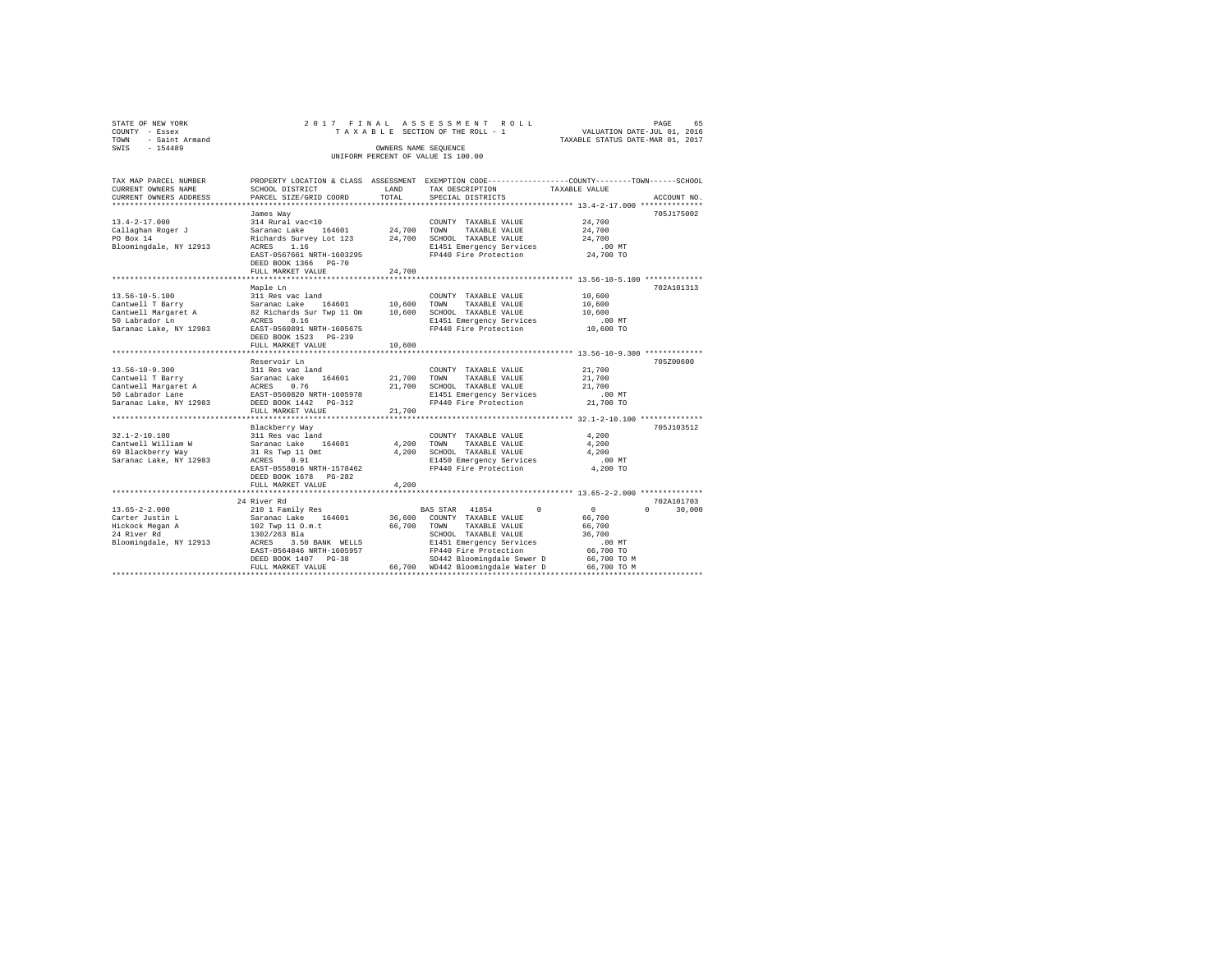| STATE OF NEW YORK   | 2017 FINAL ASSESSMENT ROLL         | PAGE                             | 65 |
|---------------------|------------------------------------|----------------------------------|----|
| COUNTY - Essex      | TAXABLE SECTION OF THE ROLL - 1    | VALUATION DATE-JUL 01, 2016      |    |
| TOWN - Saint Armand |                                    | TAXABLE STATUS DATE-MAR 01, 2017 |    |
| SWIS<br>$-154489$   | OWNERS NAME SEOUENCE               |                                  |    |
|                     | UNIFORM PERCENT OF VALUE IS 100.00 |                                  |    |
|                     |                                    |                                  |    |

| TAX MAP PARCEL NUMBER                            |                                                     |             | PROPERTY LOCATION & CLASS ASSESSMENT EXEMPTION CODE---------------COUNTY------TOWN-----SCHOOL |                       |                    |
|--------------------------------------------------|-----------------------------------------------------|-------------|-----------------------------------------------------------------------------------------------|-----------------------|--------------------|
| CURRENT OWNERS NAME                              | SCHOOL DISTRICT                                     | LAND        | TAX DESCRIPTION                                                                               | TAXABLE VALUE         |                    |
| CURRENT OWNERS ADDRESS                           | PARCEL SIZE/GRID COORD                              | TOTAL       | SPECIAL DISTRICTS                                                                             |                       | ACCOUNT NO.        |
|                                                  |                                                     |             |                                                                                               |                       |                    |
|                                                  | James Way                                           |             |                                                                                               |                       | 705J175002         |
| $13.4 - 2 - 17.000$                              | 314 Rural vac<10                                    |             | COUNTY TAXABLE VALUE                                                                          | 24,700                |                    |
| Callaghan Roger J                                | Saranac Lake 164601                                 | 24,700 TOWN | TAXABLE VALUE                                                                                 | 24,700                |                    |
| PO Box 14                                        | Richards Survey Lot 123 24,700 SCHOOL TAXABLE VALUE |             |                                                                                               | 24,700                |                    |
| Bloomingdale, NY 12913                           | ACRES 1.16                                          |             | E1451 Emergency Services                                                                      | $.00$ MT              |                    |
|                                                  | EAST-0567661 NRTH-1603295                           |             | FP440 Fire Protection                                                                         | 24,700 TO             |                    |
|                                                  | DEED BOOK 1366 PG-70                                |             |                                                                                               |                       |                    |
|                                                  | FULL MARKET VALUE                                   | 24,700      |                                                                                               |                       |                    |
|                                                  |                                                     |             |                                                                                               |                       |                    |
|                                                  | Maple Ln                                            |             |                                                                                               |                       | 702A101313         |
| $13.56 - 10 - 5.100$                             | 311 Res vac land                                    |             | COUNTY TAXABLE VALUE                                                                          | 10,600                |                    |
| Cantwell T Barry                                 | Saranac Lake 164601 10,600 TOWN                     |             | TAXABLE VALUE                                                                                 | 10,600                |                    |
|                                                  |                                                     |             |                                                                                               | 10,600                |                    |
|                                                  |                                                     |             | E1451 Emergency Services                                                                      | $.00$ MT              |                    |
| Saranac Lake, NY 12983 EAST-0560891 NRTH-1605675 |                                                     |             | FP440 Fire Protection                                                                         | 10,600 TO             |                    |
|                                                  | DEED BOOK 1523 PG-239                               |             |                                                                                               |                       |                    |
|                                                  | FULL MARKET VALUE                                   | 10,600      |                                                                                               |                       |                    |
|                                                  |                                                     |             |                                                                                               |                       |                    |
|                                                  | Reservoir Ln                                        |             |                                                                                               |                       | 705Z00600          |
| $13.56 - 10 - 9.300$                             | 311 Res vac land                                    |             | COUNTY TAXABLE VALUE                                                                          | 21,700                |                    |
| Cantwell T Barry                                 | Saranac Lake<br>164601                              | 21,700 TOWN | TAXABLE VALUE                                                                                 |                       |                    |
|                                                  |                                                     | 21,700      | SCHOOL TAXABLE VALUE                                                                          | 21,700<br>21,700      |                    |
| Cantwell Margaret A<br>50 Labrador Lane          | ACRES 0.76<br>EAST-0560820 NRTH-1605978             |             |                                                                                               |                       |                    |
|                                                  |                                                     |             | E1451 Emergency Services<br>FP440 Fire Protection                                             | $.00$ MT<br>21,700 TO |                    |
| Saranac Lake, NY 12983 DEED BOOK 1442 PG-312     |                                                     |             |                                                                                               |                       |                    |
|                                                  | FULL MARKET VALUE                                   | 21,700<br>. | ***************************** 32.1-2-10.100 ************                                      |                       |                    |
|                                                  |                                                     |             |                                                                                               |                       |                    |
|                                                  | Blackberry Way                                      |             |                                                                                               |                       | 705J103512         |
| $32.1 - 2 - 10.100$                              | 311 Res vac land                                    |             | COUNTY TAXABLE VALUE                                                                          | 4,200                 |                    |
| Cantwell William W                               | Saranac Lake 164601                                 |             | 4,200 TOWN<br>TAXABLE VALUE                                                                   | 4,200                 |                    |
| 69 Blackberry Way                                | 31 Rs Twp 11 Omt                                    | 4,200       | SCHOOL TAXABLE VALUE                                                                          | 4.200                 |                    |
| Saranac Lake, NY 12983                           | ACRES 0.91                                          |             | E1450 Emergency Services                                                                      | $.00$ MT              |                    |
|                                                  | EAST-0558016 NRTH-1578462                           |             | FP440 Fire Protection                                                                         | 4,200 TO              |                    |
|                                                  | DEED BOOK 1678 PG-282                               |             |                                                                                               |                       |                    |
|                                                  | FULL MARKET VALUE                                   | 4,200       |                                                                                               |                       |                    |
|                                                  |                                                     |             |                                                                                               |                       |                    |
|                                                  | 24 River Rd                                         |             |                                                                                               |                       | 702A101703         |
| $13.65 - 2 - 2.000$                              | 210 1 Family Res<br>Saranac Lake 164601             |             | $\Omega$<br>BAS STAR 41854                                                                    | $\sim$ 0              | $\Omega$<br>30,000 |
| Carter Justin L                                  |                                                     |             | 36,600 COUNTY TAXABLE VALUE                                                                   | 66,700                |                    |
| Hickock Megan A                                  |                                                     | 66,700      | TOWN<br>TAXABLE VALUE                                                                         | 66,700                |                    |
| 24 River Rd                                      | 102 Twp 11 O.m.t<br>1302/263 Bla                    |             | SCHOOL TAXABLE VALUE                                                                          | 36,700                |                    |
| Bloomingdale, NY 12913 ACRES 3.50 BANK WELLS     |                                                     |             | E1451 Emergency Services                                                                      | .00 MT                |                    |
|                                                  | EAST-0564846 NRTH-1605957                           |             | FP440 Fire Protection                                                                         | 66,700 TO             |                    |
|                                                  | DEED BOOK 1407 PG-38                                |             | SD442 Bloomingdale Sewer D 66,700 TO M                                                        |                       |                    |
|                                                  | FULL MARKET VALUE                                   |             | 66,700 WD442 Bloomingdale Water D 66,700 TO M                                                 |                       |                    |
|                                                  |                                                     |             |                                                                                               |                       |                    |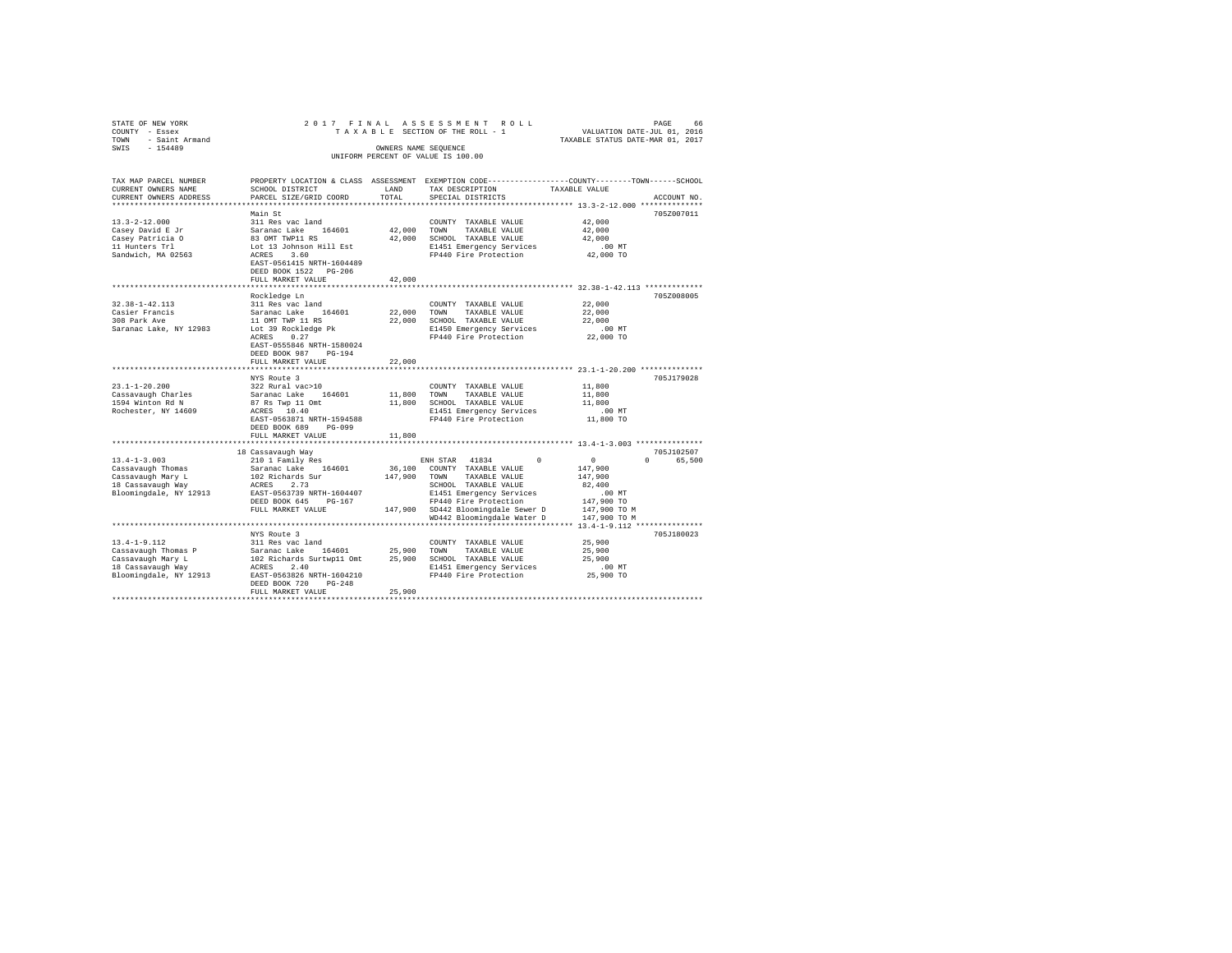| STATE OF NEW YORK      | 2017 FINAL                |                      | ASSESSMENT ROLL                    | PAGE<br>66                                                                                      |
|------------------------|---------------------------|----------------------|------------------------------------|-------------------------------------------------------------------------------------------------|
| COUNTY - Essex         |                           |                      | TAXABLE SECTION OF THE ROLL - 1    | VALUATION DATE-JUL 01, 2016                                                                     |
| - Saint Armand<br>TOWN |                           |                      |                                    | TAXABLE STATUS DATE-MAR 01, 2017                                                                |
| $-154489$<br>SWIS      |                           | OWNERS NAME SEQUENCE |                                    |                                                                                                 |
|                        |                           |                      | UNIFORM PERCENT OF VALUE IS 100.00 |                                                                                                 |
|                        |                           |                      |                                    |                                                                                                 |
|                        |                           |                      |                                    |                                                                                                 |
| TAX MAP PARCEL NUMBER  |                           |                      |                                    | PROPERTY LOCATION & CLASS ASSESSMENT EXEMPTION CODE---------------COUNTY-------TOWN------SCHOOL |
| CURRENT OWNERS NAME    | SCHOOL DISTRICT           | LAND                 | TAX DESCRIPTION                    | TAXABLE VALUE                                                                                   |
| CURRENT OWNERS ADDRESS | PARCEL SIZE/GRID COORD    | TOTAL                | SPECIAL DISTRICTS                  | ACCOUNT NO.                                                                                     |
|                        |                           |                      |                                    |                                                                                                 |
|                        | Main St                   |                      |                                    | 705Z007011                                                                                      |
| $13.3 - 2 - 12.000$    | 311 Res vac land          |                      | COUNTY TAXABLE VALUE               | 42,000                                                                                          |
| Casey David E Jr       | Saranac Lake 164601       | 42,000               | TOWN<br>TAXABLE VALUE              | 42,000                                                                                          |
| Casey Patricia O       | 83 OMT TWP11 RS           | 42,000               | SCHOOL TAXABLE VALUE               | 42,000                                                                                          |
| 11 Hunters Trl         | Lot 13 Johnson Hill Est   |                      | E1451 Emergency Services           | $.00$ MT                                                                                        |
| Sandwich, MA 02563     | ACRES 3.60                |                      | FP440 Fire Protection              | 42,000 TO                                                                                       |
|                        | EAST-0561415 NRTH-1604489 |                      |                                    |                                                                                                 |
|                        | DEED BOOK 1522 PG-206     |                      |                                    |                                                                                                 |
|                        | FULL MARKET VALUE         | 42,000               |                                    |                                                                                                 |
|                        |                           |                      |                                    |                                                                                                 |
|                        | Rockledge Ln              |                      |                                    | 705Z008005                                                                                      |
| $32.38 - 1 - 42.113$   | 311 Res vac land          |                      | COUNTY TAXABLE VALUE               | 22,000                                                                                          |
|                        |                           |                      |                                    |                                                                                                 |
| Casier Francis         | Saranac Lake 164601       | 22,000               | TOWN<br>TAXABLE VALUE              | 22,000                                                                                          |
| 308 Park Ave           | 11 OMT TWP 11 RS          | 22,000               | SCHOOL TAXABLE VALUE               | 22,000                                                                                          |
| Saranac Lake, NY 12983 | Lot 39 Rockledge Pk       |                      | E1450 Emergency Services           | .00MT                                                                                           |
|                        | 0.27<br>ACRES             |                      | FP440 Fire Protection              | 22,000 TO                                                                                       |
|                        | EAST-0555846 NRTH-1580024 |                      |                                    |                                                                                                 |
|                        | DEED BOOK 987 PG-194      |                      |                                    |                                                                                                 |
|                        | FULL MARKET VALUE         | 22,000               |                                    |                                                                                                 |
|                        |                           |                      |                                    |                                                                                                 |
|                        | NYS Route 3               |                      |                                    | 705J179028                                                                                      |
| $23.1 - 1 - 20.200$    | 322 Rural vac>10          |                      | COUNTY TAXABLE VALUE               | 11,800                                                                                          |
| Cassavaugh Charles     | Saranac Lake 164601       | 11,800               | TOWN<br>TAXABLE VALUE              | 11,800                                                                                          |
| 1594 Winton Rd N       | 87 Rs Twp 11 Omt          | 11,800               | SCHOOL TAXABLE VALUE               | 11,800                                                                                          |
| Rochester, NY 14609    | ACRES 10.40               |                      | E1451 Emergency Services           | $.00$ MT                                                                                        |
|                        | EAST-0563871 NRTH-1594588 |                      | FP440 Fire Protection              | 11,800 TO                                                                                       |
|                        | DEED BOOK 689 PG-099      |                      |                                    |                                                                                                 |
|                        | FULL MARKET VALUE         | 11,800               |                                    |                                                                                                 |
|                        |                           |                      |                                    |                                                                                                 |
|                        | 18 Cassavaugh Way         |                      |                                    | 705J102507                                                                                      |
| $13.4 - 1 - 3.003$     | 210 1 Family Res          |                      | ENH STAR<br>41834<br>$\Omega$      | $\sim$ 0<br>$\Omega$<br>65,500                                                                  |
| Cassavaugh Thomas      | Saranac Lake 164601       | 36,100               | COUNTY TAXABLE VALUE               | 147,900                                                                                         |
| Cassavaugh Mary L      | 102 Richards Sur          | 147,900              | TOWN<br>TAXABLE VALUE              | 147,900                                                                                         |
| 18 Cassavaugh Way      | 2.73<br>ACRES             |                      | SCHOOL TAXABLE VALUE               | 82,400                                                                                          |
| Bloomingdale, NY 12913 | EAST-0563739 NRTH-1604407 |                      | E1451 Emergency Services           | .00MT                                                                                           |
|                        | DEED BOOK 645 PG-167      |                      | FP440 Fire Protection              | 147,900 TO                                                                                      |
|                        | FULL MARKET VALUE         |                      | 147,900 SD442 Bloomingdale Sewer D | 147,900 TO M                                                                                    |
|                        |                           |                      | WD442 Bloomingdale Water D         | 147,900 TO M                                                                                    |
|                        |                           |                      |                                    |                                                                                                 |
|                        | NYS Route 3               |                      |                                    | 705J180023                                                                                      |
| $13.4 - 1 - 9.112$     | 311 Res vac land          |                      | COUNTY TAXABLE VALUE               | 25,900                                                                                          |
| Cassavaugh Thomas P    | Saranac Lake 164601       | 25,900               | TOWN<br>TAXABLE VALUE              | 25,900                                                                                          |
| Cassavaugh Mary L      | 102 Richards Surtwp11 Omt | 25,900               | SCHOOL TAXABLE VALUE               | 25,900                                                                                          |
| 18 Cassavaugh Way      | ACRES<br>2.40             |                      | E1451 Emergency Services           | .00MT                                                                                           |
| Bloomingdale, NY 12913 | EAST-0563826 NRTH-1604210 |                      | FP440 Fire Protection              | 25,900 TO                                                                                       |
|                        | DEED BOOK 720<br>$PG-248$ |                      |                                    |                                                                                                 |
|                        |                           | 25,900               |                                    |                                                                                                 |
|                        | FULL MARKET VALUE         |                      |                                    |                                                                                                 |
|                        |                           |                      |                                    |                                                                                                 |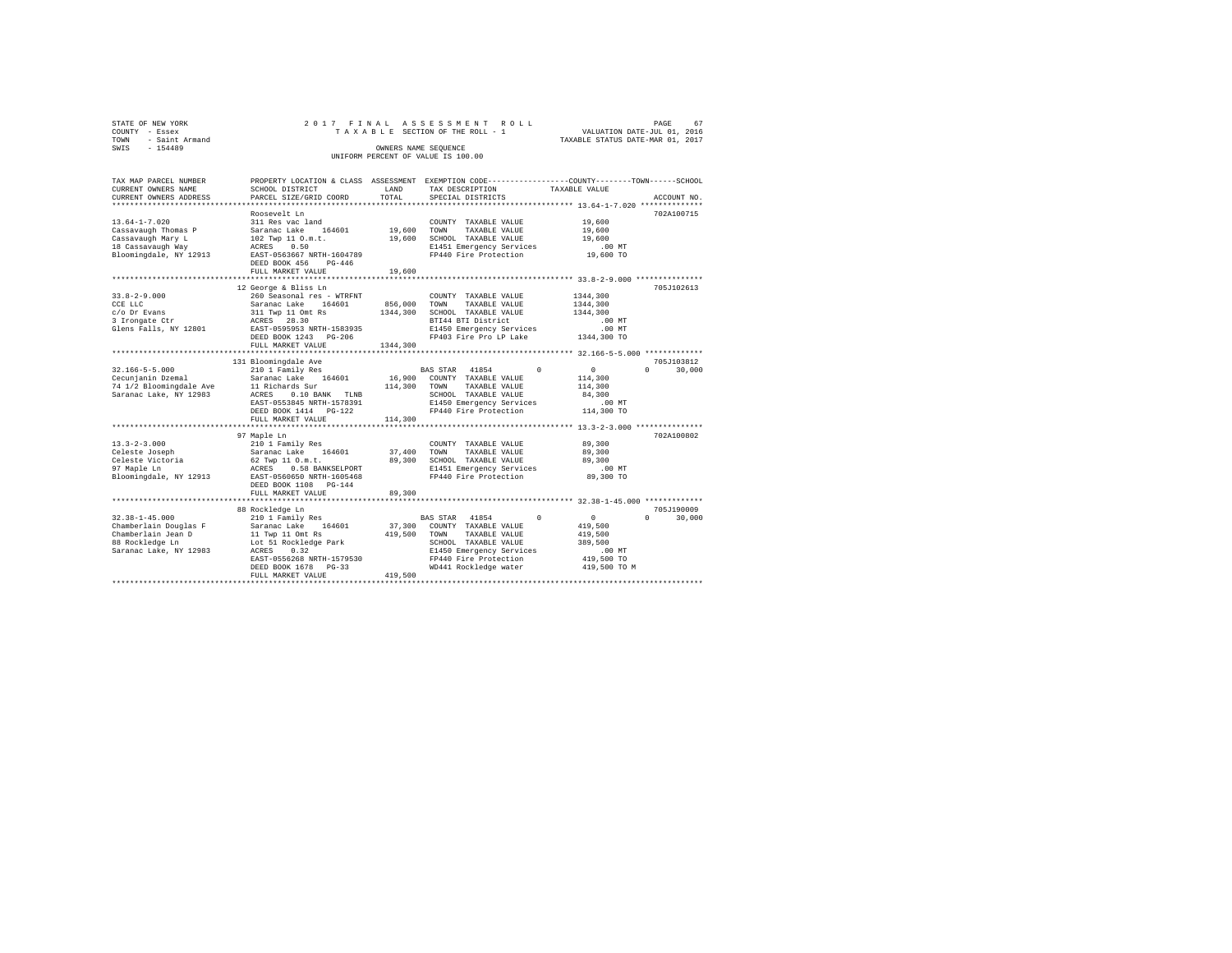| STATE OF NEW YORK<br>COUNTY - Essex<br>TOWN - Saint Armand<br>SWTS - 154489                                    |                                                                                                                                                                                                                  |                      | 2017 FINAL ASSESSMENT ROLL<br>OWNERS NAME SEQUENCE<br>UNIFORM PERCENT OF VALUE IS 100.00                                                                   | PAGE<br>67<br>TAXABLE SECTION OF THE ROLL - 1 VALUATION DATE-JUL 01, 2016<br>TAXABLE STATUS DATE-MAR 01, 2017                  |
|----------------------------------------------------------------------------------------------------------------|------------------------------------------------------------------------------------------------------------------------------------------------------------------------------------------------------------------|----------------------|------------------------------------------------------------------------------------------------------------------------------------------------------------|--------------------------------------------------------------------------------------------------------------------------------|
| TAX MAP PARCEL NUMBER<br>CURRENT OWNERS NAME<br>CURRENT OWNERS ADDRESS                                         | SCHOOL DISTRICT<br>PARCEL SIZE/GRID COORD                                                                                                                                                                        | LAND<br>TOTAL        | TAX DESCRIPTION<br>SPECIAL DISTRICTS                                                                                                                       | PROPERTY LOCATION & CLASS ASSESSMENT EXEMPTION CODE---------------COUNTY-------TOWN-----SCHOOL<br>TAXABLE VALUE<br>ACCOUNT NO. |
| $13.64 - 1 - 7.020$<br>Cassavaugh Thomas P<br>Cassavaugh Mary L<br>18 Cassavaugh Way<br>Bloomingdale, NY 12913 | Roosevelt Ln<br>311 Res vac land<br>102 Twp 11 O.m.t.<br>ACRES 0.50<br>EAST-0563667 NRTH-1604789<br>DEED BOOK 456<br>$PG-446$<br>FULL MARKET VALUE                                                               | 19,600               | COUNTY TAXABLE VALUE<br>Saranac Lake 164601 19,600 TOWN TAXABLE VALUE<br>19,600 SCHOOL TAXABLE VALUE<br>E1451 Emergency Services<br>FP440 Fire Protection  | 702A100715<br>19,600<br>19,600<br>19,600<br>.00MT<br>uu wi.<br>19,600 TO                                                       |
| $33.8 - 2 - 9.000$<br>CCE LLC<br>c/o Dr Evans<br>3 Irongate Ctr<br>Glens Falls, NY 12801                       | 12 George & Bliss Ln<br>260 Seasonal res - WTRFNT<br>Saranac Lake 164601 856,000<br>311 Twp 11 Omt Rs<br>ACRES 28.30<br>EAST-0595953 NRTH-1583935<br>DEED BOOK 1243 PG-206<br>FULL MARKET VALUE                  | 1344,300<br>1344,300 | COUNTY TAXABLE VALUE<br>TOWN TAXABLE VALUE<br>SCHOOL TAXABLE VALUE<br>BTI44 BTI District<br>E1450 Emergency Services<br>FP403 Fire Pro LP Lake 1344,300 TO | 705.T102613<br>1344,300<br>1344,300<br>1344,300<br>.00 MT<br>.00MT                                                             |
| $32.166 - 5 - 5.000$<br>74 1/2 Bloomingdale Ave<br>Saranac Lake, NY 12983                                      | 131 Bloomingdale Ave<br>210 1 Family Res<br>Cecunjanin Dzemal Saranac Lake 164601 16,900 COUNTY TAXABLE VALUE<br>ACRES 0.10 BANK TLNB<br>EAST-0553845 NRTH-1578391<br>DEED BOOK 1414 PG-122<br>FULL MARKET VALUE | 114,300              | BAS STAR 41854 0<br>SCHOOL TAXABLE VALUE<br>E1450 Emergency Services<br>FP440 Fire Protection                                                              | 705J103812<br>0 <sup>1</sup><br>$\Omega$<br>30,000<br>114,300<br>114,300<br>84,300<br>.00MT<br>114,300 TO                      |
| $13.3 - 2 - 3.000$<br>Celeste Joseph<br>97 Maple Ln<br>Bloomingdale, NY 12913                                  | 97 Maple Ln<br>210 1 Family Res<br>Saranac Lake 164601 37,400<br>Celeste Victoria 62 Twp 11 O.m.t. 89,300<br>ACRES 0.58 BANKSELPORT<br>EAST-0560650 NRTH-1605468<br>DEED BOOK 1108 PG-144<br>FULL MARKET VALUE   | 89,300               | COUNTY TAXABLE VALUE<br>TOWN<br>TAXABLE VALUE<br>SCHOOL TAXABLE VALUE<br>E1451 Emergency Services<br>FP440 Fire Protection 89,300 TO                       | 702A100802<br>89,300<br>89,300<br>89,300<br>.00MT                                                                              |

 $\begin{tabular}{l|c|c|c|c|c} \multicolumn{3}{c}{32.38-1-45.000}& 88\; {\rm rockled} \small{Bocckled} \small{E101} & 705.190009\\ \multicolumn{3}{c}{23.38-1-45.000}& 201\; {\rm J~Fami1y~Res}& 164601 & 37,300& {\rm CONNTY~TXAABLE~VALUER} & 0 & 0 & 30,000\\ \hline {\rm Chamberlain\; Jean} & 11\; {\rm Twp\;11\;Omt~Res}& 419,500& 708.78445$ 

DEED BOOK 1678 PG-33 WD441 Rockledge water 419,500 TO M FULL MARKET VALUE 419,500 \*\*\*\*\*\*\*\*\*\*\*\*\*\*\*\*\*\*\*\*\*\*\*\*\*\*\*\*\*\*\*\*\*\*\*\*\*\*\*\*\*\*\*\*\*\*\*\*\*\*\*\*\*\*\*\*\*\*\*\*\*\*\*\*\*\*\*\*\*\*\*\*\*\*\*\*\*\*\*\*\*\*\*\*\*\*\*\*\*\*\*\*\*\*\*\*\*\*\*\*\*\*\*\*\*\*\*\*\*\*\*\*\*\*\*\*\*\*\*\*\*\*\*\*\*\*\*\*\*\*\*\*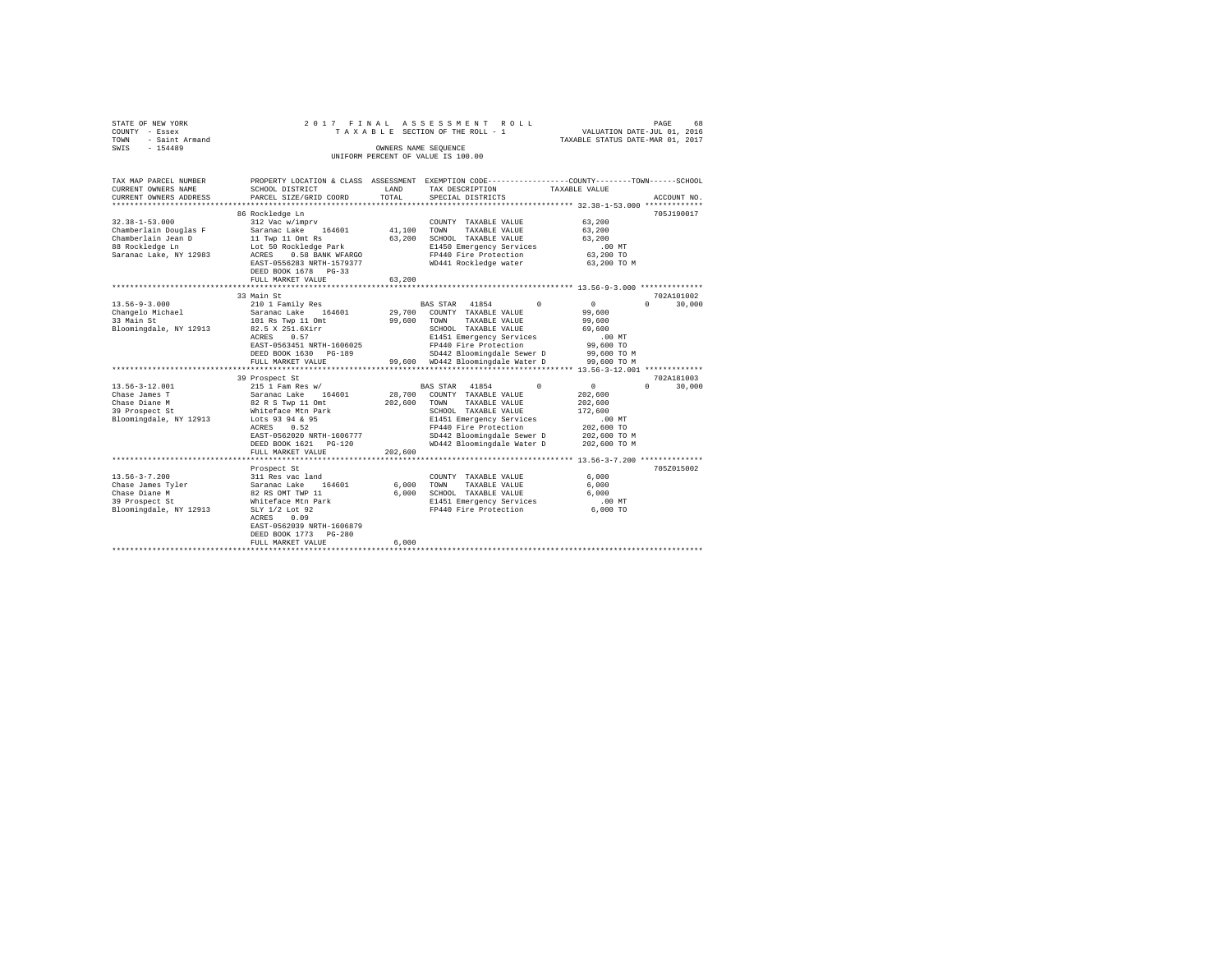| STATE OF NEW YORK<br>COUNTY - Essex<br>- Saint Armand<br>TOWN<br>$-154489$<br>SWIS                                                                                                    |                                                                                                                                                                                                                                                                                                                                                                                                                                                                                   |                                                            | 2017 FINAL ASSESSMENT ROLL<br>TAXABLE SECTION OF THE ROLL - 1<br>OWNERS NAME SEOUENCE<br>UNIFORM PERCENT OF VALUE IS 100.00                                                                                                                                                                                                                                                                                                                            | VALUATION DATE-JUL 01, 2016<br>TAXABLE STATUS DATE-MAR 01, 2017                                                                                                                                    | PAGE<br>68                                                         |
|---------------------------------------------------------------------------------------------------------------------------------------------------------------------------------------|-----------------------------------------------------------------------------------------------------------------------------------------------------------------------------------------------------------------------------------------------------------------------------------------------------------------------------------------------------------------------------------------------------------------------------------------------------------------------------------|------------------------------------------------------------|--------------------------------------------------------------------------------------------------------------------------------------------------------------------------------------------------------------------------------------------------------------------------------------------------------------------------------------------------------------------------------------------------------------------------------------------------------|----------------------------------------------------------------------------------------------------------------------------------------------------------------------------------------------------|--------------------------------------------------------------------|
| TAX MAP PARCEL NUMBER<br>CURRENT OWNERS NAME<br>CURRENT OWNERS ADDRESS                                                                                                                | SCHOOL DISTRICT<br>PARCEL SIZE/GRID COORD                                                                                                                                                                                                                                                                                                                                                                                                                                         | LAND<br>TOTAL.                                             | PROPERTY LOCATION & CLASS ASSESSMENT EXEMPTION CODE---------------COUNTY-------TOWN------SCHOOL<br>TAX DESCRIPTION<br>SPECIAL DISTRICTS                                                                                                                                                                                                                                                                                                                | TAXABLE VALUE                                                                                                                                                                                      | ACCOUNT NO.                                                        |
| $32.38 - 1 - 53.000$<br>Chamberlain Douglas F<br>Chamberlain Jean D<br>88 Rockledge Ln<br>Saranac Lake, NY 12983                                                                      | 86 Rockledge Ln<br>312 Vac w/imprv<br>Saranac Lake<br>164601<br>11 Twp 11 Omt Rs<br>Lot 50 Rockledge Park<br>0.58 BANK WFARGO<br>ACRES<br>EAST-0556283 NRTH-1579377<br>DEED BOOK 1678 PG-33                                                                                                                                                                                                                                                                                       | 41,100<br>63,200                                           | COUNTY TAXABLE VALUE<br>TOWN<br>TAXABLE VALUE<br>SCHOOL TAXABLE VALUE<br>E1450 Emergency Services<br>FP440 Fire Protection<br>WD441 Rockledge water                                                                                                                                                                                                                                                                                                    | 63,200<br>63,200<br>63,200<br>$.00$ MT<br>63,200 TO<br>63,200 TO M                                                                                                                                 | 705J190017                                                         |
|                                                                                                                                                                                       | FULL MARKET VALUE                                                                                                                                                                                                                                                                                                                                                                                                                                                                 | 63,200                                                     |                                                                                                                                                                                                                                                                                                                                                                                                                                                        |                                                                                                                                                                                                    |                                                                    |
| $13.56 - 9 - 3.000$<br>Changelo Michael<br>33 Main St<br>Bloomingdale, NY 12913<br>$13.56 - 3 - 12.001$<br>Chase James T<br>Chase Diane M<br>39 Prospect St<br>Bloomingdale, NY 12913 | ****************************<br>33 Main St<br>210 1 Family Res<br>Saranac Lake 164601<br>101 Rs Twp 11 Omt<br>82.5 X 251.6Xirr<br>ACRES<br>0.57<br>EAST-0563451 NRTH-1606025<br>DEED BOOK 1630 PG-189<br>FULL MARKET VALUE<br>********************<br>39 Prospect St<br>215 1 Fam Res w/<br>Saranac Lake<br>164601<br>82 R S Twp 11 Omt<br>Whiteface Mtn Park<br>Lots 93 94 & 95<br>ACRES<br>0.52<br>EAST-0562020 NRTH-1606777<br>$PG-120$<br>DEED BOOK 1621<br>FULL MARKET VALUE | 29,700<br>99,600<br>99,600<br>28,700<br>202,600<br>202,600 | BAS STAR 41854<br>$\Omega$<br>COUNTY TAXABLE VALUE<br>TOWN<br>TAXABLE VALUE<br>SCHOOL TAXABLE VALUE<br>E1451 Emergency Services<br>FP440 Fire Protection<br>SD442 Bloomingdale Sewer D<br>WD442 Bloomingdale Water D<br><b>BAS STAR</b><br>41854<br>$\Omega$<br>COUNTY TAXABLE VALUE<br>TAXABLE VALUE<br>TOWN<br>SCHOOL TAXABLE VALUE<br>E1451 Emergency Services<br>FP440 Fire Protection<br>SD442 Bloomingdale Sewer D<br>WD442 Bloomingdale Water D | $\circ$<br>99,600<br>99,600<br>69,600<br>$.00$ MT<br>99,600 TO<br>99.600 TO M<br>99,600 TO M<br>$\circ$<br>202,600<br>202,600<br>172,600<br>$.00$ MT<br>202,600 TO<br>202,600 TO M<br>202,600 TO M | 702A101002<br>30,000<br>$\cap$<br>702A181003<br>30,000<br>$\Omega$ |
|                                                                                                                                                                                       |                                                                                                                                                                                                                                                                                                                                                                                                                                                                                   |                                                            |                                                                                                                                                                                                                                                                                                                                                                                                                                                        |                                                                                                                                                                                                    |                                                                    |
| $13.56 - 3 - 7.200$<br>Chase James Tyler<br>Chase Diane M<br>39 Prospect St<br>Bloomingdale, NY 12913                                                                                 | Prospect St<br>311 Res vac land<br>Saranac Lake 164601<br>82 RS OMT TWP 11<br>Whiteface Mtn Park<br>SLY 1/2 Lot 92<br>0.09<br>ACRES<br>EAST-0562039 NRTH-1606879<br>DEED BOOK 1773<br>$PG-280$<br>FULL MARKET VALUE                                                                                                                                                                                                                                                               | 6,000<br>6.000<br>6.000                                    | COUNTY TAXABLE VALUE<br>TOWN<br>TAXABLE VALUE<br>SCHOOL TAXABLE VALUE<br>E1451 Emergency Services<br>FP440 Fire Protection                                                                                                                                                                                                                                                                                                                             | 6.000<br>6.000<br>6.000<br>.00MT<br>$6.000$ TO                                                                                                                                                     | 705Z015002                                                         |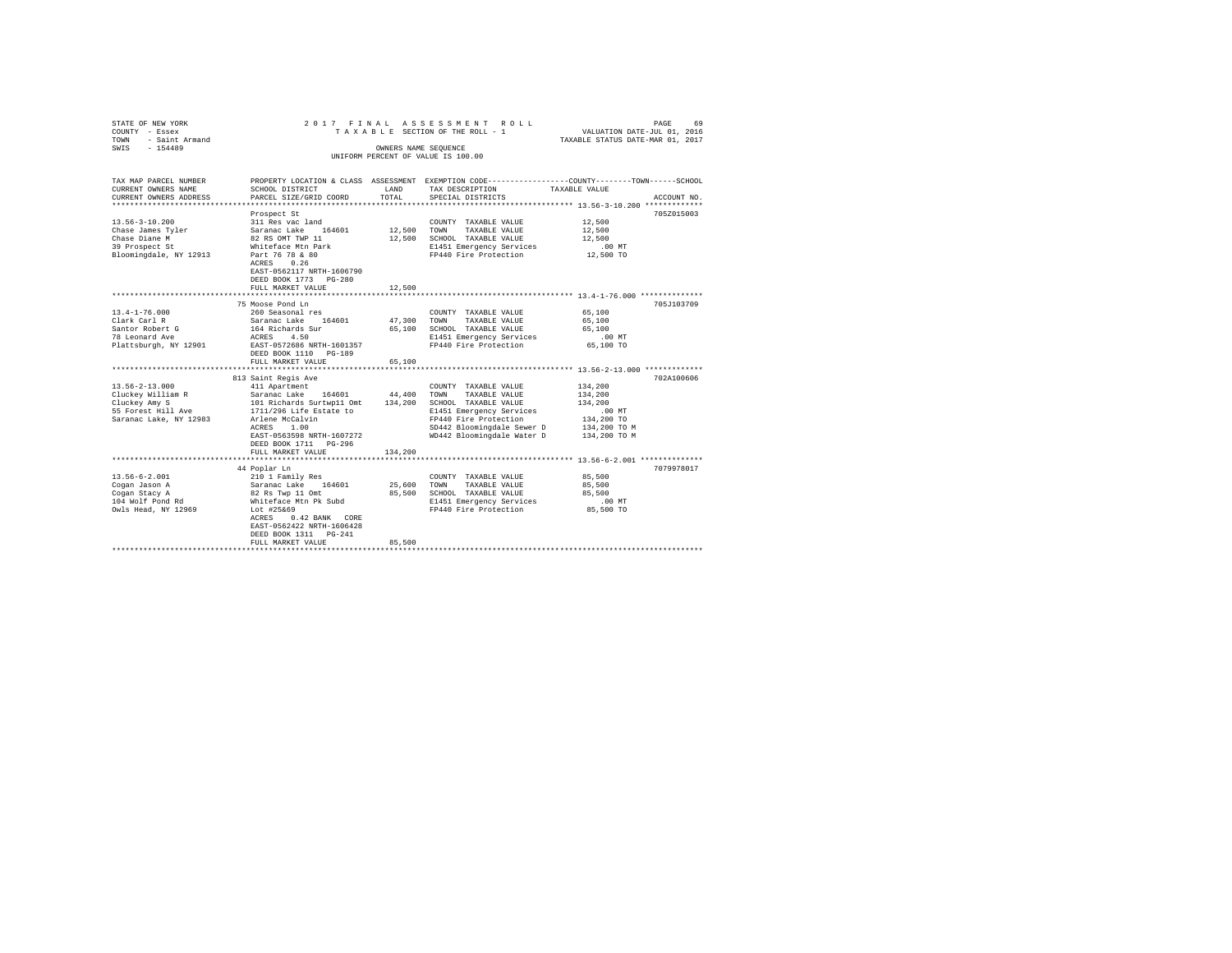| STATE OF NEW YORK<br>COUNTY - Essex<br>- Saint Armand<br>TOWN<br>SWIS - 154489                             |                                                                                                                                                                                                                          | OWNERS NAME SEQUENCE  | 2017 FINAL ASSESSMENT ROLL<br>TAXABLE SECTION OF THE ROLL - 1<br>UNIFORM PERCENT OF VALUE IS 100.00                                                                                            | VALUATION DATE-JUL 01, 2016<br>TAXABLE STATUS DATE-MAR 01, 2017                         | PAGE<br>69  |
|------------------------------------------------------------------------------------------------------------|--------------------------------------------------------------------------------------------------------------------------------------------------------------------------------------------------------------------------|-----------------------|------------------------------------------------------------------------------------------------------------------------------------------------------------------------------------------------|-----------------------------------------------------------------------------------------|-------------|
| TAX MAP PARCEL NUMBER<br>CURRENT OWNERS NAME<br>CURRENT OWNERS ADDRESS                                     | SCHOOL DISTRICT<br>PARCEL SIZE/GRID COORD                                                                                                                                                                                | LAND<br>TOTAL         | PROPERTY LOCATION & CLASS ASSESSMENT EXEMPTION CODE---------------COUNTY-------TOWN------SCHOOL<br>TAX DESCRIPTION<br>SPECIAL DISTRICTS                                                        | TAXABLE VALUE                                                                           | ACCOUNT NO. |
| $13.56 - 3 - 10.200$<br>Chase James Tyler<br>Chase Diane M<br>39 Prospect St<br>Bloomingdale, NY 12913     | Prospect St<br>311 Res vac land<br>Saranac Lake 164601<br>82 RS OMT TWP 11<br>Whiteface Mtn Park<br>Part 76 78 & 80<br>ACRES 0.26<br>Part 76 78 & 80<br>ACRES 0.26<br>EAST-0562117 NRTH-1606790<br>DEED BOOK 1773 PG-280 | 12,500 TOWN           | COUNTY TAXABLE VALUE<br>TAXABLE VALUE<br>12,500 SCHOOL TAXABLE VALUE<br>E1451 Emergency Services<br>FP440 Fire Protection                                                                      | 12,500<br>12,500<br>12,500<br>$.00$ MT<br>12,500 TO                                     | 705Z015003  |
|                                                                                                            | FULL MARKET VALUE<br>*********************************<br>75 Moose Pond Ln                                                                                                                                               | 12,500                | ********************************* 13.4-1-76.000 ***************                                                                                                                                |                                                                                         | 705J103709  |
| $13.4 - 1 - 76.000$<br>Clark Carl R<br>Santor Robert G<br>78 Leonard Ave<br>Plattsburgh, NY 12901          | 260 Seasonal res<br>Saranac Lake 164601<br>164 Richards Sur<br>ACRES 4.50<br>EAST-0572686 NRTH-1601357<br>DEED BOOK 1110 PG-189<br>FULL MARKET VALUE                                                                     | 47.300 TOWN<br>65,100 | COUNTY TAXABLE VALUE<br>TAXABLE VALUE<br>65,100 SCHOOL TAXABLE VALUE<br>E1451 Emergency Services<br>FP440 Fire Protection                                                                      | 65,100<br>65,100<br>65,100<br>.00 MT<br>65,100 TO                                       |             |
|                                                                                                            | 813 Saint Regis Ave                                                                                                                                                                                                      |                       |                                                                                                                                                                                                |                                                                                         | 702A100606  |
| $13.56 - 2 - 13.000$<br>Cluckey William R<br>Cluckey Amy S<br>55 Forest Hill Ave<br>Saranac Lake, NY 12983 | 411 Apartment<br>Saranac Lake 164601<br>101 Richards Surtwp11 Omt<br>1711/296 Life Estate to<br>Arlene McCalvin<br>ACRES 1.00<br>EAST-0563598 NRTH-1607272<br>DEED BOOK 1711 PG-296<br>FULL MARKET VALUE                 | 44,400<br>134,200     | COUNTY TAXABLE VALUE<br>TOWN<br>TAXABLE VALUE<br>134,200 SCHOOL TAXABLE VALUE<br>E1451 Emergency Services<br>FP440 Fire Protection<br>SD442 Bloomingdale Sewer D<br>WD442 Bloomingdale Water D | 134,200<br>134,200<br>134,200<br>$.00$ MT<br>134,200 TO<br>134,200 TO M<br>134,200 TO M |             |
|                                                                                                            |                                                                                                                                                                                                                          |                       |                                                                                                                                                                                                |                                                                                         |             |
| $13.56 - 6 - 2.001$<br>Cogan Jason A<br>Cogan Stacy A<br>104 Wolf Pond Rd<br>Owls Head, NY 12969           | 44 Poplar Ln<br>210 1 Family Res<br>Saranac Lake 164601<br>82 Rs Twp 11 Omt<br>Whiteface Mtn Pk Subd<br>Lot #25&69<br>ACRES 0.42 BANK CORE<br>EAST-0562422 NRTH-1606428<br>DEED BOOK 1311 PG-241                         | 25,600<br>85,500      | COUNTY TAXABLE VALUE<br>TAXABLE VALUE<br>TOWN<br>SCHOOL TAXABLE VALUE<br>E1451 Emergency Services<br>FP440 Fire Protection                                                                     | 85,500<br>85,500<br>85,500<br>.00 MT<br>85,500 TO                                       | 7079978017  |
|                                                                                                            | FULL MARKET VALUE                                                                                                                                                                                                        | 85,500                |                                                                                                                                                                                                |                                                                                         |             |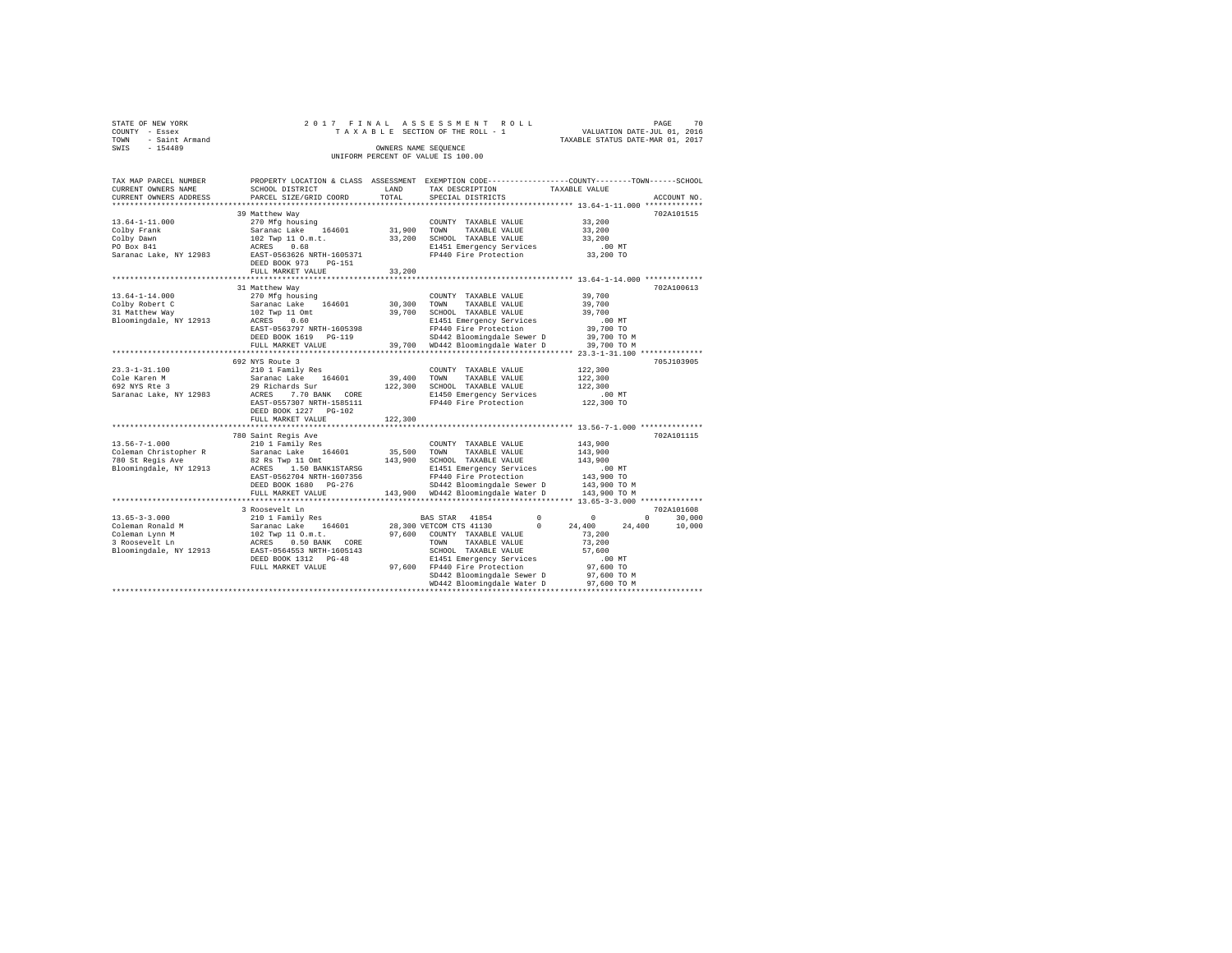| STATE OF NEW YORK   |  | 2017 FINAL ASSESSMENT ROLL         |                                  | PAGE                        | 70 |
|---------------------|--|------------------------------------|----------------------------------|-----------------------------|----|
| COUNTY - Essex      |  | TAXABLE SECTION OF THE ROLL - 1    |                                  | VALUATION DATE-JUL 01, 2016 |    |
| TOWN - Saint Armand |  |                                    | TAXABLE STATUS DATE-MAR 01, 2017 |                             |    |
| SWTS<br>$-154489$   |  | OWNERS NAME SEOUENCE               |                                  |                             |    |
|                     |  | UNIFORM PERCENT OF VALUE IS 100.00 |                                  |                             |    |

| TAX MAP PARCEL NUMBER<br>CURRENT OWNERS NAME | SCHOOL DISTRICT           | LAND    | PROPERTY LOCATION & CLASS ASSESSMENT EXEMPTION CODE---------------COUNTY-------TOWN-----SCHOOL<br>TAX DESCRIPTION | TAXABLE VALUE                  |                   |
|----------------------------------------------|---------------------------|---------|-------------------------------------------------------------------------------------------------------------------|--------------------------------|-------------------|
| CURRENT OWNERS ADDRESS                       | PARCEL SIZE/GRID COORD    | TOTAL   | SPECIAL DISTRICTS                                                                                                 |                                | ACCOUNT NO.       |
|                                              |                           |         |                                                                                                                   |                                |                   |
|                                              | 39 Matthew Way            |         |                                                                                                                   |                                | 702A101515        |
| $13.64 - 1 - 11.000$                         | 270 Mfg housing           |         | COUNTY TAXABLE VALUE                                                                                              | 33,200                         |                   |
| Colby Frank                                  | Saranac Lake 164601       | 31,900  | TOWN<br>TAXABLE VALUE                                                                                             | 33,200                         |                   |
| Colby Dawn                                   | 102 Twp 11 O.m.t.         | 33,200  | SCHOOL TAXABLE VALUE                                                                                              | 33,200                         |                   |
| PO Box 841                                   | 0.68<br>ACRES             |         | E1451 Emergency Services                                                                                          | $.00$ MT                       |                   |
| Saranac Lake, NY 12983                       | EAST-0563626 NRTH-1605371 |         | FP440 Fire Protection                                                                                             | 33,200 TO                      |                   |
|                                              | DEED BOOK 973<br>$PG-151$ |         |                                                                                                                   |                                |                   |
|                                              | FULL MARKET VALUE         | 33,200  |                                                                                                                   |                                |                   |
|                                              |                           |         |                                                                                                                   |                                |                   |
|                                              | 31 Matthew Way            |         |                                                                                                                   |                                | 702A100613        |
| $13.64 - 1 - 14.000$                         | 270 Mfg housing           |         | COUNTY TAXABLE VALUE                                                                                              | 39,700                         |                   |
| Colby Robert C                               | Saranac Lake 164601       | 30,300  | TOWN<br>TAXABLE VALUE                                                                                             | 39,700                         |                   |
| 31 Matthew Way                               | 102 Twp 11 Omt            | 39,700  | SCHOOL TAXABLE VALUE                                                                                              | 39,700                         |                   |
| Bloomingdale, NY 12913                       | ACRES<br>0.60             |         | E1451 Emergency Services                                                                                          | $.00$ MT                       |                   |
|                                              | EAST-0563797 NRTH-1605398 |         | FP440 Fire Protection                                                                                             | 39,700 TO                      |                   |
|                                              | DEED BOOK 1619 PG-119     |         | SD442 Bloomingdale Sewer D                                                                                        | 39,700 TO M                    |                   |
|                                              | FULL MARKET VALUE         |         | 39,700 WD442 Bloomingdale Water D                                                                                 | 39,700 TO M                    |                   |
|                                              | ************************* |         |                                                                                                                   |                                |                   |
|                                              | 692 NYS Route 3           |         |                                                                                                                   |                                | 705J103905        |
| $23.3 - 1 - 31.100$                          | 210 1 Family Res          |         | COUNTY TAXABLE VALUE                                                                                              | 122,300                        |                   |
| Cole Karen M                                 | Saranac Lake 164601       | 39,400  | TOWN<br>TAXABLE VALUE                                                                                             | 122,300                        |                   |
| 692 NYS Rte 3                                | 29 Richards Sur           | 122,300 | SCHOOL TAXABLE VALUE                                                                                              | 122,300                        |                   |
| Saranac Lake, NY 12983                       | ACRES 7.70 BANK CORE      |         | E1450 Emergency Services                                                                                          | $.00$ MT                       |                   |
|                                              | EAST-0557307 NRTH-1585111 |         | FP440 Fire Protection                                                                                             | 122,300 TO                     |                   |
|                                              | DEED BOOK 1227 PG-102     |         |                                                                                                                   |                                |                   |
|                                              | FULL MARKET VALUE         | 122,300 |                                                                                                                   |                                |                   |
|                                              |                           |         |                                                                                                                   |                                |                   |
|                                              | 780 Saint Regis Ave       |         |                                                                                                                   |                                | 702A101115        |
| $13.56 - 7 - 1.000$                          | 210 1 Family Res          |         | COUNTY TAXABLE VALUE                                                                                              | 143,900                        |                   |
| Coleman Christopher R                        | Saranac Lake 164601       | 35,500  | TOWN<br>TAXABLE VALUE                                                                                             | 143,900                        |                   |
| 780 St Regis Ave                             | 82 Rs Twp 11 Omt          | 143,900 | SCHOOL TAXABLE VALUE                                                                                              | 143,900                        |                   |
| Bloomingdale, NY 12913                       | 1.50 BANK1STARSG<br>ACRES |         | E1451 Emergency Services                                                                                          | $.00$ MT                       |                   |
|                                              | EAST-0562704 NRTH-1607356 |         | FP440 Fire Protection                                                                                             | 143,900 TO                     |                   |
|                                              | DEED BOOK 1680 PG-276     |         | SD442 Bloomingdale Sewer D                                                                                        | 143,900 TO M                   |                   |
|                                              | FULL MARKET VALUE         |         | 143,900 WD442 Bloomingdale Water D                                                                                | 143,900 TO M                   |                   |
|                                              | ************************  |         |                                                                                                                   |                                |                   |
|                                              | 3 Roosevelt Ln            |         |                                                                                                                   |                                | 702A101608        |
| $13.65 - 3 - 3.000$                          | 210 1 Family Res          |         | 41854<br>BAS STAR                                                                                                 | $^{\circ}$<br>$^{\circ}$       | $\circ$<br>30,000 |
| Coleman Ronald M                             | Saranac Lake<br>164601    |         | 28,300 VETCOM CTS 41130                                                                                           | $^{\circ}$<br>24,400<br>24,400 | 10,000            |
| Coleman Lynn M                               | 102 Twp 11 O.m.t.         |         | 97,600 COUNTY TAXABLE VALUE                                                                                       | 73,200                         |                   |
| 3 Roosevelt Ln                               | ACRES 0.50 BANK CORE      |         | TOWN<br>TAXABLE VALUE                                                                                             | 73,200                         |                   |
| Bloomingdale, NY 12913                       | EAST-0564553 NRTH-1605143 |         | SCHOOL TAXABLE VALUE                                                                                              | 57,600                         |                   |
|                                              | DEED BOOK 1312 PG-48      |         | E1451 Emergency Services                                                                                          | $.00$ MT                       |                   |
|                                              | FULL MARKET VALUE         |         | 97,600 FP440 Fire Protection                                                                                      | 97,600 TO                      |                   |
|                                              |                           |         | SD442 Bloomingdale Sewer D                                                                                        | 97,600 TO M                    |                   |
|                                              |                           |         | WD442 Bloomingdale Water D                                                                                        | 97.600 TO M                    |                   |
|                                              |                           |         |                                                                                                                   |                                |                   |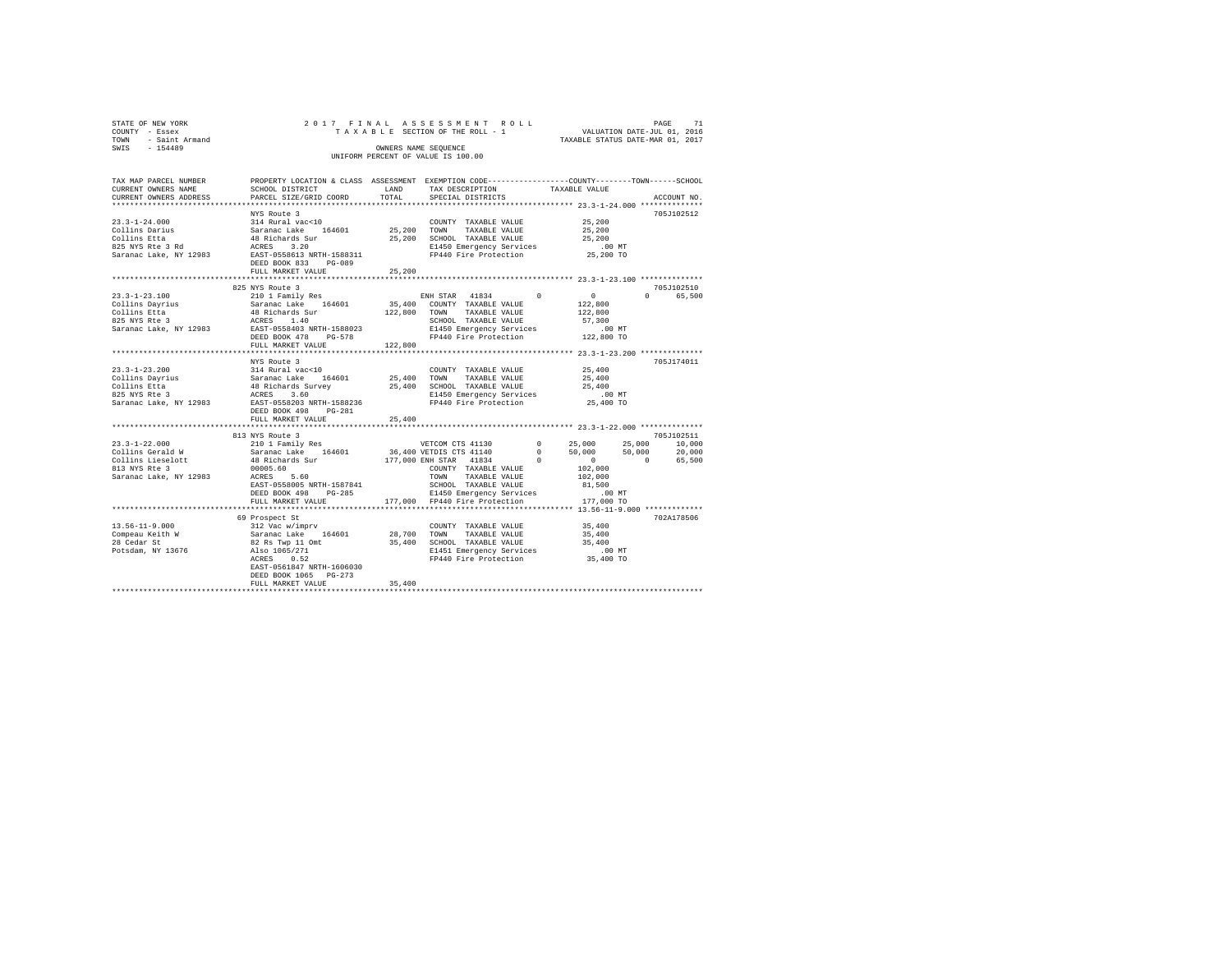| STATE OF NEW YORK   |  |  | 2017 FINAL ASSESSMENT ROLL         |                                  | PAGE | 71 |
|---------------------|--|--|------------------------------------|----------------------------------|------|----|
| COUNTY - Essex      |  |  | TAXABLE SECTION OF THE ROLL - 1    | VALUATION DATE-JUL 01, 2016      |      |    |
| TOWN - Saint Armand |  |  |                                    | TAXABLE STATUS DATE-MAR 01, 2017 |      |    |
| SWIS<br>$-154489$   |  |  | OWNERS NAME SEOUENCE               |                                  |      |    |
|                     |  |  | UNIFORM PERCENT OF VALUE IS 100.00 |                                  |      |    |

| TAX MAP PARCEL NUMBER<br>CURRENT OWNERS NAME<br>CURRENT OWNERS ADDRESS | PROPERTY LOCATION & CLASS ASSESSMENT EXEMPTION CODE----------------COUNTY-------TOWN-----SCHOOL<br>SCHOOL DISTRICT<br>PARCEL SIZE/GRID COORD                                                                                         |        | LAND TAX DESCRIPTION<br>TOTAL SPECIAL DISTRICTS                    | TAXABLE VALUE                                                  | ACCOUNT NO. |
|------------------------------------------------------------------------|--------------------------------------------------------------------------------------------------------------------------------------------------------------------------------------------------------------------------------------|--------|--------------------------------------------------------------------|----------------------------------------------------------------|-------------|
|                                                                        |                                                                                                                                                                                                                                      |        |                                                                    |                                                                |             |
|                                                                        | NYS Route 3                                                                                                                                                                                                                          |        |                                                                    |                                                                | 705-102512  |
|                                                                        |                                                                                                                                                                                                                                      |        |                                                                    |                                                                |             |
|                                                                        |                                                                                                                                                                                                                                      |        |                                                                    |                                                                |             |
|                                                                        |                                                                                                                                                                                                                                      |        |                                                                    |                                                                |             |
|                                                                        |                                                                                                                                                                                                                                      |        |                                                                    |                                                                |             |
|                                                                        |                                                                                                                                                                                                                                      |        |                                                                    |                                                                |             |
|                                                                        |                                                                                                                                                                                                                                      |        |                                                                    |                                                                |             |
|                                                                        | FULL MARKET VALUE 25,200                                                                                                                                                                                                             |        |                                                                    |                                                                |             |
|                                                                        |                                                                                                                                                                                                                                      |        |                                                                    |                                                                |             |
|                                                                        | 825 NYS Route 3                                                                                                                                                                                                                      |        |                                                                    |                                                                | 705J102510  |
|                                                                        |                                                                                                                                                                                                                                      |        |                                                                    |                                                                | 0 65,500    |
|                                                                        |                                                                                                                                                                                                                                      |        |                                                                    |                                                                |             |
|                                                                        |                                                                                                                                                                                                                                      |        |                                                                    |                                                                |             |
|                                                                        |                                                                                                                                                                                                                                      |        |                                                                    |                                                                |             |
|                                                                        |                                                                                                                                                                                                                                      |        |                                                                    |                                                                |             |
|                                                                        | FULL MARKET VALUE 122.800                                                                                                                                                                                                            |        |                                                                    |                                                                |             |
|                                                                        |                                                                                                                                                                                                                                      |        |                                                                    | ********************************** 23.3-1-23.200 ************* |             |
|                                                                        |                                                                                                                                                                                                                                      |        |                                                                    |                                                                | 705J174011  |
|                                                                        |                                                                                                                                                                                                                                      |        |                                                                    |                                                                |             |
|                                                                        |                                                                                                                                                                                                                                      |        |                                                                    |                                                                |             |
|                                                                        |                                                                                                                                                                                                                                      |        |                                                                    |                                                                |             |
|                                                                        |                                                                                                                                                                                                                                      |        |                                                                    |                                                                |             |
|                                                                        |                                                                                                                                                                                                                                      |        |                                                                    |                                                                |             |
|                                                                        |                                                                                                                                                                                                                                      |        |                                                                    |                                                                |             |
|                                                                        | FULL MARKET VALUE                                                                                                                                                                                                                    | 25,400 |                                                                    |                                                                |             |
|                                                                        |                                                                                                                                                                                                                                      |        |                                                                    |                                                                |             |
|                                                                        | 813 NYS Route 3                                                                                                                                                                                                                      |        |                                                                    |                                                                | 705J102511  |
|                                                                        |                                                                                                                                                                                                                                      |        |                                                                    |                                                                |             |
|                                                                        |                                                                                                                                                                                                                                      |        |                                                                    |                                                                |             |
|                                                                        |                                                                                                                                                                                                                                      |        |                                                                    |                                                                |             |
|                                                                        |                                                                                                                                                                                                                                      |        |                                                                    |                                                                |             |
|                                                                        |                                                                                                                                                                                                                                      |        |                                                                    |                                                                |             |
|                                                                        |                                                                                                                                                                                                                                      |        |                                                                    |                                                                |             |
|                                                                        |                                                                                                                                                                                                                                      |        |                                                                    |                                                                |             |
|                                                                        | ACABS - 2:00 - 1000 - 1000 - 1000 - 1000 - 102,000 - 102,000 - 102,000 - 102,000 - 102,000 - 102,000 - 102,000<br>DEED BOOK 498 - DG-285 - 102,000 - 102,000 - 102,000 - 1000 - 1000 - 1000 - 1000 - 1000 - 1000 - 1000 - 1000 -<br> |        |                                                                    |                                                                |             |
|                                                                        |                                                                                                                                                                                                                                      |        |                                                                    |                                                                |             |
|                                                                        |                                                                                                                                                                                                                                      |        |                                                                    |                                                                | 702A178506  |
|                                                                        |                                                                                                                                                                                                                                      |        |                                                                    |                                                                |             |
|                                                                        |                                                                                                                                                                                                                                      |        |                                                                    |                                                                |             |
|                                                                        |                                                                                                                                                                                                                                      |        |                                                                    |                                                                |             |
|                                                                        |                                                                                                                                                                                                                                      |        | E1451 Emergency Services .00 MT<br>FP440 Fire Protection 35,400 TO |                                                                |             |
|                                                                        |                                                                                                                                                                                                                                      |        |                                                                    |                                                                |             |
|                                                                        | EAST-0561847 NRTH-1606030                                                                                                                                                                                                            |        |                                                                    |                                                                |             |
|                                                                        | DEED BOOK 1065 PG-273<br>FULL MARKET VALUE                                                                                                                                                                                           | 35,400 |                                                                    |                                                                |             |
|                                                                        |                                                                                                                                                                                                                                      |        |                                                                    |                                                                |             |
|                                                                        |                                                                                                                                                                                                                                      |        |                                                                    |                                                                |             |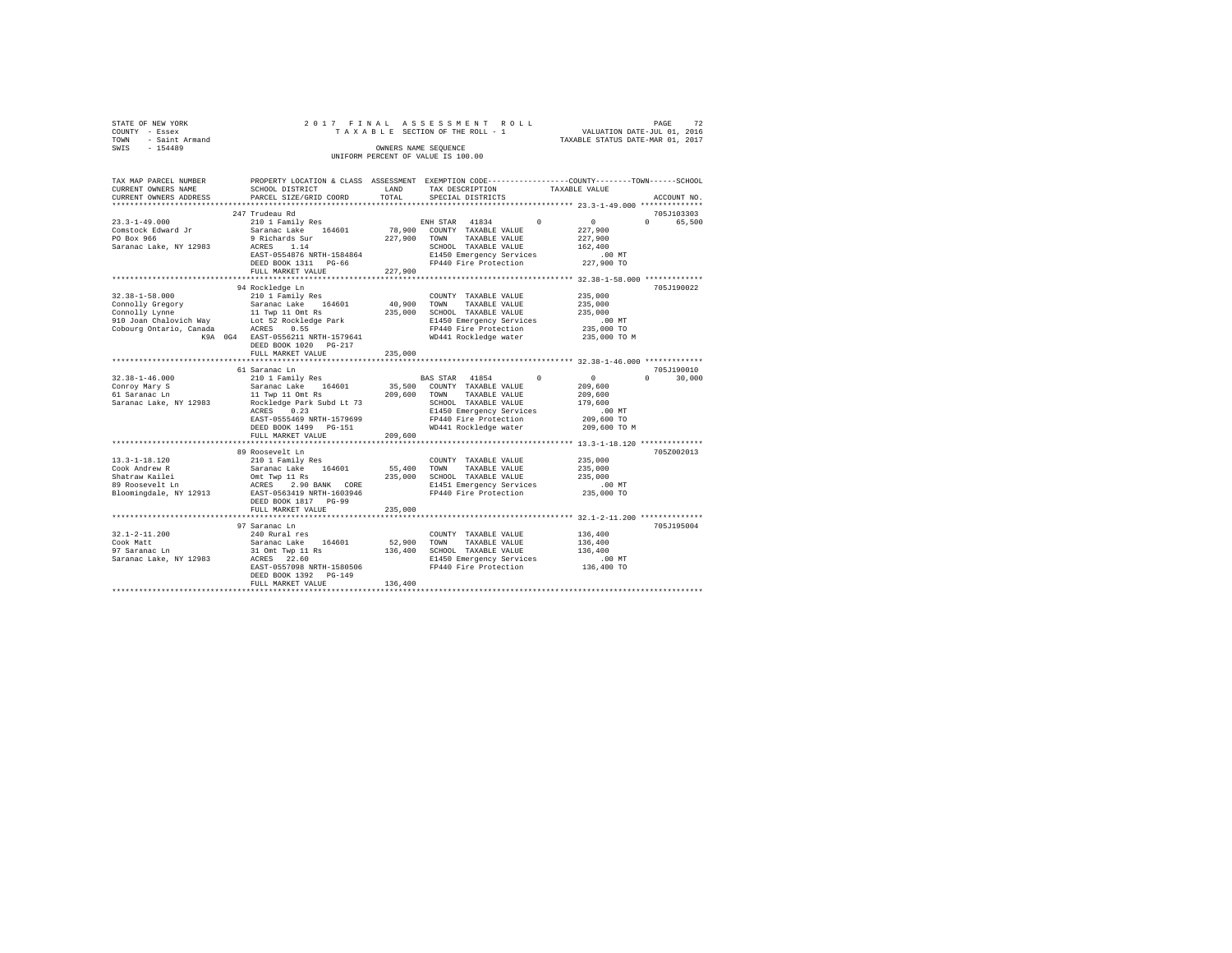| STATE OF NEW YORK                  |  |  |  |  | 2017 FINAL ASSESSMENT ROLL      |  |                                  | PAGE                        | 72 |
|------------------------------------|--|--|--|--|---------------------------------|--|----------------------------------|-----------------------------|----|
| COUNTY - Essex                     |  |  |  |  | TAXABLE SECTION OF THE ROLL - 1 |  |                                  | VALUATION DATE-JUL 01, 2016 |    |
| TOWN - Saint Armand                |  |  |  |  |                                 |  | TAXABLE STATUS DATE-MAR 01, 2017 |                             |    |
| SWTS<br>$-154489$                  |  |  |  |  | OWNERS NAME SEOUENCE            |  |                                  |                             |    |
| UNIFORM PERCENT OF VALUE IS 100.00 |  |  |  |  |                                 |  |                                  |                             |    |
|                                    |  |  |  |  |                                 |  |                                  |                             |    |

| TAX MAP PARCEL NUMBER              |                                                                                                                                                                                                                    |             | PROPERTY LOCATION & CLASS ASSESSMENT EXEMPTION CODE---------------COUNTY-------TOWN-----SCHOOL |                                                            |
|------------------------------------|--------------------------------------------------------------------------------------------------------------------------------------------------------------------------------------------------------------------|-------------|------------------------------------------------------------------------------------------------|------------------------------------------------------------|
| CURRENT OWNERS NAME                | SCHOOL DISTRICT                                                                                                                                                                                                    | LAND        | TAX DESCRIPTION                                                                                | TAXABLE VALUE                                              |
|                                    | CURRENT OWNERS ADDRESS PARCEL SIZE/GRID COORD                                                                                                                                                                      | TOTAL       | SPECIAL DISTRICTS                                                                              | ACCOUNT NO.                                                |
|                                    |                                                                                                                                                                                                                    |             |                                                                                                |                                                            |
|                                    | 247 Trudeau Rd                                                                                                                                                                                                     |             |                                                                                                | 705J103303                                                 |
| $23.3 - 1 - 49.000$                | 210 1 Family Res                                                                                                                                                                                                   |             | ENH STAR 41834<br>$\Omega$                                                                     | $\sim$ 0<br>$0 \qquad \qquad$<br>65,500                    |
| Comstock Edward Jr                 | Saranac Lake 164601                                                                                                                                                                                                |             | 78,900 COUNTY TAXABLE VALUE                                                                    | 227,900                                                    |
| PO Box 966                         | 9 Richards Sur                                                                                                                                                                                                     |             | 227,900 TOWN<br>TAXABLE VALUE                                                                  | 227,900                                                    |
| Saranac Lake, NY 12983 ACRES 1.14  |                                                                                                                                                                                                                    |             | SCHOOL TAXABLE VALUE                                                                           | 162,400                                                    |
|                                    | EAST-0554876 NRTH-1584864                                                                                                                                                                                          |             |                                                                                                |                                                            |
|                                    | DEED BOOK 1311 PG-66                                                                                                                                                                                               |             | E1450 Emergency Services 6.00 MT<br>FP440 Fire Protection 227,900 TO                           |                                                            |
|                                    | FULL MARKET VALUE                                                                                                                                                                                                  | 227,900     |                                                                                                |                                                            |
|                                    |                                                                                                                                                                                                                    |             |                                                                                                |                                                            |
|                                    | 94 Rockledge Ln                                                                                                                                                                                                    |             |                                                                                                | 705J190022                                                 |
| $32.38 - 1 - 58.000$               | 210 1 Family Res                                                                                                                                                                                                   |             | COUNTY TAXABLE VALUE                                                                           | 235,000                                                    |
| Connolly Gregory                   | Saranac Lake 164601                                                                                                                                                                                                |             | 40,900 TOWN<br>TAXABLE VALUE                                                                   | 235,000                                                    |
|                                    |                                                                                                                                                                                                                    |             | 235,000 SCHOOL TAXABLE VALUE                                                                   | 235,000                                                    |
|                                    |                                                                                                                                                                                                                    |             |                                                                                                | $.00$ MT                                                   |
|                                    | Commolly Lynne<br>Commolly Lynne<br>210 Joan Chalovich Way<br>20 Joan Cobourg Ontario, Canada<br>20 Joan Cobourg Ontario, Canada<br>20 ACRES 0.55                                                                  |             | E1450 Emergency Services<br>FP440 Fire Protection<br>WD441 Rockledge water                     |                                                            |
|                                    | K9A 0G4 EAST-0556211 NRTH-1579641                                                                                                                                                                                  |             |                                                                                                | 235,000 TO<br>235,000 TO M                                 |
|                                    | DEED BOOK 1020 PG-217                                                                                                                                                                                              |             |                                                                                                |                                                            |
|                                    | FULL MARKET VALUE                                                                                                                                                                                                  | 235,000     |                                                                                                |                                                            |
|                                    |                                                                                                                                                                                                                    |             |                                                                                                |                                                            |
|                                    | 61 Saranac Ln                                                                                                                                                                                                      |             |                                                                                                | 705J190010                                                 |
| $32.38 - 1 - 46.000$               | 210 1 Family Res                                                                                                                                                                                                   |             | BAS STAR 41854<br>$^{\circ}$                                                                   | $\sim$ 0 $\sim$<br>$0 \qquad \qquad$<br>30,000             |
| Conroy Mary S                      |                                                                                                                                                                                                                    |             | 35,500 COUNTY TAXABLE VALUE                                                                    | 209,600                                                    |
|                                    | Saranac Lake 164601<br>11 Twp 11 Omt Rs                                                                                                                                                                            |             | 209,600 TOWN TAXABLE VALUE                                                                     | 209,600                                                    |
| 61 Saranac Ln                      | Saranac Lake, NY 12983 Rockledge Park Subd Lt 73                                                                                                                                                                   |             | SCHOOL TAXABLE VALUE                                                                           | 179,600                                                    |
|                                    |                                                                                                                                                                                                                    |             |                                                                                                |                                                            |
|                                    | ACRES 0.23                                                                                                                                                                                                         |             | E1450 Emergency Services                                                                       | $.00$ MT                                                   |
|                                    | EAST-0555469 NRTH-1579699                                                                                                                                                                                          |             | FP440 Fire Protection                                                                          | 209,600 TO                                                 |
|                                    | DEED BOOK 1499    PG-151                                                                                                                                                                                           |             | WD441 Rockledge water                                                                          | 209,600 TO M                                               |
|                                    | FULL MARKET VALUE                                                                                                                                                                                                  | 209,600     |                                                                                                |                                                            |
|                                    |                                                                                                                                                                                                                    |             |                                                                                                | ***************************** 13.3-1-18.120 ************** |
|                                    | 89 Roosevelt Ln                                                                                                                                                                                                    |             |                                                                                                | 705Z002013                                                 |
| 13.3-1-18.120                      | 210 1 Family Res                                                                                                                                                                                                   |             | COUNTY TAXABLE VALUE 235,000                                                                   |                                                            |
|                                    |                                                                                                                                                                                                                    |             |                                                                                                | 235,000<br>235,000                                         |
|                                    |                                                                                                                                                                                                                    |             |                                                                                                |                                                            |
|                                    | COOK Andrew R<br>Cook Andrew R<br>Shatraw Kailei (Mark 235,000 SCHOOL TAXABLE VALUE<br>Shatraw Kailei (Mark 235,000 SCHOOL TAXABLE VALUE<br>Bloomingdale, NY 12913 EAST-0563419 NRTH-1603946 FP440 Fire Protection |             | E1451 Emergency Services<br>FP440 Fire Protection                                              | $.00$ MT<br>235,000 TO                                     |
|                                    |                                                                                                                                                                                                                    |             |                                                                                                |                                                            |
|                                    | DEED BOOK 1817 PG-99                                                                                                                                                                                               |             |                                                                                                |                                                            |
|                                    | FULL MARKET VALUE                                                                                                                                                                                                  | 235,000     |                                                                                                |                                                            |
|                                    |                                                                                                                                                                                                                    |             |                                                                                                |                                                            |
|                                    | 97 Saranac Ln                                                                                                                                                                                                      |             |                                                                                                | 705J195004                                                 |
| $32.1 - 2 - 11.200$                | 240 Rural res                                                                                                                                                                                                      |             | COUNTY TAXABLE VALUE                                                                           | 136,400                                                    |
| Cook Matt                          | saranac Lake 164601<br>31 Omt Twp 11 Rs<br>ACRES 22.60                                                                                                                                                             | 52,900 TOWN | TAXABLE VALUE                                                                                  | 136,400                                                    |
| 97 Saranac Ln                      |                                                                                                                                                                                                                    |             | 136,400 SCHOOL TAXABLE VALUE                                                                   | 136,400                                                    |
| Saranac Lake, NY 12983 ACRES 22.60 |                                                                                                                                                                                                                    |             | E1450 Emergency Services                                                                       | $.00$ MT                                                   |
|                                    | EAST-0557098 NRTH-1580506                                                                                                                                                                                          |             | FP440 Fire Protection                                                                          | 136,400 TO                                                 |
|                                    | DEED BOOK 1392 PG-149                                                                                                                                                                                              |             |                                                                                                |                                                            |
|                                    | FULL MARKET VALUE                                                                                                                                                                                                  | 136,400     |                                                                                                |                                                            |
|                                    |                                                                                                                                                                                                                    |             |                                                                                                |                                                            |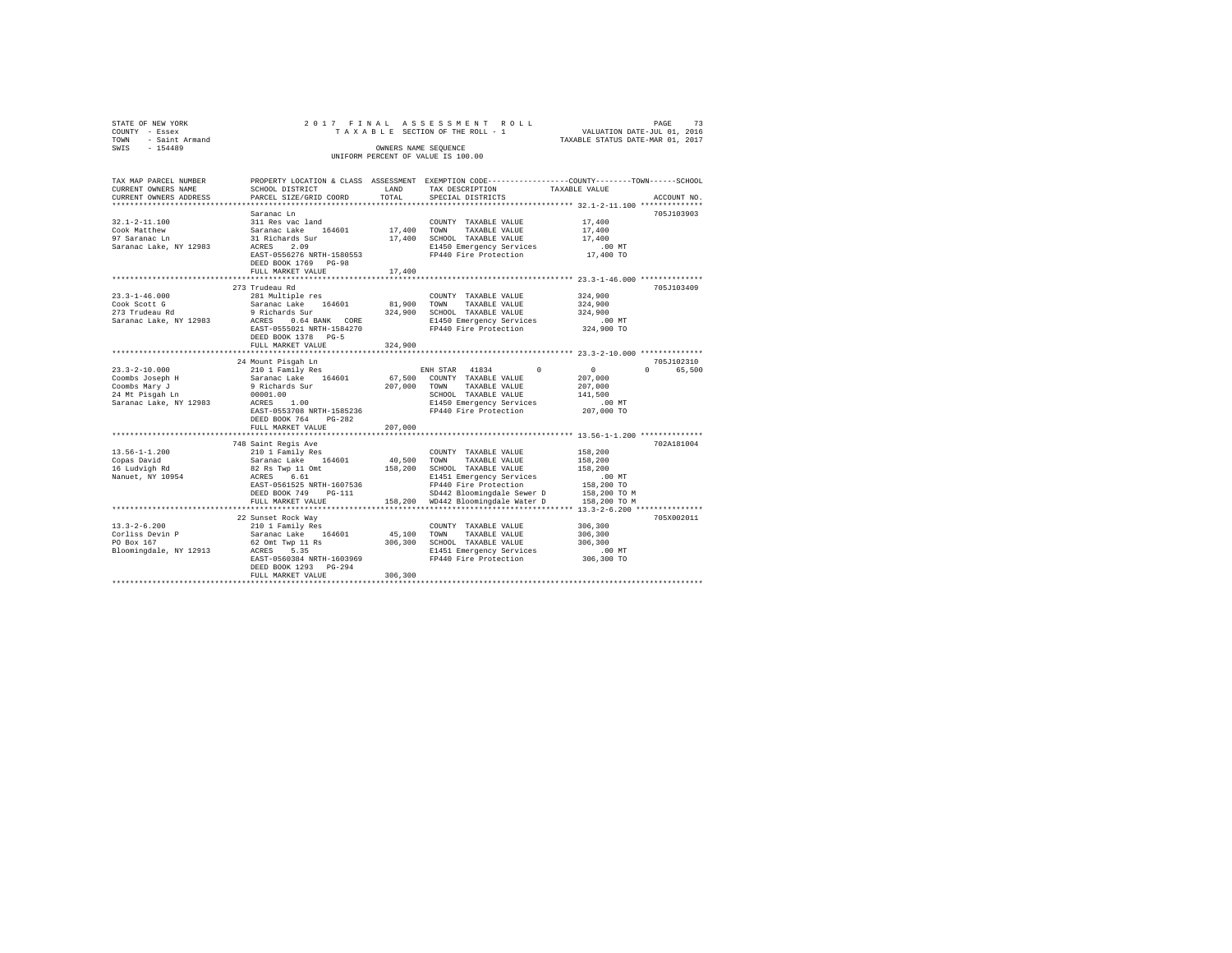| STATE OF NEW YORK<br>COUNTY - Essex<br>- Saint Armand<br>TOWN<br>$-154489$<br>SWIS |                                         | OWNERS NAME SEQUENCE | 2017 FINAL ASSESSMENT ROLL<br>TAXABLE SECTION OF THE ROLL - 1<br>UNIFORM PERCENT OF VALUE IS 100.00 | PAGE<br>VALUATION DATE-JUL 01, 2016<br>TAXABLE STATUS DATE-MAR 01, 2017                         | 73          |
|------------------------------------------------------------------------------------|-----------------------------------------|----------------------|-----------------------------------------------------------------------------------------------------|-------------------------------------------------------------------------------------------------|-------------|
| TAX MAP PARCEL NUMBER                                                              |                                         |                      |                                                                                                     | PROPERTY LOCATION & CLASS ASSESSMENT EXEMPTION CODE---------------COUNTY-------TOWN------SCHOOL |             |
| CURRENT OWNERS NAME                                                                | SCHOOL DISTRICT                         | LAND                 | TAX DESCRIPTION                                                                                     | TAXABLE VALUE                                                                                   |             |
| CURRENT OWNERS ADDRESS                                                             | PARCEL SIZE/GRID COORD                  | TOTAL                | SPECIAL DISTRICTS                                                                                   |                                                                                                 | ACCOUNT NO. |
|                                                                                    | Saranac Ln                              |                      |                                                                                                     |                                                                                                 | 705J103903  |
| $32.1 - 2 - 11.100$                                                                | 311 Res vac land                        |                      | COUNTY TAXABLE VALUE                                                                                | 17,400                                                                                          |             |
| Cook Matthew                                                                       | Saranac Lake 164601                     | 17,400 TOWN          | TAXABLE VALUE                                                                                       | 17,400                                                                                          |             |
| 97 Saranac Ln                                                                      | 31 Richards Sur                         |                      | 17,400 SCHOOL TAXABLE VALUE                                                                         | 17,400                                                                                          |             |
| Saranac Lake, NY 12983                                                             | ACRES 2.09                              |                      | E1450 Emergency Services                                                                            | $.00$ MT                                                                                        |             |
|                                                                                    | EAST-0556276 NRTH-1580553               |                      | FP440 Fire Protection                                                                               | 17,400 TO                                                                                       |             |
|                                                                                    | DEED BOOK 1769 PG-98                    |                      |                                                                                                     |                                                                                                 |             |
|                                                                                    | FULL MARKET VALUE                       | 17,400               |                                                                                                     |                                                                                                 |             |
|                                                                                    | 273 Trudeau Rd                          |                      |                                                                                                     |                                                                                                 | 705J103409  |
| $23.3 - 1 - 46.000$                                                                | 281 Multiple res                        |                      | COUNTY TAXABLE VALUE                                                                                | 324,900                                                                                         |             |
| Cook Scott G                                                                       | Saranac Lake 164601                     |                      | 81,900 TOWN TAXABLE VALUE                                                                           | 324,900                                                                                         |             |
| 273 Trudeau Rd                                                                     | 9 Richards Sur                          |                      | 324,900 SCHOOL TAXABLE VALUE                                                                        | 324,900                                                                                         |             |
| Saranac Lake, NY 12983                                                             | ACRES 0.64 BANK CORE                    |                      | E1450 Emergency Services                                                                            | $.00$ MT                                                                                        |             |
|                                                                                    | EAST-0555021 NRTH-1584270               |                      | FP440 Fire Protection                                                                               | 324,900 TO                                                                                      |             |
|                                                                                    | DEED BOOK 1378 PG-5                     |                      |                                                                                                     |                                                                                                 |             |
|                                                                                    | FULL MARKET VALUE                       | 324,900              |                                                                                                     |                                                                                                 |             |
|                                                                                    |                                         |                      |                                                                                                     |                                                                                                 |             |
|                                                                                    | 24 Mount Pisgah Ln                      |                      |                                                                                                     |                                                                                                 | 705J102310  |
| $23.3 - 2 - 10.000$<br>Coombs Joseph H                                             | 210 1 Family Res<br>Saranac Lake 164601 |                      | ENH STAR 41834<br>67,500 COUNTY TAXABLE VALUE                                                       | $\sim$ 0<br>207,000                                                                             | 0 65,500    |
| Coombs Mary J                                                                      | 9 Richards Sur                          | 207.000 TOWN         | TAXABLE VALUE                                                                                       | 207,000                                                                                         |             |
| 24 Mt Pisgah Ln                                                                    | 00001.00                                |                      | SCHOOL TAXABLE VALUE                                                                                | 141,500                                                                                         |             |
| Saranac Lake, NY 12983                                                             | $ACRES$ 1.00                            |                      | E1450 Emergency Services                                                                            | $.00$ MT                                                                                        |             |
|                                                                                    | EAST-0553708 NRTH-1585236               |                      | FP440 Fire Protection                                                                               | 207,000 TO                                                                                      |             |
|                                                                                    | DEED BOOK 764 PG-282                    |                      |                                                                                                     |                                                                                                 |             |
|                                                                                    | FULL MARKET VALUE                       | 207,000              |                                                                                                     |                                                                                                 |             |
|                                                                                    |                                         |                      |                                                                                                     |                                                                                                 |             |
|                                                                                    | 748 Saint Regis Ave                     |                      |                                                                                                     |                                                                                                 | 702A181004  |
| $13.56 - 1 - 1.200$                                                                | 210 1 Family Res                        |                      | COUNTY TAXABLE VALUE                                                                                | 158,200                                                                                         |             |
| Copas David<br>16 Ludvigh Rd                                                       | Saranac Lake 164601<br>82 Rs Twp 11 Omt | 40.500 TOWN          | TAXABLE VALUE<br>158,200 SCHOOL TAXABLE VALUE                                                       | 158,200<br>158,200                                                                              |             |
| Nanuet, NY 10954                                                                   | ACRES 6.61                              |                      | E1451 Emergency Services                                                                            | $.00$ MT                                                                                        |             |
|                                                                                    | EAST-0561525 NRTH-1607536               |                      | FP440 Fire Protection                                                                               | 158,200 TO                                                                                      |             |
|                                                                                    | DEED BOOK 749 PG-111                    |                      | SD442 Bloomingdale Sewer D                                                                          | 158,200 TO M                                                                                    |             |
|                                                                                    | FULL MARKET VALUE                       |                      | 158,200 WD442 Bloomingdale Water D                                                                  | 158,200 TO M                                                                                    |             |
|                                                                                    |                                         |                      |                                                                                                     |                                                                                                 |             |
|                                                                                    | 22 Sunset Rock Way                      |                      |                                                                                                     |                                                                                                 | 705X002011  |
| $13.3 - 2 - 6.200$                                                                 | 210 1 Family Res                        |                      | COUNTY TAXABLE VALUE                                                                                | 306,300                                                                                         |             |
| Corliss Devin P                                                                    | Saranac Lake 164601                     | 45,100 TOWN          | TAXABLE VALUE                                                                                       | 306,300                                                                                         |             |
| PO Box 167                                                                         | 62 Omt Twp 11 Rs                        |                      | 306,300 SCHOOL TAXABLE VALUE                                                                        | 306,300                                                                                         |             |
| Bloomingdale, NY 12913                                                             | ACRES 5.35                              |                      | E1451 Emergency Services                                                                            | $.00$ MT                                                                                        |             |
|                                                                                    | EAST-0560384 NRTH-1603969               |                      | FP440 Fire Protection                                                                               | 306,300 TO                                                                                      |             |
|                                                                                    | DEED BOOK 1293 PG-294                   |                      |                                                                                                     |                                                                                                 |             |
|                                                                                    | FULL MARKET VALUE                       | 306,300              |                                                                                                     |                                                                                                 |             |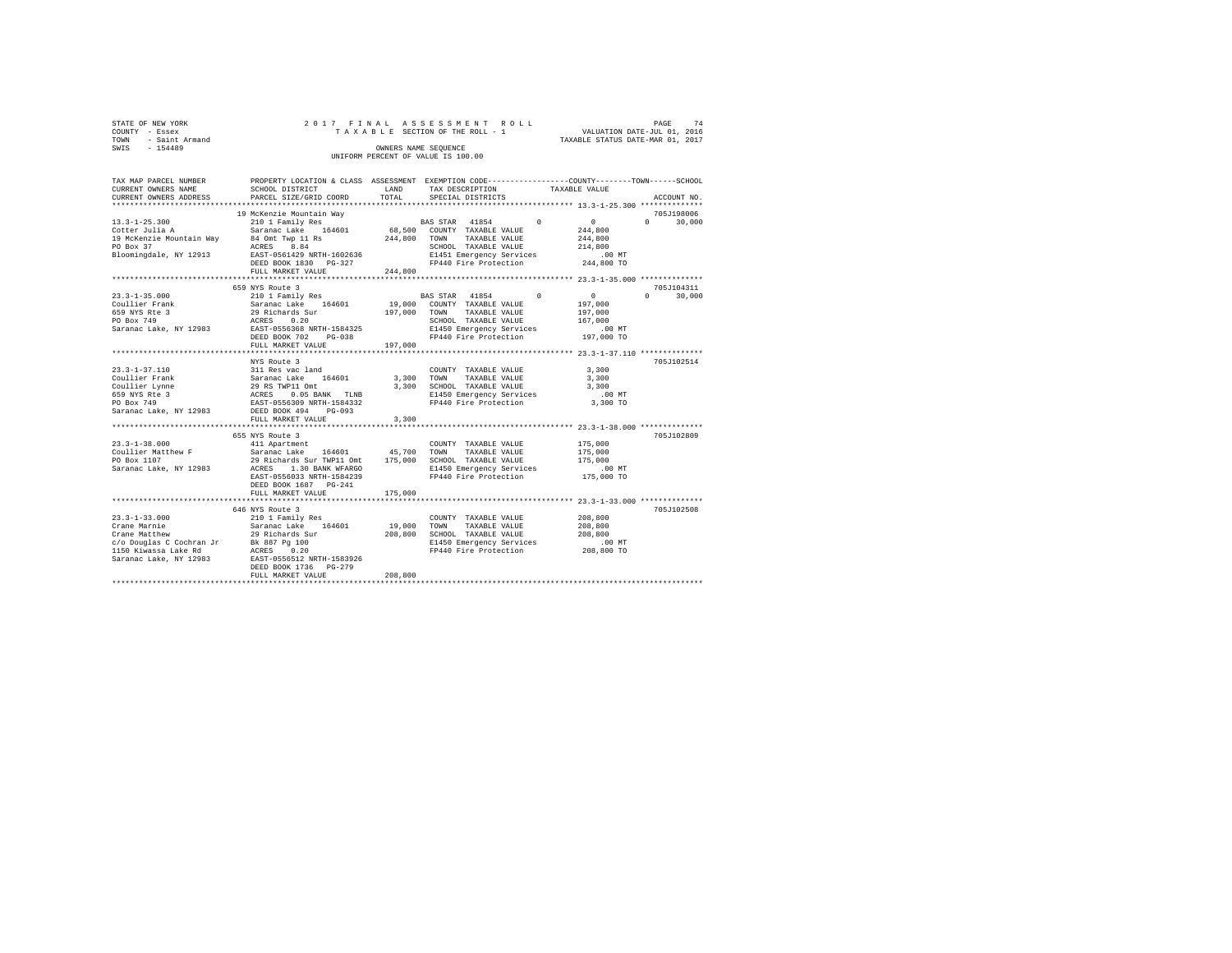| STATE OF NEW YORK   | 2017 FINAL ASSESSMENT ROLL |  |                                    |  |  |  |  |                                  |                             | PAGE | 74 |
|---------------------|----------------------------|--|------------------------------------|--|--|--|--|----------------------------------|-----------------------------|------|----|
| COUNTY - Essex      |                            |  | TAXABLE SECTION OF THE ROLL - 1    |  |  |  |  |                                  | VALUATION DATE-JUL 01, 2016 |      |    |
| TOWN - Saint Armand |                            |  |                                    |  |  |  |  | TAXABLE STATUS DATE-MAR 01, 2017 |                             |      |    |
| SWIS<br>$-154489$   |                            |  | OWNERS NAME SEOUENCE               |  |  |  |  |                                  |                             |      |    |
|                     |                            |  | UNIFORM PERCENT OF VALUE IS 100.00 |  |  |  |  |                                  |                             |      |    |

| TAX MAP PARCEL NUMBER<br>CURRENT OWNERS NAME                                                                                                                                                                                                    | SCHOOL DISTRICT                                                        | LAND         | PROPERTY LOCATION & CLASS ASSESSMENT EXEMPTION CODE---------------COUNTY-------TOWN------SCHOOL<br>TAX DESCRIPTION                                   | TAXABLE VALUE                                                                                                      |
|-------------------------------------------------------------------------------------------------------------------------------------------------------------------------------------------------------------------------------------------------|------------------------------------------------------------------------|--------------|------------------------------------------------------------------------------------------------------------------------------------------------------|--------------------------------------------------------------------------------------------------------------------|
| CURRENT OWNERS ADDRESS                                                                                                                                                                                                                          | PARCEL SIZE/GRID COORD                                                 | TOTAL        | SPECIAL DISTRICTS                                                                                                                                    | ACCOUNT NO.                                                                                                        |
|                                                                                                                                                                                                                                                 |                                                                        |              |                                                                                                                                                      |                                                                                                                    |
|                                                                                                                                                                                                                                                 | 19 McKenzie Mountain Way<br>DEED BOOK 1830 PG-327<br>FULL MARKET VALUE | 244,800      | FP440 Fire Protection                                                                                                                                | 705J198006<br>$0 \t 30.000$<br>.00 MT<br>244,800 TO                                                                |
|                                                                                                                                                                                                                                                 |                                                                        |              |                                                                                                                                                      |                                                                                                                    |
|                                                                                                                                                                                                                                                 | 659 NYS Route 3<br>FULL MARKET VALUE                                   | 197,000      |                                                                                                                                                      | 705J104311<br>$\sim$ 0<br>$\Omega$ and $\Omega$<br>30,000<br>197,000<br>197.000<br>167,000<br>00 MT.<br>197,000 TO |
|                                                                                                                                                                                                                                                 |                                                                        |              |                                                                                                                                                      |                                                                                                                    |
| 23.3-1-37.110<br>23.3-1-37.110<br>23.1 Res vac land<br>23.1 Res vac land<br>29 RS TWP11 Omt<br>659 NYS Rte 3<br>29 RS TWP11 Omt<br>29 RS TWP1 Omtart -1584332<br>23.2 BAST-0556309 NRTH-1584332<br>23.2 BAST-0556309 NRTH-1584332<br>23.2 BAST- | NYS Route 3<br>FULL MARKET VALUE                                       | 3,300        | COUNTY TAXABLE VALUE<br>3,300 TOWN TAXABLE VALUE<br>3,300 SCHOOL TAXABLE VALUE<br>E1450 Emergency Services 6.00 MT<br>FP440 Fire Protection 3,300 TO | 705J102514<br>3,300<br>3,300<br>3,300                                                                              |
|                                                                                                                                                                                                                                                 | 655 NYS Route 3                                                        |              |                                                                                                                                                      | 705J102809                                                                                                         |
|                                                                                                                                                                                                                                                 | EAST-0556033 NRTH-1584239<br>DEED BOOK 1687 PG-241                     | 175,000      | FP440 Fire Protection                                                                                                                                | 175,000<br>175,000<br>175,000<br>00 MT.<br>175,000 TO                                                              |
|                                                                                                                                                                                                                                                 | FULL MARKET VALUE<br>**************************                        | ************ |                                                                                                                                                      | ********************************* 23.3-1-33.000 **************                                                     |
|                                                                                                                                                                                                                                                 | 646 NYS Route 3<br>DEED BOOK 1736 PG-279<br>FULL MARKET VALUE          | 208,800      | COUNTY TAXABLE VALUE<br>19,000 TOWN TAXABLE VALUE<br>208,800 SCHOOL TAXABLE VALUE<br>E1450 Emergency Services<br>FP440 Fire Protection 208,800 TO    | 705J102508<br>208,800<br>208,800<br>208,800<br>.00 MT                                                              |
|                                                                                                                                                                                                                                                 |                                                                        |              |                                                                                                                                                      |                                                                                                                    |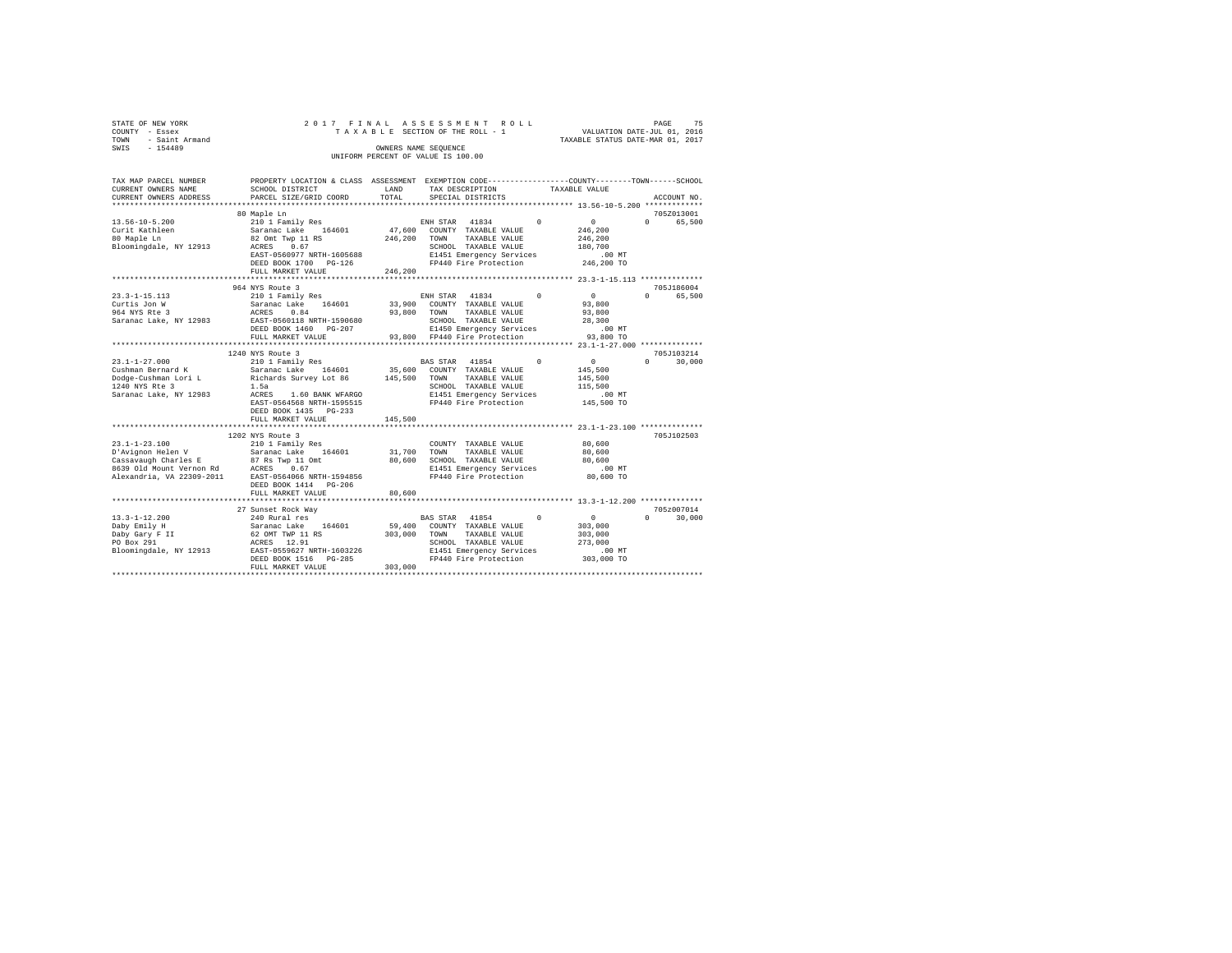| STATE OF NEW YORK   |  | 2017 FINAL ASSESSMENT ROLL         |                                  | PAGE | 75 |
|---------------------|--|------------------------------------|----------------------------------|------|----|
| COUNTY - Essex      |  | TAXABLE SECTION OF THE ROLL - 1    | VALUATION DATE-JUL 01, 2016      |      |    |
| TOWN - Saint Armand |  |                                    | TAXABLE STATUS DATE-MAR 01, 2017 |      |    |
| SWIS<br>$-154489$   |  | OWNERS NAME SEOUENCE               |                                  |      |    |
|                     |  | UNIFORM PERCENT OF VALUE IS 100.00 |                                  |      |    |

| TAX MAP PARCEL NUMBER<br>CURRENT OWNERS NAME<br>CURRENT OWNERS ADDRESS                                                    | PROPERTY LOCATION & CLASS ASSESSMENT EXEMPTION CODE----------------COUNTY-------TOWN------SCHOOL<br>SCHOOL DISTRICT<br>PARCEL SIZE/GRID COORD             | <b>T.AND</b><br>TOTAL        | TAX DESCRIPTION<br>SPECIAL DISTRICTS                                                                                                                |          | TAXABLE VALUE                                                             | ACCOUNT NO.        |
|---------------------------------------------------------------------------------------------------------------------------|-----------------------------------------------------------------------------------------------------------------------------------------------------------|------------------------------|-----------------------------------------------------------------------------------------------------------------------------------------------------|----------|---------------------------------------------------------------------------|--------------------|
| ************************                                                                                                  |                                                                                                                                                           |                              |                                                                                                                                                     |          |                                                                           |                    |
|                                                                                                                           | 80 Maple Ln                                                                                                                                               |                              |                                                                                                                                                     |          |                                                                           | 705Z013001         |
| $13.56 - 10 - 5.200$<br>Curit Kathleen<br>80 Maple Ln<br>Bloomingdale, NY 12913                                           | 210 1 Family Res<br>Saranac Lake 164601<br>82 Omt Twp 11 RS<br>ACRES 0.67<br>EAST-0560977 NRTH-1605688<br>DEED BOOK 1700 PG-126                           | 246,200                      | ENH STAR 41834<br>47.600 COUNTY TAXABLE VALUE<br>TOWN<br>TAXABLE VALUE<br>SCHOOL TAXABLE VALUE<br>E1451 Emergency Services<br>FP440 Fire Protection | $\Omega$ | $\overline{0}$<br>246,200<br>246,200<br>180,700<br>$.00$ MT<br>246,200 TO | $\Omega$<br>65,500 |
|                                                                                                                           | FULL MARKET VALUE                                                                                                                                         | 246,200                      |                                                                                                                                                     |          |                                                                           |                    |
|                                                                                                                           |                                                                                                                                                           | ***********                  |                                                                                                                                                     |          | **************** 23.3-1-15.113 **************                             |                    |
|                                                                                                                           | 964 NYS Route 3                                                                                                                                           |                              |                                                                                                                                                     |          |                                                                           | 705J186004         |
| $23.3 - 1 - 15.113$<br>Curtis Jon W<br>964 NYS Rte 3<br>Saranac Lake, NY 12983                                            | 210 1 Family Res<br>Saranac Lake 164601<br>0.84<br>ACRES<br>EAST-0560118 NRTH-1590680<br>DEED BOOK 1460 PG-207                                            | 93,800                       | ENH STAR 41834<br>33,900 COUNTY TAXABLE VALUE<br>TOWN<br>TAXABLE VALUE<br>SCHOOL TAXABLE VALUE<br>E1450 Emergency Services                          | $\Omega$ | 0<br>93,800<br>93,800<br>28,300<br>$.00$ MT                               | $\Omega$<br>65,500 |
|                                                                                                                           | FULL MARKET VALUE                                                                                                                                         |                              | 93,800 FP440 Fire Protection                                                                                                                        |          | 93,800 TO                                                                 |                    |
|                                                                                                                           |                                                                                                                                                           |                              |                                                                                                                                                     |          |                                                                           |                    |
|                                                                                                                           | 1240 NYS Route 3                                                                                                                                          |                              |                                                                                                                                                     |          |                                                                           | 705J103214         |
| $23.1 - 1 - 27.000$<br>Cushman Bernard K<br>Dodge-Cushman Lori L<br>1240 NYS Rte 3<br>Saranac Lake, NY 12983              | 210 1 Family Res<br>Saranac Lake 164601<br>Richards Survey Lot 86<br>1.5a<br>ACRES 1.60 BANK WFARGO<br>EAST-0564568 NRTH-1595515<br>DEED BOOK 1435 PG-233 | 145,500                      | BAS STAR 41854<br>35,600 COUNTY TAXABLE VALUE<br>TOWN<br>TAXABLE VALUE<br>SCHOOL TAXABLE VALUE<br>E1451 Emergency Services<br>FP440 Fire Protection | $\Omega$ | $\sim$ 0<br>145,500<br>145,500<br>115,500<br>$.00$ MT<br>145,500 TO       | $\Omega$<br>30,000 |
|                                                                                                                           | FULL MARKET VALUE                                                                                                                                         | 145,500                      |                                                                                                                                                     |          |                                                                           |                    |
|                                                                                                                           |                                                                                                                                                           |                              |                                                                                                                                                     |          |                                                                           |                    |
| $23.1 - 1 - 23.100$<br>D'Avignon Helen V<br>Cassavaugh Charles E<br>8639 Old Mount Vernon Rd<br>Alexandria, VA 22309-2011 | 1202 NYS Route 3<br>210 1 Family Res<br>Saranac Lake<br>164601<br>87 Rs Twp 11 Omt<br>ACRES<br>0.67<br>EAST-0564066 NRTH-1594856<br>DEED BOOK 1414 PG-206 | 31,700<br>80,600             | COUNTY TAXABLE VALUE<br>TOWN<br>TAXABLE VALUE<br>SCHOOL TAXABLE VALUE<br>E1451 Emergency Services<br>FP440 Fire Protection                          |          | 80,600<br>80,600<br>80,600<br>$.00$ MT<br>80,600 TO                       | 705J102503         |
|                                                                                                                           | FULL MARKET VALUE                                                                                                                                         | 80,600                       |                                                                                                                                                     |          |                                                                           |                    |
|                                                                                                                           | 27 Sunset Rock Way                                                                                                                                        |                              |                                                                                                                                                     |          |                                                                           | 705z007014         |
| $13.3 - 1 - 12.200$<br>Daby Emily H<br>Daby Gary F II<br>PO Box 291<br>Bloomingdale, NY 12913                             | 240 Rural res<br>Saranac Lake 164601<br>62 OMT TWP 11 RS<br>ACRES 12.91<br>EAST-0559627 NRTH-1603226<br>FULL MARKET VALUE                                 | 59,400<br>303,000<br>303,000 | BAS STAR 41854<br>COUNTY TAXABLE VALUE<br>TOWN<br>TAXABLE VALUE<br>SCHOOL TAXABLE VALUE<br>E1451 Emergency Services<br>FP440 Fire Protection        | $\Omega$ | $^{\circ}$<br>303,000<br>303,000<br>273,000<br>$.00$ MT<br>303,000 TO     | $\Omega$<br>30,000 |
|                                                                                                                           |                                                                                                                                                           |                              |                                                                                                                                                     |          |                                                                           |                    |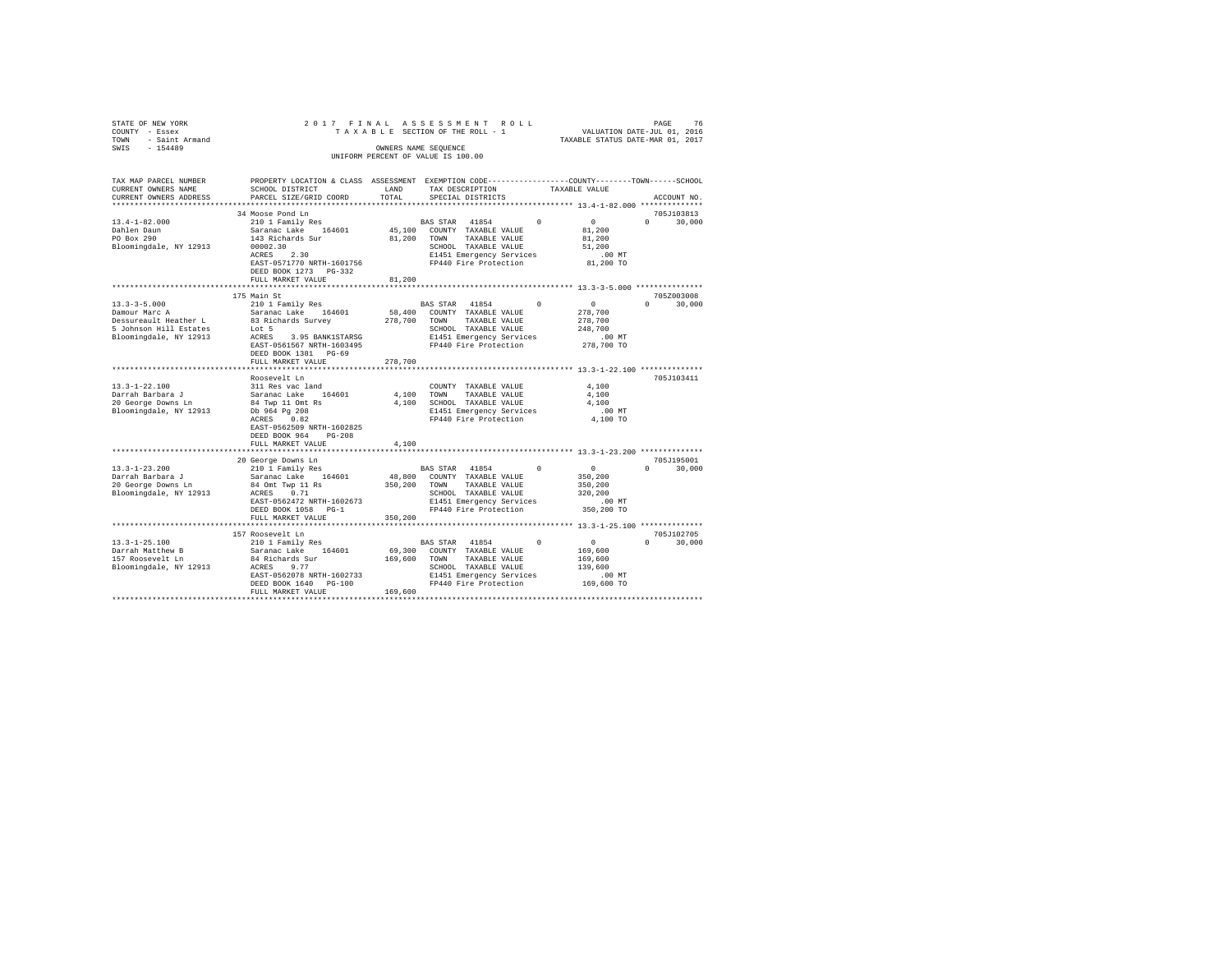| STATE OF NEW YORK<br>COUNTY - Essex<br>- Saint Armand<br>TOWN<br>$-154489$<br>SWIS      | 2017 FINAL                                                                                                                                   |               | ASSESSMENT<br>ROLL<br>TAXABLE SECTION OF THE ROLL - 1<br>OWNERS NAME SEQUENCE                                                               |               | VALUATION DATE-JUL 01, 2016<br>TAXABLE STATUS DATE-MAR 01, 2017              | PAGE<br>76           |
|-----------------------------------------------------------------------------------------|----------------------------------------------------------------------------------------------------------------------------------------------|---------------|---------------------------------------------------------------------------------------------------------------------------------------------|---------------|------------------------------------------------------------------------------|----------------------|
|                                                                                         |                                                                                                                                              |               | UNIFORM PERCENT OF VALUE IS 100.00                                                                                                          |               |                                                                              |                      |
| TAX MAP PARCEL NUMBER<br>CURRENT OWNERS NAME<br>CURRENT OWNERS ADDRESS                  | PROPERTY LOCATION & CLASS ASSESSMENT EXEMPTION CODE---------------COUNTY-------TOWN------SCHOOL<br>SCHOOL DISTRICT<br>PARCEL SIZE/GRID COORD | LAND<br>TOTAL | TAX DESCRIPTION<br>SPECIAL DISTRICTS                                                                                                        | TAXABLE VALUE |                                                                              | ACCOUNT NO.          |
|                                                                                         |                                                                                                                                              |               |                                                                                                                                             |               |                                                                              |                      |
|                                                                                         | 34 Moose Pond Ln                                                                                                                             |               |                                                                                                                                             |               |                                                                              | 705J103813           |
| $13.4 - 1 - 82.000$<br>Dahlen Daun<br>PO Box 290<br>Bloomingdale, NY 12913              | 210 1 Family Res<br>Saranac Lake 164601<br>143 Richards Sur<br>00002.30<br>ACRES 2.30                                                        | 81,200 TOWN   | BAS STAR 41854<br>45,100 COUNTY TAXABLE VALUE<br>TAXABLE VALUE<br>SCHOOL TAXABLE VALUE<br>E1451 Emergency Services                          | $\Omega$      | $\Omega$<br>$\Omega$<br>81,200<br>81,200<br>51,200<br>$.00$ MT               | 30,000               |
|                                                                                         | EAST-0571770 NRTH-1601756<br>DEED BOOK 1273 PG-332<br>FULL MARKET VALUE                                                                      | 81,200        | FP440 Fire Protection                                                                                                                       |               | 81,200 TO                                                                    |                      |
|                                                                                         |                                                                                                                                              |               |                                                                                                                                             |               |                                                                              |                      |
| $13.3 - 3 - 5.000$<br>Damour Marc A                                                     | 175 Main St<br>210 1 Family Res<br>Saranac Lake 164601                                                                                       | 58,400        | BAS STAR 41854<br>COUNTY TAXABLE VALUE                                                                                                      | $^{\circ}$    | $\sim$ 0<br>$\Omega$<br>278,700                                              | 705Z003008<br>30,000 |
| Dessureault Heather L<br>5 Johnson Hill Estates<br>Bloomingdale, NY 12913               | 83 Richards Survey<br>Lot 5<br>3.95 BANK1STARSG<br>ACRES                                                                                     | 278,700 TOWN  | TAXABLE VALUE<br>SCHOOL TAXABLE VALUE<br>E1451 Emergency Services                                                                           |               | 278,700<br>248,700<br>$.00$ MT                                               |                      |
|                                                                                         | EAST-0561567 NRTH-1603495<br>DEED BOOK 1381 PG-69<br>FULL MARKET VALUE                                                                       | 278,700       | FP440 Fire Protection                                                                                                                       |               | 278,700 TO                                                                   |                      |
|                                                                                         |                                                                                                                                              |               |                                                                                                                                             |               |                                                                              |                      |
|                                                                                         | Roosevelt Ln                                                                                                                                 |               |                                                                                                                                             |               |                                                                              | 705J103411           |
| $13.3 - 1 - 22.100$                                                                     | 311 Res vac land                                                                                                                             |               | COUNTY TAXABLE VALUE                                                                                                                        |               | 4,100                                                                        |                      |
| Darrah Barbara J                                                                        | Saranac Lake 164601                                                                                                                          |               | 4.100 TOWN<br>TAXABLE VALUE                                                                                                                 |               | 4,100                                                                        |                      |
| 20 George Downs Ln<br>Bloomingdale, NY 12913                                            | 84 Twp 11 Omt Rs<br>Db 964 Pg 208                                                                                                            |               | 4,100 SCHOOL TAXABLE VALUE<br>E1451 Emergency Services                                                                                      |               | 4,100<br>$.00$ MT                                                            |                      |
|                                                                                         | ACRES<br>0.82<br>EAST-0562509 NRTH-1602825<br>DEED BOOK 964<br>$PG-208$<br>FULL MARKET VALUE                                                 | 4,100         | FP440 Fire Protection                                                                                                                       |               | 4,100 TO                                                                     |                      |
|                                                                                         |                                                                                                                                              |               |                                                                                                                                             |               |                                                                              |                      |
|                                                                                         | 20 George Downs Ln                                                                                                                           |               |                                                                                                                                             |               |                                                                              | 705J195001           |
| $13.3 - 1 - 23.200$<br>Darrah Barbara J<br>20 George Downs Ln<br>Bloomingdale, NY 12913 | 210 1 Family Res<br>Saranac Lake 164601<br>84 Omt Twp 11 Rs<br>ACRES 0.71<br>EAST-0562472 NRTH-1602673<br>DEED BOOK 1058 PG-1                | 350,200 TOWN  | BAS STAR 41854<br>48,800 COUNTY TAXABLE VALUE<br>TAXABLE VALUE<br>SCHOOL TAXABLE VALUE<br>E1451 Emergency Services<br>FP440 Fire Protection | $\Omega$      | $\sim$ 0<br>$\Omega$<br>350,200<br>350,200<br>320,200<br>.00MT<br>350,200 TO | 30,000               |
|                                                                                         | FULL MARKET VALUE                                                                                                                            | 350,200       |                                                                                                                                             |               |                                                                              |                      |
|                                                                                         |                                                                                                                                              |               |                                                                                                                                             |               |                                                                              |                      |
| $13.3 - 1 - 25.100$                                                                     | 157 Roosevelt Ln<br>210 1 Family Res                                                                                                         |               | BAS STAR 41854                                                                                                                              | $\Omega$      | $\sim$ 0                                                                     | 705J102705<br>30,000 |
| Darrah Matthew B                                                                        | Saranac Lake 164601                                                                                                                          | 69,300        | COUNTY TAXABLE VALUE                                                                                                                        |               | 169,600                                                                      |                      |
| 157 Roosevelt Ln                                                                        | 84 Richards Sur                                                                                                                              | 169,600       | TOWN<br>TAXABLE VALUE                                                                                                                       |               | 169,600                                                                      |                      |
| Bloomingdale, NY 12913                                                                  | 9.77<br>ACRES                                                                                                                                |               | SCHOOL TAXABLE VALUE                                                                                                                        |               | 139,600                                                                      |                      |
|                                                                                         | EAST-0562078 NRTH-1602733                                                                                                                    |               | E1451 Emergency Services                                                                                                                    |               | $.00$ MT                                                                     |                      |
|                                                                                         | DEED BOOK 1640 PG-100                                                                                                                        |               | FP440 Fire Protection                                                                                                                       |               | 169,600 TO                                                                   |                      |
|                                                                                         | FULL MARKET VALUE                                                                                                                            | 169,600       |                                                                                                                                             |               |                                                                              |                      |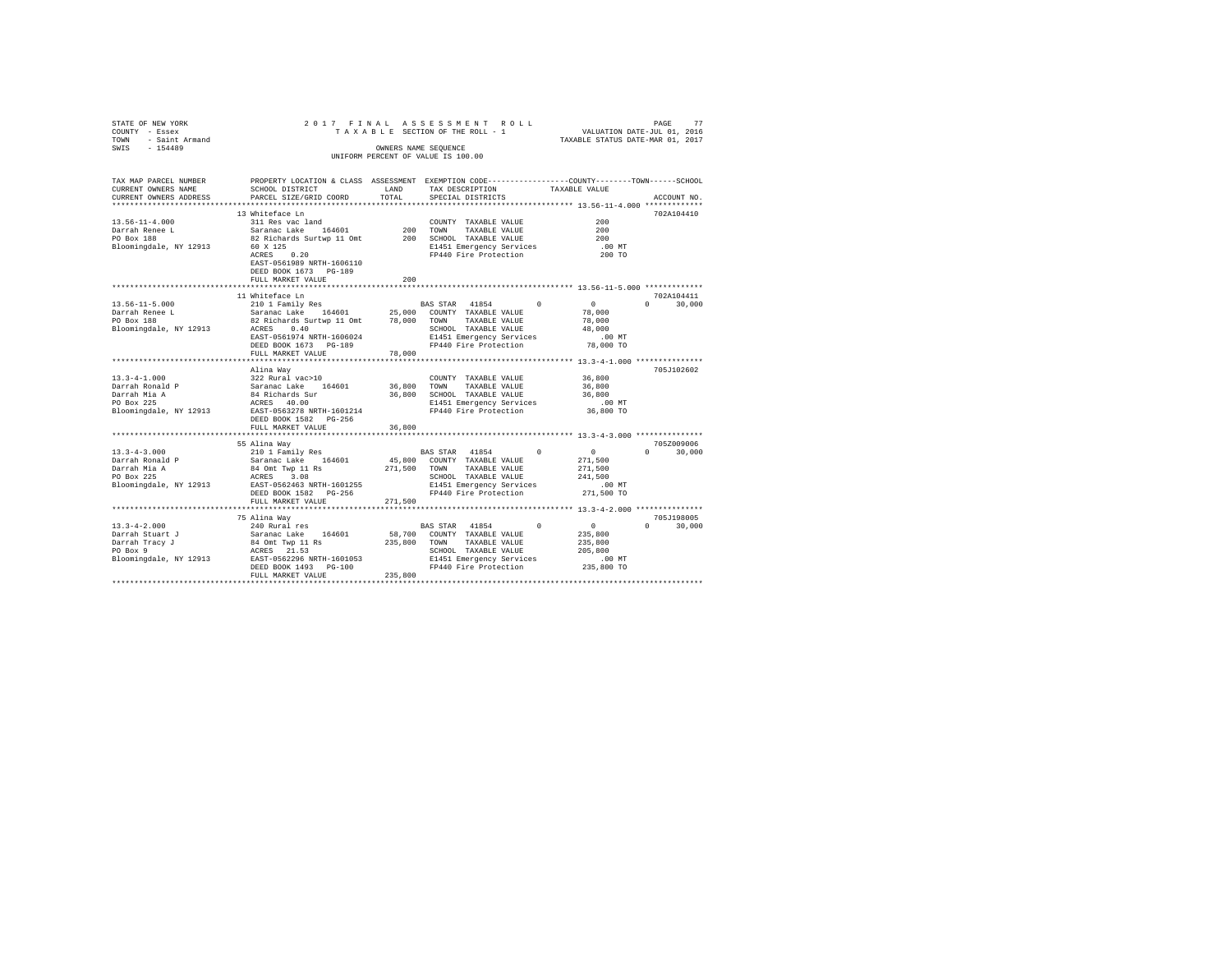| STATE OF NEW YORK<br>COUNTY - Essex                               |                                                                                                |         | 2017 FINAL ASSESSMENT ROLL<br>TAXABLE SECTION OF THE ROLL - 1          | VALUATION DATE-JUL 01, 2016<br>TAXABLE STATUS DATE-MAR 01, 2017 | 77<br>PAGE                  |
|-------------------------------------------------------------------|------------------------------------------------------------------------------------------------|---------|------------------------------------------------------------------------|-----------------------------------------------------------------|-----------------------------|
| TOWN - Saint Armand                                               |                                                                                                |         |                                                                        |                                                                 |                             |
| SWIS - 154489                                                     |                                                                                                |         | OWNERS NAME SEQUENCE                                                   |                                                                 |                             |
|                                                                   |                                                                                                |         | UNIFORM PERCENT OF VALUE IS 100.00                                     |                                                                 |                             |
|                                                                   |                                                                                                |         |                                                                        |                                                                 |                             |
| TAX MAP PARCEL NUMBER                                             | PROPERTY LOCATION & CLASS ASSESSMENT EXEMPTION CODE---------------COUNTY-------TOWN-----SCHOOL |         |                                                                        |                                                                 |                             |
| CURRENT OWNERS NAME                                               | SCHOOL DISTRICT                                                                                | LAND    | TAX DESCRIPTION                                                        | TAXABLE VALUE                                                   |                             |
| CURRENT OWNERS ADDRESS                                            | PARCEL SIZE/GRID COORD                                                                         | TOTAL   | SPECIAL DISTRICTS                                                      |                                                                 | ACCOUNT NO.                 |
|                                                                   |                                                                                                |         |                                                                        |                                                                 |                             |
|                                                                   | 13 Whiteface Ln<br>311 Res vac land                                                            |         |                                                                        |                                                                 | 702A104410                  |
| $13.56 - 11 - 4.000$                                              | Saranac Lake 164601                                                                            |         | COUNTY TAXABLE VALUE<br>200 TOWN TAXABLE VALUE<br>COUNTY TAXABLE VALUE | 200<br>200                                                      |                             |
| Darrah Renee L<br>PO Box 188                                      |                                                                                                |         | 200 SCHOOL TAXABLE VALUE                                               | 200                                                             |                             |
| Bloomingdale, NY 12913                                            | 82 Richards Surtwp 11 Omt<br>60 X 125                                                          |         | E1451 Emergency Services                                               | $.00$ MT                                                        |                             |
|                                                                   | 60 X 125<br>ACRES 0.20                                                                         |         | FP440 Fire Protection                                                  | 200 TO                                                          |                             |
|                                                                   | EAST-0561989 NRTH-1606110                                                                      |         |                                                                        |                                                                 |                             |
|                                                                   | DEED BOOK 1673 PG-189                                                                          |         |                                                                        |                                                                 |                             |
|                                                                   | FULL MARKET VALUE                                                                              | 200     |                                                                        |                                                                 |                             |
|                                                                   |                                                                                                |         |                                                                        |                                                                 |                             |
|                                                                   | 11 Whiteface Ln                                                                                |         |                                                                        |                                                                 | 702A104411                  |
| $13.56 - 11 - 5.000$                                              | 210 1 Family Res                                                                               |         | BAS STAR 41854 0 0                                                     |                                                                 | $0 \t 30,000$               |
| Darrah Renee L<br>PO Box 188                                      | Saranac Lake 164601 25,000 COUNTY TAXABLE VALUE                                                |         |                                                                        | 78,000                                                          |                             |
| Bloomingdale, NY 12913                                            | 82 Richards Surtwp 11 Omt 78,000 TOWN TAXABLE VALUE<br>ACRES 0.40                              |         | SCHOOL TAXABLE VALUE                                                   | 78,000<br>48,000                                                |                             |
|                                                                   | EAST-0561974 NRTH-1606024                                                                      |         | E1451 Emergency Services                                               | $.00$ MT                                                        |                             |
|                                                                   | DEED BOOK 1673 PG-189                                                                          |         | FP440 Fire Protection 78,000 TO                                        |                                                                 |                             |
|                                                                   | FULL MARKET VALUE                                                                              | 78,000  |                                                                        |                                                                 |                             |
|                                                                   | *********************                                                                          |         |                                                                        |                                                                 |                             |
|                                                                   | Alina Way                                                                                      |         |                                                                        |                                                                 | 705J102602                  |
| $13.3 - 4 - 1.000$                                                | 322 Rural vac>10                                                                               |         | COUNTY TAXABLE VALUE                                                   | 36,800                                                          |                             |
|                                                                   | 322 Rurai Vac>i0<br>Saranac Lake 164601<br>84 Richards Sur                                     |         | 36,800 TOWN TAXABLE VALUE                                              | 36,800                                                          |                             |
| Darrah Ronald P<br>Darrah Mia A<br>PO Box 225                     |                                                                                                |         | 36,800 SCHOOL TAXABLE VALUE                                            | 36,800                                                          |                             |
| PO Box 225<br>Bloomingdale, NY 12913<br>BAST-0563278 NRTH-1601214 |                                                                                                |         | E1451 Emergency Services                                               | $.00$ MT                                                        |                             |
|                                                                   | DEED BOOK 1582 PG-256                                                                          |         | FP440 Fire Protection                                                  | 36,800 TO                                                       |                             |
|                                                                   | FULL MARKET VALUE                                                                              | 36,800  |                                                                        |                                                                 |                             |
|                                                                   |                                                                                                |         |                                                                        |                                                                 |                             |
|                                                                   | 55 Alina Way                                                                                   |         |                                                                        |                                                                 | 705Z009006                  |
| $13.3 - 4 - 3.000$                                                | 210 1 Family Res                                                                               |         | BAS STAR 41854                                                         | $^{\circ}$                                                      | $0 \t 30.000$               |
| Darrah Ronald P                                                   | Saranac Lake 164601                                                                            |         | 45,800 COUNTY TAXABLE VALUE                                            | $\begin{smallmatrix}&&0\\2&7&1&,5&0&0\end{smallmatrix}$         |                             |
| Darrah Mia A<br>PO Box 225                                        | 84 Omt Twp 11 Rs                                                                               |         | 271,500 TOWN TAXABLE VALUE                                             | 271,500                                                         |                             |
|                                                                   | ACRES 3.08                                                                                     |         | SCHOOL TAXABLE VALUE                                                   | 241,500                                                         |                             |
| Bloomingdale, NY 12913 EAST-0562463 NRTH-1601255                  |                                                                                                |         | E1451 Emergency Services                                               | .00 MT                                                          |                             |
|                                                                   | DEED BOOK 1582 PG-256                                                                          |         | FP440 Fire Protection                                                  | 271,500 TO                                                      |                             |
|                                                                   | FULL MARKET VALUE                                                                              | 271,500 |                                                                        |                                                                 |                             |
|                                                                   |                                                                                                |         |                                                                        |                                                                 |                             |
| $13.3 - 4 - 2.000$                                                | 75 Alina Way<br>240 Rural res                                                                  |         | BAS STAR 41854                                                         | $\sim$ 0 $\sim$<br>$^{\circ}$                                   | 705J198005<br>$0 \t 30,000$ |
| Darrah Stuart J                                                   |                                                                                                |         | 58,700 COUNTY TAXABLE VALUE                                            | 235,800                                                         |                             |
|                                                                   | 250 xuar 168<br>Saranac Lake 164601<br>84 Omt Twp 11 Rs<br>ACRES 21.53                         |         | 235,800 TOWN TAXABLE VALUE                                             | 235,800                                                         |                             |
| Darrah Tracy J<br>PO Box 9                                        |                                                                                                |         | SCHOOL TAXABLE VALUE                                                   | 205,800                                                         |                             |
|                                                                   |                                                                                                |         |                                                                        | $.00$ MT                                                        |                             |
|                                                                   | DEED BOOK 1493 PG-100                                                                          |         | FP440 Fire Protection                                                  | 235,800 TO                                                      |                             |
|                                                                   | FULL MARKET VALUE                                                                              | 235,800 |                                                                        |                                                                 |                             |
|                                                                   |                                                                                                |         |                                                                        |                                                                 |                             |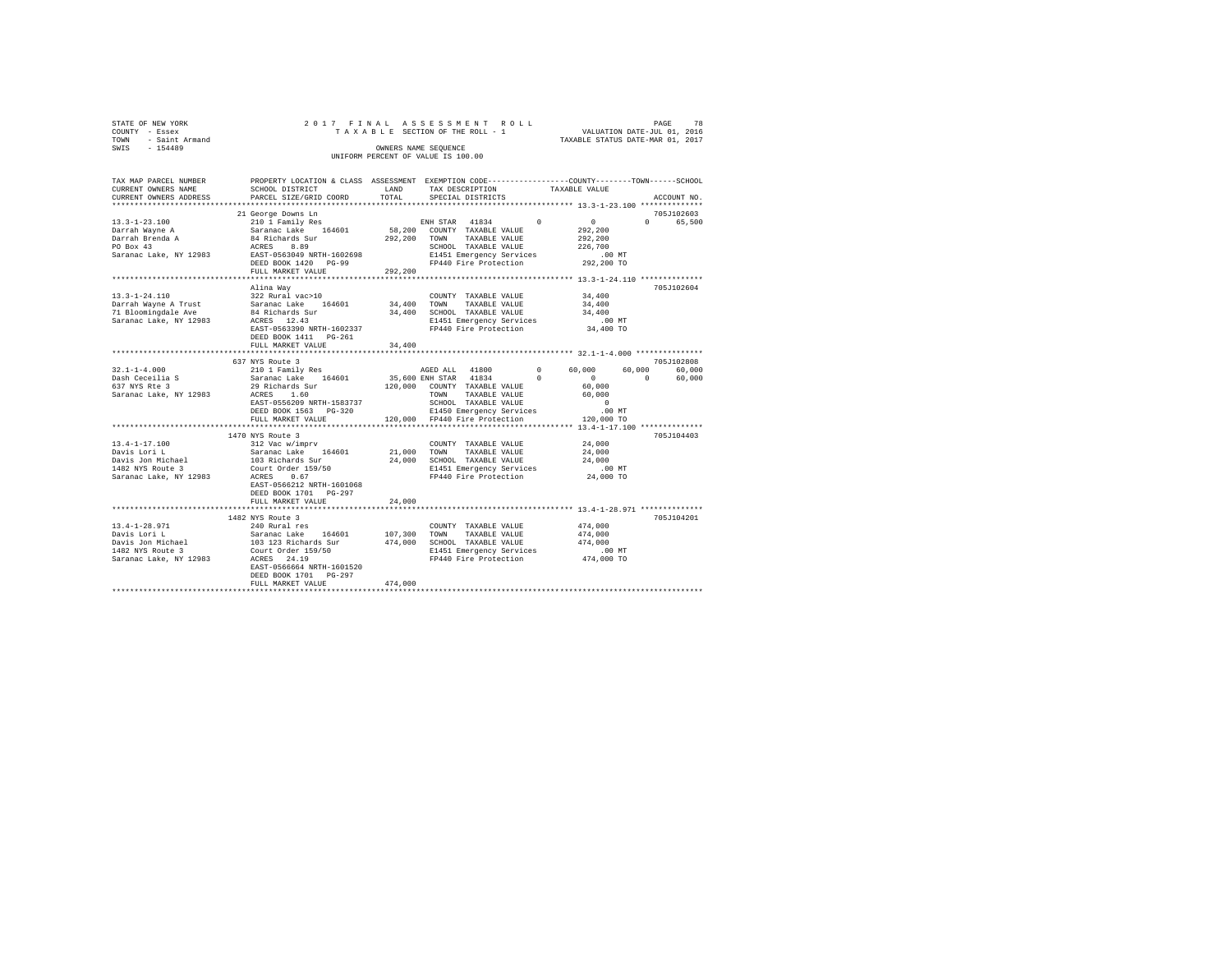|        | STATE OF NEW YORK     | 2017 FINAL ASSESSMENT ROLL                                           |                                    |                                  | PAGE | 78 |
|--------|-----------------------|----------------------------------------------------------------------|------------------------------------|----------------------------------|------|----|
| COUNTY | - Essex               |                                                                      | TAXABLE SECTION OF THE ROLL - 1    | VALUATION DATE-JUL 01, 2016      |      |    |
| TOWN   | - Saint Armand        |                                                                      |                                    | TAXABLE STATUS DATE-MAR 01, 2017 |      |    |
| SWIS   | $-154489$             |                                                                      | OWNERS NAME SEOUENCE               |                                  |      |    |
|        |                       |                                                                      | UNIFORM PERCENT OF VALUE IS 100.00 |                                  |      |    |
|        |                       |                                                                      |                                    |                                  |      |    |
|        | TAX MAP PARCEL NUMBER | PROPERTY LOCATION & CLASS ASSESSMENT EXEMPTION CODE----------------- |                                    | -COUNTY--------TOWN-----SCHOOL   |      |    |

| IAA MAF FARULU NUMBER<br>CURRENT OWNERS NAME | EXOFERII DOCAIION & CDAGO AGGEGONENI EAENFIION CODE------------------COUNII-------IONN------QCAOO<br>SCHOOL DISTRICT                                                                                                                                                                                                                                                                                                    | LAND    | TAX DESCRIPTION                                                                                                                                        | TAXABLE VALUE                                                   |             |
|----------------------------------------------|-------------------------------------------------------------------------------------------------------------------------------------------------------------------------------------------------------------------------------------------------------------------------------------------------------------------------------------------------------------------------------------------------------------------------|---------|--------------------------------------------------------------------------------------------------------------------------------------------------------|-----------------------------------------------------------------|-------------|
| CURRENT OWNERS ADDRESS                       | PARCEL SIZE/GRID COORD                                                                                                                                                                                                                                                                                                                                                                                                  |         | TOTAL SPECIAL DISTRICTS                                                                                                                                |                                                                 | ACCOUNT NO. |
|                                              |                                                                                                                                                                                                                                                                                                                                                                                                                         |         |                                                                                                                                                        |                                                                 |             |
|                                              | 21 George Downs Ln                                                                                                                                                                                                                                                                                                                                                                                                      |         |                                                                                                                                                        |                                                                 | 705J102603  |
|                                              |                                                                                                                                                                                                                                                                                                                                                                                                                         |         |                                                                                                                                                        |                                                                 | 0 65,500    |
|                                              |                                                                                                                                                                                                                                                                                                                                                                                                                         |         |                                                                                                                                                        |                                                                 |             |
|                                              |                                                                                                                                                                                                                                                                                                                                                                                                                         |         |                                                                                                                                                        |                                                                 |             |
|                                              |                                                                                                                                                                                                                                                                                                                                                                                                                         |         |                                                                                                                                                        |                                                                 |             |
|                                              |                                                                                                                                                                                                                                                                                                                                                                                                                         |         |                                                                                                                                                        | 00 MT.<br>292,200 TO                                            |             |
|                                              |                                                                                                                                                                                                                                                                                                                                                                                                                         |         |                                                                                                                                                        |                                                                 |             |
|                                              | FULL MARKET VALUE                                                                                                                                                                                                                                                                                                                                                                                                       | 292,200 |                                                                                                                                                        |                                                                 |             |
|                                              | *********************************                                                                                                                                                                                                                                                                                                                                                                                       |         |                                                                                                                                                        | ********************************** 13.3-1-24.110 ************** |             |
|                                              | Alina Way                                                                                                                                                                                                                                                                                                                                                                                                               |         |                                                                                                                                                        |                                                                 | 705J102604  |
| 13.3-1-24.110                                | 322 Rural vac>10                                                                                                                                                                                                                                                                                                                                                                                                        |         | COUNTY TAXABLE VALUE 34,400                                                                                                                            |                                                                 |             |
|                                              |                                                                                                                                                                                                                                                                                                                                                                                                                         |         |                                                                                                                                                        |                                                                 |             |
|                                              | - 1991-1991 - 1992 - 1992 - 1994-1994 - 1994-1994 - 1994-1994 - 1994-1994 - 1994-1994 - 1994-1994 - 1994-1994<br>- Tarrant Awel – 1994 - 1994-1995 - 1994-1995 - 1994-1995 - 1994-1994 - 1994-1994 - 1994-1994 - 1994-1994 - 1<br>-                                                                                                                                                                                     |         |                                                                                                                                                        |                                                                 |             |
|                                              | ACRES 12.43<br>EAST-0563390 NRTH-1602337<br>DRED 11:11                                                                                                                                                                                                                                                                                                                                                                  |         | E1451 Emergency Services .00 MT<br>FP440 Fire Protection 34,400 TO                                                                                     |                                                                 |             |
|                                              |                                                                                                                                                                                                                                                                                                                                                                                                                         |         |                                                                                                                                                        |                                                                 |             |
|                                              | DEED BOOK 1411    PG-261                                                                                                                                                                                                                                                                                                                                                                                                |         |                                                                                                                                                        |                                                                 |             |
|                                              | FULL MARKET VALUE                                                                                                                                                                                                                                                                                                                                                                                                       | 34,400  |                                                                                                                                                        |                                                                 |             |
|                                              |                                                                                                                                                                                                                                                                                                                                                                                                                         |         |                                                                                                                                                        |                                                                 |             |
|                                              | 637 NYS Route 3                                                                                                                                                                                                                                                                                                                                                                                                         |         |                                                                                                                                                        |                                                                 | 705J102808  |
|                                              |                                                                                                                                                                                                                                                                                                                                                                                                                         |         |                                                                                                                                                        |                                                                 |             |
|                                              |                                                                                                                                                                                                                                                                                                                                                                                                                         |         |                                                                                                                                                        |                                                                 |             |
|                                              |                                                                                                                                                                                                                                                                                                                                                                                                                         |         |                                                                                                                                                        |                                                                 |             |
|                                              |                                                                                                                                                                                                                                                                                                                                                                                                                         |         |                                                                                                                                                        |                                                                 |             |
|                                              |                                                                                                                                                                                                                                                                                                                                                                                                                         |         |                                                                                                                                                        |                                                                 |             |
|                                              |                                                                                                                                                                                                                                                                                                                                                                                                                         |         |                                                                                                                                                        |                                                                 |             |
|                                              |                                                                                                                                                                                                                                                                                                                                                                                                                         |         |                                                                                                                                                        |                                                                 |             |
|                                              |                                                                                                                                                                                                                                                                                                                                                                                                                         |         |                                                                                                                                                        |                                                                 |             |
|                                              | 1470 NYS Route 3                                                                                                                                                                                                                                                                                                                                                                                                        |         |                                                                                                                                                        |                                                                 | 705J104403  |
|                                              |                                                                                                                                                                                                                                                                                                                                                                                                                         |         | COUNTY TAXABLE VALUE 24,000                                                                                                                            |                                                                 |             |
|                                              |                                                                                                                                                                                                                                                                                                                                                                                                                         |         | TAXABLE VALUE                                                                                                                                          | 24,000                                                          |             |
|                                              |                                                                                                                                                                                                                                                                                                                                                                                                                         |         |                                                                                                                                                        | 24,000                                                          |             |
|                                              | $\begin{tabular}{l c c c c c} \multicolumn{1}{c}{\textbf{13.4-1-17.100}} & \multicolumn{1}{c}{\textbf{21.4}} & \multicolumn{1}{c}{\textbf{13.4}} & \multicolumn{1}{c}{\textbf{13.4}} & \multicolumn{1}{c}{\textbf{13.4}} & \multicolumn{1}{c}{\textbf{13.4}} & \multicolumn{1}{c}{\textbf{13.4}} & \multicolumn{1}{c}{\textbf{13.4}} & \multicolumn{1}{c}{\textbf{13.4}} & \multicolumn{1}{c}{\textbf{13.4}} & \multic$ |         | 24,000 SCHOOL TAXABLE VALUE<br>E1451 Emergency Services<br>FP440 Fire Protection<br>E1451 Emergency Services .00 MT<br>FP440 Fire Protection 24,000 TO |                                                                 |             |
|                                              |                                                                                                                                                                                                                                                                                                                                                                                                                         |         |                                                                                                                                                        |                                                                 |             |
|                                              |                                                                                                                                                                                                                                                                                                                                                                                                                         |         |                                                                                                                                                        |                                                                 |             |
|                                              | DEED BOOK 1701 PG-297                                                                                                                                                                                                                                                                                                                                                                                                   |         |                                                                                                                                                        |                                                                 |             |
|                                              | FULL MARKET VALUE                                                                                                                                                                                                                                                                                                                                                                                                       | 24,000  |                                                                                                                                                        |                                                                 |             |
|                                              | **************************                                                                                                                                                                                                                                                                                                                                                                                              |         |                                                                                                                                                        | **************************** 13.4-1-28.971 **************       |             |
|                                              | 1482 NYS Route 3                                                                                                                                                                                                                                                                                                                                                                                                        |         |                                                                                                                                                        |                                                                 | 705J104201  |
|                                              |                                                                                                                                                                                                                                                                                                                                                                                                                         |         |                                                                                                                                                        |                                                                 |             |
|                                              |                                                                                                                                                                                                                                                                                                                                                                                                                         |         |                                                                                                                                                        |                                                                 |             |
|                                              |                                                                                                                                                                                                                                                                                                                                                                                                                         |         |                                                                                                                                                        |                                                                 |             |
|                                              |                                                                                                                                                                                                                                                                                                                                                                                                                         |         | FP440 Fire Protection 474,000 TO                                                                                                                       |                                                                 |             |
| Saranac Lake, NY 12983 ACRES 24.19           |                                                                                                                                                                                                                                                                                                                                                                                                                         |         |                                                                                                                                                        |                                                                 |             |
|                                              | EAST-0566664 NRTH-1601520                                                                                                                                                                                                                                                                                                                                                                                               |         |                                                                                                                                                        |                                                                 |             |
|                                              | DEED BOOK 1701 PG-297                                                                                                                                                                                                                                                                                                                                                                                                   |         |                                                                                                                                                        |                                                                 |             |
|                                              |                                                                                                                                                                                                                                                                                                                                                                                                                         |         |                                                                                                                                                        |                                                                 |             |
|                                              |                                                                                                                                                                                                                                                                                                                                                                                                                         |         |                                                                                                                                                        |                                                                 |             |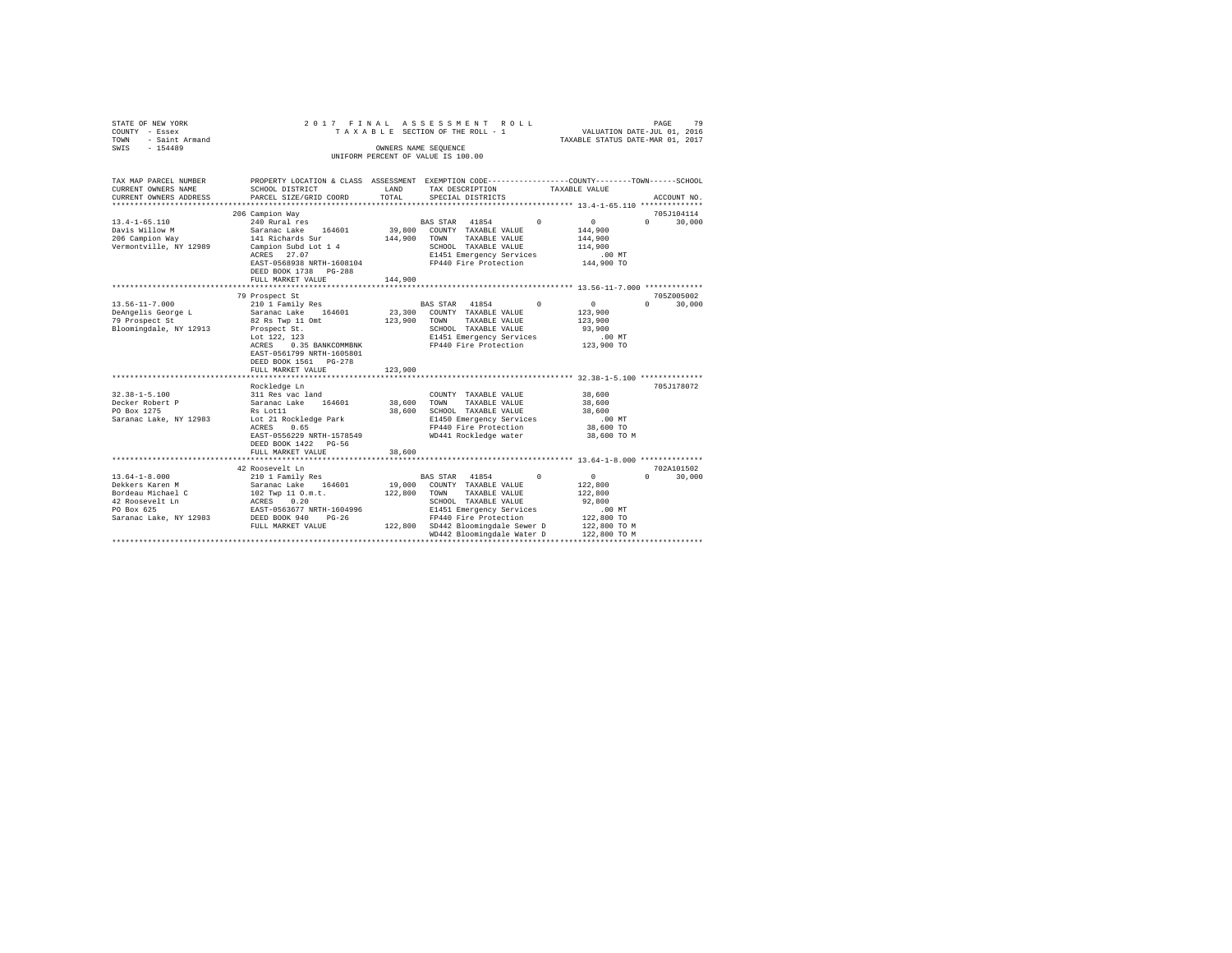| STATE OF NEW YORK<br>COUNTY - Essex<br>- Saint Armand<br>TOWN<br>$-154489$<br>SWIS                                                                                        | 2017 FINAL<br>TAXABLE SECTION OF THE ROLL - 1<br>UNIFORM PERCENT OF VALUE IS 100.00                                                                                                                                                                                                                                                             | VALUATION DATE-JUL 01, 2016<br>TAXABLE STATUS DATE-MAR 01, 2017 | 79<br>PAGE                                                                                                                                                                                                                                                                 |                                                                                                                                                                                              |                                  |
|---------------------------------------------------------------------------------------------------------------------------------------------------------------------------|-------------------------------------------------------------------------------------------------------------------------------------------------------------------------------------------------------------------------------------------------------------------------------------------------------------------------------------------------|-----------------------------------------------------------------|----------------------------------------------------------------------------------------------------------------------------------------------------------------------------------------------------------------------------------------------------------------------------|----------------------------------------------------------------------------------------------------------------------------------------------------------------------------------------------|----------------------------------|
| TAX MAP PARCEL NUMBER<br>CURRENT OWNERS NAME<br>CURRENT OWNERS ADDRESS                                                                                                    | PROPERTY LOCATION & CLASS ASSESSMENT EXEMPTION CODE---------------COUNTY-------TOWN------SCHOOL<br>SCHOOL DISTRICT<br>PARCEL SIZE/GRID COORD                                                                                                                                                                                                    | LAND<br>TOTAL                                                   | TAX DESCRIPTION<br>SPECIAL DISTRICTS                                                                                                                                                                                                                                       | TAXABLE VALUE                                                                                                                                                                                | ACCOUNT NO.                      |
| ***********************                                                                                                                                                   |                                                                                                                                                                                                                                                                                                                                                 |                                                                 |                                                                                                                                                                                                                                                                            |                                                                                                                                                                                              |                                  |
|                                                                                                                                                                           | 206 Campion Way                                                                                                                                                                                                                                                                                                                                 |                                                                 |                                                                                                                                                                                                                                                                            |                                                                                                                                                                                              | 705J104114                       |
| $13.4 - 1 - 65.110$<br>Davis Willow M<br>206 Campion Way<br>Vermontville, NY 12989                                                                                        | 240 Rural res<br>Saranac Lake<br>164601<br>141 Richards Sur<br>Campion Subd Lot 1 4<br>ACRES 27.07<br>EAST-0568938 NRTH-1608104<br>DEED BOOK 1738 PG-288                                                                                                                                                                                        | 39,800<br>144,900                                               | BAS STAR 41854<br>COUNTY TAXABLE VALUE<br>TAXABLE VALUE<br>TOWN<br>SCHOOL TAXABLE VALUE<br>E1451 Emergency Services<br>FP440 Fire Protection                                                                                                                               | $\Omega$<br>$\Omega$<br>144,900<br>144,900<br>114,900<br>.00MT<br>144,900 TO                                                                                                                 | $\Omega$<br>30,000               |
|                                                                                                                                                                           | FULL MARKET VALUE                                                                                                                                                                                                                                                                                                                               | 144,900                                                         |                                                                                                                                                                                                                                                                            |                                                                                                                                                                                              |                                  |
|                                                                                                                                                                           | ***************************<br>79 Prospect St                                                                                                                                                                                                                                                                                                   |                                                                 |                                                                                                                                                                                                                                                                            |                                                                                                                                                                                              | 705Z005002                       |
| $13.56 - 11 - 7.000$<br>DeAngelis George L<br>79 Prospect St<br>Bloomingdale, NY 12913<br>$32.38 - 1 - 5.100$<br>Decker Robert P<br>PO Box 1275<br>Saranac Lake, NY 12983 | 210 1 Family Res<br>Saranac Lake 164601<br>82 Rs Twp 11 Omt<br>Prospect St.<br>Lot 122, 123<br>0.35 BANKCOMMBNK<br>ACRES<br>EAST-0561799 NRTH-1605801<br>DEED BOOK 1561 PG-278<br>FULL MARKET VALUE<br>********************<br>Rockledge Ln<br>311 Res vac land<br>Saranac Lake<br>164601<br>Rs Lot11<br>Lot 21 Rockledge Park<br>0.65<br>ACRES | 23,300<br>123,900<br>123,900<br>38,600<br>38,600                | BAS STAR 41854<br>COUNTY TAXABLE VALUE<br>TAXABLE VALUE<br>TOWN<br>SCHOOL TAXABLE VALUE<br>E1451 Emergency Services<br>FP440 Fire Protection<br>COUNTY TAXABLE VALUE<br>TOWN<br>TAXABLE VALUE<br>SCHOOL TAXABLE VALUE<br>E1450 Emergency Services<br>FP440 Fire Protection | $^{\circ}$<br>$\circ$<br>123,900<br>123,900<br>93,900<br>$.00$ MT<br>123,900 TO<br>********************* 32.38-1-5.100 **************<br>38,600<br>38,600<br>38,600<br>$.00$ MT<br>38,600 TO | $\Omega$<br>30,000<br>705J178072 |
|                                                                                                                                                                           | EAST-0556229 NRTH-1578549<br>DEED BOOK 1422 PG-56<br>FULL MARKET VALUE                                                                                                                                                                                                                                                                          | 38,600                                                          | WD441 Rockledge water                                                                                                                                                                                                                                                      | 38,600 TO M<br>************** 13.64-1-8.000 **************                                                                                                                                   |                                  |
|                                                                                                                                                                           | 42 Roosevelt Ln                                                                                                                                                                                                                                                                                                                                 |                                                                 |                                                                                                                                                                                                                                                                            |                                                                                                                                                                                              | 702A101502                       |
| $13.64 - 1 - 8.000$<br>Dekkers Karen M<br>Bordeau Michael C<br>42 Roosevelt Ln<br>PO Box 625<br>Saranac Lake, NY 12983                                                    | 210 1 Family Res<br>Saranac Lake 164601<br>102 Twp 11 O.m.t.<br>ACRES 0.20<br>EAST-0563677 NRTH-1604996<br>DEED BOOK 940<br>$PG-26$<br>FULL MARKET VALUE                                                                                                                                                                                        | 19,000<br>122,800                                               | BAS STAR 41854<br>COUNTY TAXABLE VALUE<br>TOWN<br>TAXABLE VALUE<br>SCHOOL TAXABLE VALUE<br>E1451 Emergency Services<br>FP440 Fire Protection<br>122,800 SD442 Bloomingdale Sewer D                                                                                         | $^{\circ}$<br>$\circ$<br>122,800<br>122,800<br>92,800<br>$.00$ MT<br>122,800 TO<br>122,800 TO M                                                                                              | $\Omega$<br>30,000               |
|                                                                                                                                                                           | **********************************                                                                                                                                                                                                                                                                                                              |                                                                 | WD442 Bloomingdale Water D                                                                                                                                                                                                                                                 | 122,800 TO M                                                                                                                                                                                 |                                  |
|                                                                                                                                                                           |                                                                                                                                                                                                                                                                                                                                                 |                                                                 |                                                                                                                                                                                                                                                                            |                                                                                                                                                                                              |                                  |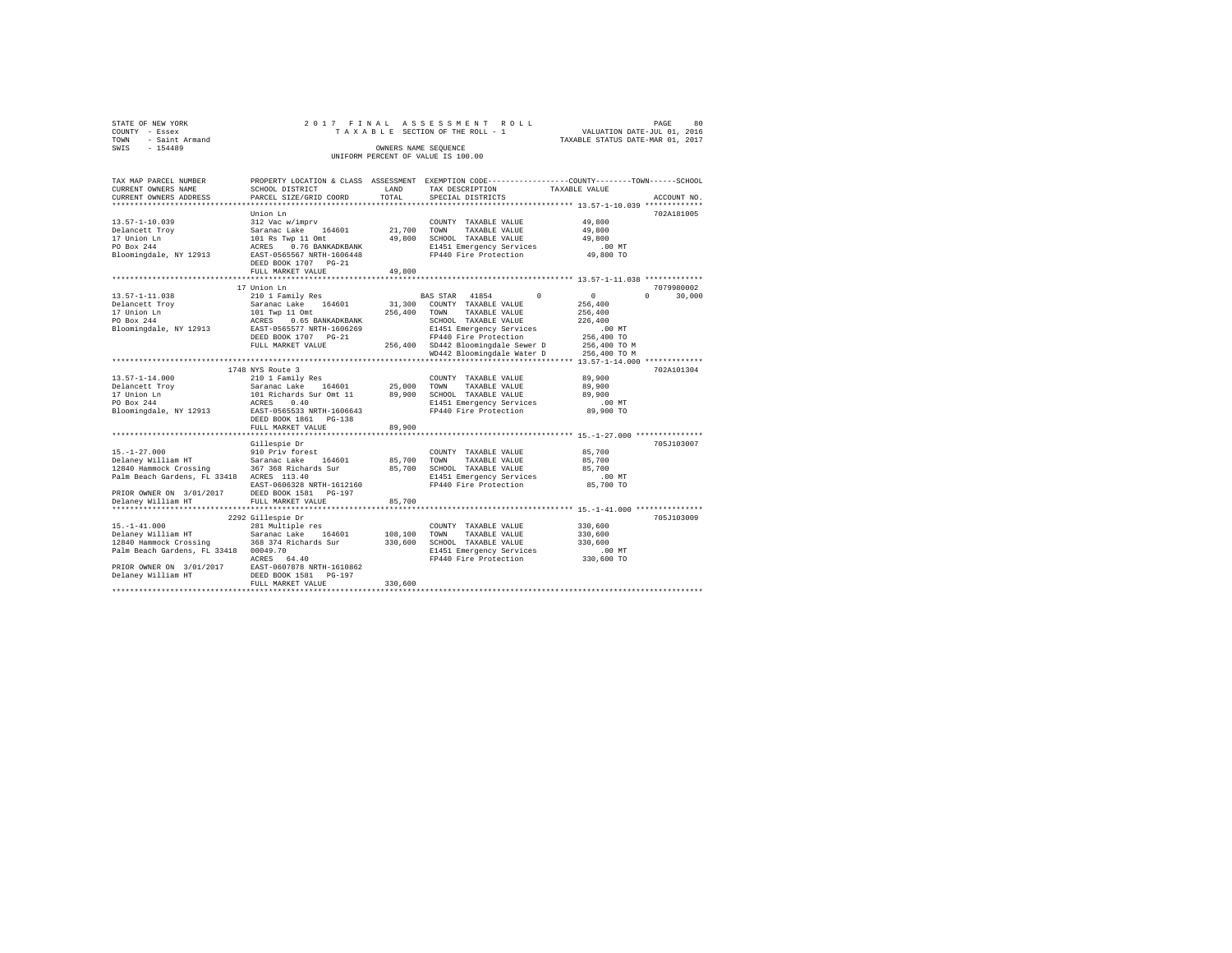| STATE OF NEW YORK   |  |  | 2017 FINAL ASSESSMENT ROLL         |  |  |                                  | PAGE | 80 |
|---------------------|--|--|------------------------------------|--|--|----------------------------------|------|----|
| COUNTY - Essex      |  |  | TAXABLE SECTION OF THE ROLL - 1    |  |  | VALUATION DATE-JUL 01, 2016      |      |    |
| TOWN - Saint Armand |  |  |                                    |  |  | TAXABLE STATUS DATE-MAR 01, 2017 |      |    |
| SWTS<br>$-154489$   |  |  | OWNERS NAME SEOUENCE               |  |  |                                  |      |    |
|                     |  |  | UNIFORM PERCENT OF VALUE IS 100.00 |  |  |                                  |      |    |
|                     |  |  |                                    |  |  |                                  |      |    |

| TAX MAP PARCEL NUMBER                                                                                                                                                                                                                                                                                                                                                                                                                                                      | PROPERTY LOCATION & CLASS ASSESSMENT EXEMPTION CODE---------------COUNTY-------TOWN-----SCHOOL                                      |             |                                                                     |                      |                             |
|----------------------------------------------------------------------------------------------------------------------------------------------------------------------------------------------------------------------------------------------------------------------------------------------------------------------------------------------------------------------------------------------------------------------------------------------------------------------------|-------------------------------------------------------------------------------------------------------------------------------------|-------------|---------------------------------------------------------------------|----------------------|-----------------------------|
| CURRENT OWNERS NAME                                                                                                                                                                                                                                                                                                                                                                                                                                                        | SCHOOL DISTRICT                                                                                                                     | LAND        | TAX DESCRIPTION TAXABLE VALUE                                       |                      |                             |
| CURRENT OWNERS ADDRESS                                                                                                                                                                                                                                                                                                                                                                                                                                                     | PARCEL SIZE/GRID COORD                                                                                                              | TOTAL       | SPECIAL DISTRICTS                                                   |                      | ACCOUNT NO.                 |
|                                                                                                                                                                                                                                                                                                                                                                                                                                                                            |                                                                                                                                     |             |                                                                     |                      |                             |
|                                                                                                                                                                                                                                                                                                                                                                                                                                                                            | Union Ln                                                                                                                            |             |                                                                     |                      | 702A181005                  |
|                                                                                                                                                                                                                                                                                                                                                                                                                                                                            |                                                                                                                                     |             |                                                                     | 49,800<br>49,800     |                             |
|                                                                                                                                                                                                                                                                                                                                                                                                                                                                            |                                                                                                                                     |             |                                                                     |                      |                             |
|                                                                                                                                                                                                                                                                                                                                                                                                                                                                            |                                                                                                                                     |             |                                                                     | 49,800<br>.00 MT     |                             |
|                                                                                                                                                                                                                                                                                                                                                                                                                                                                            |                                                                                                                                     |             |                                                                     |                      |                             |
|                                                                                                                                                                                                                                                                                                                                                                                                                                                                            |                                                                                                                                     |             |                                                                     | 49,800 TO            |                             |
| $\begin{tabular}{lcccc} 13.57-1-10.039 & 312 \text{ Vac} \text{ w/imprv} & 000NTY TAXABLE VALUE \\ \texttt{Delanect} & 312 \text{ Vac} \text{ w/imprv} & 104 \text{ NaV} & 21,700 \text{ TAXABLE VALUE} \\ \texttt{D1} & 101 \text{ Ra} \text{ Ywp} & 11 \text{ Ontt} & 49,800 \text{ SCHODL TAXABLE VALUE} \\ \texttt{PO Box 244} & \texttt{ACRES} & 0.76 \text{ BANKDKBANK} & \texttt{B100M} & \texttt{TAX$                                                              |                                                                                                                                     |             |                                                                     |                      |                             |
|                                                                                                                                                                                                                                                                                                                                                                                                                                                                            | FULL MARKET VALUE                                                                                                                   | 49,800      |                                                                     |                      |                             |
|                                                                                                                                                                                                                                                                                                                                                                                                                                                                            |                                                                                                                                     |             |                                                                     |                      |                             |
|                                                                                                                                                                                                                                                                                                                                                                                                                                                                            | 17 Union Ln                                                                                                                         |             |                                                                     |                      | 7079980002                  |
| $[13.57-1-11.038 \begin{array}{l} \text{210 1 Pauli} \text{Res} \end{array} \begin{array}{l} \text{211 1 small} \text{Res} \end{array} \begin{array}{l} \text{BAS STR} \end{array} \begin{array}{l} \text{BAS STR} \end{array} \begin{array}{l} \text{M1854} \end{array} \begin{array}{l} \text{N101} \text{V} \end{array} \begin{array}{l} \text{BAS STR} \end{array} \begin{array}{l} \text{M1854} \end{array} \begin{array}{l} \text{N11} \end{array} \begin{array}{l}$ |                                                                                                                                     |             | BAS STAR 41854 0                                                    | $\sim$ 0             | $0 \qquad \qquad$<br>30,000 |
|                                                                                                                                                                                                                                                                                                                                                                                                                                                                            |                                                                                                                                     |             |                                                                     | 256,400              |                             |
|                                                                                                                                                                                                                                                                                                                                                                                                                                                                            |                                                                                                                                     |             |                                                                     | 256,400              |                             |
|                                                                                                                                                                                                                                                                                                                                                                                                                                                                            |                                                                                                                                     |             |                                                                     | 226,400              |                             |
|                                                                                                                                                                                                                                                                                                                                                                                                                                                                            |                                                                                                                                     |             | E1451 Emergency Services                                            | 00 MT.<br>256,400 TO |                             |
|                                                                                                                                                                                                                                                                                                                                                                                                                                                                            | DEED BOOK 1707 PG-21                                                                                                                |             |                                                                     |                      |                             |
|                                                                                                                                                                                                                                                                                                                                                                                                                                                                            |                                                                                                                                     |             |                                                                     |                      |                             |
|                                                                                                                                                                                                                                                                                                                                                                                                                                                                            | EPA40 Fire Protection (2007) FORD 2006 PDE 2007 ON CHECK 2009<br>FULL MARKET VALUE (256,400 SD442 Bloomingdale Sewer D 256,400 TO M |             |                                                                     |                      |                             |
|                                                                                                                                                                                                                                                                                                                                                                                                                                                                            |                                                                                                                                     |             |                                                                     |                      |                             |
|                                                                                                                                                                                                                                                                                                                                                                                                                                                                            | 1748 NYS Route 3                                                                                                                    |             |                                                                     |                      | 702A101304                  |
|                                                                                                                                                                                                                                                                                                                                                                                                                                                                            |                                                                                                                                     |             |                                                                     |                      |                             |
|                                                                                                                                                                                                                                                                                                                                                                                                                                                                            |                                                                                                                                     |             |                                                                     |                      |                             |
|                                                                                                                                                                                                                                                                                                                                                                                                                                                                            |                                                                                                                                     |             |                                                                     | 89,900<br>00 MT.     |                             |
|                                                                                                                                                                                                                                                                                                                                                                                                                                                                            |                                                                                                                                     |             |                                                                     |                      |                             |
|                                                                                                                                                                                                                                                                                                                                                                                                                                                                            |                                                                                                                                     |             |                                                                     | 89,900 TO            |                             |
|                                                                                                                                                                                                                                                                                                                                                                                                                                                                            |                                                                                                                                     |             |                                                                     |                      |                             |
|                                                                                                                                                                                                                                                                                                                                                                                                                                                                            | FULL MARKET VALUE                                                                                                                   | 89,900      |                                                                     |                      |                             |
|                                                                                                                                                                                                                                                                                                                                                                                                                                                                            |                                                                                                                                     |             |                                                                     |                      |                             |
|                                                                                                                                                                                                                                                                                                                                                                                                                                                                            | Gillespie Dr                                                                                                                        |             |                                                                     |                      | 705J103007                  |
|                                                                                                                                                                                                                                                                                                                                                                                                                                                                            |                                                                                                                                     |             | COUNTY TAXABLE VALUE                                                | 85,700               |                             |
| 15.-1-27.000<br>Delaney William HT 510 Saranac Lake 164601 85,700<br>12840 Hammock Crossing 367 368 Richards Sur 85,700<br>Palm Beach Gardens, FL 33418 ACRES 113.40                                                                                                                                                                                                                                                                                                       |                                                                                                                                     | 85,700 TOWN | TAXABLE VALUE                                                       | 85,700               |                             |
|                                                                                                                                                                                                                                                                                                                                                                                                                                                                            |                                                                                                                                     |             | SCHOOL TAXABLE VALUE                                                | 85,700               |                             |
|                                                                                                                                                                                                                                                                                                                                                                                                                                                                            |                                                                                                                                     |             | E1451 Emergency Services .00 MT<br>FP440 Fire Protection  85,700 TO |                      |                             |
| EAST-0606328 NRTH-1612160<br>PRIOR OWNER ON 3/01/2017 DEED BOOK 1581 PG-197                                                                                                                                                                                                                                                                                                                                                                                                |                                                                                                                                     |             |                                                                     |                      |                             |
| Delaney William HT                                                                                                                                                                                                                                                                                                                                                                                                                                                         |                                                                                                                                     |             |                                                                     |                      |                             |
|                                                                                                                                                                                                                                                                                                                                                                                                                                                                            | FULL MARKET VALUE                                                                                                                   | 85,700      |                                                                     |                      |                             |
|                                                                                                                                                                                                                                                                                                                                                                                                                                                                            |                                                                                                                                     |             |                                                                     |                      | 705J103009                  |
|                                                                                                                                                                                                                                                                                                                                                                                                                                                                            | 2292 Gillespie Dr                                                                                                                   |             |                                                                     | 330,600              |                             |
|                                                                                                                                                                                                                                                                                                                                                                                                                                                                            |                                                                                                                                     |             |                                                                     | 330,600              |                             |
|                                                                                                                                                                                                                                                                                                                                                                                                                                                                            |                                                                                                                                     |             |                                                                     | 330,600<br>330,600   |                             |
| Palm Beach Gardens, FL 33418 00049.70                                                                                                                                                                                                                                                                                                                                                                                                                                      |                                                                                                                                     |             |                                                                     |                      |                             |
|                                                                                                                                                                                                                                                                                                                                                                                                                                                                            | 00049.70<br>ACRES 64.40                                                                                                             |             | E1451 Emergency Services<br>FP440 Fire Protection                   | 00 MT.<br>330,600 TO |                             |
|                                                                                                                                                                                                                                                                                                                                                                                                                                                                            |                                                                                                                                     |             |                                                                     |                      |                             |
|                                                                                                                                                                                                                                                                                                                                                                                                                                                                            |                                                                                                                                     |             |                                                                     |                      |                             |
|                                                                                                                                                                                                                                                                                                                                                                                                                                                                            | FULL MARKET VALUE                                                                                                                   | 330,600     |                                                                     |                      |                             |
|                                                                                                                                                                                                                                                                                                                                                                                                                                                                            |                                                                                                                                     |             |                                                                     |                      |                             |
|                                                                                                                                                                                                                                                                                                                                                                                                                                                                            |                                                                                                                                     |             |                                                                     |                      |                             |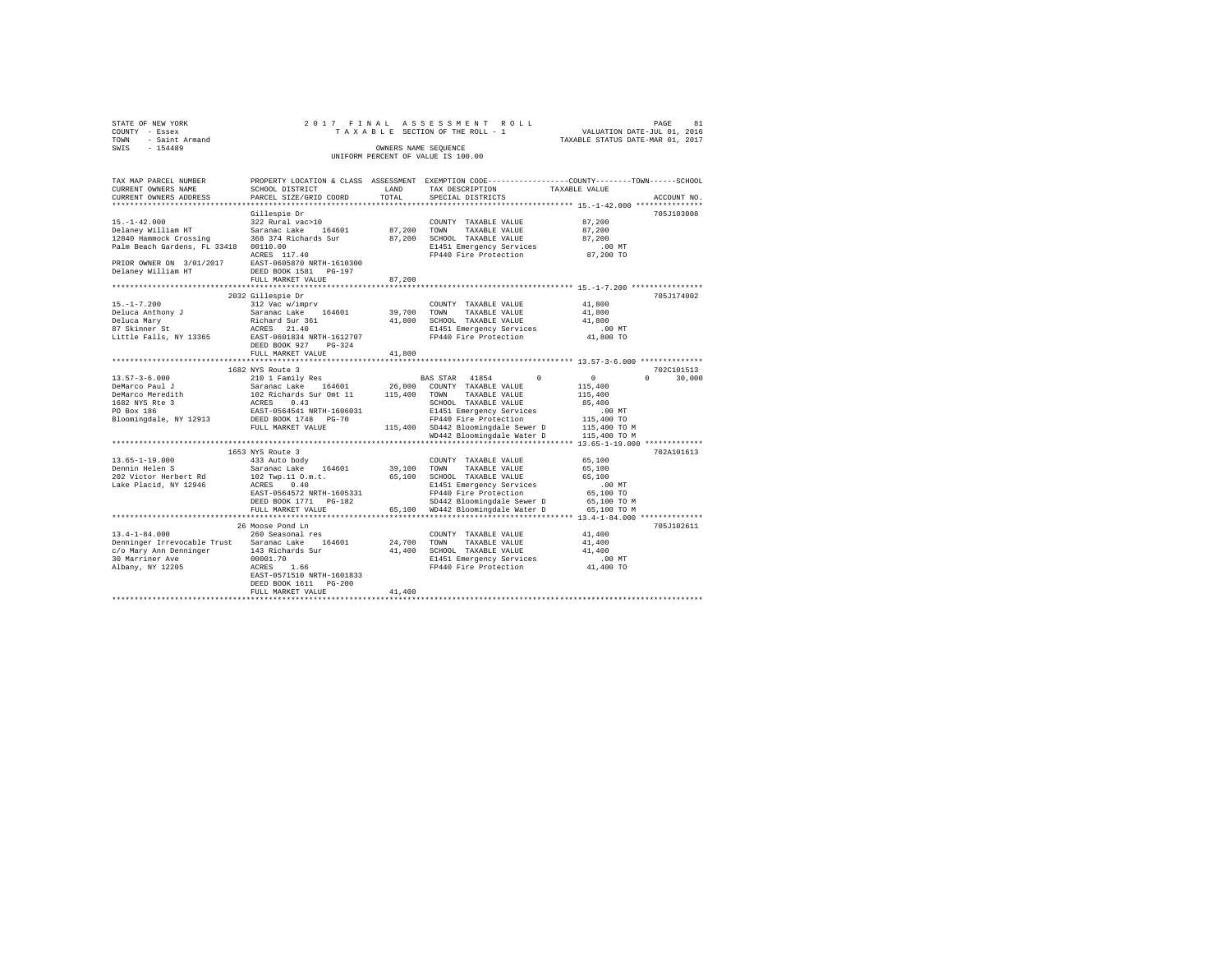| STATE OF NEW YORK                                                                                                                                              | 2017 FINAL                                                                                            |                      | ASSESSMENT ROLL                                                                                |                                                                            |             |
|----------------------------------------------------------------------------------------------------------------------------------------------------------------|-------------------------------------------------------------------------------------------------------|----------------------|------------------------------------------------------------------------------------------------|----------------------------------------------------------------------------|-------------|
| COUNTY - Essex                                                                                                                                                 |                                                                                                       |                      | TAXABLE SECTION OF THE ROLL - 1                                                                |                                                                            |             |
| TOWN<br>- Saint Armand                                                                                                                                         |                                                                                                       |                      |                                                                                                | PAGE 81<br>VALUATION DATE-JUL 01, 2016<br>TAXABLE STATUS DATE-MAR 01, 2017 |             |
| $-154489$<br>SWIS                                                                                                                                              |                                                                                                       | OWNERS NAME SEQUENCE |                                                                                                |                                                                            |             |
|                                                                                                                                                                |                                                                                                       |                      | UNIFORM PERCENT OF VALUE IS 100.00                                                             |                                                                            |             |
|                                                                                                                                                                |                                                                                                       |                      |                                                                                                |                                                                            |             |
|                                                                                                                                                                |                                                                                                       |                      |                                                                                                |                                                                            |             |
| TAX MAP PARCEL NUMBER                                                                                                                                          |                                                                                                       |                      | PROPERTY LOCATION & CLASS ASSESSMENT EXEMPTION CODE---------------COUNTY-------TOWN-----SCHOOL |                                                                            |             |
|                                                                                                                                                                |                                                                                                       | LAND                 |                                                                                                | TAXABLE VALUE                                                              |             |
| CURRENT OWNERS NAME                                                                                                                                            | SCHOOL DISTRICT                                                                                       |                      | TAX DESCRIPTION                                                                                |                                                                            |             |
| CURRENT OWNERS ADDRESS                                                                                                                                         | PARCEL SIZE/GRID COORD                                                                                | TOTAL                | SPECIAL DISTRICTS                                                                              |                                                                            | ACCOUNT NO. |
|                                                                                                                                                                |                                                                                                       |                      |                                                                                                |                                                                            |             |
|                                                                                                                                                                | Gillespie Dr                                                                                          |                      |                                                                                                |                                                                            | 705J103008  |
| $15. - 1 - 42.000$                                                                                                                                             | 322 Rural vac>10                                                                                      |                      | COUNTY TAXABLE VALUE                                                                           | 87,200                                                                     |             |
| Delaney William HT                                                                                                                                             | Saranac Lake 164601                                                                                   | 87,200 TOWN          | TAXABLE VALUE                                                                                  | 87,200                                                                     |             |
| 12840 Hammock Crossing 368 374 Richards Sur                                                                                                                    |                                                                                                       |                      | 87.200 SCHOOL TAXABLE VALUE                                                                    | 87,200                                                                     |             |
| Palm Beach Gardens, FL 33418 00110.00                                                                                                                          |                                                                                                       |                      | E1451 Emergency Services                                                                       | $.00$ MT                                                                   |             |
|                                                                                                                                                                | 00110.00<br>ACRES 117.40                                                                              |                      | FP440 Fire Protection                                                                          | 87,200 TO                                                                  |             |
| PRIOR OWNER ON 3/01/2017                                                                                                                                       | EAST-0605870 NRTH-1610300                                                                             |                      |                                                                                                |                                                                            |             |
| Delaney William HT                                                                                                                                             | DEED BOOK 1581 PG-197                                                                                 |                      |                                                                                                |                                                                            |             |
|                                                                                                                                                                |                                                                                                       |                      |                                                                                                |                                                                            |             |
|                                                                                                                                                                | FULL MARKET VALUE                                                                                     | 87,200               |                                                                                                |                                                                            |             |
|                                                                                                                                                                |                                                                                                       |                      |                                                                                                |                                                                            |             |
|                                                                                                                                                                | 2032 Gillespie Dr                                                                                     |                      |                                                                                                |                                                                            | 705J174002  |
| $15. - 1 - 7.200$                                                                                                                                              | 312 Vac w/imprv                                                                                       |                      | COUNTY TAXABLE VALUE                                                                           | 41,800                                                                     |             |
| Deluca Anthony J                                                                                                                                               | Saranac Lake 164601                                                                                   | 39,700 TOWN          | TAXABLE VALUE                                                                                  | 41,800                                                                     |             |
|                                                                                                                                                                |                                                                                                       |                      | 41,800 SCHOOL TAXABLE VALUE                                                                    | 41,800                                                                     |             |
| Deluca Anthony J<br>Deluca Mary<br>87 Skinner St                                                                                                               | Richard Sur 361<br>ACRES 21.40                                                                        |                      | E1451 Emergency Services                                                                       | $.00$ MT                                                                   |             |
| Little Falls, NY 13365                                                                                                                                         | EAST-0601834 NRTH-1612707                                                                             |                      | FP440 Fire Protection                                                                          | 41,800 TO                                                                  |             |
|                                                                                                                                                                | DEED BOOK 927 PG-324                                                                                  |                      |                                                                                                |                                                                            |             |
|                                                                                                                                                                | FULL MARKET VALUE                                                                                     | 41,800               |                                                                                                |                                                                            |             |
|                                                                                                                                                                |                                                                                                       |                      |                                                                                                |                                                                            |             |
|                                                                                                                                                                | 1682 NYS Route 3                                                                                      |                      |                                                                                                |                                                                            | 702C101513  |
| $13.57 - 3 - 6.000$                                                                                                                                            | 210 1 Family Res                                                                                      |                      | BAS STAR 41854<br>$\Omega$                                                                     | $\sim$ 0<br>$\Omega$                                                       | 30,000      |
|                                                                                                                                                                |                                                                                                       |                      |                                                                                                |                                                                            |             |
| DeMarco Paul J                                                                                                                                                 | Saranac Lake 164601 26,000 COUNTY TAXABLE VALUE<br>102 Richards Sur Omt 11 115,400 TOWN TAXABLE VALUE |                      |                                                                                                | 115,400                                                                    |             |
| DeMarco Meredith                                                                                                                                               |                                                                                                       |                      |                                                                                                | 115,400                                                                    |             |
| 1682 NYS Rte 3<br>PO Box 186                                                                                                                                   | ACRES 0.43                                                                                            |                      | SCHOOL TAXABLE VALUE                                                                           | 85,400                                                                     |             |
|                                                                                                                                                                | EAST-0564541 NRTH-1606031                                                                             |                      | E1451 Emergency Services                                                                       | .00MT                                                                      |             |
| Bloomingdale, NY 12913 DEED BOOK 1748 PG-70                                                                                                                    |                                                                                                       |                      | FP440 Fire Protection                                                                          | 115,400 TO                                                                 |             |
|                                                                                                                                                                | FULL MARKET VALUE                                                                                     |                      | 115,400 SD442 Bloomingdale Sewer D                                                             | 115,400 TO M                                                               |             |
|                                                                                                                                                                |                                                                                                       |                      | WD442 Bloomingdale Water D                                                                     | 115,400 TO M                                                               |             |
|                                                                                                                                                                |                                                                                                       |                      |                                                                                                |                                                                            |             |
|                                                                                                                                                                | 1653 NYS Route 3                                                                                      |                      |                                                                                                |                                                                            | 702A101613  |
| $13.65 - 1 - 19.000$                                                                                                                                           | 1003 NIS KOUTE 3<br>433 Auto body                                                                     |                      | COUNTY TAXABLE VALUE                                                                           | 65,100                                                                     |             |
| Dennin Helen S                                                                                                                                                 | Saranac Lake 164601                                                                                   | 39,100 TOWN          | TAXABLE VALUE                                                                                  | 65,100                                                                     |             |
|                                                                                                                                                                |                                                                                                       |                      | 65,100 SCHOOL TAXABLE VALUE                                                                    | 65,100                                                                     |             |
| 202 Victor Herbert Rd                                                                                                                                          | 102 Twp.11 O.m.t.                                                                                     |                      |                                                                                                |                                                                            |             |
| Lake Placid, NY 12946                                                                                                                                          | ACRES 0.40                                                                                            |                      | E1451 Emergency Services                                                                       | $.00$ MT                                                                   |             |
|                                                                                                                                                                | EAST-0564572 NRTH-1605331                                                                             |                      | FP440 Fire Protection                                                                          | 65,100 TO                                                                  |             |
|                                                                                                                                                                | DEED BOOK 1771 PG-182                                                                                 |                      | SD442 Bloomingdale Sewer D                                                                     | 65,100 TO M                                                                |             |
|                                                                                                                                                                | FULL MARKET VALUE                                                                                     |                      | 65,100 WD442 Bloomingdale Water D                                                              | 65,100 TO M                                                                |             |
|                                                                                                                                                                |                                                                                                       |                      |                                                                                                |                                                                            |             |
|                                                                                                                                                                | 26 Moose Pond Ln                                                                                      |                      |                                                                                                |                                                                            | 705J102611  |
| 13.4-1-84.000 260 Seasonal res                                                                                                                                 |                                                                                                       |                      | COUNTY TAXABLE VALUE                                                                           | 41,400                                                                     |             |
| Denninger Irrevocable Trust Saranac Lake 164601                                                                                                                |                                                                                                       | 24,700               | TOWN<br>TAXABLE VALUE                                                                          | 41,400                                                                     |             |
|                                                                                                                                                                |                                                                                                       |                      | 41,400 SCHOOL TAXABLE VALUE                                                                    | 41,400                                                                     |             |
| $c$ /o Mary Ann Denninger<br>30 Marriner Ave $00001.70$<br>Albany, NY 12205 $\begin{array}{l} 143 \text{ Richards Sur} \\ \text{Albany, NY} 12205 \end{array}$ |                                                                                                       |                      | E1451 Emergency Services                                                                       | $.00$ MT                                                                   |             |
|                                                                                                                                                                |                                                                                                       |                      | FP440 Fire Protection                                                                          | 41,400 TO                                                                  |             |
|                                                                                                                                                                | EAST-0571510 NRTH-1601833                                                                             |                      |                                                                                                |                                                                            |             |
|                                                                                                                                                                |                                                                                                       |                      |                                                                                                |                                                                            |             |
|                                                                                                                                                                | DEED BOOK 1611 PG-200                                                                                 |                      |                                                                                                |                                                                            |             |
|                                                                                                                                                                | FULL MARKET VALUE                                                                                     | 41,400               |                                                                                                |                                                                            |             |
|                                                                                                                                                                |                                                                                                       |                      |                                                                                                |                                                                            |             |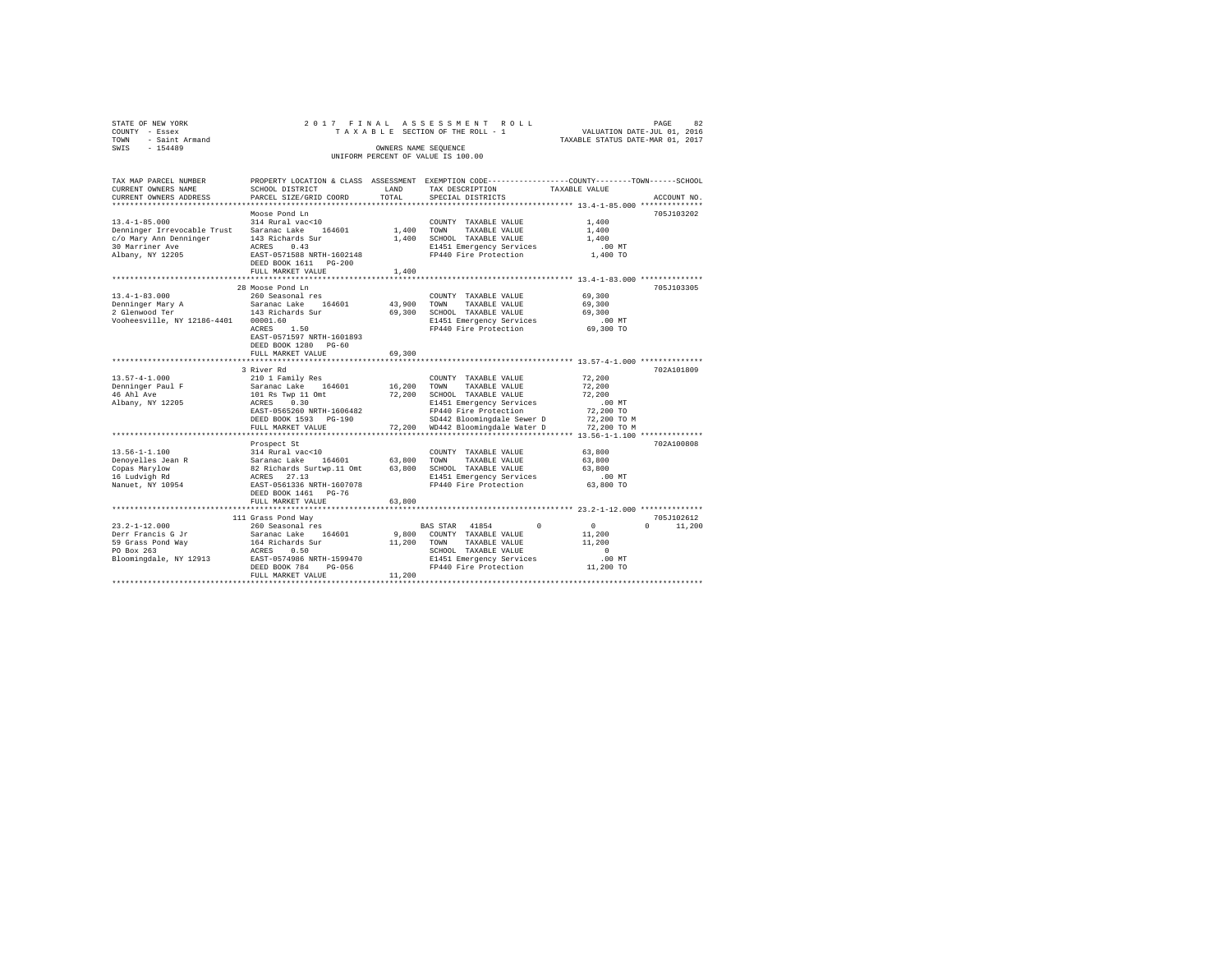| STATE OF NEW YORK   | 2017 FINAL ASSESSMENT ROLL         |                                  | PAGE | 82 |
|---------------------|------------------------------------|----------------------------------|------|----|
| COUNTY - Essex      | TAXABLE SECTION OF THE ROLL - 1    | VALUATION DATE-JUL 01, 2016      |      |    |
| TOWN - Saint Armand |                                    | TAXABLE STATUS DATE-MAR 01, 2017 |      |    |
| SWIS<br>$-154489$   | OWNERS NAME SEOUENCE               |                                  |      |    |
|                     | UNIFORM PERCENT OF VALUE IS 100.00 |                                  |      |    |
|                     |                                    |                                  |      |    |
|                     |                                    |                                  |      |    |

| TAX MAP PARCEL NUMBER<br>CURRENT OWNERS NAME<br>CURRENT OWNERS ADDRESS                                              | SCHOOL DISTRICT<br>PARCEL SIZE/GRID COORD                                                                                                                                                                     | LAND<br>TOTAL              | PROPERTY LOCATION & CLASS ASSESSMENT EXEMPTION CODE-----------------COUNTY-------TOWN------SCHOOL<br>TAX DESCRIPTION<br>SPECIAL DISTRICTS                                                     | TAXABLE VALUE                                                                     | ACCOUNT NO.                      |
|---------------------------------------------------------------------------------------------------------------------|---------------------------------------------------------------------------------------------------------------------------------------------------------------------------------------------------------------|----------------------------|-----------------------------------------------------------------------------------------------------------------------------------------------------------------------------------------------|-----------------------------------------------------------------------------------|----------------------------------|
| $13.4 - 1 - 85.000$<br>Denninger Irrevocable Trust<br>c/o Mary Ann Denninger<br>30 Marriner Ave<br>Albany, NY 12205 | Moose Pond Ln<br>314 Rural vac<10<br>Saranac Lake<br>164601<br>143 Richards Sur<br>ACRES<br>0.43<br>EAST-0571588 NRTH-1602148<br>DEED BOOK 1611 PG-200<br>FULL MARKET VALUE<br>****************************** | 1,400<br>1,400<br>1,400    | COUNTY TAXABLE VALUE<br>TOWN<br>TAXABLE VALUE<br>SCHOOL TAXABLE VALUE<br>E1451 Emergency Services<br>FP440 Fire Protection                                                                    | 1,400<br>1,400<br>1,400<br>.00MT<br>1,400 TO                                      | 705J103202                       |
| $13.4 - 1 - 83.000$<br>Denninger Mary A<br>2 Glenwood Ter<br>Vooheesville, NY 12186-4401                            | 28 Moose Pond Ln<br>260 Seasonal res<br>Saranac Lake 164601<br>143 Richards Sur<br>00001.60<br>ACRES<br>1.50<br>EAST-0571597 NRTH-1601893<br>DEED BOOK 1280 PG-60<br>FULL MARKET VALUE                        | 43,900<br>69,300<br>69,300 | COUNTY TAXABLE VALUE<br>TOWN<br>TAXABLE VALUE<br>SCHOOL TAXABLE VALUE<br>E1451 Emergency Services<br>FP440 Fire Protection                                                                    | 69,300<br>69,300<br>69,300<br>$.00$ MT<br>69,300 TO                               | 705J103305                       |
|                                                                                                                     | ***********************                                                                                                                                                                                       |                            | ·***************************** 13.57-4-1.000 **************                                                                                                                                   |                                                                                   |                                  |
| $13.57 - 4 - 1.000$<br>Denninger Paul F<br>46 Ahl Ave<br>Albany, NY 12205                                           | 3 River Rd<br>210 1 Family Res<br>Saranac Lake<br>164601<br>101 Rs Twp 11 Omt<br>0.30<br>ACRES<br>EAST-0565260 NRTH-1606482<br>DEED BOOK 1593 PG-190<br>FULL MARKET VALUE                                     | 16,200<br>72.200           | COUNTY TAXABLE VALUE<br>TOWN<br>TAXABLE VALUE<br>72,200 SCHOOL TAXABLE VALUE<br>E1451 Emergency Services<br>FP440 Fire Protection<br>SD442 Bloomingdale Sewer D<br>WD442 Bloomingdale Water D | 72,200<br>72,200<br>72,200<br>$.00$ MT<br>72,200 TO<br>72,200 TO M<br>72,200 TO M | 702A101809                       |
|                                                                                                                     |                                                                                                                                                                                                               |                            |                                                                                                                                                                                               |                                                                                   |                                  |
| $13.56 - 1 - 1.100$<br>Denoyelles Jean R<br>Copas Marvlow<br>16 Ludvigh Rd<br>Nanuet, NY 10954                      | Prospect St<br>314 Rural vac<10<br>Saranac Lake 164601<br>82 Richards Surtwp.11 Omt<br>ACRES 27.13<br>EAST-0561336 NRTH-1607078<br>DEED BOOK 1461 PG-76                                                       | 63,800 TOWN<br>63,800      | COUNTY TAXABLE VALUE<br>TAXABLE VALUE<br>SCHOOL TAXABLE VALUE<br>E1451 Emergency Services<br>FP440 Fire Protection                                                                            | 63,800<br>63,800<br>63,800<br>.00 MT<br>63,800 TO                                 | 702A100808                       |
|                                                                                                                     | FULL MARKET VALUE                                                                                                                                                                                             | 63,800                     |                                                                                                                                                                                               |                                                                                   |                                  |
| $23.2 - 1 - 12.000$<br>Derr Francis G Jr<br>59 Grass Pond Way<br>PO Box 263<br>Bloomingdale, NY 12913               | 111 Grass Pond Way<br>260 Seasonal res<br>Saranac Lake<br>164601<br>164 Richards Sur<br>ACRES<br>0.50<br>EAST-0574986 NRTH-1599470<br>DEED BOOK 784<br>$PG-056$<br>FULL MARKET VALUE                          | 9,800<br>11,200<br>11,200  | $\Omega$<br>BAS STAR 41854<br>COUNTY TAXABLE VALUE<br>TOWN<br>TAXABLE VALUE<br>SCHOOL TAXABLE VALUE<br>E1451 Emergency Services<br>FP440 Fire Protection                                      | $\Omega$<br>11,200<br>11,200<br>$\Omega$<br>$.00$ MT<br>11,200 TO                 | 705J102612<br>$\Omega$<br>11,200 |
|                                                                                                                     |                                                                                                                                                                                                               |                            |                                                                                                                                                                                               |                                                                                   |                                  |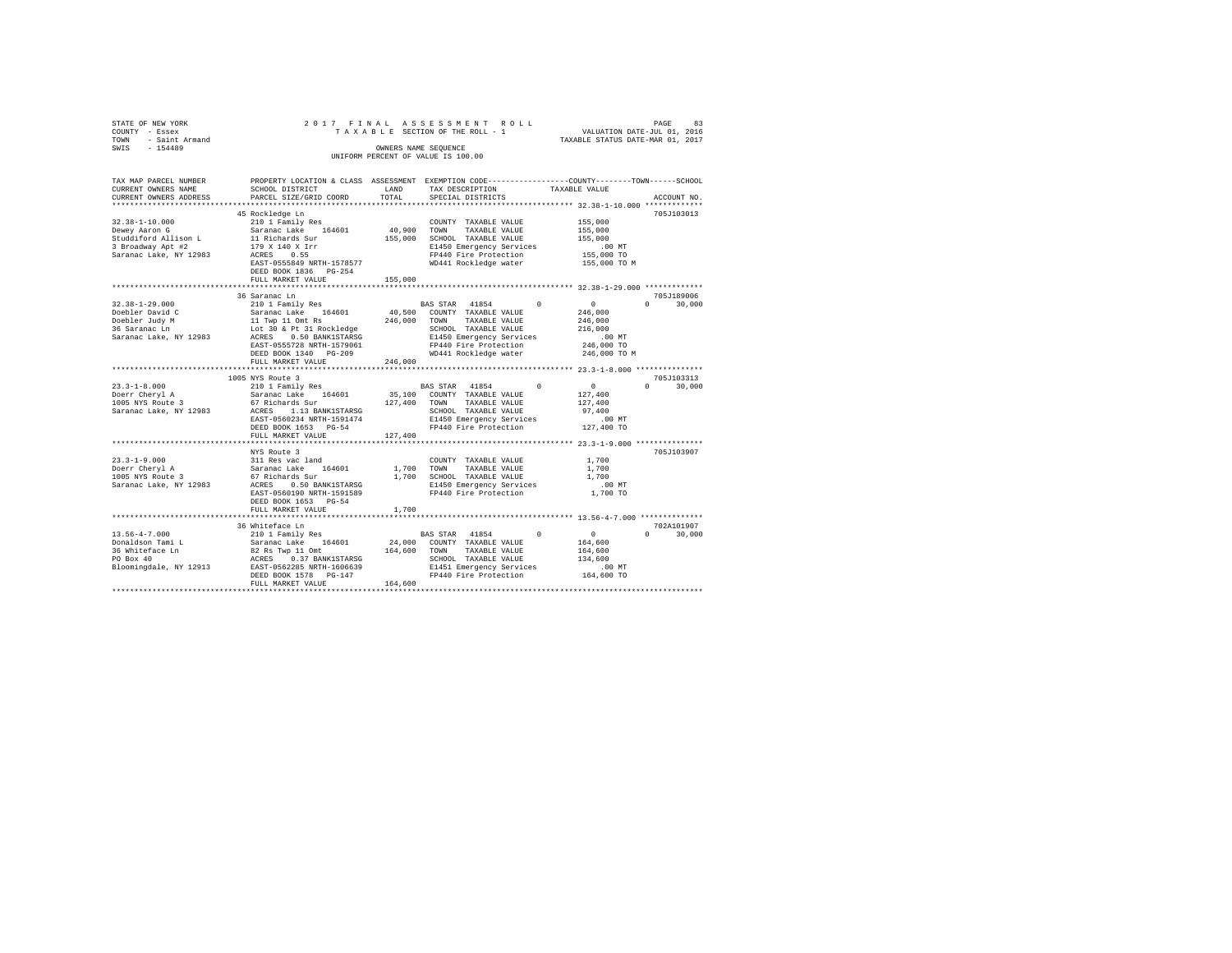| STATE OF NEW YORK<br>COUNTY - Essex<br>TOWN - Saint Armand<br>SWIS - 154489          | 2017 FINAL ASSESSMENT ROLL<br>TAXABLE SECTION OF THE ROLL - 1                                                                                                                                                      | OWNERS NAME SEQUENCE<br>UNIFORM PERCENT OF VALUE IS 100.00 |                                                                                                                                     | VALUATION DATE-JUL 01, 2016<br>TAXABLE STATUS DATE-MAR 01, 2017 | PAGE | 83            |
|--------------------------------------------------------------------------------------|--------------------------------------------------------------------------------------------------------------------------------------------------------------------------------------------------------------------|------------------------------------------------------------|-------------------------------------------------------------------------------------------------------------------------------------|-----------------------------------------------------------------|------|---------------|
| TAX MAP PARCEL NUMBER<br>CURRENT OWNERS NAME<br>CURRENT OWNERS ADDRESS               | PROPERTY LOCATION & CLASS ASSESSMENT EXEMPTION CODE---------------COUNTY-------TOWN------SCHOOL<br>SCHOOL DISTRICT<br>PARCEL SIZE/GRID COORD                                                                       | LAND<br>TOTAL                                              | TAX DESCRIPTION<br>SPECIAL DISTRICTS                                                                                                | TAXABLE VALUE                                                   |      | ACCOUNT NO.   |
|                                                                                      |                                                                                                                                                                                                                    |                                                            |                                                                                                                                     |                                                                 |      |               |
| $32.38 - 1 - 10.000$<br>Dewey Aaron G                                                | 45 Rockledge Ln<br>210 1 Family Res                                                                                                                                                                                | 40,900 TOWN                                                | COUNTY TAXABLE VALUE<br>TAXABLE VALUE                                                                                               | 155,000<br>155,000                                              |      | 705J103013    |
| Studdiford Allison L<br>3 Broadway Apt #2<br>Saranac Lake, NY 12983                  | Saranac Lake 164601<br>11 Richards Sur<br>179 X 140 X Irr<br>ACRES 0.55                                                                                                                                            |                                                            | 155,000 SCHOOL TAXABLE VALUE<br>E1450 Emergency Services<br>FP440 Fire Protection                                                   | 155,000<br>.00 MT<br>155,000 TO                                 |      |               |
|                                                                                      | EAST-0555849 NRTH-1578577 WD441 Rockledge water 155,000 TO M<br>DEED BOOK 1836    PG-254<br>FULL MARKET VALUE                                                                                                      | 155,000                                                    |                                                                                                                                     |                                                                 |      |               |
|                                                                                      | 36 Saranac Ln                                                                                                                                                                                                      |                                                            |                                                                                                                                     |                                                                 |      | 705J189006    |
| $32.38 - 1 - 29.000$<br>Doebler David C                                              | 210 1 Family Res                                                                                                                                                                                                   |                                                            | BAS STAR 41854 0 0<br>40,500 COUNTY TAXABLE VALUE                                                                                   | 246,000                                                         |      | $0 \t 30.000$ |
| Doebler Judy M<br>36 Saranac Ln                                                      | Saranac Lake 164601 40,500 COUNTY<br>10 TWP 11 Omt Rs 246,000 TONN<br>10 TWP 10 AFT 31 Rockledge 246,000 SCHOOL<br>ACRES 0.50 BANK1STARSG 181450 B1450<br>RAST-0555728 NRTH-1579061 PP440 F:                       |                                                            | TAXABLE VALUE<br>SCHOOL TAXABLE VALUE                                                                                               | 246,000<br>216,000                                              |      |               |
| Saranac Lake, NY 12983                                                               | DEED BOOK 1340 PG-209                                                                                                                                                                                              |                                                            | E1450 Emergency Services<br>FP440 Fire Protection<br>WD441 Rockledge water                                                          | $.00$ MT<br>246,000 TO<br>246,000 TO M                          |      |               |
|                                                                                      | FULL MARKET VALUE                                                                                                                                                                                                  | 246,000                                                    |                                                                                                                                     |                                                                 |      |               |
|                                                                                      |                                                                                                                                                                                                                    |                                                            |                                                                                                                                     |                                                                 |      |               |
|                                                                                      | 1005 NYS Route 3                                                                                                                                                                                                   |                                                            |                                                                                                                                     |                                                                 |      | 705J103313    |
| $23.3 - 1 - 8.000$<br>Doerr Cheryl A<br>$1005$ NYS Route 3<br>Saranac Lake, NY 12983 | 67 Richards Sur 127,400 TOWN<br>ACRES 1.13 BANK1STARSG 5CHOOL TAXABLE VALUE<br>EAST-0560234 NRTH-1591474 B1450 Emergency Services<br>DEED BOOK 1653 PG-54 F7440 Fire Protection<br>FULL MARKET VALUE               | 127,400                                                    | TAXABLE VALUE                                                                                                                       | 127,400<br>97,400<br>.00 MT<br>127,400 TO                       |      | $0 \t 30.000$ |
|                                                                                      |                                                                                                                                                                                                                    |                                                            |                                                                                                                                     |                                                                 |      |               |
| $23.3 - 1 - 9.000$<br>Doerr Cheryl A<br>1005 NYS Route 3<br>Saranac Lake, NY 12983   | NYS Route 3<br>311 Res vac land<br>Saranac Lake 164601<br>67 Richards Sur<br>ACRES 0.50 BANK1STARSG<br>EAST-0560190 NRTH-1591589<br>DEED BOOK 1653 PG-54                                                           |                                                            | COUNTY TAXABLE VALUE<br>1,700 TOWN TAXABLE VALUE<br>1,700 SCHOOL TAXABLE VALUE<br>E1450 Emergency Services<br>FP440 Fire Protection | 1,700<br>1,700<br>1,700<br>$.00$ MT<br>1,700 TO                 |      | 705J103907    |
|                                                                                      | FULL MARKET VALUE                                                                                                                                                                                                  | 1,700                                                      |                                                                                                                                     |                                                                 |      |               |
|                                                                                      |                                                                                                                                                                                                                    |                                                            |                                                                                                                                     |                                                                 |      |               |
|                                                                                      | 36 Whiteface Ln                                                                                                                                                                                                    |                                                            |                                                                                                                                     |                                                                 |      | 702A101907    |
| $13.56 - 4 - 7.000$                                                                  | 210 1 Family Res<br>Saranac Lake 164601                                                                                                                                                                            |                                                            | BAS STAR 41854 0<br>24,000 COUNTY TAXABLE VALUE                                                                                     | $\overline{0}$                                                  |      | $0 \t 30,000$ |
| Donaldson Tami L                                                                     |                                                                                                                                                                                                                    |                                                            |                                                                                                                                     | 164,600                                                         |      |               |
| 36 Whiteface Ln<br>PO Box 40                                                         | 82 Rs Twp 11 Omt 164,600 TOWN                                                                                                                                                                                      |                                                            | TAXABLE VALUE                                                                                                                       | 164,600                                                         |      |               |
| Bloomingdale, NY 12913 EAST-0562285 NRTH-1606639                                     |                                                                                                                                                                                                                    |                                                            |                                                                                                                                     | 134,600                                                         |      |               |
|                                                                                      | %<br>ARES 0.37 BANK1STARSG<br>-> CHOOL TAXABLE VALUE EAST-0562285 NRTH-1606639 = 11451 Energency Services<br>DEEN DEEN FRAMENT-1606639 = 11451 Energency Services<br>DEED BOOK 1578 PG-147 = PF440 Fire Protection |                                                            |                                                                                                                                     | .00 MT<br>164,600 TO                                            |      |               |
|                                                                                      | FULL MARKET VALUE                                                                                                                                                                                                  | 164,600                                                    |                                                                                                                                     |                                                                 |      |               |
|                                                                                      |                                                                                                                                                                                                                    |                                                            |                                                                                                                                     |                                                                 |      |               |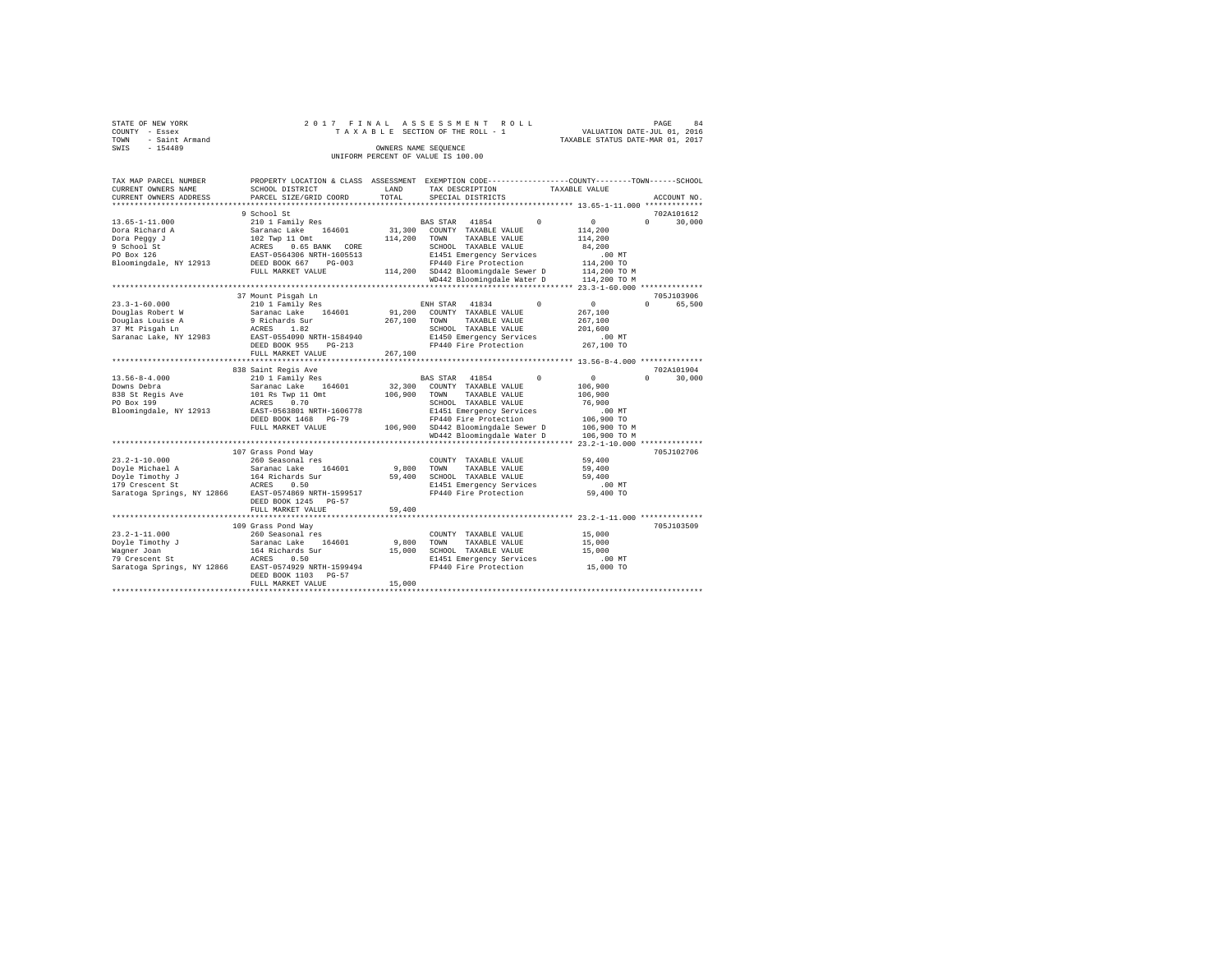|                | STATE OF NEW YORK   |  |  |  |  | 2017 FINAL ASSESSMENT ROLL         |  |  |  |  |  |                                  |                             |  | PAGE | 84 |
|----------------|---------------------|--|--|--|--|------------------------------------|--|--|--|--|--|----------------------------------|-----------------------------|--|------|----|
| COUNTY - Essex |                     |  |  |  |  | TAXABLE SECTION OF THE ROLL - 1    |  |  |  |  |  |                                  | VALUATION DATE-JUL 01, 2016 |  |      |    |
|                | TOWN - Saint Armand |  |  |  |  |                                    |  |  |  |  |  | TAXABLE STATUS DATE-MAR 01, 2017 |                             |  |      |    |
| SWIS           | $-154489$           |  |  |  |  | OWNERS NAME SEOUENCE               |  |  |  |  |  |                                  |                             |  |      |    |
|                |                     |  |  |  |  | UNIFORM PERCENT OF VALUE IS 100.00 |  |  |  |  |  |                                  |                             |  |      |    |

| TAX MAP PARCEL NUMBER<br>CURRENT OWNERS NAME      | SCHOOL DISTRICT                                                             | LAND    | PROPERTY LOCATION & CLASS ASSESSMENT EXEMPTION CODE----------------COUNTY-------TOWN-----SCHOOL<br>TAX DESCRIPTION | TAXABLE VALUE                          |                                  |
|---------------------------------------------------|-----------------------------------------------------------------------------|---------|--------------------------------------------------------------------------------------------------------------------|----------------------------------------|----------------------------------|
| CURRENT OWNERS ADDRESS<br>*********************** | PARCEL SIZE/GRID COORD                                                      | TOTAL   | SPECIAL DISTRICTS                                                                                                  |                                        | ACCOUNT NO.                      |
|                                                   |                                                                             |         |                                                                                                                    |                                        |                                  |
| $13.65 - 1 - 11.000$<br>Dora Richard A            | 9 School St<br>210 1 Family Res<br>Saranac Lake 164601                      | 31,300  | BAS STAR<br>41854<br>$\Omega$<br>COUNTY TAXABLE VALUE                                                              | $^{\circ}$<br>114,200                  | 702A101612<br>$\Omega$<br>30,000 |
| Dora Peqqy J<br>9 School St                       | 102 Twp 11 Omt<br>ACRES 0.65 BANK CORE                                      | 114,200 | TAXABLE VALUE<br>TOWN<br>SCHOOL TAXABLE VALUE                                                                      | 114,200<br>84,200                      |                                  |
| PO Box 126<br>Bloomingdale, NY 12913              | EAST-0564306 NRTH-1605513<br>DEED BOOK 667<br>$PG-003$<br>FULL MARKET VALUE |         | E1451 Emergency Services<br>FP440 Fire Protection<br>114,200 SD442 Bloomingdale Sewer D                            | $.00$ MT<br>114,200 TO<br>114,200 TO M |                                  |
|                                                   |                                                                             |         | WD442 Bloomingdale Water D                                                                                         | 114,200 TO M                           |                                  |
|                                                   | ********************************                                            |         |                                                                                                                    |                                        |                                  |
|                                                   | 37 Mount Pisqah Ln                                                          |         |                                                                                                                    |                                        | 705J103906                       |
| $23.3 - 1 - 60.000$                               | 210 1 Family Res                                                            |         | $\Omega$<br>ENH STAR 41834                                                                                         | $\sim$ 0                               | $\Omega$<br>65,500               |
| Douglas Robert W                                  | Saranac Lake 164601                                                         |         | 91,200 COUNTY TAXABLE VALUE<br>TOWN<br>TAXABLE VALUE                                                               | 267,100<br>267,100                     |                                  |
| Douglas Louise A<br>37 Mt Pisgah Ln               | 9 Richards Sur<br>1.82<br>ACRES                                             | 267,100 | SCHOOL TAXABLE VALUE                                                                                               | 201,600                                |                                  |
| Saranac Lake, NY 12983                            | EAST-0554090 NRTH-1584940                                                   |         | E1450 Emergency Services                                                                                           | $.00$ MT                               |                                  |
|                                                   | DEED BOOK 955<br>$PG-213$                                                   |         | FP440 Fire Protection                                                                                              | 267,100 TO                             |                                  |
|                                                   | FULL MARKET VALUE                                                           | 267,100 |                                                                                                                    |                                        |                                  |
|                                                   | ************************                                                    |         |                                                                                                                    |                                        |                                  |
|                                                   | 838 Saint Regis Ave                                                         |         |                                                                                                                    |                                        | 702A101904                       |
| $13.56 - 8 - 4.000$                               | 210 1 Family Res                                                            |         | 41854<br>$^{\circ}$<br>BAS STAR                                                                                    | $\circ$                                | $\Omega$<br>30,000               |
| Downs Debra                                       | Saranac Lake 164601                                                         | 32,300  | COUNTY TAXABLE VALUE                                                                                               | 106,900                                |                                  |
| 838 St Regis Ave                                  | 101 Rs Twp 11 Omt                                                           | 106,900 | TAXABLE VALUE<br>TOWN                                                                                              | 106,900                                |                                  |
| PO Box 199                                        | 0.70<br>ACRES                                                               |         | SCHOOL TAXABLE VALUE                                                                                               | 76,900                                 |                                  |
| Bloomingdale, NY 12913                            | EAST-0563801 NRTH-1606778                                                   |         | E1451 Emergency Services                                                                                           | $.00$ MT                               |                                  |
|                                                   | DEED BOOK 1468 PG-79                                                        |         | FP440 Fire Protection                                                                                              | 106,900 TO                             |                                  |
|                                                   | FULL MARKET VALUE                                                           |         | 106,900 SD442 Bloomingdale Sewer D                                                                                 | 106,900 TO M                           |                                  |
|                                                   |                                                                             |         | WD442 Bloomingdale Water D                                                                                         | 106,900 TO M                           |                                  |
|                                                   |                                                                             |         |                                                                                                                    |                                        |                                  |
| $23.2 - 1 - 10.000$                               | 107 Grass Pond Way<br>260 Seasonal res                                      |         | COUNTY TAXABLE VALUE                                                                                               | 59,400                                 | 705J102706                       |
| Doyle Michael A                                   | Saranac Lake 164601                                                         | 9,800   | TOWN<br>TAXABLE VALUE                                                                                              | 59,400                                 |                                  |
| Doyle Timothy J                                   | 164 Richards Sur                                                            | 59,400  | SCHOOL TAXABLE VALUE                                                                                               | 59,400                                 |                                  |
| 179 Crescent St                                   | ACRES<br>0.50                                                               |         | E1451 Emergency Services                                                                                           | $.00$ MT                               |                                  |
|                                                   | Saratoga Springs, NY 12866 EAST-0574869 NRTH-1599517                        |         | FP440 Fire Protection                                                                                              | 59,400 TO                              |                                  |
|                                                   | DEED BOOK 1245 PG-57                                                        |         |                                                                                                                    |                                        |                                  |
|                                                   | FULL MARKET VALUE                                                           | 59,400  |                                                                                                                    |                                        |                                  |
|                                                   |                                                                             |         |                                                                                                                    |                                        |                                  |
|                                                   | 109 Grass Pond Wav                                                          |         |                                                                                                                    |                                        | 705J103509                       |
| $23.2 - 1 - 11.000$                               | 260 Seasonal res                                                            |         | COUNTY TAXABLE VALUE                                                                                               | 15,000                                 |                                  |
| Doyle Timothy J                                   | Saranac Lake<br>164601                                                      | 9,800   | TOWN<br>TAXABLE VALUE                                                                                              | 15,000                                 |                                  |
| Waqner Joan                                       | 164 Richards Sur                                                            | 15,000  | SCHOOL TAXABLE VALUE                                                                                               | 15,000                                 |                                  |
| 79 Crescent St                                    | ACRES<br>0.50                                                               |         | E1451 Emergency Services                                                                                           | .00MT                                  |                                  |
| Saratoga Springs, NY 12866                        | EAST-0574929 NRTH-1599494<br>DEED BOOK 1103 PG-57                           |         | FP440 Fire Protection                                                                                              | 15,000 TO                              |                                  |
|                                                   | FULL MARKET VALUE                                                           | 15,000  |                                                                                                                    |                                        |                                  |
|                                                   |                                                                             |         |                                                                                                                    |                                        |                                  |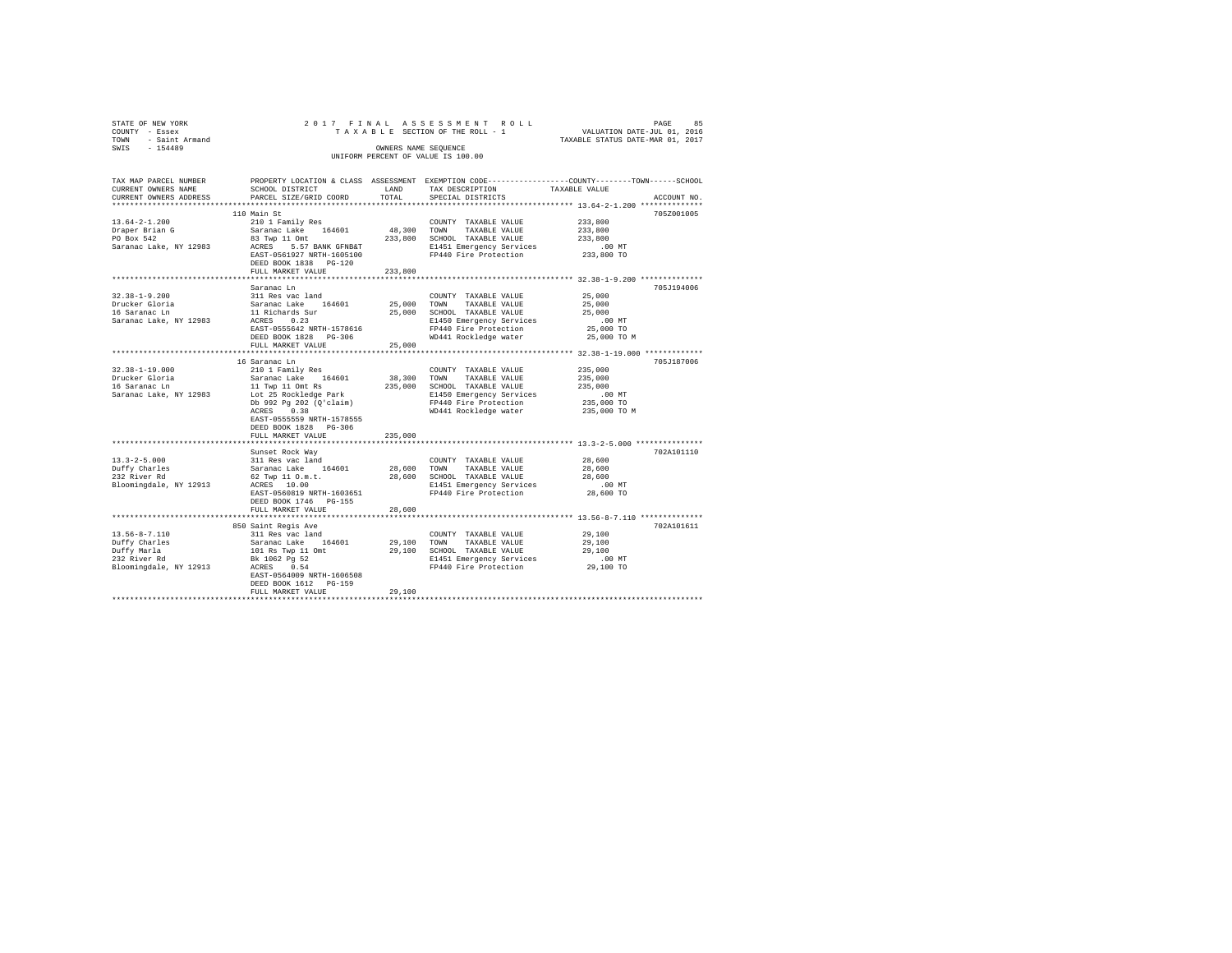| STATE OF NEW YORK   |  | 2017 FINAL ASSESSMENT ROLL         |                                  | PAGE | 85 |
|---------------------|--|------------------------------------|----------------------------------|------|----|
| COUNTY - Essex      |  | TAXABLE SECTION OF THE ROLL - 1    | VALUATION DATE-JUL 01, 2016      |      |    |
| TOWN - Saint Armand |  |                                    | TAXABLE STATUS DATE-MAR 01, 2017 |      |    |
| SWIS<br>$-154489$   |  | OWNERS NAME SEOUENCE               |                                  |      |    |
|                     |  | UNIFORM PERCENT OF VALUE IS 100.00 |                                  |      |    |
|                     |  |                                    |                                  |      |    |

| TAX MAP PARCEL NUMBER<br>CURRENT OWNERS NAME<br>CURRENT OWNERS ADDRESS | SCHOOL DISTRICT<br>PARCEL SIZE/GRID COORD | LAND<br>TOTAL | PROPERTY LOCATION & CLASS ASSESSMENT EXEMPTION CODE----------------COUNTY-------TOWN------SCHOOL<br>TAX DESCRIPTION<br>SPECIAL DISTRICTS | TAXABLE VALUE      | ACCOUNT NO. |
|------------------------------------------------------------------------|-------------------------------------------|---------------|------------------------------------------------------------------------------------------------------------------------------------------|--------------------|-------------|
| ************************                                               |                                           |               |                                                                                                                                          |                    |             |
|                                                                        | 110 Main St                               |               |                                                                                                                                          |                    | 705Z001005  |
| $13.64 - 2 - 1.200$                                                    | 210 1 Family Res                          |               | COUNTY TAXABLE VALUE                                                                                                                     | 233,800            |             |
| Draper Brian G                                                         | Saranac Lake 164601                       | 48,300        | TOWN TAXABLE VALUE                                                                                                                       | 233,800            |             |
| PO Box 542                                                             | 83 Twp 11 Omt                             | 233,800       | SCHOOL TAXABLE VALUE                                                                                                                     | 233,800            |             |
| Saranac Lake, NY 12983                                                 | ACRES 5.57 BANK GFNB&T                    |               | E1451 Emergency Services                                                                                                                 | $.00$ MT           |             |
|                                                                        | EAST-0561927 NRTH-1605100                 |               | FP440 Fire Protection                                                                                                                    | 233,800 TO         |             |
|                                                                        | DEED BOOK 1838 PG-120                     |               |                                                                                                                                          |                    |             |
|                                                                        | FULL MARKET VALUE                         | 233,800       |                                                                                                                                          |                    |             |
|                                                                        | Saranac Ln                                |               |                                                                                                                                          |                    | 705J194006  |
| $32.38 - 1 - 9.200$                                                    | 311 Res vac land                          |               | COUNTY TAXABLE VALUE                                                                                                                     | 25,000             |             |
| Drucker Gloria                                                         | Saranac Lake 164601                       | 25,000 TOWN   | TAXABLE VALUE                                                                                                                            | 25,000             |             |
| 16 Saranac Ln                                                          | 11 Richards Sur                           | 25,000        | SCHOOL TAXABLE VALUE                                                                                                                     | 25,000             |             |
| Saranac Lake, NY 12983                                                 | ACRES 0.23                                |               | E1450 Emergency Services                                                                                                                 | $.00$ MT           |             |
|                                                                        | EAST-0555642 NRTH-1578616                 |               | FP440 Fire Protection                                                                                                                    | 25,000 TO          |             |
|                                                                        | DEED BOOK 1828 PG-306                     |               | WD441 Rockledge water                                                                                                                    | 25,000 TO M        |             |
|                                                                        | FULL MARKET VALUE                         | 25,000        |                                                                                                                                          |                    |             |
|                                                                        | ************************                  |               | **************************** 32.38-1-19.000 *************                                                                                |                    |             |
|                                                                        | 16 Saranac Ln                             |               |                                                                                                                                          |                    | 705J187006  |
| $32.38 - 1 - 19.000$                                                   | 210 1 Family Res                          |               | COUNTY TAXABLE VALUE                                                                                                                     | 235,000            |             |
| Drucker Gloria                                                         | Saranac Lake 164601                       |               | 38,300 TOWN TAXABLE VALUE                                                                                                                | 235,000            |             |
| 16 Saranac Ln                                                          | 11 Twp 11 Omt Rs                          | 235,000       | SCHOOL TAXABLE VALUE                                                                                                                     | 235,000            |             |
| Saranac Lake, NY 12983                                                 | Lot 25 Rockledge Park                     |               | E1450 Emergency Services                                                                                                                 | $.00$ MT           |             |
|                                                                        | Db 992 Pq 202 (Q'claim)                   |               | FP440 Fire Protection                                                                                                                    | 235,000 TO         |             |
|                                                                        | 0.38<br>ACRES                             |               | WD441 Rockledge water                                                                                                                    | 235,000 TO M       |             |
|                                                                        | EAST-0555559 NRTH-1578555                 |               |                                                                                                                                          |                    |             |
|                                                                        | DEED BOOK 1828 PG-306                     |               |                                                                                                                                          |                    |             |
|                                                                        | FULL MARKET VALUE                         | 235,000       |                                                                                                                                          |                    |             |
|                                                                        |                                           | ************* |                                                                                                                                          |                    |             |
|                                                                        | Sunset Rock Way                           |               |                                                                                                                                          |                    | 702A101110  |
| $13.3 - 2 - 5.000$                                                     | 311 Res vac land                          |               | COUNTY TAXABLE VALUE                                                                                                                     | 28,600             |             |
| Duffy Charles                                                          | Saranac Lake 164601                       | 28,600 TOWN   | TAXABLE VALUE                                                                                                                            | 28,600             |             |
| 232 River Rd<br>Bloomingdale, NY 12913                                 | 62 Twp 11 O.m.t.<br>ACRES 10.00           |               | 28,600 SCHOOL TAXABLE VALUE<br>E1451 Emergency Services                                                                                  | 28,600<br>$.00$ MT |             |
|                                                                        | EAST-0560819 NRTH-1603651                 |               | FP440 Fire Protection                                                                                                                    | 28,600 TO          |             |
|                                                                        | DEED BOOK 1746 PG-155                     |               |                                                                                                                                          |                    |             |
|                                                                        | FULL MARKET VALUE                         | 28,600        |                                                                                                                                          |                    |             |
|                                                                        |                                           |               |                                                                                                                                          |                    |             |
|                                                                        | 850 Saint Regis Ave                       |               |                                                                                                                                          |                    | 702A101611  |
| $13.56 - 8 - 7.110$                                                    | 311 Res vac land                          |               | COUNTY TAXABLE VALUE                                                                                                                     | 29,100             |             |
| Duffy Charles                                                          | Saranac Lake 164601                       |               | 29,100 TOWN TAXABLE VALUE                                                                                                                | 29,100             |             |
| Duffy Marla                                                            | 101 Rs Twp 11 Omt                         |               | 29,100 SCHOOL TAXABLE VALUE                                                                                                              | 29,100             |             |
| 232 River Rd                                                           | Bk 1062 Pg 52                             |               | E1451 Emergency Services                                                                                                                 | .00 MT             |             |
| Bloomingdale, NY 12913                                                 | 0.54<br>ACRES                             |               | FP440 Fire Protection                                                                                                                    | 29,100 TO          |             |
|                                                                        | EAST-0564009 NRTH-1606508                 |               |                                                                                                                                          |                    |             |
|                                                                        | DEED BOOK 1612 PG-159                     |               |                                                                                                                                          |                    |             |
|                                                                        | FULL MARKET VALUE                         | 29,100        |                                                                                                                                          |                    |             |
|                                                                        |                                           |               |                                                                                                                                          |                    |             |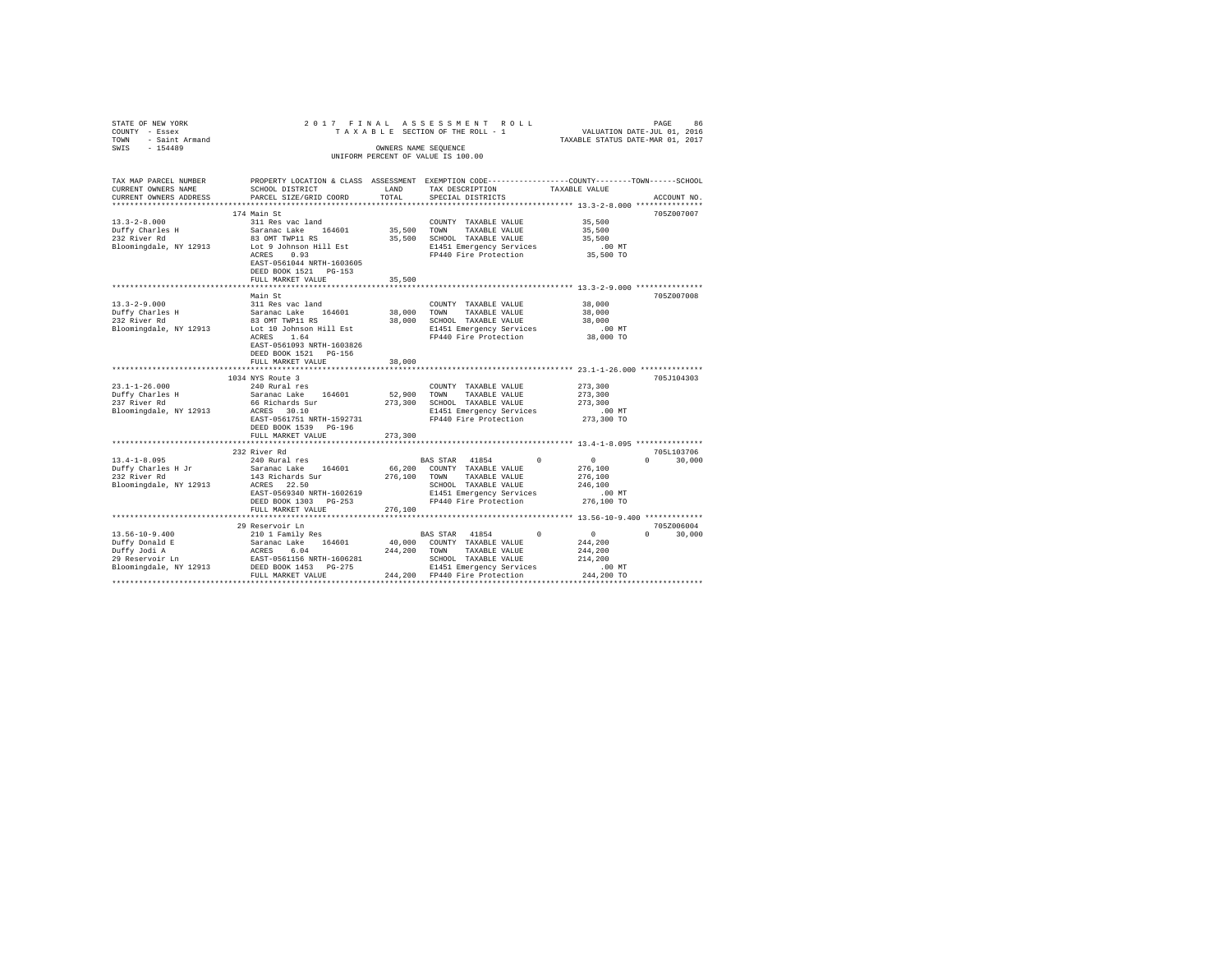| STATE OF NEW YORK                                  | 2017 FINAL                      |              | ASSESSMENT ROLL                    | PAGE                                                                                           | 86          |
|----------------------------------------------------|---------------------------------|--------------|------------------------------------|------------------------------------------------------------------------------------------------|-------------|
| COUNTY - Essex                                     |                                 |              | TAXABLE SECTION OF THE ROLL - 1    | VALUATION DATE-JUL 01, 2016<br>TAXABLE STATUS DATE-MAR 01, 2017                                |             |
| - Saint Armand<br>TOWN                             |                                 |              |                                    |                                                                                                |             |
| SWIS<br>$-154489$                                  |                                 |              | OWNERS NAME SEQUENCE               |                                                                                                |             |
|                                                    |                                 |              | UNIFORM PERCENT OF VALUE IS 100.00 |                                                                                                |             |
|                                                    |                                 |              |                                    |                                                                                                |             |
|                                                    |                                 |              |                                    |                                                                                                |             |
| TAX MAP PARCEL NUMBER                              |                                 |              |                                    | PROPERTY LOCATION & CLASS ASSESSMENT EXEMPTION CODE---------------COUNTY-------TOWN-----SCHOOL |             |
| CURRENT OWNERS NAME                                | SCHOOL DISTRICT                 | LAND         | TAX DESCRIPTION                    | TAXABLE VALUE                                                                                  |             |
| CURRENT OWNERS ADDRESS                             | PARCEL SIZE/GRID COORD          | TOTAL        | SPECIAL DISTRICTS                  |                                                                                                | ACCOUNT NO. |
|                                                    |                                 |              |                                    |                                                                                                |             |
|                                                    | 174 Main St                     |              |                                    |                                                                                                | 705Z007007  |
| $13.3 - 2 - 8.000$                                 | 311 Res vac land                |              | COUNTY TAXABLE VALUE               | 35,500                                                                                         |             |
| Duffy Charles H                                    | Saranac Lake 164601             | 35,500 TOWN  | TAXABLE VALUE                      | 35,500                                                                                         |             |
| 232 River Rd                                       | 83 OMT TWP11 RS                 |              | 35,500 SCHOOL TAXABLE VALUE        | 35,500                                                                                         |             |
| Bloomingdale, NY 12913                             | Lot 9 Johnson Hill Est          |              | E1451 Emergency Services           | $.00$ MT                                                                                       |             |
|                                                    | 0.93<br>ACRES                   |              | FP440 Fire Protection              | 35,500 TO                                                                                      |             |
|                                                    | EAST-0561044 NRTH-1603605       |              |                                    |                                                                                                |             |
|                                                    | DEED BOOK 1521 PG-153           |              |                                    |                                                                                                |             |
|                                                    | FULL MARKET VALUE               | 35,500       |                                    |                                                                                                |             |
|                                                    |                                 |              |                                    | ********************************** 13.3-2-9.000 ****************                               |             |
|                                                    | Main St                         |              |                                    |                                                                                                | 705Z007008  |
| $13.3 - 2 - 9.000$                                 | 311 Res vac land                |              | COUNTY TAXABLE VALUE               | 38,000                                                                                         |             |
|                                                    | Saranac Lake 164601             | 38,000       | TOWN<br>TAXABLE VALUE              | 38,000                                                                                         |             |
| Duffy Charles H<br>232 Fiver Rd                    | 83 OMT TWP11 RS                 | 38,000       | SCHOOL TAXABLE VALUE               | 38,000                                                                                         |             |
| Bloomingdale, NY 12913                             | Lot 10 Johnson Hill Est         |              | E1451 Emergency Services           | .00MT                                                                                          |             |
|                                                    | ACRES<br>1.64                   |              | FP440 Fire Protection              | 38,000 TO                                                                                      |             |
|                                                    | EAST-0561093 NRTH-1603826       |              |                                    |                                                                                                |             |
|                                                    | DEED BOOK 1521 PG-156           |              |                                    |                                                                                                |             |
|                                                    | FULL MARKET VALUE               | 38,000       |                                    |                                                                                                |             |
|                                                    | ******************************* |              |                                    |                                                                                                |             |
|                                                    | 1034 NYS Route 3                |              |                                    |                                                                                                | 705J104303  |
| $23.1 - 1 - 26.000$                                | 240 Rural res                   |              | COUNTY TAXABLE VALUE               | 273,300                                                                                        |             |
|                                                    | Saranac Lake 164601             | 52,900       | TOWN<br>TAXABLE VALUE              | 273,300                                                                                        |             |
| 23.1-1-20.<br>Duffy Charles H<br>- - - - - Pd      | 66 Richards Sur                 |              | 273,300 SCHOOL TAXABLE VALUE       | 273,300                                                                                        |             |
| Bloomingdale, NY 12913                             | ACRES 30.10                     |              | E1451 Emergency Services           | $.00$ MT                                                                                       |             |
|                                                    | EAST-0561751 NRTH-1592731       |              | FP440 Fire Protection              | 273,300 TO                                                                                     |             |
|                                                    | DEED BOOK 1539 PG-196           |              |                                    |                                                                                                |             |
|                                                    | FULL MARKET VALUE               | 273,300      |                                    |                                                                                                |             |
|                                                    |                                 |              |                                    |                                                                                                |             |
|                                                    | 232 River Rd                    |              |                                    |                                                                                                | 705L103706  |
| $13.4 - 1 - 8.095$                                 | 240 Rural res                   |              | BAS STAR 41854<br>$\Omega$         | $\Omega$<br>0                                                                                  | 30,000      |
|                                                    | Saranac Lake 164601             | 66,200       | COUNTY TAXABLE VALUE               | 276,100                                                                                        |             |
| Duffy Charles H Jr<br>??? River Rd<br>232 River Rd | 143 Richards Sur                | 276,100      | TOWN<br>TAXABLE VALUE              | 276,100                                                                                        |             |
| Bloomingdale, NY 12913                             | ACRES 22.50                     |              | SCHOOL TAXABLE VALUE               | 246,100                                                                                        |             |
|                                                    | EAST-0569340 NRTH-1602619       |              | E1451 Emergency Services           | $.00$ MT                                                                                       |             |
|                                                    | DEED BOOK 1303 PG-253           |              | FP440 Fire Protection              | 276,100 TO                                                                                     |             |
|                                                    | FULL MARKET VALUE               | 276,100      |                                    |                                                                                                |             |
|                                                    | ************************        |              |                                    |                                                                                                |             |
|                                                    | 29 Reservoir Ln                 |              |                                    |                                                                                                | 705Z006004  |
| $13.56 - 10 - 9.400$                               | 210 1 Family Res                |              | BAS STAR 41854<br>$\Omega$         | $\circ$<br>$\Omega$                                                                            | 30,000      |
| Duffy Donald E                                     | Saranac Lake 164601             |              | 40,000 COUNTY TAXABLE VALUE        | 244,200                                                                                        |             |
|                                                    | ACRES 6.04                      | 244.200 TOWN | TAXABLE VALUE                      | 244,200                                                                                        |             |
| Duffy Jodi A<br>29 Reservoir Ln                    | EAST-0561156 NRTH-1606281       |              | SCHOOL TAXABLE VALUE               | 214,200                                                                                        |             |
| Bloomingdale, NY 12913                             | DEED BOOK 1453 PG-275           |              | E1451 Emergency Services           | $.00$ MT                                                                                       |             |
|                                                    | FULL MARKET VALUE               |              | 244.200 FP440 Fire Protection      | 244,200 TO                                                                                     |             |
|                                                    |                                 |              |                                    |                                                                                                |             |
|                                                    |                                 |              |                                    |                                                                                                |             |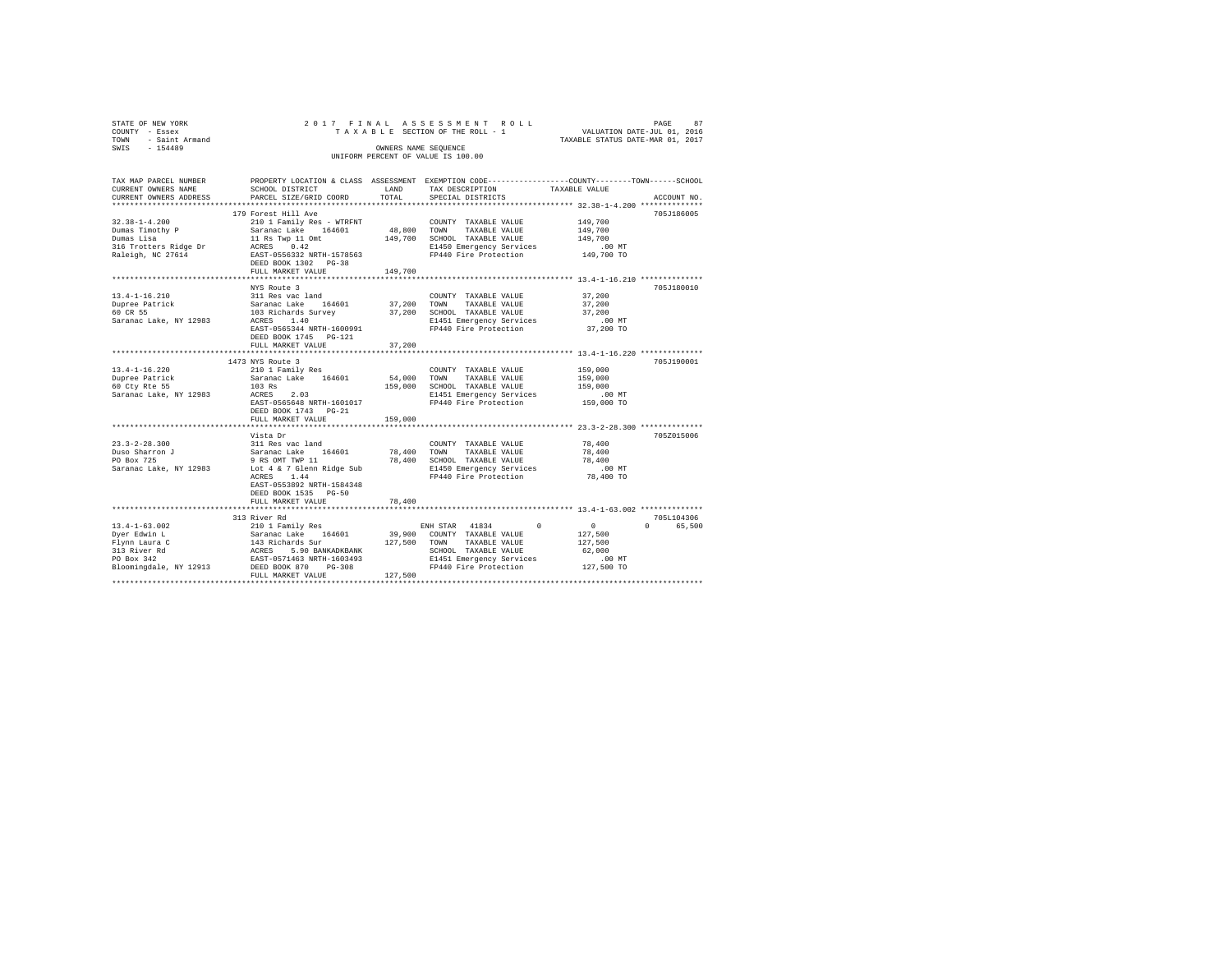| STATE OF NEW YORK      |                           |            | 2017 FINAL ASSESSMENT ROLL         | 87<br>PAGE                                                   |
|------------------------|---------------------------|------------|------------------------------------|--------------------------------------------------------------|
| COUNTY - Essex         |                           |            | TAXABLE SECTION OF THE ROLL - 1    | VALUATION DATE-JUL 01, 2016                                  |
| - Saint Armand<br>TOWN |                           |            |                                    | TAXABLE STATUS DATE-MAR 01, 2017                             |
| SWIS<br>$-154489$      |                           |            | OWNERS NAME SEQUENCE               |                                                              |
|                        |                           |            | UNIFORM PERCENT OF VALUE IS 100.00 |                                                              |
|                        |                           |            |                                    |                                                              |
|                        |                           |            |                                    |                                                              |
| TAX MAP PARCEL NUMBER  | PROPERTY LOCATION & CLASS | ASSESSMENT |                                    | EXEMPTION CODE-----------------COUNTY-------TOWN------SCHOOL |
| CURRENT OWNERS NAME    | SCHOOL DISTRICT           | LAND       | TAX DESCRIPTION                    | TAXABLE VALUE                                                |
| CURRENT OWNERS ADDRESS | PARCEL SIZE/GRID COORD    | TOTAL      | SPECIAL DISTRICTS                  | ACCOUNT NO.                                                  |
|                        |                           |            |                                    | **************                                               |
|                        | 179 Forest Hill Ave       |            |                                    | 705J186005                                                   |
| $32.38 - 1 - 4.200$    | 210 1 Family Res - WTRFNT |            | TAXABLE VALUE<br>COUNTY            | 149,700                                                      |
| Dumas Timothv P        | Saranac Lake 164601       | 48,800     | TAXABLE VALUE<br>TOWN              | 149,700                                                      |
| Dumas Lisa             | 11 Rs Twp 11 Omt          | 149,700    | SCHOOL TAXABLE VALUE               | 149,700                                                      |
| 316 Trotters Ridge Dr  | ACRES 0.42                |            | E1450 Emergency Services           | .00MT                                                        |

| 316 Trotters Ridge Dr<br>Raleigh, NC 27614                                                                   | 0.42<br>ACRES<br>EAST-0556332 NRTH-1578563<br>DEED BOOK 1302 PG-38<br>FULL MARKET VALUE                                                                                                           | 149,700                      | E1450 Emergency Services<br>FP440 Fire Protection                                                                                                             | $.00$ MT<br>149,700 TO                                            |                                  |
|--------------------------------------------------------------------------------------------------------------|---------------------------------------------------------------------------------------------------------------------------------------------------------------------------------------------------|------------------------------|---------------------------------------------------------------------------------------------------------------------------------------------------------------|-------------------------------------------------------------------|----------------------------------|
|                                                                                                              |                                                                                                                                                                                                   |                              |                                                                                                                                                               |                                                                   |                                  |
| $13.4 - 1 - 16.210$<br>Dupree Patrick<br>60 CR 55<br>Saranac Lake, NY 12983                                  | NYS Route 3<br>311 Res vac land<br>164601<br>Saranac Lake<br>103 Richards Survey<br>1.40<br>ACRES<br>EAST-0565344 NRTH-1600991<br>DEED BOOK 1745 PG-121<br>FULL MARKET VALUE                      | 37,200<br>37,200<br>37,200   | COUNTY TAXABLE VALUE<br>TOWN<br>TAXABLE VALUE<br>SCHOOL TAXABLE VALUE<br>E1451 Emergency Services<br>FP440 Fire Protection                                    | 37,200<br>37,200<br>37,200<br>$.00$ MT<br>37,200 TO               | 705J180010                       |
|                                                                                                              |                                                                                                                                                                                                   |                              |                                                                                                                                                               |                                                                   |                                  |
| $13.4 - 1 - 16.220$<br>Dupree Patrick<br>60 Cty Rte 55<br>Saranac Lake, NY 12983                             | 1473 NYS Route 3<br>210 1 Family Res<br>164601<br>Saranac Lake<br>103 Rs<br>ACRES<br>2.03<br>EAST-0565648 NRTH-1601017<br>DEED BOOK 1743 PG-21<br>FULL MARKET VALUE                               | 54,000<br>159,000<br>159,000 | COUNTY TAXABLE VALUE<br>TOWN<br>TAXABLE VALUE<br>SCHOOL TAXABLE VALUE<br>E1451 Emergency Services<br>FP440 Fire Protection                                    | 159,000<br>159,000<br>159,000<br>$.00$ MT<br>159,000 TO           | 705J190001                       |
|                                                                                                              |                                                                                                                                                                                                   |                              |                                                                                                                                                               |                                                                   |                                  |
| $23.3 - 2 - 28.300$<br>Duso Sharron J<br>PO Box 725<br>Saranac Lake, NY 12983                                | Vista Dr<br>311 Res vac land<br>164601<br>Saranac Lake<br>9 RS OMT TWP 11<br>Lot 4 & 7 Glenn Ridge Sub<br>ACRES<br>1.44<br>EAST-0553892 NRTH-1584348<br>DEED BOOK 1535 PG-50<br>FULL MARKET VALUE | 78,400<br>78,400<br>78,400   | COUNTY TAXABLE VALUE<br>TAXABLE VALUE<br>TOWN<br>SCHOOL TAXABLE VALUE<br>E1450 Emergency Services<br>FP440 Fire Protection                                    | 78,400<br>78,400<br>78,400<br>$.00$ MT<br>78,400 TO               | 705Z015006                       |
|                                                                                                              |                                                                                                                                                                                                   |                              |                                                                                                                                                               |                                                                   |                                  |
| $13.4 - 1 - 63.002$<br>Dyer Edwin L<br>Flynn Laura C<br>313 River Rd<br>PO Box 342<br>Bloomingdale, NY 12913 | 313 River Rd<br>210 1 Family Res<br>164601<br>Saranac Lake<br>143 Richards Sur<br>5.90 BANKADKBANK<br>ACRES<br>EAST-0571463 NRTH-1603493<br>DEED BOOK 870<br>$PG-308$<br>FULL MARKET VALUE        | 39,900<br>127,500<br>127,500 | 41834<br>$^{\circ}$<br>ENH STAR<br>COUNTY TAXABLE VALUE<br>TOWN<br>TAXABLE VALUE<br>SCHOOL TAXABLE VALUE<br>E1451 Emergency Services<br>FP440 Fire Protection | $\circ$<br>127,500<br>127,500<br>62,000<br>$.00$ MT<br>127,500 TO | 705L104306<br>65,500<br>$\Omega$ |
|                                                                                                              |                                                                                                                                                                                                   |                              |                                                                                                                                                               |                                                                   |                                  |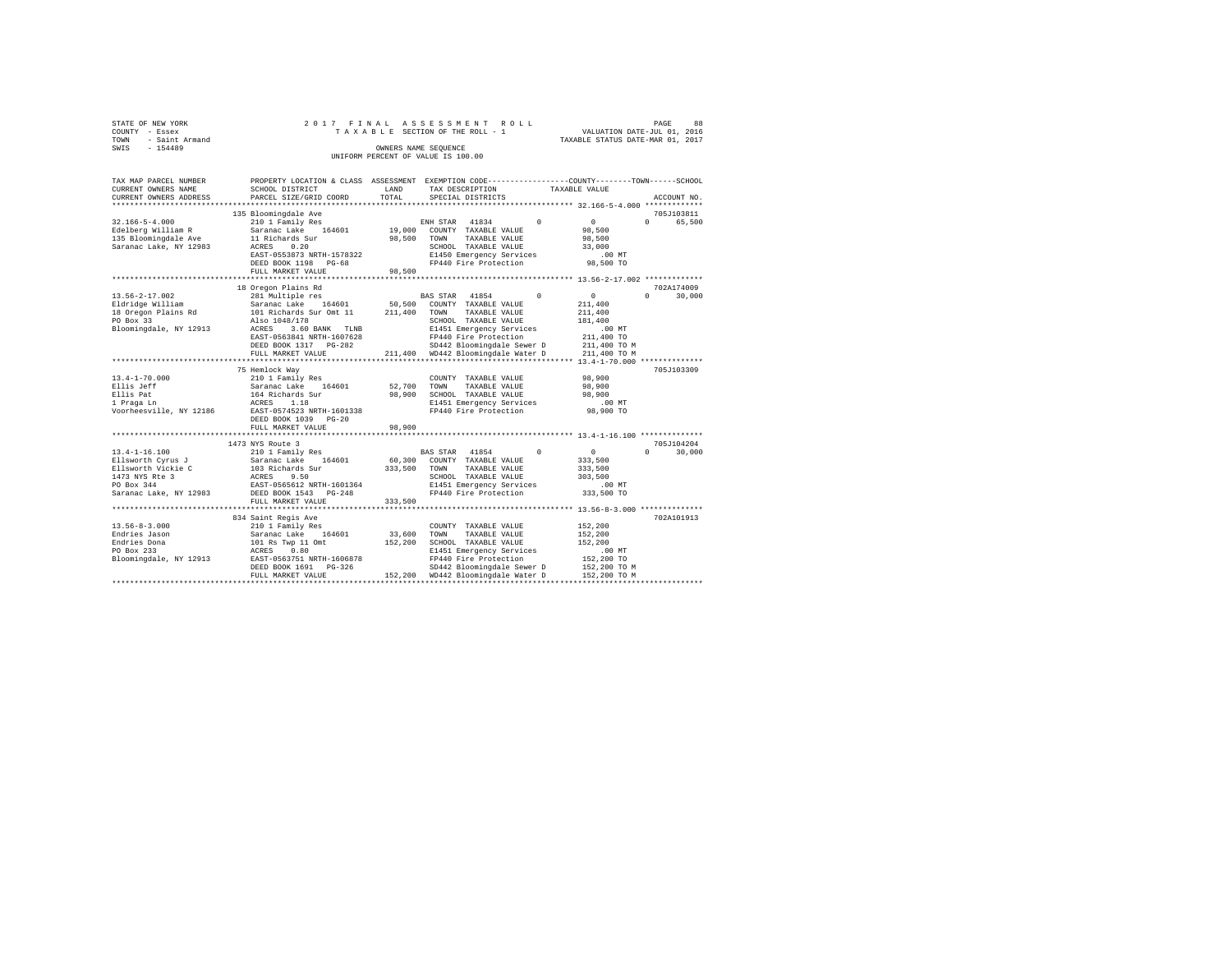| STATE OF NEW YORK   |  |  | 2017 FINAL ASSESSMENT ROLL         |                                  | PAGE | 88 |
|---------------------|--|--|------------------------------------|----------------------------------|------|----|
| COUNTY - Essex      |  |  | TAXABLE SECTION OF THE ROLL - 1    | VALUATION DATE-JUL 01, 2016      |      |    |
| TOWN - Saint Armand |  |  |                                    | TAXABLE STATUS DATE-MAR 01, 2017 |      |    |
| SWIS<br>$-154489$   |  |  | OWNERS NAME SEOUENCE               |                                  |      |    |
|                     |  |  | UNIFORM PERCENT OF VALUE IS 100.00 |                                  |      |    |
|                     |  |  |                                    |                                  |      |    |

| TAX MAP PARCEL NUMBER            | PROPERTY LOCATION & CLASS ASSESSMENT EXEMPTION CODE---------------COUNTY-------TOWN------SCHOOL                                                |             |                |                                                                    |                               |                                                                 |                    |
|----------------------------------|------------------------------------------------------------------------------------------------------------------------------------------------|-------------|----------------|--------------------------------------------------------------------|-------------------------------|-----------------------------------------------------------------|--------------------|
| CURRENT OWNERS NAME              | SCHOOL DISTRICT                                                                                                                                | LAND        |                |                                                                    | TAX DESCRIPTION TAXABLE VALUE |                                                                 |                    |
| CURRENT OWNERS ADDRESS           | PARCEL SIZE/GRID COORD                                                                                                                         | TOTAL       |                | SPECIAL DISTRICTS                                                  |                               |                                                                 | ACCOUNT NO.        |
| **********************           | ******************************                                                                                                                 |             |                |                                                                    |                               |                                                                 |                    |
|                                  | 135 Bloomingdale Ave                                                                                                                           |             |                |                                                                    |                               |                                                                 | 705J103811         |
| $32.166 - 5 - 4.000$             | 210 1 Family Res<br>Saranac Lake 164601                                                                                                        |             |                | ENH STAR 41834                                                     | $\Omega$                      | $\mathbf{0}$                                                    | $\Omega$<br>65,500 |
| Edelberg William R               |                                                                                                                                                |             |                | 19,000 COUNTY TAXABLE VALUE                                        |                               | 98,500                                                          |                    |
| 135 Bloomingdale Ave             |                                                                                                                                                | 98,500      | TOWN           | TAXABLE VALUE                                                      |                               | 98,500                                                          |                    |
| Saranac Lake, NY 12983           | 11 Richards Sur<br>ACRES 0.20                                                                                                                  |             |                | SCHOOL TAXABLE VALUE                                               |                               | 33,000                                                          |                    |
|                                  | EAST-0553873 NRTH-1578322                                                                                                                      |             |                | E1450 Emergency Services                                           |                               | $.00$ MT                                                        |                    |
|                                  | DEED BOOK 1198 PG-68                                                                                                                           |             |                | FP440 Fire Protection                                              |                               | 98,500 TO                                                       |                    |
|                                  | FULL MARKET VALUE                                                                                                                              | 98,500      |                |                                                                    |                               |                                                                 |                    |
|                                  |                                                                                                                                                |             |                |                                                                    |                               |                                                                 |                    |
|                                  | 18 Oregon Plains Rd                                                                                                                            |             |                |                                                                    |                               |                                                                 | 702A174009         |
| 13.56-2-17.002                   | 281 Multiple res                                                                                                                               |             | BAS STAR 41854 |                                                                    | $^{\circ}$                    | $\circ$                                                         | $\cap$<br>30,000   |
| Eldridge William                 |                                                                                                                                                | 50,500      |                | COUNTY TAXABLE VALUE                                               |                               | 211,400                                                         |                    |
|                                  | Saranac Lake 164601<br>101 Richards Sur Omt 11<br>Also 1048/178<br>ACRES 3.60 BANK TLNB                                                        |             |                |                                                                    |                               |                                                                 |                    |
| 18 Oregon Plains Rd              |                                                                                                                                                | 211,400     | TOWN           | TAXABLE VALUE                                                      |                               | 211,400                                                         |                    |
| PO Box 33                        |                                                                                                                                                |             |                | SCHOOL TAXABLE VALUE                                               |                               | 181,400                                                         |                    |
| Bloomingdale, NY 12913           | 3.60 BANK TLNB                                                                                                                                 |             |                | E1451 Emergency Services                                           |                               | $.00$ MT                                                        |                    |
|                                  | EAST-0563841 NRTH-1607628                                                                                                                      |             |                | FP440 Fire Protection                                              |                               | 211,400 TO<br>211,400 TO M                                      |                    |
|                                  |                                                                                                                                                |             |                | SD442 Bloomingdale Sewer D                                         |                               |                                                                 |                    |
|                                  | FULL MARKET VALUE                                                                                                                              |             |                |                                                                    |                               | 211,400 WD442 Bloomingdale Water D 211,400 TO M                 |                    |
|                                  |                                                                                                                                                |             |                |                                                                    |                               |                                                                 |                    |
|                                  | 75 Hemlock Way                                                                                                                                 |             |                |                                                                    |                               |                                                                 | 705J103309         |
| $13.4 - 1 - 70.000$              | 210 1 Family Res                                                                                                                               |             |                | COUNTY TAXABLE VALUE                                               |                               | 98,900                                                          |                    |
|                                  |                                                                                                                                                | 52,700      | TOWN           | TAXABLE VALUE                                                      |                               | 98,900                                                          |                    |
|                                  |                                                                                                                                                | 98,900      |                | SCHOOL TAXABLE VALUE                                               |                               | 98,900                                                          |                    |
|                                  |                                                                                                                                                |             |                |                                                                    |                               | .00 MT                                                          |                    |
|                                  |                                                                                                                                                |             |                | E1451 Emergency Services<br>FP440 Fire Protection                  |                               | $98,900$ TO                                                     |                    |
|                                  | DEED BOOK 1039 PG-20                                                                                                                           |             |                |                                                                    |                               |                                                                 |                    |
|                                  | FULL MARKET VALUE                                                                                                                              | 98,900      |                |                                                                    |                               |                                                                 |                    |
|                                  |                                                                                                                                                | *********** |                |                                                                    |                               | ********************************* 13.4-1-16.100 *************** |                    |
|                                  | 1473 NYS Route 3                                                                                                                               |             |                |                                                                    |                               |                                                                 | 705J104204         |
| $13.4 - 1 - 16.100$              |                                                                                                                                                |             |                |                                                                    | $\sim$ 0                      | $\sim$ 0                                                        | $\Omega$           |
|                                  |                                                                                                                                                |             | BAS STAR 41854 |                                                                    |                               |                                                                 | 30,000             |
| Ellsworth Cyrus J                |                                                                                                                                                |             |                | 60,300 COUNTY TAXABLE VALUE                                        |                               | 333,500                                                         |                    |
| Ellsworth Vickie C               |                                                                                                                                                |             | TOWN           | TAXABLE VALUE                                                      |                               | 333,500                                                         |                    |
| 1473 NYS Rte 3<br>$\overline{3}$ |                                                                                                                                                |             |                | SCHOOL TAXABLE VALUE                                               |                               | 303,500                                                         |                    |
| PO Box 344                       | 210 1 Family Res<br>Saranac Lake 164601 60,300<br>103 Richards Sur 333,500<br>RCRES 9.50<br>RAST-0566612 NRTH-1601364<br>DEED BOOK 1543 FG-248 |             |                | E1451 Emergency Services                                           |                               | $.00$ MT                                                        |                    |
| Saranac Lake, NY 12983           |                                                                                                                                                |             |                | FP440 Fire Protection                                              |                               | 333,500 TO                                                      |                    |
|                                  | FULL MARKET VALUE                                                                                                                              | 333,500     |                |                                                                    |                               |                                                                 |                    |
|                                  |                                                                                                                                                |             |                |                                                                    |                               |                                                                 |                    |
|                                  | 834 Saint Regis Ave                                                                                                                            |             |                |                                                                    |                               |                                                                 | 702A101913         |
| $13.56 - 8 - 3.000$              | 210 1 Family Res                                                                                                                               |             |                | COUNTY TAXABLE VALUE                                               |                               | 152,200                                                         |                    |
| Endries Jason                    |                                                                                                                                                | 33,600      | TOWN           | TAXABLE VALUE                                                      |                               | 152,200                                                         |                    |
| Endries Dona                     | Example Lake 164601<br>101 Rs Twp 11 Omt<br>ACRES 0.80<br>EAST-0563751 NRTH-1606878                                                            | 152,200     |                | SCHOOL TAXABLE VALUE                                               |                               | 152,200                                                         |                    |
| PO Box 233                       |                                                                                                                                                |             |                | E1451 Emergency Services                                           |                               |                                                                 |                    |
| Bloomingdale, NY 12913           |                                                                                                                                                |             |                | E1451 Emergency Services<br>FP440 Fire Protection                  |                               | .00 MT<br>152,200 TO                                            |                    |
|                                  | DEED BOOK 1691 PG-326                                                                                                                          |             |                |                                                                    |                               | SD442 Bloomingdale Sewer D 152,200 TO M                         |                    |
|                                  | FULL MARKET VALUE                                                                                                                              |             |                | 126 SD442 Bloomingdaie Sewer<br>152,200 WD442 Bloomingdale Water D |                               | 152,200 TO M                                                    |                    |
|                                  |                                                                                                                                                |             |                |                                                                    |                               |                                                                 |                    |
|                                  |                                                                                                                                                |             |                |                                                                    |                               |                                                                 |                    |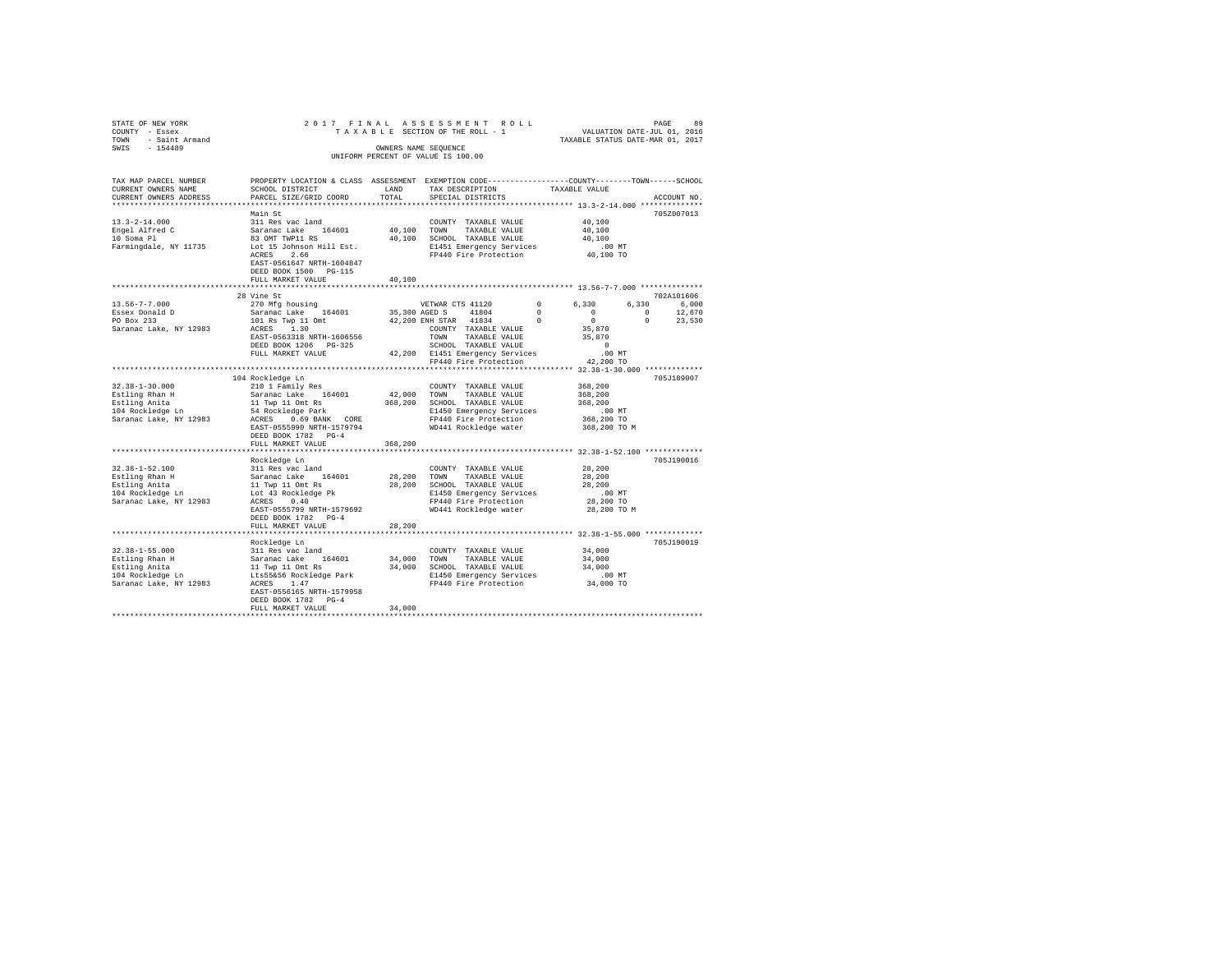| STATE OF NEW YORK<br>COUNTY - Essex                                                                                                                                                                                               |                                                                                                 |         | 2017 FINAL ASSESSMENT ROLL PAGE PAGE 89<br>TAXABLE SECTION OF THE ROLL - 1 VALUATION DATE-JUL 01, 2016<br>TAXABLE STATUS DATE-MAR 01, 2017 |                                                             |             |             |
|-----------------------------------------------------------------------------------------------------------------------------------------------------------------------------------------------------------------------------------|-------------------------------------------------------------------------------------------------|---------|--------------------------------------------------------------------------------------------------------------------------------------------|-------------------------------------------------------------|-------------|-------------|
| TOWN - Saint Armand                                                                                                                                                                                                               |                                                                                                 |         |                                                                                                                                            |                                                             |             |             |
| SWIS - 154489                                                                                                                                                                                                                     |                                                                                                 |         | OWNERS NAME SEOUENCE                                                                                                                       |                                                             |             |             |
|                                                                                                                                                                                                                                   |                                                                                                 |         | UNIFORM PERCENT OF VALUE IS 100.00                                                                                                         |                                                             |             |             |
|                                                                                                                                                                                                                                   |                                                                                                 |         |                                                                                                                                            |                                                             |             |             |
| TAX MAP PARCEL NUMBER                                                                                                                                                                                                             | PROPERTY LOCATION & CLASS ASSESSMENT EXEMPTION CODE---------------COUNTY-------TOWN------SCHOOL |         |                                                                                                                                            |                                                             |             |             |
| CURRENT OWNERS NAME                                                                                                                                                                                                               | SCHOOL DISTRICT                                                                                 | LAND    | TAX DESCRIPTION                                                                                                                            | TAXABLE VALUE                                               |             |             |
| CURRENT OWNERS ADDRESS                                                                                                                                                                                                            | PARCEL SIZE/GRID COORD                                                                          | TOTAL   | SPECIAL DISTRICTS                                                                                                                          |                                                             |             | ACCOUNT NO. |
|                                                                                                                                                                                                                                   |                                                                                                 |         |                                                                                                                                            |                                                             |             |             |
|                                                                                                                                                                                                                                   | Main St                                                                                         |         |                                                                                                                                            |                                                             |             | 705Z007013  |
| $13.3 - 2 - 14.000$                                                                                                                                                                                                               | 311 Res vac land                                                                                |         | COUNTY TAXABLE VALUE                                                                                                                       | 40,100                                                      |             |             |
|                                                                                                                                                                                                                                   | Saranac Lake 164601                                                                             |         | 40,100 TOWN TAXABLE VALUE                                                                                                                  | 40,100                                                      |             |             |
| Engel Alfred C<br>10 Soma Pl                                                                                                                                                                                                      | 83 OMT TWP11 RS                                                                                 |         | 40,100 SCHOOL TAXABLE VALUE                                                                                                                | 40,100                                                      |             |             |
| Farmingdale, NY 11735                                                                                                                                                                                                             | Lot 15 Johnson Hill Est.                                                                        |         |                                                                                                                                            |                                                             |             |             |
|                                                                                                                                                                                                                                   | ACRES 2.66                                                                                      |         | E1451 Emergency Services .00 MT<br>FP440 Fire Protection .00 TO                                                                            |                                                             |             |             |
|                                                                                                                                                                                                                                   | EAST-0561647 NRTH-1604847                                                                       |         |                                                                                                                                            |                                                             |             |             |
|                                                                                                                                                                                                                                   | DEED BOOK 1500 PG-115                                                                           |         |                                                                                                                                            |                                                             |             |             |
|                                                                                                                                                                                                                                   | FULL MARKET VALUE                                                                               | 40,100  |                                                                                                                                            |                                                             |             |             |
|                                                                                                                                                                                                                                   |                                                                                                 |         |                                                                                                                                            |                                                             |             |             |
|                                                                                                                                                                                                                                   | 28 Vine St                                                                                      |         |                                                                                                                                            |                                                             |             | 702A101606  |
| $13.56 - 7 - 7.000$                                                                                                                                                                                                               | 270 Mfg housing                                                                                 |         | VETWAR CTS 41120                                                                                                                           | $\sim$ 0<br>6.330                                           | 6,330 6,000 |             |
| Essex Donald D<br>PO Box 233                                                                                                                                                                                                      |                                                                                                 |         |                                                                                                                                            | $\sim$ 0                                                    | $\sim$ 0    | 12,670      |
|                                                                                                                                                                                                                                   |                                                                                                 |         |                                                                                                                                            | $\sim$ 0                                                    | $\sim$ 0    | 23,530      |
| Saranac Lake, NY 12983                                                                                                                                                                                                            |                                                                                                 |         | COUNTY TAXABLE VALUE<br>TOWN TAXABLE VALUE<br>SCHOOL TAXABLE VALUE                                                                         | 35,870<br>35,870                                            |             |             |
|                                                                                                                                                                                                                                   | EAST-0563318 NRTH-1606556                                                                       |         |                                                                                                                                            |                                                             |             |             |
|                                                                                                                                                                                                                                   | DEED BOOK 1206 PG-325                                                                           |         |                                                                                                                                            | $\sim$ 0                                                    |             |             |
|                                                                                                                                                                                                                                   | FULL MARKET VALUE                                                                               |         | 42,200 E1451 Emergency Services<br>FP440 Fire Protection                                                                                   | $.00$ MT                                                    |             |             |
|                                                                                                                                                                                                                                   |                                                                                                 |         |                                                                                                                                            | 42,200 TO                                                   |             |             |
|                                                                                                                                                                                                                                   | 104 Rockledge Ln                                                                                |         |                                                                                                                                            |                                                             |             | 705J189007  |
| $32.38 - 1 - 30.000$                                                                                                                                                                                                              | 210 1 Family Res                                                                                |         | COUNTY TAXABLE VALUE                                                                                                                       | 368,200                                                     |             |             |
|                                                                                                                                                                                                                                   |                                                                                                 |         | 42,000 TOWN TAXABLE VALUE                                                                                                                  | 368,200                                                     |             |             |
|                                                                                                                                                                                                                                   |                                                                                                 |         | 368,200 SCHOOL TAXABLE VALUE                                                                                                               | 368,200                                                     |             |             |
| Estling Rhan H<br>Estling Anita<br>104 Rockledge Ln                                                                                                                                                                               | Saranac Lake 164601<br>11 Twp 11 Omt Rs<br>54 Rockledge Park                                    |         | E1450 Emergency Services                                                                                                                   | .00 MT                                                      |             |             |
| Saranac Lake, NY 12983                                                                                                                                                                                                            | ACRES 0.69 BANK CORE                                                                            |         | FP440 Fire Protection                                                                                                                      | 368,200 TO                                                  |             |             |
|                                                                                                                                                                                                                                   | EAST-0555990 NRTH-1579794                                                                       |         | FP440 FITE FIGURES<br>WD441 Rockledge water                                                                                                | 368,200 TO M                                                |             |             |
|                                                                                                                                                                                                                                   | DEED BOOK 1782 PG-4                                                                             |         |                                                                                                                                            |                                                             |             |             |
|                                                                                                                                                                                                                                   | FULL MARKET VALUE                                                                               | 368,200 |                                                                                                                                            |                                                             |             |             |
|                                                                                                                                                                                                                                   | *************************                                                                       |         |                                                                                                                                            | ****************************** 32.38-1-52.100 ************* |             |             |
|                                                                                                                                                                                                                                   |                                                                                                 |         |                                                                                                                                            |                                                             |             | 705J190016  |
|                                                                                                                                                                                                                                   |                                                                                                 |         |                                                                                                                                            | 28,200                                                      |             |             |
|                                                                                                                                                                                                                                   |                                                                                                 |         |                                                                                                                                            | 28,200                                                      |             |             |
|                                                                                                                                                                                                                                   |                                                                                                 |         |                                                                                                                                            | 28,200                                                      |             |             |
|                                                                                                                                                                                                                                   |                                                                                                 |         |                                                                                                                                            | $.00$ MT                                                    |             |             |
|                                                                                                                                                                                                                                   |                                                                                                 |         |                                                                                                                                            | 28,200 TO                                                   |             |             |
|                                                                                                                                                                                                                                   |                                                                                                 |         |                                                                                                                                            | 28,200 TO M                                                 |             |             |
|                                                                                                                                                                                                                                   | DEED BOOK 1782 PG-4                                                                             |         |                                                                                                                                            |                                                             |             |             |
|                                                                                                                                                                                                                                   | FULL MARKET VALUE                                                                               | 28,200  |                                                                                                                                            |                                                             |             |             |
|                                                                                                                                                                                                                                   |                                                                                                 |         |                                                                                                                                            |                                                             |             |             |
|                                                                                                                                                                                                                                   | Rockledge Ln                                                                                    |         |                                                                                                                                            |                                                             |             | 705J190019  |
| $32.38 - 1 - 55.000$                                                                                                                                                                                                              | 311 Res vac land                                                                                |         | COUNTY TAXABLE VALUE                                                                                                                       | 34,000                                                      |             |             |
|                                                                                                                                                                                                                                   |                                                                                                 |         |                                                                                                                                            |                                                             |             |             |
| 2011 11 2011 11 2012 11 2012 11 2013 11 2014 11 2014 11 2014 11 2014 11 2014 11 2014 11 2014 11 2015<br>Estling Rhan H 3 2aranac Lake 164601 34,000 SCNID TAXABLE VALUE 34,000<br>Estling Anita 11 2014 Rockledge Park 21450 E150 |                                                                                                 |         |                                                                                                                                            |                                                             |             |             |
|                                                                                                                                                                                                                                   |                                                                                                 |         |                                                                                                                                            |                                                             |             |             |
|                                                                                                                                                                                                                                   | EAST-0556165 NRTH-1579958                                                                       |         |                                                                                                                                            |                                                             |             |             |
|                                                                                                                                                                                                                                   | DEED BOOK 1782 PG-4                                                                             |         |                                                                                                                                            |                                                             |             |             |
|                                                                                                                                                                                                                                   | FULL MARKET VALUE                                                                               | 34,000  |                                                                                                                                            |                                                             |             |             |
|                                                                                                                                                                                                                                   |                                                                                                 |         |                                                                                                                                            |                                                             |             |             |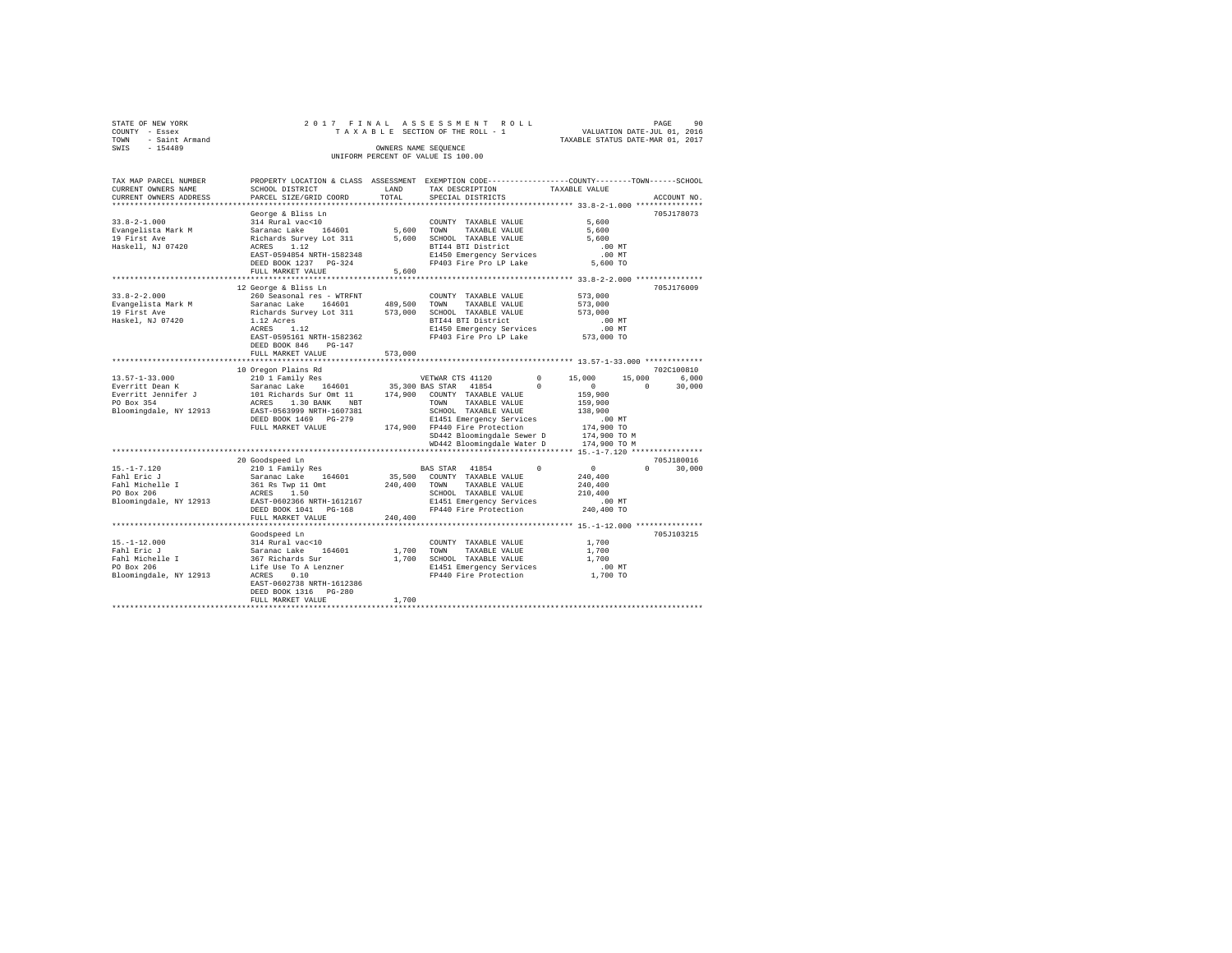|                | STATE OF NEW YORK   |  |  |  |  | 2017 FINAL ASSESSMENT ROLL         |  |  |  |  |  |                                  |                             |  | PAGE | -90 |
|----------------|---------------------|--|--|--|--|------------------------------------|--|--|--|--|--|----------------------------------|-----------------------------|--|------|-----|
| COUNTY - Essex |                     |  |  |  |  | TAXABLE SECTION OF THE ROLL - 1    |  |  |  |  |  |                                  | VALUATION DATE-JUL 01, 2016 |  |      |     |
|                | TOWN - Saint Armand |  |  |  |  |                                    |  |  |  |  |  | TAXABLE STATUS DATE-MAR 01, 2017 |                             |  |      |     |
| SWIS           | $-154489$           |  |  |  |  | OWNERS NAME SEOUENCE               |  |  |  |  |  |                                  |                             |  |      |     |
|                |                     |  |  |  |  | UNIFORM PERCENT OF VALUE IS 100.00 |  |  |  |  |  |                                  |                             |  |      |     |

| TAX MAP PARCEL NUMBER<br>CURRENT OWNERS NAME     | SCHOOL DISTRICT                                                                                   | LAND         | TAX DESCRIPTION                                        | PROPERTY LOCATION & CLASS ASSESSMENT EXEMPTION CODE----------------COUNTY-------TOWN------SCHOOL<br>TAXABLE VALUE |       |
|--------------------------------------------------|---------------------------------------------------------------------------------------------------|--------------|--------------------------------------------------------|-------------------------------------------------------------------------------------------------------------------|-------|
| CURRENT OWNERS ADDRESS                           | PARCEL SIZE/GRID COORD                                                                            | TOTAL        | SPECIAL DISTRICTS                                      | ACCOUNT NO.                                                                                                       |       |
|                                                  |                                                                                                   |              |                                                        |                                                                                                                   |       |
|                                                  | George & Bliss Ln                                                                                 |              |                                                        | 705J178073                                                                                                        |       |
| $33.8 - 2 - 1.000$                               | 314 Rural vac<10                                                                                  |              | COUNTY TAXABLE VALUE                                   | 5,600                                                                                                             |       |
| Evangelista Mark M                               | Saranac Lake 164601                                                                               | 5,600        | TOWN<br>TAXABLE VALUE                                  | 5,600                                                                                                             |       |
| 19 First Ave                                     | Richards Survey Lot 311                                                                           | 5,600        | SCHOOL TAXABLE VALUE                                   | 5,600                                                                                                             |       |
| Haskell, NJ 07420                                | ACRES<br>1.12                                                                                     |              | BTI44 BTI District                                     | .00MT                                                                                                             |       |
|                                                  | EAST-0594854 NRTH-1582348                                                                         |              | E1450 Emergency Services<br>FP403 Fire Pro LP Lake     | $.00$ MT                                                                                                          |       |
|                                                  | DEED BOOK 1237 PG-324<br>FULL MARKET VALUE                                                        | 5,600        |                                                        | 5,600 TO                                                                                                          |       |
|                                                  | ***************************                                                                       |              |                                                        | *********************************** 33.8-2-2.000 ****************                                                 |       |
|                                                  | 12 George & Bliss Ln                                                                              |              |                                                        | 705J176009                                                                                                        |       |
| $33.8 - 2 - 2.000$                               | 260 Seasonal res - WTRFNT                                                                         |              | COUNTY TAXABLE VALUE                                   | 573,000                                                                                                           |       |
| Evangelista Mark M                               | Saranac Lake 164601                                                                               |              | 489,500 TOWN TAXABLE VALUE                             | 573,000                                                                                                           |       |
| 19 First Ave                                     | Richards Survey Lot 311                                                                           | 573,000      | SCHOOL TAXABLE VALUE                                   | 573,000                                                                                                           |       |
| Haskel, NJ 07420                                 | 1.12 Acres                                                                                        |              | BTI44 BTI District                                     | $.00$ MT                                                                                                          |       |
|                                                  | ACRES<br>1.12                                                                                     |              | E1450 Emergency Services                               |                                                                                                                   |       |
|                                                  | EAST-0595161 NRTH-1582362                                                                         |              | FP403 Fire Pro LP Lake                                 | .00 MT<br>573,000 TO                                                                                              |       |
|                                                  | DEED BOOK 846<br>$PG-147$                                                                         |              |                                                        |                                                                                                                   |       |
|                                                  | FULL MARKET VALUE                                                                                 | 573,000      |                                                        |                                                                                                                   |       |
|                                                  |                                                                                                   |              |                                                        |                                                                                                                   |       |
|                                                  | 10 Oregon Plains Rd                                                                               |              |                                                        | 702C100810                                                                                                        |       |
| $13.57 - 1 - 33.000$                             | 210 1 Family Res                                                                                  |              | VETWAR CTS 41120                                       | $0 \t 15,000$<br>15,000                                                                                           | 6,000 |
| Everritt Dean K                                  | Saranac Lake 164601 35,300 BAS STAR 41854<br>101 Richards Sur Omt 11 174,900 COUNTY TAXABLE VALUE |              |                                                        | $\Omega$<br>$\sim$ 0<br>$\Omega$<br>30,000                                                                        |       |
| Everritt Jennifer J<br>PO Box 354                | ACRES 1.30 BANK NBT                                                                               |              | TAXABLE VALUE                                          | 159,900                                                                                                           |       |
| Bloomingdale, NY 12913 EAST-0563999 NRTH-1607381 |                                                                                                   |              | TOWN<br>SCHOOL TAXABLE VALUE                           | 159,900<br>138,900                                                                                                |       |
|                                                  | DEED BOOK 1469 PG-279                                                                             |              | E1451 Emergency Services                               | .00 MT                                                                                                            |       |
|                                                  | FULL MARKET VALUE                                                                                 |              | 174,900 FP440 Fire Protection                          | 174,900 TO                                                                                                        |       |
|                                                  |                                                                                                   |              | SD442 Bloomingdale Sewer D                             | 174,900 TO M                                                                                                      |       |
|                                                  |                                                                                                   |              | WD442 Bloomingdale Water D                             | 174,900 TO M                                                                                                      |       |
|                                                  |                                                                                                   |              |                                                        |                                                                                                                   |       |
|                                                  | 20 Goodspeed Ln                                                                                   |              |                                                        | 705J180016                                                                                                        |       |
| $15. - 1 - 7.120$                                | 210 1 Family Res                                                                                  |              | BAS STAR 41854                                         | $^{\circ}$<br>$\sim$ 0<br>$\Omega$<br>30,000                                                                      |       |
| Fahl Eric J                                      | Saranac Lake 164601                                                                               |              | 35,500 COUNTY TAXABLE VALUE                            | 240,400                                                                                                           |       |
| Fani <i>missile</i> I<br>Tahl Michelle I         | $361$ Rs Twp 11 Omt                                                                               | 240,400 TOWN | TAXABLE VALUE                                          | 240,400                                                                                                           |       |
| PO Box 206                                       | ACRES<br>1.50                                                                                     |              | SCHOOL TAXABLE VALUE                                   | 210,400                                                                                                           |       |
| Bloomingdale, NY 12913                           | EAST-0602366 NRTH-1612167                                                                         |              | E1451 Emergency Services                               | $.00$ MT                                                                                                          |       |
|                                                  | DEED BOOK 1041 PG-168                                                                             |              | FP440 Fire Protection 240,400 TO                       |                                                                                                                   |       |
|                                                  | FULL MARKET VALUE                                                                                 | 240,400      |                                                        |                                                                                                                   |       |
|                                                  |                                                                                                   |              |                                                        |                                                                                                                   |       |
|                                                  | Goodspeed Ln                                                                                      |              |                                                        | 705J103215                                                                                                        |       |
| $15. - 1 - 12.000$                               | 314 Rural vac<10                                                                                  |              | COUNTY TAXABLE VALUE                                   | 1,700                                                                                                             |       |
| Fahl Eric J                                      | Sir Kurar Vackio<br>Saranac Lake 164601<br>367 Richards Sur                                       |              | 1,700 TOWN<br>TAXABLE VALUE                            | 1,700                                                                                                             |       |
| Fahl Michelle I<br>PO Box 206                    |                                                                                                   |              | 1,700 SCHOOL TAXABLE VALUE<br>E1451 Emergency Services | 1,700<br>$.00$ MT                                                                                                 |       |
| Bloomingdale, NY 12913                           | Life Use To A Lenzner<br>ACRES     0.10<br>0.10<br>ACRES                                          |              | FP440 Fire Protection                                  | 1,700 TO                                                                                                          |       |
|                                                  | EAST-0602738 NRTH-1612386                                                                         |              |                                                        |                                                                                                                   |       |
|                                                  | DEED BOOK 1316 PG-280                                                                             |              |                                                        |                                                                                                                   |       |
|                                                  | FULL MARKET VALUE                                                                                 | 1,700        |                                                        |                                                                                                                   |       |
|                                                  |                                                                                                   |              |                                                        |                                                                                                                   |       |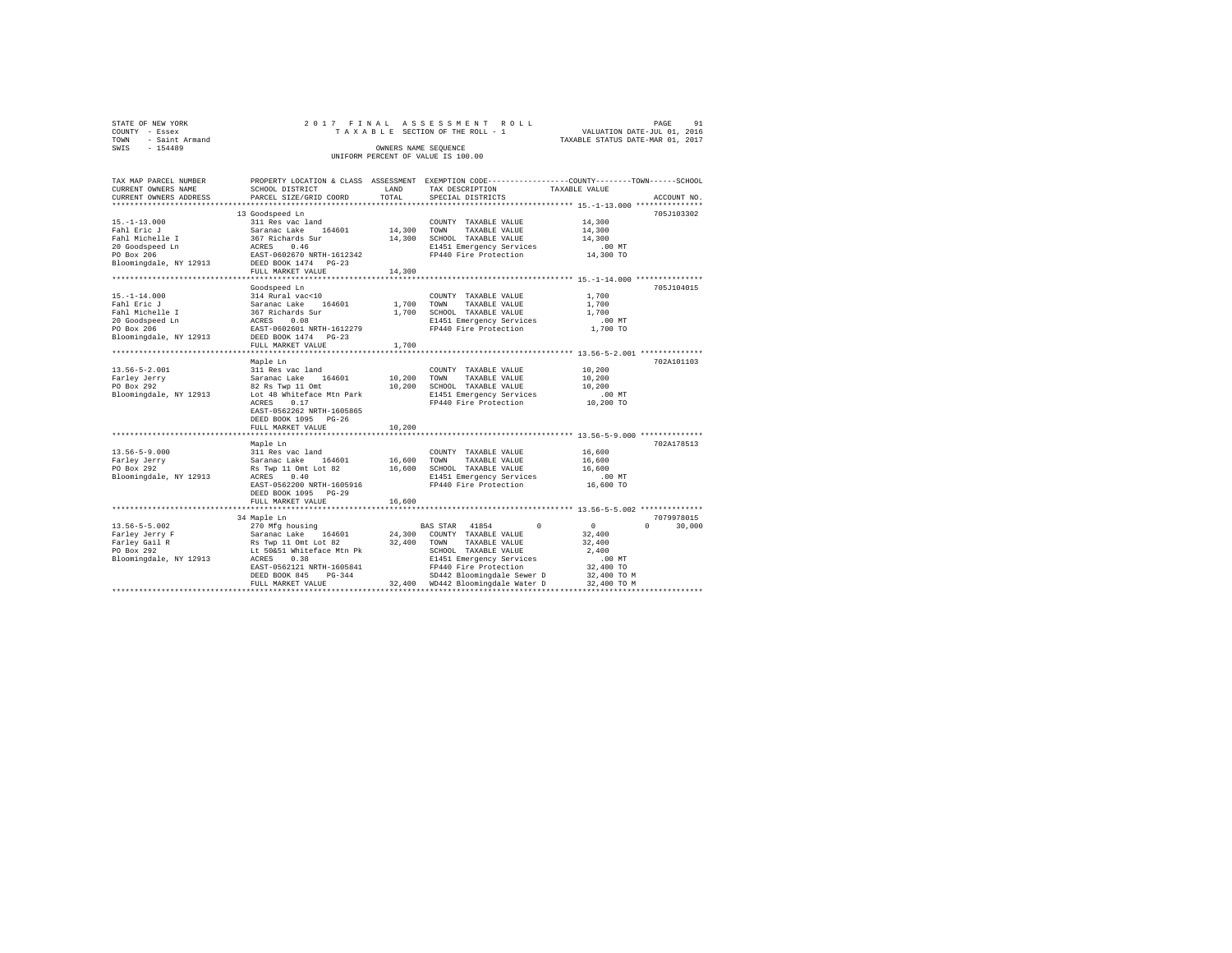| STATE OF NEW YORK   |  |  | 2017 FINAL ASSESSMENT ROLL         |                                  | PAGE | 91 |
|---------------------|--|--|------------------------------------|----------------------------------|------|----|
|                     |  |  |                                    |                                  |      |    |
| COUNTY - Essex      |  |  | TAXABLE SECTION OF THE ROLL - 1    | VALUATION DATE-JUL 01, 2016      |      |    |
| TOWN - Saint Armand |  |  |                                    | TAXABLE STATUS DATE-MAR 01, 2017 |      |    |
| SWTS<br>$-154489$   |  |  | OWNERS NAME SEOUENCE               |                                  |      |    |
|                     |  |  | UNIFORM PERCENT OF VALUE IS 100.00 |                                  |      |    |
|                     |  |  |                                    |                                  |      |    |

| TAX MAP PARCEL NUMBER   |                                                   |        | PROPERTY LOCATION & CLASS ASSESSMENT EXEMPTION CODE----------------COUNTY-------TOWN------SCHOOL |               |                    |
|-------------------------|---------------------------------------------------|--------|--------------------------------------------------------------------------------------------------|---------------|--------------------|
| CURRENT OWNERS NAME     | SCHOOL DISTRICT                                   | LAND   | TAX DESCRIPTION                                                                                  | TAXABLE VALUE |                    |
| CURRENT OWNERS ADDRESS  | PARCEL SIZE/GRID COORD                            | TOTAL  | SPECIAL DISTRICTS                                                                                |               | ACCOUNT NO.        |
| *********************** | *****************************                     |        |                                                                                                  |               |                    |
|                         | 13 Goodspeed Ln                                   |        |                                                                                                  |               | 705J103302         |
| $15. - 1 - 13.000$      | 311 Res vac land                                  |        | COUNTY TAXABLE VALUE                                                                             | 14,300        |                    |
| Fahl Eric J             | Saranac Lake<br>164601                            | 14,300 | TOWN<br>TAXABLE VALUE                                                                            | 14,300        |                    |
| Fahl Michelle I         | 367 Richards Sur                                  | 14,300 | SCHOOL TAXABLE VALUE                                                                             | 14,300        |                    |
| 20 Goodspeed Ln         | ACRES<br>0.46                                     |        | E1451 Emergency Services                                                                         | $.00$ MT      |                    |
| PO Box 206              | EAST-0602670 NRTH-1612342                         |        | FP440 Fire Protection                                                                            | 14,300 TO     |                    |
| Bloomingdale, NY 12913  | DEED BOOK 1474 PG-23                              |        |                                                                                                  |               |                    |
|                         | FULL MARKET VALUE                                 | 14,300 |                                                                                                  |               |                    |
|                         | ************************                          |        | **************************** 15.-1-14.000 ****************                                       |               |                    |
|                         | Goodspeed Ln                                      |        |                                                                                                  |               | 705J104015         |
| $15. - 1 - 14.000$      | 314 Rural vac<10                                  |        | COUNTY TAXABLE VALUE                                                                             | 1,700         |                    |
| Fahl Eric J             | Saranac Lake<br>164601                            | 1,700  | TOWN<br>TAXABLE VALUE                                                                            | 1,700         |                    |
| Fahl Michelle I         |                                                   | 1,700  | SCHOOL TAXABLE VALUE                                                                             | 1,700         |                    |
| 20 Goodspeed Ln         | 367 Richards Sur<br>ACRES 0.08                    |        | E1451 Emergency Services                                                                         | $.00$ MT      |                    |
| PO Box 206              | EAST-0602601 NRTH-1612279                         |        | FP440 Fire Protection                                                                            | 1,700 TO      |                    |
| Bloomingdale, NY 12913  | DEED BOOK 1474 PG-23                              |        |                                                                                                  |               |                    |
|                         | FULL MARKET VALUE                                 | 1,700  |                                                                                                  |               |                    |
|                         |                                                   |        |                                                                                                  |               |                    |
|                         | Maple Ln                                          |        |                                                                                                  |               | 702A101103         |
| $13.56 - 5 - 2.001$     | 311 Res vac land                                  |        | COUNTY TAXABLE VALUE                                                                             | 10,200        |                    |
| Farley Jerry            | Saranac Lake 164601                               |        | 10,200 TOWN<br>TAXABLE VALUE                                                                     | 10,200        |                    |
| PO Box 292              | 82 Rs Twp 11 Omt                                  | 10,200 | SCHOOL TAXABLE VALUE                                                                             | 10,200        |                    |
| Bloomingdale, NY 12913  | Lot 48 Whiteface Mtn Park                         |        | E1451 Emergency Services                                                                         | $.00$ MT      |                    |
|                         | ACRES<br>0.17                                     |        | FP440 Fire Protection                                                                            | 10,200 TO     |                    |
|                         | EAST-0562262 NRTH-1605865                         |        |                                                                                                  |               |                    |
|                         | DEED BOOK 1095 PG-26                              |        |                                                                                                  |               |                    |
|                         | FULL MARKET VALUE                                 | 10,200 |                                                                                                  |               |                    |
|                         | *********************                             |        | ************************* 13.56-5-9.000 **************                                           |               |                    |
|                         | Maple Ln                                          |        |                                                                                                  |               | 702A178513         |
| $13.56 - 5 - 9.000$     | 311 Res vac land                                  |        | COUNTY TAXABLE VALUE                                                                             | 16,600        |                    |
| Farley Jerry            | Saranac Lake 164601                               | 16,600 | TAXABLE VALUE<br>TOWN                                                                            | 16,600        |                    |
| PO Box 292              | Rs Twp 11 Omt Lot 82                              |        | 16,600 SCHOOL TAXABLE VALUE                                                                      | 16,600        |                    |
| Bloomingdale, NY 12913  | ACRES<br>0.40                                     |        | E1451 Emergency Services                                                                         | $.00$ MT      |                    |
|                         | EAST-0562200 NRTH-1605916                         |        | FP440 Fire Protection                                                                            | 16,600 TO     |                    |
|                         | DEED BOOK 1095 PG-29                              |        |                                                                                                  |               |                    |
|                         | FULL MARKET VALUE                                 | 16,600 |                                                                                                  |               |                    |
|                         | **************************                        |        |                                                                                                  |               |                    |
|                         | 34 Maple Ln                                       |        |                                                                                                  |               | 7079978015         |
| $13.56 - 5 - 5.002$     | 270 Mfg housing                                   |        | $\Omega$<br>BAS STAR 41854                                                                       | $\mathbf{0}$  | $\Omega$<br>30,000 |
| Farley Jerry F          | Saranac Lake 164601                               |        | 24,300 COUNTY TAXABLE VALUE                                                                      | 32,400        |                    |
| Farley Gail R           |                                                   | 32,400 | TOWN<br>TAXABLE VALUE                                                                            | 32,400        |                    |
| PO Box 292              | Rs Twp 11 Omt Lot 82<br>Lt 50&51 Whiteface Mtn Pk |        | SCHOOL TAXABLE VALUE                                                                             | 2,400         |                    |
| Bloomingdale, NY 12913  | ACRES<br>0.38                                     |        | E1451 Emergency Services                                                                         | .00MT         |                    |
|                         | EAST-0562121 NRTH-1605841                         |        | FP440 Fire Protection                                                                            | 32,400 TO     |                    |
|                         | DEED BOOK 845<br>$PG-344$                         |        | SD442 Bloomingdale Sewer D                                                                       | 32,400 TO M   |                    |
|                         | FULL MARKET VALUE                                 |        | 32,400 WD442 Bloomingdale Water D                                                                | 32,400 TO M   |                    |
|                         |                                                   |        |                                                                                                  |               |                    |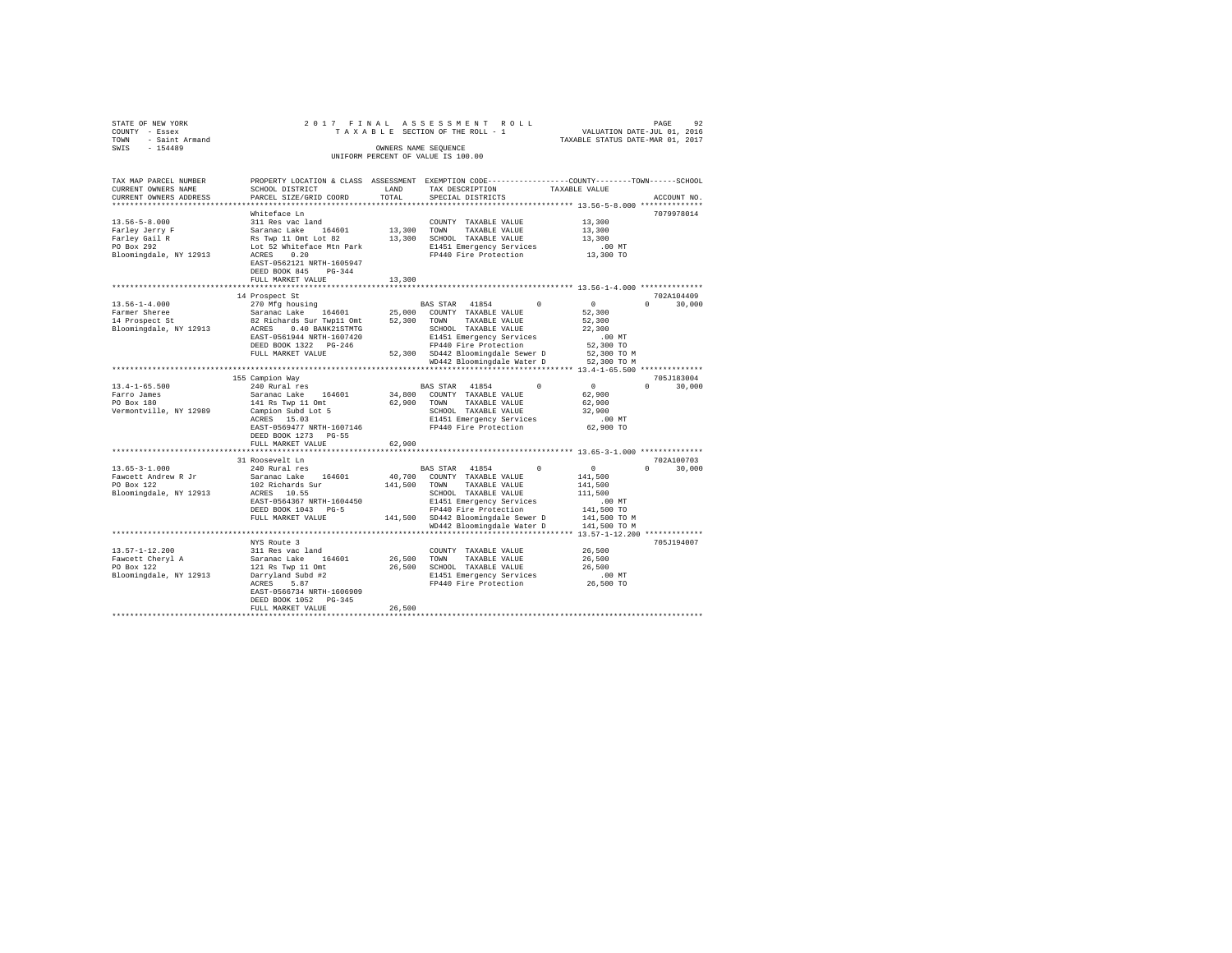| STATE OF NEW YORK                        |                                                     |        |                                                                                  |                                                                                                 |
|------------------------------------------|-----------------------------------------------------|--------|----------------------------------------------------------------------------------|-------------------------------------------------------------------------------------------------|
| COUNTY - Essex                           |                                                     |        |                                                                                  |                                                                                                 |
| TOWN - Saint Armand                      |                                                     |        |                                                                                  |                                                                                                 |
| $-154489$<br>SWIS                        |                                                     |        | OWNERS NAME SEOUENCE                                                             |                                                                                                 |
|                                          |                                                     |        | UNIFORM PERCENT OF VALUE IS 100.00                                               |                                                                                                 |
|                                          |                                                     |        |                                                                                  |                                                                                                 |
| TAX MAP PARCEL NUMBER                    |                                                     |        |                                                                                  | PROPERTY LOCATION & CLASS ASSESSMENT EXEMPTION CODE---------------COUNTY-------TOWN------SCHOOL |
| CURRENT OWNERS NAME                      | SCHOOL DISTRICT                                     | LAND   | TAX DESCRIPTION                                                                  | TAXABLE VALUE                                                                                   |
| CURRENT OWNERS ADDRESS                   | PARCEL SIZE/GRID COORD                              | TOTAL  | SPECIAL DISTRICTS                                                                | ACCOUNT NO.                                                                                     |
|                                          |                                                     |        |                                                                                  |                                                                                                 |
|                                          | Whiteface Ln                                        |        |                                                                                  | 7079978014                                                                                      |
| $13.56 - 5 - 8.000$                      | 311 Res vac land                                    |        | COUNTY TAXABLE VALUE                                                             | 13,300                                                                                          |
| Farley Jerry F                           | Saranac Lake 164601                                 |        | 13,300 TOWN TAXABLE VALUE                                                        | 13,300                                                                                          |
| Farley Gail R<br>PO Box 292              | Rs Twp 11 Omt Lot 82                                |        | 13,300 SCHOOL TAXABLE VALUE                                                      | 13,300                                                                                          |
|                                          | Lot 52 Whiteface Mtn Park                           |        | E1451 Emergency Services                                                         | .00MT                                                                                           |
| Bloomingdale, NY 12913                   | ACRES 0.20                                          |        | FP440 Fire Protection                                                            | 13,300 TO                                                                                       |
|                                          | EAST-0562121 NRTH-1605947                           |        |                                                                                  |                                                                                                 |
|                                          | DEED BOOK 845 PG-344                                |        |                                                                                  |                                                                                                 |
|                                          | FULL MARKET VALUE                                   | 13,300 |                                                                                  |                                                                                                 |
|                                          |                                                     |        |                                                                                  |                                                                                                 |
|                                          | 14 Prospect St                                      |        |                                                                                  | 702A104409                                                                                      |
| $13.56 - 1 - 4.000$                      | 270 Mfg housing                                     |        | BAS STAR 41854<br>$\sim$                                                         | $\sim$ 0<br>$0 \t 30.000$                                                                       |
| Farmer Sheree                            | Saranac Lake 164601                                 |        | 25,000 COUNTY TAXABLE VALUE                                                      | 52,300                                                                                          |
| 14 Prospect St                           | 82 Richards Sur Twp11 Omt 52,300 TOWN TAXABLE VALUE |        |                                                                                  | 52,300                                                                                          |
| Bloomingdale, NY 12913                   | ACRES 0.40 BANK21STMTG                              |        | SCHOOL TAXABLE VALUE<br>E1451 Emergency Services<br>FP440 Fire Protection        | 22,300                                                                                          |
|                                          | EAST-0561944 NRTH-1607420                           |        |                                                                                  | .00MT                                                                                           |
|                                          | DEED BOOK 1322 PG-246                               |        |                                                                                  | 52,300 TO                                                                                       |
|                                          | FULL MARKET VALUE                                   |        | 52,300 SD442 Bloomingdale Sewer D                                                | 52,300 TO M                                                                                     |
|                                          |                                                     |        | WD442 Bloomingdale Water D                                                       | 52,300 TO M                                                                                     |
|                                          |                                                     |        |                                                                                  |                                                                                                 |
|                                          | 155 Campion Way                                     |        |                                                                                  | 705J183004                                                                                      |
| $13.4 - 1 - 65.500$                      | 240 Rural res                                       |        | BAS STAR 41854<br>$\Omega$                                                       | $\sim$ 0<br>$0 \t 30,000$                                                                       |
| Farro James                              | Saranac Lake 164601                                 |        | 34,800 COUNTY TAXABLE VALUE                                                      | 62,900                                                                                          |
| PO Box 180                               | 141 Rs Twp 11 Omt                                   |        | 62,900 TOWN TAXABLE VALUE                                                        | 62,900                                                                                          |
| Vermontville, NY 12989                   |                                                     |        | SCHOOL TAXABLE VALUE                                                             | 32,900                                                                                          |
|                                          | Campion Subd Lot 5<br>ACRES 15.03                   |        | E1451 Emergency Services                                                         | .00 MT                                                                                          |
|                                          | EAST-0569477 NRTH-1607146                           |        | FP440 Fire Protection                                                            | 62,900 TO                                                                                       |
|                                          | DEED BOOK 1273 PG-55                                |        |                                                                                  |                                                                                                 |
|                                          | FULL MARKET VALUE                                   | 62,900 |                                                                                  |                                                                                                 |
|                                          | **********************                              |        |                                                                                  | **************************** 13.65-3-1.000 **************                                       |
|                                          | 31 Roosevelt Ln                                     |        |                                                                                  | 702A100703                                                                                      |
| $13.65 - 3 - 1.000$                      | 240 Rural res                                       |        | BAS STAR 41854<br>$\Omega$                                                       | $\sim$ 0<br>$0 \t 30,000$                                                                       |
| Fawcett Andrew R Jr                      | Saranac Lake 164601                                 |        | 40,700 COUNTY TAXABLE VALUE                                                      | 141,500                                                                                         |
| PO Box 122                               | 102 Richards Sur<br>ACRES 10.55                     |        | 141,500 TOWN TAXABLE VALUE                                                       | 141,500                                                                                         |
| Bloomingdale, NY 12913                   |                                                     |        | SCHOOL TAXABLE VALUE                                                             | 111,500                                                                                         |
|                                          | EAST-0564367 NRTH-1604450                           |        | E1451 Emergency Services<br>FP440 Fire Protection                                | $.00$ MT                                                                                        |
|                                          | DEED BOOK 1043 PG-5                                 |        |                                                                                  | 141,500 TO                                                                                      |
|                                          | FULL MARKET VALUE                                   |        | 141,500 SD442 Bloomingdale Sewer D                                               | 141,500 TO M                                                                                    |
|                                          |                                                     |        | WD442 Bloomingdale Water D                                                       | 141,500 TO M                                                                                    |
|                                          |                                                     |        |                                                                                  |                                                                                                 |
|                                          | NYS Route 3                                         |        |                                                                                  | 705J194007                                                                                      |
| $13.57 - 1 - 12.200$                     | 311 Res vac land                                    |        | COUNTY TAXABLE VALUE                                                             | 26,500                                                                                          |
| Fawcett Cheryl A<br>PO Box 122           | Saranac Lake 164601<br>121 Rs Twp 11 Omt            |        | 26,500 TOWN TAXABLE VALUE                                                        | 26,500                                                                                          |
|                                          |                                                     |        |                                                                                  | 26,500                                                                                          |
| Bloomingdale, NY 12913 Darryland Subd #2 |                                                     |        | 26,500 SCHOOL TAXABLE VALUE<br>E1451 Emergency Services<br>FP440 Fire Protection | $.00$ MT                                                                                        |
|                                          | ACRES 5.87                                          |        |                                                                                  | 26,500 TO                                                                                       |
|                                          | EAST-0566734 NRTH-1606909                           |        |                                                                                  |                                                                                                 |
|                                          | DEED BOOK 1052 PG-345                               |        |                                                                                  |                                                                                                 |
|                                          | FULL MARKET VALUE                                   | 26,500 |                                                                                  |                                                                                                 |
|                                          |                                                     |        |                                                                                  |                                                                                                 |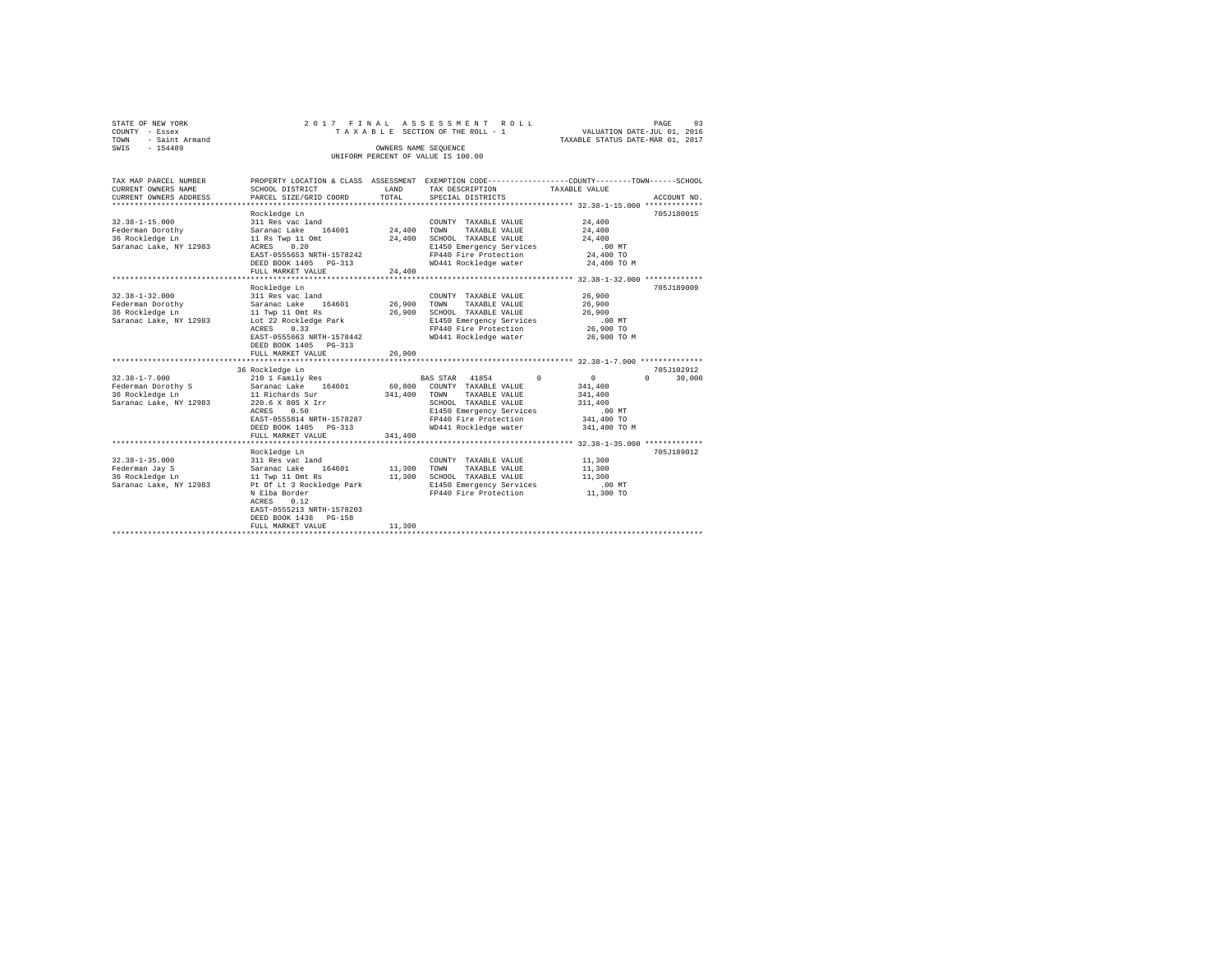| STATE OF NEW YORK   |                      |  |  | 2017 FINAL ASSESSMENT ROLL         |  |                                  | PAGE                        | 93 |  |  |  |  |  |
|---------------------|----------------------|--|--|------------------------------------|--|----------------------------------|-----------------------------|----|--|--|--|--|--|
| COUNTY - Essex      |                      |  |  | TAXABLE SECTION OF THE ROLL - 1    |  |                                  | VALUATION DATE-JUL 01, 2016 |    |  |  |  |  |  |
| TOWN - Saint Armand |                      |  |  |                                    |  | TAXABLE STATUS DATE-MAR 01, 2017 |                             |    |  |  |  |  |  |
| SWTS<br>$-154489$   | OWNERS NAME SEOUENCE |  |  |                                    |  |                                  |                             |    |  |  |  |  |  |
|                     |                      |  |  | UNIFORM PERCENT OF VALUE IS 100.00 |  |                                  |                             |    |  |  |  |  |  |
|                     |                      |  |  |                                    |  |                                  |                             |    |  |  |  |  |  |

| TAX MAP PARCEL NUMBER<br>CURRENT OWNERS NAME | SCHOOL DISTRICT                                    | LAND    | PROPERTY LOCATION & CLASS ASSESSMENT EXEMPTION CODE----------------COUNTY-------TOWN------SCHOOL<br>TAX DESCRIPTION | TAXABLE VALUE          |             |
|----------------------------------------------|----------------------------------------------------|---------|---------------------------------------------------------------------------------------------------------------------|------------------------|-------------|
| CURRENT OWNERS ADDRESS                       | PARCEL SIZE/GRID COORD                             | TOTAL   | SPECIAL DISTRICTS                                                                                                   |                        | ACCOUNT NO. |
|                                              |                                                    |         |                                                                                                                     |                        |             |
|                                              | Rockledge Ln                                       |         |                                                                                                                     |                        | 705J180015  |
| $32.38 - 1 - 15.000$<br>Federman Dorothy     | 311 Res vac land<br>Saranac Lake<br>164601         | 24,400  | COUNTY TAXABLE VALUE<br>TOWN                                                                                        | 24,400<br>24,400       |             |
| 36 Rockledge Ln                              | 11 Rs Twp 11 Omt                                   | 24,400  | TAXABLE VALUE<br>SCHOOL TAXABLE VALUE                                                                               | 24,400                 |             |
| Saranac Lake, NY 12983                       | ACRES 0.20                                         |         | E1450 Emergency Services                                                                                            | $.00$ MT               |             |
|                                              | EAST-0555653 NRTH-1578242                          |         | FP440 Fire Protection                                                                                               | 24,400 TO              |             |
|                                              | DEED BOOK 1405 PG-313                              |         | WD441 Rockledge water                                                                                               | 24,400 TO M            |             |
|                                              | FULL MARKET VALUE                                  | 24,400  |                                                                                                                     |                        |             |
|                                              |                                                    |         |                                                                                                                     |                        |             |
|                                              | Rockledge Ln                                       |         |                                                                                                                     |                        | 705.T189009 |
| $32.38 - 1 - 32.000$                         | 311 Res vac land                                   |         | COUNTY TAXABLE VALUE                                                                                                | 26,900                 |             |
| Federman Dorothy                             | 164601<br>Saranac Lake                             | 26,900  | TOWN<br>TAXABLE VALUE                                                                                               | 26,900                 |             |
| 36 Rockledge Ln                              | 11 Twp 11 Omt Rs                                   | 26,900  | SCHOOL TAXABLE VALUE                                                                                                | 26,900                 |             |
| Saranac Lake, NY 12983                       | Lot 22 Rockledge Park                              |         | E1450 Emergency Services                                                                                            | $.00$ MT               |             |
|                                              | ACRES<br>0.33                                      |         | FP440 Fire Protection                                                                                               | 26,900 TO              |             |
|                                              | EAST-0555663 NRTH-1578442<br>DEED BOOK 1405 PG-313 |         | WD441 Rockledge water                                                                                               | 26,900 TO M            |             |
|                                              | FULL MARKET VALUE                                  | 26,900  |                                                                                                                     |                        |             |
|                                              |                                                    |         |                                                                                                                     |                        |             |
|                                              | 36 Rockledge Ln                                    |         |                                                                                                                     |                        | 705J102912  |
| $32.38 - 1 - 7.000$                          | 210 1 Family Res                                   |         | $\Omega$<br>BAS STAR 41854                                                                                          | $\mathbf{0}$<br>$\cap$ | 30,000      |
| Federman Dorothy S                           | Saranac Lake 164601                                | 60,800  | COUNTY TAXABLE VALUE                                                                                                | 341,400                |             |
| 36 Rockledge Ln                              | 11 Richards Sur                                    | 341,400 | TAXABLE VALUE<br>TOWN                                                                                               | 341,400                |             |
| Saranac Lake, NY 12983                       | 220.6 X 80S X Irr                                  |         | SCHOOL TAXABLE VALUE                                                                                                | 311,400                |             |
|                                              | ACRES<br>0.50                                      |         | E1450 Emergency Services                                                                                            | .00MT                  |             |
|                                              | EAST-0555814 NRTH-1578287                          |         | FP440 Fire Protection                                                                                               | 341,400 TO             |             |
|                                              | DEED BOOK 1405 PG-313                              |         | WD441 Rockledge water                                                                                               | 341,400 TO M           |             |
|                                              | FULL MARKET VALUE                                  | 341,400 |                                                                                                                     |                        |             |
|                                              | Rockledge Ln                                       |         |                                                                                                                     |                        | 705J189012  |
| $32.38 - 1 - 35.000$                         | 311 Res vac land                                   |         | COUNTY TAXABLE VALUE                                                                                                | 11,300                 |             |
| Federman Jav S                               | 164601<br>Saranac Lake                             | 11,300  | TOWN<br>TAXABLE VALUE                                                                                               | 11,300                 |             |
| 36 Rockledge Ln                              | 11 Twp 11 Omt Rs                                   | 11,300  | SCHOOL TAXABLE VALUE                                                                                                | 11,300                 |             |
| Saranac Lake, NY 12983                       | Pt Of Lt 3 Rockledge Park                          |         | E1450 Emergency Services                                                                                            | $.00$ MT               |             |
|                                              | N Elba Border                                      |         | FP440 Fire Protection                                                                                               | 11,300 TO              |             |
|                                              | 0.12<br>ACRES                                      |         |                                                                                                                     |                        |             |
|                                              | EAST-0555213 NRTH-1578203                          |         |                                                                                                                     |                        |             |
|                                              | DEED BOOK 1438 PG-158                              |         |                                                                                                                     |                        |             |
|                                              | FULL MARKET VALUE                                  | 11,300  |                                                                                                                     |                        |             |
|                                              | *****************************                      |         |                                                                                                                     |                        |             |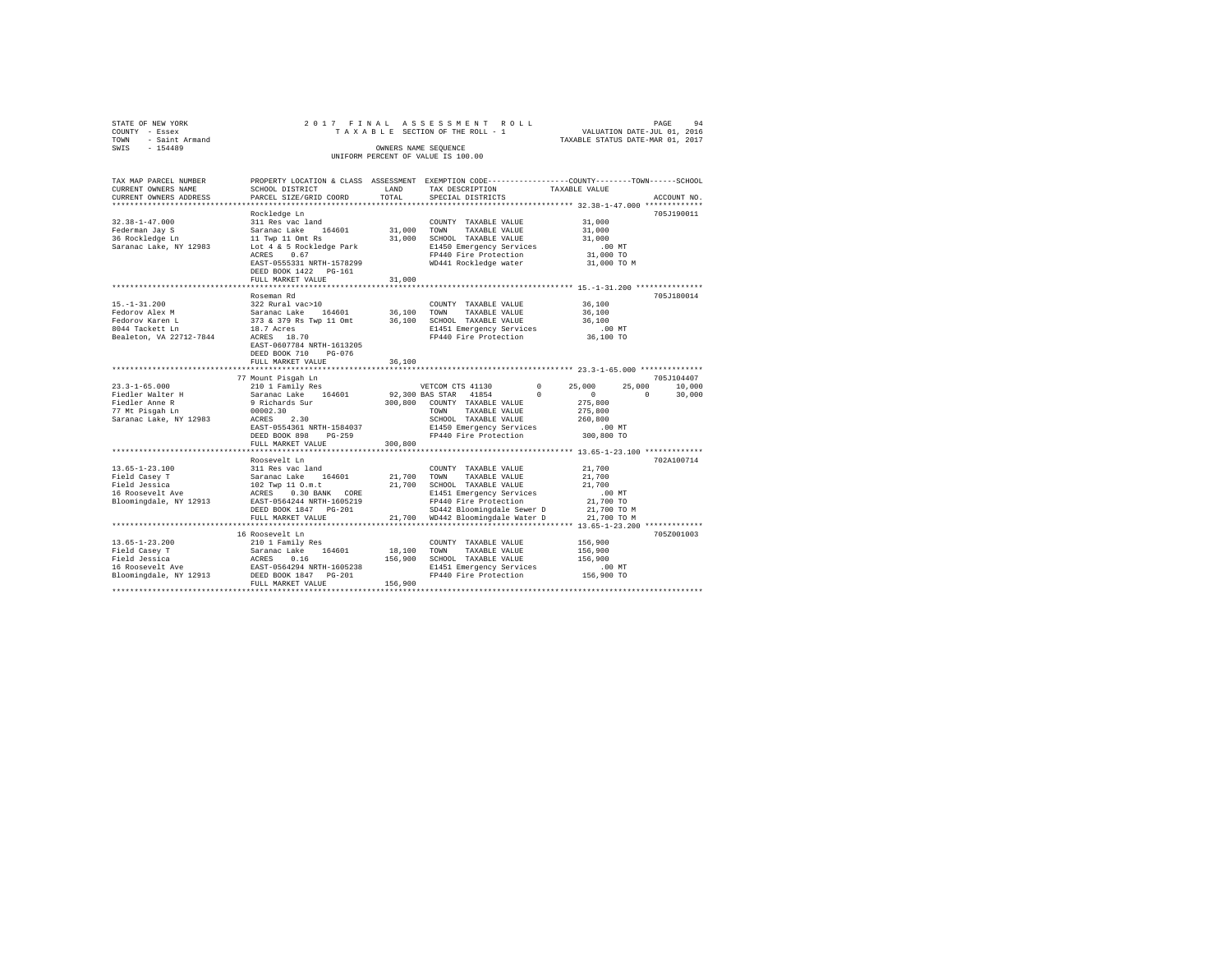| STATE OF NEW YORK                 | 2017 FINAL                                                                                      |                 | ASSESSMENT ROLL                                                  |                        | PAGE<br>94                       |
|-----------------------------------|-------------------------------------------------------------------------------------------------|-----------------|------------------------------------------------------------------|------------------------|----------------------------------|
| COUNTY - Essex                    |                                                                                                 |                 | TAXABLE SECTION OF THE ROLL - 1                                  |                        | VALUATION DATE-JUL 01, 2016      |
| TOWN<br>- Saint Armand            |                                                                                                 |                 |                                                                  |                        | TAXABLE STATUS DATE-MAR 01, 2017 |
| $-154489$<br>SWIS                 |                                                                                                 |                 | OWNERS NAME SEOUENCE                                             |                        |                                  |
|                                   |                                                                                                 |                 | UNIFORM PERCENT OF VALUE IS 100.00                               |                        |                                  |
|                                   |                                                                                                 |                 |                                                                  |                        |                                  |
|                                   |                                                                                                 |                 |                                                                  |                        |                                  |
| TAX MAP PARCEL NUMBER             | PROPERTY LOCATION & CLASS ASSESSMENT EXEMPTION CODE---------------COUNTY-------TOWN------SCHOOL |                 |                                                                  |                        |                                  |
| CURRENT OWNERS NAME               | SCHOOL DISTRICT                                                                                 | LAND            | TAX DESCRIPTION                                                  | TAXABLE VALUE          |                                  |
| CURRENT OWNERS ADDRESS            | PARCEL SIZE/GRID COORD                                                                          | TOTAL           | SPECIAL DISTRICTS                                                |                        | ACCOUNT NO.                      |
| ************************          |                                                                                                 |                 |                                                                  |                        |                                  |
|                                   | Rockledge Ln                                                                                    |                 |                                                                  |                        | 705J190011                       |
| $32.38 - 1 - 47.000$              | 311 Res vac land                                                                                |                 | COUNTY TAXABLE VALUE                                             | 31,000                 |                                  |
| Federman Jay S                    | Saranac Lake 164601                                                                             | 31,000          | TOWN<br>TAXABLE VALUE                                            | 31,000                 |                                  |
| 36 Rockledge Ln                   | 11 Twp 11 Omt Rs                                                                                | 31,000          | SCHOOL TAXABLE VALUE                                             | 31,000                 |                                  |
| Saranac Lake, NY 12983            | Lot 4 & 5 Rockledge Park                                                                        |                 | E1450 Emergency Services                                         | .00MT                  |                                  |
|                                   | ACRES 0.67                                                                                      |                 | FP440 Fire Protection                                            | 31,000 TO              |                                  |
|                                   | EAST-0555331 NRTH-1578299                                                                       |                 | WD441 Rockledge water                                            | 31,000 TO M            |                                  |
|                                   |                                                                                                 |                 |                                                                  |                        |                                  |
|                                   | DEED BOOK 1422   PG-161                                                                         | 31,000          |                                                                  |                        |                                  |
|                                   | FULL MARKET VALUE                                                                               |                 |                                                                  |                        |                                  |
|                                   |                                                                                                 |                 |                                                                  |                        |                                  |
|                                   | Roseman Rd                                                                                      |                 |                                                                  |                        | 705J180014                       |
| $15. - 1 - 31.200$                | 322 Rural vac>10                                                                                |                 | COUNTY TAXABLE VALUE                                             | 36,100                 |                                  |
| Fedorov Alex M                    | Saranac Lake 164601                                                                             | 36,100          | TOWN<br>TAXABLE VALUE                                            | 36,100                 |                                  |
| Fedorov Karen L                   | 373 & 379 Rs Twp 11 Omt                                                                         |                 | 36,100 SCHOOL TAXABLE VALUE                                      | 36,100                 |                                  |
| 8044 Tackett Ln                   | 18.7 Acres<br>18.7 Acres<br>ACRES 18.70                                                         |                 | E1451 Emergency Services                                         | $.00$ MT               |                                  |
| Bealeton, VA 22712-7844           |                                                                                                 |                 | FP440 Fire Protection                                            | 36,100 TO              |                                  |
|                                   | EAST-0607784 NRTH-1613205                                                                       |                 |                                                                  |                        |                                  |
|                                   | DEED BOOK 710 PG-076                                                                            |                 |                                                                  |                        |                                  |
|                                   | FULL MARKET VALUE                                                                               | 36,100          |                                                                  |                        |                                  |
|                                   |                                                                                                 | **********      |                                                                  |                        |                                  |
|                                   | 77 Mount Pisgah Ln                                                                              |                 |                                                                  |                        | 705J104407                       |
| $23.3 - 1 - 65.000$               | 210 1 Family Res                                                                                |                 | VETCOM CTS 41130                                                 | $\Omega$<br>25,000     | 25,000<br>10,000                 |
| Fiedler Walter H                  | Saranac Lake 164601                                                                             | 92,300 BAS STAR | 41854                                                            | $^{\circ}$<br>$\sim$ 0 | $\circ$<br>30,000                |
| Fiedler Anne R                    | 9 Richards Sur                                                                                  |                 | 300,800 COUNTY TAXABLE VALUE                                     | 275,800                |                                  |
| 77 Mt Pisqah Ln                   | 00002.30                                                                                        |                 | TOWN<br>TAXABLE VALUE                                            | 275,800                |                                  |
| Saranac Lake, NY 12983            | ACRES 2.30                                                                                      |                 | SCHOOL TAXABLE VALUE                                             | 260,800                |                                  |
|                                   | EAST-0554361 NRTH-1584037                                                                       |                 | E1450 Emergency Services                                         | .00 MT                 |                                  |
|                                   | DEED BOOK 898 PG-259                                                                            |                 | FP440 Fire Protection                                            | 300,800 TO             |                                  |
|                                   | FULL MARKET VALUE                                                                               | 300,800         |                                                                  |                        |                                  |
|                                   |                                                                                                 |                 | ********************************** 13.65-1-23.100 ************** |                        |                                  |
|                                   | Roosevelt Ln                                                                                    |                 |                                                                  |                        | 702A100714                       |
| $13.65 - 1 - 23.100$              | 311 Res vac land                                                                                |                 | COUNTY TAXABLE VALUE                                             | 21,700                 |                                  |
| Field Casey T                     | Saranac Lake 164601                                                                             | 21,700          | TOWN<br>TAXABLE VALUE                                            | 21,700                 |                                  |
| Field Jessica                     |                                                                                                 |                 | 21,700 SCHOOL TAXABLE VALUE                                      | 21,700                 |                                  |
|                                   | 102 Twp 11 O.m.t                                                                                |                 |                                                                  |                        |                                  |
| 16 Roosevelt Ave                  | ACRES 0.30 BANK CORE                                                                            |                 | E1451 Emergency Services                                         | $.00$ MT               |                                  |
| Bloomingdale, NY 12913            | EAST-0564244 NRTH-1605219                                                                       |                 | FP440 Fire Protection                                            | 21,700 TO              |                                  |
|                                   | DEED BOOK 1847 PG-201                                                                           |                 | SD442 Bloomingdale Sewer D                                       | 21,700 TO M            |                                  |
|                                   | FULL MARKET VALUE                                                                               |                 | 21,700 WD442 Bloomingdale Water D                                | 21,700 TO M            |                                  |
|                                   |                                                                                                 |                 |                                                                  |                        |                                  |
|                                   | 16 Roosevelt Ln                                                                                 |                 |                                                                  |                        | 705Z001003                       |
| $13.65 - 1 - 23.200$              | 210 1 Family Res                                                                                |                 | COUNTY TAXABLE VALUE                                             | 156,900                |                                  |
| Field Casey T                     | Saranac Lake 164601                                                                             | 18,100          | TOWN<br>TAXABLE VALUE                                            | 156,900                |                                  |
| Field Jessica                     | ACRES 0.16                                                                                      | 156,900         | SCHOOL TAXABLE VALUE                                             | 156,900                |                                  |
| Field Jessica<br>16 Roosevelt Ave | EAST-0564294 NRTH-1605238                                                                       |                 | E1451 Emergency Services                                         | $.00$ MT               |                                  |
| Bloomingdale, NY 12913            | DEED BOOK 1847 PG-201                                                                           |                 | FP440 Fire Protection                                            | 156,900 TO             |                                  |
|                                   | FULL MARKET VALUE                                                                               | 156,900         |                                                                  |                        |                                  |
|                                   |                                                                                                 |                 |                                                                  |                        |                                  |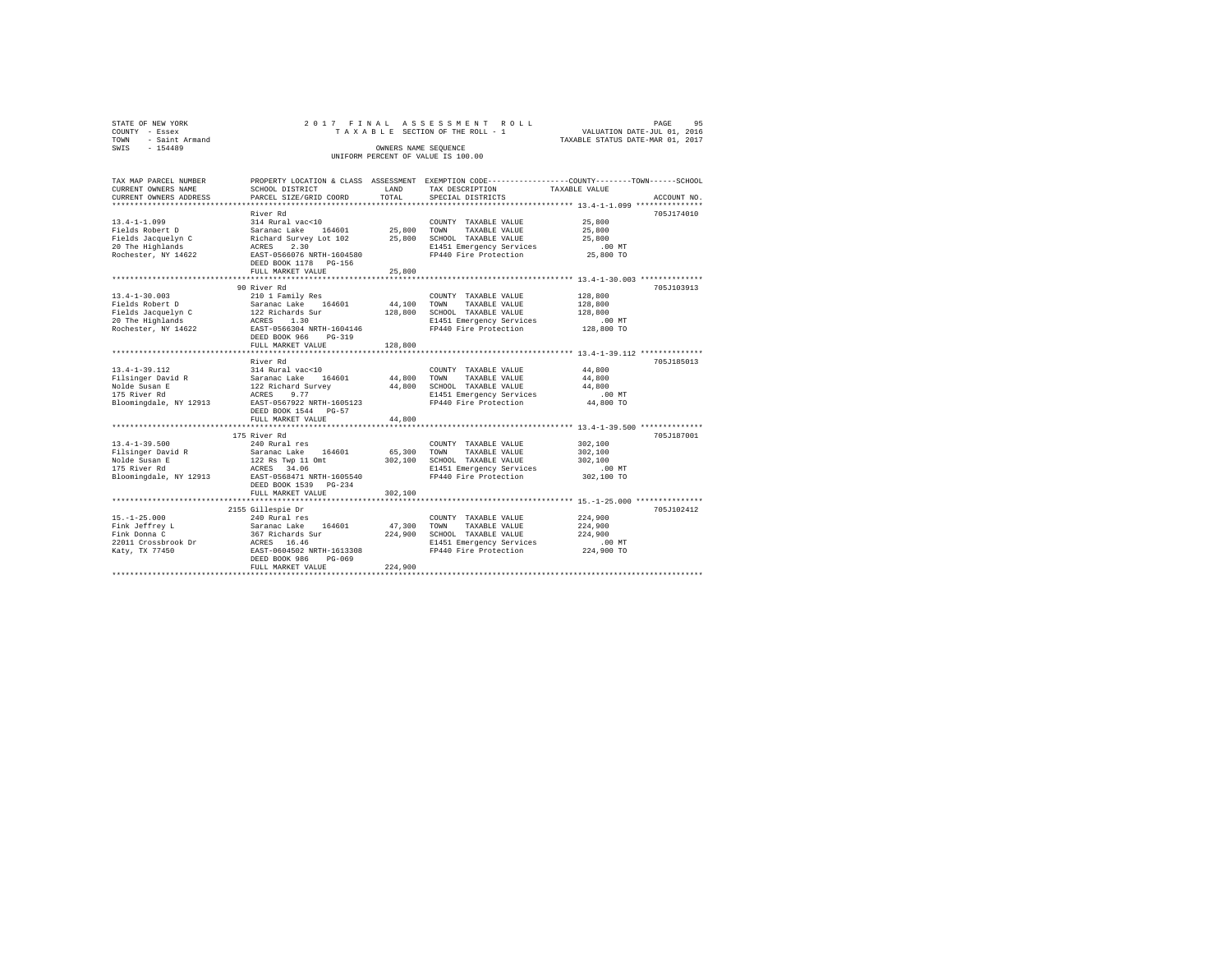| STATE OF NEW YORK      |                                           |         | 2017 FINAL ASSESSMENT ROLL            | 95<br>PAGE                                                                                     |
|------------------------|-------------------------------------------|---------|---------------------------------------|------------------------------------------------------------------------------------------------|
| COUNTY - Essex         |                                           |         | TAXABLE SECTION OF THE ROLL - 1       | VALUATION DATE-JUL 01, 2016                                                                    |
| - Saint Armand<br>TOWN |                                           |         |                                       | TAXABLE STATUS DATE-MAR 01, 2017                                                               |
| SWIS - 154489          |                                           |         | OWNERS NAME SEQUENCE                  |                                                                                                |
|                        |                                           |         | UNIFORM PERCENT OF VALUE IS 100.00    |                                                                                                |
|                        |                                           |         |                                       |                                                                                                |
|                        |                                           |         |                                       |                                                                                                |
| TAX MAP PARCEL NUMBER  |                                           |         |                                       | PROPERTY LOCATION & CLASS ASSESSMENT EXEMPTION CODE---------------COUNTY-------TOWN-----SCHOOL |
| CURRENT OWNERS NAME    | SCHOOL DISTRICT                           | LAND    | TAX DESCRIPTION                       | TAXABLE VALUE                                                                                  |
| CURRENT OWNERS ADDRESS | PARCEL SIZE/GRID COORD                    | TOTAL.  | SPECIAL DISTRICTS                     | ACCOUNT NO.                                                                                    |
|                        |                                           |         |                                       |                                                                                                |
|                        | River Rd                                  |         |                                       | 705J174010                                                                                     |
| $13.4 - 1 - 1.099$     | 314 Rural vac<10                          |         | COUNTY TAXABLE VALUE                  | 25,800                                                                                         |
| Fields Robert D        | Saranac Lake<br>164601                    | 25,800  | TAXABLE VALUE<br>TOWN                 | 25,800                                                                                         |
| Fields Jacquelyn C     | Richard Survey Lot 102                    | 25,800  | SCHOOL TAXABLE VALUE                  | 25,800                                                                                         |
| 20 The Highlands       | 2.30<br>ACRES                             |         | E1451 Emergency Services              | .00MT                                                                                          |
| Rochester, NY 14622    | EAST-0566076 NRTH-1604580                 |         | FP440 Fire Protection                 | 25,800 TO                                                                                      |
|                        | DEED BOOK 1178 PG-156                     |         |                                       |                                                                                                |
|                        | FULL MARKET VALUE                         | 25,800  |                                       |                                                                                                |
|                        |                                           |         |                                       |                                                                                                |
| $13.4 - 1 - 30.003$    | 90 River Rd                               |         |                                       | 705J103913                                                                                     |
| Fields Robert D        | 210 1 Family Res<br>Saranac Lake 164601   | 44,100  | COUNTY TAXABLE VALUE<br>TAXABLE VALUE | 128,800                                                                                        |
|                        |                                           |         | TOWN                                  | 128,800                                                                                        |
| Fields Jacquelyn C     | 122 Richards Sur                          | 128,800 | SCHOOL TAXABLE VALUE                  | 128,800                                                                                        |
| 20 The Highlands       | ACRES<br>1.30                             |         | E1451 Emergency Services              | .00MT                                                                                          |
| Rochester, NY 14622    | EAST-0566304 NRTH-1604146                 |         | FP440 Fire Protection                 | 128,800 TO                                                                                     |
|                        | DEED BOOK 966 PG-319<br>FULL MARKET VALUE | 128,800 |                                       |                                                                                                |
|                        |                                           |         |                                       |                                                                                                |
|                        | River Rd                                  |         |                                       | 705J185013                                                                                     |
| $13.4 - 1 - 39.112$    | 314 Rural vac<10                          |         | COUNTY TAXABLE VALUE                  | 44,800                                                                                         |
| Filsinger David R      | Saranac Lake<br>164601                    | 44,800  | TOWN<br>TAXABLE VALUE                 | 44,800                                                                                         |
| Nolde Susan E          | 122 Richard Survey                        | 44,800  | SCHOOL TAXABLE VALUE                  | 44,800                                                                                         |
| 175 River Rd           | ACRES<br>9.77                             |         | E1451 Emergency Services              | .00MT                                                                                          |
| Bloomingdale, NY 12913 | EAST-0567922 NRTH-1605123                 |         | FP440 Fire Protection                 | 44,800 TO                                                                                      |
|                        | DEED BOOK 1544 PG-57                      |         |                                       |                                                                                                |
|                        | FULL MARKET VALUE                         | 44,800  |                                       |                                                                                                |
|                        |                                           |         |                                       |                                                                                                |
|                        | 175 River Rd                              |         |                                       | 705J187001                                                                                     |
| $13.4 - 1 - 39.500$    | 240 Rural res                             |         | COUNTY TAXABLE VALUE                  | 302,100                                                                                        |
| Filsinger David R      | Saranac Lake 164601                       | 65,300  | TAXABLE VALUE<br>TOWN                 | 302,100                                                                                        |
| Nolde Susan E          | 122 Rs Twp 11 Omt                         | 302,100 | SCHOOL TAXABLE VALUE                  | 302,100                                                                                        |
| 175 River Rd           |                                           |         | E1451 Emergency Services              | $.00$ MT                                                                                       |
| Bloomingdale, NY 12913 | EAST-0568471 NRTH-1605540                 |         | FP440 Fire Protection                 | 302,100 TO                                                                                     |
|                        | DEED BOOK 1539 PG-234                     |         |                                       |                                                                                                |
|                        | FULL MARKET VALUE                         | 302,100 |                                       |                                                                                                |
|                        |                                           |         |                                       |                                                                                                |
|                        | 2155 Gillespie Dr                         |         |                                       | 705J102412                                                                                     |
|                        |                                           |         |                                       |                                                                                                |

15.-1-25.000 240 Rural res COUNTY TAXABLE VALUE 224,900 Fink Jeffrey L Saranac Lake 164601 47,300 TOWN TAXABLE VALUE 224,900 Fink Donna C 367 Richards Sur 224,900 SCHOOL TAXABLE VALUE 224,900 22011 Crossbrook Dr ACRES 16.46 E1451 Emergency Services .00 MT Katy, TX 77450 EAST-0604502 NRTH-1613308 FP440 Fire Protection 224,900 TO DEED BOOK 986 PG-069 FULL MARKET VALUE 224,900 \*\*\*\*\*\*\*\*\*\*\*\*\*\*\*\*\*\*\*\*\*\*\*\*\*\*\*\*\*\*\*\*\*\*\*\*\*\*\*\*\*\*\*\*\*\*\*\*\*\*\*\*\*\*\*\*\*\*\*\*\*\*\*\*\*\*\*\*\*\*\*\*\*\*\*\*\*\*\*\*\*\*\*\*\*\*\*\*\*\*\*\*\*\*\*\*\*\*\*\*\*\*\*\*\*\*\*\*\*\*\*\*\*\*\*\*\*\*\*\*\*\*\*\*\*\*\*\*\*\*\*\*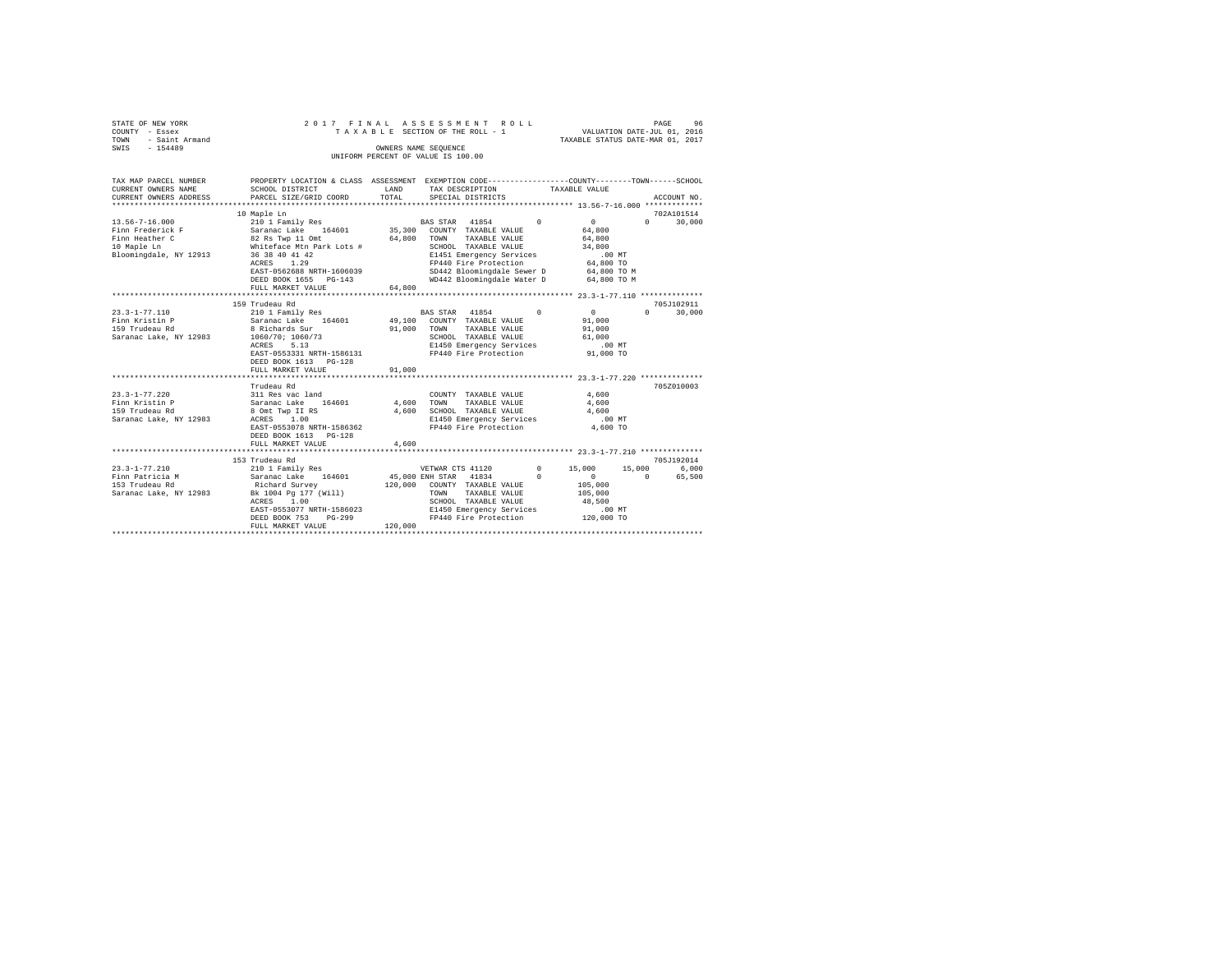| STATE OF NEW YORK   | 2017 FINAL ASSESSMENT ROLL |  |  |                                    |  |  |  |                                  | PAGE | 96 |
|---------------------|----------------------------|--|--|------------------------------------|--|--|--|----------------------------------|------|----|
| COUNTY - Essex      |                            |  |  | TAXABLE SECTION OF THE ROLL - 1    |  |  |  | VALUATION DATE-JUL 01, 2016      |      |    |
| TOWN - Saint Armand |                            |  |  |                                    |  |  |  | TAXABLE STATUS DATE-MAR 01, 2017 |      |    |
| SWIS<br>$-154489$   |                            |  |  | OWNERS NAME SEOUENCE               |  |  |  |                                  |      |    |
|                     |                            |  |  | UNIFORM PERCENT OF VALUE IS 100.00 |  |  |  |                                  |      |    |

| TAX MAP PARCEL NUMBER<br>CURRENT OWNERS NAME<br>SCHOOL DISTRICT                                                                                   |                                                                                                                                                                                                                                                                                                                                                                                                                                                              |                                        |                                                                                                                                                                                                                                                         | PROPERTY LOCATION & CLASS ASSESSMENT EXEMPTION CODE----------------COUNTY-------TOWN------SCHOOL<br>TAXABLE VALUE |                                                                                                            |                       |                                    |  |
|---------------------------------------------------------------------------------------------------------------------------------------------------|--------------------------------------------------------------------------------------------------------------------------------------------------------------------------------------------------------------------------------------------------------------------------------------------------------------------------------------------------------------------------------------------------------------------------------------------------------------|----------------------------------------|---------------------------------------------------------------------------------------------------------------------------------------------------------------------------------------------------------------------------------------------------------|-------------------------------------------------------------------------------------------------------------------|------------------------------------------------------------------------------------------------------------|-----------------------|------------------------------------|--|
| CURRENT OWNERS ADDRESS                                                                                                                            | PARCEL SIZE/GRID COORD                                                                                                                                                                                                                                                                                                                                                                                                                                       | LAND<br>TOTAL                          | TAX DESCRIPTION<br>SPECIAL DISTRICTS                                                                                                                                                                                                                    |                                                                                                                   |                                                                                                            |                       | ACCOUNT NO.                        |  |
|                                                                                                                                                   |                                                                                                                                                                                                                                                                                                                                                                                                                                                              |                                        |                                                                                                                                                                                                                                                         |                                                                                                                   |                                                                                                            |                       |                                    |  |
| 13.56-7-16.000<br>Bloomingdale, NY 12913 36 38 40 41 42                                                                                           | 10 Maple Ln<br>ACRES 1.29<br>EAST-0562688 NRTH-1606039<br>DEED BOOK 1655 PG-143<br>FULL MARKET VALUE                                                                                                                                                                                                                                                                                                                                                         | 64,800                                 | TAXABLE VALUE<br>SCHOOL TAXABLE VALUE<br>E1451 Emergency Services .00 MT<br>FP440 Fire Protection 64,800 TO<br>SD442 Bloomingdale Sewer D 64,800 TO M<br>WD442 Bloomingdale Water D 64,800 TO M                                                         |                                                                                                                   | 64,800<br>64,800<br>34,800                                                                                 |                       | 702A101514<br>$0 \t 30,000$        |  |
|                                                                                                                                                   |                                                                                                                                                                                                                                                                                                                                                                                                                                                              |                                        |                                                                                                                                                                                                                                                         |                                                                                                                   |                                                                                                            |                       |                                    |  |
| 23.3-1-77.110<br>Finn Kristin P<br>159 Trudeau Rd<br>$23.3 - 1 - 77.220$<br>Finn Kristin P<br>159 Trudeau Rd<br>Saranac Lake, NY 12983 ACRES 1.00 | 159 Trudeau Rd<br>110 1 Family Res (164601 / BAS STAR (1854)<br>Saranac Lake (164601 / 49,100 COUNTY TAXABLE VALUE (1864)<br>191,000 TOWN TAXABLE VALUE (1864)<br>Saranac Lake, NY 12983 1060/70; 1060/73<br>5.13<br>ACRES<br>EAST-0553331 NRTH-1586131<br>DEED BOOK 1613 PG-128<br>FULL MARKET VALUE<br>Trudeau Rd<br>311 Res vac land<br>Saranac Lake 164601<br>8 Omt Twp II RS<br>EAST-0553078 NRTH-1586362<br>DEED BOOK 1613 PG-128<br>FULL MARKET VALUE | 91,000<br>COUNT<br>4,600 TOWN<br>4,600 | 91,000 TOWN TAXABLE VALUE 91,000<br>SCHOOL TAXABLE VALUE 61,000<br>E1450 Emergency Services<br>FP440 Fire Protection<br>COUNTY TAXABLE VALUE<br>TAXABLE VALUE<br>4,600 SCHOOL TAXABLE VALUE<br>E1450 Emergency Services .00 MT<br>FP440 Fire Protection |                                                                                                                   | $\begin{array}{c} 0 \\ 91,000 \end{array}$<br>$.00$ MT<br>91,000 TO<br>4,600<br>4,600<br>4,600<br>4,600 TO | $\Omega$ and $\Omega$ | 705J102911<br>30,000<br>705Z010003 |  |
|                                                                                                                                                   |                                                                                                                                                                                                                                                                                                                                                                                                                                                              |                                        |                                                                                                                                                                                                                                                         |                                                                                                                   |                                                                                                            |                       |                                    |  |
| $23.3 - 1 - 77.210$                                                                                                                               | 153 Trudeau Rd<br>210 1 Family Res 6,000 6,000 VETWAR CTS 41120 0 15,000 15,000 6,000<br>Saranac Lake, NY 12983 Bk 1004 Pg 177 (Will)<br>ACRES 1.00<br>EAST-0553077 NRTH-1586023<br>DEED BOOK 753<br>FULL MARKET VALUE                                                                                                                                                                                                                                       | $PG-299$<br>120,000                    | 45,000 ENH STAR 41834 0<br>120,000 COUNTY TAXABLE VALUE<br>TAXABLE VALUE 105,000<br>TOWN<br>SCHOOL TAXABLE VALUE<br>E1450 Emergency Services<br>FP440 Fire Protection                                                                                   |                                                                                                                   | $\begin{array}{c} 0 \\ 105,000 \end{array}$<br>48,500<br>$.00$ MT<br>120,000 TO                            | $\sim$ 0              | 705J192014<br>65,500               |  |
|                                                                                                                                                   |                                                                                                                                                                                                                                                                                                                                                                                                                                                              |                                        |                                                                                                                                                                                                                                                         |                                                                                                                   |                                                                                                            |                       |                                    |  |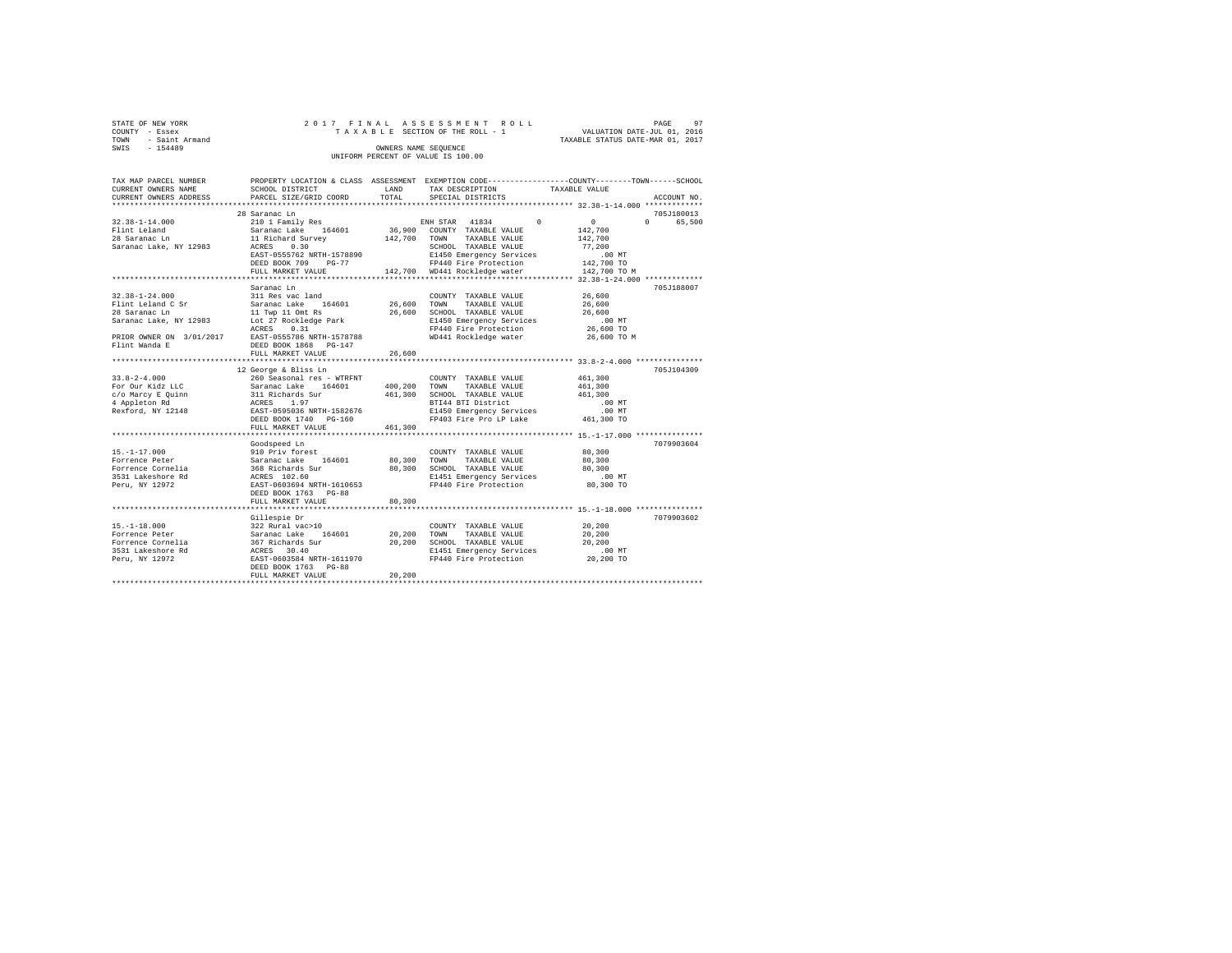| STATE OF NEW YORK   | 2017 FINAL ASSESSMENT ROLL         | PAGE                             | 97 |
|---------------------|------------------------------------|----------------------------------|----|
| COUNTY - Essex      | TAXABLE SECTION OF THE ROLL - 1    | VALUATION DATE-JUL 01, 2016      |    |
| TOWN - Saint Armand |                                    | TAXABLE STATUS DATE-MAR 01, 2017 |    |
| SWIS<br>$-154489$   | OWNERS NAME SEOUENCE               |                                  |    |
|                     | UNIFORM PERCENT OF VALUE IS 100.00 |                                  |    |

| TAX MAP PARCEL NUMBER<br>CURRENT OWNERS NAME       | SCHOOL DISTRICT                                                                    | LAND<br>TOTAL | TAX DESCRIPTION                                   | PROPERTY LOCATION & CLASS ASSESSMENT EXEMPTION CODE----------------COUNTY-------TOWN------SCHOOL<br>TAXABLE VALUE<br>ACCOUNT NO. |
|----------------------------------------------------|------------------------------------------------------------------------------------|---------------|---------------------------------------------------|----------------------------------------------------------------------------------------------------------------------------------|
| CURRENT OWNERS ADDRESS                             | PARCEL SIZE/GRID COORD                                                             |               | SPECIAL DISTRICTS                                 |                                                                                                                                  |
|                                                    | 28 Saranac Ln                                                                      |               |                                                   | 705J180013                                                                                                                       |
| $32.38 - 1 - 14.000$                               | 210 1 Family Res                                                                   |               | ENH STAR 41834 0                                  | $\sim$ 0<br>$\Omega$<br>65,500                                                                                                   |
| Flint Leland                                       | Saranac Lake 164601                                                                |               | 36,900 COUNTY TAXABLE VALUE                       | 142,700                                                                                                                          |
| 28 Saranac Ln                                      | 11 Richard Survey                                                                  |               | 142,700 TOWN TAXABLE VALUE                        | 142,700                                                                                                                          |
| Saranac Lake, NY 12983                             | ACRES 0.30                                                                         |               | SCHOOL TAXABLE VALUE                              | 77.200                                                                                                                           |
|                                                    | EAST-0555762 NRTH-1578890                                                          |               | E1450 Emergency Services                          | $.00$ MT                                                                                                                         |
|                                                    | DEED BOOK 709 PG-77                                                                |               | FP440 Fire Protection                             | 142,700 TO                                                                                                                       |
|                                                    | FULL MARKET VALUE                                                                  |               | 142,700 WD441 Rockledge water                     | 142,700 TO M                                                                                                                     |
|                                                    | Saranac Ln                                                                         |               |                                                   | 705J188007                                                                                                                       |
| $32.38 - 1 - 24.000$                               | 311 Res vac land                                                                   |               | COUNTY TAXABLE VALUE                              | 26,600                                                                                                                           |
| Flint Leland C Sr                                  | Saranac Lake 164601 26,600                                                         |               | TOWN<br>TAXABLE VALUE                             | 26,600                                                                                                                           |
| 28 Saranac Ln                                      | 11 Twp 11 Omt Rs                                                                   | 26,600        | SCHOOL TAXABLE VALUE                              | 26,600                                                                                                                           |
| Saranac Lake, NY 12983                             | Lot 27 Rockledge Park                                                              |               | E1450 Emergency Services                          | $.00$ MT                                                                                                                         |
|                                                    | ACRES<br>0.31                                                                      |               | FP440 Fire Protection                             | 26,600 TO                                                                                                                        |
| PRIOR OWNER ON 3/01/2017 EAST-0555786 NRTH-1578788 |                                                                                    |               | WD441 Rockledge water                             | 26,600 TO M                                                                                                                      |
| Flint Wanda E                                      | DEED BOOK 1868 PG-147                                                              |               |                                                   |                                                                                                                                  |
|                                                    | FULL MARKET VALUE                                                                  | 26,600        |                                                   |                                                                                                                                  |
|                                                    |                                                                                    |               |                                                   |                                                                                                                                  |
|                                                    | 12 George & Bliss Ln                                                               |               |                                                   | 705J104309                                                                                                                       |
| $33.8 - 2 - 4.000$                                 | 260 Seasonal res - WTRFNT                                                          |               | COUNTY TAXABLE VALUE                              | 461,300                                                                                                                          |
| For Our Kidz LLC                                   |                                                                                    | 400,200       | TOWN<br>TAXABLE VALUE                             | 461,300                                                                                                                          |
| c/o Marcy E Quinn                                  | Saranac Lake 164601<br>311 Richards Sur<br>ACRES 1.97<br>EAST-0595036 NRTH-1582676 | 461,300       | SCHOOL TAXABLE VALUE                              | 461,300                                                                                                                          |
| 4 Appleton Rd                                      |                                                                                    |               | BTI44 BTI District                                | $.00$ MT                                                                                                                         |
| Rexford, NY 12148                                  |                                                                                    |               | E1450 Emergency Services                          | $.00$ MT                                                                                                                         |
|                                                    | DEED BOOK 1740 PG-160<br>FULL MARKET VALUE                                         | 461,300       | FP403 Fire Pro LP Lake 461,300 TO                 |                                                                                                                                  |
|                                                    |                                                                                    |               |                                                   |                                                                                                                                  |
|                                                    | Goodspeed Ln                                                                       |               |                                                   | 7079903604                                                                                                                       |
| $15. - 1 - 17.000$                                 |                                                                                    |               | COUNTY TAXABLE VALUE                              | 80,300                                                                                                                           |
| Forrence Peter                                     | 910 Priv forest<br>Saranac Lake 164601                                             | 80,300        | TOWN<br>TAXABLE VALUE                             | 80,300                                                                                                                           |
| Forrence Cornelia                                  |                                                                                    | 80,300        | SCHOOL TAXABLE VALUE                              | 80,300                                                                                                                           |
| 3531 Lakeshore Rd                                  | 368 Richards Sur<br>ACRES 102.60                                                   |               | E1451 Emergency Services                          | $.00$ MT                                                                                                                         |
| Peru, NY 12972                                     | EAST-0603694 NRTH-1610653                                                          |               | FP440 Fire Protection                             | 80,300 TO                                                                                                                        |
|                                                    | DEED BOOK 1763 PG-88                                                               |               |                                                   |                                                                                                                                  |
|                                                    | FULL MARKET VALUE                                                                  | 80,300        |                                                   |                                                                                                                                  |
|                                                    |                                                                                    |               |                                                   |                                                                                                                                  |
|                                                    | Gillespie Dr                                                                       |               |                                                   | 7079903602                                                                                                                       |
| $15. - 1 - 18.000$                                 | 322 Rural vac>10                                                                   |               | COUNTY TAXABLE VALUE                              | 20,200                                                                                                                           |
| Forrence Peter                                     |                                                                                    | 20,200        | TAXABLE VALUE<br>TOWN                             | 20,200                                                                                                                           |
| Forrence Cornelia                                  | Saranac Lake 164601<br>367 Richards Sur<br>ACRES 30.40                             | 20,200        | SCHOOL TAXABLE VALUE                              | 20,200                                                                                                                           |
| 3531 Lakeshore Rd                                  | ACRES 30.40<br>EAST-0603584 NRTH-1611970                                           |               | E1451 Emergency Services<br>FP440 Fire Protection | $.00$ MT                                                                                                                         |
| Peru, NY 12972                                     | DEED BOOK 1763 PG-88                                                               |               |                                                   | 20,200 TO                                                                                                                        |
|                                                    | FULL MARKET VALUE                                                                  | 20,200        |                                                   |                                                                                                                                  |
|                                                    |                                                                                    |               |                                                   |                                                                                                                                  |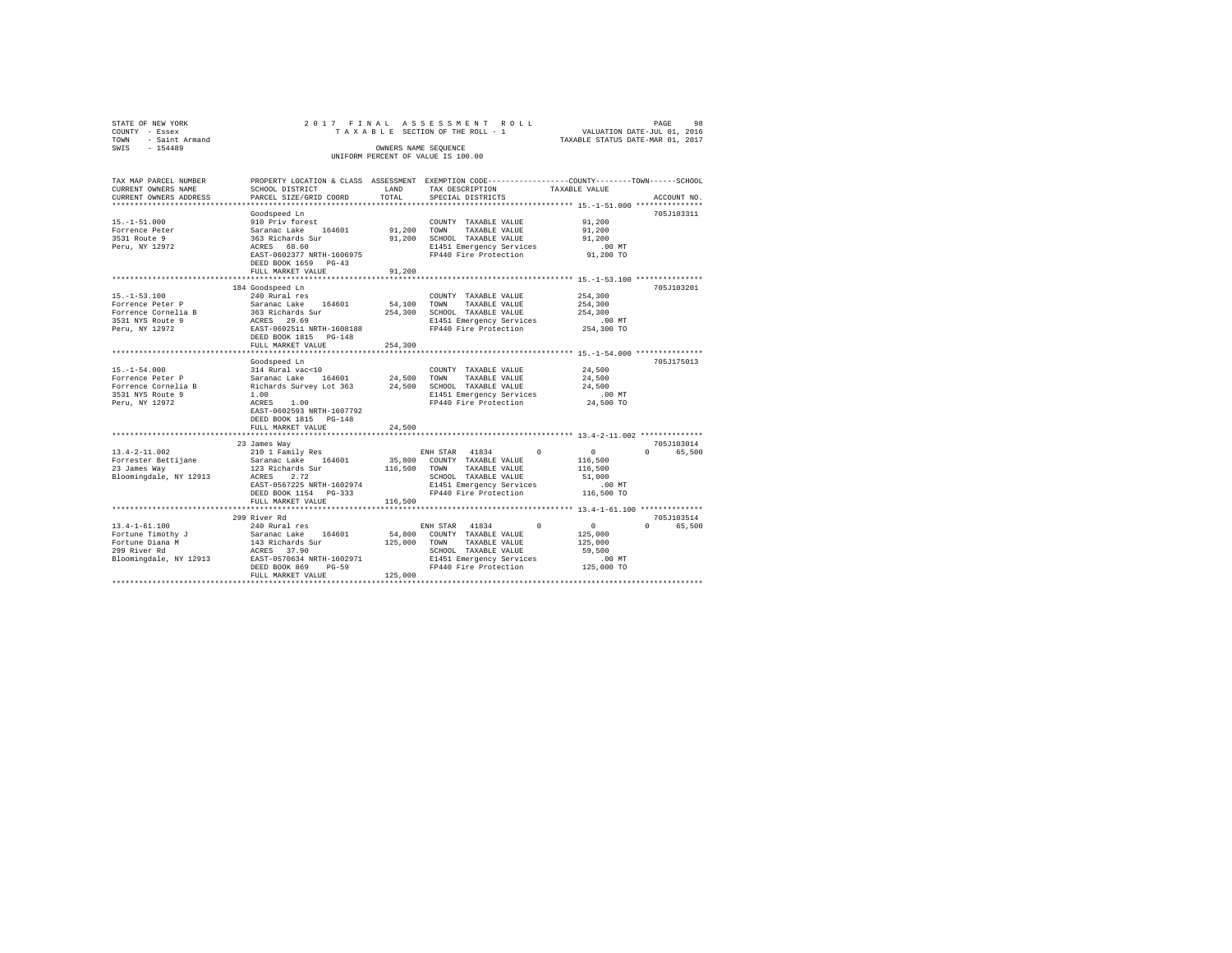| STATE OF NEW YORK      | 2017 FINAL                              |                      | ASSESSMENT<br>ROLL                                                                             | 98<br>PAGE                                        |
|------------------------|-----------------------------------------|----------------------|------------------------------------------------------------------------------------------------|---------------------------------------------------|
| COUNTY - Essex         |                                         |                      | TAXABLE SECTION OF THE ROLL - 1                                                                | VALUATION DATE-JUL 01, 2016                       |
| - Saint Armand<br>TOWN |                                         |                      |                                                                                                | TAXABLE STATUS DATE-MAR 01, 2017                  |
| $-154489$<br>SWIS      |                                         | OWNERS NAME SEQUENCE |                                                                                                |                                                   |
|                        |                                         |                      | UNIFORM PERCENT OF VALUE IS 100.00                                                             |                                                   |
|                        |                                         |                      |                                                                                                |                                                   |
|                        |                                         |                      |                                                                                                |                                                   |
| TAX MAP PARCEL NUMBER  |                                         |                      | PROPERTY LOCATION & CLASS ASSESSMENT EXEMPTION CODE---------------COUNTY-------TOWN-----SCHOOL |                                                   |
| CURRENT OWNERS NAME    | SCHOOL DISTRICT                         | LAND                 | TAX DESCRIPTION                                                                                | TAXABLE VALUE                                     |
| CURRENT OWNERS ADDRESS | PARCEL SIZE/GRID COORD                  | TOTAL                | SPECIAL DISTRICTS                                                                              | ACCOUNT NO.                                       |
|                        |                                         |                      |                                                                                                |                                                   |
|                        | Goodspeed Ln                            |                      |                                                                                                | 705J103311                                        |
| $15. - 1 - 51.000$     | 910 Priv forest                         |                      | COUNTY TAXABLE VALUE                                                                           | 91,200                                            |
| Forrence Peter         | Saranac Lake 164601<br>363 Richards Sur | 91,200               | TOWN<br>TAXABLE VALUE                                                                          | 91,200                                            |
| 3531 Route 9           |                                         | 91,200               | SCHOOL TAXABLE VALUE                                                                           | 91,200                                            |
| Peru, NY 12972         | ACRES 68.60                             |                      | E1451 Emergency Services                                                                       | $.00$ MT                                          |
|                        | EAST-0602377 NRTH-1606975               |                      | FP440 Fire Protection                                                                          | 91,200 TO                                         |
|                        | DEED BOOK 1659 PG-43                    |                      |                                                                                                |                                                   |
|                        | FULL MARKET VALUE                       | 91,200               |                                                                                                |                                                   |
|                        | **********************                  |                      |                                                                                                | ******************** 15.-1-53.100 *************** |
|                        | 184 Goodspeed Ln                        |                      |                                                                                                | 705J103201                                        |
| $15. - 1 - 53.100$     | 240 Rural res                           |                      | COUNTY TAXABLE VALUE                                                                           | 254,300                                           |
| Forrence Peter P       | Saranac Lake 164601                     | 54,100               | TOWN<br>TAXABLE VALUE                                                                          | 254,300                                           |
| Forrence Cornelia B    | 363 Richards Sur                        | 254,300              | SCHOOL TAXABLE VALUE                                                                           | 254,300                                           |
| 3531 NYS Route 9       | ACRES 29.69                             |                      | E1451 Emergency Services                                                                       | .00 MT                                            |
| Peru, NY 12972         | EAST-0602511 NRTH-1608188               |                      | FP440 Fire Protection                                                                          | 254,300 TO                                        |
|                        | DEED BOOK 1815 PG-148                   |                      |                                                                                                |                                                   |
|                        | FULL MARKET VALUE                       | 254,300              |                                                                                                |                                                   |
|                        | **************************              | ***********          |                                                                                                |                                                   |
|                        | Goodspeed Ln                            |                      |                                                                                                | 705.T175013                                       |
| $15. - 1 - 54.000$     | 314 Rural vac<10                        |                      | COUNTY TAXABLE VALUE                                                                           | 24,500                                            |
| Forrence Peter P       | Saranac Lake<br>164601                  | 24,500               | TOWN<br>TAXABLE VALUE                                                                          | 24,500                                            |
| Forrence Cornelia B    | Richards Survey Lot 363                 | 24,500               | SCHOOL TAXABLE VALUE                                                                           | 24,500                                            |
| 3531 NYS Route 9       | 1.00                                    |                      | E1451 Emergency Services                                                                       | $.00$ MT                                          |
| Peru, NY 12972         | ACRES 1.00                              |                      | FP440 Fire Protection                                                                          | 24,500 TO                                         |
|                        | EAST-0602593 NRTH-1607792               |                      |                                                                                                |                                                   |
|                        | DEED BOOK 1815 PG-148                   |                      |                                                                                                |                                                   |
|                        | FULL MARKET VALUE                       | 24,500               |                                                                                                |                                                   |
|                        |                                         |                      |                                                                                                |                                                   |
|                        | 23 James Way                            |                      |                                                                                                | 705J103014                                        |
| $13.4 - 2 - 11.002$    | 210 1 Family Res                        |                      | ENH STAR 41834<br>$\Omega$                                                                     | $\Omega$<br>65,500                                |
| Forrester Bettijane    | Saranac Lake 164601                     | 35,800               | COUNTY TAXABLE VALUE                                                                           | 116,500                                           |
| 23 James Way           | 123 Richards Sur                        | 116,500              | TOWN<br>TAXABLE VALUE                                                                          | 116,500                                           |
| Bloomingdale, NY 12913 | ACRES<br>2.72                           |                      | SCHOOL TAXABLE VALUE                                                                           | 51,000                                            |
|                        | EAST-0567225 NRTH-1602974               |                      | E1451 Emergency Services                                                                       | $.00$ MT                                          |
|                        | DEED BOOK 1154 PG-333                   |                      | FP440 Fire Protection                                                                          | 116,500 TO                                        |
|                        | FULL MARKET VALUE                       | 116,500              |                                                                                                |                                                   |
|                        | ************************                |                      | ************************************ 13.4-1-61.100 ***************                             |                                                   |
|                        | 299 River Rd                            |                      |                                                                                                | 705J103514                                        |
| $13.4 - 1 - 61.100$    | 240 Rural res                           |                      | ENH STAR 41834<br>$^{\circ}$                                                                   | $\circ$<br>$\mathbf{0}$<br>65,500                 |
| Fortune Timothy J      | Saranac Lake 164601                     | 54,800               | COUNTY TAXABLE VALUE                                                                           | 125,000                                           |
| Fortune Diana M        | 143 Richards Sur                        | 125,000              | TOWN<br>TAXABLE VALUE                                                                          | 125,000                                           |
| 299 River Rd           | ACRES 37.90                             |                      | SCHOOL TAXABLE VALUE                                                                           | 59,500                                            |
| Bloomingdale, NY 12913 | EAST-0570634 NRTH-1602971               |                      | E1451 Emergency Services                                                                       | $.00$ MT                                          |
|                        | DEED BOOK 869<br>$PG-59$                |                      | FP440 Fire Protection                                                                          | 125,000 TO                                        |
|                        | FULL MARKET VALUE                       | 125,000              |                                                                                                |                                                   |
|                        |                                         |                      |                                                                                                |                                                   |
|                        |                                         |                      |                                                                                                |                                                   |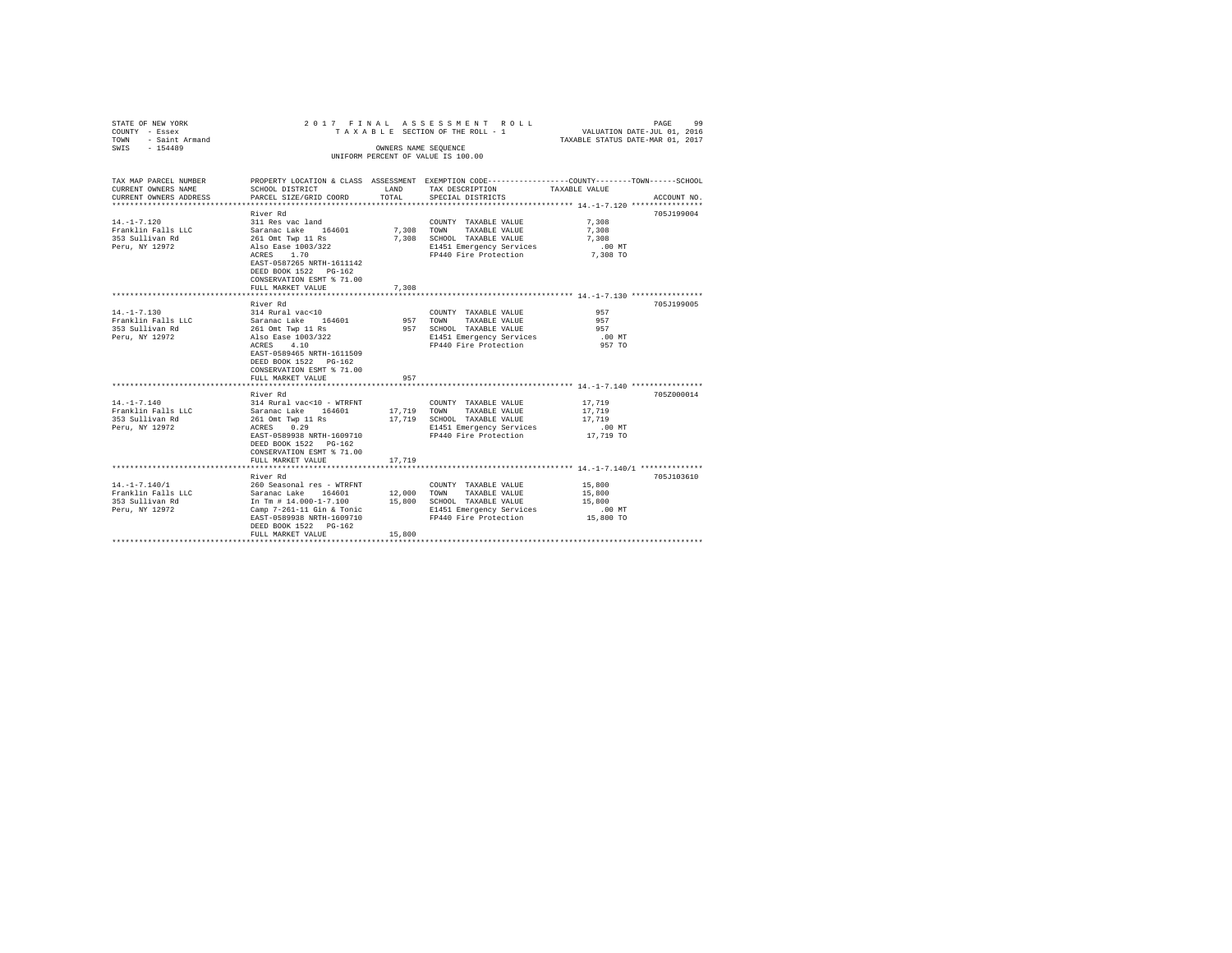| STATE OF NEW YORK<br>COUNTY - Essex<br>TOWN<br>- Saint Armand | 2017 FINAL<br>TAXABLE SECTION OF THE ROLL - 1 | 99<br>PAGE<br>VALUATION DATE-JUL 01, 2016<br>TAXABLE STATUS DATE-MAR 01, 2017 |                                                                                                 |               |             |
|---------------------------------------------------------------|-----------------------------------------------|-------------------------------------------------------------------------------|-------------------------------------------------------------------------------------------------|---------------|-------------|
| SWIS - 154489                                                 |                                               |                                                                               | OWNERS NAME SEOUENCE<br>UNIFORM PERCENT OF VALUE IS 100.00                                      |               |             |
|                                                               |                                               |                                                                               |                                                                                                 |               |             |
| TAX MAP PARCEL NUMBER                                         |                                               |                                                                               | PROPERTY LOCATION & CLASS ASSESSMENT EXEMPTION CODE----------------COUNTY-------TOWN-----SCHOOL |               |             |
| CURRENT OWNERS NAME<br>CURRENT OWNERS ADDRESS                 | SCHOOL DISTRICT<br>PARCEL SIZE/GRID COORD     | LAND<br>TOTAL                                                                 | TAX DESCRIPTION<br>SPECIAL DISTRICTS                                                            | TAXABLE VALUE | ACCOUNT NO. |
|                                                               |                                               |                                                                               |                                                                                                 |               |             |
|                                                               | River Rd                                      |                                                                               |                                                                                                 |               | 705J199004  |
| $14. - 1 - 7.120$                                             | 311 Res vac land                              |                                                                               | COUNTY TAXABLE VALUE                                                                            | 7.308         |             |
| Franklin Falls LLC                                            | Saranac Lake 164601                           | 7.308                                                                         | TOWN<br>TAXABLE VALUE                                                                           | 7.308         |             |
| 353 Sullivan Rd                                               | 261 Omt Twp 11 Rs                             |                                                                               | 7,308 SCHOOL TAXABLE VALUE                                                                      | 7.308         |             |
| Peru, NY 12972                                                | Also Ease 1003/322                            |                                                                               | E1451 Emergency Services                                                                        | .00 MT        |             |
|                                                               | ACRES 1.70<br>EAST-0587265 NRTH-1611142       |                                                                               | FP440 Fire Protection                                                                           | 7,308 TO      |             |
|                                                               | DEED BOOK 1522 PG-162                         |                                                                               |                                                                                                 |               |             |
|                                                               | CONSERVATION ESMT % 71.00                     |                                                                               |                                                                                                 |               |             |
|                                                               | FULL MARKET VALUE<br>************************ | 7.308                                                                         |                                                                                                 |               |             |
|                                                               | River Rd                                      |                                                                               |                                                                                                 |               | 705J199005  |
| $14. - 1 - 7.130$                                             | 314 Rural vac<10                              |                                                                               | COUNTY TAXABLE VALUE                                                                            | 957           |             |
| Franklin Falls LLC                                            |                                               |                                                                               | 957 TOWN<br>TAXABLE VALUE                                                                       | 957           |             |
| 353 Sullivan Rd                                               | Saranac Lake 164601<br>261 Omt Twp 11 Rs      |                                                                               | 957 SCHOOL TAXABLE VALUE                                                                        | 957           |             |
| Peru, NY 12972                                                | Also Ease 1003/322                            |                                                                               | E1451 Emergency Services                                                                        | .00 MT        |             |
|                                                               | ACRES 4.10                                    |                                                                               | FP440 Fire Protection                                                                           | 957 TO        |             |
|                                                               | EAST-0589465 NRTH-1611509                     |                                                                               |                                                                                                 |               |             |
|                                                               | DEED BOOK 1522 PG-162                         |                                                                               |                                                                                                 |               |             |
|                                                               | CONSERVATION ESMT % 71.00                     | 957                                                                           |                                                                                                 |               |             |
|                                                               | FULL MARKET VALUE                             |                                                                               |                                                                                                 |               |             |
|                                                               | River Rd                                      |                                                                               |                                                                                                 |               | 705Z000014  |
| $14. - 1 - 7.140$                                             | 314 Rural vac<10 - WTRFNT                     |                                                                               | COUNTY TAXABLE VALUE                                                                            | 17,719        |             |
| Franklin Falls LLC                                            | Saranac Lake 164601                           | 17,719                                                                        | TOWN TAXABLE VALUE                                                                              | 17,719        |             |
| 353 Sullivan Rd                                               | 261 Omt Twp 11 Rs                             | 17,719                                                                        | SCHOOL TAXABLE VALUE                                                                            | 17,719        |             |
| Peru, NY 12972                                                | ACRES 0.29                                    |                                                                               | E1451 Emergency Services                                                                        | .00 MT        |             |
|                                                               | EAST-0589938 NRTH-1609710                     |                                                                               | FP440 Fire Protection                                                                           | 17,719 TO     |             |
|                                                               | DEED BOOK 1522 PG-162                         |                                                                               |                                                                                                 |               |             |
|                                                               | CONSERVATION ESMT % 71.00                     |                                                                               |                                                                                                 |               |             |
|                                                               | FULL MARKET VALUE                             | 17,719                                                                        |                                                                                                 |               |             |
|                                                               | River Rd                                      |                                                                               |                                                                                                 |               | 705J103610  |
| $14. - 1 - 7.140/1$                                           | 260 Seasonal res - WTRFNT                     |                                                                               | COUNTY TAXABLE VALUE                                                                            | 15,800        |             |
| Franklin Falls LLC                                            | Saranac Lake 164601                           |                                                                               | 12,000 TOWN TAXABLE VALUE                                                                       | 15,800        |             |
| 353 Sullivan Rd                                               | In Tm # 14.000-1-7.100                        |                                                                               | 15,800 SCHOOL TAXABLE VALUE                                                                     | 15,800        |             |
| Peru, NY 12972                                                | Camp 7-261-11 Gin & Tonic                     |                                                                               | E1451 Emergency Services                                                                        | $.00$ MT      |             |
|                                                               | EAST-0589938 NRTH-1609710                     |                                                                               | FP440 Fire Protection                                                                           | 15,800 TO     |             |
|                                                               | DEED BOOK 1522 PG-162                         |                                                                               |                                                                                                 |               |             |
|                                                               | FULL MARKET VALUE                             | 15,800                                                                        |                                                                                                 |               |             |
|                                                               |                                               |                                                                               |                                                                                                 |               |             |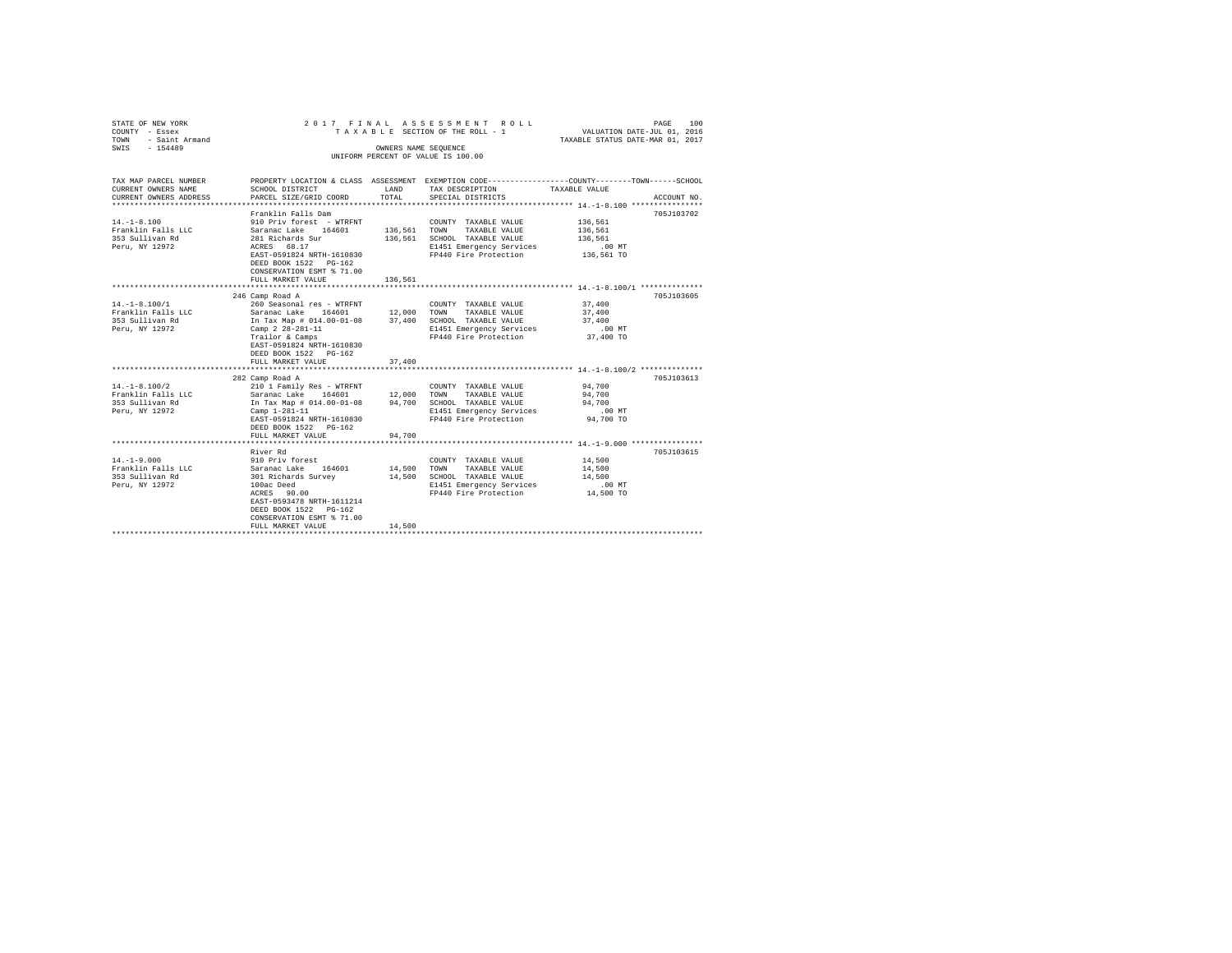| STATE OF NEW YORK<br>COUNTY - Essex<br>TOWN - Saint Armand |                                                                                                        |                                 | 2017 FINAL ASSESSMENT ROLL<br>TAXABLE SECTION OF THE ROLL - 1 | PAGE<br>100<br>VALUATION DATE-JUL 01, 2016<br>TAXABLE STATUS DATE-MAR 01, 2017                  |
|------------------------------------------------------------|--------------------------------------------------------------------------------------------------------|---------------------------------|---------------------------------------------------------------|-------------------------------------------------------------------------------------------------|
| SWIS - 154489                                              |                                                                                                        |                                 | OWNERS NAME SEQUENCE<br>UNIFORM PERCENT OF VALUE IS 100.00    |                                                                                                 |
|                                                            |                                                                                                        |                                 |                                                               |                                                                                                 |
|                                                            |                                                                                                        |                                 |                                                               |                                                                                                 |
| TAX MAP PARCEL NUMBER                                      |                                                                                                        |                                 |                                                               | PROPERTY LOCATION & CLASS ASSESSMENT EXEMPTION CODE---------------COUNTY-------TOWN------SCHOOL |
| CURRENT OWNERS NAME<br>CURRENT OWNERS ADDRESS              | SCHOOL DISTRICT<br>PARCEL SIZE/GRID COORD                                                              | TOTAL                           | LAND TAX DESCRIPTION                                          | TAXABLE VALUE<br>ACCOUNT NO.                                                                    |
|                                                            |                                                                                                        |                                 | SPECIAL DISTRICTS                                             |                                                                                                 |
|                                                            | Franklin Falls Dam                                                                                     |                                 |                                                               | 705J103702                                                                                      |
| $14. -1 - 8.100$                                           | 910 Priv forest - WTRFNT                                                                               |                                 | COUNTY TAXABLE VALUE                                          | 136,561                                                                                         |
| Franklin Falls LLC                                         | Saranac Lake 164601 136,561 TOWN TAXABLE VALUE                                                         |                                 |                                                               | 136.561                                                                                         |
| 353 Sullivan Rd                                            | 281 Richards Sur                                                                                       |                                 | 136,561 SCHOOL TAXABLE VALUE                                  | 136.561                                                                                         |
| Peru, NY 12972                                             | ACRES 68.17                                                                                            |                                 | E1451 Emergency Services                                      | $.00$ MT                                                                                        |
|                                                            | EAST-0591824 NRTH-1610830                                                                              |                                 | FP440 Fire Protection 136.561 TO                              |                                                                                                 |
|                                                            | DEED BOOK 1522 PG-162                                                                                  |                                 |                                                               |                                                                                                 |
|                                                            | CONSERVATION ESMT % 71.00                                                                              | 136.561                         |                                                               |                                                                                                 |
|                                                            | FULL MARKET VALUE                                                                                      |                                 |                                                               |                                                                                                 |
|                                                            | 246 Camp Road A                                                                                        |                                 |                                                               | 705J103605                                                                                      |
| $14. - 1 - 8.100/1$                                        | 260 Seasonal res - WTRFNT                                                                              |                                 | COUNTY TAXABLE VALUE                                          | 37,400                                                                                          |
| Franklin Falls LLC                                         | Saranac Lake 164601                                                                                    | 12,000 TOWN                     | TAXABLE VALUE                                                 | 37,400                                                                                          |
| 353 Sullivan Rd                                            | In Tax Map # 014.00-01-08 37,400 SCHOOL TAXABLE VALUE                                                  |                                 |                                                               | 37,400                                                                                          |
| Peru, NY 12972                                             | Camp 2 28-281-11                                                                                       |                                 | E1451 Emergency Services                                      | $.00$ MT                                                                                        |
|                                                            | Trailor & Camps                                                                                        |                                 | FP440 Fire Protection                                         | 37,400 TO                                                                                       |
|                                                            | EAST-0591824 NRTH-1610830                                                                              |                                 |                                                               |                                                                                                 |
|                                                            | DEED BOOK 1522 PG-162                                                                                  |                                 |                                                               |                                                                                                 |
|                                                            | FULL MARKET VALUE<br>******************************                                                    | 37,400<br>********************* |                                                               | *********************** 14.-1-8.100/2 **************                                            |
|                                                            | 282 Camp Road A                                                                                        |                                 |                                                               | 705J103613                                                                                      |
| $14. - 1 - 8.100/2$                                        | 210 1 Family Res - WTRFNT                                                                              |                                 | COUNTY TAXABLE VALUE                                          | 94,700                                                                                          |
| Franklin Falls LLC                                         | Saranac Lake 164601 12,000 TOWN TAXABLE VALUE<br>In Tax Map # 014.00-01-08 94,700 SCHOOL TAXABLE VALUE |                                 |                                                               | 94,700                                                                                          |
| 353 Sullivan Rd                                            |                                                                                                        |                                 |                                                               | 94,700                                                                                          |
| Peru, NY 12972                                             | Camp $1-281-11$                                                                                        |                                 | E1451 Emergency Services                                      | $.00$ MT                                                                                        |
|                                                            | EAST-0591824 NRTH-1610830                                                                              |                                 | FP440 Fire Protection                                         | 94,700 TO                                                                                       |
|                                                            | DEED BOOK 1522 PG-162                                                                                  |                                 |                                                               |                                                                                                 |
|                                                            | FULL MARKET VALUE                                                                                      | 94,700                          |                                                               |                                                                                                 |
|                                                            | River Rd                                                                                               |                                 |                                                               | 705J103615                                                                                      |
| $14. - 1 - 9.000$                                          | 910 Priv forest                                                                                        |                                 | COUNTY TAXABLE VALUE                                          | 14,500                                                                                          |
| Franklin Falls LLC                                         |                                                                                                        | 14,500 TOWN                     | TAXABLE VALUE                                                 | 14,500                                                                                          |
| 353 Sullivan Rd                                            | Saranac Lake 164601<br>301 Richards Survey                                                             |                                 | 14,500 SCHOOL TAXABLE VALUE                                   | 14,500                                                                                          |
| Peru, NY 12972                                             | 100ac Deed                                                                                             |                                 | E1451 Emergency Services                                      | $.00$ MT                                                                                        |
|                                                            | 100ac Deed<br>ACRES 90.00                                                                              |                                 | FP440 Fire Protection                                         | 14,500 TO                                                                                       |
|                                                            | EAST-0593478 NRTH-1611214                                                                              |                                 |                                                               |                                                                                                 |
|                                                            | DEED BOOK 1522 PG-162                                                                                  |                                 |                                                               |                                                                                                 |
|                                                            | CONSERVATION ESMT % 71.00                                                                              |                                 |                                                               |                                                                                                 |
|                                                            | FULL MARKET VALUE                                                                                      | 14,500                          |                                                               |                                                                                                 |
|                                                            |                                                                                                        |                                 |                                                               |                                                                                                 |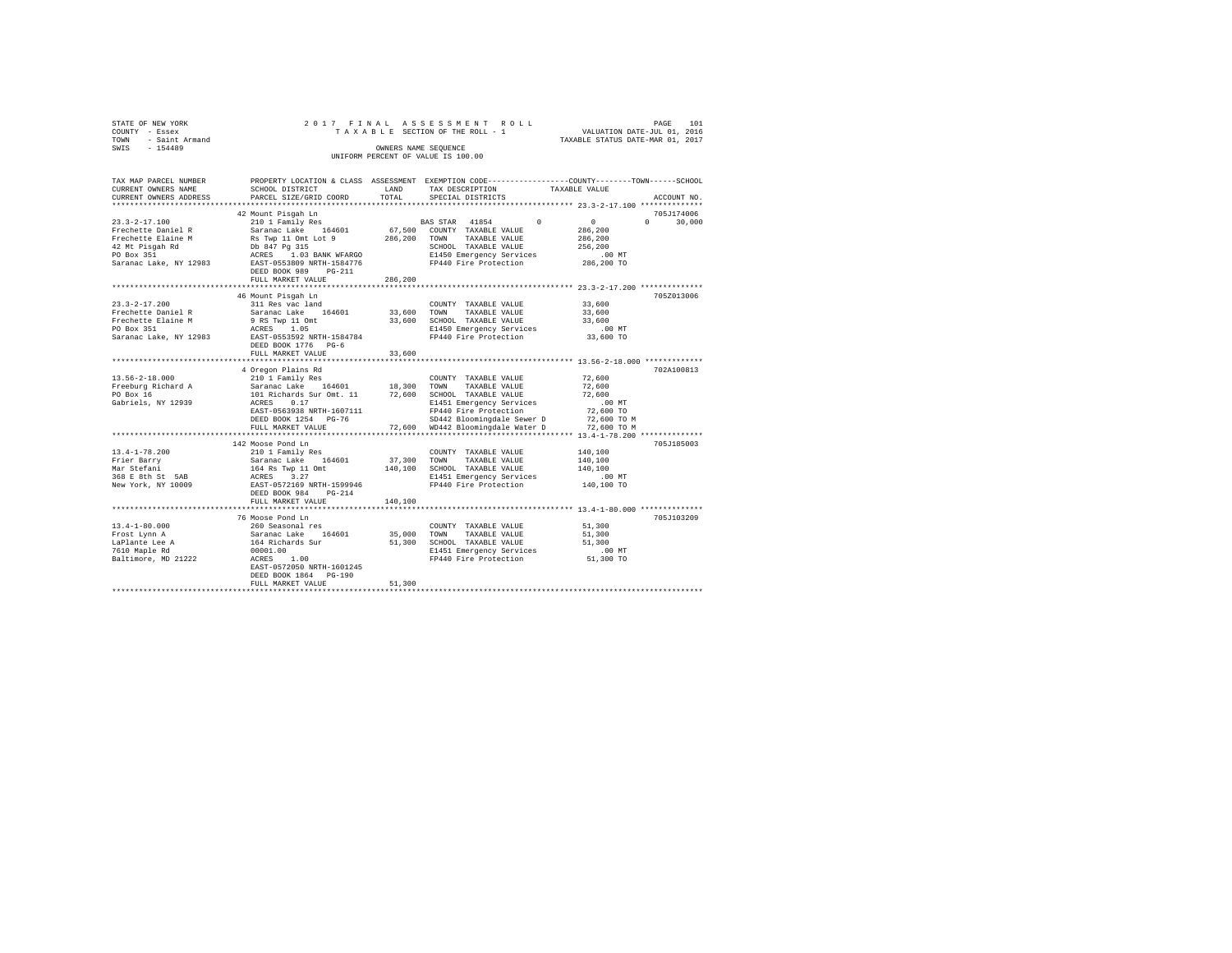| STATE OF NEW YORK<br>COUNTY - Essex | 2017 FINAL                                                                          |              | ASSESSMENT ROLL<br>TAXABLE SECTION OF THE ROLL - 1                                              | VALUATION DATE-JUL 01, 2016                     | 101<br>PAGE                 |
|-------------------------------------|-------------------------------------------------------------------------------------|--------------|-------------------------------------------------------------------------------------------------|-------------------------------------------------|-----------------------------|
| - Saint Armand<br>TOWN              |                                                                                     |              |                                                                                                 | TAXABLE STATUS DATE-MAR 01, 2017                |                             |
| SWIS - 154489                       |                                                                                     |              | OWNERS NAME SEQUENCE                                                                            |                                                 |                             |
|                                     |                                                                                     |              | UNIFORM PERCENT OF VALUE IS 100.00                                                              |                                                 |                             |
|                                     |                                                                                     |              |                                                                                                 |                                                 |                             |
| TAX MAP PARCEL NUMBER               |                                                                                     |              | PROPERTY LOCATION & CLASS ASSESSMENT EXEMPTION CODE---------------COUNTY-------TOWN------SCHOOL |                                                 |                             |
| CURRENT OWNERS NAME                 | SCHOOL DISTRICT                                                                     | <b>T.AND</b> | TAX DESCRIPTION                                                                                 | TAXABLE VALUE                                   |                             |
| CURRENT OWNERS ADDRESS              | PARCEL SIZE/GRID COORD                                                              | TOTAL        | SPECIAL DISTRICTS                                                                               |                                                 | ACCOUNT NO.                 |
|                                     |                                                                                     |              |                                                                                                 |                                                 |                             |
| $23.3 - 2 - 17.100$                 | 42 Mount Pisgah Ln<br>210 1 Family Res                                              |              | BAS STAR 41854 0                                                                                | $\sim$ 0                                        | 705J174006<br>$0 \t 30.000$ |
| Frechette Daniel R                  | Saranac Lake 164601                                                                 |              | 67,500 COUNTY TAXABLE VALUE                                                                     | 286,200                                         |                             |
|                                     |                                                                                     |              |                                                                                                 |                                                 |                             |
|                                     |                                                                                     |              |                                                                                                 |                                                 |                             |
|                                     |                                                                                     |              |                                                                                                 |                                                 |                             |
|                                     |                                                                                     |              |                                                                                                 |                                                 |                             |
|                                     | DEED BOOK 989 PG-211                                                                |              |                                                                                                 |                                                 |                             |
|                                     | FULL MARKET VALUE                                                                   | 286,200      |                                                                                                 |                                                 |                             |
|                                     |                                                                                     | ************ |                                                                                                 | ****************** 23.3-2-17.200 ************** |                             |
|                                     | 46 Mount Pisgah Ln                                                                  |              |                                                                                                 |                                                 | 705Z013006                  |
| $23.3 - 2 - 17.200$                 | 311 Res vac land                                                                    |              | COUNTY TAXABLE VALUE                                                                            | 33,600                                          |                             |
| Frechette Daniel R                  | Saranac Lake 164601                                                                 | 33,600       | TOWN<br>TAXABLE VALUE                                                                           | 33,600                                          |                             |
| Frechette Elaine M<br>PO Box 351    | 9 RS Twp 11 Omt<br>ACRES 1.05                                                       |              | 33,600 SCHOOL TAXABLE VALUE                                                                     | 33,600<br>$.00$ MT                              |                             |
|                                     | Saranac Lake, NY 12983 EAST-0553592 NRTH-1584784                                    |              | E1450 Emergency Services<br>FP440 Fire Protection                                               | 33,600 TO                                       |                             |
|                                     | DEED BOOK 1776 PG-6                                                                 |              |                                                                                                 |                                                 |                             |
|                                     | FULL MARKET VALUE                                                                   | 33,600       |                                                                                                 |                                                 |                             |
|                                     |                                                                                     |              |                                                                                                 |                                                 |                             |
|                                     | 4 Oregon Plains Rd                                                                  |              |                                                                                                 |                                                 | 702A100813                  |
| 13.56-2-18.000                      | 210 1 Family Res                                                                    |              | COUNTY TAXABLE VALUE                                                                            | 72,600                                          |                             |
| Freeburg Richard A                  | Saranac Lake 164601 18,300                                                          |              | TOWN<br>TAXABLE VALUE                                                                           | 72,600                                          |                             |
| PO Box 16                           | 101 Richards Sur Omt. 11 72,600 SCHOOL TAXABLE VALUE                                |              |                                                                                                 | 72,600                                          |                             |
| Gabriels, NY 12939                  | ACRES 0.17                                                                          |              | E1451 Emergency Services<br>FP440 Fire Protection                                               | .00MT                                           |                             |
|                                     | EAST-0563938 NRTH-1607111<br>DEED BOOK 1254 PG-76                                   |              | SD442 Bloomingdale Sewer D                                                                      | 72,600 TO<br>72,600 TO M                        |                             |
|                                     | FULL MARKET VALUE                                                                   |              | 72,600 WD442 Bloomingdale Water D 72,600 TO M                                                   |                                                 |                             |
|                                     |                                                                                     |              |                                                                                                 |                                                 |                             |
|                                     | 142 Moose Pond Ln                                                                   |              |                                                                                                 |                                                 | 705J185003                  |
| $13.4 - 1 - 78.200$                 | 210 1 Family Res                                                                    |              | COUNTY TAXABLE VALUE                                                                            | 140,100                                         |                             |
| Frier Barry                         |                                                                                     | 37,300 TOWN  | TAXABLE VALUE                                                                                   | 140,100                                         |                             |
| Mar Stefani                         |                                                                                     |              | 140,100 SCHOOL TAXABLE VALUE                                                                    | 140,100                                         |                             |
| 368 E 8th St 5AB                    | Saranac Lake 164601<br>164 Rs Twp 11 Omt<br>ACRES 3.27<br>EAST-0572169 NRTH-1599946 |              | E1451 Emergency Services                                                                        | .00 MT                                          |                             |
| New York, NY 10009                  |                                                                                     |              | FP440 Fire Protection                                                                           | 140,100 TO                                      |                             |
|                                     | DEED BOOK 984 PG-214                                                                | 140,100      |                                                                                                 |                                                 |                             |
|                                     | FULL MARKET VALUE                                                                   |              |                                                                                                 |                                                 |                             |
|                                     | 76 Moose Pond Ln                                                                    |              |                                                                                                 |                                                 | 705J103209                  |
| $13.4 - 1 - 80.000$                 | 260 Seasonal res                                                                    |              | COUNTY TAXABLE VALUE                                                                            | 51,300                                          |                             |
| Frost Lynn A                        |                                                                                     | 35,000       | TOWN<br>TAXABLE VALUE                                                                           | 51,300                                          |                             |
|                                     | Saranac Lake 164601<br>164 Richards Sur                                             |              | SCHOOL TAXABLE VALUE                                                                            | 51,300                                          |                             |
| LaPlante Lee A<br>7610 Maple Rd     | 00001.00                                                                            | 51,300       | E1451 Emergency Services<br>FP440 Fire Protection                                               | $.00$ MT                                        |                             |
| Baltimore, MD 21222                 | ACRES 1.00                                                                          |              |                                                                                                 | 51,300 TO                                       |                             |
|                                     | EAST-0572050 NRTH-1601245                                                           |              |                                                                                                 |                                                 |                             |
|                                     | DEED BOOK 1864 PG-190                                                               |              |                                                                                                 |                                                 |                             |

DEED BOOK 1864 PG-190 FULL MARKET VALUE 51,300 \*\*\*\*\*\*\*\*\*\*\*\*\*\*\*\*\*\*\*\*\*\*\*\*\*\*\*\*\*\*\*\*\*\*\*\*\*\*\*\*\*\*\*\*\*\*\*\*\*\*\*\*\*\*\*\*\*\*\*\*\*\*\*\*\*\*\*\*\*\*\*\*\*\*\*\*\*\*\*\*\*\*\*\*\*\*\*\*\*\*\*\*\*\*\*\*\*\*\*\*\*\*\*\*\*\*\*\*\*\*\*\*\*\*\*\*\*\*\*\*\*\*\*\*\*\*\*\*\*\*\*\*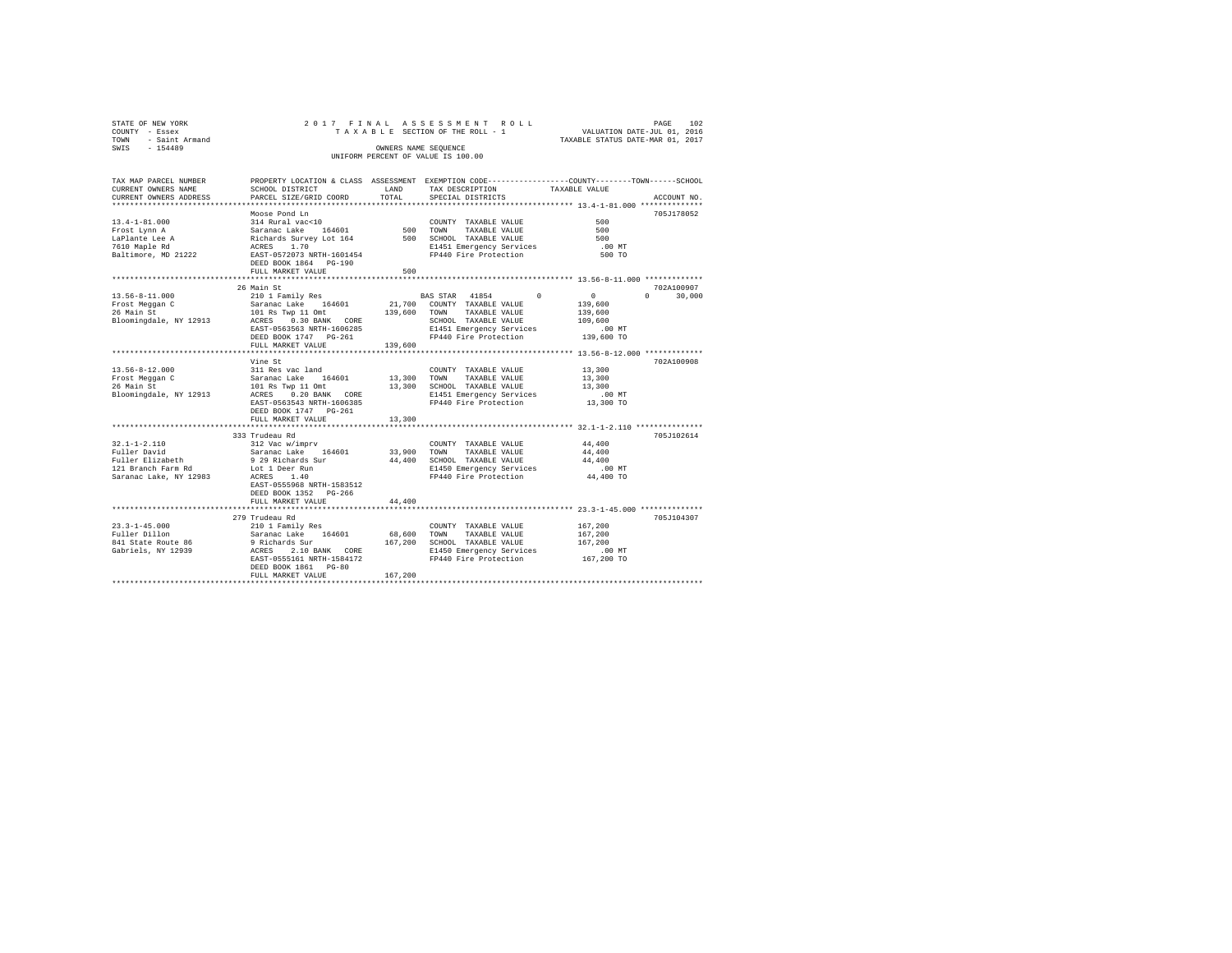| STATE OF NEW YORK<br>COUNTY - Essex<br>- Saint Armand<br>TOWN<br>SWIS<br>$-154489$ |                                     | 2017 FINAL ASSESSMENT ROLL<br>TAXABLE SECTION OF THE ROLL - 1<br>OWNERS NAME SEOUENCE<br>UNIFORM PERCENT OF VALUE IS 100.00 | TAXABLE STATUS DATE-MAR 01, 2017 | PAGE<br>VALUATION DATE-JUL 01, 2016 | 102 |
|------------------------------------------------------------------------------------|-------------------------------------|-----------------------------------------------------------------------------------------------------------------------------|----------------------------------|-------------------------------------|-----|
| TAV MAD DAD/UT MIIMDUD                                                             | DEADERE LACATION & CLASS ACCESSMENT | <b>EXEMPTON CODE</b> -----------------                                                                                      |                                  |                                     |     |

| IAA MAP PARCEL NUMBER                                                                                                                                                                                                                        | RKOREKII POCHIION & CPRSS - RSSESSMENI - EXEMPIION CODE----------------COUNII-------IOMN------SCHOOP |             |                             |                               |                      |                                                                                  |
|----------------------------------------------------------------------------------------------------------------------------------------------------------------------------------------------------------------------------------------------|------------------------------------------------------------------------------------------------------|-------------|-----------------------------|-------------------------------|----------------------|----------------------------------------------------------------------------------|
| CURRENT OWNERS NAME                                                                                                                                                                                                                          | SCHOOL DISTRICT                                                                                      | LAND        |                             | TAX DESCRIPTION TAXABLE VALUE |                      |                                                                                  |
| CURRENT OWNERS ADDRESS                                                                                                                                                                                                                       | PARCEL SIZE/GRID COORD                                                                               | TOTAL       | SPECIAL DISTRICTS           |                               |                      | ACCOUNT NO.                                                                      |
|                                                                                                                                                                                                                                              |                                                                                                      |             |                             |                               |                      |                                                                                  |
|                                                                                                                                                                                                                                              | Moose Pond Ln                                                                                        |             |                             |                               |                      | 705J178052                                                                       |
| $13.4 - 1 - 81.000$                                                                                                                                                                                                                          | 314 Rural vac<10                                                                                     |             |                             | COUNTY TAXABLE VALUE          | 500                  |                                                                                  |
|                                                                                                                                                                                                                                              |                                                                                                      | 500         |                             |                               |                      |                                                                                  |
| Frost Lynn A                                                                                                                                                                                                                                 | Saranac Lake 164601<br>Richards Survey Lot 164<br>164601                                             |             | TOWN                        | TAXABLE VALUE                 | 500                  |                                                                                  |
| LaPlante Lee A                                                                                                                                                                                                                               |                                                                                                      |             |                             | 500 SCHOOL TAXABLE VALUE      | 500                  |                                                                                  |
| 7610 Maple Rd                                                                                                                                                                                                                                | 1.70<br>ACRES                                                                                        |             |                             | E1451 Emergency Services      | $.00$ MT             |                                                                                  |
| Baltimore, MD 21222                                                                                                                                                                                                                          | EAST-0572073 NRTH-1601454                                                                            |             |                             | FP440 Fire Protection         | 500 TO               |                                                                                  |
|                                                                                                                                                                                                                                              | DEED BOOK 1864 PG-190                                                                                |             |                             |                               |                      |                                                                                  |
|                                                                                                                                                                                                                                              | FULL MARKET VALUE                                                                                    | 500         |                             |                               |                      |                                                                                  |
|                                                                                                                                                                                                                                              |                                                                                                      |             |                             |                               |                      |                                                                                  |
|                                                                                                                                                                                                                                              | 26 Main St                                                                                           |             |                             |                               |                      | 702A100907                                                                       |
|                                                                                                                                                                                                                                              |                                                                                                      |             |                             |                               | $\sim$ 0             | $\Omega$                                                                         |
| $13.56 - 8 - 11.000$                                                                                                                                                                                                                         | 210 1 Family Res                                                                                     |             |                             | BAS STAR 41854 0              |                      | 30,000                                                                           |
| Frost Meggan C                                                                                                                                                                                                                               | Saranac Lake 164601                                                                                  |             | 21,700 COUNTY TAXABLE VALUE |                               | 139,600              |                                                                                  |
| e de la construcción de la construcción de la construcción de la construcción de la construcción de la construcción de la construcción de la construcción de la construcción de la construcción de la construcción de la const<br>26 Main St |                                                                                                      |             |                             |                               | 139,600              |                                                                                  |
| Bloomingdale, NY 12913                                                                                                                                                                                                                       | ACRES<br>0.30 BANK CORE                                                                              |             |                             | SCHOOL TAXABLE VALUE          | 109,600              |                                                                                  |
|                                                                                                                                                                                                                                              | EAST-0563563 NRTH-1606285                                                                            |             |                             | E1451 Emergency Services      | $.00$ MT             |                                                                                  |
|                                                                                                                                                                                                                                              | DEED BOOK 1747    PG-261                                                                             |             |                             | FP440 Fire Protection         | سس بن.<br>139,600 TO |                                                                                  |
|                                                                                                                                                                                                                                              | FULL MARKET VALUE                                                                                    | 139,600     |                             |                               |                      |                                                                                  |
|                                                                                                                                                                                                                                              |                                                                                                      |             |                             |                               |                      |                                                                                  |
|                                                                                                                                                                                                                                              |                                                                                                      |             |                             |                               |                      |                                                                                  |
|                                                                                                                                                                                                                                              | Vine St                                                                                              |             |                             |                               |                      | 702A100908                                                                       |
| $13.56 - 8 - 12.000$                                                                                                                                                                                                                         | 311 Res vac land                                                                                     |             |                             | COUNTY TAXABLE VALUE          | 13,300               |                                                                                  |
| Frost Meggan C                                                                                                                                                                                                                               | Saranac Lake 164601<br>101 Rs Twp 11 Omt                                                             | 13,300 TOWN |                             | TAXABLE VALUE                 | 13,300               |                                                                                  |
| 26 Main St                                                                                                                                                                                                                                   |                                                                                                      |             |                             | 13,300 SCHOOL TAXABLE VALUE   | 13,300               |                                                                                  |
|                                                                                                                                                                                                                                              | Bloomingdale, NY 12913 ACRES 0.20 BANK CORE                                                          |             |                             | E1451 Emergency Services      | $.00$ MT             |                                                                                  |
|                                                                                                                                                                                                                                              | EAST-0563543 NRTH-1606385                                                                            |             |                             | FP440 Fire Protection         | 13,300 TO            |                                                                                  |
|                                                                                                                                                                                                                                              | DEED BOOK 1747 PG-261                                                                                |             |                             |                               |                      |                                                                                  |
|                                                                                                                                                                                                                                              |                                                                                                      |             |                             |                               |                      |                                                                                  |
|                                                                                                                                                                                                                                              | FULL MARKET VALUE                                                                                    | 13,300      |                             |                               |                      |                                                                                  |
|                                                                                                                                                                                                                                              |                                                                                                      |             |                             |                               |                      |                                                                                  |
|                                                                                                                                                                                                                                              | 333 Trudeau Rd                                                                                       |             |                             |                               |                      | 705J102614                                                                       |
| $32.1 - 1 - 2.110$                                                                                                                                                                                                                           | 312 Vac w/imprv                                                                                      |             |                             | COUNTY TAXABLE VALUE          | 44,400               |                                                                                  |
| Fuller David                                                                                                                                                                                                                                 | Saranac Lake 164601                                                                                  |             |                             | 33,900 TOWN TAXABLE VALUE     | 44,400               |                                                                                  |
| Fuller Elizabeth                                                                                                                                                                                                                             | 9 29 Richards Sur                                                                                    |             |                             | 44,400 SCHOOL TAXABLE VALUE   | 44,400               |                                                                                  |
| 121 Branch Farm Rd                                                                                                                                                                                                                           | Lot 1 Deer Run                                                                                       |             |                             | E1450 Emergency Services      | $.00$ MT             |                                                                                  |
| Saranac Lake, NY 12983                                                                                                                                                                                                                       | 1.40<br>ACRES                                                                                        |             |                             | FP440 Fire Protection         | 44,400 TO            |                                                                                  |
|                                                                                                                                                                                                                                              | EAST-0555968 NRTH-1583512                                                                            |             |                             |                               |                      |                                                                                  |
|                                                                                                                                                                                                                                              | DEED BOOK 1352 PG-266                                                                                |             |                             |                               |                      |                                                                                  |
|                                                                                                                                                                                                                                              |                                                                                                      |             |                             |                               |                      |                                                                                  |
|                                                                                                                                                                                                                                              | FULL MARKET VALUE                                                                                    | 44,400      |                             |                               |                      |                                                                                  |
|                                                                                                                                                                                                                                              |                                                                                                      |             |                             |                               |                      | ************************************* 23.3-1-45.000 **************************** |
|                                                                                                                                                                                                                                              | 279 Trudeau Rd                                                                                       |             |                             |                               |                      | 705J104307                                                                       |
| $23.3 - 1 - 45.000$                                                                                                                                                                                                                          | 210 1 Family Res                                                                                     |             |                             | COUNTY TAXABLE VALUE          | 167,200              |                                                                                  |
| Fuller Dillon                                                                                                                                                                                                                                |                                                                                                      | 68,600      | TOWN                        | TAXABLE VALUE                 | 167,200              |                                                                                  |
| 841 State Route 86                                                                                                                                                                                                                           | Saranac Lake 164601<br>9 Richards Sur                                                                | 167.200     |                             | SCHOOL TAXABLE VALUE          | 167.200              |                                                                                  |
| Gabriels, NY 12939                                                                                                                                                                                                                           | ACRES 2.10 BANK CORE                                                                                 |             |                             | E1450 Emergency Services      |                      |                                                                                  |
|                                                                                                                                                                                                                                              |                                                                                                      |             |                             | FP440 Fire Protection         | 00 MT.<br>167,200 TO |                                                                                  |
|                                                                                                                                                                                                                                              | EAST-0555161 NRTH-1584172                                                                            |             |                             |                               |                      |                                                                                  |
|                                                                                                                                                                                                                                              | DEED BOOK 1861 PG-80                                                                                 |             |                             |                               |                      |                                                                                  |
|                                                                                                                                                                                                                                              | FULL MARKET VALUE                                                                                    | 167,200     |                             |                               |                      |                                                                                  |
|                                                                                                                                                                                                                                              |                                                                                                      |             |                             |                               |                      |                                                                                  |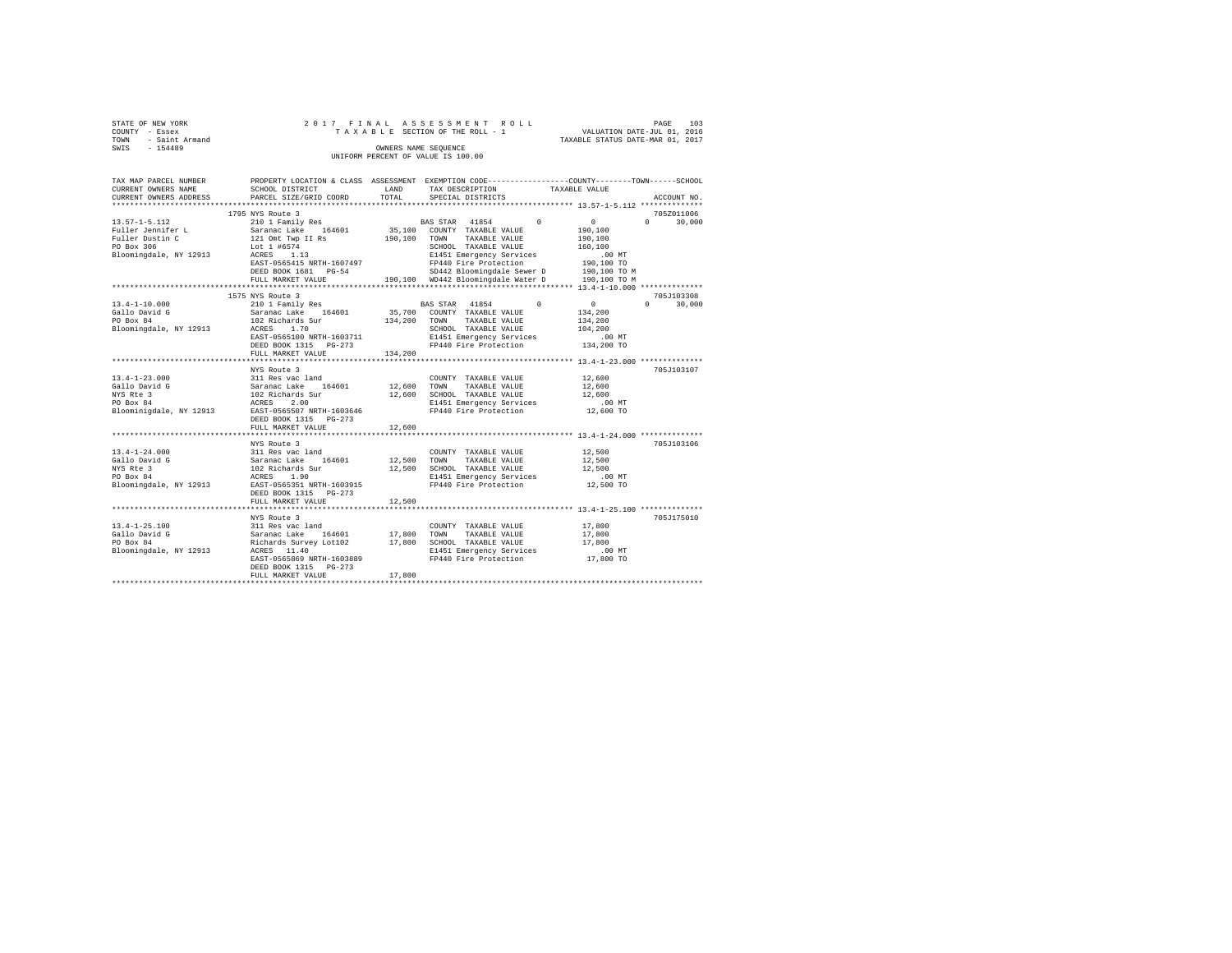|      | STATE OF NEW YORK |                      |  |  |  |  |  | 2017 FINAL ASSESSMENT ROLL         |  |  |  |                                  | PAGE | 103 |
|------|-------------------|----------------------|--|--|--|--|--|------------------------------------|--|--|--|----------------------------------|------|-----|
|      | COUNTY - Essex    |                      |  |  |  |  |  | TAXABLE SECTION OF THE ROLL - 1    |  |  |  | VALUATION DATE-JUL 01, 2016      |      |     |
| TOWN | - Saint Armand    |                      |  |  |  |  |  |                                    |  |  |  | TAXABLE STATUS DATE-MAR 01, 2017 |      |     |
| SWIS | $-154489$         | OWNERS NAME SEOUENCE |  |  |  |  |  |                                    |  |  |  |                                  |      |     |
|      |                   |                      |  |  |  |  |  | UNIFORM PERCENT OF VALUE IS 100.00 |  |  |  |                                  |      |     |

| TAX MAP PARCEL NUMBER<br>CURRENT OWNERS NAME<br>CURRENT OWNERS ADDRESS                                                | PROPERTY LOCATION & CLASS ASSESSMENT EXEMPTION CODE----------------COUNTY-------TOWN------SCHOOL<br>SCHOOL DISTRICT<br>PARCEL SIZE/GRID COORD                                                                 | LAND<br>TOTAL | TAX DESCRIPTION<br>SPECIAL DISTRICTS                                                                                                                                              | TAXABLE VALUE                                                       | ACCOUNT NO.                               |
|-----------------------------------------------------------------------------------------------------------------------|---------------------------------------------------------------------------------------------------------------------------------------------------------------------------------------------------------------|---------------|-----------------------------------------------------------------------------------------------------------------------------------------------------------------------------------|---------------------------------------------------------------------|-------------------------------------------|
|                                                                                                                       |                                                                                                                                                                                                               |               |                                                                                                                                                                                   |                                                                     |                                           |
|                                                                                                                       | 1795 NYS Route 3                                                                                                                                                                                              |               |                                                                                                                                                                                   |                                                                     | 705Z011006                                |
| $13.57 - 1 - 5.112$<br>13.57-1-3.1.<br>Fuller Jennifer L<br>Communism C<br>PO Box 306<br>Bloomingdale, NY 12913 ACRES | 210 1 Family Res 60 BAS STAR 41854 0<br>Saranac Lake 164601<br>121 Omt Twp II Rs<br>Lot 1 #6574<br>1.13<br>EAST-0565415 NRTH-1607497<br>DEED BOOK 1681 PG-54                                                  |               | 35,100 COUNTY TAXABLE VALUE<br>190,100 TOWN TAXABLE VALUE<br>SCHOOL TAXABLE VALUE<br>E1451 Emergency Services<br>FP440 Fire Protection<br>SD442 Bloomingdale Sewer D 190,100 TO M | $\sim$ 0<br>190,100<br>190,100<br>160,100<br>$.00$ MT<br>190,100 TO | $0 \qquad \qquad$<br>30,000               |
|                                                                                                                       | FULL MARKET VALUE                                                                                                                                                                                             |               | 190,100 WD442 Bloomingdale Water D                                                                                                                                                | 190,100 TO M                                                        |                                           |
|                                                                                                                       |                                                                                                                                                                                                               |               |                                                                                                                                                                                   |                                                                     |                                           |
| $13.4 - 1 - 10.000$<br>Gallo David G<br>PO Box 84<br>Bloomingdale, NY 12913                                           | 1575 NYS Route 3<br>210 1 Family Res<br>210 1 Family Res<br>Saranac Lake 164601<br>102 Richards Sur<br>1.70<br>ACRES<br>EAST-0565100 NRTH-1603711<br>DEED BOOK 1315 PG-273<br>FULL MARKET VALUE               | 134,200       | BAS STAR 41854 0<br>35,700 COUNTY TAXABLE VALUE<br>134,200 TOWN TAXABLE VALUE<br>TAXABLE VALUE<br>SCHOOL TAXABLE VALUE<br>E1451 Emergency Services<br>FP440 Fire Protection       | $\sim$ 0<br>134,200<br>134,200<br>104,200<br>.00MT<br>134,200 TO    | 705J103308<br>$0 \qquad \qquad$<br>30,000 |
|                                                                                                                       |                                                                                                                                                                                                               |               |                                                                                                                                                                                   |                                                                     |                                           |
| $13.4 - 1 - 23.000$<br>Gallo David G<br>NYS Rte 3<br>PO Box 84<br>Bloominigdale, NY 12913                             | NYS Route 3<br>11 Res vac land<br>Saranac Lake 164601 12,600 TOWN<br>102 Richards Sur 164601 12,600 SCHOO<br>ACRES 2.00<br>RAST-0565507 NRTH-1603646 F1440<br>DEED BOOK 1315<br>$PG-273$<br>FULL MARKET VALUE | 12,600        | COUNTY TAXABLE VALUE<br>TAXABLE VALUE<br>12,600 SCHOOL TAXABLE VALUE<br>E1451 Emergency Services<br>FP440 Fire Protection                                                         | 12,600<br>12,600<br>12,600<br>00 MT.<br>12,600 TO                   | 705J103107                                |
|                                                                                                                       | *****************************                                                                                                                                                                                 | ************  |                                                                                                                                                                                   | ********************************** 13.4-1-24.000 ***************    |                                           |
| $13.4 - 1 - 24.000$<br>Gallo David G<br>NYS Rte 3<br>PO Box 84                                                        | NYS Route 3<br>Bloomingdale, NY 12913 EAST-0565351 NRTH-1603915<br>DEED BOOK 1315    PG-273                                                                                                                   |               | FP440 Fire Protection 12,500 TO                                                                                                                                                   | 12,500<br>12,500<br>12,500<br>$.00$ MT                              | 705J103106                                |
|                                                                                                                       | FULL MARKET VALUE                                                                                                                                                                                             | 12,500        |                                                                                                                                                                                   |                                                                     |                                           |
| $13.4 - 1 - 25.100$<br>Gallo David G<br>PO Box 84<br>Bloomingdale, NY 12913 ACRES 11.40                               | NYS Route 5<br>311 Res vac land<br>Saranac Lake 164601 17,800<br>Richards Survey Lot102 17,800<br>17,800<br>11.40<br>EAST-0565869 NRTH-1603889<br>DEED BOOK 1315 PG-273<br>FULL MARKET VALUE                  | 17,800        | COUNTY TAXABLE VALUE<br>TOWN<br>TAXABLE VALUE<br>17,800 SCHOOL TAXABLE VALUE<br>E1451 Emergency Services<br>FP440 Fire Protection                                                 | 17,800<br>17,800<br>17,800<br>.00 MT<br>17,800 TO                   | 705J175010                                |
|                                                                                                                       |                                                                                                                                                                                                               |               |                                                                                                                                                                                   |                                                                     |                                           |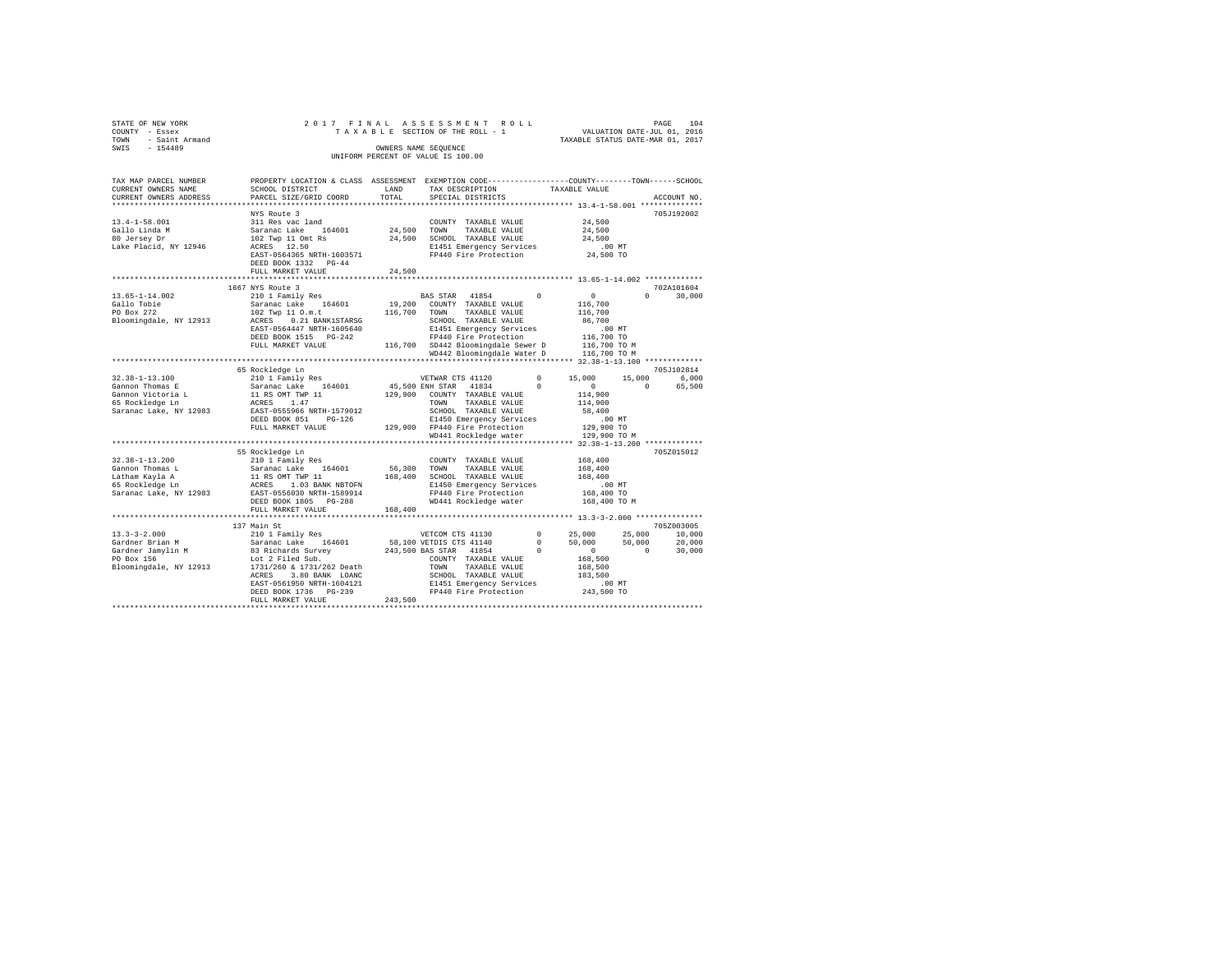| COUNTY - Essex         |                                                                                                  |              | TAXABLE SECTION OF THE ROLL - 1                 |                                  | <i>FROP</i><br>VALUATION DATE-JUL 01, 2016 |        |
|------------------------|--------------------------------------------------------------------------------------------------|--------------|-------------------------------------------------|----------------------------------|--------------------------------------------|--------|
| - Saint Armand<br>TOWN |                                                                                                  |              |                                                 | TAXABLE STATUS DATE-MAR 01, 2017 |                                            |        |
| SWIS - 154489          |                                                                                                  |              | OWNERS NAME SEOUENCE                            |                                  |                                            |        |
|                        |                                                                                                  |              | UNIFORM PERCENT OF VALUE IS 100.00              |                                  |                                            |        |
|                        |                                                                                                  |              |                                                 |                                  |                                            |        |
| TAX MAP PARCEL NUMBER  | PROPERTY LOCATION & CLASS ASSESSMENT EXEMPTION CODE----------------COUNTY-------TOWN------SCHOOL |              |                                                 |                                  |                                            |        |
| CURRENT OWNERS NAME    | SCHOOL DISTRICT                                                                                  | LAND         | TAX DESCRIPTION TAXABLE VALUE                   |                                  |                                            |        |
| CURRENT OWNERS ADDRESS | PARCEL SIZE/GRID COORD                                                                           | TOTAL        | SPECIAL DISTRICTS                               |                                  | ACCOUNT NO.                                |        |
|                        |                                                                                                  |              |                                                 |                                  |                                            |        |
|                        | NYS Route 3                                                                                      |              |                                                 |                                  | 705J192002                                 |        |
| $13.4 - 1 - 58.001$    | 311 Res vac land                                                                                 |              | COUNTY TAXABLE VALUE                            | 24,500                           |                                            |        |
| Gallo Linda M          | 164601 24,500 TOWN<br>Saranac Lake                                                               |              | TAXABLE VALUE                                   | 24,500                           |                                            |        |
| 80 Jersey Dr           | 102 Twp 11 Omt Rs                                                                                |              | 24,500 SCHOOL TAXABLE VALUE                     | 24,500                           |                                            |        |
| Lake Placid, NY 12946  | ACRES 12.50                                                                                      |              | E1451 Emergency Services                        | .00MT                            |                                            |        |
|                        | EAST-0564365 NRTH-1603571                                                                        |              | FP440 Fire Protection 24,500 TO                 |                                  |                                            |        |
|                        | DEED BOOK 1332 PG-44                                                                             |              |                                                 |                                  |                                            |        |
|                        | FULL MARKET VALUE                                                                                | 24,500       |                                                 |                                  |                                            |        |
|                        |                                                                                                  |              |                                                 |                                  |                                            |        |
|                        | 1667 NYS Route 3                                                                                 |              |                                                 |                                  | 702A101604                                 |        |
| $13.65 - 1 - 14.002$   | 210 1 Family Res                                                                                 |              | BAS STAR 41854<br>19,200 COUNTY TAXABLE VALUE   | $\Omega$<br>$\mathbf{0}$         | $0 \qquad \qquad$                          | 30,000 |
| Gallo Tobie            | Saranac Lake 164601                                                                              |              |                                                 | 116,700                          |                                            |        |
| PO Box 272             | 102 Twp 11 O.m.t                                                                                 | 116,700 TOWN | TAXABLE VALUE                                   | 116,700                          |                                            |        |
| Bloomingdale, NY 12913 | ACRES 0.21 BANK1STARSG                                                                           |              | SCHOOL TAXABLE VALUE                            | 86,700                           |                                            |        |
|                        | EAST-0564447 NRTH-1605640                                                                        |              | E1451 Emergency Services                        | .00MT<br>116,700 TO              |                                            |        |
|                        | DEED BOOK 1515 PG-242                                                                            |              | FP440 Fire Protection                           |                                  |                                            |        |
|                        | FULL MARKET VALUE                                                                                |              | 116,700 SD442 Bloomingdale Sewer D 116,700 TO M |                                  |                                            |        |
|                        |                                                                                                  |              | WD442 Bloomingdale Water D                      | 116,700 TO M                     |                                            |        |
|                        | 65 Rockledge Ln                                                                                  |              |                                                 |                                  | 705J102814                                 |        |
| $32.38 - 1 - 13.100$   | 210 1 Family Res                                                                                 |              | VETWAR CTS 41120                                | $\sim$ 0<br>15,000               | 15,000                                     | 6,000  |
| Gannon Thomas E        |                                                                                                  |              | 45,500 ENH STAR 41834                           | $\mathbf{0}$<br>$\Omega$         | $\Omega$                                   | 65,500 |
| Gannon Victoria L      | Saranac Lake 164601<br>11 RS OMT TWP 11                                                          |              | 129,900 COUNTY TAXABLE VALUE                    | 114,900                          |                                            |        |
| 65 Rockledge Ln        | 1.47<br>ACRES                                                                                    |              | TOWN<br>TAXABLE VALUE                           | 114,900                          |                                            |        |
| Saranac Lake, NY 12983 | EAST-0555966 NRTH-1579012                                                                        |              | SCHOOL TAXABLE VALUE                            | 58,400                           |                                            |        |
|                        | DEED BOOK 851<br>$PG-126$                                                                        |              | E1450 Emergency Services                        | $.00$ MT                         |                                            |        |
|                        | FULL MARKET VALUE                                                                                |              | 129,900 FP440 Fire Protection                   | 129,900 TO                       |                                            |        |
|                        |                                                                                                  |              | WD441 Rockledge water                           | 129,900 TO M                     |                                            |        |
|                        |                                                                                                  |              |                                                 |                                  |                                            |        |
|                        | 55 Rockledge Ln                                                                                  |              |                                                 |                                  | 705Z015012                                 |        |
| $32.38 - 1 - 13.200$   | 210 1 Family Res                                                                                 |              | COUNTY TAXABLE VALUE                            | 168,400                          |                                            |        |
| Gannon Thomas L        | 164601<br>Saranac Lake                                                                           | 56,300       | TOWN<br>TAXABLE VALUE                           | 168,400                          |                                            |        |
| Latham Kavla A         | 11 RS OMT TWP 11                                                                                 | 168,400      | SCHOOL TAXABLE VALUE                            | 168,400                          |                                            |        |

Gannon Thomas L. Saranac Lake 164601 56,300 TOWN TAXABLE VALUE 168,400<br>Latham Kayla A 11 RS OMT TWP 11 168,400 SCHOOL TAXABLE VALUE 168,400<br>65 Rockledge Ln 12 ACRES 1.03 BANK NETOPN FP440 Fire Protection 168,400 TO MT<br>Sara

Gardner Brian Ward, 2012 and the Saturd Conserver of the Saturdale, NY 12913 1731/260 & 1731/260 & 1731/260 & 1731/260 & 1731/260 & 1731/260 & 1731/260 & 1731/260 & 1731/260 & 1731/260 & 1731/260 & 1731/260 & 1731/260 & 17

 DEED BOOK 1805 PG-288 WD441 Rockledge water 168,400 TO M FULL MARKET VALUE 168,400 \*\*\*\*\*\*\*\*\*\*\*\*\*\*\*\*\*\*\*\*\*\*\*\*\*\*\*\*\*\*\*\*\*\*\*\*\*\*\*\*\*\*\*\*\*\*\*\*\*\*\*\*\*\*\*\*\*\*\*\*\*\*\*\*\*\*\*\*\*\*\*\*\*\*\*\*\*\*\*\*\*\*\*\*\*\*\*\*\*\*\*\*\*\*\*\*\*\*\*\*\*\*\* 13.3-3-2.000 \*\*\*\*\*\*\*\*\*\*\*\*\*\*\* 137 Main St 7052003005<br>13.3-3-2.000 10,000 12.000 12.000 210 17.000 13.000 13.000 13.000 13.000 13.000 13.000 13.000 13.000 13.000 13 Gardner Brian M Saranac Lake 164601 58,100 VETDIS CTS 41140 0 50,000 50,000 20,000 Gardner Jamylin M 83 Richards Survey 243,500 BAS STAR 41854 0 0 0 30,000 PO Box 156 Lot 2 Filed Sub. COUNTY TAXABLE VALUE 168,500

ACRES 3.00 BARK LOANC TO MEVIC TAXABLE VALUE (183,500<br>
EAST-0561950 NRTH-1604121 E1451 Emergency Services .00 MT<br>
DEED BOOK 1736 PG-239 .0243,500 PF PF440 Fire Protection 243,500 TO<br>
PT440 Fire Protection 243,500 TO<br>
PT440

STATE OF NEW YORK 2 0 1 7 F I N A L A S S E S S M E N T R O L L PAGE 104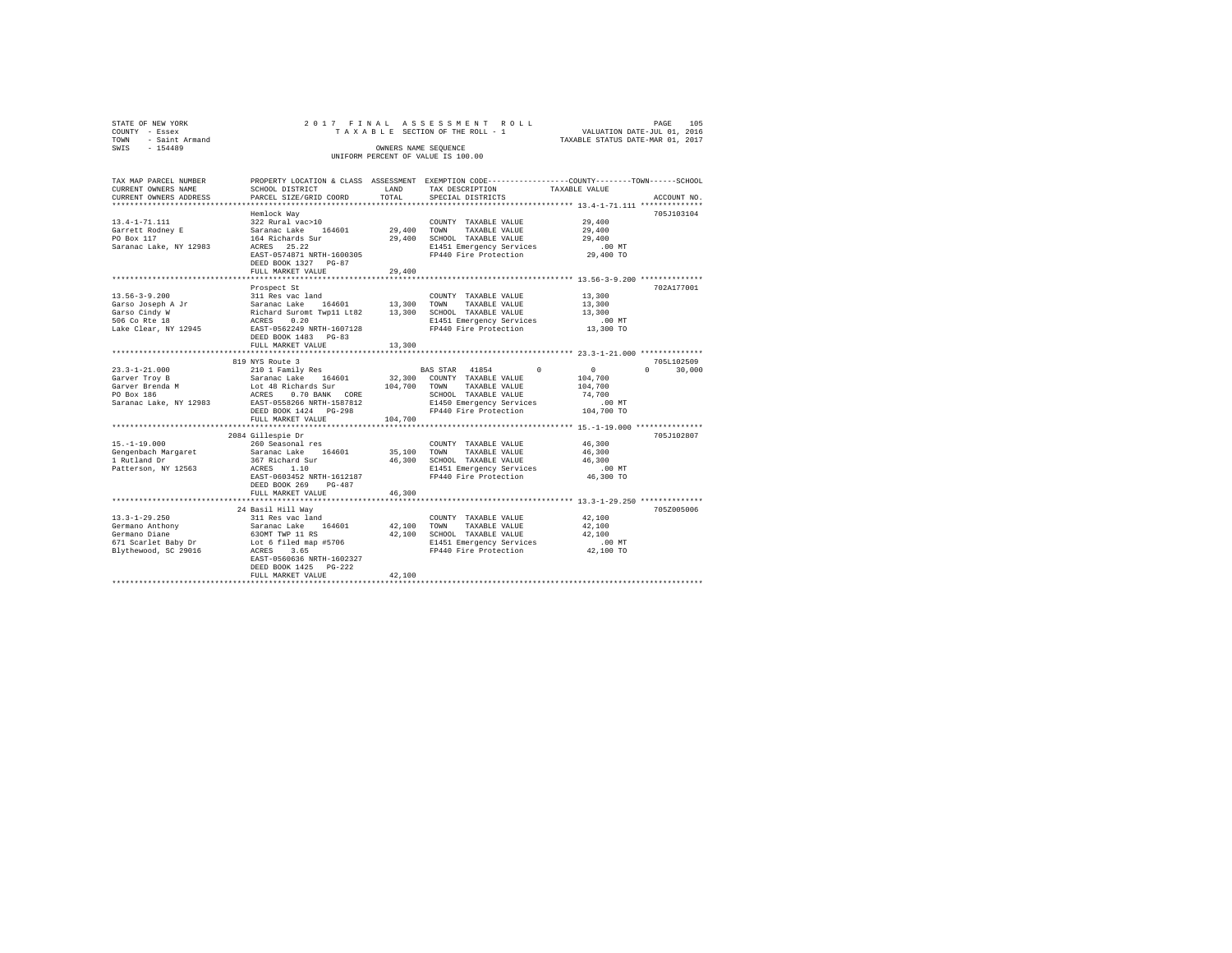| STATE OF NEW YORK<br>COUNTY - Essex<br>- Saint Armand<br>TOWN |                                                                                              | 2017 FINAL ASSESSMENT ROLL<br>TAXABLE SECTION OF THE ROLL - 1 | PAGE<br>VALUATION DATE-JUL 01, 2016<br>TAXABLE STATUS DATE-MAR 01, 2017 | 105 |
|---------------------------------------------------------------|----------------------------------------------------------------------------------------------|---------------------------------------------------------------|-------------------------------------------------------------------------|-----|
| SWIS<br>$-154489$                                             |                                                                                              | OWNERS NAME SEOUENCE<br>UNIFORM PERCENT OF VALUE IS 100.00    |                                                                         |     |
| TAX MAP PARCEL NUMBER                                         | PROPERTY LOCATION & CLASS ASSESSMENT EXEMPTION CODE--------------COUNTY------TOWN-----SCHOOL |                                                               |                                                                         |     |

| TAX MAP PARCEL NUMBER                       |                                                                                                                                                                                                                           |         | PROPERTY LOCATION & CLASS ASSESSMENT EXEMPTION CODE---------------COUNTY-------TOWN-----SCHOOL |                      |                                 |
|---------------------------------------------|---------------------------------------------------------------------------------------------------------------------------------------------------------------------------------------------------------------------------|---------|------------------------------------------------------------------------------------------------|----------------------|---------------------------------|
| CURRENT OWNERS NAME                         | SCHOOL DISTRICT                                                                                                                                                                                                           | LAND    | TAX DESCRIPTION                                                                                | TAXABLE VALUE        |                                 |
| CURRENT OWNERS ADDRESS                      | PARCEL SIZE/GRID COORD                                                                                                                                                                                                    | TOTAL   | SPECIAL DISTRICTS                                                                              |                      | ACCOUNT NO.                     |
|                                             |                                                                                                                                                                                                                           |         |                                                                                                |                      |                                 |
|                                             | Hemlock Way                                                                                                                                                                                                               |         |                                                                                                |                      | 705J103104                      |
| 13.4-1-71.111                               |                                                                                                                                                                                                                           |         | COUNTY TAXABLE VALUE                                                                           | 29,400               |                                 |
| Garrett Rodney E                            |                                                                                                                                                                                                                           |         | TAXABLE VALUE                                                                                  | $\bf 29$ , $\bf 400$ |                                 |
| PO Box 117                                  |                                                                                                                                                                                                                           |         |                                                                                                |                      |                                 |
| Saranac Lake, NY 12983                      | 164 Richards Sur<br>ACRES 25.22                                                                                                                                                                                           |         | 29,400 SCHOOL TAXABLE VALUE 29,400<br>E1451 Emergency Services .00 MT                          |                      |                                 |
|                                             | EAST-0574871 NRTH-1600305                                                                                                                                                                                                 |         | FP440 Fire Protection                                                                          | 29,400 TO            |                                 |
|                                             | DEED BOOK 1327 PG-87                                                                                                                                                                                                      |         |                                                                                                |                      |                                 |
|                                             |                                                                                                                                                                                                                           |         |                                                                                                |                      |                                 |
|                                             | FULL MARKET VALUE                                                                                                                                                                                                         | 29,400  |                                                                                                |                      |                                 |
|                                             |                                                                                                                                                                                                                           |         |                                                                                                |                      |                                 |
|                                             | Prospect St                                                                                                                                                                                                               |         |                                                                                                |                      | 702A177001                      |
| $13.56 - 3 - 9.200$                         | 311 Res vac land                                                                                                                                                                                                          |         | COUNTY TAXABLE VALUE                                                                           | 13,300               |                                 |
| -----<br>Garso Joseph A Jr<br>Garso Cindy W |                                                                                                                                                                                                                           |         |                                                                                                | 13,300               |                                 |
|                                             | 21.1.00 toward 164601<br>Richard Lake 164601 13,300 TOWN TAXABLE VALUE<br>Richard Suront Twp11 Lt82 13,300 SCHOOL TAXABLE VALUE<br>REES 0.20 E1451 Emergency Services<br>REAST-0562249 NRTH-1607128 FP440 Fire Protection |         |                                                                                                | 13,300               |                                 |
| 506 Co Rte 18                               |                                                                                                                                                                                                                           |         | E1451 Emergency Services<br>FP440 Fire Protection                                              | .00 MT.<br>13,300 TO |                                 |
| Lake Clear, NY 12945                        |                                                                                                                                                                                                                           |         |                                                                                                |                      |                                 |
|                                             | DEED BOOK 1483 PG-83                                                                                                                                                                                                      |         |                                                                                                |                      |                                 |
|                                             | FULL MARKET VALUE                                                                                                                                                                                                         | 13,300  |                                                                                                |                      |                                 |
|                                             |                                                                                                                                                                                                                           |         |                                                                                                |                      |                                 |
|                                             | 819 NYS Route 3                                                                                                                                                                                                           |         |                                                                                                |                      | 705L102509                      |
|                                             |                                                                                                                                                                                                                           |         | BAS STAR 41854 0                                                                               | $\sim$ 0 $\sim$      | $\Omega$ and $\Omega$<br>30,000 |
|                                             |                                                                                                                                                                                                                           |         |                                                                                                | 104,700              |                                 |
|                                             |                                                                                                                                                                                                                           |         |                                                                                                | 104,700              |                                 |
|                                             |                                                                                                                                                                                                                           |         |                                                                                                | 74,700               |                                 |
|                                             |                                                                                                                                                                                                                           |         | E1450 Emergency Services                                                                       | $.00$ MT             |                                 |
|                                             |                                                                                                                                                                                                                           |         | FP440 Fire Protection                                                                          | 00 MT.<br>104,700 TO |                                 |
|                                             |                                                                                                                                                                                                                           |         |                                                                                                |                      |                                 |
|                                             | FULL MARKET VALUE                                                                                                                                                                                                         | 104,700 |                                                                                                |                      |                                 |
|                                             |                                                                                                                                                                                                                           |         |                                                                                                |                      |                                 |
|                                             | 2084 Gillespie Dr                                                                                                                                                                                                         |         |                                                                                                |                      | 705J102807                      |
| $15. - 1 - 19.000$                          | 260 Seasonal res                                                                                                                                                                                                          |         | COUNTY TAXABLE VALUE 46,300                                                                    |                      |                                 |
|                                             |                                                                                                                                                                                                                           |         | 35,100 TOWN TAXABLE VALUE 46,300<br>46,300 SCHOOL TAXABLE VALUE 46,300                         |                      |                                 |
|                                             |                                                                                                                                                                                                                           |         | 46,300 SCHOOL TAXABLE VALUE                                                                    |                      |                                 |
| Patterson, NY 12563                         | ACRES 1.10                                                                                                                                                                                                                |         | E1451 Emergency Services<br>FP440 Fire Protection                                              | $.00$ MT             |                                 |
|                                             | EAST-0603452 NRTH-1612187                                                                                                                                                                                                 |         |                                                                                                | $46,300$ TO          |                                 |
|                                             | DEED BOOK 269 PG-487                                                                                                                                                                                                      |         |                                                                                                |                      |                                 |
|                                             | FULL MARKET VALUE                                                                                                                                                                                                         | 46,300  |                                                                                                |                      |                                 |
|                                             |                                                                                                                                                                                                                           |         |                                                                                                |                      |                                 |
|                                             | 24 Basil Hill Way                                                                                                                                                                                                         |         |                                                                                                |                      | 705Z005006                      |
|                                             |                                                                                                                                                                                                                           |         | COUNTY TAXABLE VALUE                                                                           | 42,100               |                                 |
|                                             |                                                                                                                                                                                                                           |         | COUNTY TAXABLE VALUE<br>42,100 TOWN TAXABLE VALUE                                              | 42,100               |                                 |
|                                             |                                                                                                                                                                                                                           |         | $42,100$ SCHOOL TAXABLE VALUE $42,100$<br>$50000$ SCHOOL TAXABLE VALUE $42,100$                |                      |                                 |
|                                             |                                                                                                                                                                                                                           |         |                                                                                                |                      |                                 |
|                                             |                                                                                                                                                                                                                           |         | E1451 Emergency Services<br>FP440 Fire Protection 42,100 TO                                    | $.00$ MT             |                                 |
|                                             |                                                                                                                                                                                                                           |         |                                                                                                |                      |                                 |
|                                             | EAST-0560636 NRTH-1602327                                                                                                                                                                                                 |         |                                                                                                |                      |                                 |
|                                             | DEED BOOK 1425 PG-222                                                                                                                                                                                                     |         |                                                                                                |                      |                                 |
|                                             | FULL MARKET VALUE                                                                                                                                                                                                         | 42,100  |                                                                                                |                      |                                 |
|                                             |                                                                                                                                                                                                                           |         |                                                                                                |                      |                                 |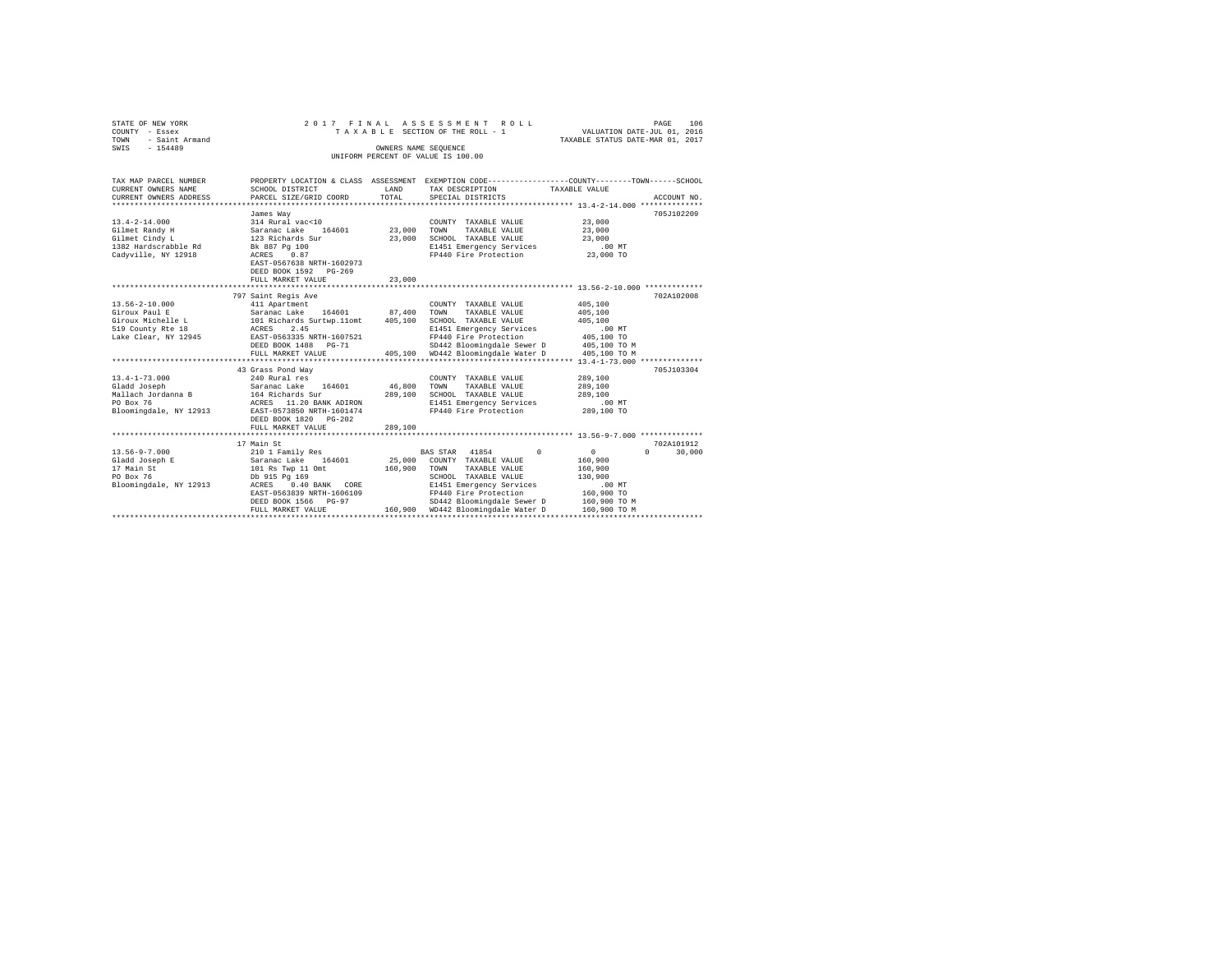| STATE OF NEW YORK<br>COUNTY - Essex<br>TOWN<br>- Saint Armand |                                             |                      | 2017 FINAL ASSESSMENT ROLL<br>TAXABLE SECTION OF THE ROLL - 1                                   | PAGE<br>VALUATION DATE-JUL 01, 2016<br>TAXABLE STATUS DATE-MAR 01, 2017 | 106         |
|---------------------------------------------------------------|---------------------------------------------|----------------------|-------------------------------------------------------------------------------------------------|-------------------------------------------------------------------------|-------------|
| SWIS<br>$-154489$                                             |                                             | OWNERS NAME SEOUENCE |                                                                                                 |                                                                         |             |
|                                                               |                                             |                      | UNIFORM PERCENT OF VALUE IS 100.00                                                              |                                                                         |             |
|                                                               |                                             |                      |                                                                                                 |                                                                         |             |
| TAX MAP PARCEL NUMBER                                         |                                             |                      | PROPERTY LOCATION & CLASS ASSESSMENT EXEMPTION CODE---------------COUNTY-------TOWN------SCHOOL |                                                                         |             |
| CURRENT OWNERS NAME                                           | SCHOOL DISTRICT                             | LAND                 | TAX DESCRIPTION                                                                                 | TAXABLE VALUE                                                           |             |
| CURRENT OWNERS ADDRESS                                        | PARCEL SIZE/GRID COORD                      | TOTAL                | SPECIAL DISTRICTS                                                                               |                                                                         | ACCOUNT NO. |
|                                                               |                                             |                      |                                                                                                 |                                                                         |             |
|                                                               | James Way                                   |                      |                                                                                                 |                                                                         | 705J102209  |
| $13.4 - 2 - 14.000$                                           | 314 Rural vac<10                            |                      | COUNTY TAXABLE VALUE                                                                            | 23,000                                                                  |             |
| Gilmet Randy H<br>Gilmet Cindy L                              | Saranac Lake 164601<br>123 Richards Sur     | 23,000<br>23,000     | TOWN<br>TAXABLE VALUE<br>SCHOOL TAXABLE VALUE                                                   | 23,000<br>23,000                                                        |             |
| 1382 Hardscrabble Rd                                          | Bk 887 Pg 100                               |                      | E1451 Emergency Services                                                                        | $.00$ MT                                                                |             |
| Cadyville, NY 12918                                           | ACRES 0.87                                  |                      | FP440 Fire Protection                                                                           | 23,000 TO                                                               |             |
|                                                               | EAST-0567638 NRTH-1602973                   |                      |                                                                                                 |                                                                         |             |
|                                                               | DEED BOOK 1592 PG-269                       |                      |                                                                                                 |                                                                         |             |
|                                                               | FULL MARKET VALUE                           | 23,000               |                                                                                                 |                                                                         |             |
|                                                               | ************************                    | **********           |                                                                                                 | ********************************* 13.56-2-10.000 **************         |             |
|                                                               | 797 Saint Regis Ave                         |                      |                                                                                                 |                                                                         | 702A102008  |
| $13.56 - 2 - 10.000$                                          | 411 Apartment                               |                      | COUNTY TAXABLE VALUE                                                                            | 405,100                                                                 |             |
| Giroux Paul E                                                 | Saranac Lake 164601                         | 87,400               | TOWN<br>TAXABLE VALUE                                                                           | 405,100                                                                 |             |
| Giroux Michelle L                                             | 101 Richards Surtwp.11omt                   | 405,100              | SCHOOL TAXABLE VALUE                                                                            | 405,100                                                                 |             |
| 519 County Rte 18                                             | ACRES 2.45                                  |                      | E1451 Emergency Services                                                                        | $.00$ MT                                                                |             |
| Lake Clear, NY 12945                                          | EAST-0563335 NRTH-1607521                   |                      | FP440 Fire Protection                                                                           | 405,100 TO                                                              |             |
|                                                               | DEED BOOK 1488 PG-71                        |                      | SD442 Bloomingdale Sewer D                                                                      | 405,100 TO M                                                            |             |
|                                                               | FULL MARKET VALUE                           |                      | 405.100 WD442 Bloomingdale Water D                                                              | 405,100 TO M                                                            |             |
|                                                               |                                             |                      |                                                                                                 |                                                                         |             |
|                                                               | 43 Grass Pond Way                           |                      |                                                                                                 |                                                                         | 705.T103304 |
| $13.4 - 1 - 73.000$                                           | 240 Rural res                               |                      | COUNTY TAXABLE VALUE                                                                            | 289,100                                                                 |             |
| Gladd Joseph                                                  | Saranac Lake 164601                         | 46,800               | TOWN<br>TAXABLE VALUE                                                                           | 289,100                                                                 |             |
| Mallach Jordanna B<br>PO Box 76                               | 164 Richards Sur<br>ACRES 11.20 BANK ADIRON | 289,100              | SCHOOL TAXABLE VALUE                                                                            | 289,100<br>.00MT                                                        |             |
| Bloomingdale, NY 12913                                        | EAST-0573850 NRTH-1601474                   |                      | E1451 Emergency Services<br>FP440 Fire Protection                                               | 289,100 TO                                                              |             |
|                                                               |                                             |                      |                                                                                                 |                                                                         |             |
|                                                               | DEED BOOK 1820 PG-202<br>FULL MARKET VALUE  | 289,100              |                                                                                                 |                                                                         |             |
|                                                               |                                             |                      |                                                                                                 |                                                                         |             |
|                                                               | 17 Main St                                  |                      |                                                                                                 |                                                                         | 702A101912  |
| $13.56 - 9 - 7.000$                                           | 210 1 Family Res                            |                      | BAS STAR 41854<br>$\Omega$                                                                      | $\circ$<br>$\Omega$                                                     | 30,000      |
| Gladd Joseph E                                                | Saranac Lake 164601                         | 25,000               | COUNTY TAXABLE VALUE                                                                            | 160,900                                                                 |             |
| 17 Main St                                                    | 101 Rs Twp 11 Omt                           | 160,900              | TOWN<br>TAXABLE VALUE                                                                           | 160,900                                                                 |             |
| PO Box 76                                                     | Db 915 Pg 169                               |                      | SCHOOL TAXABLE VALUE                                                                            | 130,900                                                                 |             |
| Bloomingdale, NY 12913                                        | ACRES 0.40 BANK CORE                        |                      | E1451 Emergency Services                                                                        | $.00$ MT                                                                |             |
|                                                               | EAST-0563839 NRTH-1606109                   |                      | FP440 Fire Protection                                                                           | 160,900 TO                                                              |             |
|                                                               | DEED BOOK 1566 PG-97                        |                      | SD442 Bloomingdale Sewer D                                                                      | 160,900 TO M                                                            |             |
|                                                               | FULL MARKET VALUE                           |                      | 160,900 WD442 Bloomingdale Water D                                                              | 160,900 TO M                                                            |             |
|                                                               |                                             |                      |                                                                                                 |                                                                         |             |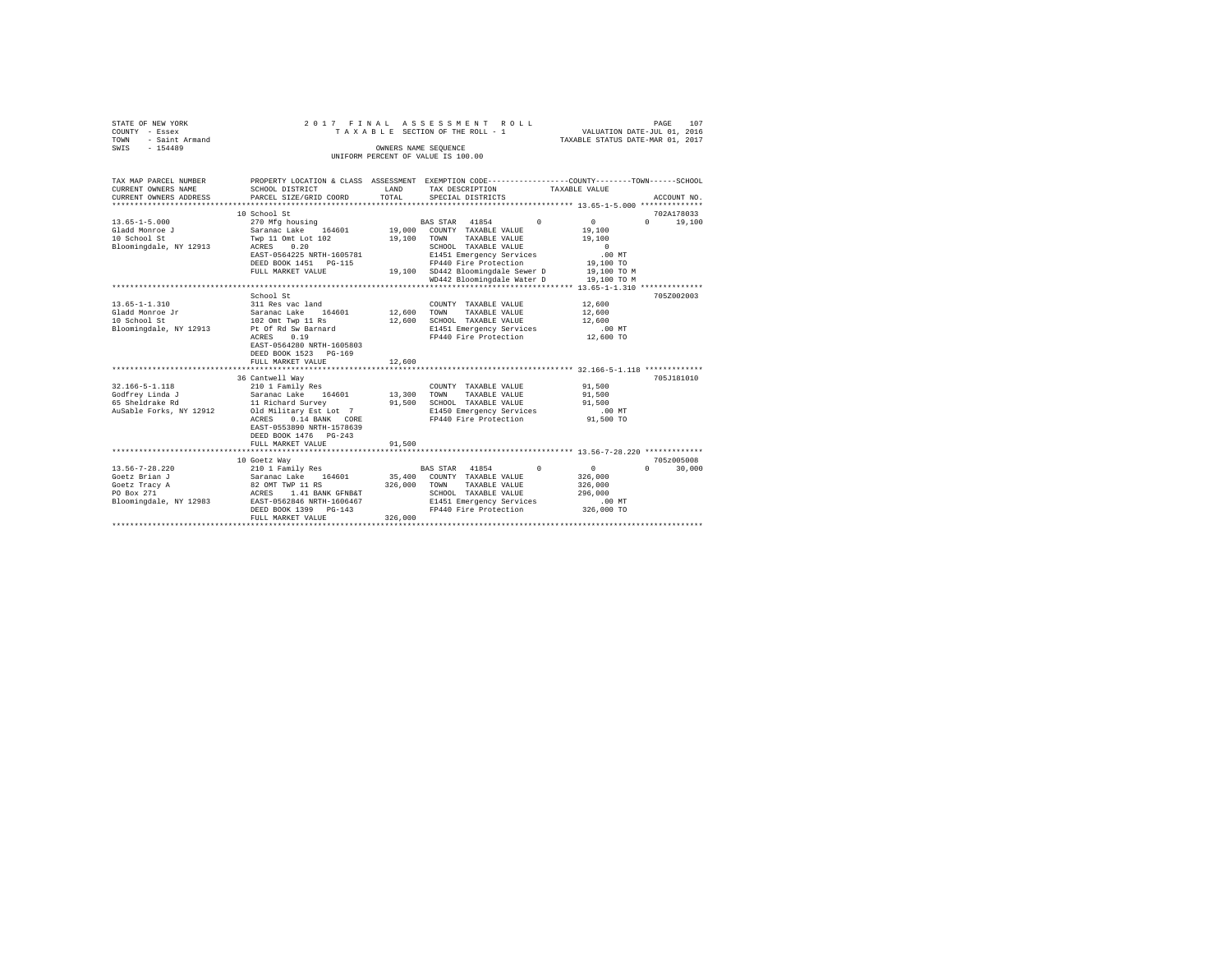|        | STATE OF NEW YORK     |                                      | 2017 FINAL ASSESSMENT ROLL                  |                                  | PAGE                        | 107     |
|--------|-----------------------|--------------------------------------|---------------------------------------------|----------------------------------|-----------------------------|---------|
| COUNTY | - Essex               |                                      | TAXABLE SECTION OF THE ROLL - 1             |                                  | VALUATION DATE-JUL 01, 2016 |         |
| TOWN   | - Saint Armand        |                                      |                                             | TAXABLE STATUS DATE-MAR 01, 2017 |                             |         |
| SWIS   | $-154489$             |                                      | OWNERS NAME SEOUENCE                        |                                  |                             |         |
|        |                       |                                      | UNIFORM PERCENT OF VALUE IS 100.00          |                                  |                             |         |
|        |                       |                                      |                                             |                                  |                             |         |
|        |                       |                                      |                                             |                                  |                             |         |
|        | TAX MAP PARCEL NUMBER | PROPERTY LOCATION & CLASS ASSESSMENT | EXEMPTION CODE-----------------COUNTY------ |                                  | $-$ TOWN-                   | -SCHOOL |

| CURRENT OWNERS NAME                                                                      | SCHOOL DISTRICT                                                                                                                                                                                   | <b>T.AND</b>                 | TAX DESCRIPTION                                                                                                                      |                                                                         |            | TAXABLE VALUE                                                                            |          |             |
|------------------------------------------------------------------------------------------|---------------------------------------------------------------------------------------------------------------------------------------------------------------------------------------------------|------------------------------|--------------------------------------------------------------------------------------------------------------------------------------|-------------------------------------------------------------------------|------------|------------------------------------------------------------------------------------------|----------|-------------|
| CURRENT OWNERS ADDRESS                                                                   | PARCEL SIZE/GRID COORD                                                                                                                                                                            | TOTAL                        | SPECIAL DISTRICTS                                                                                                                    |                                                                         |            |                                                                                          |          | ACCOUNT NO. |
|                                                                                          | 10 School St                                                                                                                                                                                      |                              |                                                                                                                                      |                                                                         |            |                                                                                          |          | 702A178033  |
| $13.65 - 1 - 5.000$<br>Gladd Monroe J<br>10 School St<br>Bloomingdale, NY 12913          | 270 Mfg housing<br>Saranac Lake 164601<br>Twp 11 Omt Lot 102<br>0.20<br>ACRES<br>EAST-0564225 NRTH-1605781<br>DEED BOOK 1451 PG-115<br>FULL MARKET VALUE                                          | 19,000<br>19,100             | BAS STAR 41854<br>COUNTY TAXABLE VALUE<br>TOWN<br>SCHOOL TAXABLE VALUE<br>FP440 Fire Protection<br>19.100 SD442 Bloomingdale Sewer D | TAXABLE VALUE<br>E1451 Emergency Services<br>WD442 Bloomingdale Water D | $\Omega$   | 0<br>19,100<br>19,100<br>$\Omega$<br>$.00$ MT<br>19,100 TO<br>19,100 TO M<br>19,100 TO M | $\Omega$ | 19,100      |
|                                                                                          |                                                                                                                                                                                                   |                              |                                                                                                                                      |                                                                         |            |                                                                                          |          |             |
| $13.65 - 1 - 1.310$<br>Gladd Monroe Jr<br>10 School St<br>Bloomingdale, NY 12913         | School St<br>311 Res vac land<br>Saranac Lake<br>164601<br>102 Omt Twp 11 Rs<br>Pt Of Rd Sw Barnard<br>0.19<br>ACRES<br>EAST-0564280 NRTH-1605803<br>DEED BOOK 1523 PG-169<br>FULL MARKET VALUE   | 12,600<br>12,600<br>12,600   | COUNTY TAXABLE VALUE<br>TOWN<br>SCHOOL TAXABLE VALUE                                                                                 | TAXABLE VALUE<br>E1451 Emergency Services<br>FP440 Fire Protection      |            | 12,600<br>12,600<br>12,600<br>$.00$ MT<br>12,600 TO                                      |          | 705Z002003  |
|                                                                                          | 36 Cantwell Way                                                                                                                                                                                   |                              |                                                                                                                                      |                                                                         |            |                                                                                          |          | 705J181010  |
| 32.166-5-1.118<br>Godfrev Linda J<br>65 Sheldrake Rd<br>AuSable Forks, NY 12912          | 210 1 Family Res<br>Saranac Lake<br>164601<br>11 Richard Survey<br>Old Military Est Lot 7<br>ACRES<br>0.14 BANK CORE<br>EAST-0553890 NRTH-1578639<br>DEED BOOK 1476   PG-243<br>FULL MARKET VALUE | 13,300<br>91,500<br>91,500   | COUNTY TAXABLE VALUE<br>TOWN<br>SCHOOL TAXABLE VALUE                                                                                 | TAXABLE VALUE<br>E1450 Emergency Services<br>FP440 Fire Protection      |            | 91,500<br>91,500<br>91,500<br>$.00$ MT<br>91,500 TO                                      |          |             |
|                                                                                          |                                                                                                                                                                                                   |                              |                                                                                                                                      |                                                                         |            |                                                                                          |          |             |
|                                                                                          | 10 Goetz Way                                                                                                                                                                                      |                              |                                                                                                                                      |                                                                         |            |                                                                                          |          | 705z005008  |
| 13.56-7-28.220<br>Goetz Brian J<br>Goetz Tracy A<br>PO Box 271<br>Bloomingdale, NY 12983 | 210 1 Family Res<br>Saranac Lake<br>164601<br>82 OMT TWP 11 RS<br>ACRES 1.41 BANK GFNB&T<br>EAST-0562846 NRTH-1606467<br>DEED BOOK 1399 PG-143<br>FULL MARKET VALUE                               | 35,400<br>326,000<br>326,000 | BAS STAR 41854<br>COUNTY TAXABLE VALUE<br>TOWN<br>SCHOOL TAXABLE VALUE                                                               | TAXABLE VALUE<br>E1451 Emergency Services<br>FP440 Fire Protection      | $^{\circ}$ | $^{\circ}$<br>326,000<br>326,000<br>296,000<br>.00MT<br>326,000 TO                       | $\Omega$ | 30,000      |
|                                                                                          |                                                                                                                                                                                                   |                              |                                                                                                                                      |                                                                         |            |                                                                                          |          |             |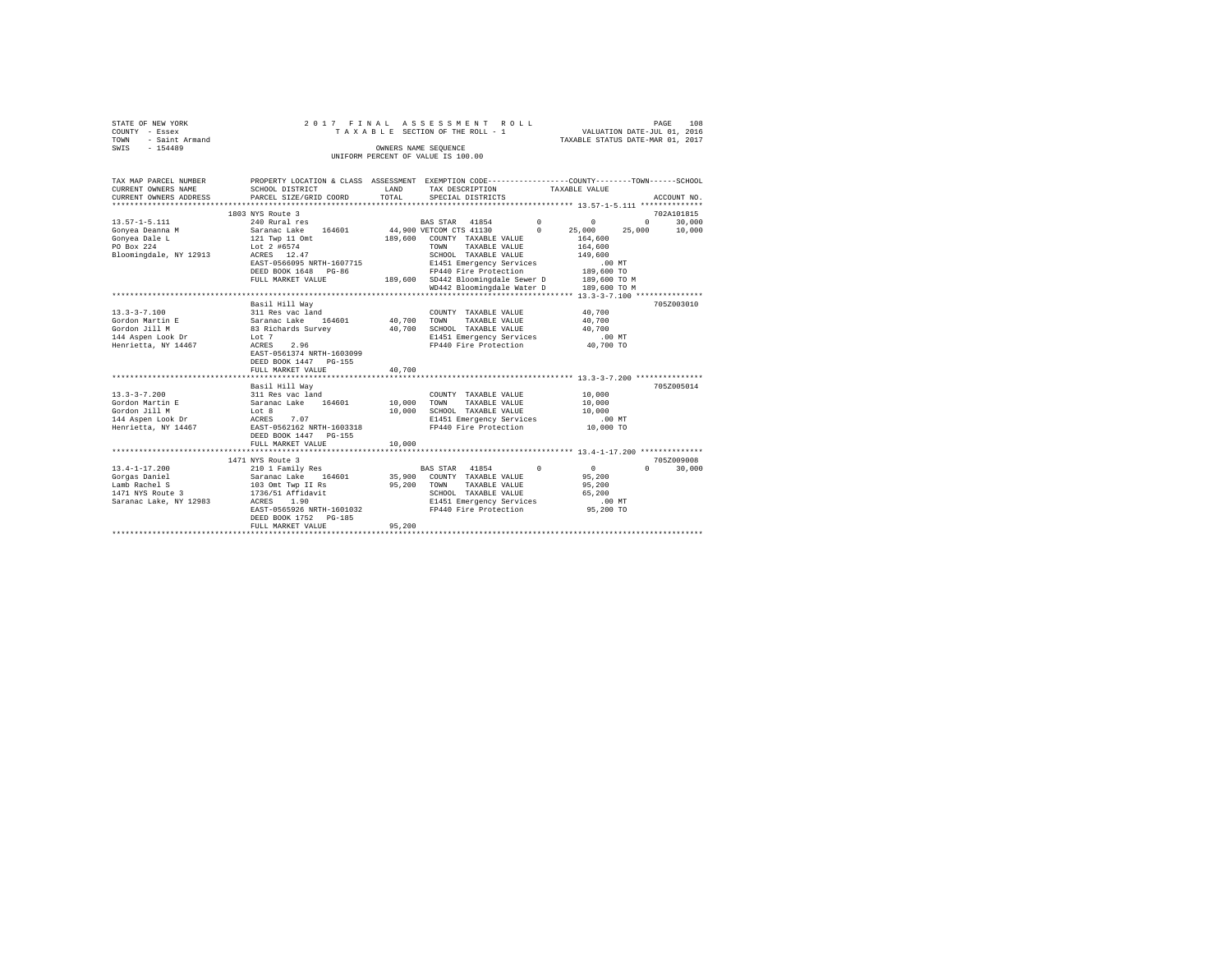|      | STATE OF NEW YORK   |  |  | 2017 FINAL ASSESSMENT ROLL         |                                  | PAGE | 108 |
|------|---------------------|--|--|------------------------------------|----------------------------------|------|-----|
|      | COUNTY - Essex      |  |  | TAXABLE SECTION OF THE ROLL - 1    | VALUATION DATE-JUL 01, 2016      |      |     |
|      | TOWN - Saint Armand |  |  |                                    | TAXABLE STATUS DATE-MAR 01, 2017 |      |     |
| SWIS | $-154489$           |  |  | OWNERS NAME SEOUENCE               |                                  |      |     |
|      |                     |  |  | UNIFORM PERCENT OF VALUE IS 100.00 |                                  |      |     |
|      |                     |  |  |                                    |                                  |      |     |

| TAX MAP PARCEL NUMBER             |                                                                                         |             | PROPERTY LOCATION & CLASS ASSESSMENT EXEMPTION CODE----------------COUNTY-------TOWN-----SCHOOL |              |                                    |
|-----------------------------------|-----------------------------------------------------------------------------------------|-------------|-------------------------------------------------------------------------------------------------|--------------|------------------------------------|
| CURRENT OWNERS NAME               | SCHOOL DISTRICT                                                                         | LAND        | TAX DESCRIPTION TAXABLE VALUE                                                                   |              |                                    |
| CURRENT OWNERS ADDRESS            | PARCEL SIZE/GRID COORD                                                                  | TOTAL       | SPECIAL DISTRICTS                                                                               |              | ACCOUNT NO.                        |
|                                   | 1803 NYS Route 3                                                                        |             |                                                                                                 |              | 702A101815                         |
| $13.57 - 1 - 5.111$               | 240 Rural res                                                                           |             |                                                                                                 | $^{\circ}$   | 30,000                             |
| Gonyea Deanna M                   |                                                                                         |             | BAS STAR 41854 0<br>VETCOM CTS 41130 0 25,00<br>44,900 VETCOM CTS 41130                         | 25,000       | $0 \qquad \qquad$<br>25,000 10,000 |
| Gonyea Dale L                     | Saranac Lake 164601<br>121 Twp 11 Omt                                                   |             | 189,600 COUNTY TAXABLE VALUE                                                                    | 164,600      |                                    |
| PO Box 224                        | Lot 2 #6574                                                                             |             | TOWN<br>TAXABLE VALUE                                                                           | 164,600      |                                    |
| Bloomingdale, NY 12913            | ACRES 12.47                                                                             |             | SCHOOL TAXABLE VALUE                                                                            | 149,600      |                                    |
|                                   | EAST-0566095 NRTH-1607715                                                               |             | E1451 Emergency Services                                                                        | .00MT        |                                    |
|                                   | DEED BOOK 1648 PG-86                                                                    |             | FP440 Fire Protection 189,600 TO                                                                |              |                                    |
|                                   | FULL MARKET VALUE                                                                       |             | 189,600 SD442 Bloomingdale Sewer D 189,600 TO M                                                 |              |                                    |
|                                   |                                                                                         |             | WD442 Bloomingdale Water D                                                                      | 189,600 TO M |                                    |
|                                   |                                                                                         |             |                                                                                                 |              |                                    |
|                                   | Basil Hill Way                                                                          |             |                                                                                                 |              | 705Z003010                         |
| $13.3 - 3 - 7.100$                |                                                                                         |             | COUNTY TAXABLE VALUE                                                                            | 40,700       |                                    |
| Gordon Martin E                   | 311 Res vac land<br>Saranac Lake 164601<br>83 Richards Survey                           | 40,700 TOWN | TAXABLE VALUE                                                                                   | 40,700       |                                    |
| Gordon Jill M                     |                                                                                         | 40,700      | SCHOOL TAXABLE VALUE 40.700                                                                     |              |                                    |
| 144 Aspen Look Dr Lot 7           |                                                                                         |             | E1451 Emergency Services                                                                        | $.00$ MT     |                                    |
| Henrietta, NY 14467               | 2.96<br>ACRES                                                                           |             | FP440 Fire Protection                                                                           | 40,700 TO    |                                    |
|                                   | EAST-0561374 NRTH-1603099                                                               |             |                                                                                                 |              |                                    |
|                                   | DEED BOOK 1447 PG-155                                                                   |             |                                                                                                 |              |                                    |
|                                   | FULL MARKET VALUE                                                                       | 40,700      |                                                                                                 |              |                                    |
|                                   |                                                                                         |             |                                                                                                 |              |                                    |
|                                   | Basil Hill Wav                                                                          |             |                                                                                                 |              | 705Z005014                         |
| $13.3 - 3 - 7.200$                |                                                                                         |             | COUNTY TAXABLE VALUE                                                                            | 10,000       |                                    |
| Gordon Martin E                   | COUNT (COUNT) 311 Res vac land<br>Saranac Lake 164601 10,000 TOWN<br>Lot 8 10,000 SCHOC |             | TAXABLE VALUE                                                                                   | 10,000       |                                    |
| Gordon Jill M                     |                                                                                         |             | SCHOOL TAXABLE VALUE                                                                            | 10,000       |                                    |
| 144 Aspen Look Dr ACRES 7.07      |                                                                                         |             | E1451 Emergency Services .00 MT                                                                 |              |                                    |
| Henrietta, NY 14467               | EAST-0562162 NRTH-1603318                                                               |             | FP440 Fire Protection                                                                           | 10,000 TO    |                                    |
|                                   | DEED BOOK 1447 PG-155                                                                   |             |                                                                                                 |              |                                    |
|                                   | FULL MARKET VALUE                                                                       | 10,000      |                                                                                                 |              |                                    |
|                                   |                                                                                         |             |                                                                                                 |              |                                    |
|                                   | 1471 NYS Route 3                                                                        |             |                                                                                                 |              | 705Z009008                         |
| $13.4 - 1 - 17.200$               | 210 1 Family Res                                                                        |             | BAS STAR 41854<br>$\sim$ 0                                                                      | $\sim$ 0     | $\Omega$<br>30,000                 |
| Gorgas Daniel                     | Saranac Lake 164601 35,900 COUNTY TAXABLE VALUE                                         |             |                                                                                                 | 95,200       |                                    |
| Lamb Rachel S<br>1471 NYS Route 3 | 103 Omt Twp II Rs<br>1736/51 Affidavit                                                  |             | 95,200 TOWN TAXABLE VALUE                                                                       | 95,200       |                                    |
|                                   |                                                                                         |             | SCHOOL TAXABLE VALUE                                                                            | 65,200       |                                    |
| Saranac Lake, NY 12983            | ACRES 1.90                                                                              |             | E1451 Emergency Services                                                                        | $.00$ MT     |                                    |
|                                   | EAST-0565926 NRTH-1601032                                                               |             | FP440 Fire Protection 55,200 TO                                                                 |              |                                    |
|                                   | DEED BOOK 1752 PG-185                                                                   |             |                                                                                                 |              |                                    |
|                                   | FULL MARKET VALUE                                                                       | 95,200      |                                                                                                 |              |                                    |
|                                   |                                                                                         |             |                                                                                                 |              |                                    |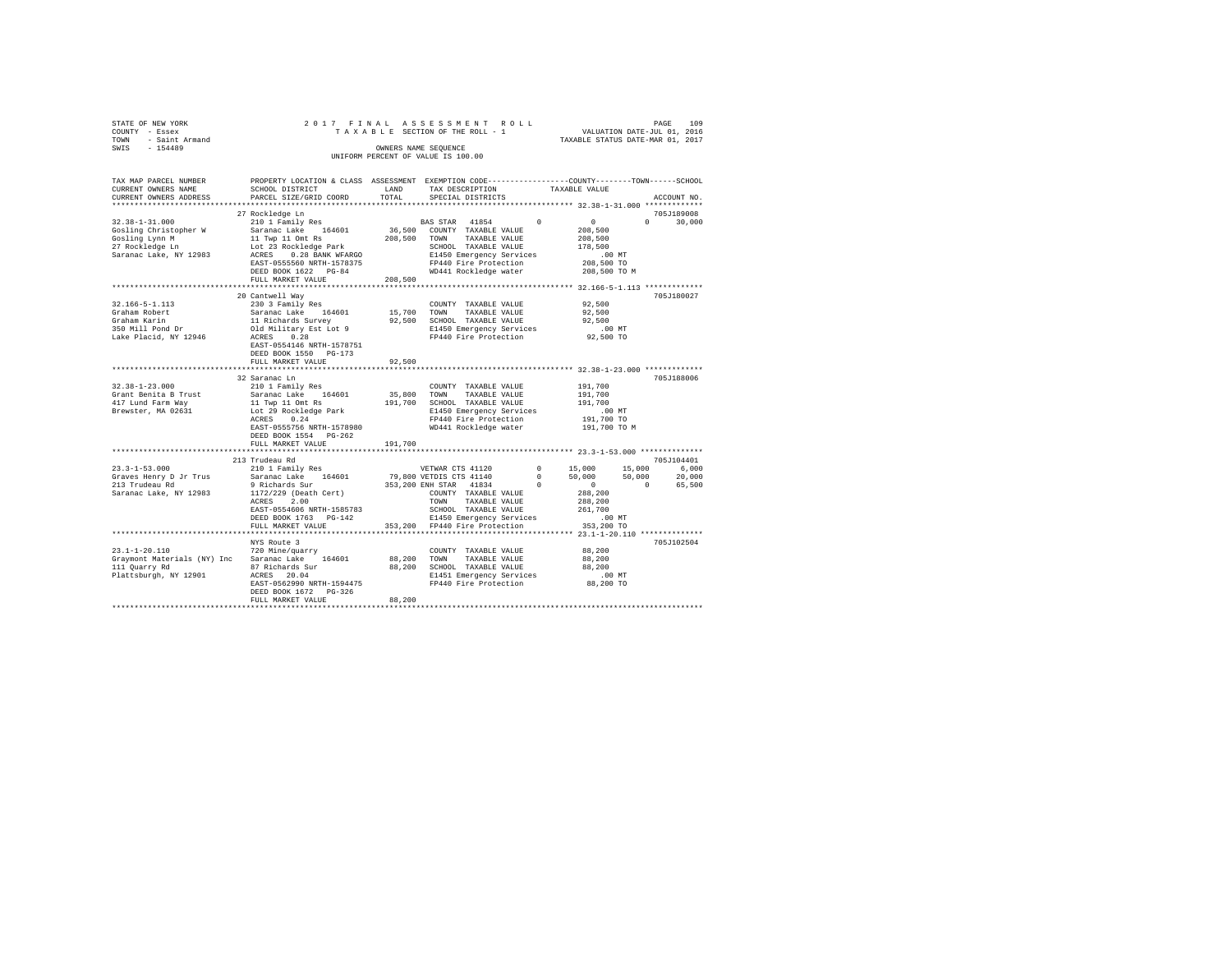| STATE OF NEW YORK     |           |                        |                           |  |  |            |       |  | 2017 FINAL ASSESSMENT ROLL         |  |  |               |                                                              | PAGE | 109           |
|-----------------------|-----------|------------------------|---------------------------|--|--|------------|-------|--|------------------------------------|--|--|---------------|--------------------------------------------------------------|------|---------------|
| COUNTY - Essex        |           |                        |                           |  |  |            |       |  | TAXABLE SECTION OF THE ROLL - 1    |  |  |               | VALUATION DATE-JUL 01, 2016                                  |      |               |
| TOWN                  |           | - Saint Armand         |                           |  |  |            |       |  |                                    |  |  |               | TAXABLE STATUS DATE-MAR 01, 2017                             |      |               |
| SWIS                  | $-154489$ |                        |                           |  |  |            |       |  | OWNERS NAME SEOUENCE               |  |  |               |                                                              |      |               |
|                       |           |                        |                           |  |  |            |       |  | UNIFORM PERCENT OF VALUE IS 100.00 |  |  |               |                                                              |      |               |
|                       |           |                        |                           |  |  |            |       |  |                                    |  |  |               |                                                              |      |               |
|                       |           |                        |                           |  |  |            |       |  |                                    |  |  |               |                                                              |      |               |
| TAX MAP PARCEL NUMBER |           |                        | PROPERTY LOCATION & CLASS |  |  | ASSESSMENT |       |  |                                    |  |  |               | EXEMPTION CODE-----------------COUNTY-------TOWN------SCHOOL |      |               |
| CURRENT OWNERS NAME   |           |                        | SCHOOL DISTRICT           |  |  |            | LAND  |  | TAX DESCRIPTION                    |  |  | TAXABLE VALUE |                                                              |      |               |
|                       |           | CURRENT OWNERS ADDRESS | PARCEL SIZE/GRID COORD    |  |  |            | TOTAL |  | SPECIAL DISTRICTS                  |  |  |               |                                                              |      | ACCOUNT NO.   |
|                       |           |                        |                           |  |  |            |       |  |                                    |  |  |               |                                                              |      | ************* |
|                       |           |                        | 27 Rockledge Ln           |  |  |            |       |  |                                    |  |  |               |                                                              |      | 705.T189008   |

|                             | 27 Rockledge Ln           |         |                                             |                        |                                    |          | 705J189008      |  |
|-----------------------------|---------------------------|---------|---------------------------------------------|------------------------|------------------------------------|----------|-----------------|--|
| $32.38 - 1 - 31.000$        | 210 1 Family Res          |         | 41854<br><b>BAS STAR</b>                    | $\Omega$               | $\circ$                            | $\cap$   | 30,000          |  |
| Gosling Christopher W       | Saranac Lake<br>164601    | 36,500  | COUNTY TAXABLE VALUE                        |                        | 208,500                            |          |                 |  |
| Gosling Lynn M              | 11 Twp 11 Omt Rs          | 208,500 | TAXABLE VALUE<br>TOWN                       |                        | 208,500                            |          |                 |  |
| 27 Rockledge Ln             | Lot 23 Rockledge Park     |         | SCHOOL TAXABLE VALUE                        |                        | 178,500                            |          |                 |  |
| Saranac Lake, NY 12983      | ACRES<br>0.28 BANK WFARGO |         | E1450 Emergency Services                    |                        | .00MT                              |          |                 |  |
|                             | EAST-0555560 NRTH-1578375 |         | FP440 Fire Protection                       |                        | 208,500 TO                         |          |                 |  |
|                             | DEED BOOK 1622 PG-84      |         | WD441 Rockledge water                       |                        | 208,500 TO M                       |          |                 |  |
|                             | FULL MARKET VALUE         | 208,500 |                                             |                        |                                    |          |                 |  |
|                             |                           |         |                                             |                        | 32.166-5-1.113 *************       |          |                 |  |
|                             | 20 Cantwell Way           |         |                                             |                        |                                    |          | 705J180027      |  |
| $32.166 - 5 - 1.113$        | 230 3 Family Res          |         | COUNTY TAXABLE VALUE                        |                        | 92,500                             |          |                 |  |
| Graham Robert               | Saranac Lake<br>164601    | 15,700  | TOWN<br>TAXABLE VALUE                       |                        | 92,500                             |          |                 |  |
| Graham Karin                | 11 Richards Survey        | 92,500  | SCHOOL TAXABLE VALUE                        |                        | 92.500                             |          |                 |  |
| 350 Mill Pond Dr            | Old Military Est Lot 9    |         | E1450 Emergency Services                    |                        | .00MT                              |          |                 |  |
| Lake Placid, NY 12946       | 0.28<br>ACRES             |         | FP440 Fire Protection                       |                        | 92,500 TO                          |          |                 |  |
|                             | EAST-0554146 NRTH-1578751 |         |                                             |                        |                                    |          |                 |  |
|                             | DEED BOOK 1550 PG-173     |         |                                             |                        |                                    |          |                 |  |
|                             | FULL MARKET VALUE         | 92,500  |                                             |                        |                                    |          |                 |  |
|                             | ************************  |         |                                             |                        | $32.38 - 1 - 23.000$ ************* |          |                 |  |
|                             | 32 Saranac Ln             |         |                                             |                        |                                    |          | 705J188006      |  |
| $32.38 - 1 - 23.000$        | 210 1 Family Res          |         | COUNTY TAXABLE VALUE                        |                        | 191,700                            |          |                 |  |
| Grant Benita B Trust        | 164601<br>Saranac Lake    | 35,800  | TOWN<br>TAXABLE VALUE                       |                        | 191,700                            |          |                 |  |
| 417 Lund Farm Way           | 11 Twp 11 Omt Rs          | 191,700 | SCHOOL TAXABLE VALUE                        |                        | 191,700                            |          |                 |  |
| Brewster, MA 02631          | Lot 29 Rockledge Park     |         | E1450 Emergency Services                    |                        | .00MT                              |          |                 |  |
|                             | 0.24                      |         | FP440 Fire Protection                       |                        | 191,700 TO                         |          |                 |  |
|                             | ACRES                     |         |                                             |                        |                                    |          |                 |  |
|                             | EAST-0555756 NRTH-1578980 |         | WD441 Rockledge water                       |                        | 191,700 TO M                       |          |                 |  |
|                             | DEED BOOK 1554 PG-262     |         |                                             |                        |                                    |          |                 |  |
|                             | FULL MARKET VALUE         | 191,700 |                                             |                        |                                    |          |                 |  |
|                             | 213 Trudeau Rd            |         |                                             |                        |                                    |          | 705J104401      |  |
|                             |                           |         |                                             |                        |                                    | 15,000   |                 |  |
| $23.3 - 1 - 53.000$         | 210 1 Family Res          |         | VETWAR CTS 41120<br>79,800 VETDIS CTS 41140 | $^{\circ}$<br>$\Omega$ | 15,000<br>50,000                   | 50,000   | 6,000<br>20,000 |  |
| Graves Henry D Jr Trus      | Saranac Lake<br>164601    |         |                                             |                        |                                    |          |                 |  |
| 213 Trudeau Rd              | 9 Richards Sur            |         | 353, 200 ENH STAR 41834                     | $\Omega$               | $^{\circ}$                         | $\Omega$ | 65,500          |  |
| Saranac Lake, NY 12983      | 1172/229 (Death Cert)     |         | COUNTY TAXABLE VALUE                        |                        | 288,200                            |          |                 |  |
|                             | ACRES<br>2.00             |         | TOWN<br>TAXABLE VALUE                       |                        | 288,200                            |          |                 |  |
|                             | EAST-0554606 NRTH-1585783 |         | SCHOOL TAXABLE VALUE                        |                        | 261,700                            |          |                 |  |
|                             | DEED BOOK 1763 PG-142     |         | E1450 Emergency Services                    |                        | .00MT                              |          |                 |  |
|                             | FULL MARKET VALUE         | 353,200 | FP440 Fire Protection                       |                        | 353,200 TO                         |          |                 |  |
|                             |                           |         |                                             |                        | 23.1-1-20.110 ***************      |          |                 |  |
|                             | NYS Route 3               |         |                                             |                        |                                    |          | 705J102504      |  |
| $23.1 - 1 - 20.110$         | 720 Mine/quarry           |         | COUNTY TAXABLE VALUE                        |                        | 88,200                             |          |                 |  |
| Graymont Materials (NY) Inc | 164601<br>Saranac Lake    | 88,200  | TAXABLE VALUE<br>TOWN                       |                        | 88,200                             |          |                 |  |
| 111 Quarry Rd               | 87 Richards Sur           | 88,200  | SCHOOL TAXABLE VALUE                        |                        | 88,200                             |          |                 |  |
| Plattsburgh, NY 12901       | ACRES 20.04               |         | E1451 Emergency Services                    |                        | .00MT                              |          |                 |  |
|                             | EAST-0562990 NRTH-1594475 |         | FP440 Fire Protection                       |                        | 88,200 TO                          |          |                 |  |
|                             | DEED BOOK 1672 PG-326     |         |                                             |                        |                                    |          |                 |  |
|                             | FULL MARKET VALUE         | 88,200  |                                             |                        |                                    |          |                 |  |
|                             |                           |         |                                             |                        |                                    |          |                 |  |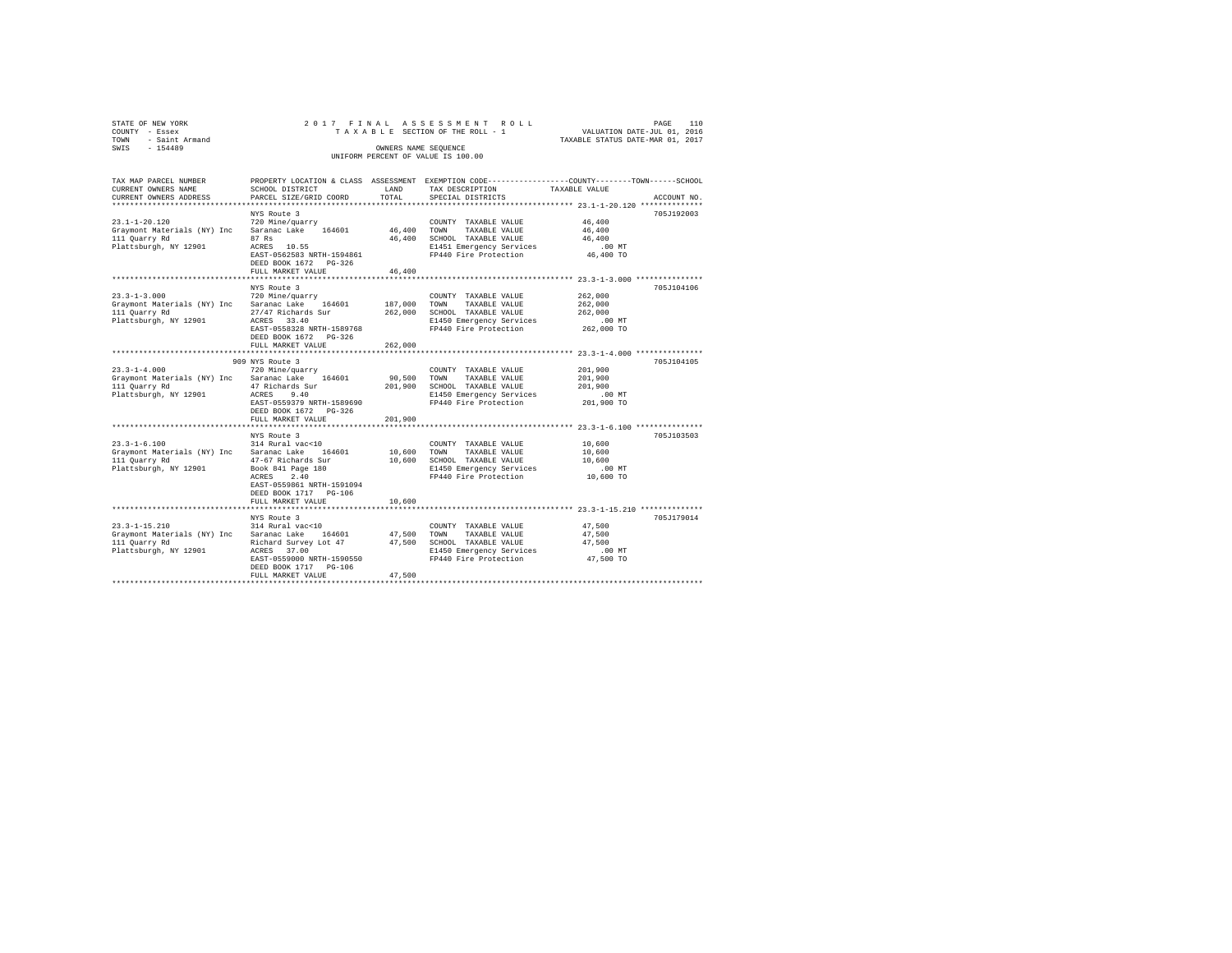|        | STATE OF NEW YORK                  |                                      |  | 2017 FINAL ASSESSMENT ROLL      |                                             |                                  | PAGE                        | 110     |  |  |
|--------|------------------------------------|--------------------------------------|--|---------------------------------|---------------------------------------------|----------------------------------|-----------------------------|---------|--|--|
| COUNTY | - Essex                            |                                      |  | TAXABLE SECTION OF THE ROLL - 1 |                                             |                                  | VALUATION DATE-JUL 01, 2016 |         |  |  |
| TOWN   | - Saint Armand                     |                                      |  |                                 |                                             | TAXABLE STATUS DATE-MAR 01, 2017 |                             |         |  |  |
| SWIS   | $-154489$                          |                                      |  | OWNERS NAME SEOUENCE            |                                             |                                  |                             |         |  |  |
|        | UNIFORM PERCENT OF VALUE IS 100.00 |                                      |  |                                 |                                             |                                  |                             |         |  |  |
|        |                                    |                                      |  |                                 |                                             |                                  |                             |         |  |  |
|        |                                    |                                      |  |                                 |                                             |                                  |                             |         |  |  |
|        | TAX MAP PARCEL NUMBER              | PROPERTY LOCATION & CLASS ASSESSMENT |  |                                 | EXEMPTION CODE-----------------COUNTY------ |                                  | $-$ TOWN-                   | -SCHOOL |  |  |

| CURRENT OWNERS NAME         | SCHOOL DISTRICT            | LAND    | TAX DESCRIPTION          | TAXABLE VALUE      |
|-----------------------------|----------------------------|---------|--------------------------|--------------------|
| CURRENT OWNERS ADDRESS      | PARCEL SIZE/GRID COORD     | TOTAL   | SPECIAL DISTRICTS        | ACCOUNT NO.        |
|                             |                            |         |                          |                    |
|                             | NYS Route 3                |         |                          | 705J192003         |
| $23.1 - 1 - 20.120$         | 720 Mine/quarry            |         | COUNTY TAXABLE VALUE     | 46,400             |
| Graymont Materials (NY) Inc | Saranac Lake<br>164601     | 46,400  | TOWN<br>TAXABLE VALUE    | 46,400             |
| 111 Quarry Rd               | 87 Rs                      | 46,400  | SCHOOL TAXABLE VALUE     | 46,400             |
| Plattsburgh, NY 12901       | ACRES<br>10.55             |         | E1451 Emergency Services | .00MT              |
|                             | EAST-0562583 NRTH-1594861  |         | FP440 Fire Protection    | 46,400 TO          |
|                             | DEED BOOK 1672 PG-326      |         |                          |                    |
|                             | FULL MARKET VALUE          | 46,400  |                          |                    |
|                             | ***********************    |         |                          |                    |
|                             | NYS Route 3                |         |                          | 705J104106         |
| $23.3 - 1 - 3.000$          | 720 Mine/quarry            |         | COUNTY TAXABLE VALUE     | 262,000            |
| Graymont Materials (NY) Inc | Saranac Lake<br>164601     | 187,000 | TOWN<br>TAXABLE VALUE    | 262,000            |
| 111 Quarry Rd               | 27/47 Richards Sur         | 262,000 | SCHOOL TAXABLE VALUE     | 262,000            |
| Plattsburgh, NY 12901       | ACRES 33.40                |         | E1450 Emergency Services | $.00$ MT           |
|                             | EAST-0558328 NRTH-1589768  |         | FP440 Fire Protection    | 262,000 TO         |
|                             | DEED BOOK 1672 PG-326      |         |                          |                    |
|                             | FULL MARKET VALUE          | 262,000 |                          |                    |
|                             |                            |         |                          | $23.3 - 1 - 4.000$ |
|                             | 909 NYS Route 3            |         |                          | 705J104105         |
| $23.3 - 1 - 4.000$          | 720 Mine/quarry            |         | COUNTY TAXABLE VALUE     | 201,900            |
| Graymont Materials (NY) Inc | Saranac Lake<br>164601     | 90,500  | TOWN<br>TAXABLE VALUE    | 201,900            |
| 111 Quarry Rd               | 47 Richards Sur            | 201,900 | SCHOOL TAXABLE VALUE     | 201,900            |
| Plattsburgh, NY 12901       | 9.40<br>ACRES              |         | E1450 Emergency Services | $.00$ MT           |
|                             | EAST-0559379 NRTH-1589690  |         | FP440 Fire Protection    | 201,900 TO         |
|                             | DEED BOOK 1672 PG-326      |         |                          |                    |
|                             |                            |         |                          |                    |
|                             | FULL MARKET VALUE          | 201,900 |                          |                    |
|                             |                            |         |                          |                    |
|                             | NYS Route 3                |         |                          | 705J103503         |
| $23.3 - 1 - 6.100$          | 314 Rural vac<10           |         | COUNTY TAXABLE VALUE     | 10,600             |
| Graymont Materials (NY) Inc | Saranac Lake<br>164601     | 10,600  | TAXABLE VALUE<br>TOWN    | 10,600             |
| 111 Quarry Rd               | 47-67 Richards Sur         | 10,600  | SCHOOL TAXABLE VALUE     | 10,600             |
| Plattsburgh, NY 12901       | Book 841 Page 180          |         | E1450 Emergency Services | .00 MT             |
|                             | ACRES<br>2.40              |         | FP440 Fire Protection    | 10,600 TO          |
|                             | EAST-0559861 NRTH-1591094  |         |                          |                    |
|                             | DEED BOOK 1717 PG-106      |         |                          |                    |
|                             | FULL MARKET VALUE          | 10,600  |                          |                    |
|                             | *************************  |         |                          |                    |
|                             | NYS Route 3                |         |                          | 705J179014         |
| $23.3 - 1 - 15.210$         | 314 Rural vac<10           |         | COUNTY TAXABLE VALUE     | 47,500             |
| Graymont Materials (NY) Inc | Saranac Lake<br>164601     | 47.500  | TOWN<br>TAXABLE VALUE    | 47.500             |
| 111 Quarry Rd               | Richard Survey Lot 47      | 47.500  | SCHOOL TAXABLE VALUE     | 47.500             |
| Plattsburgh, NY 12901       | ACRES<br>37.00             |         | E1450 Emergency Services | $.00$ MT           |
|                             | EAST-0559000 NRTH-1590550  |         | FP440 Fire Protection    | 47,500 TO          |
|                             | DEED BOOK 1717<br>$PG-106$ |         |                          |                    |
|                             | FULL MARKET VALUE          | 47.500  |                          |                    |
|                             |                            |         |                          |                    |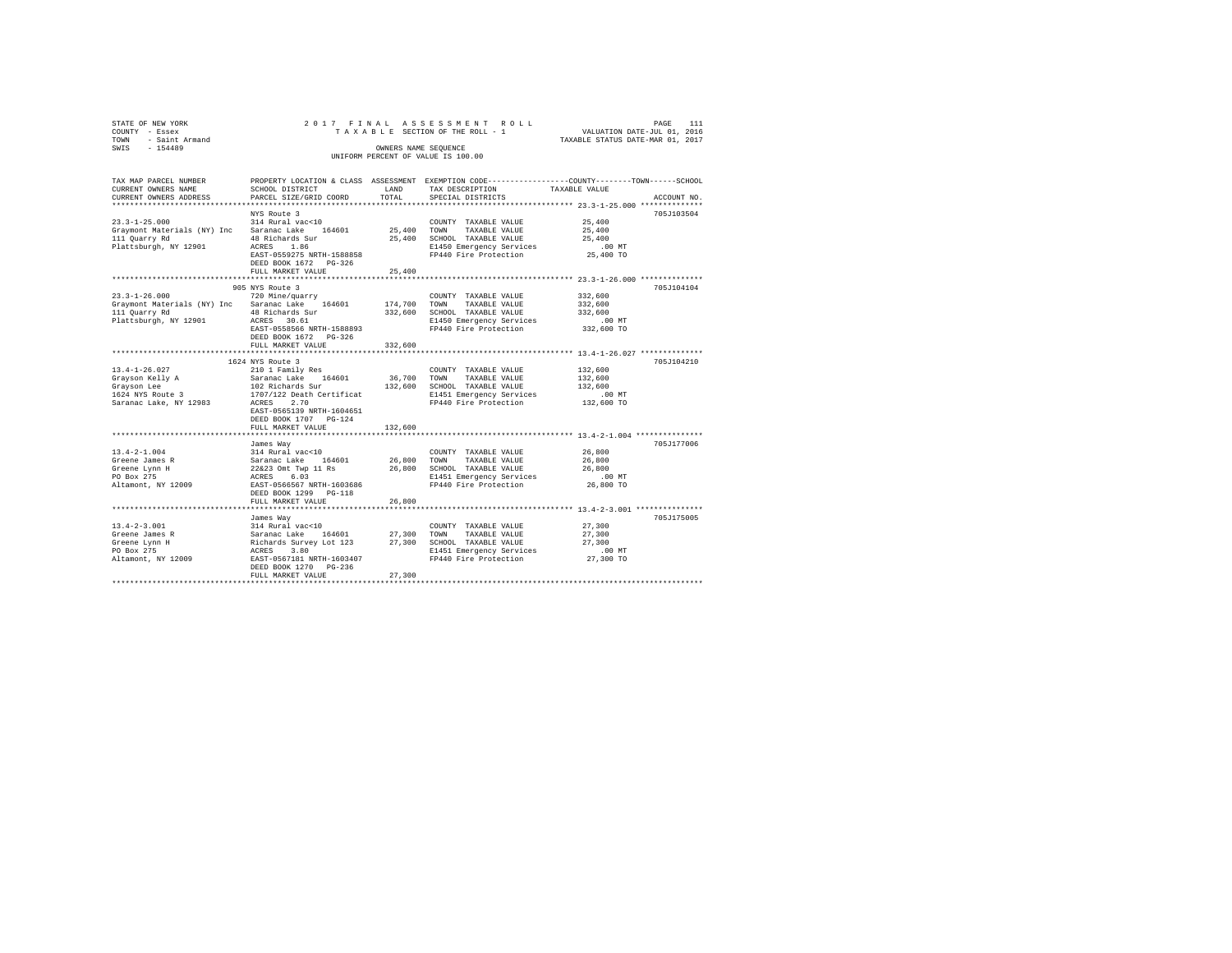| STATE OF NEW YORK<br>- Essex<br>COUNTY<br>- Saint Armand<br>TOWN<br>$-154489$<br>SWIS        |                                                                                                                                                     | OWNERS NAME SEQUENCE        | 2017 FINAL ASSESSMENT ROLL<br>TAXABLE SECTION OF THE ROLL - 1<br>UNIFORM PERCENT OF VALUE IS 100.00                           | PAGE<br>VALUATION DATE-JUL 01, 2016<br>TAXABLE STATUS DATE-MAR 01, 2017       | 111         |
|----------------------------------------------------------------------------------------------|-----------------------------------------------------------------------------------------------------------------------------------------------------|-----------------------------|-------------------------------------------------------------------------------------------------------------------------------|-------------------------------------------------------------------------------|-------------|
| TAX MAP PARCEL NUMBER<br>CURRENT OWNERS NAME<br>CURRENT OWNERS ADDRESS                       | PROPERTY LOCATION & CLASS<br>SCHOOL DISTRICT<br>PARCEL SIZE/GRID COORD                                                                              | ASSESSMENT<br>LAND<br>TOTAL | TAX DESCRIPTION<br>SPECIAL DISTRICTS                                                                                          | EXEMPTION CODE-----------------COUNTY-------TOWN------SCHOOL<br>TAXABLE VALUE | ACCOUNT NO. |
| $23.3 - 1 - 25.000$<br>Graymont Materials (NY) Inc<br>111 Quarry Rd<br>Plattsburgh, NY 12901 | NYS Route 3<br>314 Rural vac<10<br>164601<br>Saranac Lake<br>48 Richards Sur<br>1.86<br>ACRES<br>EAST-0559275 NRTH-1588858<br>DRED DOOK 1670 DO 226 | 25,400<br>25,400            | TAXABLE VALUE<br>COUNTY<br>TOWN<br>TAXABLE VALUE<br>SCHOOL TAXABLE VALUE<br>E1450 Emergency Services<br>FP440 Fire Protection | 25,400<br>25,400<br>25,400<br>$.00$ $MT$<br>25,400 TO                         | 705J103504  |

|                                                                                                     | DEED BOOK 1672 PG-326<br>FULL MARKET VALUE                                                                                                                                                                                   | 25,400                                      |                                                                                                                                                                                          |                                                         |            |
|-----------------------------------------------------------------------------------------------------|------------------------------------------------------------------------------------------------------------------------------------------------------------------------------------------------------------------------------|---------------------------------------------|------------------------------------------------------------------------------------------------------------------------------------------------------------------------------------------|---------------------------------------------------------|------------|
| $23.3 - 1 - 26.000$<br>111 Ouarry Rd<br>Plattsburgh, NY 12901                                       | 905 NYS Route 3<br>720 Mine/guarry<br>Graymont Materials (NY) Inc Saranac Lake 164601<br>48 Richards Sur<br>ACRES 30.61<br>EAST-0558566 NRTH-1588893<br>DEED BOOK 1672 PG-326<br>FULL MARKET VALUE<br>********************** | 174,700<br>332,600<br>332,600<br>********** | COUNTY TAXABLE VALUE<br>TAXABLE VALUE<br>TOWN<br>SCHOOL TAXABLE VALUE<br>E1450 Emergency Services<br>FP440 Fire Protection<br>********************************* 13.4-1-26.027 ********** | 332,600<br>332,600<br>332,600<br>$.00$ MT<br>332,600 TO | 705J104104 |
| $13.4 - 1 - 26.027$<br>Grayson Kelly A<br>Grayson Lee<br>1624 NYS Route 3<br>Saranac Lake, NY 12983 | 1624 NYS Route 3<br>210 1 Family Res<br>Saranac Lake 164601<br>102 Richards Sur<br>1707/122 Death Certificat<br>2.70<br>ACRES<br>EAST-0565139 NRTH-1604651<br>DEED BOOK 1707 PG-124<br>FULL MARKET VALUE                     | 36,700<br>132,600<br>132,600                | COUNTY TAXABLE VALUE<br>TOWN<br>TAXABLE VALUE<br>SCHOOL TAXABLE VALUE<br>E1451 Emergency Services<br>FP440 Fire Protection                                                               | 132,600<br>132,600<br>132,600<br>.00MT<br>132,600 TO    | 705J104210 |
| $13.4 - 2 - 1.004$<br>Greene James R<br>Greene Lynn H<br>PO Box 275<br>Altamont, NY 12009           | James Way<br>314 Rural vac<10<br>Saranac Lake 164601<br>22&23 Omt Twp 11 Rs<br>6.03<br>ACRES<br>EAST-0566567 NRTH-1603686<br>DEED BOOK 1299 PG-118<br>FULL MARKET VALUE<br>**************************                        | 26,800<br>26,800<br>26,800                  | COUNTY TAXABLE VALUE<br>TOWN<br>TAXABLE VALUE<br>SCHOOL TAXABLE VALUE<br>E1451 Emergency Services<br>FP440 Fire Protection                                                               | 26,800<br>26,800<br>26,800<br>$.00$ MT<br>26,800 TO     | 705J177006 |
| $13.4 - 2 - 3.001$<br>Greene James R<br>Greene Lynn H<br>PO Box 275                                 | James Way<br>314 Rural vac<10<br>164601<br>Saranac Lake<br>Richards Survey Lot 123<br>3.80<br>ACRES<br>Altamont, NY 12009 EAST-0567181 NRTH-1603407<br>DEED BOOK 1270 PG-236<br>FULL MARKET VALUE                            | 27,300<br>27,300<br>27,300                  | COUNTY TAXABLE VALUE<br>TAXABLE VALUE<br>TOWN<br>SCHOOL TAXABLE VALUE<br>E1451 Emergency Services<br>FP440 Fire Protection                                                               | 27,300<br>27,300<br>27,300<br>.00MT<br>27,300 TO        | 705J175005 |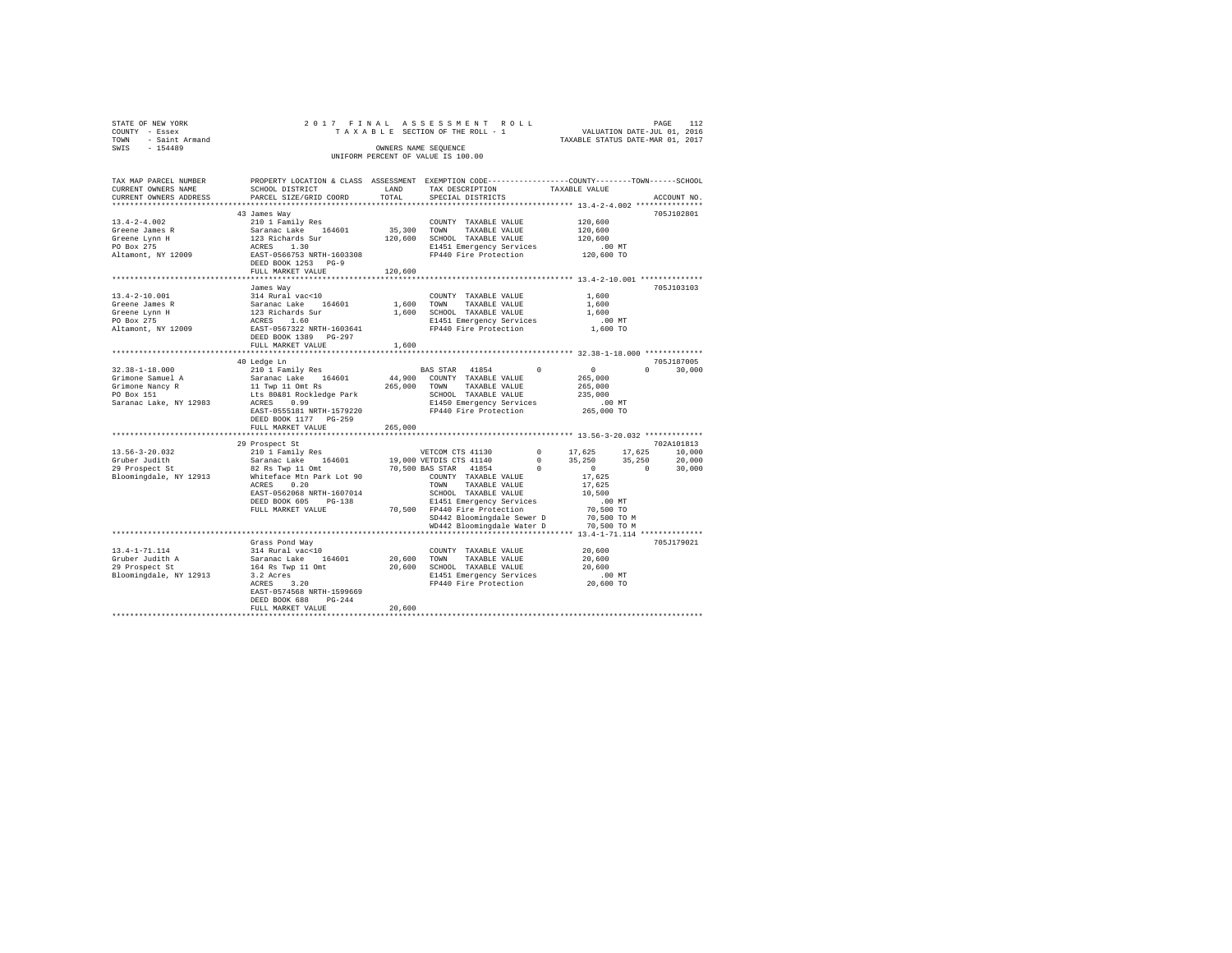| STATE OF NEW YORK<br>COUNTY - Essex<br>TOWN - Saint Armand<br>SWIS - 154489 |                                                                                                                                             |         | 2017 FINAL ASSESSMENT ROLL<br>T A X A B L E SECTION OF THE ROLL - 1 WALUATION DATE-JUL 01, 2016<br>OWNERS NAME SEQUENCE<br>UNIFORM PERCENT OF VALUE IS 100.00 | TAXABLE STATUS DATE-MAR 01, 2017 | PAGE | 112           |
|-----------------------------------------------------------------------------|---------------------------------------------------------------------------------------------------------------------------------------------|---------|---------------------------------------------------------------------------------------------------------------------------------------------------------------|----------------------------------|------|---------------|
|                                                                             |                                                                                                                                             |         |                                                                                                                                                               |                                  |      |               |
| TAX MAP PARCEL NUMBER<br>CURRENT OWNERS NAME                                | PROPERTY LOCATION & CLASS ASSESSMENT EXEMPTION CODE---------------COUNTY-------TOWN------SCHOOL<br>SCHOOL DISTRICT                          | LAND    |                                                                                                                                                               |                                  |      |               |
| CURRENT OWNERS ADDRESS                                                      | PARCEL SIZE/GRID COORD                                                                                                                      | TOTAL   | TAX DESCRIPTION TAXABLE VALUE<br>SPECIAL DISTRICTS                                                                                                            |                                  |      | ACCOUNT NO.   |
|                                                                             |                                                                                                                                             |         |                                                                                                                                                               |                                  |      |               |
|                                                                             | 43 James Wav                                                                                                                                |         |                                                                                                                                                               |                                  |      | 705J102801    |
| $13.4 - 2 - 4.002$                                                          | 210 1 Family Res                                                                                                                            |         | COUNTY TAXABLE VALUE                                                                                                                                          | 120,600                          |      |               |
| Greene James R                                                              | Saranac Lake 164601 35,300 TOWN TAXABLE VALUE<br>123 Richards Sur 120,600 SCHOOL TAXABLE VALUE                                              |         |                                                                                                                                                               | 120,600                          |      |               |
| Greene Lynn H                                                               |                                                                                                                                             |         |                                                                                                                                                               | 120,600                          |      |               |
| PO Box 275                                                                  | ACRES 1.30                                                                                                                                  |         | E1451 Emergency Services 6.00 MT<br>FP440 Fire Protection 120,600 TO                                                                                          |                                  |      |               |
| Altamont, NY 12009                                                          | EAST-0566753 NRTH-1603308                                                                                                                   |         |                                                                                                                                                               |                                  |      |               |
|                                                                             | DEED BOOK 1253 PG-9                                                                                                                         |         |                                                                                                                                                               |                                  |      |               |
|                                                                             | FULL MARKET VALUE                                                                                                                           | 120,600 |                                                                                                                                                               |                                  |      |               |
|                                                                             | James Way                                                                                                                                   |         |                                                                                                                                                               |                                  |      | 705J103103    |
| $13.4 - 2 - 10.001$                                                         |                                                                                                                                             |         | COUNTY TAXABLE VALUE                                                                                                                                          | 1,600                            |      |               |
| Greene James R                                                              |                                                                                                                                             |         | TAXABLE VALUE                                                                                                                                                 | 1,600                            |      |               |
| Greene Lynn H                                                               |                                                                                                                                             |         |                                                                                                                                                               | 1,600                            |      |               |
| PO Box 275                                                                  |                                                                                                                                             |         |                                                                                                                                                               | $.00$ MT                         |      |               |
| Altamont, NY 12009                                                          | 123 Richards Sur 1,600 SCHOOL TAXABLE VALUE<br>ACRES 1.60 E1451 E1451 Energency Services<br>EAST-0567322 NRTH-1603641 FP440 Fire Protection |         |                                                                                                                                                               | 1,600 TO                         |      |               |
|                                                                             | DEED BOOK 1389 PG-297                                                                                                                       |         |                                                                                                                                                               |                                  |      |               |
|                                                                             | FULL MARKET VALUE                                                                                                                           | 1,600   |                                                                                                                                                               |                                  |      |               |
|                                                                             |                                                                                                                                             |         |                                                                                                                                                               |                                  |      |               |
|                                                                             | 40 Ledge Ln                                                                                                                                 |         |                                                                                                                                                               |                                  |      | 705J187005    |
| $32.38 - 1 - 18.000$                                                        | 210 1 Family Res                                                                                                                            |         | BAS STAR 41854 0                                                                                                                                              | $\sim$ 0                         |      | $0 \t 30.000$ |
| Grimone Samuel A                                                            |                                                                                                                                             |         | 44,900 COUNTY TAXABLE VALUE                                                                                                                                   | 265,000                          |      |               |
| Grimone Nancy R<br>PO Box 151                                               | 11 Twp 11 Omt Rs<br>Lts 80&81 Rockledge Park 5CHOOL TAXABLE VALUE                                                                           |         | SCHOOL TAXABLE VALUE                                                                                                                                          | 265,000                          |      |               |
| PO Box 151<br>Saranac Lake, NY 12983                                        | ACRES 0.99                                                                                                                                  |         | E1450 Emergency Services                                                                                                                                      | 235,000<br>.00 MT                |      |               |
|                                                                             | EAST-0555181 NRTH-1579220                                                                                                                   |         | FP440 Fire Protection 265,000 TO                                                                                                                              |                                  |      |               |
|                                                                             | DEED BOOK 1177 PG-259                                                                                                                       |         |                                                                                                                                                               |                                  |      |               |
|                                                                             | FULL MARKET VALUE                                                                                                                           | 265,000 |                                                                                                                                                               |                                  |      |               |
|                                                                             |                                                                                                                                             |         |                                                                                                                                                               |                                  |      |               |
|                                                                             | 29 Prospect St                                                                                                                              |         |                                                                                                                                                               |                                  |      | 702A101813    |
| 13.56-3-20.032                                                              | 210 1 Family Res                                                                                                                            |         | VETCOM CTS 41130 0 17,625 17,625                                                                                                                              |                                  |      | 10,000        |
| Gruber Judith                                                               |                                                                                                                                             |         |                                                                                                                                                               |                                  |      | 20,000        |
| 29 Prospect St                                                              |                                                                                                                                             |         |                                                                                                                                                               |                                  |      | 30,000        |
| Bloomingdale, NY 12913                                                      | Whiteface Mtn Park Lot 90 COUNTY TAXABLE VALUE                                                                                              |         |                                                                                                                                                               | 17,625                           |      |               |
|                                                                             | 0.20<br>ACRES                                                                                                                               |         | TOWN TAXABLE VALUE                                                                                                                                            | 17.625                           |      |               |
|                                                                             | EAST-0562068 NRTH-1607014                                                                                                                   |         | SCHOOL TAXABLE VALUE                                                                                                                                          | 10,500                           |      |               |
|                                                                             | DEED BOOK 605 PG-138                                                                                                                        |         | E1451 Emergency Services                                                                                                                                      | $.00$ MT                         |      |               |
|                                                                             | FULL MARKET VALUE                                                                                                                           |         | 70,500 FP440 Fire Protection                                                                                                                                  | 70,500 TO                        |      |               |
|                                                                             |                                                                                                                                             |         | SD442 Bloomingdale Sewer D 70,500 TO M<br>WD442 Bloomingdale Water D 70,500 TO M                                                                              |                                  |      |               |
|                                                                             |                                                                                                                                             |         |                                                                                                                                                               |                                  |      |               |
|                                                                             |                                                                                                                                             |         |                                                                                                                                                               |                                  |      |               |

Grass Pond Way 705J179021 13.4-1-71.114 314 Rural vac<10 COUNTY TAXABLE VALUE 20,600 Gruber Judith A Saranac Lake 164601 20,600 TOWN TAXABLE VALUE 20,600 29 Prospect St 164 Rs Twp 11 Omt 20,600 SCHOOL TAXABLE VALUE 20,600 Bloomingdale, NY 12913 3.2 Acres E1451 Emergency Services .00 MT ACRES 3.20 FP440 Fire Protection 20,600 TO EAST-0574568 NRTH-1599669 DEED BOOK 688 PG-244 FULL MARKET VALUE 20,600 \*\*\*\*\*\*\*\*\*\*\*\*\*\*\*\*\*\*\*\*\*\*\*\*\*\*\*\*\*\*\*\*\*\*\*\*\*\*\*\*\*\*\*\*\*\*\*\*\*\*\*\*\*\*\*\*\*\*\*\*\*\*\*\*\*\*\*\*\*\*\*\*\*\*\*\*\*\*\*\*\*\*\*\*\*\*\*\*\*\*\*\*\*\*\*\*\*\*\*\*\*\*\*\*\*\*\*\*\*\*\*\*\*\*\*\*\*\*\*\*\*\*\*\*\*\*\*\*\*\*\*\*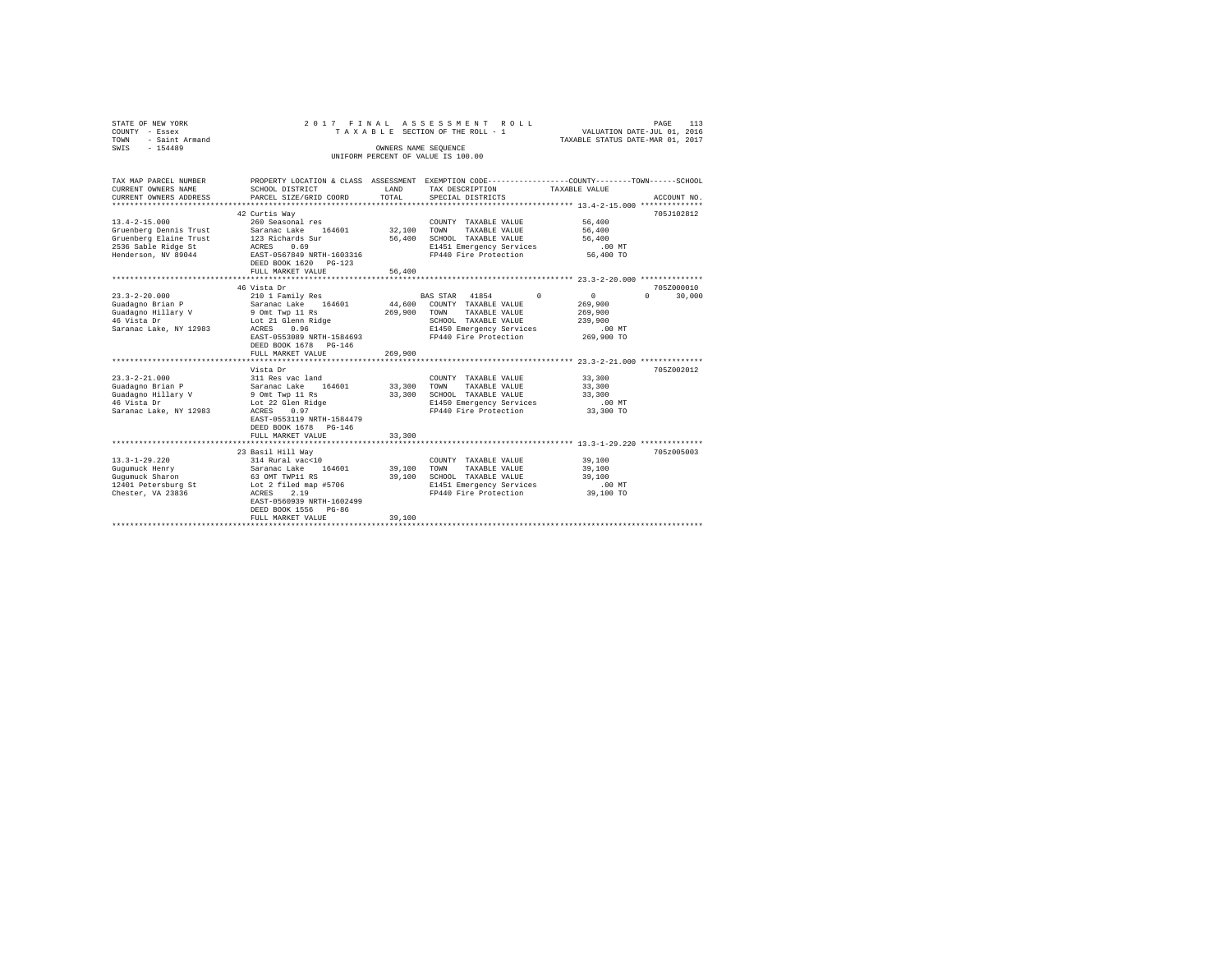| STATE OF NEW YORK<br>COUNTY - Essex<br>- Saint Armand<br>TOWN<br>$-154489$<br>SWIS                                                                                                                               | 2017 FINAL                                                                                                                                                                                                                                                                                                                                                                          | OWNERS NAME SEQUENCE                                       | ASSESSMENT ROLL<br>TAXABLE SECTION OF THE ROLL - 1<br>UNIFORM PERCENT OF VALUE IS 100.00                                                                                                                                                                                                 | VALUATION DATE-JUL 01, 2016<br>TAXABLE STATUS DATE-MAR 01, 2017                                                              | 113<br>PAGE                                    |
|------------------------------------------------------------------------------------------------------------------------------------------------------------------------------------------------------------------|-------------------------------------------------------------------------------------------------------------------------------------------------------------------------------------------------------------------------------------------------------------------------------------------------------------------------------------------------------------------------------------|------------------------------------------------------------|------------------------------------------------------------------------------------------------------------------------------------------------------------------------------------------------------------------------------------------------------------------------------------------|------------------------------------------------------------------------------------------------------------------------------|------------------------------------------------|
| TAX MAP PARCEL NUMBER<br>CURRENT OWNERS NAME<br>CURRENT OWNERS ADDRESS                                                                                                                                           | SCHOOL DISTRICT<br>PARCEL SIZE/GRID COORD                                                                                                                                                                                                                                                                                                                                           | LAND<br>TOTAL                                              | PROPERTY LOCATION & CLASS ASSESSMENT EXEMPTION CODE---------------COUNTY-------TOWN------SCHOOL<br>TAX DESCRIPTION<br>SPECIAL DISTRICTS                                                                                                                                                  | TAXABLE VALUE                                                                                                                | ACCOUNT NO.                                    |
| $13.4 - 2 - 15.000$<br>Gruenberg Dennis Trust<br>Gruenberg Elaine Trust<br>2536 Sable Ridge St<br>Henderson, NV 89044                                                                                            | 42 Curtis Way<br>260 Seasonal res<br>Saranac Lake 164601<br>123 Richards Sur<br>ACRES 0.69<br>EAST-0567849 NRTH-1603316<br>DEED BOOK 1620 PG-123                                                                                                                                                                                                                                    | 32,100<br>56,400                                           | COUNTY TAXABLE VALUE<br>TOWN<br>TAXABLE VALUE<br>SCHOOL TAXABLE VALUE<br>E1451 Emergency Services<br>FP440 Fire Protection                                                                                                                                                               | 56,400<br>56,400<br>56,400<br>$.00$ MT<br>56,400 TO                                                                          | 705J102812                                     |
|                                                                                                                                                                                                                  | FULL MARKET VALUE                                                                                                                                                                                                                                                                                                                                                                   | 56,400                                                     |                                                                                                                                                                                                                                                                                          |                                                                                                                              |                                                |
| $23.3 - 2 - 20.000$<br>Guadagno Brian P<br>Guadagno Hillary V<br>46 Vista Dr<br>Saranac Lake, NY 12983<br>$23.3 - 2 - 21.000$<br>Guadagno Brian P<br>Guadagno Hillary V<br>46 Vista Dr<br>Saranac Lake, NY 12983 | 46 Vista Dr<br>210 1 Family Res<br>Saranac Lake 164601<br>9 Omt Twp 11 Rs<br>Lot 21 Glenn Ridge<br>ACRES<br>0.96<br>EAST-0553089 NRTH-1584693<br>DEED BOOK 1678 PG-146<br>FULL MARKET VALUE<br>Vista Dr<br>311 Res vac land<br>Saranac Lake 164601<br>9 Omt Twp 11 Rs<br>Lot 22 Glen Ridge<br>ACRES 0.97<br>EAST-0553119 NRTH-1584479<br>DEED BOOK 1678 PG-146<br>FULL MARKET VALUE | 44,600<br>269,900<br>269,900<br>33,300<br>33,300<br>33,300 | BAS STAR 41854<br>$^{\circ}$<br>COUNTY TAXABLE VALUE<br>TOWN<br>TAXABLE VALUE<br>SCHOOL TAXABLE VALUE<br>E1450 Emergency Services<br>FP440 Fire Protection<br>COUNTY TAXABLE VALUE<br>TOWN<br>TAXABLE VALUE<br>SCHOOL TAXABLE VALUE<br>E1450 Emergency Services<br>FP440 Fire Protection | $\mathbf{0}$<br>269,900<br>269,900<br>239,900<br>.00 MT<br>269,900 TO<br>33,300<br>33,300<br>33,300<br>$.00$ MT<br>33,300 TO | 705Z000010<br>30,000<br>$\Omega$<br>705Z002012 |
|                                                                                                                                                                                                                  |                                                                                                                                                                                                                                                                                                                                                                                     |                                                            |                                                                                                                                                                                                                                                                                          |                                                                                                                              |                                                |
| $13.3 - 1 - 29.220$<br>Gugumuck Henry<br>Gugumuck Sharon<br>12401 Petersburg St<br>Chester, VA 23836                                                                                                             | 23 Basil Hill Way<br>314 Rural vac<10<br>Saranac Lake 164601<br>63 OMT TWP11 RS<br>Lot 2 filed map #5706<br>ACRES<br>2.19<br>EAST-0560939 NRTH-1602499<br>DEED BOOK 1556 PG-86<br>FULL MARKET VALUE                                                                                                                                                                                 | 39,100<br>39,100<br>39,100                                 | COUNTY TAXABLE VALUE<br>TOWN<br>TAXABLE VALUE<br>SCHOOL TAXABLE VALUE<br>E1451 Emergency Services<br>FP440 Fire Protection                                                                                                                                                               | 39,100<br>39,100<br>39,100<br>$.00$ MT<br>39,100 TO                                                                          | 705z005003                                     |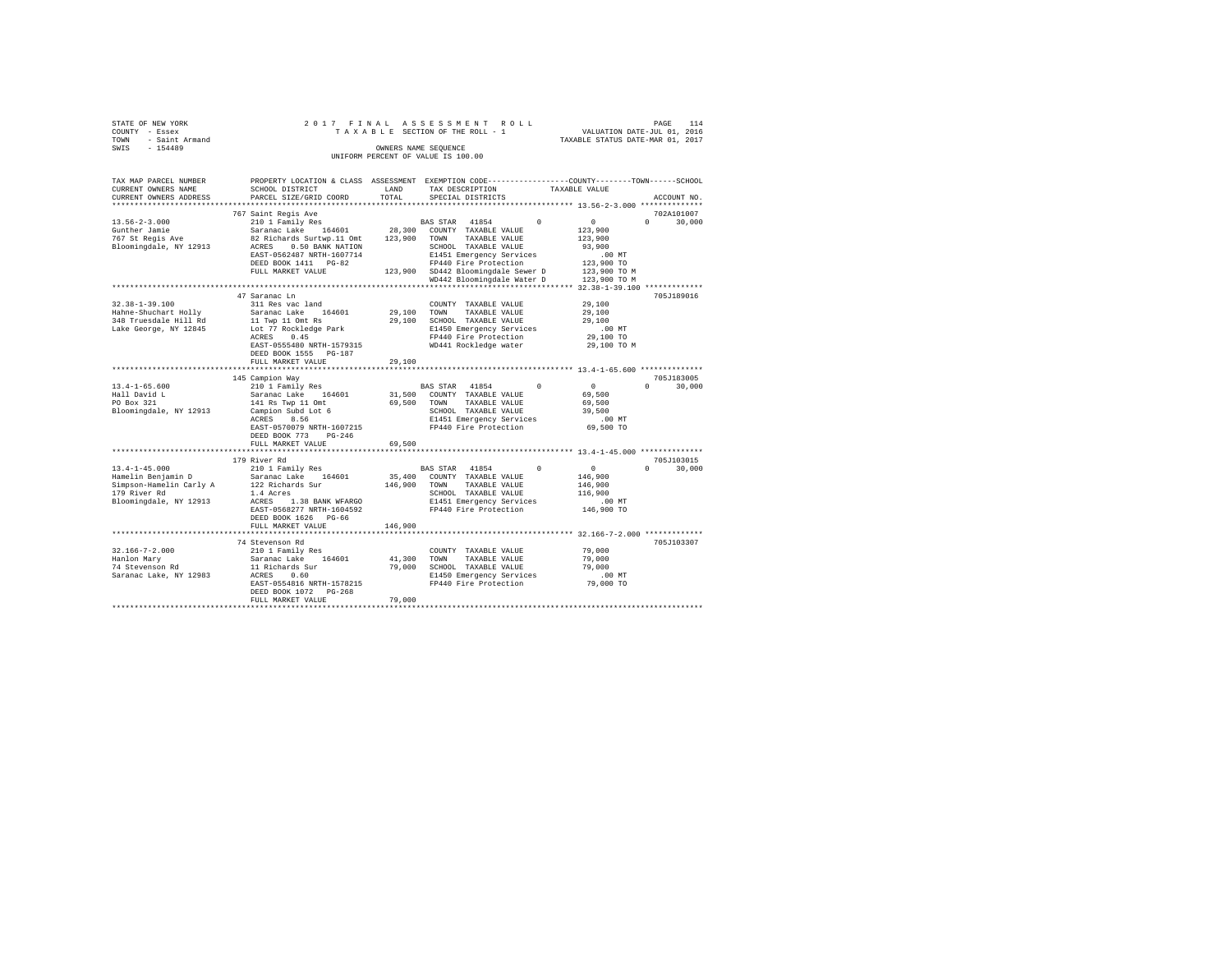| STATE OF NEW YORK       | 2017 FINAL                                                                                      |             | ASSESSMENT ROLL                                   |                                                                             |                    |
|-------------------------|-------------------------------------------------------------------------------------------------|-------------|---------------------------------------------------|-----------------------------------------------------------------------------|--------------------|
| COUNTY - Essex          |                                                                                                 |             | TAXABLE SECTION OF THE ROLL - 1                   |                                                                             |                    |
| TOWN - Saint Armand     |                                                                                                 |             |                                                   | PAGE 114<br>VALUATION DATE-JUL 01, 2016<br>TAXABLE STATUS DATE-MAR 01, 2017 |                    |
| $-154489$<br>SWIS       |                                                                                                 |             | OWNERS NAME SEOUENCE                              |                                                                             |                    |
|                         |                                                                                                 |             | UNIFORM PERCENT OF VALUE IS 100.00                |                                                                             |                    |
|                         |                                                                                                 |             |                                                   |                                                                             |                    |
|                         |                                                                                                 |             |                                                   |                                                                             |                    |
| TAX MAP PARCEL NUMBER   | PROPERTY LOCATION & CLASS ASSESSMENT EXEMPTION CODE---------------COUNTY-------TOWN------SCHOOL |             |                                                   |                                                                             |                    |
| CURRENT OWNERS NAME     | SCHOOL DISTRICT                                                                                 | LAND        | TAX DESCRIPTION                                   | TAXABLE VALUE                                                               |                    |
| CURRENT OWNERS ADDRESS  | PARCEL SIZE/GRID COORD                                                                          | TOTAL       | SPECIAL DISTRICTS                                 |                                                                             | ACCOUNT NO.        |
|                         |                                                                                                 |             |                                                   |                                                                             |                    |
|                         | 767 Saint Regis Ave                                                                             |             |                                                   |                                                                             | 702A101007         |
| $13.56 - 2 - 3.000$     | 210 1 Family Res                                                                                |             | BAS STAR 41854                                    | $\Omega$<br>$\Omega$                                                        | $\Omega$<br>30,000 |
| Gunther Jamie           | Saranac Lake 164601                                                                             |             | 28,300 COUNTY TAXABLE VALUE                       | 123,900                                                                     |                    |
| 767 St Regis Ave        | 82 Richards Surtwp.11 Omt 123,900 TOWN TAXABLE VALUE                                            |             |                                                   | 123,900                                                                     |                    |
| Bloomingdale, NY 12913  |                                                                                                 |             |                                                   | 93,900                                                                      |                    |
|                         |                                                                                                 |             |                                                   | $.00$ MT                                                                    |                    |
|                         |                                                                                                 |             |                                                   | 123,900 TO                                                                  |                    |
|                         | FULL MARKET VALUE                                                                               |             | 123,900 SD442 Bloomingdale Sewer D                | 123,900 TO M                                                                |                    |
|                         |                                                                                                 |             | WD442 Bloomingdale Water D                        | 123,900 TO M                                                                |                    |
|                         |                                                                                                 |             |                                                   |                                                                             |                    |
|                         | 47 Saranac Ln                                                                                   |             |                                                   |                                                                             | 705J189016         |
| 32.38-1-39.100          | 311 Res vac land                                                                                |             | COUNTY TAXABLE VALUE                              | 29,100                                                                      |                    |
| Hahne-Shuchart Holly    | Saranac Lake 164601                                                                             | 29,100 TOWN | TAXABLE VALUE                                     | 29,100                                                                      |                    |
| 348 Truesdale Hill Rd   | 11 Twp 11 Omt Rs                                                                                |             | 29,100 SCHOOL TAXABLE VALUE                       | 29,100                                                                      |                    |
| Lake George, NY 12845   | Lot 77 Rockledge Park                                                                           |             | E1450 Emergency Services                          | $.00$ MT                                                                    |                    |
|                         | ACRES 0.45                                                                                      |             | FP440 Fire Protection                             | 29,100 TO                                                                   |                    |
|                         | EAST-0555480 NRTH-1579315                                                                       |             | WD441 Rockledge water                             | 29,100 TO M                                                                 |                    |
|                         | DEED BOOK 1555 PG-187                                                                           |             |                                                   |                                                                             |                    |
|                         | FULL MARKET VALUE                                                                               | 29,100      |                                                   |                                                                             |                    |
|                         |                                                                                                 |             |                                                   |                                                                             |                    |
|                         | 145 Campion Way                                                                                 |             |                                                   |                                                                             | 705J183005         |
| $13.4 - 1 - 65.600$     | 210 1 Family Res                                                                                |             | BAS STAR 41854                                    | $\Omega$<br>$\sim$ 0                                                        | $\Omega$<br>30,000 |
| Hall David L            |                                                                                                 |             | 31,500 COUNTY TAXABLE VALUE                       | 69,500                                                                      |                    |
| PO Box 321              | Saranac Lake 164601                                                                             |             | 69,500 TOWN TAXABLE VALUE                         | 69,500                                                                      |                    |
|                         | 141 Rs Twp 11 Omt                                                                               |             |                                                   | 39,500                                                                      |                    |
| Bloomingdale, NY 12913  | Campion Subd Lot 6                                                                              |             | SCHOOL TAXABLE VALUE                              |                                                                             |                    |
|                         | ACRES 8.56                                                                                      |             | E1451 Emergency Services                          | $.00$ MT                                                                    |                    |
|                         | EAST-0570079 NRTH-1607215                                                                       |             | FP440 Fire Protection                             | 69,500 TO                                                                   |                    |
|                         | DEED BOOK 773 PG-246                                                                            |             |                                                   |                                                                             |                    |
|                         | FULL MARKET VALUE                                                                               | 69,500      |                                                   |                                                                             |                    |
|                         |                                                                                                 |             |                                                   |                                                                             |                    |
|                         | 179 River Rd                                                                                    |             |                                                   |                                                                             | 705J103015         |
| $13.4 - 1 - 45.000$     | 210 1 Family Res                                                                                |             | BAS STAR 41854                                    | $\sim$ 0<br>$\Omega$                                                        | $0 \t 30,000$      |
| Hamelin Benjamin D      | Saranac Lake 164601                                                                             |             | 35,400 COUNTY TAXABLE VALUE                       | 146,900                                                                     |                    |
| Simpson-Hamelin Carly A | 122 Richards Sur                                                                                |             | 146,900 TOWN TAXABLE VALUE                        | 146,900                                                                     |                    |
| 179 River Rd            | 1.4 Acres                                                                                       |             | SCHOOL TAXABLE VALUE                              | 116,900                                                                     |                    |
| Bloomingdale, NY 12913  | ACRES 1.38 BANK WFARGO                                                                          |             | E1451 Emergency Services<br>FP440 Fire Protection | $.00$ MT                                                                    |                    |
|                         | EAST-0568277 NRTH-1604592                                                                       |             |                                                   | 146,900 TO                                                                  |                    |
|                         | DEED BOOK 1626 PG-66                                                                            |             |                                                   |                                                                             |                    |
|                         | FULL MARKET VALUE                                                                               | 146,900     |                                                   |                                                                             |                    |
|                         |                                                                                                 |             |                                                   |                                                                             |                    |
|                         | 74 Stevenson Rd                                                                                 |             |                                                   |                                                                             | 705J103307         |
| $32.166 - 7 - 2.000$    | 210 1 Family Res                                                                                |             | COUNTY TAXABLE VALUE                              | 79,000                                                                      |                    |
| Hanlon Mary             | Saranac Lake 164601                                                                             | 41,300 TOWN | TAXABLE VALUE                                     | 79,000                                                                      |                    |
| 74 Stevenson Rd         | 11 Richards Sur                                                                                 |             | 79,000 SCHOOL TAXABLE VALUE                       | 79,000                                                                      |                    |
| Saranac Lake, NY 12983  | ACRES 0.60                                                                                      |             | E1450 Emergency Services                          | $.00$ MT                                                                    |                    |
|                         | EAST-0554816 NRTH-1578215                                                                       |             | FP440 Fire Protection                             | 79,000 TO                                                                   |                    |
|                         | DEED BOOK 1072 PG-268                                                                           |             |                                                   |                                                                             |                    |
|                         | FULL MARKET VALUE                                                                               | 79,000      |                                                   |                                                                             |                    |
|                         |                                                                                                 |             |                                                   |                                                                             |                    |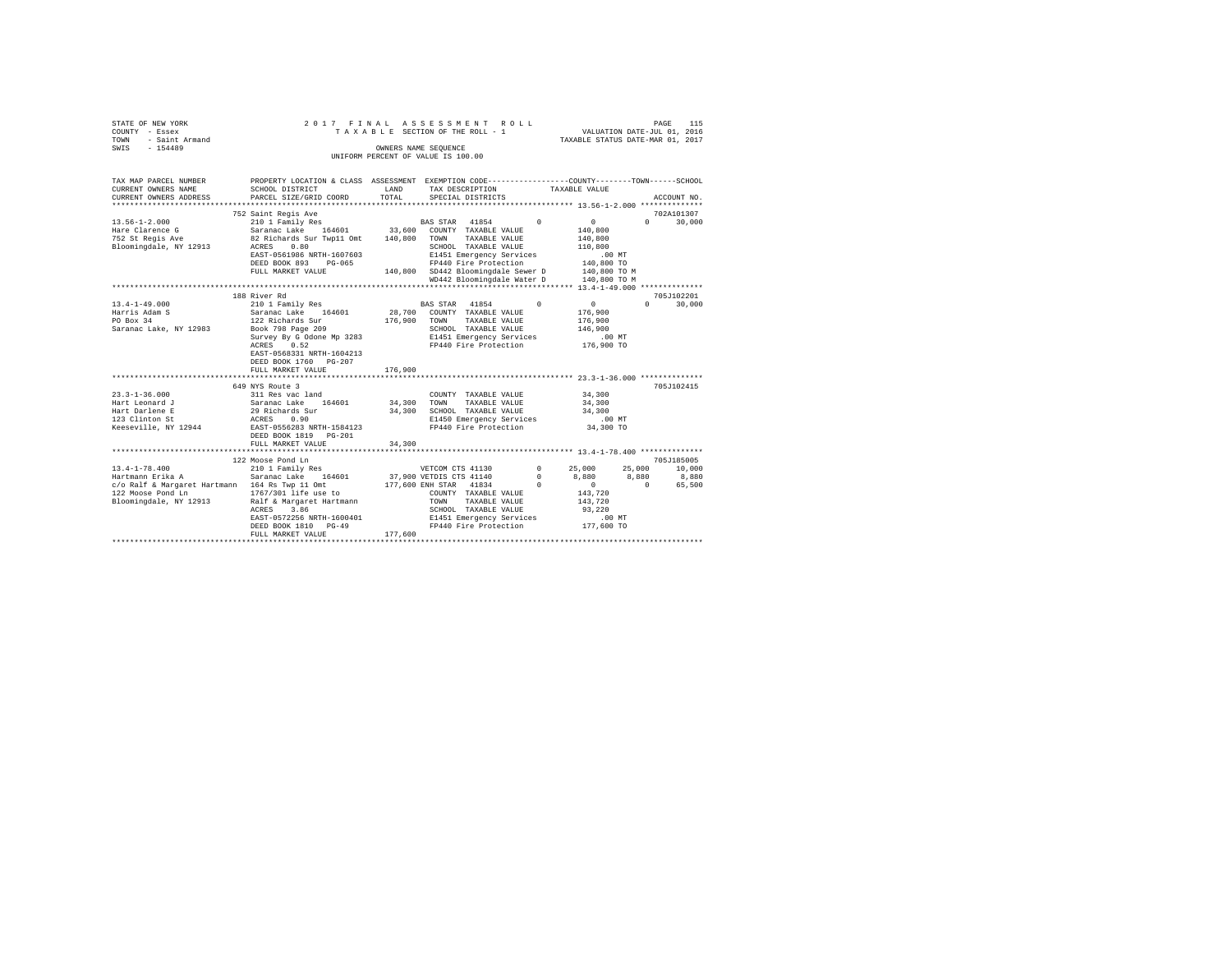| STATE OF NEW YORK<br>COUNTY - Essex<br>$-$ Saint Armand<br>TOWN<br>SWIS - 154489                                                                                                 |                                                                                                                                                                                                                                                                                                                                                                                                                                |                                                                | 2017 FINAL ASSESSMENT ROLL<br>TAXABLE SECTION OF THE ROLL - 1<br>OWNERS NAME SEQUENCE                                                                                                                                                                                                                                                          | VALUATION DATE-JUL 01, 2016<br>TAXABLE STATUS DATE-MAR 01, 2017                                                                                | PAGE<br>115                                              |
|----------------------------------------------------------------------------------------------------------------------------------------------------------------------------------|--------------------------------------------------------------------------------------------------------------------------------------------------------------------------------------------------------------------------------------------------------------------------------------------------------------------------------------------------------------------------------------------------------------------------------|----------------------------------------------------------------|------------------------------------------------------------------------------------------------------------------------------------------------------------------------------------------------------------------------------------------------------------------------------------------------------------------------------------------------|------------------------------------------------------------------------------------------------------------------------------------------------|----------------------------------------------------------|
|                                                                                                                                                                                  |                                                                                                                                                                                                                                                                                                                                                                                                                                |                                                                | UNIFORM PERCENT OF VALUE IS 100.00                                                                                                                                                                                                                                                                                                             |                                                                                                                                                |                                                          |
| TAX MAP PARCEL NUMBER<br>CURRENT OWNERS NAME<br>CURRENT OWNERS ADDRESS                                                                                                           | SCHOOL DISTRICT<br>PARCEL SIZE/GRID COORD                                                                                                                                                                                                                                                                                                                                                                                      | LAND<br>TOTAL                                                  | PROPERTY LOCATION & CLASS ASSESSMENT EXEMPTION CODE---------------COUNTY-------TOWN------SCHOOL<br>TAX DESCRIPTION<br>SPECIAL DISTRICTS                                                                                                                                                                                                        | TAXABLE VALUE                                                                                                                                  | ACCOUNT NO.                                              |
|                                                                                                                                                                                  | 752 Saint Regis Ave                                                                                                                                                                                                                                                                                                                                                                                                            |                                                                |                                                                                                                                                                                                                                                                                                                                                |                                                                                                                                                | 702A101307                                               |
| $13.56 - 1 - 2.000$<br>Hare Clarence G<br>752 St Regis Ave<br>Bloomingdale, NY 12913                                                                                             | 210 1 Family Res<br>Saranac Lake 164601 33,600 COUNTY TAXABLE VALUE<br>82 Richards Sur Twp11 Omt 140,800 TOWN<br>ACRES<br>0.80<br>EAST-0561986 NRTH-1607603<br>DEED BOOK 893 PG-065<br>FULL MARKET VALUE                                                                                                                                                                                                                       |                                                                | BAS STAR 41854<br>TAXABLE VALUE<br>SCHOOL TAXABLE VALUE<br>E1451 Emergency Services<br>FP440 Fire Protection<br>140,800 SD442 Bloomingdale Sewer D<br>WD442 Bloomingdale Water D                                                                                                                                                               | $\Omega$<br>$\Omega$<br>140,800<br>140,800<br>110,800<br>.00 MT<br>140,800 TO<br>140,800 TO M<br>140,800 TO M                                  | $\Omega$<br>30,000                                       |
|                                                                                                                                                                                  |                                                                                                                                                                                                                                                                                                                                                                                                                                |                                                                |                                                                                                                                                                                                                                                                                                                                                |                                                                                                                                                |                                                          |
| $13.4 - 1 - 49.000$<br>Harris Adam S<br>PO Box 34<br>Saranac Lake, NY 12983<br>$23.3 - 1 - 36.000$<br>Hart Leonard J<br>Hart Darlene E<br>123 Clinton St<br>Keeseville, NY 12944 | 188 River Rd<br>210 1 Family Res<br>Saranac Lake 164601<br>122 Richards Sur<br>Book 798 Page 209<br>Survey By G Odone Mp 3283<br>ACRES 0.52<br>EAST-0568331 NRTH-1604213<br>DEED BOOK 1760 PG-207<br>FULL MARKET VALUE<br>**************************<br>649 NYS Route 3<br>311 Res vac land<br>Saranac Lake 164601<br>29 Richards Sur<br>ACRES 0.90<br>EAST-0556283 NRTH-1584123<br>DEED BOOK 1819 PG-201<br>FULL MARKET VALUE | 176,900<br>176,900<br>**********<br>34,300<br>34,300<br>34,300 | BAS STAR 41854<br>28,700 COUNTY TAXABLE VALUE<br>TOWN<br>TAXABLE VALUE<br>SCHOOL TAXABLE VALUE<br>E1451 Emergency Services<br>FP440 Fire Protection<br>**************************** 23.3-1-36.000 **************<br>COUNTY TAXABLE VALUE<br>TOWN<br>TAXABLE VALUE<br>SCHOOL TAXABLE VALUE<br>E1450 Emergency Services<br>FP440 Fire Protection | $\overline{0}$<br>$^{\circ}$<br>176,900<br>176,900<br>146,900<br>$.00$ MT<br>176,900 TO<br>34,300<br>34,300<br>34,300<br>$.00$ MT<br>34,300 TO | 705J102201<br>30,000<br>$\Omega$<br>705J102415           |
|                                                                                                                                                                                  | 122 Moose Pond Ln                                                                                                                                                                                                                                                                                                                                                                                                              |                                                                |                                                                                                                                                                                                                                                                                                                                                |                                                                                                                                                | 705J185005                                               |
| $13.4 - 1 - 78.400$<br>-------------<br>Hartmann Erika A<br>c/o Ralf & Margaret Hartmann 164 Rs Twp 11 Omt<br>122 Moose Pond Ln<br>Bloomingdale, NY 12913                        | 210 1 Family Res<br>Saranac Lake 164601<br>1767/301 life use to<br>Ralf & Margaret Hartmann<br>ACRES<br>3.86<br>EAST-0572256 NRTH-1600401<br>DEED BOOK 1810 PG-49<br>FULL MARKET VALUE                                                                                                                                                                                                                                         | 177,600                                                        | VETCOM CTS 41130<br>37,900 VETDIS CTS 41140<br>177,600 ENH STAR 41834<br>COUNTY TAXABLE VALUE<br>TAXABLE VALUE<br>TOWN<br>SCHOOL TAXABLE VALUE<br>E1451 Emergency Services<br>FP440 Fire Protection                                                                                                                                            | 25,000<br>$^{\circ}$<br>8,880<br>$^{\circ}$<br>$^{\circ}$<br>$\sim$ 0<br>143,720<br>143,720<br>93,220<br>$.00$ MT<br>177,600 TO                | 25,000<br>10,000<br>8,880<br>8,880<br>$\sim$ 0<br>65,500 |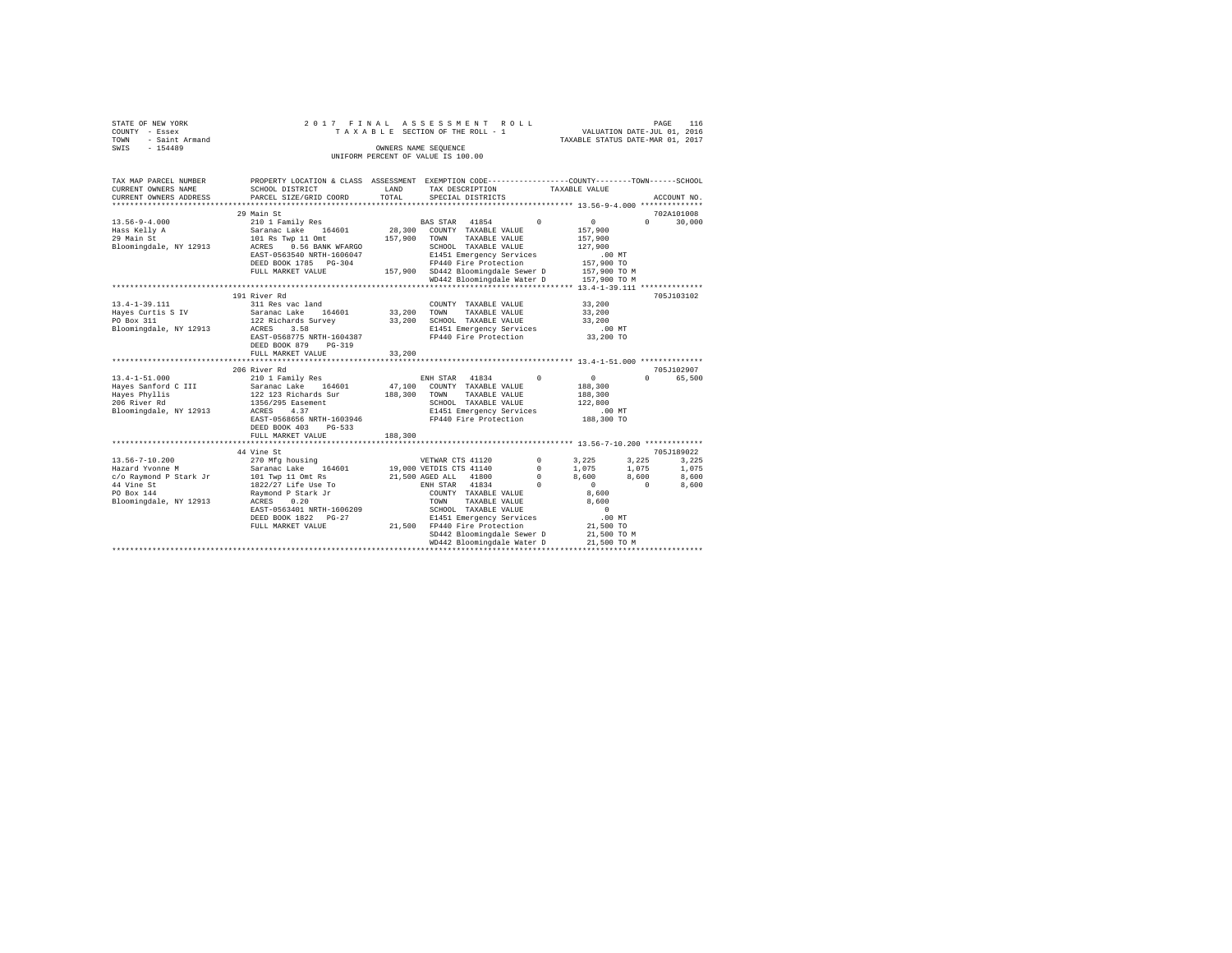|      | STATE OF NEW YORK |  |  |  | 2017 FINAL ASSESSMENT ROLL         |  |  |  |                                  | PAGE | 116 |
|------|-------------------|--|--|--|------------------------------------|--|--|--|----------------------------------|------|-----|
|      | COUNTY - Essex    |  |  |  | TAXABLE SECTION OF THE ROLL - 1    |  |  |  | VALUATION DATE-JUL 01, 2016      |      |     |
| TOWN | - Saint Armand    |  |  |  |                                    |  |  |  | TAXABLE STATUS DATE-MAR 01, 2017 |      |     |
| SWIS | $-154489$         |  |  |  | OWNERS NAME SEOUENCE               |  |  |  |                                  |      |     |
|      |                   |  |  |  | UNIFORM PERCENT OF VALUE IS 100.00 |  |  |  |                                  |      |     |

| TAX MAP PARCEL NUMBER<br>CURRENT OWNERS NAME                                                   | PROPERTY LOCATION & CLASS ASSESSMENT EXEMPTION CODE----------------COUNTY-------TOWN------SCHOOL<br>SCHOOL DISTRICT                                                                                                                      | LAND                       | TAX DESCRIPTION                                                                                                                                                                                                                                                                 | TAXABLE VALUE                                                                                                  |                                                                                       |
|------------------------------------------------------------------------------------------------|------------------------------------------------------------------------------------------------------------------------------------------------------------------------------------------------------------------------------------------|----------------------------|---------------------------------------------------------------------------------------------------------------------------------------------------------------------------------------------------------------------------------------------------------------------------------|----------------------------------------------------------------------------------------------------------------|---------------------------------------------------------------------------------------|
| CURRENT OWNERS ADDRESS                                                                         | PARCEL SIZE/GRID COORD                                                                                                                                                                                                                   | TOTAL                      | SPECIAL DISTRICTS                                                                                                                                                                                                                                                               |                                                                                                                | ACCOUNT NO.                                                                           |
| $13.56 - 9 - 4.000$<br>Hass Kelly A<br>29 Main St                                              | 29 Main St<br>210 1 Family Res<br>Saranac Lake 164601<br>101 Rs Twp 11 Omt<br>Bloomingdale, NY 12913 ACRES 0.56 BANK WFARGO<br>EAST-0563540 NRTH-1606047<br>DEED BOOK 1785 PG-304<br>FULL MARKET VALUE                                   | 28,300<br>157,900          | BAS STAR 41854 0<br>COUNTY TAXABLE VALUE<br>TOWN<br>TAXABLE VALUE<br>SCHOOL TAXABLE VALUE<br>E1451 Emergency Services<br>FP440 Fire Protection<br>157,900 SD442 Bloomingdale Sewer D                                                                                            | 0<br>157,900<br>157,900<br>127,900<br>$.00$ MT<br>157,900 TO<br>157,900 TO M                                   | 702A101008<br>30,000<br>$\Omega$                                                      |
|                                                                                                |                                                                                                                                                                                                                                          |                            | WD442 Bloomingdale Water D 157.900 TO M                                                                                                                                                                                                                                         |                                                                                                                |                                                                                       |
|                                                                                                | 191 River Rd                                                                                                                                                                                                                             |                            |                                                                                                                                                                                                                                                                                 |                                                                                                                | 705J103102                                                                            |
| $13.4 - 1 - 39.111$<br>Hayes Curtis S IV<br>PO Box 311<br>PO Box 311<br>Bloomingdale, NY 12913 | 311 Res vac land<br>Saranac Lake 164601<br>122 Richards Survey<br>ACRES<br>3.58<br>EAST-0568775 NRTH-1604387<br>DEED BOOK 879<br>PG-319<br>FULL MARKET VALUE                                                                             | 33,200<br>33,200<br>33,200 | COUNTY TAXABLE VALUE<br>TOWN<br>TAXABLE VALUE<br>SCHOOL TAXABLE VALUE<br>E1451 Emergency Services .00 MT<br>FP440 Fire Protection                                                                                                                                               | 33,200<br>33,200<br>33,200<br>33,200 TO                                                                        |                                                                                       |
|                                                                                                |                                                                                                                                                                                                                                          |                            |                                                                                                                                                                                                                                                                                 |                                                                                                                |                                                                                       |
| Bloomingdale, NY 12913                                                                         | 206 River Rd<br>ACRES<br>4.37<br>EAST-0568656 NRTH-1603946<br>DEED BOOK 403 PG-533<br>FULL MARKET VALUE                                                                                                                                  | 188,300                    | ENH STAR 41834<br>47,100 COUNTY TAXABLE VALUE<br>TOWN<br>TAXABLE VALUE<br>SCHOOL TAXABLE VALUE<br>E1451 Emergency Services<br>FP440 Fire Protection                                                                                                                             | $^{\circ}$<br>$\mathbf{0}$<br>188,300<br>188,300<br>122,800<br>.00 MT<br>188,300 TO                            | 705J102907<br>65,500<br>$\Omega$                                                      |
|                                                                                                |                                                                                                                                                                                                                                          |                            |                                                                                                                                                                                                                                                                                 |                                                                                                                |                                                                                       |
| $13.56 - 7 - 10.200$<br>Hazard Yvonne M<br>44 Vine St<br>PO Box 144<br>Bloomingdale, NY 12913  | 44 Vine St<br>270 Mfg housing<br>Saranac Lake 164601<br>c/o Raymond P Stark Jr 101 Twp 11 Omt Rs<br>1822/27 Life Use To<br>Raymond P Stark Jr<br>0.20<br>ACRES<br>EAST-0563401 NRTH-1606209<br>DEED BOOK 1822 PG-27<br>FULL MARKET VALUE |                            | VETWAR CTS 41120 0 3,225<br>19,000 VETDIS CTS 41140<br>21,500 AGED ALL 41800 0<br>ENH STAR 41834<br>$\sim$ 0<br>COUNTY TAXABLE VALUE<br>TOWN<br>TAXABLE VALUE<br>SCHOOL TAXABLE VALUE<br>E1451 Emergency Services<br>21,500 FP440 Fire Protection<br>SD442 Bloomingdale Sewer D | $^{\circ}$<br>1,075<br>8,600<br>$\sim$ 0<br>8,600<br>8,600<br>$\sim$ 0<br>$.00$ MT<br>21,500 TO<br>21,500 TO M | 705J189022<br>3,225<br>3,225<br>1,075<br>1,075<br>8,600<br>8,600<br>$\sim$ 0<br>8,600 |
|                                                                                                |                                                                                                                                                                                                                                          |                            | WD442 Bloomingdale Water D                                                                                                                                                                                                                                                      | 21,500 TO M                                                                                                    |                                                                                       |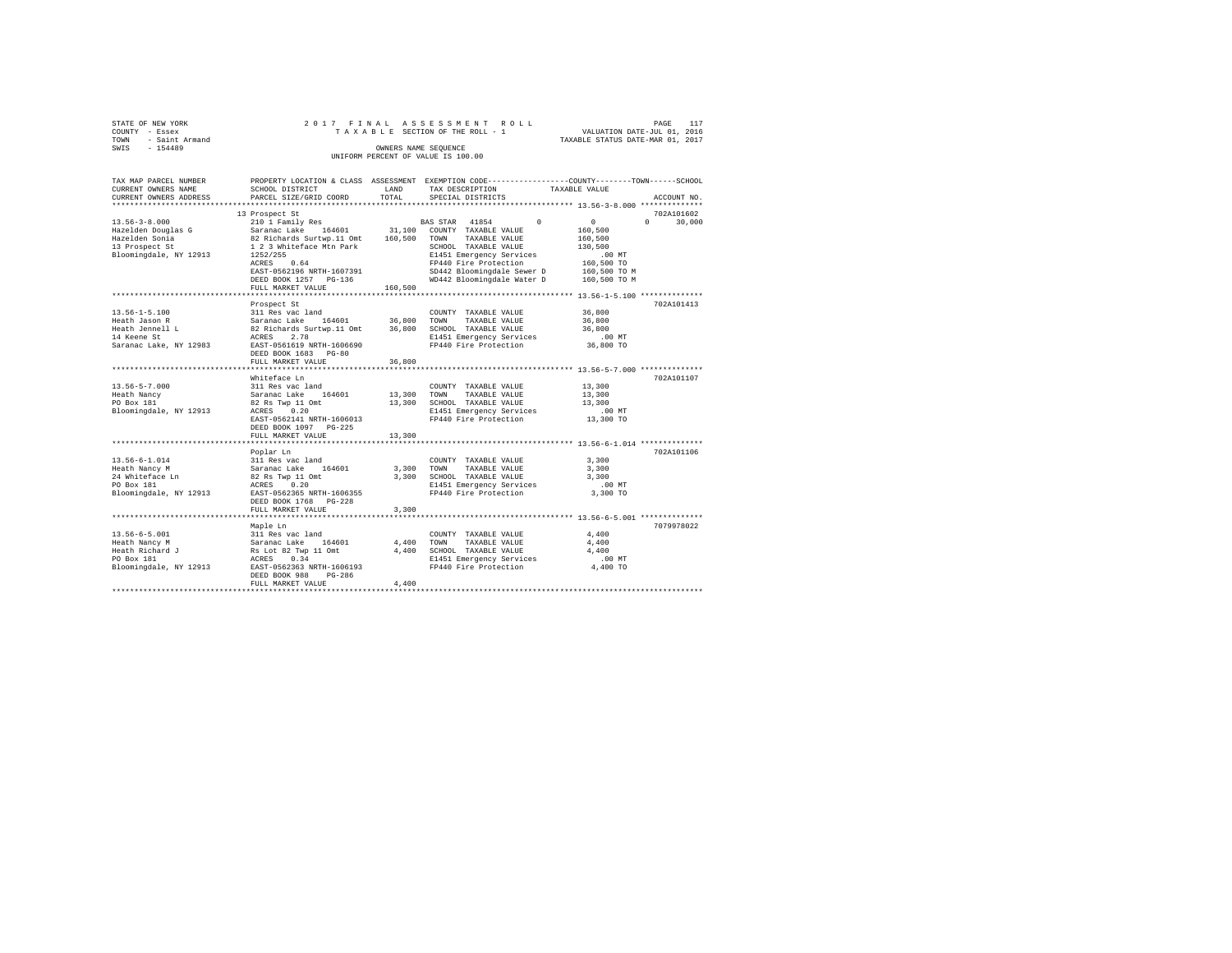|      | STATE OF NEW YORK |  |  |  |  | 2017 FINAL ASSESSMENT ROLL         |  |  |  |  |  |                                  | PAGE | 117 |
|------|-------------------|--|--|--|--|------------------------------------|--|--|--|--|--|----------------------------------|------|-----|
|      | COUNTY - Essex    |  |  |  |  | TAXABLE SECTION OF THE ROLL - 1    |  |  |  |  |  | VALUATION DATE-JUL 01, 2016      |      |     |
| TOWN | - Saint Armand    |  |  |  |  |                                    |  |  |  |  |  | TAXABLE STATUS DATE-MAR 01, 2017 |      |     |
| SWIS | $-154489$         |  |  |  |  | OWNERS NAME SEOUENCE               |  |  |  |  |  |                                  |      |     |
|      |                   |  |  |  |  | UNIFORM PERCENT OF VALUE IS 100.00 |  |  |  |  |  |                                  |      |     |

| TAX MAP PARCEL NUMBER<br>CURRENT OWNERS NAME<br>CURRENT OWNERS ADDRESS | PROPERTY LOCATION & CLASS ASSESSMENT EXEMPTION CODE----------------COUNTY-------TOWN-----SCHOOL<br>SCHOOL DISTRICT<br>PARCEL SIZE/GRID COORD | LAND<br>TOTAL | TAX DESCRIPTION<br>SPECIAL DISTRICTS                                                                                                                           | TAXABLE VALUE                                                                | ACCOUNT NO.                      |
|------------------------------------------------------------------------|----------------------------------------------------------------------------------------------------------------------------------------------|---------------|----------------------------------------------------------------------------------------------------------------------------------------------------------------|------------------------------------------------------------------------------|----------------------------------|
| **********************                                                 |                                                                                                                                              |               |                                                                                                                                                                |                                                                              |                                  |
| $13.56 - 3 - 8.000$<br>Hazelden Douglas G                              | 13 Prospect St<br>210 1 Family Res<br>Saranac Lake 164601                                                                                    | 31,100        | BAS STAR 41854<br>COUNTY TAXABLE VALUE                                                                                                                         | $\mathbf{0}$<br>$\Omega$<br>160,500                                          | 702A101602<br>$\Omega$<br>30,000 |
| нaze⊥den Sonia<br>13 Prospect St<br>Bloomingdale, NY 12913             | 82 Richards Surtwp.11 Omt<br>1 2 3 Whiteface Mtn Park<br>1252/255<br>0.64<br>ACRES<br>EAST-0562196 NRTH-1607391<br>DEED BOOK 1257 PG-136     | 160,500       | TOWN<br>TAXABLE VALUE<br>SCHOOL TAXABLE VALUE<br>E1451 Emergency Services<br>FP440 Fire Protection<br>SD442 Bloomingdale Sewer D<br>WD442 Bloomingdale Water D | 160,500<br>130,500<br>$.00$ MT<br>160,500 TO<br>160,500 TO M<br>160,500 TO M |                                  |
|                                                                        | FULL MARKET VALUE<br>*************************                                                                                               | 160,500       |                                                                                                                                                                |                                                                              |                                  |
|                                                                        | Prospect St                                                                                                                                  |               |                                                                                                                                                                |                                                                              | 702A101413                       |
| $13.56 - 1 - 5.100$                                                    | 311 Res vac land                                                                                                                             |               | COUNTY TAXABLE VALUE                                                                                                                                           | 36,800                                                                       |                                  |
| Heath Jason R                                                          | Saranac Lake 164601                                                                                                                          | 36,800 TOWN   | TAXABLE VALUE                                                                                                                                                  | 36,800                                                                       |                                  |
| Heath Jennell L                                                        | 82 Richards Surtwp.11 Omt                                                                                                                    | 36,800        | SCHOOL TAXABLE VALUE                                                                                                                                           | 36,800                                                                       |                                  |
| 14 Keene St                                                            | ACRES<br>2.78                                                                                                                                |               | E1451 Emergency Services                                                                                                                                       | $.00$ MT                                                                     |                                  |
| Saranac Lake, NY 12983                                                 | EAST-0561619 NRTH-1606690<br>DEED BOOK 1683 PG-80                                                                                            |               | FP440 Fire Protection                                                                                                                                          | 36,800 TO                                                                    |                                  |
|                                                                        | FULL MARKET VALUE                                                                                                                            | 36,800        |                                                                                                                                                                |                                                                              |                                  |
|                                                                        | Whiteface Ln                                                                                                                                 |               |                                                                                                                                                                |                                                                              | 702A101107                       |
| $13.56 - 5 - 7.000$                                                    | 311 Res vac land                                                                                                                             |               | COUNTY TAXABLE VALUE                                                                                                                                           | 13,300                                                                       |                                  |
| Heath Nancy                                                            | Saranac Lake<br>164601                                                                                                                       | 13,300        | TOWN<br>TAXABLE VALUE                                                                                                                                          | 13,300                                                                       |                                  |
| PO Box 181                                                             | 82 Rs Twp 11 Omt                                                                                                                             | 13,300        | SCHOOL TAXABLE VALUE                                                                                                                                           | 13,300                                                                       |                                  |
| Bloomingdale, NY 12913                                                 | ACRES 0.20                                                                                                                                   |               | E1451 Emergency Services                                                                                                                                       | $.00$ MT                                                                     |                                  |
|                                                                        | EAST-0562141 NRTH-1606013<br>DEED BOOK 1097 PG-225                                                                                           |               | FP440 Fire Protection                                                                                                                                          | 13,300 TO                                                                    |                                  |
|                                                                        | FULL MARKET VALUE                                                                                                                            | 13,300        |                                                                                                                                                                |                                                                              |                                  |
|                                                                        | Poplar Ln                                                                                                                                    |               |                                                                                                                                                                |                                                                              | 702A101106                       |
| 13.56-6-1.014                                                          | 311 Res vac land                                                                                                                             |               | COUNTY TAXABLE VALUE                                                                                                                                           | 3,300                                                                        |                                  |
| Heath Nancy M                                                          | 164601<br>Saranac Lake                                                                                                                       | 3,300         | TOWN<br>TAXABLE VALUE                                                                                                                                          | 3,300                                                                        |                                  |
| 24 Whiteface Ln                                                        | 82 Rs Twp 11 Omt                                                                                                                             | 3,300         | SCHOOL TAXABLE VALUE                                                                                                                                           | 3,300                                                                        |                                  |
| PO Box 181                                                             | ACRES 0.20                                                                                                                                   |               | E1451 Emergency Services                                                                                                                                       | .00 MT                                                                       |                                  |
| Bloomingdale, NY 12913                                                 | EAST-0562365 NRTH-1606355<br>DEED BOOK 1768<br>$PG-228$<br>FULL MARKET VALUE                                                                 | 3,300         | FP440 Fire Protection                                                                                                                                          | 3,300 TO                                                                     |                                  |
|                                                                        |                                                                                                                                              |               |                                                                                                                                                                |                                                                              |                                  |
|                                                                        | Maple Ln                                                                                                                                     |               |                                                                                                                                                                |                                                                              | 7079978022                       |
| $13.56 - 6 - 5.001$                                                    | 311 Res vac land                                                                                                                             |               | COUNTY TAXABLE VALUE                                                                                                                                           | 4,400                                                                        |                                  |
| Heath Nancy M                                                          | Saranac Lake<br>164601                                                                                                                       | 4,400         | TOWN<br>TAXABLE VALUE                                                                                                                                          | 4,400                                                                        |                                  |
| Heath Richard J                                                        | Rs Lot 82 Twp 11 Omt                                                                                                                         | 4,400         | SCHOOL TAXABLE VALUE                                                                                                                                           | 4,400                                                                        |                                  |
| PO Box 181                                                             | ACRES<br>0.34                                                                                                                                |               | E1451 Emergency Services                                                                                                                                       | .00 MT                                                                       |                                  |
| Bloomingdale, NY 12913                                                 | EAST-0562363 NRTH-1606193<br>DEED BOOK 988<br>$PG-286$<br>FULL MARKET VALUE                                                                  | 4,400         | FP440 Fire Protection                                                                                                                                          | 4,400 TO                                                                     |                                  |
|                                                                        |                                                                                                                                              |               |                                                                                                                                                                |                                                                              |                                  |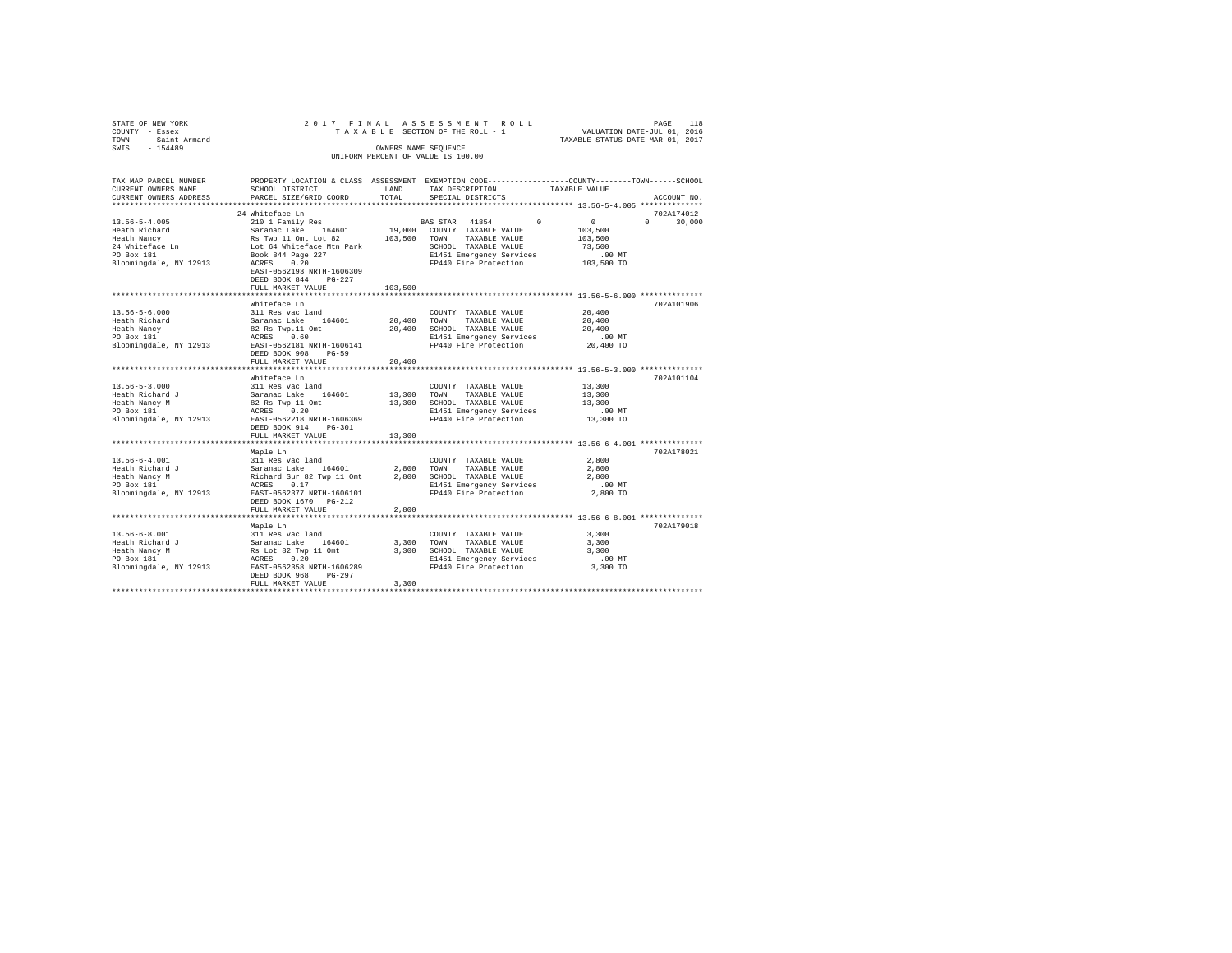|                | STATE OF NEW YORK   |  |  | 2017 FINAL ASSESSMENT ROLL         |  |                                  | PAGE | 118 |
|----------------|---------------------|--|--|------------------------------------|--|----------------------------------|------|-----|
| COUNTY - Essex |                     |  |  | TAXABLE SECTION OF THE ROLL - 1    |  | VALUATION DATE-JUL 01, 2016      |      |     |
|                | TOWN - Saint Armand |  |  |                                    |  | TAXABLE STATUS DATE-MAR 01, 2017 |      |     |
| SWTS           | $-154489$           |  |  | OWNERS NAME SEOUENCE               |  |                                  |      |     |
|                |                     |  |  | UNIFORM PERCENT OF VALUE IS 100.00 |  |                                  |      |     |
|                |                     |  |  |                                    |  |                                  |      |     |

| TAX MAP PARCEL NUMBER<br>CURRENT OWNERS NAME                                                                                                    | SCHOOL DISTRICT                                                                                                | LAND        | PROPERTY LOCATION & CLASS ASSESSMENT EXEMPTION CODE---------------COUNTY-------TOWN-----SCHOOL<br>TAX DESCRIPTION | TAXABLE VALUE                      |
|-------------------------------------------------------------------------------------------------------------------------------------------------|----------------------------------------------------------------------------------------------------------------|-------------|-------------------------------------------------------------------------------------------------------------------|------------------------------------|
| CURRENT OWNERS ADDRESS                                                                                                                          |                                                                                                                | TOTAL       |                                                                                                                   | ACCOUNT NO                         |
|                                                                                                                                                 | PARCEL SIZE/GRID COORD                                                                                         |             | SPECIAL DISTRICTS                                                                                                 |                                    |
|                                                                                                                                                 | 24 Whiteface Ln                                                                                                |             |                                                                                                                   | 702A174012                         |
| $13.56 - 5 - 4.005$                                                                                                                             | 210 1 Family Res                                                                                               |             | $\sim$<br>BAS STAR 41854                                                                                          | $\sim$ 0<br>$\mathbf{a}$<br>30,000 |
|                                                                                                                                                 |                                                                                                                |             | 19,000 COUNTY TAXABLE VALUE                                                                                       |                                    |
|                                                                                                                                                 |                                                                                                                |             |                                                                                                                   | 103,500                            |
|                                                                                                                                                 |                                                                                                                |             | 103,500 TOWN TAXABLE VALUE                                                                                        | 103,500                            |
| Each Richard Saranac Lake 164601 19,000<br>Heath Nancy Res Twp 11 Ont Lot 82 103,500<br>24 Whiteface Ln Lot 64 Whiteface Mtn Park<br>PO Box 181 |                                                                                                                |             | SCHOOL TAXABLE VALUE                                                                                              | 73,500                             |
|                                                                                                                                                 |                                                                                                                |             | E1451 Emergency Services .00 MT<br>FP440 Fire Protection .03,500 TO                                               |                                    |
| Bloomingdale, NY 12913 ACRES 0.20                                                                                                               |                                                                                                                |             |                                                                                                                   |                                    |
|                                                                                                                                                 | EAST-0562193 NRTH-1606309                                                                                      |             |                                                                                                                   |                                    |
|                                                                                                                                                 | DEED BOOK 844<br>$PG-227$                                                                                      |             |                                                                                                                   |                                    |
|                                                                                                                                                 | FULL MARKET VALUE                                                                                              | 103,500     |                                                                                                                   |                                    |
|                                                                                                                                                 |                                                                                                                |             |                                                                                                                   |                                    |
|                                                                                                                                                 | Whiteface Ln                                                                                                   |             |                                                                                                                   | 702A101906                         |
| $13.56 - 5 - 6.000$                                                                                                                             |                                                                                                                |             | COUNTY TAXABLE VALUE                                                                                              | 20,400                             |
| Heath Richard                                                                                                                                   |                                                                                                                | 20,400 TOWN | TAXABLE VALUE                                                                                                     | 20,400                             |
| Heath Nancy                                                                                                                                     | 311 Res vac land<br>Saranac Lake 164601<br>82 Rs Twp.11 Omt<br>ACRES 0.60                                      |             | 20,400 SCHOOL TAXABLE VALUE                                                                                       | 20,400                             |
| PO Box 181                                                                                                                                      |                                                                                                                |             | E1451 Emergency Services                                                                                          | $.00$ MT                           |
| Bloomingdale, NY 12913                                                                                                                          | EAST-0562181 NRTH-1606141                                                                                      |             | FP440 Fire Protection                                                                                             | 20,400 TO                          |
|                                                                                                                                                 | DEED BOOK 908<br>$PG-59$                                                                                       |             |                                                                                                                   |                                    |
|                                                                                                                                                 | FULL MARKET VALUE                                                                                              | 20,400      |                                                                                                                   |                                    |
|                                                                                                                                                 |                                                                                                                |             |                                                                                                                   |                                    |
|                                                                                                                                                 | Whiteface Ln                                                                                                   |             |                                                                                                                   | 702A101104                         |
| $13.56 - 5 - 3.000$                                                                                                                             |                                                                                                                |             | COUNTY TAXABLE VALUE                                                                                              | 13,300                             |
| Heath Richard J                                                                                                                                 | 311 Res vac land<br>Saranac Lake 164601<br>82 Rs Twp 11 Omt<br>ACRES 0.20                                      |             | 13,300 TOWN<br>TAXABLE VALUE                                                                                      | 13,300                             |
| Heath Nancy M                                                                                                                                   |                                                                                                                |             | 13,300 SCHOOL TAXABLE VALUE                                                                                       | 13,300                             |
| PO Box 181                                                                                                                                      |                                                                                                                |             | E1451 Emergency Services                                                                                          | $.00$ MT                           |
| Bloomingdale, NY 12913 EAST-0562218 NRTH-1606369                                                                                                |                                                                                                                |             | FP440 Fire Protection                                                                                             | 13,300 TO                          |
|                                                                                                                                                 | DEED BOOK 914 PG-301                                                                                           |             |                                                                                                                   |                                    |
|                                                                                                                                                 | FULL MARKET VALUE                                                                                              | 13,300      |                                                                                                                   |                                    |
|                                                                                                                                                 |                                                                                                                |             |                                                                                                                   |                                    |
|                                                                                                                                                 | Maple Ln                                                                                                       |             |                                                                                                                   | 702A178021                         |
|                                                                                                                                                 |                                                                                                                |             | COUNTY TAXABLE VALUE                                                                                              | 2,800                              |
|                                                                                                                                                 |                                                                                                                |             | 2,800 TOWN TAXABLE VALUE                                                                                          | 2,800                              |
|                                                                                                                                                 |                                                                                                                |             | 2,800 SCHOOL TAXABLE VALUE                                                                                        | 2,800                              |
|                                                                                                                                                 |                                                                                                                |             | E1451 Emergency Services                                                                                          | $.00$ MT                           |
| Bloomingdale, NY 12913 EAST-0562377 NRTH-1606101                                                                                                |                                                                                                                |             | FP440 Fire Protection                                                                                             | 2,800 TO                           |
|                                                                                                                                                 | DEED BOOK 1670 PG-212                                                                                          |             |                                                                                                                   |                                    |
|                                                                                                                                                 | FULL MARKET VALUE                                                                                              | 2,800       |                                                                                                                   |                                    |
|                                                                                                                                                 |                                                                                                                |             |                                                                                                                   |                                    |
|                                                                                                                                                 | Maple Ln                                                                                                       |             |                                                                                                                   | 702A179018                         |
| $13.56 - 6 - 8.001$                                                                                                                             |                                                                                                                |             | COUNTY TAXABLE VALUE                                                                                              | 3,300                              |
| Heath Richard J                                                                                                                                 |                                                                                                                | 3,300 TOWN  | TAXABLE VALUE                                                                                                     | 3,300                              |
| Heath Nancy M                                                                                                                                   |                                                                                                                |             | 3,300 SCHOOL TAXABLE VALUE                                                                                        | 3,300                              |
| PO Box 181                                                                                                                                      |                                                                                                                |             | E1451 Emergency Services                                                                                          | $.00$ MT                           |
| Bloomingdale, NY 12913                                                                                                                          | <br>311 Res vac land<br>Saranac Lake 164601<br>RS Lot 82 Twp 11 Omt<br>ACRES 0.20<br>EAST-0562358 NRTH-1606289 |             | FP440 Fire Protection                                                                                             | 3,300 TO                           |
|                                                                                                                                                 | DEED BOOK 968<br>PG-297                                                                                        |             |                                                                                                                   |                                    |
|                                                                                                                                                 | FULL MARKET VALUE                                                                                              | 3,300       |                                                                                                                   |                                    |
|                                                                                                                                                 |                                                                                                                |             |                                                                                                                   |                                    |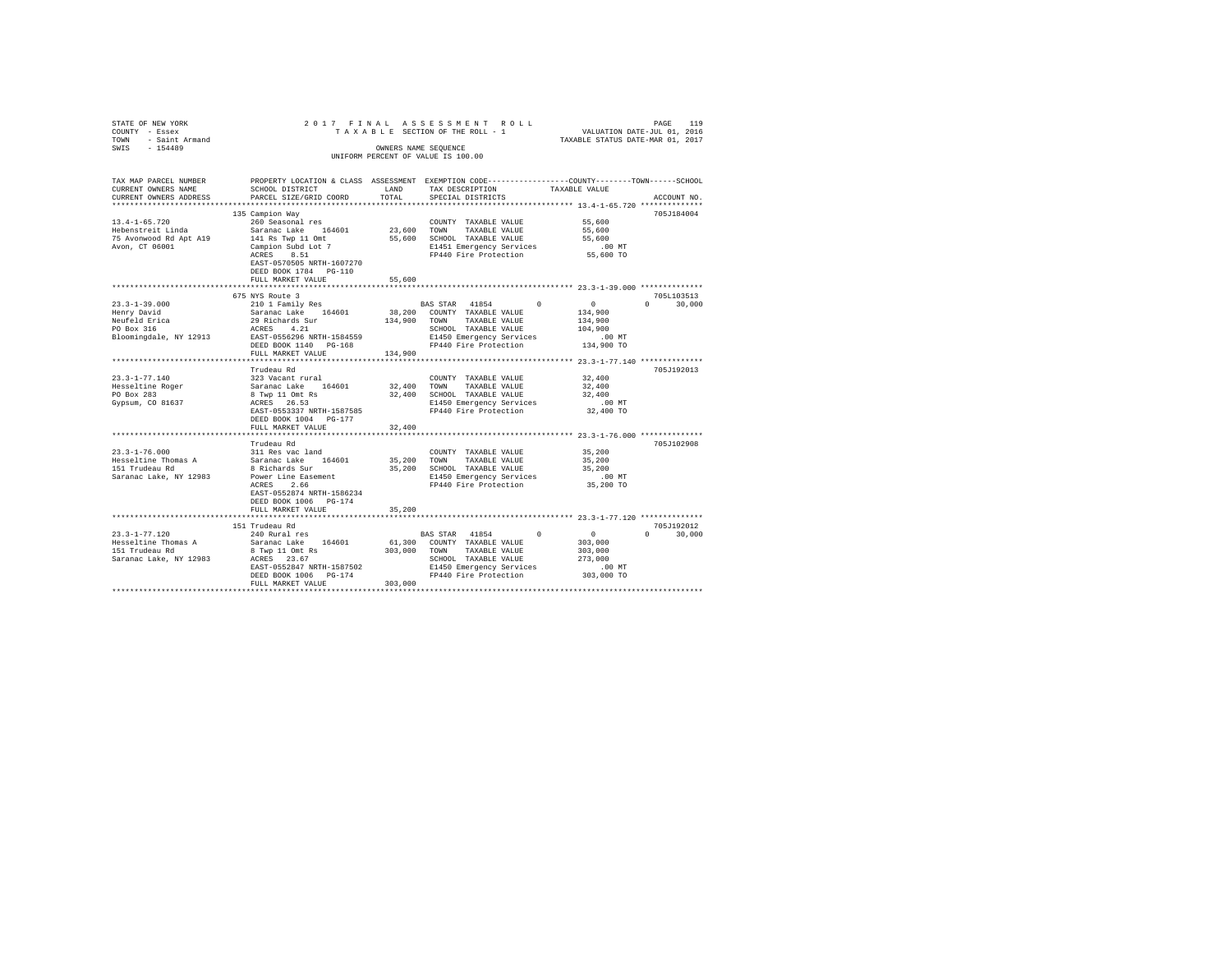| STATE OF NEW YORK<br>COUNTY - Essex<br>TOWN - Saint Armand                  |                                                                   |             | 2017 FINAL ASSESSMENT ROLL<br>TAXABLE SECTION OF THE ROLL - 1                                  | VALUATION DATE-JUL 01, 2016<br>TAXABLE STATUS DATE-MAR 01, 2017        | PAGE<br>119   |
|-----------------------------------------------------------------------------|-------------------------------------------------------------------|-------------|------------------------------------------------------------------------------------------------|------------------------------------------------------------------------|---------------|
| SWIS - 154489                                                               |                                                                   |             | OWNERS NAME SEQUENCE<br>UNIFORM PERCENT OF VALUE IS 100.00                                     |                                                                        |               |
| TAX MAP PARCEL NUMBER                                                       |                                                                   |             | PROPERTY LOCATION & CLASS ASSESSMENT EXEMPTION CODE---------------COUNTY-------TOWN-----SCHOOL |                                                                        |               |
| CURRENT OWNERS NAME<br>CURRENT OWNERS ADDRESS<br>************************** | SCHOOL DISTRICT LAND<br>PARCEL SIZE/GRID COORD                    | TOTAL       | TAX DESCRIPTION<br>SPECIAL DISTRICTS                                                           | TAXABLE VALUE                                                          | ACCOUNT NO.   |
|                                                                             | 135 Campion Way                                                   |             |                                                                                                |                                                                        | 705J184004    |
| $13.4 - 1 - 65.720$                                                         | 260 Seasonal res                                                  |             | COUNTY TAXABLE VALUE                                                                           | 55,600                                                                 |               |
| Hebenstreit Linda                                                           | Saranac Lake 164601                                               | 23,600 TOWN | TAXABLE VALUE                                                                                  | 55,600                                                                 |               |
| 75 Avonwood Rd Apt A19                                                      | 141 Rs Twp 11 Omt                                                 |             | 55,600 SCHOOL TAXABLE VALUE                                                                    | 55,600                                                                 |               |
| Avon, CT 06001                                                              | Campion Subd Lot 7                                                |             | E1451 Emergency Services<br>FP440 Fire Protection                                              | $.00$ MT                                                               |               |
|                                                                             | EAST-0570505 NRTH-1607270<br>DEED BOOK 1784 PG-110                |             |                                                                                                | 55,600 TO                                                              |               |
|                                                                             | FULL MARKET VALUE                                                 | 55,600      |                                                                                                |                                                                        |               |
|                                                                             | 675 NYS Route 3                                                   |             |                                                                                                |                                                                        | 705L103513    |
| $23.3 - 1 - 39.000$                                                         | 210 1 Family Res                                                  |             | BAS STAR 41854 0                                                                               | $\sim$ 0 $\sim$                                                        | $0 \t 30,000$ |
| Henry David                                                                 |                                                                   |             | 38,200 COUNTY TAXABLE VALUE                                                                    | 134,900                                                                |               |
|                                                                             |                                                                   |             | 134,900 TOWN TAXABLE VALUE                                                                     | 134,900                                                                |               |
| Neufeld Erica<br>PO Box 316                                                 | Saranac Lake 164601<br>29 Richards Sur<br>ACRES 4.21              |             |                                                                                                | 104,900                                                                |               |
| Bloomingdale, NY 12913 EAST-0556296 NRTH-1584559                            |                                                                   |             |                                                                                                | $.00$ MT                                                               |               |
|                                                                             | DEED BOOK 1140 PG-168                                             |             | SCHOOL TAXABLE VALUE<br>E1450 Emergency Services<br>FP440 Fire Protection                      | 134,900 TO                                                             |               |
|                                                                             | FULL MARKET VALUE                                                 | 134,900     |                                                                                                |                                                                        |               |
|                                                                             |                                                                   |             |                                                                                                |                                                                        |               |
| $23.3 - 1 - 77.140$                                                         | Trudeau Rd                                                        |             |                                                                                                |                                                                        | 705J192013    |
|                                                                             |                                                                   | 32,400 TOWN | COUNTY TAXABLE VALUE<br>TAXABLE VALUE                                                          | 32,400<br>32,400                                                       |               |
| Hesseltine Roger<br>PO Box 283                                              |                                                                   |             | 32,400 SCHOOL TAXABLE VALUE                                                                    | 32,400                                                                 |               |
| Gypsum, CO 81637                                                            |                                                                   |             | E1450 Emergency Services                                                                       | $.00$ MT                                                               |               |
|                                                                             | EAST-0553337 NRTH-1587585                                         |             | FP440 Fire Protection                                                                          | 32,400 TO                                                              |               |
|                                                                             | DEED BOOK 1004 PG-177                                             |             |                                                                                                |                                                                        |               |
|                                                                             | FULL MARKET VALUE                                                 | 32,400      |                                                                                                |                                                                        |               |
|                                                                             |                                                                   |             |                                                                                                | *********************** 23.3-1-76.000 **************                   |               |
|                                                                             | Trudeau Rd                                                        |             |                                                                                                |                                                                        | 705J102908    |
| $23.3 - 1 - 76.000$<br>Hesseltine Thomas A                                  | 311 Res vac land<br>Saranac Lake 164601                           |             | COUNTY TAXABLE VALUE<br>35,200 TOWN TAXABLE VALUE                                              | 35,200<br>35,200                                                       |               |
| 151 Trudeau Rd                                                              | 8 Richards Sur                                                    |             | 35,200 SCHOOL TAXABLE VALUE                                                                    | 35,200                                                                 |               |
| Saranac Lake, NY 12983                                                      |                                                                   |             |                                                                                                | $.00$ MT                                                               |               |
|                                                                             | Power Line Easement<br>ACRES 2.66                                 |             | E1450 Emergency Services<br>FP440 Fire Protection                                              | 35,200 TO                                                              |               |
|                                                                             | EAST-0552874 NRTH-1586234                                         |             |                                                                                                |                                                                        |               |
|                                                                             | DEED BOOK 1006 PG-174                                             |             |                                                                                                |                                                                        |               |
|                                                                             | FULL MARKET VALUE                                                 | 35,200      |                                                                                                |                                                                        |               |
|                                                                             |                                                                   |             |                                                                                                |                                                                        |               |
|                                                                             | 151 Trudeau Rd                                                    |             |                                                                                                |                                                                        | 705J192012    |
| $23.3 - 1 - 77.120$<br>Hesseltine Thomas A                                  | 240 Rural res<br>Saranac Lake 164601                              |             | BAS STAR 41854<br>61,300 COUNTY TAXABLE VALUE                                                  | $\begin{smallmatrix}&&0\\&&303\,,000\end{smallmatrix}$<br>$\mathbf{0}$ | $0 \t 30,000$ |
| 151 Trudeau Rd                                                              | 8 Twp 11 Omt Rs                                                   |             | 303,000 TOWN TAXABLE VALUE                                                                     | 303,000                                                                |               |
| Saranac Lake, NY 12983                                                      | ACRES 23.67                                                       |             | SCHOOL TAXABLE VALUE                                                                           | 273,000                                                                |               |
|                                                                             | ACRES 23.67<br>EAST-0552847 NRTH-1587502<br>DEED BOOK 1006 PG-174 |             | E1450 Emergency Services                                                                       | .00MT                                                                  |               |
|                                                                             | DEED BOOK 1006 PG-174                                             |             | FP440 Fire Protection                                                                          | 303,000 TO                                                             |               |
|                                                                             | FULL MARKET VALUE                                                 | 303,000     |                                                                                                |                                                                        |               |
|                                                                             |                                                                   |             |                                                                                                |                                                                        |               |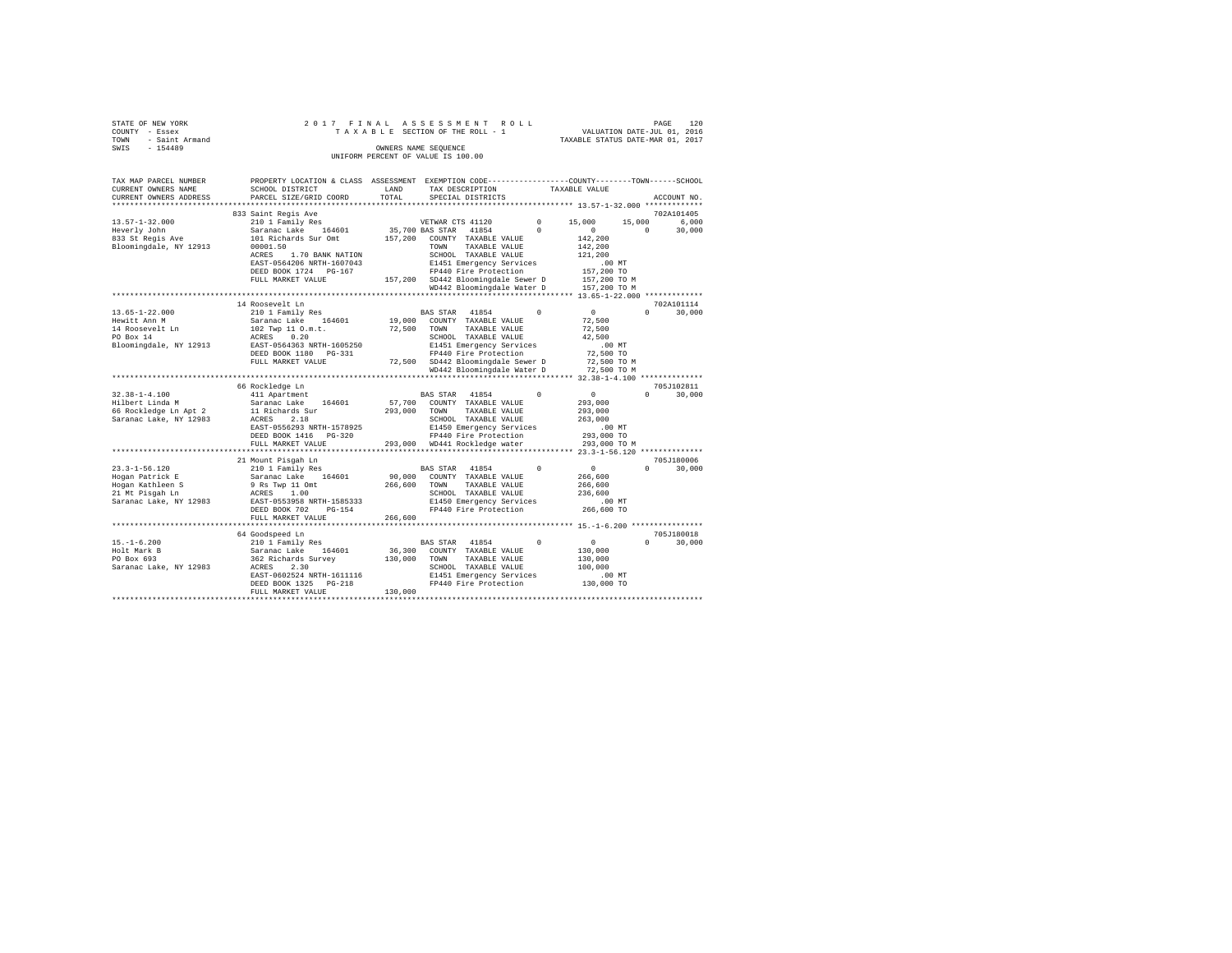| STATE OF NEW YORK   |  |  |  | 2017 FINAL ASSESSMENT ROLL         |  |  |                                  | PAGE | 120 |
|---------------------|--|--|--|------------------------------------|--|--|----------------------------------|------|-----|
| COUNTY - Essex      |  |  |  | TAXABLE SECTION OF THE ROLL - 1    |  |  | VALUATION DATE-JUL 01, 2016      |      |     |
| TOWN - Saint Armand |  |  |  |                                    |  |  | TAXABLE STATUS DATE-MAR 01, 2017 |      |     |
| SWIS<br>$-154489$   |  |  |  | OWNERS NAME SEOUENCE               |  |  |                                  |      |     |
|                     |  |  |  | UNIFORM PERCENT OF VALUE IS 100.00 |  |  |                                  |      |     |
|                     |  |  |  |                                    |  |  |                                  |      |     |

| TAX MAP PARCEL NUMBER            | PROPERTY LOCATION & CLASS ASSESSMENT EXEMPTION CODE----------------COUNTY-------TOWN-----SCHOOL |              |                                                                      |            |                                        |          |             |
|----------------------------------|-------------------------------------------------------------------------------------------------|--------------|----------------------------------------------------------------------|------------|----------------------------------------|----------|-------------|
| CURRENT OWNERS NAME              | SCHOOL DISTRICT                                                                                 | LAND         | TAX DESCRIPTION                                                      |            | TAXABLE VALUE                          |          |             |
| CURRENT OWNERS ADDRESS           | PARCEL SIZE/GRID COORD                                                                          | TOTAL        | SPECIAL DISTRICTS                                                    |            |                                        |          | ACCOUNT NO. |
|                                  |                                                                                                 |              |                                                                      |            | **************** 13.57-1-32.000 ****** |          |             |
|                                  | 833 Saint Regis Ave                                                                             |              |                                                                      |            |                                        |          | 702A101405  |
| $13.57 - 1 - 32.000$             | 210 1 Family Res                                                                                |              | VETWAR CTS 41120                                                     | $^{\circ}$ | 15,000                                 | 15,000   | 6,000       |
| Heverly John                     | Saranac Lake 164601                                                                             |              | 35,700 BAS STAR 41854                                                | $\Omega$   | $\circ$                                | $\Omega$ | 30,000      |
| neveriy John<br>833 St Regis Ave | 101 Richards Sur Omt                                                                            |              | 157,200 COUNTY TAXABLE VALUE                                         |            | 142,200                                |          |             |
|                                  |                                                                                                 |              |                                                                      |            |                                        |          |             |
| Bloomingdale, NY 12913           | 00001.50                                                                                        |              | TOWN<br>TAXABLE VALUE                                                |            | 142,200                                |          |             |
|                                  | 1.70 BANK NATION<br>ACRES                                                                       |              | SCHOOL TAXABLE VALUE                                                 |            | 121,200                                |          |             |
|                                  | EAST-0564206 NRTH-1607043                                                                       |              | E1451 Emergency Services                                             |            | $.00$ MT                               |          |             |
|                                  | DEED BOOK 1724 PG-167                                                                           |              | FP440 Fire Protection                                                |            | 157,200 TO                             |          |             |
|                                  | FULL MARKET VALUE                                                                               |              | 157,200 SD442 Bloomingdale Sewer D                                   |            | 157,200 TO M                           |          |             |
|                                  |                                                                                                 |              | WD442 Bloomingdale Water D                                           |            | 157,200 TO M                           |          |             |
|                                  |                                                                                                 |              | ************************************** 13.65-1-22.000 ************** |            |                                        |          |             |
|                                  | 14 Roosevelt Ln                                                                                 |              |                                                                      |            |                                        |          | 702A101114  |
| $13.65 - 1 - 22.000$             | 210 1 Family Res                                                                                |              | BAS STAR 41854                                                       | $\Omega$   | $\sim$ 0                               | $\cap$   | 30,000      |
| Hewitt Ann M                     | Saranac Lake 164601                                                                             |              | 19,000 COUNTY TAXABLE VALUE                                          |            | 72,500                                 |          |             |
| 14 Roosevelt Ln                  | 102 Twp 11 O.m.t.                                                                               | 72,500 TOWN  | TAXABLE VALUE                                                        |            | 72,500                                 |          |             |
| PO Box 14                        | ACRES 0.20                                                                                      |              | SCHOOL TAXABLE VALUE                                                 |            | 42,500                                 |          |             |
|                                  | EAST-0564363 NRTH-1605250                                                                       |              |                                                                      |            |                                        |          |             |
| Bloomingdale, NY 12913           |                                                                                                 |              | E1451 Emergency Services                                             |            | $.00$ MT                               |          |             |
|                                  | DEED BOOK 1180 PG-331                                                                           |              | FP440 Fire Protection                                                |            | 72,500 TO                              |          |             |
|                                  | FULL MARKET VALUE                                                                               |              | 72,500 SD442 Bloomingdale Sewer D                                    |            | 72,500 TO M                            |          |             |
|                                  |                                                                                                 |              | WD442 Bloomingdale Water D                                           |            | 72,500 TO M                            |          |             |
|                                  |                                                                                                 |              |                                                                      |            |                                        |          |             |
|                                  | 66 Rockledge Ln                                                                                 |              |                                                                      |            |                                        |          | 705J102811  |
| $32.38 - 1 - 4.100$              | 411 Apartment                                                                                   |              | BAS STAR 41854                                                       | $^{\circ}$ | $\sim$ 0                               | $\Omega$ | 30,000      |
| Hilbert Linda M                  | Saranac Lake 164601                                                                             |              | 57,700 COUNTY TAXABLE VALUE                                          |            | 293,000                                |          |             |
| 66 Rockledge Ln Apt 2            | 11 Richards Sur                                                                                 | 293,000 TOWN | TAXABLE VALUE                                                        |            | 293,000                                |          |             |
| Saranac Lake, NY 12983           | ACRES 2.18                                                                                      |              | SCHOOL TAXABLE VALUE                                                 |            | 263,000                                |          |             |
|                                  | EAST-0556293 NRTH-1578925                                                                       |              | E1450 Emergency Services                                             |            | $.00$ MT                               |          |             |
|                                  | DEED BOOK 1416 PG-320                                                                           |              | FP440 Fire Protection                                                |            | 293,000 TO                             |          |             |
|                                  |                                                                                                 |              |                                                                      |            |                                        |          |             |
|                                  | FULL MARKET VALUE                                                                               |              | 293,000 WD441 Rockledge water                                        |            | 293,000 TO M                           |          |             |
|                                  |                                                                                                 |              |                                                                      |            |                                        |          |             |
|                                  | 21 Mount Pisgah Ln                                                                              |              |                                                                      |            |                                        |          | 705J180006  |
| $23.3 - 1 - 56.120$              | 210 1 Family Res                                                                                |              | BAS STAR<br>41854                                                    | $^{\circ}$ | $\sim$ 0                               | $\Omega$ | 30,000      |
| Hogan Patrick E                  | Saranac Lake 164601                                                                             |              | 90,000 COUNTY TAXABLE VALUE                                          |            | 266,600                                |          |             |
| Hogan Kathleen S                 | 9 Rs Twp 11 Omt                                                                                 | 266,600      | TOWN TAXABLE VALUE                                                   |            | 266,600                                |          |             |
| 21 Mt Pisgah Ln                  | ACRES 1.00                                                                                      |              | SCHOOL TAXABLE VALUE                                                 |            | 236,600                                |          |             |
| Saranac Lake, NY 12983           | EAST-0553958 NRTH-1585333                                                                       |              | E1450 Emergency Services                                             |            | $.00$ MT                               |          |             |
|                                  | DEED BOOK 702<br>$PG-154$                                                                       |              | FP440 Fire Protection                                                |            | 266,600 TO                             |          |             |
|                                  | FULL MARKET VALUE                                                                               | 266,600      |                                                                      |            |                                        |          |             |
|                                  | *********************                                                                           |              |                                                                      |            |                                        |          |             |
|                                  | 64 Goodspeed Ln                                                                                 |              |                                                                      |            |                                        |          | 705J180018  |
|                                  | 210 1 Family Res                                                                                |              |                                                                      | $\Omega$   |                                        | $\Omega$ |             |
| $15. - 1 - 6.200$                |                                                                                                 |              | BAS STAR 41854                                                       |            | $\sim$ 0                               |          | 30,000      |
| Holt Mark B                      | Saranac Lake 164601                                                                             |              | 36,300 COUNTY TAXABLE VALUE                                          |            | 130,000                                |          |             |
| PO Box 693                       | 362 Richards Survey                                                                             | 130,000      | TOWN<br>TAXABLE VALUE                                                |            | 130,000                                |          |             |
| Saranac Lake, NY 12983           | ACRES 2.30                                                                                      |              | SCHOOL TAXABLE VALUE                                                 |            | 100,000                                |          |             |
|                                  | EAST-0602524 NRTH-1611116                                                                       |              | E1451 Emergency Services                                             |            | $.00$ MT                               |          |             |
|                                  | DEED BOOK 1325 PG-218                                                                           |              | FP440 Fire Protection                                                |            | 130,000 TO                             |          |             |
|                                  | FULL MARKET VALUE                                                                               | 130,000      |                                                                      |            |                                        |          |             |
|                                  | ******************                                                                              |              |                                                                      |            |                                        |          |             |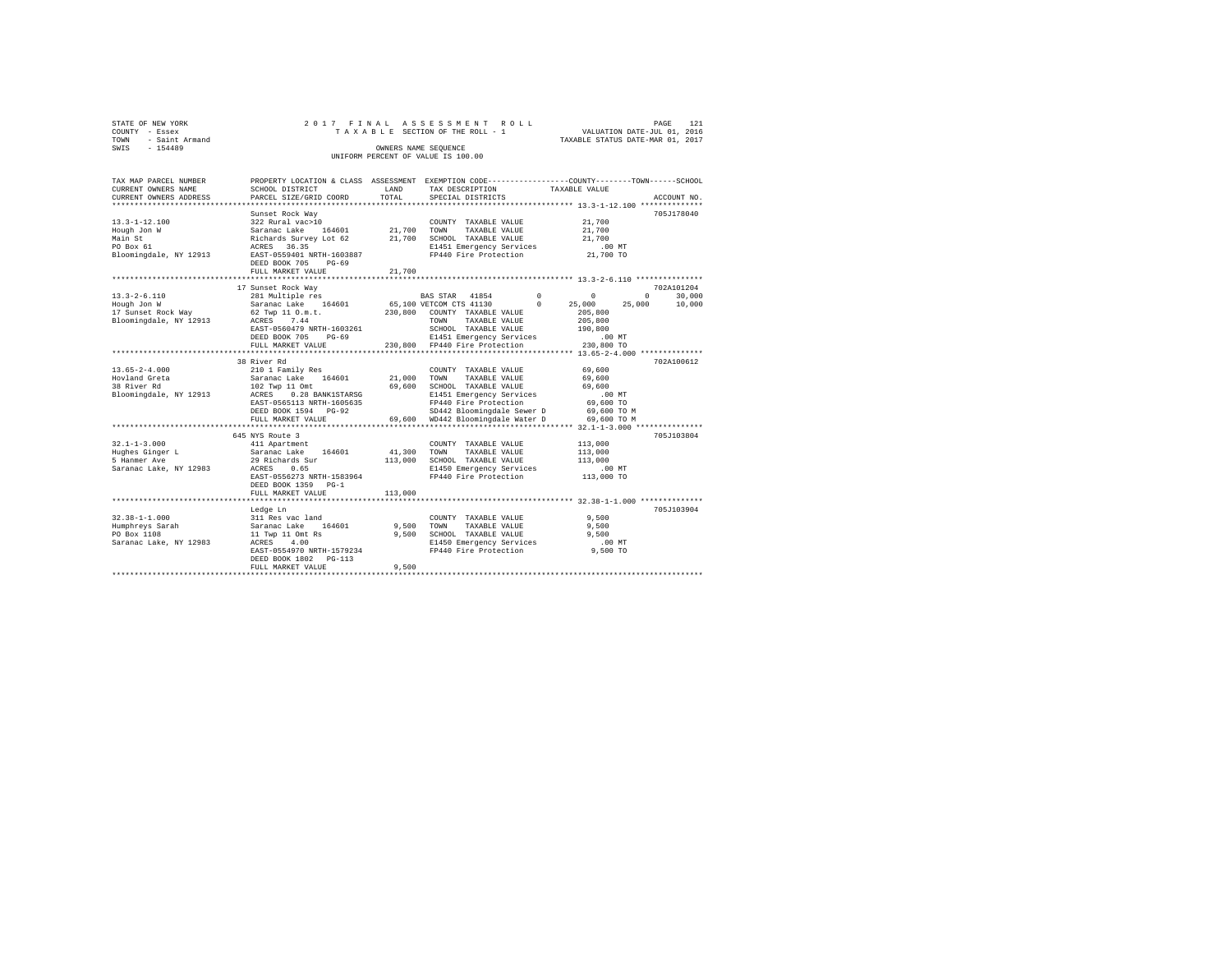|                | STATE OF NEW YORK   |  |  |                                    | 2017 FINAL ASSESSMENT ROLL |                                  | PAGE | 121 |
|----------------|---------------------|--|--|------------------------------------|----------------------------|----------------------------------|------|-----|
| COUNTY - Essex |                     |  |  | TAXABLE SECTION OF THE ROLL - 1    |                            | VALUATION DATE-JUL 01, 2016      |      |     |
|                | TOWN - Saint Armand |  |  |                                    |                            | TAXABLE STATUS DATE-MAR 01, 2017 |      |     |
| SWTS           | $-154489$           |  |  | OWNERS NAME SEOUENCE               |                            |                                  |      |     |
|                |                     |  |  | UNIFORM PERCENT OF VALUE IS 100.00 |                            |                                  |      |     |
|                |                     |  |  |                                    |                            |                                  |      |     |

| TAX MAP PARCEL NUMBER          |                                                                                                                                                                                                                                |            | PROPERTY LOCATION & CLASS ASSESSMENT EXEMPTION CODE---------------COUNTY-------TOWN------SCHOOL |                                              |             |
|--------------------------------|--------------------------------------------------------------------------------------------------------------------------------------------------------------------------------------------------------------------------------|------------|-------------------------------------------------------------------------------------------------|----------------------------------------------|-------------|
| CURRENT OWNERS NAME            | SCHOOL DISTRICT                                                                                                                                                                                                                | LAND       | TAX DESCRIPTION TAXABLE VALUE                                                                   |                                              |             |
| CURRENT OWNERS ADDRESS         | PARCEL SIZE/GRID COORD                                                                                                                                                                                                         | TOTAL      | SPECIAL DISTRICTS                                                                               |                                              | ACCOUNT NO. |
|                                |                                                                                                                                                                                                                                |            |                                                                                                 |                                              |             |
|                                | Sunset Rock Way                                                                                                                                                                                                                |            |                                                                                                 |                                              | 705J178040  |
| $13.3 - 1 - 12.100$            |                                                                                                                                                                                                                                |            |                                                                                                 |                                              |             |
| Hough Jon W                    |                                                                                                                                                                                                                                |            |                                                                                                 |                                              |             |
| Main St                        |                                                                                                                                                                                                                                |            |                                                                                                 |                                              |             |
| PO Box 61                      | COUNTY TAXABLE VALUE 21,700<br>Saranac Lake 164601 21,700 TOWN TAXABLE VALUE 21,700<br>Richards Survey Lot 62 21,700 SCHOOL TAXABLE VALUE 21,700<br>ACRES 36.35 25.35 CHOOL TAXABLE VALUE 21,700 SCHOOL 21,700 SCHES 36.35     |            |                                                                                                 |                                              |             |
|                                | Bloomingdale, NY 12913 EAST-0559401 NRTH-1603887                                                                                                                                                                               |            | E1451 Emergency Services .00 MT<br>FP440 Fire Protection 21,700 TO                              |                                              |             |
|                                | DEED BOOK 705 PG-69                                                                                                                                                                                                            |            |                                                                                                 |                                              |             |
|                                | FULL MARKET VALUE                                                                                                                                                                                                              | 21,700     |                                                                                                 |                                              |             |
|                                |                                                                                                                                                                                                                                |            |                                                                                                 |                                              |             |
|                                | 17 Sunset Rock Way                                                                                                                                                                                                             |            |                                                                                                 |                                              | 702A101204  |
| $13.3 - 2 - 6.110$             |                                                                                                                                                                                                                                |            |                                                                                                 |                                              |             |
|                                |                                                                                                                                                                                                                                |            |                                                                                                 |                                              |             |
|                                |                                                                                                                                                                                                                                |            |                                                                                                 |                                              |             |
|                                |                                                                                                                                                                                                                                |            |                                                                                                 |                                              |             |
|                                | EAST-0560479 NRTH-1603261                                                                                                                                                                                                      |            | SCHOOL TAXABLE VALUE 190,800                                                                    |                                              |             |
|                                |                                                                                                                                                                                                                                |            |                                                                                                 |                                              |             |
|                                |                                                                                                                                                                                                                                |            | E1451 Emergency Services .00 MT<br>FP440 Fire Protection 230,800 TO                             |                                              |             |
|                                |                                                                                                                                                                                                                                |            |                                                                                                 | *************** 13.65-2-4.000 ************** |             |
|                                | 38 River Rd                                                                                                                                                                                                                    |            |                                                                                                 |                                              | 702A100612  |
| $13.65 - 2 - 4.000$            |                                                                                                                                                                                                                                |            | COUNTY TAXABLE VALUE                                                                            | 69,600                                       |             |
|                                |                                                                                                                                                                                                                                |            | TAXABLE VALUE 69,600                                                                            |                                              |             |
| Hovland Greta<br>38 River Rd   |                                                                                                                                                                                                                                |            |                                                                                                 |                                              |             |
|                                |                                                                                                                                                                                                                                |            |                                                                                                 |                                              |             |
|                                |                                                                                                                                                                                                                                |            | FP440 Fire Protection                                                                           | 69,600 TO                                    |             |
|                                |                                                                                                                                                                                                                                |            |                                                                                                 |                                              |             |
|                                |                                                                                                                                                                                                                                |            | FULL MARKET VALUE 69,600 WD442 Bloomingdale Water D 69,600 TO M                                 |                                              |             |
|                                |                                                                                                                                                                                                                                |            |                                                                                                 |                                              |             |
|                                |                                                                                                                                                                                                                                |            |                                                                                                 |                                              |             |
|                                | 645 NYS Route 3                                                                                                                                                                                                                |            |                                                                                                 |                                              | 705J103804  |
| $32.1 - 1 - 3.000$             | 411 Apartment                                                                                                                                                                                                                  |            | COUNTY TAXABLE VALUE                                                                            | 113,000                                      |             |
|                                | Eughes Ginger Land Saranac Lake 164601 41,300 TOWN TAXABLE VALUE (STARING STARING STARING STARING STARING STARING STARING STARING STARING STARING STARING STARING STARING STARING STARING STARING STARING STARING STARING STAR |            | TAXABLE VALUE                                                                                   | 113,000                                      |             |
|                                |                                                                                                                                                                                                                                |            |                                                                                                 | 113,000                                      |             |
|                                |                                                                                                                                                                                                                                |            | E1450 Emergency Services .00 MT<br>FP440 Fire Protection .00 TO                                 |                                              |             |
|                                | EAST-0556273 NRTH-1583964                                                                                                                                                                                                      |            | FP440 Fire Protection                                                                           |                                              |             |
|                                | DEED BOOK 1359 PG-1                                                                                                                                                                                                            |            |                                                                                                 |                                              |             |
|                                | FULL MARKET VALUE                                                                                                                                                                                                              | 113,000    |                                                                                                 |                                              |             |
|                                |                                                                                                                                                                                                                                |            |                                                                                                 |                                              |             |
|                                | Ledge Ln                                                                                                                                                                                                                       |            |                                                                                                 |                                              | 705J103904  |
| $32.38 - 1 - 1.000$            | 311 Res vac land<br>Saranac Lake 164601                                                                                                                                                                                        |            | COUNTY TAXABLE VALUE                                                                            | 9,500                                        |             |
| Humphreys Sarah<br>DO Boy 1108 |                                                                                                                                                                                                                                | 9.500 TOWN | TAXABLE VALUE                                                                                   | 9,500                                        |             |
| PO Box 1108                    | 11 Twp 11 Omt Rs<br>ACRES 4.00                                                                                                                                                                                                 |            | 9,500 SCHOOL TAXABLE VALUE                                                                      | 9,500                                        |             |
| Saranac Lake, NY 12983         | EAST-0554970 NRTH-1579234                                                                                                                                                                                                      |            | E1450 Emergency Services<br>FP440 Fire Protection                                               | .00 MT                                       |             |
|                                |                                                                                                                                                                                                                                |            |                                                                                                 | 9,500 TO                                     |             |
|                                | DEED BOOK 1802    PG-113                                                                                                                                                                                                       |            |                                                                                                 |                                              |             |
|                                | FULL MARKET VALUE                                                                                                                                                                                                              | 9,500      |                                                                                                 |                                              |             |
|                                |                                                                                                                                                                                                                                |            |                                                                                                 |                                              |             |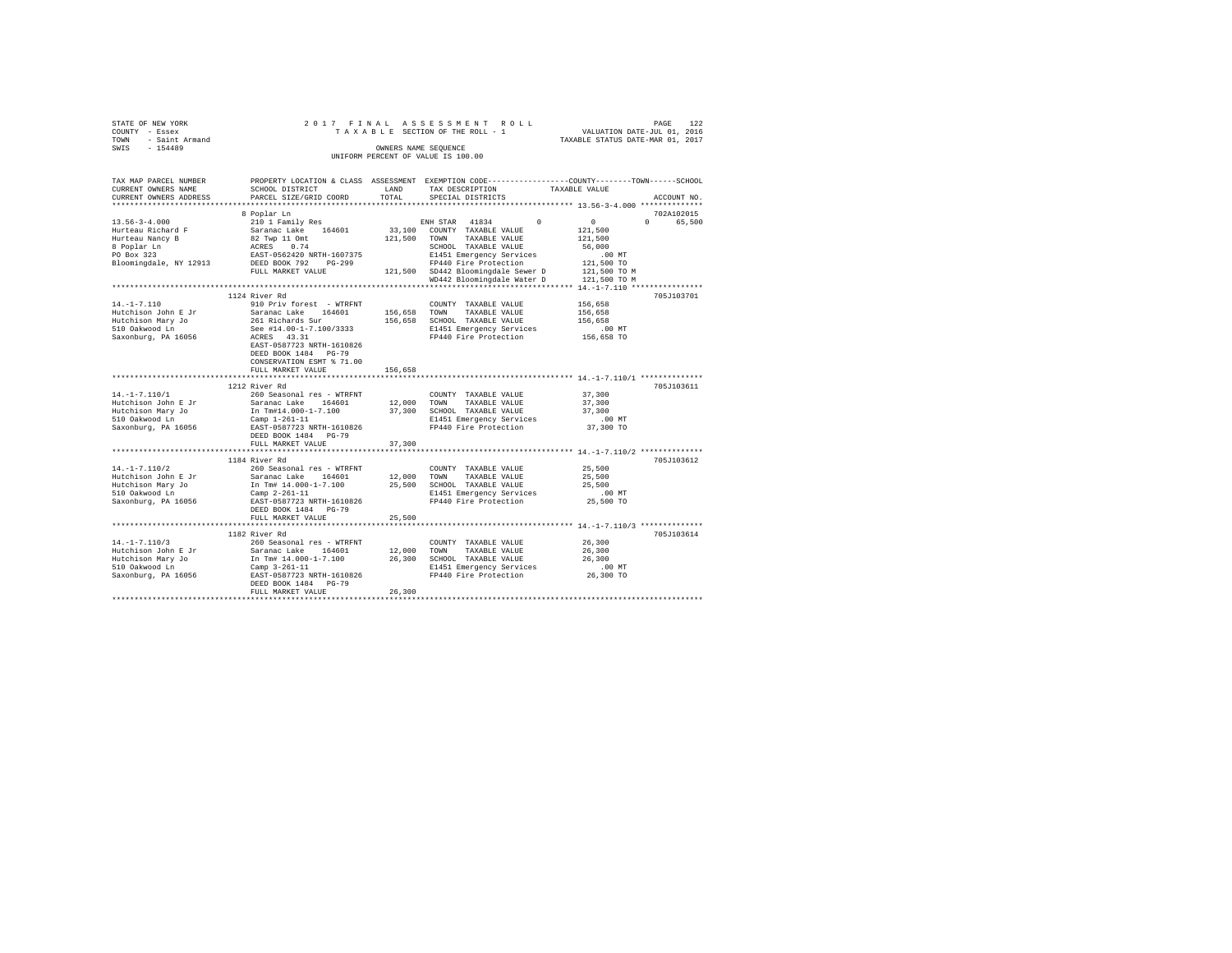| STATE OF NEW YORK      | 2017 FINAL                                 |                      | ASSESSMENT ROLL                    |                                                                                                 |  |
|------------------------|--------------------------------------------|----------------------|------------------------------------|-------------------------------------------------------------------------------------------------|--|
| COUNTY - Essex         |                                            |                      | TAXABLE SECTION OF THE ROLL - 1    | PAGE 122<br>VALUATION DATE-JUL 01, 2016<br>TAXABLE STATUS DATE-MAR 01, 2017                     |  |
| - Saint Armand<br>TOWN |                                            |                      |                                    |                                                                                                 |  |
| $-154489$<br>SWIS      |                                            | OWNERS NAME SEQUENCE |                                    |                                                                                                 |  |
|                        |                                            |                      | UNIFORM PERCENT OF VALUE IS 100.00 |                                                                                                 |  |
|                        |                                            |                      |                                    |                                                                                                 |  |
|                        |                                            |                      |                                    |                                                                                                 |  |
| TAX MAP PARCEL NUMBER  |                                            |                      |                                    | PROPERTY LOCATION & CLASS ASSESSMENT EXEMPTION CODE---------------COUNTY-------TOWN------SCHOOL |  |
| CURRENT OWNERS NAME    | SCHOOL DISTRICT                            | LAND                 | TAX DESCRIPTION                    | TAXABLE VALUE                                                                                   |  |
| CURRENT OWNERS ADDRESS | PARCEL SIZE/GRID COORD                     | TOTAL                | SPECIAL DISTRICTS                  | ACCOUNT NO.                                                                                     |  |
|                        |                                            |                      |                                    |                                                                                                 |  |
|                        | 8 Poplar Ln                                |                      |                                    | 702A102015                                                                                      |  |
| $13.56 - 3 - 4.000$    |                                            |                      |                                    | $\Omega$<br>$\Omega$                                                                            |  |
|                        | 210 1 Family Res                           |                      | ENH STAR 41834<br>$\Omega$         | 65,500                                                                                          |  |
| Hurteau Richard F      | Saranac Lake 164601                        |                      | 33,100 COUNTY TAXABLE VALUE        | 121,500                                                                                         |  |
| Hurteau Nancy B        | 82 Twp 11 Omt                              |                      | 121,500 TOWN TAXABLE VALUE         | 121,500                                                                                         |  |
| 8 Poplar Ln            | ACRES 0.74                                 |                      | SCHOOL TAXABLE VALUE               | 56,000                                                                                          |  |
| PO Box 323             | EAST-0562420 NRTH-1607375                  |                      | E1451 Emergency Services           | $.00$ MT                                                                                        |  |
| Bloomingdale, NY 12913 | DEED BOOK 792 PG-299                       |                      | FP440 Fire Protection              | 121,500 TO                                                                                      |  |
|                        | FULL MARKET VALUE                          |                      | 121,500 SD442 Bloomingdale Sewer D | 121,500 TO M                                                                                    |  |
|                        |                                            |                      | WD442 Bloomingdale Water D         | 121,500 TO M                                                                                    |  |
|                        |                                            |                      |                                    |                                                                                                 |  |
|                        | 1124 River Rd                              |                      |                                    | 705J103701                                                                                      |  |
| $14. -1 - 7.110$       | 910 Priv forest - WTRFNT                   |                      | COUNTY TAXABLE VALUE               | 156,658                                                                                         |  |
| Hutchison John E Jr    | Saranac Lake 164601                        |                      | 156,658 TOWN TAXABLE VALUE         | 156,658                                                                                         |  |
| Hutchison Mary Jo      | 261 Richards Sur                           |                      | 156,658 SCHOOL TAXABLE VALUE       | 156,658                                                                                         |  |
| 510 Oakwood Ln         | See #14.00-1-7.100/3333                    |                      | E1451 Emergency Services           | $.00$ MT                                                                                        |  |
| Saxonburg, PA 16056    | ACRES 43.31                                |                      | FP440 Fire Protection              | 156,658 TO                                                                                      |  |
|                        | EAST-0587723 NRTH-1610826                  |                      |                                    |                                                                                                 |  |
|                        | DEED BOOK 1484 PG-79                       |                      |                                    |                                                                                                 |  |
|                        | CONSERVATION ESMT % 71.00                  |                      |                                    |                                                                                                 |  |
|                        |                                            |                      |                                    |                                                                                                 |  |
|                        | FULL MARKET VALUE                          | 156,658              |                                    |                                                                                                 |  |
|                        |                                            |                      |                                    |                                                                                                 |  |
|                        | 1212 River Rd                              |                      |                                    | 705J103611                                                                                      |  |
| $14. -1 - 7.110/1$     | 260 Seasonal res - WTRFNT                  |                      | COUNTY TAXABLE VALUE               | 37,300                                                                                          |  |
| Hutchison John E Jr    | Saranac Lake 164601                        |                      | 12,000 TOWN TAXABLE VALUE          | 37,300                                                                                          |  |
| Hutchison Mary Jo      | In Tm#14.000-1-7.100                       |                      | 37,300 SCHOOL TAXABLE VALUE        | 37,300                                                                                          |  |
| 510 Oakwood Ln         | Camp 1-261-11                              |                      | E1451 Emergency Services           | $.00$ MT                                                                                        |  |
| Saxonburg, PA 16056    | EAST-0587723 NRTH-1610826                  |                      | FP440 Fire Protection              | 37,300 TO                                                                                       |  |
|                        | DEED BOOK 1484 PG-79                       |                      |                                    |                                                                                                 |  |
|                        | FULL MARKET VALUE                          | 37,300               |                                    |                                                                                                 |  |
|                        |                                            |                      |                                    |                                                                                                 |  |
|                        | 1184 River Rd                              |                      |                                    | 705J103612                                                                                      |  |
| $14. - 1 - 7.110/2$    | 260 Seasonal res - WTRFNT                  |                      | COUNTY TAXABLE VALUE               | 25,500                                                                                          |  |
| Hutchison John E Jr    | Saranac Lake 164601                        |                      | TOWN<br>TAXABLE VALUE              | 25,500                                                                                          |  |
| Hutchison Mary Jo      | In Tm# 14.000-1-7.100                      | 12,000<br>25,500     | 25,500 SCHOOL TAXABLE VALUE        | 25,500                                                                                          |  |
| 510 Oakwood Ln         | Camp $2 - 261 - 11$                        |                      | E1451 Emergency Services           | $.00$ MT                                                                                        |  |
| Saxonburg, PA 16056    | EAST-0587723 NRTH-1610826                  |                      | FP440 Fire Protection              | 25,500 TO                                                                                       |  |
|                        | DEED BOOK 1484 PG-79                       |                      |                                    |                                                                                                 |  |
|                        | FULL MARKET VALUE                          | 25,500               |                                    |                                                                                                 |  |
|                        |                                            |                      |                                    |                                                                                                 |  |
|                        |                                            |                      |                                    |                                                                                                 |  |
|                        | 1182 River Rd                              |                      |                                    | 705J103614                                                                                      |  |
| $14. -1 - 7.110/3$     | 260 Seasonal res - WTRFNT                  |                      | COUNTY TAXABLE VALUE               | 26,300                                                                                          |  |
| Hutchison John E Jr    | Saranac Lake 164601                        | 12,000 TOWN          | TAXABLE VALUE                      | 26,300                                                                                          |  |
| Hutchison Mary Jo      | In Tm# 14.000-1-7.100                      |                      | 26,300 SCHOOL TAXABLE VALUE        | 26,300                                                                                          |  |
| 510 Oakwood Ln         | Camp 3-261-11<br>EAST-0587723 NRTH-1610826 |                      | E1451 Emergency Services           | $.00$ MT                                                                                        |  |
| Saxonburg, PA 16056    |                                            |                      | FP440 Fire Protection              | 26,300 TO                                                                                       |  |
|                        | DEED BOOK 1484 PG-79                       |                      |                                    |                                                                                                 |  |
|                        | FULL MARKET VALUE                          | 26,300               |                                    |                                                                                                 |  |
|                        |                                            |                      |                                    |                                                                                                 |  |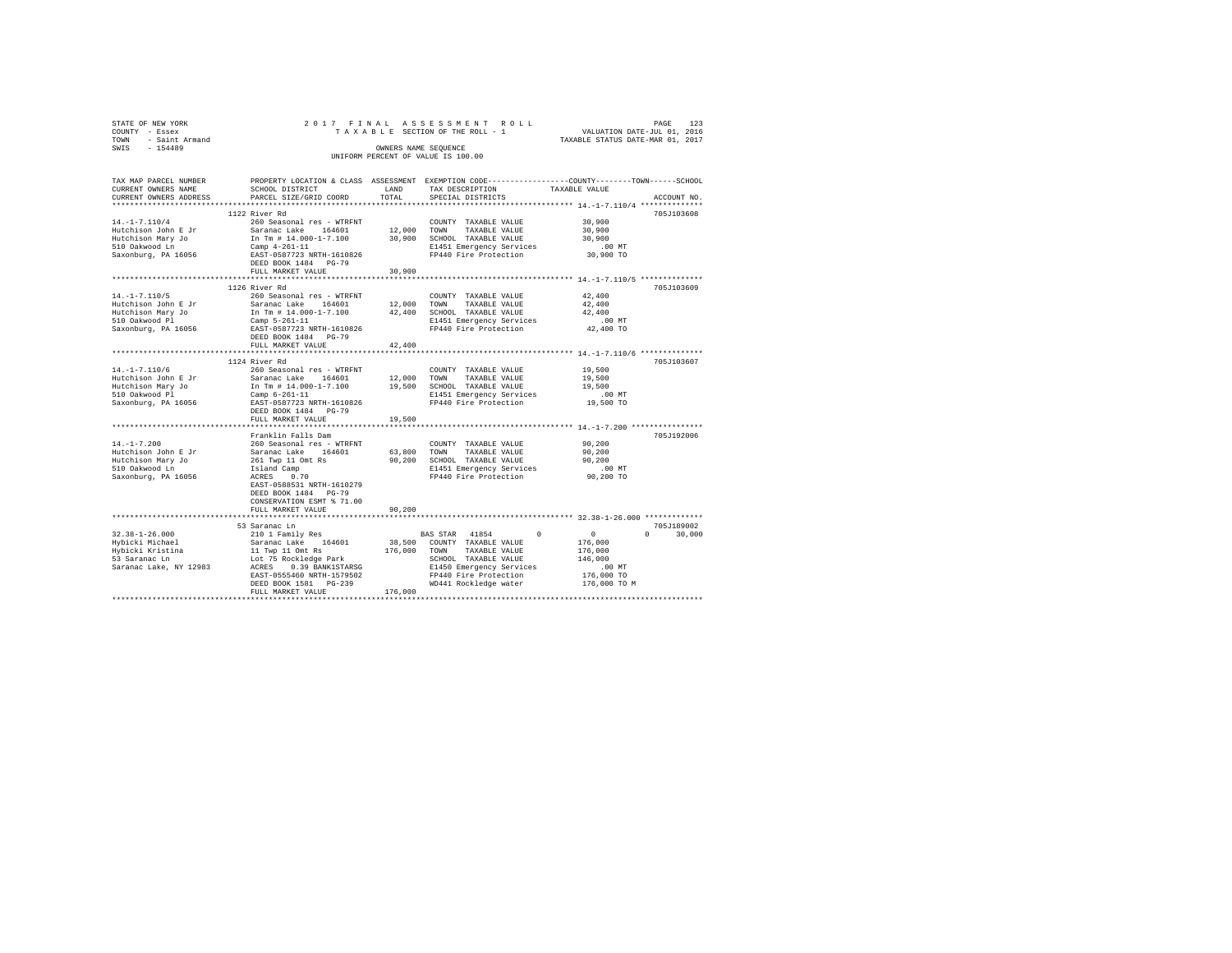| STATE OF NEW YORK<br>COUNTY - Essex<br>- Saint Armand<br>TOWN<br>SWIS - 154489 |                                                                                                                                                                                                                                                                                                                                                                                                                                                                                           | OWNERS NAME SEQUENCE | 2017 FINAL ASSESSMENT ROLL<br>UNIFORM PERCENT OF VALUE IS 100.00                                                                                       | PAGE<br>TAXABLE SECTION OF THE ROLL - 1 VALUATION DATE-JUL 01, 2016<br>TAXABLE STATUS DATE-MAR 01, 2017              | 123 |
|--------------------------------------------------------------------------------|-------------------------------------------------------------------------------------------------------------------------------------------------------------------------------------------------------------------------------------------------------------------------------------------------------------------------------------------------------------------------------------------------------------------------------------------------------------------------------------------|----------------------|--------------------------------------------------------------------------------------------------------------------------------------------------------|----------------------------------------------------------------------------------------------------------------------|-----|
| CURRENT OWNERS NAME                                                            | SCHOOL DISTRICT                                                                                                                                                                                                                                                                                                                                                                                                                                                                           |                      | LAND TAX DESCRIPTION TAXABLE VALUE                                                                                                                     | TAX MAP PARCEL NUMBER PROPERTY LOCATION & CLASS ASSESSMENT EXEMPTION CODE--------------COUNTY-------TOWN------SCHOOL |     |
| $14. -1 - 7.110/4$                                                             | 1122 River Rd<br>260 Seasonal res - WTRFNT<br>$\begin{tabular}{lcccccc} \textsc{Hutchison John E Jr} & \textsc{Sarana} & \textsc{Take} & 164601 & 12,000 \\ \textsc{Hutchison Mary Jo} & \textsc{In m H 14.000-17.100} & 30,900 \\ \textsc{510 Oakwood Ln} & \textsc{Cam H - 14.000-17.100} & 30,900 \\ \textsc{5200} & \textsc{Canp 4-261-11} & & & & \\ \textsc{Saxonburg, PA 16056} & \textsc{EAST-0587723 NRTH-1610826} & \end{tabular}$<br>DEED BOOK 1484 PG-79<br>FULL MARKET VALUE | 30.900               | COUNTY TAXABLE VALUE 30.900<br>TOWN TAXABLE VALUE 30.900<br>SCHOOL TAXABLE VALUE 30,900<br>E1451 Emergency Services<br>FP440 Fire Protection 30,900 TO | 705-7103608<br>$.00$ MT                                                                                              |     |
| 510 Oakwood Pl                                                                 | 1126 River Rd<br>Hutchison Mary Jo [10] In Tm # 14.000-1-7.100 42,400<br>Camp $5-261-11$<br>Saxonburg, PA 16056 EAST-0587723 NRTH-1610826<br>DEED BOOK 1484 PG-79<br>FULL MARKET VALUE                                                                                                                                                                                                                                                                                                    | 42,400               | SCHOOL TAXABLE VALUE 42,400<br>E1451 Emergency Services .00 MT<br>FP440 Fire Protection 42,400 TO                                                      | 705J103609                                                                                                           |     |
| $14. -1 - 7.110/6$<br>Hutchison Mary Jo<br>510 Oakwood Pl                      | 1124 River Rd<br>260 Seasonal res - WTRFNT<br>Hutchison John E Jr Saranac Lake 164601 12,000<br>In Tm # 14.000-1-7.100 19,500<br>Camp $6-261-11$                                                                                                                                                                                                                                                                                                                                          |                      | COUNTY TAXABLE VALUE 19,500<br>TAXABLE VALUE 19,500<br>TOWN<br>SCHOOL TAXABLE VALUE 19,500<br>E1451 Emergency Services                                 | 705J103607<br>.00MT                                                                                                  |     |

| Hutchison Mary Jo<br>510 Oakwood Pl<br>Saxonburg, PA 16056                                             | In Tm # 14.000-1-7.100<br>Camp 6-261-11<br>EAST-0587723 NRTH-1610826<br>DEED BOOK 1484 PG-79<br>FULL MARKET VALUE                                                                                                               | 19,500<br>19,500           | SCHOOL TAXABLE VALUE<br>E1451 Emergency Services<br>FP440 Fire Protection                                                                                                                   | 19,500<br>$.00$ MT<br>19,500 TO                                           |                                  |
|--------------------------------------------------------------------------------------------------------|---------------------------------------------------------------------------------------------------------------------------------------------------------------------------------------------------------------------------------|----------------------------|---------------------------------------------------------------------------------------------------------------------------------------------------------------------------------------------|---------------------------------------------------------------------------|----------------------------------|
| $14. - 1 - 7.200$<br>Hutchison John E Jr<br>Hutchison Mary Jo<br>510 Oakwood Ln<br>Saxonburg, PA 16056 | Franklin Falls Dam<br>260 Seasonal res - WTRFNT<br>Saranac Lake 164601<br>261 Twp 11 Omt Rs<br>Island Camp<br>ACRES 0.70<br>EAST-0588531 NRTH-1610279<br>DEED BOOK 1484 PG-79<br>CONSERVATION ESMT % 71.00<br>FULL MARKET VALUE | 63,800<br>90.200<br>90,200 | COUNTY TAXABLE VALUE<br>TOWN<br>TAXABLE VALUE<br>SCHOOL TAXABLE VALUE<br>E1451 Emergency Services<br>FP440 Fire Protection                                                                  | 90,200<br>90,200<br>90,200<br>$.00$ MT<br>90,200 TO                       | 705J192006                       |
| 32.38-1-26.000<br>Hvbicki Michael<br>Hybicki Kristina<br>53 Saranac Ln<br>Saranac Lake, NY 12983       | 53 Saranac Ln<br>210 1 Family Res<br>Saranac Lake 164601<br>11 Twp 11 Omt Rs<br>Lot 75 Rockledge Park<br>ACRES 0.39 BANK1STARSG<br>EAST-0555460 NRTH-1579502<br>DEED BOOK 1581 PG-239<br>FULL MARKET VALUE                      | 176,000<br>176,000         | BAS STAR 41854<br>$\sim$ 0<br>38,500 COUNTY TAXABLE VALUE<br>TOWN<br>TAXABLE VALUE<br>SCHOOL<br>TAXABLE VALUE<br>E1450 Emergency Services<br>FP440 Fire Protection<br>WD441 Rockledge water | 0<br>176,000<br>176,000<br>146,000<br>.00MT<br>176,000 TO<br>176,000 TO M | 705J189002<br>30,000<br>$\Omega$ |
|                                                                                                        |                                                                                                                                                                                                                                 |                            |                                                                                                                                                                                             |                                                                           |                                  |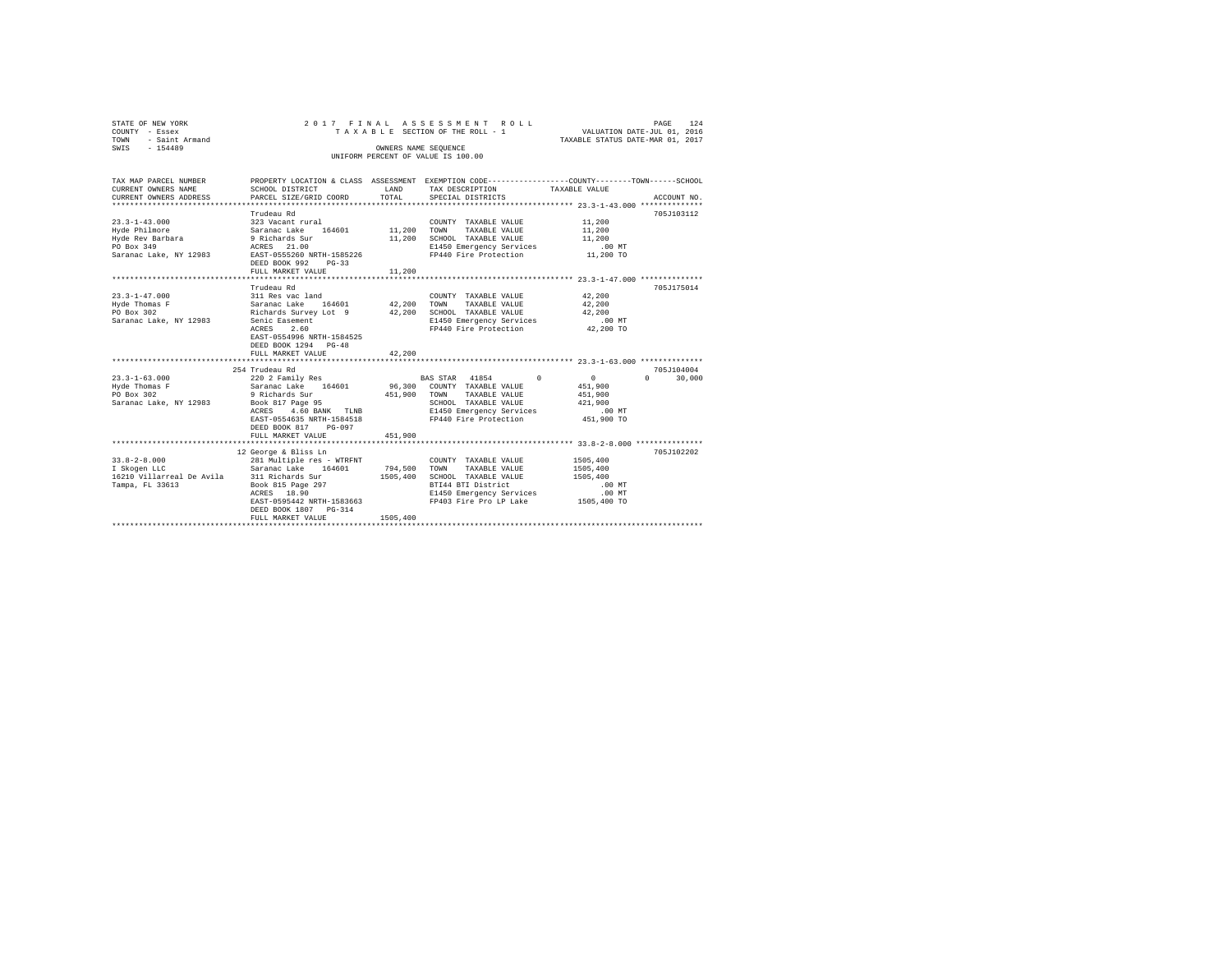| STATE OF NEW YORK<br>$-$ Essex<br>COUNTY<br>- Saint Armand<br>TOWN<br>$-154489$ |                           |                   | 2017 FINAL ASSESSMENT ROLL<br>TAXABLE SECTION OF THE ROLL - 1 | VALUATION DATE-JUL 01, 2016<br>TAXABLE STATUS DATE-MAR 01, 2017 | PAGE | 124         |
|---------------------------------------------------------------------------------|---------------------------|-------------------|---------------------------------------------------------------|-----------------------------------------------------------------|------|-------------|
| SWIS                                                                            |                           |                   | OWNERS NAME SEOUENCE<br>UNIFORM PERCENT OF VALUE IS 100.00    |                                                                 |      |             |
|                                                                                 |                           |                   |                                                               |                                                                 |      |             |
| TAX MAP PARCEL NUMBER                                                           | PROPERTY LOCATION & CLASS | <b>ASSESSMENT</b> |                                                               | EXEMPTION CODE----------------COUNTY-------TOWN------SCHOOL     |      |             |
| CURRENT OWNERS NAME                                                             | SCHOOL DISTRICT           | <b>T.AND</b>      | TAX DESCRIPTION                                               | TAXABLE VALUE                                                   |      |             |
| CURRENT OWNERS ADDRESS                                                          | PARCEL SIZE/GRID COORD    | TOTAL             | SPECIAL DISTRICTS                                             |                                                                 |      | ACCOUNT NO. |

| $23.3 - 1 - 43.000$                     | Trudeau Rd<br>323 Vacant rural                    |          | COUNTY TAXABLE VALUE                          | 11,200      | 705J103112                      |
|-----------------------------------------|---------------------------------------------------|----------|-----------------------------------------------|-------------|---------------------------------|
|                                         |                                                   |          | TAXABLE VALUE<br>TOWN                         | 11,200      |                                 |
|                                         |                                                   |          | SCHOOL TAXABLE VALUE                          | 11,200      |                                 |
| PO Box 349                              | ACRES 21.00                                       |          | E1450 Emergency Services                      | $.00$ MT    |                                 |
|                                         | Saranac Lake, NY 12983 EAST-0555260 NRTH-1585226  |          | FP440 Fire Protection                         | 11,200 TO   |                                 |
|                                         | DEED BOOK 992<br>$PG-33$                          |          |                                               |             |                                 |
|                                         | FULL MARKET VALUE                                 | 11,200   |                                               |             |                                 |
|                                         |                                                   |          |                                               |             |                                 |
|                                         | Trudeau Rd                                        |          |                                               |             | 705J175014                      |
| $23.3 - 1 - 47.000$                     | 311 Res vac land                                  |          | COUNTY TAXABLE VALUE                          | 42,200      |                                 |
| Hyde Thomas F                           | Saranac Lake 164601 42,200                        |          | TOWN<br>TAXABLE VALUE                         | 42,200      |                                 |
| PO Box 302                              | Richards Survey Lot 9 42,200 SCHOOL TAXABLE VALUE |          |                                               | 42,200      |                                 |
| Saranac Lake, NY 12983                  | Senic Easement                                    |          | E1450 Emergency Services                      | $.00$ MT    |                                 |
|                                         | ACRES 2.60                                        |          | FP440 Fire Protection                         | 42,200 TO   |                                 |
|                                         | EAST-0554996 NRTH-1584525                         |          |                                               |             |                                 |
|                                         | DEED BOOK 1294 PG-48                              |          |                                               |             |                                 |
|                                         | FULL MARKET VALUE                                 | 42,200   |                                               |             |                                 |
|                                         |                                                   |          |                                               |             |                                 |
|                                         | 254 Trudeau Rd                                    |          |                                               |             | 705J104004                      |
| $23.3 - 1 - 63.000$                     | 220 2 Family Res                                  |          | BAS STAR 41854 0                              | 0           | 30,000<br>$\Omega$ and $\Omega$ |
| Hyde Thomas F                           | Saranac Lake 164601 96,300 COUNTY TAXABLE VALUE   |          |                                               | 451,900     |                                 |
| PO Box 302                              | 9 Richards Sur 451,900                            |          | TOWN<br>TAXABLE VALUE                         | 451,900     |                                 |
| Saranac Lake, NY 12983 Book 817 Page 95 |                                                   |          | SCHOOL TAXABLE VALUE                          | 421,900     |                                 |
|                                         |                                                   |          | ACRES 4.60 BANK TLNB E1450 Emergency Services | .00 MT      |                                 |
|                                         | EAST-0554635 NRTH-1584518                         |          | FP440 Fire Protection 51,900 TO               |             |                                 |
|                                         | DEED BOOK 817 PG-097                              |          |                                               |             |                                 |
|                                         | FULL MARKET VALUE                                 | 451,900  |                                               |             |                                 |
|                                         |                                                   |          |                                               |             |                                 |
|                                         | 12 George & Bliss Ln                              |          |                                               |             | 705J102202                      |
| $33.8 - 2 - 8.000$                      | 281 Multiple res - WTRFNT                         |          | COUNTY TAXABLE VALUE                          | 1505,400    |                                 |
| I Skogen LLC                            | Saranac Lake 164601                               | 794,500  | TAXABLE VALUE<br>TOWN                         | 1505,400    |                                 |
|                                         | 16210 Villarreal De Avila 311 Richards Sur        | 1505,400 | SCHOOL TAXABLE VALUE                          | 1505,400    |                                 |
| Tampa, FL 33613                         |                                                   |          | BTI44 BTI District                            | .00 MT      |                                 |
|                                         |                                                   |          | E1450 Emergency Services                      | .00 MT      |                                 |
|                                         | EAST-0595442 NRTH-1583663                         |          | FP403 Fire Pro LP Lake                        | 1505,400 TO |                                 |
|                                         | DEED BOOK 1807 PG-314                             |          |                                               |             |                                 |
|                                         | FULL MARKET VALUE                                 | 1505,400 |                                               |             |                                 |
|                                         |                                                   |          |                                               |             |                                 |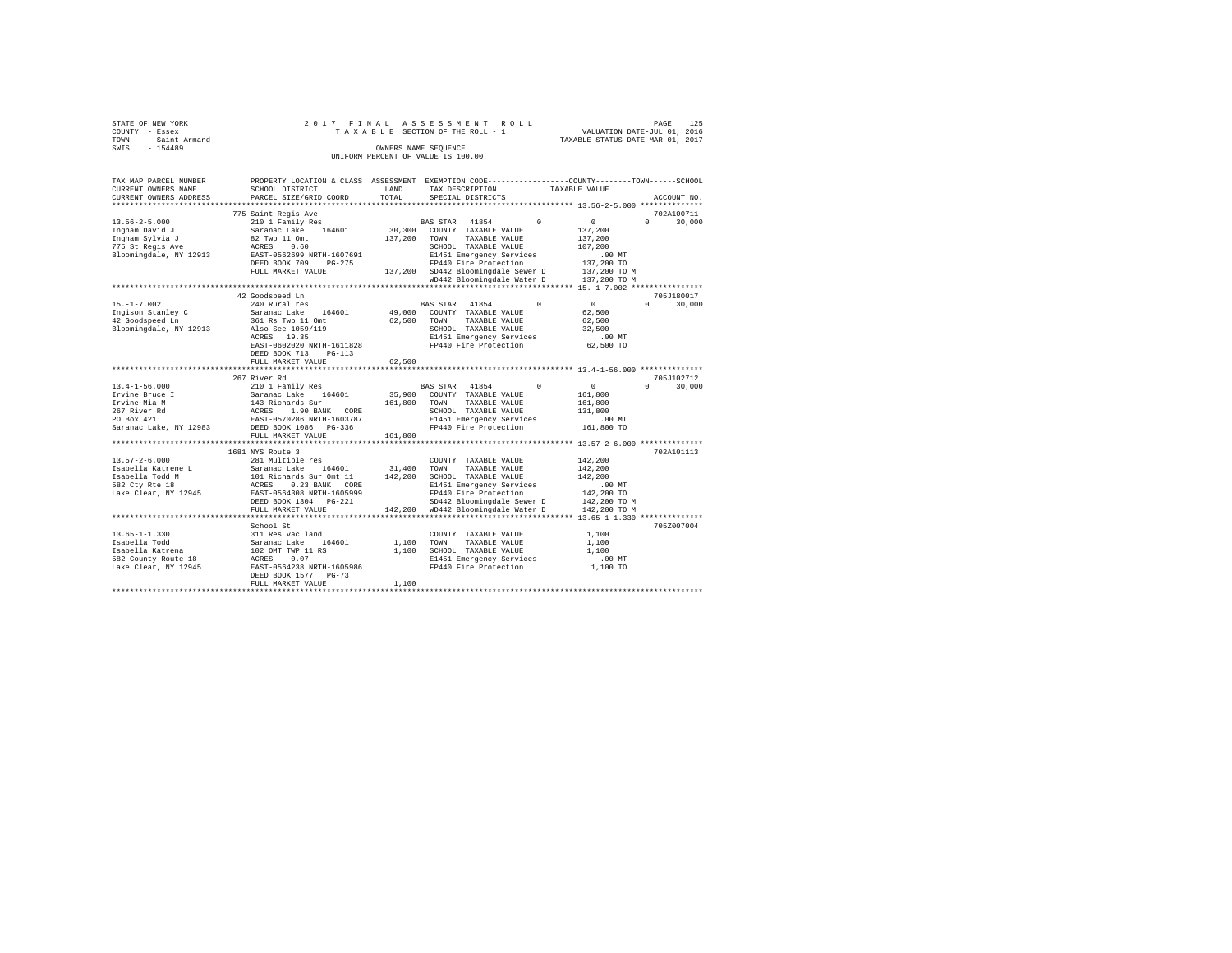| STATE OF NEW YORK   |  | 2017 FINAL ASSESSMENT ROLL         |                                  | PAGE                        | 125 |
|---------------------|--|------------------------------------|----------------------------------|-----------------------------|-----|
| COUNTY - Essex      |  | TAXABLE SECTION OF THE ROLL - 1    |                                  | VALUATION DATE-JUL 01, 2016 |     |
| TOWN - Saint Armand |  |                                    | TAXABLE STATUS DATE-MAR 01, 2017 |                             |     |
| SWIS<br>- 154489    |  | OWNERS NAME SEOUENCE               |                                  |                             |     |
|                     |  | UNIFORM PERCENT OF VALUE IS 100.00 |                                  |                             |     |
|                     |  |                                    |                                  |                             |     |

| TAX MAP PARCEL NUMBER                    |                                                                                                     |             | PROPERTY LOCATION & CLASS ASSESSMENT EXEMPTION CODE---------------COUNTY------TOWN-----SCHOOL |                                       |
|------------------------------------------|-----------------------------------------------------------------------------------------------------|-------------|-----------------------------------------------------------------------------------------------|---------------------------------------|
| CURRENT OWNERS NAME                      | SCHOOL DISTRICT                                                                                     | LAND        | TAX DESCRIPTION                                                                               | TAXABLE VALUE                         |
| CURRENT OWNERS ADDRESS                   | PARCEL SIZE/GRID COORD                                                                              | TOTAL       | SPECIAL DISTRICTS                                                                             | ACCOUNT NO.                           |
|                                          |                                                                                                     |             |                                                                                               |                                       |
|                                          | 775 Saint Regis Ave                                                                                 |             |                                                                                               | 702A100711                            |
| $13.56 - 2 - 5.000$                      | 210 1 Family Res                                                                                    |             | $\Omega$<br>BAS STAR 41854                                                                    | $\circ$<br>$\Omega$<br>30,000         |
| Ingham David J                           | Saranac Lake<br>164601                                                                              | 30,300      | COUNTY TAXABLE VALUE                                                                          | 137,200                               |
| Ingham Sylvia J                          | 82 Twp 11 Omt                                                                                       | 137,200     | TOWN<br>TAXABLE VALUE                                                                         | 137,200                               |
| 775 St Regis Ave                         | ACRES<br>0.60                                                                                       |             | SCHOOL TAXABLE VALUE                                                                          | 107,200                               |
| Bloomingdale, NY 12913                   | EAST-0562699 NRTH-1607691                                                                           |             | E1451 Emergency Services                                                                      | .00MT                                 |
|                                          | DEED BOOK 709<br>$PG-275$                                                                           |             | FP440 Fire Protection                                                                         | 137,200 TO                            |
|                                          | FULL MARKET VALUE                                                                                   |             | 137,200 SD442 Bloomingdale Sewer D                                                            | 137,200 TO M                          |
|                                          |                                                                                                     |             | WD442 Bloomingdale Water D                                                                    | 137,200 TO M                          |
|                                          |                                                                                                     |             |                                                                                               |                                       |
|                                          | 42 Goodspeed Ln                                                                                     |             |                                                                                               | 705J180017                            |
| $15. - 1 - 7.002$                        | 240 Rural res                                                                                       |             | $\circ$<br>BAS STAR 41854                                                                     | $\sim$ 0 $\sim$<br>$\Omega$<br>30,000 |
|                                          | 164601                                                                                              |             | 49,000 COUNTY TAXABLE VALUE                                                                   | 62,500                                |
| Ingison Stanley C<br>42 Goodspeed Ln     | Saranac Lake 16<br>361 Rs Twp 11 Omt                                                                | 62,500      | TOWN<br>TAXABLE VALUE                                                                         | 62,500                                |
| Bloomingdale, NY 12913 Also See 1059/119 |                                                                                                     |             | SCHOOL TAXABLE VALUE                                                                          | 32,500                                |
|                                          | ACRES 19.35                                                                                         |             | E1451 Emergency Services                                                                      | $.00$ MT                              |
|                                          | EAST-0602020 NRTH-1611828                                                                           |             | FP440 Fire Protection                                                                         | 62,500 TO                             |
|                                          | DEED BOOK 713<br>PG-113                                                                             |             |                                                                                               |                                       |
|                                          | FULL MARKET VALUE                                                                                   | 62,500      |                                                                                               |                                       |
|                                          |                                                                                                     |             |                                                                                               |                                       |
|                                          | 267 River Rd                                                                                        |             |                                                                                               | 705J102712                            |
| $13.4 - 1 - 56.000$                      |                                                                                                     |             | BAS STAR 41854<br>$\Omega$                                                                    | $\overline{0}$<br>$\Omega$            |
|                                          |                                                                                                     |             |                                                                                               | 30,000                                |
| Irvine Bruce I                           | 210 1 Family Res<br>Saranac Lake 164601<br>143 Richards Sur<br>ACRES 1.90 BANK CORE                 |             | 35,900 COUNTY TAXABLE VALUE                                                                   | 161,800                               |
| Irvine Mia M                             |                                                                                                     | 161,800     | TOWN<br>TAXABLE VALUE                                                                         | 161,800                               |
| 267 River Rd                             | 1.90 BANK CORE                                                                                      |             | SCHOOL TAXABLE VALUE                                                                          | 131,800                               |
| PO Box 421                               | EAST-0570286 NRTH-1603787<br>DEED BOOK 1086 PG-336                                                  |             | E1451 Emergency Services                                                                      | .00MT                                 |
| Saranac Lake, NY 12983                   |                                                                                                     |             | FP440 Fire Protection                                                                         | 161,800 TO                            |
|                                          | FULL MARKET VALUE                                                                                   | 161,800     |                                                                                               |                                       |
|                                          |                                                                                                     |             |                                                                                               |                                       |
|                                          | 1681 NYS Route 3                                                                                    |             |                                                                                               | 702A101113                            |
| $13.57 - 2 - 6.000$                      | 281 Multiple res                                                                                    |             | COUNTY TAXABLE VALUE                                                                          | 142,200                               |
| Isabella Katrene L                       |                                                                                                     | 31,400 TOWN | TAXABLE VALUE                                                                                 | 142,200                               |
| Isabella Todd M                          |                                                                                                     | 142,200     | SCHOOL TAXABLE VALUE                                                                          | 142,200                               |
| 582 Cty Rte 18                           | Saranac Lake 164601<br>101 Richards Sur Omt 11<br>ACRES 0.23 BANK CORE<br>EAST-0564308 NRTH-1605999 |             | E1451 Emergency Services                                                                      | $.00$ MT                              |
| Lake Clear, NY 12945                     |                                                                                                     |             | FP440 Fire Protection                                                                         | 142,200 TO                            |
|                                          | DEED BOOK 1304 PG-221                                                                               |             | SD442 Bloomingdale Sewer D                                                                    | 142,200 TO M                          |
|                                          | FULL MARKET VALUE                                                                                   |             | 142,200 WD442 Bloomingdale Water D                                                            | 142,200 TO M                          |
|                                          |                                                                                                     |             |                                                                                               |                                       |
|                                          | School St                                                                                           |             |                                                                                               | 705Z007004                            |
| $13.65 - 1 - 1.330$                      | 311 Res vac land                                                                                    |             | COUNTY TAXABLE VALUE                                                                          | 1,100                                 |
|                                          |                                                                                                     | 1,100       | TOWN<br>TAXABLE VALUE                                                                         | 1,100                                 |
|                                          |                                                                                                     | 1,100       | SCHOOL TAXABLE VALUE                                                                          | 1,100                                 |
|                                          |                                                                                                     |             | E1451 Emergency Services                                                                      | .00 MT                                |
|                                          |                                                                                                     |             | FP440 Fire Protection                                                                         | 1,100 TO                              |
|                                          | DEED BOOK 1577 PG-73                                                                                |             |                                                                                               |                                       |
|                                          | FULL MARKET VALUE                                                                                   | 1,100       |                                                                                               |                                       |
|                                          |                                                                                                     |             |                                                                                               |                                       |
|                                          |                                                                                                     |             |                                                                                               |                                       |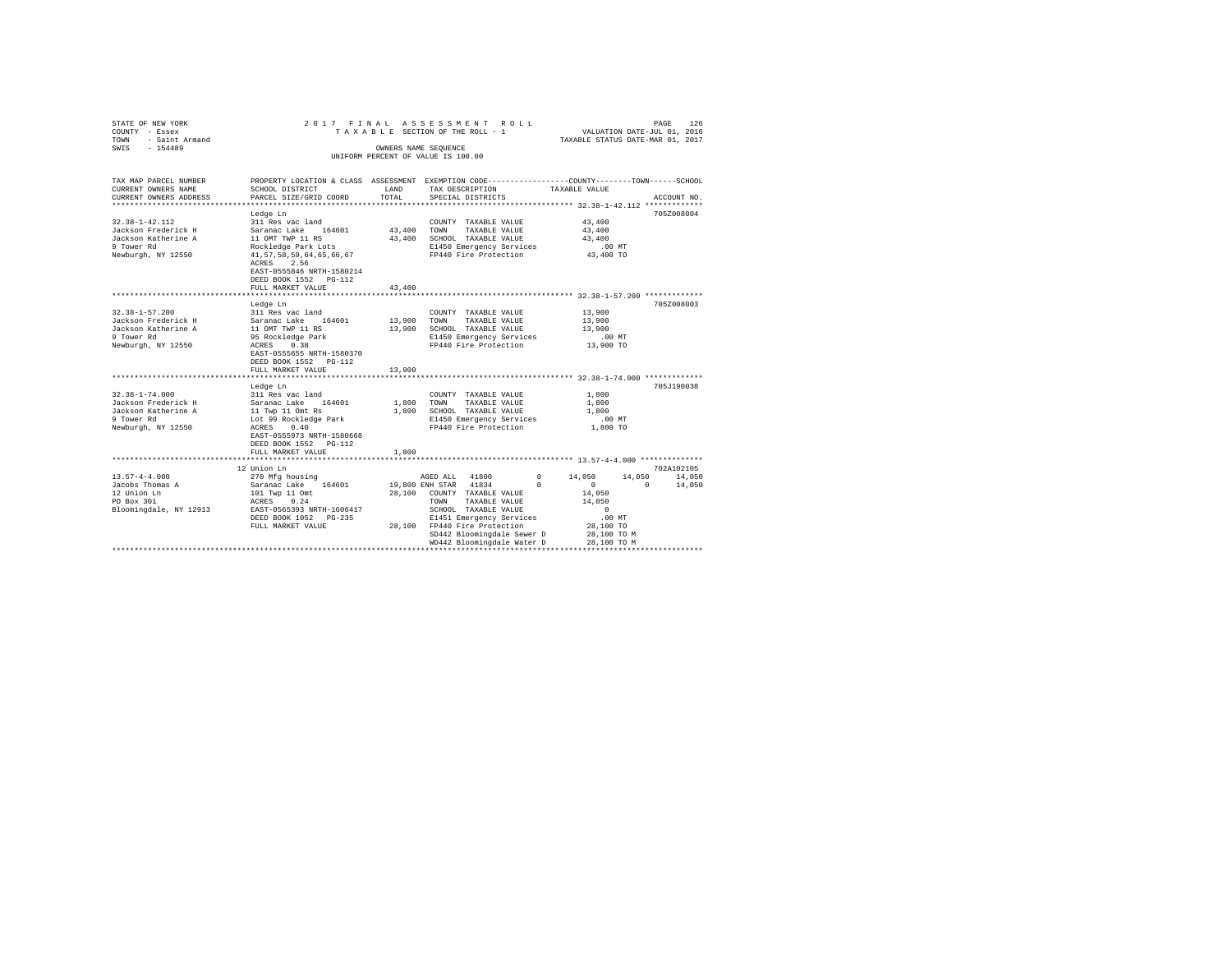| STATE OF NEW YORK<br>COUNTY - Essex<br>- Saint Armand<br>TOWN<br>$-154489$<br>SWIS                     | 2017 FINAL                                                                                                                                                                                                                   |                            | ASSESSMENT ROLL<br>TAXABLE SECTION OF THE ROLL - 1<br>OWNERS NAME SEQUENCE                                                                                                                                                               | TAXABLE STATUS DATE-MAR 01, 2017                                                                                                 | PAGE<br>126<br>VALUATION DATE-JUL 01, 2016           |
|--------------------------------------------------------------------------------------------------------|------------------------------------------------------------------------------------------------------------------------------------------------------------------------------------------------------------------------------|----------------------------|------------------------------------------------------------------------------------------------------------------------------------------------------------------------------------------------------------------------------------------|----------------------------------------------------------------------------------------------------------------------------------|------------------------------------------------------|
|                                                                                                        |                                                                                                                                                                                                                              |                            | UNIFORM PERCENT OF VALUE IS 100.00                                                                                                                                                                                                       |                                                                                                                                  |                                                      |
|                                                                                                        |                                                                                                                                                                                                                              |                            |                                                                                                                                                                                                                                          |                                                                                                                                  |                                                      |
| TAX MAP PARCEL NUMBER<br>CURRENT OWNERS NAME<br>CURRENT OWNERS ADDRESS                                 | PROPERTY LOCATION & CLASS ASSESSMENT EXEMPTION CODE---------------COUNTY-------TOWN------SCHOOL<br>SCHOOL DISTRICT<br>PARCEL SIZE/GRID COORD                                                                                 | LAND<br>TOTAL              | TAX DESCRIPTION<br>SPECIAL DISTRICTS                                                                                                                                                                                                     | TAXABLE VALUE                                                                                                                    | ACCOUNT NO.                                          |
|                                                                                                        |                                                                                                                                                                                                                              |                            |                                                                                                                                                                                                                                          |                                                                                                                                  |                                                      |
| $32.38 - 1 - 42.112$<br>Jackson Frederick H<br>Jackson Katherine A<br>9 Tower Rd<br>Newburgh, NY 12550 | Ledge Ln<br>311 Res vac land<br>Saranac Lake 164601<br>11 OMT TWP 11 RS<br>Rockledge Park Lots<br>41, 57, 58, 59, 64, 65, 66, 67<br>2.56<br>ACRES<br>EAST-0555846 NRTH-1580214<br>DEED BOOK 1552 PG-112<br>FULL MARKET VALUE | 43,400<br>43,400<br>43,400 | COUNTY TAXABLE VALUE<br>TOWN<br>TAXABLE VALUE<br>SCHOOL TAXABLE VALUE<br>E1450 Emergency Services<br>FP440 Fire Protection                                                                                                               | 43,400<br>43,400<br>43,400<br>.00MT<br>43,400 TO                                                                                 | 705Z008004                                           |
|                                                                                                        |                                                                                                                                                                                                                              |                            |                                                                                                                                                                                                                                          | ********************** 32.38-1-57.200 *************                                                                              |                                                      |
| $32.38 - 1 - 57.200$<br>Jackson Frederick H<br>Jackson Katherine A<br>9 Tower Rd<br>Newburgh, NY 12550 | Ledge Ln<br>311 Res vac land<br>Saranac Lake 164601<br>11 OMT TWP 11 RS<br>95 Rockledge Park<br>ACRES<br>0.38<br>EAST-0555655 NRTH-1580370<br>DEED BOOK 1552 PG-112<br>FULL MARKET VALUE                                     | 13,900<br>13,900<br>13,900 | COUNTY TAXABLE VALUE<br>TOWN<br>TAXABLE VALUE<br>SCHOOL TAXABLE VALUE<br>E1450 Emergency Services<br>FP440 Fire Protection                                                                                                               | 13,900<br>13,900<br>13,900<br>$.00$ MT<br>13,900 TO                                                                              | 705Z008003                                           |
|                                                                                                        | Ledge Ln                                                                                                                                                                                                                     |                            |                                                                                                                                                                                                                                          |                                                                                                                                  | 705J190038                                           |
| $32.38 - 1 - 74.000$<br>Jackson Frederick H<br>Jackson Katherine A<br>9 Tower Rd<br>Newburgh, NY 12550 | 311 Res vac land<br>Saranac Lake 164601<br>11 Twp 11 Omt Rs<br>Lot 99 Rockledge Park<br>ACRES<br>0.40<br>EAST-0555973 NRTH-1580668<br>DEED BOOK 1552 PG-112<br>FULL MARKET VALUE                                             | 1,800<br>1,800<br>1,800    | COUNTY TAXABLE VALUE<br>TAXABLE VALUE<br>TOWN<br>SCHOOL TAXABLE VALUE<br>E1450 Emergency Services<br>FP440 Fire Protection                                                                                                               | 1,800<br>1,800<br>1,800<br>$.00$ MT<br>1,800 TO                                                                                  |                                                      |
|                                                                                                        |                                                                                                                                                                                                                              |                            |                                                                                                                                                                                                                                          |                                                                                                                                  |                                                      |
| $13.57 - 4 - 4.000$<br>Jacobs Thomas A<br>12 Union Ln<br>PO Box 301<br>Bloomingdale, NY 12913          | 12 Union Ln<br>270 Mfg housing<br>164601<br>Saranac Lake<br>101 Twp 11 Omt<br>0.24<br>ACRES<br>EAST-0565393 NRTH-1606417<br>DEED BOOK 1052 PG-235<br>FULL MARKET VALUE                                                       | 28,100                     | AGED ALL 41800<br>19,800 ENH STAR 41834<br>COUNTY TAXABLE VALUE<br>TOWN<br>TAXABLE VALUE<br>SCHOOL TAXABLE VALUE<br>E1451 Emergency Services<br>28,100 FP440 Fire Protection<br>SD442 Bloomingdale Sewer D<br>WD442 Bloomingdale Water D | $\Omega$<br>14,050<br>$\Omega$<br>$\Omega$<br>14,050<br>14,050<br>$^{\circ}$<br>.00MT<br>28,100 TO<br>28,100 TO M<br>28,100 TO M | 702A102105<br>14,050<br>14,050<br>14,050<br>$\Omega$ |
|                                                                                                        |                                                                                                                                                                                                                              |                            |                                                                                                                                                                                                                                          |                                                                                                                                  |                                                      |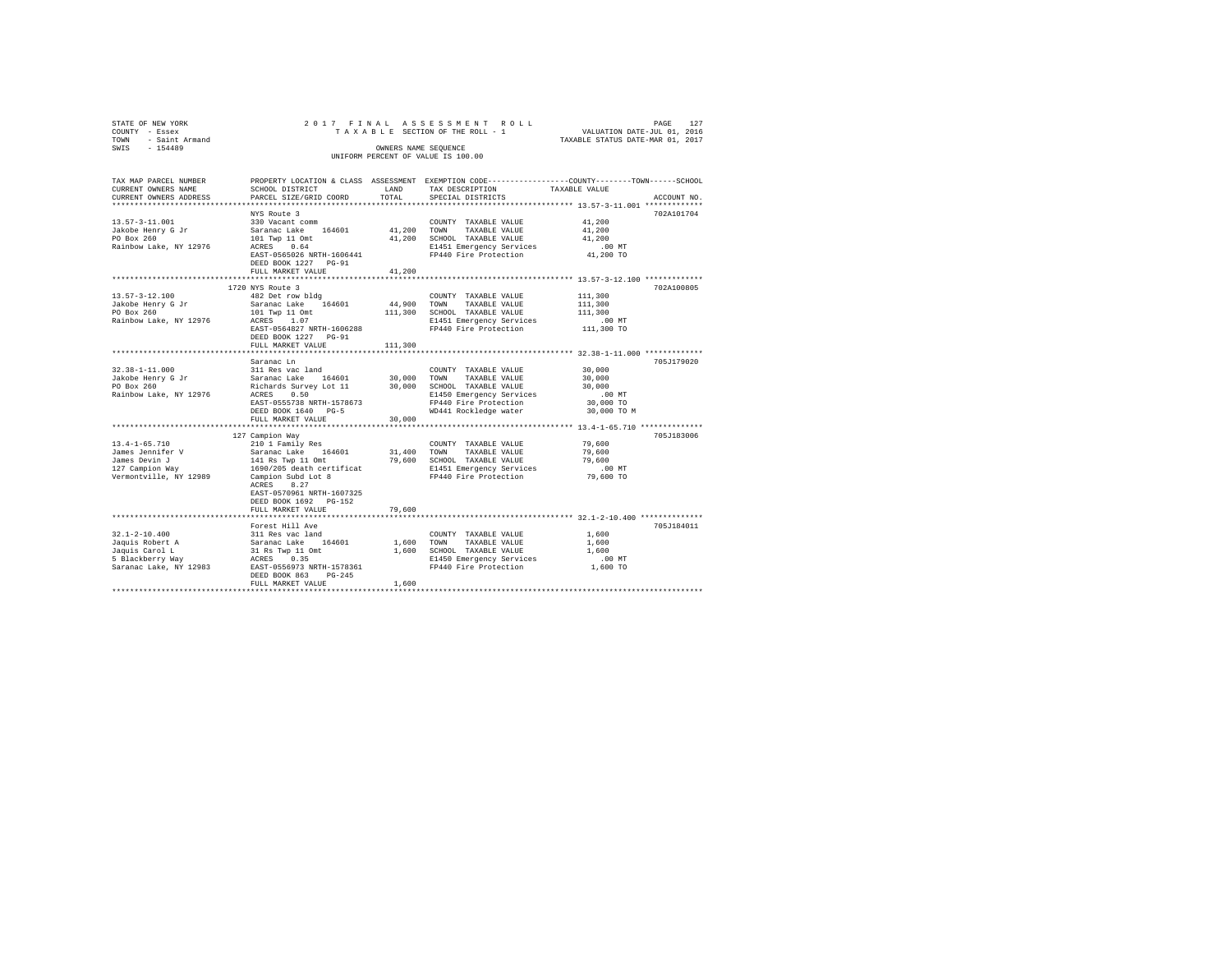| STATE OF NEW YORK                  | 2017 FINAL                                                        |         | ASSESSMENT ROLL                                                                                | PAGE 127<br>VALUATION DATE-JUL 01, 2016                |             |
|------------------------------------|-------------------------------------------------------------------|---------|------------------------------------------------------------------------------------------------|--------------------------------------------------------|-------------|
| COUNTY - Essex                     |                                                                   |         | TAXABLE SECTION OF THE ROLL - 1                                                                |                                                        |             |
| TOWN - Saint Armand                |                                                                   |         |                                                                                                | TAXABLE STATUS DATE-MAR 01, 2017                       |             |
| SWIS<br>$-154489$                  |                                                                   |         | OWNERS NAME SEOUENCE                                                                           |                                                        |             |
|                                    |                                                                   |         | UNIFORM PERCENT OF VALUE IS 100.00                                                             |                                                        |             |
|                                    |                                                                   |         |                                                                                                |                                                        |             |
| TAX MAP PARCEL NUMBER              |                                                                   |         | PROPERTY LOCATION & CLASS ASSESSMENT EXEMPTION CODE---------------COUNTY-------TOWN-----SCHOOL |                                                        |             |
| CURRENT OWNERS NAME                | SCHOOL DISTRICT                                                   | LAND    | TAX DESCRIPTION                                                                                | TAXABLE VALUE                                          |             |
| CURRENT OWNERS ADDRESS             | PARCEL SIZE/GRID COORD                                            | TOTAL   | SPECIAL DISTRICTS                                                                              |                                                        | ACCOUNT NO. |
| ************************           |                                                                   |         |                                                                                                |                                                        |             |
|                                    | NYS Route 3                                                       |         |                                                                                                |                                                        | 702A101704  |
| $13.57 - 3 - 11.001$               | 330 Vacant comm                                                   |         | COUNTY TAXABLE VALUE                                                                           | 41,200                                                 |             |
| Jakobe Henry G Jr                  | Saranac Lake 164601                                               |         | 41,200 TOWN TAXABLE VALUE                                                                      | 41,200                                                 |             |
| PO Box 260                         |                                                                   |         | 41,200 SCHOOL TAXABLE VALUE                                                                    | 41,200                                                 |             |
| Rainbow Lake, NY 12976             | 101 Twp 11 Omt<br>ACRES 0.64                                      |         |                                                                                                | $.00$ MT                                               |             |
|                                    | EAST-0565026 NRTH-1606441                                         |         | E1451 Emergency Services<br>FP440 Fire Protection                                              | 41,200 TO                                              |             |
|                                    | DEED BOOK 1227 PG-91                                              |         |                                                                                                |                                                        |             |
|                                    | FULL MARKET VALUE                                                 | 41,200  |                                                                                                |                                                        |             |
|                                    |                                                                   |         |                                                                                                |                                                        |             |
|                                    | 1720 NYS Route 3                                                  |         |                                                                                                |                                                        | 702A100805  |
| $13.57 - 3 - 12.100$               | 482 Det row bldg                                                  |         | COUNTY TAXABLE VALUE                                                                           | 111,300                                                |             |
|                                    | Saranac Lake 164601                                               |         | 44,900 TOWN TAXABLE VALUE                                                                      | 111,300                                                |             |
| Jakobe Henry G Jr<br>PO Box 260    | 101 Twp 11 Omt                                                    |         | 111,300 SCHOOL TAXABLE VALUE                                                                   | 111,300                                                |             |
| Rainbow Lake, NY 12976             | ACRES 1.07                                                        |         | E1451 Emergency Services                                                                       | .00 MT                                                 |             |
|                                    | EAST-0564827 NRTH-1606288                                         |         | FP440 Fire Protection                                                                          | 111,300 TO                                             |             |
|                                    | DEED BOOK 1227 PG-91                                              |         |                                                                                                |                                                        |             |
|                                    | FULL MARKET VALUE                                                 | 111,300 |                                                                                                |                                                        |             |
|                                    |                                                                   |         |                                                                                                | ************************* 32.38-1-11.000 ************* |             |
|                                    | Saranac Ln                                                        |         |                                                                                                |                                                        | 705J179020  |
| $32.38 - 1 - 11.000$               | 311 Res vac land                                                  |         | COUNTY TAXABLE VALUE                                                                           | 30,000                                                 |             |
|                                    | Saranac Lake 164601                                               |         | 30,000 TOWN TAXABLE VALUE                                                                      | 30,000                                                 |             |
| Jakobe Henry G Jr<br>PO Box 260    | Richards Survey Lot 11                                            |         | 30,000 SCHOOL TAXABLE VALUE                                                                    | 30,000                                                 |             |
| Rainbow Lake, NY 12976             | ACRES 0.50                                                        |         | E1450 Emergency Services                                                                       | $.00$ MT                                               |             |
|                                    | EAST-0555738 NRTH-1578673                                         |         | FP440 Fire Protection                                                                          | 30,000 TO                                              |             |
|                                    | DEED BOOK 1640 PG-5                                               |         | WD441 Rockledge water                                                                          | 30,000 TO M                                            |             |
|                                    | FULL MARKET VALUE                                                 | 30,000  |                                                                                                |                                                        |             |
|                                    |                                                                   |         |                                                                                                |                                                        |             |
|                                    | 127 Campion Way                                                   |         |                                                                                                |                                                        | 705J183006  |
| $13.4 - 1 - 65.710$                | 210 1 Family Res                                                  |         | COUNTY TAXABLE VALUE                                                                           | 79,600                                                 |             |
| James Jennifer V                   |                                                                   |         |                                                                                                | 79,600                                                 |             |
| James Devin J                      | Saranac Lake 164601<br>141 Rs Twp 11 Omt<br>1600/005 Bash sary's: |         | 31,400 TOWN TAXABLE VALUE<br>79,600 SCHOOL TAXABLE VALUE                                       | 79,600                                                 |             |
| 127 Campion Way                    | 1690/205 death certificat                                         |         | E1451 Emergency Services                                                                       | $.00$ MT                                               |             |
| Vermontville, NY 12989             | Campion Subd Lot 8                                                |         | FP440 Fire Protection                                                                          | 79,600 TO                                              |             |
|                                    | ACRES 8.27                                                        |         |                                                                                                |                                                        |             |
|                                    | EAST-0570961 NRTH-1607325                                         |         |                                                                                                |                                                        |             |
|                                    | DEED BOOK 1692 PG-152                                             |         |                                                                                                |                                                        |             |
|                                    | FULL MARKET VALUE                                                 | 79,600  |                                                                                                |                                                        |             |
|                                    |                                                                   |         |                                                                                                |                                                        |             |
|                                    | Forest Hill Ave                                                   |         |                                                                                                |                                                        | 705J184011  |
| $32.1 - 2 - 10.400$                | 311 Res vac land                                                  |         | COUNTY TAXABLE VALUE                                                                           | 1,600                                                  |             |
| Jaquis Robert A                    |                                                                   |         | 1,600 TOWN TAXABLE VALUE                                                                       | 1,600                                                  |             |
|                                    | Saranac Lake 164601<br>31 Rs Twp 11 Omt<br>ACRES 0.35             |         | 1,600 SCHOOL TAXABLE VALUE                                                                     | 1,600                                                  |             |
| Jaquis Carol L<br>5 Blackberry Way |                                                                   |         | E1450 Emergency Services                                                                       | $.00$ MT                                               |             |
| Saranac Lake, NY 12983             | EAST-0556973 NRTH-1578361                                         |         | FP440 Fire Protection                                                                          | 1,600 TO                                               |             |
|                                    | DEED BOOK 863 PG-245                                              |         |                                                                                                |                                                        |             |
|                                    | FULL MARKET VALUE                                                 | 1,600   |                                                                                                |                                                        |             |
|                                    |                                                                   |         |                                                                                                |                                                        |             |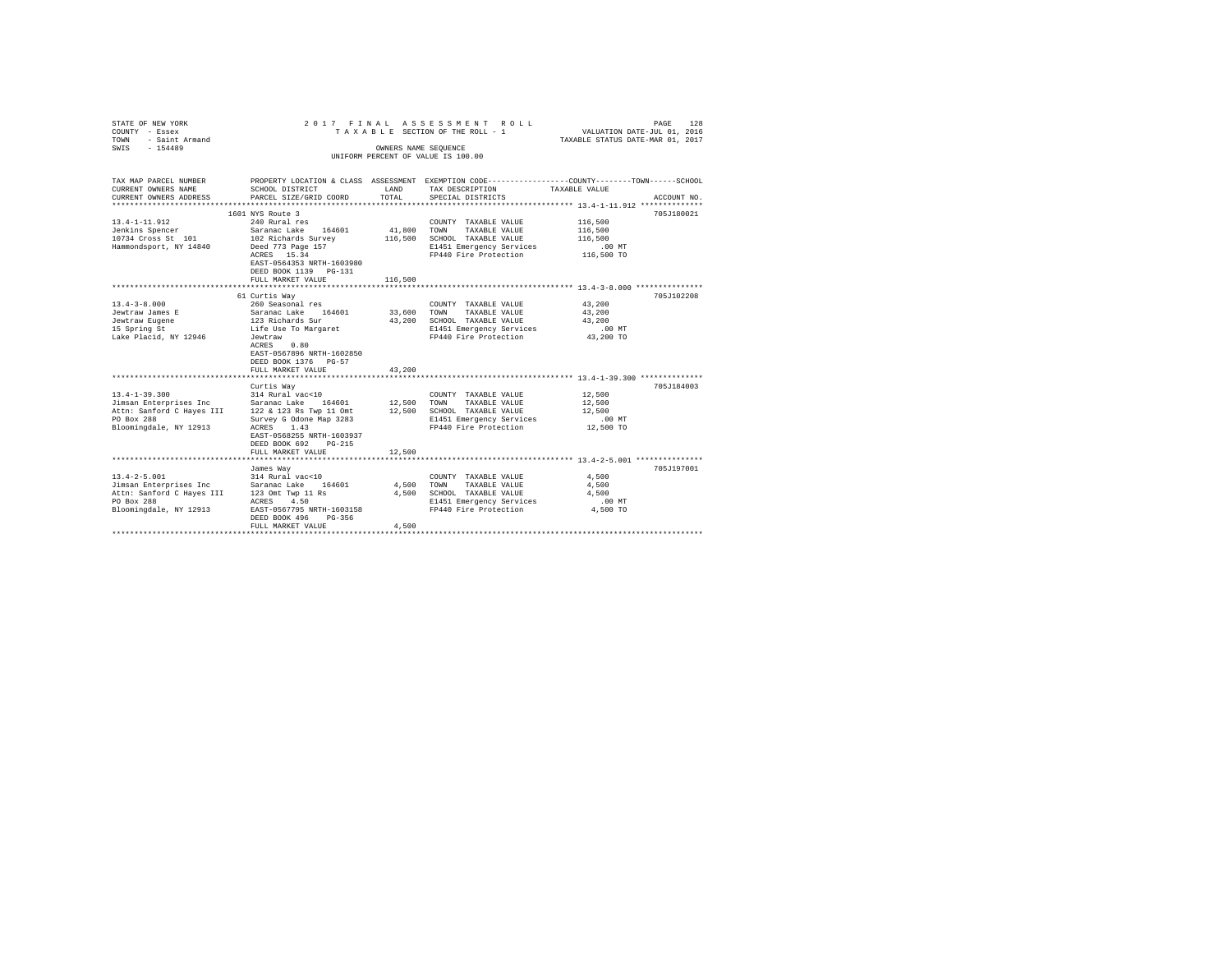| STATE OF NEW YORK<br>COUNTY - Essex<br>- Saint Armand<br>TOWN<br>SWIS - 154489                                                                                                                               |                                                                                                                                                                                                | OWNERS NAME SEQUENCE         | 2017 FINAL ASSESSMENT ROLL<br>TAXABLE SECTION OF THE ROLL - 1<br>UNIFORM PERCENT OF VALUE IS 100.00                                   | PAGE<br>128<br>VALUATION DATE-JUL 01, 2016<br>TAXABLE STATUS DATE-MAR 01, 2017                                                  |
|--------------------------------------------------------------------------------------------------------------------------------------------------------------------------------------------------------------|------------------------------------------------------------------------------------------------------------------------------------------------------------------------------------------------|------------------------------|---------------------------------------------------------------------------------------------------------------------------------------|---------------------------------------------------------------------------------------------------------------------------------|
| TAX MAP PARCEL NUMBER<br>CURRENT OWNERS NAME<br>CURRENT OWNERS ADDRESS                                                                                                                                       | SCHOOL DISTRICT<br>PARCEL SIZE/GRID COORD                                                                                                                                                      | LAND<br>TOTAL                | TAX DESCRIPTION<br>SPECIAL DISTRICTS                                                                                                  | PROPERTY LOCATION & CLASS ASSESSMENT EXEMPTION CODE---------------COUNTY-------TOWN------SCHOOL<br>TAXABLE VALUE<br>ACCOUNT NO. |
| $13.4 - 1 - 11.912$<br>Jenkins Spencer<br>10734 Cross St 101<br>Hammondsport, NY 14840                                                                                                                       | 1601 NYS Route 3<br>240 Rural res<br>Saranac Lake 164601<br>102 Richards Survey<br>Deed 773 Page 157<br>ACRES 15.34<br>EAST-0564353 NRTH-1603980<br>DEED BOOK 1139 PG-131<br>FULL MARKET VALUE | 41,800<br>116,500<br>116,500 | COUNTY TAXABLE VALUE<br>TOWN<br>TAXABLE VALUE<br>SCHOOL TAXABLE VALUE<br>E1451 Emergency Services<br>FP440 Fire Protection 116,500 TO | 705J180021<br>116,500<br>116,500<br>116,500<br>$.00$ MT                                                                         |
| $13.4 - 3 - 8.000$<br>Jewtraw James E<br>Jewtraw Eugene                                                                                                                                                      | 61 Curtis Way<br>260 Seasonal res<br>Saranac Lake 164601<br>123 Richards Sur<br>Life Use To Margaret                                                                                           | 33,600<br>43,200             | COUNTY TAXABLE VALUE<br>TAXABLE VALUE<br>TOWN<br>SCHOOL TAXABLE VALUE<br>E1451 Emergency Services                                     | 705J102208<br>43,200<br>43,200<br>43,200<br>$.00$ MT                                                                            |
| Lake Placid, NY 12946                                                                                                                                                                                        | Jewtraw<br>0.80<br>ACRES<br>EAST-0567896 NRTH-1602850<br>DEED BOOK 1376 PG-57<br>FULL MARKET VALUE                                                                                             | 43,200                       | FP440 Fire Protection                                                                                                                 | 43,200 TO                                                                                                                       |
|                                                                                                                                                                                                              | ***************************                                                                                                                                                                    |                              |                                                                                                                                       |                                                                                                                                 |
| $13.4 - 1 - 39.300$<br>Jimsan Enterprises Inc<br>Attn: Sanford C Hayes III 122 & 123 Rs Twp 11 Omt<br>PO Box 288<br>Bloomingdale, NY 12913                                                                   | Curtis Way<br>314 Rural vac<10<br>Saranac Lake 164601<br>Survey G Odone Map 3283<br>ACRES 1.43<br>EAST-0568255 NRTH-1603937<br>DEED BOOK 692 PG-215                                            | 12,500<br>12,500             | COUNTY TAXABLE VALUE<br>TAXABLE VALUE<br>TOWN<br>SCHOOL TAXABLE VALUE<br>E1451 Emergency Services<br>FP440 Fire Protection            | 705J184003<br>12,500<br>12,500<br>12,500<br>$.00$ MT<br>12,500 TO                                                               |
|                                                                                                                                                                                                              | FULL MARKET VALUE                                                                                                                                                                              | 12,500                       |                                                                                                                                       |                                                                                                                                 |
| $13.4 - 2 - 5.001$<br>13.4-2-5.001<br>Jimsan Enterprises Inc Saranac Lake 164601<br>Attn: Sanford C Hayes III 123 Omt Twp 11 Rs<br>$\frac{1000 \text{ N}}{1000 \text{ N}}$ Pow 200<br>Bloomingdale, NY 12913 | James Way<br>314 Rural vac<10<br>EAST-0567795 NRTH-1603158<br>DEED BOOK 496<br>PG-356<br>FULL MARKET VALUE                                                                                     | 4,500<br>4,500               | COUNTY TAXABLE VALUE<br>TOWN<br>TAXABLE VALUE<br>4,500 SCHOOL TAXABLE VALUE<br>E1451 Emergency Services<br>FP440 Fire Protection      | 705J197001<br>4.500<br>4.500<br>4.500<br>$.00$ MT<br>4,500 TO                                                                   |
|                                                                                                                                                                                                              |                                                                                                                                                                                                |                              |                                                                                                                                       |                                                                                                                                 |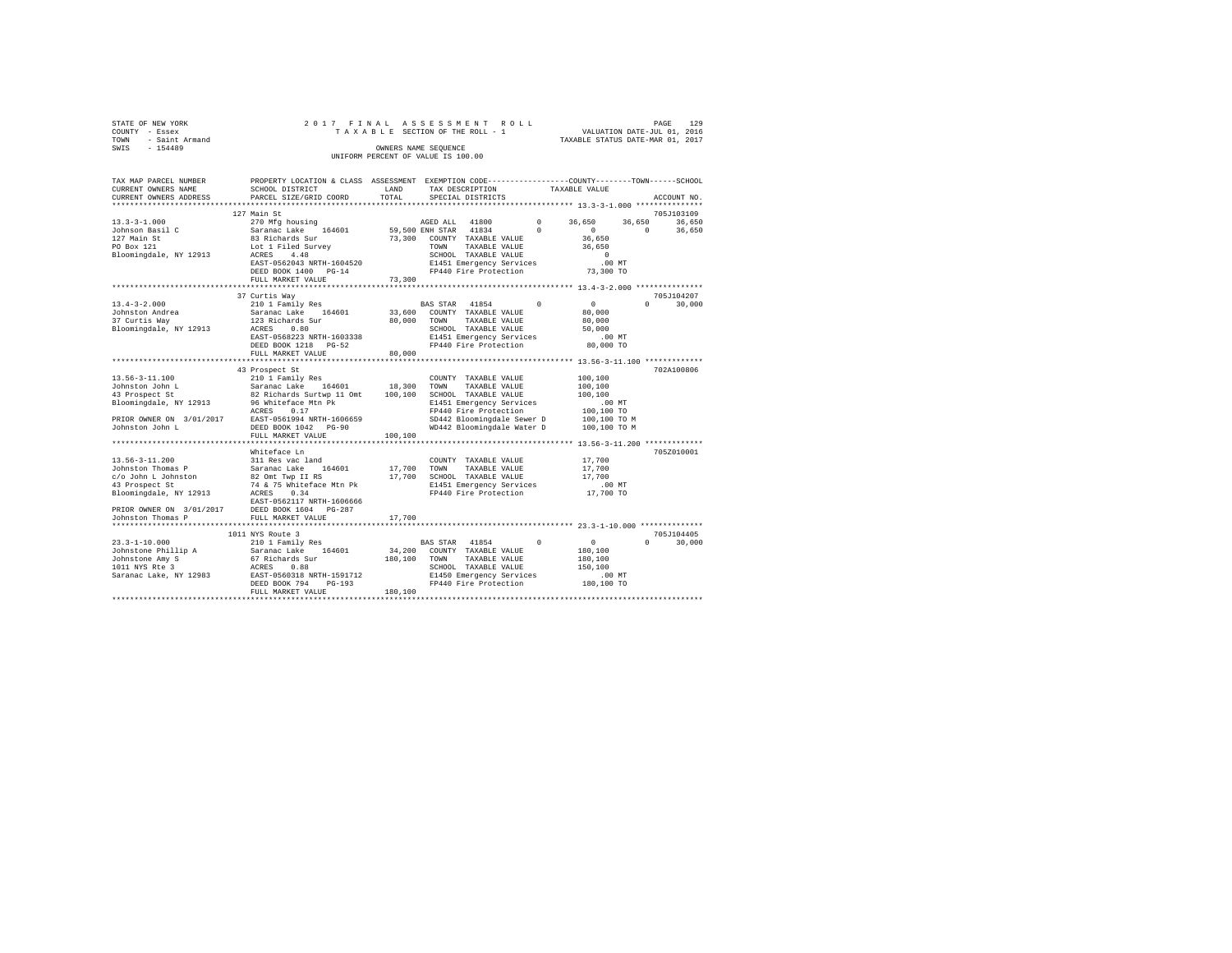|                | STATE OF NEW YORK |  |  |  | 2017 FINAL ASSESSMENT ROLL         |  |  |  |  | 129<br>PAGE                      |
|----------------|-------------------|--|--|--|------------------------------------|--|--|--|--|----------------------------------|
| COUNTY - Essex |                   |  |  |  | TAXABLE SECTION OF THE ROLL - 1    |  |  |  |  | VALUATION DATE-JUL 01, 2016      |
| TOWN           | - Saint Armand    |  |  |  |                                    |  |  |  |  | TAXABLE STATUS DATE-MAR 01, 2017 |
| SWIS           | $-154489$         |  |  |  | OWNERS NAME SEOUENCE               |  |  |  |  |                                  |
|                |                   |  |  |  | UNIFORM PERCENT OF VALUE IS 100.00 |  |  |  |  |                                  |

| TAX MAP PARCEL NUMBER<br>CURRENT OWNERS NAME                                                                                                                                                                                                                    | SCHOOL DISTRICT                                                                                                                                                                           | LAND                         | PROPERTY LOCATION & CLASS ASSESSMENT EXEMPTION CODE---------------COUNTY-------TOWN------SCHOOL<br>TAX DESCRIPTION                                                                                           | TAXABLE VALUE                                                                                                                               |
|-----------------------------------------------------------------------------------------------------------------------------------------------------------------------------------------------------------------------------------------------------------------|-------------------------------------------------------------------------------------------------------------------------------------------------------------------------------------------|------------------------------|--------------------------------------------------------------------------------------------------------------------------------------------------------------------------------------------------------------|---------------------------------------------------------------------------------------------------------------------------------------------|
| CURRENT OWNERS ADDRESS                                                                                                                                                                                                                                          | PARCEL SIZE/GRID COORD                                                                                                                                                                    | TOTAL                        | SPECIAL DISTRICTS                                                                                                                                                                                            | ACCOUNT NO.                                                                                                                                 |
|                                                                                                                                                                                                                                                                 |                                                                                                                                                                                           |                              |                                                                                                                                                                                                              |                                                                                                                                             |
| $13.3 - 3 - 1.000$<br>Johnson Basil C<br>127 Main St<br>PO Box 121<br>Bloomingdale, NY 12913                                                                                                                                                                    | 127 Main St<br>270 Mfg housing<br>Saranac Lake 164601<br>83 Richards Sur<br>Lot 1 Filed Survey<br>ACRES<br>4.48<br>EAST-0562043 NRTH-1604520<br>DEED BOOK 1400 PG-14<br>FULL MARKET VALUE | 73,300                       | AGED ALL 41800<br>$\circ$<br>59,500 ENH STAR 41834<br>$^{\circ}$<br>73,300 COUNTY TAXABLE VALUE<br><b>TOWN</b><br>TAXABLE VALUE<br>SCHOOL TAXABLE VALUE<br>E1451 Emergency Services<br>FP440 Fire Protection | 705J103109<br>36,650<br>36,650<br>36,650<br>$^{\circ}$<br>$\Omega$<br>36,650<br>36,650<br>36,650<br>$\overline{0}$<br>$.00$ MT<br>73,300 TO |
|                                                                                                                                                                                                                                                                 | ****************************                                                                                                                                                              |                              |                                                                                                                                                                                                              |                                                                                                                                             |
| $13.4 - 3 - 2.000$<br>Johnston Andrea<br>-- ------ Way<br>Bloomingdale, NY 12913                                                                                                                                                                                | 37 Curtis Way<br>210 1 Family Res<br>Saranac Lake 164601<br>123 Richards Sur<br>ACRES<br>0.80<br>EAST-0568223 NRTH-1603338<br>DEED BOOK 1218 PG-52<br>FULL MARKET VALUE                   | 33,600<br>80,000<br>80,000   | $^{\circ}$<br>BAS STAR 41854<br>COUNTY TAXABLE VALUE<br>TAXABLE VALUE<br>TOWN<br>SCHOOL TAXABLE VALUE<br>E1451 Emergency Services<br>FP440 Fire Protection                                                   | 705J104207<br>$\sim$ 0<br>$\Omega$<br>30,000<br>80,000<br>80,000<br>50,000<br>$.00$ MT<br>80,000 TO                                         |
|                                                                                                                                                                                                                                                                 |                                                                                                                                                                                           |                              |                                                                                                                                                                                                              |                                                                                                                                             |
|                                                                                                                                                                                                                                                                 | 43 Prospect St                                                                                                                                                                            |                              |                                                                                                                                                                                                              | 702A100806                                                                                                                                  |
| 13.56-3-11.100<br>10.1 1201 1 Family Res<br>143 Prospect St<br>143 Prospect St<br>143 Prospect St<br>162 Richards Surtwp 11 Omt<br>196 Whiteface Mtn Pk<br>196 Whiteface Mtn Pk<br>PRIOR OWNER ON 3/01/2017 EAST-0561994 NRTH-1606659<br>Johnston John L        | ACRES 0.17<br>DEED BOOK 1042 PG-90                                                                                                                                                        | 18,300<br>100,100            | COUNTY TAXABLE VALUE<br>TOWN<br>TAXABLE VALUE<br>SCHOOL TAXABLE VALUE<br>E1451 Emergency Services<br>FP440 Fire Protection<br>SD442 Bloomingdale Sewer D<br>WD442 Bloomingdale Water D                       | 100,100<br>100,100<br>100,100<br>.00MT<br>100,100 TO<br>100,100 TO M<br>100,100 TO M                                                        |
|                                                                                                                                                                                                                                                                 | FULL MARKET VALUE                                                                                                                                                                         | 100,100                      |                                                                                                                                                                                                              |                                                                                                                                             |
|                                                                                                                                                                                                                                                                 |                                                                                                                                                                                           |                              |                                                                                                                                                                                                              |                                                                                                                                             |
| 13.56-3-11.200<br>Johnston Thomas P<br>c/o John L Johnston<br>43 Prospect St<br>Bloomingdale, NY 12913                                                                                                                                                          | Whiteface Ln<br>311 Res vac land<br>Saranac Lake<br>82 Omt Twp II RS<br>74 & 75 Whiteface Mtn Pk<br>ACRES<br>0.34<br>EAST-0562117 NRTH-1606666                                            | 17,700                       | COUNTY TAXABLE VALUE<br>TOWN<br>TAXABLE VALUE<br>17,700 SCHOOL TAXABLE VALUE<br>E1451 Emergency Services<br>FP440 Fire Protection                                                                            | 705Z010001<br>17,700<br>17,700<br>17,700<br>$.00$ MT<br>17,700 TO                                                                           |
| PRIOR OWNER ON 3/01/2017 DEED BOOK 1604 PG-287                                                                                                                                                                                                                  |                                                                                                                                                                                           |                              |                                                                                                                                                                                                              |                                                                                                                                             |
| Johnston Thomas P                                                                                                                                                                                                                                               | FULL MARKET VALUE                                                                                                                                                                         | 17,700                       |                                                                                                                                                                                                              |                                                                                                                                             |
| $23.3 - 1 - 10.000$<br>25.5-1-10.000<br>25.7-1-10.0000 MD Saranac Lake 164601<br>30hnstone Amy S 67 Richards Sur<br>1011 NYS Rte 3 67 Richards Saranac Lake, NY 12983 RATE-1591712<br>Saranac Lake, NY 12983 RATE-0560318 NRTH-1591712<br>PREP BOOK 704 10-1912 | 1011 NYS Route 3<br>210 1 Family Res<br>DEED BOOK 794<br>$PG-193$<br>FULL MARKET VALUE                                                                                                    | 34,200<br>180,100<br>180,100 | BAS STAR 41854<br>$^{\circ}$<br>COUNTY TAXABLE VALUE<br>TAXABLE VALUE<br>TOWN<br>SCHOOL TAXABLE VALUE<br>E1450 Emergency Services<br>FP440 Fire Protection                                                   | 705J104405<br>$\overline{0}$<br>$\Omega$<br>30,000<br>180,100<br>180,100<br>150,100<br>.00 MT<br>180,100 TO                                 |
|                                                                                                                                                                                                                                                                 |                                                                                                                                                                                           |                              |                                                                                                                                                                                                              |                                                                                                                                             |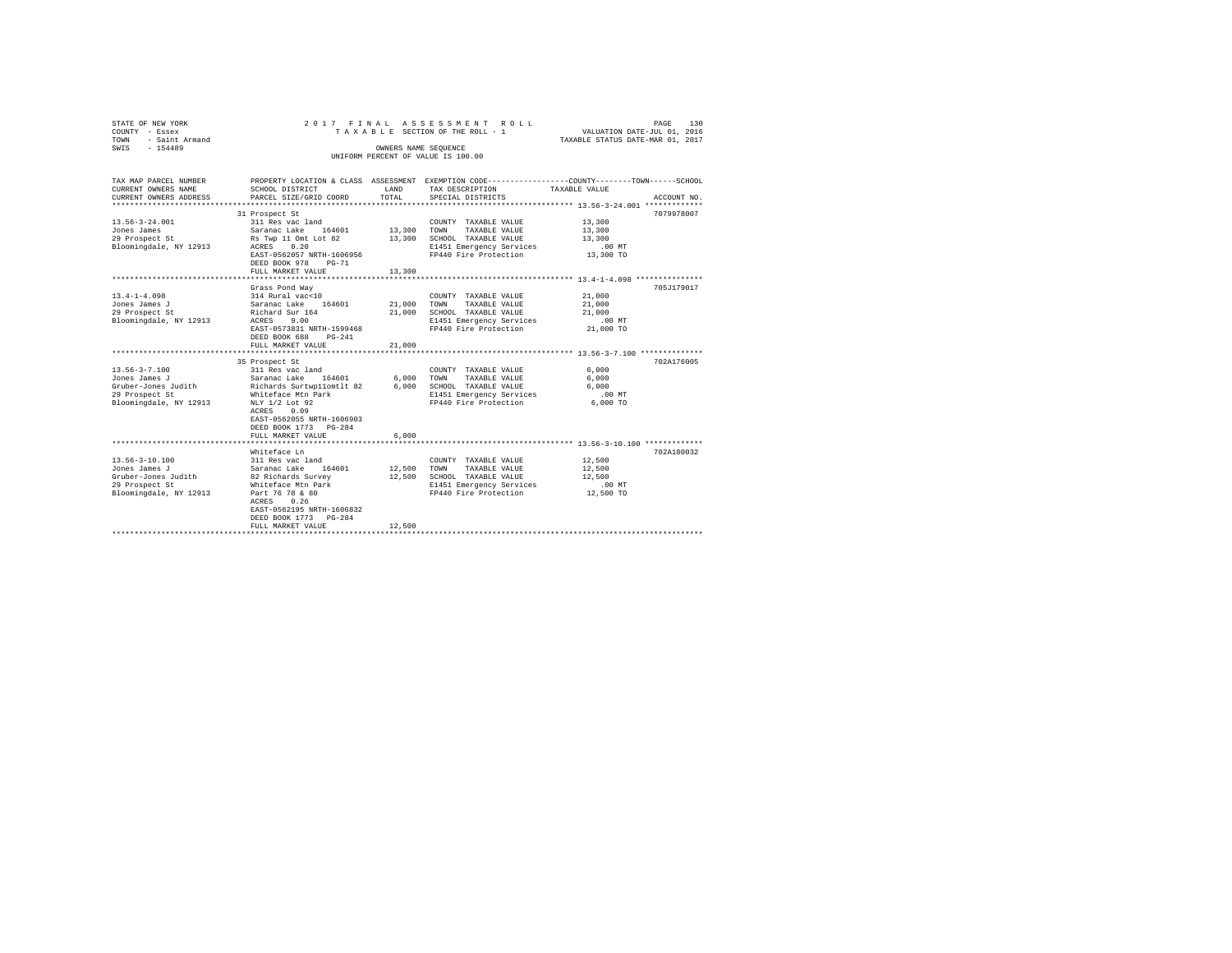| STATE OF NEW YORK<br>COUNTY - Essex<br>TOWN - Saint Armand<br>SWIS - 154489 |                                                                                                      |             | 2017 FINAL ASSESSMENT ROLL<br>TAXABLE SECTION OF THE ROLL - 1<br>OWNERS NAME SEQUENCE           | VALUATION DATE-JUL 01, 2016<br>TAXABLE STATUS DATE-MAR 01, 2017 | PAGE<br>130 |
|-----------------------------------------------------------------------------|------------------------------------------------------------------------------------------------------|-------------|-------------------------------------------------------------------------------------------------|-----------------------------------------------------------------|-------------|
|                                                                             |                                                                                                      |             | UNIFORM PERCENT OF VALUE IS 100.00                                                              |                                                                 |             |
|                                                                             |                                                                                                      |             |                                                                                                 |                                                                 |             |
| TAX MAP PARCEL NUMBER                                                       |                                                                                                      |             | PROPERTY LOCATION & CLASS ASSESSMENT EXEMPTION CODE---------------COUNTY-------TOWN------SCHOOL |                                                                 |             |
| CURRENT OWNERS NAME                                                         | SCHOOL DISTRICT                                                                                      | LAND        | TAX DESCRIPTION                                                                                 | TAXABLE VALUE                                                   |             |
| CURRENT OWNERS ADDRESS                                                      | PARCEL SIZE/GRID COORD                                                                               | TOTAL       | SPECIAL DISTRICTS                                                                               |                                                                 | ACCOUNT NO. |
|                                                                             | 31 Prospect St                                                                                       |             |                                                                                                 |                                                                 | 7079978007  |
| $13.56 - 3 - 24.001$                                                        | 311 Res vac land                                                                                     |             | COUNTY TAXABLE VALUE                                                                            | 13,300                                                          |             |
| Jones James                                                                 | Saranac Lake 164601                                                                                  | 13,300 TOWN | TAXABLE VALUE                                                                                   | 13,300                                                          |             |
| 29 Prospect St                                                              | Rs Twp 11 Omt Lot 82                                                                                 | 13,300      | SCHOOL TAXABLE VALUE                                                                            | 13,300                                                          |             |
| Bloomingdale, NY 12913                                                      | ACRES 0.20                                                                                           |             | E1451 Emergency Services                                                                        | $.00$ MT                                                        |             |
|                                                                             | EAST-0562057 NRTH-1606956                                                                            |             | FP440 Fire Protection                                                                           | 13,300 TO                                                       |             |
|                                                                             | DEED BOOK 978 PG-71                                                                                  |             |                                                                                                 |                                                                 |             |
|                                                                             | FULL MARKET VALUE                                                                                    | 13,300      |                                                                                                 |                                                                 |             |
|                                                                             | Grass Pond Way                                                                                       |             |                                                                                                 |                                                                 | 705J179017  |
| $13.4 - 1 - 4.098$                                                          | 314 Rural vac<10                                                                                     |             | COUNTY TAXABLE VALUE                                                                            | 21,000                                                          |             |
| Jones James J                                                               | Saranac Lake 164601                                                                                  | 21,000 TOWN | TAXABLE VALUE                                                                                   | 21,000                                                          |             |
| 29 Prospect St                                                              | Richard Sur 164                                                                                      | 21,000      | SCHOOL TAXABLE VALUE                                                                            | 21,000                                                          |             |
| Bloomingdale, NY 12913                                                      | ACRES 9.00                                                                                           |             | E1451 Emergency Services                                                                        | $.00$ MT                                                        |             |
|                                                                             | EAST-0573831 NRTH-1599468                                                                            |             | FP440 Fire Protection                                                                           | 21,000 TO                                                       |             |
|                                                                             | DEED BOOK 688 PG-241<br>FULL MARKET VALUE                                                            | 21,000      |                                                                                                 |                                                                 |             |
|                                                                             |                                                                                                      |             |                                                                                                 |                                                                 |             |
|                                                                             | 35 Prospect St                                                                                       |             |                                                                                                 |                                                                 | 702A176005  |
| $13.56 - 3 - 7.100$                                                         | 311 Res vac land                                                                                     |             | COUNTY TAXABLE VALUE                                                                            | 6,000                                                           |             |
| Jones James J                                                               | Saranac Lake 164601 6,000 TOWN TAXABLE VALUE<br>Richards Surtwpllomtlt 82 6,000 SCHOOL TAXABLE VALUE |             |                                                                                                 | 6,000                                                           |             |
| Gruber-Jones Judith                                                         |                                                                                                      |             |                                                                                                 | 6.000                                                           |             |
| 29 Prospect St                                                              | Whiteface Mtn Park                                                                                   |             | E1451 Emergency Services                                                                        | $.00$ MT                                                        |             |
| Bloomingdale, NY 12913                                                      | NLY 1/2 Lot 92<br>ACRES 0.09                                                                         |             | FP440 Fire Protection                                                                           | $6.000$ TO                                                      |             |
|                                                                             | EAST-0562055 NRTH-1606903                                                                            |             |                                                                                                 |                                                                 |             |
|                                                                             | DEED BOOK 1773 PG-284                                                                                |             |                                                                                                 |                                                                 |             |
|                                                                             | FULL MARKET VALUE                                                                                    | 6,000       |                                                                                                 |                                                                 |             |
|                                                                             |                                                                                                      |             |                                                                                                 |                                                                 |             |
|                                                                             | Whiteface Ln                                                                                         |             |                                                                                                 |                                                                 | 702A180032  |
| $13.56 - 3 - 10.100$                                                        | 311 Res vac land                                                                                     |             | COUNTY TAXABLE VALUE                                                                            | 12,500                                                          |             |
| Jones James J<br>Gruber-Jones Judith                                        | Saranac Lake 164601<br>82 Richards Survey                                                            | 12,500      | TOWN<br>TAXABLE VALUE<br>12,500 SCHOOL TAXABLE VALUE                                            | 12,500<br>12,500                                                |             |
| 29 Prospect St                                                              | Whiteface Mtn Park                                                                                   |             | E1451 Emergency Services                                                                        | $.00$ MT                                                        |             |
| Bloomingdale, NY 12913                                                      | Part 76 78 & 80                                                                                      |             | FP440 Fire Protection                                                                           | 12,500 TO                                                       |             |
|                                                                             | ACRES 0.26                                                                                           |             |                                                                                                 |                                                                 |             |
|                                                                             | EAST-0562195 NRTH-1606832                                                                            |             |                                                                                                 |                                                                 |             |
|                                                                             | DEED BOOK 1773 PG-284                                                                                |             |                                                                                                 |                                                                 |             |
|                                                                             | FULL MARKET VALUE                                                                                    | 12,500      |                                                                                                 |                                                                 |             |
|                                                                             |                                                                                                      |             |                                                                                                 |                                                                 |             |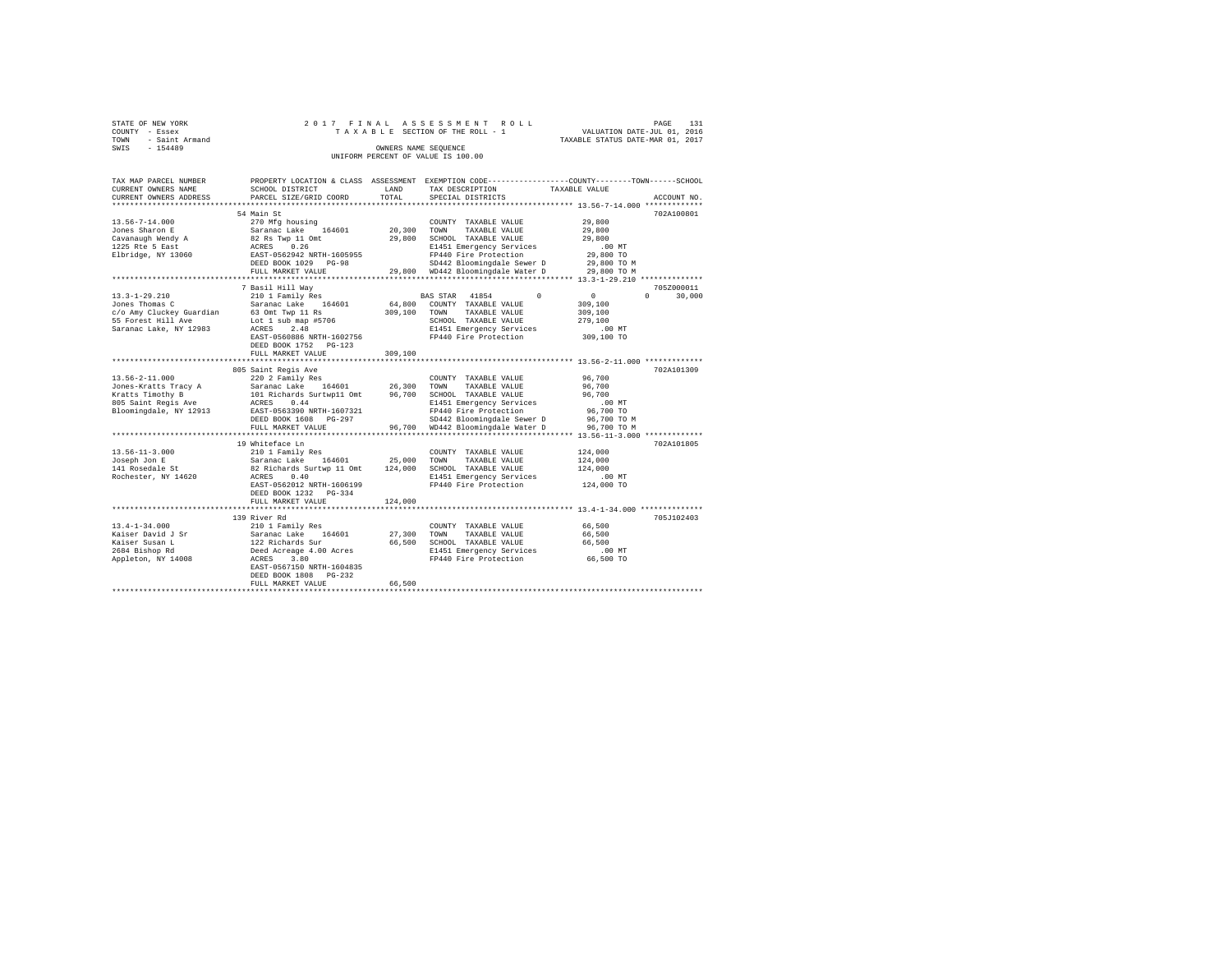| STATE OF NEW YORK      |  |  | 2017 FINAL ASSESSMENT ROLL         |                                  | PAGE | 131 |
|------------------------|--|--|------------------------------------|----------------------------------|------|-----|
| COUNTY - Essex         |  |  | TAXABLE SECTION OF THE ROLL - 1    | VALUATION DATE-JUL 01, 2016      |      |     |
| - Saint Armand<br>TOWN |  |  |                                    | TAXABLE STATUS DATE-MAR 01, 2017 |      |     |
| SWIS<br>$-154489$      |  |  | OWNERS NAME SEOUENCE               |                                  |      |     |
|                        |  |  | UNIFORM PERCENT OF VALUE IS 100.00 |                                  |      |     |

| TAX MAP PARCEL NUMBER<br>CURRENT OWNERS NAME                                                                                                                               | SCHOOL DISTRICT                                                                  | LAND         | TAX DESCRIPTION                                                             | PROPERTY LOCATION & CLASS ASSESSMENT EXEMPTION CODE----------------COUNTY-------TOWN-----SCHOOL<br>TAXABLE VALUE |
|----------------------------------------------------------------------------------------------------------------------------------------------------------------------------|----------------------------------------------------------------------------------|--------------|-----------------------------------------------------------------------------|------------------------------------------------------------------------------------------------------------------|
| CURRENT OWNERS ADDRESS                                                                                                                                                     | PARCEL SIZE/GRID COORD                                                           | TOTAL        | SPECIAL DISTRICTS                                                           | ACCOUNT NO.                                                                                                      |
| ***********************                                                                                                                                                    |                                                                                  |              |                                                                             |                                                                                                                  |
|                                                                                                                                                                            | 54 Main St                                                                       |              |                                                                             | 702A100801                                                                                                       |
| 13.56-7-14.000                                                                                                                                                             | 270 Mfg housing                                                                  |              | COUNTY TAXABLE VALUE                                                        | 29,800                                                                                                           |
| Jones Sharon E                                                                                                                                                             | Saranac Lake 164601                                                              |              | 20,300 TOWN TAXABLE VALUE                                                   | 29,800                                                                                                           |
|                                                                                                                                                                            |                                                                                  |              | 29,800 SCHOOL TAXABLE VALUE                                                 | 29,800                                                                                                           |
| Elbridge, NY 13060                                                                                                                                                         |                                                                                  |              | E1451 Emergency Services<br>FP440 Fire Protection                           | $.00$ MT<br>29,800 TO                                                                                            |
|                                                                                                                                                                            | EAST-0562942 NRTH-1605955<br>DEED BOOK 1029 PG-98                                |              |                                                                             | 29,800 TO M                                                                                                      |
|                                                                                                                                                                            | FULL MARKET VALUE                                                                |              | SD442 Bloomingdale Sewer D<br>29,800 WD442 Bloomingdale Water D 29,800 TO M |                                                                                                                  |
|                                                                                                                                                                            |                                                                                  |              |                                                                             |                                                                                                                  |
|                                                                                                                                                                            | 7 Basil Hill Way                                                                 |              |                                                                             | 705Z000011                                                                                                       |
| 13.3-1-29.210                                                                                                                                                              | 210 1 Family Res                                                                 |              | $\Omega$<br>BAS STAR 41854                                                  | $\Omega$<br>30,000<br>$\Omega$                                                                                   |
| Jones Thomas C                                                                                                                                                             | Saranac Lake 164601                                                              |              | 64,800 COUNTY TAXABLE VALUE                                                 | 309,100                                                                                                          |
| c/o Amy Cluckey Guardian 63 Omt Twp 11 Rs                                                                                                                                  |                                                                                  | 309,100 TOWN | TAXABLE VALUE                                                               | 309,100                                                                                                          |
| 55 Forest Hill Ave                                                                                                                                                         | $\frac{1}{2}$ bot 1 sub map #5706                                                |              | SCHOOL TAXABLE VALUE                                                        | 279,100                                                                                                          |
| Saranac Lake, NY 12983                                                                                                                                                     | ACRES<br>2.48                                                                    |              | E1451 Emergency Services                                                    | $.00$ MT                                                                                                         |
|                                                                                                                                                                            | EAST-0560886 NRTH-1602756                                                        |              | FP440 Fire Protection                                                       | 309,100 TO                                                                                                       |
|                                                                                                                                                                            | DEED BOOK 1752 PG-123                                                            |              |                                                                             |                                                                                                                  |
|                                                                                                                                                                            | FULL MARKET VALUE                                                                | 309,100      |                                                                             |                                                                                                                  |
|                                                                                                                                                                            |                                                                                  | ************ |                                                                             | ********************************** 13.56-2-11.000 *************                                                  |
|                                                                                                                                                                            | 805 Saint Regis Ave                                                              |              |                                                                             | 702A101309                                                                                                       |
| 13.56-2-11.000                                                                                                                                                             | 220 2 Family Res                                                                 |              | COUNTY TAXABLE VALUE                                                        | 96,700                                                                                                           |
|                                                                                                                                                                            |                                                                                  |              | TOWN<br>TAXABLE VALUE                                                       | 96,700                                                                                                           |
| 13.bb-2-11.000<br>Jones-Kratts Tracy A Saramac Lake 164601 26,300<br>Kratts Timothy B 101 Richards Surtwp11 Omt 96,700<br>Bloomingdale, NY 12913 EAST-0563390 NRTH-1607321 |                                                                                  |              | SCHOOL TAXABLE VALUE                                                        | 96,700                                                                                                           |
|                                                                                                                                                                            |                                                                                  |              | E1451 Emergency Services                                                    | $.00$ MT                                                                                                         |
|                                                                                                                                                                            |                                                                                  |              | FP440 Fire Protection                                                       | 96,700 TO                                                                                                        |
|                                                                                                                                                                            | DEED BOOK 1608 PG-297                                                            |              | SD442 Bloomingdale Sewer D 96,700 TO M                                      |                                                                                                                  |
|                                                                                                                                                                            | FULL MARKET VALUE                                                                |              | 96,700 WD442 Bloomingdale Water D                                           | 96,700 TO M                                                                                                      |
|                                                                                                                                                                            |                                                                                  |              |                                                                             |                                                                                                                  |
| $13.56 - 11 - 3.000$                                                                                                                                                       | 19 Whiteface Ln                                                                  |              |                                                                             | 702A101805                                                                                                       |
| Joseph Jon E                                                                                                                                                               |                                                                                  |              | COUNTY TAXABLE VALUE<br>TAXABLE VALUE                                       | 124,000<br>124,000                                                                                               |
| Joseph Jon B<br>141 Rosedale St                                                                                                                                            |                                                                                  |              | SCHOOL TAXABLE VALUE                                                        | 124,000                                                                                                          |
| Rochester, NY 14620                                                                                                                                                        |                                                                                  |              | E1451 Emergency Services                                                    | $.00$ MT                                                                                                         |
|                                                                                                                                                                            | EAST-0562012 NRTH-1606199                                                        |              | FP440 Fire Protection                                                       | 124,000 TO                                                                                                       |
|                                                                                                                                                                            | DEED BOOK 1232 PG-334                                                            |              |                                                                             |                                                                                                                  |
|                                                                                                                                                                            | FULL MARKET VALUE                                                                | 124,000      |                                                                             |                                                                                                                  |
|                                                                                                                                                                            | ******************************                                                   |              |                                                                             |                                                                                                                  |
|                                                                                                                                                                            | 139 River Rd                                                                     |              |                                                                             | 705J102403                                                                                                       |
| $13.4 - 1 - 34.000$                                                                                                                                                        | 210 1 Family Res                                                                 |              | COUNTY TAXABLE VALUE                                                        | 66,500                                                                                                           |
|                                                                                                                                                                            |                                                                                  |              | 27,300 TOWN TAXABLE VALUE                                                   | 66,500                                                                                                           |
| Kaiser David J Sr<br>Kaiser Susan L                                                                                                                                        |                                                                                  | 66,500       | SCHOOL TAXABLE VALUE                                                        | 66,500                                                                                                           |
| 2684 Bishop Rd                                                                                                                                                             |                                                                                  |              | E1451 Emergency Services                                                    | $.00$ MT                                                                                                         |
| Appleton, NY 14008                                                                                                                                                         | Saranac Lake 164601<br>122 Richards Sur<br>Deed Acreage 4.00 Acres<br>ACRES 3.80 |              | FP440 Fire Protection 66,500 TO                                             |                                                                                                                  |
|                                                                                                                                                                            | EAST-0567150 NRTH-1604835                                                        |              |                                                                             |                                                                                                                  |
|                                                                                                                                                                            | DEED BOOK 1808 PG-232                                                            |              |                                                                             |                                                                                                                  |
|                                                                                                                                                                            | FULL MARKET VALUE                                                                | 66,500       |                                                                             |                                                                                                                  |
|                                                                                                                                                                            |                                                                                  |              |                                                                             |                                                                                                                  |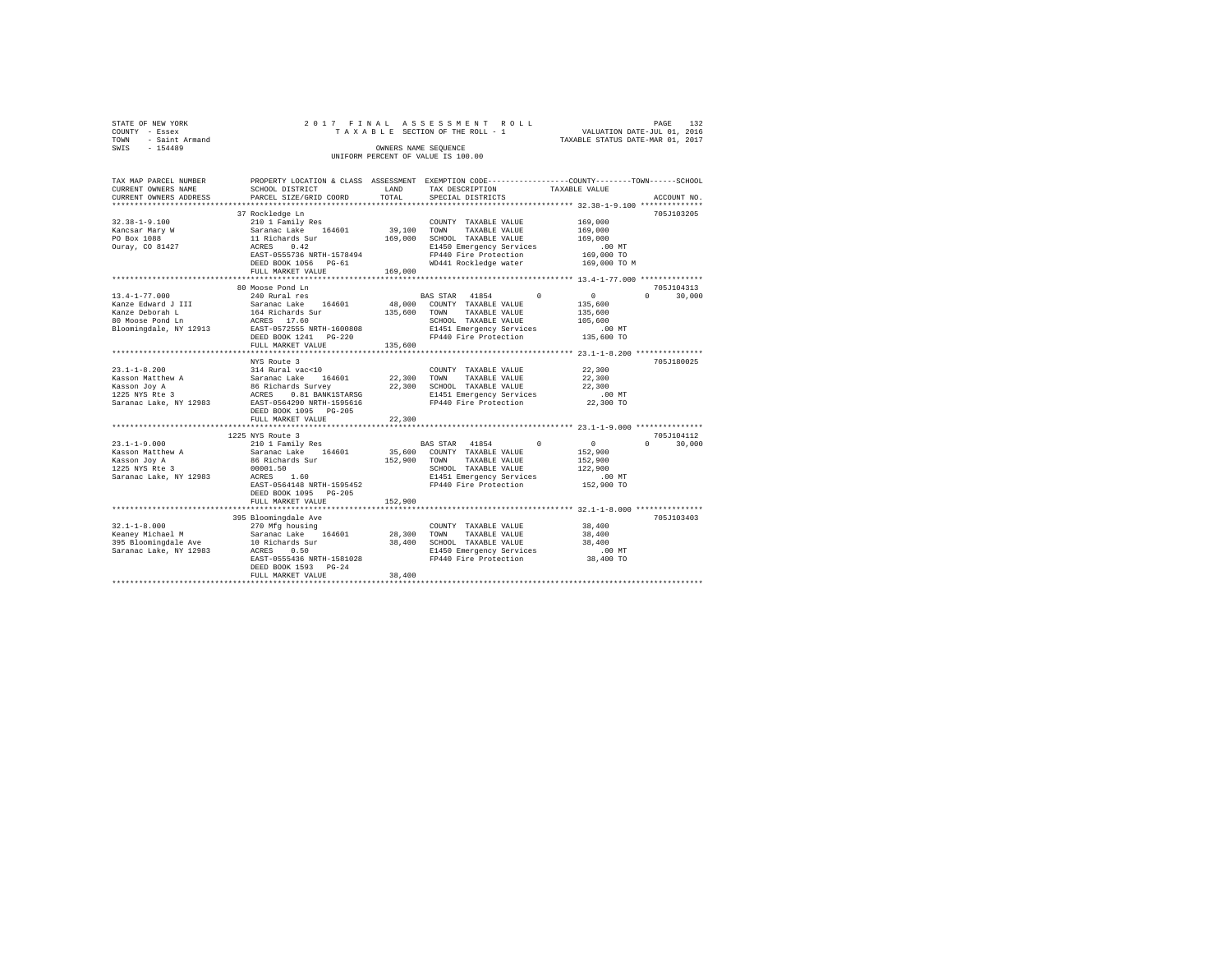| STATE OF NEW YORK   |  |  | 2017 FINAL ASSESSMENT ROLL         |  |                                  | PAGE | 132 |
|---------------------|--|--|------------------------------------|--|----------------------------------|------|-----|
| COUNTY - Essex      |  |  | TAXABLE SECTION OF THE ROLL - 1    |  | VALUATION DATE-JUL 01, 2016      |      |     |
| TOWN - Saint Armand |  |  |                                    |  | TAXABLE STATUS DATE-MAR 01, 2017 |      |     |
| SWIS<br>$-154489$   |  |  | OWNERS NAME SEOUENCE               |  |                                  |      |     |
|                     |  |  | UNIFORM PERCENT OF VALUE IS 100.00 |  |                                  |      |     |
|                     |  |  |                                    |  |                                  |      |     |

| TAX MAP PARCEL NUMBER  |                                                                  |         | PROPERTY LOCATION & CLASS ASSESSMENT EXEMPTION CODE---------------COUNTY------TOWN-----SCHOOL |                                  |
|------------------------|------------------------------------------------------------------|---------|-----------------------------------------------------------------------------------------------|----------------------------------|
| CURRENT OWNERS NAME    | SCHOOL DISTRICT                                                  | LAND    | TAX DESCRIPTION                                                                               | TAXABLE VALUE                    |
| CURRENT OWNERS ADDRESS | PARCEL SIZE/GRID COORD                                           | TOTAL   | SPECIAL DISTRICTS                                                                             | ACCOUNT NO.                      |
|                        |                                                                  |         |                                                                                               |                                  |
|                        | 37 Rockledge Ln                                                  |         |                                                                                               | 705J103205                       |
| $32.38 - 1 - 9.100$    | 210 1 Family Res                                                 |         | COUNTY TAXABLE VALUE                                                                          | 169,000                          |
| Kancsar Mary W         | Saranac Lake 164601                                              | 39,100  | TOWN<br>TAXABLE VALUE                                                                         | 169,000                          |
| PO Box 1088            | 11 Richards Sur                                                  | 169,000 | SCHOOL TAXABLE VALUE                                                                          | 169,000                          |
| Ourav, CO 81427        | 0.42<br>ACRES                                                    |         | E1450 Emergency Services                                                                      | .00 MT                           |
|                        | EAST-0555736 NRTH-1578494                                        |         | FP440 Fire Protection                                                                         | 169,000 TO                       |
|                        | DEED BOOK 1056 PG-61                                             |         | WD441 Rockledge water                                                                         | 169,000 TO M                     |
|                        |                                                                  | 169,000 |                                                                                               |                                  |
|                        | FULL MARKET VALUE                                                |         |                                                                                               |                                  |
|                        |                                                                  |         |                                                                                               |                                  |
|                        | 80 Moose Pond Ln                                                 |         |                                                                                               | 705J104313                       |
| $13.4 - 1 - 77.000$    | 240 Rural res                                                    |         | BAS STAR 41854<br>$\Omega$                                                                    | $\mathbf{0}$<br>$\cap$<br>30,000 |
| Kanze Edward J III     | Saranac Lake 164601                                              |         | 48,000 COUNTY TAXABLE VALUE                                                                   | 135,600                          |
| Kanze Deborah L        | 164 Richards Sur                                                 | 135,600 | TOWN<br>TAXABLE VALUE                                                                         | 135,600                          |
| 80 Moose Pond Ln       | ACRES 17.60                                                      |         | SCHOOL TAXABLE VALUE                                                                          | 105,600                          |
| Bloomingdale, NY 12913 | EAST-0572555 NRTH-1600808                                        |         | E1451 Emergency Services                                                                      | $.00$ MT                         |
|                        | DEED BOOK 1241    PG-220                                         |         | FP440 Fire Protection                                                                         | 135,600 TO                       |
|                        | FULL MARKET VALUE                                                | 135,600 |                                                                                               |                                  |
|                        |                                                                  |         |                                                                                               |                                  |
|                        | NYS Route 3                                                      |         |                                                                                               | 705J180025                       |
| $23.1 - 1 - 8.200$     | 314 Rural vac<10                                                 |         | COUNTY TAXABLE VALUE                                                                          | 22,300                           |
| Kasson Matthew A       | Saranac Lake<br>164601                                           | 22,300  | TOWN<br>TAXABLE VALUE                                                                         | 22,300                           |
| Kasson Joy A           |                                                                  | 22,300  | SCHOOL TAXABLE VALUE                                                                          | 22,300                           |
| 1225 NYS Rte 3         | 86 Richards Survey<br>ACRES    0.81 BANK1STA<br>0.81 BANK1STARSG |         | E1451 Emergency Services                                                                      | $.00$ MT                         |
| Saranac Lake, NY 12983 | EAST-0564290 NRTH-1595616                                        |         | FP440 Fire Protection                                                                         | 22,300 TO                        |
|                        | DEED BOOK 1095 PG-205                                            |         |                                                                                               |                                  |
|                        |                                                                  |         |                                                                                               |                                  |
|                        | FULL MARKET VALUE                                                | 22,300  |                                                                                               |                                  |
|                        |                                                                  |         |                                                                                               |                                  |
|                        | 1225 NYS Route 3                                                 |         |                                                                                               | 705J104112                       |
| $23.1 - 1 - 9.000$     | 210 1 Family Res                                                 |         | BAS STAR 41854 0                                                                              | $\sim$ 0<br>$\Omega$<br>30,000   |
| Kasson Matthew A       | Saranac Lake 164601                                              |         | 35,600 COUNTY TAXABLE VALUE                                                                   | 152,900                          |
| Kasson Joy A           | 86 Richards Sur                                                  | 152,900 | TOWN<br>TAXABLE VALUE                                                                         | 152,900                          |
| 1225 NYS Rte 3         | 00001.50                                                         |         | SCHOOL TAXABLE VALUE                                                                          | 122,900                          |
| Saranac Lake, NY 12983 | 1.60<br>ACRES                                                    |         | E1451 Emergency Services                                                                      | $.00$ MT                         |
|                        | EAST-0564148 NRTH-1595452                                        |         | FP440 Fire Protection                                                                         | 152,900 TO                       |
|                        | DEED BOOK 1095 PG-205                                            |         |                                                                                               |                                  |
|                        | FULL MARKET VALUE                                                | 152,900 |                                                                                               |                                  |
|                        |                                                                  |         |                                                                                               |                                  |
|                        | 395 Bloomingdale Ave                                             |         |                                                                                               | 705J103403                       |
| $32.1 - 1 - 8.000$     | 270 Mfg housing                                                  |         | COUNTY TAXABLE VALUE                                                                          | 38,400                           |
| Keaney Michael M       | 164601<br>Saranac Lake                                           | 28,300  | TOWN<br>TAXABLE VALUE                                                                         | 38,400                           |
| 395 Bloomingdale Ave   | 10 Richards Sur                                                  | 38,400  | SCHOOL TAXABLE VALUE                                                                          | 38,400                           |
| Saranac Lake, NY 12983 |                                                                  |         | E1450 Emergency Services                                                                      |                                  |
|                        | ACRES<br>0.50<br>EAST-0555436 NRTH-1581028                       |         | FP440 Fire Protection                                                                         | $.00$ MT<br>38,400 TO            |
|                        |                                                                  |         |                                                                                               |                                  |
|                        | DEED BOOK 1593 PG-24                                             |         |                                                                                               |                                  |
|                        | FULL MARKET VALUE                                                | 38,400  |                                                                                               |                                  |
|                        |                                                                  |         |                                                                                               |                                  |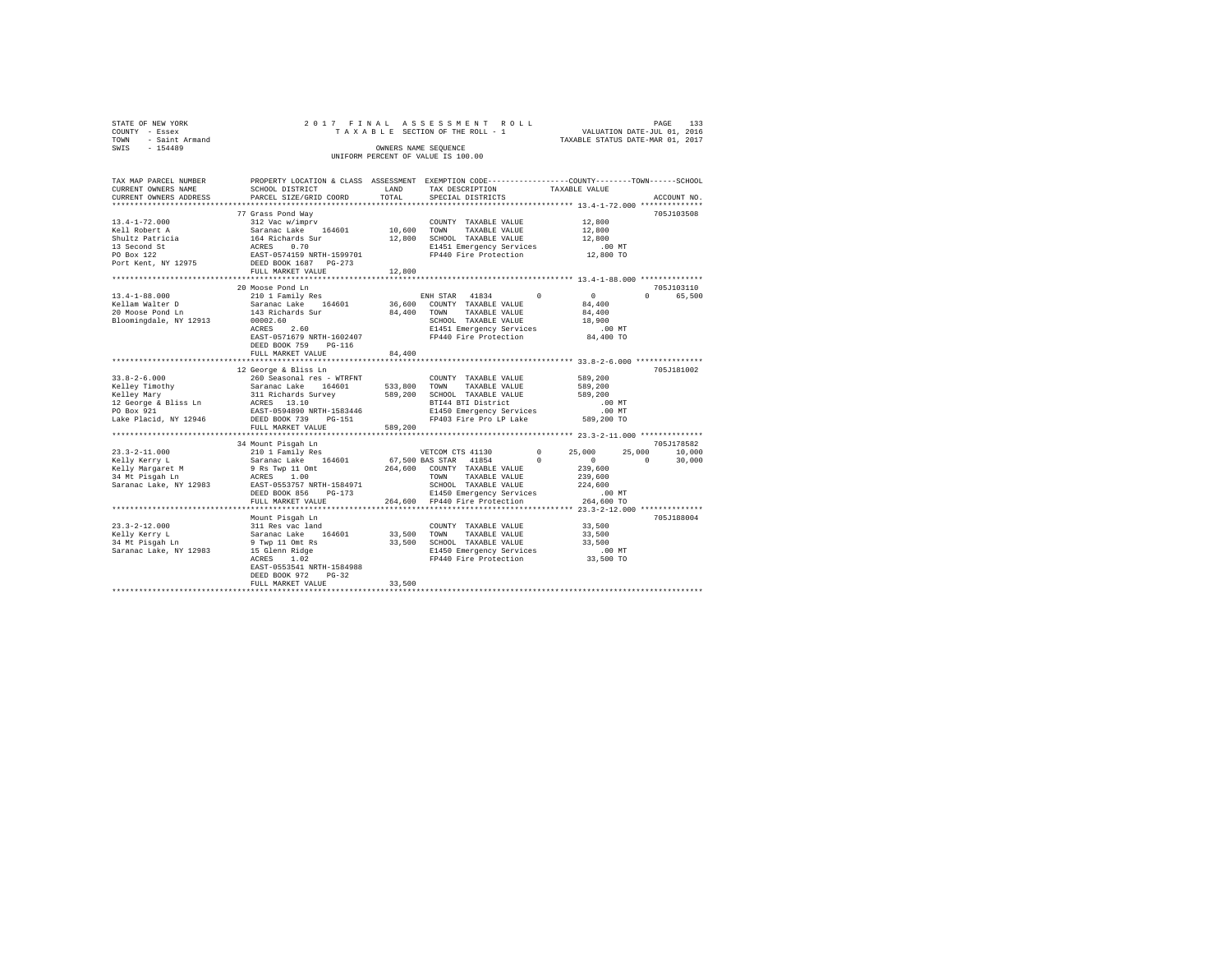| STATE OF NEW YORK      |  |  | 2017 FINAL ASSESSMENT ROLL         |                                  | PAGE | 133 |
|------------------------|--|--|------------------------------------|----------------------------------|------|-----|
| COUNTY - Essex         |  |  | TAXABLE SECTION OF THE ROLL - 1    | VALUATION DATE-JUL 01, 2016      |      |     |
| - Saint Armand<br>TOWN |  |  |                                    | TAXABLE STATUS DATE-MAR 01, 2017 |      |     |
| SWIS<br>$-154489$      |  |  | OWNERS NAME SEOUENCE               |                                  |      |     |
|                        |  |  | UNIFORM PERCENT OF VALUE IS 100.00 |                                  |      |     |

| TAX MAP PARCEL NUMBER<br>CURRENT OWNERS NAME | PROPERTY LOCATION & CLASS ASSESSMENT EXEMPTION CODE----------------COUNTY-------TOWN------SCHOOL<br>SCHOOL DISTRICT | LAND        | TAX DESCRIPTION                                             |               | TAXABLE VALUE    |                    |
|----------------------------------------------|---------------------------------------------------------------------------------------------------------------------|-------------|-------------------------------------------------------------|---------------|------------------|--------------------|
| CURRENT OWNERS ADDRESS                       | PARCEL SIZE/GRID COORD                                                                                              | TOTAL       | SPECIAL DISTRICTS                                           |               |                  | ACCOUNT NO.        |
|                                              |                                                                                                                     |             |                                                             |               |                  |                    |
|                                              | 77 Grass Pond Way                                                                                                   |             |                                                             |               |                  | 705J103508         |
| $13.4 - 1 - 72.000$                          |                                                                                                                     |             | COUNTY TAXABLE VALUE                                        |               | 12,800<br>12,800 |                    |
| Kell Robert A                                |                                                                                                                     | 10,600 TOWN | TAXABLE VALUE                                               |               |                  |                    |
| Shultz Patricia                              |                                                                                                                     |             | 12,800 SCHOOL TAXABLE VALUE                                 |               | 12,800           |                    |
| 13 Second St                                 |                                                                                                                     |             | E1451 Emergency Services                                    |               | .00 MT           |                    |
| PO Box 122                                   |                                                                                                                     |             | FP440 Fire Protection                                       |               | 12,800 TO        |                    |
| Port Kent, NY 12975                          |                                                                                                                     |             |                                                             |               |                  |                    |
|                                              | FULL MARKET VALUE                                                                                                   | 12,800      |                                                             |               |                  |                    |
|                                              |                                                                                                                     |             |                                                             |               |                  |                    |
|                                              | 20 Moose Pond Ln                                                                                                    |             |                                                             |               |                  | 705J103110         |
| $13.4 - 1 - 88.000$                          | 210 1 Family Res                                                                                                    |             | ENH STAR 41834 0                                            |               | $\sim$ 0         | $\Omega$<br>65,500 |
| Kellam Walter D                              | Saranac Lake 164601                                                                                                 |             | 36,600 COUNTY TAXABLE VALUE                                 |               | 84,400           |                    |
| 20 Moose Pond Ln                             | 143 Richards Sur                                                                                                    | 84,400      | TOWN<br>TAXABLE VALUE                                       |               | 84,400           |                    |
| Bloomingdale, NY 12913                       | 00002.60                                                                                                            |             | SCHOOL TAXABLE VALUE                                        |               | 18,900           |                    |
|                                              | ACRES<br>2.60                                                                                                       |             | E1451 Emergency Services                                    |               | $.00$ MT         |                    |
|                                              | EAST-0571679 NRTH-1602407                                                                                           |             | FP440 Fire Protection                                       |               | 84,400 TO        |                    |
|                                              | DEED BOOK 759<br>$PG-116$                                                                                           |             |                                                             |               |                  |                    |
|                                              | FULL MARKET VALUE                                                                                                   | 84,400      |                                                             |               |                  |                    |
|                                              |                                                                                                                     |             |                                                             |               |                  |                    |
|                                              | 12 George & Bliss Ln                                                                                                |             |                                                             |               |                  | 705J181002         |
|                                              |                                                                                                                     |             |                                                             |               | 589,200          |                    |
|                                              |                                                                                                                     |             |                                                             |               | 589,200          |                    |
|                                              |                                                                                                                     |             |                                                             |               | 589,200          |                    |
|                                              |                                                                                                                     |             |                                                             | $\mathcal{L}$ | .00 MT           |                    |
|                                              |                                                                                                                     |             | E1450 Emergency Services                                    |               | $.00$ MT         |                    |
| Lake Placid, NY 12946                        | DEED BOOK 739 PG-151                                                                                                |             | FP403 Fire Pro LP Lake 589,200 TO                           |               |                  |                    |
|                                              | FULL MARKET VALUE                                                                                                   | 589,200     |                                                             |               |                  |                    |
|                                              |                                                                                                                     |             |                                                             |               |                  |                    |
|                                              | 34 Mount Pisqah Ln                                                                                                  |             |                                                             |               |                  | 705J178582         |
| $23.3 - 2 - 11.000$                          | 210 1 Family Res<br>Saranac Lake 164601                                                                             |             | VETCOM CTS 41130                                            | $^{\circ}$    | 25,000<br>25,000 | 10,000             |
| Kelly Kerry L                                |                                                                                                                     |             | 67,500 BAS STAR 41854                                       | $\sim$ 0      | $\sim$ 0         | 30,000<br>$\Omega$ |
| Kelly Margaret M                             | 9 Rs Twp 11 Omt<br>ACRES 1.00                                                                                       |             | 264,600 COUNTY TAXABLE VALUE                                |               | 239,600          |                    |
| 34 Mt Pisgah Ln                              |                                                                                                                     |             | TOWN<br>TAXABLE VALUE                                       |               | 239,600          |                    |
|                                              | Saranac Lake, NY 12983 EAST-0553757 NRTH-1584971                                                                    |             | SCHOOL TAXABLE VALUE                                        |               | 224,600          |                    |
|                                              | DEED BOOK 856<br>$PG-173$                                                                                           |             | E1450 Emergency Services                                    |               | $.00$ MT         |                    |
|                                              | FULL MARKET VALUE<br>*************************                                                                      |             | 264,600 FP440 Fire Protection                               |               | 264,600 TO       |                    |
|                                              |                                                                                                                     |             |                                                             |               |                  |                    |
|                                              | Mount Pisgah Ln<br>311 Res vac land                                                                                 |             |                                                             |               |                  | 705J188004         |
| $23.3 - 2 - 12.000$                          |                                                                                                                     |             | COUNTY TAXABLE VALUE 33,500                                 |               |                  |                    |
| Kelly Kerry L                                | Saranac Lake 164601                                                                                                 |             | 33,500 TOWN<br>TAXABLE VALUE                                |               | 33,500           |                    |
| 34 Mt Pisgah Ln                              | 9 Twp 11 Omt Rs                                                                                                     |             | 33,500 SCHOOL TAXABLE VALUE                                 |               | 33,500           |                    |
| Saranac Lake, NY 12983                       | $15$ Glenn Ridge                                                                                                    |             | E1450 Emergency Services<br>FP440 Fire Protection 33,500 TO |               | $.00$ MT         |                    |
|                                              |                                                                                                                     |             |                                                             |               |                  |                    |
|                                              | EAST-0553541 NRTH-1584988                                                                                           |             |                                                             |               |                  |                    |
|                                              | DEED BOOK 972<br>$PG-32$                                                                                            |             |                                                             |               |                  |                    |
|                                              | FULL MARKET VALUE                                                                                                   | 33,500      |                                                             |               |                  |                    |
|                                              |                                                                                                                     |             |                                                             |               |                  |                    |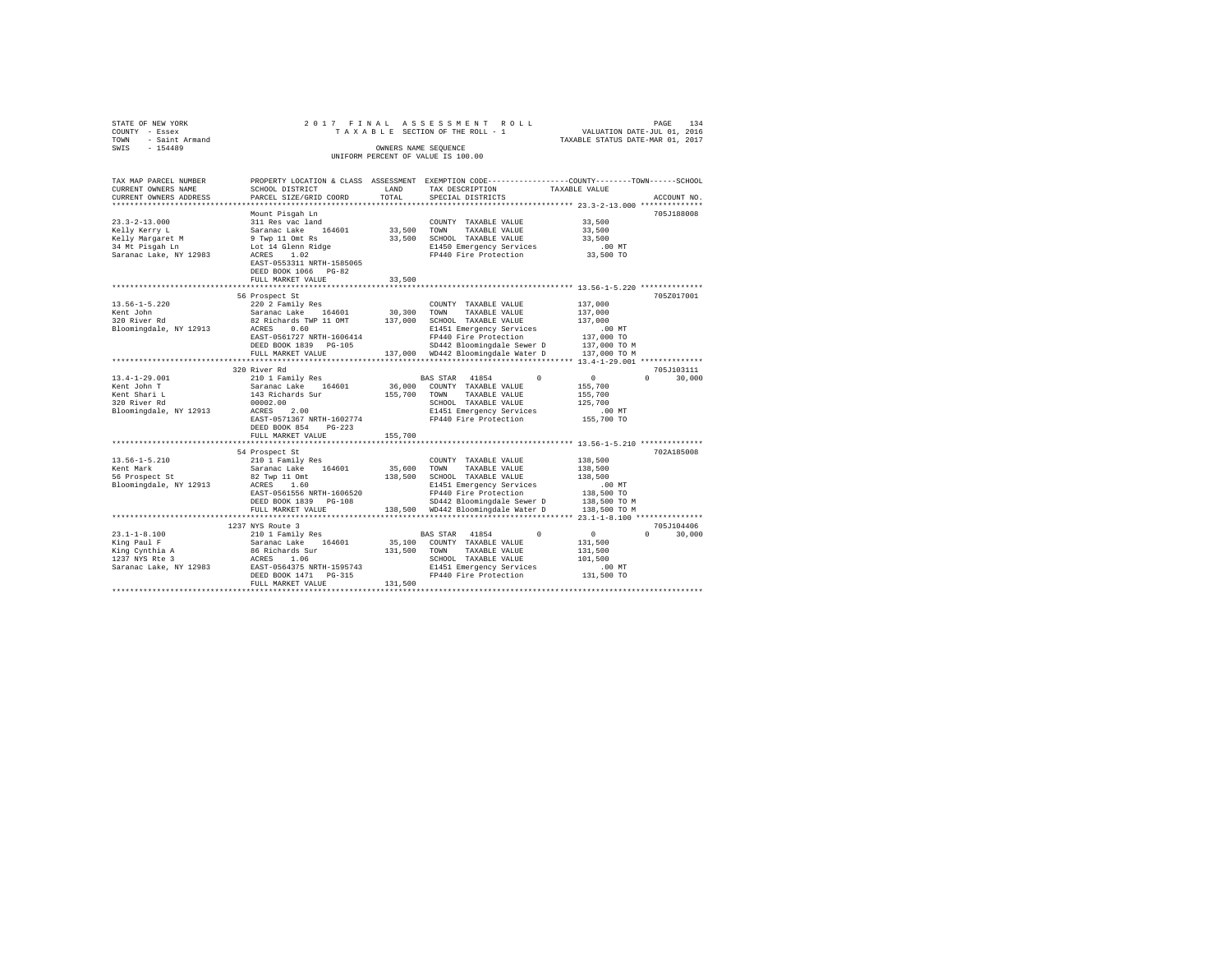| STATE OF NEW YORK           |                                                                                                                                                                                                        |              | 2017 FINAL ASSESSMENT ROLL                                                                                                                                                                                                                    |                                                                             |                                 |
|-----------------------------|--------------------------------------------------------------------------------------------------------------------------------------------------------------------------------------------------------|--------------|-----------------------------------------------------------------------------------------------------------------------------------------------------------------------------------------------------------------------------------------------|-----------------------------------------------------------------------------|---------------------------------|
| COUNTY - Essex              |                                                                                                                                                                                                        |              | TAXABLE SECTION OF THE ROLL - 1                                                                                                                                                                                                               | PAGE 134<br>VALUATION DATE-JUL 01, 2016<br>TAXABLE STATUS DATE-MAR 01, 2017 |                                 |
| TOWN - Saint Armand         |                                                                                                                                                                                                        |              |                                                                                                                                                                                                                                               |                                                                             |                                 |
| SWIS<br>$-154489$           |                                                                                                                                                                                                        |              | OWNERS NAME SEOUENCE                                                                                                                                                                                                                          |                                                                             |                                 |
|                             |                                                                                                                                                                                                        |              | UNIFORM PERCENT OF VALUE IS 100.00                                                                                                                                                                                                            |                                                                             |                                 |
|                             |                                                                                                                                                                                                        |              |                                                                                                                                                                                                                                               |                                                                             |                                 |
| TAX MAP PARCEL NUMBER       |                                                                                                                                                                                                        |              | PROPERTY LOCATION & CLASS ASSESSMENT EXEMPTION CODE---------------COUNTY-------TOWN-----SCHOOL                                                                                                                                                |                                                                             |                                 |
| CURRENT OWNERS NAME         | SCHOOL DISTRICT                                                                                                                                                                                        | LAND         | TAX DESCRIPTION                                                                                                                                                                                                                               | TAXABLE VALUE                                                               |                                 |
| CURRENT OWNERS ADDRESS      | PARCEL SIZE/GRID COORD                                                                                                                                                                                 | TOTAL        | SPECIAL DISTRICTS                                                                                                                                                                                                                             |                                                                             | ACCOUNT NO.                     |
| ***********************     |                                                                                                                                                                                                        |              |                                                                                                                                                                                                                                               |                                                                             |                                 |
|                             | Mount Pisgah Ln                                                                                                                                                                                        |              |                                                                                                                                                                                                                                               |                                                                             | 705J188008                      |
| $23.3 - 2 - 13.000$         | 311 Res vac land                                                                                                                                                                                       |              | COUNTY TAXABLE VALUE                                                                                                                                                                                                                          | 33,500                                                                      |                                 |
| Kelly Kerry L               |                                                                                                                                                                                                        | 33,500 TOWN  | TAXABLE VALUE                                                                                                                                                                                                                                 | 33,500                                                                      |                                 |
| Kelly Margaret M            | Saranac Lake 164601<br>9 Twp 11 Omt Rs                                                                                                                                                                 |              | 33,500 SCHOOL TAXABLE VALUE                                                                                                                                                                                                                   | 33,500                                                                      |                                 |
| 34 Mt Pisgah Ln             | Lot 14 Glenn Ridge<br>ACRES 1.02                                                                                                                                                                       |              |                                                                                                                                                                                                                                               | $.00$ MT                                                                    |                                 |
| Saranac Lake, NY 12983      | ACRES 1.02                                                                                                                                                                                             |              | E1450 Emergency Services<br>FP440 Fire Protection                                                                                                                                                                                             | 33,500 TO                                                                   |                                 |
|                             | EAST-0553311 NRTH-1585065                                                                                                                                                                              |              |                                                                                                                                                                                                                                               |                                                                             |                                 |
|                             | DEED BOOK 1066 PG-82                                                                                                                                                                                   |              |                                                                                                                                                                                                                                               |                                                                             |                                 |
|                             | FULL MARKET VALUE                                                                                                                                                                                      | 33,500       |                                                                                                                                                                                                                                               |                                                                             |                                 |
|                             |                                                                                                                                                                                                        |              | ********************************** 13.56-1-5.220 ***************                                                                                                                                                                              |                                                                             |                                 |
|                             | 56 Prospect St                                                                                                                                                                                         |              |                                                                                                                                                                                                                                               |                                                                             | 705Z017001                      |
| $13.56 - 1 - 5.220$         | 220 2 Family Res                                                                                                                                                                                       |              | COUNTY TAXABLE VALUE                                                                                                                                                                                                                          | 137,000                                                                     |                                 |
| Kent John                   |                                                                                                                                                                                                        |              | TAXABLE VALUE                                                                                                                                                                                                                                 | 137,000                                                                     |                                 |
| Rent John<br>320 River Rd   | Saranac Lake 164601 30,300 TOWN TAXABLE VALUE<br>82 Richards TWP 11 OMT 137,000 SCHOOL TAXABLE VALUE                                                                                                   |              |                                                                                                                                                                                                                                               | 137,000                                                                     |                                 |
| Bloomingdale, NY 12913      |                                                                                                                                                                                                        |              | 82 Richards PM (1991)<br>ACRES 0.60<br>EAST-0561727 NRTH-1606414<br>PP440 Fire Protection<br>PP440 Fire Protection<br>PP440 Holomingdale Sewer D 137,000 TO M<br>PP440 Richard Sewer D 137,000 TO M<br>PP440 Richard Sewer D 137,000 TO M<br> |                                                                             |                                 |
|                             |                                                                                                                                                                                                        |              |                                                                                                                                                                                                                                               |                                                                             |                                 |
|                             |                                                                                                                                                                                                        |              |                                                                                                                                                                                                                                               |                                                                             |                                 |
|                             |                                                                                                                                                                                                        |              |                                                                                                                                                                                                                                               |                                                                             |                                 |
|                             |                                                                                                                                                                                                        |              |                                                                                                                                                                                                                                               |                                                                             |                                 |
|                             | 320 River Rd                                                                                                                                                                                           |              |                                                                                                                                                                                                                                               |                                                                             | 705J103111                      |
| $13.4 - 1 - 29.001$         | 210 1 Family Res                                                                                                                                                                                       |              | BAS STAR 41854                                                                                                                                                                                                                                | $\begin{array}{ccc} & & & 0 & \end{array}$                                  | 30,000<br>$\Omega$ and $\Omega$ |
| Kent John T                 | Saranac Lake 164601                                                                                                                                                                                    |              | 36,000 COUNTY TAXABLE VALUE                                                                                                                                                                                                                   | 155,700                                                                     |                                 |
| Kent Shari L                | 143 Richards Sur                                                                                                                                                                                       | 155,700 TOWN | TAXABLE VALUE                                                                                                                                                                                                                                 | 155,700<br>125,700                                                          |                                 |
| 320 River Rd                | 00002.00                                                                                                                                                                                               |              | SCHOOL TAXABLE VALUE                                                                                                                                                                                                                          |                                                                             |                                 |
| Bloomingdale, NY 12913      | ACRES 2.00                                                                                                                                                                                             |              |                                                                                                                                                                                                                                               |                                                                             |                                 |
|                             | EAST-0571367 NRTH-1602774                                                                                                                                                                              |              | E1451 Emergency Services .00 MT<br>FP440 Fire Protection .055,700 TO                                                                                                                                                                          |                                                                             |                                 |
|                             | DEED BOOK 854<br>$PG-223$                                                                                                                                                                              |              |                                                                                                                                                                                                                                               |                                                                             |                                 |
|                             | FULL MARKET VALUE                                                                                                                                                                                      | 155,700      |                                                                                                                                                                                                                                               |                                                                             |                                 |
|                             | *******************************                                                                                                                                                                        |              |                                                                                                                                                                                                                                               |                                                                             |                                 |
|                             | 54 Prospect St                                                                                                                                                                                         |              |                                                                                                                                                                                                                                               |                                                                             | 702A185008                      |
| $13.56 - 1 - 5.210$         | 210 1 Family Res                                                                                                                                                                                       |              | COUNTY TAXABLE VALUE                                                                                                                                                                                                                          | 138,500                                                                     |                                 |
| Kent Mark                   | Saranac Lake 164601                                                                                                                                                                                    |              | 35,600 TOWN TAXABLE VALUE                                                                                                                                                                                                                     | 138,500                                                                     |                                 |
| 56 Prospect St              | 82 Twp 11 Omt<br>ACRES 1.60                                                                                                                                                                            |              | 138,500 SCHOOL TAXABLE VALUE                                                                                                                                                                                                                  | 138,500                                                                     |                                 |
| Bloomingdale, NY 12913      | ACRES 1.60                                                                                                                                                                                             |              | E1451 Emergency Services                                                                                                                                                                                                                      | $.00$ MT                                                                    |                                 |
|                             | EAST-0561556 NRTH-1606520                                                                                                                                                                              |              | FP440 Fire Protection                                                                                                                                                                                                                         | 138,500 TO                                                                  |                                 |
|                             | DEED BOOK 1839 PG-108                                                                                                                                                                                  |              | SD442 Bloomingdale Sewer D                                                                                                                                                                                                                    | 138,500 TO M<br>138,500 TO M                                                |                                 |
|                             | FULL MARKET VALUE                                                                                                                                                                                      |              | 138,500 WD442 Bloomingdale Water D                                                                                                                                                                                                            |                                                                             |                                 |
|                             |                                                                                                                                                                                                        |              |                                                                                                                                                                                                                                               |                                                                             |                                 |
|                             | 1237 NYS Route 3                                                                                                                                                                                       |              |                                                                                                                                                                                                                                               |                                                                             | 705J104406                      |
| 23.1-1-8.100<br>King Paul F | 210 1 Family Res<br>23.1-1-8.100<br>Xing Paul F<br>Xing Cynthia A 382 and 2018<br>Saranac Lake 164601<br>1237 NYS RE 3 ACRES<br>2027 ACRES 1.06<br>Saranac Lake, NY 12983<br>RAST-0564375 NRTH-1595743 |              | BAS STAR 41854<br>$\Omega$                                                                                                                                                                                                                    | $\sim$ 0 $\sim$                                                             | $0 \t 30,000$                   |
|                             |                                                                                                                                                                                                        |              | 35,100 COUNTY TAXABLE VALUE                                                                                                                                                                                                                   | 131,500                                                                     |                                 |
|                             |                                                                                                                                                                                                        |              | 131,500 TOWN TAXABLE VALUE                                                                                                                                                                                                                    | 131,500<br>101,500                                                          |                                 |
|                             |                                                                                                                                                                                                        |              | SCHOOL TAXABLE VALUE                                                                                                                                                                                                                          |                                                                             |                                 |
|                             | DEED BOOK 1471    PG-315                                                                                                                                                                               |              | E1451 Emergency Services<br>FP440 Fire Protection                                                                                                                                                                                             | .00 MT<br>131,500 TO                                                        |                                 |
|                             | FULL MARKET VALUE                                                                                                                                                                                      | 131,500      |                                                                                                                                                                                                                                               |                                                                             |                                 |
|                             |                                                                                                                                                                                                        |              |                                                                                                                                                                                                                                               |                                                                             |                                 |
|                             |                                                                                                                                                                                                        |              |                                                                                                                                                                                                                                               |                                                                             |                                 |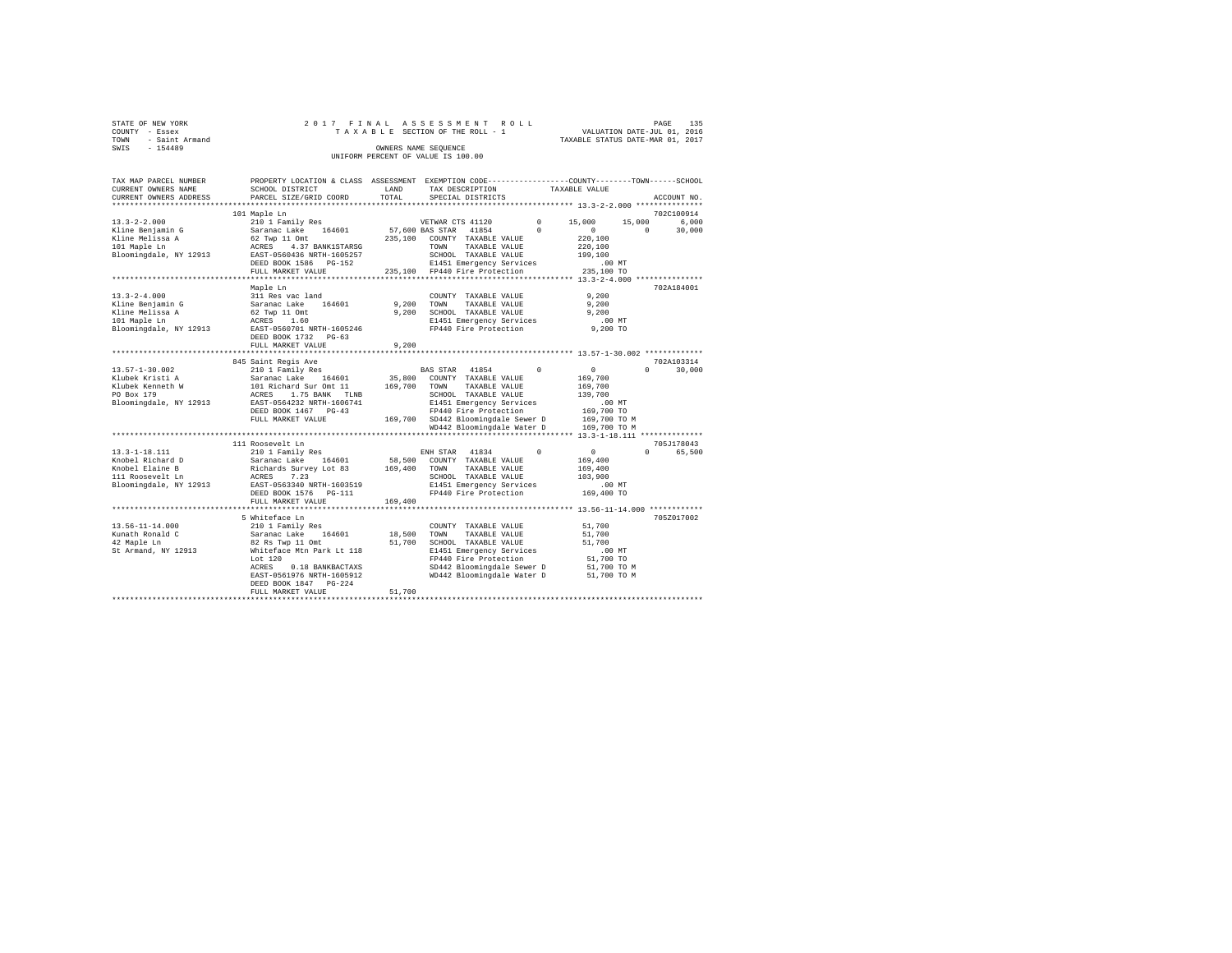| STATE OF NEW YORK   |  |  | 2017 FINAL ASSESSMENT ROLL         |                                  | PAGE | 135 |
|---------------------|--|--|------------------------------------|----------------------------------|------|-----|
| COUNTY - Essex      |  |  | TAXABLE SECTION OF THE ROLL - 1    | VALUATION DATE-JUL 01, 2016      |      |     |
| TOWN - Saint Armand |  |  |                                    | TAXABLE STATUS DATE-MAR 01, 2017 |      |     |
| SWIS<br>$-154489$   |  |  | OWNERS NAME SEOUENCE               |                                  |      |     |
|                     |  |  | UNIFORM PERCENT OF VALUE IS 100.00 |                                  |      |     |
|                     |  |  |                                    |                                  |      |     |

| TAX MAP PARCEL NUMBER  | PROPERTY LOCATION & CLASS ASSESSMENT                                                               |         | EXEMPTION CODE-----------------COUNTY-------TOWN------SCHOOL      |            |                  |                      |
|------------------------|----------------------------------------------------------------------------------------------------|---------|-------------------------------------------------------------------|------------|------------------|----------------------|
| CURRENT OWNERS NAME    | SCHOOL DISTRICT                                                                                    | LAND    | TAX DESCRIPTION                                                   |            | TAXABLE VALUE    |                      |
| CURRENT OWNERS ADDRESS | PARCEL SIZE/GRID COORD                                                                             | TOTAL   | SPECIAL DISTRICTS                                                 |            |                  | ACCOUNT NO.          |
|                        |                                                                                                    |         |                                                                   |            |                  |                      |
|                        | 101 Maple Ln                                                                                       |         |                                                                   |            |                  | 702C100914           |
| $13.3 - 2 - 2.000$     | 210 1 Family Res                                                                                   |         | VETWAR CTS 41120                                                  | $^{\circ}$ | 15,000<br>15,000 | 6,000                |
| Kline Benjamin G       | Saranac Lake<br>164601                                                                             |         | 57,600 BAS STAR 41854                                             | $\Omega$   | $^{\circ}$       | $^{\circ}$<br>30,000 |
| Kline Melissa A        | 62 Twp 11 Omt                                                                                      | 235,100 | COUNTY TAXABLE VALUE                                              |            | 220,100          |                      |
| 101 Maple Ln           | ACRES<br>4.37 BANK1STARSG                                                                          |         | TOWN<br>TAXABLE VALUE                                             |            | 220,100          |                      |
| Bloomingdale, NY 12913 | EAST-0560436 NRTH-1605257                                                                          |         | SCHOOL TAXABLE VALUE                                              |            | 199,100          |                      |
|                        | DEED BOOK 1586 PG-152                                                                              |         | E1451 Emergency Services                                          |            | .00MT            |                      |
|                        | FULL MARKET VALUE                                                                                  |         | 235,100 FP440 Fire Protection                                     |            | 235,100 TO       |                      |
|                        |                                                                                                    |         |                                                                   |            |                  |                      |
|                        | Maple Ln                                                                                           |         |                                                                   |            |                  | 702A184001           |
| $13.3 - 2 - 4.000$     | 311 Res vac land                                                                                   |         | COUNTY TAXABLE VALUE                                              |            | 9,200            |                      |
| Kline Benjamin G       | Saranac Lake 164601                                                                                | 9,200   | TOWN<br>TAXABLE VALUE                                             |            | 9,200            |                      |
| Kline Melissa A        | 62 Twp 11 Omt                                                                                      | 9.200   | SCHOOL TAXABLE VALUE                                              |            | 9.200            |                      |
| 101 Maple Ln           | ACRES 1.60                                                                                         |         | E1451 Emergency Services                                          |            | $.00$ MT         |                      |
| Bloomingdale, NY 12913 | EAST-0560701 NRTH-1605246                                                                          |         | FP440 Fire Protection                                             |            | 9,200 TO         |                      |
|                        | DEED BOOK 1732 PG-63                                                                               |         |                                                                   |            |                  |                      |
|                        | FULL MARKET VALUE                                                                                  | 9,200   |                                                                   |            |                  |                      |
|                        |                                                                                                    |         |                                                                   |            |                  |                      |
|                        | 845 Saint Regis Ave                                                                                |         |                                                                   |            |                  | 702A103314           |
| $13.57 - 1 - 30.002$   | 210 1 Family Res                                                                                   |         | BAS STAR 41854                                                    | $\Omega$   | $\circ$          | 30,000<br>$\Omega$   |
| Klubek Kristi A        |                                                                                                    | 35,800  | COUNTY TAXABLE VALUE                                              |            | 169,700          |                      |
| Klubek Kenneth W       |                                                                                                    | 169,700 | TAXABLE VALUE<br>TOWN                                             |            | 169,700          |                      |
| PO Box 179             | Saranac Lake 164601<br>101 Richard Sur Omt 11<br>ACRES 1.75 BANK TLNB<br>EAST-0564232 NRTH-1606741 |         | SCHOOL TAXABLE VALUE                                              |            | 139,700          |                      |
| Bloomingdale, NY 12913 |                                                                                                    |         | E1451 Emergency Services                                          |            | .00MT            |                      |
|                        | DEED BOOK 1467 PG-43                                                                               |         | FP440 Fire Protection                                             |            | 169,700 TO       |                      |
|                        | FULL MARKET VALUE                                                                                  |         | 169,700 SD442 Bloomingdale Sewer D                                |            | 169,700 TO M     |                      |
|                        |                                                                                                    |         | WD442 Bloomingdale Water D                                        |            | 169,700 TO M     |                      |
|                        |                                                                                                    |         |                                                                   |            |                  |                      |
|                        | 111 Roosevelt Ln                                                                                   |         |                                                                   |            |                  | 705J178043           |
| $13.3 - 1 - 18.111$    | 210 1 Family Res                                                                                   |         | ENH STAR 41834                                                    | $^{\circ}$ | $\sim$ 0         | 65,500<br>$\Omega$   |
| Knobel Richard D       | Saranac Lake 164601                                                                                | 58,500  | COUNTY TAXABLE VALUE                                              |            | 169,400          |                      |
| Knobel Elaine B        |                                                                                                    | 169,400 | TAXABLE VALUE<br>TOWN                                             |            | 169,400          |                      |
| 111 Roosevelt Ln       | Richards Survey Lot 83<br>ACRES 7.23                                                               |         | SCHOOL TAXABLE VALUE                                              |            | 103,900          |                      |
| Bloomingdale, NY 12913 | EAST-0563340 NRTH-1603519                                                                          |         | E1451 Emergency Services                                          |            | $.00$ MT         |                      |
|                        | DEED BOOK 1576 PG-111                                                                              |         | FP440 Fire Protection                                             |            | 169,400 TO       |                      |
|                        | FULL MARKET VALUE                                                                                  | 169,400 |                                                                   |            |                  |                      |
|                        | ************************                                                                           |         | *********************************** 13.56-11-14.000 ************* |            |                  |                      |
|                        | 5 Whiteface Ln                                                                                     |         |                                                                   |            |                  | 705Z017002           |
| $13.56 - 11 - 14.000$  | 210 1 Family Res                                                                                   |         | COUNTY TAXABLE VALUE                                              |            | 51,700           |                      |
| Kunath Ronald C        | Saranac Lake<br>164601                                                                             | 18,500  | TOWN<br>TAXABLE VALUE                                             |            | 51,700           |                      |
| 42 Maple Ln            | 82 Rs Twp 11 Omt                                                                                   | 51,700  | SCHOOL TAXABLE VALUE                                              |            | 51,700           |                      |
| St Armand, NY 12913    | Whiteface Mtn Park Lt 118                                                                          |         | E1451 Emergency Services                                          |            | $.00$ MT         |                      |
|                        | Lot $120$                                                                                          |         | FP440 Fire Protection                                             |            | 51,700 TO        |                      |
|                        | ACRES<br>0.18 BANKBACTAXS                                                                          |         | SD442 Bloomingdale Sewer D                                        |            | 51,700 TO M      |                      |
|                        | EAST-0561976 NRTH-1605912                                                                          |         | WD442 Bloomingdale Water D                                        |            | 51,700 TO M      |                      |
|                        | DEED BOOK 1847 PG-224                                                                              |         |                                                                   |            |                  |                      |
|                        | FULL MARKET VALUE                                                                                  | 51,700  |                                                                   |            |                  |                      |
|                        |                                                                                                    |         |                                                                   |            |                  |                      |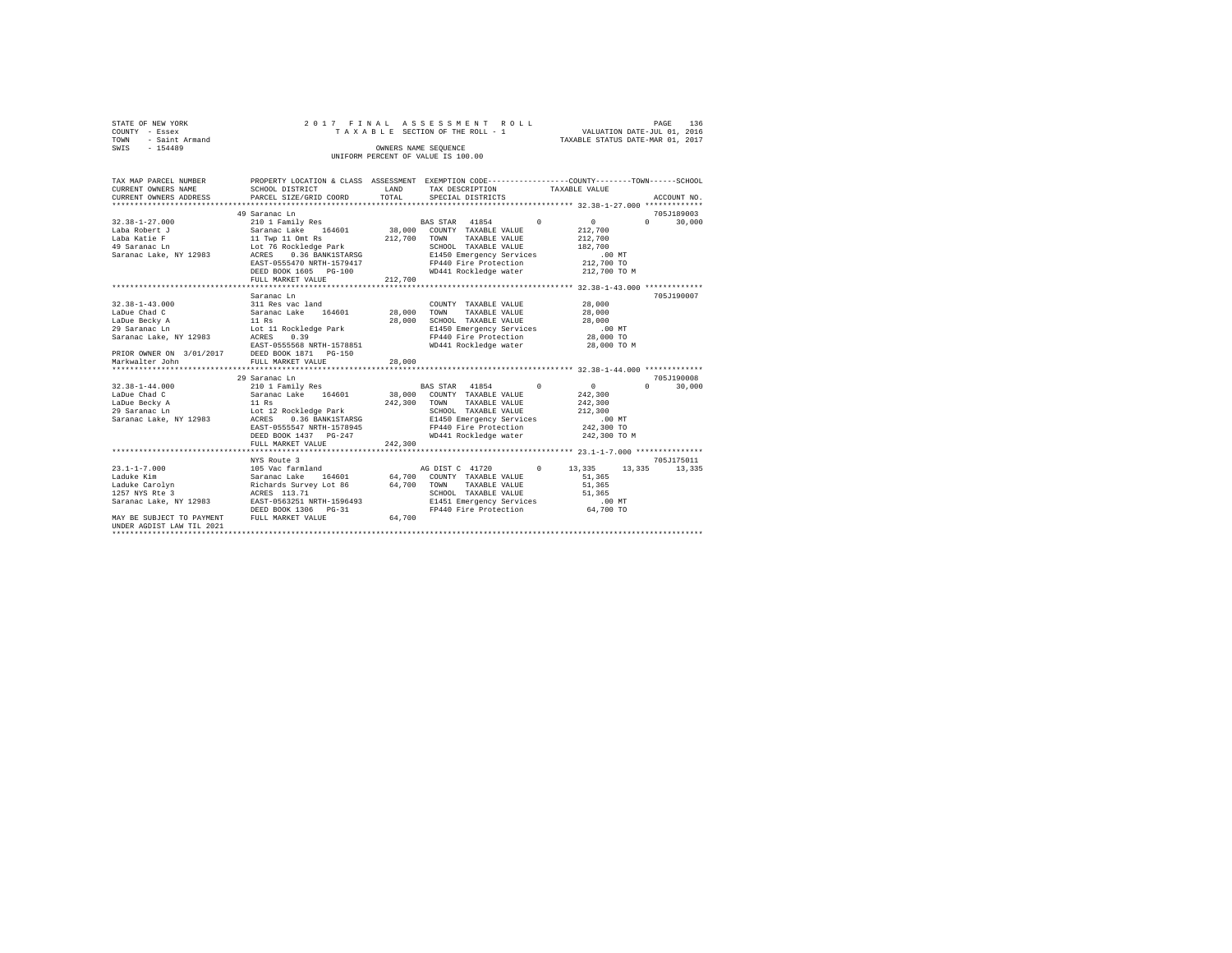|                | STATE OF NEW YORK | 2017 FINAL ASSESSMENT ROLL |  |  |                                    |  |  |  |  |                                  |                             | PAGE | 136 |
|----------------|-------------------|----------------------------|--|--|------------------------------------|--|--|--|--|----------------------------------|-----------------------------|------|-----|
| COUNTY - Essex |                   |                            |  |  | TAXABLE SECTION OF THE ROLL - 1    |  |  |  |  |                                  | VALUATION DATE-JUL 01, 2016 |      |     |
| TOWN           | - Saint Armand    |                            |  |  |                                    |  |  |  |  | TAXABLE STATUS DATE-MAR 01, 2017 |                             |      |     |
| SWIS           | $-154489$         |                            |  |  | OWNERS NAME SEOUENCE               |  |  |  |  |                                  |                             |      |     |
|                |                   |                            |  |  | UNIFORM PERCENT OF VALUE IS 100.00 |  |  |  |  |                                  |                             |      |     |

| TAX MAP PARCEL NUMBER<br>CURRENT OWNERS NAME<br>CURRENT OWNERS ADDRESS PARCEL SIZE/GRID COORD                                                                                               | PROPERTY LOCATION & CLASS ASSESSMENT EXEMPTION CODE---------------COUNTY-------TOWN------SCHOOL<br>SCHOOL DISTRICT | LAND<br>TOTAL         | TAX DESCRIPTION<br>SPECIAL DISTRICTS                               | TAXABLE VALUE |              |          | ACCOUNT NO.          |
|---------------------------------------------------------------------------------------------------------------------------------------------------------------------------------------------|--------------------------------------------------------------------------------------------------------------------|-----------------------|--------------------------------------------------------------------|---------------|--------------|----------|----------------------|
|                                                                                                                                                                                             |                                                                                                                    |                       |                                                                    |               |              |          |                      |
| $32.38 - 1 - 27.000$                                                                                                                                                                        | 49 Saranac Ln<br>210 1 Family Res                                                                                  |                       | BAS STAR 41854 0                                                   |               | $\sim$ 0     | $\Omega$ | 705J189003<br>30,000 |
| Laba Robert J               Saranac Lake     164601         38,000   COUNTY TAXABLE VALUE                                                                                                   |                                                                                                                    |                       |                                                                    |               | 212,700      |          |                      |
| Laba Katie F                                                                                                                                                                                | 11 Twp 11 Omt Rs 212,7<br>Lot 76 Rockledge Park 212,7                                                              | 212,700 TOWN          | TAXABLE VALUE                                                      |               | 212,700      |          |                      |
| 49 Saranac Ln                                                                                                                                                                               |                                                                                                                    |                       | SCHOOL TAXABLE VALUE                                               |               | 182,700      |          |                      |
| Saranac Lake, NY 12983 ACRES 0.36 BANK1STARSG                                                                                                                                               |                                                                                                                    |                       | E1450 Emergency Services                                           |               | .00 MT       |          |                      |
|                                                                                                                                                                                             | EAST-0555470 NRTH-1579417                                                                                          |                       | FP440 Fire Protection                                              |               | 212,700 TO   |          |                      |
|                                                                                                                                                                                             | DEED BOOK 1605 PG-100                                                                                              |                       | WD441 Rockledge water                                              |               | 212,700 TO M |          |                      |
|                                                                                                                                                                                             | FULL MARKET VALUE                                                                                                  | 212,700               |                                                                    |               |              |          |                      |
|                                                                                                                                                                                             | Saranac Ln                                                                                                         |                       |                                                                    |               |              |          | 705.T190007          |
| $32.38 - 1 - 43.000$                                                                                                                                                                        | 311 Res vac land                                                                                                   |                       | COUNTY TAXABLE VALUE                                               |               | 28,000       |          |                      |
| LaDue Chad C                                                                                                                                                                                | Saranac Lake 164601 28,000                                                                                         |                       | TOWN<br>TAXABLE VALUE                                              |               | 28,000       |          |                      |
| LaDue Becky A                                                                                                                                                                               |                                                                                                                    | 28,000                | SCHOOL TAXABLE VALUE                                               |               | 28,000       |          |                      |
| 29 Saranac Ln                                                                                                                                                                               |                                                                                                                    |                       | E1450 Emergency Services .00 MT<br>FP440 Fire Protection 28,000 TO |               |              |          |                      |
| Saranac Lake, NY 12983 ACRES                                                                                                                                                                | --<br>11 Rs<br>Lot 11 Rockledge Park<br>--- 0.39                                                                   |                       |                                                                    |               |              |          |                      |
| EAST-0555568 NRTH-1578851<br>PRIOR OWNER ON 3/01/2017 DEED BOOK 1871 PG-150                                                                                                                 |                                                                                                                    |                       | WD441 Rockledge water                                              |               | 28,000 TO M  |          |                      |
|                                                                                                                                                                                             |                                                                                                                    |                       |                                                                    |               |              |          |                      |
| Markwalter John                                                                                                                                                                             | FULL MARKET VALUE                                                                                                  | 28,000                |                                                                    |               |              |          |                      |
|                                                                                                                                                                                             |                                                                                                                    |                       |                                                                    |               |              |          |                      |
|                                                                                                                                                                                             | 29 Saranac Ln                                                                                                      |                       |                                                                    |               |              |          | 705.T190008          |
| $32.38 - 1 - 44.000$                                                                                                                                                                        | 210 1 Family Res                                                                                                   |                       | BAS STAR 41854 0                                                   |               | $\sim$       | $\Omega$ | 30,000               |
| LaDue Chad C                                                                                                                                                                                | Saranac Lake 164601 38,000 COUNTY TAXABLE VALUE                                                                    |                       |                                                                    |               | 242,300      |          |                      |
|                                                                                                                                                                                             |                                                                                                                    | 242,300 TOWN<br>SCHOC | TAXABLE VALUE                                                      |               | 242,300      |          |                      |
|                                                                                                                                                                                             |                                                                                                                    |                       | SCHOOL TAXABLE VALUE                                               |               | 212,300      |          |                      |
| Saranac Lake, NY 12983 ACRES                                                                                                                                                                | 0.36 BANK1STARSG                                                                                                   |                       | E1450 Emergency Services                                           |               | .00 MT       |          |                      |
|                                                                                                                                                                                             | EAST-0555547 NRTH-1578945<br>DEED BOOK 1437 PG-247                                                                 |                       | FP440 Fire Protection                                              |               | 242,300 TO   |          |                      |
|                                                                                                                                                                                             |                                                                                                                    | 242,300               | WD441 Rockledge water                                              |               | 242,300 TO M |          |                      |
|                                                                                                                                                                                             | FULL MARKET VALUE                                                                                                  |                       |                                                                    |               |              |          |                      |
|                                                                                                                                                                                             | NYS Route 3                                                                                                        |                       |                                                                    |               |              |          | 705J175011           |
| $23.1 - 1 - 7.000$                                                                                                                                                                          | 105 Vac farmland                                                                                                   |                       | AG DIST C 41720 0 13.335                                           |               | 13,335       |          | 13,335               |
|                                                                                                                                                                                             |                                                                                                                    |                       |                                                                    |               | 51,365       |          |                      |
|                                                                                                                                                                                             |                                                                                                                    |                       |                                                                    |               | 51,365       |          |                      |
| Laduke Kim (Saranac Lake 164601 – Convert TaxABLE VALUE)<br>Laduke Carolyn – Richards Survey Lot 86 – 64,700 – TOWN – TAXABLE VALUE<br>1257 NYS Rte 3 – ACRES 113.71 – SCHOOL TAXABLE VALUE |                                                                                                                    |                       | SCHOOL TAXABLE VALUE                                               |               | 51,365       |          |                      |
| Saranac Lake, NY 12983 EAST-0563251 NRTH-1596493                                                                                                                                            |                                                                                                                    |                       |                                                                    |               |              |          |                      |
|                                                                                                                                                                                             | DEED BOOK 1306 PG-31                                                                                               |                       | E1451 Emergency Services .00 MT<br>FP440 Fire Protection 64,700 TO |               |              |          |                      |
| MAY BE SUBJECT TO PAYMENT                                                                                                                                                                   | FULL MARKET VALUE                                                                                                  | 64,700                |                                                                    |               |              |          |                      |
| UNDER AGDIST LAW TIL 2021                                                                                                                                                                   |                                                                                                                    |                       |                                                                    |               |              |          |                      |
|                                                                                                                                                                                             |                                                                                                                    |                       |                                                                    |               |              |          |                      |
|                                                                                                                                                                                             |                                                                                                                    |                       |                                                                    |               |              |          |                      |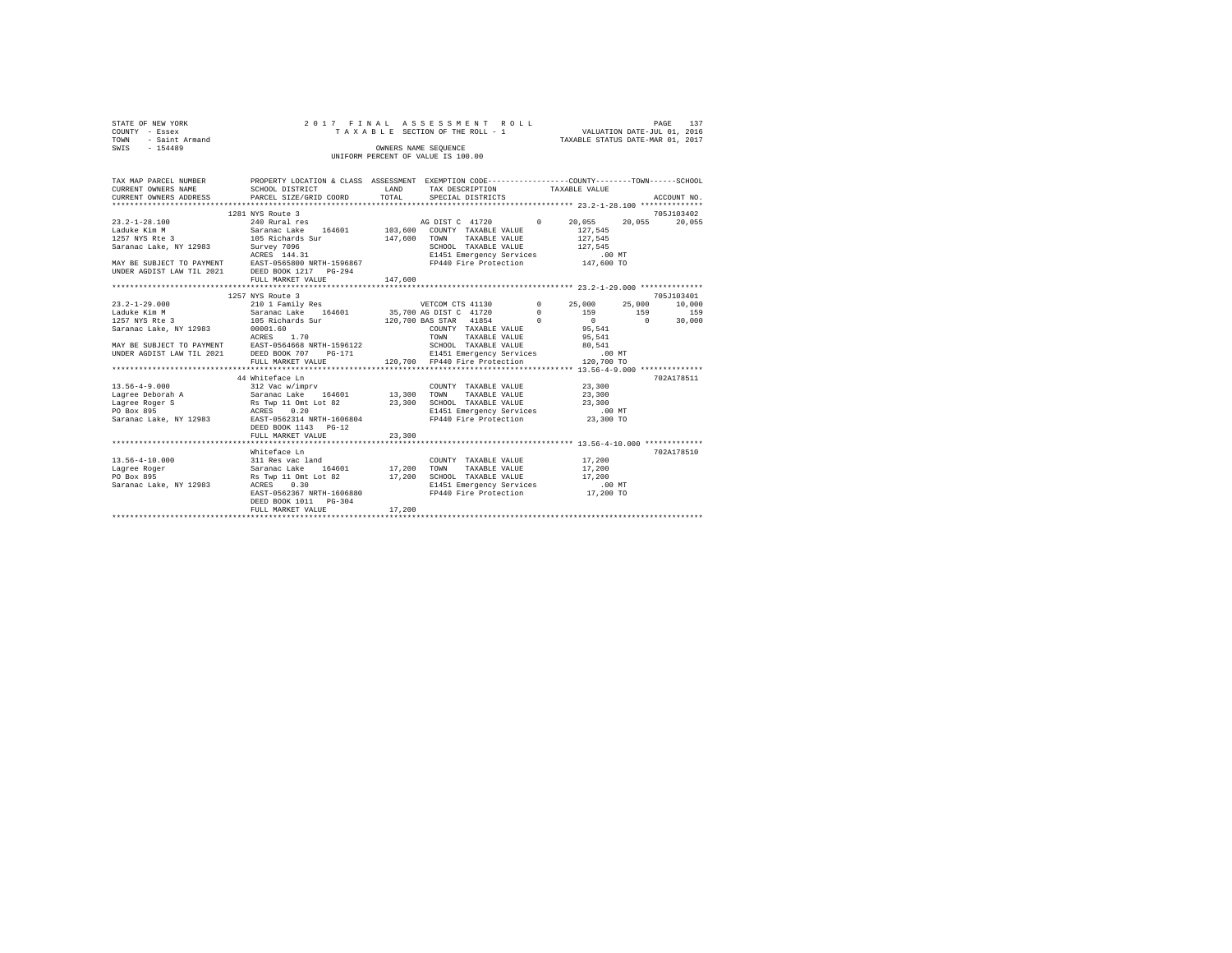| STATE OF NEW YORK<br>COUNTY - Essex<br>- Saint Armand<br>TOWN<br>$-154489$<br>SWIS                                                                                                                                  | 2017 FINAL ASSESSMENT ROLL<br>TAXABLE SECTION OF THE ROLL - 1<br>INIFORM PERCENT OF VALUE IS 100.00 | VALUATION DATE-JUL 01, 2016<br>TAXABLE STATUS DATE-MAR 01, 2017 | 137<br>PAGE                                               |  |                                                                                                                                                                |             |
|---------------------------------------------------------------------------------------------------------------------------------------------------------------------------------------------------------------------|-----------------------------------------------------------------------------------------------------|-----------------------------------------------------------------|-----------------------------------------------------------|--|----------------------------------------------------------------------------------------------------------------------------------------------------------------|-------------|
| TAX MAP PARCEL NUMBER PROPERTY LOCATION & CLASS ASSESSMENT EXEMPTION CODE--------------COUNTY-------TOWN-----SCHOOL<br>CURRENT OWNERS NAME<br>CURRENT OWNERS ADDRESS PARCEL SIZE/GRID COORD TOTAL SPECIAL DISTRICTS | SCHOOL DISTRICT                                                                                     | <b>LAND</b>                                                     | TAX DESCRIPTION TAXABLE VALUE                             |  |                                                                                                                                                                | ACCOUNT NO. |
|                                                                                                                                                                                                                     |                                                                                                     |                                                                 |                                                           |  |                                                                                                                                                                |             |
|                                                                                                                                                                                                                     | 1281 NYS Route 3                                                                                    |                                                                 |                                                           |  |                                                                                                                                                                | 705J103402  |
| $23.2 - 1 - 28.100$<br>Laduke Kim M                              Saranac Lake     164601                                                                                                                            | 240 Rural res                                                                                       |                                                                 | AG DIST C 41720 0<br>103,600 COUNTY TAXABLE VALUE 127,545 |  | 20,055 20,055 20,055                                                                                                                                           |             |
| 1257 NYS Rte 3 105 Richards Sur                                                                                                                                                                                     |                                                                                                     | 147,600                                                         | TOWN<br>TAXABLE VALUE                                     |  | 127.545                                                                                                                                                        |             |
| Saranac Lake, NY 12983                                                                                                                                                                                              | Survey 7096<br>ACRES 144.31                                                                         |                                                                 | SCHOOL TAXABLE VALUE                                      |  | 127.545                                                                                                                                                        |             |
|                                                                                                                                                                                                                     |                                                                                                     |                                                                 | E1451 Emergency Services .00 MT                           |  |                                                                                                                                                                |             |
| MAY BE SUBJECT TO PAYMENT EAST-0565800 NRTH-1596867 FP440 Fire Protection 147,600 TO<br>UNDER AGDIST LAW TIL 2021 DEED BOOK 1217 PG-294                                                                             |                                                                                                     |                                                                 |                                                           |  |                                                                                                                                                                |             |
|                                                                                                                                                                                                                     | FULL MARKET VALUE                                                                                   | 147,600                                                         |                                                           |  |                                                                                                                                                                |             |
|                                                                                                                                                                                                                     |                                                                                                     |                                                                 |                                                           |  |                                                                                                                                                                |             |
|                                                                                                                                                                                                                     | 1257 NYS Route 3                                                                                    |                                                                 |                                                           |  |                                                                                                                                                                | 705J103401  |
| $23.2 - 1 - 29.000$                                                                                                                                                                                                 | 210 1 Family Res 60 VETCOM CTS 41130                                                                |                                                                 |                                                           |  | $\sim$ 0<br>25,000 25,000 10,000                                                                                                                               |             |
| Laduke Kim M                                                                                                                                                                                                        | Saranac Lake 164601 35,700 AG DIST C 41720                                                          |                                                                 |                                                           |  | $\begin{matrix}0\end{matrix}\qquad \qquad \begin{matrix}159\end{matrix}\qquad \qquad \begin{matrix}159\end{matrix}\qquad \qquad \begin{matrix}159\end{matrix}$ |             |
| 1257 NYS Rte 3 105 Richards Sur                                                                                                                                                                                     |                                                                                                     |                                                                 | 120,700 BAS STAR 41854                                    |  | $\begin{array}{ccccccc}\n0 & & & & 0 & & \n\end{array}$                                                                                                        | 30,000      |
| Saranac Lake, NY 12983                                                                                                                                                                                              | 00001.60                                                                                            |                                                                 | COUNTY TAXABLE VALUE<br>_________<br>-----------------    |  | 95,541<br>$\sim$ $\sim$ $\sim$ $\sim$ $\sim$                                                                                                                   |             |

|                        | ACRES 1.70                                          |        | TAXABLE VALUE<br>TOWN                                      | 95,541    |            |
|------------------------|-----------------------------------------------------|--------|------------------------------------------------------------|-----------|------------|
|                        | MAY BE SUBJECT TO PAYMENT EAST-0564668 NRTH-1596122 |        | SCHOOL TAXABLE VALUE                                       | 80.541    |            |
|                        | UNDER AGDIST LAW TIL 2021 DEED BOOK 707 PG-171      |        | E1451 Emergency Services .00 MT                            |           |            |
|                        |                                                     |        | FULL MARKET VALUE 120,700 FP440 Fire Protection 120,700 TO |           |            |
|                        |                                                     |        |                                                            |           |            |
|                        | 44 Whiteface Ln                                     |        |                                                            |           | 702A178511 |
| $13.56 - 4 - 9.000$    | 312 Vac w/imprv                                     |        | COUNTY TAXABLE VALUE                                       | 23,300    |            |
| Lagree Deborah A       | Saranac Lake 164601 13,300                          |        | TAXABLE VALUE<br>TOWN                                      | 23,300    |            |
| Lagree Roger S         | Rs Twp 11 Omt Lot 82                                | 23,300 | SCHOOL TAXABLE VALUE                                       | 23,300    |            |
| PO Box 895             | ACRES 0.20                                          |        | E1451 Emergency Services .00 MT                            |           |            |
| Saranac Lake, NY 12983 | EAST-0562314 NRTH-1606804                           |        | FP440 Fire Protection                                      | 23,300 TO |            |
|                        | DEED BOOK 1143 PG-12                                |        |                                                            |           |            |
|                        | FULL MARKET VALUE 23,300                            |        |                                                            |           |            |
|                        |                                                     |        |                                                            |           |            |
|                        | Whiteface Ln                                        |        |                                                            |           | 702A178510 |
| 13.56-4-10.000         | 311 Res vac land                                    |        | COUNTY TAXABLE VALUE                                       | 17,200    |            |
| Lagree Roger           | Saranac Lake 164601 17,200                          |        | TOWN<br>TAXABLE VALUE                                      | 17,200    |            |
| PO Box 895             | Rs Twp 11 Omt Lot 82                                | 17,200 | SCHOOL TAXABLE VALUE                                       | 17,200    |            |
| Saranac Lake, NY 12983 | ACRES 0.30                                          |        | E1451 Emergency Services                                   | $.00$ MT  |            |
|                        | EAST-0562367 NRTH-1606880                           |        | FP440 Fire Protection                                      | 17,200 TO |            |
|                        | DEED BOOK 1011 PG-304                               |        |                                                            |           |            |
|                        | FULL MARKET VALUE                                   | 17,200 |                                                            |           |            |
|                        |                                                     |        |                                                            |           |            |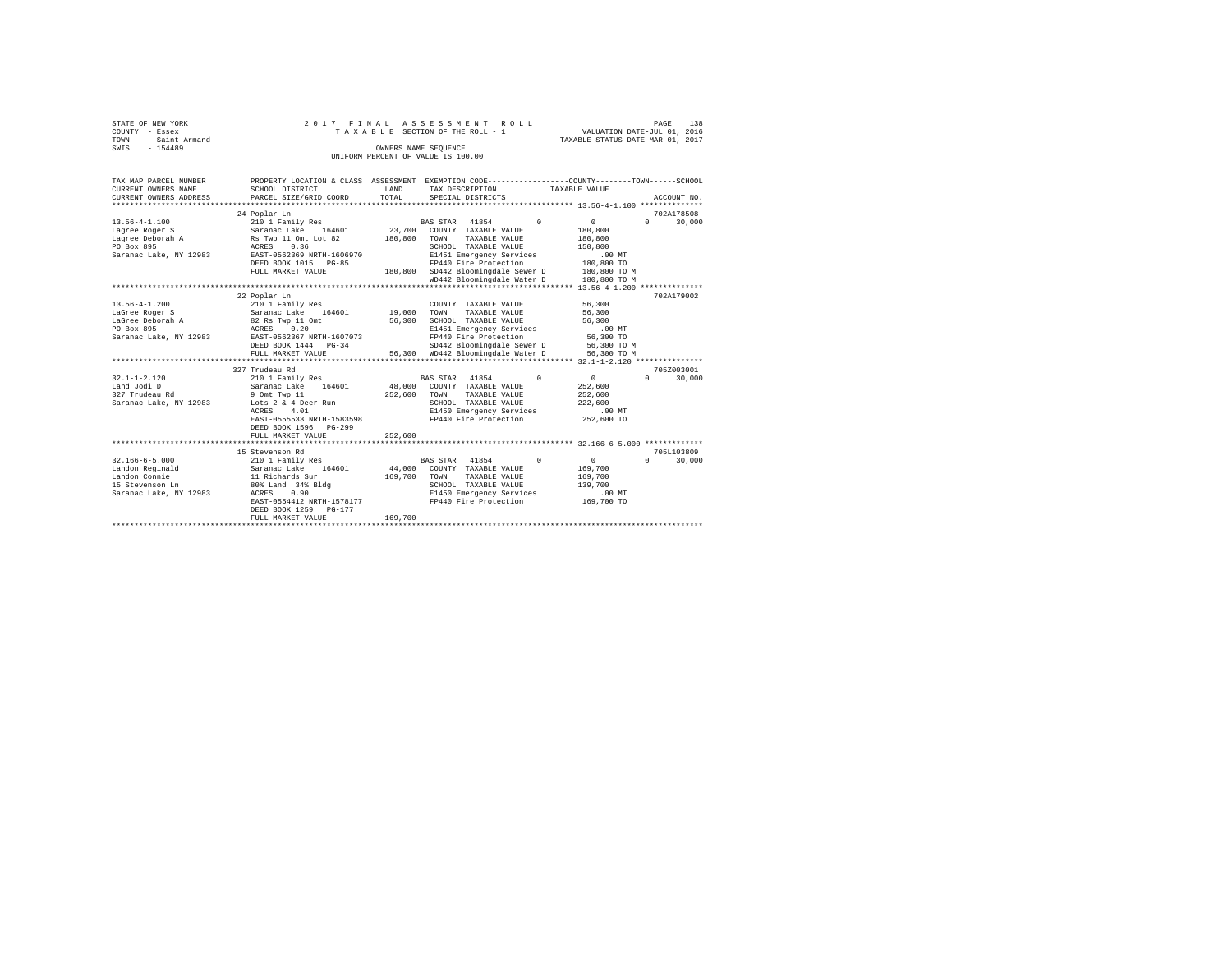| STATE OF NEW YORK   |  |  | 2017 FINAL ASSESSMENT ROLL         |                                  | PAGE | 138 |
|---------------------|--|--|------------------------------------|----------------------------------|------|-----|
| COUNTY - Essex      |  |  | TAXABLE SECTION OF THE ROLL - 1    | VALUATION DATE-JUL 01, 2016      |      |     |
| TOWN - Saint Armand |  |  |                                    | TAXABLE STATUS DATE-MAR 01, 2017 |      |     |
| SWIS<br>$-154489$   |  |  | OWNERS NAME SEOUENCE               |                                  |      |     |
|                     |  |  | UNIFORM PERCENT OF VALUE IS 100.00 |                                  |      |     |

| TAX MAP PARCEL NUMBER<br>CURRENT OWNERS NAME<br>CURRENT OWNERS ADDRESS                                | SCHOOL DISTRICT<br>PARCEL SIZE/GRID COORD                                                                                                                                                                   | LAND<br>TOTAL                | PROPERTY LOCATION & CLASS ASSESSMENT EXEMPTION CODE----------------COUNTY-------TOWN-----SCHOOL<br>TAX DESCRIPTION TAXABLE VALUE<br>SPECIAL DISTRICTS                                                                | ACCOUNT NO.                                                                                                                                 |
|-------------------------------------------------------------------------------------------------------|-------------------------------------------------------------------------------------------------------------------------------------------------------------------------------------------------------------|------------------------------|----------------------------------------------------------------------------------------------------------------------------------------------------------------------------------------------------------------------|---------------------------------------------------------------------------------------------------------------------------------------------|
| $13.56 - 4 - 1.100$<br>Lagree Roger S<br>Lagree Deborah A<br>PO Box 895<br>Saranac Lake, NY 12983     | 24 Poplar Ln<br>210 1 Family Res<br>Saranac Lake 164601<br>Rs Twp 11 Omt Lot 82<br>ACRES 0.36<br>EAST-0562369 NRTH-1606970<br>DEED BOOK 1015 PG-85<br>FULL MARKET VALUE                                     | 23,700<br>180,800<br>180,800 | $\Omega$<br>BAS STAR 41854<br>COUNTY TAXABLE VALUE<br>TOWN<br>TAXABLE VALUE<br>SCHOOL TAXABLE VALUE<br>E1451 Emergency Services<br>FP440 Fire Protection<br>SD442 Bloomingdale Sewer D<br>WD442 Bloomingdale Water D | 702A178508<br>30,000<br>$\mathbf{0}$<br>$\Omega$<br>180,800<br>180,800<br>150,800<br>$.00$ MT<br>180,800 TO<br>180,800 TO M<br>180,800 TO M |
| 13.56-4-1.200<br>LaGree Roger S<br>LaGree Deborah A<br>PO Box 895<br>Saranac Lake, NY 12983           | ************************************<br>22 Poplar Ln<br>210 1 Family Res<br>Saranac Lake 164601<br>82 Rs Twp 11 Omt<br>ACRES 0.20<br>EAST-0562367 NRTH-1607073<br>DEED BOOK 1444 PG-34<br>FULL MARKET VALUE | 19,000<br>56,300             | COUNTY TAXABLE VALUE<br>TAXABLE VALUE<br>TOWN<br>SCHOOL TAXABLE VALUE<br>E1451 Emergency Services<br>FP440 Fire Protection<br>SD442 Bloomingdale Sewer D<br>56.300 WD442 Bloomingdale Water D                        | 702A179002<br>56,300<br>56,300<br>56,300<br>$.00$ MT<br>56,300 TO<br>56,300 TO M<br>56,300 TO M                                             |
| $32.1 - 1 - 2.120$<br>Land Jodi D<br>327 Trudeau Rd<br>Saranac Lake, NY 12983                         | 327 Trudeau Rd<br>210 1 Family Res<br>164601<br>Saranac Lake<br>9 Omt Twp 11<br>Lots 2 & 4 Deer Run<br>ACRES<br>4.01<br>EAST-0555533 NRTH-1583598<br>DEED BOOK 1596<br>$PG-299$<br>FULL MARKET VALUE        | 48,000<br>252,600<br>252,600 | BAS STAR 41854<br>$\Omega$<br>COUNTY TAXABLE VALUE<br>TOWN<br>TAXABLE VALUE<br>SCHOOL TAXABLE VALUE<br>E1450 Emergency Services<br>FP440 Fire Protection                                                             | 705Z003001<br>$\mathbf{0}$<br>$\Omega$<br>30,000<br>252,600<br>252,600<br>222,600<br>.00 MT<br>252,600 TO                                   |
| $32.166 - 6 - 5.000$<br>Landon Reginald<br>Landon Connie<br>15 Stevenson Ln<br>Saranac Lake, NY 12983 | 15 Stevenson Rd<br>210 1 Family Res<br>164601<br>Saranac Lake<br>11 Richards Sur<br>80% Land 34% Bldg<br>0.90<br>ACRES<br>EAST-0554412 NRTH-1578177<br>DEED BOOK 1259<br>PG-177<br>FULL MARKET VALUE        | 169,700<br>169,700           | BAS STAR 41854<br>$^{\circ}$<br>44,000 COUNTY TAXABLE VALUE<br>TAXABLE VALUE<br>TOWN<br>SCHOOL TAXABLE VALUE<br>E1450 Emergency Services<br>FP440 Fire Protection                                                    | 705L103809<br>0<br>$\Omega$<br>30,000<br>169,700<br>169,700<br>139,700<br>.00MT<br>169,700 TO                                               |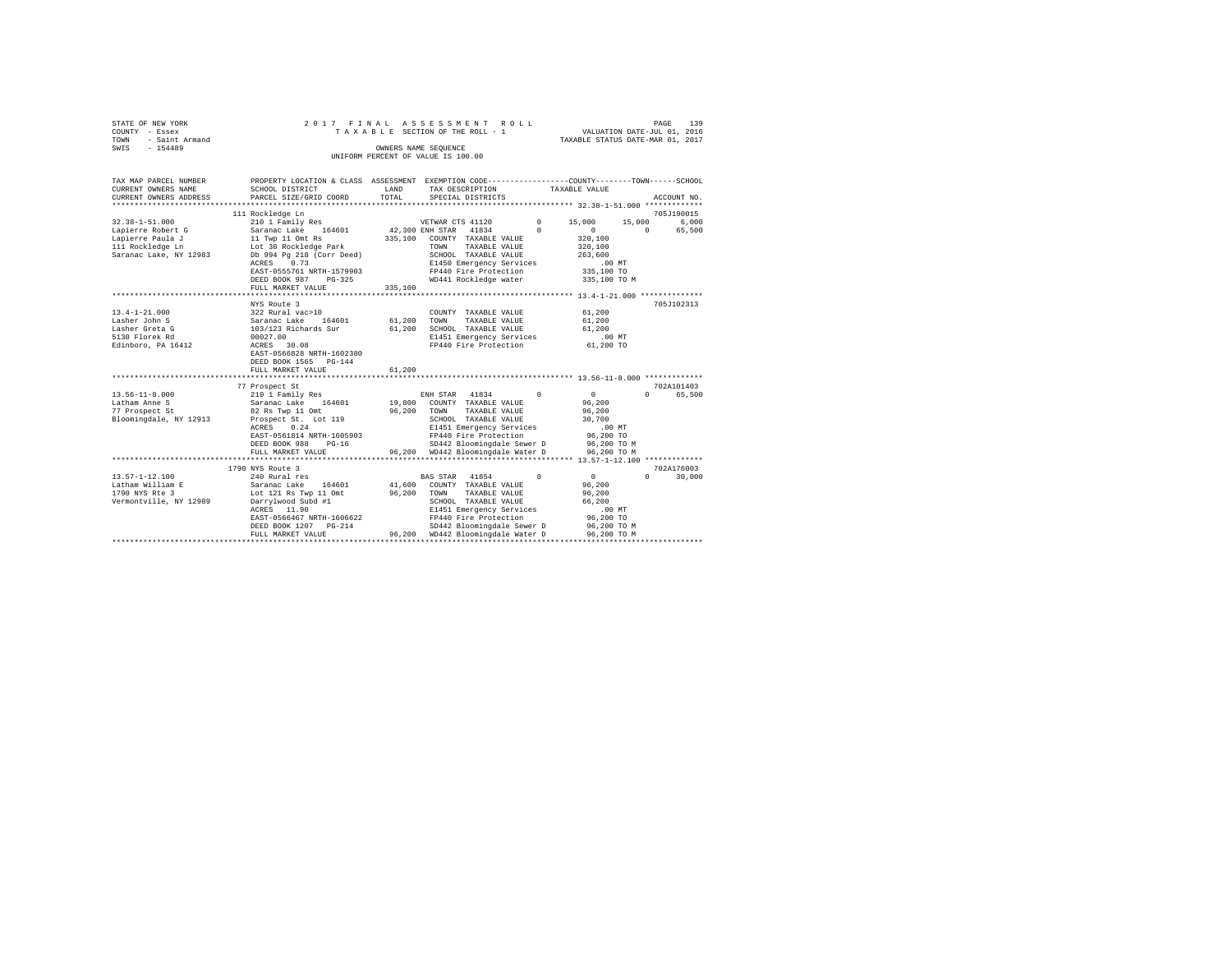| STATE OF NEW YORK   |  | 2017 FINAL ASSESSMENT ROLL         | PAGE                             | 139 |
|---------------------|--|------------------------------------|----------------------------------|-----|
| COUNTY - Essex      |  | TAXABLE SECTION OF THE ROLL - 1    | VALUATION DATE-JUL 01, 2016      |     |
| TOWN - Saint Armand |  |                                    | TAXABLE STATUS DATE-MAR 01, 2017 |     |
| SWIS<br>$-154489$   |  | OWNERS NAME SEOUENCE               |                                  |     |
|                     |  | UNIFORM PERCENT OF VALUE IS 100.00 |                                  |     |

| TAX MAP PARCEL NUMBER   | PROPERTY LOCATION & CLASS ASSESSMENT EXEMPTION CODE----------------COUNTY-------TOWN------SCHOOL |                 |                                   |            |                  |                    |
|-------------------------|--------------------------------------------------------------------------------------------------|-----------------|-----------------------------------|------------|------------------|--------------------|
| CURRENT OWNERS NAME     | SCHOOL DISTRICT                                                                                  | LAND            | TAX DESCRIPTION                   |            | TAXABLE VALUE    |                    |
| CURRENT OWNERS ADDRESS  | PARCEL SIZE/GRID COORD                                                                           | TOTAL           | SPECIAL DISTRICTS                 |            |                  | ACCOUNT NO.        |
| *********************** |                                                                                                  |                 |                                   |            |                  |                    |
|                         | 111 Rockledge Ln                                                                                 |                 |                                   |            |                  | 705J190015         |
| $32.38 - 1 - 51.000$    | 210 1 Family Res                                                                                 |                 | VETWAR CTS 41120                  | $^{\circ}$ | 15,000<br>15,000 | 6,000              |
| Lapierre Robert G       | Saranac Lake<br>164601                                                                           | 42,300 ENH STAR | 41834                             | $\Omega$   | $\Omega$         | 65,500<br>$\Omega$ |
| Lapierre Paula J        | 11 Twp 11 Omt Rs                                                                                 | 335,100         | COUNTY TAXABLE VALUE              |            | 320,100          |                    |
| 111 Rockledge Ln        | Lot 38 Rockledge Park                                                                            |                 | TOWN<br>TAXABLE VALUE             |            | 320,100          |                    |
| Saranac Lake, NY 12983  | Db 994 Pg 218 (Corr Deed)                                                                        |                 | SCHOOL TAXABLE VALUE              |            | 263,600          |                    |
|                         | 0.73<br>ACRES                                                                                    |                 | E1450 Emergency Services          |            | .00MT            |                    |
|                         | EAST-0555761 NRTH-1579903                                                                        |                 | FP440 Fire Protection             |            | 335,100 TO       |                    |
|                         | DEED BOOK 987<br>$PG-325$                                                                        |                 | WD441 Rockledge water             |            | 335,100 TO M     |                    |
|                         | FULL MARKET VALUE                                                                                | 335,100         |                                   |            |                  |                    |
|                         |                                                                                                  |                 |                                   |            |                  |                    |
|                         | NYS Route 3                                                                                      |                 |                                   |            |                  | 705J102313         |
| $13.4 - 1 - 21.000$     | 322 Rural vac>10                                                                                 |                 | COUNTY TAXABLE VALUE              |            | 61,200           |                    |
| Lasher John S           | Saranac Lake<br>164601                                                                           | 61,200          | TOWN<br>TAXABLE VALUE             |            | 61,200           |                    |
| Lasher Greta G          | 103/123 Richards Sur                                                                             | 61,200          | SCHOOL TAXABLE VALUE              |            | 61,200           |                    |
| 5130 Florek Rd          | 00027.00                                                                                         |                 | E1451 Emergency Services          |            | .00MT            |                    |
| Edinboro, PA 16412      | ACRES 30.08                                                                                      |                 | FP440 Fire Protection             |            | 61,200 TO        |                    |
|                         | EAST-0566828 NRTH-1602380                                                                        |                 |                                   |            |                  |                    |
|                         | DEED BOOK 1565<br>$PG-144$                                                                       |                 |                                   |            |                  |                    |
|                         | FULL MARKET VALUE                                                                                | 61,200          |                                   |            |                  |                    |
|                         |                                                                                                  |                 |                                   |            |                  |                    |
|                         | 77 Prospect St                                                                                   |                 |                                   |            |                  | 702A101403         |
| $13.56 - 11 - 8.000$    | 210 1 Family Res                                                                                 |                 | 41834<br>ENH STAR                 | $\Omega$   | $\circ$          | $\cap$<br>65,500   |
| Latham Anne S           | 164601<br>Saranac Lake                                                                           | 19,800          | COUNTY TAXABLE VALUE              |            | 96,200           |                    |
| 77 Prospect St          | 82 Rs Twp 11 Omt                                                                                 | 96,200          | TOWN<br>TAXABLE VALUE             |            | 96,200           |                    |
| Bloomingdale, NY 12913  | Prospect St. Lot 119                                                                             |                 | SCHOOL TAXABLE VALUE              |            | 30,700           |                    |
|                         | ACRES<br>0.24                                                                                    |                 | E1451 Emergency Services          |            | .00MT            |                    |
|                         | EAST-0561814 NRTH-1605903                                                                        |                 | FP440 Fire Protection             |            | 96,200 TO        |                    |
|                         | DEED BOOK 988<br>$PG-16$                                                                         |                 | SD442 Bloomingdale Sewer D        |            | 96,200 TO M      |                    |
|                         | FULL MARKET VALUE                                                                                |                 | 96,200 WD442 Bloomingdale Water D |            | 96,200 TO M      |                    |
|                         | ***************************                                                                      |                 |                                   |            |                  |                    |
|                         | 1790 NYS Route 3                                                                                 |                 |                                   |            |                  | 702A176003         |
| $13.57 - 1 - 12.100$    | 240 Rural res                                                                                    |                 | 41854<br><b>BAS STAR</b>          | $^{\circ}$ | $\mathbf{0}$     | $\Omega$<br>30,000 |
| Latham William E        | 164601<br>Saranac Lake                                                                           | 41,600          | COUNTY TAXABLE VALUE              |            | 96.200           |                    |
| 1790 NYS Rte 3          | Lot 121 Rs Twp 11 Omt                                                                            | 96,200          | TOWN<br>TAXABLE VALUE             |            | 96,200           |                    |
| Vermontville, NY 12989  | Darrylwood Subd #1                                                                               |                 | SCHOOL TAXABLE VALUE              |            | 66,200           |                    |
|                         | ACRES 11.90                                                                                      |                 | E1451 Emergency Services          |            | .00MT            |                    |
|                         | EAST-0566467 NRTH-1606622                                                                        |                 | FP440 Fire Protection             |            | 96,200 TO        |                    |
|                         | DEED BOOK 1207 PG-214                                                                            |                 | SD442 Bloomingdale Sewer D        |            | 96,200 TO M      |                    |
|                         | FULL MARKET VALUE                                                                                | 96,200          | WD442 Bloomingdale Water D        |            | 96,200 TO M      |                    |
|                         |                                                                                                  |                 |                                   |            |                  |                    |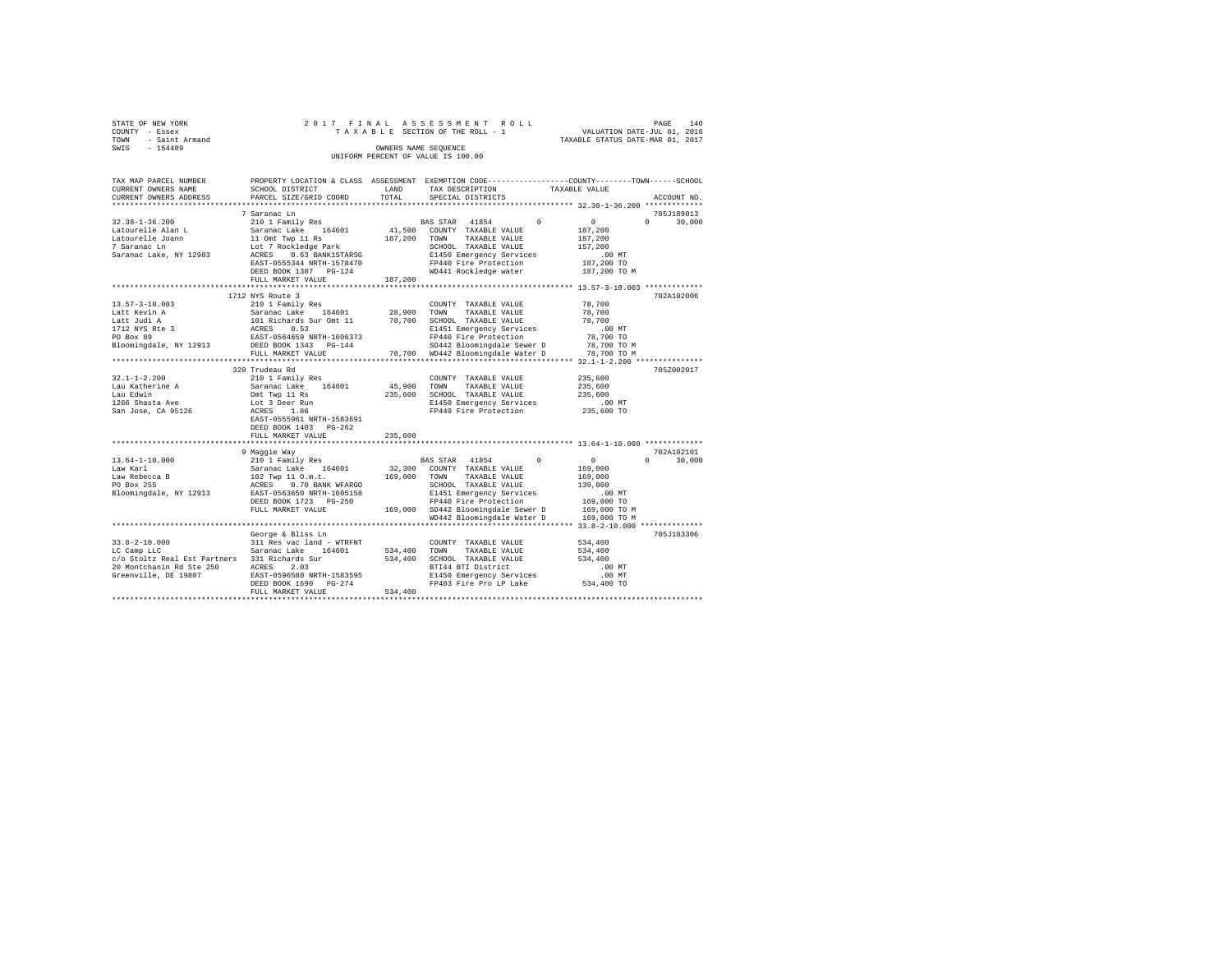| STATE OF NEW YORK   |  |  |                                    | 2017 FINAL ASSESSMENT ROLL |                                  | PAGE | 140 |
|---------------------|--|--|------------------------------------|----------------------------|----------------------------------|------|-----|
| COUNTY - Essex      |  |  | TAXABLE SECTION OF THE ROLL - 1    |                            | VALUATION DATE-JUL 01, 2016      |      |     |
| TOWN - Saint Armand |  |  |                                    |                            | TAXABLE STATUS DATE-MAR 01, 2017 |      |     |
| SWIS<br>$-154489$   |  |  | OWNERS NAME SEOUENCE               |                            |                                  |      |     |
|                     |  |  | UNIFORM PERCENT OF VALUE IS 100.00 |                            |                                  |      |     |

| TAX MAP PARCEL NUMBER<br>CURRENT OWNERS NAME  | SCHOOL DISTRICT                                                                                 | LAND         | PROPERTY LOCATION & CLASS ASSESSMENT EXEMPTION CODE----------------COUNTY-------TOWN-----SCHOOL<br>TAX DESCRIPTION | TAXABLE VALUE                                |
|-----------------------------------------------|-------------------------------------------------------------------------------------------------|--------------|--------------------------------------------------------------------------------------------------------------------|----------------------------------------------|
| CURRENT OWNERS ADDRESS                        | PARCEL SIZE/GRID COORD                                                                          | TOTAL        | SPECIAL DISTRICTS                                                                                                  | ACCOUNT NO.                                  |
|                                               |                                                                                                 |              |                                                                                                                    |                                              |
|                                               | 7 Saranac Ln                                                                                    |              |                                                                                                                    | 705J189013                                   |
| $32.38 - 1 - 36.200$                          | 210 1 Family Res                                                                                |              | BAS STAR 41854<br>$\Omega$                                                                                         | $\overline{0}$<br>$\Omega$<br>30,000         |
| Latourelle Alan L                             | Saranac Lake 164601                                                                             |              | 41,500 COUNTY TAXABLE VALUE                                                                                        | 187,200                                      |
| Latourelle Joann                              | 11 Omt Twp 11 Rs                                                                                | 187,200      | TOWN<br>TAXABLE VALUE                                                                                              | 187,200                                      |
| 7 Saranac Ln                                  | Lot 7 Rockledge Park                                                                            |              | SCHOOL TAXABLE VALUE                                                                                               | 157,200                                      |
| Saranac Lake, NY 12983                        | ACRES 0.63 BANK1STARSG                                                                          |              | E1450 Emergency Services                                                                                           | .00MT                                        |
|                                               | EAST-0555344 NRTH-1578470                                                                       |              | FP440 Fire Protection                                                                                              | 187,200 TO                                   |
|                                               | DEED BOOK 1307 PG-124                                                                           |              | WD441 Rockledge water                                                                                              | 187,200 TO M                                 |
|                                               | FULL MARKET VALUE                                                                               | 187,200      |                                                                                                                    |                                              |
|                                               |                                                                                                 |              |                                                                                                                    |                                              |
|                                               | 1712 NYS Route 3                                                                                |              |                                                                                                                    | 702A102006                                   |
| $13.57 - 3 - 10.003$                          | 210 1 Family Res                                                                                |              | COUNTY TAXABLE VALUE                                                                                               | 78,700                                       |
| Latt Kevin A                                  | Saranac Lake 164601<br>101 Richards Sur Omt 11<br>ACRES 0.53                                    | 28,900       | TOWN<br>TAXABLE VALUE                                                                                              | 78,700                                       |
| Latt Judi A                                   |                                                                                                 | 78,700       | SCHOOL TAXABLE VALUE                                                                                               | 78,700                                       |
|                                               |                                                                                                 |              | E1451 Emergency Services                                                                                           | $.00$ MT                                     |
| Latt vuu.<br>1712 NYS Rte 3<br>--- 99         | EAST-0564659 NRTH-1606373<br>DEED BOOK 1343 PG-144                                              |              | FP440 Fire Protection                                                                                              | 78,700 TO                                    |
| Bloomingdale, NY 12913                        |                                                                                                 |              | SD442 Bloomingdale Sewer D                                                                                         | 78,700 TO M                                  |
|                                               | FULL MARKET VALUE                                                                               |              | 78,700 WD442 Bloomingdale Water D                                                                                  | 78,700 TO M                                  |
|                                               |                                                                                                 |              |                                                                                                                    | *************** 32.1-1-2.200 *************** |
|                                               | 329 Trudeau Rd                                                                                  |              |                                                                                                                    | 705Z002017                                   |
| $32.1 - 1 - 2.200$                            | 210 1 Family Res                                                                                |              | COUNTY TAXABLE VALUE                                                                                               | 235,600                                      |
| Lau Katherine A                               | Saranac Lake 164601                                                                             | 45,900 TOWN  | TAXABLE VALUE                                                                                                      | 235,600                                      |
| Lau Edwin                                     | Omt Twp 11 Rs                                                                                   | 235,600      | SCHOOL TAXABLE VALUE                                                                                               | 235,600                                      |
| 1266 Shasta Ave                               | Lot 3 Deer Run                                                                                  |              | E1450 Emergency Services                                                                                           | $.00$ MT                                     |
| San Jose, CA 95126                            | ACRES 1.86                                                                                      |              | FP440 Fire Protection                                                                                              | 235,600 TO                                   |
|                                               | EAST-0555961 NRTH-1583691                                                                       |              |                                                                                                                    |                                              |
|                                               | DEED BOOK 1403 PG-262                                                                           |              |                                                                                                                    |                                              |
|                                               | FULL MARKET VALUE                                                                               | 235,600      |                                                                                                                    |                                              |
|                                               |                                                                                                 |              |                                                                                                                    | 702A102101                                   |
| $13.64 - 1 - 10.000$                          | 9 Maqqie Way<br>210 1 Family Res                                                                |              | $^{\circ}$<br>BAS STAR 41854                                                                                       | $\circ$<br>30,000<br>$\Omega$                |
| Law Karl                                      |                                                                                                 | 32,300       | COUNTY TAXABLE VALUE                                                                                               | 169,000                                      |
| Law Rebecca B                                 |                                                                                                 | 169,000      | TAXABLE VALUE<br>TOWN                                                                                              | 169,000                                      |
| PO Box 255                                    |                                                                                                 |              | SCHOOL TAXABLE VALUE                                                                                               | 139,000                                      |
| Bloomingdale, NY 12913                        | Saranac Lake 164601<br>102 Twp 11 O.m.t.<br>ACRES 0.70 BANK WFARGO<br>EAST-0563650 NRTH-1605158 |              | E1451 Emergency Services                                                                                           | .00MT                                        |
|                                               | DEED BOOK 1723 PG-250                                                                           |              | FP440 Fire Protection                                                                                              | 169,000 TO                                   |
|                                               | FULL MARKET VALUE                                                                               |              | 169,000 SD442 Bloomingdale Sewer D                                                                                 | 169,000 TO M                                 |
|                                               |                                                                                                 |              | WD442 Bloomingdale Water D                                                                                         | 169,000 TO M                                 |
|                                               |                                                                                                 |              |                                                                                                                    |                                              |
|                                               | George & Bliss Ln                                                                               |              |                                                                                                                    | 705J103306                                   |
| $33.8 - 2 - 10.000$                           | 311 Res vac land - WTRFNT                                                                       |              | COUNTY TAXABLE VALUE                                                                                               | 534,400                                      |
| LC Camp LLC                                   | Sir Res vac rand - Wiki<br>Saranac Lake 164601                                                  | 534,400 TOWN | TAXABLE VALUE                                                                                                      | 534,400                                      |
| c/o Stoltz Real Est Partners 331 Richards Sur |                                                                                                 |              | 534,400 SCHOOL TAXABLE VALUE                                                                                       | 534,400                                      |
| 20 Montchanin Rd Ste 250                      | ACRES<br>2.03                                                                                   |              | BTI44 BTI District                                                                                                 | $.00$ MT                                     |
| Greenville, DE 19807                          | EAST-0596580 NRTH-1583595                                                                       |              | E1450 Emergency Services                                                                                           | .00 MT                                       |
|                                               | DEED BOOK 1690 PG-274                                                                           |              | FP403 Fire Pro LP Lake                                                                                             | 534,400 TO                                   |
|                                               | FULL MARKET VALUE                                                                               | 534,400      |                                                                                                                    |                                              |
|                                               |                                                                                                 |              |                                                                                                                    |                                              |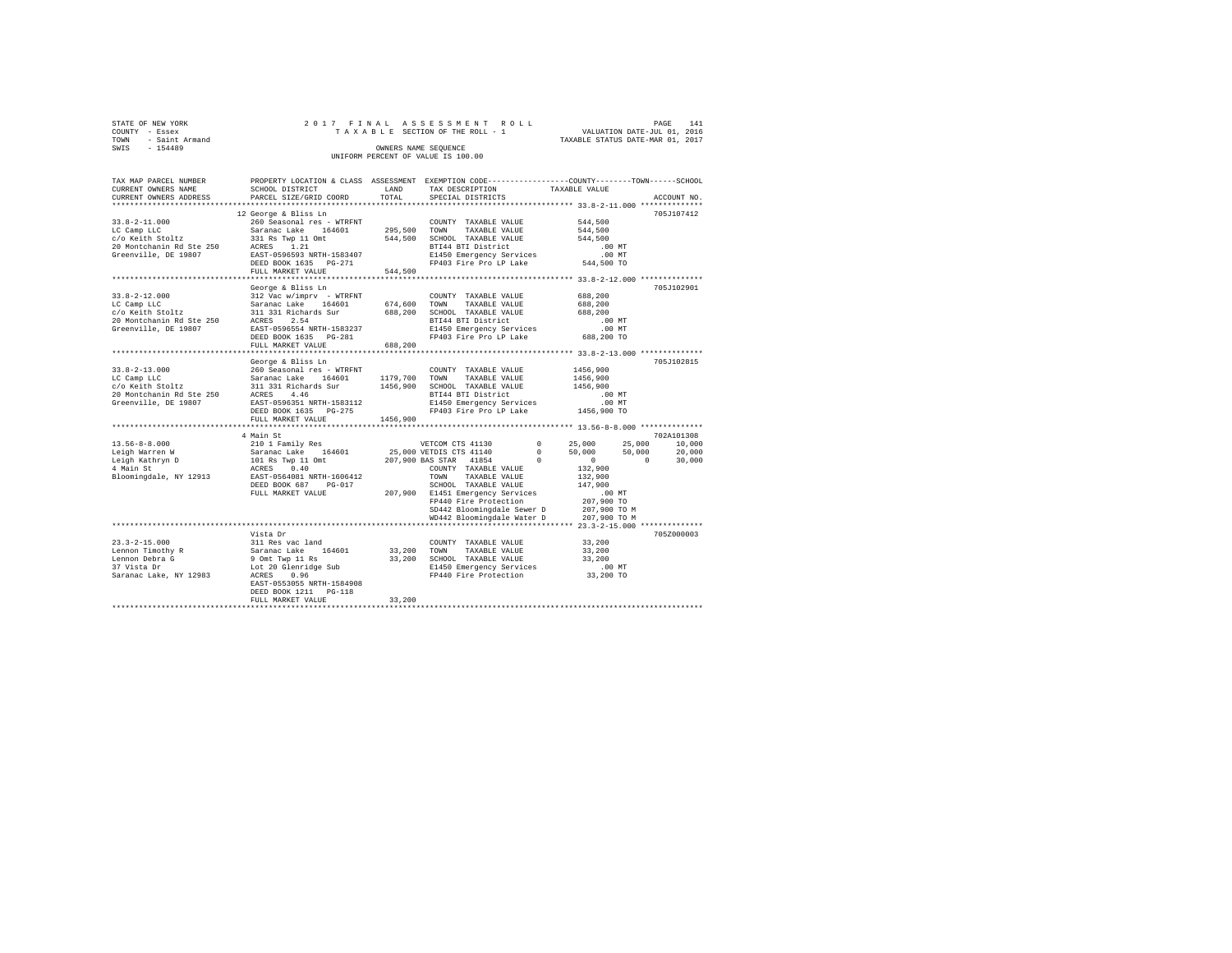| STATE OF NEW YORK      | 2017 FINAL ASSESSMENT ROLL         | 141<br>PAGE                      |
|------------------------|------------------------------------|----------------------------------|
| COUNTY - Essex         | TAXABLE SECTION OF THE ROLL - 1    | VALUATION DATE-JUL 01, 2016      |
| - Saint Armand<br>TOWN |                                    | TAXABLE STATUS DATE-MAR 01, 2017 |
| $-154489$<br>SWIS      | OWNERS NAME SEOUENCE               |                                  |
|                        | UNIFORM PERCENT OF VALUE IS 100.00 |                                  |

| TAX MAP PARCEL NUMBER<br>CURRENT OWNERS NAME                                                                                                                                                                                                | PROPERTY LOCATION & CLASS ASSESSMENT EXEMPTION CODE---------------COUNTY-------TOWN-----SCHOOL<br>SCHOOL DISTRICT | <b>LAND</b> | TAX DESCRIPTION                                                    | TAXABLE VALUE                                                 |             |
|---------------------------------------------------------------------------------------------------------------------------------------------------------------------------------------------------------------------------------------------|-------------------------------------------------------------------------------------------------------------------|-------------|--------------------------------------------------------------------|---------------------------------------------------------------|-------------|
| CURRENT OWNERS ADDRESS                                                                                                                                                                                                                      | PARCEL SIZE/GRID COORD                                                                                            | TOTAL       | SPECIAL DISTRICTS                                                  |                                                               | ACCOUNT NO. |
|                                                                                                                                                                                                                                             |                                                                                                                   |             |                                                                    |                                                               |             |
|                                                                                                                                                                                                                                             | 12 George & Bliss Ln                                                                                              |             |                                                                    |                                                               | 705J107412  |
| $33.8 - 2 - 11.000$                                                                                                                                                                                                                         | 260 Seasonal res - WTRFNT                                                                                         |             | COUNTY TAXABLE VALUE                                               | 544,500                                                       |             |
|                                                                                                                                                                                                                                             | Saranac Lake 164601 295,500 TOWN TAXABLE VALUE                                                                    |             |                                                                    | 544,500                                                       |             |
|                                                                                                                                                                                                                                             |                                                                                                                   |             | 544,500 SCHOOL TAXABLE VALUE<br>BTI44 BTI District                 | 544,500                                                       |             |
|                                                                                                                                                                                                                                             | EAST-0596593 NRTH-1583407                                                                                         |             |                                                                    | $.00$ MT<br>$.00$ MT                                          |             |
|                                                                                                                                                                                                                                             | EAST-USYODY3 NRTH-1583407<br>DEED BOOK 1635 PG-271                                                                |             | E1450 Emergency Services<br>FP403 Fire Pro LP Lake                 | 544,500 TO                                                    |             |
| Comp LLC 52<br>Comp LLC 52<br>20 Montchanin Rd Ste 250<br>20 Montchanin Rd Ste 250<br>20 Montchanin Rd Ste 250<br>ERST-0596593 NRTH-1583407<br>DEED BOOK 1635<br>DEED BOOK 1635<br>2002 MONTES<br>2002 MONTES<br>2002 MONTES<br>2002 MONTES | FULL MARKET VALUE                                                                                                 | 544,500     |                                                                    |                                                               |             |
|                                                                                                                                                                                                                                             |                                                                                                                   |             |                                                                    | ********************************* 33.8-2-12.000 ************* |             |
|                                                                                                                                                                                                                                             | George & Bliss Ln                                                                                                 |             |                                                                    |                                                               | 705J102901  |
|                                                                                                                                                                                                                                             |                                                                                                                   |             | COUNTY TAXABLE VALUE                                               | 688,200                                                       |             |
|                                                                                                                                                                                                                                             |                                                                                                                   |             | 674,600 TOWN TAXABLE VALUE                                         | 688,200                                                       |             |
|                                                                                                                                                                                                                                             |                                                                                                                   |             | 688.200 SCHOOL TAXABLE VALUE                                       | 688,200                                                       |             |
|                                                                                                                                                                                                                                             |                                                                                                                   |             |                                                                    | .00MT                                                         |             |
|                                                                                                                                                                                                                                             | EAST-0596554 NRTH-1583237                                                                                         |             | BTI44 BTI District<br>E1450 Emergency Services                     | .00MT                                                         |             |
|                                                                                                                                                                                                                                             | DEED BOOK 1635    PG-281                                                                                          |             | FP403 Fire Pro LP Lake 688,200 TO                                  |                                                               |             |
|                                                                                                                                                                                                                                             | FULL MARKET VALUE                                                                                                 | 688,200     |                                                                    |                                                               |             |
|                                                                                                                                                                                                                                             |                                                                                                                   |             |                                                                    |                                                               |             |
|                                                                                                                                                                                                                                             |                                                                                                                   |             |                                                                    |                                                               | 705J102815  |
|                                                                                                                                                                                                                                             |                                                                                                                   |             |                                                                    | 1456,900                                                      |             |
|                                                                                                                                                                                                                                             |                                                                                                                   |             |                                                                    | 1456,900                                                      |             |
|                                                                                                                                                                                                                                             |                                                                                                                   |             | 1456,900 SCHOOL TAXABLE VALUE                                      | 1456,900                                                      |             |
|                                                                                                                                                                                                                                             |                                                                                                                   |             | BTI44 BTI District                                                 | $.00$ MT                                                      |             |
|                                                                                                                                                                                                                                             |                                                                                                                   |             | E1450 Emergency Services                                           | .00 MT                                                        |             |
|                                                                                                                                                                                                                                             | DEED BOOK 1635 PG-275                                                                                             |             | FP403 Fire Pro LP Lake                                             | 1456,900 TO                                                   |             |
|                                                                                                                                                                                                                                             | FULL MARKET VALUE                                                                                                 | 1456,900    |                                                                    |                                                               |             |
|                                                                                                                                                                                                                                             |                                                                                                                   |             |                                                                    |                                                               |             |
|                                                                                                                                                                                                                                             | 4 Main St                                                                                                         |             |                                                                    |                                                               | 702A101308  |
| $13.56 - 8 - 8.000$                                                                                                                                                                                                                         | 210 1 Family Res                                                                                                  |             | VETCOM CTS 41130 0 25,000 25,000                                   |                                                               | 10,000      |
|                                                                                                                                                                                                                                             |                                                                                                                   |             |                                                                    | $0$<br>$0$ 50,000<br>$0$ 0<br>$132,900$<br>50,000 50,000      | 20,000      |
|                                                                                                                                                                                                                                             |                                                                                                                   |             |                                                                    | $\sim$ 0                                                      | 30,000      |
|                                                                                                                                                                                                                                             |                                                                                                                   |             |                                                                    |                                                               |             |
| Bloomingdale, NY 12913 EAST-0564081 NRTH-1606412                                                                                                                                                                                            |                                                                                                                   |             | TOWN TAXABLE VALUE                                                 | 132,900<br>147,900                                            |             |
|                                                                                                                                                                                                                                             | DEED BOOK 687 PG-017<br>FULL MARKET VALUE 207,900 E1451 Emergency Services                                        |             | SCHOOL TAXABLE VALUE<br>F1451 The                                  | $.00$ MT                                                      |             |
|                                                                                                                                                                                                                                             |                                                                                                                   |             | FP440 Fire Protection                                              | 207,900 TO                                                    |             |
|                                                                                                                                                                                                                                             |                                                                                                                   |             | SD442 Bloomingdale Sewer D                                         | 207,900 TO M                                                  |             |
|                                                                                                                                                                                                                                             |                                                                                                                   |             | WD442 Bloomingdale Water D                                         | 207,900 TO M                                                  |             |
|                                                                                                                                                                                                                                             |                                                                                                                   |             |                                                                    | ******************************** 23.3-2-15.000 *************  |             |
|                                                                                                                                                                                                                                             | Vista Dr                                                                                                          |             |                                                                    |                                                               | 705Z000003  |
|                                                                                                                                                                                                                                             |                                                                                                                   |             | COUNTY TAXABLE VALUE 33,200                                        |                                                               |             |
|                                                                                                                                                                                                                                             |                                                                                                                   |             | 33,200 TOWN<br>TAXABLE VALUE                                       | 33,200                                                        |             |
|                                                                                                                                                                                                                                             |                                                                                                                   |             | 33,200 SCHOOL TAXABLE VALUE                                        | 33,200                                                        |             |
|                                                                                                                                                                                                                                             |                                                                                                                   |             |                                                                    |                                                               |             |
|                                                                                                                                                                                                                                             |                                                                                                                   |             | E1450 Emergency Services .00 MT<br>FP440 Fire Protection 33,200 TO |                                                               |             |
|                                                                                                                                                                                                                                             | EAST-0553055 NRTH-1584908                                                                                         |             |                                                                    |                                                               |             |
|                                                                                                                                                                                                                                             | DEED BOOK 1211    PG-118                                                                                          |             |                                                                    |                                                               |             |
|                                                                                                                                                                                                                                             | FULL MARKET VALUE                                                                                                 | 33,200      |                                                                    |                                                               |             |
|                                                                                                                                                                                                                                             |                                                                                                                   |             |                                                                    |                                                               |             |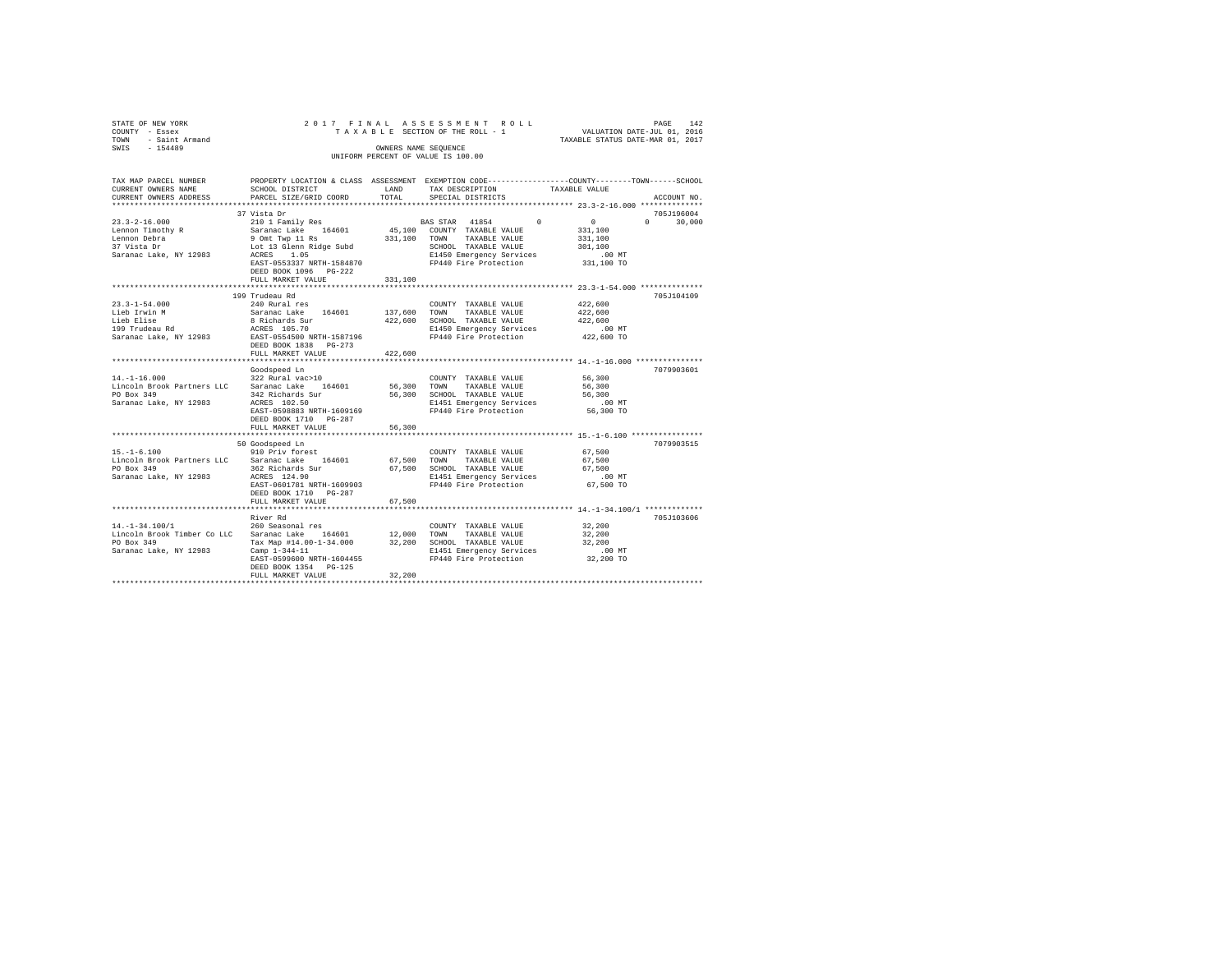| STATE OF NEW YORK                               |                           |                      | 2017 FINAL ASSESSMENT ROLL                                                                     |                                                                 | PAGE<br>142 |
|-------------------------------------------------|---------------------------|----------------------|------------------------------------------------------------------------------------------------|-----------------------------------------------------------------|-------------|
| COUNTY - Essex                                  |                           |                      | TAXABLE SECTION OF THE ROLL - 1                                                                | VALUATION DATE-JUL 01, 2016                                     |             |
| - Saint Armand<br>TOWN                          |                           |                      |                                                                                                | VALUATION DATE-JUL UI, 2010<br>TAXABLE STATUS DATE-MAR 01, 2017 |             |
| SWIS<br>$-154489$                               |                           | OWNERS NAME SEQUENCE |                                                                                                |                                                                 |             |
|                                                 |                           |                      | UNIFORM PERCENT OF VALUE IS 100.00                                                             |                                                                 |             |
|                                                 |                           |                      |                                                                                                |                                                                 |             |
|                                                 |                           |                      |                                                                                                |                                                                 |             |
| TAX MAP PARCEL NUMBER                           |                           |                      | PROPERTY LOCATION & CLASS ASSESSMENT EXEMPTION CODE---------------COUNTY-------TOWN-----SCHOOL |                                                                 |             |
| CURRENT OWNERS NAME                             | SCHOOL DISTRICT           | LAND                 | TAX DESCRIPTION                                                                                | TAXABLE VALUE                                                   |             |
| CURRENT OWNERS ADDRESS                          | PARCEL SIZE/GRID COORD    | TOTAL                | SPECIAL DISTRICTS                                                                              |                                                                 | ACCOUNT NO. |
|                                                 |                           |                      |                                                                                                |                                                                 |             |
|                                                 | 37 Vista Dr               |                      |                                                                                                |                                                                 | 705J196004  |
| $23.3 - 2 - 16.000$                             | 210 1 Family Res          |                      | BAS STAR 41854<br>$\Omega$                                                                     | $\sim$<br>$\Omega$                                              | 30,000      |
| Lennon Timothy R                                | Saranac Lake 164601       |                      | 45,100 COUNTY TAXABLE VALUE                                                                    | 331,100                                                         |             |
| Lennon Debra                                    | 9 Omt Twp 11 Rs           | 331,100 TOWN         | TAXABLE VALUE                                                                                  | 331,100                                                         |             |
| 37 Vista Dr                                     | Lot 13 Glenn Ridge Subd   |                      | SCHOOL TAXABLE VALUE                                                                           | 301,100                                                         |             |
| Saranac Lake, NY 12983                          | ACRES 1.05                |                      | E1450 Emergency Services                                                                       | $.00$ MT                                                        |             |
|                                                 | EAST-0553337 NRTH-1584870 |                      | FP440 Fire Protection                                                                          | 331,100 TO                                                      |             |
|                                                 | DEED BOOK 1096 PG-222     |                      |                                                                                                |                                                                 |             |
|                                                 | FULL MARKET VALUE         | 331,100              |                                                                                                |                                                                 |             |
|                                                 | ***********************   |                      | *********************************** 23.3-1-54.000 **************                               |                                                                 |             |
|                                                 | 199 Trudeau Rd            |                      |                                                                                                |                                                                 | 705J104109  |
| $23.3 - 1 - 54.000$                             | 240 Rural res             |                      | COUNTY TAXABLE VALUE                                                                           | 422,600                                                         |             |
| Lieb Irwin M                                    | Saranac Lake 164601       |                      | 137,600 TOWN TAXABLE VALUE                                                                     | 422,600                                                         |             |
| Lieb Elise                                      | 8 Richards Sur            | 422,600              | SCHOOL TAXABLE VALUE                                                                           | 422,600                                                         |             |
| 199 Trudeau Rd                                  | ACRES 105.70              |                      | E1450 Emergency Services                                                                       | $.00$ MT                                                        |             |
| Saranac Lake, NY 12983                          | EAST-0554500 NRTH-1587196 |                      | FP440 Fire Protection                                                                          | 422,600 TO                                                      |             |
|                                                 | DEED BOOK 1838 PG-273     |                      |                                                                                                |                                                                 |             |
|                                                 | FULL MARKET VALUE         | 422,600              |                                                                                                |                                                                 |             |
|                                                 |                           |                      |                                                                                                |                                                                 |             |
|                                                 | Goodspeed Ln              |                      |                                                                                                |                                                                 | 7079903601  |
| $14. - 1 - 16.000$                              | 322 Rural vac>10          |                      | COUNTY TAXABLE VALUE                                                                           | 56,300                                                          |             |
| Lincoln Brook Partners LLC Saranac Lake 164601  |                           | 56,300 TOWN          | TAXABLE VALUE                                                                                  | 56,300                                                          |             |
| PO Box 349                                      | 342 Richards Sur          |                      | 56,300 SCHOOL TAXABLE VALUE                                                                    | 56,300                                                          |             |
| Saranac Lake, NY 12983                          | ACRES 102.50              |                      | E1451 Emergency Services                                                                       | $.00$ MT                                                        |             |
|                                                 | EAST-0598883 NRTH-1609169 |                      | FP440 Fire Protection                                                                          | 56,300 TO                                                       |             |
|                                                 | DEED BOOK 1710 PG-287     |                      |                                                                                                |                                                                 |             |
|                                                 | FULL MARKET VALUE         | 56,300               |                                                                                                |                                                                 |             |
|                                                 |                           |                      |                                                                                                |                                                                 |             |
|                                                 | 50 Goodspeed Ln           |                      |                                                                                                |                                                                 | 7079903515  |
| $15. - 1 - 6.100$                               | 910 Priv forest           |                      | COUNTY TAXABLE VALUE                                                                           | 67,500                                                          |             |
| Lincoln Brook Partners LLC                      | Saranac Lake 164601       | 67,500 TOWN          | TAXABLE VALUE                                                                                  | 67,500                                                          |             |
| PO Box 349                                      | 362 Richards Sur          |                      | 67,500 SCHOOL TAXABLE VALUE                                                                    | 67.500                                                          |             |
| Saranac Lake, NY 12983                          | ACRES 124.90              |                      | E1451 Emergency Services                                                                       | .00 MT                                                          |             |
|                                                 | EAST-0601781 NRTH-1609903 |                      | FP440 Fire Protection                                                                          | 67,500 TO                                                       |             |
|                                                 | DEED BOOK 1710 PG-287     |                      |                                                                                                |                                                                 |             |
|                                                 | FULL MARKET VALUE         | 67,500               |                                                                                                |                                                                 |             |
|                                                 |                           |                      |                                                                                                |                                                                 |             |
|                                                 | River Rd                  |                      |                                                                                                |                                                                 | 705J103606  |
| $14. - 1 - 34.100/1$                            | 260 Seasonal res          |                      | COUNTY TAXABLE VALUE                                                                           | 32,200                                                          |             |
| Lincoln Brook Timber Co LLC Saranac Lake 164601 |                           | 12,000 TOWN          | TAXABLE VALUE                                                                                  | 32,200                                                          |             |
| PO Box 349                                      | Tax Map #14.00-1-34.000   |                      | 32,200 SCHOOL TAXABLE VALUE                                                                    | 32,200                                                          |             |
| Saranac Lake, NY 12983                          | Camp $1 - 344 - 11$       |                      | E1451 Emergency Services                                                                       | .00 MT                                                          |             |
|                                                 | EAST-0599600 NRTH-1604455 |                      | FP440 Fire Protection                                                                          | 32,200 TO                                                       |             |
|                                                 | DEED BOOK 1354 PG-125     |                      |                                                                                                |                                                                 |             |
|                                                 | FULL MARKET VALUE         | 32,200               |                                                                                                |                                                                 |             |
|                                                 |                           |                      |                                                                                                |                                                                 |             |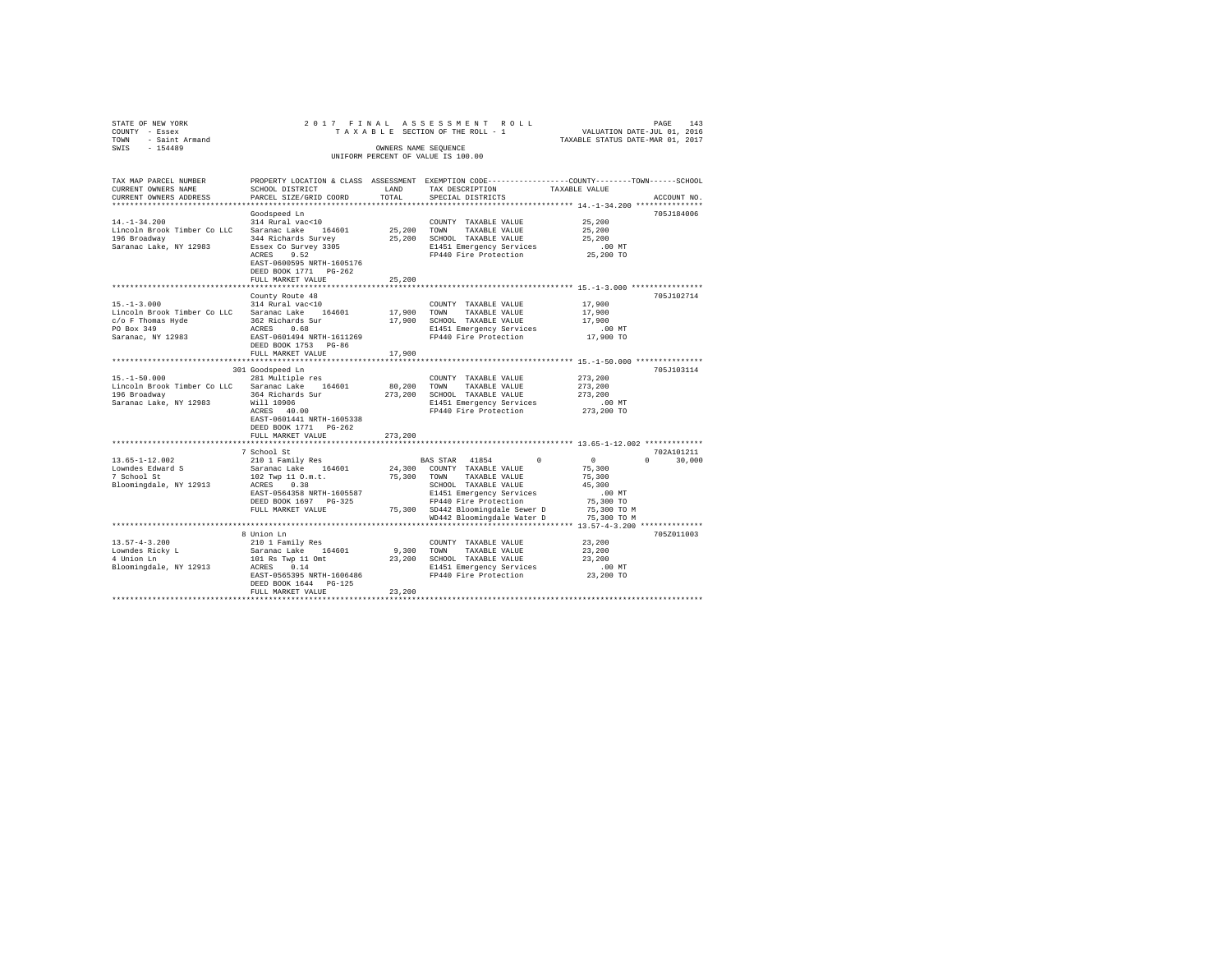| STATE OF NEW YORK                                       | 2017 FINAL ASSESSMENT ROLL |                      |                                    |               |                                                              | PAGE        | 143 |
|---------------------------------------------------------|----------------------------|----------------------|------------------------------------|---------------|--------------------------------------------------------------|-------------|-----|
| COUNTY - Essex                                          |                            |                      | TAXABLE SECTION OF THE ROLL - 1    |               | VALUATION DATE-JUL 01, 2016                                  |             |     |
| - Saint Armand<br>TOWN                                  |                            |                      |                                    |               | TAXABLE STATUS DATE-MAR 01, 2017                             |             |     |
| SWIS<br>$-154489$                                       |                            | OWNERS NAME SEOUENCE |                                    |               |                                                              |             |     |
|                                                         |                            |                      | UNIFORM PERCENT OF VALUE IS 100.00 |               |                                                              |             |     |
|                                                         |                            |                      |                                    |               |                                                              |             |     |
|                                                         |                            |                      |                                    |               |                                                              |             |     |
| TAX MAP PARCEL NUMBER                                   | PROPERTY LOCATION & CLASS  | ASSESSMENT           |                                    |               | EXEMPTION CODE-----------------COUNTY-------TOWN------SCHOOL |             |     |
| CURRENT OWNERS NAME                                     | SCHOOL DISTRICT            | LAND                 | TAX DESCRIPTION                    |               | TAXABLE VALUE                                                |             |     |
| CURRENT OWNERS ADDRESS . PARCEL SIZE/GRID COORD . TOTAL |                            |                      | SPECIAL DISTRICTS                  |               |                                                              | ACCOUNT NO. |     |
|                                                         |                            |                      |                                    |               |                                                              |             |     |
|                                                         | Goodspeed Ln               |                      |                                    |               |                                                              | 705J184006  |     |
| $14. - 1 - 34.200$                                      | 314 Rural vac<10           |                      | COUNTY                             | TAXABLE VALUE | 25,200                                                       |             |     |
| Lincoln Brook Timber Co LLC                             | Saranac Lake 164601        | 25,200               | TOWN                               | TAXABLE VALUE | 25,200                                                       |             |     |
| 196 Broadway                                            | 344 Richards Survey        | 25,200               | SCHOOL TAXABLE VALUE               |               | 25,200                                                       |             |     |
|                                                         |                            |                      |                                    |               |                                                              |             |     |

| 120 DLUdUWAY<br>Saranac Lake, NY 12983                                                                              | 344 Althards Survey<br>Essex Co Survey 3305<br>ACRES<br>9.52<br>EAST-0600595 NRTH-1605176<br>DEED BOOK 1771 PG-262<br>FULL MARKET VALUE                                                                                       | 23,200<br>25,200               | SURVUL IRARDIA VALUA<br>E1451 Emergency Services<br>FP440 Fire Protection                                                                                                                     | 23,200<br>.00MT<br>25,200 TO                                                    |                                              |
|---------------------------------------------------------------------------------------------------------------------|-------------------------------------------------------------------------------------------------------------------------------------------------------------------------------------------------------------------------------|--------------------------------|-----------------------------------------------------------------------------------------------------------------------------------------------------------------------------------------------|---------------------------------------------------------------------------------|----------------------------------------------|
|                                                                                                                     |                                                                                                                                                                                                                               |                                |                                                                                                                                                                                               |                                                                                 |                                              |
| $15. -1 - 3.000$<br>Lincoln Brook Timber Co LLC<br>c/o F Thomas Hyde<br>PO Box 349<br>Saranac, NY 12983             | County Route 48<br>314 Rural vac<10<br>Saranac Lake<br>164601<br>362 Richards Sur<br>0.68<br>ACRES<br>EAST-0601494 NRTH-1611269<br>DEED BOOK 1753 PG-86<br>FULL MARKET VALUE                                                  | 17,900<br>17,900<br>17,900     | COUNTY TAXABLE VALUE<br>TOWN<br>TAXABLE VALUE<br>SCHOOL TAXABLE VALUE<br>E1451 Emergency Services<br>FP440 Fire Protection                                                                    | 17,900<br>17,900<br>17,900<br>$.00$ MT<br>17,900 TO                             | 705J102714                                   |
|                                                                                                                     |                                                                                                                                                                                                                               |                                |                                                                                                                                                                                               |                                                                                 |                                              |
| $15. - 1 - 50.000$<br>Lincoln Brook Timber Co LLC<br>196 Broadway<br>Saranac Lake, NY 12983<br>$13.65 - 1 - 12.002$ | 301 Goodspeed Ln<br>281 Multiple res<br>164601<br>Saranac Lake<br>364 Richards Sur<br>Will 10906<br>ACRES 40.00<br>EAST-0601441 NRTH-1605338<br>DEED BOOK 1771 PG-262<br>FULL MARKET VALUE<br>7 School St<br>210 1 Family Res | 80,200<br>273,200<br>273,200   | COUNTY TAXABLE VALUE<br>TOWN<br>TAXABLE VALUE<br>SCHOOL TAXABLE VALUE<br>E1451 Emergency Services<br>FP440 Fire Protection<br>BAS STAR<br>41854                                               | 273,200<br>273,200<br>273,200<br>.00 MT<br>273,200 TO<br>$\Omega$               | 705J103114<br>702A101211<br>30,000<br>$\cap$ |
| Lowndes Edward S<br>7 School St<br>Bloomingdale, NY 12913                                                           | 164601<br>Saranac Lake<br>102 Twp 11 O.m.t.<br>0.38<br>ACRES<br>EAST-0564358 NRTH-1605587<br>DEED BOOK 1697 PG-325<br>FULL MARKET VALUE                                                                                       | 24,300<br>75,300               | COUNTY TAXABLE VALUE<br>TAXABLE VALUE<br>TOWN<br>SCHOOL TAXABLE VALUE<br>E1451 Emergency Services<br>FP440 Fire Protection<br>75,300 SD442 Bloomingdale Sewer D<br>WD442 Bloomingdale Water D | 75,300<br>75,300<br>45,300<br>.00 MT<br>75,300 TO<br>75,300 TO M<br>75,300 TO M |                                              |
|                                                                                                                     |                                                                                                                                                                                                                               |                                |                                                                                                                                                                                               |                                                                                 |                                              |
| $13.57 - 4 - 3.200$<br>Lowndes Ricky L<br>4 Union Ln<br>Bloomingdale, NY 12913                                      | 8 Union Ln<br>210 1 Family Res<br>164601<br>Saranac Lake<br>101 Rs Twp 11 Omt<br>ACRES<br>0.14<br>EAST-0565395 NRTH-1606486<br>DEED BOOK 1644 PG-125<br>FULL MARKET VALUE                                                     | 9.300 TOWN<br>23,200<br>23,200 | COUNTY TAXABLE VALUE<br>TAXABLE VALUE<br>SCHOOL TAXABLE VALUE<br>E1451 Emergency Services<br>FP440 Fire Protection                                                                            | 23,200<br>23,200<br>23,200<br>$.00$ MT<br>23,200 TO                             | 705Z011003                                   |
|                                                                                                                     |                                                                                                                                                                                                                               |                                |                                                                                                                                                                                               |                                                                                 |                                              |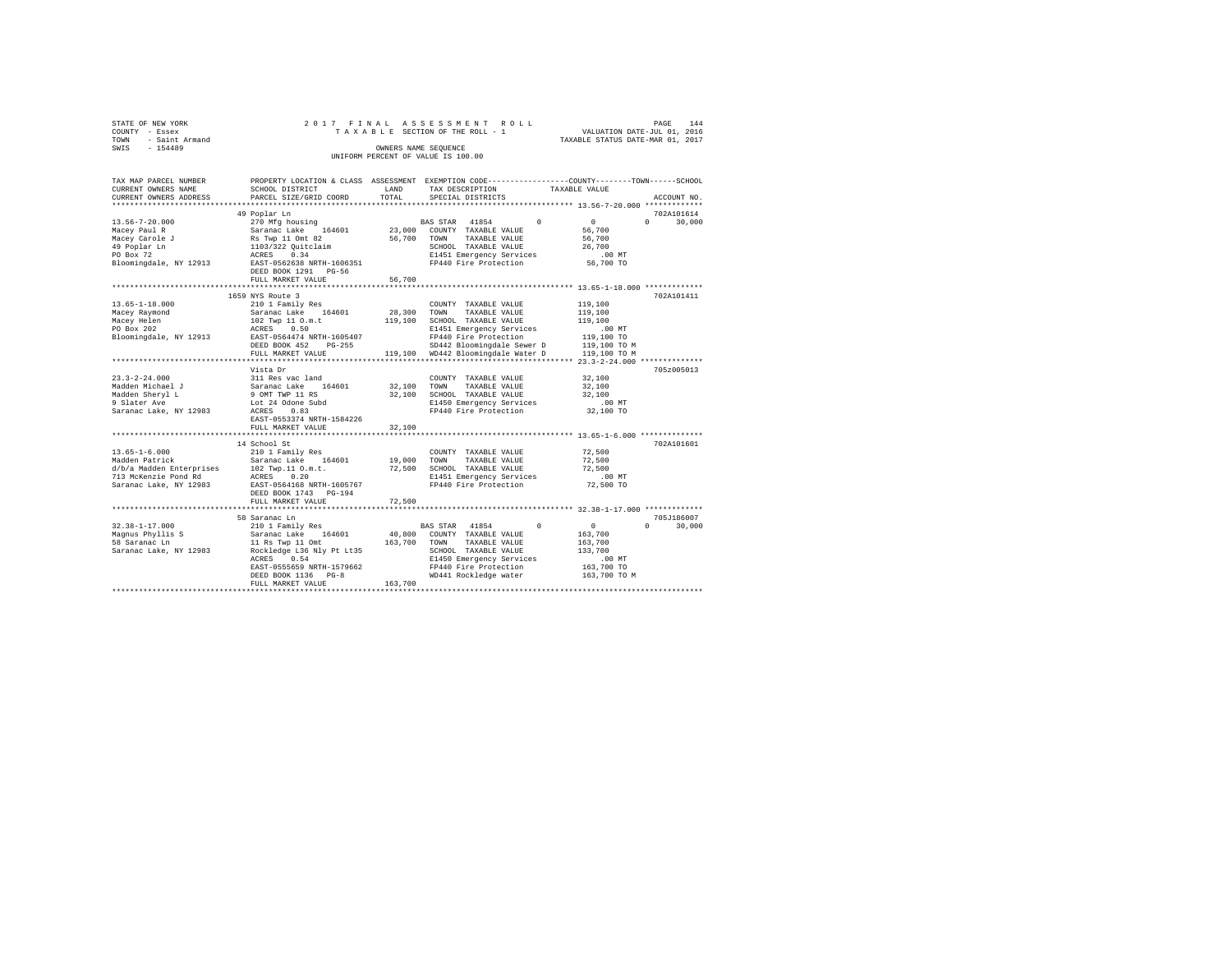| TOWN | STATE OF NEW YORK<br>COUNTY - Essex<br>- Saint Armand |                                                         |      | 2017 FINAL ASSESSMENT ROLL<br>TAXABLE SECTION OF THE ROLL - 1                   | TAXABLE STATUS DATE-MAR 01, 2017 | PAGE<br>VALUATION DATE-JUL 01, 2016 | 144 |
|------|-------------------------------------------------------|---------------------------------------------------------|------|---------------------------------------------------------------------------------|----------------------------------|-------------------------------------|-----|
| SWIS | $-154489$                                             |                                                         |      | OWNERS NAME SEOUENCE<br>UNIFORM PERCENT OF VALUE IS 100.00                      |                                  |                                     |     |
|      | TAX MAP PARCEL NUMBER<br>CURRENT OWNERS NAME          | PROPERTY LOCATION & CLASS ASSESSMENT<br>SCHOOL DISTRICT | LAND | EXEMPTION CODE-----------------COUNTY-------TOWN------SCHOOL<br>TAX DESCRIPTION | TAXABLE VALUE                    |                                     |     |

| CONNER L ORNERO NAME     | neman nenturet                                              | <b>HULLED</b> | TUV DEGATETTOM                     |              |                    |
|--------------------------|-------------------------------------------------------------|---------------|------------------------------------|--------------|--------------------|
| CURRENT OWNERS ADDRESS   | PARCEL SIZE/GRID COORD                                      | TOTAL         | SPECIAL DISTRICTS                  |              | ACCOUNT NO.        |
|                          |                                                             |               |                                    |              |                    |
|                          | 49 Poplar Ln                                                |               |                                    |              | 702A101614         |
| $13.56 - 7 - 20.000$     | 270 Mfg housing                                             |               | $\Omega$<br>BAS STAR 41854         | $\Omega$     | $\Omega$<br>30,000 |
| Macey Paul R             | Saranac Lake 164601                                         |               | 23,000 COUNTY TAXABLE VALUE        | 56,700       |                    |
|                          |                                                             |               |                                    |              |                    |
| Macey Carole J           |                                                             |               | 56,700 TOWN<br>TAXABLE VALUE       | 56,700       |                    |
| 49 Poplar Ln             | Rs Twp 11 Omt 82<br>1103/322 Quitclaim<br>ACRES 0.34        |               | SCHOOL TAXABLE VALUE               | 26,700       |                    |
| PO Box 72                |                                                             |               | E1451 Emergency Services           | $.00$ MT     |                    |
| Bloomingdale, NY 12913   | EAST-0562638 NRTH-1606351                                   |               | FP440 Fire Protection              | 56,700 TO    |                    |
|                          | DEED BOOK 1291 PG-56                                        |               |                                    |              |                    |
|                          | FULL MARKET VALUE                                           | 56,700        |                                    |              |                    |
|                          |                                                             |               |                                    |              |                    |
|                          | 1659 NYS Route 3                                            |               |                                    |              | 702A101411         |
| $13.65 - 1 - 18.000$     | 210 1 Family Res                                            |               | COUNTY TAXABLE VALUE               | 119,100      |                    |
|                          |                                                             |               |                                    |              |                    |
| Macey Raymond            | Saranac Lake 164601                                         | 28,300 TOWN   | TAXABLE VALUE                      | 119,100      |                    |
| Macey Helen              | 102 Twp 11 O.m.t                                            |               | 119,100 SCHOOL TAXABLE VALUE       | 119,100      |                    |
| PO Box 202               | 0.50<br>ACRES                                               |               | E1451 Emergency Services           | .00MT        |                    |
| Bloomingdale, NY 12913   | EAST-0564474 NRTH-1605407                                   |               | FP440 Fire Protection              | 119,100 TO   |                    |
|                          | DEED BOOK 452 PG-255                                        |               | SD442 Bloomingdale Sewer D         | 119,100 TO M |                    |
|                          | FULL MARKET VALUE                                           |               | 119,100 WD442 Bloomingdale Water D | 119,100 TO M |                    |
|                          | *************************************                       |               |                                    |              |                    |
|                          | Vista Dr                                                    |               |                                    |              | 705z005013         |
| $23.3 - 2 - 24.000$      |                                                             |               |                                    |              |                    |
|                          | 311 Res vac land                                            |               | COUNTY TAXABLE VALUE               | 32,100       |                    |
| Madden Michael J         |                                                             | 32,100 TOWN   | TAXABLE VALUE                      | 32,100       |                    |
| Madden Sheryl L          | Saranac Lake 164601<br>9 OMT TWP 11 RS<br>Lot 24 Odone Subd |               | 32,100 SCHOOL TAXABLE VALUE        | 32,100       |                    |
| 9 Slater Ave             |                                                             |               | E1450 Emergency Services           | $.00$ MT     |                    |
| Saranac Lake, NY 12983   | ACRES 0.83                                                  |               | FP440 Fire Protection              | 32,100 TO    |                    |
|                          | EAST-0553374 NRTH-1584226                                   |               |                                    |              |                    |
|                          | FULL MARKET VALUE                                           | 32,100        |                                    |              |                    |
|                          |                                                             |               |                                    |              |                    |
|                          | 14 School St                                                |               |                                    |              | 702A101601         |
| $13.65 - 1 - 6.000$      |                                                             |               |                                    |              |                    |
|                          | 210 1 Family Res                                            |               | COUNTY TAXABLE VALUE               | 72,500       |                    |
| Madden Patrick           | Saranac Lake 164601                                         |               | 19,000 TOWN<br>TAXABLE VALUE       | 72,500       |                    |
| d/b/a Madden Enterprises | 102 Twp.11 O.m.t.                                           |               | 72,500 SCHOOL TAXABLE VALUE        | 72,500       |                    |
| 713 McKenzie Pond Rd     | ACRES 0.20                                                  |               | E1451 Emergency Services           | $.00$ MT     |                    |
| Saranac Lake, NY 12983   | EAST-0564168 NRTH-1605767                                   |               | FP440 Fire Protection              | 72,500 TO    |                    |
|                          | DEED BOOK 1743 PG-194                                       |               |                                    |              |                    |
|                          | FULL MARKET VALUE                                           | 72,500        |                                    |              |                    |
|                          |                                                             |               |                                    |              |                    |
|                          | 58 Saranac Ln                                               |               |                                    |              | 705J186007         |
| $32.38 - 1 - 17.000$     |                                                             |               | BAS STAR 41854<br>$^{\circ}$       | $\circ$      | $\Omega$           |
|                          | 210 1 Family Res                                            |               |                                    |              | 30,000             |
| Magnus Phyllis S         | Saranac Lake 164601                                         | 40,800        | COUNTY TAXABLE VALUE               | 163,700      |                    |
| 58 Saranac Ln            | 11 Rs Twp 11 Omt                                            | 163,700 TOWN  | TAXABLE VALUE                      | 163,700      |                    |
| Saranac Lake, NY 12983   | Rockledge L36 Nly Pt Lt35                                   |               | SCHOOL TAXABLE VALUE               | 133,700      |                    |
|                          | 0.54<br>ACRES                                               |               | E1450 Emergency Services           | $.00$ MT     |                    |
|                          | EAST-0555659 NRTH-1579662                                   |               | FP440 Fire Protection              | 163,700 TO   |                    |
|                          | DEED BOOK 1136 PG-8                                         |               | WD441 Rockledge water              | 163,700 TO M |                    |
|                          | FULL MARKET VALUE                                           | 163,700       |                                    |              |                    |
|                          |                                                             |               |                                    |              |                    |
|                          |                                                             |               |                                    |              |                    |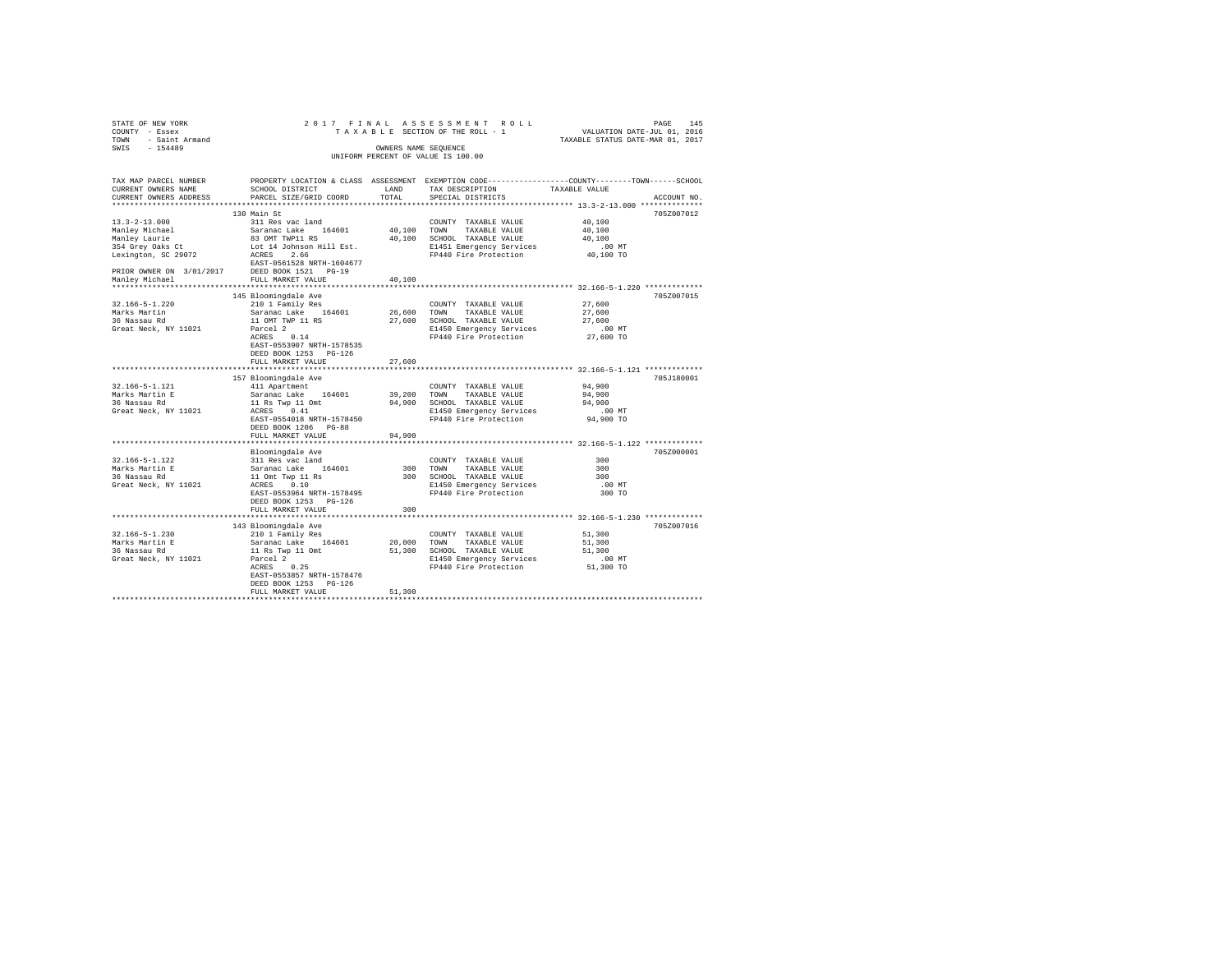| STATE OF NEW YORK<br>COUNTY - Essex<br>- Saint Armand<br>TOWN |                                         |                      | 2017 FINAL ASSESSMENT ROLL<br>TAXABLE SECTION OF THE ROLL - 1                                    | VALUATION DATE-JUL 01, 2016<br>TAXABLE STATUS DATE-MAR 01, 2017 | PAGE<br>145 |
|---------------------------------------------------------------|-----------------------------------------|----------------------|--------------------------------------------------------------------------------------------------|-----------------------------------------------------------------|-------------|
| SWIS - 154489                                                 |                                         | OWNERS NAME SEOUENCE |                                                                                                  |                                                                 |             |
|                                                               |                                         |                      | UNIFORM PERCENT OF VALUE IS 100.00                                                               |                                                                 |             |
|                                                               |                                         |                      |                                                                                                  |                                                                 |             |
|                                                               |                                         |                      |                                                                                                  |                                                                 |             |
| TAX MAP PARCEL NUMBER                                         |                                         |                      | PROPERTY LOCATION & CLASS ASSESSMENT EXEMPTION CODE----------------COUNTY-------TOWN------SCHOOL |                                                                 |             |
| CURRENT OWNERS NAME                                           | SCHOOL DISTRICT                         | <b>T.AND</b>         | TAX DESCRIPTION                                                                                  | TAXABLE VALUE                                                   |             |
| CURRENT OWNERS ADDRESS                                        | PARCEL SIZE/GRID COORD                  | TOTAL                | SPECIAL DISTRICTS                                                                                |                                                                 | ACCOUNT NO. |
|                                                               |                                         |                      |                                                                                                  |                                                                 |             |
|                                                               | 130 Main St                             |                      |                                                                                                  |                                                                 | 705Z007012  |
| $13.3 - 2 - 13.000$                                           | 311 Res vac land<br>Saranac Lake 164601 | 40,100               | COUNTY TAXABLE VALUE                                                                             | 40,100<br>40,100                                                |             |
| Manley Michael<br>Manley Laurie                               | 83 OMT TWP11 RS                         | 40,100               | TOWN<br>TAXABLE VALUE<br>SCHOOL TAXABLE VALUE                                                    | 40,100                                                          |             |
| 354 Grey Oaks Ct                                              | Lot 14 Johnson Hill Est.                |                      | E1451 Emergency Services                                                                         | $.00$ MT                                                        |             |
| Lexington, SC 29072                                           | ACRES<br>2.66                           |                      | FP440 Fire Protection                                                                            | 40,100 TO                                                       |             |
|                                                               | EAST-0561528 NRTH-1604677               |                      |                                                                                                  |                                                                 |             |
| PRIOR OWNER ON 3/01/2017                                      | DEED BOOK 1521 PG-19                    |                      |                                                                                                  |                                                                 |             |
| Manley Michael                                                | FULL MARKET VALUE                       | 40,100               |                                                                                                  |                                                                 |             |
| *********************                                         | ***************************             | .                    | ******************************* 32.166-5-1.220 *************                                     |                                                                 |             |
|                                                               | 145 Bloomingdale Ave                    |                      |                                                                                                  |                                                                 | 705Z007015  |
| $32.166 - 5 - 1.220$                                          | 210 1 Family Res                        |                      | COUNTY TAXABLE VALUE                                                                             | 27,600                                                          |             |
| Marks Martin                                                  | Saranac Lake 164601                     | 26,600               | TOWN<br>TAXABLE VALUE                                                                            | 27,600                                                          |             |
| 36 Nassau Rd                                                  | 11 OMT TWP 11 RS                        | 27,600               | SCHOOL TAXABLE VALUE                                                                             | 27,600                                                          |             |
| Great Neck, NY 11021                                          | Parcel 2                                |                      | E1450 Emergency Services                                                                         | $.00$ MT                                                        |             |
|                                                               | ACRES<br>0.14                           |                      | FP440 Fire Protection                                                                            | 27,600 TO                                                       |             |
|                                                               | EAST-0553907 NRTH-1578535               |                      |                                                                                                  |                                                                 |             |
|                                                               | DEED BOOK 1253 PG-126                   |                      |                                                                                                  |                                                                 |             |
|                                                               | FULL MARKET VALUE                       | 27,600               |                                                                                                  |                                                                 |             |
|                                                               |                                         |                      |                                                                                                  |                                                                 | 705J180001  |
| $32.166 - 5 - 1.121$                                          | 157 Bloomingdale Ave<br>411 Apartment   |                      | COUNTY TAXABLE VALUE                                                                             | 94,900                                                          |             |
| Marks Martin E                                                | Saranac Lake 164601                     | 39,200               | TOWN<br>TAXABLE VALUE                                                                            | 94,900                                                          |             |
| 36 Nassau Rd                                                  | 11 Rs Twp 11 Omt                        | 94,900               | SCHOOL TAXABLE VALUE                                                                             | 94,900                                                          |             |
| Great Neck, NY 11021                                          | ACRES<br>0.41                           |                      | E1450 Emergency Services                                                                         | $.00$ MT                                                        |             |
|                                                               | EAST-0554018 NRTH-1578450               |                      | FP440 Fire Protection                                                                            | 94,900 TO                                                       |             |
|                                                               | DEED BOOK 1206 PG-88                    |                      |                                                                                                  |                                                                 |             |
|                                                               | FULL MARKET VALUE                       | 94,900               |                                                                                                  |                                                                 |             |
|                                                               |                                         |                      |                                                                                                  |                                                                 |             |
|                                                               | Bloomingdale Ave                        |                      |                                                                                                  |                                                                 | 705Z000001  |
| $32.166 - 5 - 1.122$                                          | 311 Res vac land                        |                      | COUNTY TAXABLE VALUE                                                                             | 300                                                             |             |
| Marks Martin E                                                | Saranac Lake 164601                     | 300                  | TAXABLE VALUE<br>TOWN                                                                            | 300                                                             |             |
| 36 Nassau Rd                                                  | 11 Omt Twp 11 Rs                        | 300                  | SCHOOL TAXABLE VALUE                                                                             | 300                                                             |             |
| Great Neck, NY 11021                                          | ACRES<br>0.10                           |                      | E1450 Emergency Services                                                                         | $.00$ MT                                                        |             |
|                                                               | EAST-0553964 NRTH-1578495               |                      | FP440 Fire Protection                                                                            | 300 TO                                                          |             |
|                                                               | DEED BOOK 1253 PG-126                   |                      |                                                                                                  |                                                                 |             |
|                                                               | FULL MARKET VALUE                       | 300                  | **************************** 32.166-5-1.230 **********                                           |                                                                 |             |
|                                                               |                                         |                      |                                                                                                  |                                                                 |             |

143 Bloomingdale Ave 705Z007016 32.166-5-1.230 210 1 Family Res COUNTY TAXABLE VALUE 51,300 Marks Martin E Saranac Lake 164601 20,000 TOWN TAXABLE VALUE 51,300 36 Nassau Rd 11 Rs Twp 11 Omt 51,300 SCHOOL TAXABLE VALUE 51,300 Great Neck, NY 11021 Parcel 2 E1450 Emergency Services .00 MT ACRES 0.25 FP440 Fire Protection 51,300 TO EAST-0553857 NRTH-1578476 DEED BOOK 1253 PG-126 FULL MARKET VALUE 51,300 \*\*\*\*\*\*\*\*\*\*\*\*\*\*\*\*\*\*\*\*\*\*\*\*\*\*\*\*\*\*\*\*\*\*\*\*\*\*\*\*\*\*\*\*\*\*\*\*\*\*\*\*\*\*\*\*\*\*\*\*\*\*\*\*\*\*\*\*\*\*\*\*\*\*\*\*\*\*\*\*\*\*\*\*\*\*\*\*\*\*\*\*\*\*\*\*\*\*\*\*\*\*\*\*\*\*\*\*\*\*\*\*\*\*\*\*\*\*\*\*\*\*\*\*\*\*\*\*\*\*\*\*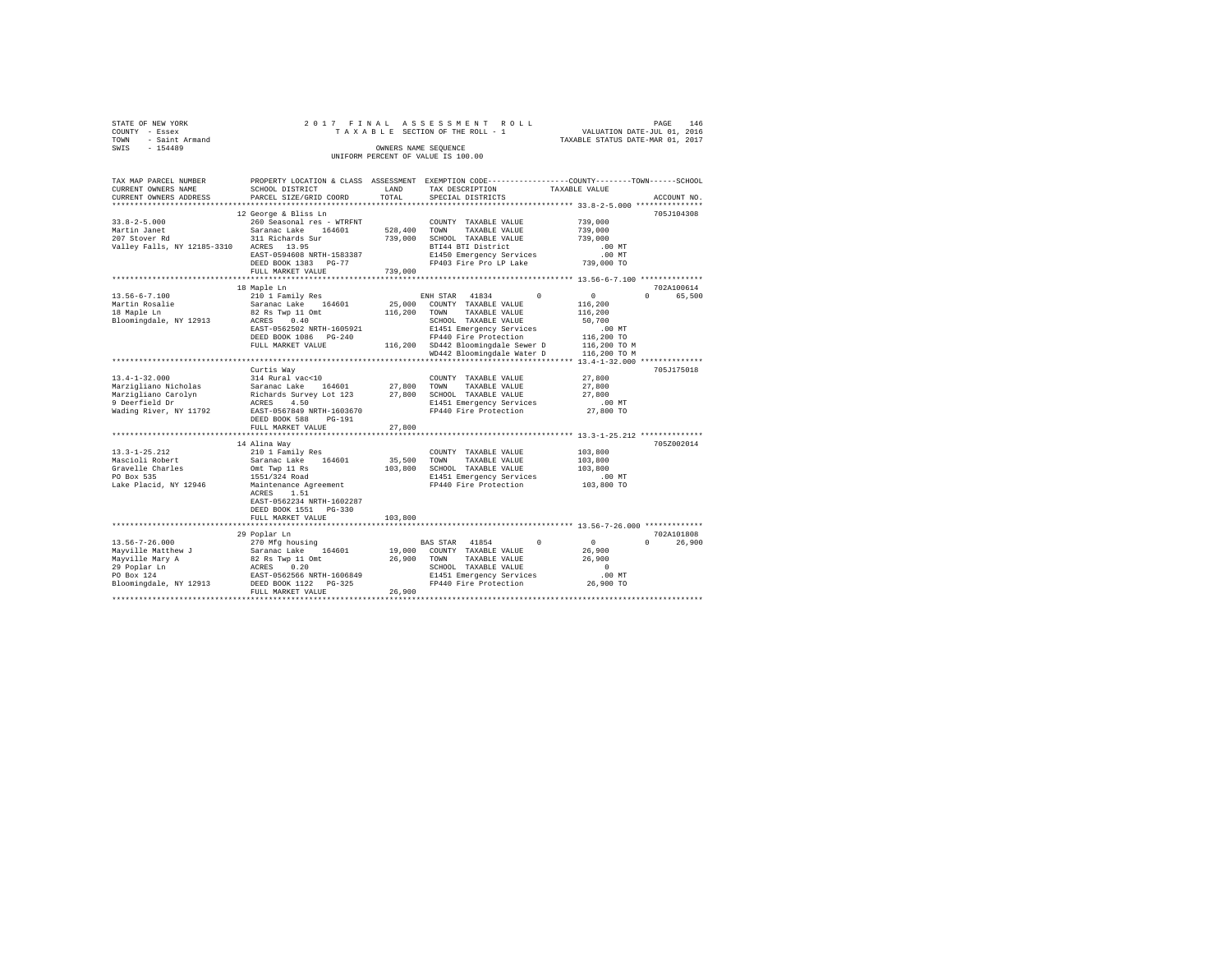| STATE OF NEW YORK      | 2017 FINAL ASSESSMENT ROLL         | 146<br>PAGE                      |
|------------------------|------------------------------------|----------------------------------|
| COUNTY - Essex         | TAXABLE SECTION OF THE ROLL - 1    | VALUATION DATE-JUL 01, 2016      |
| - Saint Armand<br>TOWN |                                    | TAXABLE STATUS DATE-MAR 01, 2017 |
| $-154489$<br>SWIS      | OWNERS NAME SEOUENCE               |                                  |
|                        | UNIFORM PERCENT OF VALUE IS 100.00 |                                  |

| ***********************<br>12 George & Bliss Ln<br>705J104308<br>$33.8 - 2 - 5.000$<br>260 Seasonal res - WTRFNT<br>739,000<br>COUNTY TAXABLE VALUE<br>Martin Janet<br>Saranac Lake 164601<br>528,400<br>TOWN<br>TAXABLE VALUE<br>739,000<br>207 Stover Rd<br>311 Richards Sur<br>739,000<br>SCHOOL TAXABLE VALUE<br>739,000<br>Valley Falls, NY 12185-3310<br>BTI44 BTI District<br>ACRES 13.95<br>$.00$ MT<br>EAST-0594608 NRTH-1583387<br>E1450 Emergency Services<br>.00 MT<br>FP403 Fire Pro LP Lake<br>DEED BOOK 1383 PG-77<br>739,000 TO<br>FULL MARKET VALUE<br>739,000<br>********************************** 13.56-6-7.100 ***************<br>18 Maple Ln<br>702A100614<br>$13.56 - 6 - 7.100$<br>65,500<br>210 1 Family Res<br>ENH STAR 41834<br>$\Omega$<br>$^{\circ}$<br>$\cap$<br>Martin Rosalie<br>Saranac Lake<br>164601<br>25,000<br>COUNTY TAXABLE VALUE<br>116,200<br>82 Rs Twp 11 Omt<br>116,200<br>18 Maple Ln<br>TOWN<br>TAXABLE VALUE<br>116,200<br>Bloomingdale, NY 12913<br>ACRES 0.40<br>SCHOOL TAXABLE VALUE<br>50,700<br>EAST-0562502 NRTH-1605921<br>E1451 Emergency Services<br>.00MT<br>FP440 Fire Protection<br>116,200 TO<br>DEED BOOK 1086 PG-240<br>116,200 SD442 Bloomingdale Sewer D<br>116,200 TO M<br>FULL MARKET VALUE<br>WD442 Bloomingdale Water D<br>116,200 TO M<br><br>********** 13.4-1-32.000 **<br>Curtis Way<br>705J175018<br>$13.4 - 1 - 32.000$<br>27.800<br>314 Rural vac<10<br>COUNTY TAXABLE VALUE<br>Marzigliano Nicholas<br>Saranac Lake<br>164601<br>27,800 TOWN<br>TAXABLE VALUE<br>27,800<br>Marzigliano Carolyn<br>27,800<br>27,800<br>Richards Survey Lot 123<br>SCHOOL TAXABLE VALUE<br>9 Deerfield Dr<br>4.50<br>E1451 Emergency Services<br>.00 MT<br>ACRES<br>Wading River, NY 11792<br>EAST-0567849 NRTH-1603670<br>FP440 Fire Protection<br>27,800 TO<br>DEED BOOK 588<br>$PG-191$<br>27,800<br>FULL MARKET VALUE<br>14 Alina Wav<br>705Z002014<br>$13.3 - 1 - 25.212$<br>210 1 Family Res<br>103,800<br>COUNTY TAXABLE VALUE<br>Mascioli Robert<br>Saranac Lake 164601<br>35,500<br>TOWN<br>TAXABLE VALUE<br>103,800<br>Gravelle Charles<br>103,800 SCHOOL TAXABLE VALUE<br>103,800<br>Omt Twp 11 Rs<br>PO Box 535<br>1551/324 Road<br>E1451 Emergency Services<br>$.00$ MT<br>FP440 Fire Protection<br>Lake Placid, NY 12946<br>Maintenance Agreement<br>103,800 TO<br>1.51<br>ACRES<br>EAST-0562234 NRTH-1602287<br>DEED BOOK 1551 PG-330<br>FULL MARKET VALUE<br>103,800<br>**************************<br>************************************* 13.56-7-26.000 **************<br>702A101808<br>29 Poplar Ln<br>$13.56 - 7 - 26.000$<br>270 Mfg housing<br>BAS STAR 41854<br>$\Omega$<br>$\circ$<br>$\Omega$<br>Mayville Matthew J<br>Saranac Lake 164601<br>19,000<br>COUNTY TAXABLE VALUE<br>26,900<br>26,900<br>Mayville Mary A<br>82 Rs Twp 11 Omt<br>TAXABLE VALUE<br>26,900<br>TOWN<br>0.20<br>SCHOOL TAXABLE VALUE<br>$\Omega$<br>29 Poplar Ln<br>ACRES<br>PO Box 124<br>EAST-0562566 NRTH-1606849<br>E1451 Emergency Services<br>.00MT<br>Bloomingdale, NY 12913<br>FP440 Fire Protection<br>DEED BOOK 1122 PG-325<br>26,900 TO<br>FULL MARKET VALUE<br>26,900 | TAX MAP PARCEL NUMBER<br>CURRENT OWNERS NAME<br>CURRENT OWNERS ADDRESS | SCHOOL DISTRICT<br>PARCEL SIZE/GRID COORD | LAND<br>TOTAL | PROPERTY LOCATION & CLASS ASSESSMENT EXEMPTION CODE-----------------COUNTY-------TOWN------SCHOOL<br>TAX DESCRIPTION<br>SPECIAL DISTRICTS | TAXABLE VALUE<br>ACCOUNT NO. |
|---------------------------------------------------------------------------------------------------------------------------------------------------------------------------------------------------------------------------------------------------------------------------------------------------------------------------------------------------------------------------------------------------------------------------------------------------------------------------------------------------------------------------------------------------------------------------------------------------------------------------------------------------------------------------------------------------------------------------------------------------------------------------------------------------------------------------------------------------------------------------------------------------------------------------------------------------------------------------------------------------------------------------------------------------------------------------------------------------------------------------------------------------------------------------------------------------------------------------------------------------------------------------------------------------------------------------------------------------------------------------------------------------------------------------------------------------------------------------------------------------------------------------------------------------------------------------------------------------------------------------------------------------------------------------------------------------------------------------------------------------------------------------------------------------------------------------------------------------------------------------------------------------------------------------------------------------------------------------------------------------------------------------------------------------------------------------------------------------------------------------------------------------------------------------------------------------------------------------------------------------------------------------------------------------------------------------------------------------------------------------------------------------------------------------------------------------------------------------------------------------------------------------------------------------------------------------------------------------------------------------------------------------------------------------------------------------------------------------------------------------------------------------------------------------------------------------------------------------------------------------------------------------------------------------------------------------------------------------------------------------------------------------------------------------------------------------------------------------------------------------------------------|------------------------------------------------------------------------|-------------------------------------------|---------------|-------------------------------------------------------------------------------------------------------------------------------------------|------------------------------|
|                                                                                                                                                                                                                                                                                                                                                                                                                                                                                                                                                                                                                                                                                                                                                                                                                                                                                                                                                                                                                                                                                                                                                                                                                                                                                                                                                                                                                                                                                                                                                                                                                                                                                                                                                                                                                                                                                                                                                                                                                                                                                                                                                                                                                                                                                                                                                                                                                                                                                                                                                                                                                                                                                                                                                                                                                                                                                                                                                                                                                                                                                                                                             |                                                                        |                                           |               |                                                                                                                                           |                              |
|                                                                                                                                                                                                                                                                                                                                                                                                                                                                                                                                                                                                                                                                                                                                                                                                                                                                                                                                                                                                                                                                                                                                                                                                                                                                                                                                                                                                                                                                                                                                                                                                                                                                                                                                                                                                                                                                                                                                                                                                                                                                                                                                                                                                                                                                                                                                                                                                                                                                                                                                                                                                                                                                                                                                                                                                                                                                                                                                                                                                                                                                                                                                             |                                                                        |                                           |               |                                                                                                                                           |                              |
|                                                                                                                                                                                                                                                                                                                                                                                                                                                                                                                                                                                                                                                                                                                                                                                                                                                                                                                                                                                                                                                                                                                                                                                                                                                                                                                                                                                                                                                                                                                                                                                                                                                                                                                                                                                                                                                                                                                                                                                                                                                                                                                                                                                                                                                                                                                                                                                                                                                                                                                                                                                                                                                                                                                                                                                                                                                                                                                                                                                                                                                                                                                                             |                                                                        |                                           |               |                                                                                                                                           |                              |
|                                                                                                                                                                                                                                                                                                                                                                                                                                                                                                                                                                                                                                                                                                                                                                                                                                                                                                                                                                                                                                                                                                                                                                                                                                                                                                                                                                                                                                                                                                                                                                                                                                                                                                                                                                                                                                                                                                                                                                                                                                                                                                                                                                                                                                                                                                                                                                                                                                                                                                                                                                                                                                                                                                                                                                                                                                                                                                                                                                                                                                                                                                                                             |                                                                        |                                           |               |                                                                                                                                           |                              |
|                                                                                                                                                                                                                                                                                                                                                                                                                                                                                                                                                                                                                                                                                                                                                                                                                                                                                                                                                                                                                                                                                                                                                                                                                                                                                                                                                                                                                                                                                                                                                                                                                                                                                                                                                                                                                                                                                                                                                                                                                                                                                                                                                                                                                                                                                                                                                                                                                                                                                                                                                                                                                                                                                                                                                                                                                                                                                                                                                                                                                                                                                                                                             |                                                                        |                                           |               |                                                                                                                                           |                              |
|                                                                                                                                                                                                                                                                                                                                                                                                                                                                                                                                                                                                                                                                                                                                                                                                                                                                                                                                                                                                                                                                                                                                                                                                                                                                                                                                                                                                                                                                                                                                                                                                                                                                                                                                                                                                                                                                                                                                                                                                                                                                                                                                                                                                                                                                                                                                                                                                                                                                                                                                                                                                                                                                                                                                                                                                                                                                                                                                                                                                                                                                                                                                             |                                                                        |                                           |               |                                                                                                                                           |                              |
|                                                                                                                                                                                                                                                                                                                                                                                                                                                                                                                                                                                                                                                                                                                                                                                                                                                                                                                                                                                                                                                                                                                                                                                                                                                                                                                                                                                                                                                                                                                                                                                                                                                                                                                                                                                                                                                                                                                                                                                                                                                                                                                                                                                                                                                                                                                                                                                                                                                                                                                                                                                                                                                                                                                                                                                                                                                                                                                                                                                                                                                                                                                                             |                                                                        |                                           |               |                                                                                                                                           |                              |
|                                                                                                                                                                                                                                                                                                                                                                                                                                                                                                                                                                                                                                                                                                                                                                                                                                                                                                                                                                                                                                                                                                                                                                                                                                                                                                                                                                                                                                                                                                                                                                                                                                                                                                                                                                                                                                                                                                                                                                                                                                                                                                                                                                                                                                                                                                                                                                                                                                                                                                                                                                                                                                                                                                                                                                                                                                                                                                                                                                                                                                                                                                                                             |                                                                        |                                           |               |                                                                                                                                           |                              |
|                                                                                                                                                                                                                                                                                                                                                                                                                                                                                                                                                                                                                                                                                                                                                                                                                                                                                                                                                                                                                                                                                                                                                                                                                                                                                                                                                                                                                                                                                                                                                                                                                                                                                                                                                                                                                                                                                                                                                                                                                                                                                                                                                                                                                                                                                                                                                                                                                                                                                                                                                                                                                                                                                                                                                                                                                                                                                                                                                                                                                                                                                                                                             |                                                                        |                                           |               |                                                                                                                                           |                              |
|                                                                                                                                                                                                                                                                                                                                                                                                                                                                                                                                                                                                                                                                                                                                                                                                                                                                                                                                                                                                                                                                                                                                                                                                                                                                                                                                                                                                                                                                                                                                                                                                                                                                                                                                                                                                                                                                                                                                                                                                                                                                                                                                                                                                                                                                                                                                                                                                                                                                                                                                                                                                                                                                                                                                                                                                                                                                                                                                                                                                                                                                                                                                             |                                                                        |                                           |               |                                                                                                                                           |                              |
|                                                                                                                                                                                                                                                                                                                                                                                                                                                                                                                                                                                                                                                                                                                                                                                                                                                                                                                                                                                                                                                                                                                                                                                                                                                                                                                                                                                                                                                                                                                                                                                                                                                                                                                                                                                                                                                                                                                                                                                                                                                                                                                                                                                                                                                                                                                                                                                                                                                                                                                                                                                                                                                                                                                                                                                                                                                                                                                                                                                                                                                                                                                                             |                                                                        |                                           |               |                                                                                                                                           |                              |
|                                                                                                                                                                                                                                                                                                                                                                                                                                                                                                                                                                                                                                                                                                                                                                                                                                                                                                                                                                                                                                                                                                                                                                                                                                                                                                                                                                                                                                                                                                                                                                                                                                                                                                                                                                                                                                                                                                                                                                                                                                                                                                                                                                                                                                                                                                                                                                                                                                                                                                                                                                                                                                                                                                                                                                                                                                                                                                                                                                                                                                                                                                                                             |                                                                        |                                           |               |                                                                                                                                           |                              |
|                                                                                                                                                                                                                                                                                                                                                                                                                                                                                                                                                                                                                                                                                                                                                                                                                                                                                                                                                                                                                                                                                                                                                                                                                                                                                                                                                                                                                                                                                                                                                                                                                                                                                                                                                                                                                                                                                                                                                                                                                                                                                                                                                                                                                                                                                                                                                                                                                                                                                                                                                                                                                                                                                                                                                                                                                                                                                                                                                                                                                                                                                                                                             |                                                                        |                                           |               |                                                                                                                                           |                              |
|                                                                                                                                                                                                                                                                                                                                                                                                                                                                                                                                                                                                                                                                                                                                                                                                                                                                                                                                                                                                                                                                                                                                                                                                                                                                                                                                                                                                                                                                                                                                                                                                                                                                                                                                                                                                                                                                                                                                                                                                                                                                                                                                                                                                                                                                                                                                                                                                                                                                                                                                                                                                                                                                                                                                                                                                                                                                                                                                                                                                                                                                                                                                             |                                                                        |                                           |               |                                                                                                                                           |                              |
|                                                                                                                                                                                                                                                                                                                                                                                                                                                                                                                                                                                                                                                                                                                                                                                                                                                                                                                                                                                                                                                                                                                                                                                                                                                                                                                                                                                                                                                                                                                                                                                                                                                                                                                                                                                                                                                                                                                                                                                                                                                                                                                                                                                                                                                                                                                                                                                                                                                                                                                                                                                                                                                                                                                                                                                                                                                                                                                                                                                                                                                                                                                                             |                                                                        |                                           |               |                                                                                                                                           |                              |
|                                                                                                                                                                                                                                                                                                                                                                                                                                                                                                                                                                                                                                                                                                                                                                                                                                                                                                                                                                                                                                                                                                                                                                                                                                                                                                                                                                                                                                                                                                                                                                                                                                                                                                                                                                                                                                                                                                                                                                                                                                                                                                                                                                                                                                                                                                                                                                                                                                                                                                                                                                                                                                                                                                                                                                                                                                                                                                                                                                                                                                                                                                                                             |                                                                        |                                           |               |                                                                                                                                           |                              |
|                                                                                                                                                                                                                                                                                                                                                                                                                                                                                                                                                                                                                                                                                                                                                                                                                                                                                                                                                                                                                                                                                                                                                                                                                                                                                                                                                                                                                                                                                                                                                                                                                                                                                                                                                                                                                                                                                                                                                                                                                                                                                                                                                                                                                                                                                                                                                                                                                                                                                                                                                                                                                                                                                                                                                                                                                                                                                                                                                                                                                                                                                                                                             |                                                                        |                                           |               |                                                                                                                                           |                              |
|                                                                                                                                                                                                                                                                                                                                                                                                                                                                                                                                                                                                                                                                                                                                                                                                                                                                                                                                                                                                                                                                                                                                                                                                                                                                                                                                                                                                                                                                                                                                                                                                                                                                                                                                                                                                                                                                                                                                                                                                                                                                                                                                                                                                                                                                                                                                                                                                                                                                                                                                                                                                                                                                                                                                                                                                                                                                                                                                                                                                                                                                                                                                             |                                                                        |                                           |               |                                                                                                                                           |                              |
|                                                                                                                                                                                                                                                                                                                                                                                                                                                                                                                                                                                                                                                                                                                                                                                                                                                                                                                                                                                                                                                                                                                                                                                                                                                                                                                                                                                                                                                                                                                                                                                                                                                                                                                                                                                                                                                                                                                                                                                                                                                                                                                                                                                                                                                                                                                                                                                                                                                                                                                                                                                                                                                                                                                                                                                                                                                                                                                                                                                                                                                                                                                                             |                                                                        |                                           |               |                                                                                                                                           |                              |
|                                                                                                                                                                                                                                                                                                                                                                                                                                                                                                                                                                                                                                                                                                                                                                                                                                                                                                                                                                                                                                                                                                                                                                                                                                                                                                                                                                                                                                                                                                                                                                                                                                                                                                                                                                                                                                                                                                                                                                                                                                                                                                                                                                                                                                                                                                                                                                                                                                                                                                                                                                                                                                                                                                                                                                                                                                                                                                                                                                                                                                                                                                                                             |                                                                        |                                           |               |                                                                                                                                           |                              |
|                                                                                                                                                                                                                                                                                                                                                                                                                                                                                                                                                                                                                                                                                                                                                                                                                                                                                                                                                                                                                                                                                                                                                                                                                                                                                                                                                                                                                                                                                                                                                                                                                                                                                                                                                                                                                                                                                                                                                                                                                                                                                                                                                                                                                                                                                                                                                                                                                                                                                                                                                                                                                                                                                                                                                                                                                                                                                                                                                                                                                                                                                                                                             |                                                                        |                                           |               |                                                                                                                                           |                              |
|                                                                                                                                                                                                                                                                                                                                                                                                                                                                                                                                                                                                                                                                                                                                                                                                                                                                                                                                                                                                                                                                                                                                                                                                                                                                                                                                                                                                                                                                                                                                                                                                                                                                                                                                                                                                                                                                                                                                                                                                                                                                                                                                                                                                                                                                                                                                                                                                                                                                                                                                                                                                                                                                                                                                                                                                                                                                                                                                                                                                                                                                                                                                             |                                                                        |                                           |               |                                                                                                                                           |                              |
|                                                                                                                                                                                                                                                                                                                                                                                                                                                                                                                                                                                                                                                                                                                                                                                                                                                                                                                                                                                                                                                                                                                                                                                                                                                                                                                                                                                                                                                                                                                                                                                                                                                                                                                                                                                                                                                                                                                                                                                                                                                                                                                                                                                                                                                                                                                                                                                                                                                                                                                                                                                                                                                                                                                                                                                                                                                                                                                                                                                                                                                                                                                                             |                                                                        |                                           |               |                                                                                                                                           |                              |
|                                                                                                                                                                                                                                                                                                                                                                                                                                                                                                                                                                                                                                                                                                                                                                                                                                                                                                                                                                                                                                                                                                                                                                                                                                                                                                                                                                                                                                                                                                                                                                                                                                                                                                                                                                                                                                                                                                                                                                                                                                                                                                                                                                                                                                                                                                                                                                                                                                                                                                                                                                                                                                                                                                                                                                                                                                                                                                                                                                                                                                                                                                                                             |                                                                        |                                           |               |                                                                                                                                           |                              |
|                                                                                                                                                                                                                                                                                                                                                                                                                                                                                                                                                                                                                                                                                                                                                                                                                                                                                                                                                                                                                                                                                                                                                                                                                                                                                                                                                                                                                                                                                                                                                                                                                                                                                                                                                                                                                                                                                                                                                                                                                                                                                                                                                                                                                                                                                                                                                                                                                                                                                                                                                                                                                                                                                                                                                                                                                                                                                                                                                                                                                                                                                                                                             |                                                                        |                                           |               |                                                                                                                                           |                              |
|                                                                                                                                                                                                                                                                                                                                                                                                                                                                                                                                                                                                                                                                                                                                                                                                                                                                                                                                                                                                                                                                                                                                                                                                                                                                                                                                                                                                                                                                                                                                                                                                                                                                                                                                                                                                                                                                                                                                                                                                                                                                                                                                                                                                                                                                                                                                                                                                                                                                                                                                                                                                                                                                                                                                                                                                                                                                                                                                                                                                                                                                                                                                             |                                                                        |                                           |               |                                                                                                                                           |                              |
|                                                                                                                                                                                                                                                                                                                                                                                                                                                                                                                                                                                                                                                                                                                                                                                                                                                                                                                                                                                                                                                                                                                                                                                                                                                                                                                                                                                                                                                                                                                                                                                                                                                                                                                                                                                                                                                                                                                                                                                                                                                                                                                                                                                                                                                                                                                                                                                                                                                                                                                                                                                                                                                                                                                                                                                                                                                                                                                                                                                                                                                                                                                                             |                                                                        |                                           |               |                                                                                                                                           |                              |
|                                                                                                                                                                                                                                                                                                                                                                                                                                                                                                                                                                                                                                                                                                                                                                                                                                                                                                                                                                                                                                                                                                                                                                                                                                                                                                                                                                                                                                                                                                                                                                                                                                                                                                                                                                                                                                                                                                                                                                                                                                                                                                                                                                                                                                                                                                                                                                                                                                                                                                                                                                                                                                                                                                                                                                                                                                                                                                                                                                                                                                                                                                                                             |                                                                        |                                           |               |                                                                                                                                           |                              |
|                                                                                                                                                                                                                                                                                                                                                                                                                                                                                                                                                                                                                                                                                                                                                                                                                                                                                                                                                                                                                                                                                                                                                                                                                                                                                                                                                                                                                                                                                                                                                                                                                                                                                                                                                                                                                                                                                                                                                                                                                                                                                                                                                                                                                                                                                                                                                                                                                                                                                                                                                                                                                                                                                                                                                                                                                                                                                                                                                                                                                                                                                                                                             |                                                                        |                                           |               |                                                                                                                                           |                              |
|                                                                                                                                                                                                                                                                                                                                                                                                                                                                                                                                                                                                                                                                                                                                                                                                                                                                                                                                                                                                                                                                                                                                                                                                                                                                                                                                                                                                                                                                                                                                                                                                                                                                                                                                                                                                                                                                                                                                                                                                                                                                                                                                                                                                                                                                                                                                                                                                                                                                                                                                                                                                                                                                                                                                                                                                                                                                                                                                                                                                                                                                                                                                             |                                                                        |                                           |               |                                                                                                                                           |                              |
|                                                                                                                                                                                                                                                                                                                                                                                                                                                                                                                                                                                                                                                                                                                                                                                                                                                                                                                                                                                                                                                                                                                                                                                                                                                                                                                                                                                                                                                                                                                                                                                                                                                                                                                                                                                                                                                                                                                                                                                                                                                                                                                                                                                                                                                                                                                                                                                                                                                                                                                                                                                                                                                                                                                                                                                                                                                                                                                                                                                                                                                                                                                                             |                                                                        |                                           |               |                                                                                                                                           |                              |
|                                                                                                                                                                                                                                                                                                                                                                                                                                                                                                                                                                                                                                                                                                                                                                                                                                                                                                                                                                                                                                                                                                                                                                                                                                                                                                                                                                                                                                                                                                                                                                                                                                                                                                                                                                                                                                                                                                                                                                                                                                                                                                                                                                                                                                                                                                                                                                                                                                                                                                                                                                                                                                                                                                                                                                                                                                                                                                                                                                                                                                                                                                                                             |                                                                        |                                           |               |                                                                                                                                           |                              |
|                                                                                                                                                                                                                                                                                                                                                                                                                                                                                                                                                                                                                                                                                                                                                                                                                                                                                                                                                                                                                                                                                                                                                                                                                                                                                                                                                                                                                                                                                                                                                                                                                                                                                                                                                                                                                                                                                                                                                                                                                                                                                                                                                                                                                                                                                                                                                                                                                                                                                                                                                                                                                                                                                                                                                                                                                                                                                                                                                                                                                                                                                                                                             |                                                                        |                                           |               |                                                                                                                                           |                              |
|                                                                                                                                                                                                                                                                                                                                                                                                                                                                                                                                                                                                                                                                                                                                                                                                                                                                                                                                                                                                                                                                                                                                                                                                                                                                                                                                                                                                                                                                                                                                                                                                                                                                                                                                                                                                                                                                                                                                                                                                                                                                                                                                                                                                                                                                                                                                                                                                                                                                                                                                                                                                                                                                                                                                                                                                                                                                                                                                                                                                                                                                                                                                             |                                                                        |                                           |               |                                                                                                                                           |                              |
|                                                                                                                                                                                                                                                                                                                                                                                                                                                                                                                                                                                                                                                                                                                                                                                                                                                                                                                                                                                                                                                                                                                                                                                                                                                                                                                                                                                                                                                                                                                                                                                                                                                                                                                                                                                                                                                                                                                                                                                                                                                                                                                                                                                                                                                                                                                                                                                                                                                                                                                                                                                                                                                                                                                                                                                                                                                                                                                                                                                                                                                                                                                                             |                                                                        |                                           |               |                                                                                                                                           |                              |
|                                                                                                                                                                                                                                                                                                                                                                                                                                                                                                                                                                                                                                                                                                                                                                                                                                                                                                                                                                                                                                                                                                                                                                                                                                                                                                                                                                                                                                                                                                                                                                                                                                                                                                                                                                                                                                                                                                                                                                                                                                                                                                                                                                                                                                                                                                                                                                                                                                                                                                                                                                                                                                                                                                                                                                                                                                                                                                                                                                                                                                                                                                                                             |                                                                        |                                           |               |                                                                                                                                           |                              |
|                                                                                                                                                                                                                                                                                                                                                                                                                                                                                                                                                                                                                                                                                                                                                                                                                                                                                                                                                                                                                                                                                                                                                                                                                                                                                                                                                                                                                                                                                                                                                                                                                                                                                                                                                                                                                                                                                                                                                                                                                                                                                                                                                                                                                                                                                                                                                                                                                                                                                                                                                                                                                                                                                                                                                                                                                                                                                                                                                                                                                                                                                                                                             |                                                                        |                                           |               |                                                                                                                                           |                              |
|                                                                                                                                                                                                                                                                                                                                                                                                                                                                                                                                                                                                                                                                                                                                                                                                                                                                                                                                                                                                                                                                                                                                                                                                                                                                                                                                                                                                                                                                                                                                                                                                                                                                                                                                                                                                                                                                                                                                                                                                                                                                                                                                                                                                                                                                                                                                                                                                                                                                                                                                                                                                                                                                                                                                                                                                                                                                                                                                                                                                                                                                                                                                             |                                                                        |                                           |               |                                                                                                                                           |                              |
|                                                                                                                                                                                                                                                                                                                                                                                                                                                                                                                                                                                                                                                                                                                                                                                                                                                                                                                                                                                                                                                                                                                                                                                                                                                                                                                                                                                                                                                                                                                                                                                                                                                                                                                                                                                                                                                                                                                                                                                                                                                                                                                                                                                                                                                                                                                                                                                                                                                                                                                                                                                                                                                                                                                                                                                                                                                                                                                                                                                                                                                                                                                                             |                                                                        |                                           |               |                                                                                                                                           |                              |
|                                                                                                                                                                                                                                                                                                                                                                                                                                                                                                                                                                                                                                                                                                                                                                                                                                                                                                                                                                                                                                                                                                                                                                                                                                                                                                                                                                                                                                                                                                                                                                                                                                                                                                                                                                                                                                                                                                                                                                                                                                                                                                                                                                                                                                                                                                                                                                                                                                                                                                                                                                                                                                                                                                                                                                                                                                                                                                                                                                                                                                                                                                                                             |                                                                        |                                           |               |                                                                                                                                           |                              |
|                                                                                                                                                                                                                                                                                                                                                                                                                                                                                                                                                                                                                                                                                                                                                                                                                                                                                                                                                                                                                                                                                                                                                                                                                                                                                                                                                                                                                                                                                                                                                                                                                                                                                                                                                                                                                                                                                                                                                                                                                                                                                                                                                                                                                                                                                                                                                                                                                                                                                                                                                                                                                                                                                                                                                                                                                                                                                                                                                                                                                                                                                                                                             |                                                                        |                                           |               |                                                                                                                                           |                              |
|                                                                                                                                                                                                                                                                                                                                                                                                                                                                                                                                                                                                                                                                                                                                                                                                                                                                                                                                                                                                                                                                                                                                                                                                                                                                                                                                                                                                                                                                                                                                                                                                                                                                                                                                                                                                                                                                                                                                                                                                                                                                                                                                                                                                                                                                                                                                                                                                                                                                                                                                                                                                                                                                                                                                                                                                                                                                                                                                                                                                                                                                                                                                             |                                                                        |                                           |               |                                                                                                                                           | 26,900                       |
|                                                                                                                                                                                                                                                                                                                                                                                                                                                                                                                                                                                                                                                                                                                                                                                                                                                                                                                                                                                                                                                                                                                                                                                                                                                                                                                                                                                                                                                                                                                                                                                                                                                                                                                                                                                                                                                                                                                                                                                                                                                                                                                                                                                                                                                                                                                                                                                                                                                                                                                                                                                                                                                                                                                                                                                                                                                                                                                                                                                                                                                                                                                                             |                                                                        |                                           |               |                                                                                                                                           |                              |
|                                                                                                                                                                                                                                                                                                                                                                                                                                                                                                                                                                                                                                                                                                                                                                                                                                                                                                                                                                                                                                                                                                                                                                                                                                                                                                                                                                                                                                                                                                                                                                                                                                                                                                                                                                                                                                                                                                                                                                                                                                                                                                                                                                                                                                                                                                                                                                                                                                                                                                                                                                                                                                                                                                                                                                                                                                                                                                                                                                                                                                                                                                                                             |                                                                        |                                           |               |                                                                                                                                           |                              |
|                                                                                                                                                                                                                                                                                                                                                                                                                                                                                                                                                                                                                                                                                                                                                                                                                                                                                                                                                                                                                                                                                                                                                                                                                                                                                                                                                                                                                                                                                                                                                                                                                                                                                                                                                                                                                                                                                                                                                                                                                                                                                                                                                                                                                                                                                                                                                                                                                                                                                                                                                                                                                                                                                                                                                                                                                                                                                                                                                                                                                                                                                                                                             |                                                                        |                                           |               |                                                                                                                                           |                              |
|                                                                                                                                                                                                                                                                                                                                                                                                                                                                                                                                                                                                                                                                                                                                                                                                                                                                                                                                                                                                                                                                                                                                                                                                                                                                                                                                                                                                                                                                                                                                                                                                                                                                                                                                                                                                                                                                                                                                                                                                                                                                                                                                                                                                                                                                                                                                                                                                                                                                                                                                                                                                                                                                                                                                                                                                                                                                                                                                                                                                                                                                                                                                             |                                                                        |                                           |               |                                                                                                                                           |                              |
|                                                                                                                                                                                                                                                                                                                                                                                                                                                                                                                                                                                                                                                                                                                                                                                                                                                                                                                                                                                                                                                                                                                                                                                                                                                                                                                                                                                                                                                                                                                                                                                                                                                                                                                                                                                                                                                                                                                                                                                                                                                                                                                                                                                                                                                                                                                                                                                                                                                                                                                                                                                                                                                                                                                                                                                                                                                                                                                                                                                                                                                                                                                                             |                                                                        |                                           |               |                                                                                                                                           |                              |
|                                                                                                                                                                                                                                                                                                                                                                                                                                                                                                                                                                                                                                                                                                                                                                                                                                                                                                                                                                                                                                                                                                                                                                                                                                                                                                                                                                                                                                                                                                                                                                                                                                                                                                                                                                                                                                                                                                                                                                                                                                                                                                                                                                                                                                                                                                                                                                                                                                                                                                                                                                                                                                                                                                                                                                                                                                                                                                                                                                                                                                                                                                                                             |                                                                        |                                           |               |                                                                                                                                           |                              |
|                                                                                                                                                                                                                                                                                                                                                                                                                                                                                                                                                                                                                                                                                                                                                                                                                                                                                                                                                                                                                                                                                                                                                                                                                                                                                                                                                                                                                                                                                                                                                                                                                                                                                                                                                                                                                                                                                                                                                                                                                                                                                                                                                                                                                                                                                                                                                                                                                                                                                                                                                                                                                                                                                                                                                                                                                                                                                                                                                                                                                                                                                                                                             |                                                                        |                                           |               |                                                                                                                                           |                              |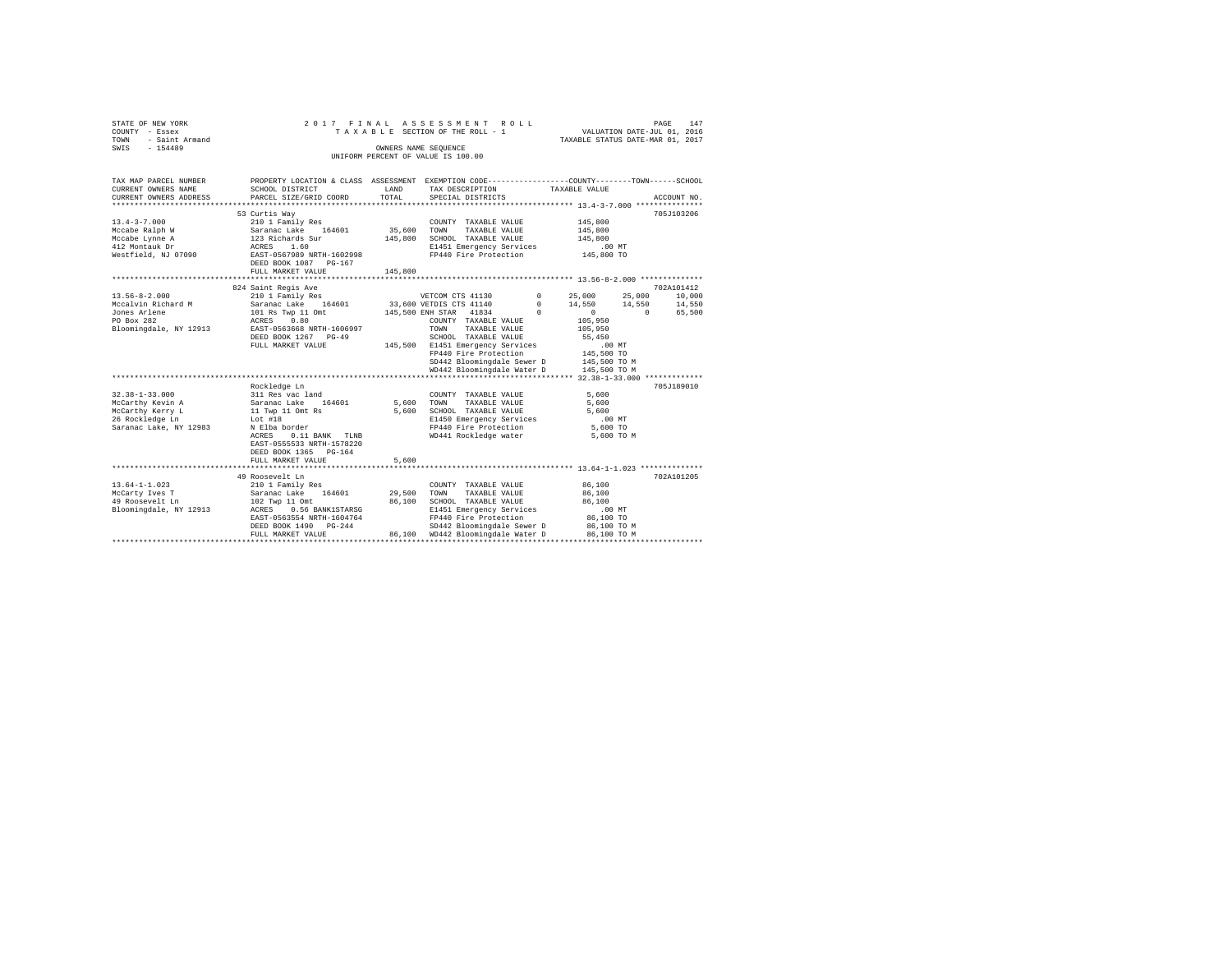|      | STATE OF NEW YORK   |  |  | 2017 FINAL ASSESSMENT ROLL         |                                  | PAGE | 147 |
|------|---------------------|--|--|------------------------------------|----------------------------------|------|-----|
|      | COUNTY - Essex      |  |  | TAXABLE SECTION OF THE ROLL - 1    | VALUATION DATE-JUL 01, 2016      |      |     |
|      | TOWN - Saint Armand |  |  |                                    | TAXABLE STATUS DATE-MAR 01, 2017 |      |     |
| SWIS | $-154489$           |  |  | OWNERS NAME SEOUENCE               |                                  |      |     |
|      |                     |  |  | UNIFORM PERCENT OF VALUE IS 100.00 |                                  |      |     |
|      |                     |  |  |                                    |                                  |      |     |

| TAX MAP PARCEL NUMBER<br>CURRENT OWNERS NAME<br>CURRENT OWNERS ADDRESS<br>******************** | PROPERTY LOCATION & CLASS ASSESSMENT EXEMPTION CODE----------------COUNTY-------TOWN------SCHOOL<br>SCHOOL DISTRICT<br>PARCEL SIZE/GRID COORD | LAND<br>TOTAL     | TAX DESCRIPTION<br>SPECIAL DISTRICTS                                                              | TAXABLE VALUE                                           | ACCOUNT NO.                    |
|------------------------------------------------------------------------------------------------|-----------------------------------------------------------------------------------------------------------------------------------------------|-------------------|---------------------------------------------------------------------------------------------------|---------------------------------------------------------|--------------------------------|
| $13.4 - 3 - 7.000$<br>Mccabe Ralph W<br>Mccabe Lynne A<br>412 Montauk Dr                       | 53 Curtis Wav<br>210 1 Family Res<br>Saranac Lake 164601<br>123 Richards Sur<br>ACRES 1.60                                                    | 35,600<br>145,800 | COUNTY TAXABLE VALUE<br>TOWN<br>TAXABLE VALUE<br>SCHOOL TAXABLE VALUE<br>E1451 Emergency Services | 145,800<br>145,800<br>145,800<br>$.00$ MT               | 705J103206                     |
| Westfield, NJ 07090                                                                            | EAST-0567989 NRTH-1602998<br>DEED BOOK 1087 PG-167<br>FULL MARKET VALUE                                                                       | 145,800           | FP440 Fire Protection                                                                             | 145,800 TO                                              |                                |
|                                                                                                |                                                                                                                                               |                   |                                                                                                   |                                                         |                                |
| $13.56 - 8 - 2.000$<br>Mccalvin Richard M                                                      | 824 Saint Regis Ave<br>210 1 Family Res<br>Saranac Lake                                                                                       |                   | VETCOM CTS 41130<br>164601 33,600 VETDIS CTS 41140                                                | $0 \t 25,000$<br>25,000<br>$\Omega$<br>14,550<br>14,550 | 702A101412<br>10,000<br>14,550 |
| Jones Arlene<br>PO Box 282                                                                     | 101 Rs Twp 11 Omt<br>ACRES 0.80                                                                                                               |                   | 145,500 ENH STAR 41834<br>COUNTY TAXABLE VALUE                                                    | $\Omega$<br>$\Omega$<br>105,950                         | 65,500<br>$\Omega$             |
| Bloomingdale, NY 12913                                                                         | EAST-0563668 NRTH-1606997<br>DEED BOOK 1267 PG-49<br>FULL MARKET VALUE                                                                        |                   | TAXABLE VALUE<br><b>TOWN</b><br>SCHOOL TAXABLE VALUE<br>145,500 E1451 Emergency Services          | 105,950<br>55,450<br>.00MT                              |                                |
|                                                                                                |                                                                                                                                               |                   | FP440 Fire Protection<br>SD442 Bloomingdale Sewer D                                               | 145,500 TO<br>145,500 TO M                              |                                |
|                                                                                                |                                                                                                                                               |                   | WD442 Bloomingdale Water D                                                                        | 145,500 TO M                                            |                                |
|                                                                                                |                                                                                                                                               |                   |                                                                                                   |                                                         |                                |
| $32.38 - 1 - 33.000$                                                                           | Rockledge Ln<br>311 Res vac land                                                                                                              |                   | COUNTY TAXABLE VALUE                                                                              | 5,600                                                   | 705.T189010                    |
| McCarthy Kevin A                                                                               | 164601<br>Saranac Lake                                                                                                                        | 5,600             | TOWN<br>TAXABLE VALUE                                                                             | 5,600                                                   |                                |
| McCarthy Kerry L                                                                               | 11 Twp 11 Omt Rs                                                                                                                              | 5,600             | SCHOOL TAXABLE VALUE                                                                              | 5,600                                                   |                                |
| 26 Rockledge Ln                                                                                | Lot #18                                                                                                                                       |                   | E1450 Emergency Services                                                                          | $.00$ MT                                                |                                |
| Saranac Lake, NY 12983                                                                         | N Elba border                                                                                                                                 |                   | FP440 Fire Protection                                                                             | 5,600 TO                                                |                                |
|                                                                                                | 0.11 BANK TLNB<br>ACRES<br>EAST-0555533 NRTH-1578220<br>DEED BOOK 1365 PG-164<br>FULL MARKET VALUE                                            | 5,600             | WD441 Rockledge water                                                                             | 5,600 TO M                                              |                                |
|                                                                                                |                                                                                                                                               |                   |                                                                                                   | ********************* 13.64-1-1.023 *************       |                                |
|                                                                                                | 49 Roosevelt Ln                                                                                                                               |                   |                                                                                                   |                                                         | 702A101205                     |
| $13.64 - 1 - 1.023$                                                                            | 210 1 Family Res                                                                                                                              |                   | COUNTY TAXABLE VALUE                                                                              | 86,100                                                  |                                |
| McCarty Ives T                                                                                 | 164601<br>Saranac Lake                                                                                                                        | 29,500            | TOWN<br>TAXABLE VALUE                                                                             | 86,100                                                  |                                |
| 49 Roosevelt Ln                                                                                | 102 Twp 11 Omt                                                                                                                                | 86,100            | SCHOOL TAXABLE VALUE                                                                              | 86,100                                                  |                                |
| Bloomingdale, NY 12913                                                                         | ACRES 0.56 BANK1STARSG                                                                                                                        |                   | E1451 Emergency Services                                                                          | $.00$ MT                                                |                                |
|                                                                                                | EAST-0563554 NRTH-1604764                                                                                                                     |                   | FP440 Fire Protection                                                                             | 86,100 TO                                               |                                |
|                                                                                                | DEED BOOK 1490 PG-244                                                                                                                         | 86,100            | SD442 Bloomingdale Sewer D<br>WD442 Bloomingdale Water D                                          | 86,100 TO M<br>86,100 TO M                              |                                |
|                                                                                                | FULL MARKET VALUE                                                                                                                             |                   |                                                                                                   |                                                         |                                |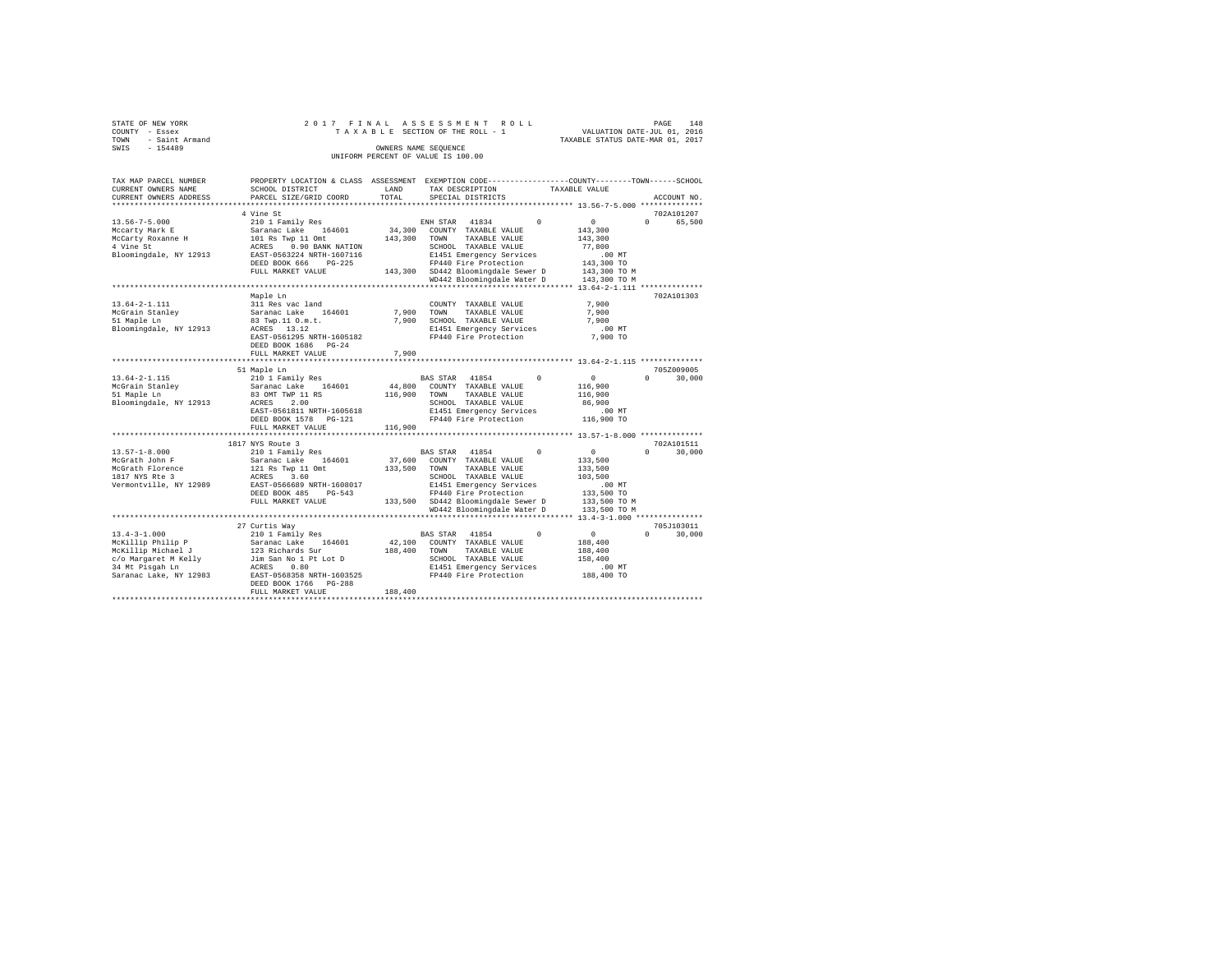|      | STATE OF NEW YORK |  | 2017 FINAL ASSESSMENT ROLL         |                                  | PAGE | 148 |
|------|-------------------|--|------------------------------------|----------------------------------|------|-----|
|      | COUNTY - Essex    |  | TAXABLE SECTION OF THE ROLL - 1    | VALUATION DATE-JUL 01, 2016      |      |     |
| TOWN | - Saint Armand    |  |                                    | TAXABLE STATUS DATE-MAR 01, 2017 |      |     |
| SWIS | $-154489$         |  | OWNERS NAME SEOUENCE               |                                  |      |     |
|      |                   |  | UNIFORM PERCENT OF VALUE IS 100.00 |                                  |      |     |

| TAX MAP PARCEL NUMBER<br>CURRENT OWNERS NAME<br>CURRENT OWNERS ADDRESS                                                             | PROPERTY LOCATION & CLASS ASSESSMENT<br>SCHOOL DISTRICT<br>PARCEL SIZE/GRID COORD                                                                                                                                | LAND<br>TOTAL                | EXEMPTION CODE----------------COUNTY-------TOWN------SCHOOL<br>TAX DESCRIPTION<br>SPECIAL DISTRICTS                                                                                                                                                       | TAXABLE VALUE<br>ACCOUNT NO.                                                                                                       |
|------------------------------------------------------------------------------------------------------------------------------------|------------------------------------------------------------------------------------------------------------------------------------------------------------------------------------------------------------------|------------------------------|-----------------------------------------------------------------------------------------------------------------------------------------------------------------------------------------------------------------------------------------------------------|------------------------------------------------------------------------------------------------------------------------------------|
|                                                                                                                                    |                                                                                                                                                                                                                  | *********                    | ************************************* 13.56-7-5.000 ***************                                                                                                                                                                                       |                                                                                                                                    |
| $13.56 - 7 - 5.000$<br>Mccarty Mark E<br>McCarty Roxanne H<br>4 Vine St<br>Bloomingdale, NY 12913                                  | 4 Vine St<br>210 1 Family Res<br>Saranac Lake<br>164601<br>101 Rs Twp 11 Omt<br>0.90 BANK NATION<br>ACRES<br>EAST-0563224 NRTH-1607116<br>DEED BOOK 666<br>$PG-225$<br>FULL MARKET VALUE<br>******************** | 34,300<br>143,300<br>143,300 | 41834<br>$\Omega$<br>ENH STAR<br>COUNTY TAXABLE VALUE<br>TAXABLE VALUE<br>TOWN<br>SCHOOL TAXABLE VALUE<br>E1451 Emergency Services<br>FP440 Fire Protection<br>SD442 Bloomingdale Sewer D<br>WD442 Bloomingdale Water D<br>****************************** | 702A101207<br>$\circ$<br>$\Omega$<br>65,500<br>143,300<br>143,300<br>77,800<br>.00MT<br>143,300 TO<br>143,300 TO M<br>143,300 TO M |
| $13.64 - 2 - 1.111$<br>McGrain Stanley<br>51 Maple Ln<br>Bloomingdale, NY 12913                                                    | Maple Ln<br>311 Res vac land<br>Saranac Lake<br>164601<br>83 Twp.11 O.m.t.<br>ACRES 13.12<br>EAST-0561295 NRTH-1605182<br>DEED BOOK 1686 PG-24<br>FULL MARKET VALUE                                              | 7,900<br>7.900<br>7,900      | COUNTY TAXABLE VALUE<br>TOWN<br>TAXABLE VALUE<br>SCHOOL TAXABLE VALUE<br>E1451 Emergency Services<br>FP440 Fire Protection                                                                                                                                | *** 13.64-2-1.111 **************<br>702A101303<br>7.900<br>7.900<br>7.900<br>.00 MT<br>7,900 TO                                    |
|                                                                                                                                    | 51 Maple Ln                                                                                                                                                                                                      |                              |                                                                                                                                                                                                                                                           | 705Z009005                                                                                                                         |
| $13.64 - 2 - 1.115$<br>McGrain Stanley<br>51 Maple Ln<br>Bloomingdale, NY 12913                                                    | 210 1 Family Res<br>Saranac Lake<br>164601<br>83 OMT TWP 11 RS<br>ACRES<br>2.00<br>EAST-0561811 NRTH-1605618<br>DEED BOOK 1578<br>$PG-121$<br>FULL MARKET VALUE                                                  | 44,800<br>116,900<br>116,900 | 41854<br>$\Omega$<br>BAS STAR<br>COUNTY TAXABLE VALUE<br>TOWN<br>TAXABLE VALUE<br>SCHOOL TAXABLE VALUE<br>E1451 Emergency Services<br>FP440 Fire Protection                                                                                               | $\circ$<br>$\Omega$<br>30,000<br>116,900<br>116,900<br>86,900<br>$.00$ MT<br>116,900 TO                                            |
|                                                                                                                                    | ****************************<br>1817 NYS Route 3                                                                                                                                                                 |                              |                                                                                                                                                                                                                                                           | 702A101511                                                                                                                         |
| $13.57 - 1 - 8.000$<br>McGrath John F<br>McGrath Florence<br>1817 NYS Rte 3<br>Vermontville, NY 12989                              | 210 1 Family Res<br>164601<br>Saranac Lake<br>121 Rs Twp 11 Omt<br>ACRES<br>3.60<br>EAST-0566689 NRTH-1608017<br>DEED BOOK 485<br>$PG-543$<br>FULL MARKET VALUE                                                  | 37,600<br>133,500<br>133,500 | 41854<br>$\Omega$<br><b>BAS STAR</b><br>COUNTY TAXABLE VALUE<br>TOWN<br>TAXABLE VALUE<br>SCHOOL TAXABLE VALUE<br>E1451 Emergency Services<br>FP440 Fire Protection<br>SD442 Bloomingdale Sewer D<br>WD442 Bloomingdale Water D                            | $\circ$<br>$\Omega$<br>30,000<br>133,500<br>133,500<br>103,500<br>.00 MT<br>133,500 TO<br>133,500 TO M<br>133,500 TO M             |
|                                                                                                                                    | ****************************                                                                                                                                                                                     |                              |                                                                                                                                                                                                                                                           |                                                                                                                                    |
| $13.4 - 3 - 1.000$<br>McKillip Philip P<br>McKillip Michael J<br>c/o Margaret M Kelly<br>34 Mt Pisgah Ln<br>Saranac Lake, NY 12983 | 27 Curtis Way<br>210 1 Family Res<br>Saranac Lake<br>164601<br>123 Richards Sur<br>Jim San No 1 Pt Lot D<br>0.80<br>ACRES<br>EAST-0568358 NRTH-1603525<br>DEED BOOK 1766<br>$PG-288$<br>FULL MARKET VALUE        | 42,100<br>188,400<br>188,400 | BAS STAR 41854<br>$^{\circ}$<br>COUNTY TAXABLE VALUE<br>TOWN<br>TAXABLE VALUE<br>SCHOOL TAXABLE VALUE<br>E1451 Emergency Services<br>FP440 Fire Protection                                                                                                | 705J103011<br>$\circ$<br>$\Omega$<br>30,000<br>188,400<br>188,400<br>158,400<br>.00MT<br>188,400 TO                                |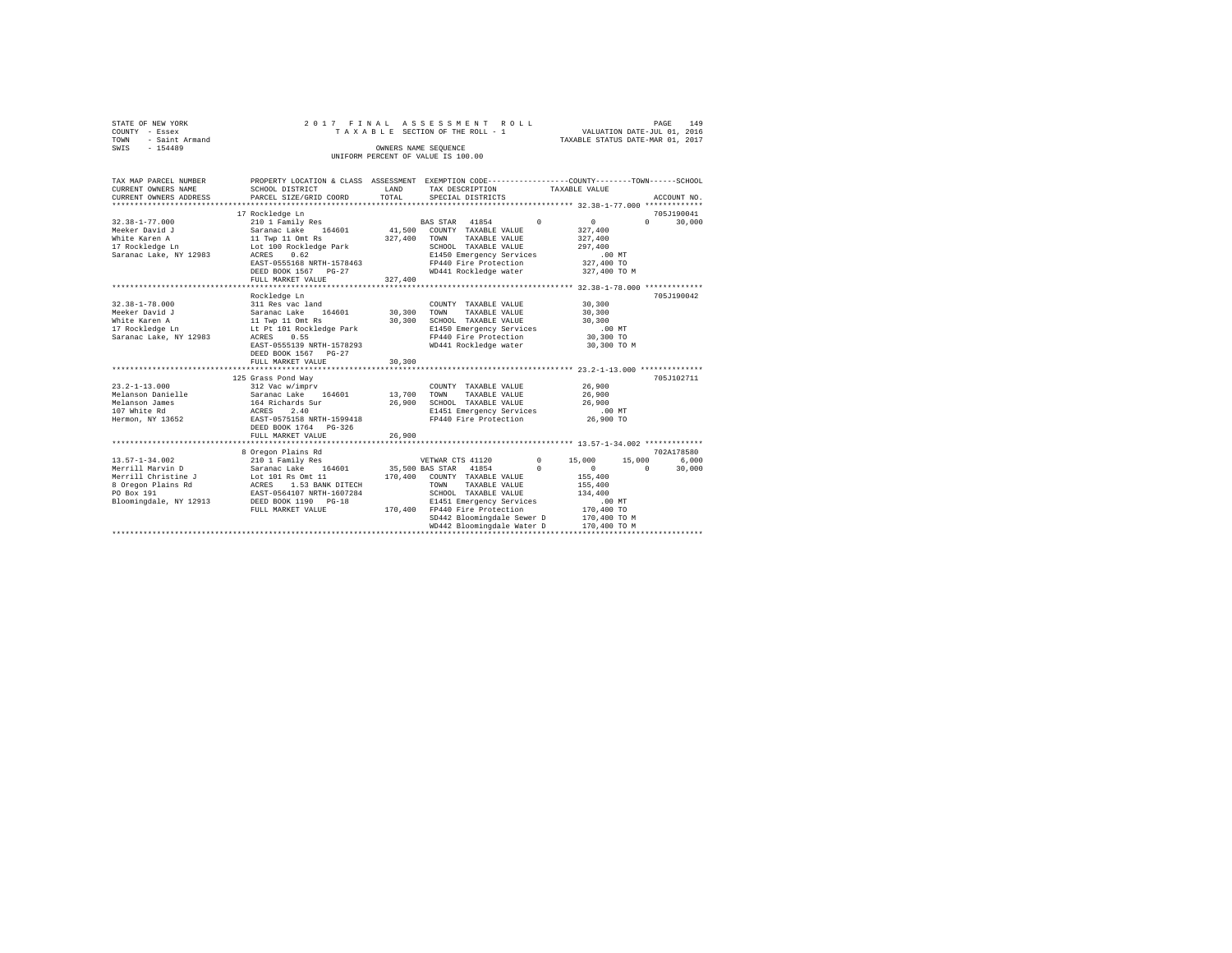|      | STATE OF NEW YORK |  |  |  | 2017 FINAL ASSESSMENT ROLL         |  |  |  |  |                                  | PAGE | 149 |
|------|-------------------|--|--|--|------------------------------------|--|--|--|--|----------------------------------|------|-----|
|      | COUNTY - Essex    |  |  |  | TAXABLE SECTION OF THE ROLL - 1    |  |  |  |  | VALUATION DATE-JUL 01, 2016      |      |     |
| TOWN | - Saint Armand    |  |  |  |                                    |  |  |  |  | TAXABLE STATUS DATE-MAR 01, 2017 |      |     |
| SWIS | $-154489$         |  |  |  | OWNERS NAME SEOUENCE               |  |  |  |  |                                  |      |     |
|      |                   |  |  |  | UNIFORM PERCENT OF VALUE IS 100.00 |  |  |  |  |                                  |      |     |

| TAX MAP PARCEL NUMBER<br>CURRENT OWNERS NAME<br>CURRENT OWNERS ADDRESS                                                        | PROPERTY LOCATION & CLASS ASSESSMENT EXEMPTION CODE----------------COUNTY-------TOWN------SCHOOL<br>SCHOOL DISTRICT<br>PARCEL SIZE/GRID COORD                                                                | LAND<br>TOTAL                | TAX DESCRIPTION<br>SPECIAL DISTRICTS                                                                                                                                                                                       | TAXABLE VALUE          |                                                                                                                         | ACCOUNT NO.                               |
|-------------------------------------------------------------------------------------------------------------------------------|--------------------------------------------------------------------------------------------------------------------------------------------------------------------------------------------------------------|------------------------------|----------------------------------------------------------------------------------------------------------------------------------------------------------------------------------------------------------------------------|------------------------|-------------------------------------------------------------------------------------------------------------------------|-------------------------------------------|
| $32.38 - 1 - 77.000$<br>Meeker David J<br>White Karen A<br>17 Rockledge Ln<br>Saranac Lake, NY 12983                          | 17 Rockledge Ln<br>210 1 Family Res<br>164601<br>Saranac Lake<br>11 Twp 11 Omt Rs<br>Lot 100 Rockledge Park<br>0.62<br>ACRES<br>EAST-0555168 NRTH-1578463<br>DEED BOOK 1567 PG-27<br>FULL MARKET VALUE       | 41,500<br>327,400<br>327,400 | BAS STAR 41854<br>COUNTY TAXABLE VALUE<br>TOWN<br>TAXABLE VALUE<br>SCHOOL TAXABLE VALUE<br>E1450 Emergency Services<br>FP440 Fire Protection<br>WD441 Rockledge water                                                      | $\Omega$               | 0<br>327,400<br>327,400<br>297,400<br>$.00$ MT<br>327,400 TO<br>327,400 TO M                                            | 705J190041<br>$\Omega$<br>30,000          |
| $32.38 - 1 - 78.000$<br>Meeker David J<br>White Karen A<br>17 Rockledge Ln<br>Saranac Lake, NY 12983                          | Rockledge Ln<br>311 Res vac land<br>Saranac Lake<br>164601<br>11 Twp 11 Omt Rs<br>Lt Pt 101 Rockledge Park<br>0.55<br>ACRES<br>EAST-0555139 NRTH-1578293<br>DEED BOOK 1567 PG-27<br>FULL MARKET VALUE        | 30,300<br>30,300<br>30,300   | COUNTY TAXABLE VALUE<br>TOWN<br>TAXABLE VALUE<br>SCHOOL TAXABLE VALUE<br>E1450 Emergency Services<br>FP440 Fire Protection<br>WD441 Rockledge water                                                                        |                        | 30,300<br>30,300<br>30,300<br>$.00$ MT<br>30,300 TO<br>30,300 TO M                                                      | 705.T190042                               |
| $23.2 - 1 - 13.000$<br>Melanson Danielle<br>Melanson James<br>107 White Rd<br>Hermon, NY 13652                                | 125 Grass Pond Way<br>312 Vac w/imprv<br>Saranac Lake 164601<br>164 Richards Sur<br>ACRES<br>2.40<br>EAST-0575158 NRTH-1599418<br>DEED BOOK 1764 PG-326<br>FULL MARKET VALUE                                 | 13,700<br>26,900<br>26,900   | COUNTY TAXABLE VALUE<br>TOWN<br>TAXABLE VALUE<br>SCHOOL TAXABLE VALUE<br>E1451 Emergency Services<br>FP440 Fire Protection                                                                                                 |                        | 26,900<br>26,900<br>26,900<br>.00 MT<br>26,900 TO                                                                       | 705J102711                                |
| $13.57 - 1 - 34.002$<br>Merrill Marvin D<br>Merrill Christine J<br>8 Oregon Plains Rd<br>PO Box 191<br>Bloomingdale, NY 12913 | 8 Oregon Plains Rd<br>210 1 Family Res<br>Saranac Lake 164601 35,500 BAS STAR 41854<br>Lot 101 Rs Omt 11<br>ACRES 1.53 BANK DITECH<br>EAST-0564107 NRTH-1607284<br>DEED BOOK 1190 PG-18<br>FULL MARKET VALUE |                              | VETWAR CTS 41120<br>170,400 COUNTY TAXABLE VALUE<br>TAXABLE VALUE<br>TOWN<br>SCHOOL TAXABLE VALUE<br>E1451 Emergency Services<br>170.400 FP440 Fire Protection<br>SD442 Bloomingdale Sewer D<br>WD442 Bloomingdale Water D | $^{\circ}$<br>$\Omega$ | 15,000<br>15,000<br>$\Omega$<br>155,400<br>155,400<br>134,400<br>$.00$ MT<br>170,400 TO<br>170,400 TO M<br>170,400 TO M | 702A178580<br>6.000<br>$\Omega$<br>30,000 |
|                                                                                                                               |                                                                                                                                                                                                              |                              |                                                                                                                                                                                                                            |                        |                                                                                                                         |                                           |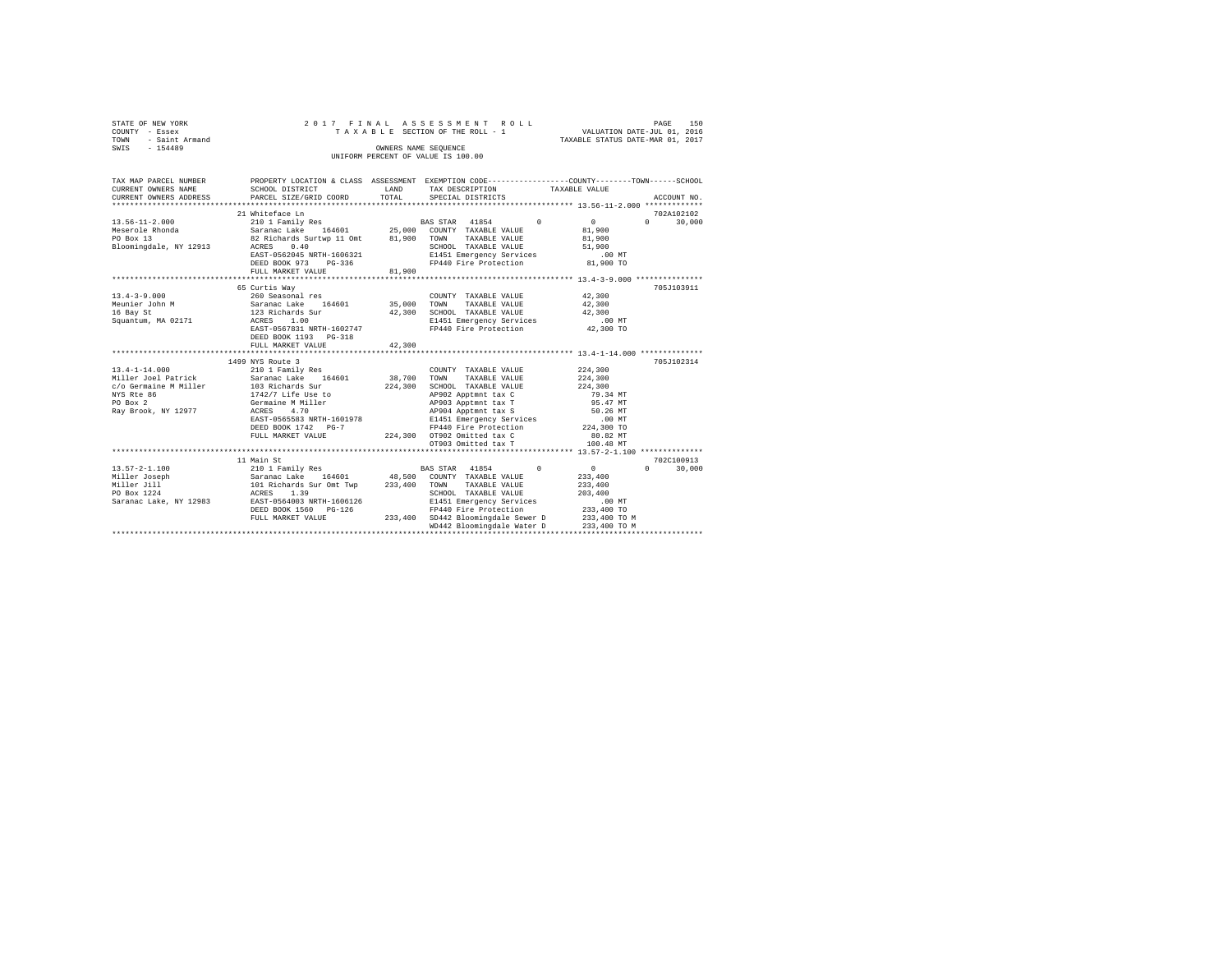| STATE OF NEW YORK   |  | 2017 FINAL ASSESSMENT ROLL         |                                  | PAGE | 150 |
|---------------------|--|------------------------------------|----------------------------------|------|-----|
| COUNTY - Essex      |  | TAXABLE SECTION OF THE ROLL - 1    | VALUATION DATE-JUL 01, 2016      |      |     |
| TOWN - Saint Armand |  |                                    | TAXABLE STATUS DATE-MAR 01, 2017 |      |     |
| SWIS<br>$-154489$   |  | OWNERS NAME SEOUENCE               |                                  |      |     |
|                     |  | UNIFORM PERCENT OF VALUE IS 100.00 |                                  |      |     |

| TAX MAP PARCEL NUMBER<br>CURRENT OWNERS NAME  | SCHOOL DISTRICT<br>CURRENT OWNERS ADDRESS PARCEL SIZE/GRID COORD                                                          |        | PROPERTY LOCATION & CLASS ASSESSMENT EXEMPTION CODE---------------COUNTY-------TOWN-----SCHOOL<br>LAND TAX DESCRIPTION TAXABLE VALUE<br>TOTAL SPECIAL DISTRICTS                                                                                                                                                                                                                                                                                                                          |              | ACCOUNT NO.                 |
|-----------------------------------------------|---------------------------------------------------------------------------------------------------------------------------|--------|------------------------------------------------------------------------------------------------------------------------------------------------------------------------------------------------------------------------------------------------------------------------------------------------------------------------------------------------------------------------------------------------------------------------------------------------------------------------------------------|--------------|-----------------------------|
| 13.56-11-2.000                                | 21 Whiteface Ln<br>EAST-0562045 NRTH-1606321<br>DEED BOOK 973 PG-336<br>FULL MARKET VALUE                                 | 81,900 | 210 1 Family Res 60 10 10 10 11854 11854 1285 1296 1297 1298 1299 120<br>Neserole Rhonda (1992) - 1 - 1992 - 1994 - 1994 - 1994 - 1994 - 1994 - 1994 - 1994 - 1994 - 1994 - 1994 - 199<br>1994 - 1994 - 1992 - 1992 - 1994 - 1994 - 1994 - 1994 - 1994 - 1994 - 1994 - 1994 - 1994 - 1994 - 1994 - 1994<br>19<br>E1451 Emergency Services .00 MT<br>FP440 Fire Protection 81,900 TO                                                                                                      |              | 702A102102<br>$0 \t 30,000$ |
| 16 Bay St<br>Squantum, MA 02171               | 65 Curtis Way<br>123 Richards Sur<br>ACRES 1.00<br>ACRES 1.00<br>EAST-0567831 NRTH-1602747<br>FULL MARKET VALUE 42,300    |        | $\begin{array}{cccccccccc} 13.4-3-9.000 & & & & 260\text{ Seasonal res} & & & & & \text{COUNTY TAXABLE VALUE} & & & 42,300 \\ \text{Meunier John M} & & & & \text{Saranac Lake} & & 164601 & & 35,000 & \text{TOWN} & & \text{TAXABLE VALUE} & & & 42,300 \\ \end{array}$<br>COUNTY TAXABLE VALUE 42.300<br>42,300 SCHOOL TAXABLE VALUE 42,300<br>E1451 Emergency Services .00 MT<br>FP440 Fire Protection  42,300 TO                                                                    |              | 705J103911                  |
| NYS Rte 86<br>PO Box 2<br>Ray Brook, NY 12977 | 1499 NYS Route 3<br>e m miller the 103 statements out<br>1742/7 Life Use to<br>NY 12977 RCRES 4.70<br>DEED BOOK 1742 PG-7 |        | COUNTY TAXABLE VALUE 224,300<br>$224,300 \quad \text{TOWN} \quad \text{TAXABLE VALUE} \quad 224,300$ $224,300 \quad \text{SCHOOL} \quad \text{TAXABLE VALUE} \quad 224,300$<br>AP902 Apptmnt tax C 79.34 MT<br>FP440 Fire Protection<br>${\rm FULL \ \ MARKET \ \ VALUE} \qquad \qquad 224,300 \qquad {\rm OF902 \ \ Onitited \ tax \ C} \qquad \qquad 80.82 \ \ {\rm MT} \qquad \qquad 0.7903 \ \ {\rm Onitted \ tax \ T} \qquad \qquad 100.48 \ \ {\rm MT}$                            | 224,300 TO   | 705J102314                  |
|                                               | 11 Main St<br>Saranac Lake, NY 12983 EAST-0564003 NRTH-1606126<br>DEED BOOK 1560 PG-126                                   |        | $\begin{tabular}{lcccc} 13.57-2-1.100 & & 14.7441 & & 010 & & 010 & & 010 & & 010 & & 010 & & 010 & & 010 & & 010 & & 010 & & 010 & & 010 & & 010 & & 010 & & 010 & & 010 & & 010 & & 010 & & 010 & & 010 & & 010 & & 010 & & 010 & & 010 & & 010 & & 010 & & 010 & & 010 & & 010 & & 010 & & 010 & & 010 &$<br>E1451 Emergency Services .00 MT<br>FP440 Fire Protection 233,400 TO<br>FULL MARKET VALUE 233, 400 SD442 Bloomingdale Sewer D 233, 400 TO M<br>WD442 Bloomingdale Water D | 233,400 TO M | 702C100913<br>$0 \t 30,000$ |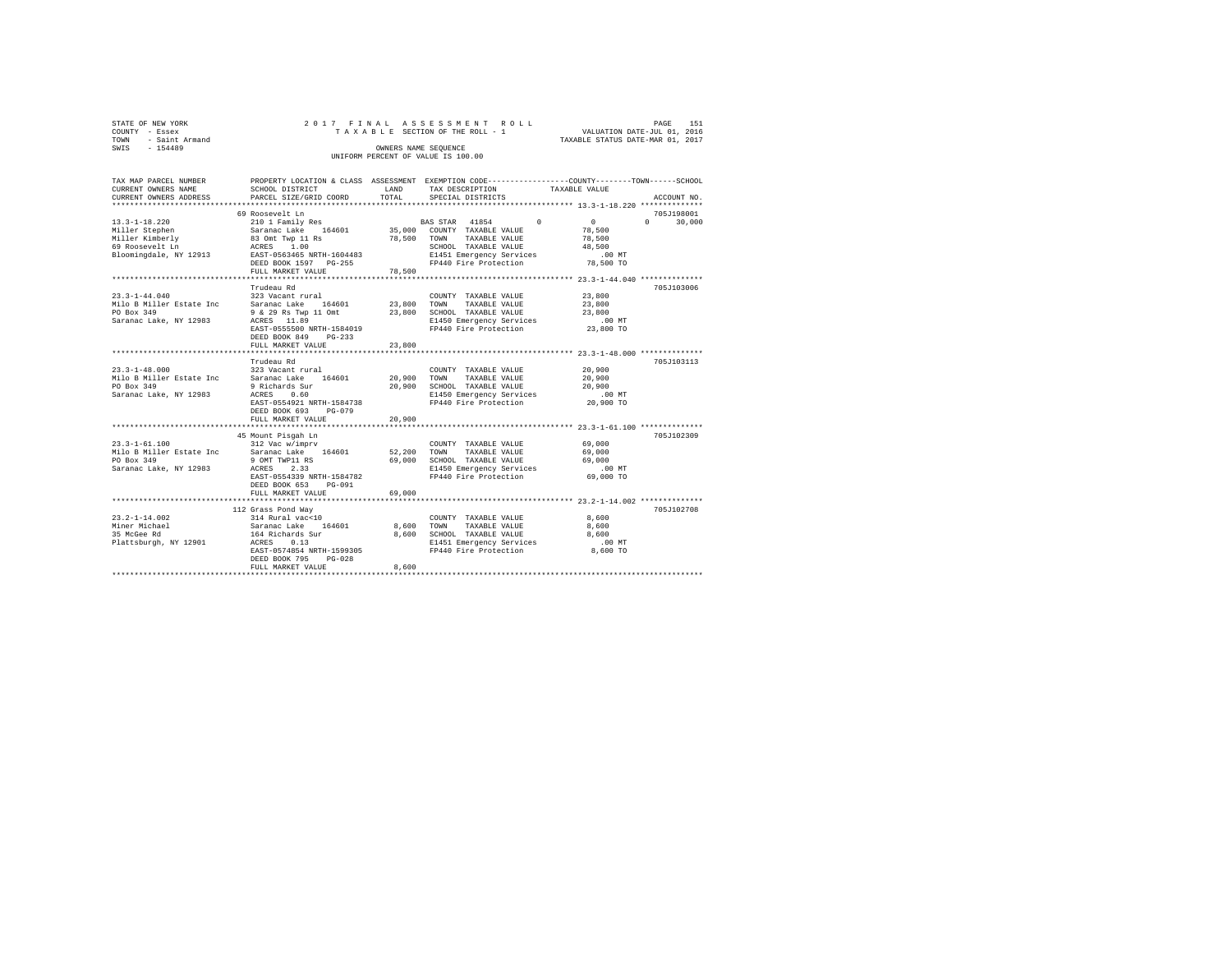| STATE OF NEW YORK   | 2017 FINAL ASSESSMENT ROLL         |                                  | PAGE | 151 |
|---------------------|------------------------------------|----------------------------------|------|-----|
| COUNTY - Essex      | TAXABLE SECTION OF THE ROLL - 1    | VALUATION DATE-JUL 01, 2016      |      |     |
| TOWN - Saint Armand |                                    | TAXABLE STATUS DATE-MAR 01, 2017 |      |     |
| SWIS<br>$-154489$   | OWNERS NAME SEOUENCE               |                                  |      |     |
|                     | UNIFORM PERCENT OF VALUE IS 100.00 |                                  |      |     |

| TAX MAP PARCEL NUMBER<br>CURRENT OWNERS NAME                                                          | PROPERTY LOCATION & CLASS ASSESSMENT EXEMPTION CODE----------------COUNTY-------TOWN------SCHOOL<br>SCHOOL DISTRICT                                                                                                                                                                                                                                                                                                                                                                                                     | <b>T.AND</b> | TAX DESCRIPTION                                                                                                                         | TAXABLE VALUE                                                   |                                               |
|-------------------------------------------------------------------------------------------------------|-------------------------------------------------------------------------------------------------------------------------------------------------------------------------------------------------------------------------------------------------------------------------------------------------------------------------------------------------------------------------------------------------------------------------------------------------------------------------------------------------------------------------|--------------|-----------------------------------------------------------------------------------------------------------------------------------------|-----------------------------------------------------------------|-----------------------------------------------|
| CURRENT OWNERS ADDRESS                                                                                | PARCEL SIZE/GRID COORD                                                                                                                                                                                                                                                                                                                                                                                                                                                                                                  | TOTAL        | SPECIAL DISTRICTS                                                                                                                       |                                                                 | ACCOUNT NO.                                   |
|                                                                                                       |                                                                                                                                                                                                                                                                                                                                                                                                                                                                                                                         |              |                                                                                                                                         |                                                                 |                                               |
| $13.3 - 1 - 18.220$<br>Miller Stephen<br>Miller Kimberly<br>69 Roosevelt Ln<br>Bloomingdale, NY 12913 | 69 Roosevelt Ln<br>210 1 Family Res 6 210 1 BAS STAR 41854 0<br>DEED BOOK 1597 PG-255<br>FULL MARKET VALUE                                                                                                                                                                                                                                                                                                                                                                                                              | 78,500       |                                                                                                                                         | $\sim$ 0<br>48,500<br>.00 MT<br>FP440 Fire Protection 78,500 TO | 705J198001<br>$\Omega$ and $\Omega$<br>30,000 |
|                                                                                                       | *********************                                                                                                                                                                                                                                                                                                                                                                                                                                                                                                   | .            |                                                                                                                                         | ********************** 23.3-1-44.040 ***********                |                                               |
| $23.3 - 1 - 44.040$<br>Milo B Miller Estate Inc<br>PO Box 349<br>Saranac Lake, NY 12983               | Trudeau Rd<br>323 Vacant rural<br>Saranac Lake 164601<br>9 & 29 Rs Twp 11 Omt 23,800 SCHOOL TAXABLE VALUE<br>ACRES 11.89<br>EAST-0555500 NRTH-1584019<br>DEED BOOK 849 PG-233<br>FULL MARKET VALUE                                                                                                                                                                                                                                                                                                                      | 23,800       | COUNTY TAXABLE VALUE 23,800<br>23,800 TOWN TAXABLE VALUE<br>E1450 Emergency Services<br>FP440 Fire Protection                           | 23,800<br>23,800<br>$.00$ MT<br>23,800 TO                       | 705J103006                                    |
|                                                                                                       |                                                                                                                                                                                                                                                                                                                                                                                                                                                                                                                         |              |                                                                                                                                         |                                                                 |                                               |
| $23.3 - 1 - 48.000$<br>PO Box 349<br>Saranac Lake, NY 12983                                           | Trudeau Rd<br>323 Vacant rural<br>Milo B Miller Estate Inc Saranac Lake 164601<br>9 Richards Sur<br>ACRES 0.60<br>EAST-0554921 NRTH-1584738<br>DEED BOOK 693 PG-079                                                                                                                                                                                                                                                                                                                                                     |              | COUNTY TAXABLE VALUE<br>20,900 TOWN TAXABLE VALUE<br>20,900 SCHOOL TAXABLE VALUE 20,900<br>E1450 Emergency Services .00 MT              | 20,900<br>20,900<br>FP440 Fire Protection 20,900 TO             | 705J103113                                    |
|                                                                                                       | FULL MARKET VALUE                                                                                                                                                                                                                                                                                                                                                                                                                                                                                                       | 20,900       |                                                                                                                                         |                                                                 |                                               |
| PO Box 349<br>Saranac Lake, NY 12983                                                                  | 45 Mount Pisgah Ln<br>$\begin{tabular}{lllllllllll} 23.3\hbox{--}1\hbox{--}61.100 & 312 \text{ Vac } \text{w}/\text{imprv} & \multicolumn{3}{l}{{\small \texttt{COUNM}}} \\ \textbf{Milo B Miller State Inc} & \multicolumn{3}{l}{{\small \texttt{Saranac Lake}}} & \multicolumn{3}{l}{{\small \texttt{164601}}} & \multicolumn{3}{l}{{\small \texttt{S2,200}}} & \multicolumn{3}{l}{{\small \texttt{COUNM}}} \\ \end{tabular}$<br>9 OMT TWP11 RS<br>ACRES<br>2.33<br>EAST-0554339 NRTH-1584782<br>DEED BOOK 653 PG-091 |              | COUNTY TAXABLE VALUE<br>TAXABLE VALUE<br>69,000 SCHOOL TAXABLE VALUE 69,000<br>E1450 Emergency Services .00 MT<br>FP440 Fire Protection | 69,000<br>69,000<br>69,000 TO                                   | 705J102309                                    |
|                                                                                                       | FULL MARKET VALUE                                                                                                                                                                                                                                                                                                                                                                                                                                                                                                       | 69,000       |                                                                                                                                         |                                                                 |                                               |
| $23.2 - 1 - 14.002$<br>Miner Michael<br>35 McGee Rd<br>Plattsburgh, NY 12901 ACRES 0.13               | 112 Grass Pond Way<br>314 Rural vac<10<br>EAST-0574854 NRTH-1599305<br>DEED BOOK 795<br>$PG-0.28$                                                                                                                                                                                                                                                                                                                                                                                                                       |              | COUNTY TAXABLE VALUE<br>TAXABLE VALUE<br>8,600 SCHOOL TAXABLE VALUE<br>E1451 Emergency Services<br>FP440 Fire Protection                | 8,600<br>8,600<br>8,600<br>.00MT<br>8,600 TO                    | 705J102708                                    |
|                                                                                                       | FULL MARKET VALUE                                                                                                                                                                                                                                                                                                                                                                                                                                                                                                       | 8,600        |                                                                                                                                         |                                                                 |                                               |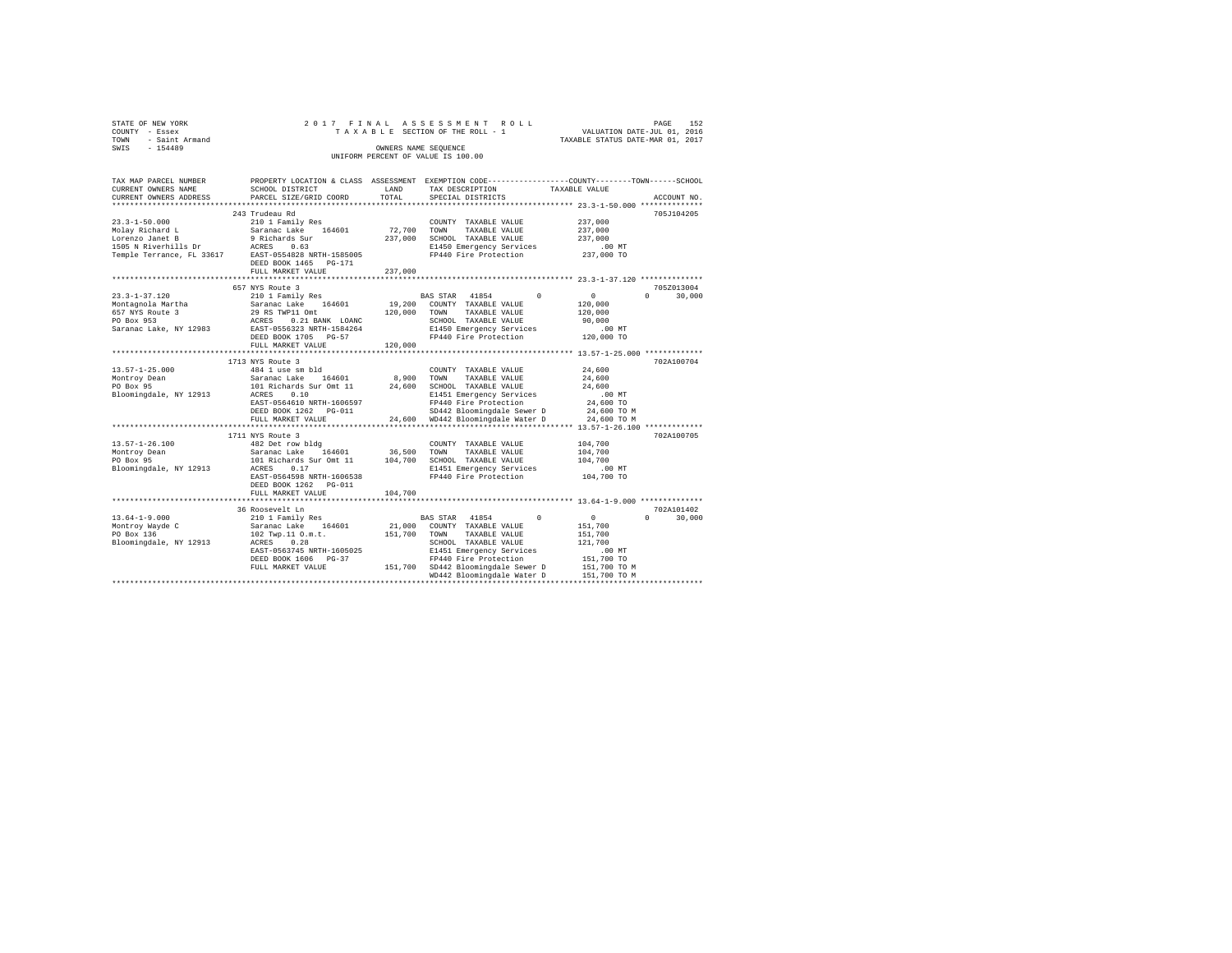|      | STATE OF NEW YORK   |  |  | 2017 FINAL ASSESSMENT ROLL         |  |                                  | PAGE | 152 |
|------|---------------------|--|--|------------------------------------|--|----------------------------------|------|-----|
|      | COUNTY - Essex      |  |  | TAXABLE SECTION OF THE ROLL - 1    |  | VALUATION DATE-JUL 01, 2016      |      |     |
|      | TOWN - Saint Armand |  |  |                                    |  | TAXABLE STATUS DATE-MAR 01, 2017 |      |     |
| SWIS | $-154489$           |  |  | OWNERS NAME SEOUENCE               |  |                                  |      |     |
|      |                     |  |  | UNIFORM PERCENT OF VALUE IS 100.00 |  |                                  |      |     |
|      |                     |  |  |                                    |  |                                  |      |     |

| TAX MAP PARCEL NUMBER        |                                                                                                                                                                                                                                                                                                                                                                              |             | PROPERTY LOCATION & CLASS ASSESSMENT EXEMPTION CODE---------------COUNTY-------TOWN-----SCHOOL |                                               |
|------------------------------|------------------------------------------------------------------------------------------------------------------------------------------------------------------------------------------------------------------------------------------------------------------------------------------------------------------------------------------------------------------------------|-------------|------------------------------------------------------------------------------------------------|-----------------------------------------------|
| CURRENT OWNERS NAME          | SCHOOL DISTRICT                                                                                                                                                                                                                                                                                                                                                              | LAND        | TAX DESCRIPTION                                                                                | TAXABLE VALUE                                 |
|                              | CURRENT OWNERS ADDRESS PARCEL SIZE/GRID COORD                                                                                                                                                                                                                                                                                                                                | TOTAL       | SPECIAL DISTRICTS                                                                              | ACCOUNT NO.                                   |
|                              |                                                                                                                                                                                                                                                                                                                                                                              |             |                                                                                                |                                               |
|                              | 243 Trudeau Rd                                                                                                                                                                                                                                                                                                                                                               |             |                                                                                                | 705J104205                                    |
| 23.3-1-50.000                | 210 1 Family Res                                                                                                                                                                                                                                                                                                                                                             |             | COUNTY TAXABLE VALUE                                                                           | 237,000                                       |
|                              |                                                                                                                                                                                                                                                                                                                                                                              | 72,700 TOWN | TAXABLE VALUE                                                                                  | 237,000                                       |
|                              |                                                                                                                                                                                                                                                                                                                                                                              |             | 237,000 SCHOOL TAXABLE VALUE                                                                   | 237,000                                       |
|                              |                                                                                                                                                                                                                                                                                                                                                                              |             | E1450 Emergency Services                                                                       | .00 MT                                        |
|                              |                                                                                                                                                                                                                                                                                                                                                                              |             | FP440 Fire Protection                                                                          | 237,000 TO                                    |
|                              |                                                                                                                                                                                                                                                                                                                                                                              |             |                                                                                                |                                               |
|                              |                                                                                                                                                                                                                                                                                                                                                                              | 237,000     |                                                                                                |                                               |
|                              | FULL MARKET VALUE                                                                                                                                                                                                                                                                                                                                                            |             |                                                                                                |                                               |
|                              |                                                                                                                                                                                                                                                                                                                                                                              |             |                                                                                                |                                               |
|                              | 657 NYS Route 3                                                                                                                                                                                                                                                                                                                                                              |             |                                                                                                | 705Z013004                                    |
| 23.3-1-37.120                | 210 1 Family Res                                                                                                                                                                                                                                                                                                                                                             |             | BAS STAR 41854 0                                                                               | $\overline{0}$<br>$0 \qquad \qquad$<br>30,000 |
| Montagnola Martha            | Nontagnola Martha a Saranac Lake 164601<br>Roman Montagnola Martha 29 RS TWP11 Omt<br>PO Box 953 29 ACRES 0.21 BANK LOANC<br>Saranac Lake, NY 12983 BAST-0556323 NRTH-1584264                                                                                                                                                                                                |             | 19,200 COUNTY TAXABLE VALUE<br>120,000 TOWN TAXABLE VALUE                                      | 120,000                                       |
|                              |                                                                                                                                                                                                                                                                                                                                                                              |             | TAXABLE VALUE                                                                                  | 120,000                                       |
|                              |                                                                                                                                                                                                                                                                                                                                                                              |             | SCHOOL TAXABLE VALUE                                                                           | 90.000                                        |
|                              |                                                                                                                                                                                                                                                                                                                                                                              |             | E1450 Emergency Services                                                                       | $.00$ MT                                      |
|                              | DEED BOOK 1705 PG-57                                                                                                                                                                                                                                                                                                                                                         |             | FP440 Fire Protection 120,000 TO                                                               |                                               |
|                              | FULL MARKET VALUE                                                                                                                                                                                                                                                                                                                                                            | 120,000     |                                                                                                |                                               |
|                              |                                                                                                                                                                                                                                                                                                                                                                              |             |                                                                                                |                                               |
|                              | 1713 NYS Route 3                                                                                                                                                                                                                                                                                                                                                             |             |                                                                                                | 702A100704                                    |
| $13.57 - 1 - 25.000$         | 484 1 use sm bld                                                                                                                                                                                                                                                                                                                                                             |             | COUNTY TAXABLE VALUE                                                                           | 24,600                                        |
|                              |                                                                                                                                                                                                                                                                                                                                                                              |             |                                                                                                | 24,600                                        |
|                              | 1991 - 1992 - 1992 - 1994 - 1994 - 1994 - 1994 - 1994 - 1994 - 1994 - 1994 - 1994 - 1994 - 1994 - 1994 - 1994<br>1991 - 1994 - 1994 - 1994 - 1994 - 1995 - 1996 - 1996 - 1996 - 1997 - 1996 - 1997 - 1994 - 1994 - 1994 - 1994<br>19                                                                                                                                         |             |                                                                                                | 24,600                                        |
|                              |                                                                                                                                                                                                                                                                                                                                                                              |             | E1451 Emergency Services                                                                       | .00MT                                         |
|                              | EAST-0564610 NRTH-1606597                                                                                                                                                                                                                                                                                                                                                    |             | FP440 Fire Protection                                                                          | 24,600 TO                                     |
|                              | DEED BOOK 1262 PG-011                                                                                                                                                                                                                                                                                                                                                        |             | SD442 Bloomingdale Sewer D 24,600 TO M                                                         |                                               |
|                              | FULL MARKET VALUE                                                                                                                                                                                                                                                                                                                                                            |             | 24,600 WD442 Bloomingdale Water D 24,600 TO M                                                  |                                               |
|                              |                                                                                                                                                                                                                                                                                                                                                                              |             |                                                                                                |                                               |
|                              |                                                                                                                                                                                                                                                                                                                                                                              |             |                                                                                                |                                               |
|                              | 1711 NYS Route 3<br>482 Det row bldg                                                                                                                                                                                                                                                                                                                                         |             |                                                                                                | 702A100705                                    |
| 13.57-1-26.100               |                                                                                                                                                                                                                                                                                                                                                                              |             | COUNTY TAXABLE VALUE 104.700                                                                   |                                               |
| Montroy Dean                 | Saranac Lake 164601 36,500 TOWN TAXABLE VALUE<br>101 Richards Sur Omt 11 104,700 SCHOOL TAXABLE VALUE                                                                                                                                                                                                                                                                        |             |                                                                                                | 104,700                                       |
| PO Box 95                    |                                                                                                                                                                                                                                                                                                                                                                              |             |                                                                                                | 104,700                                       |
| Bloomingdale, NY 12913 ACRES | 0.17                                                                                                                                                                                                                                                                                                                                                                         |             | E1451 Emergency Services                                                                       | $.00$ MT                                      |
|                              | EAST-0564598 NRTH-1606538                                                                                                                                                                                                                                                                                                                                                    |             | FP440 Fire Protection                                                                          | 104,700 TO                                    |
|                              | DEED BOOK 1262 PG-011                                                                                                                                                                                                                                                                                                                                                        |             |                                                                                                |                                               |
|                              | FULL MARKET VALUE                                                                                                                                                                                                                                                                                                                                                            | 104,700     |                                                                                                |                                               |
|                              |                                                                                                                                                                                                                                                                                                                                                                              |             |                                                                                                |                                               |
|                              | 36 Roosevelt Ln                                                                                                                                                                                                                                                                                                                                                              |             |                                                                                                | 702A101402                                    |
| $13.64 - 1 - 9.000$          |                                                                                                                                                                                                                                                                                                                                                                              |             | BAS STAR 41854 0                                                                               | $\sim$ 0<br>30,000<br>$\Omega$                |
| Montroy Wayde C              |                                                                                                                                                                                                                                                                                                                                                                              |             |                                                                                                | 151,700                                       |
| PO Box 136                   |                                                                                                                                                                                                                                                                                                                                                                              |             |                                                                                                | 151,700                                       |
| Bloomingdale, NY 12913       | $[10 1 1 2.10] \begin{tabular}{lcccc} $1$ & $210$ & $1011$ & $1011$ \\ \texttt{Sarance Lake} & $164601$ & $21,000$ & \texttt{CONTYT TAXABLE VALUE} \\ $102 \texttt{Type}.11 0.m.t. & $151,700$ & \texttt{TONNN TAXABLE VALUE} \\ $202 \texttt{ACRES} & $0.28$ & $1010$ & $10110$ & $10110$ \\ \texttt{ACRES} & $0.28$ & $10100$ & $101010$ & $10110$ & $101010$ \\ \end{tab$ |             |                                                                                                | 121,700                                       |
|                              | EAST-0563745 NRTH-1605025                                                                                                                                                                                                                                                                                                                                                    |             |                                                                                                |                                               |
|                              | DEED BOOK 1606 PG-37                                                                                                                                                                                                                                                                                                                                                         |             | E1451 Emergency Services<br>FP440 Fire Protection                                              | 00 MT.<br>151,700 TO                          |
|                              | FULL MARKET VALUE                                                                                                                                                                                                                                                                                                                                                            |             |                                                                                                |                                               |
|                              |                                                                                                                                                                                                                                                                                                                                                                              |             | 151,700 SD442 Bloomingdale Sewer D 151,700 TO M<br>WD442 Bloomingdale Water D 151,700 TO M     |                                               |
|                              |                                                                                                                                                                                                                                                                                                                                                                              |             |                                                                                                |                                               |
|                              |                                                                                                                                                                                                                                                                                                                                                                              |             |                                                                                                |                                               |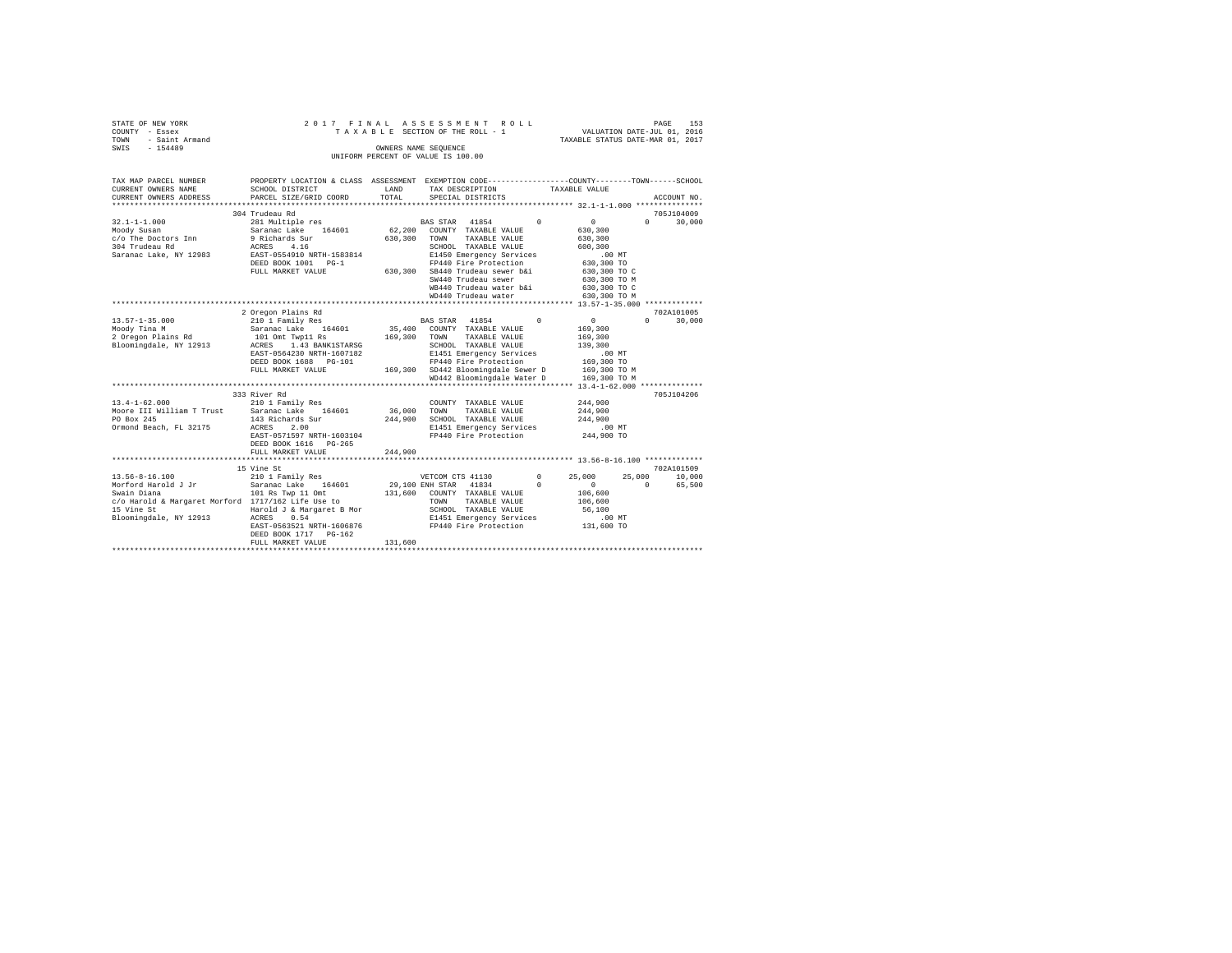| STATE OF NEW YORK<br>COUNTY<br>- Essex<br>- Saint Armand<br>TOWN<br>$-154489$<br>SWIS |                                                                                                                                                                                            | OWNERS NAME SEQUENCE | 2017 FINAL ASSESSMENT ROLL<br>TAXABLE SECTION OF THE ROLL - 1 VALUATION DATE-JUL 01, 2016<br>UNIFORM PERCENT OF VALUE IS 100.00 |          | TAXABLE STATUS DATE-MAR 01, 2017 | PAGE         | 153         |
|---------------------------------------------------------------------------------------|--------------------------------------------------------------------------------------------------------------------------------------------------------------------------------------------|----------------------|---------------------------------------------------------------------------------------------------------------------------------|----------|----------------------------------|--------------|-------------|
| CURRENT OWNERS NAME                                                                   | TAX MAP PARCEL NUMBER THE PROPERTY LOCATION & CLASS ASSESSMENT EXEMPTION CODE-------------COUNTY-------TOWN-----SCHOOL<br>SCHOOL DISTRICT<br>CURRENT OWNERS ADDRESS PARCEL SIZE/GRID COORD | LAND<br>TOTAL        | TAX DESCRIPTION TAXABLE VALUE<br>SPECIAL DISTRICTS                                                                              |          |                                  |              | ACCOUNT NO. |
|                                                                                       | 304 Trudeau Rd                                                                                                                                                                             |                      |                                                                                                                                 |          |                                  |              | 705J104009  |
| $32.1 - 1 - 1.000$                                                                    | 281 Multiple res                                                                                                                                                                           |                      | BAS STAR 41854 0                                                                                                                |          | $\mathbf{0}$                     | $\mathbf{r}$ | 30,000      |
| Moody Susan                                                                           | Saranac Lake 164601 62,200                                                                                                                                                                 |                      | COUNTY TAXABLE VALUE                                                                                                            |          | 630,300                          |              |             |
| c/o The Doctors Inn 9 Richards Sur                                                    |                                                                                                                                                                                            | 630,300              | TOWN<br>TAXABLE VALUE                                                                                                           |          | 630,300                          |              |             |
| 304 Trudeau Rd                                                                        | ACRES 4.16                                                                                                                                                                                 |                      | SCHOOL TAXABLE VALUE                                                                                                            |          | 600,300                          |              |             |
| Saranac Lake, NY 12983                                                                | EAST-0554910 NRTH-1583814                                                                                                                                                                  |                      | E1450 Emergency Services                                                                                                        |          | $.00$ MT                         |              |             |
|                                                                                       | DEED BOOK 1001 PG-1                                                                                                                                                                        |                      | FP440 Fire Protection 630,300 TO                                                                                                |          |                                  |              |             |
|                                                                                       | FULL MARKET VALUE                                                                                                                                                                          | 630,300              | SB440 Trudeau sewer b&i 630,300 TO C                                                                                            |          |                                  |              |             |
|                                                                                       |                                                                                                                                                                                            |                      | SW440 Trudeau sewer                                                                                                             |          | 630,300 TO M                     |              |             |
|                                                                                       |                                                                                                                                                                                            |                      | WB440 Trudeau water b&i 630,300 TO C                                                                                            |          |                                  |              |             |
|                                                                                       |                                                                                                                                                                                            |                      | WD440 Trudeau water 630,300 TO M                                                                                                |          |                                  |              |             |
|                                                                                       |                                                                                                                                                                                            |                      |                                                                                                                                 |          |                                  |              |             |
|                                                                                       | 2 Oregon Plains Rd                                                                                                                                                                         |                      |                                                                                                                                 |          |                                  |              | 702A101005  |
| 13.57-1-35.000                                                                        | 210 1 Family Res                                                                                                                                                                           |                      | BAS STAR 41854                                                                                                                  | $\Omega$ | $\circ$                          | $\Omega$     | 30,000      |

| c/o ine Doctors inn<br>304 Trudeau Rd                                                                     | y kichards Sur<br>4.16<br>ACRES                 | 630,300     | TOWN<br>TAAABLE VALUE<br>SCHOOL TAXABLE VALUE            |                                         | 630,300<br>600,300 |          |            |
|-----------------------------------------------------------------------------------------------------------|-------------------------------------------------|-------------|----------------------------------------------------------|-----------------------------------------|--------------------|----------|------------|
| Saranac Lake, NY 12983                                                                                    | EAST-0554910 NRTH-1583814                       |             | E1450 Emergency Services                                 |                                         | $.00$ MT           |          |            |
|                                                                                                           | DEED BOOK 1001 PG-1                             |             |                                                          |                                         | 630,300 TO         |          |            |
|                                                                                                           | FULL MARKET VALUE                               |             | FP440 Fire Frocection<br>630,300 SB440 Trudeau sewer b&i |                                         | 630,300 TO C       |          |            |
|                                                                                                           |                                                 |             | SW440 Trudeau sewer                                      |                                         | 630,300 TO M       |          |            |
|                                                                                                           |                                                 |             |                                                          | WB440 Trudeau water b&i 630,300 TO C    |                    |          |            |
|                                                                                                           |                                                 |             | WD440 Trudeau water                                      |                                         | 630,300 TO M       |          |            |
|                                                                                                           |                                                 |             |                                                          |                                         |                    |          |            |
|                                                                                                           | 2 Oregon Plains Rd                              |             |                                                          |                                         |                    |          | 702A101005 |
| $13.57 - 1 - 35.000$                                                                                      | 210 1 Family Res                                |             | BAS STAR 41854 0                                         |                                         | $\sim$ 0           | $\Omega$ | 30,000     |
| Moody Tina M                                                                                              | Saranac Lake 164601 35,400 COUNTY TAXABLE VALUE |             |                                                          |                                         | 169,300            |          |            |
| 2 Oregon Plains Rd 101 Omt Twp11 Rs                                                                       | 169,300                                         |             | TOWN                                                     | TAXABLE VALUE                           | 169,300            |          |            |
| Bloomingdale, NY 12913                                                                                    | ACRES 1.43 BANK1STARSG                          |             | SCHOOL TAXABLE VALUE                                     |                                         | 139,300            |          |            |
|                                                                                                           | EAST-0564230 NRTH-1607182                       |             | E1451 Emergency Services                                 |                                         | .00MT              |          |            |
|                                                                                                           | DEED BOOK 1688 PG-101                           |             |                                                          | FP440 Fire Protection 169,300 TO        |                    |          |            |
|                                                                                                           | FULL MARKET VALUE                               |             | 169,300 SD442 Bloomingdale Sewer D 169,300 TO M          |                                         |                    |          |            |
|                                                                                                           |                                                 |             |                                                          | WD442 Bloomingdale Water D 169,300 TO M |                    |          |            |
|                                                                                                           |                                                 |             |                                                          |                                         |                    |          |            |
|                                                                                                           | 333 River Rd                                    |             |                                                          |                                         |                    |          | 705J104206 |
| $13.4 - 1 - 62.000$                                                                                       | 210 1 Family Res                                |             | COUNTY TAXABLE VALUE                                     |                                         | 244,900            |          |            |
| Moore III William T Trust Saranac Lake 164601                                                             |                                                 | 36,000 TOWN |                                                          | TAXABLE VALUE                           | 244,900            |          |            |
| PO Box 245                                                                                                | 143 Richards Sur                                | 244,900     | SCHOOL TAXABLE VALUE                                     |                                         | 244,900            |          |            |
| Ormond Beach, FL 32175                                                                                    | 2.00<br>ACRES                                   |             | E1451 Emergency Services                                 |                                         | .00 MT             |          |            |
|                                                                                                           | EAST-0571597 NRTH-1603104                       |             | FP440 Fire Protection                                    |                                         | 244,900 TO         |          |            |
|                                                                                                           | DEED BOOK 1616 PG-265                           |             |                                                          |                                         |                    |          |            |
|                                                                                                           | 244,900<br>FULL MARKET VALUE                    |             |                                                          |                                         |                    |          |            |
|                                                                                                           |                                                 |             |                                                          |                                         |                    |          |            |
|                                                                                                           | 15 Vine St                                      |             |                                                          |                                         |                    |          | 702A101509 |
| $13.56 - 8 - 16.100$                                                                                      | 210 1 Family Res                                |             | VETCOM CTS 41130                                         | $^{\circ}$                              | 25,000             | 25,000   | 10,000     |
| Morford Harold J Jr             Saranac Lake     164601           29.100 ENH STAR     41834             0 |                                                 |             |                                                          |                                         | $\sim$ 0           | $\Omega$ | 65,500     |
| Swain Diana                                                                                               | 101 Rs Twp 11 Omt 131,600 COUNTY TAXABLE VALUE  |             |                                                          |                                         | 106,600            |          |            |
| c/o Harold & Margaret Morford 1717/162 Life Use to                                                        |                                                 |             | TOWN                                                     | TAXABLE VALUE                           | 106,600            |          |            |
| 15 Vine St                                                                                                | Harold J & Margaret B Mor                       |             | SCHOOL TAXABLE VALUE                                     |                                         | 56,100             |          |            |
| Bloomingdale, NY 12913                                                                                    | ACRES 0.54                                      |             | E1451 Emergency Services                                 |                                         | .00 MT             |          |            |
|                                                                                                           | EAST-0563521 NRTH-1606876                       |             |                                                          | FP440 Fire Protection 131,600 TO        |                    |          |            |
|                                                                                                           | DEED BOOK 1717 PG-162                           |             |                                                          |                                         |                    |          |            |
|                                                                                                           | FULL MARKET VALUE                               | 131,600     |                                                          |                                         |                    |          |            |
|                                                                                                           |                                                 |             |                                                          |                                         |                    |          |            |
|                                                                                                           |                                                 |             |                                                          |                                         |                    |          |            |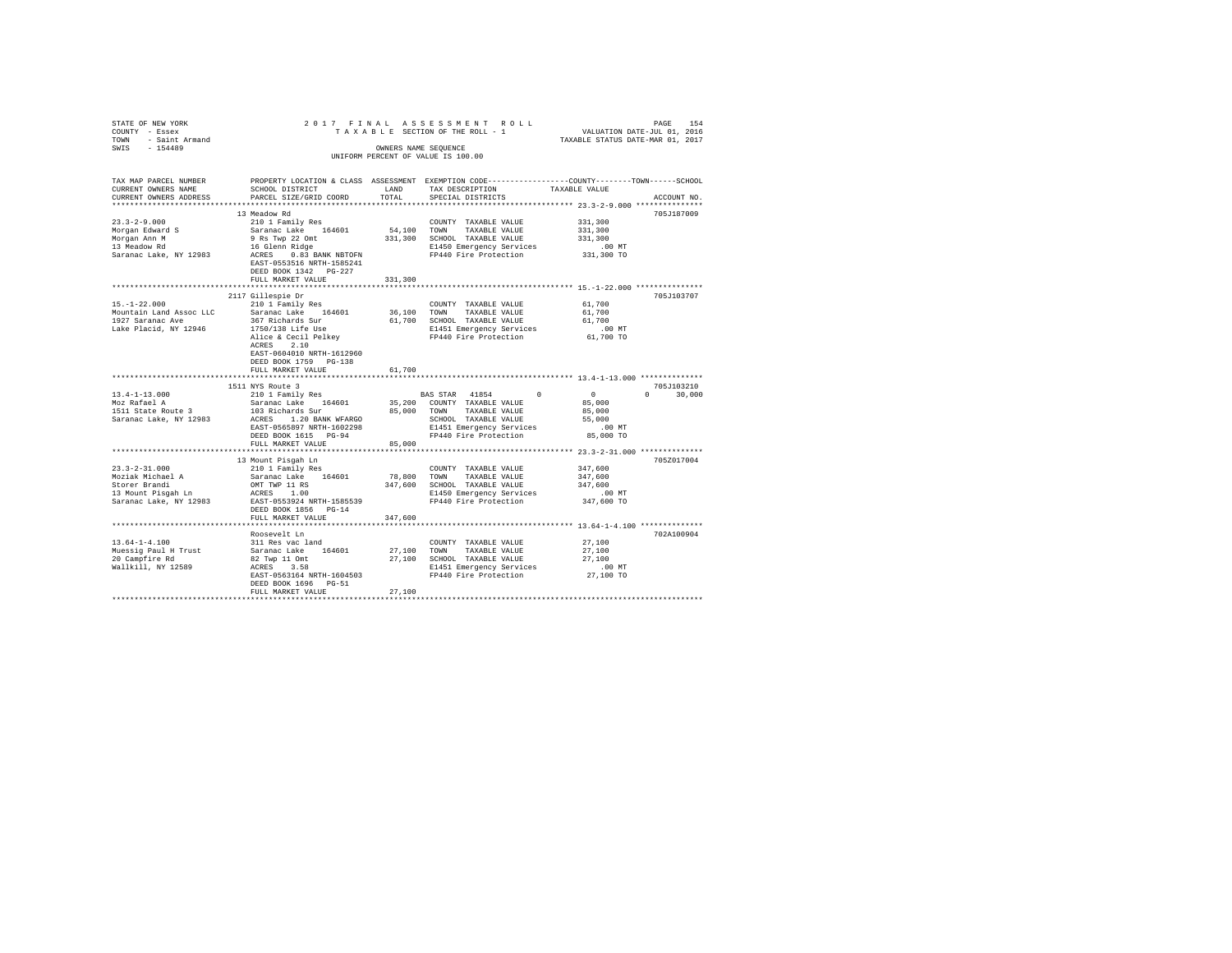| STRITE OF NEW YORK $201$<br>TOWNT - Essex 2<br>TOWN - Saint Armand<br>SWIS - 154489 |                                                                                                                                                                                                                                            |               |                                                                                        | PAGE 154 PAGE 154<br>TAXABLE SECTION OF THE ROLL - 1 VALUATION DATE-JUL 01, 2016<br>TAXABLE STATUS DATE-MAR 01, 2017 |
|-------------------------------------------------------------------------------------|--------------------------------------------------------------------------------------------------------------------------------------------------------------------------------------------------------------------------------------------|---------------|----------------------------------------------------------------------------------------|----------------------------------------------------------------------------------------------------------------------|
|                                                                                     |                                                                                                                                                                                                                                            |               |                                                                                        |                                                                                                                      |
|                                                                                     |                                                                                                                                                                                                                                            |               | OWNERS NAME SEQUENCE                                                                   |                                                                                                                      |
|                                                                                     |                                                                                                                                                                                                                                            |               | UNIFORM PERCENT OF VALUE IS 100.00                                                     |                                                                                                                      |
|                                                                                     |                                                                                                                                                                                                                                            |               |                                                                                        |                                                                                                                      |
| TAX MAP PARCEL NUMBER                                                               | SCHOOL DISTRICT                                                                                                                                                                                                                            |               |                                                                                        | PROPERTY LOCATION & CLASS ASSESSMENT EXEMPTION CODE----------------COUNTY-------TOWN------SCHOOL<br>TAXABLE VALUE    |
| CURRENT OWNERS NAME<br>CURRENT OWNERS ADDRESS                                       | PARCEL SIZE/GRID COORD                                                                                                                                                                                                                     | LAND<br>TOTAL | TAX DESCRIPTION<br>SPECIAL DISTRICTS                                                   | ACCOUNT NO.                                                                                                          |
|                                                                                     |                                                                                                                                                                                                                                            |               |                                                                                        |                                                                                                                      |
|                                                                                     | 13 Meadow Rd                                                                                                                                                                                                                               |               |                                                                                        | 705J187009                                                                                                           |
| $23.3 - 2 - 9.000$                                                                  | 210 1 Family Res                                                                                                                                                                                                                           |               | COUNTY TAXABLE VALUE                                                                   | 331,300                                                                                                              |
| Morgan Edward S                                                                     | Saranac Lake 164601<br>9 Rs Twp 22 Omt<br>16 Glenn Ridge                                                                                                                                                                                   |               | 54,100 TOWN TAXABLE VALUE                                                              | 331,300                                                                                                              |
| Morgan Ann M<br>13 Meadow Rd                                                        |                                                                                                                                                                                                                                            |               | 331,300 SCHOOL TAXABLE VALUE                                                           | 331,300                                                                                                              |
|                                                                                     |                                                                                                                                                                                                                                            |               | E1450 Emergency Services                                                               | .00MT                                                                                                                |
| Saranac Lake, NY 12983                                                              | ACRES 0.83 BANK NBTOFN                                                                                                                                                                                                                     |               | FP440 Fire Protection                                                                  | 331,300 TO                                                                                                           |
|                                                                                     | EAST-0553516 NRTH-1585241<br>DEED BOOK 1342 PG-227                                                                                                                                                                                         |               |                                                                                        |                                                                                                                      |
|                                                                                     | FULL MARKET VALUE                                                                                                                                                                                                                          | 331,300       |                                                                                        |                                                                                                                      |
|                                                                                     |                                                                                                                                                                                                                                            |               |                                                                                        |                                                                                                                      |
|                                                                                     | 2117 Gillespie Dr                                                                                                                                                                                                                          |               |                                                                                        | 705J103707                                                                                                           |
| $15. - 1 - 22.000$                                                                  | 210 1 Family Res                                                                                                                                                                                                                           |               | COUNTY TAXABLE VALUE 61,700                                                            |                                                                                                                      |
| Mountain Land Assoc LLC                                                             | Saranac Lake 164601                                                                                                                                                                                                                        |               | 36,100 TOWN TAXABLE VALUE                                                              | 61,700                                                                                                               |
| 1927 Saranac Ave                                                                    |                                                                                                                                                                                                                                            |               | 61,700 SCHOOL TAXABLE VALUE                                                            | 61,700                                                                                                               |
| Lake Placid, NY 12946                                                               | 367 Richards Sur<br>1750/138 Life Use<br>Alice & Cecil Pelkey<br>Arbes 2 10                                                                                                                                                                |               | E1451 Emergency Services<br>FP440 Fire Protection                                      | 00 MT.<br>61,700 TO                                                                                                  |
|                                                                                     | ACRES 2.10                                                                                                                                                                                                                                 |               |                                                                                        |                                                                                                                      |
|                                                                                     | EAST-0604010 NRTH-1612960                                                                                                                                                                                                                  |               |                                                                                        |                                                                                                                      |
|                                                                                     | DEED BOOK 1759 PG-138                                                                                                                                                                                                                      |               |                                                                                        |                                                                                                                      |
|                                                                                     | FULL MARKET VALUE                                                                                                                                                                                                                          | 61,700        |                                                                                        |                                                                                                                      |
|                                                                                     |                                                                                                                                                                                                                                            |               |                                                                                        |                                                                                                                      |
|                                                                                     | 1511 NYS Route 3                                                                                                                                                                                                                           |               |                                                                                        | 705J103210                                                                                                           |
| 13.4-1-13.000<br>Moz Rafael A                                                       | 210 1 Family Res<br>Saranac Lake 164601                                                                                                                                                                                                    |               | BAS STAR 41854 0 0                                                                     | $0 \t 30,000$                                                                                                        |
|                                                                                     |                                                                                                                                                                                                                                            |               | 35,200 COUNTY TAXABLE VALUE                                                            | 85,000<br>85,000                                                                                                     |
|                                                                                     |                                                                                                                                                                                                                                            |               |                                                                                        | 55,000                                                                                                               |
|                                                                                     |                                                                                                                                                                                                                                            |               |                                                                                        | .00 MT                                                                                                               |
|                                                                                     |                                                                                                                                                                                                                                            |               |                                                                                        | 85,000 TO                                                                                                            |
|                                                                                     | FULL MARKET VALUE                                                                                                                                                                                                                          | 85,000        |                                                                                        |                                                                                                                      |
|                                                                                     |                                                                                                                                                                                                                                            |               |                                                                                        |                                                                                                                      |
|                                                                                     | 13 Mount Pisgah Ln                                                                                                                                                                                                                         |               |                                                                                        | 705Z017004                                                                                                           |
| $23.3 - 2 - 31.000$                                                                 | 210 1 Family Res                                                                                                                                                                                                                           |               | COUNTY TAXABLE VALUE                                                                   | 347,600                                                                                                              |
|                                                                                     |                                                                                                                                                                                                                                            |               | 78,800 TOWN TAXABLE VALUE<br>347,600 SCHOOL TAXABLE VALUE                              | 347,600<br>347,600                                                                                                   |
|                                                                                     |                                                                                                                                                                                                                                            |               | E1450 Emergency Services                                                               | .00 MT                                                                                                               |
|                                                                                     | Explorate Months and Monte Monte Monte Monte Monte (164601)<br>13 Mount Pisgah Ln<br>13 Mount Pisgah Ln<br>13 Mount Pisgah Ln<br>13 Mount Pisgah Ln<br>12 Monte Monte Monte Monte Monte (1644)<br>12 Monte Monte Monte Monte Monte Monte M |               | FP440 Fire Protection                                                                  | 347,600 TO                                                                                                           |
|                                                                                     | DEED BOOK 1856 PG-14                                                                                                                                                                                                                       |               |                                                                                        |                                                                                                                      |
|                                                                                     | FULL MARKET VALUE                                                                                                                                                                                                                          | 347.600       |                                                                                        |                                                                                                                      |
|                                                                                     |                                                                                                                                                                                                                                            |               |                                                                                        |                                                                                                                      |
|                                                                                     | Roosevelt Ln                                                                                                                                                                                                                               |               |                                                                                        | 702A100904                                                                                                           |
| $13.64 - 1 - 4.100$                                                                 | 311 Res vac land                                                                                                                                                                                                                           |               | COUNTY TAXABLE VALUE                                                                   | 27,100                                                                                                               |
|                                                                                     | 15.04-1-4.1.00<br>Muessig Paul H Trust<br>20 Campfire Rd<br>20 Campfire Rd<br>82 Twp 11 Omt<br>Mallkill, NY 12589<br>AGRES 3.58<br>AGRES 3.58<br>AGRES 3.58<br>AGRES 3.58                                                                  |               | 27,100 TOWN TAXABLE VALUE<br>27,100 SCHOOL TAXABLE VALUE                               | 27,100<br>27,100                                                                                                     |
|                                                                                     |                                                                                                                                                                                                                                            |               |                                                                                        |                                                                                                                      |
|                                                                                     |                                                                                                                                                                                                                                            |               | ACRES 3.58 B1451 Emergency Services<br>EAST-0563164 NRTH-1604503 FP440 Fire Protection | 00 MT.<br>27,100 TO                                                                                                  |
|                                                                                     | DEED BOOK 1696 PG-51                                                                                                                                                                                                                       |               |                                                                                        |                                                                                                                      |
|                                                                                     | FULL MARKET VALUE                                                                                                                                                                                                                          | 27,100        |                                                                                        |                                                                                                                      |
|                                                                                     |                                                                                                                                                                                                                                            |               |                                                                                        |                                                                                                                      |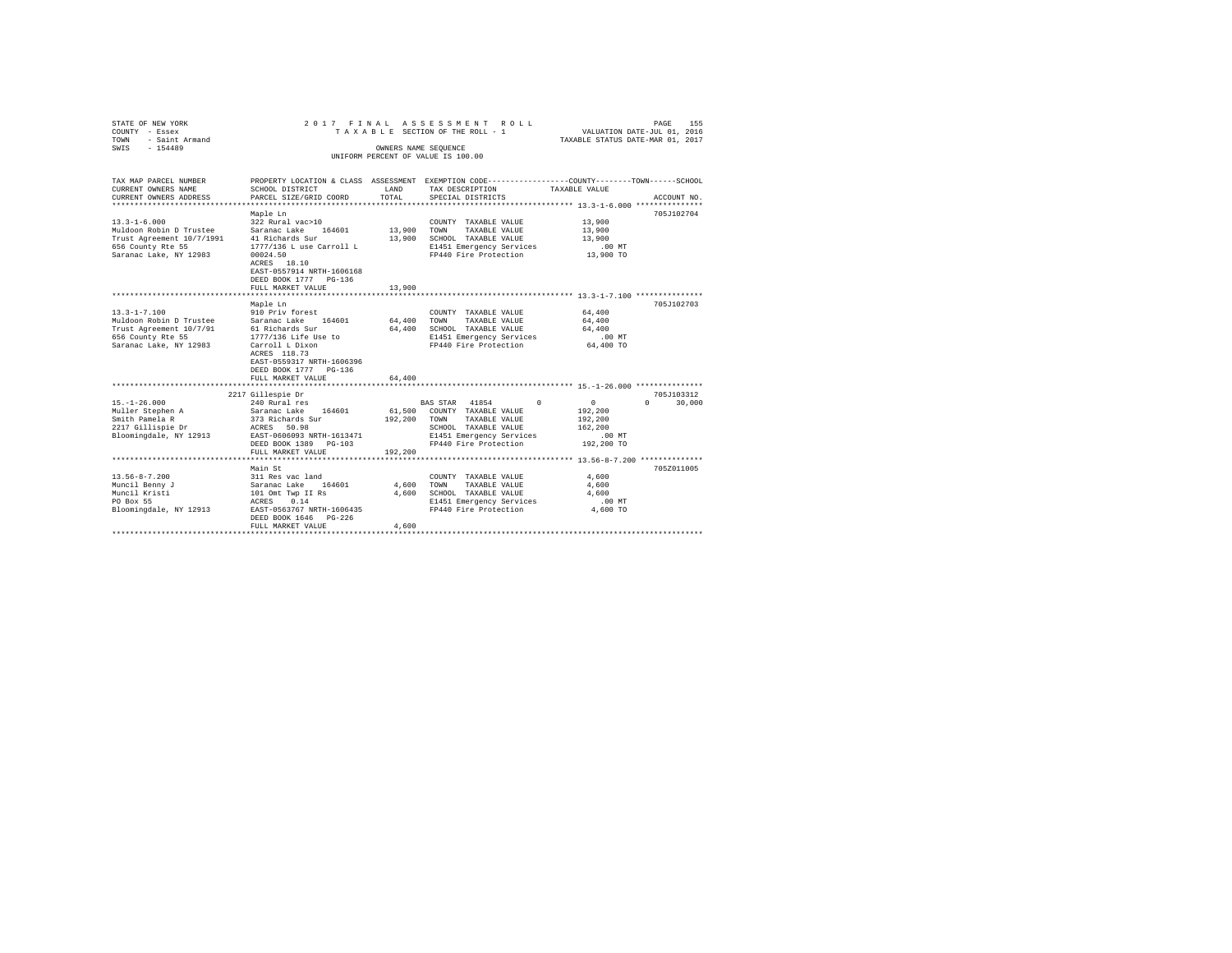| STATE OF NEW YORK<br>COUNTY - Essex<br>- Saint Armand<br>TOWN<br>$-154489$<br>SWIS                                        | 2017 FINAL ASSESSMENT ROLL                                                                                                                                                                                  | TAXABLE SECTION OF THE ROLL - 1<br>OWNERS NAME SEQUENCE<br>UNIFORM PERCENT OF VALUE IS 100.00 | VALUATION DATE-JUL 01, 2016<br>TAXABLE STATUS DATE-MAR 01, 2017                                                                                          | PAGE<br>155                                                        |                                |
|---------------------------------------------------------------------------------------------------------------------------|-------------------------------------------------------------------------------------------------------------------------------------------------------------------------------------------------------------|-----------------------------------------------------------------------------------------------|----------------------------------------------------------------------------------------------------------------------------------------------------------|--------------------------------------------------------------------|--------------------------------|
| TAX MAP PARCEL NUMBER<br>CURRENT OWNERS NAME<br>CURRENT OWNERS ADDRESS                                                    | SCHOOL DISTRICT<br>PARCEL SIZE/GRID COORD                                                                                                                                                                   | LAND<br>TOTAL                                                                                 | PROPERTY LOCATION & CLASS ASSESSMENT EXEMPTION CODE---------------COUNTY-------TOWN-----SCHOOL<br>TAX DESCRIPTION<br>SPECIAL DISTRICTS                   | TAXABLE VALUE                                                      | ACCOUNT NO.                    |
| $13.3 - 1 - 6.000$<br>Muldoon Robin D Trustee<br>Trust Agreement 10/7/1991<br>656 County Rte 55<br>Saranac Lake, NY 12983 | Maple Ln<br>322 Rural vac>10<br>Saranac Lake 164601<br>41 Richards Sur<br>1777/136 L use Carroll L<br>00024.50<br>ACRES 18.10<br>EAST-0557914 NRTH-1606168<br>DEED BOOK 1777 PG-136<br>FULL MARKET VALUE    | 13,900<br>13,900<br>13,900                                                                    | COUNTY TAXABLE VALUE<br>TAXABLE VALUE<br>TOWN<br>SCHOOL TAXABLE VALUE<br>E1451 Emergency Services<br>FP440 Fire Protection                               | 13,900<br>13,900<br>13,900<br>$.00$ MT<br>13,900 TO                | 705J102704                     |
| $13.3 - 1 - 7.100$<br>Muldoon Robin D Trustee<br>Trust Agreement 10/7/91<br>656 County Rte 55<br>Saranac Lake, NY 12983   | Maple Ln<br>910 Priv forest<br>Saranac Lake 164601<br>61 Richards Sur<br>1777/136 Life Use to<br>Carroll L Dixon<br>ACRES 118.73<br>EAST-0559317 NRTH-1606396<br>DEED BOOK 1777 PG-136<br>FULL MARKET VALUE | 64,400<br>64,400<br>64,400                                                                    | COUNTY TAXABLE VALUE<br>TAXABLE VALUE<br>TOWN<br>SCHOOL TAXABLE VALUE<br>E1451 Emergency Services<br>FP440 Fire Protection                               | 64,400<br>64,400<br>64,400<br>$.00$ MT<br>64,400 TO                | 705J102703                     |
| $15. - 1 - 26.000$<br>Muller Stephen A<br>Smith Pamela R<br>2217 Gillispie Dr<br>Bloomingdale, NY 12913                   | 2217 Gillespie Dr<br>240 Rural res<br>Saranac Lake 164601<br>373 Richards Sur<br>ACRES 50.98<br>EAST-0606093 NRTH-1613471<br>DEED BOOK 1389 PG-103<br>FULL MARKET VALUE                                     | 61,500<br>192.200<br>192,200                                                                  | $\Omega$<br>BAS STAR 41854<br>COUNTY TAXABLE VALUE<br>TAXABLE VALUE<br>TOWN<br>SCHOOL TAXABLE VALUE<br>E1451 Emergency Services<br>FP440 Fire Protection | $\circ$<br>192,200<br>192,200<br>162,200<br>$.00$ MT<br>192,200 TO | 705J103312<br>30,000<br>$\cap$ |
| $13.56 - 8 - 7.200$<br>Muncil Benny J<br>Muncil Kristi<br>PO Box 55<br>Bloomingdale, NY 12913                             | Main St<br>311 Res vac land<br>Saranac Lake 164601<br>101 Omt Twp II Rs<br>0.14<br>ACRES<br>EAST-0563767 NRTH-1606435<br>DEED BOOK 1646 PG-226<br>FULL MARKET VALUE                                         | 4,600<br>4,600<br>4,600                                                                       | COUNTY TAXABLE VALUE<br>TOWN<br>TAXABLE VALUE<br>SCHOOL TAXABLE VALUE<br>E1451 Emergency Services<br>FP440 Fire Protection                               | 4,600<br>4,600<br>4,600<br>$.00$ MT<br>4,600 TO                    | 7052011005                     |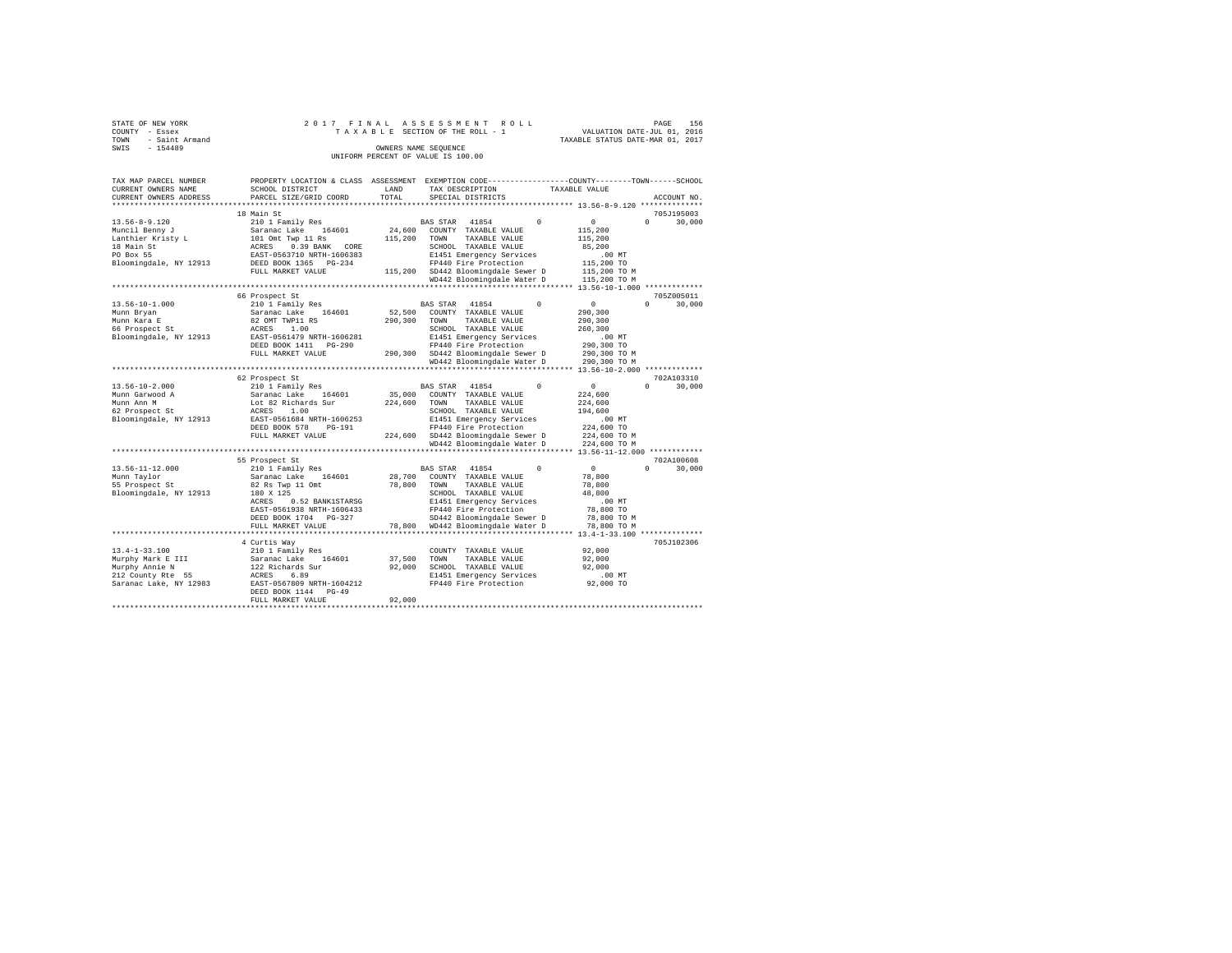|      | STATE OF NEW YORK   |  |  |  |  | 2017 FINAL ASSESSMENT ROLL         |  |  |                                  | PAGE | 156 |
|------|---------------------|--|--|--|--|------------------------------------|--|--|----------------------------------|------|-----|
|      | COUNTY - Essex      |  |  |  |  | TAXABLE SECTION OF THE ROLL - 1    |  |  | VALUATION DATE-JUL 01, 2016      |      |     |
|      | TOWN - Saint Armand |  |  |  |  |                                    |  |  | TAXABLE STATUS DATE-MAR 01, 2017 |      |     |
| SWIS | $-154489$           |  |  |  |  | OWNERS NAME SEOUENCE               |  |  |                                  |      |     |
|      |                     |  |  |  |  | UNIFORM PERCENT OF VALUE IS 100.00 |  |  |                                  |      |     |

| TAX MAP PARCEL NUMBER<br>CURRENT OWNERS NAME<br>CURRENT OWNERS ADDRESS                                          | PROPERTY LOCATION & CLASS ASSESSMENT<br>SCHOOL DISTRICT<br>PARCEL SIZE/GRID COORD                                                                                                                          | LAND<br>TOTAL                | EXEMPTION CODE---------<br>TAX DESCRIPTION<br>SPECIAL DISTRICTS                                                                                                                                                                  | TAXABLE VALUE | -------COUNTY-------TOWN------SCHOOL                                                                                 | ACCOUNT NO.                      |
|-----------------------------------------------------------------------------------------------------------------|------------------------------------------------------------------------------------------------------------------------------------------------------------------------------------------------------------|------------------------------|----------------------------------------------------------------------------------------------------------------------------------------------------------------------------------------------------------------------------------|---------------|----------------------------------------------------------------------------------------------------------------------|----------------------------------|
| ******************                                                                                              | ******************                                                                                                                                                                                         | ********                     | ************************************ 13.56-8-9.120 **************                                                                                                                                                                |               |                                                                                                                      |                                  |
|                                                                                                                 | 18 Main St                                                                                                                                                                                                 |                              |                                                                                                                                                                                                                                  |               |                                                                                                                      | 705.T195003                      |
| $13.56 - 8 - 9.120$<br>Muncil Benny J<br>Lanthier Kristy L<br>18 Main St<br>PO Box 55<br>Bloomingdale, NY 12913 | 210 1 Family Res<br>Saranac Lake<br>164601<br>101 Omt Twp 11 Rs<br>0.39 BANK<br>ACRES<br>CORE<br>EAST-0563710 NRTH-1606383<br>DEED BOOK 1365<br>$PG-234$<br>FULL MARKET VALUE                              | 24,600<br>115,200<br>115,200 | 41854<br>$\Omega$<br><b>BAS STAR</b><br>COUNTY TAXABLE VALUE<br>TAXABLE VALUE<br>TOWN<br>SCHOOL TAXABLE VALUE<br>E1451 Emergency Services<br>FP440 Fire Protection<br>SD442 Bloomingdale Sewer D                                 |               | $\circ$<br>115,200<br>115,200<br>85,200<br>$.00$ MT<br>115,200 TO<br>115,200 TO M                                    | $\circ$<br>30,000                |
|                                                                                                                 |                                                                                                                                                                                                            |                              | WD442 Bloomingdale Water D                                                                                                                                                                                                       |               | 115,200 TO M                                                                                                         |                                  |
| $13.56 - 10 - 1.000$<br>Munn Bryan<br>Munn Kara E<br>66 Prospect St<br>Bloomingdale, NY 12913                   | 66 Prospect St<br>210 1 Family Res<br>Saranac Lake<br>164601<br>82 OMT TWP11 RS<br>1.00<br>ACRES<br>EAST-0561479 NRTH-1606281<br>DEED BOOK 1411<br>$PG-290$<br>FULL MARKET VALUE                           | 52,500<br>290,300<br>290,300 | <b>BAS STAR</b><br>41854<br>$^{\circ}$<br>COUNTY TAXABLE VALUE<br>TAXABLE VALUE<br>TOWN<br>SCHOOL TAXABLE VALUE<br>E1451 Emergency Services<br>FP440 Fire Protection<br>SD442 Bloomingdale Sewer D                               |               | $13.56 - 10 - 1.000$ *********<br>$\circ$<br>290,300<br>290,300<br>260.300<br>$.00$ MT<br>290,300 TO<br>290,300 TO M | 705Z005011<br>$\circ$<br>30,000  |
|                                                                                                                 | ****************                                                                                                                                                                                           |                              | WD442 Bloomingdale Water D                                                                                                                                                                                                       |               | 290,300 TO M                                                                                                         |                                  |
|                                                                                                                 |                                                                                                                                                                                                            |                              |                                                                                                                                                                                                                                  |               | 13.56-10-2.000 *************                                                                                         | 702A103310                       |
| $13.56 - 10 - 2.000$<br>Munn Garwood A<br>Munn Ann M<br>62 Prospect St<br>Bloomingdale, NY 12913                | 62 Prospect St<br>210 1 Family Res<br>Saranac Lake<br>164601<br>Lot 82 Richards Sur<br><b>ACRES</b><br>1.00<br>EAST-0561684 NRTH-1606253<br>DEED BOOK 578<br>$PG-191$<br>FULL MARKET VALUE                 | 35,000<br>224,600<br>224,600 | 41854<br>$^{\circ}$<br><b>BAS STAR</b><br>COUNTY TAXABLE VALUE<br>TAXABLE VALUE<br>TOWN<br>SCHOOL TAXABLE VALUE<br>E1451 Emergency Services<br>FP440 Fire Protection<br>SD442 Bloomingdale Sewer D<br>WD442 Bloomingdale Water D |               | $\circ$<br>224,600<br>224,600<br>194,600<br>$.00$ MT<br>224,600 TO<br>224,600 TO M<br>224,600 TO M                   | $\circ$<br>30,000                |
|                                                                                                                 | ********************************                                                                                                                                                                           |                              | **************************                                                                                                                                                                                                       |               | 13.56-11-12.000 ************                                                                                         |                                  |
| $13.56 - 11 - 12.000$<br>Munn Taylor<br>55 Prospect St<br>Bloomingdale, NY 12913                                | 55 Prospect St<br>210 1 Family Res<br>Saranac Lake<br>164601<br>82 Rs Twp 11 Omt<br>180 X 125<br>0.52 BANK1STARSG<br>ACRES<br>EAST-0561938 NRTH-1606433<br>DEED BOOK 1704<br>$PG-327$<br>FULL MARKET VALUE | 28,700<br>78,800<br>78,800   | 41854<br>$\Omega$<br><b>BAS STAR</b><br>COUNTY TAXABLE VALUE<br>TOWN<br>TAXABLE VALUE<br>SCHOOL TAXABLE VALUE<br>E1451 Emergency Services<br>FP440 Fire Protection<br>SD442 Bloomingdale Sewer D<br>WD442 Bloomingdale Water D   |               | $\circ$<br>78,800<br>78,800<br>48,800<br>$.00$ MT<br>78,800 TO<br>78,800 TO M<br>78,800 TO M                         | 702A100608<br>$\Omega$<br>30,000 |
|                                                                                                                 |                                                                                                                                                                                                            |                              |                                                                                                                                                                                                                                  |               | $13.4 - 1 - 33.100$ **************                                                                                   |                                  |
| $13.4 - 1 - 33.100$<br>Murphy Mark E III<br>Murphy Annie N<br>212 County Rte 55<br>Saranac Lake, NY 12983       | 4 Curtis Wav<br>210 1 Family Res<br>164601<br>Saranac Lake<br>122 Richards Sur<br><b>ACRES</b><br>6.89<br>EAST-0567809 NRTH-1604212<br>DEED BOOK 1144<br>$PG-49$<br>FULL MARKET VALUE                      | 37,500<br>92,000<br>92.000   | COUNTY TAXABLE VALUE<br>TOWN<br>TAXABLE VALUE<br>SCHOOL TAXABLE VALUE<br>E1451 Emergency Services<br>FP440 Fire Protection                                                                                                       |               | 92.000<br>92.000<br>92,000<br>$.00$ MT<br>92,000 TO                                                                  | 705J102306                       |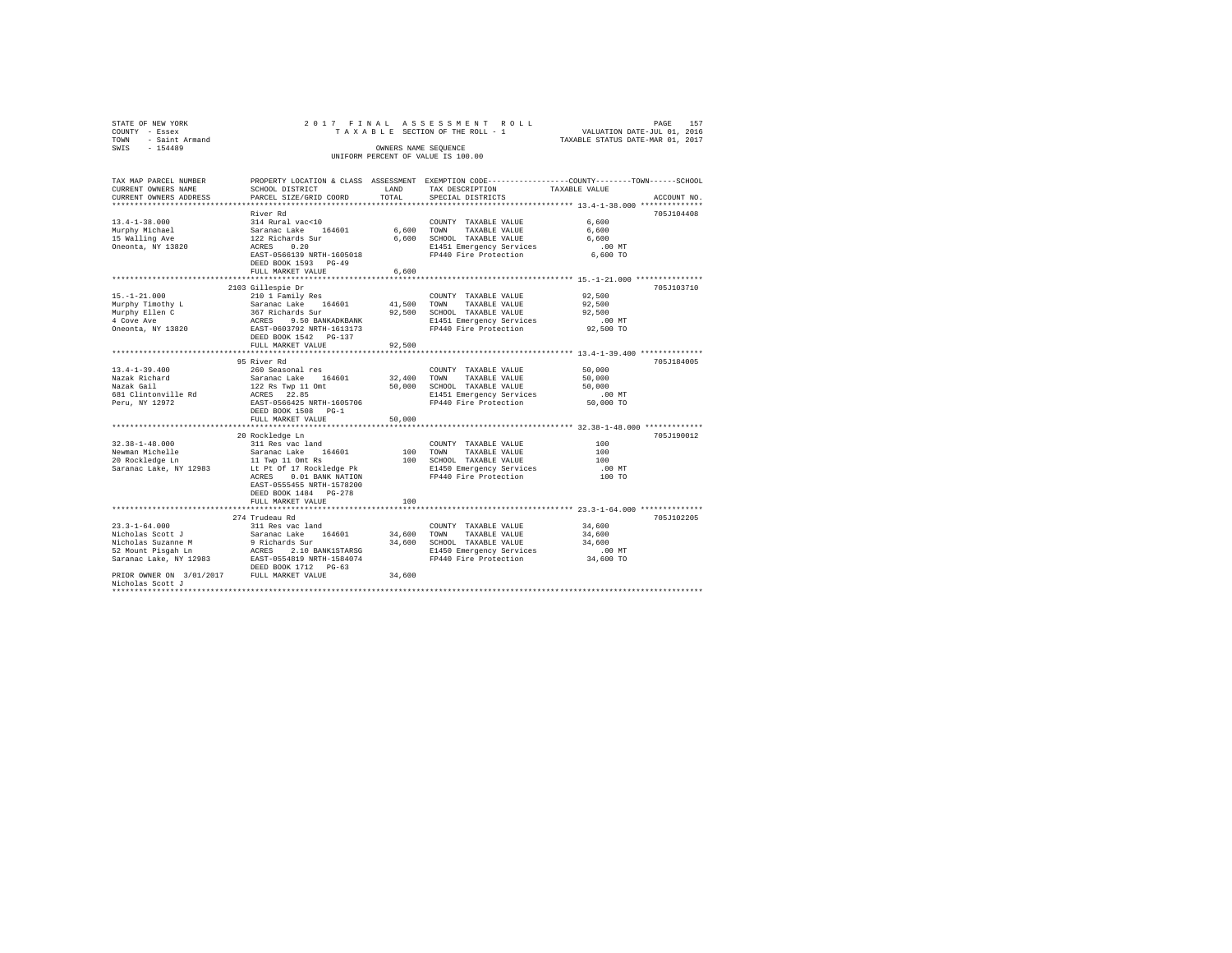| STATE OF NEW YORK<br>COUNTY - Essex        |                                |                       | 2017 FINAL ASSESSMENT ROLL<br>TAXABLE SECTION OF THE ROLL - 1                                   | PAGE 157<br>VALUATION DATE-JUL 01, 2016         |             |
|--------------------------------------------|--------------------------------|-----------------------|-------------------------------------------------------------------------------------------------|-------------------------------------------------|-------------|
| TOWN - Saint Armand                        |                                |                       |                                                                                                 | TAXABLE STATUS DATE-MAR 01, 2017                |             |
| SWIS - 154489                              |                                |                       | OWNERS NAME SEOUENCE                                                                            |                                                 |             |
|                                            |                                |                       | UNIFORM PERCENT OF VALUE IS 100.00                                                              |                                                 |             |
|                                            |                                |                       |                                                                                                 |                                                 |             |
| TAX MAP PARCEL NUMBER                      |                                |                       | PROPERTY LOCATION & CLASS ASSESSMENT EXEMPTION CODE---------------COUNTY-------TOWN------SCHOOL |                                                 |             |
| CURRENT OWNERS NAME                        | SCHOOL DISTRICT                | LAND                  | TAX DESCRIPTION                                                                                 | TAXABLE VALUE                                   |             |
| CURRENT OWNERS ADDRESS                     | PARCEL SIZE/GRID COORD         | TOTAL                 | SPECIAL DISTRICTS                                                                               |                                                 | ACCOUNT NO. |
|                                            |                                |                       |                                                                                                 |                                                 |             |
|                                            | River Rd                       |                       |                                                                                                 |                                                 | 705J104408  |
| $13.4 - 1 - 38.000$                        | 314 Rural vac<10               |                       | COUNTY TAXABLE VALUE                                                                            | 6,600                                           |             |
| Murphy Michael                             | Saranac Lake 164601            | 6,600                 | TOWN<br>TAXABLE VALUE                                                                           | 6,600                                           |             |
| 15 Walling Ave                             | 122 Richards Sur<br>ACRES 0.20 |                       | 6,600 SCHOOL TAXABLE VALUE                                                                      | 6,600                                           |             |
| Oneonta, NY 13820                          |                                |                       | E1451 Emergency Services                                                                        | .00MT                                           |             |
|                                            | EAST-0566139 NRTH-1605018      |                       | FP440 Fire Protection                                                                           | 6,600 TO                                        |             |
|                                            | DEED BOOK 1593 PG-49           |                       |                                                                                                 |                                                 |             |
|                                            | FULL MARKET VALUE              | 6,600<br>************ |                                                                                                 | ***************** 15.-1-21.000 **************** |             |
|                                            | 2103 Gillespie Dr              |                       |                                                                                                 |                                                 | 705J103710  |
| $15. - 1 - 21.000$                         | 210 1 Family Res               |                       | COUNTY TAXABLE VALUE                                                                            | 92,500                                          |             |
| Murphy Timothy L                           | Saranac Lake 164601            | 41,500                | TOWN<br>TAXABLE VALUE                                                                           | 92,500                                          |             |
|                                            | 367 Richards Sur               | 92.500                | SCHOOL TAXABLE VALUE                                                                            | 92,500                                          |             |
| Murphy Ellen C<br>4 Cove Ave               | ACRES 9.50 BANKADKBANK         |                       | E1451 Emergency Services                                                                        | $.00$ MT                                        |             |
| Oneonta, NY 13820                          | EAST-0603792 NRTH-1613173      |                       | FP440 Fire Protection                                                                           | 92,500 TO                                       |             |
|                                            | DEED BOOK 1542    PG-137       |                       |                                                                                                 |                                                 |             |
|                                            | FULL MARKET VALUE              | 92,500                |                                                                                                 |                                                 |             |
|                                            |                                |                       |                                                                                                 |                                                 |             |
|                                            | 95 River Rd                    |                       |                                                                                                 |                                                 | 705J184005  |
| $13.4 - 1 - 39.400$                        | 260 Seasonal res               |                       | COUNTY TAXABLE VALUE                                                                            | 50,000                                          |             |
| Nazak Richard<br>Nazak Gail                | Saranac Lake 164601            | 32,400 TOWN           | TAXABLE VALUE                                                                                   | 50,000                                          |             |
|                                            | 122 Rs Twp 11 Omt              |                       | 50,000 SCHOOL TAXABLE VALUE                                                                     | 50,000                                          |             |
| 681 Clintonville Rd                        | ACRES 22.85                    |                       | E1451 Emergency Services                                                                        | $.00$ MT                                        |             |
| Peru, NY 12972                             | EAST-0566425 NRTH-1605706      |                       | FP440 Fire Protection                                                                           | 50,000 TO                                       |             |
|                                            | DEED BOOK 1508 PG-1            |                       |                                                                                                 |                                                 |             |
|                                            | FULL MARKET VALUE              | 50,000                |                                                                                                 |                                                 |             |
|                                            | 20 Rockledge Ln                |                       |                                                                                                 |                                                 | 705J190012  |
| $32.38 - 1 - 48.000$                       | 311 Res vac land               |                       | COUNTY TAXABLE VALUE                                                                            | 100                                             |             |
|                                            | Saranac Lake 164601            | 100                   | TOWN<br>TAXABLE VALUE                                                                           | 100                                             |             |
| Newman Michelle<br>20 Rockledge Ln         | 11 Twp 11 Omt Rs               |                       | 100 SCHOOL TAXABLE VALUE                                                                        | 100                                             |             |
| Saranac Lake, NY 12983                     | Lt Pt Of 17 Rockledge Pk       |                       | E1450 Emergency Services                                                                        | $.00$ MT                                        |             |
|                                            | ACRES 0.01 BANK NATION         |                       | FP440 Fire Protection                                                                           | 100 TO                                          |             |
|                                            | EAST-0555455 NRTH-1578200      |                       |                                                                                                 |                                                 |             |
|                                            | DEED BOOK 1484 PG-278          |                       |                                                                                                 |                                                 |             |
|                                            | FULL MARKET VALUE              | 100                   |                                                                                                 |                                                 |             |
|                                            |                                |                       |                                                                                                 |                                                 |             |
|                                            | 274 Trudeau Rd                 |                       |                                                                                                 |                                                 | 705J102205  |
| $23.3 - 1 - 64.000$                        | 311 Res vac land               |                       | COUNTY TAXABLE VALUE                                                                            | 34,600                                          |             |
| Nicholas Scott J                           | Saranac Lake 164601            | 34,600                | TOWN<br>TAXABLE VALUE                                                                           | 34,600                                          |             |
| Nicholas Suzanne M                         | 9 Richards Sur                 |                       | 34,600 SCHOOL TAXABLE VALUE                                                                     | 34,600                                          |             |
|                                            | ACRES 2.10 BANK1STARSG         |                       | E1450 Emergency Services<br>FP440 Fire Protection                                               | $.00$ MT<br>34,600 TO                           |             |
|                                            | DEED BOOK 1712 PG-63           |                       |                                                                                                 |                                                 |             |
| PRIOR OWNER ON 3/01/2017 FULL MARKET VALUE |                                | 34,600                |                                                                                                 |                                                 |             |
| Nicholas Scott J                           |                                |                       |                                                                                                 |                                                 |             |
|                                            |                                |                       |                                                                                                 |                                                 |             |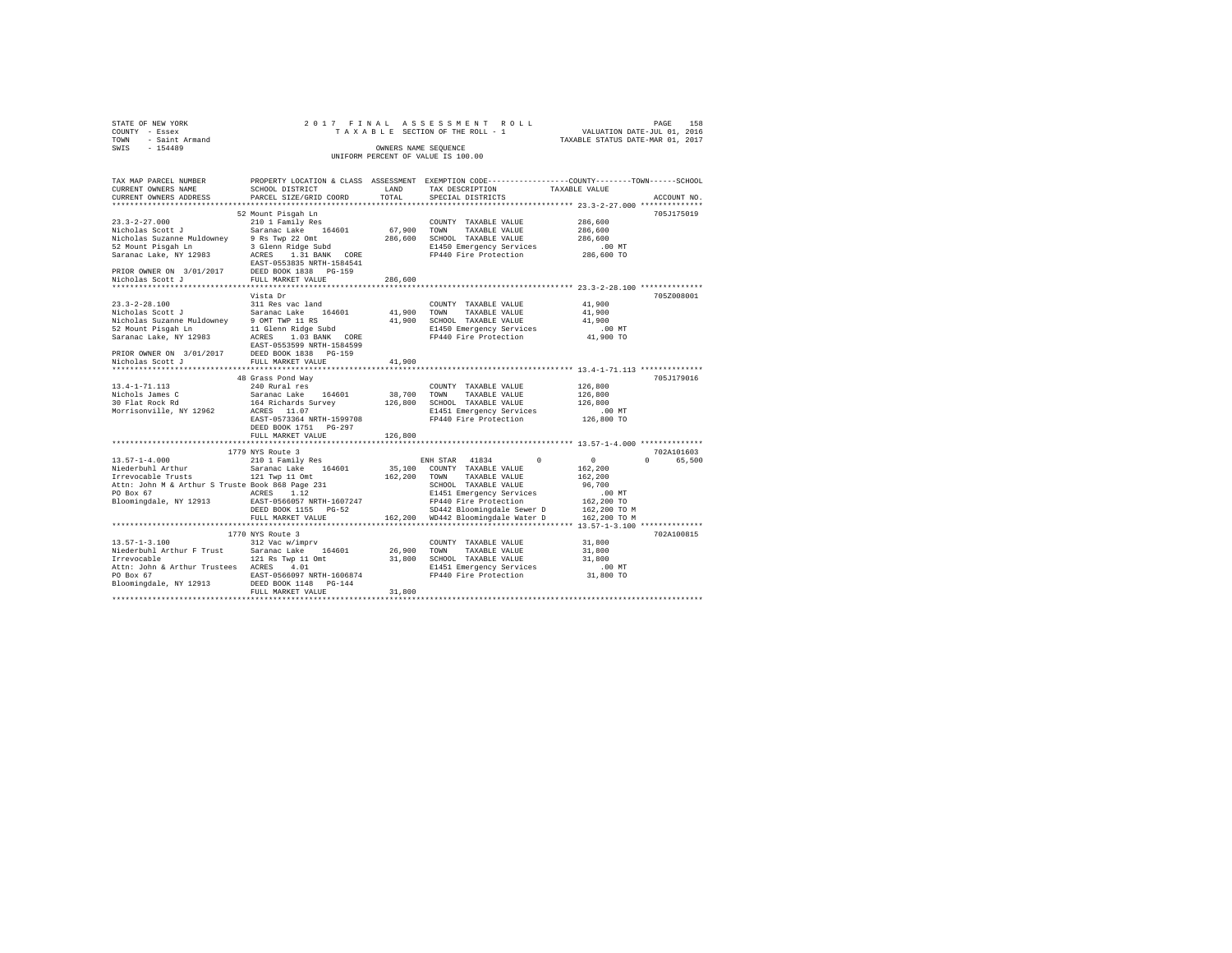| STATE OF NEW YORK                                                                    |                           |                      | 2017 FINAL ASSESSMENT ROLL                                                                                            |                                                                                                                     |
|--------------------------------------------------------------------------------------|---------------------------|----------------------|-----------------------------------------------------------------------------------------------------------------------|---------------------------------------------------------------------------------------------------------------------|
| COUNTY - Essex<br>TOWN - Saint Armand<br>SWIS - 154489                               |                           |                      | TAXABLE SECTION OF THE ROLL - 1                                                                                       | PAGE 158<br>VALUATION DATE-JUL 01, 2016                                                                             |
|                                                                                      |                           |                      |                                                                                                                       | TAXABLE STATUS DATE-MAR 01, 2017                                                                                    |
|                                                                                      |                           | OWNERS NAME SEQUENCE |                                                                                                                       |                                                                                                                     |
|                                                                                      |                           |                      | UNIFORM PERCENT OF VALUE IS 100.00                                                                                    |                                                                                                                     |
|                                                                                      |                           |                      |                                                                                                                       |                                                                                                                     |
|                                                                                      |                           |                      |                                                                                                                       |                                                                                                                     |
|                                                                                      |                           |                      |                                                                                                                       | TAX MAP PARCEL NUMBER PROPERTY LOCATION & CLASS ASSESSMENT EXEMPTION CODE--------------COUNTY-------TOWN-----SCHOOL |
| CURRENT OWNERS NAME                                                                  | SCHOOL DISTRICT           | LAND                 | TAX DESCRIPTION                                                                                                       | TAXABLE VALUE                                                                                                       |
| CURRENT OWNERS ADDRESS                                                               | PARCEL SIZE/GRID COORD    | TOTAL                | SPECIAL DISTRICTS                                                                                                     | ACCOUNT NO.                                                                                                         |
|                                                                                      |                           |                      |                                                                                                                       |                                                                                                                     |
|                                                                                      | 52 Mount Pisqah Ln        |                      |                                                                                                                       | 705J175019                                                                                                          |
|                                                                                      |                           |                      |                                                                                                                       |                                                                                                                     |
| $23.3 - 2 - 27.000$                                                                  | 210 1 Family Res          |                      | COUNTY TAXABLE VALUE                                                                                                  | 286,600                                                                                                             |
| Nicholas Scott J Saranac Lake 164601                                                 |                           | 67,900 TOWN          | TAXABLE VALUE                                                                                                         | 286,600                                                                                                             |
| Nicholas Suzanne Muldowney 9 Rs Twp 22 Omt<br>52 Mount Pisgah Ln 3 Glenn Ridge Subd  |                           |                      | 286,600 SCHOOL TAXABLE VALUE                                                                                          | 286,600                                                                                                             |
|                                                                                      |                           |                      | E1450 Emergency Services                                                                                              | .00 MT                                                                                                              |
| Saranac Lake, NY 12983                                                               | ACRES 1.31 BANK CORE      |                      | FP440 Fire Protection                                                                                                 | 286,600 TO                                                                                                          |
|                                                                                      | EAST-0553835 NRTH-1584541 |                      |                                                                                                                       |                                                                                                                     |
| PRIOR OWNER ON 3/01/2017 DEED BOOK 1838 PG-159<br>Nicholas Scott J FULL MARKET VALUE |                           |                      |                                                                                                                       |                                                                                                                     |
|                                                                                      |                           | 286,600              |                                                                                                                       |                                                                                                                     |
|                                                                                      |                           |                      |                                                                                                                       |                                                                                                                     |
|                                                                                      | Vista Dr                  |                      |                                                                                                                       | 705Z008001                                                                                                          |
| $23.3 - 2 - 28.100$                                                                  | 311 Res vac land          |                      | COUNTY TAXABLE VALUE                                                                                                  | 41,900                                                                                                              |
|                                                                                      |                           |                      |                                                                                                                       | 41,900                                                                                                              |
|                                                                                      |                           |                      |                                                                                                                       | 41,900                                                                                                              |
|                                                                                      |                           |                      |                                                                                                                       | .00 MT                                                                                                              |
|                                                                                      |                           |                      |                                                                                                                       | 41,900 TO                                                                                                           |
|                                                                                      | EAST-0553599 NRTH-1584599 |                      |                                                                                                                       |                                                                                                                     |
| PRIOR OWNER ON 3/01/2017 DEED BOOK 1838 PG-159<br>Nicholas Scott J FULL MARKET VALUE |                           |                      |                                                                                                                       |                                                                                                                     |
|                                                                                      |                           | 41,900               |                                                                                                                       |                                                                                                                     |
|                                                                                      |                           |                      |                                                                                                                       |                                                                                                                     |
|                                                                                      | 48 Grass Pond Way         |                      |                                                                                                                       | 705J179016                                                                                                          |
| $13.4 - 1 - 71.113$                                                                  | 240 Rural res             |                      | COUNTY TAXABLE VALUE                                                                                                  | 126,800                                                                                                             |
| Nichols James C<br>30 Flat Rock Rd                                                   |                           | 38,700               |                                                                                                                       | 126,800                                                                                                             |
|                                                                                      | Saranac Lake 164601       |                      | TOWN TAXABLE VALUE                                                                                                    |                                                                                                                     |
|                                                                                      | 164 Richards Survey       |                      | 126,800 SCHOOL TAXABLE VALUE                                                                                          | 126,800                                                                                                             |
| Morrisonville, NY 12962                                                              | ACRES 11.07               |                      | E1451 Emergency Services                                                                                              | $.00$ MT                                                                                                            |
|                                                                                      | EAST-0573364 NRTH-1599708 |                      | FP440 Fire Protection                                                                                                 | 126,800 TO                                                                                                          |
|                                                                                      | DEED BOOK 1751    PG-297  |                      |                                                                                                                       |                                                                                                                     |
|                                                                                      | FULL MARKET VALUE         | 126,800              |                                                                                                                       |                                                                                                                     |
|                                                                                      |                           |                      |                                                                                                                       |                                                                                                                     |
|                                                                                      | 1779 NYS Route 3          |                      |                                                                                                                       | 702A101603                                                                                                          |
| $13.57 - 1 - 4.000$                                                                  | 210 1 Family Res          |                      | ENH STAR 41834                                                                                                        | $\sim$ 0<br>0 65,500<br>0                                                                                           |
| Niederbuhl Arthur                                                                    | Saranac Lake 164601       |                      | 35,100 COUNTY TAXABLE VALUE                                                                                           | 162,200                                                                                                             |
| Irrevocable Trusts 121 Twp 11 Omt                                                    |                           | 162,200 TOWN         | TAXABLE VALUE                                                                                                         | 162,200                                                                                                             |
|                                                                                      |                           |                      | SCHOOL TAXABLE VALUE                                                                                                  | 96,700                                                                                                              |
|                                                                                      |                           |                      | E1451 Emergency Services<br>FP440 Fire Protection<br>SP442 Bloomingdale Sewer D<br>162,200 WD442 Bloomingdale Water D | $.00$ MT                                                                                                            |
| Bloomingdale, NY 12913 EAST-0566057 NRTH-1607247                                     |                           |                      |                                                                                                                       | 162,200 TO                                                                                                          |
|                                                                                      | DEED BOOK 1155 PG-52      |                      |                                                                                                                       | 162,200 TO M                                                                                                        |
|                                                                                      | FULL MARKET VALUE         |                      |                                                                                                                       | 162,200 TO M                                                                                                        |
|                                                                                      |                           |                      |                                                                                                                       |                                                                                                                     |
|                                                                                      | 1770 NYS Route 3          |                      |                                                                                                                       | 702A100815                                                                                                          |
| 13.57-1-3.100 312 Vac w/imprv                                                        |                           |                      | COUNTY TAXABLE VALUE                                                                                                  | 31,800                                                                                                              |
|                                                                                      |                           |                      |                                                                                                                       | 31,800                                                                                                              |
|                                                                                      |                           |                      |                                                                                                                       | 31,800                                                                                                              |
|                                                                                      |                           |                      |                                                                                                                       |                                                                                                                     |
|                                                                                      |                           |                      | E1451 Emergency Services                                                                                              | 00 MT.<br>31,800 TO                                                                                                 |
| PO Box 67                                                                            | EAST-0566097 NRTH-1606874 |                      | FP440 Fire Protection                                                                                                 |                                                                                                                     |
| Bloomingdale, NY 12913                                                               | DEED BOOK 1148 PG-144     |                      |                                                                                                                       |                                                                                                                     |
|                                                                                      | FULL MARKET VALUE         | 31,800               |                                                                                                                       |                                                                                                                     |
|                                                                                      |                           |                      |                                                                                                                       |                                                                                                                     |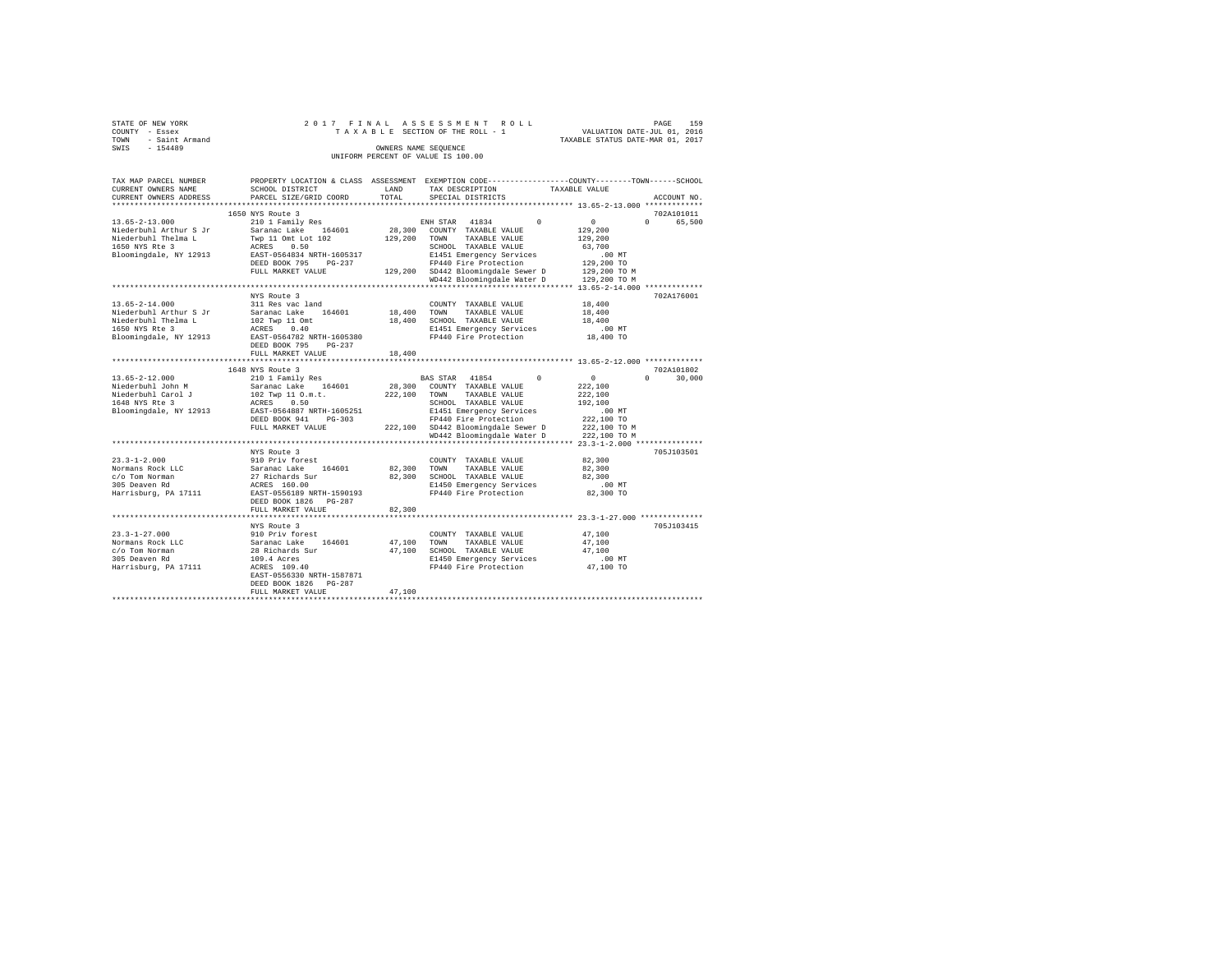| UIAIS OF NEW IONN      |                                                                                                |             | rinal accecerent noti                                                |          |                                  | <i>FAGE</i>        | --- |
|------------------------|------------------------------------------------------------------------------------------------|-------------|----------------------------------------------------------------------|----------|----------------------------------|--------------------|-----|
| COUNTY - Essex         |                                                                                                |             | TAXABLE SECTION OF THE ROLL - 1                                      |          | VALUATION DATE-JUL 01, 2016      |                    |     |
| - Saint Armand<br>TOWN |                                                                                                |             |                                                                      |          | TAXABLE STATUS DATE-MAR 01, 2017 |                    |     |
| $-154489$<br>SWIS      |                                                                                                |             | OWNERS NAME SEQUENCE                                                 |          |                                  |                    |     |
|                        |                                                                                                |             | UNIFORM PERCENT OF VALUE IS 100.00                                   |          |                                  |                    |     |
|                        |                                                                                                |             |                                                                      |          |                                  |                    |     |
|                        |                                                                                                |             |                                                                      |          |                                  |                    |     |
| TAX MAP PARCEL NUMBER  | PROPERTY LOCATION & CLASS ASSESSMENT EXEMPTION CODE---------------COUNTY-------TOWN-----SCHOOL |             |                                                                      |          |                                  |                    |     |
| CURRENT OWNERS NAME    | SCHOOL DISTRICT                                                                                | <b>LAND</b> | TAX DESCRIPTION TAXABLE VALUE                                        |          |                                  |                    |     |
|                        | CURRENT OWNERS ADDRESS PARCEL SIZE/GRID COORD TOTAL SPECIAL DISTRICTS (2015) ACCOUNT NO.       |             |                                                                      |          |                                  |                    |     |
|                        |                                                                                                |             |                                                                      |          |                                  |                    |     |
|                        | 1650 NYS Route 3                                                                               |             |                                                                      |          |                                  | 702A101011         |     |
| $13.65 - 2 - 13.000$   | 210 1 Family Res                                                                               |             | ENH STAR 41834 0                                                     |          | $\Omega$                         | $\Omega$<br>65,500 |     |
| Niederbuhl Arthur S Jr | Saranac Lake 164601 28,300 COUNTY TAXABLE VALUE                                                |             |                                                                      |          | 129,200                          |                    |     |
| Niederbuhl Thelma L    | Twp 11 Omt Lot 102                                                                             | 129,200     | TOWN<br>TAXABLE VALUE                                                |          | 129,200                          |                    |     |
| 1650 NYS Rte 3         | ACRES 0.50                                                                                     |             | SCHOOL TAXABLE VALUE 63,700                                          |          |                                  |                    |     |
| Bloomingdale, NY 12913 | EAST-0564834 NRTH-1605317                                                                      |             | E1451 Emergency Services .00 MT<br>FP440 Fire Protection  129,200 TO |          |                                  |                    |     |
|                        | DEED BOOK 795<br>$PG-237$                                                                      |             |                                                                      |          |                                  |                    |     |
|                        | FULL MARKET VALUE                                                                              |             | 129,200 SD442 Bloomingdale Sewer D 129,200 TO M                      |          |                                  |                    |     |
|                        |                                                                                                |             | WD442 Bloomingdale Water D 129,200 TO M                              |          |                                  |                    |     |
|                        |                                                                                                |             |                                                                      |          |                                  |                    |     |
|                        | NYS Route 3                                                                                    |             |                                                                      |          |                                  | 702A176001         |     |
| $13.65 - 2 - 14.000$   | 311 Res vac land                                                                               |             | COUNTY TAXABLE VALUE                                                 |          | 18,400                           |                    |     |
| Niederbuhl Arthur S Jr | Saranac Lake 164601 18,400                                                                     |             | TOWN<br>TAXABLE VALUE                                                |          | 18,400                           |                    |     |
|                        |                                                                                                | 18,400      | SCHOOL TAXABLE VALUE                                                 |          | 18,400                           |                    |     |
|                        |                                                                                                |             | E1451 Emergency Services                                             |          | .00MT                            |                    |     |
| Bloomingdale, NY 12913 | EAST-0564782 NRTH-1605380                                                                      |             | FP440 Fire Protection 18,400 TO                                      |          |                                  |                    |     |
|                        | DEED BOOK 795<br>$PG-237$                                                                      |             |                                                                      |          |                                  |                    |     |
|                        | FULL MARKET VALUE                                                                              | 18,400      |                                                                      |          |                                  |                    |     |
|                        |                                                                                                |             |                                                                      |          |                                  |                    |     |
|                        | 1648 NYS Route 3                                                                               |             |                                                                      |          |                                  | 702A101802         |     |
| $13.65 - 2 - 12.000$   | 210 1 Family Res                                                                               |             | BAS STAR 41854                                                       | $\sim$ 0 | $\sim$                           | 30,000<br>$\Omega$ |     |
| Niederbuhl John M      | Saranac Lake 164601 28,300 COUNTY TAXABLE VALUE                                                |             |                                                                      |          | 222,100                          |                    |     |
| Niederbuhl Carol J     | 102 Twp 11 O.m.t.                                                                              | 222,100     | TOWN<br>TAXABLE VALUE                                                |          | 222,100                          |                    |     |

DEED BOOK 941 PG-303 PP440 Fite Protection<br>FULL MARKET VALUE 222,100 2042 Bloomingdale Sewer D 222,100 TO M<br>WD442 Bloomingdale Water D 222,100 TO M<br>WIS Route 3 NIS Route 3 NIS ROLL NET 23.3-1-2.000 WISS010

c/o Tom Norman 27 Richards Sur 82,300 SCHOOL TAXABLE VALUE 82,300 305 Deaven Rd ACRES 160.00 E1450 Emergency Services .00 MT Harrisburg, PA 17111 EAST-0556189 NRTH-1590193 FP440 Fire Protection 82,300 TO DEED BOOK 1826 PG-287 FULL MARKET VALUE 82,300 \*\*\*\*\*\*\*\*\*\*\*\*\*\*\*\*\*\*\*\*\*\*\*\*\*\*\*\*\*\*\*\*\*\*\*\*\*\*\*\*\*\*\*\*\*\*\*\*\*\*\*\*\*\*\*\*\*\*\*\*\*\*\*\*\*\*\*\*\*\*\*\*\*\*\*\*\*\*\*\*\*\*\*\*\*\*\*\*\*\*\*\*\*\*\*\*\*\*\*\*\*\*\* 23.3-1-27.000 \*\*\*\*\*\*\*\*\*\*\*\*\*\* NYS Route 3 705J103415

Norman Rock Lucius Rock 2, 300 TOWN TAXABLE VALUE 82,300 SCHOOL TAXABLE VALUE

1648 NYS Rte 3 ACRES 0.50 SCHOOL TAXABLE VALUE 192,100 Bloomingdale, NY 12913 EAST-0564887 NRTH-1605251 E1451 Emergency Services .00 MT

23.3-1-2.000 910 Priv forest COUNTY TAXABLE VALUE 82,300

23.3-1-27.000 910 Priv forest COUNTY TAXABLE VALUE 47,100 Normans Rock LLC Saranac Lake 164601 47,100 TOWN TAXABLE VALUE 47,100 c/o Tom Norman 28 Richards Sur 47,100 SCHOOL TAXABLE VALUE 47,100 305 Deaven Rd 109.4 Acres E1450 Emergency Services .00 MT

STATE OF NEW YORK 2 0 1 2 0 1 7 F IN A L A S S E S S A S S M E N T R O L L PAGE 150

| Harrisburg, PA 17111 | ACRES 109.40              | FP440 Fire Protection | 47,100 TO |
|----------------------|---------------------------|-----------------------|-----------|
|                      | EAST-0556330 NRTH-1587871 |                       |           |
|                      | DEED BOOK 1826 PG-287     |                       |           |
|                      | FULL MARKET VALUE         | 47,100                |           |
|                      |                           |                       |           |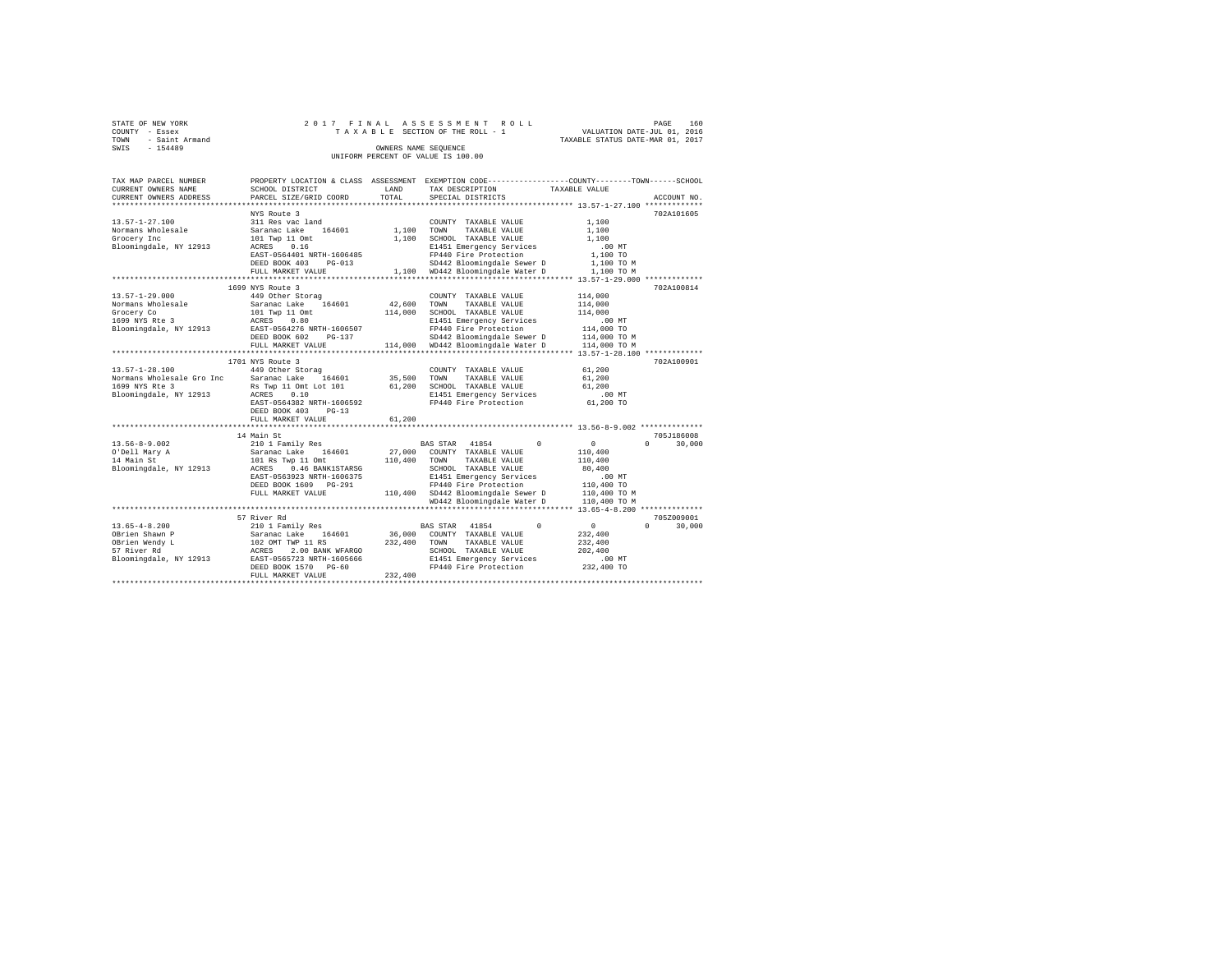| STATE OF NEW YORK   |  | 2017 FINAL ASSESSMENT ROLL         |                                  | PAGE | 160 |
|---------------------|--|------------------------------------|----------------------------------|------|-----|
| COUNTY - Essex      |  | TAXABLE SECTION OF THE ROLL - 1    | VALUATION DATE-JUL 01, 2016      |      |     |
| TOWN - Saint Armand |  |                                    | TAXABLE STATUS DATE-MAR 01, 2017 |      |     |
| SWIS<br>$-154489$   |  | OWNERS NAME SEOUENCE               |                                  |      |     |
|                     |  | UNIFORM PERCENT OF VALUE IS 100.00 |                                  |      |     |

| TAX MAP PARCEL NUMBER<br>CURRENT OWNERS NAME<br>CURRENT OWNERS ADDRESS                              | SCHOOL DISTRICT<br>PARCEL SIZE/GRID COORD                                                                                                                                                                                                              | <b>T.AND</b><br>TOTAL        | PROPERTY LOCATION & CLASS ASSESSMENT EXEMPTION CODE---------------COUNTY-------TOWN-----SCHOOL<br>TAX DESCRIPTION<br>SPECIAL DISTRICTS                                                                                                                      | TAXABLE VALUE                                                                                  | ACCOUNT NO.                      |
|-----------------------------------------------------------------------------------------------------|--------------------------------------------------------------------------------------------------------------------------------------------------------------------------------------------------------------------------------------------------------|------------------------------|-------------------------------------------------------------------------------------------------------------------------------------------------------------------------------------------------------------------------------------------------------------|------------------------------------------------------------------------------------------------|----------------------------------|
| $13.57 - 1 - 27.100$<br>Normans Wholesale<br>Grocery Inc<br>Bloomingdale, NY 12913                  | NYS Route 3<br>311 Res vac land<br>164601<br>Saranac Lake<br>101 Twp 11 Omt<br>ACRES<br>0.16<br>EAST-0564401 NRTH-1606485<br>DEED BOOK 403<br>$PG-013$<br>FULL MARKET VALUE                                                                            | 1,100<br>1,100               | COUNTY TAXABLE VALUE<br>TOWN<br>TAXABLE VALUE<br>SCHOOL TAXABLE VALUE<br>E1451 Emergency Services<br>FP440 Fire Protection<br>SD442 Bloomingdale Sewer D<br>1,100 WD442 Bloomingdale Water D<br>******************************** 13.57-1-29.000 *********** | 1,100<br>1,100<br>1,100<br>$.00$ MT<br>1,100 TO<br>1.100 TO M<br>1,100 TO M                    | 702A101605                       |
| $13.57 - 1 - 29.000$<br>Normans Wholesale<br>Grocery Co<br>1699 NYS Rte 3<br>Bloomingdale, NY 12913 | 1699 NYS Route 3<br>449 Other Storag<br>164601<br>Saranac Lake<br>101 Two 11 Omt<br>ACRES<br>0.80<br>EAST-0564276 NRTH-1606507<br>DEED BOOK 602<br>PG-137<br>FULL MARKET VALUE                                                                         | 42,600<br>114,000            | COUNTY TAXABLE VALUE<br>TAXABLE VALUE<br>TOWN<br>SCHOOL TAXABLE VALUE<br>E1451 Emergency Services<br>FP440 Fire Protection<br>SD442 Bloomingdale Sewer D<br>114,000 WD442 Bloomingdale Water D                                                              | 114,000<br>114,000<br>114,000<br>$.00$ MT<br>114,000 TO<br>114,000 TO M<br>114,000 TO M        | 702A100814                       |
| $13.57 - 1 - 28.100$<br>Normans Wholesale Gro Inc<br>1699 NYS Rte 3<br>Bloomingdale, NY 12913       | 1701 NYS Route 3<br>449 Other Storag<br>Saranac Lake<br>164601<br>Rs Twp 11 Omt Lot 101<br>ACRES<br>0.10<br>EAST-0564382 NRTH-1606592<br>DEED BOOK 403<br>$PG-13$<br>FULL MARKET VALUE                                                                 | 35,500<br>61,200<br>61,200   | COUNTY TAXABLE VALUE<br>TAXABLE VALUE<br>TOWN<br>SCHOOL TAXABLE VALUE<br>E1451 Emergency Services<br>FP440 Fire Protection                                                                                                                                  | 61,200<br>61,200<br>61,200<br>.00 MT<br>61,200 TO                                              | 702A100901                       |
| $13.56 - 8 - 9.002$<br>O'Dell Mary A<br>14 Main St<br>Bloomingdale, NY 12913                        | **********************<br>14 Main St<br>210 1 Family Res<br>Saranac Lake<br>164601<br>101 Rs Twp 11 Omt<br>0.46 BANK1STARSG<br>ACRES<br>EAST-0563923 NRTH-1606375<br>DEED BOOK 1609 PG-291<br>FULL MARKET VALUE<br>*********************************** | 27,000<br>110,400            | $\Omega$<br>BAS STAR 41854<br>COUNTY TAXABLE VALUE<br>TOWN<br>TAXABLE VALUE<br>SCHOOL TAXABLE VALUE<br>E1451 Emergency Services<br>FP440 Fire Protection<br>110,400 SD442 Bloomingdale Sewer D<br>WD442 Bloomingdale Water D                                | $\circ$<br>110,400<br>110,400<br>80,400<br>.00MT<br>110,400 TO<br>110,400 TO M<br>110,400 TO M | 705J186008<br>30,000<br>$\Omega$ |
| $13.65 - 4 - 8.200$<br>OBrien Shawn P<br>OBrien Wendy L<br>57 River Rd<br>Bloomingdale, NY 12913    | 57 River Rd<br>210 1 Family Res<br>Saranac Lake 164601<br>102 OMT TWP 11 RS<br>ACRES 2.00 BANK WFARGO<br>EAST-0565723 NRTH-1605666<br>DEED BOOK 1570 PG-60<br>FULL MARKET VALUE                                                                        | 36,000<br>232,400<br>232,400 | *************************** 13.65-4-8.200 **************<br>$\Omega$<br>BAS STAR 41854<br>COUNTY TAXABLE VALUE<br>TOWN<br>TAXABLE VALUE<br>SCHOOL TAXABLE VALUE<br>E1451 Emergency Services<br>FP440 Fire Protection                                        | $\circ$<br>232,400<br>232,400<br>202,400<br>$.00$ MT<br>232,400 TO                             | 705Z009001<br>$\Omega$<br>30,000 |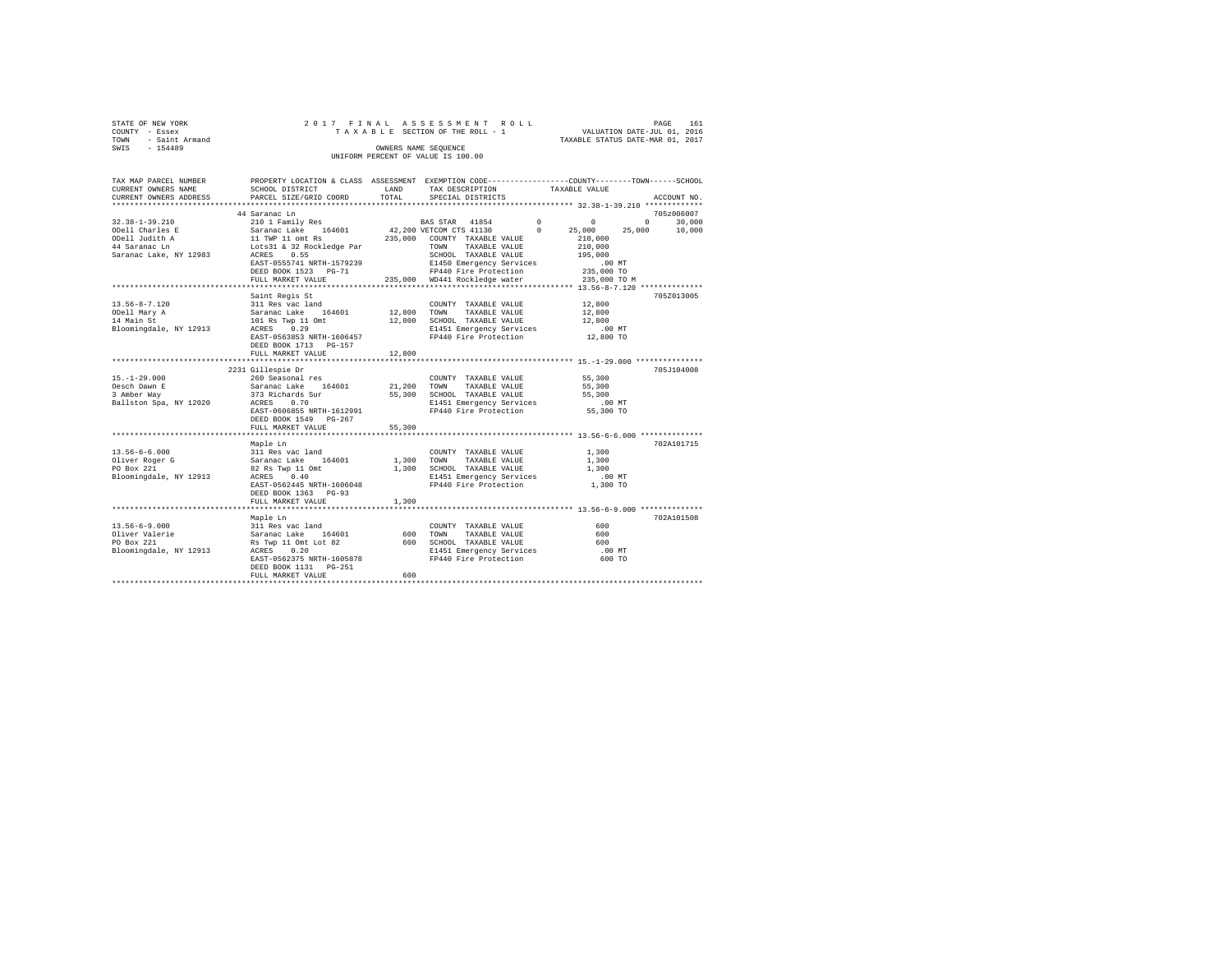|                | STATE OF NEW YORK   |  |  |  | 2017 FINAL ASSESSMENT ROLL         |  |  |                                  | PAGE | 161 |
|----------------|---------------------|--|--|--|------------------------------------|--|--|----------------------------------|------|-----|
| COUNTY - Essex |                     |  |  |  | TAXABLE SECTION OF THE ROLL - 1    |  |  | VALUATION DATE-JUL 01, 2016      |      |     |
|                | TOWN - Saint Armand |  |  |  |                                    |  |  | TAXABLE STATUS DATE-MAR 01, 2017 |      |     |
| SWIS           | $-154489$           |  |  |  | OWNERS NAME SEOUENCE               |  |  |                                  |      |     |
|                |                     |  |  |  | UNIFORM PERCENT OF VALUE IS 100.00 |  |  |                                  |      |     |

| TAX MAP PARCEL NUMBER<br>CURRENT OWNERS NAME<br>CURRENT OWNERS ADDRESS | PROPERTY LOCATION & CLASS ASSESSMENT EXEMPTION CODE----------------COUNTY-------TOWN-----SCHOOL<br>SCHOOL DISTRICT<br>PARCEL SIZE/GRID COORD | LAND<br>TOTAL | TAX DESCRIPTION<br>SPECIAL DISTRICTS              | TAXABLE VALUE        | ACCOUNT NO.                 |
|------------------------------------------------------------------------|----------------------------------------------------------------------------------------------------------------------------------------------|---------------|---------------------------------------------------|----------------------|-----------------------------|
|                                                                        |                                                                                                                                              |               |                                                   |                      |                             |
|                                                                        | 44 Saranac Ln                                                                                                                                |               |                                                   |                      | 705z006007                  |
| 32.38-1-39.210                                                         |                                                                                                                                              |               | BAS STAR 41854 0 0                                |                      | $0 \qquad \qquad$<br>30,000 |
| ODell Charles E                                                        |                                                                                                                                              |               |                                                   |                      | 25,000<br>10,000            |
| ODell Judith A                                                         | 11 TWP 11 omt Rs                                                                                                                             |               | 235,000 COUNTY TAXABLE VALUE                      | 210,000              |                             |
| 44 Saranac Ln                                                          | Lots31 & 32 Rockledge Par                                                                                                                    |               | TOWN<br>TAXABLE VALUE                             | 210,000              |                             |
| Saranac Lake, NY 12983                                                 | ACRES<br>0.55                                                                                                                                |               | SCHOOL TAXABLE VALUE                              | 195,000              |                             |
|                                                                        | EAST-0555741 NRTH-1579239                                                                                                                    |               | E1450 Emergency Services                          | 00 MT.<br>235,000 TO |                             |
|                                                                        | DEED BOOK 1523 PG-71                                                                                                                         |               | FP440 Fire Protection                             |                      |                             |
|                                                                        | FULL MARKET VALUE                                                                                                                            |               | 235,000 WD441 Rockledge water                     | 235,000 TO M         |                             |
|                                                                        |                                                                                                                                              |               |                                                   |                      |                             |
| $13.56 - 8 - 7.120$                                                    | Saint Regis St<br>311 Res vac land                                                                                                           |               | COUNTY TAXABLE VALUE                              | 12,800               | 705Z013005                  |
| ODell Mary A                                                           |                                                                                                                                              | 12,800        | TOWN<br>TAXABLE VALUE                             | 12,800               |                             |
| 14 Main St                                                             | Saranac Lake 164601<br>101 Rs Twp 11 Omt                                                                                                     | 12,800        | SCHOOL TAXABLE VALUE                              | 12,800               |                             |
| Bloomingdale, NY 12913                                                 | ACRES 0.29                                                                                                                                   |               |                                                   | .00 MT               |                             |
|                                                                        | EAST-0563853 NRTH-1606457                                                                                                                    |               | E1451 Emergency Services<br>FP440 Fire Protection | 12,800 TO            |                             |
|                                                                        | DEED BOOK 1713 PG-157                                                                                                                        |               |                                                   |                      |                             |
|                                                                        | FULL MARKET VALUE                                                                                                                            | 12,800        |                                                   |                      |                             |
|                                                                        |                                                                                                                                              |               |                                                   |                      |                             |
|                                                                        | 2231 Gillespie Dr                                                                                                                            |               |                                                   |                      | 705J104008                  |
| $15.-1-29.000$                                                         | 260 Seasonal res                                                                                                                             |               | COUNTY TAXABLE VALUE                              | 55,300               |                             |
| Oesch Dawn E                                                           | Saranac Lake 164601 21,200                                                                                                                   |               | TOWN<br>TAXABLE VALUE                             | 55,300               |                             |
| 3 Amber Way                                                            | 373 Richards Sur                                                                                                                             | 55,300        | SCHOOL TAXABLE VALUE                              | 55,300               |                             |
| Ballston Spa, NY 12020                                                 | ACRES<br>0.70                                                                                                                                |               | E1451 Emergency Services                          | $.00$ MT             |                             |
|                                                                        | EAST-0606855 NRTH-1612991                                                                                                                    |               | FP440 Fire Protection                             | 55,300 TO            |                             |
|                                                                        | DEED BOOK 1549 PG-267                                                                                                                        |               |                                                   |                      |                             |
|                                                                        | FULL MARKET VALUE                                                                                                                            | 55,300        |                                                   |                      |                             |
|                                                                        |                                                                                                                                              |               |                                                   |                      |                             |
|                                                                        | Maple Ln                                                                                                                                     |               |                                                   |                      | 702A101715                  |
| $13.56 - 6 - 6.000$                                                    | 311 Res vac land                                                                                                                             |               | COUNTY TAXABLE VALUE                              | 1,300                |                             |
| Oliver Roger G                                                         | Saranac Lake 164601                                                                                                                          |               | 1,300 TOWN TAXABLE VALUE                          | 1,300                |                             |
| PO Box 221                                                             | 82 Rs Twp 11 Omt 1,300 SCHOOL TAXABLE VALUE                                                                                                  |               |                                                   | 1,300                |                             |
| Bloomingdale, NY 12913                                                 | ACRES 0.40                                                                                                                                   |               | E1451 Emergency Services                          | $.00$ MT             |                             |
|                                                                        | EAST-0562445 NRTH-1606048                                                                                                                    |               | FP440 Fire Protection                             | 1,300 TO             |                             |
|                                                                        | DEED BOOK 1363 PG-93                                                                                                                         |               |                                                   |                      |                             |
|                                                                        | FULL MARKET VALUE                                                                                                                            | 1,300         |                                                   |                      |                             |
|                                                                        |                                                                                                                                              |               |                                                   |                      | 702A101508                  |
| $13.56 - 6 - 9.000$                                                    | Maple Ln                                                                                                                                     |               |                                                   | 600                  |                             |
| Oliver Valerie                                                         | 311 Res vac land<br>Saranac Lake 164601                                                                                                      | 600           | COUNTY TAXABLE VALUE<br>TOWN<br>TAXABLE VALUE     | 600                  |                             |
| PO Box 221                                                             |                                                                                                                                              | 600           | SCHOOL TAXABLE VALUE                              | 600                  |                             |
| Bloomingdale, NY 12913                                                 | Rs Twp 11 Omt Lot 82<br>ACRES 0.20<br>ACRES 0.20                                                                                             |               | E1451 Emergency Services                          | .00 MT               |                             |
|                                                                        | EAST-0562375 NRTH-1605878                                                                                                                    |               | FP440 Fire Protection                             | 600 TO               |                             |
|                                                                        | DEED BOOK 1131    PG-251                                                                                                                     |               |                                                   |                      |                             |
|                                                                        | FULL MARKET VALUE                                                                                                                            | 600           |                                                   |                      |                             |
|                                                                        |                                                                                                                                              |               |                                                   |                      |                             |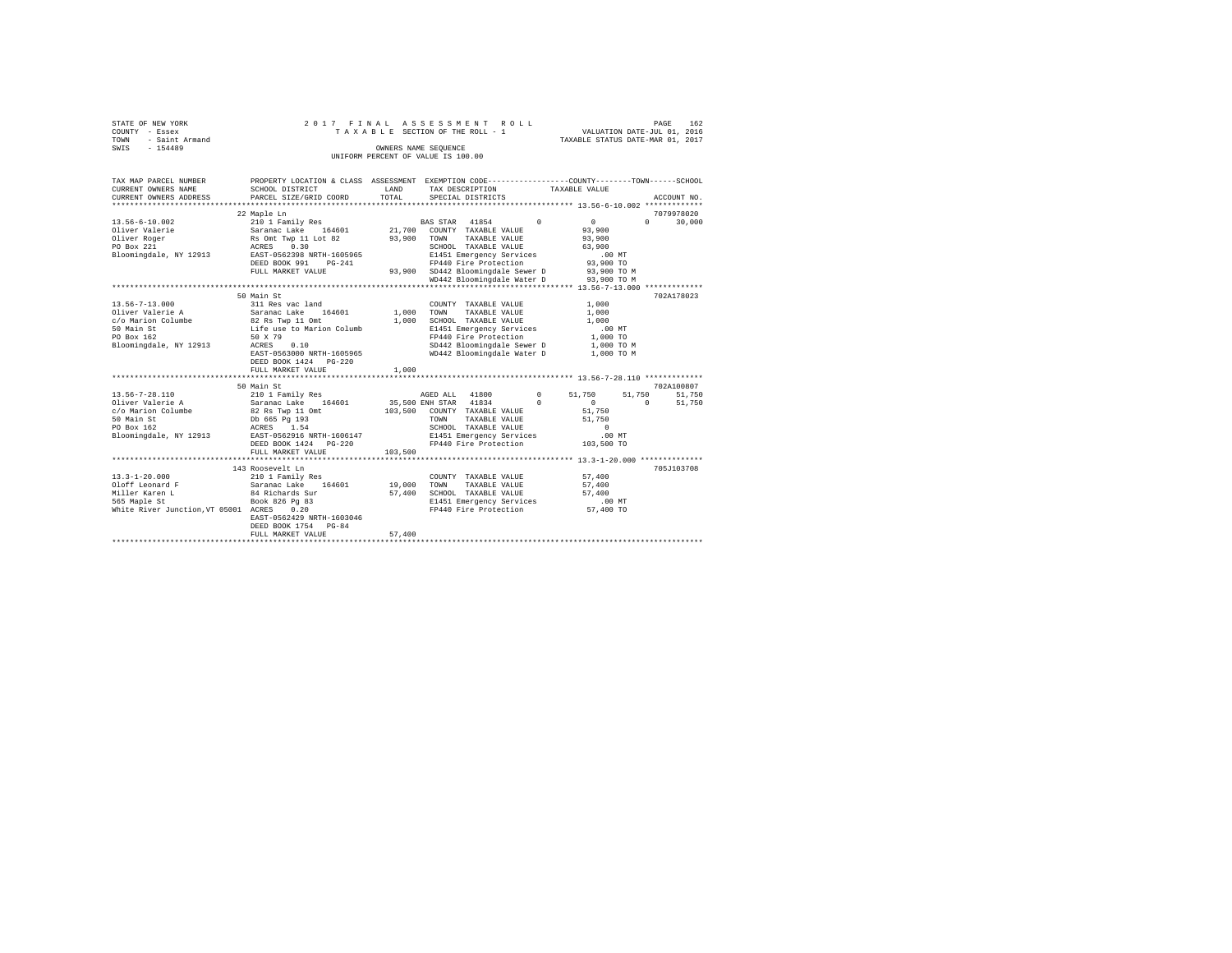| STATE OF NEW YORK   |  | 2017 FINAL ASSESSMENT ROLL         |                                  | PAGE                        | 162 |
|---------------------|--|------------------------------------|----------------------------------|-----------------------------|-----|
| COUNTY - Essex      |  | TAXABLE SECTION OF THE ROLL - 1    |                                  | VALUATION DATE-JUL 01, 2016 |     |
| TOWN - Saint Armand |  |                                    | TAXABLE STATUS DATE-MAR 01, 2017 |                             |     |
| SWIS<br>$-154489$   |  | OWNERS NAME SEOUENCE               |                                  |                             |     |
|                     |  | UNIFORM PERCENT OF VALUE IS 100.00 |                                  |                             |     |

| TAX MAP PARCEL NUMBER<br>CURRENT OWNERS NAME<br>CURRENT OWNERS ADDRESS                                                                                                                                         | PROPERTY LOCATION & CLASS ASSESSMENT EXEMPTION CODE----------------COUNTY-------TOWN-----SCHOOL<br>SCHOOL DISTRICT<br>PARCEL SIZE/GRID COORD | <b>EXAMPLE AND SET OF STREET AND STREET AND STREET AND STREET AND STREET AND STREET AND STREET AND STREET AND ST</b> | TAX DESCRIPTION TAXABLE VALUE                                                                                                                                                               |                                                           |                                           |
|----------------------------------------------------------------------------------------------------------------------------------------------------------------------------------------------------------------|----------------------------------------------------------------------------------------------------------------------------------------------|----------------------------------------------------------------------------------------------------------------------|---------------------------------------------------------------------------------------------------------------------------------------------------------------------------------------------|-----------------------------------------------------------|-------------------------------------------|
|                                                                                                                                                                                                                |                                                                                                                                              | TOTAL                                                                                                                | SPECIAL DISTRICTS                                                                                                                                                                           |                                                           | ACCOUNT NO.                               |
| 13.56-6-10.002                                                                                                                                                                                                 | 22 Maple Ln<br>210 1 Family Res 6 8 BAS STAR 41854 210 1 210 1<br>FULL MARKET VALUE                                                          |                                                                                                                      | SCHOOL TAXABLE VALUE 63.900<br>E1451 Emergency Services 00 MT<br>FP440 Fire Protection 93,900 TO<br>93,900 SD442 Bloomingdale Sewer D 93,900 TO M<br>WD442 Bloomingdale Water D 93,900 TO M | 93,900<br>93,900                                          | 7079978020<br>$0 \qquad \qquad$<br>30,000 |
| orio Marion Columbe<br>150 Marion Columbe<br>150 Marion Columbe<br>150 Marion Columbe<br>160 Marion Columb<br>160 Marion Columb<br>160 Marion Columb<br>160 Marion Columb<br>Bloomingdale, NY 12913 ACRES 0.10 | 50 Main St<br>EAST-0563000 NRTH-1605965<br>DEED BOOK 1424    PG-220                                                                          | 1,000                                                                                                                | COUNTY TAXABLE VALUE<br>SCHOOL TAXABLE VALUE<br>E1451 Emergency Services<br>FP440 Fire Protection<br>SD442 Bloomingdale Sewer D 1,000 TO M<br>WD442 Bloomingdale Water D 1,000 TO M         | 1,000<br>1,000<br>1,000<br>.00MT<br>$1,000$ TO            | 702A178023                                |
|                                                                                                                                                                                                                | FULL MARKET VALUE                                                                                                                            | 1,000                                                                                                                |                                                                                                                                                                                             |                                                           |                                           |
|                                                                                                                                                                                                                | 50 Main St                                                                                                                                   |                                                                                                                      |                                                                                                                                                                                             |                                                           | 702A100807                                |
|                                                                                                                                                                                                                | DEED BOOK 1424 PG-220<br>FULL MARKET VALUE                                                                                                   | 103,500                                                                                                              | FP440 Fire Protection 103,500 TO                                                                                                                                                            | $51\,, 750 \qquad \quad 51\,, 750 \qquad \quad 51\,, 750$ | 51,750<br>$\sim$ 0                        |
| 13.3-1-20.000                                                                                                                                                                                                  | 143 Roosevelt Ln<br>43 Roosevelt Ln<br>210 1 Family Res<br>EAST-0562429 NRTH-1603046<br>DEED BOOK 1754 PG-84                                 |                                                                                                                      | COUNTY TAXABLE VALUE<br>TAXABLE VALUE 57,400<br>57,400 SCHOOL TAXABLE VALUE 57,400<br>E1451 Emergency Services 500 MT<br>FP440 Fire Protection 57,400 TO                                    | 57,400                                                    | 705J103708                                |
|                                                                                                                                                                                                                | FULL MARKET VALUE                                                                                                                            | 57,400                                                                                                               |                                                                                                                                                                                             |                                                           |                                           |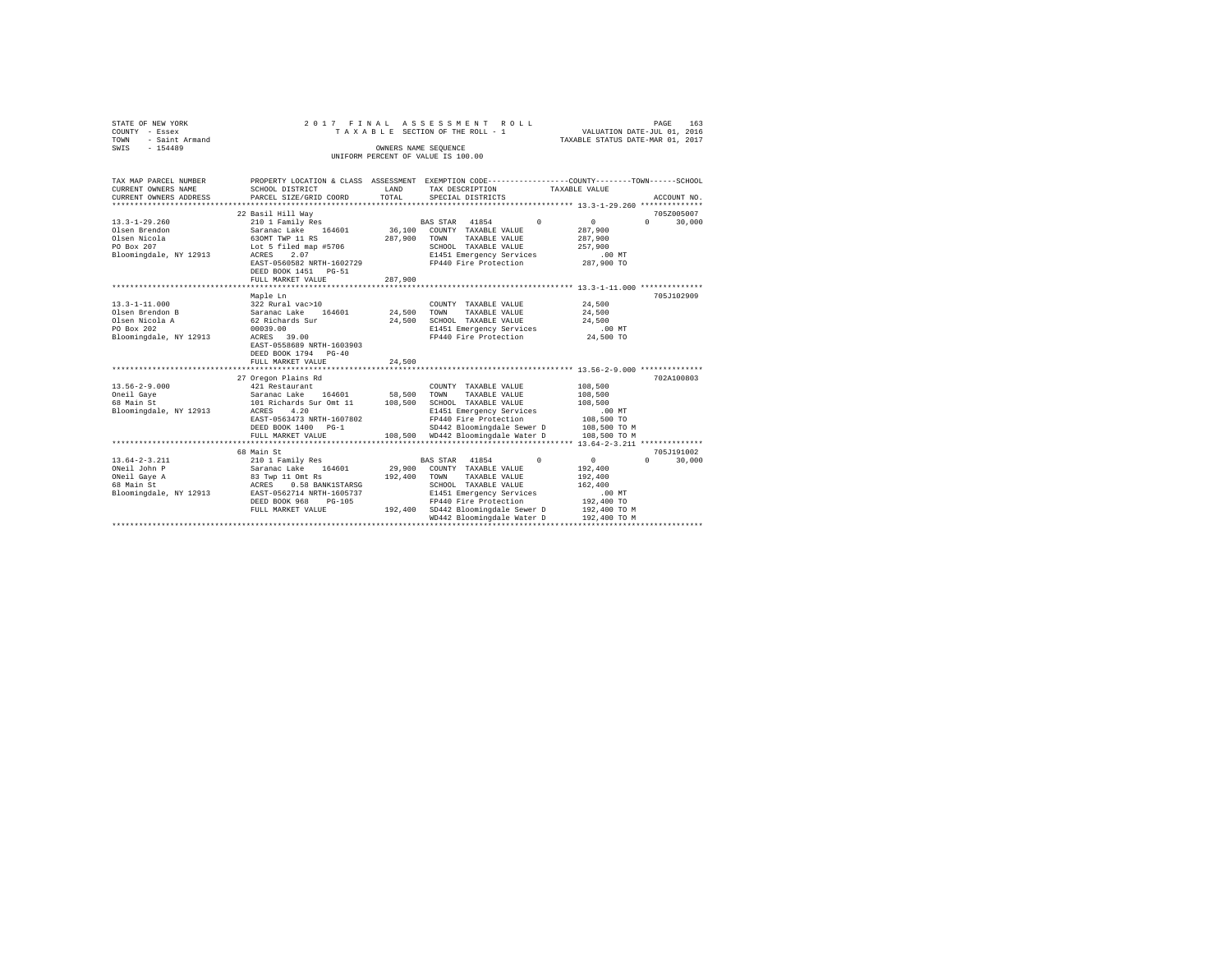| STATE OF NEW YORK<br>COUNTY - Essex |                                                                          |                      | 2017 FINAL ASSESSMENT ROLL<br>TAXABLE SECTION OF THE ROLL - 1 VALUATION DATE-JUL 01, 2016      |                                  | 163<br>PAGE                     |
|-------------------------------------|--------------------------------------------------------------------------|----------------------|------------------------------------------------------------------------------------------------|----------------------------------|---------------------------------|
| - Saint Armand<br>TOWN              |                                                                          |                      |                                                                                                | TAXABLE STATUS DATE-MAR 01, 2017 |                                 |
| SWIS - 154489                       |                                                                          | OWNERS NAME SEQUENCE |                                                                                                |                                  |                                 |
|                                     |                                                                          |                      | UNIFORM PERCENT OF VALUE IS 100.00                                                             |                                  |                                 |
|                                     |                                                                          |                      |                                                                                                |                                  |                                 |
|                                     |                                                                          |                      |                                                                                                |                                  |                                 |
| TAX MAP PARCEL NUMBER               |                                                                          |                      | PROPERTY LOCATION & CLASS ASSESSMENT EXEMPTION CODE---------------COUNTY-------TOWN-----SCHOOL |                                  |                                 |
| CURRENT OWNERS NAME                 | SCHOOL DISTRICT                                                          | LAND                 | TAX DESCRIPTION TAXABLE VALUE                                                                  |                                  |                                 |
| CURRENT OWNERS ADDRESS              | PARCEL SIZE/GRID COORD TOTAL                                             |                      | SPECIAL DISTRICTS                                                                              |                                  | ACCOUNT NO.                     |
|                                     |                                                                          |                      |                                                                                                |                                  |                                 |
|                                     | 22 Basil Hill Wav                                                        |                      |                                                                                                |                                  | 705Z005007                      |
| $13.3 - 1 - 29.260$                 | 210 1 Family Res                                                         |                      | BAS STAR 41854 0                                                                               | $\sim$ 0                         | 30,000<br>$\Omega$ and $\Omega$ |
| Olsen Brendon                       | Saranac Lake 164601 36,100 COUNTY TAXABLE VALUE                          |                      |                                                                                                | 287,900                          |                                 |
| Olsen Nicola                        |                                                                          | 287.900 TOWN         | TAXABLE VALUE                                                                                  | 287,900                          |                                 |
| PO Box 207                          | Saranac Land<br>630MT TWP 11 RS<br>Lot 5 filed map #5706                 |                      | SCHOOL TAXABLE VALUE                                                                           | 257,900                          |                                 |
| Bloomingdale, NY 12913              | EAST-0560582 NRTH-1602729                                                |                      | E1451 Emergency Services<br>FP440 Fire Protection 287,900 TO                                   | .00 MT                           |                                 |
|                                     | DEED BOOK 1451 PG-51                                                     |                      |                                                                                                |                                  |                                 |
|                                     | FULL MARKET VALUE                                                        | 287,900              |                                                                                                |                                  |                                 |
|                                     |                                                                          |                      |                                                                                                |                                  |                                 |
|                                     | Maple Ln                                                                 |                      |                                                                                                |                                  | 705.T102909                     |
| $13.3 - 1 - 11.000$                 | 322 Rural vac>10                                                         |                      | COUNTY TAXABLE VALUE                                                                           | 24,500                           |                                 |
| Olsen Brendon B                     |                                                                          |                      | TAXABLE VALUE<br>TOWN                                                                          | 24,500                           |                                 |
| Olsen Nicola A                      | 322 Rural vac>10<br>Saranac Lake 164601 24,500<br>62 Richards Sur 24,500 |                      | SCHOOL TAXABLE VALUE                                                                           | 24,500                           |                                 |
| PO Box 202                          | 00039.00                                                                 |                      | E1451 Emergency Services                                                                       | .00 MT                           |                                 |
| Bloomingdale, NY 12913              | ACRES 39.00                                                              |                      | FP440 Fire Protection 24,500 TO                                                                |                                  |                                 |
|                                     | EAST-0558689 NRTH-1603903                                                |                      |                                                                                                |                                  |                                 |
|                                     | DEED BOOK 1794 PG-40                                                     |                      |                                                                                                |                                  |                                 |
|                                     | FULL MARKET VALUE                                                        | 24,500               |                                                                                                |                                  |                                 |
|                                     |                                                                          |                      |                                                                                                |                                  |                                 |
|                                     | 27 Oregon Plains Rd                                                      |                      |                                                                                                |                                  | 702A100803                      |
| $13.56 - 2 - 9.000$                 | 421 Restaurant                                                           |                      | COUNTY TAXABLE VALUE 108.500                                                                   |                                  |                                 |
| Oneil Gaye                          | Saranac Lake 164601 58,500                                               |                      | TOWN<br>TAXABLE VALUE                                                                          | 108,500                          |                                 |
| 68 Main St                          | 101 Richards Sur Omt 11 108,500                                          |                      | SCHOOL TAXABLE VALUE                                                                           | 108,500                          |                                 |
| Bloomingdale, NY 12913              | ACRES 4.20                                                               |                      | E1451 Emergency Services                                                                       | $.00$ MT                         |                                 |
|                                     | EAST-0563473 NRTH-1607802                                                |                      | FP440 Fire Protection                                                                          | 108,500 TO                       |                                 |
|                                     | DEED BOOK 1400 PG-1                                                      |                      | SD442 Bloomingdale Sewer D                                                                     | 108,500 TO M                     |                                 |
|                                     | FULL MARKET VALUE                                                        |                      | 108.500 WD442 Bloomingdale Water D                                                             | 108,500 TO M                     |                                 |
|                                     |                                                                          |                      |                                                                                                |                                  |                                 |

|                        | 27 Oregon Plains Rd       |         |                                      |              | 702A100803         |
|------------------------|---------------------------|---------|--------------------------------------|--------------|--------------------|
| $13.56 - 2 - 9.000$    | 421 Restaurant            |         | COUNTY<br>TAXABLE VALUE              | 108,500      |                    |
| Oneil Gave             | 164601<br>Saranac Lake    | 58,500  | TAXABLE VALUE<br>TOWN                | 108,500      |                    |
| 68 Main St             | 101 Richards Sur Omt 11   | 108,500 | TAXABLE VALUE<br>SCHOOL              | 108,500      |                    |
| Bloomingdale, NY 12913 | 4.20<br>ACRES             |         | E1451 Emergency Services             | .00MT        |                    |
|                        | EAST-0563473 NRTH-1607802 |         | FP440 Fire Protection                | 108,500 TO   |                    |
|                        | DEED BOOK 1400<br>$PG-1$  |         | SD442 Bloomingdale Sewer D           | 108,500 TO M |                    |
|                        | FULL MARKET VALUE         | 108,500 | WD442 Bloomingdale Water D           | 108,500 TO M |                    |
|                        |                           |         |                                      |              |                    |
|                        | 68 Main St                |         |                                      |              | 705J191002         |
| 13.64-2-3.211          | 210 1 Family Res          |         | 41854<br>$\Omega$<br><b>BAS STAR</b> | $\Omega$     | 30,000<br>$\Omega$ |
| ONeil John P           | 164601<br>Saranac Lake    | 29,900  | COUNTY<br>TAXABLE VALUE              | 192,400      |                    |
| ONeil Gave A           | 83 Twp 11 Omt Rs          | 192,400 | TOWN<br>TAXABLE VALUE                | 192,400      |                    |
| 68 Main St             | 0.58 BANK1STARSG<br>ACRES |         | SCHOOL<br>TAXABLE VALUE              | 162,400      |                    |
| Bloomingdale, NY 12913 | EAST-0562714 NRTH-1605737 |         | E1451 Emergency Services             | .00MT        |                    |
|                        | PG-105<br>DEED BOOK 968   |         | FP440 Fire Protection                | 192,400 TO   |                    |
|                        | FULL MARKET VALUE         | 192,400 | SD442 Bloomingdale Sewer D           | 192,400 TO M |                    |
|                        |                           |         | WD442 Bloomingdale Water D           | 192,400 TO M |                    |
|                        |                           |         |                                      |              |                    |
|                        |                           |         |                                      |              |                    |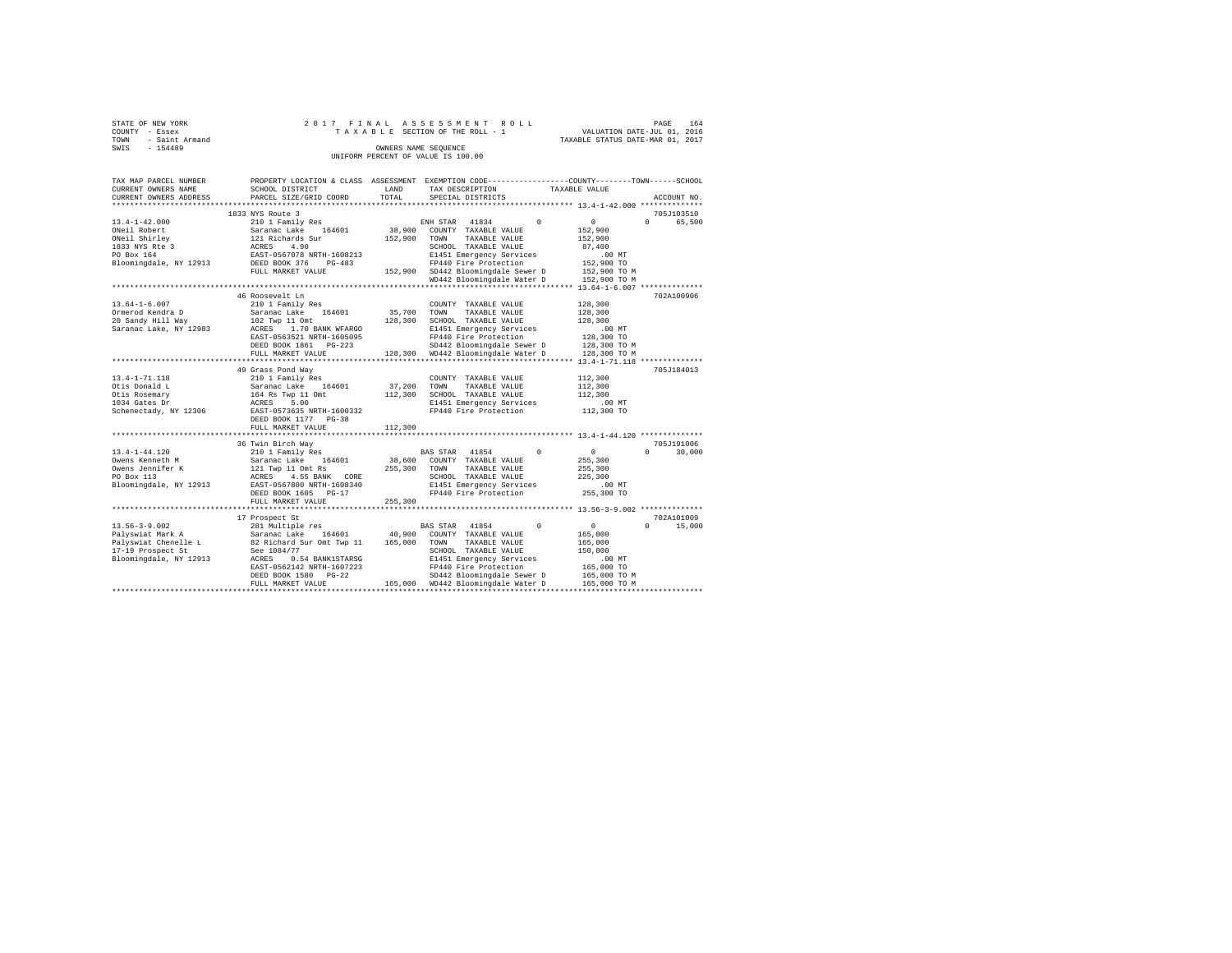| STATE OF NEW YORK      | 2017 FINAL ASSESSMENT ROLL         |  |                                  | PAGE | 164 |
|------------------------|------------------------------------|--|----------------------------------|------|-----|
|                        |                                    |  |                                  |      |     |
| COUNTY - Essex         | TAXABLE SECTION OF THE ROLL - 1    |  | VALUATION DATE-JUL 01, 2016      |      |     |
| - Saint Armand<br>TOWN |                                    |  | TAXABLE STATUS DATE-MAR 01, 2017 |      |     |
| $-154489$<br>SWIS      | OWNERS NAME SEOUENCE               |  |                                  |      |     |
|                        | UNIFORM PERCENT OF VALUE IS 100.00 |  |                                  |      |     |

| TAX MAP PARCEL NUMBER<br>CURRENT OWNERS NAME<br>CURRENT OWNERS ADDRESS                             | PROPERTY LOCATION & CLASS ASSESSMENT<br>SCHOOL DISTRICT<br>PARCEL SIZE/GRID COORD                                                                                                            | LAND<br>TOTAL                | EXEMPTION CODE----------------COUNTY-------TOWN------SCHOOL<br>TAX DESCRIPTION<br>SPECIAL DISTRICTS                                                                                                                            | TAXABLE VALUE                                                                           | ACCOUNT NO                       |
|----------------------------------------------------------------------------------------------------|----------------------------------------------------------------------------------------------------------------------------------------------------------------------------------------------|------------------------------|--------------------------------------------------------------------------------------------------------------------------------------------------------------------------------------------------------------------------------|-----------------------------------------------------------------------------------------|----------------------------------|
| *********************                                                                              |                                                                                                                                                                                              |                              |                                                                                                                                                                                                                                |                                                                                         |                                  |
|                                                                                                    | 1833 NYS Route 3                                                                                                                                                                             |                              |                                                                                                                                                                                                                                |                                                                                         | 705J103510                       |
| $13.4 - 1 - 42.000$<br>ONeil Robert<br>ONeil Shirley<br>1833 NYS Rte 3<br>PO Box 164               | 210 1 Family Res<br>Saranac Lake<br>164601<br>121 Richards Sur<br>ACRES<br>4.90<br>EAST-0567078 NRTH-1608213                                                                                 | 38,900<br>152,900            | $\Omega$<br>ENH STAR<br>41834<br>COUNTY TAXABLE VALUE<br>TOWN<br>TAXABLE VALUE<br>SCHOOL TAXABLE VALUE<br>E1451 Emergency Services                                                                                             | $\circ$<br>152,900<br>152,900<br>87,400<br>.00MT                                        | $\Omega$<br>65,500               |
| Bloomingdale, NY 12913                                                                             | DEED BOOK 376<br>$PG-483$<br>FULL MARKET VALUE                                                                                                                                               | 152,900                      | FP440 Fire Protection<br>SD442 Bloomingdale Sewer D<br>WD442 Bloomingdale Water D                                                                                                                                              | 152,900 TO<br>152,900 TO M<br>152,900 TO M                                              |                                  |
|                                                                                                    |                                                                                                                                                                                              |                              |                                                                                                                                                                                                                                |                                                                                         |                                  |
| $13.64 - 1 - 6.007$<br>Ormerod Kendra D<br>20 Sandy Hill Way<br>Saranac Lake, NY 12983             | 46 Roosevelt Ln<br>210 1 Family Res<br>Saranac Lake<br>164601<br>102 Twp 11 Omt<br>1.70 BANK WFARGO<br>ACRES<br>EAST-0563521 NRTH-1605095<br>DEED BOOK 1861 PG-223                           | 35,700<br>128,300            | COUNTY TAXABLE VALUE<br>TOWN<br>TAXABLE VALUE<br>SCHOOL TAXABLE VALUE<br>E1451 Emergency Services<br>FP440 Fire Protection<br>SD442 Bloomingdale Sewer D                                                                       | 128,300<br>128,300<br>128,300<br>$.00$ MT<br>128,300 TO<br>128,300 TO M                 | 702A100906                       |
|                                                                                                    | FULL MARKET VALUE                                                                                                                                                                            | 128,300                      | WD442 Bloomingdale Water D                                                                                                                                                                                                     | 128,300 TO M                                                                            |                                  |
|                                                                                                    |                                                                                                                                                                                              |                              |                                                                                                                                                                                                                                | $13.4 - 1 - 71.118$ *                                                                   |                                  |
| $13.4 - 1 - 71.118$<br>Otis Donald L<br>Otis Rosemary<br>1034 Gates Dr<br>Schenectady, NY 12306    | 49 Grass Pond Way<br>210 1 Family Res<br>Saranac Lake<br>164601<br>164 Rs Twp 11 Omt<br>5.00<br>ACRES<br>EAST-0573635 NRTH-1600332<br>DEED BOOK 1177 PG-38<br>FULL MARKET VALUE              | 37,200<br>112,300<br>112,300 | COUNTY TAXABLE VALUE<br>TOWN<br>TAXABLE VALUE<br>SCHOOL TAXABLE VALUE<br>E1451 Emergency Services<br>FP440 Fire Protection                                                                                                     | 112,300<br>112,300<br>112,300<br>$.00$ MT<br>112,300 TO                                 | 705J184013                       |
|                                                                                                    | **************************************                                                                                                                                                       |                              |                                                                                                                                                                                                                                |                                                                                         |                                  |
| $13.4 - 1 - 44.120$<br>Owens Kenneth M<br>Owens Jennifer K<br>PO Box 113<br>Bloomingdale, NY 12913 | 36 Twin Birch Way<br>210 1 Family Res<br>Saranac Lake<br>164601<br>121 Twp 11 Omt Rs<br>ACRES<br>4.55 BANK<br>CORE<br>EAST-0567800 NRTH-1608340<br>DEED BOOK 1605 PG-17<br>FULL MARKET VALUE | 38,600<br>255,300<br>255,300 | 41854<br>$\Omega$<br><b>BAS STAR</b><br>COUNTY TAXABLE VALUE<br>TOWN<br>TAXABLE VALUE<br>SCHOOL TAXABLE VALUE<br>E1451 Emergency Services<br>FP440 Fire Protection                                                             | $\circ$<br>255,300<br>255,300<br>225,300<br>.00MT<br>255,300 TO                         | 705J191006<br>$\Omega$<br>30,000 |
|                                                                                                    | **********************                                                                                                                                                                       |                              |                                                                                                                                                                                                                                |                                                                                         |                                  |
| $13.56 - 3 - 9.002$                                                                                | 17 Prospect St<br>281 Multiple res                                                                                                                                                           |                              | 41854<br>$^{\circ}$<br>BAS STAR                                                                                                                                                                                                | $\circ$                                                                                 | 702A101009<br>$\Omega$<br>15,000 |
| Palyswiat Mark A<br>Palyswiat Chenelle L<br>17-19 Prospect St<br>Bloomingdale, NY 12913            | Saranac Lake<br>164601<br>82 Richard Sur Omt Twp 11<br>See 1084/77<br>0.54 BANK1STARSG<br>ACRES<br>EAST-0562142 NRTH-1607223<br>DEED BOOK 1580 PG-22<br>FULL MARKET VALUE                    | 40,900<br>165,000            | COUNTY TAXABLE VALUE<br>TOWN<br>TAXABLE VALUE<br>SCHOOL TAXABLE VALUE<br>E1451 Emergency Services<br>FP440 Fire Protection<br>SD442 Bloomingdale Sewer D<br>165,000 WD442 Bloomingdale Water D<br>**************************** | 165,000<br>165,000<br>150,000<br>$.00$ MT<br>165,000 TO<br>165,000 TO M<br>165,000 TO M |                                  |
|                                                                                                    |                                                                                                                                                                                              |                              |                                                                                                                                                                                                                                |                                                                                         |                                  |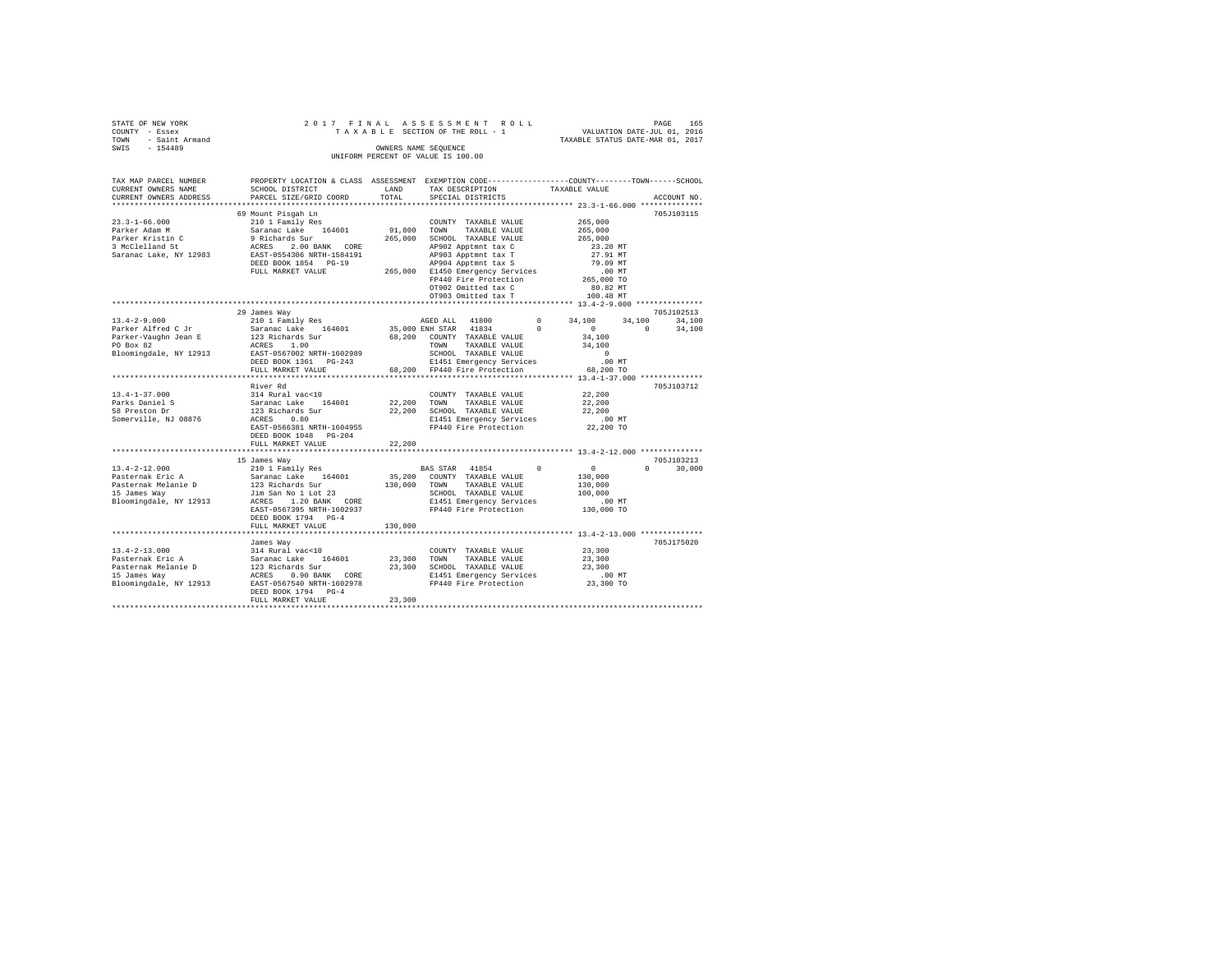| STATE OF NEW YORK   |  |  | 2017 FINAL ASSESSMENT ROLL         |                                  | PAGE                        | 165 |
|---------------------|--|--|------------------------------------|----------------------------------|-----------------------------|-----|
| COUNTY - Essex      |  |  | TAXABLE SECTION OF THE ROLL - 1    |                                  | VALUATION DATE-JUL 01, 2016 |     |
| TOWN - Saint Armand |  |  |                                    | TAXABLE STATUS DATE-MAR 01, 2017 |                             |     |
| SWTS<br>$-154489$   |  |  | OWNERS NAME SEOUENCE               |                                  |                             |     |
|                     |  |  | UNIFORM PERCENT OF VALUE IS 100.00 |                                  |                             |     |

| TAX MAP PARCEL NUMBER          |                                                                                                                                                                                                                                                                                                                                                                                                                                                       |         |                                                                     | PROPERTY LOCATION & CLASS ASSESSMENT EXEMPTION CODE---------------COUNTY-------TOWN-----SCHOOL |  |
|--------------------------------|-------------------------------------------------------------------------------------------------------------------------------------------------------------------------------------------------------------------------------------------------------------------------------------------------------------------------------------------------------------------------------------------------------------------------------------------------------|---------|---------------------------------------------------------------------|------------------------------------------------------------------------------------------------|--|
| CURRENT OWNERS NAME            | SCHOOL DISTRICT                                                                                                                                                                                                                                                                                                                                                                                                                                       | LAND    |                                                                     |                                                                                                |  |
|                                | CURRENT OWNERS ADDRESS PARCEL SIZE/GRID COORD                                                                                                                                                                                                                                                                                                                                                                                                         | TOTAL   | TAXABLE VALUE<br>SPECIAL DISTRICTS TAXABLE VALUE                    | ACCOUNT NO.                                                                                    |  |
|                                |                                                                                                                                                                                                                                                                                                                                                                                                                                                       |         |                                                                     |                                                                                                |  |
|                                |                                                                                                                                                                                                                                                                                                                                                                                                                                                       |         |                                                                     | 705J103115                                                                                     |  |
|                                |                                                                                                                                                                                                                                                                                                                                                                                                                                                       |         |                                                                     |                                                                                                |  |
|                                |                                                                                                                                                                                                                                                                                                                                                                                                                                                       |         |                                                                     |                                                                                                |  |
|                                |                                                                                                                                                                                                                                                                                                                                                                                                                                                       |         |                                                                     |                                                                                                |  |
|                                | $\begin{tabular}{l c c c c c} \multicolumn{3}{c}{\textbf{7}}\multicolumn{3}{c}{\textbf{7}}\multicolumn{3}{c}{\textbf{7}}\multicolumn{3}{c}{\textbf{7}}\multicolumn{3}{c}{\textbf{7}}\multicolumn{3}{c}{\textbf{7}}\multicolumn{3}{c}{\textbf{7}}\multicolumn{3}{c}{\textbf{7}}\multicolumn{3}{c}{\textbf{7}}\multicolumn{3}{c}{\textbf{7}}\multicolumn{3}{c}{\textbf{7}}\multicolumn{3}{c}{\textbf{7}}\multicolumn{3}{c}{\textbf{7}}\multicolumn{3}{$ |         |                                                                     |                                                                                                |  |
|                                |                                                                                                                                                                                                                                                                                                                                                                                                                                                       |         |                                                                     |                                                                                                |  |
|                                |                                                                                                                                                                                                                                                                                                                                                                                                                                                       |         |                                                                     |                                                                                                |  |
|                                |                                                                                                                                                                                                                                                                                                                                                                                                                                                       |         |                                                                     |                                                                                                |  |
|                                |                                                                                                                                                                                                                                                                                                                                                                                                                                                       |         |                                                                     |                                                                                                |  |
|                                |                                                                                                                                                                                                                                                                                                                                                                                                                                                       |         |                                                                     |                                                                                                |  |
|                                |                                                                                                                                                                                                                                                                                                                                                                                                                                                       |         | OT902 Omitted tax C<br>OT903 Omitted tax T                          |                                                                                                |  |
|                                |                                                                                                                                                                                                                                                                                                                                                                                                                                                       |         |                                                                     | 100.48 MT                                                                                      |  |
|                                |                                                                                                                                                                                                                                                                                                                                                                                                                                                       |         |                                                                     |                                                                                                |  |
|                                | 29 James Way                                                                                                                                                                                                                                                                                                                                                                                                                                          |         |                                                                     | 705J102513                                                                                     |  |
| $13.4 - 2 - 9.000$             |                                                                                                                                                                                                                                                                                                                                                                                                                                                       |         |                                                                     |                                                                                                |  |
|                                |                                                                                                                                                                                                                                                                                                                                                                                                                                                       |         |                                                                     | $\sim$ 0 $\sim$<br>$\sim$ 0<br>34,100                                                          |  |
|                                |                                                                                                                                                                                                                                                                                                                                                                                                                                                       |         |                                                                     | 34,100                                                                                         |  |
|                                |                                                                                                                                                                                                                                                                                                                                                                                                                                                       |         |                                                                     | 34,100                                                                                         |  |
|                                |                                                                                                                                                                                                                                                                                                                                                                                                                                                       |         |                                                                     | $\sim$ 0                                                                                       |  |
|                                |                                                                                                                                                                                                                                                                                                                                                                                                                                                       |         |                                                                     | .00MT                                                                                          |  |
|                                |                                                                                                                                                                                                                                                                                                                                                                                                                                                       |         |                                                                     | 68,200 TO                                                                                      |  |
|                                |                                                                                                                                                                                                                                                                                                                                                                                                                                                       |         |                                                                     |                                                                                                |  |
|                                | River Rd                                                                                                                                                                                                                                                                                                                                                                                                                                              |         |                                                                     | 705J103712                                                                                     |  |
| $13.4 - 1 - 37.000$            |                                                                                                                                                                                                                                                                                                                                                                                                                                                       |         | COUNTY TAXABLE VALUE 22,200                                         |                                                                                                |  |
| Parks Daniel S<br>" Preston Dr |                                                                                                                                                                                                                                                                                                                                                                                                                                                       |         |                                                                     | 22,200                                                                                         |  |
|                                |                                                                                                                                                                                                                                                                                                                                                                                                                                                       |         |                                                                     | 22,200                                                                                         |  |
|                                | ATTLE WARD VALUE COUNTY TAXABLE VALUE<br>Saranac Lake 164601 22,200 TOWN TAXABLE VALUE<br>123 Richards Sur 22,200 SCHOOL TAXABLE VALUE<br>ACRES 0.80<br>ERST-0566381 NRTH-1604955 FP440 Fire Protection<br>EAST-0566381 NRTH-1604955 FP4                                                                                                                                                                                                              |         |                                                                     |                                                                                                |  |
| Somerville, NJ 08876           |                                                                                                                                                                                                                                                                                                                                                                                                                                                       |         | E1451 Emergency Services .00 MT<br>FP440 Fire Protection 22,200 TO  |                                                                                                |  |
|                                |                                                                                                                                                                                                                                                                                                                                                                                                                                                       |         |                                                                     |                                                                                                |  |
|                                | DEED BOOK 1048 PG-204                                                                                                                                                                                                                                                                                                                                                                                                                                 |         |                                                                     |                                                                                                |  |
|                                | FULL MARKET VALUE                                                                                                                                                                                                                                                                                                                                                                                                                                     | 22,200  |                                                                     |                                                                                                |  |
|                                | *************************                                                                                                                                                                                                                                                                                                                                                                                                                             |         |                                                                     |                                                                                                |  |
|                                | 15 James Way                                                                                                                                                                                                                                                                                                                                                                                                                                          |         |                                                                     | 705J103213                                                                                     |  |
|                                | 13.4-2-12.000<br>Pasternak Eric A 210 1 Family Res BAS STAR 41854<br>Pasternak Nelanie D 123 Richards Sur 130,000 COUNTY TAXABLE VALUE<br>Pasternak Nelanie D 123 RCRSS 1.20 BANK CORE SIGNOU TAXABLE VALUE<br>IS James Way 11913 ACRE                                                                                                                                                                                                                |         | BAS STAR 41854 0                                                    | $\begin{smallmatrix}&&0\\&&130,000\end{smallmatrix}$<br>$\Omega$ and $\Omega$<br>30,000        |  |
|                                |                                                                                                                                                                                                                                                                                                                                                                                                                                                       |         | 35,200 COUNTY TAXABLE VALUE                                         |                                                                                                |  |
|                                |                                                                                                                                                                                                                                                                                                                                                                                                                                                       |         |                                                                     | 130,000                                                                                        |  |
|                                |                                                                                                                                                                                                                                                                                                                                                                                                                                                       |         | SCHOOL TAXABLE VALUE                                                | 100,000                                                                                        |  |
|                                |                                                                                                                                                                                                                                                                                                                                                                                                                                                       |         |                                                                     |                                                                                                |  |
|                                | EAST-0567395 NRTH-1602937                                                                                                                                                                                                                                                                                                                                                                                                                             |         | E1451 Emergency Services .00 MT<br>FP440 Fire Protection 130,000 TO |                                                                                                |  |
|                                | DEED BOOK 1794 PG-4                                                                                                                                                                                                                                                                                                                                                                                                                                   |         |                                                                     |                                                                                                |  |
|                                | FULL MARKET VALUE                                                                                                                                                                                                                                                                                                                                                                                                                                     | 130,000 |                                                                     |                                                                                                |  |
|                                |                                                                                                                                                                                                                                                                                                                                                                                                                                                       |         |                                                                     |                                                                                                |  |
|                                |                                                                                                                                                                                                                                                                                                                                                                                                                                                       |         |                                                                     | 705J175020                                                                                     |  |
|                                |                                                                                                                                                                                                                                                                                                                                                                                                                                                       |         | COUNTY TAXABLE VALUE 23,300                                         |                                                                                                |  |
|                                |                                                                                                                                                                                                                                                                                                                                                                                                                                                       |         |                                                                     |                                                                                                |  |
|                                |                                                                                                                                                                                                                                                                                                                                                                                                                                                       |         |                                                                     | 23,300                                                                                         |  |
|                                |                                                                                                                                                                                                                                                                                                                                                                                                                                                       |         |                                                                     | 23,300<br>.00 MT                                                                               |  |
|                                |                                                                                                                                                                                                                                                                                                                                                                                                                                                       |         |                                                                     |                                                                                                |  |
|                                |                                                                                                                                                                                                                                                                                                                                                                                                                                                       |         |                                                                     | 23,300 TO                                                                                      |  |
|                                |                                                                                                                                                                                                                                                                                                                                                                                                                                                       |         |                                                                     |                                                                                                |  |
|                                | FULL MARKET VALUE                                                                                                                                                                                                                                                                                                                                                                                                                                     | 23,300  |                                                                     |                                                                                                |  |
|                                |                                                                                                                                                                                                                                                                                                                                                                                                                                                       |         |                                                                     |                                                                                                |  |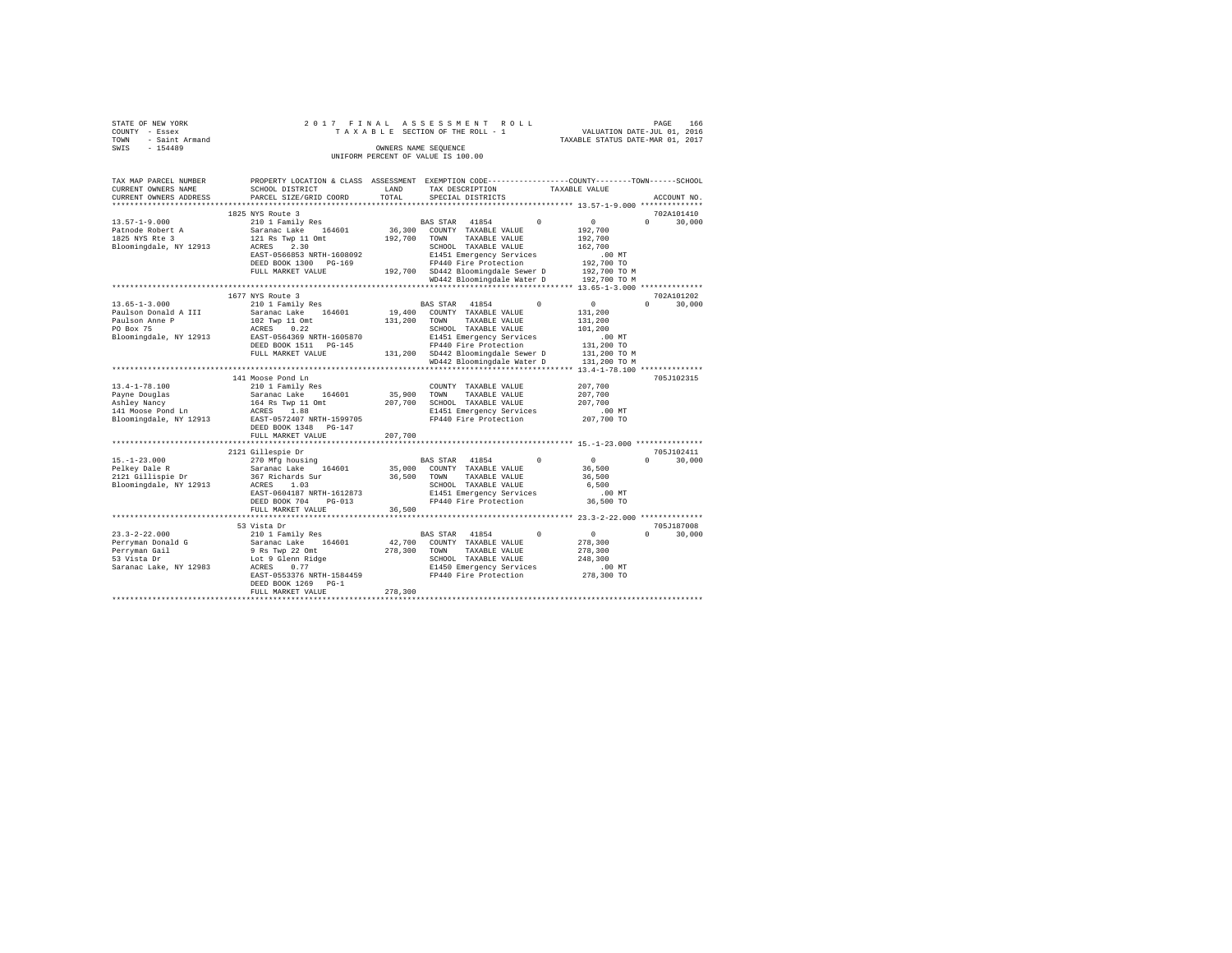| STATE OF NEW YORK                           | 2017 FINAL                                         |         | ASSESSMENT ROLL                                                                                 |                                  | PAGE<br>166        |
|---------------------------------------------|----------------------------------------------------|---------|-------------------------------------------------------------------------------------------------|----------------------------------|--------------------|
| COUNTY - Essex                              |                                                    |         | TAXABLE SECTION OF THE ROLL - 1                                                                 | VALUATION DATE-JUL 01, 2016      |                    |
| <b>TOWN</b><br>- Saint Armand               |                                                    |         |                                                                                                 | TAXABLE STATUS DATE-MAR 01, 2017 |                    |
| SWIS<br>$-154489$                           |                                                    |         | OWNERS NAME SEQUENCE<br>UNIFORM PERCENT OF VALUE IS 100.00                                      |                                  |                    |
|                                             |                                                    |         |                                                                                                 |                                  |                    |
|                                             |                                                    |         |                                                                                                 |                                  |                    |
| TAX MAP PARCEL NUMBER                       |                                                    |         | PROPERTY LOCATION & CLASS ASSESSMENT EXEMPTION CODE---------------COUNTY-------TOWN------SCHOOL |                                  |                    |
| CURRENT OWNERS NAME                         | SCHOOL DISTRICT                                    | LAND    | TAX DESCRIPTION                                                                                 | TAXABLE VALUE                    |                    |
| CURRENT OWNERS ADDRESS                      | PARCEL SIZE/GRID COORD                             | TOTAL   | SPECIAL DISTRICTS                                                                               |                                  | ACCOUNT NO.        |
|                                             |                                                    |         |                                                                                                 |                                  |                    |
|                                             | 1825 NYS Route 3                                   |         |                                                                                                 |                                  | 702A101410         |
| $13.57 - 1 - 9.000$                         | 210 1 Family Res                                   |         | 41854<br>$\Omega$<br>BAS STAR                                                                   | $\Omega$                         | $\Omega$<br>30,000 |
| Patnode Robert A                            | Saranac Lake 164601                                |         | 36,300 COUNTY TAXABLE VALUE                                                                     | 192,700                          |                    |
| 1825 NYS Rte 3                              | 121 Rs Twp 11 Omt                                  | 192,700 | TOWN<br>TAXABLE VALUE                                                                           | 192,700                          |                    |
| Bloomingdale, NY 12913                      | 2.30<br>ACRES                                      |         | SCHOOL TAXABLE VALUE                                                                            | 162,700                          |                    |
|                                             | EAST-0566853 NRTH-1608092<br>DEED BOOK 1300 PG-169 |         | E1451 Emergency Services<br>FP440 Fire Protection                                               | $.00$ MT<br>192,700 TO           |                    |
|                                             | FULL MARKET VALUE                                  |         | 192,700 SD442 Bloomingdale Sewer D                                                              | 192,700 TO M                     |                    |
|                                             |                                                    |         | WD442 Bloomingdale Water D                                                                      | 192,700 TO M                     |                    |
|                                             |                                                    |         |                                                                                                 |                                  |                    |
|                                             | 1677 NYS Route 3                                   |         |                                                                                                 |                                  | 702A101202         |
| $13.65 - 1 - 3.000$                         | 210 1 Family Res                                   |         | BAS STAR 41854<br>$^{\circ}$                                                                    | $\sim$ 0                         | $\Omega$<br>30,000 |
| Paulson Donald A III                        | Saranac Lake 164601                                |         | 19,400 COUNTY TAXABLE VALUE                                                                     | 131,200                          |                    |
| Paulson Anne P                              | 102 Twp 11 Omt                                     | 131,200 | TOWN<br>TAXABLE VALUE                                                                           | 131,200                          |                    |
| PO Box 75                                   | 0.22<br>ACRES                                      |         | SCHOOL TAXABLE VALUE                                                                            | 101,200                          |                    |
| Bloomingdale, NY 12913                      | EAST-0564369 NRTH-1605870                          |         | E1451 Emergency Services                                                                        | $.00$ MT                         |                    |
|                                             | DEED BOOK 1511 PG-145                              |         | FP440 Fire Protection                                                                           | 131,200 TO                       |                    |
|                                             | FULL MARKET VALUE                                  |         | 131,200 SD442 Bloomingdale Sewer D                                                              | 131,200 TO M                     |                    |
|                                             |                                                    |         | WD442 Bloomingdale Water D                                                                      | 131,200 TO M                     |                    |
|                                             | 141 Moose Pond Ln                                  |         |                                                                                                 |                                  | 705J102315         |
| $13.4 - 1 - 78.100$                         | 210 1 Family Res                                   |         | COUNTY TAXABLE VALUE                                                                            | 207,700                          |                    |
| Payne Douglas                               | Saranac Lake<br>164601                             | 35,900  | TOWN<br>TAXABLE VALUE                                                                           | 207,700                          |                    |
| Ashley Nancy                                | 164 Rs Twp 11 Omt                                  |         | 207,700 SCHOOL TAXABLE VALUE                                                                    | 207,700                          |                    |
| 141 Moose Pond Ln                           | ACRES 1.88                                         |         | E1451 Emergency Services                                                                        | $.00$ MT                         |                    |
| Bloomingdale, NY 12913                      | EAST-0572407 NRTH-1599705                          |         | FP440 Fire Protection                                                                           | 207,700 TO                       |                    |
|                                             | DEED BOOK 1348 PG-147                              |         |                                                                                                 |                                  |                    |
|                                             | FULL MARKET VALUE                                  | 207,700 |                                                                                                 |                                  |                    |
|                                             |                                                    |         |                                                                                                 |                                  |                    |
|                                             | 2121 Gillespie Dr                                  |         |                                                                                                 |                                  | 705J102411         |
| $15. - 1 - 23.000$                          | 270 Mfg housing                                    |         | BAS STAR<br>41854                                                                               | $\sim$ 0                         | $\Omega$<br>30,000 |
| Pelkey Dale R                               | Saranac Lake<br>164601                             | 35,000  | COUNTY TAXABLE VALUE                                                                            | 36,500                           |                    |
| 2121 Gillispie Dr<br>Bloomingdale, NY 12913 | 367 Richards Sur<br>ACRES 1.03                     | 36,500  | TOWN<br>TAXABLE VALUE<br>SCHOOL TAXABLE VALUE                                                   | 36,500<br>6,500                  |                    |
|                                             | EAST-0604187 NRTH-1612873                          |         | E1451 Emergency Services                                                                        | $.00$ MT                         |                    |
|                                             | DEED BOOK 704 PG-013                               |         | FP440 Fire Protection                                                                           | 36,500 TO                        |                    |
|                                             | FULL MARKET VALUE                                  | 36,500  |                                                                                                 |                                  |                    |
|                                             |                                                    |         |                                                                                                 |                                  |                    |
|                                             | 53 Vista Dr                                        |         |                                                                                                 |                                  | 705J187008         |
| $23.3 - 2 - 22.000$                         | 210 1 Family Res                                   |         | BAS STAR<br>41854<br>$\Omega$                                                                   | $^{\circ}$                       | $\Omega$<br>30,000 |
| Perryman Donald G                           | Saranac Lake 164601                                | 42,700  | COUNTY TAXABLE VALUE                                                                            | 278,300                          |                    |
| Perryman Gail                               | 9 Rs Twp 22 Omt                                    | 278,300 | TOWN<br>TAXABLE VALUE                                                                           | 278,300                          |                    |
| 53 Vista Dr                                 | Lot 9 Glenn Ridge                                  |         | SCHOOL TAXABLE VALUE                                                                            | 248,300                          |                    |
| Saranac Lake, NY 12983                      | 0.77<br>ACRES                                      |         | E1450 Emergency Services                                                                        | $.00$ MT                         |                    |
|                                             | EAST-0553376 NRTH-1584459                          |         | FP440 Fire Protection                                                                           | 278,300 TO                       |                    |
|                                             | DEED BOOK 1269 PG-1                                | 278,300 |                                                                                                 |                                  |                    |
|                                             | FULL MARKET VALUE                                  |         |                                                                                                 |                                  |                    |
|                                             |                                                    |         |                                                                                                 |                                  |                    |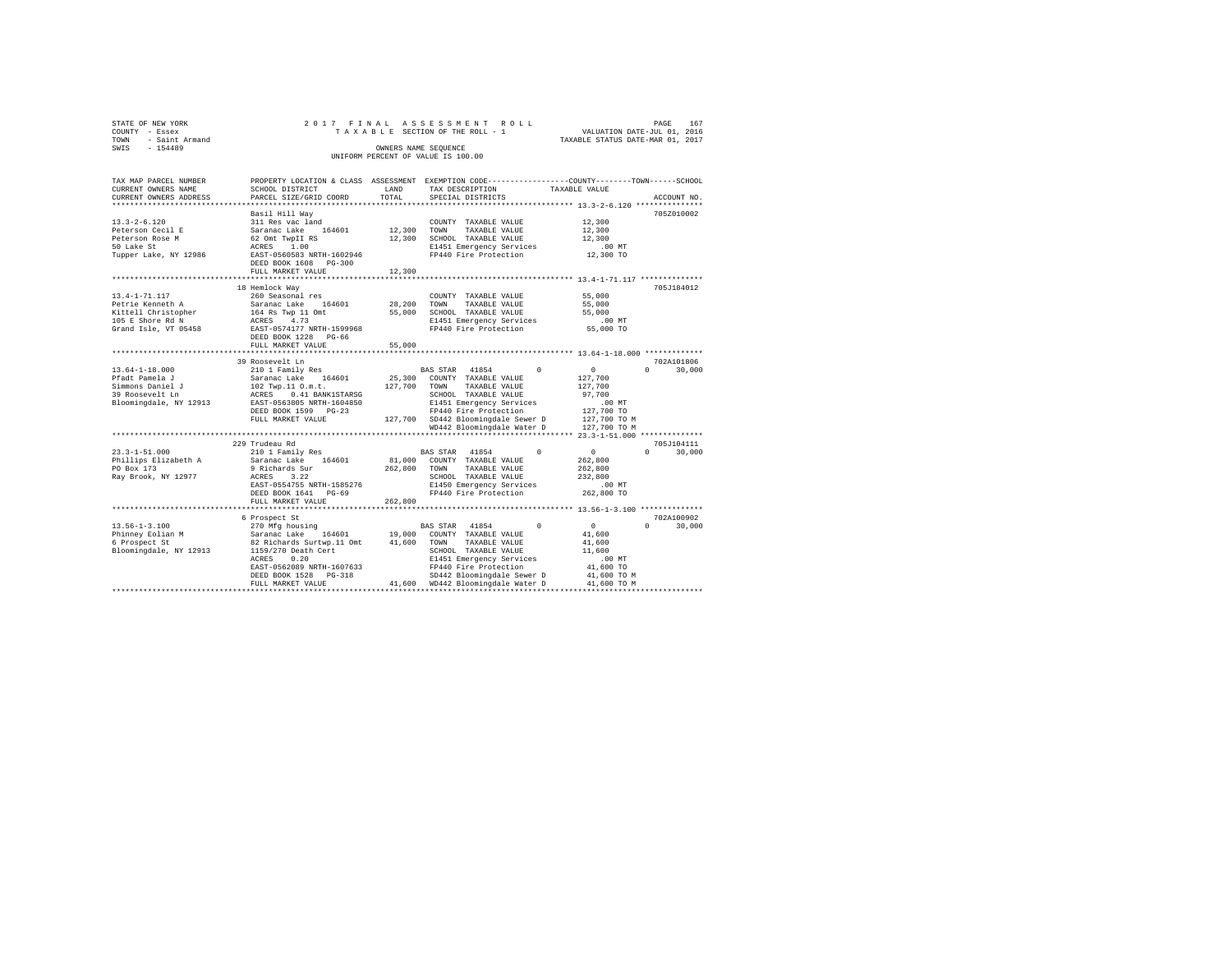| STATE OF NEW YORK<br>STATE OF NEW YORK<br>COUNTY - Essex<br>TOWN - Saint Armand<br>SWIS - 154489        |                                                                                                                                                                                                                                                                                                                                |               | 2017 FINAL ASSESSMENT ROLL<br>$\texttt{TA X A B L E} \begin{tabular}{@{}c@{}} \texttt{R} & \texttt{R} & \texttt{R} & \texttt{R} & \texttt{R} \\ \texttt{R} & \texttt{R} & \texttt{R} & \texttt{R} \\ \texttt{R} & \texttt{R} & \texttt{R} & \texttt{R} \\ \texttt{R} & \texttt{R} & \texttt{R} \\ \texttt{R} & \texttt{R} & \texttt{R} \\ \texttt{R} & \texttt{R} \\ \texttt{R} & \texttt{R} \\ \texttt{R} & \texttt{R} \\ \texttt{R} & \texttt{R} \\ \texttt{R} & \$<br>OWNERS NAME SEQUENCE<br>UNIFORM PERCENT OF VALUE IS 100.00 |                                                                                                                                                                                                                                                                                                                                                                                          | PAGE<br>167                      |
|---------------------------------------------------------------------------------------------------------|--------------------------------------------------------------------------------------------------------------------------------------------------------------------------------------------------------------------------------------------------------------------------------------------------------------------------------|---------------|-------------------------------------------------------------------------------------------------------------------------------------------------------------------------------------------------------------------------------------------------------------------------------------------------------------------------------------------------------------------------------------------------------------------------------------------------------------------------------------------------------------------------------------|------------------------------------------------------------------------------------------------------------------------------------------------------------------------------------------------------------------------------------------------------------------------------------------------------------------------------------------------------------------------------------------|----------------------------------|
| TAX MAP PARCEL NUMBER<br>CURRENT OWNERS NAME<br>CURRENT OWNERS ADDRESS                                  | SCHOOL DISTRICT<br>PARCEL SIZE/GRID COORD                                                                                                                                                                                                                                                                                      | LAND<br>TOTAL | PROPERTY LOCATION & CLASS ASSESSMENT EXEMPTION CODE---------------COUNTY-------TOWN------SCHOOL<br>TAX DESCRIPTION TAXABLE VALUE<br>SPECIAL DISTRICTS                                                                                                                                                                                                                                                                                                                                                                               |                                                                                                                                                                                                                                                                                                                                                                                          | ACCOUNT NO.                      |
| $13.3 - 2 - 6.120$<br>Peterson Cecil E<br>Peterson Rose M<br>50 Lake St<br>Tupper Lake, NY 12986        | Basil Hill Way<br>DEED BOOK 1608 PG-300<br>FULL MARKET VALUE                                                                                                                                                                                                                                                                   | 12,300        |                                                                                                                                                                                                                                                                                                                                                                                                                                                                                                                                     | 12,300<br>12,300<br>12,300<br>$.00$ MT<br>12,300 TO                                                                                                                                                                                                                                                                                                                                      | 705Z010002                       |
| 13.4-1-71.117<br>Petrie Kenneth A<br>Kittell Christopher<br>105 E Shore Rd N<br>Grand Isle, VT 05458    | 18 Hemlock Way<br>260 Seasonal res<br>Saranac Lake<br>164601<br>164 Rs Twp 11 Omt<br>ACRES 4.73<br>EAST-0574177 NRTH-1599968<br>DEED BOOK 1228 PG-66<br>FULL MARKET VALUE                                                                                                                                                      | 55,000        | COUNTY TAXABLE VALUE<br>28, 200 TOWN TAXABLE VALUE<br>55,000 SCHOOL TAXABLE VALUE<br>E1451 Emergency Services<br>FP440 Fire Protection                                                                                                                                                                                                                                                                                                                                                                                              | 55,000<br>55,000<br>55,000<br>$.00$ MT<br>55,000 TO                                                                                                                                                                                                                                                                                                                                      | 705J184012                       |
| $13.64 - 1 - 18.000$<br>Pfadt Pamela J<br>Simmons Daniel J<br>39 Roosevelt Ln<br>Bloomingdale, NY 12913 | 39 Roosevelt Ln<br>210 1 Family Res<br>Saranac Lake 164601 25,300 COUNTY TAXABLE VALUE<br>102 Twp.11 0.m.t. 127,700 TOWN TAXABLE VALUE<br>ACRES 0.41 BANK1STARSG SCHOOL TAXABLE VALUE<br>EAST-0563805 NRTH-1604850 SCHOOL TAXABLE VALUE<br>EAST-0563805 NRTH-1604850 SI451 Emerge<br>DEED BOOK 1599 PG-23<br>FULL MARKET VALUE |               | BAS STAR 41854<br>25,300 COUNTY TAXABLE VALUE<br>SCHOOL TAXABLE VALUE<br>E1451 Emergency Services<br>FP440 Fire Brother !<br>FP440 Fire Protection<br>127,700 SD442 Bloomingdale Sewer D 127,700 TO M<br>WD442 Bloomingdale Water D                                                                                                                                                                                                                                                                                                 | $\overline{0}$<br>$\mathbf{0}$<br>127,700<br>127,700<br>97,700<br>$.00$ MT<br>127,700 TO<br>127,700 TO M                                                                                                                                                                                                                                                                                 | 702A101806<br>$0 \t 30.000$      |
| $23.3 - 1 - 51.000$<br>Phillips Elizabeth A<br>PO Box 173<br>Ray Brook, NY 12977                        | 229 Trudeau Rd<br>210 1 Family Res<br>Saranac Lake 164601<br>9 Richards Sur $262,800$ TOWN ACRES 3.22 SCHOOL<br>EAST-0554755 NRTH-1585276<br>DEED BOOK 1641 PG-69<br>FULL MARKET VALUE                                                                                                                                         | 262,800       | BAS STAR 41854<br>81,000 COUNTY TAXABLE VALUE<br>TAXABLE VALUE<br>SCHOOL TAXABLE VALUE<br>SCHOOL TAXABLE VALUE<br>E1450 Emergency Services<br>FP440 Fire Protection<br>FP440 Fire Protection                                                                                                                                                                                                                                                                                                                                        | $\begin{matrix} 0 & 0 & 0 \\ 0 & 0 & 0 \\ 0 & 0 & 0 \\ 0 & 0 & 0 \\ 0 & 0 & 0 \\ 0 & 0 & 0 \\ 0 & 0 & 0 \\ 0 & 0 & 0 \\ 0 & 0 & 0 & 0 \\ 0 & 0 & 0 & 0 \\ 0 & 0 & 0 & 0 \\ 0 & 0 & 0 & 0 \\ 0 & 0 & 0 & 0 & 0 \\ 0 & 0 & 0 & 0 & 0 \\ 0 & 0 & 0 & 0 & 0 \\ 0 & 0 & 0 & 0 & 0 & 0 \\ 0 & 0 & 0 & 0 & 0 & 0 \\ 0 & 0 & 0 & 0 & 0$<br>262,800<br>262,800<br>232,800<br>.00 MT<br>262,800 TO | 705J104111<br>$0 \t 30.000$      |
| $13.56 - 1 - 3.100$<br>Phinney Eolian M<br>6 Prospect St<br>Bloomingdale, NY 12913                      | *************************<br>6 Prospect St<br>1159/270 Death Cert<br>ACRES 0.20<br>DEED BOOK 1528 PG-318<br>FULL MARKET VALUE                                                                                                                                                                                                  |               | SCHOOL TAXABLE VALUE<br>E1451 Emergency Services<br>SD442 Bloomingdale Sewer D<br>41,600 WD442 Bloomingdale Water D                                                                                                                                                                                                                                                                                                                                                                                                                 | $\sim$ 0<br>41,600<br>41,600<br>11,600<br>$.00$ MT<br>41,600 TO<br>41,600 TO M<br>41,600 TO M                                                                                                                                                                                                                                                                                            | 702A100902<br>$\sim$ 0<br>30,000 |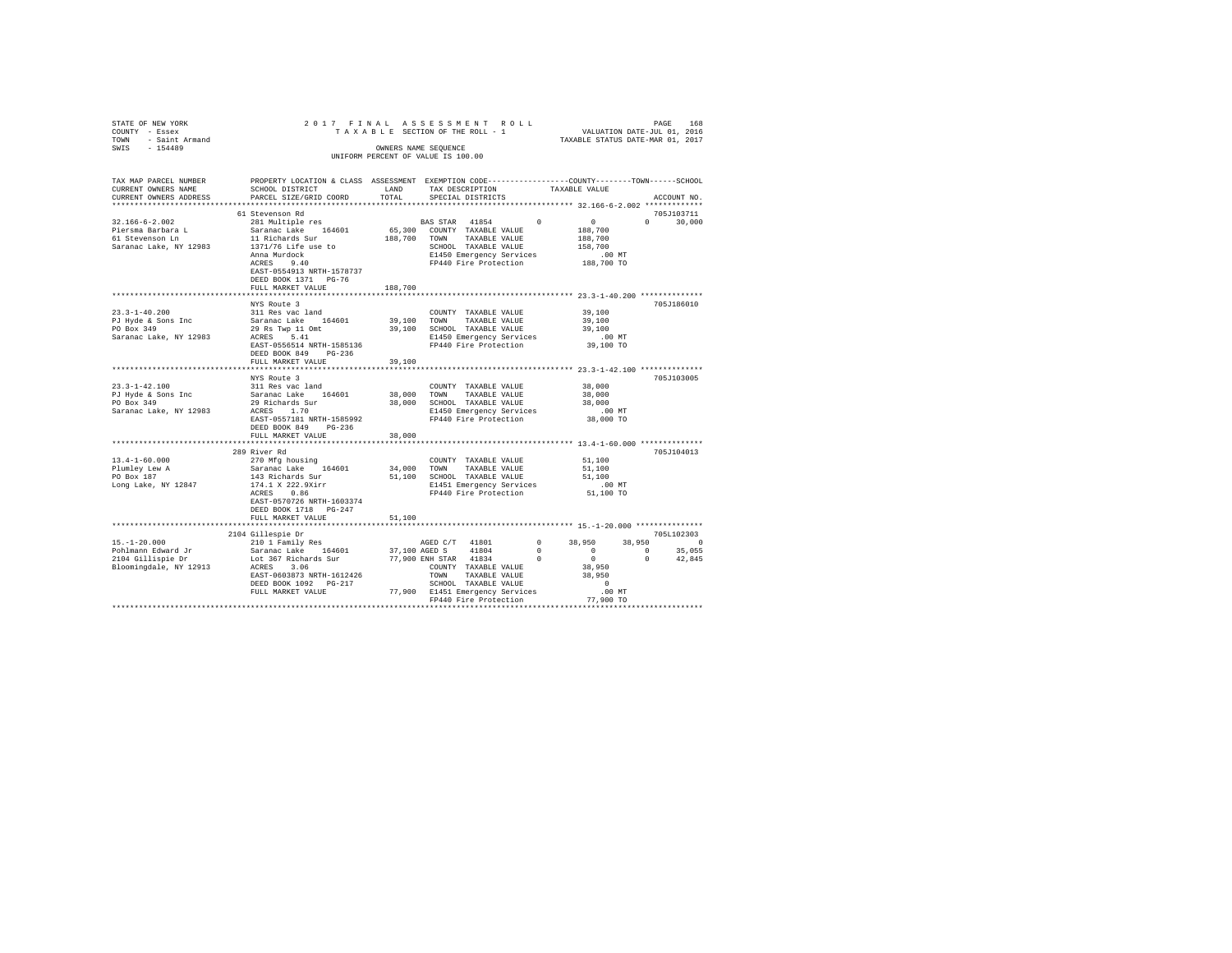| STATE OF NEW YORK<br>COUNTY<br>- Essex<br>- Saint Armand<br><b>TOWN</b><br>$-154489$<br>SWIS                                    | TAXABLE                                                                                                                                                                                      | OWNERS NAME SEQUENCE         | 2017 FINAL ASSESSMENT ROLL<br>SECTION OF THE ROLL - 1<br>INIFORM PERCENT OF VALUE IS 100.00                                                     |               | VALUATION DATE-JUL 01, 2016<br>TAXABLE STATUS DATE-MAR 01, 2017  | 168<br>PAGE        |
|---------------------------------------------------------------------------------------------------------------------------------|----------------------------------------------------------------------------------------------------------------------------------------------------------------------------------------------|------------------------------|-------------------------------------------------------------------------------------------------------------------------------------------------|---------------|------------------------------------------------------------------|--------------------|
| TAX MAP PARCEL NUMBER<br>CURRENT OWNERS NAME<br>CURRENT OWNERS ADDRESS PARCEL SIZE/GRID COORD TOTAL<br>************************ | PROPERTY LOCATION & CLASS ASSESSMENT EXEMPTION CODE---------------COUNTY-------TOWN------SCHOOL<br>SCHOOL DISTRICT                                                                           | LAND                         | TAX DESCRIPTION<br>SPECIAL DISTRICTS                                                                                                            | TAXABLE VALUE |                                                                  | ACCOUNT NO.        |
|                                                                                                                                 | 61 Stevenson Rd                                                                                                                                                                              |                              |                                                                                                                                                 |               |                                                                  | 705J103711         |
| 32.166-6-2.002<br>Piersma Barbara L<br>61 Stevenson Ln<br>Saranac Lake, NY 12983                                                | 281 Multiple res<br>Saranac Lake 164601<br>11 Richards Sur<br>1371/76 Life use to<br>Anna Murdock<br>9.40<br>ACRES<br>EAST-0554913 NRTH-1578737<br>DEED BOOK 1371 PG-76<br>FULL MARKET VALUE | 65,300<br>188,700<br>188,700 | BAS STAR 41854<br>COUNTY TAXABLE VALUE<br>TOWN<br>TAXABLE VALUE<br>SCHOOL<br>TAXABLE VALUE<br>E1450 Emergency Services<br>FP440 Fire Protection | $\Omega$      | $\circ$<br>188,700<br>188,700<br>158,700<br>.00 MT<br>188,700 TO | 30,000<br>$\Omega$ |
|                                                                                                                                 | NYS Route 3                                                                                                                                                                                  |                              |                                                                                                                                                 |               |                                                                  | 705.7186010        |
| $23.3 - 1 - 40.200$                                                                                                             | 311 Res vac land                                                                                                                                                                             |                              | COUNTY<br>TAXABLE VALUE                                                                                                                         |               | 39,100                                                           |                    |

|                        | NIS KOULE 3               |        |                 |                                 |            |                                               |              | 1020189010 |
|------------------------|---------------------------|--------|-----------------|---------------------------------|------------|-----------------------------------------------|--------------|------------|
| $23.3 - 1 - 40.200$    | 311 Res vac land          |        |                 | COUNTY TAXABLE VALUE            |            | 39,100                                        |              |            |
| PJ Hyde & Sons Inc     | Saranac Lake<br>164601    | 39,100 | TOWN            | TAXABLE VALUE                   |            | 39,100                                        |              |            |
| PO Box 349             | 29 Rs Twp 11 Omt          | 39,100 |                 | SCHOOL TAXABLE VALUE            |            | 39,100                                        |              |            |
| Saranac Lake, NY 12983 | 5.41<br>ACRES             |        |                 | E1450 Emergency Services        |            | $.00$ MT                                      |              |            |
|                        | EAST-0556514 NRTH-1585136 |        |                 | FP440 Fire Protection           |            | 39,100 TO                                     |              |            |
|                        | DEED BOOK 849<br>$PG-236$ |        |                 |                                 |            |                                               |              |            |
|                        | FULL MARKET VALUE         | 39,100 |                 |                                 |            |                                               |              |            |
|                        |                           |        |                 |                                 |            | **************** 23.3-1-42.100 ************** |              |            |
|                        | NYS Route 3               |        |                 |                                 |            |                                               |              | 705J103005 |
| $23.3 - 1 - 42.100$    | 311 Res vac land          |        |                 | COUNTY TAXABLE VALUE            |            | 38,000                                        |              |            |
| PJ Hyde & Sons Inc     | Saranac Lake<br>164601    | 38,000 | TOWN            | TAXABLE VALUE                   |            | 38,000                                        |              |            |
| PO Box 349             | 29 Richards Sur           | 38,000 |                 | SCHOOL TAXABLE VALUE            |            | 38,000                                        |              |            |
| Saranac Lake, NY 12983 | ACRES 1.70                |        |                 | E1450 Emergency Services        |            | $.00$ MT                                      |              |            |
|                        | EAST-0557181 NRTH-1585992 |        |                 | FP440 Fire Protection           |            | 38,000 TO                                     |              |            |
|                        | DEED BOOK 849<br>$PG-236$ |        |                 |                                 |            |                                               |              |            |
|                        | FULL MARKET VALUE         | 38,000 |                 |                                 |            |                                               |              |            |
|                        |                           |        |                 |                                 |            |                                               |              |            |
|                        | 289 River Rd              |        |                 |                                 |            |                                               |              | 705J104013 |
| $13.4 - 1 - 60.000$    | 270 Mfg housing           |        |                 | COUNTY TAXABLE VALUE            |            | 51,100                                        |              |            |
| Plumley Lew A          | Saranac Lake 164601       | 34,000 | TOWN            | TAXABLE VALUE                   |            | 51,100                                        |              |            |
| PO Box 187             | 143 Richards Sur          | 51,100 |                 | SCHOOL TAXABLE VALUE            |            | 51,100                                        |              |            |
| Long Lake, NY 12847    | 174.1 X 222.9Xirr         |        |                 | E1451 Emergency Services        |            | $.00$ MT                                      |              |            |
|                        | 0.86<br>ACRES             |        |                 | FP440 Fire Protection           |            | 51,100 TO                                     |              |            |
|                        | EAST-0570726 NRTH-1603374 |        |                 |                                 |            |                                               |              |            |
|                        | DEED BOOK 1718 PG-247     |        |                 |                                 |            |                                               |              |            |
|                        | FULL MARKET VALUE         | 51,100 |                 |                                 |            |                                               |              |            |
|                        |                           |        |                 |                                 |            |                                               |              |            |
|                        | 2104 Gillespie Dr         |        |                 |                                 |            |                                               |              | 705L102303 |
| $15. - 1 - 20.000$     | 210 1 Family Res          |        | AGED C/T 41801  |                                 | $^{\circ}$ | 38,950                                        | 38,950       | $^{\circ}$ |
| Pohlmann Edward Jr     | 164601<br>Saranac Lake    |        | 37,100 AGED S   | 41804                           | $^{\circ}$ | $^{\circ}$                                    | $^{\circ}$   | 35,055     |
| 2104 Gillispie Dr      | Lot 367 Richards Sur      |        | 77,900 ENH STAR | 41834                           | $^{\circ}$ | $^{\circ}$                                    | $\mathbf{r}$ | 42.845     |
| Bloomingdale, NY 12913 | 3.06<br>ACRES             |        |                 | COUNTY TAXABLE VALUE            |            | 38,950                                        |              |            |
|                        | EAST-0603873 NRTH-1612426 |        | TOWN            | TAXABLE VALUE                   |            | 38,950                                        |              |            |
|                        | DEED BOOK 1092 PG-217     |        |                 | SCHOOL TAXABLE VALUE            |            | $\mathbf{r}$                                  |              |            |
|                        | FULL MARKET VALUE         |        |                 | 77,900 E1451 Emergency Services |            | $.00$ MT                                      |              |            |
|                        |                           |        |                 | FP440 Fire Protection           |            | 77,900 TO                                     |              |            |
|                        |                           |        |                 |                                 |            |                                               |              |            |
|                        |                           |        |                 |                                 |            |                                               |              |            |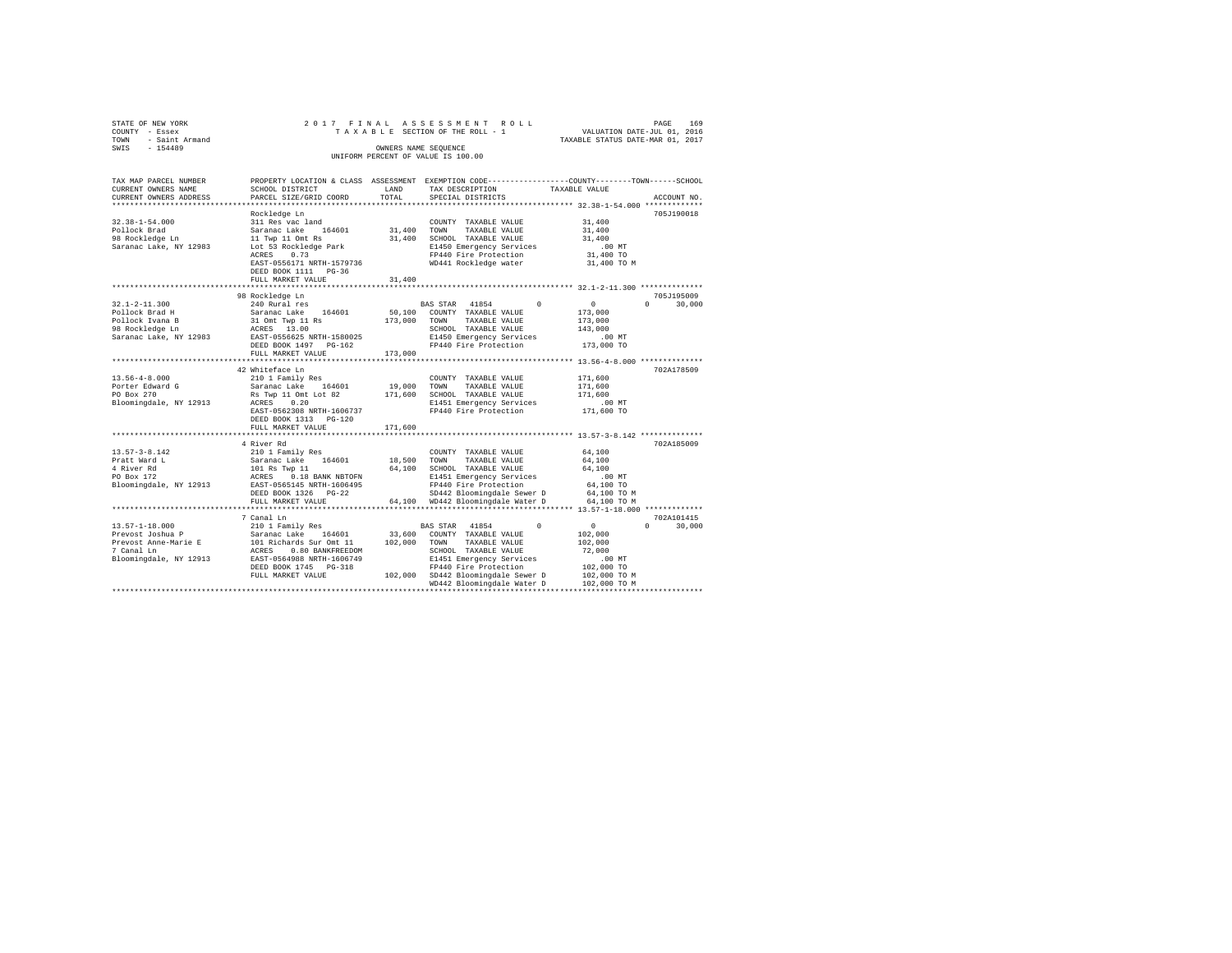| STATE OF NEW YORK<br>COUNTY - Essex<br>TOWN<br>- Saint Armand<br>SWIS<br>$-154489$                                                                                   |                                                   | OWNERS NAME SEOUENCE | 2017 FINAL ASSESSMENT ROLL<br>TAXABLE SECTION OF THE ROLL - 1<br>UNIFORM PERCENT OF VALUE IS 100.00 | VALUATION DATE-JUL 01, 2016<br>TAXABLE STATUS DATE-MAR 01, 2017 | 169<br>PAGE      |
|----------------------------------------------------------------------------------------------------------------------------------------------------------------------|---------------------------------------------------|----------------------|-----------------------------------------------------------------------------------------------------|-----------------------------------------------------------------|------------------|
| TAX MAP PARCEL NUMBER PROPERTY LOCATION & CLASS ASSESSMENT EXEMPTION CODE--------------COUNTY-------TOWN-----SCHOOL<br>CURRENT OWNERS NAME<br>CURRENT OWNERS ADDRESS | SCHOOL DISTRICT<br>PARCEL SIZE/GRID COORD         | LAND<br>TOTAL        | TAX DESCRIPTION<br>SPECIAL DISTRICTS                                                                | TAXABLE VALUE                                                   | ACCOUNT NO.      |
|                                                                                                                                                                      |                                                   |                      |                                                                                                     | ***************** 32.38-1-54.000 *************                  |                  |
|                                                                                                                                                                      | Rockledge Ln                                      |                      |                                                                                                     |                                                                 | 705J190018       |
| $32.38 - 1 - 54.000$                                                                                                                                                 | 311 Res vac land                                  |                      | COUNTY TAXABLE VALUE                                                                                | 31,400                                                          |                  |
| Pollock Brad                                                                                                                                                         | Saranac Lake 164601                               | 31,400 TOWN          | TAXABLE VALUE                                                                                       | 31,400                                                          |                  |
| 98 Rockledge Ln                                                                                                                                                      | 11 Twp 11 Omt Rs                                  |                      | 31,400 SCHOOL TAXABLE VALUE                                                                         | 31,400                                                          |                  |
| Saranac Lake, NY 12983                                                                                                                                               | Lot 53 Rockledge Park                             |                      | E1450 Emergency Services                                                                            | .00MT                                                           |                  |
|                                                                                                                                                                      | ACRES 0.73                                        |                      | FP440 Fire Protection                                                                               | 31,400 TO                                                       |                  |
|                                                                                                                                                                      | EAST-0556171 NRTH-1579736<br>DEED BOOK 1111 PG-36 |                      | WD441 Rockledge water                                                                               | 31,400 TO M                                                     |                  |
|                                                                                                                                                                      | FULL MARKET VALUE                                 | 31,400               |                                                                                                     |                                                                 |                  |
|                                                                                                                                                                      |                                                   |                      |                                                                                                     |                                                                 |                  |
|                                                                                                                                                                      | 98 Rockledge Ln                                   |                      |                                                                                                     |                                                                 | 705J195009       |
| $32.1 - 2 - 11.300$                                                                                                                                                  | 240 Rural res                                     |                      | BAS STAR 41854<br>$\Omega$                                                                          | $\circ$                                                         | 30,000<br>$\cap$ |
| Pollock Brad H                                                                                                                                                       | Saranac Lake 164601                               |                      | 50,100 COUNTY TAXABLE VALUE                                                                         | 173,000                                                         |                  |
| Pollock Ivana B                                                                                                                                                      | 31 Omt Twp 11 Rs                                  | 173,000 TOWN         | TAXABLE VALUE                                                                                       | 173,000                                                         |                  |
| 98 Rockledge Ln                                                                                                                                                      | ACRES 13.00                                       |                      | SCHOOL TAXABLE VALUE                                                                                | 143,000                                                         |                  |
| Saranac Lake, NY 12983                                                                                                                                               | EAST-0556625 NRTH-1580025                         |                      | E1450 Emergency Services                                                                            | $.00$ MT                                                        |                  |
|                                                                                                                                                                      | DEED BOOK 1497 PG-162                             |                      | FP440 Fire Protection                                                                               | 173,000 TO                                                      |                  |
|                                                                                                                                                                      | FULL MARKET VALUE                                 | 173,000              |                                                                                                     |                                                                 |                  |
|                                                                                                                                                                      |                                                   |                      |                                                                                                     |                                                                 |                  |
|                                                                                                                                                                      | 42 Whiteface Ln                                   |                      |                                                                                                     |                                                                 | 702A178509       |
| $13.56 - 4 - 8.000$<br>Porter Edward G                                                                                                                               | 210 1 Family Res                                  | 19,000 TOWN          | COUNTY TAXABLE VALUE                                                                                | 171,600<br>171,600                                              |                  |
| PO Box 270                                                                                                                                                           | Saranac Lake 164601<br>Rs Twp 11 Omt Lot 82       |                      | TAXABLE VALUE<br>171,600 SCHOOL TAXABLE VALUE                                                       | 171,600                                                         |                  |
| Bloomingdale, NY 12913                                                                                                                                               | ACRES 0.20                                        |                      | E1451 Emergency Services                                                                            | $.00$ MT                                                        |                  |
|                                                                                                                                                                      | EAST-0562308 NRTH-1606737                         |                      | FP440 Fire Protection                                                                               | 171,600 TO                                                      |                  |
|                                                                                                                                                                      | DEED BOOK 1313 PG-120                             |                      |                                                                                                     |                                                                 |                  |
|                                                                                                                                                                      | FULL MARKET VALUE                                 | 171,600              |                                                                                                     |                                                                 |                  |
|                                                                                                                                                                      |                                                   |                      |                                                                                                     |                                                                 |                  |
|                                                                                                                                                                      | 4 River Rd                                        |                      |                                                                                                     |                                                                 | 702A185009       |
| $13.57 - 3 - 8.142$                                                                                                                                                  | 210 1 Family Res                                  |                      | COUNTY TAXABLE VALUE                                                                                | 64,100                                                          |                  |
| Pratt Ward L                                                                                                                                                         | Saranac Lake 164601                               |                      | 18,500 TOWN<br>TAXABLE VALUE                                                                        | 64,100                                                          |                  |
| 4 River Rd                                                                                                                                                           | 101 Rs Twp 11                                     |                      | 64,100 SCHOOL TAXABLE VALUE                                                                         | 64,100                                                          |                  |
| PO Box 172                                                                                                                                                           | ACRES 0.18 BANK NBTOFN                            |                      | E1451 Emergency Services                                                                            | .00MT                                                           |                  |
| Bloomingdale, NY 12913                                                                                                                                               | EAST-0565145 NRTH-1606495                         |                      | FP440 Fire Protection                                                                               | 64,100 TO                                                       |                  |
|                                                                                                                                                                      | DEED BOOK 1326 PG-22<br>FULL MARKET VALUE         |                      | SD442 Bloomingdale Sewer D<br>64,100 WD442 Bloomingdale Water D                                     | 64,100 TO M<br>64,100 TO M                                      |                  |
|                                                                                                                                                                      | ***************************                       |                      |                                                                                                     |                                                                 |                  |
|                                                                                                                                                                      | 7 Canal Ln                                        |                      |                                                                                                     |                                                                 | 702A101415       |
| $13.57 - 1 - 18.000$                                                                                                                                                 | 210 1 Family Res                                  |                      | <b>BAS STAR</b> 41854<br>$\Omega$                                                                   | 0<br>$\Omega$                                                   | 30,000           |
| Prevost Joshua P                                                                                                                                                     | Saranac Lake 164601                               |                      | 33,600 COUNTY TAXABLE VALUE                                                                         | 102,000                                                         |                  |
| Prevost Anne-Marie E                                                                                                                                                 | 101 Richards Sur Omt 11                           |                      | 102,000 TOWN TAXABLE VALUE                                                                          | 102,000                                                         |                  |
| 7 Canal Ln                                                                                                                                                           | ACRES 0.80 BANKFREEDOM                            |                      | SCHOOL TAXABLE VALUE                                                                                | 72.000                                                          |                  |
| Bloomingdale, NY 12913                                                                                                                                               | EAST-0564988 NRTH-1606749                         |                      | E1451 Emergency Services                                                                            | $.00$ MT                                                        |                  |
|                                                                                                                                                                      | DEED BOOK 1745 PG-318                             |                      | FP440 Fire Protection                                                                               | 102,000 TO                                                      |                  |
|                                                                                                                                                                      | FULL MARKET VALUE                                 |                      | 102,000 SD442 Bloomingdale Sewer D                                                                  | 102,000 TO M                                                    |                  |
|                                                                                                                                                                      |                                                   |                      | WD442 Bloomingdale Water D                                                                          | 102,000 TO M                                                    |                  |
|                                                                                                                                                                      |                                                   |                      |                                                                                                     |                                                                 |                  |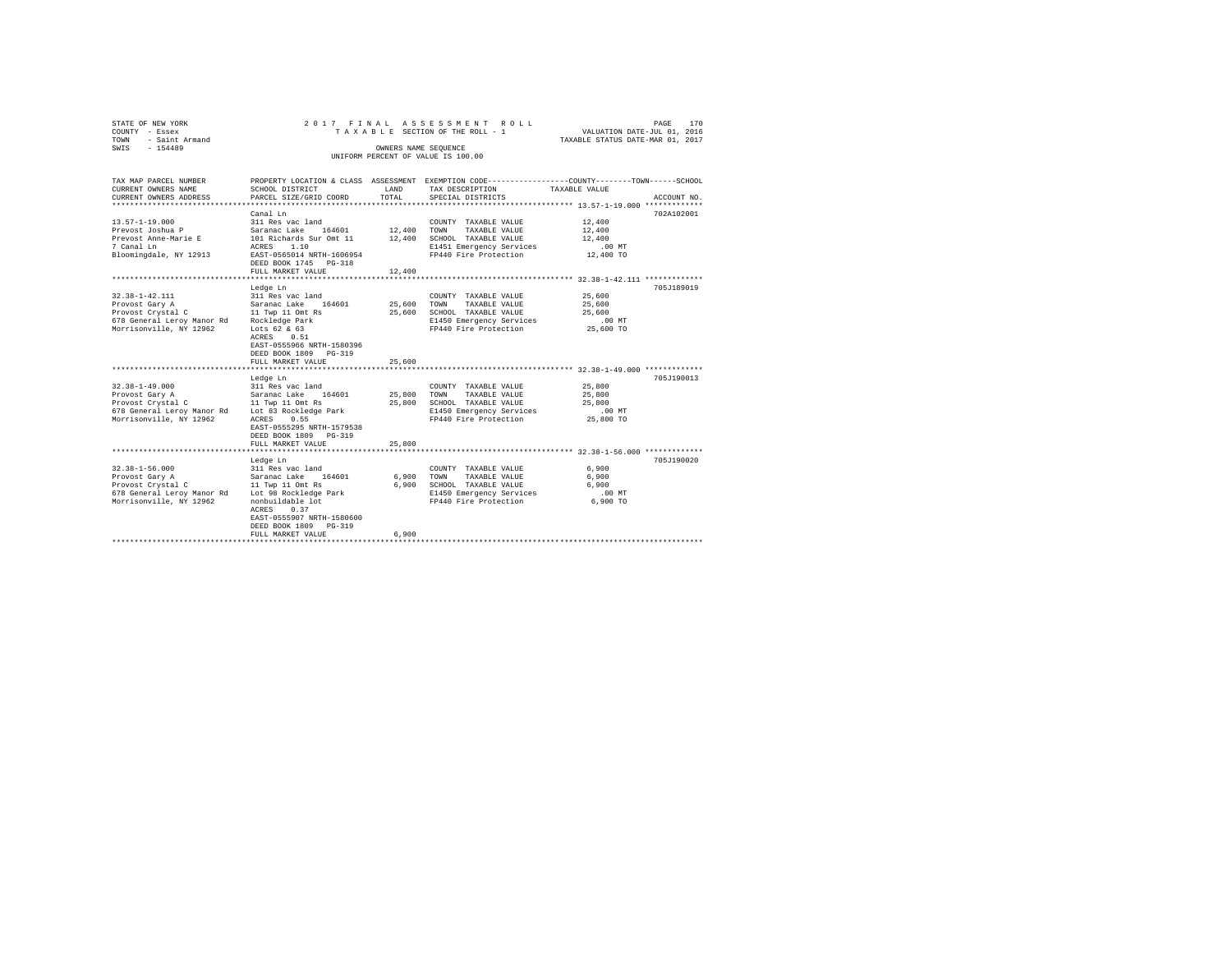| COUNTY<br>TOWN<br>SWIS | STATE OF NEW YORK<br>- Essex<br>- Saint Armand<br>$-154489$            |                                                                        | OWNERS NAME SEOUENCE        | 2017 FINAL ASSESSMENT ROLL<br>TAXABLE SECTION OF THE ROLL - 1<br>UNIFORM PERCENT OF VALUE IS 100.00 |                                                                              | PAGE<br>VALUATION DATE-JUL 01.<br>TAXABLE STATUS DATE-MAR 01, 2017 | 170<br>2016                  |
|------------------------|------------------------------------------------------------------------|------------------------------------------------------------------------|-----------------------------|-----------------------------------------------------------------------------------------------------|------------------------------------------------------------------------------|--------------------------------------------------------------------|------------------------------|
|                        | TAX MAP PARCEL NUMBER<br>CURRENT OWNERS NAME<br>CURRENT OWNERS ADDRESS | PROPERTY LOCATION & CLASS<br>SCHOOL DISTRICT<br>PARCEL SIZE/GRID COORD | ASSESSMENT<br>LAND<br>TOTAL | TAX DESCRIPTION<br>SPECIAL DISTRICTS                                                                | EXEMPTION CODE----------------COUNTY-------TOWN------SCHOOL<br>TAXARLE VALUE |                                                                    | ACCOUNT NO.<br>************* |

|                            | Canal Ln                                    |        |                          |           | 702A102001 |
|----------------------------|---------------------------------------------|--------|--------------------------|-----------|------------|
| $13.57 - 1 - 19.000$       | 311 Res vac land                            |        | COUNTY TAXABLE VALUE     | 12,400    |            |
| Prevost Joshua P           | Saranac Lake<br>164601                      | 12,400 | TOWN<br>TAXABLE VALUE    | 12,400    |            |
| Prevost Anne-Marie E       | 101 Richards Sur Omt 11                     | 12,400 | SCHOOL TAXABLE VALUE     | 12,400    |            |
| 7 Canal Ln                 | 1.10<br>ACRES                               |        | E1451 Emergency Services | .00MT     |            |
| Bloomingdale, NY 12913     | EAST-0565014 NRTH-1606954                   |        | FP440 Fire Protection    | 12,400 TO |            |
|                            | DEED BOOK 1745 PG-318                       |        |                          |           |            |
|                            | FULL MARKET VALUE                           | 12,400 |                          |           |            |
|                            |                                             |        |                          |           |            |
|                            | Ledge Ln                                    |        |                          |           | 705J189019 |
| $32.38 - 1 - 42.111$       | 311 Res vac land                            |        | COUNTY TAXABLE VALUE     | 25,600    |            |
| Provost Gary A             | Saranac Lake<br>164601                      | 25,600 | TOWN<br>TAXABLE VALUE    | 25,600    |            |
| Provost Crystal C          | 11 Twp 11 Omt Rs                            | 25,600 | SCHOOL TAXABLE VALUE     | 25,600    |            |
| 678 General Leroy Manor Rd | Rockledge Park                              |        | E1450 Emergency Services | $.00$ MT  |            |
| Morrisonville, NY 12962    | Lots $62 & 63$                              |        | FP440 Fire Protection    | 25,600 TO |            |
|                            | ACRES<br>0.51                               |        |                          |           |            |
|                            | EAST-0555966 NRTH-1580396                   |        |                          |           |            |
|                            | DEED BOOK 1809 PG-319                       |        |                          |           |            |
|                            | FULL MARKET VALUE<br>********************** | 25,600 |                          |           |            |
|                            | Ledge Ln                                    |        |                          |           | 705J190013 |
| $32.38 - 1 - 49.000$       | 311 Res vac land                            |        | COUNTY TAXABLE VALUE     | 25,800    |            |
| Provost Gary A             | Saranac Lake<br>164601                      | 25,800 | TAXABLE VALUE<br>TOWN    | 25,800    |            |
| Provost Crystal C          | 11 Twp 11 Omt Rs                            | 25,800 | SCHOOL TAXABLE VALUE     | 25,800    |            |
| 678 General Leroy Manor Rd | Lot 83 Rockledge Park                       |        | E1450 Emergency Services | $.00$ MT  |            |
| Morrisonville, NY 12962    | ACRES<br>0.55                               |        | FP440 Fire Protection    | 25,800 TO |            |
|                            | EAST-0555295 NRTH-1579538                   |        |                          |           |            |
|                            | DEED BOOK 1809 PG-319                       |        |                          |           |            |
|                            | FULL MARKET VALUE                           | 25,800 |                          |           |            |
|                            |                                             |        |                          |           |            |
|                            | Ledge Ln                                    |        |                          |           | 705J190020 |
| $32.38 - 1 - 56.000$       | 311 Res vac land                            |        | COUNTY TAXABLE VALUE     | 6,900     |            |
| Provost Gary A             | Saranac Lake<br>164601                      | 6,900  | TOWN<br>TAXABLE VALUE    | 6,900     |            |
| Provost Crystal C          | 11 Twp 11 Omt Rs                            | 6,900  | SCHOOL TAXABLE VALUE     | 6,900     |            |
| 678 General Leroy Manor Rd | Lot 98 Rockledge Park                       |        | E1450 Emergency Services | .00MT     |            |
| Morrisonville, NY 12962    | nonbuildable lot                            |        | FP440 Fire Protection    | 6,900 TO  |            |
|                            | ACRES<br>0.37                               |        |                          |           |            |
|                            | EAST-0555907 NRTH-1580600                   |        |                          |           |            |
|                            | DEED BOOK 1809 PG-319                       |        |                          |           |            |
|                            | FULL MARKET VALUE                           | 6,900  |                          |           |            |
|                            |                                             |        |                          |           |            |
|                            |                                             |        |                          |           |            |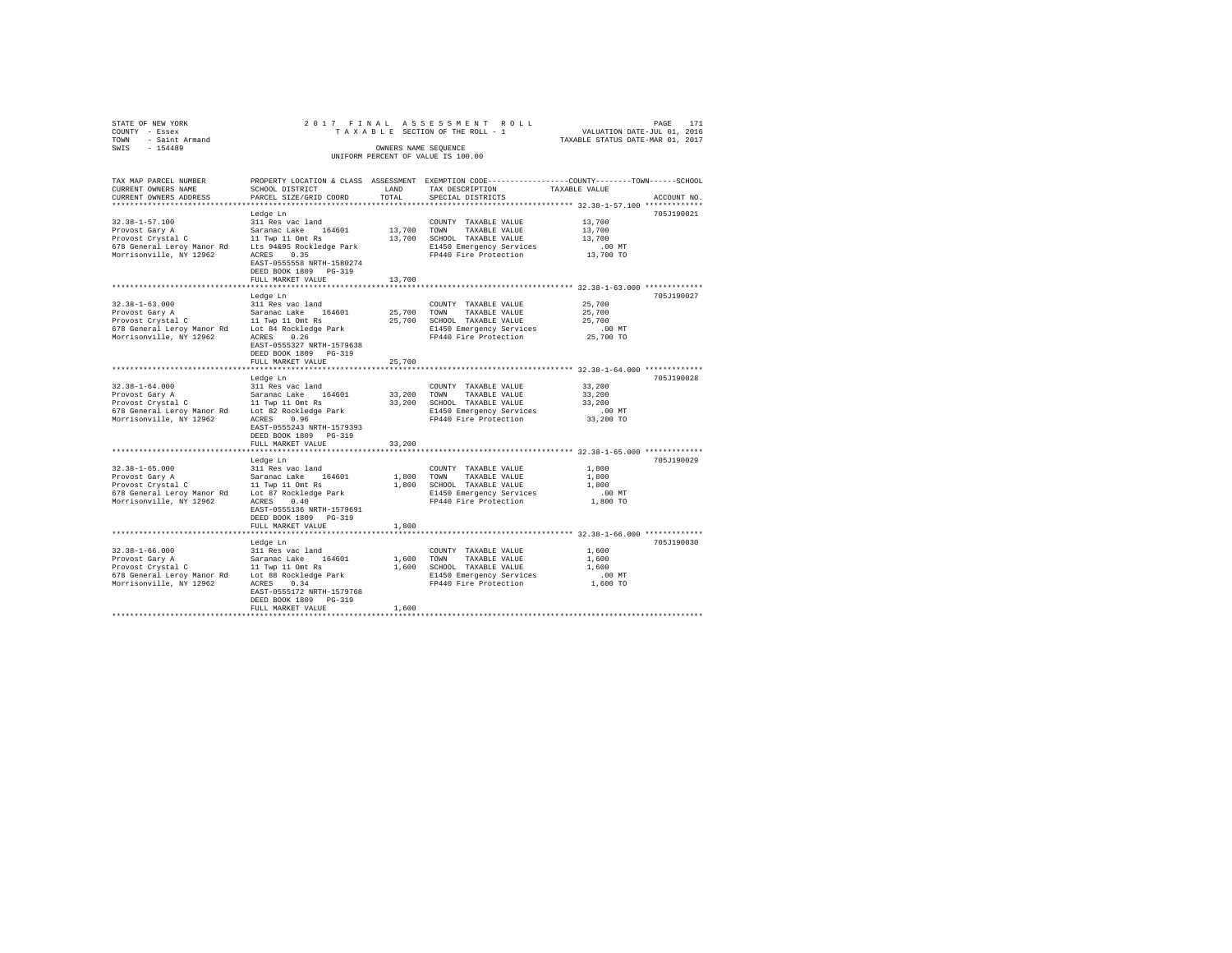| STATE OF NEW YORK<br>COUNTY<br>- Essex<br>- Saint Armand<br>TOWN | 2017 FINAL ASSESSMENT ROLL<br>TAXABLE SECTION OF THE ROLL - 1                             | 171<br>PAGE<br>VALUATION DATE-JUL 01, 2016<br>TAXABLE STATUS DATE-MAR 01, 2017 |
|------------------------------------------------------------------|-------------------------------------------------------------------------------------------|--------------------------------------------------------------------------------|
| SWIS<br>$-154489$                                                | OWNERS NAME SEOUENCE                                                                      |                                                                                |
|                                                                  | UNIFORM PERCENT OF VALUE IS 100.00                                                        |                                                                                |
|                                                                  |                                                                                           |                                                                                |
| TAX MAP PARCEL NUMBER                                            | PROPERTY LOCATION & CLASS ASSESSMENT EXEMPTION CODE----------------COUNTY-------TOWN----- | -SCHOOL                                                                        |

| CURRENT OWNERS NAME                              | SCHOOL DISTRICT           | LAND   | TAX DESCRIPTION                                                     | TAXABLE VALUE                          |            |
|--------------------------------------------------|---------------------------|--------|---------------------------------------------------------------------|----------------------------------------|------------|
| CURRENT OWNERS ADDRESS                           | PARCEL SIZE/GRID COORD    | TOTAL  | SPECIAL DISTRICTS                                                   |                                        | ACCOUNT NO |
| *********************                            |                           |        | ************************************** 32.38-1-57.100 ************* |                                        |            |
|                                                  | Ledge Ln                  |        |                                                                     |                                        | 705J190021 |
| $32.38 - 1 - 57.100$                             | 311 Res vac land          |        | COUNTY TAXABLE VALUE                                                | 13,700                                 |            |
| Provost Gary A                                   | Saranac Lake 164601       | 13,700 | TOWN<br>TAXABLE VALUE                                               | 13,700                                 |            |
| Provost Crystal C                                | 11 Twp 11 Omt Rs          | 13,700 | SCHOOL TAXABLE VALUE                                                | 13,700                                 |            |
| 678 General Leroy Manor Rd                       | Lts 94&95 Rockledge Park  |        | E1450 Emergency Services                                            | $.00$ MT                               |            |
| Morrisonville, NY 12962                          | 0.35<br>ACRES             |        | FP440 Fire Protection                                               | 13,700 TO                              |            |
|                                                  | EAST-0555558 NRTH-1580274 |        |                                                                     |                                        |            |
|                                                  | DEED BOOK 1809 PG-319     |        |                                                                     |                                        |            |
|                                                  | FULL MARKET VALUE         | 13,700 |                                                                     |                                        |            |
|                                                  |                           |        |                                                                     |                                        |            |
|                                                  | Ledge Ln                  |        |                                                                     |                                        | 705J190027 |
| $32.38 - 1 - 63.000$                             | 311 Res vac land          |        | COUNTY TAXABLE VALUE                                                | 25,700                                 |            |
| Provost Gary A                                   | Saranac Lake 164601       | 25,700 | TOWN<br>TAXABLE VALUE                                               | 25,700                                 |            |
| Provost Crystal C                                | 11 Twp 11 Omt Rs          |        | 25,700 SCHOOL TAXABLE VALUE                                         | 25,700                                 |            |
| 678 General Leroy Manor Rd Lot 84 Rockledge Park |                           |        | E1450 Emergency Services                                            | $.00$ MT                               |            |
| Morrisonville, NY 12962                          | 0.26<br>ACRES             |        | FP440 Fire Protection                                               | 25,700 TO                              |            |
|                                                  | EAST-0555327 NRTH-1579638 |        |                                                                     |                                        |            |
|                                                  | DEED BOOK 1809 PG-319     |        |                                                                     |                                        |            |
|                                                  | FULL MARKET VALUE         | 25,700 |                                                                     |                                        |            |
|                                                  |                           |        |                                                                     | ********* 32.38-1-64.000 ************* |            |
|                                                  | Ledge Ln                  |        |                                                                     |                                        | 705J190028 |
| $32.38 - 1 - 64.000$                             | 311 Res vac land          |        | COUNTY TAXABLE VALUE                                                | 33,200                                 |            |
| Provost Gary A                                   | Saranac Lake 164601       | 33,200 | TOWN                                                                | 33,200                                 |            |
| Provost Crystal C                                |                           | 33,200 | TAXABLE VALUE                                                       | 33,200                                 |            |
|                                                  | 11 Twp 11 Omt Rs          |        | SCHOOL TAXABLE VALUE                                                |                                        |            |
| 678 General Leroy Manor Rd                       | Lot 82 Rockledge Park     |        | E1450 Emergency Services                                            | $.00$ MT                               |            |
| Morrisonville, NY 12962                          | ACRES<br>0.96             |        | FP440 Fire Protection                                               | 33,200 TO                              |            |
|                                                  | EAST-0555243 NRTH-1579393 |        |                                                                     |                                        |            |
|                                                  | DEED BOOK 1809 PG-319     |        |                                                                     |                                        |            |
|                                                  | FULL MARKET VALUE         | 33,200 |                                                                     |                                        |            |
|                                                  |                           |        | *********************** 32.38-1-65.000 *************                |                                        |            |
|                                                  | Ledge Ln                  |        |                                                                     |                                        | 705J190029 |
| $32.38 - 1 - 65.000$                             | 311 Res vac land          |        | COUNTY TAXABLE VALUE                                                | 1,800                                  |            |
| Provost Gary A                                   | Saranac Lake<br>164601    | 1,800  | TOWN<br>TAXABLE VALUE                                               | 1,800                                  |            |
| Provost Crystal C                                | 11 Twp 11 Omt Rs          | 1,800  | SCHOOL TAXABLE VALUE                                                | 1,800                                  |            |
| 678 General Leroy Manor Rd                       | Lot 87 Rockledge Park     |        | E1450 Emergency Services                                            | .00 MT                                 |            |
| Morrisonville, NY 12962                          | ACRES<br>0.40             |        | FP440 Fire Protection                                               | 1,800 TO                               |            |
|                                                  | EAST-0555136 NRTH-1579691 |        |                                                                     |                                        |            |
|                                                  | DEED BOOK 1809 PG-319     |        |                                                                     |                                        |            |
|                                                  | FULL MARKET VALUE         | 1,800  |                                                                     |                                        |            |
|                                                  |                           |        |                                                                     |                                        |            |
|                                                  | Ledge Ln                  |        |                                                                     |                                        | 705J190030 |
| $32.38 - 1 - 66.000$                             | 311 Res vac land          |        | COUNTY TAXABLE VALUE                                                | 1,600                                  |            |
| Provost Gary A                                   | Saranac Lake<br>164601    | 1,600  | TOWN<br>TAXABLE VALUE                                               | 1,600                                  |            |
| Provost Crystal C                                | 11 Twp 11 Omt Rs          | 1,600  | SCHOOL TAXABLE VALUE                                                | 1,600                                  |            |
| 678 General Leroy Manor Rd                       | Lot 88 Rockledge Park     |        | E1450 Emergency Services                                            | .00 MT                                 |            |
| Morrisonville, NY 12962                          | ACRES<br>0.34             |        | FP440 Fire Protection                                               | 1,600 TO                               |            |
|                                                  | EAST-0555172 NRTH-1579768 |        |                                                                     |                                        |            |
|                                                  | DEED BOOK 1809 PG-319     |        |                                                                     |                                        |            |
|                                                  | FULL MARKET VALUE         | 1,600  |                                                                     |                                        |            |
|                                                  |                           |        |                                                                     |                                        |            |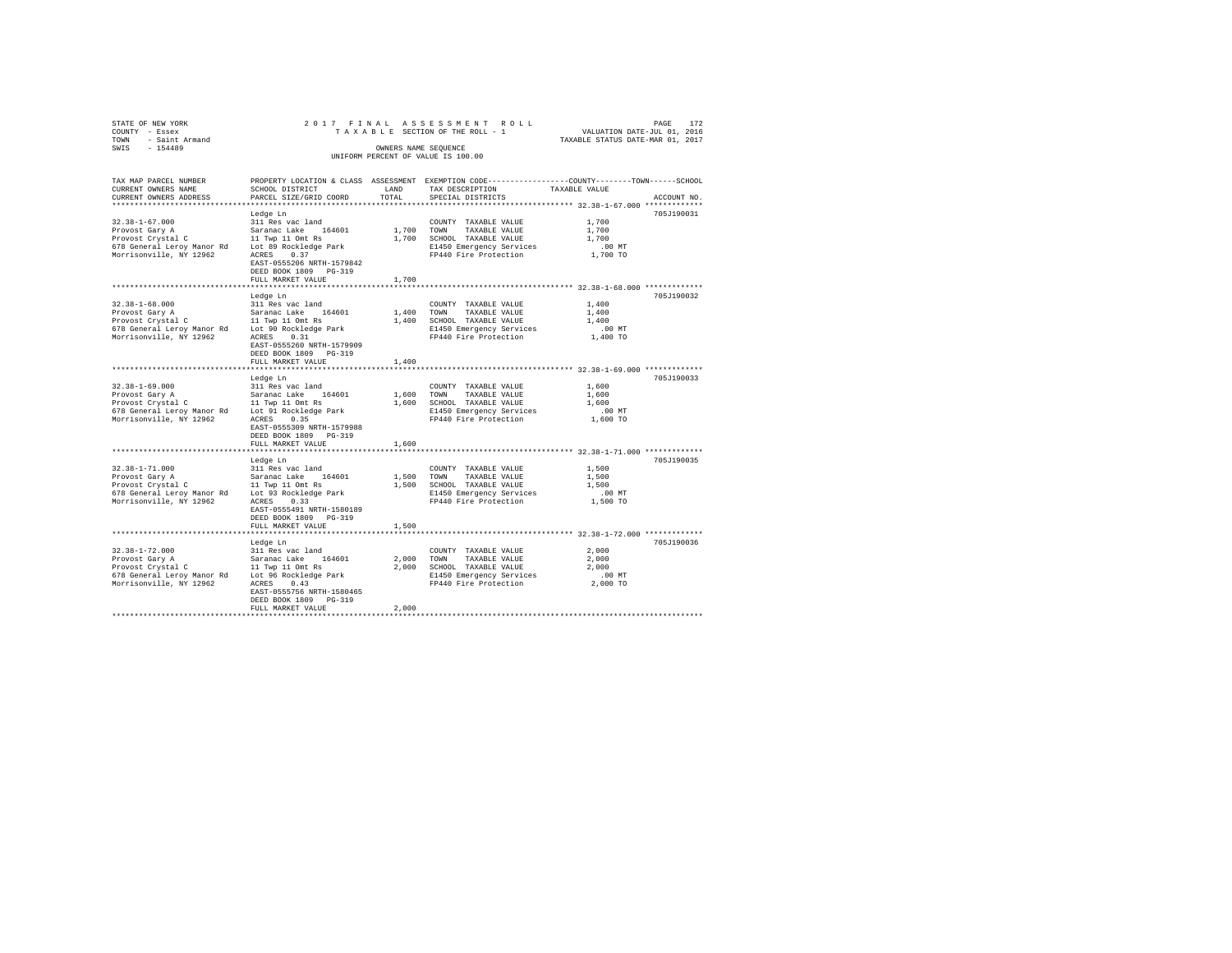| TOWN | STATE OF NEW YORK<br>COUNTY - Essex<br>- Saint Armand |                                                         |                      | 2017 FINAL ASSESSMENT ROLL<br>TAXABLE SECTION OF THE ROLL - 1                   | TAXABLE STATUS DATE-MAR 01, 2017 | PAGE<br>VALUATION DATE-JUL 01, 2016 | 172 |
|------|-------------------------------------------------------|---------------------------------------------------------|----------------------|---------------------------------------------------------------------------------|----------------------------------|-------------------------------------|-----|
| SWIS | $-154489$                                             |                                                         | OWNERS NAME SEOUENCE | UNIFORM PERCENT OF VALUE IS 100.00                                              |                                  |                                     |     |
|      | TAX MAP PARCEL NUMBER<br>CURRENT OWNERS NAME          | PROPERTY LOCATION & CLASS ASSESSMENT<br>SCHOOL DISTRICT | LAND                 | EXEMPTION CODE-----------------COUNTY-------TOWN------SCHOOL<br>TAX DESCRIPTION | TAXABLE VALUE                    |                                     |     |

| CURRENT OWNERS ADDRESS                                                                                               | PARCEL SIZE/GRID COORD                                                                                                                                                                          | TOTAL                        | SPECIAL DISTRICTS                                                                                                          |                                                 | ACCOUNT NO. |
|----------------------------------------------------------------------------------------------------------------------|-------------------------------------------------------------------------------------------------------------------------------------------------------------------------------------------------|------------------------------|----------------------------------------------------------------------------------------------------------------------------|-------------------------------------------------|-------------|
| $32.38 - 1 - 67.000$<br>Provost Gary A<br>Provost Crystal C<br>678 General Leroy Manor Rd<br>Morrisonville, NY 12962 | Ledge Ln<br>311 Res vac land<br>Saranac Lake 164601<br>11 Twp 11 Omt Rs<br>Lot 89 Rockledge Park<br>ACRES<br>0.37<br>EAST-0555206 NRTH-1579842<br>DEED BOOK 1809 PG-319<br>FULL MARKET VALUE    | 1,700<br>1,700<br>1,700      | COUNTY TAXABLE VALUE<br>TOWN<br>TAXABLE VALUE<br>SCHOOL TAXABLE VALUE<br>E1450 Emergency Services<br>FP440 Fire Protection | 1,700<br>1,700<br>1,700<br>.00 MT<br>1,700 TO   | 705J190031  |
| $32.38 - 1 - 68.000$<br>Provost Gary A<br>Provost Crystal C<br>678 General Leroy Manor Rd<br>Morrisonville, NY 12962 | Ledge Ln<br>311 Res vac land<br>Saranac Lake<br>164601<br>11 Twp 11 Omt Rs<br>Lot 90 Rockledge Park<br>0.31<br>ACRES<br>EAST-0555260 NRTH-1579909<br>DEED BOOK 1809 PG-319                      | 1,400<br>1,400               | COUNTY TAXABLE VALUE<br>TOWN<br>TAXABLE VALUE<br>SCHOOL TAXABLE VALUE<br>E1450 Emergency Services<br>FP440 Fire Protection | 1,400<br>1,400<br>1,400<br>$.00$ MT<br>1,400 TO | 705J190032  |
|                                                                                                                      | FULL MARKET VALUE                                                                                                                                                                               | 1,400                        |                                                                                                                            | ********** 32.38-1-69.000 *************         |             |
| $32.38 - 1 - 69.000$<br>Provost Gary A<br>Provost Crystal C<br>678 General Leroy Manor Rd<br>Morrisonville, NY 12962 | Ledge Ln<br>311 Res vac land<br>164601<br>Saranac Lake<br>11 Twp 11 Omt Rs<br>Lot 91 Rockledge Park<br>ACRES<br>0.35<br>EAST-0555309 NRTH-1579988<br>DEED BOOK 1809 PG-319<br>FULL MARKET VALUE | 1,600 TOWN<br>1,600<br>1,600 | COUNTY TAXABLE VALUE<br>TAXABLE VALUE<br>SCHOOL TAXABLE VALUE<br>E1450 Emergency Services<br>FP440 Fire Protection         | 1,600<br>1,600<br>1,600<br>$.00$ MT<br>1,600 TO | 705J190033  |
| $32.38 - 1 - 71.000$<br>Provost Gary A<br>Provost Crystal C<br>678 General Leroy Manor Rd<br>Morrisonville, NY 12962 | Ledge Ln<br>311 Res vac land<br>Saranac Lake 164601<br>11 Twp 11 Omt Rs<br>Lot 93 Rockledge Park<br>ACRES<br>0.33<br>EAST-0555491 NRTH-1580189<br>DEED BOOK 1809 PG-319<br>FULL MARKET VALUE    | 1,500 TOWN<br>1,500<br>1,500 | COUNTY TAXABLE VALUE<br>TAXABLE VALUE<br>SCHOOL TAXABLE VALUE<br>E1450 Emergency Services<br>FP440 Fire Protection         | 1,500<br>1,500<br>1,500<br>$.00$ MT<br>1,500 TO | 705J190035  |
| $32.38 - 1 - 72.000$<br>Provost Gary A<br>Provost Crystal C<br>678 General Leroy Manor Rd<br>Morrisonville, NY 12962 | Ledge Ln<br>311 Res vac land<br>Saranac Lake<br>164601<br>11 Twp 11 Omt Rs<br>Lot 96 Rockledge Park<br>0.43<br>ACRES<br>EAST-0555756 NRTH-1580465<br>DEED BOOK 1809 PG-319<br>FULL MARKET VALUE | 2,000<br>2,000<br>2,000      | COUNTY TAXABLE VALUE<br>TOWN<br>TAXABLE VALUE<br>SCHOOL TAXABLE VALUE<br>E1450 Emergency Services<br>FP440 Fire Protection | 2,000<br>2,000<br>2,000<br>$.00$ MT<br>2,000 TO | 705J190036  |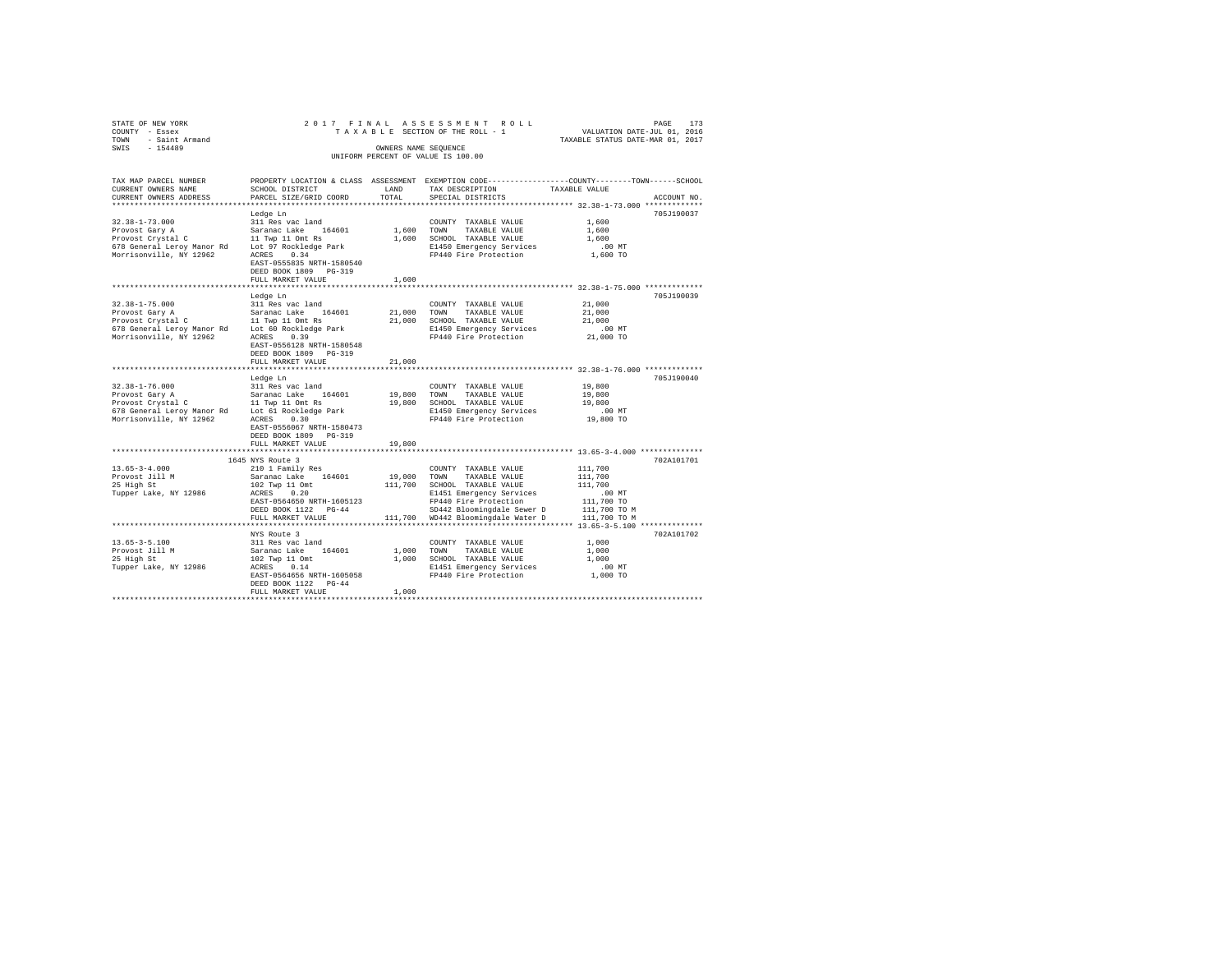| STATE OF NEW YORK                                                                             |                                                      |                   | 2017 FINAL ASSESSMENT ROLL                                                                      |                                  | PAGE<br>173 |
|-----------------------------------------------------------------------------------------------|------------------------------------------------------|-------------------|-------------------------------------------------------------------------------------------------|----------------------------------|-------------|
| COUNTY - Essex                                                                                |                                                      |                   | TAXABLE SECTION OF THE ROLL - 1                                                                 | VALUATION DATE-JUL 01, 2016      |             |
| TOWN - Saint Armand                                                                           |                                                      |                   |                                                                                                 | TAXABLE STATUS DATE-MAR 01, 2017 |             |
| SWIS - 154489                                                                                 |                                                      |                   | OWNERS NAME SEOUENCE                                                                            |                                  |             |
|                                                                                               |                                                      |                   | UNIFORM PERCENT OF VALUE IS 100.00                                                              |                                  |             |
|                                                                                               |                                                      |                   |                                                                                                 |                                  |             |
|                                                                                               |                                                      |                   |                                                                                                 |                                  |             |
| TAX MAP PARCEL NUMBER                                                                         |                                                      |                   | PROPERTY LOCATION & CLASS ASSESSMENT EXEMPTION CODE---------------COUNTY-------TOWN------SCHOOL |                                  |             |
| CURRENT OWNERS NAME                                                                           | SCHOOL DISTRICT                                      | LAND              | TAX DESCRIPTION                                                                                 | TAXABLE VALUE                    |             |
| CURRENT OWNERS ADDRESS<br>***********************                                             | PARCEL SIZE/GRID COORD                               | TOTAL.            | SPECIAL DISTRICTS                                                                               |                                  | ACCOUNT NO. |
|                                                                                               |                                                      |                   |                                                                                                 |                                  |             |
|                                                                                               | Ledge Ln                                             |                   |                                                                                                 |                                  | 705J190037  |
| $32.38 - 1 - 73.000$                                                                          | 311 Res vac land                                     |                   | COUNTY TAXABLE VALUE                                                                            | 1,600                            |             |
| Provost Gary A                                                                                | Saranac Lake 164601                                  | 1,600 TOWN        | TAXABLE VALUE                                                                                   | 1,600                            |             |
| Provost Crystal C 11 Twp 11 Omt Rs                                                            |                                                      |                   | 1,600 SCHOOL TAXABLE VALUE                                                                      | 1,600                            |             |
| 678 General Leroy Manor Rd Lot 97 Rockledge Park                                              |                                                      |                   | E1450 Emergency Services                                                                        | $.00$ MT                         |             |
| Morrisonville, NY 12962                                                                       | ACRES 0.34                                           |                   | FP440 Fire Protection                                                                           | 1,600 TO                         |             |
|                                                                                               | EAST-0555835 NRTH-1580540                            |                   |                                                                                                 |                                  |             |
|                                                                                               | DEED BOOK 1809 PG-319                                |                   |                                                                                                 |                                  |             |
|                                                                                               | FULL MARKET VALUE                                    | 1,600             |                                                                                                 |                                  |             |
|                                                                                               |                                                      |                   |                                                                                                 |                                  |             |
|                                                                                               | Ledge Ln                                             |                   |                                                                                                 |                                  | 705J190039  |
| $32.38 - 1 - 75.000$                                                                          | 311 Res vac land                                     |                   | COUNTY TAXABLE VALUE                                                                            | 21,000                           |             |
| Provost Gary A                                                                                | Saranac Lake 164601                                  | 21,000            | TOWN<br>TAXABLE VALUE                                                                           | 21,000                           |             |
| Provost Crystal C<br>Provost Crystal C<br>678 General Leroy Manor Rd<br>Lot 60 Rockledge Park |                                                      |                   | 21,000 SCHOOL TAXABLE VALUE                                                                     | 21,000                           |             |
|                                                                                               |                                                      |                   | E1450 Emergency Services                                                                        | $.00$ MT                         |             |
| Morrisonville, NY 12962                                                                       | ACRES 0.39                                           |                   | FP440 Fire Protection                                                                           | 21,000 TO                        |             |
|                                                                                               | EAST-0556128 NRTH-1580548                            |                   |                                                                                                 |                                  |             |
|                                                                                               | DEED BOOK 1809 PG-319                                |                   |                                                                                                 |                                  |             |
|                                                                                               | FULL MARKET VALUE                                    | 21,000            |                                                                                                 |                                  |             |
|                                                                                               |                                                      |                   |                                                                                                 |                                  |             |
|                                                                                               | Ledge Ln                                             |                   |                                                                                                 |                                  | 705J190040  |
| $32.38 - 1 - 76.000$<br>32.38-1-76.000<br>Provost Gary A                                      | 311 Res vac land                                     |                   | COUNTY TAXABLE VALUE                                                                            | 19,800                           |             |
|                                                                                               | Saranac Lake 164601<br>11 Twp 11 Omt Rs              |                   | 19,800 TOWN TAXABLE VALUE                                                                       | 19,800                           |             |
| Provost Crystal C                                                                             |                                                      |                   | 19,800 SCHOOL TAXABLE VALUE                                                                     | 19,800                           |             |
| 678 General Leroy Manor Rd Lot 61 Rockledge Park                                              | 0.30                                                 |                   | E1450 Emergency Services                                                                        | .00MT<br>19,800 TO               |             |
| Morrisonville, NY 12962                                                                       | ACRES                                                |                   | FP440 Fire Protection                                                                           |                                  |             |
|                                                                                               | EAST-0556067 NRTH-1580473                            |                   |                                                                                                 |                                  |             |
|                                                                                               | DEED BOOK 1809 PG-319                                |                   |                                                                                                 |                                  |             |
|                                                                                               | FULL MARKET VALUE                                    | 19,800            |                                                                                                 |                                  |             |
|                                                                                               | 1645 NYS Route 3                                     |                   |                                                                                                 |                                  | 702A101701  |
| $13.65 - 3 - 4.000$                                                                           |                                                      |                   |                                                                                                 |                                  |             |
| Provost Jill M                                                                                | 210 1 Family Res                                     |                   | COUNTY TAXABLE VALUE<br>TOWN<br>TAXABLE VALUE                                                   | 111,700<br>111,700               |             |
| 25 High St                                                                                    | Saranac Lake 164601                                  | 19,000<br>111,700 | SCHOOL TAXABLE VALUE                                                                            | 111,700                          |             |
| Tupper Lake, NY 12986                                                                         | $102$ Twp 11 Omt<br>$\Delta$ CEES 0.20<br>ACRES 0.20 |                   | E1451 Emergency Services                                                                        | $.00$ MT                         |             |
|                                                                                               | EAST-0564650 NRTH-1605123                            |                   | FP440 Fire Protection                                                                           | 111,700 TO                       |             |
|                                                                                               | DEED BOOK 1122 PG-44                                 |                   | SD442 Bloomingdale Sewer D                                                                      | 111,700 TO M                     |             |
|                                                                                               |                                                      |                   |                                                                                                 | 111,700 TO M                     |             |
|                                                                                               | FULL MARKET VALUE                                    |                   | 111,700 WD442 Bloomingdale Water D                                                              |                                  |             |
|                                                                                               |                                                      |                   |                                                                                                 |                                  |             |
|                                                                                               | NYS Route 3                                          |                   |                                                                                                 |                                  | 702A101702  |
| $13.65 - 3 - 5.100$                                                                           | 311 Res vac land                                     |                   | COUNTY TAXABLE VALUE                                                                            | 1,000                            |             |
| Provost Jill M<br>25 High St                                                                  | Saranac Lake 164601                                  | 1,000 TOWN        | TAXABLE VALUE                                                                                   | 1,000                            |             |
|                                                                                               | 102 Twp 11 Omt<br>ACRES 0.14                         |                   | 1,000 SCHOOL TAXABLE VALUE                                                                      | 1,000                            |             |
| Tupper Lake, NY 12986                                                                         | EAST-0564656 NRTH-1605058                            |                   | E1451 Emergency Services                                                                        | $.00$ MT<br>1,000 TO             |             |
|                                                                                               | DEED BOOK 1122 PG-44                                 |                   | FP440 Fire Protection                                                                           |                                  |             |
|                                                                                               | FULL MARKET VALUE                                    | 1,000             |                                                                                                 |                                  |             |
|                                                                                               |                                                      |                   |                                                                                                 |                                  |             |
|                                                                                               |                                                      |                   |                                                                                                 |                                  |             |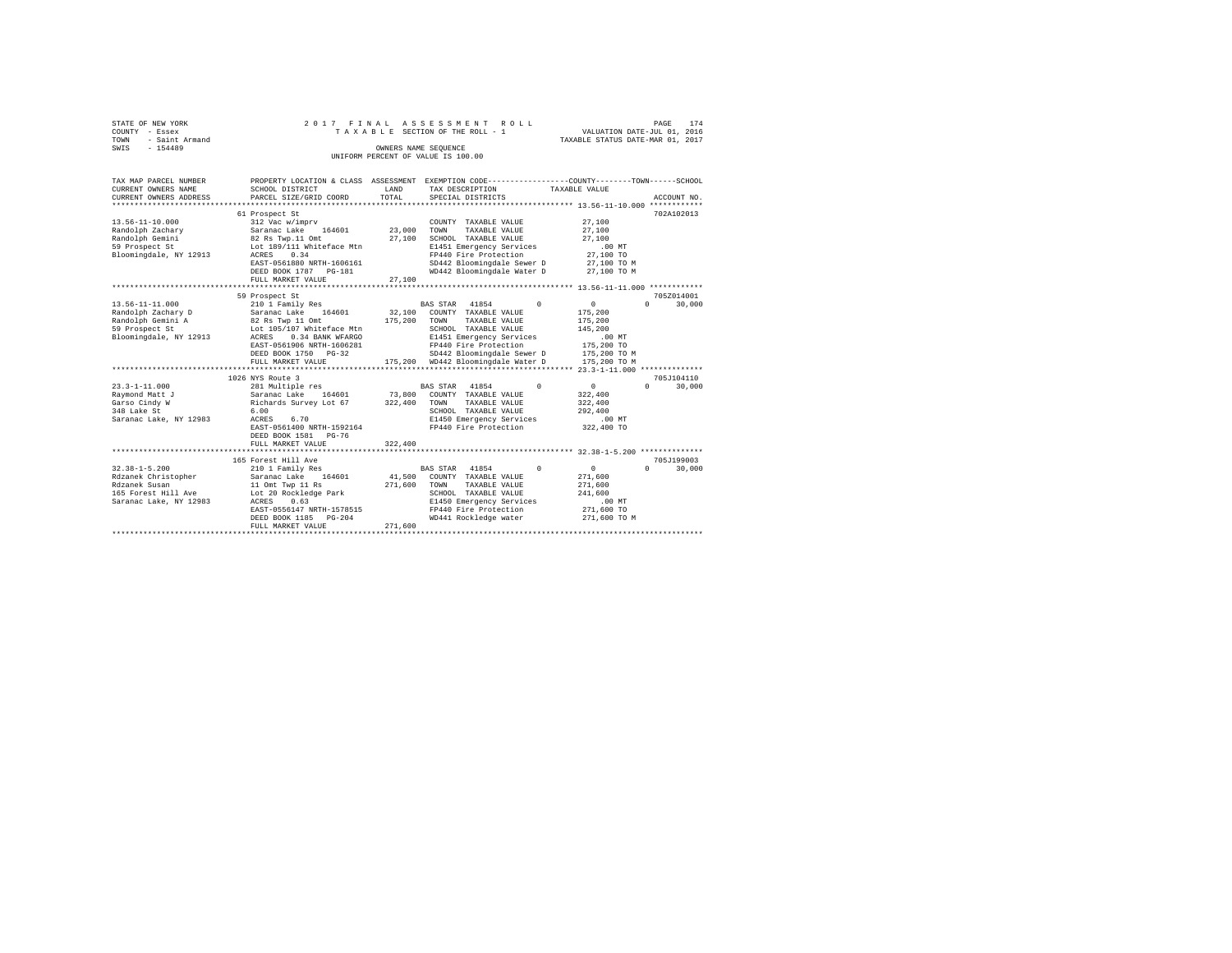|                | STATE OF NEW YORK   |  |  | 2017 FINAL ASSESSMENT ROLL         |  |                                  | PAGE | 174 |
|----------------|---------------------|--|--|------------------------------------|--|----------------------------------|------|-----|
| COUNTY - Essex |                     |  |  | TAXABLE SECTION OF THE ROLL - 1    |  | VALUATION DATE-JUL 01, 2016      |      |     |
|                | TOWN - Saint Armand |  |  |                                    |  | TAXABLE STATUS DATE-MAR 01, 2017 |      |     |
| SWTS           | $-154489$           |  |  | OWNERS NAME SEOUENCE               |  |                                  |      |     |
|                |                     |  |  | UNIFORM PERCENT OF VALUE IS 100.00 |  |                                  |      |     |
|                |                     |  |  |                                    |  |                                  |      |     |

| TAX MAP PARCEL NUMBER                   |                                               |         |                                         | PROPERTY LOCATION & CLASS ASSESSMENT EXEMPTION CODE---------------COUNTY-------TOWN-----SCHOOL |
|-----------------------------------------|-----------------------------------------------|---------|-----------------------------------------|------------------------------------------------------------------------------------------------|
| CURRENT OWNERS NAME                     | SCHOOL DISTRICT                               | LAND    | TAX DESCRIPTION                         | TAXABLE VALUE                                                                                  |
| CURRENT OWNERS ADDRESS                  | PARCEL SIZE/GRID COORD                        | TOTAL   | SPECIAL DISTRICTS                       | ACCOUNT NO.                                                                                    |
|                                         |                                               |         |                                         |                                                                                                |
| $13.56 - 11 - 10.000$                   | 61 Prospect St<br>312 Vac w/imprv             |         | COUNTY TAXABLE VALUE                    | 702A102013<br>27,100                                                                           |
| Randolph Zachary                        | 164601<br>Saranac Lake                        | 23,000  | TOWN<br>TAXABLE VALUE                   | 27,100                                                                                         |
| Randolph Gemini                         | 82 Rs Twp.11 Omt                              | 27,100  | SCHOOL TAXABLE VALUE                    | 27,100                                                                                         |
| 59 Prospect St                          | Lot 189/111 Whiteface Mtn                     |         | E1451 Emergency Services                | .00 MT                                                                                         |
| Bloomingdale, NY 12913                  | 0.34<br>ACRES                                 |         | FP440 Fire Protection                   | 27,100 TO                                                                                      |
|                                         | EAST-0561880 NRTH-1606161                     |         | SD442 Bloomingdale Sewer D 27,100 TO M  |                                                                                                |
|                                         | DEED BOOK 1787 PG-181                         |         | WD442 Bloomingdale Water D 27.100 TO M  |                                                                                                |
|                                         | FULL MARKET VALUE                             | 27,100  |                                         |                                                                                                |
|                                         |                                               |         |                                         |                                                                                                |
|                                         | 59 Prospect St                                |         |                                         | 705Z014001                                                                                     |
| $13.56 - 11 - 11.000$                   | 210 1 Family Res                              |         | BAS STAR 41854<br>$\Omega$              | $\circ$<br>$\Omega$<br>30,000                                                                  |
|                                         | Saranac Lake 164601                           |         | 32,100 COUNTY TAXABLE VALUE             | 175,200                                                                                        |
| Randolph Zachary D<br>Randolph Gemini A | Saranac Lake 1<br>82 Rs Twp 11 Omt            | 175,200 | TOWN<br>TAXABLE VALUE                   | 175,200                                                                                        |
| 59 Prospect St                          | Lot 105/107 Whiteface Mtn                     |         | SCHOOL TAXABLE VALUE                    | 145,200                                                                                        |
| Bloomingdale, NY 12913                  | ACRES<br>0.34 BANK WFARGO                     |         | E1451 Emergency Services                | .00MT                                                                                          |
|                                         | EAST-0561906 NRTH-1606281                     |         | FP440 Fire Protection                   | 175,200 TO                                                                                     |
|                                         | DEED BOOK 1750 PG-32                          |         | SD442 Bloomingdale Sewer D 175,200 TO M |                                                                                                |
|                                         | FULL MARKET VALUE                             |         | 175,200 WD442 Bloomingdale Water D      | 175,200 TO M                                                                                   |
|                                         |                                               |         |                                         |                                                                                                |
|                                         | 1026 NYS Route 3                              |         |                                         | 705J104110                                                                                     |
| $23.3 - 1 - 11.000$                     | 281 Multiple res                              |         | $\Omega$<br>BAS STAR 41854              | 0<br>$\Omega$<br>30,000                                                                        |
| Ravmond Matt J                          |                                               |         | 73,800 COUNTY TAXABLE VALUE             | 322,400                                                                                        |
| Garso Cindy W                           | Saranac Lake 164601<br>Richards Survey Lot 67 | 322,400 | TOWN<br>TAXABLE VALUE                   | 322,400                                                                                        |
| 348 Lake St                             | 6.00                                          |         | SCHOOL TAXABLE VALUE                    | 292,400                                                                                        |
| Saranac Lake, NY 12983                  | 6.70<br>ACRES                                 |         | E1450 Emergency Services                | $.00$ MT                                                                                       |
|                                         | EAST-0561400 NRTH-1592164                     |         | FP440 Fire Protection                   | 322,400 TO                                                                                     |
|                                         | DEED BOOK 1581 PG-76                          |         |                                         |                                                                                                |
|                                         | FULL MARKET VALUE                             | 322,400 |                                         |                                                                                                |
|                                         |                                               |         |                                         |                                                                                                |
|                                         | 165 Forest Hill Ave                           |         |                                         | 705.7199003                                                                                    |
| $32.38 - 1 - 5.200$                     | 210 1 Family Res                              |         | BAS STAR 41854<br>$\Omega$              | $\circ$<br>$\Omega$<br>30,000                                                                  |
| Rdzanek Christopher                     | Saranac Lake 164601                           |         | 41,500 COUNTY TAXABLE VALUE             | 271,600                                                                                        |
| Rdzanek Susan                           | 11 Omt Twp 11 Rs                              | 271,600 | TOWN<br>TAXABLE VALUE                   | 271,600                                                                                        |
| 165 Forest Hill Ave                     | Lot 20 Rockledge Park                         |         | SCHOOL TAXABLE VALUE                    | 241,600                                                                                        |
| Saranac Lake, NY 12983                  | ACRES<br>0.63                                 |         | E1450 Emergency Services                | $.00$ MT                                                                                       |
|                                         | EAST-0556147 NRTH-1578515                     |         | FP440 Fire Protection                   | 271,600 TO                                                                                     |
|                                         | DEED BOOK 1185 PG-204                         |         | WD441 Rockledge water                   | 271,600 TO M                                                                                   |
|                                         | FULL MARKET VALUE                             | 271,600 |                                         |                                                                                                |
|                                         |                                               |         |                                         |                                                                                                |
|                                         |                                               |         |                                         |                                                                                                |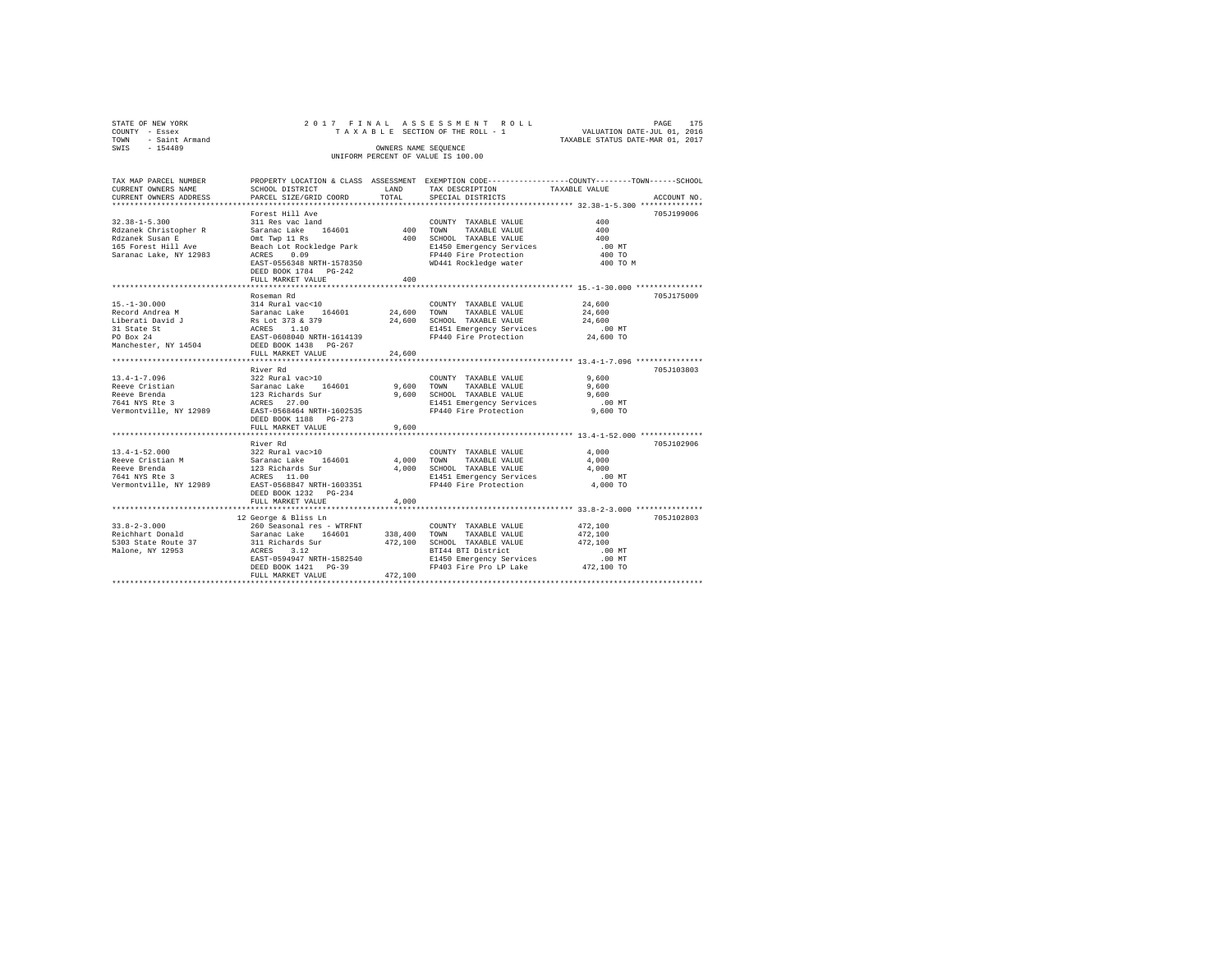| STATE OF NEW YORK<br>COUNTY<br>- Essex<br>- Saint Armand<br>TOWN<br>$-154489$<br>SWIS |                           | OWNERS NAME SEQUENCE | 2017 FINAL ASSESSMENT ROLL<br>UNIFORM PERCENT OF VALUE IS 100.00 | 175<br>PAGE<br>TAXABLE SECTION OF THE ROLL - 1 WALUATION DATE-JUL 01, 2016<br>TAXABLE STATUS DATE-MAR 01, 2017 |
|---------------------------------------------------------------------------------------|---------------------------|----------------------|------------------------------------------------------------------|----------------------------------------------------------------------------------------------------------------|
| TAX MAP PARCEL NUMBER                                                                 |                           |                      |                                                                  | PROPERTY LOCATION & CLASS ASSESSMENT EXEMPTION CODE----------------COUNTY-------TOWN------SCHOOL               |
| CURRENT OWNERS NAME                                                                   | SCHOOL DISTRICT           | LAND                 | TAX DESCRIPTION TAXABLE VALUE                                    |                                                                                                                |
| CURRENT OWNERS ADDRESS PARCEL SIZE/GRID COORD TOTAL SPECIAL DISTRICTS                 |                           |                      |                                                                  | ACCOUNT NO.                                                                                                    |
|                                                                                       |                           |                      |                                                                  |                                                                                                                |
|                                                                                       | Forest Hill Ave           |                      |                                                                  | 705.1199006                                                                                                    |
| $32.38 - 1 - 5.300$                                                                   | 311 Res vac land          |                      | TAXABLE VALUE<br>COUNTY                                          | 400                                                                                                            |
| Rdzanek Christopher R Saranac Lake 164601 400                                         |                           |                      | TAXABLE VALUE<br>TOWN                                            | 400                                                                                                            |
| Rdzanek Susan E                                                                       | Omt Twp 11 Rs             | 400                  | TAXABLE VALUE<br>SCHOOL                                          | 400                                                                                                            |
| 165 Forest Hill Ave Beach Lot Rockledge Park                                          |                           |                      | E1450 Emergency Services                                         | .00 MT                                                                                                         |
| Saranac Lake, NY 12983                                                                | 0.09<br>ACRES             |                      | FP440 Fire Protection                                            | 400 TO                                                                                                         |
|                                                                                       | EAST-0556348 NRTH-1578350 |                      | WD441 Rockledge water                                            | 400 TO M                                                                                                       |
|                                                                                       | DEED BOOK 1784 PG-242     |                      |                                                                  |                                                                                                                |
|                                                                                       | FULL MARKET VALUE         | 400                  |                                                                  |                                                                                                                |

|                                      | DEED BOOK 1784<br>PG-444<br>FULL MARKET VALUE            | 400     |                                                   |                     |            |
|--------------------------------------|----------------------------------------------------------|---------|---------------------------------------------------|---------------------|------------|
|                                      | Roseman Rd                                               |         |                                                   |                     | 705J175009 |
| $15. - 1 - 30.000$                   | 314 Rural vac<10                                         |         | COUNTY TAXABLE VALUE                              | 24,600              |            |
| Record Andrea M                      | Saranac Lake<br>Rs Lot 373 & 379<br>164601               | 24,600  | TOWN<br>TAXABLE VALUE                             | 24,600              |            |
| Liberati David J                     |                                                          | 24,600  | SCHOOL TAXABLE VALUE                              | 24,600              |            |
| 31 State St                          | ACRES 1.10                                               |         | E1451 Emergency Services                          | $.00$ MT            |            |
| PO Box 24                            | EAST-0608040 NRTH-1614139                                |         | FP440 Fire Protection                             | 24,600 TO           |            |
| Manchester, NY 14504                 | DEED BOOK 1438 PG-267                                    |         |                                                   |                     |            |
|                                      | FULL MARKET VALUE                                        | 24,600  |                                                   |                     |            |
|                                      | *************************                                |         |                                                   |                     |            |
|                                      | River Rd                                                 |         |                                                   |                     | 705J103803 |
| $13.4 - 1 - 7.096$                   | 322 Rural vac>10                                         |         | COUNTY TAXABLE VALUE                              | 9,600               |            |
| Reeve Cristian                       | 164601 9,600<br>Saranac Lake                             |         | TOWN<br>TAXABLE VALUE                             | 9,600               |            |
| Reeve Brenda                         | 123 Richards Sur                                         | 9,600   | SCHOOL TAXABLE VALUE                              | 9,600               |            |
| 7641 NYS Rte 3                       | ACRES 27.00<br>EAST-0568464 NRTH-1602535                 |         | E1451 Emergency Services<br>FP440 Fire Protection | .00MT<br>$9.600$ TO |            |
| Vermontville, NY 12989               |                                                          |         |                                                   |                     |            |
|                                      | DEED BOOK 1188 PG-273<br>FULL MARKET VALUE               | 9,600   |                                                   |                     |            |
|                                      |                                                          |         |                                                   |                     |            |
|                                      | River Rd                                                 |         |                                                   |                     | 705J102906 |
| $13.4 - 1 - 52.000$                  | 322 Rural vac>10                                         |         | COUNTY TAXABLE VALUE                              | 4,000               |            |
| Reeve Cristian M                     | 164601                                                   | 4,000   | TOWN<br>TAXABLE VALUE                             | 4,000               |            |
| Reeve Brenda                         | Saranac Lake 1<br>123 Richards Sur                       | 4,000   | SCHOOL TAXABLE VALUE                              | 4,000               |            |
| 7641 NYS Rte 3                       | ACRES 11.00                                              |         | E1451 Emergency Services                          | $.00$ MT            |            |
| Vermontville, NY 12989               | EAST-0568847 NRTH-1603351                                |         | FP440 Fire Protection                             | 4,000 TO            |            |
|                                      | DEED BOOK 1232 PG-234                                    |         |                                                   |                     |            |
|                                      | FULL MARKET VALUE                                        | 4,000   |                                                   |                     |            |
|                                      |                                                          |         |                                                   |                     |            |
|                                      | 12 George & Bliss Ln                                     |         |                                                   |                     | 705J102803 |
| $33.8 - 2 - 3.000$                   | 260 Seasonal res - WTRFNT                                |         | COUNTY TAXABLE VALUE                              | 472,100             |            |
| Reichhart Donald                     | Saranac Lake 164601                                      | 338,400 | TOWN<br>TAXABLE VALUE                             | 472,100             |            |
| 5303 State Route 37 311 Richards Sur |                                                          | 472,100 | SCHOOL TAXABLE VALUE                              | 472,100             |            |
| Malone, NY 12953                     | 3.12<br>ACRES                                            |         | BTI44 BTI District                                | $.00$ MT            |            |
|                                      | EAST-0594947 NRTH-1582540                                |         | E1450 Emergency Services                          | $.00$ MT            |            |
|                                      | DEED BOOK 1421 PG-39                                     | 472,100 | FP403 Fire Pro LP Lake                            | 472,100 TO          |            |
|                                      | FULL MARKET VALUE<br>*********************************** |         |                                                   |                     |            |
|                                      |                                                          |         |                                                   |                     |            |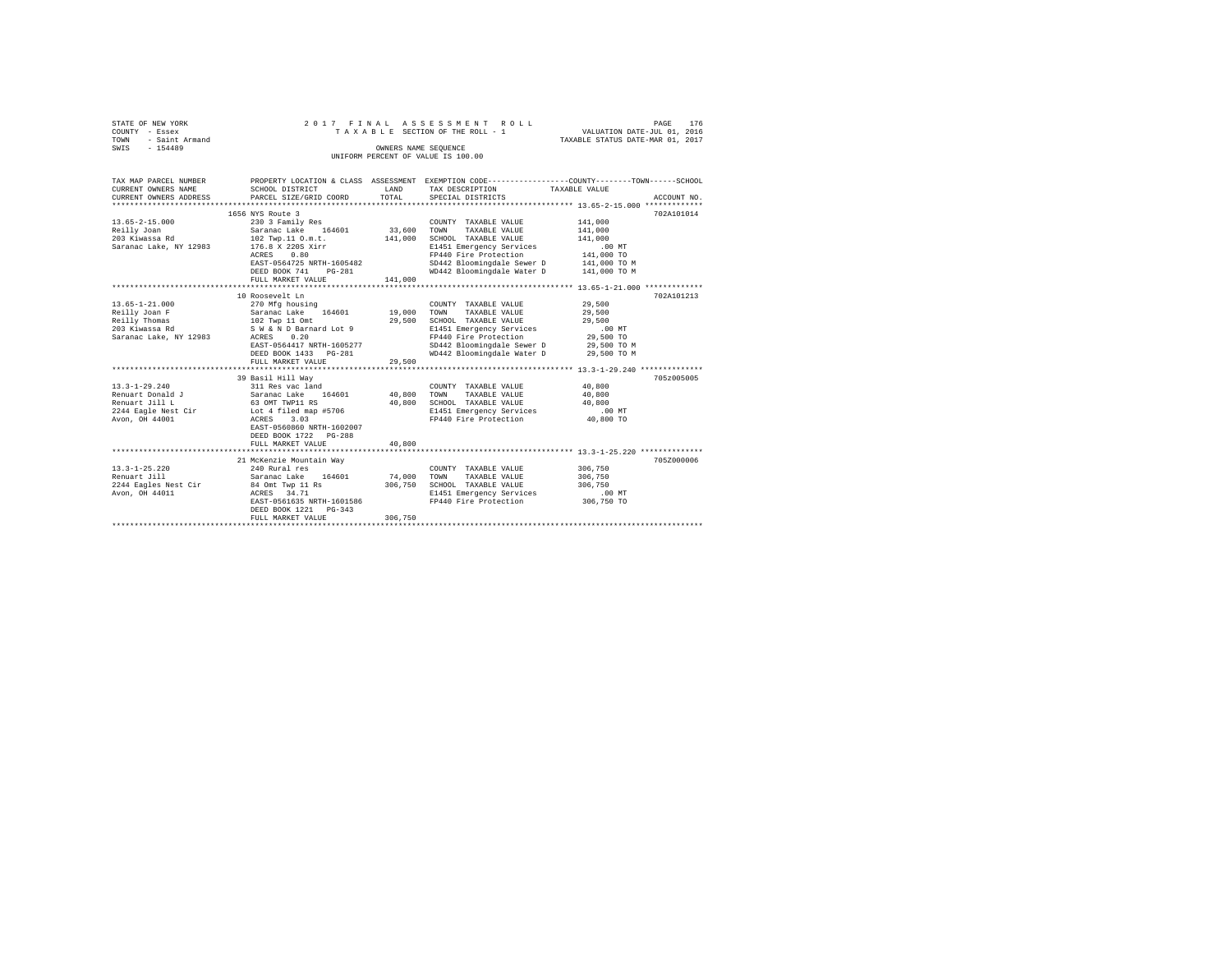| STATE OF NEW YORK      |                                                       |                      | 2017 FINAL ASSESSMENT ROLL                                   |                                  | 176<br>PAGE |
|------------------------|-------------------------------------------------------|----------------------|--------------------------------------------------------------|----------------------------------|-------------|
| COUNTY - Essex         |                                                       |                      | TAXABLE SECTION OF THE ROLL - 1                              | VALUATION DATE-JUL 01, 2016      |             |
| - Saint Armand<br>TOWN |                                                       |                      |                                                              | TAXABLE STATUS DATE-MAR 01, 2017 |             |
| SWTS<br>$-154489$      |                                                       | OWNERS NAME SEOUENCE |                                                              |                                  |             |
|                        |                                                       |                      | UNIFORM PERCENT OF VALUE IS 100.00                           |                                  |             |
|                        |                                                       |                      |                                                              |                                  |             |
|                        |                                                       |                      |                                                              |                                  |             |
| TAX MAP PARCEL NUMBER  | PROPERTY LOCATION & CLASS                             | ASSESSMENT           | EXEMPTION CODE-----------------COUNTY-------TOWN------SCHOOL |                                  |             |
| CURRENT OWNERS NAME    | SCHOOL DISTRICT                                       | LAND                 | TAX DESCRIPTION                                              | TAXABLE VALUE                    |             |
|                        | CURRENT OWNERS ADDRESS . PARCEL SIZE/GRID COORD TOTAL |                      | SPECIAL DISTRICTS                                            |                                  | ACCOUNT NO. |
|                        |                                                       |                      |                                                              |                                  |             |
|                        | 1656 NYS Route 3                                      |                      |                                                              |                                  | 702A101014  |
| $13.65 - 2 - 15.000$   | 230 3 Family Res                                      |                      | TAXABLE VALUE<br>COUNTY                                      | 141,000                          |             |
| Reilly Joan            | Saranac Lake 164601                                   | 33,600               | TOWN<br>TAXABLE VALUE                                        | 141,000                          |             |
| 203 Kiwassa Rd         | 102 Twp.11 O.m.t.                                     | 141,000              | SCHOOL TAXABLE VALUE                                         | 141,000                          |             |
|                        |                                                       |                      |                                                              |                                  |             |

| Saranac Lake, NY 12983 | 176.8 X 220S Xirr         |         | E1451 Emergency Services   | .00MT        |
|------------------------|---------------------------|---------|----------------------------|--------------|
|                        | 0.80<br>ACRES             |         | FP440 Fire Protection      | 141,000 TO   |
|                        | EAST-0564725 NRTH-1605482 |         | SD442 Bloomingdale Sewer D | 141,000 TO M |
|                        | DEED BOOK 741 PG-281      |         | WD442 Bloomingdale Water D | 141,000 TO M |
|                        | FULL MARKET VALUE         | 141,000 |                            |              |
|                        |                           |         |                            |              |
|                        | 10 Roosevelt Ln           |         |                            | 702A101213   |
| $13.65 - 1 - 21.000$   | 270 Mfg housing           |         | COUNTY TAXABLE VALUE       | 29,500       |
| Reilly Joan F          | 164601<br>Saranac Lake    | 19,000  | TOWN<br>TAXABLE VALUE      | 29,500       |
| Reilly Thomas          | 102 Twp 11 Omt            | 29,500  | SCHOOL TAXABLE VALUE       | 29,500       |
| 203 Kiwassa Rd         | S W & N D Barnard Lot 9   |         | E1451 Emergency Services   | $.00$ MT     |
| Saranac Lake, NY 12983 | ACRES<br>0.20             |         | FP440 Fire Protection      | 29,500 TO    |
|                        | EAST-0564417 NRTH-1605277 |         | SD442 Bloomingdale Sewer D | 29,500 TO M  |
|                        | DEED BOOK 1433 PG-281     |         | WD442 Bloomingdale Water D | 29,500 TO M  |
|                        | FULL MARKET VALUE         | 29,500  |                            |              |
|                        |                           |         |                            |              |
|                        | 39 Basil Hill Wav         |         |                            | 705z005005   |
| $13.3 - 1 - 29.240$    | 311 Res vac land          |         | COUNTY TAXABLE VALUE       | 40,800       |
| Renuart Donald J       | 164601<br>Saranac Lake    | 40,800  | TOWN<br>TAXABLE VALUE      | 40,800       |
| Renuart Jill L         | 63 OMT TWP11 RS           | 40,800  | SCHOOL TAXABLE VALUE       | 40,800       |
| 2244 Eagle Nest Cir    | Lot 4 filed map #5706     |         | E1451 Emergency Services   | $.00$ MT     |
| Avon, OH 44001         | ACRES 3.03                |         | FP440 Fire Protection      | 40,800 TO    |
|                        | EAST-0560860 NRTH-1602007 |         |                            |              |
|                        | DEED BOOK 1722 PG-288     |         |                            |              |
|                        | FULL MARKET VALUE         | 40,800  |                            |              |
|                        |                           |         |                            |              |
|                        | 21 McKenzie Mountain Way  |         |                            | 705Z000006   |
| $13.3 - 1 - 25.220$    | 240 Rural res             |         | COUNTY TAXABLE VALUE       | 306,750      |
| Renuart Jill           | Saranac Lake<br>164601    | 74,000  | TAXABLE VALUE<br>TOWN      | 306,750      |
| 2244 Eagles Nest Cir   | 84 Omt Twp 11 Rs          | 306,750 | SCHOOL TAXABLE VALUE       | 306,750      |
| Avon, OH 44011         | ACRES 34.71               |         | E1451 Emergency Services   | .00 MT       |
|                        | EAST-0561635 NRTH-1601586 |         | FP440 Fire Protection      | 306,750 TO   |
|                        | DEED BOOK 1221 PG-343     |         |                            |              |
|                        | FULL MARKET VALUE         | 306,750 |                            |              |
|                        |                           |         |                            |              |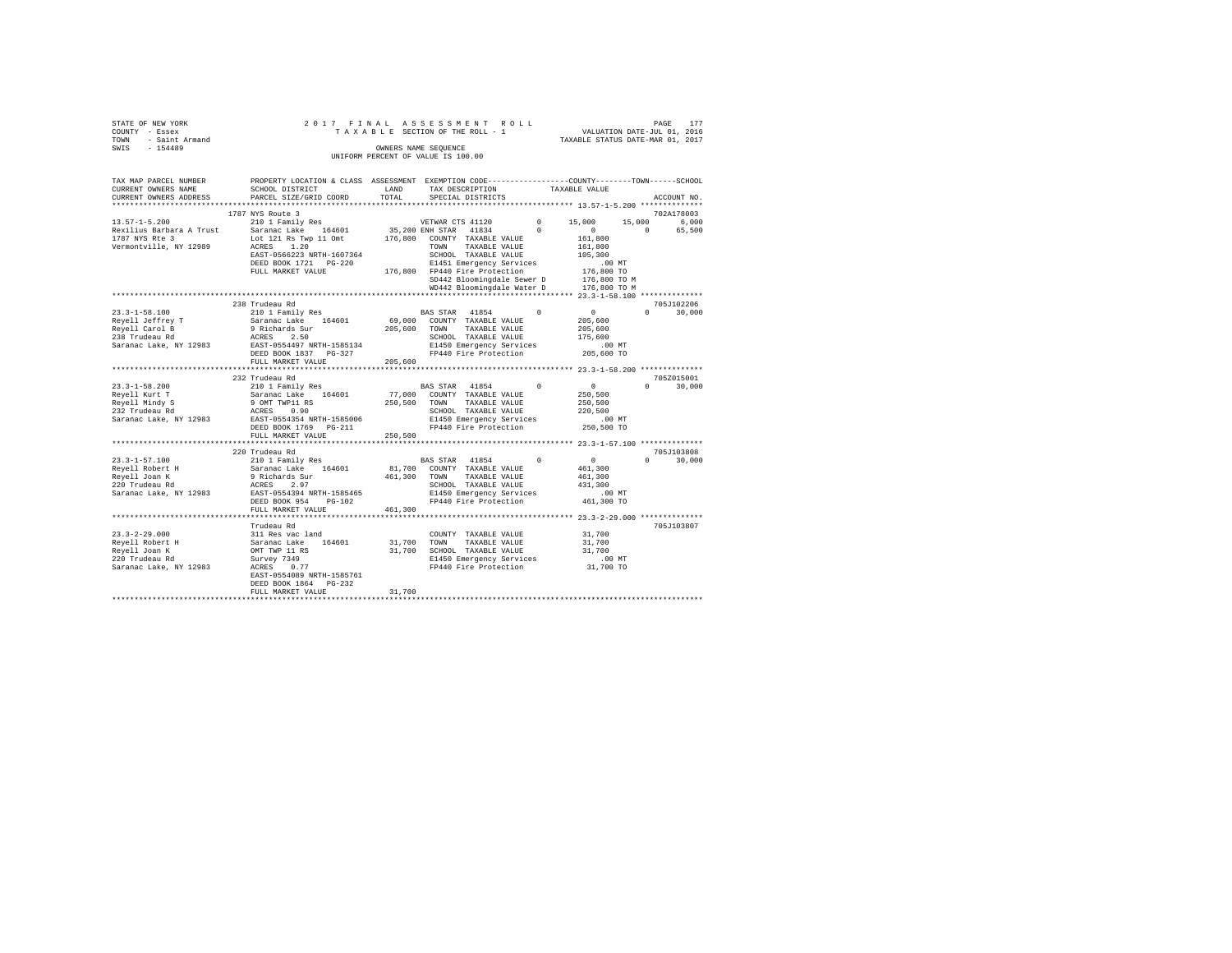| STATE OF NEW YORK      | 2017 FINAL ASSESSMENT ROLL         | 177<br>PAGE                      |  |  |  |  |
|------------------------|------------------------------------|----------------------------------|--|--|--|--|
| COUNTY - Essex         | TAXABLE SECTION OF THE ROLL - 1    | VALUATION DATE-JUL 01, 2016      |  |  |  |  |
| - Saint Armand<br>TOWN |                                    | TAXABLE STATUS DATE-MAR 01, 2017 |  |  |  |  |
| SWIS<br>$-154489$      | OWNERS NAME SEOUENCE               |                                  |  |  |  |  |
|                        | UNIFORM PERCENT OF VALUE IS 100.00 |                                  |  |  |  |  |

| TAX MAP PARCEL NUMBER    | PROPERTY LOCATION & CLASS ASSESSMENT EXEMPTION CODE---------------COUNTY-------TOWN-----SCHOOL |         |                                                                    |               |                  |                                 |
|--------------------------|------------------------------------------------------------------------------------------------|---------|--------------------------------------------------------------------|---------------|------------------|---------------------------------|
| CURRENT OWNERS NAME      | SCHOOL DISTRICT                                                                                | LAND    | TAX DESCRIPTION                                                    | TAXABLE VALUE |                  |                                 |
| CURRENT OWNERS ADDRESS   | PARCEL SIZE/GRID COORD                                                                         | TOTAL   | SPECIAL DISTRICTS                                                  |               |                  | ACCOUNT NO.                     |
|                          |                                                                                                |         |                                                                    |               |                  |                                 |
|                          | 1787 NYS Route 3                                                                               |         |                                                                    |               |                  | 702A178003                      |
| $13.57 - 1 - 5.200$      | 210 1 Family Res                                                                               |         | VETWAR CTS 41120                                                   | $0 \t 15,000$ |                  | 15,000 6,000                    |
| Rexilius Barbara A Trust | Saranac Lake 164601                                                                            |         | 35,200 ENH STAR 41834                                              | $\Omega$      | $\sim$ 0         | $\Omega$<br>65,500              |
| 1787 NYS Rte 3           | Lot 121 Rs Twp 11 Omt                                                                          |         | 176,800 COUNTY TAXABLE VALUE                                       |               | 161,800          |                                 |
| Vermontville, NY 12989   | ACRES 1.20                                                                                     |         | TOWN TAXABLE VALUE                                                 |               | 161,800          |                                 |
|                          | EAST-0566223 NRTH-1607364                                                                      |         | SCHOOL TAXABLE VALUE                                               |               | 105,300          |                                 |
|                          | DEED BOOK 1721    PG-220                                                                       |         | E1451 Emergency Services                                           |               | $.00$ MT         |                                 |
|                          | FULL MARKET VALUE                                                                              |         | E1451 Emergency Services<br>176,800 FP440 Fire Protection          |               | 176,800 TO       |                                 |
|                          |                                                                                                |         | SD442 Bloomingdale Sewer D                                         |               | 176,800 TO M     |                                 |
|                          |                                                                                                |         | WD442 Bloomingdale Water D                                         |               | 176,800 TO M     |                                 |
|                          |                                                                                                |         |                                                                    |               |                  |                                 |
|                          | 238 Trudeau Rd                                                                                 |         |                                                                    |               |                  | 705J102206                      |
| $23.3 - 1 - 58.100$      | 210 1 Family Res                                                                               |         | BAS STAR 41854                                                     | $\mathbf{0}$  | $\overline{0}$   | $\Omega$ and $\Omega$<br>30,000 |
| Reyell Jeffrey T         | Saranac Lake 164601<br>9 Richards Sur<br>ACRES 2.50<br>EAST-0554497 NRTH-1585134               |         | 69.000 COUNTY TAXABLE VALUE                                        |               | 205,600          |                                 |
| Reyell Carol B           |                                                                                                |         | 205,600 TOWN TAXABLE VALUE                                         |               | 205,600          |                                 |
| 238 Trudeau Rd           |                                                                                                |         | SCHOOL TAXABLE VALUE                                               |               | 175,600          |                                 |
| Saranac Lake, NY 12983   |                                                                                                |         | E1450 Emergency Services                                           |               | $.00$ MT         |                                 |
|                          | DEED BOOK 1837 PG-327                                                                          |         | FP440 Fire Protection                                              |               | 205,600 TO       |                                 |
|                          | FULL MARKET VALUE                                                                              | 205,600 |                                                                    |               |                  |                                 |
|                          |                                                                                                |         |                                                                    |               |                  |                                 |
|                          | 232 Trudeau Rd                                                                                 |         |                                                                    |               |                  | 705Z015001                      |
| $23.3 - 1 - 58.200$      | 210 1 Family Res                                                                               |         | BAS STAR 41854 0                                                   |               | $\sim$ 0         | $\Omega$ and $\Omega$<br>30,000 |
| Reyell Kurt T            |                                                                                                |         | 77,000 COUNTY TAXABLE VALUE                                        |               | 250,500          |                                 |
| Reyell Mindy S           | Saranac Lake 164601<br>9 OMT TWP11 RS                                                          |         | 250,500 TOWN TAXABLE VALUE                                         |               | 250,500          |                                 |
| 232 Trudeau Rd           | ACRES 0.90                                                                                     |         | SCHOOL TAXABLE VALUE                                               |               | 220,500          |                                 |
|                          | Saranac Lake, NY 12983 EAST-0554354 NRTH-1585006                                               |         | E1450 Emergency Services                                           |               | $.00$ MT         |                                 |
|                          | DEED BOOK 1769 PG-211                                                                          |         | FP440 Fire Protection                                              |               | 250,500 TO       |                                 |
|                          | FULL MARKET VALUE                                                                              | 250,500 |                                                                    |               |                  |                                 |
|                          |                                                                                                |         |                                                                    |               |                  |                                 |
|                          | 220 Trudeau Rd                                                                                 |         |                                                                    |               |                  | 705J103808                      |
| 23.3-1-57.100            | 210 1 Family Res                                                                               |         | BAS STAR 41854                                                     | $\Omega$      | $\sim$ 0         | $0 \t 30,000$                   |
| Reyell Robert H          |                                                                                                |         | 81,700 COUNTY TAXABLE VALUE                                        |               | 461,300          |                                 |
| Reyell Joan K            |                                                                                                |         | 461,300 TOWN<br>TAXABLE VALUE                                      |               | 461,300          |                                 |
| 220 Trudeau Rd           | Saranac Lake 164601<br>9 Richards Sur<br>ACRES 2.97                                            |         | SCHOOL TAXABLE VALUE                                               |               | 431,300          |                                 |
| Saranac Lake, NY 12983   | EAST-0554394 NRTH-1585465                                                                      |         | E1450 Emergency Services                                           |               | $.00$ MT         |                                 |
|                          | DEED BOOK 954 PG-102                                                                           |         | FP440 Fire Protection                                              |               | 461,300 TO       |                                 |
|                          | FULL MARKET VALUE                                                                              | 461,300 |                                                                    |               |                  |                                 |
|                          |                                                                                                |         |                                                                    |               |                  |                                 |
|                          | Trudeau Rd                                                                                     |         |                                                                    |               |                  | 705J103807                      |
|                          |                                                                                                |         |                                                                    |               | 31,700           |                                 |
| $23.3 - 2 - 29.000$      | 311 Res vac land                                                                               |         | COUNTY TAXABLE VALUE                                               |               |                  |                                 |
| Reyell Robert H          | Saranac Lake 164601<br>OMT TWP 11 RS                                                           | 31,700  | TOWN TAXABLE VALUE                                                 |               | 31,700<br>31,700 |                                 |
| Reyell Joan K            |                                                                                                |         | 31,700 SCHOOL TAXABLE VALUE                                        |               |                  |                                 |
| 220 Trudeau Rd           | Survey 7349                                                                                    |         | E1450 Emergency Services .00 MT<br>FP440 Fire Protection 31,700 TO |               |                  |                                 |
| Saranac Lake, NY 12983   | ACRES 0.77                                                                                     |         |                                                                    |               |                  |                                 |
|                          | EAST-0554089 NRTH-1585761                                                                      |         |                                                                    |               |                  |                                 |
|                          | DEED BOOK 1864 PG-232                                                                          |         |                                                                    |               |                  |                                 |
|                          | FULL MARKET VALUE                                                                              | 31,700  |                                                                    |               |                  |                                 |
|                          |                                                                                                |         |                                                                    |               |                  |                                 |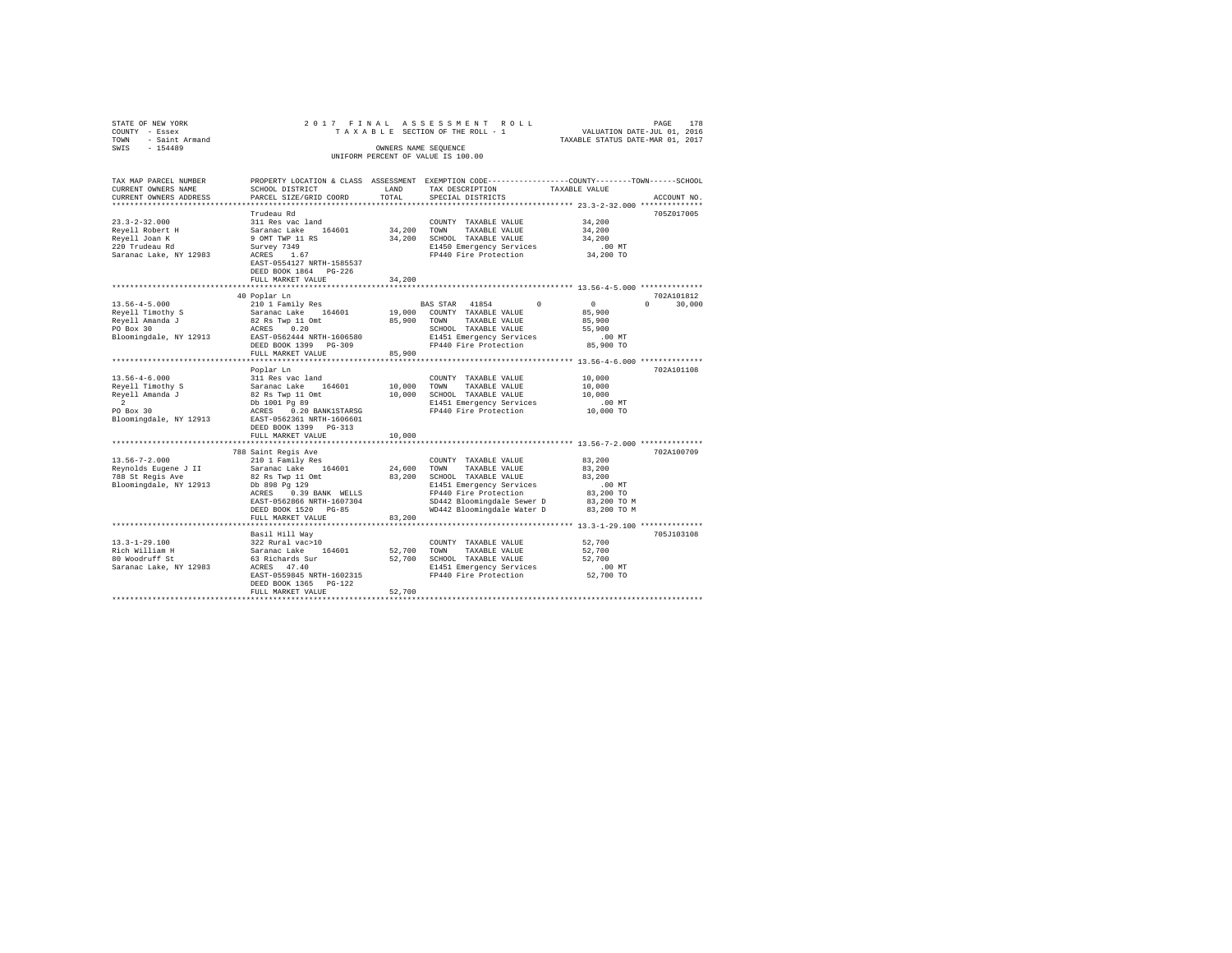| STATE OF NEW YORK<br>COUNTY - Essex | 2017 FINAL                                       |                      | ASSESSMENT ROLL<br>TAXABLE SECTION OF THE ROLL - 1                                              | VALUATION DATE-JUL 01, 2016      | 178<br>PAGE        |
|-------------------------------------|--------------------------------------------------|----------------------|-------------------------------------------------------------------------------------------------|----------------------------------|--------------------|
| - Saint Armand<br>TOWN              |                                                  |                      |                                                                                                 | TAXABLE STATUS DATE-MAR 01, 2017 |                    |
| $-154489$<br>SWIS                   |                                                  | OWNERS NAME SEQUENCE |                                                                                                 |                                  |                    |
|                                     |                                                  |                      | UNIFORM PERCENT OF VALUE IS 100.00                                                              |                                  |                    |
| TAX MAP PARCEL NUMBER               |                                                  |                      | PROPERTY LOCATION & CLASS ASSESSMENT EXEMPTION CODE----------------COUNTY-------TOWN-----SCHOOL |                                  |                    |
| CURRENT OWNERS NAME                 | SCHOOL DISTRICT                                  | LAND                 | TAX DESCRIPTION                                                                                 | TAXABLE VALUE                    |                    |
| CURRENT OWNERS ADDRESS              | PARCEL SIZE/GRID COORD                           | TOTAL                | SPECIAL DISTRICTS                                                                               |                                  | ACCOUNT NO.        |
|                                     | Trudeau Rd                                       |                      |                                                                                                 |                                  | 705Z017005         |
| $23.3 - 2 - 32.000$                 | 311 Res vac land                                 |                      | COUNTY TAXABLE VALUE                                                                            | 34,200                           |                    |
| Reyell Robert H                     | Saranac Lake 164601                              | 34,200 TOWN          | TAXABLE VALUE                                                                                   | 34,200                           |                    |
| Reyell Joan K                       | 9 OMT TWP 11 RS                                  |                      | 34.200 SCHOOL TAXABLE VALUE                                                                     | 34,200                           |                    |
| 220 Trudeau Rd                      | Survey 7349                                      |                      | E1450 Emergency Services                                                                        | $.00$ MT                         |                    |
| Saranac Lake, NY 12983              | ACRES 1.67                                       |                      | FP440 Fire Protection                                                                           | 34,200 TO                        |                    |
|                                     | EAST-0554127 NRTH-1585537                        |                      |                                                                                                 |                                  |                    |
|                                     | DEED BOOK 1864 PG-226                            |                      |                                                                                                 |                                  |                    |
|                                     | FULL MARKET VALUE<br>*************************** | 34,200               |                                                                                                 |                                  |                    |
|                                     | 40 Poplar Ln                                     |                      |                                                                                                 |                                  | 702A101812         |
| $13.56 - 4 - 5.000$                 | 210 1 Family Res                                 |                      | BAS STAR 41854<br>$^{\circ}$                                                                    | $\sim$ 0                         | $\Omega$<br>30,000 |
| Reyell Timothy S                    | Saranac Lake 164601                              | 19,000               | COUNTY TAXABLE VALUE                                                                            | 85,900                           |                    |
| Reyell Amanda J                     | 82 Rs Twp 11 Omt                                 | 85,900               | TAXABLE VALUE<br>TOWN                                                                           | 85,900                           |                    |
| PO Box 30                           | 0.20<br>ACRES                                    |                      | SCHOOL TAXABLE VALUE                                                                            | 55,900                           |                    |
| Bloomingdale, NY 12913              | EAST-0562444 NRTH-1606580                        |                      | E1451 Emergency Services                                                                        | .00 MT                           |                    |
|                                     | DEED BOOK 1399 PG-309                            |                      | FP440 Fire Protection                                                                           | 85,900 TO                        |                    |
|                                     | FULL MARKET VALUE<br>********************        | 85,900               |                                                                                                 |                                  |                    |
|                                     |                                                  |                      | ************************************* 13.56-4-6.000 ***************                             |                                  | 702A101108         |
| $13.56 - 4 - 6.000$                 | Poplar Ln<br>311 Res vac land                    |                      | COUNTY TAXABLE VALUE                                                                            | 10,000                           |                    |
| Reyell Timothy S                    | Saranac Lake 164601                              | 10,000               | TOWN<br>TAXABLE VALUE                                                                           | 10,000                           |                    |
| Reyell Amanda J                     | 82 Rs Twp 11 Omt                                 | 10,000               | SCHOOL TAXABLE VALUE                                                                            | 10,000                           |                    |
| $\overline{2}$                      | Db 1001 Pq 89                                    |                      | E1451 Emergency Services                                                                        | .00 MT                           |                    |
| PO Box 30                           | ACRES 0.20 BANK1STARSG                           |                      | FP440 Fire Protection                                                                           | 10,000 TO                        |                    |
| Bloomingdale, NY 12913              | EAST-0562361 NRTH-1606601                        |                      |                                                                                                 |                                  |                    |
|                                     | DEED BOOK 1399 PG-313                            |                      |                                                                                                 |                                  |                    |
|                                     | FULL MARKET VALUE                                | 10,000               |                                                                                                 |                                  |                    |
|                                     | 788 Saint Regis Ave                              |                      |                                                                                                 |                                  | 702A100709         |
| $13.56 - 7 - 2.000$                 | 210 1 Family Res                                 |                      | COUNTY TAXABLE VALUE                                                                            | 83,200                           |                    |
| Reynolds Eugene J II                | Saranac Lake 164601                              | 24,600               | TOWN<br>TAXABLE VALUE                                                                           | 83,200                           |                    |
| 788 St Regis Ave                    | 82 Rs Twp 11 Omt                                 | 83,200               | SCHOOL TAXABLE VALUE                                                                            | 83,200                           |                    |
| Bloomingdale, NY 12913              | Db 898 Pg 129                                    |                      | E1451 Emergency Services                                                                        | .00MT                            |                    |
|                                     | ACRES 0.39 BANK WELLS                            |                      | FP440 Fire Protection                                                                           | 83,200 TO                        |                    |
|                                     | EAST-0562866 NRTH-1607304                        |                      | SD442 Bloomingdale Sewer D                                                                      | 83,200 TO M                      |                    |
|                                     | DEED BOOK 1520 PG-85                             |                      | WD442 Bloomingdale Water D                                                                      | 83,200 TO M                      |                    |
|                                     | FULL MARKET VALUE<br>************************    | 83,200               |                                                                                                 |                                  |                    |
|                                     | Basil Hill Way                                   |                      |                                                                                                 |                                  | 705J103108         |
| $13.3 - 1 - 29.100$                 | 322 Rural vac>10                                 |                      | COUNTY TAXABLE VALUE                                                                            | 52,700                           |                    |
| Rich William H                      | Saranac Lake 164601                              | 52,700               | TAXABLE VALUE<br>TOWN                                                                           | 52,700                           |                    |
| 80 Woodruff St                      | 63 Richards Sur                                  | 52,700               | SCHOOL TAXABLE VALUE                                                                            | 52,700                           |                    |
| Saranac Lake, NY 12983              | ACRES 47.40                                      |                      | E1451 Emergency Services                                                                        | $.00$ MT                         |                    |
|                                     | EAST-0559845 NRTH-1602315                        |                      | FP440 Fire Protection                                                                           | 52,700 TO                        |                    |
|                                     | DEED BOOK 1365 PG-122                            |                      |                                                                                                 |                                  |                    |
|                                     | FULL MARKET VALUE                                | 52,700               |                                                                                                 |                                  |                    |
|                                     |                                                  |                      |                                                                                                 |                                  |                    |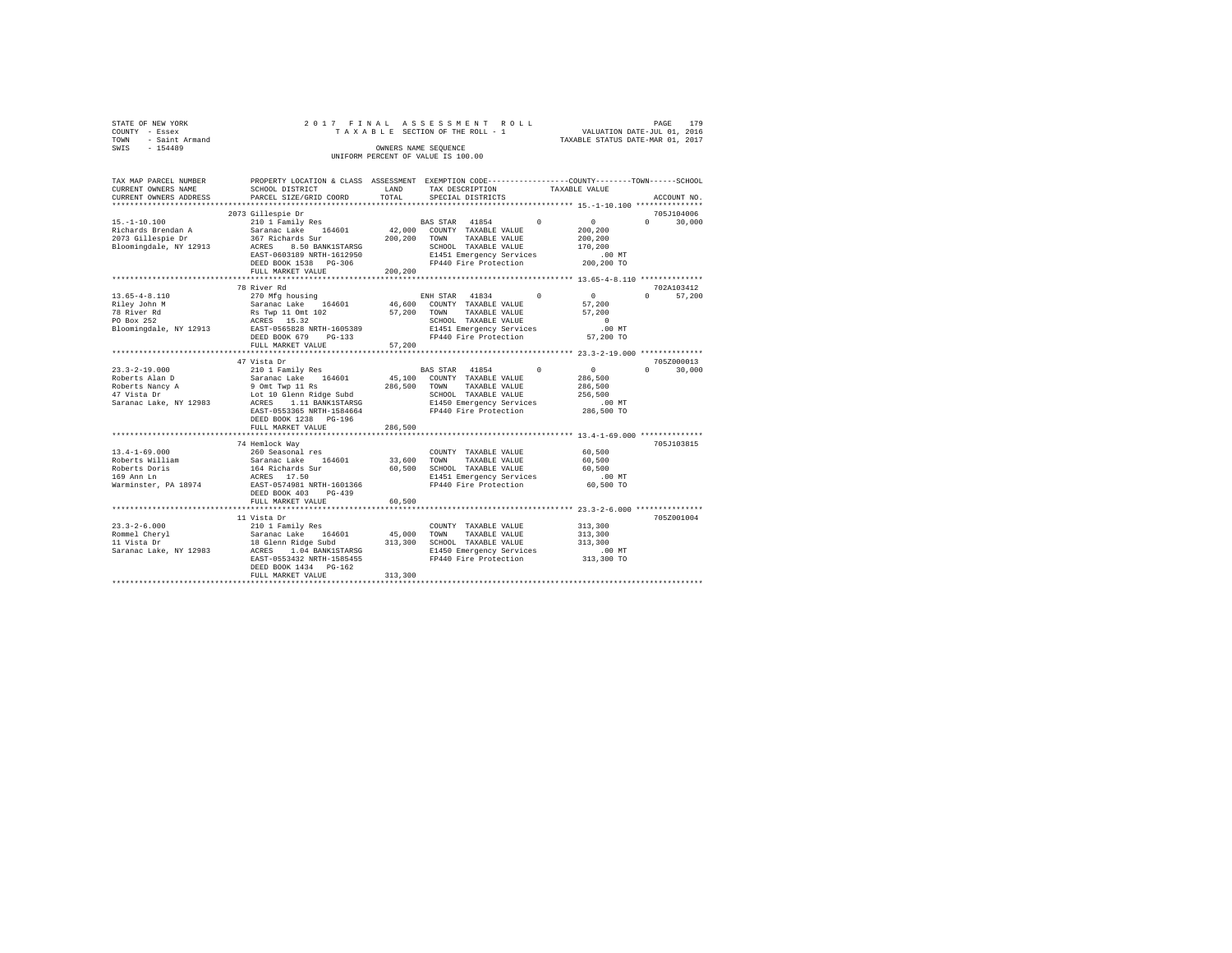| STATE OF NEW YORK   | 2017 FINAL ASSESSMENT ROLL         | 179<br>PAGE                      |
|---------------------|------------------------------------|----------------------------------|
| COUNTY - Essex      | TAXABLE SECTION OF THE ROLL - 1    | VALUATION DATE-JUL 01, 2016      |
| TOWN - Saint Armand |                                    | TAXABLE STATUS DATE-MAR 01, 2017 |
| SWIS<br>$-154489$   | OWNERS NAME SEOUENCE               |                                  |
|                     | UNIFORM PERCENT OF VALUE IS 100.00 |                                  |

| TAX MAP PARCEL NUMBER  | PROPERTY LOCATION & CLASS ASSESSMENT EXEMPTION CODE---------------COUNTY-------TOWN------SCHOOL |             |                                                                     |                                                                   |                                 |
|------------------------|-------------------------------------------------------------------------------------------------|-------------|---------------------------------------------------------------------|-------------------------------------------------------------------|---------------------------------|
| CURRENT OWNERS NAME    | SCHOOL DISTRICT                                                                                 | LAND        | TAX DESCRIPTION                                                     | TAXABLE VALUE                                                     |                                 |
| CURRENT OWNERS ADDRESS | PARCEL SIZE/GRID COORD                                                                          | TOTAL       | SPECIAL DISTRICTS                                                   |                                                                   | ACCOUNT NO.                     |
|                        |                                                                                                 |             |                                                                     |                                                                   |                                 |
|                        | 2073 Gillespie Dr                                                                               |             |                                                                     |                                                                   | 705J104006                      |
| $15. - 1 - 10.100$     | 210 1 Family Res<br>Saranac Lake 164601                                                         |             | BAS STAR 41854 0<br>42,000 COUNTY TAXABLE VALUE                     | $\sim$ 0                                                          | $\Omega$<br>30,000              |
| Richards Brendan A     |                                                                                                 |             |                                                                     | 200,200                                                           |                                 |
| 2073 Gillespie Dr      | 367 Richards Sur 200,200<br>ACRES 8.50 BANK1STARSG                                              |             | TOWN<br>TAXABLE VALUE                                               | 200,200                                                           |                                 |
| Bloomingdale, NY 12913 |                                                                                                 |             | SCHOOL TAXABLE VALUE                                                | 170,200                                                           |                                 |
|                        | EAST-0603189 NRTH-1612950                                                                       |             | E1451 Emergency Services<br>FP440 Fire Protection                   | $.00$ MT                                                          |                                 |
|                        | DEED BOOK 1538 PG-306                                                                           |             |                                                                     | 200,200 TO                                                        |                                 |
|                        | FULL MARKET VALUE                                                                               | 200, 200    |                                                                     |                                                                   |                                 |
|                        |                                                                                                 |             |                                                                     |                                                                   |                                 |
|                        | 78 River Rd                                                                                     |             |                                                                     |                                                                   | 702A103412                      |
| $13.65 - 4 - 8.110$    | 270 Mfg housing                                                                                 |             | ENH STAR 41834                                                      | $\sim$ 0                                                          | $\Omega$ and $\Omega$<br>57,200 |
| Riley John M           |                                                                                                 |             | 46,600 COUNTY TAXABLE VALUE                                         | 57,200                                                            |                                 |
| 78 River Rd            |                                                                                                 | 57,200 TOWN | TAXABLE VALUE                                                       | 57,200                                                            |                                 |
| PO Box 252             | Saranac Lake 164601 46,<br>RS Twp 11 Omt 102 57,<br>ACRES 15.32<br>EAST-0565828 NRTH-1605389    |             | SCHOOL TAXABLE VALUE                                                | $\sim$                                                            |                                 |
| Bloomingdale, NY 12913 |                                                                                                 |             | E1451 Emergency Services 6.00 MT<br>FP440 Fire Protection 57,200 TO |                                                                   |                                 |
|                        | DEED BOOK 679<br>$PG-133$                                                                       |             |                                                                     |                                                                   |                                 |
|                        | FULL MARKET VALUE                                                                               | 57,200      |                                                                     |                                                                   |                                 |
|                        |                                                                                                 |             |                                                                     |                                                                   |                                 |
|                        | 47 Vista Dr                                                                                     |             |                                                                     |                                                                   | 705Z000013                      |
|                        |                                                                                                 |             |                                                                     | $\begin{array}{c}0\\286,500\end{array}$<br>$\Omega$               | $\Omega$<br>30,000              |
|                        |                                                                                                 |             |                                                                     |                                                                   |                                 |
|                        |                                                                                                 |             |                                                                     | 286,500                                                           |                                 |
|                        |                                                                                                 |             |                                                                     | 256,500                                                           |                                 |
|                        | Saranac Lake, NY 12983 ACRES 1.11 BANK1STARSG                                                   |             | E1450 Emergency Services<br>FP440 Fire Protection                   | 00 MT.<br>286,500 TO                                              |                                 |
|                        | EAST-0553365 NRTH-1584664                                                                       |             |                                                                     |                                                                   |                                 |
|                        | DEED BOOK 1238 PG-196                                                                           |             |                                                                     |                                                                   |                                 |
|                        | FULL MARKET VALUE                                                                               | 286,500     |                                                                     |                                                                   |                                 |
|                        | *************************                                                                       |             |                                                                     | ********************************** 13.4-1-69.000 **************** |                                 |
|                        | 74 Hemlock Wav                                                                                  |             |                                                                     |                                                                   | 705J103815                      |
| $13.4 - 1 - 69.000$    |                                                                                                 |             |                                                                     | 60,500                                                            |                                 |
| Roberts William        |                                                                                                 |             |                                                                     | 60,500                                                            |                                 |
| Roberts Doris          |                                                                                                 |             |                                                                     | 60,500                                                            |                                 |
| 169 Ann Ln             |                                                                                                 |             |                                                                     | .00MT                                                             |                                 |
| Warminster, PA 18974   | EAST-0574981 NRTH-1601366 FP440 Fire Protection 60,500 TO                                       |             |                                                                     |                                                                   |                                 |
|                        | DEED BOOK 403 PG-439                                                                            |             |                                                                     |                                                                   |                                 |
|                        | FULL MARKET VALUE                                                                               | 60,500      |                                                                     |                                                                   |                                 |
|                        |                                                                                                 |             |                                                                     |                                                                   |                                 |
|                        | 11 Vista Dr                                                                                     |             |                                                                     |                                                                   | 705Z001004                      |
|                        |                                                                                                 |             | COUNTY TAXABLE VALUE                                                | 313,300                                                           |                                 |
|                        |                                                                                                 |             | 45,000 TOWN TAXABLE VALUE<br>313,300 SCHOOL TAXABLE VALUE           | 313,300                                                           |                                 |
|                        |                                                                                                 |             |                                                                     | 313,300                                                           |                                 |
|                        |                                                                                                 |             | E1450 Emergency Services                                            | .00 MT                                                            |                                 |
|                        |                                                                                                 |             |                                                                     | 313,300 TO                                                        |                                 |
|                        | DEED BOOK 1434 PG-162                                                                           |             |                                                                     |                                                                   |                                 |
|                        | FULL MARKET VALUE                                                                               | 313,300     |                                                                     |                                                                   |                                 |
|                        |                                                                                                 |             |                                                                     |                                                                   |                                 |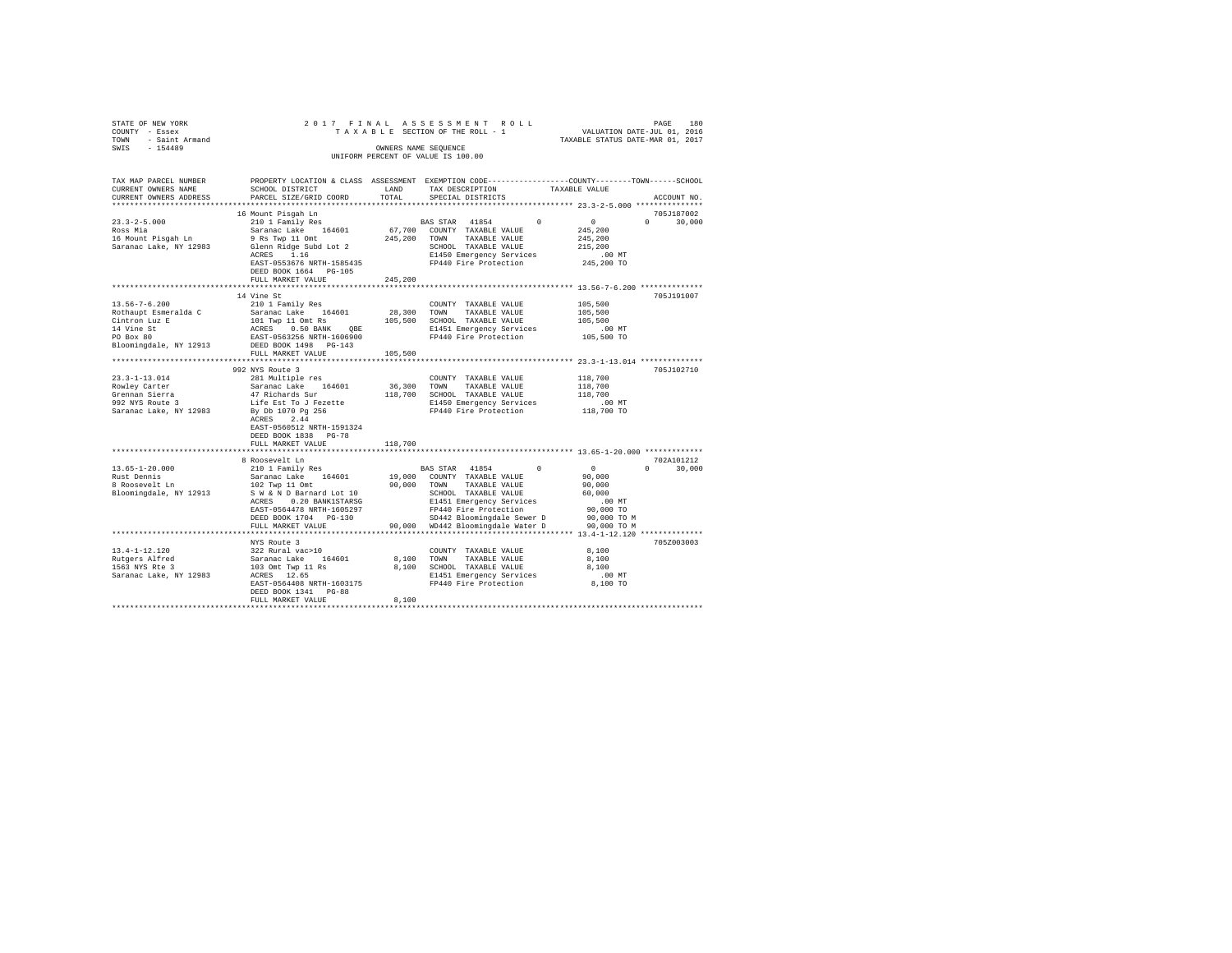| STATE OF NEW YORK                        |                                                                                                                                                      |            | 2017 FINAL ASSESSMENT ROLL                                                                              |                                         |                                  |
|------------------------------------------|------------------------------------------------------------------------------------------------------------------------------------------------------|------------|---------------------------------------------------------------------------------------------------------|-----------------------------------------|----------------------------------|
| COUNTY - Essex                           |                                                                                                                                                      |            | TAXABLE SECTION OF THE ROLL - 1                                                                         | PAGE 180<br>VALUATION DATE-JUL 01, 2016 |                                  |
| TOWN - Saint Armand                      |                                                                                                                                                      |            |                                                                                                         |                                         | TAXABLE STATUS DATE-MAR 01, 2017 |
| SWIS - 154489                            |                                                                                                                                                      |            | OWNERS NAME SEOUENCE                                                                                    |                                         |                                  |
|                                          | UNIFORM PERCENT OF VALUE IS 100.00                                                                                                                   |            |                                                                                                         |                                         |                                  |
|                                          |                                                                                                                                                      |            |                                                                                                         |                                         |                                  |
|                                          |                                                                                                                                                      |            |                                                                                                         |                                         |                                  |
| TAX MAP PARCEL NUMBER                    | PROPERTY LOCATION & CLASS ASSESSMENT EXEMPTION CODE---------------COUNTY-------TOWN------SCHOOL                                                      |            |                                                                                                         |                                         |                                  |
| CURRENT OWNERS NAME                      | SCHOOL DISTRICT                                                                                                                                      | LAND       | TAX DESCRIPTION                                                                                         | TAXABLE VALUE                           |                                  |
| CURRENT OWNERS ADDRESS                   | PARCEL SIZE/GRID COORD                                                                                                                               | TOTAL      | SPECIAL DISTRICTS                                                                                       |                                         | ACCOUNT NO.                      |
|                                          |                                                                                                                                                      |            |                                                                                                         |                                         |                                  |
|                                          | 16 Mount Pisqah Ln                                                                                                                                   |            |                                                                                                         |                                         | 705J187002                       |
| $23.3 - 2 - 5.000$                       | 210 1 Family Res                                                                                                                                     |            | BAS STAR 41854 0 0                                                                                      |                                         | $0 \t 30.000$                    |
| Ross Mia                                 | Saranac Lake 164601                                                                                                                                  |            | 67,700 COUNTY TAXABLE VALUE                                                                             | 245,200                                 |                                  |
| 16 Mount Pisgah Ln                       | 9 Rs Twp 11 Omt                                                                                                                                      |            | 245,200 TOWN TAXABLE VALUE                                                                              | 245,200                                 |                                  |
|                                          | Saranac Lake, NY 12983 Glenn Ridge Subd Lot 2                                                                                                        |            |                                                                                                         |                                         |                                  |
|                                          |                                                                                                                                                      |            | SCHOOL TAAABDE<br>E1450 Emergency Services<br>FP440 Fire Protection                                     | 215,200                                 |                                  |
|                                          | ACRES 1.16                                                                                                                                           |            |                                                                                                         | $.00$ MT                                |                                  |
|                                          | EAST-0553676 NRTH-1585435                                                                                                                            |            |                                                                                                         | 245,200 TO                              |                                  |
|                                          | DEED BOOK 1664 PG-105                                                                                                                                |            |                                                                                                         |                                         |                                  |
|                                          | FULL MARKET VALUE                                                                                                                                    | 245,200    |                                                                                                         |                                         |                                  |
|                                          |                                                                                                                                                      |            |                                                                                                         |                                         |                                  |
|                                          | 14 Vine St                                                                                                                                           |            |                                                                                                         |                                         | 705.T191007                      |
| $13.56 - 7 - 6.200$                      | 210 1 Family Res                                                                                                                                     |            | COUNTY TAXABLE VALUE                                                                                    | 105,500                                 |                                  |
| Rothaupt Esmeralda C                     | Saranac Lake 164601                                                                                                                                  | 28,300     | TOWN<br>TAXABLE VALUE                                                                                   | 105,500                                 |                                  |
|                                          | 101 Twp 11 Omt Rs                                                                                                                                    |            | 105,500 SCHOOL TAXABLE VALUE                                                                            | 105,500                                 |                                  |
|                                          |                                                                                                                                                      |            | E1451 Emergency Services                                                                                | $.00$ MT                                |                                  |
| Cintron Luz E<br>14 Vine St<br>PO Box 80 | ACRES 0.50 BANK QBE<br>EAST-0563256 NRTH-1606900                                                                                                     |            | FP440 Fire Protection                                                                                   | 105,500 TO                              |                                  |
|                                          |                                                                                                                                                      |            |                                                                                                         |                                         |                                  |
|                                          | Bloomingdale, NY 12913 DEED BOOK 1498 PG-143                                                                                                         |            |                                                                                                         |                                         |                                  |
|                                          | FULL MARKET VALUE                                                                                                                                    | 105,500    |                                                                                                         |                                         |                                  |
|                                          |                                                                                                                                                      |            | *********************************** 23.3-1-13.014 **************                                        |                                         |                                  |
|                                          | 992 NYS Route 3                                                                                                                                      |            |                                                                                                         |                                         | 705J102710                       |
| $23.3 - 1 - 13.014$                      | 281 Multiple res                                                                                                                                     |            | COUNTY TAXABLE VALUE                                                                                    | 118,700                                 |                                  |
| Rowley Carter                            | Saranac Lake 164601                                                                                                                                  |            | 36,300 TOWN TAXABLE VALUE                                                                               | 118,700                                 |                                  |
| Grennan Sierra                           | 47 Richards Sur                                                                                                                                      |            | 118,700 SCHOOL TAXABLE VALUE                                                                            | 118,700                                 |                                  |
| 992 NYS Route 3                          |                                                                                                                                                      |            | E1450 Emergency Services                                                                                | .00 MT                                  |                                  |
|                                          | 992 NYS Route 3 Life Est To J Fezette<br>Saranac Lake, NY 12983 By Db 1070 Pg 256                                                                    |            | FP440 Fire Protection 118,700 TO                                                                        |                                         |                                  |
|                                          | ACRES 2.44                                                                                                                                           |            |                                                                                                         |                                         |                                  |
|                                          | EAST-0560512 NRTH-1591324                                                                                                                            |            |                                                                                                         |                                         |                                  |
|                                          | DEED BOOK 1838 PG-78                                                                                                                                 |            |                                                                                                         |                                         |                                  |
|                                          | FULL MARKET VALUE                                                                                                                                    | 118,700    |                                                                                                         |                                         |                                  |
|                                          |                                                                                                                                                      |            |                                                                                                         |                                         |                                  |
|                                          |                                                                                                                                                      |            |                                                                                                         |                                         | 702A101212                       |
|                                          | 8 Roosevelt Ln                                                                                                                                       |            |                                                                                                         |                                         |                                  |
| $13.65 - 1 - 20.000$                     | 210 1 Family Res                                                                                                                                     |            | BAS STAR 41854 0                                                                                        | $\sim$ 0                                | $0 \t 30,000$                    |
| Rust Dennis<br>8 Roosevelt Ln            |                                                                                                                                                      |            |                                                                                                         | 90,000                                  |                                  |
|                                          | $\begin{tabular}{lcccccc} Saranac Lake & 164601 & 19,000 & COUNTY TAXABLE VALUE \\ 102 Twop 11 Omt & 90,000 & TOWN & TAXABLE VALUE \\ \end{tabular}$ |            |                                                                                                         | 90,000                                  |                                  |
| Bloomingdale, NY 12913                   | S W & N D Barnard Lot 10                                                                                                                             |            | SCHOOL TAXABLE VALUE<br>E1451 Emergency Services<br>FP440 Fire Protection<br>SD442 Bloomingdale Sewer D | 60,000                                  |                                  |
|                                          | ACRES 0.20 BANK1STARSG                                                                                                                               |            |                                                                                                         | .00MT                                   |                                  |
|                                          | EAST-0564478 NRTH-1605297                                                                                                                            |            |                                                                                                         | 90,000 TO                               |                                  |
|                                          | DEED BOOK 1704 PG-130                                                                                                                                |            | SD442 Bloomingdale Sewer D                                                                              | 90,000 TO M                             |                                  |
|                                          | FULL MARKET VALUE                                                                                                                                    |            | 90,000 WD442 Bloomingdale Water D 90,000 TO M                                                           |                                         |                                  |
|                                          |                                                                                                                                                      |            |                                                                                                         |                                         |                                  |
|                                          | NYS Route 3                                                                                                                                          |            |                                                                                                         |                                         | 705Z003003                       |
| 13.4-1-12.120                            | 322 Rural vac>10                                                                                                                                     |            | COUNTY TAXABLE VALUE                                                                                    | 8,100                                   |                                  |
|                                          | Saranac Lake 164601                                                                                                                                  | 8,100 TOWN | TAXABLE VALUE                                                                                           | 8,100                                   |                                  |
| Rutgers Alfred<br>1563 NYS Rte 3         |                                                                                                                                                      |            | 8,100 SCHOOL TAXABLE VALUE                                                                              | 8,100                                   |                                  |
|                                          | 103 Omt Twp 11 Rs<br>ACRES 12.65                                                                                                                     |            |                                                                                                         |                                         |                                  |
| Saranac Lake, NY 12983                   |                                                                                                                                                      |            | E1451 Emergency Services                                                                                | $.00$ MT                                |                                  |
|                                          | EAST-0564408 NRTH-1603175                                                                                                                            |            | FP440 Fire Protection                                                                                   | 8,100 TO                                |                                  |
|                                          | DEED BOOK 1341 PG-88                                                                                                                                 |            |                                                                                                         |                                         |                                  |
|                                          | FULL MARKET VALUE                                                                                                                                    | 8.100      |                                                                                                         |                                         |                                  |
|                                          |                                                                                                                                                      |            |                                                                                                         |                                         |                                  |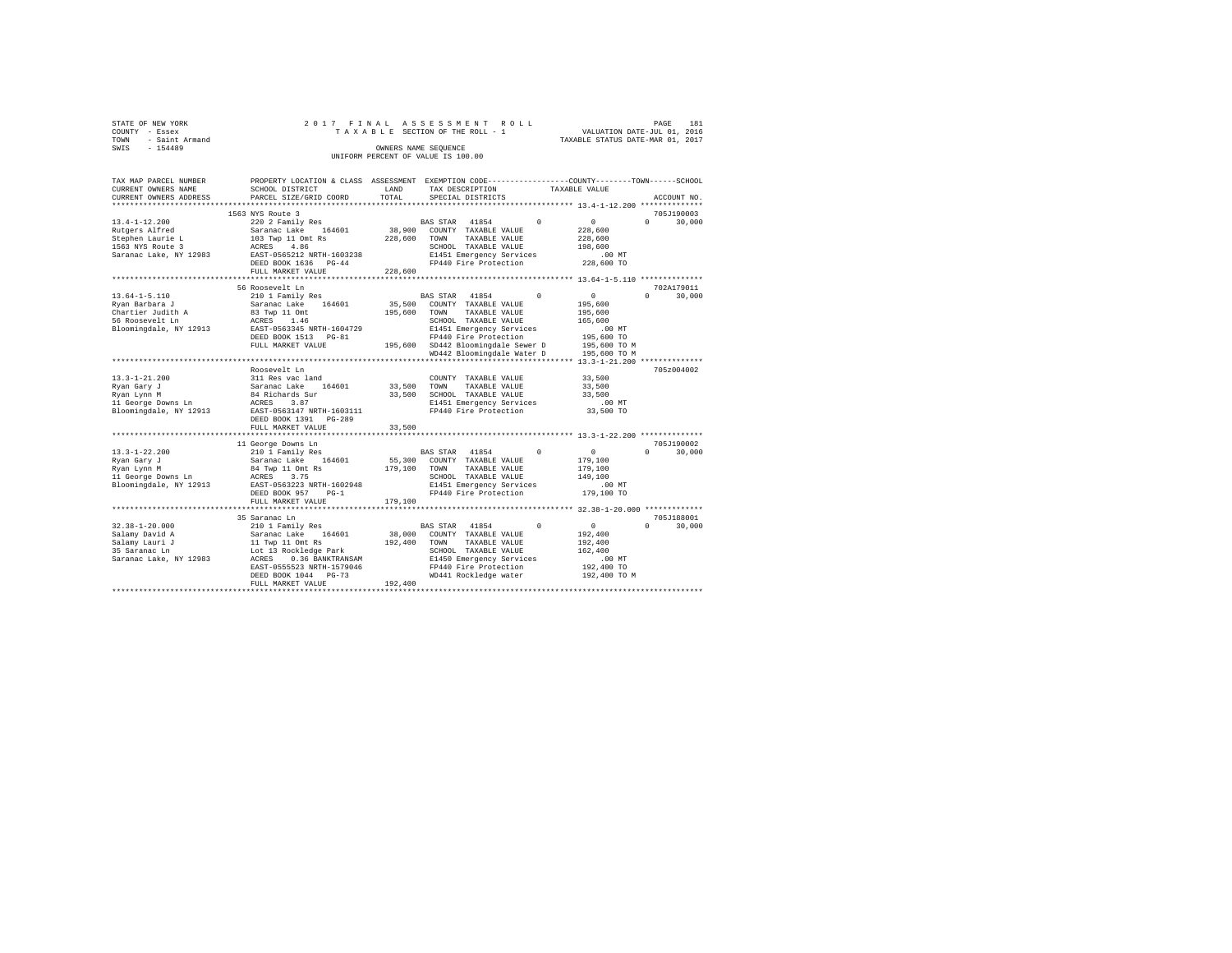|      | STATE OF NEW YORK |  |  |  | 2017 FINAL ASSESSMENT ROLL         |  |                                  | PAGE | 181 |
|------|-------------------|--|--|--|------------------------------------|--|----------------------------------|------|-----|
|      | COUNTY - Essex    |  |  |  | TAXABLE SECTION OF THE ROLL - 1    |  | VALUATION DATE-JUL 01, 2016      |      |     |
| TOWN | - Saint Armand    |  |  |  |                                    |  | TAXABLE STATUS DATE-MAR 01, 2017 |      |     |
| SWIS | $-154489$         |  |  |  | OWNERS NAME SEOUENCE               |  |                                  |      |     |
|      |                   |  |  |  | UNIFORM PERCENT OF VALUE IS 100.00 |  |                                  |      |     |

| TAX MAP PARCEL NUMBER<br>CURRENT OWNERS NAME<br>CURRENT OWNERS ADDRESS | PROPERTY LOCATION & CLASS ASSESSMENT<br>SCHOOL DISTRICT<br>PARCEL SIZE/GRID COORD | LAND<br>TOTAL     | EXEMPTION CODE----------------COUNTY-------TOWN------SCHOOL<br>TAX DESCRIPTION<br>SPECIAL DISTRICTS | TAXABLE VALUE<br>ACCOUNT NO.  |
|------------------------------------------------------------------------|-----------------------------------------------------------------------------------|-------------------|-----------------------------------------------------------------------------------------------------|-------------------------------|
| *********************                                                  | *****************************                                                     |                   |                                                                                                     |                               |
|                                                                        | 1563 NYS Route 3                                                                  |                   |                                                                                                     | 705J190003                    |
| $13.4 - 1 - 12.200$                                                    | 220 2 Family Res                                                                  |                   | $\Omega$<br><b>BAS STAR</b><br>41854                                                                | $\circ$<br>$\Omega$<br>30,000 |
| Rutgers Alfred                                                         | Saranac Lake<br>164601                                                            | 38,900            | COUNTY TAXABLE VALUE                                                                                | 228,600                       |
| Stephen Laurie L                                                       | 103 Twp 11 Omt Rs                                                                 | 228,600           | TOWN<br>TAXABLE VALUE                                                                               | 228,600                       |
| 1563 NYS Route 3                                                       | ACRES<br>4.86                                                                     |                   | SCHOOL TAXABLE VALUE                                                                                | 198,600                       |
| Saranac Lake, NY 12983                                                 | EAST-0565212 NRTH-1603238                                                         |                   | E1451 Emergency Services                                                                            | $.00$ MT                      |
|                                                                        | DEED BOOK 1636 PG-44                                                              |                   | FP440 Fire Protection                                                                               | 228,600 TO                    |
|                                                                        | FULL MARKET VALUE                                                                 | 228,600           |                                                                                                     |                               |
|                                                                        |                                                                                   |                   |                                                                                                     |                               |
|                                                                        | 56 Roosevelt Ln                                                                   |                   |                                                                                                     | 702A179011                    |
| $13.64 - 1 - 5.110$                                                    | 210 1 Family Res                                                                  |                   | 41854<br><b>BAS STAR</b>                                                                            | $\circ$<br>$\Omega$<br>30,000 |
| Ryan Barbara J                                                         | 164601<br>Saranac Lake                                                            | 35,500            | COUNTY TAXABLE VALUE                                                                                | 195,600                       |
| Chartier Judith A                                                      | 83 Twp 11 Omt                                                                     | 195,600           | TAXABLE VALUE<br>TOWN                                                                               | 195,600                       |
| 56 Roosevelt Ln                                                        | 1.46<br>ACRES                                                                     |                   | SCHOOL TAXABLE VALUE                                                                                | 165,600                       |
| Bloomingdale, NY 12913                                                 | EAST-0563345 NRTH-1604729                                                         |                   | E1451 Emergency Services                                                                            | .00MT                         |
|                                                                        | DEED BOOK 1513 PG-81                                                              |                   | FP440 Fire Protection                                                                               | 195,600 TO                    |
|                                                                        | FULL MARKET VALUE                                                                 |                   | 195,600 SD442 Bloomingdale Sewer D                                                                  | 195,600 TO M                  |
|                                                                        |                                                                                   |                   | WD442 Bloomingdale Water D                                                                          | 195,600 TO M                  |
|                                                                        |                                                                                   |                   |                                                                                                     | $13.3 - 1 - 21.200$ **        |
|                                                                        | Roosevelt Ln                                                                      |                   |                                                                                                     | 705z004002                    |
| $13.3 - 1 - 21.200$                                                    | 311 Res vac land                                                                  |                   | COUNTY TAXABLE VALUE                                                                                | 33,500                        |
| Ryan Gary J                                                            | Saranac Lake<br>164601                                                            | 33,500            | TOWN<br>TAXABLE VALUE                                                                               | 33,500                        |
| Ryan Lynn M                                                            | 84 Richards Sur                                                                   | 33,500            | SCHOOL TAXABLE VALUE                                                                                | 33,500                        |
| 11 George Downs Ln                                                     | 3.87<br>ACRES                                                                     |                   | E1451 Emergency Services                                                                            | $.00$ MT                      |
| Bloomingdale, NY 12913                                                 | EAST-0563147 NRTH-1603111                                                         |                   | FP440 Fire Protection                                                                               | 33,500 TO                     |
|                                                                        | DEED BOOK 1391<br>$PG-289$                                                        |                   |                                                                                                     |                               |
|                                                                        | FULL MARKET VALUE                                                                 | 33,500            |                                                                                                     |                               |
|                                                                        |                                                                                   |                   |                                                                                                     |                               |
|                                                                        | 11 George Downs Ln                                                                |                   |                                                                                                     | 705J190002                    |
| $13.3 - 1 - 22.200$                                                    | 210 1 Family Res                                                                  |                   | 41854<br><b>BAS STAR</b><br>$\Omega$                                                                | $\circ$<br>$\Omega$<br>30,000 |
| Ryan Gary J                                                            | Saranac Lake<br>164601                                                            | 55,300            | COUNTY TAXABLE VALUE                                                                                | 179,100                       |
| Ryan Lynn M                                                            | 84 Twp 11 Omt Rs                                                                  | 179,100           | TOWN<br>TAXABLE VALUE                                                                               | 179,100                       |
| 11 George Downs Ln                                                     | ACRES<br>3.75                                                                     |                   | SCHOOL TAXABLE VALUE                                                                                | 149,100                       |
| Bloomingdale, NY 12913                                                 | EAST-0563223 NRTH-1602948                                                         |                   | E1451 Emergency Services                                                                            | $.00$ MT                      |
|                                                                        | DEED BOOK 957<br>$PG-1$<br>FULL MARKET VALUE                                      | 179,100           | FP440 Fire Protection                                                                               | 179,100 TO                    |
|                                                                        | ********************                                                              |                   |                                                                                                     |                               |
|                                                                        | 35 Saranac Ln                                                                     |                   |                                                                                                     | 705J188001                    |
| $32.38 - 1 - 20.000$                                                   |                                                                                   |                   | 41854<br>$^{\circ}$                                                                                 | $\circ$<br>$\Omega$<br>30,000 |
|                                                                        | 210 1 Family Res                                                                  |                   | BAS STAR                                                                                            |                               |
| Salamy David A<br>Salamy Lauri J                                       | 164601<br>Saranac Lake<br>11 Twp 11 Omt Rs                                        | 38,000<br>192,400 | COUNTY TAXABLE VALUE<br>TOWN<br>TAXABLE VALUE                                                       | 192,400<br>192,400            |
| 35 Saranac Ln                                                          | Lot 13 Rockledge Park                                                             |                   | SCHOOL TAXABLE VALUE                                                                                | 162,400                       |
| Saranac Lake, NY 12983                                                 | ACRES<br>0.36 BANKTRANSAM                                                         |                   | E1450 Emergency Services                                                                            | .00MT                         |
|                                                                        | EAST-0555523 NRTH-1579046                                                         |                   | FP440 Fire Protection                                                                               | 192,400 TO                    |
|                                                                        | DEED BOOK 1044 PG-73                                                              |                   | WD441 Rockledge water                                                                               | 192,400 TO M                  |
|                                                                        | FULL MARKET VALUE                                                                 | 192,400           |                                                                                                     |                               |
|                                                                        |                                                                                   |                   |                                                                                                     |                               |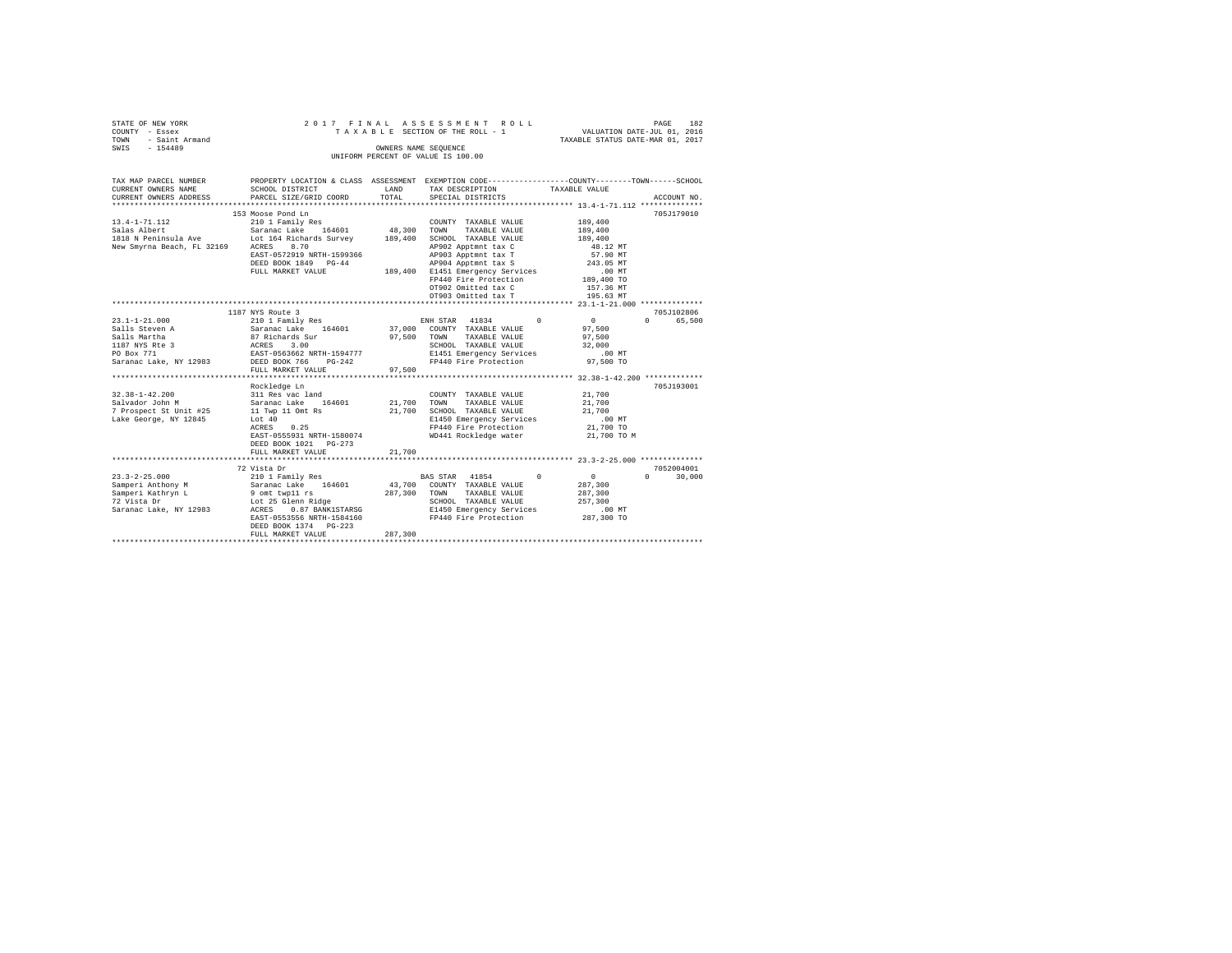| STATE OF NEW YORK<br>COUNTY - Essex<br>TOWN - Saint Armand<br>SWIS - 154489 | 2017 FINAL                                                                                                         |                       | ASSESSMENT ROLL<br>TAXABLE SECTION OF THE ROLL - 1                | PAGE 182<br>VALUATION DATE-JUL 01, 2016<br>TAXABLE STATUS DATE-MAR 01, 2017 |                                 |
|-----------------------------------------------------------------------------|--------------------------------------------------------------------------------------------------------------------|-----------------------|-------------------------------------------------------------------|-----------------------------------------------------------------------------|---------------------------------|
|                                                                             |                                                                                                                    |                       | OWNERS NAME SEOUENCE                                              |                                                                             |                                 |
|                                                                             |                                                                                                                    |                       | UNIFORM PERCENT OF VALUE IS 100.00                                |                                                                             |                                 |
|                                                                             |                                                                                                                    |                       |                                                                   |                                                                             |                                 |
| TAX MAP PARCEL NUMBER<br>CURRENT OWNERS NAME                                | PROPERTY LOCATION & CLASS ASSESSMENT EXEMPTION CODE----------------COUNTY-------TOWN-----SCHOOL<br>SCHOOL DISTRICT | LAND                  | TAX DESCRIPTION                                                   | TAXABLE VALUE                                                               |                                 |
| CURRENT OWNERS ADDRESS                                                      | PARCEL SIZE/GRID COORD                                                                                             | TOTAL                 | SPECIAL DISTRICTS                                                 |                                                                             | ACCOUNT NO.                     |
|                                                                             |                                                                                                                    |                       |                                                                   |                                                                             |                                 |
|                                                                             | 153 Moose Pond Ln                                                                                                  |                       |                                                                   |                                                                             | 705J179010                      |
| $13.4 - 1 - 71.112$                                                         | 210 1 Family Res                                                                                                   |                       | COUNTY TAXABLE VALUE                                              | 189,400                                                                     |                                 |
|                                                                             |                                                                                                                    |                       | TAXABLE VALUE                                                     | 189,400                                                                     |                                 |
|                                                                             |                                                                                                                    |                       | 189,400 SCHOOL TAXABLE VALUE                                      | 189,400                                                                     |                                 |
| New Smyrna Beach, FL 32169 ACRES 8.70                                       |                                                                                                                    |                       | AP902 Apptmnt tax C                                               | 48.12 MT                                                                    |                                 |
|                                                                             | EAST-0572919 NRTH-1599366                                                                                          |                       | $AP903$ Apptmnt tax T                                             | 57.90 MT                                                                    |                                 |
|                                                                             | DEED BOOK 1849 PG-44                                                                                               |                       | AP904 Apptmnt tax S                                               | 243.05 MT                                                                   |                                 |
|                                                                             | FULL MARKET VALUE                                                                                                  |                       | 189,400 E1451 Emergency Services                                  | .00 MT                                                                      |                                 |
|                                                                             |                                                                                                                    |                       | FP440 Fire Protection                                             | 189,400 TO                                                                  |                                 |
|                                                                             |                                                                                                                    |                       | OT902 Omitted tax C                                               | 157.36 MT                                                                   |                                 |
|                                                                             |                                                                                                                    |                       | OT903 Omitted tax T                                               | 195.63 MT                                                                   |                                 |
|                                                                             |                                                                                                                    |                       |                                                                   |                                                                             |                                 |
|                                                                             | 1187 NYS Route 3                                                                                                   |                       |                                                                   |                                                                             | 705J102806                      |
| $23.1 - 1 - 21.000$<br>Salls Steven A                                       | 210 1 Family Res<br>Saranac Lake 164601                                                                            |                       | ENH STAR 41834<br>37,000 COUNTY TAXABLE VALUE<br>ENH STAR 41834 0 | $\begin{array}{c} 0 \\ 97,500 \end{array}$                                  | 0 65,500                        |
| Salls Martha                                                                |                                                                                                                    | 97,500 TOWN           | TAXABLE VALUE                                                     | 97.500                                                                      |                                 |
|                                                                             | 87 Richards Sur<br>ACRES 3.00<br>EAST-0563662 NRTH-1594777                                                         |                       | SCHOOL TAXABLE VALUE                                              | 32,000                                                                      |                                 |
| 1187 NYS Rte 3<br>PO Box 771                                                |                                                                                                                    |                       | E1451 Emergency Services                                          | .00MT                                                                       |                                 |
| Saranac Lake, NY 12983 DEED BOOK 766 PG-242                                 |                                                                                                                    |                       | FP440 Fire Protection                                             | 97,500 TO                                                                   |                                 |
|                                                                             | FULL MARKET VALUE                                                                                                  | 97,500                |                                                                   |                                                                             |                                 |
| ************************                                                    | ************************                                                                                           | ********************* |                                                                   | *********************** 32.38-1-42.200 *************                        |                                 |
|                                                                             | Rockledge Ln                                                                                                       |                       |                                                                   |                                                                             | 705.T193001                     |
| $32.38 - 1 - 42.200$<br>$22.38 - 1 - 42.500$<br>$0.128$                     | 311 Res vac land                                                                                                   |                       | COUNTY TAXABLE VALUE                                              | 21,700                                                                      |                                 |
|                                                                             | Saranac Lake 164601                                                                                                | 21,700 TOWN           | TAXABLE VALUE                                                     | 21,700                                                                      |                                 |
| 7 Prospect St Unit #25                                                      | 11 Twp 11 Omt Rs                                                                                                   |                       | 21,700 SCHOOL TAXABLE VALUE                                       | 21,700                                                                      |                                 |
| Lake George, NY 12845                                                       | Lot 40<br>ACRES 0.25                                                                                               |                       | E1450 Emergency Services                                          | .00 MT                                                                      |                                 |
|                                                                             |                                                                                                                    |                       | FP440 Fire Protection                                             | 21,700 TO                                                                   |                                 |
|                                                                             | EAST-0555931 NRTH-1580074                                                                                          |                       | WD441 Rockledge water                                             | 21,700 TO M                                                                 |                                 |
|                                                                             | DEED BOOK 1021 PG-273                                                                                              |                       |                                                                   |                                                                             |                                 |
|                                                                             | FULL MARKET VALUE                                                                                                  | 21,700                |                                                                   |                                                                             |                                 |
|                                                                             | 72 Vista Dr                                                                                                        |                       |                                                                   |                                                                             | 7052004001                      |
| $23.3 - 2 - 25.000$                                                         | 210 1 Family Res                                                                                                   |                       | BAS STAR 41854 0 0                                                |                                                                             | $\Omega$ and $\Omega$<br>30,000 |
|                                                                             |                                                                                                                    |                       | 43.700 COUNTY TAXABLE VALUE                                       | 287,300                                                                     |                                 |
| Samperi Anthony M Saranac Lake 164601<br>Samperi Kathryn L 9 omt twp11 rs   |                                                                                                                    |                       | 287,300 TOWN TAXABLE VALUE                                        | 287,300                                                                     |                                 |
| 72 Vista Dr                                                                 | Lot 25 Glenn Ridge                                                                                                 |                       | SCHOOL TAXABLE VALUE                                              | 257,300                                                                     |                                 |
| Saranac Lake, NY 12983 ACRES                                                | 0.87 BANK1STARSG                                                                                                   |                       | E1450 Emergency Services                                          | $.00$ MT                                                                    |                                 |
|                                                                             | EAST-0553556 NRTH-1584160                                                                                          |                       | FP440 Fire Protection                                             | 287,300 TO                                                                  |                                 |
|                                                                             | DEED BOOK 1374 PG-223                                                                                              |                       |                                                                   |                                                                             |                                 |
|                                                                             | FULL MARKET VALUE                                                                                                  | 287,300               |                                                                   |                                                                             |                                 |
|                                                                             | ***************************                                                                                        |                       |                                                                   |                                                                             |                                 |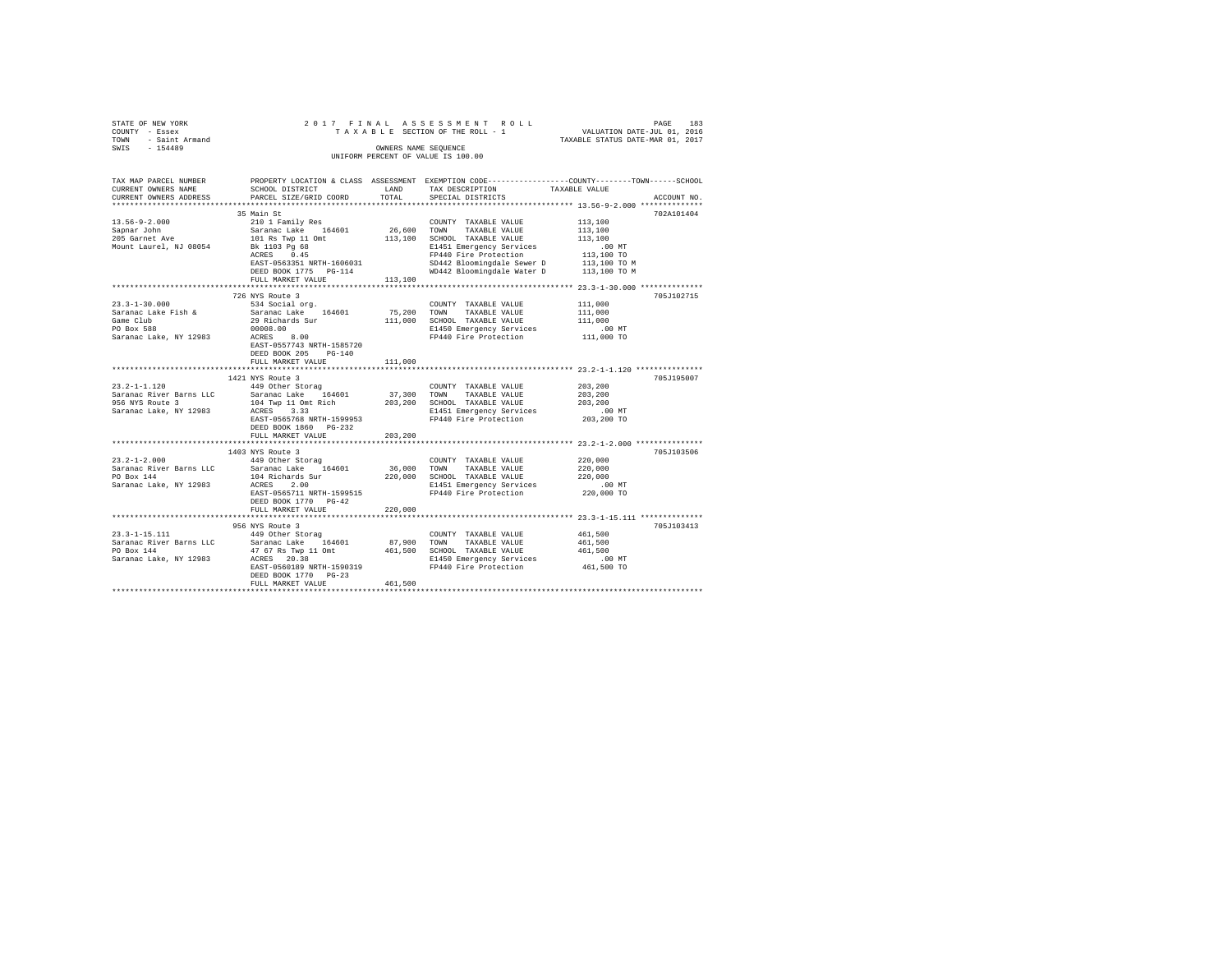|                               |                                                                                                                                                                                                                                                                                                                                                                                                             |         |                               | TAXABLE STATUS DATE-MAR 01, 2017 |             |
|-------------------------------|-------------------------------------------------------------------------------------------------------------------------------------------------------------------------------------------------------------------------------------------------------------------------------------------------------------------------------------------------------------------------------------------------------------|---------|-------------------------------|----------------------------------|-------------|
|                               |                                                                                                                                                                                                                                                                                                                                                                                                             |         | OWNERS NAME SEOUENCE          |                                  |             |
|                               |                                                                                                                                                                                                                                                                                                                                                                                                             |         |                               |                                  |             |
|                               |                                                                                                                                                                                                                                                                                                                                                                                                             |         |                               |                                  |             |
|                               |                                                                                                                                                                                                                                                                                                                                                                                                             |         |                               |                                  |             |
|                               | TAX MAP PARCEL NUMBER PROPERTY LOCATION & CLASS ASSESSMENT EXEMPTION CODE---------------COUNTY-------TOWN------SCHOOL                                                                                                                                                                                                                                                                                       |         |                               |                                  |             |
| CURRENT OWNERS NAME           | SCHOOL DISTRICT LAND                                                                                                                                                                                                                                                                                                                                                                                        |         | TAX DESCRIPTION TAXABLE VALUE |                                  |             |
| CURRENT OWNERS ADDRESS        | PARCEL SIZE/GRID COORD TOTAL                                                                                                                                                                                                                                                                                                                                                                                |         | SPECIAL DISTRICTS             |                                  | ACCOUNT NO. |
|                               |                                                                                                                                                                                                                                                                                                                                                                                                             |         |                               |                                  |             |
|                               | 35 Main St                                                                                                                                                                                                                                                                                                                                                                                                  |         |                               |                                  | 702A101404  |
| $13.56 - 9 - 2.000$           |                                                                                                                                                                                                                                                                                                                                                                                                             |         |                               |                                  |             |
| Sapnar John<br>205 Garnet Ave |                                                                                                                                                                                                                                                                                                                                                                                                             |         |                               |                                  |             |
|                               |                                                                                                                                                                                                                                                                                                                                                                                                             |         |                               |                                  |             |
| Mount Laurel, NJ 08054        |                                                                                                                                                                                                                                                                                                                                                                                                             |         |                               |                                  |             |
|                               |                                                                                                                                                                                                                                                                                                                                                                                                             |         |                               |                                  |             |
|                               |                                                                                                                                                                                                                                                                                                                                                                                                             |         |                               |                                  |             |
|                               |                                                                                                                                                                                                                                                                                                                                                                                                             |         |                               |                                  |             |
|                               |                                                                                                                                                                                                                                                                                                                                                                                                             |         |                               |                                  |             |
|                               | 726 NYS Route 3                                                                                                                                                                                                                                                                                                                                                                                             |         |                               |                                  | 705J102715  |
| $23.3 - 1 - 30.000$           | 534 Social org.                                                                                                                                                                                                                                                                                                                                                                                             |         | COUNTY TAXABLE VALUE          | 111,000                          |             |
|                               | Saranac Lake Fish & Saranac Lake 164601 75,200 TOWN TAXABLE VALUE 111,000<br>Samac Lake Tish & Saranac Lake 164601 75,200 TOWN TAXABLE VALUE 111,000<br>Came Cub 29 Richards Sur<br>29 00008.00 ECHOL TAXABLE VALUE 111,000<br>PO Box                                                                                                                                                                       |         |                               |                                  |             |
|                               |                                                                                                                                                                                                                                                                                                                                                                                                             |         |                               |                                  |             |
|                               |                                                                                                                                                                                                                                                                                                                                                                                                             |         |                               |                                  |             |
|                               |                                                                                                                                                                                                                                                                                                                                                                                                             |         |                               |                                  |             |
|                               | EAST-0557743 NRTH-1585720                                                                                                                                                                                                                                                                                                                                                                                   |         |                               |                                  |             |
|                               | DEED BOOK 205 PG-140                                                                                                                                                                                                                                                                                                                                                                                        |         |                               |                                  |             |
|                               | FULL MARKET VALUE                                                                                                                                                                                                                                                                                                                                                                                           | 111,000 |                               |                                  |             |
|                               |                                                                                                                                                                                                                                                                                                                                                                                                             |         |                               |                                  |             |
|                               | 1421 NYS Route 3                                                                                                                                                                                                                                                                                                                                                                                            |         |                               |                                  | 705J195007  |
|                               |                                                                                                                                                                                                                                                                                                                                                                                                             |         |                               |                                  |             |
|                               |                                                                                                                                                                                                                                                                                                                                                                                                             |         |                               |                                  |             |
|                               |                                                                                                                                                                                                                                                                                                                                                                                                             |         |                               |                                  |             |
|                               |                                                                                                                                                                                                                                                                                                                                                                                                             |         |                               |                                  |             |
|                               | $\begin{tabular}{lllllllllllll} 23.2-1-1.120 & & & 1444\; \text{Nther Storag} & & & 200\text{NRT} & \text{TAABLE VALUE} & 203,200 \\ \text{Sarance River Barnes LLC} & & & & 37,300\; \text{TOMN} & \text{TAXABLE VALUE} & 203,200 \\ \text{Sarance Liver Barnes LLC} & & & 104\; \text{Wup 11 out} & & 203,200\; \text{TOMM} & \text{TAXABLE VALUE} & 203,200 \\ \text{Sf6 NTS Route 3} & & 104\; \text{W$ |         |                               |                                  |             |
|                               | DEED BOOK 1860 PG-232                                                                                                                                                                                                                                                                                                                                                                                       |         |                               |                                  |             |
|                               | FULL MARKET VALUE                                                                                                                                                                                                                                                                                                                                                                                           | 203,200 |                               |                                  |             |
|                               |                                                                                                                                                                                                                                                                                                                                                                                                             |         |                               |                                  |             |
|                               | 1403 NYS Route 3                                                                                                                                                                                                                                                                                                                                                                                            |         |                               |                                  | 705J103506  |
|                               |                                                                                                                                                                                                                                                                                                                                                                                                             |         |                               |                                  |             |
|                               |                                                                                                                                                                                                                                                                                                                                                                                                             |         |                               |                                  |             |
|                               |                                                                                                                                                                                                                                                                                                                                                                                                             |         |                               |                                  |             |
|                               |                                                                                                                                                                                                                                                                                                                                                                                                             |         |                               |                                  |             |
|                               |                                                                                                                                                                                                                                                                                                                                                                                                             |         |                               |                                  |             |
|                               |                                                                                                                                                                                                                                                                                                                                                                                                             |         |                               |                                  |             |
|                               | FULL MARKET VALUE 220,000                                                                                                                                                                                                                                                                                                                                                                                   |         |                               |                                  |             |
|                               |                                                                                                                                                                                                                                                                                                                                                                                                             |         |                               |                                  |             |
|                               | 956 NYS Route 3                                                                                                                                                                                                                                                                                                                                                                                             |         |                               |                                  | 705J103413  |
|                               |                                                                                                                                                                                                                                                                                                                                                                                                             |         |                               |                                  |             |
|                               |                                                                                                                                                                                                                                                                                                                                                                                                             |         |                               |                                  |             |
|                               |                                                                                                                                                                                                                                                                                                                                                                                                             |         |                               |                                  |             |
|                               |                                                                                                                                                                                                                                                                                                                                                                                                             |         |                               |                                  |             |
|                               |                                                                                                                                                                                                                                                                                                                                                                                                             |         |                               |                                  |             |
|                               | FULL MARKET VALUE                                                                                                                                                                                                                                                                                                                                                                                           | 461,500 |                               |                                  |             |
|                               |                                                                                                                                                                                                                                                                                                                                                                                                             |         |                               |                                  |             |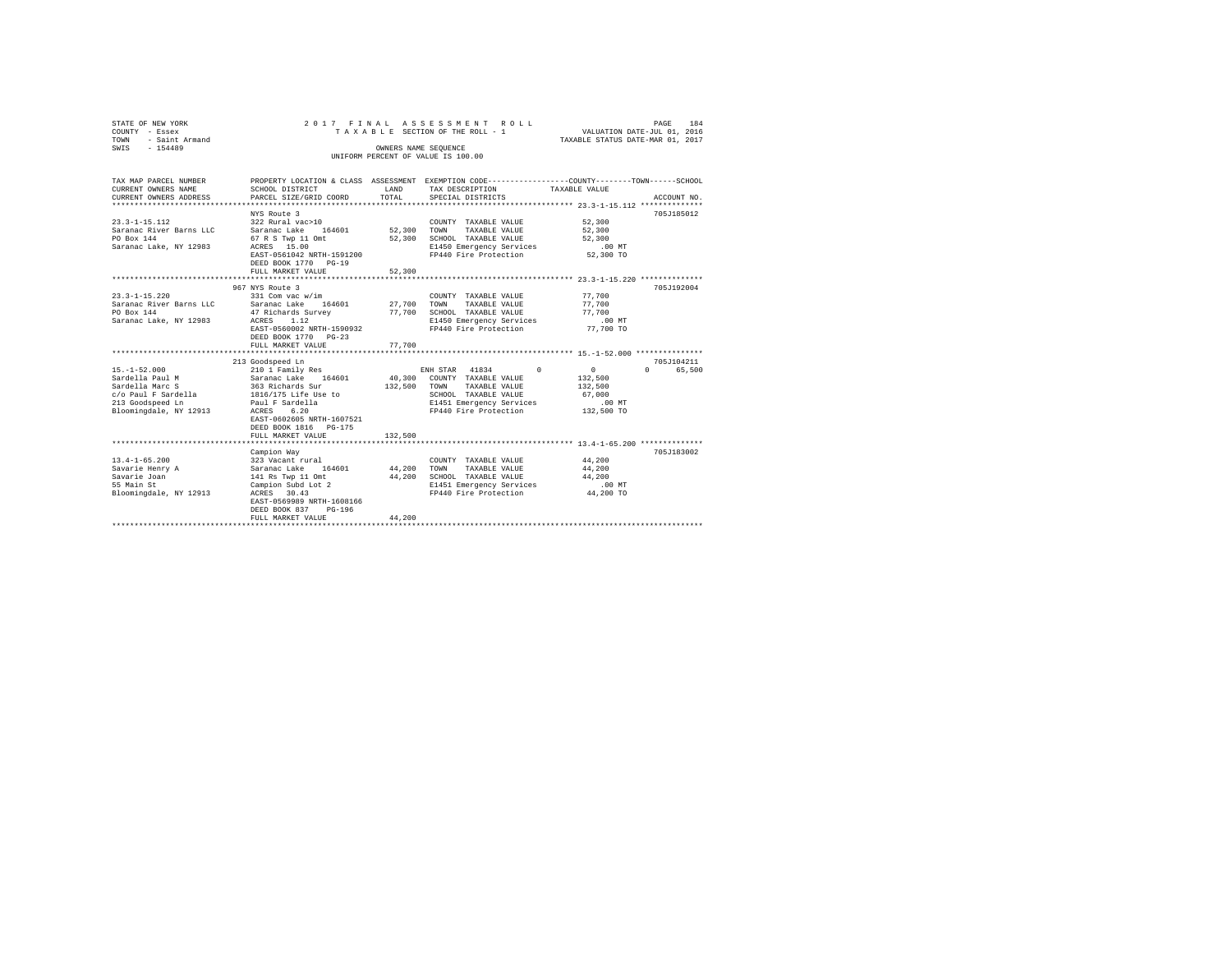| STATE OF NEW YORK<br>COUNTY - Essex<br>TOWN - Saint Armand<br>SWIS - 154489                                                                                                                                               | 2017 FINAL                                                                                                                                                                                                                                                                                                                                                                 | OWNERS NAME SEQUENCE                       | ASSESSMENT ROLL<br>TAXABLE SECTION OF THE ROLL - 1                                                                                                                                                                                                                     | 184<br>PAGE<br>VALUATION DATE-JUL 01, 2016<br>TAXABLE STATUS DATE-MAR 01, 2017                                                                                                                     |
|---------------------------------------------------------------------------------------------------------------------------------------------------------------------------------------------------------------------------|----------------------------------------------------------------------------------------------------------------------------------------------------------------------------------------------------------------------------------------------------------------------------------------------------------------------------------------------------------------------------|--------------------------------------------|------------------------------------------------------------------------------------------------------------------------------------------------------------------------------------------------------------------------------------------------------------------------|----------------------------------------------------------------------------------------------------------------------------------------------------------------------------------------------------|
|                                                                                                                                                                                                                           |                                                                                                                                                                                                                                                                                                                                                                            |                                            | UNIFORM PERCENT OF VALUE IS 100.00                                                                                                                                                                                                                                     |                                                                                                                                                                                                    |
| TAX MAP PARCEL NUMBER<br>CURRENT OWNERS NAME<br>CURRENT OWNERS ADDRESS                                                                                                                                                    | SCHOOL DISTRICT<br>PARCEL SIZE/GRID COORD                                                                                                                                                                                                                                                                                                                                  | LAND<br>TOTAL                              | TAX DESCRIPTION<br>SPECIAL DISTRICTS                                                                                                                                                                                                                                   | PROPERTY LOCATION & CLASS ASSESSMENT EXEMPTION CODE---------------COUNTY-------TOWN------SCHOOL<br>TAXABLE VALUE<br>ACCOUNT NO.                                                                    |
|                                                                                                                                                                                                                           |                                                                                                                                                                                                                                                                                                                                                                            |                                            |                                                                                                                                                                                                                                                                        |                                                                                                                                                                                                    |
| $23.3 - 1 - 15.112$<br>Saranac River Barns LLC<br>PO Box 144<br>Saranac Lake, NY 12983                                                                                                                                    | NYS Route 3<br>322 Rural vac>10<br>Saranac Lake 164601<br>67 R S Twp 11 Omt<br>ACRES 15.00<br>EAST-0561042 NRTH-1591200<br>DEED BOOK 1770 PG-19                                                                                                                                                                                                                            | 52,300<br>52,300                           | COUNTY TAXABLE VALUE<br>TOWN<br>TAXABLE VALUE<br>SCHOOL TAXABLE VALUE<br>E1450 Emergency Services<br>FP440 Fire Protection                                                                                                                                             | 705J185012<br>52,300<br>52,300<br>52,300<br>.00 MT<br>52,300 TO                                                                                                                                    |
|                                                                                                                                                                                                                           | FULL MARKET VALUE                                                                                                                                                                                                                                                                                                                                                          | 52,300                                     |                                                                                                                                                                                                                                                                        |                                                                                                                                                                                                    |
| $23.3 - 1 - 15.220$<br>Saranac River Barns LLC<br>PO Box 144<br>Saranac Lake, NY 12983<br>$15. - 1 - 52.000$<br>Sardella Paul M<br>Sardella Marc S<br>$c/o$ Paul F Sardella<br>213 Goodspeed Ln<br>Bloomingdale, NY 12913 | 967 NYS Route 3<br>331 Com vac w/im<br>Saranac Lake 164601<br>47 Richards Survey<br>ACRES 1.12<br>EAST-0560002 NRTH-1590932<br>DEED BOOK 1770 PG-23<br>FULL MARKET VALUE<br>213 Goodspeed Ln<br>210 1 Family Res<br>Saranac Lake 164601<br>363 Richards Sur<br>1816/175 Life Use to<br>Paul F Sardella<br>ACRES 6.20<br>EAST-0602605 NRTH-1607521<br>DEED BOOK 1816 PG-175 | 27,700<br>77,700<br>77,700<br>132,500 TOWN | COUNTY TAXABLE VALUE<br>TOWN TAXABLE VALUE<br>SCHOOL TAXABLE VALUE<br>E1450 Emergency Services<br>FP440 Fire Protection<br>ENH STAR 41834<br>40,300 COUNTY TAXABLE VALUE<br>TAXABLE VALUE<br>SCHOOL TAXABLE VALUE<br>E1451 Emergency Services<br>FP440 Fire Protection | 705J192004<br>77,700<br>77,700<br>77,700<br>.00 MT<br>77,700 TO<br>705J104211<br>$\Omega$<br>$\sim$ 0<br>$\Omega$ and $\Omega$<br>65,500<br>132,500<br>132,500<br>67,000<br>$.00$ MT<br>132,500 TO |
|                                                                                                                                                                                                                           | FULL MARKET VALUE                                                                                                                                                                                                                                                                                                                                                          | 132,500                                    |                                                                                                                                                                                                                                                                        |                                                                                                                                                                                                    |
| $13.4 - 1 - 65.200$<br>Savarie Henry A<br>Savarie Joan<br>55 Main St<br>Bloomingdale, NY 12913                                                                                                                            | Campion Way<br>323 Vacant rural<br>Saranac Lake 164601<br>141 Rs Twp 11 Omt<br>Campion Subd Lot 2<br>ACRES 30.43<br>EAST-0569989 NRTH-1608166<br>DEED BOOK 837 PG-196<br>FULL MARKET VALUE                                                                                                                                                                                 | 44,200<br>44,200<br>44,200                 | COUNTY TAXABLE VALUE<br>TOWN<br>TAXABLE VALUE<br>SCHOOL TAXABLE VALUE<br>E1451 Emergency Services<br>FP440 Fire Protection                                                                                                                                             | 705.7183002<br>44,200<br>44,200<br>44,200<br>$.00$ MT<br>44,200 TO                                                                                                                                 |
|                                                                                                                                                                                                                           |                                                                                                                                                                                                                                                                                                                                                                            |                                            |                                                                                                                                                                                                                                                                        |                                                                                                                                                                                                    |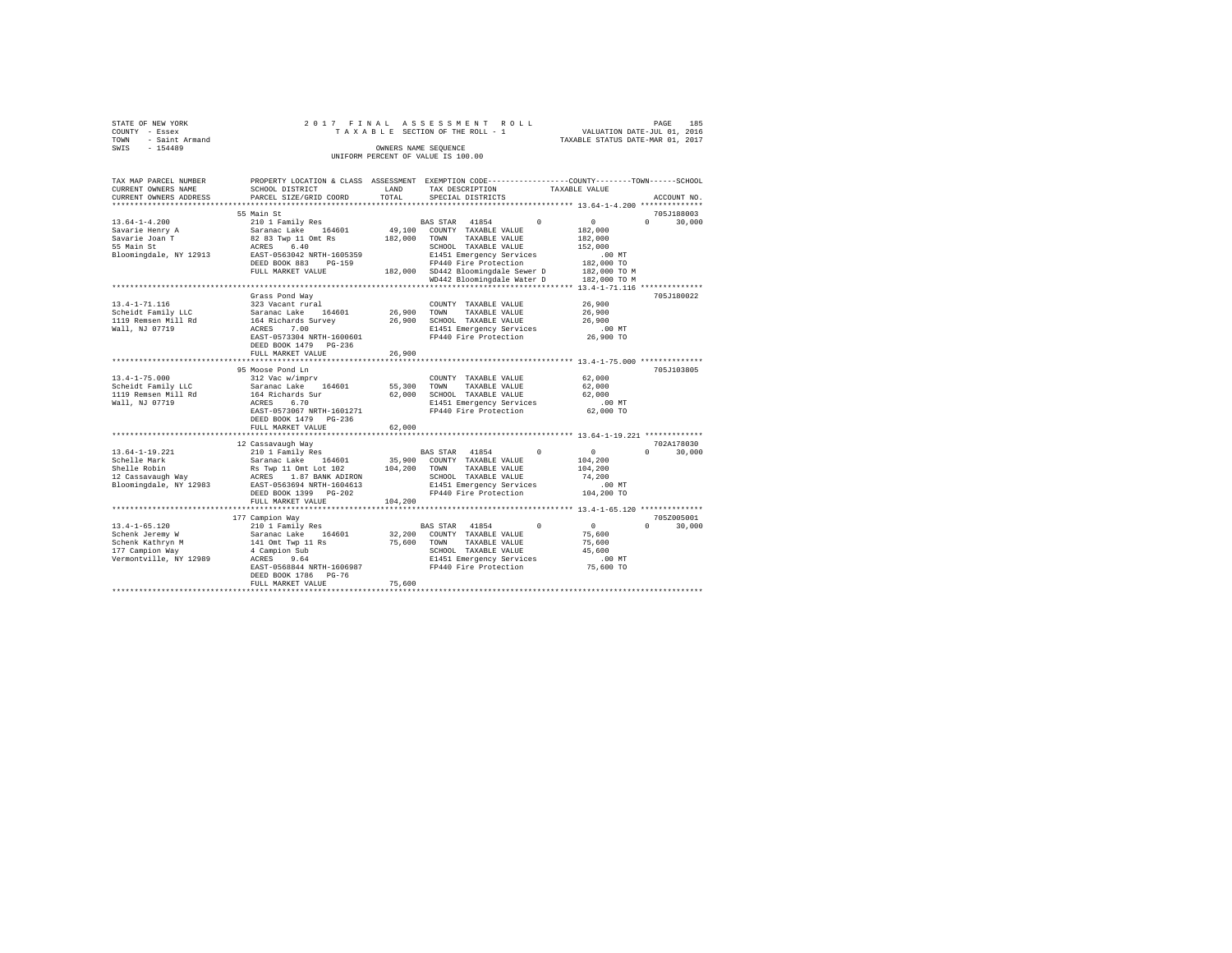|      | STATE OF NEW YORK                  |                      |  |  |  |  |  |  |  | 2017 FINAL ASSESSMENT ROLL      |  |  |  |  |  |  | 185<br>PAGE                      |
|------|------------------------------------|----------------------|--|--|--|--|--|--|--|---------------------------------|--|--|--|--|--|--|----------------------------------|
|      | COUNTY - Essex                     |                      |  |  |  |  |  |  |  | TAXABLE SECTION OF THE ROLL - 1 |  |  |  |  |  |  | VALUATION DATE-JUL 01, 2016      |
| TOWN | - Saint Armand                     |                      |  |  |  |  |  |  |  |                                 |  |  |  |  |  |  | TAXABLE STATUS DATE-MAR 01, 2017 |
| SWIS | $-154489$                          | OWNERS NAME SEOUENCE |  |  |  |  |  |  |  |                                 |  |  |  |  |  |  |                                  |
|      | UNIFORM PERCENT OF VALUE IS 100.00 |                      |  |  |  |  |  |  |  |                                 |  |  |  |  |  |  |                                  |

| TAX MAP PARCEL NUMBER<br>CURRENT OWNERS NAME<br>CURRENT OWNERS ADDRESS                                  | PROPERTY LOCATION & CLASS ASSESSMENT EXEMPTION CODE---------------COUNTY-------TOWN------SCHOOL<br>SCHOOL DISTRICT<br>PARCEL SIZE/GRID COORD                                                      | LAND<br>TOTAL                | TAX DESCRIPTION<br>SPECIAL DISTRICTS                                                                                                                                                                             |          | TAXABLE VALUE                                                                                | ACCOUNT NO.                          |
|---------------------------------------------------------------------------------------------------------|---------------------------------------------------------------------------------------------------------------------------------------------------------------------------------------------------|------------------------------|------------------------------------------------------------------------------------------------------------------------------------------------------------------------------------------------------------------|----------|----------------------------------------------------------------------------------------------|--------------------------------------|
| ***********************                                                                                 | *****************************                                                                                                                                                                     |                              |                                                                                                                                                                                                                  |          |                                                                                              |                                      |
|                                                                                                         | 55 Main St                                                                                                                                                                                        |                              |                                                                                                                                                                                                                  |          |                                                                                              | 705J188003                           |
| $13.64 - 1 - 4.200$<br>Savarie Henry A<br>Savarie Joan T<br>55 Main St<br>Bloomingdale, NY 12913        | 210 1 Family Res<br>Saranac Lake 164601<br>82 83 Twp 11 Omt Rs<br>ACRES 6.40<br>EAST-0563042 NRTH-1605359<br>DEED BOOK 883<br>$PG-159$<br>FULL MARKET VALUE                                       | 49,100<br>182,000            | BAS STAR 41854<br>COUNTY TAXABLE VALUE<br>TOWN<br>TAXABLE VALUE<br>SCHOOL TAXABLE VALUE<br>E1451 Emergency Services<br>FP440 Fire Protection<br>182,000 SD442 Bloomingdale Sewer D<br>WD442 Bloomingdale Water D | $\Omega$ | 0<br>182,000<br>182,000<br>152,000<br>$.00$ MT<br>182,000 TO<br>182,000 TO M<br>182,000 TO M | $\Omega$<br>30,000                   |
|                                                                                                         |                                                                                                                                                                                                   |                              |                                                                                                                                                                                                                  |          |                                                                                              |                                      |
| $13.4 - 1 - 71.116$<br>Scheidt Family LLC<br>1119 Remsen Mill Rd<br>Wall, NJ 07719                      | Grass Pond Way<br>323 Vacant rural<br>Saranac Lake<br>164601<br>164 Richards Survey<br>7.00<br>ACRES<br>EAST-0573304 NRTH-1600601<br>DEED BOOK 1479<br>PG-236<br>FULL MARKET VALUE                | 26,900<br>26,900<br>26,900   | COUNTY TAXABLE VALUE<br>TAXABLE VALUE<br>TOWN<br>SCHOOL TAXABLE VALUE<br>E1451 Emergency Services<br>FP440 Fire Protection                                                                                       |          | 26,900<br>26,900<br>26,900<br>.00 MT<br>26,900 TO                                            | 705J180022                           |
|                                                                                                         | ************************                                                                                                                                                                          | ********                     |                                                                                                                                                                                                                  |          | *********************** 13.4-1-75.000 **************                                         |                                      |
| $13.4 - 1 - 75.000$<br>Scheidt Family LLC<br>1119 Remsen Mill Rd<br>Wall, NJ 07719                      | 95 Moose Pond Ln<br>312 Vac w/imprv<br>Saranac Lake<br>164601<br>164 Richards Sur<br>ACRES<br>6.70<br>EAST-0573067 NRTH-1601271<br>DEED BOOK 1479 PG-236<br>FULL MARKET VALUE                     | 55,300<br>62,000<br>62,000   | COUNTY TAXABLE VALUE<br>TOWN<br>TAXABLE VALUE<br>SCHOOL TAXABLE VALUE<br>E1451 Emergency Services<br>FP440 Fire Protection                                                                                       |          | 62,000<br>62,000<br>62,000<br>$.00$ MT<br>62,000 TO                                          | 705J103805                           |
|                                                                                                         |                                                                                                                                                                                                   |                              | *********************************** 13.64-1-19.221 *************                                                                                                                                                 |          |                                                                                              |                                      |
| 13.64-1-19.221<br>Schelle Mark<br>Shelle Robin<br>12 Cassavaugh Way<br>Bloomingdale, NY 12983           | 12 Cassavaugh Way<br>210 1 Family Res<br>Saranac Lake 164601<br>Rs Twp 11 Omt Lot 102<br>ACRES 1.87 BANK ADIRON<br>EAST-0563694 NRTH-1604613<br>DEED BOOK 1399 PG-202<br>FULL MARKET VALUE        | 35,900<br>104,200<br>104,200 | BAS STAR 41854<br>COUNTY TAXABLE VALUE<br>TOWN<br>TAXABLE VALUE<br>SCHOOL TAXABLE VALUE<br>E1451 Emergency Services<br>FP440 Fire Protection                                                                     | $\Omega$ | $\circ$<br>104,200<br>104,200<br>74,200<br>$.00$ MT<br>104,200 TO                            | 702A178030<br>$\Omega$<br>30,000     |
|                                                                                                         |                                                                                                                                                                                                   |                              |                                                                                                                                                                                                                  |          |                                                                                              |                                      |
| $13.4 - 1 - 65.120$<br>Schenk Jeremy W<br>Schenk Kathryn M<br>177 Campion Way<br>Vermontville, NY 12989 | 177 Campion Way<br>210 1 Family Res<br>Saranac Lake<br>164601<br>141 Omt Twp 11 Rs<br>4 Campion Sub<br>ACRES<br>9.64<br>EAST-0568844 NRTH-1606987<br>DEED BOOK 1786<br>PG-76<br>FULL MARKET VALUE | 32,200<br>75,600<br>75,600   | BAS STAR 41854<br>COUNTY TAXABLE VALUE<br>TOWN<br>TAXABLE VALUE<br>SCHOOL TAXABLE VALUE<br>E1451 Emergency Services<br>FP440 Fire Protection                                                                     | $\Omega$ | $\circ$<br>75,600<br>75,600<br>45,600<br>$.00$ MT<br>75,600 TO                               | 705Z005001<br>$\mathbf{r}$<br>30,000 |
|                                                                                                         |                                                                                                                                                                                                   |                              |                                                                                                                                                                                                                  |          |                                                                                              |                                      |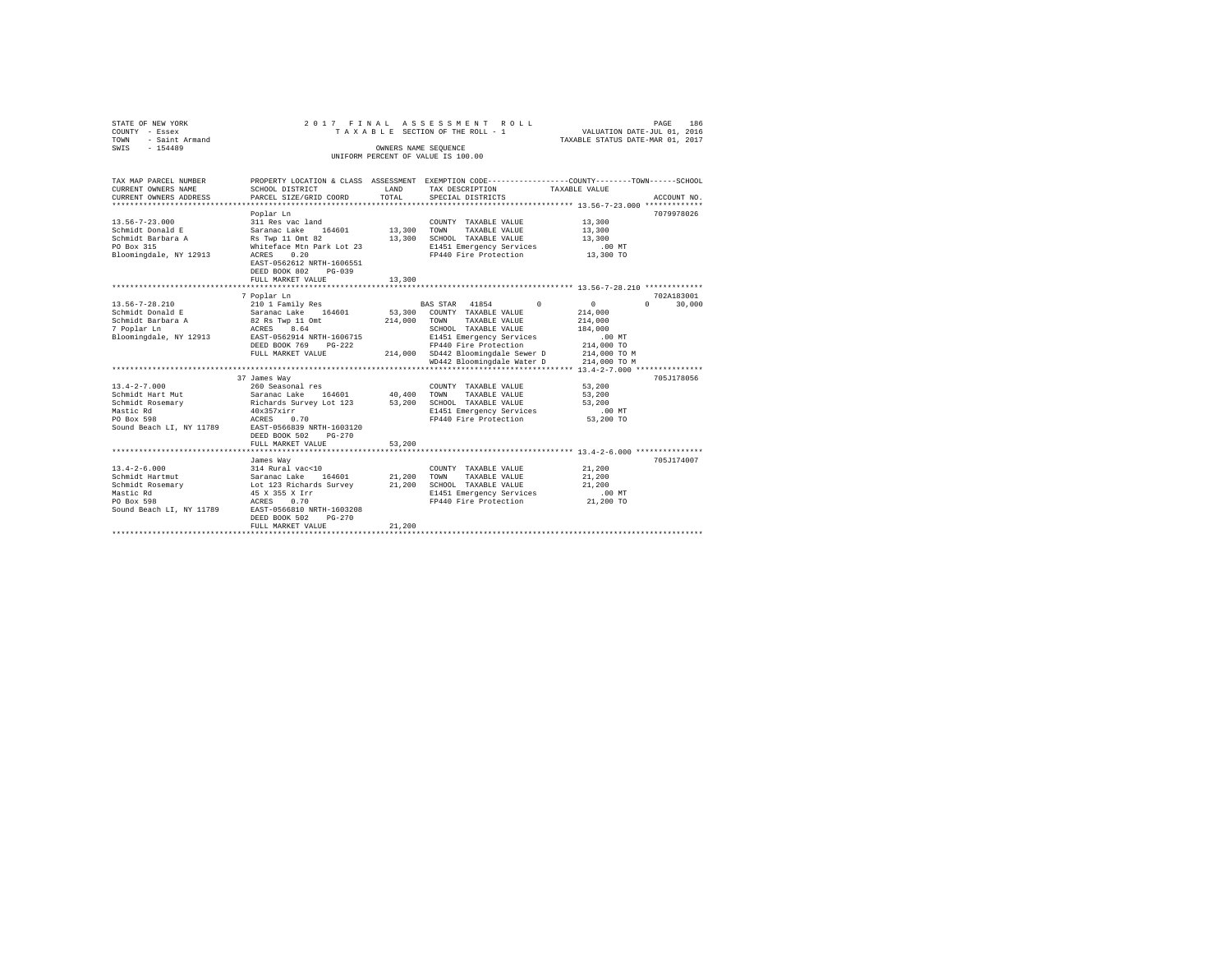| STATE OF NEW YORK<br>COUNTY - Essex                 |                                                                                                |             | 2017 FINAL ASSESSMENT ROLL<br>TAXABLE SECTION OF THE ROLL - 1 | VALUATION DATE-JUL 01, 2016                     | PAGE       | 186         |
|-----------------------------------------------------|------------------------------------------------------------------------------------------------|-------------|---------------------------------------------------------------|-------------------------------------------------|------------|-------------|
| - Saint Armand<br>TOWN                              |                                                                                                |             |                                                               | TAXABLE STATUS DATE-MAR 01, 2017                |            |             |
| SWIS - 154489                                       |                                                                                                |             | OWNERS NAME SEQUENCE<br>UNIFORM PERCENT OF VALUE IS 100.00    |                                                 |            |             |
|                                                     |                                                                                                |             |                                                               |                                                 |            |             |
| TAX MAP PARCEL NUMBER                               | PROPERTY LOCATION & CLASS ASSESSMENT EXEMPTION CODE---------------COUNTY-------TOWN-----SCHOOL |             |                                                               |                                                 |            |             |
| CURRENT OWNERS NAME                                 | SCHOOL DISTRICT                                                                                | LAND        | TAX DESCRIPTION                                               | TAXABLE VALUE                                   |            |             |
| CURRENT OWNERS ADDRESS<br>************************* | PARCEL SIZE/GRID COORD                                                                         | TOTAL       | SPECIAL DISTRICTS                                             |                                                 |            | ACCOUNT NO. |
|                                                     |                                                                                                |             |                                                               |                                                 |            |             |
|                                                     | Poplar Ln                                                                                      |             |                                                               |                                                 | 7079978026 |             |
| $13.56 - 7 - 23.000$                                | 311 Res vac land                                                                               |             | COUNTY TAXABLE VALUE                                          | 13,300                                          |            |             |
| Schmidt Donald E<br>Schmidt Barbara A               | Saranac Lake 164601                                                                            |             | 13,300 TOWN TAXABLE VALUE<br>13,300 SCHOOL TAXABLE VALUE      | 13,300<br>13,300                                |            |             |
| PO Box 315                                          | Rs Twp 11 Omt 82                                                                               |             |                                                               |                                                 |            |             |
|                                                     | Whiteface Mtn Park Lot 23<br>ACRES 0.20                                                        |             | E1451 Emergency Services<br>FP440 Fire Protection             | .00MT                                           |            |             |
| Bloomingdale, NY 12913                              | EAST-0562612 NRTH-1606551<br>DEED BOOK 802<br>PG-039                                           |             |                                                               | 13,300 TO                                       |            |             |
|                                                     | FULL MARKET VALUE                                                                              | 13,300      |                                                               |                                                 |            |             |
|                                                     | 7 Poplar Ln                                                                                    |             |                                                               |                                                 | 702A183001 |             |
| 13.56-7-28.210                                      | 210 1 Family Res                                                                               |             | BAS STAR 41854 0                                              | $\sim$ 0                                        | $\Omega$   | 30,000      |
| Schmidt Donald E                                    | Saranac Lake 164601                                                                            |             | 53,300 COUNTY TAXABLE VALUE                                   |                                                 |            |             |
| Schmidt Barbara A                                   | 82 Rs Twp 11 Omt                                                                               |             | 214,000 TOWN TAXABLE VALUE                                    | 214,000<br>214,000                              |            |             |
| 7 Poplar Ln                                         | ACRES 8.64                                                                                     |             | SCHOOL TAXABLE VALUE                                          | 184,000                                         |            |             |
| Bloomingdale, NY 12913                              | EAST-0562914 NRTH-1606715                                                                      |             | E1451 Emergency Services                                      | $.00$ MT                                        |            |             |
|                                                     | DEED BOOK 769<br>$PG-222$                                                                      |             | FP440 Fire Protection                                         | 214,000 TO                                      |            |             |
|                                                     | FULL MARKET VALUE                                                                              |             | 214,000 SD442 Bloomingdale Sewer D                            | 214,000 TO M                                    |            |             |
|                                                     |                                                                                                |             | WD442 Bloomingdale Water D                                    | 214,000 TO M                                    |            |             |
|                                                     |                                                                                                |             |                                                               | ********************* 13.4-2-7.000 ************ |            |             |
|                                                     | 37 James Way                                                                                   |             |                                                               |                                                 | 705J178056 |             |
| $13.4 - 2 - 7.000$                                  | 260 Seasonal res                                                                               |             | COUNTY TAXABLE VALUE                                          | 53,200                                          |            |             |
| Schmidt Hart Mut                                    | Saranac Lake 164601                                                                            | 40,400 TOWN | TAXABLE VALUE                                                 | 53,200                                          |            |             |
| Schmidt Rosemarv                                    | Richards Survey Lot 123                                                                        |             | 53,200 SCHOOL TAXABLE VALUE                                   | 53,200                                          |            |             |
| Mastic Rd                                           | 40x357xirr                                                                                     |             | E1451 Emergency Services                                      | $.00$ MT                                        |            |             |
| PO Box 598                                          | ACRES 0.70                                                                                     |             | FP440 Fire Protection                                         | 53,200 TO                                       |            |             |
| Sound Beach LI, NY 11789                            | EAST-0566839 NRTH-1603120                                                                      |             |                                                               |                                                 |            |             |
|                                                     | DEED BOOK 502<br>$PG-270$                                                                      |             |                                                               |                                                 |            |             |
|                                                     | FULL MARKET VALUE                                                                              | 53,200      |                                                               |                                                 |            |             |
|                                                     | *****************************                                                                  |             |                                                               |                                                 |            |             |
|                                                     | James Way                                                                                      |             |                                                               |                                                 | 705J174007 |             |
| $13.4 - 2 - 6.000$                                  | 314 Rural vac<10                                                                               |             | COUNTY TAXABLE VALUE                                          | 21,200                                          |            |             |
| Schmidt Hartmut                                     | Saranac Lake 164601                                                                            |             | 21,200 TOWN<br>TAXABLE VALUE                                  | 21,200                                          |            |             |
| Schmidt Rosemary                                    | Lot 123 Richards Survey                                                                        |             | 21,200 SCHOOL TAXABLE VALUE                                   | 21,200                                          |            |             |
| Mastic Rd                                           | 45 X 355 X Irr                                                                                 |             | E1451 Emergency Services                                      | $.00$ MT                                        |            |             |
| PO Box 598                                          | ACRES<br>0.70                                                                                  |             | FP440 Fire Protection                                         | 21,200 TO                                       |            |             |
| Sound Beach LI, NY 11789 EAST-0566810 NRTH-1603208  |                                                                                                |             |                                                               |                                                 |            |             |
|                                                     | DEED BOOK 502<br>$PG-270$                                                                      |             |                                                               |                                                 |            |             |
|                                                     | FULL MARKET VALUE                                                                              | 21,200      |                                                               |                                                 |            |             |
|                                                     |                                                                                                |             |                                                               |                                                 |            |             |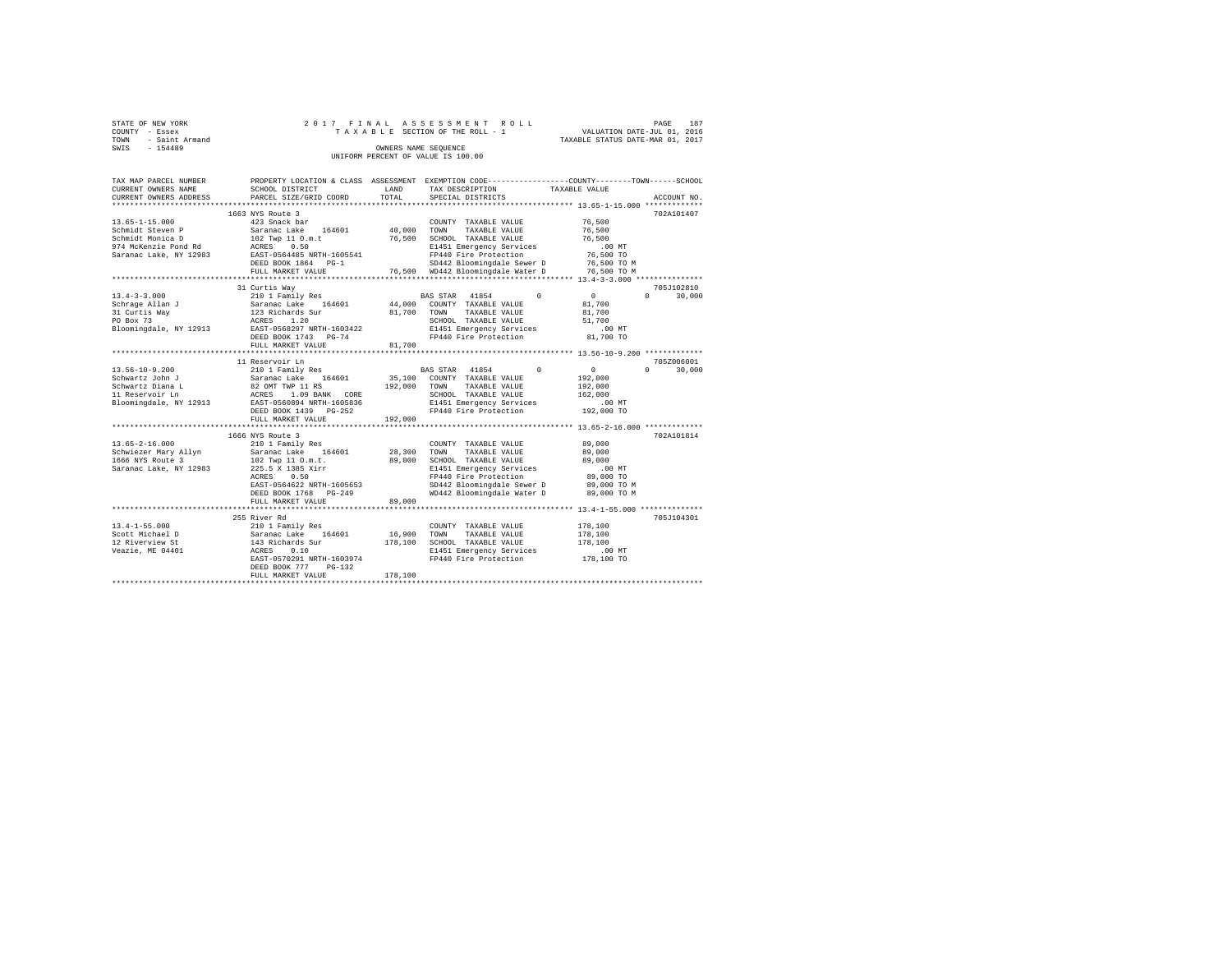| STATE OF NEW YORK                  |                      | 2017 FINAL ASSESSMENT ROLL      | PAGE                             | 187 |  |  |  |  |  |  |  |  |  |
|------------------------------------|----------------------|---------------------------------|----------------------------------|-----|--|--|--|--|--|--|--|--|--|
| COUNTY - Essex                     |                      | TAXABLE SECTION OF THE ROLL - 1 | VALUATION DATE-JUL 01, 2016      |     |  |  |  |  |  |  |  |  |  |
| TOWN - Saint Armand                |                      |                                 | TAXABLE STATUS DATE-MAR 01, 2017 |     |  |  |  |  |  |  |  |  |  |
| SWIS<br>$-154489$                  | OWNERS NAME SEOUENCE |                                 |                                  |     |  |  |  |  |  |  |  |  |  |
| UNIFORM PERCENT OF VALUE IS 100.00 |                      |                                 |                                  |     |  |  |  |  |  |  |  |  |  |

| TAX MAP PARCEL NUMBER<br>CURRENT OWNERS NAME                                                                   | SCHOOL DISTRICT                                                                                                                                                                                   | LAND                            | TAX DESCRIPTION                                                                                                                                                                                    | PROPERTY LOCATION & CLASS ASSESSMENT EXEMPTION CODE----------------COUNTY-------TOWN------SCHOOL<br>TAXABLE VALUE |             |  |  |  |  |
|----------------------------------------------------------------------------------------------------------------|---------------------------------------------------------------------------------------------------------------------------------------------------------------------------------------------------|---------------------------------|----------------------------------------------------------------------------------------------------------------------------------------------------------------------------------------------------|-------------------------------------------------------------------------------------------------------------------|-------------|--|--|--|--|
| CURRENT OWNERS ADDRESS                                                                                         | PARCEL SIZE/GRID COORD                                                                                                                                                                            | TOTAL                           | SPECIAL DISTRICTS                                                                                                                                                                                  |                                                                                                                   | ACCOUNT NO. |  |  |  |  |
|                                                                                                                | 1663 NYS Route 3                                                                                                                                                                                  |                                 |                                                                                                                                                                                                    |                                                                                                                   | 702A101407  |  |  |  |  |
| $13.65 - 1 - 15.000$<br>Schmidt Steven P<br>Schmidt Monica D<br>974 McKenzie Pond Rd<br>Saranac Lake, NY 12983 | 423 Snack bar<br>Saranac Lake 164601<br>102 Twp 11 O.m.t<br>ACRES 0.50<br>EAST-0564485 NRTH-1605541<br>DEED BOOK 1864 PG-1<br>FULL MARKET VALUE                                                   | 40,000 TOWN<br>76,500           | COUNTY TAXABLE VALUE<br>TAXABLE VALUE<br>SCHOOL TAXABLE VALUE<br>E1451 Emergency Services<br>FP440 Fire Protection<br>SD442 Bloomingdale Sewer D<br>76,500 WD442 Bloomingdale Water D              | 76,500<br>76,500<br>76,500<br>.00 MT<br>76,500 TO<br>76,500 TO M<br>76,500 TO M                                   |             |  |  |  |  |
|                                                                                                                | 31 Curtis Wav                                                                                                                                                                                     |                                 |                                                                                                                                                                                                    |                                                                                                                   | 705J102810  |  |  |  |  |
| $13.4 - 3 - 3.000$<br>Schrage Allan J<br>31 Curtis Way<br>PO Box 73<br>Bloomingdale, NY 12913                  | 210 1 Family Res<br>Saranac Lake 164601<br>123 Richards Sur<br>ACRES 1.20<br>EAST-0568297 NRTH-1603422<br>DEED BOOK 1743 PG-74<br>FULL MARKET VALUE                                               | 44,000<br>81,700 TOWN<br>81,700 | $\Omega$<br>BAS STAR 41854<br>COUNTY TAXABLE VALUE<br>TAXABLE VALUE<br>SCHOOL TAXABLE VALUE<br>E1451 Emergency Services<br>FP440 Fire Protection                                                   | $\sim$ 0<br>$\Omega$<br>81,700<br>81,700<br>51,700<br>$.00$ MT<br>81,700 TO                                       | 30,000      |  |  |  |  |
|                                                                                                                | 11 Reservoir Ln                                                                                                                                                                                   |                                 |                                                                                                                                                                                                    |                                                                                                                   | 705Z006001  |  |  |  |  |
| $13.56 - 10 - 9.200$<br>Schwartz John J<br>Schwartz Diana L<br>11 Reservoir Ln                                 | 210 1 Family Res<br>Saranac Lake 164601<br>82 OMT TWP 11 RS<br>ACRES 1.09 BANK CORE<br>Bloomingdale, NY 12913 EAST-0560894 NRTH-1605836<br>DEED BOOK 1439 PG-252<br>FULL MARKET VALUE             | 192,000<br>192,000              | BAS STAR 41854<br>$\Omega$<br>35,100 COUNTY TAXABLE VALUE<br>TOWN<br>TAXABLE VALUE<br>SCHOOL TAXABLE VALUE<br>E1451 Emergency Services<br>FP440 Fire Protection                                    | $\overline{0}$<br>$\Omega$<br>192,000<br>192,000<br>162,000<br>.00MT<br>00 MT.<br>192,000 TO                      | 30,000      |  |  |  |  |
|                                                                                                                |                                                                                                                                                                                                   |                                 |                                                                                                                                                                                                    |                                                                                                                   |             |  |  |  |  |
| $13.65 - 2 - 16.000$<br>1666 NYS Route 3<br>Saranac Lake, NY 12983                                             | 1666 NYS Route 3<br>210 1 Family Res<br>Schwiezer Mary Allyn Saranac Lake 164601<br>102 Twp 11 O.m.t.<br>225.5 X 138S Xirr<br>0.50<br>ACRES<br>EAST-0564622 NRTH-1605653<br>DEED BOOK 1768 PG-249 | 28,300<br>89,000                | COUNTY TAXABLE VALUE<br>TOWN<br>TAXABLE VALUE<br>SCHOOL TAXABLE VALUE<br>E1451 Emergency Services<br>FP440 Fire Protection<br>SD442 Bloomingdale Sewer D 89,000 TO M<br>WD442 Bloomingdale Water D | 89,000<br>89,000<br>89,000<br>$.00$ MT<br>89,000 TO<br>89,000 TO M                                                | 702A101814  |  |  |  |  |
|                                                                                                                | FULL MARKET VALUE                                                                                                                                                                                 | 89,000                          |                                                                                                                                                                                                    |                                                                                                                   |             |  |  |  |  |
| $13.4 - 1 - 55.000$<br>Scott Michael D<br>12 Riverview St<br>Veazie, ME 04401                                  | 255 River Rd<br>210 1 Family Res<br>Saranac Lake 164601<br>143 Richards Sur<br>0.10<br>ACRES<br>EAST-0570291 NRTH-1603974<br>DEED BOOK 777<br>$PG-132$<br>FULL MARKET VALUE                       | 16,900<br>178,100<br>178,100    | COUNTY TAXABLE VALUE<br>TAXABLE VALUE<br>TOWN<br>SCHOOL TAXABLE VALUE<br>E1451 Emergency Services<br>FP440 Fire Protection                                                                         | 178,100<br>178,100<br>178,100<br>.00MT<br>178,100 TO                                                              | 705J104301  |  |  |  |  |
|                                                                                                                |                                                                                                                                                                                                   |                                 |                                                                                                                                                                                                    |                                                                                                                   |             |  |  |  |  |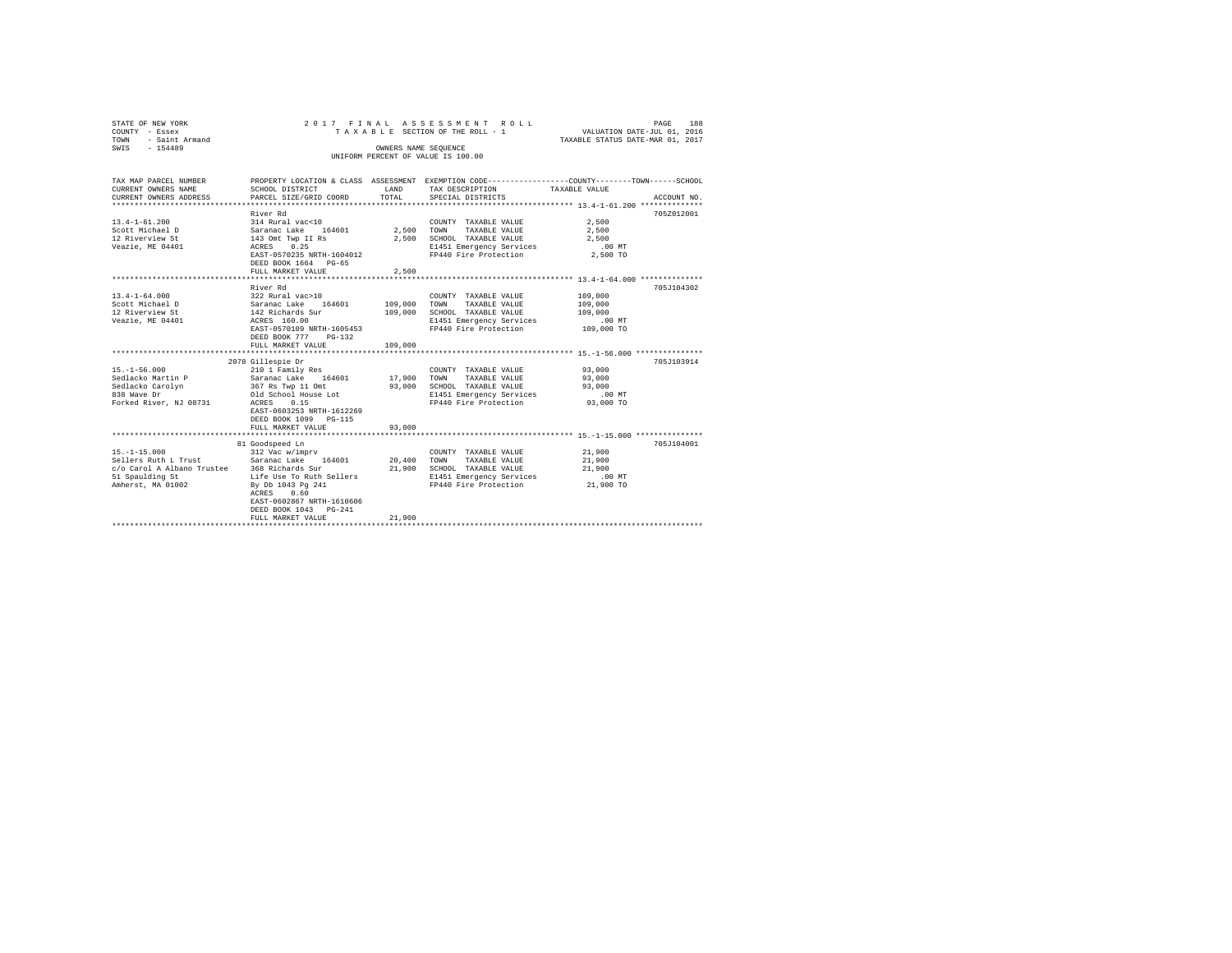| STATE OF NEW YORK<br>COUNTY - Essex         | 2017 FINAL                               |                      | ASSESSMENT ROLL<br>TAXABLE SECTION OF THE ROLL - 1 | PAGE<br>188<br>VALUATION DATE-JUL 01, 2016                                                     |
|---------------------------------------------|------------------------------------------|----------------------|----------------------------------------------------|------------------------------------------------------------------------------------------------|
| - Saint Armand<br>TOWN                      |                                          |                      | TAXABLE STATUS DATE-MAR 01, 2017                   |                                                                                                |
| $-154489$<br>SWIS                           |                                          | OWNERS NAME SEQUENCE | UNIFORM PERCENT OF VALUE IS 100.00                 |                                                                                                |
|                                             |                                          |                      |                                                    |                                                                                                |
|                                             |                                          |                      |                                                    |                                                                                                |
| TAX MAP PARCEL NUMBER                       |                                          |                      |                                                    | PROPERTY LOCATION & CLASS ASSESSMENT EXEMPTION CODE---------------COUNTY-------TOWN-----SCHOOL |
| CURRENT OWNERS NAME                         | SCHOOL DISTRICT                          | LAND                 | TAX DESCRIPTION                                    | TAXABLE VALUE                                                                                  |
| CURRENT OWNERS ADDRESS                      | PARCEL SIZE/GRID COORD                   | TOTAL                | SPECIAL DISTRICTS                                  | ACCOUNT NO.                                                                                    |
|                                             |                                          |                      |                                                    |                                                                                                |
|                                             | River Rd                                 |                      |                                                    | 705Z012001                                                                                     |
| $13.4 - 1 - 61.200$                         | 314 Rural vac<10                         |                      | COUNTY TAXABLE VALUE                               | 2,500                                                                                          |
| Scott Michael D                             | Saranac Lake 164601<br>143 Omt Twp II Rs | 2.500 TOWN           | TAXABLE VALUE                                      | 2,500                                                                                          |
| 12 Riverview St                             |                                          |                      | 2,500 SCHOOL TAXABLE VALUE                         | 2.500                                                                                          |
| Veazie, ME 04401                            | ACRES 0.25                               |                      | E1451 Emergency Services                           | .00 MT                                                                                         |
|                                             | EAST-0570235 NRTH-1604012                |                      | FP440 Fire Protection                              | 2,500 TO                                                                                       |
|                                             | DEED BOOK 1664 PG-65                     |                      |                                                    |                                                                                                |
|                                             | FULL MARKET VALUE                        | 2.500                |                                                    |                                                                                                |
|                                             |                                          |                      |                                                    |                                                                                                |
| $13.4 - 1 - 64.000$                         | River Rd<br>322 Rural vac>10             |                      | COUNTY TAXABLE VALUE                               | 705J104302<br>109,000                                                                          |
| Scott Michael D                             | Saranac Lake 164601                      |                      | TOWN<br>TAXABLE VALUE                              |                                                                                                |
|                                             |                                          | 109,000              |                                                    | 109,000                                                                                        |
| 12 Riverview St                             | 142 Richards Sur<br>ACRES 160.00         | 109,000              | SCHOOL TAXABLE VALUE                               | 109,000                                                                                        |
| Veazie, ME 04401                            | EAST-0570109 NRTH-1605453                |                      | E1451 Emergency Services<br>FP440 Fire Protection  | $.00$ MT<br>109,000 TO                                                                         |
|                                             | DEED BOOK 777 PG-132                     |                      |                                                    |                                                                                                |
|                                             | FULL MARKET VALUE                        | 109,000              |                                                    |                                                                                                |
|                                             |                                          |                      |                                                    |                                                                                                |
|                                             | 2078 Gillespie Dr                        |                      |                                                    | 705J103914                                                                                     |
| $15. - 1 - 56.000$                          | 210 1 Family Res                         |                      | COUNTY TAXABLE VALUE                               | 93,000                                                                                         |
| Sedlacko Martin P                           |                                          | 17,900               | TOWN<br>TAXABLE VALUE                              | 93,000                                                                                         |
| Sedlacko Carolyn                            | Saranac Lake 164601<br>367 Rs Twp 11 Omt | 93,000               | SCHOOL TAXABLE VALUE                               | 93,000                                                                                         |
| 838 Wave Dr                                 | Old School House Lot                     |                      | E1451 Emergency Services                           | $.00$ MT                                                                                       |
| Forked River, NJ 08731                      | <b>ACRES</b><br>0.15                     |                      | FP440 Fire Protection                              | 93,000 TO                                                                                      |
|                                             | EAST-0603253 NRTH-1612269                |                      |                                                    |                                                                                                |
|                                             | DEED BOOK 1099 PG-115                    |                      |                                                    |                                                                                                |
|                                             | FULL MARKET VALUE                        | 93,000               |                                                    |                                                                                                |
|                                             |                                          |                      |                                                    |                                                                                                |
|                                             | 81 Goodspeed Ln                          |                      |                                                    | 705J104001                                                                                     |
| $15. - 1 - 15.000$                          | 312 Vac w/imprv                          |                      | COUNTY TAXABLE VALUE                               | 21,900                                                                                         |
| Sellers Ruth L Trust                        | Saranac Lake 164601                      | 20,400               | TOWN<br>TAXABLE VALUE                              | 21,900                                                                                         |
| c/o Carol A Albano Trustee 368 Richards Sur |                                          | 21,900               | SCHOOL TAXABLE VALUE                               | 21,900                                                                                         |
| 51 Spaulding St                             | Life Use To Ruth Sellers                 |                      | E1451 Emergency Services                           | $.00$ MT                                                                                       |
| Amherst, MA 01002                           | By Db 1043 Pg 241                        |                      | FP440 Fire Protection                              | 21,900 TO                                                                                      |
|                                             | ACRES 0.60                               |                      |                                                    |                                                                                                |
|                                             | EAST-0602867 NRTH-1610606                |                      |                                                    |                                                                                                |
|                                             | DEED BOOK 1043 PG-241                    |                      |                                                    |                                                                                                |
|                                             | FULL MARKET VALUE                        | 21,900               |                                                    |                                                                                                |
|                                             |                                          |                      |                                                    |                                                                                                |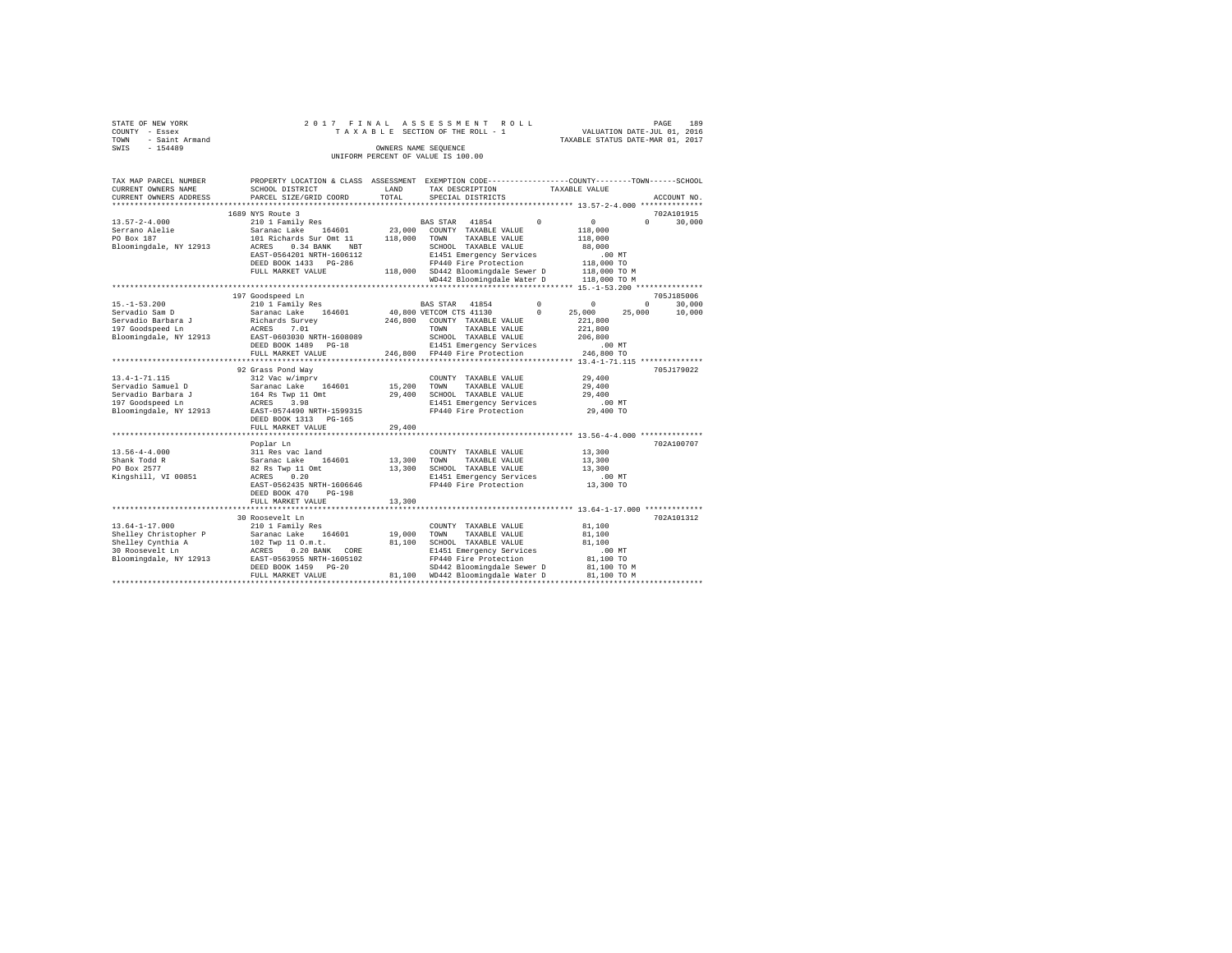| STATE OF NEW YORK                  |                     |                      |  |  |  |  | 2017 FINAL ASSESSMENT ROLL      |  |  |  |  |  |  |  |  |  |                                  |  | PAGE | 189 |  |
|------------------------------------|---------------------|----------------------|--|--|--|--|---------------------------------|--|--|--|--|--|--|--|--|--|----------------------------------|--|------|-----|--|
| COUNTY - Essex                     |                     |                      |  |  |  |  | TAXABLE SECTION OF THE ROLL - 1 |  |  |  |  |  |  |  |  |  | VALUATION DATE-JUL 01, 2016      |  |      |     |  |
|                                    | TOWN - Saint Armand |                      |  |  |  |  |                                 |  |  |  |  |  |  |  |  |  | TAXABLE STATUS DATE-MAR 01, 2017 |  |      |     |  |
| SWIS                               | $-154489$           | OWNERS NAME SEOUENCE |  |  |  |  |                                 |  |  |  |  |  |  |  |  |  |                                  |  |      |     |  |
| UNIFORM PERCENT OF VALUE IS 100.00 |                     |                      |  |  |  |  |                                 |  |  |  |  |  |  |  |  |  |                                  |  |      |     |  |

| TAX MAP PARCEL NUMBER  | PROPERTY LOCATION & CLASS ASSESSMENT EXEMPTION CODE----------------COUNTY-------TOWN------SCHOOL                                                                 |             |                                                                                            |                                            |                                      |          |             |
|------------------------|------------------------------------------------------------------------------------------------------------------------------------------------------------------|-------------|--------------------------------------------------------------------------------------------|--------------------------------------------|--------------------------------------|----------|-------------|
| CURRENT OWNERS NAME    | SCHOOL DISTRICT                                                                                                                                                  | LAND        | TAX DESCRIPTION                                                                            |                                            | TAXABLE VALUE                        |          |             |
| CURRENT OWNERS ADDRESS | PARCEL SIZE/GRID COORD                                                                                                                                           | TOTAL       | SPECIAL DISTRICTS                                                                          |                                            |                                      |          | ACCOUNT NO. |
|                        |                                                                                                                                                                  |             |                                                                                            |                                            |                                      |          |             |
|                        | 1689 NYS Route 3                                                                                                                                                 |             |                                                                                            |                                            |                                      |          | 702A101915  |
| $13.57 - 2 - 4.000$    | 210 1 Family Res                                                                                                                                                 |             | BAS STAR 41854                                                                             | $\Omega$                                   | $\sim$                               | $\Omega$ | 30,000      |
| Serrano Alelie         | Saranac Lake 164601                                                                                                                                              |             | 23,000 COUNTY TAXABLE VALUE                                                                |                                            | 118,000                              |          |             |
| PO Box 187             | 101 Richards Sur Omt 11<br>ACRES 0.34 BANK NBT                                                                                                                   | 118,000     | TOWN<br>TAXABLE VALUE                                                                      |                                            | 118,000                              |          |             |
| Bloomingdale, NY 12913 |                                                                                                                                                                  |             | SCHOOL TAXABLE VALUE                                                                       |                                            | 88,000                               |          |             |
|                        | EAST-0564201 NRTH-1606112                                                                                                                                        |             | E1451 Emergency Services                                                                   |                                            | .00 MT                               |          |             |
|                        | DEED BOOK 1433 PG-286                                                                                                                                            |             | FP440 Fire Protection                                                                      |                                            | 118,000 TO                           |          |             |
|                        | FULL MARKET VALUE                                                                                                                                                |             | 118,000 SD442 Bloomingdale Sewer D 118,000 TO M<br>WD442 Bloomingdale Water D 118,000 TO M |                                            |                                      |          |             |
|                        |                                                                                                                                                                  |             |                                                                                            |                                            |                                      |          |             |
|                        |                                                                                                                                                                  |             |                                                                                            |                                            |                                      |          |             |
|                        | 197 Goodspeed Ln                                                                                                                                                 |             |                                                                                            |                                            |                                      |          | 705J185006  |
| $15. - 1 - 53.200$     | 210 1 Family Res                                                                                                                                                 |             | BAS STAR 41854                                                                             | $\begin{array}{ccc} & & & 0 & \end{array}$ |                                      | $\Omega$ | 30,000      |
|                        |                                                                                                                                                                  |             | 40,800 VETCOM CTS 41130                                                                    | $^{\circ}$                                 | 25,000                               | 25,000   | 10,000      |
|                        |                                                                                                                                                                  |             | 246,800 COUNTY TAXABLE VALUE                                                               |                                            | 221,800                              |          |             |
|                        |                                                                                                                                                                  |             | TOWN<br>TAXABLE VALUE                                                                      |                                            | 221,800                              |          |             |
|                        | Bloomingdale, NY 12913 EAST-0603030 NRTH-1608089                                                                                                                 |             | SCHOOL TAXABLE VALUE                                                                       |                                            | 206,800                              |          |             |
|                        | DEED BOOK 1489 PG-18                                                                                                                                             |             | E1451 Emergency Services                                                                   |                                            | $.00$ MT                             |          |             |
|                        | FULL MARKET VALUE                                                                                                                                                |             | 246,800 FP440 Fire Protection                                                              |                                            | 246,800 TO                           |          |             |
|                        |                                                                                                                                                                  |             |                                                                                            |                                            |                                      |          |             |
|                        | 92 Grass Pond Way                                                                                                                                                |             |                                                                                            |                                            |                                      |          | 705J179022  |
| $13.4 - 1 - 71.115$    | 312 Vac w/imprv                                                                                                                                                  |             | COUNTY TAXABLE VALUE                                                                       |                                            | 29,400                               |          |             |
| Servadio Samuel D      | Saranac Lake 164601<br>Saranac Lake 16<br>164 Rs Twp 11 Omt                                                                                                      | 15,200      | TOWN<br>TAXABLE VALUE                                                                      |                                            | 29,400                               |          |             |
| Servadio Barbara J     |                                                                                                                                                                  | 29,400      | SCHOOL TAXABLE VALUE                                                                       |                                            | 29,400                               |          |             |
| 197 Goodspeed Ln       | ACRES 3.98                                                                                                                                                       |             | E1451 Emergency Services<br>FP440 Fire Protection                                          |                                            | $29,400$ TO                          |          |             |
| Bloomingdale, NY 12913 | EAST-0574490 NRTH-1599315                                                                                                                                        |             |                                                                                            |                                            |                                      |          |             |
|                        | DEED BOOK 1313 PG-165                                                                                                                                            |             |                                                                                            |                                            |                                      |          |             |
|                        | FULL MARKET VALUE                                                                                                                                                | 29,400      |                                                                                            |                                            |                                      |          |             |
|                        | *******************                                                                                                                                              |             |                                                                                            |                                            | ********** 13.56-4-4.000 *********** |          |             |
|                        | Poplar Ln                                                                                                                                                        |             |                                                                                            |                                            |                                      |          | 702A100707  |
| $13.56 - 4 - 4.000$    | 311 Res vac land                                                                                                                                                 |             | COUNTY TAXABLE VALUE                                                                       |                                            | 13,300                               |          |             |
| Shank Todd R           | Saranac Lake 164601                                                                                                                                              | 13,300 TOWN | TAXABLE VALUE                                                                              |                                            | 13,300                               |          |             |
| PO Box 2577            | 82 Rs Twp 11 Omt<br>ACRES 0.20                                                                                                                                   | 13,300      | SCHOOL TAXABLE VALUE                                                                       |                                            | 13,300<br>.00 MT                     |          |             |
| Kingshill, VI 00851    |                                                                                                                                                                  |             | E1451 Emergency Services                                                                   |                                            |                                      |          |             |
|                        | EAST-0562435 NRTH-1606646                                                                                                                                        |             | FP440 Fire Protection 13,300 TO                                                            |                                            |                                      |          |             |
|                        | DEED BOOK 470<br>$PG-198$                                                                                                                                        |             |                                                                                            |                                            |                                      |          |             |
|                        | FULL MARKET VALUE                                                                                                                                                | 13,300      |                                                                                            |                                            |                                      |          |             |
|                        |                                                                                                                                                                  |             |                                                                                            |                                            |                                      |          |             |
|                        | 30 Roosevelt Ln                                                                                                                                                  |             |                                                                                            |                                            |                                      |          | 702A101312  |
| $13.64 - 1 - 17.000$   | 210 1 Family Res                                                                                                                                                 |             | COUNTY TAXABLE VALUE                                                                       |                                            | 81,100                               |          |             |
|                        |                                                                                                                                                                  | 19,000      | TOWN<br>TAXABLE VALUE                                                                      |                                            | 81,100                               |          |             |
|                        | Shelley Christopher P<br>Saranac Lake 164601<br>Shelley Cynthia A<br>102 Twp 11 0.m.t.<br>20 Roosevelt Ln<br>Ricomingdale, NY 12913<br>RAST-0563955 NRTH-1605102 | 81,100      | SCHOOL TAXABLE VALUE                                                                       |                                            | 81,100                               |          |             |
|                        |                                                                                                                                                                  |             | E1451 Emergency Services                                                                   |                                            | $.00$ MT                             |          |             |
|                        |                                                                                                                                                                  |             | FP440 Fire Protection                                                                      |                                            | 81,100 TO                            |          |             |
|                        | DEED BOOK 1459 PG-20                                                                                                                                             |             | SD442 Bloomingdale Sewer D                                                                 |                                            | 81,100 TO M                          |          |             |
|                        | FULL MARKET VALUE                                                                                                                                                |             | 81,100 WD442 Bloomingdale Water D                                                          |                                            | 81,100 TO M                          |          |             |
|                        |                                                                                                                                                                  |             |                                                                                            |                                            |                                      |          |             |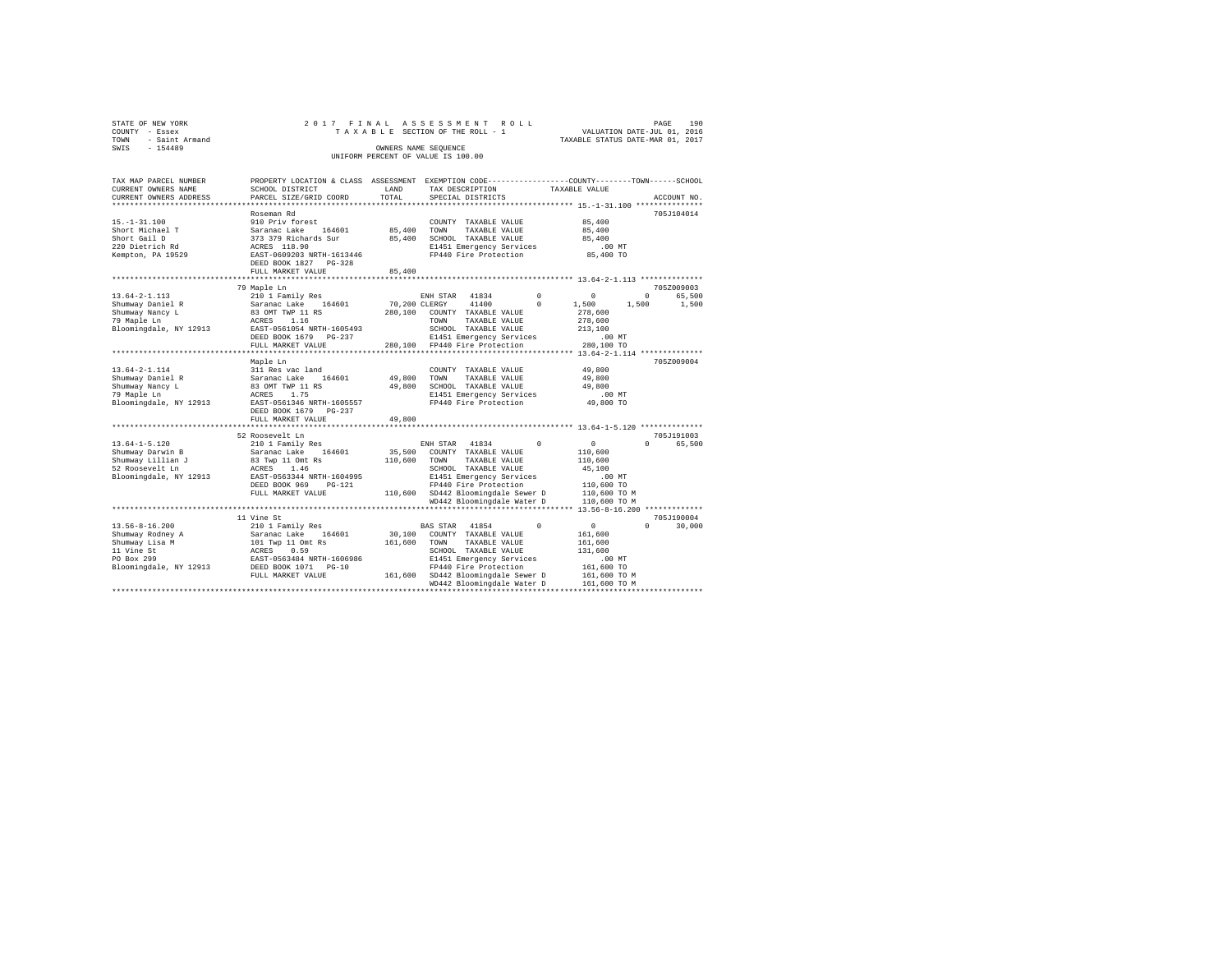| STATE OF NEW YORK   |  |  | 2017 FINAL ASSESSMENT ROLL         |                                  | PAGE | 190 |
|---------------------|--|--|------------------------------------|----------------------------------|------|-----|
| COUNTY - Essex      |  |  | TAXABLE SECTION OF THE ROLL - 1    | VALUATION DATE-JUL 01, 2016      |      |     |
| TOWN - Saint Armand |  |  |                                    | TAXABLE STATUS DATE-MAR 01, 2017 |      |     |
| SWIS<br>$-154489$   |  |  | OWNERS NAME SEOUENCE               |                                  |      |     |
|                     |  |  | UNIFORM PERCENT OF VALUE IS 100.00 |                                  |      |     |
|                     |  |  |                                    |                                  |      |     |

| TAX MAP PARCEL NUMBER  | PROPERTY LOCATION & CLASS  | ASSESSMENT    | EXEMPTION CODE----------------COUNTY-------TOWN------SCHOOL         |            |                                                    |                    |
|------------------------|----------------------------|---------------|---------------------------------------------------------------------|------------|----------------------------------------------------|--------------------|
| CURRENT OWNERS NAME    | SCHOOL DISTRICT            | LAND          | TAX DESCRIPTION                                                     |            | TAXABLE VALUE                                      |                    |
| CURRENT OWNERS ADDRESS | PARCEL SIZE/GRID COORD     | TOTAL         | SPECIAL DISTRICTS                                                   |            |                                                    | ACCOUNT NO.        |
|                        |                            |               |                                                                     |            |                                                    |                    |
|                        | Roseman Rd                 |               |                                                                     |            |                                                    | 705J104014         |
| $15. - 1 - 31.100$     | 910 Priv forest            |               | COUNTY TAXABLE VALUE                                                |            | 85,400                                             |                    |
| Short Michael T        | Saranac Lake<br>164601     | 85,400        | TOWN<br>TAXABLE VALUE                                               |            | 85,400                                             |                    |
| Short Gail D           | 373 379 Richards Sur       | 85,400        | SCHOOL TAXABLE VALUE                                                |            | 85,400                                             |                    |
| 220 Dietrich Rd        | ACRES 118.90               |               | E1451 Emergency Services                                            |            | $.00$ MT                                           |                    |
| Kempton, PA 19529      | EAST-0609203 NRTH-1613446  |               | FP440 Fire Protection                                               |            | 85,400 TO                                          |                    |
|                        | DEED BOOK 1827 PG-328      |               |                                                                     |            |                                                    |                    |
|                        | FULL MARKET VALUE          | 85,400        |                                                                     |            |                                                    |                    |
|                        | ********************       |               |                                                                     |            | ********************* 13.64-2-1.113 ************** |                    |
|                        | 79 Maple Ln                |               |                                                                     |            |                                                    | 705Z009003         |
| $13.64 - 2 - 1.113$    | 210 1 Family Res           |               | 41834<br>ENH STAR                                                   | $^{\circ}$ | $\overline{0}$                                     | $\Omega$<br>65,500 |
| Shumway Daniel R       | 164601<br>Saranac Lake     | 70,200 CLERGY | 41400                                                               | $^{\circ}$ | 1,500                                              | 1,500<br>1,500     |
| Shumway Nancy L        | 83 OMT TWP 11 RS           | 280,100       | COUNTY TAXABLE VALUE                                                |            | 278,600                                            |                    |
| 79 Maple Ln            | 1.16<br>ACRES              |               | TOWN<br>TAXABLE VALUE                                               |            | 278,600                                            |                    |
| Bloomingdale, NY 12913 | EAST-0561054 NRTH-1605493  |               | SCHOOL TAXABLE VALUE                                                |            | 213,100                                            |                    |
|                        | DEED BOOK 1679<br>PG-237   |               | E1451 Emergency Services                                            |            | .00MT                                              |                    |
|                        | FULL MARKET VALUE          |               | 280.100 FP440 Fire Protection                                       |            | 280,100 TO                                         |                    |
|                        | *********************      |               | ************************************* 13.64-2-1.114 *************** |            |                                                    |                    |
|                        | Maple Ln                   |               |                                                                     |            |                                                    | 705Z009004         |
| $13.64 - 2 - 1.114$    | 311 Res vac land           |               | COUNTY TAXABLE VALUE                                                |            | 49,800                                             |                    |
| Shumway Daniel R       | Saranac Lake 164601        | 49,800        | TOWN<br>TAXABLE VALUE                                               |            | 49,800                                             |                    |
| Shumway Nancy L        | 83 OMT TWP 11 RS           | 49,800        | SCHOOL TAXABLE VALUE                                                |            | 49,800                                             |                    |
| 79 Maple Ln            | 1.75<br>ACRES              |               | E1451 Emergency Services                                            |            | $.00$ MT                                           |                    |
| Bloomingdale, NY 12913 | EAST-0561346 NRTH-1605557  |               | FP440 Fire Protection                                               |            | 49,800 TO                                          |                    |
|                        | DEED BOOK 1679 PG-237      |               |                                                                     |            |                                                    |                    |
|                        | FULL MARKET VALUE          | 49,800        |                                                                     |            |                                                    |                    |
|                        |                            |               |                                                                     |            |                                                    |                    |
|                        | 52 Roosevelt Ln            |               |                                                                     |            |                                                    | 705J191003         |
| $13.64 - 1 - 5.120$    | 210 1 Family Res           |               | ENH STAR 41834                                                      | $\Omega$   | $\circ$                                            | $\Omega$<br>65,500 |
| Shumway Darwin B       | 164601<br>Saranac Lake     | 35,500        | COUNTY TAXABLE VALUE                                                |            | 110,600                                            |                    |
| Shumway Lillian J      | 83 Twp 11 Omt Rs           | 110,600       | TAXABLE VALUE<br>TOWN                                               |            | 110,600                                            |                    |
| 52 Roosevelt Ln        | ACRES<br>1.46              |               | SCHOOL TAXABLE VALUE                                                |            | 45,100                                             |                    |
| Bloomingdale, NY 12913 | EAST-0563344 NRTH-1604995  |               | E1451 Emergency Services                                            |            | $.00$ MT                                           |                    |
|                        | DEED BOOK 969<br>$PG-121$  |               | FP440 Fire Protection                                               |            | 110,600 TO                                         |                    |
|                        | FULL MARKET VALUE          |               | 110,600 SD442 Bloomingdale Sewer D                                  |            | 110,600 TO M                                       |                    |
|                        |                            |               | WD442 Bloomingdale Water D                                          |            | 110,600 TO M                                       |                    |
|                        | ************************** |               |                                                                     |            |                                                    |                    |
|                        | 11 Vine St                 |               |                                                                     |            |                                                    | 705J190004         |
| $13.56 - 8 - 16.200$   | 210 1 Family Res           |               | BAS STAR<br>41854                                                   | $\Omega$   | $\circ$                                            | $\Omega$<br>30,000 |
|                        |                            |               |                                                                     |            |                                                    |                    |
| Shumway Rodney A       | Saranac Lake 164601        | 30,100        | COUNTY TAXABLE VALUE                                                |            | 161,600                                            |                    |
| Shumway Lisa M         | 101 Twp 11 Omt Rs          | 161,600       | TOWN<br>TAXABLE VALUE                                               |            | 161,600                                            |                    |
| 11 Vine St             | ACRES<br>0.59              |               | SCHOOL TAXABLE VALUE                                                |            | 131,600                                            |                    |
| PO Box 299             | EAST-0563484 NRTH-1606986  |               | E1451 Emergency Services                                            |            | .00MT                                              |                    |
| Bloomingdale, NY 12913 | DEED BOOK 1071 PG-10       |               | FP440 Fire Protection                                               |            | 161,600 TO                                         |                    |
|                        | FULL MARKET VALUE          |               | 161,600 SD442 Bloomingdale Sewer D                                  |            | 161,600 TO M                                       |                    |
|                        |                            |               | WD442 Bloomingdale Water D<br>*********************************     |            | 161,600 TO M                                       |                    |
|                        |                            |               |                                                                     |            |                                                    |                    |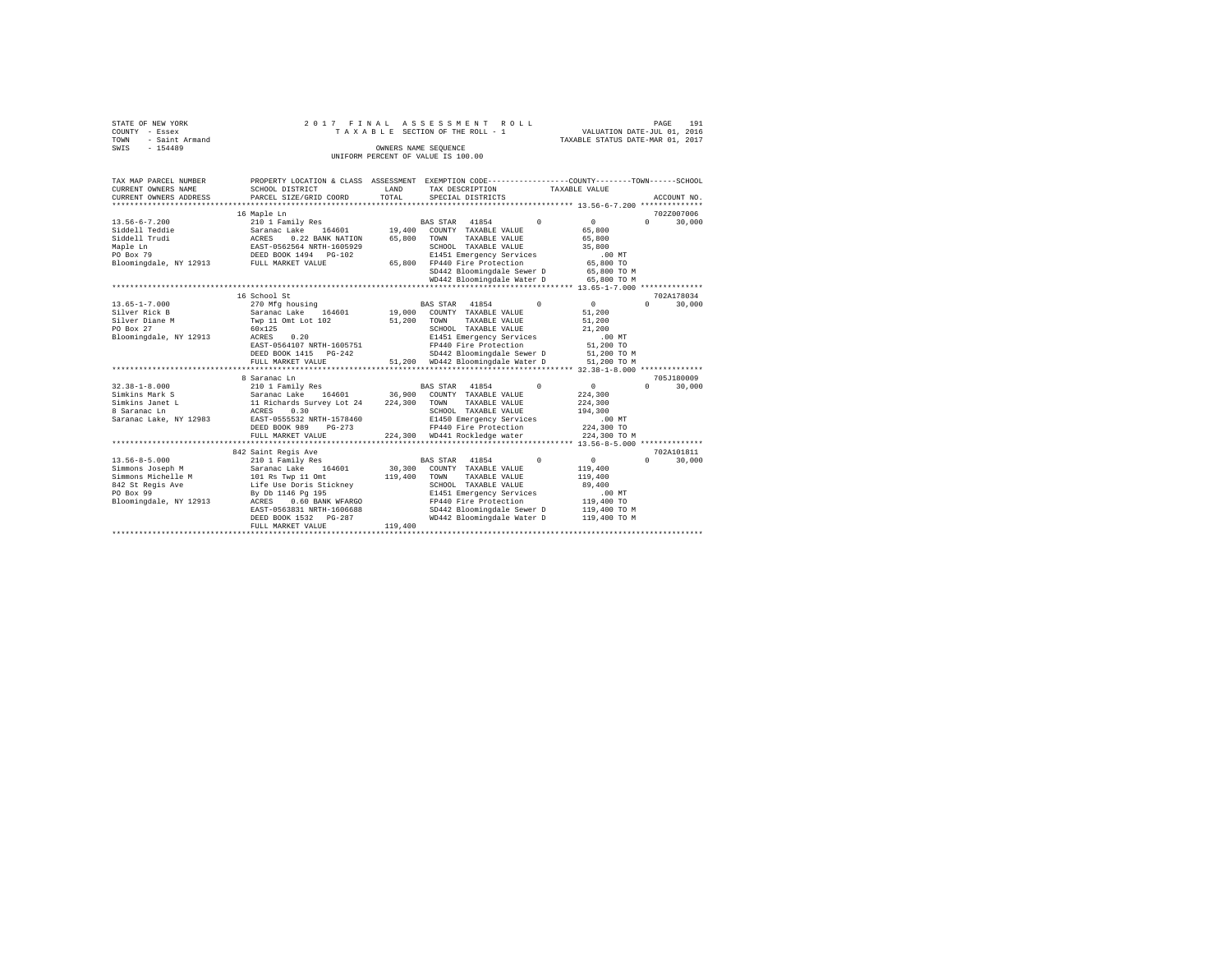|                | STATE OF NEW YORK   |  |  |  |  | 2017 FINAL ASSESSMENT ROLL         |  |  |  |  |                                  | PAGE | 191 |
|----------------|---------------------|--|--|--|--|------------------------------------|--|--|--|--|----------------------------------|------|-----|
| COUNTY - Essex |                     |  |  |  |  | TAXABLE SECTION OF THE ROLL - 1    |  |  |  |  | VALUATION DATE-JUL 01, 2016      |      |     |
|                | TOWN - Saint Armand |  |  |  |  |                                    |  |  |  |  | TAXABLE STATUS DATE-MAR 01, 2017 |      |     |
| SWIS           | $-154489$           |  |  |  |  | OWNERS NAME SEOUENCE               |  |  |  |  |                                  |      |     |
|                |                     |  |  |  |  | UNIFORM PERCENT OF VALUE IS 100.00 |  |  |  |  |                                  |      |     |

| TAX MAP PARCEL NUMBER<br>CURRENT OWNERS NAME<br>CURRENT OWNERS ADDRESS                                                                     | SCHOOL DISTRICT<br>PARCEL SIZE/GRID COORD                                                                                                                                                                                 | LAND<br>TOTAL                | TAX DESCRIPTION<br>SPECIAL DISTRICTS                                                                                                                                                                                          | PROPERTY LOCATION & CLASS ASSESSMENT EXEMPTION CODE---------------COUNTY-------TOWN-----SCHOOL<br>TAXABLE VALUE<br>ACCOUNT NO.             |
|--------------------------------------------------------------------------------------------------------------------------------------------|---------------------------------------------------------------------------------------------------------------------------------------------------------------------------------------------------------------------------|------------------------------|-------------------------------------------------------------------------------------------------------------------------------------------------------------------------------------------------------------------------------|--------------------------------------------------------------------------------------------------------------------------------------------|
| $13.56 - 6 - 7.200$<br>Siddell Teddie<br>Siddell Trudi<br>Maple Ln<br>PO Box 79<br>Bloomingdale, NY 12913 FULL MARKET VALUE                | 16 Maple Ln<br>210 1 Family Res<br>164601 19,400<br>Saranac Lake<br>ACRES 0.22 BANK NATION<br>EAST-0562564 NRTH-1605929<br>DEED BOOK 1494 PG-102                                                                          | 65,800                       | BAS STAR 41854<br>$\Omega$<br>COUNTY TAXABLE VALUE<br>TOWN<br>TAXABLE VALUE<br>SCHOOL TAXABLE VALUE<br>E1451 Emergency Services<br>65,800 FP440 Fire Protection<br>SD442 Bloomingdale Sewer D<br>WD442 Bloomingdale Water D   | 702Z007006<br>$\Omega$<br>$0 \qquad \qquad$<br>30,000<br>65,800<br>65,800<br>35,800<br>$.00$ MT<br>65,800 TO<br>65,800 TO M<br>65,800 TO M |
|                                                                                                                                            | 16 School St                                                                                                                                                                                                              |                              |                                                                                                                                                                                                                               | 702A178034                                                                                                                                 |
| $13.65 - 1 - 7.000$<br>Silver Rick B<br>Silver Diane M<br>PO Box 27<br>Bloomingdale, NY 12913                                              | 270 Mfg housing<br>164601 19,000<br>Saranac Lake<br>Twp 11 Omt Lot 102<br>60x125<br>ACRES<br>0.20<br>EAST-0564107 NRTH-1605751<br>DEED BOOK 1415 PG-242<br>FULL MARKET VALUE                                              | 51,200                       | BAS STAR 41854<br>$^{\circ}$<br>COUNTY TAXABLE VALUE<br>TOWN<br>TAXABLE VALUE<br>SCHOOL TAXABLE VALUE<br>E1451 Emergency Services<br>FP440 Fire Protection<br>SD442 Bloomingdale Sewer D<br>51,200 WD442 Bloomingdale Water D | $\sim$ 0<br>$\mathbf{r}$<br>30,000<br>51,200<br>51,200<br>21,200<br>$.00$ MT<br>51,200 TO<br>51,200 TO M<br>51,200 TO M                    |
| $32.38 - 1 - 8.000$<br>Simkins Mark S<br>Simkins Janet L<br>8 Saranac Ln<br>Saranac Lake, NY 12983                                         | 8 Saranac Ln<br>210 1 Family Res<br>164601 36,900<br>Saranac Lake<br>11 Richards Survey Lot 24 224,300<br>ACRES<br>0.30<br>EAST-0555532 NRTH-1578460<br>DEED BOOK 989<br>$PG-273$<br>FULL MARKET VALUE                    |                              | BAS STAR 41854<br>$\Omega$<br>COUNTY TAXABLE VALUE<br>TOWN<br>TAXABLE VALUE<br>SCHOOL TAXABLE VALUE<br>E1450 Emergency Services<br>FP440 Fire Protection<br>224,300 WD441 Rockledge water                                     | 705J180009<br>$\mathbf{0}$<br>$\Omega$<br>30,000<br>224,300<br>224,300<br>194,300<br>.00MT<br>224,300 TO<br>224,300 TO M                   |
| $13.56 - 8 - 5.000$<br>Simmons Joseph M<br>Simmons Michelle M 101 Rs Twp 11 Omt<br>842 St Regis Ave<br>PO Box 99<br>Bloomingdale, NY 12913 | 842 Saint Regis Ave<br>210 1 Family Res<br>164601<br>Saranac Lake<br>Life Use Doris Stickney<br>By Db 1146 Pg 195<br>0.60 BANK WFARGO<br>ACRES<br>EAST-0563831 NRTH-1606688<br>DEED BOOK 1532 PG-287<br>FULL MARKET VALUE | 30,300<br>119,400<br>119,400 | BAS STAR 41854<br>$\Omega$<br>COUNTY TAXABLE VALUE<br>TOWN<br>TAXABLE VALUE<br>SCHOOL TAXABLE VALUE<br>E1451 Emergency Services<br>FP440 Fire Protection<br>SD442 Bloomingdale Sewer D<br>WD442 Bloomingdale Water D          | 702A101811<br>$\sim$ 0<br>$\Omega$<br>30,000<br>119,400<br>119,400<br>89,400<br>$.00$ MT<br>119,400 TO<br>119,400 TO M<br>119,400 TO M     |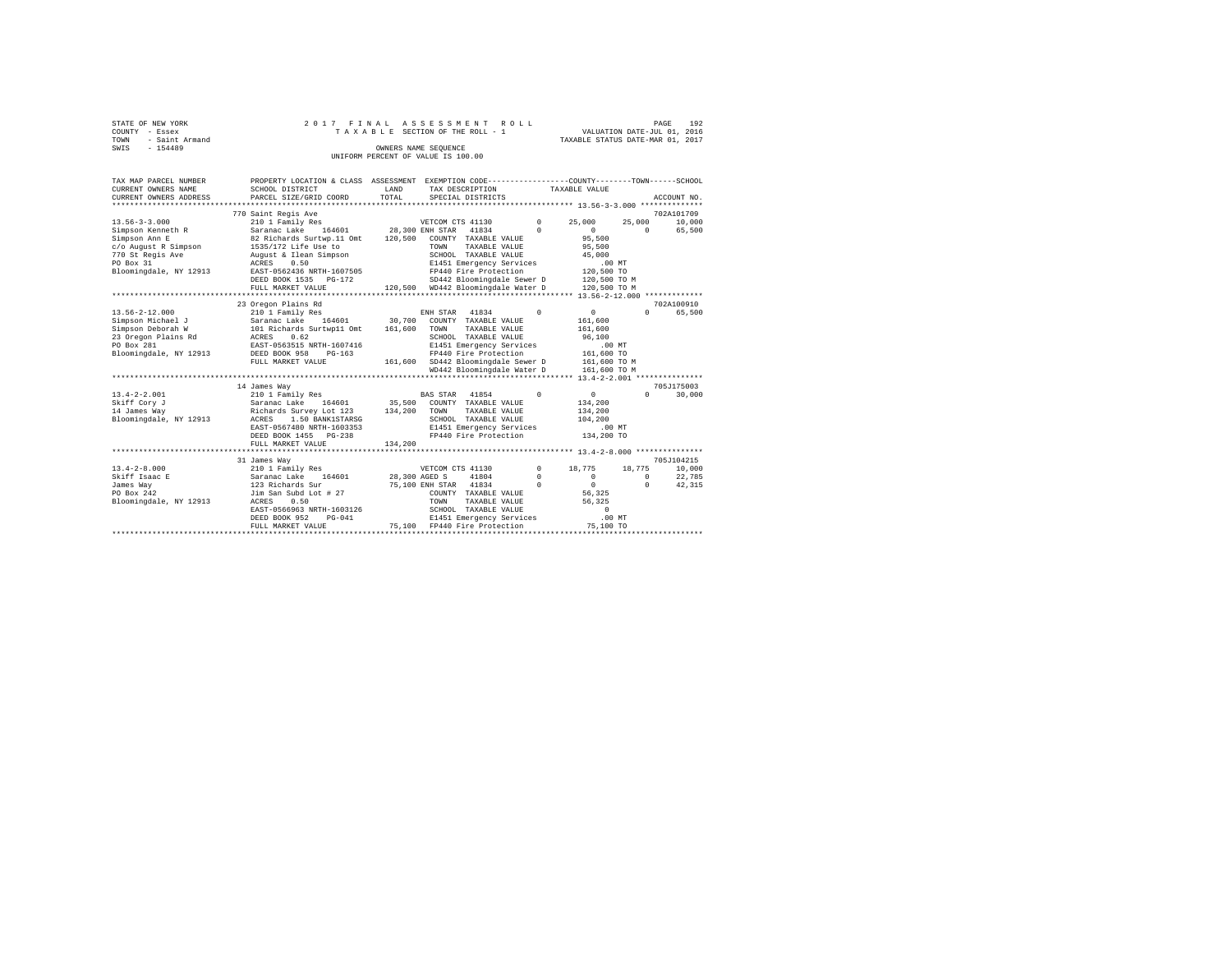| STATE OF NEW YORK   |  |  |  | 2017 FINAL ASSESSMENT ROLL         |                                  | PAGE                        | 192 |
|---------------------|--|--|--|------------------------------------|----------------------------------|-----------------------------|-----|
| COUNTY - Essex      |  |  |  | TAXABLE SECTION OF THE ROLL - 1    |                                  | VALUATION DATE-JUL 01, 2016 |     |
| TOWN - Saint Armand |  |  |  |                                    | TAXABLE STATUS DATE-MAR 01, 2017 |                             |     |
| SWIS<br>$-154489$   |  |  |  | OWNERS NAME SEOUENCE               |                                  |                             |     |
|                     |  |  |  | UNIFORM PERCENT OF VALUE IS 100.00 |                                  |                             |     |

| SCHOOL DISTRICT<br>PARCEL SIZE/GRID COORD                                                                                                                                                | LAND<br>TOTAL                                                           | TAX DESCRIPTION<br>SPECIAL DISTRICTS                                                                    |                                                                                                                                                                                                                                                   |                                                                                                                                                                                                                                  |                                                       | ACCOUNT NO.                                                                                                                                                                                                                                                                                                              |
|------------------------------------------------------------------------------------------------------------------------------------------------------------------------------------------|-------------------------------------------------------------------------|---------------------------------------------------------------------------------------------------------|---------------------------------------------------------------------------------------------------------------------------------------------------------------------------------------------------------------------------------------------------|----------------------------------------------------------------------------------------------------------------------------------------------------------------------------------------------------------------------------------|-------------------------------------------------------|--------------------------------------------------------------------------------------------------------------------------------------------------------------------------------------------------------------------------------------------------------------------------------------------------------------------------|
| 770 Saint Regis Ave                                                                                                                                                                      |                                                                         |                                                                                                         |                                                                                                                                                                                                                                                   |                                                                                                                                                                                                                                  |                                                       | 702A101709<br>10,000                                                                                                                                                                                                                                                                                                     |
| 82 Richards Surtwp.11 Omt<br>1535/172 Life Use to<br>August & Ilean Simpson<br>0.50<br>ACRES<br>DEED BOOK 1535 PG-172                                                                    |                                                                         | TOWN<br>TAXABLE VALUE<br>SCHOOL TAXABLE VALUE<br>FP440 Fire Protection                                  | $\Omega$                                                                                                                                                                                                                                          | $\Omega$<br>95,500<br>95,500<br>45,000                                                                                                                                                                                           | $\Omega$                                              | 65,500                                                                                                                                                                                                                                                                                                                   |
|                                                                                                                                                                                          |                                                                         |                                                                                                         |                                                                                                                                                                                                                                                   |                                                                                                                                                                                                                                  |                                                       |                                                                                                                                                                                                                                                                                                                          |
| 23 Oregon Plains Rd                                                                                                                                                                      |                                                                         |                                                                                                         |                                                                                                                                                                                                                                                   |                                                                                                                                                                                                                                  |                                                       | 702A100910                                                                                                                                                                                                                                                                                                               |
| 210 1 Family Res<br>Saranac Lake 164601<br>101 Richards Surtwp11 Omt<br>23 Oregon Plains Rd ACRES<br>0.62<br>EAST-0563515 NRTH-1607416<br>DEED BOOK 958<br>$PG-163$<br>FULL MARKET VALUE | 161,600                                                                 | 41834<br>COUNTY TAXABLE VALUE<br>TOWN<br>TAXABLE VALUE<br>SCHOOL TAXABLE VALUE<br>FP440 Fire Protection | $\Omega$                                                                                                                                                                                                                                          | 0<br>161,600<br>161,600<br>96,100                                                                                                                                                                                                | $\Omega$                                              | 65,500                                                                                                                                                                                                                                                                                                                   |
| 14 James Way<br>210 1 Family Res<br>Saranac Lake 164601<br>ACRES<br>1.50 BANK1STARSG<br>EAST-0567480 NRTH-1603353<br>DEED BOOK 1455 PG-238<br>FULL MARKET VALUE                          | 134,200                                                                 | TOWN<br>TAXABLE VALUE<br>SCHOOL TAXABLE VALUE                                                           | $^{\circ}$                                                                                                                                                                                                                                        | $\mathbf{0}$<br>134,200<br>134,200<br>104,200                                                                                                                                                                                    | $\Omega$                                              | 705J175003<br>30,000                                                                                                                                                                                                                                                                                                     |
| 31 James Way<br>210 1 Family Res<br>164601<br>Saranac Lake<br>123 Richards Sur<br>Jim San Subd Lot # 27<br>ACRES<br>0.50<br>DEED BOOK 952<br>$PG-041$<br>FULL MARKET VALUE               |                                                                         | 41804<br>COUNTY TAXABLE VALUE<br>TAXABLE VALUE<br>TOWN<br>SCHOOL TAXABLE VALUE<br>FP440 Fire Protection | $^{\circ}$<br>$^{\circ}$<br>$\Omega$                                                                                                                                                                                                              | 18,775<br>$^{\circ}$<br>$\circ$<br>56.325<br>56,325<br>$\mathbf{r}$                                                                                                                                                              | $^{\circ}$<br>$\Omega$                                | 705J104215<br>10,000<br>22,785<br>42,315                                                                                                                                                                                                                                                                                 |
|                                                                                                                                                                                          | 210 1 Family Res<br>FULL MARKET VALUE<br>****************************** | EAST-0562436 NRTH-1607505<br>Richards Survey Lot 123<br>EAST-0566963 NRTH-1603126                       | VETCOM CTS 41130<br>Saranac Lake 164601 28,300 ENH STAR<br>120,500 COUNTY TAXABLE VALUE<br>ENH STAR<br>30,700<br>BAS STAR 41854<br>35,500 COUNTY TAXABLE VALUE<br>134,200<br>VETCOM CTS 41130<br>28,300 AGED S<br>75,100 ENH STAR 41834<br>75,100 | $^{\circ}$<br>41834<br>E1451 Emergency Services<br>120,500 WD442 Bloomingdale Water D<br>E1451 Emergency Services<br>WD442 Bloomingdale Water D<br>E1451 Emergency Services<br>FP440 Fire Protection<br>E1451 Emergency Services | TAXABLE VALUE<br>25,000<br>SD442 Bloomingdale Sewer D | PROPERTY LOCATION & CLASS ASSESSMENT EXEMPTION CODE----------------COUNTY-------TOWN-----SCHOOL<br>25,000<br>$.00$ MT<br>120,500 TO<br>120,500 TO M<br>120,500 TO M<br>$.00$ MT<br>161,600 TO<br>161.600 SD442 Bloomingdale Sewer D 161.600 TO M<br>161,600 TO M<br>.00 MT<br>134,200 TO<br>18,775<br>.00MT<br>75,100 TO |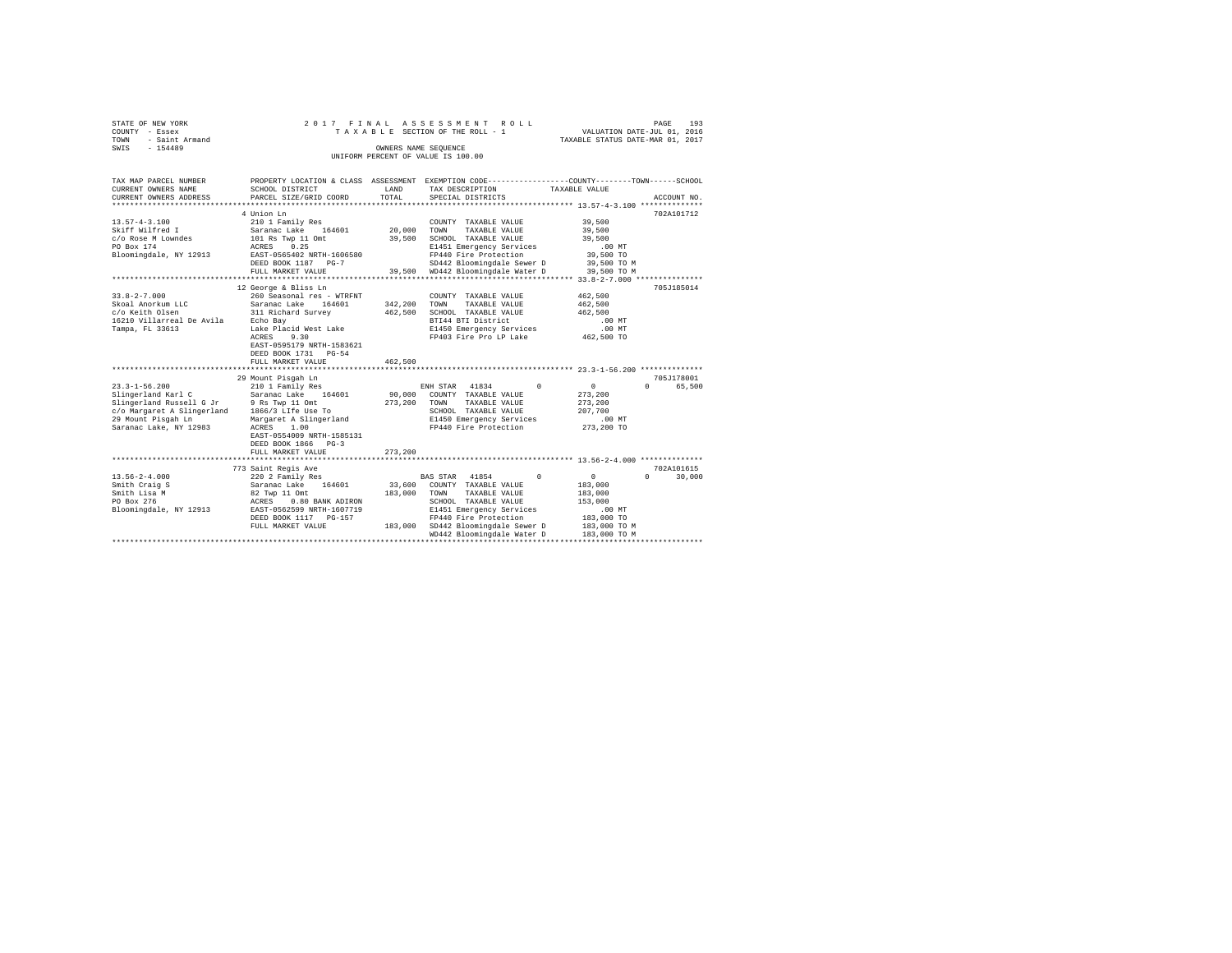|              | STATE OF NEW YORK<br>COUNTY - Essex |  | 2017 FINAL ASSESSMENT ROLL<br>TAXABLE SECTION OF THE ROLL - 1 | VALUATION DATE-JUL 01, 2016      | PAGE | 193 |
|--------------|-------------------------------------|--|---------------------------------------------------------------|----------------------------------|------|-----|
| TOWN<br>SWIS | - Saint Armand<br>$-154489$         |  | OWNERS NAME SEOUENCE                                          | TAXABLE STATUS DATE-MAR 01, 2017 |      |     |
|              |                                     |  | UNIFORM PERCENT OF VALUE IS 100.00                            |                                  |      |     |

| TAX MAP PARCEL NUMBER<br>CURRENT OWNERS NAME | SCHOOL DISTRICT                                        | LAND    | TAX DESCRIPTION                                                 | PROPERTY LOCATION & CLASS ASSESSMENT EXEMPTION CODE----------------COUNTY-------TOWN------SCHOOL<br>TAXABLE VALUE |
|----------------------------------------------|--------------------------------------------------------|---------|-----------------------------------------------------------------|-------------------------------------------------------------------------------------------------------------------|
| CURRENT OWNERS ADDRESS                       | PARCEL SIZE/GRID COORD                                 | TOTAL   | SPECIAL DISTRICTS                                               | ACCOUNT NO.                                                                                                       |
|                                              | 4 Union Ln                                             |         |                                                                 | 702A101712                                                                                                        |
| $13.57 - 4 - 3.100$                          | 210 1 Family Res                                       |         | COUNTY TAXABLE VALUE                                            | 39,500                                                                                                            |
| Skiff Wilfred I                              |                                                        | 20,000  | TOWN<br>TAXABLE VALUE                                           | 39,500                                                                                                            |
| c/o Rose M Lowndes                           | Saranac Lake 164601<br>101 Rs Twp 11 Omt<br>ACRES 0.25 | 39,500  | SCHOOL TAXABLE VALUE                                            | 39,500                                                                                                            |
| PO Box 174                                   |                                                        |         | E1451 Emergency Services                                        | $.00$ MT                                                                                                          |
| Bloomingdale, NY 12913                       | EAST-0565402 NRTH-1606580                              |         | FP440 Fire Protection                                           | 39,500 TO                                                                                                         |
|                                              | DEED BOOK 1187 PG-7<br>FULL MARKET VALUE               |         | SD442 Bloomingdale Sewer D<br>39,500 WD442 Bloomingdale Water D | 39,500 TO M<br>39,500 TO M                                                                                        |
|                                              |                                                        |         |                                                                 |                                                                                                                   |
|                                              | 12 George & Bliss Ln                                   |         |                                                                 | 705J185014                                                                                                        |
| $33.8 - 2 - 7.000$                           | 260 Seasonal res - WTRFNT                              |         | COUNTY TAXABLE VALUE                                            | 462.500                                                                                                           |
| Skoal Anorkum LLC                            | Saranac Lake 164601                                    | 342,200 | TOWN<br>TAXABLE VALUE                                           | 462,500                                                                                                           |
| c/o Keith Olsen                              | 311 Richard Survey                                     | 462,500 | SCHOOL TAXABLE VALUE                                            | 462.500                                                                                                           |
| 16210 Villarreal De Avila                    | Echo Bay                                               |         | BTI44 BTI District                                              | $.00$ MT                                                                                                          |
| Tampa, FL 33613                              | Lake Placid West Lake                                  |         | E1450 Emergency Services                                        | $.00$ MT                                                                                                          |
|                                              | 9.30<br>ACRES                                          |         | FP403 Fire Pro LP Lake                                          | 462,500 TO                                                                                                        |
|                                              | EAST-0595179 NRTH-1583621                              |         |                                                                 |                                                                                                                   |
|                                              | DEED BOOK 1731 PG-54                                   |         |                                                                 |                                                                                                                   |
|                                              | FULL MARKET VALUE<br>****************************      | 462.500 |                                                                 |                                                                                                                   |
|                                              | 29 Mount Pisqah Ln                                     |         |                                                                 | 705-7178001                                                                                                       |
| $23.3 - 1 - 56.200$                          | 210 1 Family Res                                       |         | $\sim$ 0<br>ENH STAR 41834                                      | $\sim$ 0<br>$\Omega$<br>65,500                                                                                    |
| Slingerland Karl C                           | Saranac Lake 164601                                    | 90,000  | COUNTY TAXABLE VALUE                                            | 273,200                                                                                                           |
| Slingerland Russell G Jr                     | 9 Rs Twp 11 Omt                                        |         | 273,200 TOWN<br>TAXABLE VALUE                                   | 273,200                                                                                                           |
| c/o Margaret A Slingerland                   | 1866/3 LIfe Use To                                     |         | SCHOOL TAXABLE VALUE                                            | 207,700                                                                                                           |
| 29 Mount Pisqah Ln                           | Margaret A Slingerland                                 |         | E1450 Emergency Services                                        | $.00$ MT                                                                                                          |
| Saranac Lake, NY 12983                       | ACRES 1.00                                             |         | FP440 Fire Protection                                           | 273,200 TO                                                                                                        |
|                                              | EAST-0554009 NRTH-1585131                              |         |                                                                 |                                                                                                                   |
|                                              | DEED BOOK 1866 PG-3                                    |         |                                                                 |                                                                                                                   |
|                                              | FULL MARKET VALUE                                      | 273.200 |                                                                 |                                                                                                                   |
|                                              | 773 Saint Regis Ave                                    |         |                                                                 | 702A101615                                                                                                        |
| $13.56 - 2 - 4.000$                          | 220 2 Family Res                                       |         | BAS STAR 41854<br>$\sim$ 0                                      | $\circ$<br>$\Omega$<br>30,000                                                                                     |
| Smith Craig S                                | Saranac Lake 164601                                    | 33,600  | COUNTY TAXABLE VALUE                                            | 183,000                                                                                                           |
| Smith Lisa M                                 | 82 Twp 11 Omt 183,000                                  |         | TOWN<br>TAXABLE VALUE                                           | 183,000                                                                                                           |
| PO Box 276                                   | ACRES 0.80 BANK ADIRON                                 |         | SCHOOL TAXABLE VALUE                                            | 153,000                                                                                                           |
| Bloomingdale, NY 12913                       | EAST-0562599 NRTH-1607719                              |         | E1451 Emergency Services                                        | .00MT                                                                                                             |
|                                              | DEED BOOK 1117 PG-157                                  |         | FP440 Fire Protection                                           | 183,000 TO                                                                                                        |
|                                              | FULL MARKET VALUE                                      | 183,000 | SD442 Bloomingdale Sewer D                                      | 183,000 TO M                                                                                                      |
|                                              |                                                        |         | WD442 Bloomingdale Water D                                      | 183,000 TO M                                                                                                      |
|                                              |                                                        |         |                                                                 |                                                                                                                   |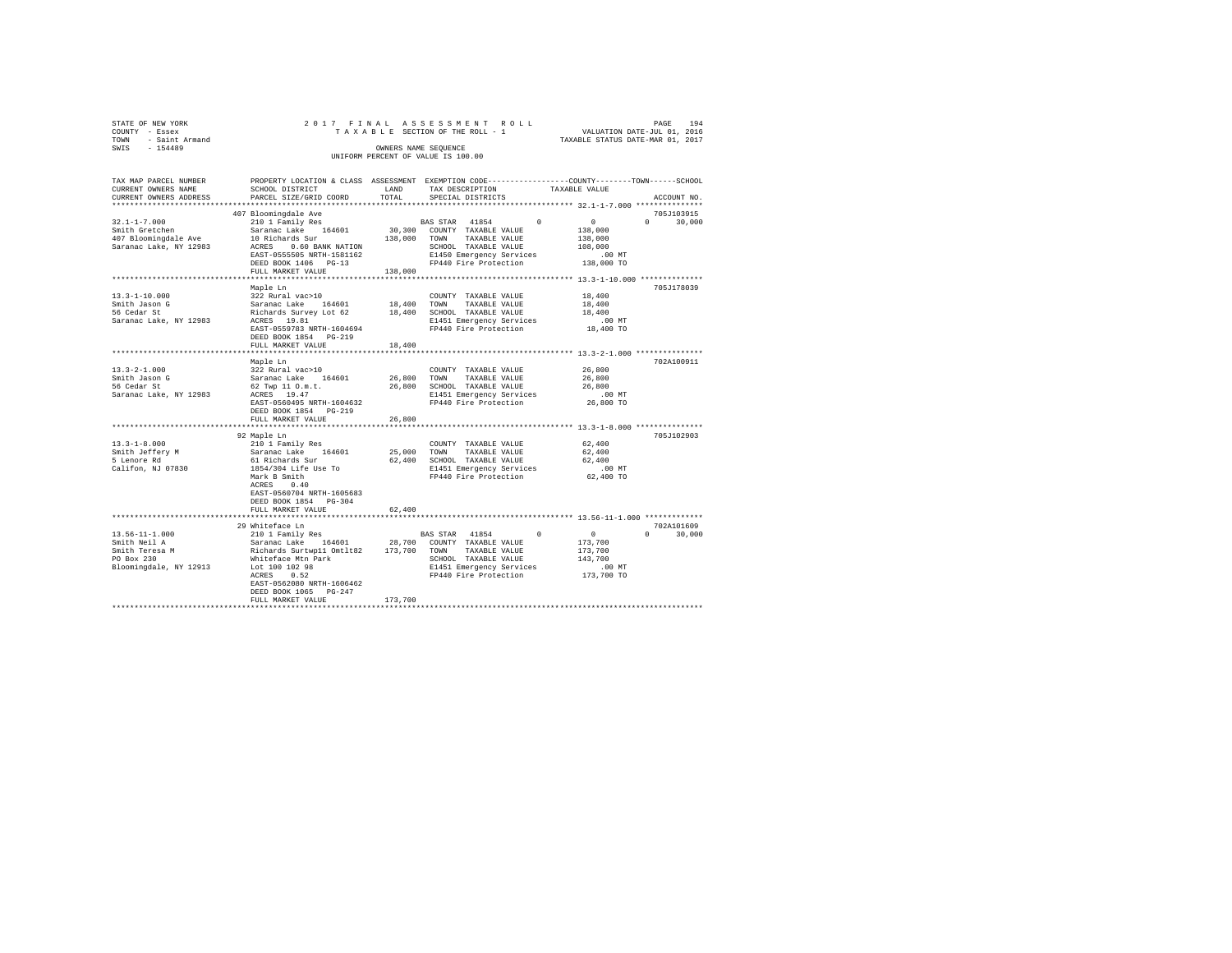| TOWN<br>SWTS | STATE OF NEW YORK<br>COUNTY - Essex<br>- Saint Armand<br>$-154489$ |                                                         | OWNERS NAME SEOUENCE | 2017 FINAL ASSESSMENT ROLL<br>TAXABLE SECTION OF THE ROLL - 1<br>UNIFORM PERCENT OF VALUE IS 100.00 | TAXABLE STATUS DATE-MAR 01, 2017 | PAGE<br>VALUATION DATE-JUL 01, 2016 | 194 |
|--------------|--------------------------------------------------------------------|---------------------------------------------------------|----------------------|-----------------------------------------------------------------------------------------------------|----------------------------------|-------------------------------------|-----|
|              | TAX MAP PARCEL NUMBER<br>CURRENT OWNERS NAME                       | PROPERTY LOCATION & CLASS ASSESSMENT<br>SCHOOL DISTRICT | LAND                 | EXEMPTION CODE-----------------COUNTY-------TOWN------SCHOOL<br>TAX DESCRIPTION                     | TAXABLE VALUE                    |                                     |     |
|              | CURRENT OWNERS ADDRESS                                             | PARCEL SIZE/GRID COORD                                  | TOTAL                | SPECIAL DISTRICTS                                                                                   |                                  | ACCOUNT NO.                         |     |

|                                    | FARCED SIZE/GRID COORD                                                                                                                                                                                                                     |         |                                                          |                                                  |                                  |
|------------------------------------|--------------------------------------------------------------------------------------------------------------------------------------------------------------------------------------------------------------------------------------------|---------|----------------------------------------------------------|--------------------------------------------------|----------------------------------|
|                                    | 407 Bloomingdale Ave<br>EAST-0555505 NRTH-1581162                                                                                                                                                                                          |         | E1450 Emergency Services                                 | $\sim$ 0 $\sim$<br>138,000<br>138,000<br>108,000 | 705J103915<br>$\Omega$<br>30,000 |
|                                    | DEED BOOK 1406 PG-13<br>138,000<br>FULL MARKET VALUE                                                                                                                                                                                       |         | FP440 Fire Protection                                    | .00 MT<br>138,000 TO                             |                                  |
|                                    |                                                                                                                                                                                                                                            |         |                                                          |                                                  |                                  |
| $13.3 - 1 - 10.000$                | Maple Ln<br>322 Rural vac>10                                                                                                                                                                                                               |         | COUNTY TAXABLE VALUE                                     | 18,400                                           | 705J178039                       |
| Smith Jason G                      |                                                                                                                                                                                                                                            |         | 18,400 TOWN TAXABLE VALUE                                | 18,400                                           |                                  |
| 56 Cedar St                        | Saranac Lake 164601<br>Richards Survey Lot 62                                                                                                                                                                                              |         | 18,400 SCHOOL TAXABLE VALUE                              | 18,400                                           |                                  |
| Saranac Lake, NY 12983 ACRES 19.81 |                                                                                                                                                                                                                                            |         | E1451 Emergency Services                                 |                                                  |                                  |
|                                    | EAST-0559783 NRTH-1604694                                                                                                                                                                                                                  |         | FP440 Fire Protection                                    | .00 MT.<br>18,400 TO                             |                                  |
|                                    | DEED BOOK 1854 PG-219                                                                                                                                                                                                                      |         |                                                          |                                                  |                                  |
|                                    | FULL MARKET VALUE                                                                                                                                                                                                                          | 18,400  |                                                          |                                                  |                                  |
|                                    |                                                                                                                                                                                                                                            |         |                                                          |                                                  |                                  |
|                                    | Maple Ln                                                                                                                                                                                                                                   |         |                                                          |                                                  | 702A100911                       |
| $13.3 - 2 - 1.000$                 | 322 Rural vac>10                                                                                                                                                                                                                           |         | COUNTY TAXABLE VALUE                                     | 26,800                                           |                                  |
| Smith Jason G                      |                                                                                                                                                                                                                                            |         | TAXABLE VALUE                                            | 26,800                                           |                                  |
| 56 Cedar St                        | 62 Twp 11 O.m.t.                                                                                                                                                                                                                           |         | 26,800 SCHOOL TAXABLE VALUE                              | 26,800                                           |                                  |
| Saranac Lake, NY 12983             | ACRES 19.47                                                                                                                                                                                                                                |         | E1451 Emergency Services                                 | $.00$ MT                                         |                                  |
|                                    | EAST-0560495 NRTH-1604632                                                                                                                                                                                                                  |         | FP440 Fire Protection                                    | 26,800 TO                                        |                                  |
|                                    | DEED BOOK 1854 PG-219                                                                                                                                                                                                                      |         |                                                          |                                                  |                                  |
|                                    | FULL MARKET VALUE                                                                                                                                                                                                                          | 26,800  |                                                          |                                                  |                                  |
|                                    |                                                                                                                                                                                                                                            |         |                                                          |                                                  |                                  |
|                                    | 92 Maple Ln                                                                                                                                                                                                                                |         |                                                          |                                                  | 705J102903                       |
| $13.3 - 1 - 8.000$                 | 92 mapie in<br>210 1 Family Res<br>Saranac Lake 164601<br>61 Richards Sur<br>1854/304 Life Use To                                                                                                                                          |         | COUNTY TAXABLE VALUE 62,400<br>25,000 TOWN TAXABLE VALUE |                                                  |                                  |
| Smith Jeffery M<br>5 Lenore Rd     |                                                                                                                                                                                                                                            |         | 62,400 SCHOOL TAXABLE VALUE                              | 62,400<br>62,400                                 |                                  |
| Califon, NJ 07830                  |                                                                                                                                                                                                                                            |         | E1451 Emergency Services                                 | $.00$ MT                                         |                                  |
|                                    | Mark B Smith                                                                                                                                                                                                                               |         | FP440 Fire Protection 62,400 TO                          |                                                  |                                  |
|                                    | ACRES 0.40                                                                                                                                                                                                                                 |         |                                                          |                                                  |                                  |
|                                    | EAST-0560704 NRTH-1605683                                                                                                                                                                                                                  |         |                                                          |                                                  |                                  |
|                                    | DEED BOOK 1854 PG-304                                                                                                                                                                                                                      |         |                                                          |                                                  |                                  |
|                                    | FULL MARKET VALUE                                                                                                                                                                                                                          | 62,400  |                                                          |                                                  |                                  |
|                                    |                                                                                                                                                                                                                                            |         |                                                          |                                                  |                                  |
|                                    | 29 Whiteface Ln                                                                                                                                                                                                                            |         |                                                          |                                                  | 702A101609                       |
| 13.56-11-1.000                     | $210$ 1 Family Res                                                                                                                                                                                                                         |         | BAS STAR 41854 0                                         | $\sim$ 0 $\sim$                                  | $\Omega$ and $\Omega$<br>30,000  |
| Smith Neil A                       | Example 164601 28,700 COUNTY TAXABLE VALUE<br>Richards Surtwp11 Omtlt82 173,700 TOWN TAXABLE VALUE<br>Whiteface Mtn Park 51000 SCHOOL TAXABLE VALUE<br>SCHOOL TAXABLE VALUE<br>COLO TAXABLE VALUE<br>COLO TAXABLE VALUE<br>COLO TAXABLE VA |         |                                                          | 173,700                                          |                                  |
| Smith Teresa M<br>-0 Dow 220       |                                                                                                                                                                                                                                            |         |                                                          | 173,700                                          |                                  |
|                                    |                                                                                                                                                                                                                                            |         | SCHOOL TAXABLE VALUE 143,700                             |                                                  |                                  |
| Bloomingdale, NY 12913             |                                                                                                                                                                                                                                            |         |                                                          | .00 MT                                           |                                  |
|                                    | ACRES 0.52                                                                                                                                                                                                                                 |         | FP440 Fire Protection 173,700 TO                         |                                                  |                                  |
|                                    | EAST-0562080 NRTH-1606462                                                                                                                                                                                                                  |         |                                                          |                                                  |                                  |
|                                    | DEED BOOK 1065 PG-247                                                                                                                                                                                                                      |         |                                                          |                                                  |                                  |
|                                    | FULL MARKET VALUE<br>*****************************                                                                                                                                                                                         | 173,700 |                                                          |                                                  |                                  |
|                                    |                                                                                                                                                                                                                                            |         |                                                          |                                                  |                                  |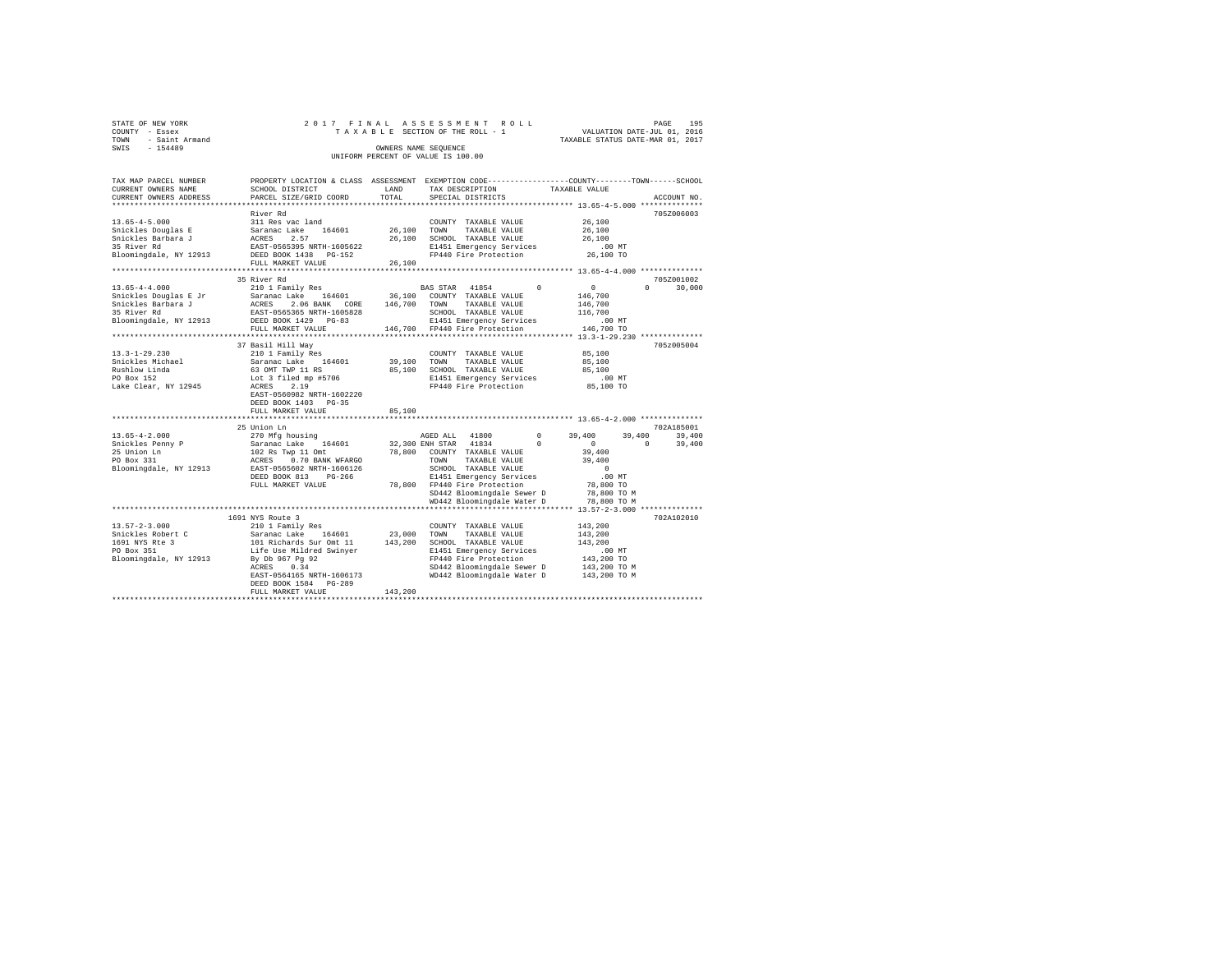| STATE OF NEW YORK      |  |  | 2017 FINAL ASSESSMENT ROLL         |  |  |  |                                  | PAGE | 195 |
|------------------------|--|--|------------------------------------|--|--|--|----------------------------------|------|-----|
| COUNTY - Essex         |  |  | TAXABLE SECTION OF THE ROLL - 1    |  |  |  | VALUATION DATE-JUL 01, 2016      |      |     |
| - Saint Armand<br>TOWN |  |  |                                    |  |  |  | TAXABLE STATUS DATE-MAR 01, 2017 |      |     |
| SWIS<br>$-154489$      |  |  | OWNERS NAME SEOUENCE               |  |  |  |                                  |      |     |
|                        |  |  | UNIFORM PERCENT OF VALUE IS 100.00 |  |  |  |                                  |      |     |

| TAX MAP PARCEL NUMBER  | PROPERTY LOCATION & CLASS ASSESSMENT EXEMPTION CODE---------------COUNTY-------TOWN------SCHOOL |             |                                                               |            |                  |                    |
|------------------------|-------------------------------------------------------------------------------------------------|-------------|---------------------------------------------------------------|------------|------------------|--------------------|
| CURRENT OWNERS NAME    | SCHOOL DISTRICT                                                                                 | LAND        | TAX DESCRIPTION                                               |            | TAXABLE VALUE    |                    |
| CURRENT OWNERS ADDRESS | PARCEL SIZE/GRID COORD                                                                          | TOTAL       | SPECIAL DISTRICTS                                             |            |                  | ACCOUNT NO.        |
|                        |                                                                                                 |             |                                                               |            |                  |                    |
|                        | River Rd                                                                                        |             |                                                               |            |                  | 705Z006003         |
| $13.65 - 4 - 5.000$    | 311 Res vac land                                                                                |             | COUNTY TAXABLE VALUE                                          |            | 26,100           |                    |
| Snickles Douglas E     | Saranac Lake<br>164601                                                                          | 26,100      | TAXABLE VALUE<br>TOWN                                         |            | 26,100           |                    |
| Snickles Barbara J     | ACRES<br>2.57                                                                                   |             | 26.100 SCHOOL TAXABLE VALUE                                   |            | 26,100           |                    |
| 35 River Rd            | EAST-0565395 NRTH-1605622                                                                       |             | E1451 Emergency Services                                      |            | $.00$ MT         |                    |
| Bloomingdale, NY 12913 | DEED BOOK 1438 PG-152                                                                           |             | FP440 Fire Protection                                         |            | 26,100 TO        |                    |
|                        | FULL MARKET VALUE                                                                               | 26,100      |                                                               |            |                  |                    |
|                        |                                                                                                 |             |                                                               |            |                  |                    |
|                        | 35 River Rd                                                                                     |             |                                                               |            |                  | 705Z001002         |
| $13.65 - 4 - 4.000$    | 210 1 Family Res                                                                                |             | BAS STAR 41854                                                | $\Omega$   | $\Omega$         | 30,000<br>$\Omega$ |
| Snickles Douglas E Jr  | Saranac Lake 164601                                                                             |             | 36,100 COUNTY TAXABLE VALUE                                   |            | 146,700          |                    |
| Snickles Barbara J     | 2.06 BANK CORE 146,700<br>ACRES                                                                 |             | TOWN<br>TAXABLE VALUE                                         |            | 146,700          |                    |
| 35 River Rd            | EAST-0565365 NRTH-1605828                                                                       |             | SCHOOL TAXABLE VALUE                                          |            | 116,700          |                    |
|                        | DEED BOOK 1429 PG-83                                                                            |             |                                                               |            | $.00$ MT         |                    |
| Bloomingdale, NY 12913 |                                                                                                 |             | E1451 Emergency Services                                      |            |                  |                    |
|                        | FULL MARKET VALUE                                                                               |             | 146,700 FP440 Fire Protection                                 |            | 146,700 TO       |                    |
|                        |                                                                                                 |             |                                                               |            |                  |                    |
|                        | 37 Basil Hill Way                                                                               |             |                                                               |            |                  | 705z005004         |
| $13.3 - 1 - 29.230$    | 210 1 Family Res                                                                                |             | COUNTY TAXABLE VALUE                                          |            | 85,100           |                    |
| Snickles Michael       | Saranac Lake<br>164601                                                                          | 39,100 TOWN | TAXABLE VALUE                                                 |            | 85,100           |                    |
| Rushlow Linda          | 63 OMT TWP 11 RS                                                                                |             | 85,100 SCHOOL TAXABLE VALUE                                   |            | 85,100           |                    |
| PO Box 152             | Lot 3 filed mp #5706                                                                            |             | E1451 Emergency Services                                      |            | .00MT            |                    |
| Lake Clear, NY 12945   | ACRES<br>2.19                                                                                   |             | FP440 Fire Protection                                         |            | 85,100 TO        |                    |
|                        | EAST-0560982 NRTH-1602220                                                                       |             |                                                               |            |                  |                    |
|                        | DEED BOOK 1403 PG-35                                                                            |             |                                                               |            |                  |                    |
|                        | FULL MARKET VALUE                                                                               | 85,100      |                                                               |            |                  |                    |
|                        |                                                                                                 |             |                                                               |            |                  |                    |
|                        | 25 Union Ln                                                                                     |             |                                                               |            |                  | 702A185001         |
| $13.65 - 4 - 2.000$    | 270 Mfg housing                                                                                 |             | AGED ALL 41800                                                | $\Omega$   | 39,400<br>39,400 | 39,400             |
| Snickles Penny P       | Saranac Lake 164601                                                                             |             | 32,300 ENH STAR 41834                                         | $^{\circ}$ | $^{\circ}$       | $\Omega$<br>39,400 |
| 25 Union Ln            |                                                                                                 |             | 78,800 COUNTY TAXABLE VALUE                                   |            | 39,400           |                    |
| PO Box 331             | 102 Rs Twp 11 Omt<br>ACRES 0.70 BANK WFARGO                                                     |             | TOWN<br>TAXABLE VALUE                                         |            | 39,400           |                    |
|                        |                                                                                                 |             |                                                               |            | $\sim$ 0         |                    |
| Bloomingdale, NY 12913 | EAST-0565602 NRTH-1606126                                                                       |             | SCHOOL TAXABLE VALUE                                          |            |                  |                    |
|                        | DEED BOOK 813<br>$PG-266$                                                                       |             | E1451 Emergency Services                                      |            | $.00$ MT         |                    |
|                        | FULL MARKET VALUE                                                                               |             | 78,800 FP440 Fire Protection                                  |            | 78,800 TO        |                    |
|                        |                                                                                                 |             | SD442 Bloomingdale Sewer D                                    |            | 78,800 TO M      |                    |
|                        |                                                                                                 |             | WD442 Bloomingdale Water D                                    |            | 78,800 TO M      |                    |
|                        |                                                                                                 |             | ********************************* 13.57-2-3.000 ************* |            |                  |                    |
|                        | 1691 NYS Route 3                                                                                |             |                                                               |            |                  | 702A102010         |
| $13.57 - 2 - 3.000$    | 210 1 Family Res                                                                                |             | COUNTY TAXABLE VALUE                                          |            | 143,200          |                    |
| Snickles Robert C      | Saranac Lake 164601                                                                             | 23,000 TOWN | TAXABLE VALUE                                                 |            | 143,200          |                    |
| 1691 NYS Rte 3         | 101 Richards Sur Omt 11<br>Life Use Mildred Swinyer                                             |             | 143,200 SCHOOL TAXABLE VALUE                                  |            | 143,200          |                    |
| PO Box 351             |                                                                                                 |             | E1451 Emergency Services                                      |            | $.00$ MT         |                    |
| Bloomingdale, NY 12913 | By Db 967 Pg 92                                                                                 |             | FP440 Fire Protection                                         |            | 143,200 TO       |                    |
|                        | 0.34<br>ACRES                                                                                   |             | SD442 Bloomingdale Sewer D                                    |            | 143,200 TO M     |                    |
|                        | EAST-0564165 NRTH-1606173                                                                       |             | WD442 Bloomingdale Water D                                    |            | 143,200 TO M     |                    |
|                        | DEED BOOK 1584 PG-289                                                                           |             |                                                               |            |                  |                    |
|                        | FULL MARKET VALUE                                                                               | 143,200     |                                                               |            |                  |                    |
|                        |                                                                                                 |             |                                                               |            |                  |                    |
|                        |                                                                                                 |             |                                                               |            |                  |                    |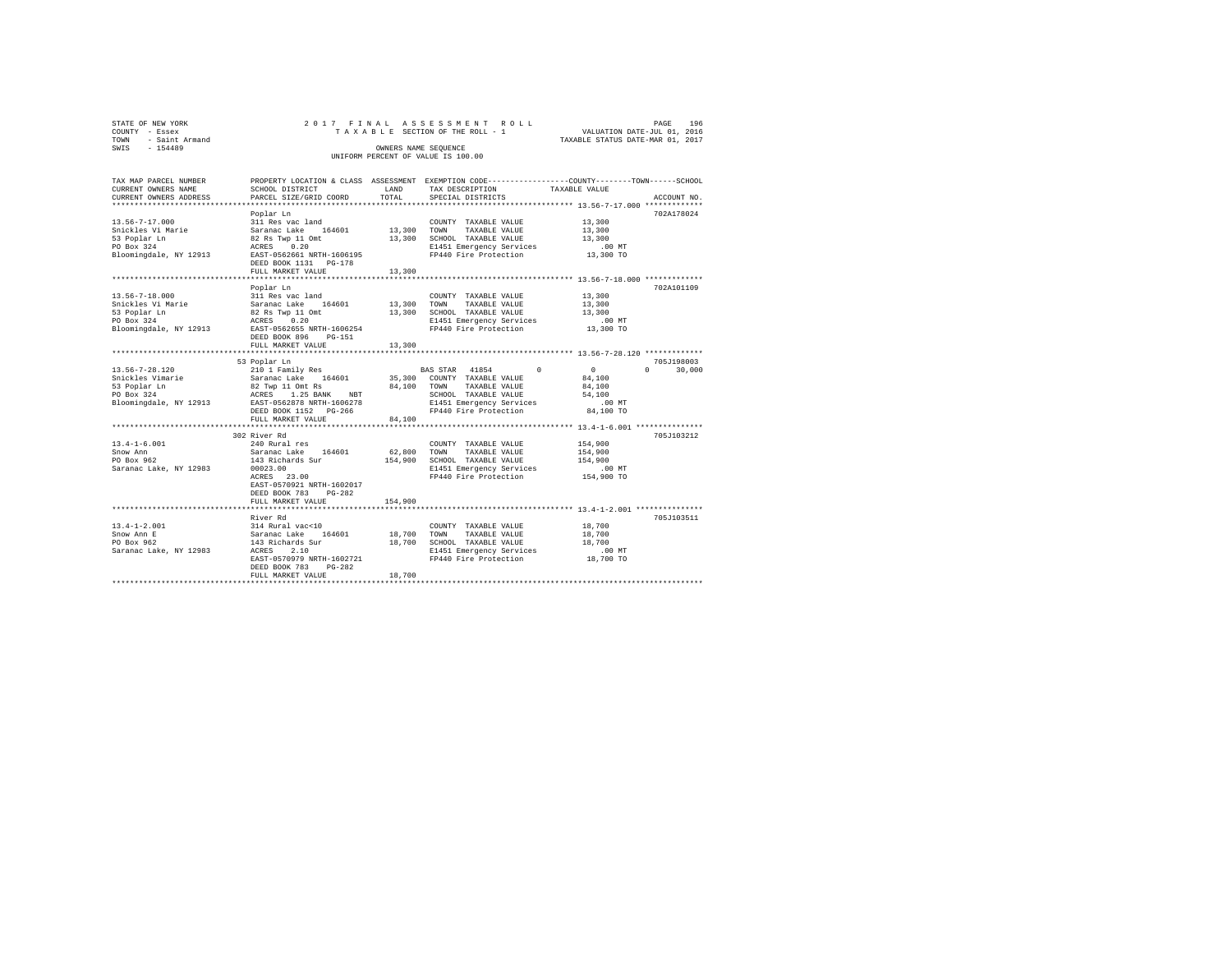| STATE OF NEW YORK   | 2017 FINAL ASSESSMENT ROLL         | PAGE                             | 196 |
|---------------------|------------------------------------|----------------------------------|-----|
| COUNTY - Essex      | TAXABLE SECTION OF THE ROLL - 1    | VALUATION DATE-JUL 01, 2016      |     |
| TOWN - Saint Armand |                                    | TAXABLE STATUS DATE-MAR 01, 2017 |     |
| SWIS<br>$-154489$   | OWNERS NAME SEOUENCE               |                                  |     |
|                     | UNIFORM PERCENT OF VALUE IS 100.00 |                                  |     |
|                     |                                    |                                  |     |
|                     |                                    |                                  |     |

| TAX MAP PARCEL NUMBER  |                                    |             | PROPERTY LOCATION & CLASS ASSESSMENT EXEMPTION CODE---------------COUNTY-------TOWN-----SCHOOL |                              |
|------------------------|------------------------------------|-------------|------------------------------------------------------------------------------------------------|------------------------------|
| CURRENT OWNERS NAME    | SCHOOL DISTRICT                    | LAND        | TAX DESCRIPTION                                                                                | TAXABLE VALUE                |
| CURRENT OWNERS ADDRESS | PARCEL SIZE/GRID COORD             | TOTAL       | SPECIAL DISTRICTS                                                                              | ACCOUNT NO.                  |
|                        |                                    |             |                                                                                                |                              |
|                        | Poplar Ln                          |             |                                                                                                | 702A178024                   |
| $13.56 - 7 - 17.000$   | 311 Res vac land                   |             | COUNTY TAXABLE VALUE                                                                           | 13,300                       |
| Snickles Vi Marie      | Saranac Lake 164601                | 13,300 TOWN | TAXABLE VALUE                                                                                  | 13,300                       |
| 53 Poplar Ln           | 82 Rs Twp 11 Omt                   |             | 13,300 SCHOOL TAXABLE VALUE                                                                    | 13,300                       |
| PO Box 324             | 0.20<br>ACRES                      |             | E1451 Emergency Services                                                                       | $.00$ MT                     |
| Bloomingdale, NY 12913 | EAST-0562661 NRTH-1606195          |             | FP440 Fire Protection                                                                          | 13,300 TO                    |
|                        | DEED BOOK 1131 PG-178              |             |                                                                                                |                              |
|                        | FULL MARKET VALUE                  | 13,300      |                                                                                                |                              |
|                        |                                    |             |                                                                                                |                              |
|                        | Poplar Ln                          |             |                                                                                                | 702A101109                   |
| $13.56 - 7 - 18.000$   | 311 Res vac land                   |             | COUNTY TAXABLE VALUE                                                                           | 13,300                       |
| Snickles Vi Marie      | Saranac Lake 164601                | 13,300 TOWN | TAXABLE VALUE                                                                                  | 13,300                       |
| 53 Poplar Ln           | 82 Rs Twp 11 Omt                   | 13,300      | SCHOOL TAXABLE VALUE                                                                           | 13,300                       |
| PO Box 324             | ACRES 0.20                         |             | E1451 Emergency Services                                                                       | $.00$ MT                     |
|                        | EAST-0562655 NRTH-1606254          |             | FP440 Fire Protection                                                                          | 13,300 TO                    |
| Bloomingdale, NY 12913 |                                    |             |                                                                                                |                              |
|                        | DEED BOOK 896<br>$PG-151$          |             |                                                                                                |                              |
|                        | FULL MARKET VALUE                  | 13,300      |                                                                                                |                              |
|                        |                                    |             |                                                                                                |                              |
|                        | 53 Poplar Ln                       |             |                                                                                                | 705J198003                   |
| $13.56 - 7 - 28.120$   | 210 1 Family Res                   |             | BAS STAR 41854<br>$\Omega$                                                                     | $\sim$<br>$\Omega$<br>30,000 |
| Snickles Vimarie       | Saranac Lake 164601                |             | 35,300 COUNTY TAXABLE VALUE                                                                    | 84,100                       |
| 53 Poplar Ln           | 82 Twp 11 Omt Rs                   |             | 84,100 TOWN TAXABLE VALUE                                                                      | 84,100                       |
| PO Box 324             | ACRES 1.25 BANK<br>NBT             |             | SCHOOL TAXABLE VALUE                                                                           | 54,100                       |
| Bloomingdale, NY 12913 | EAST-0562878 NRTH-1606278          |             | E1451 Emergency Services                                                                       | .00 MT                       |
|                        | DEED BOOK 1152 PG-266              |             | FP440 Fire Protection                                                                          | 84,100 TO                    |
|                        | FULL MARKET VALUE                  | 84,100      |                                                                                                |                              |
|                        |                                    |             |                                                                                                |                              |
|                        | 302 River Rd                       |             |                                                                                                | 705J103212                   |
| $13.4 - 1 - 6.001$     | 240 Rural res                      |             | COUNTY TAXABLE VALUE                                                                           | 154,900                      |
| Snow Ann               | Saranac Lake 164601                |             | 62,800 TOWN<br>TAXABLE VALUE                                                                   | 154,900                      |
| PO Box 962             | 143 Richards Sur                   |             | 154,900 SCHOOL TAXABLE VALUE                                                                   | 154,900                      |
| Saranac Lake, NY 12983 | 00023.00                           |             | E1451 Emergency Services                                                                       | $.00$ MT                     |
|                        | ACRES 23.00                        |             | FP440 Fire Protection                                                                          | 154,900 TO                   |
|                        | EAST-0570921 NRTH-1602017          |             |                                                                                                |                              |
|                        | DEED BOOK 783<br>$PG-282$          |             |                                                                                                |                              |
|                        | FULL MARKET VALUE                  | 154,900     |                                                                                                |                              |
|                        |                                    |             |                                                                                                |                              |
|                        | River Rd                           |             |                                                                                                | 705J103511                   |
| $13.4 - 1 - 2.001$     | 314 Rural vac<10                   |             | COUNTY TAXABLE VALUE                                                                           | 18,700                       |
| Snow Ann E             | Saranac Lake<br>164601             | 18,700      | TOWN<br>TAXABLE VALUE                                                                          | 18,700                       |
| PO Box 962             | 143 Richards Sur                   | 18,700      | SCHOOL TAXABLE VALUE                                                                           | 18,700                       |
| Saranac Lake, NY 12983 | 2.10                               |             |                                                                                                |                              |
|                        | ACRES<br>EAST-0570979 NRTH-1602721 |             | E1451 Emergency Services<br>FP440 Fire Protection                                              | .00 MT<br>18,700 TO          |
|                        |                                    |             |                                                                                                |                              |
|                        | DEED BOOK 783<br>PG-282            |             |                                                                                                |                              |
|                        | FULL MARKET VALUE                  | 18,700      |                                                                                                |                              |
|                        |                                    |             |                                                                                                |                              |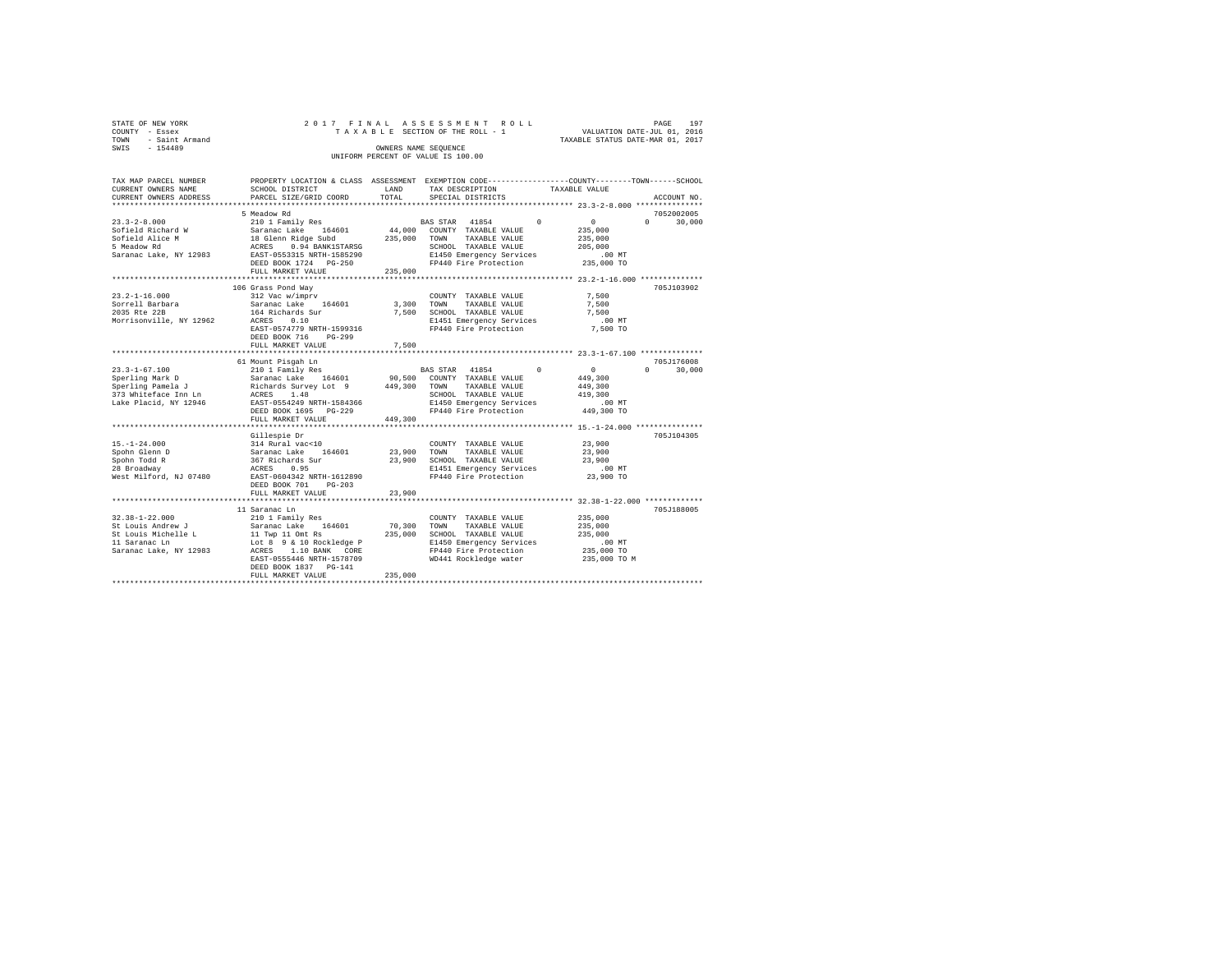|      |                   |  |  |  |                                    |  |  |  | 197<br>PAGE                      |
|------|-------------------|--|--|--|------------------------------------|--|--|--|----------------------------------|
|      | STATE OF NEW YORK |  |  |  | 2017 FINAL ASSESSMENT ROLL         |  |  |  |                                  |
|      | COUNTY - Essex    |  |  |  | TAXABLE SECTION OF THE ROLL - 1    |  |  |  | VALUATION DATE-JUL 01, 2016      |
| TOWN | - Saint Armand    |  |  |  |                                    |  |  |  | TAXABLE STATUS DATE-MAR 01, 2017 |
| SWIS | $-154489$         |  |  |  | OWNERS NAME SEOUENCE               |  |  |  |                                  |
|      |                   |  |  |  | UNIFORM PERCENT OF VALUE IS 100.00 |  |  |  |                                  |

| TAX MAP PARCEL NUMBER<br>CURRENT OWNERS NAME                                                                                                                                                                                       | PROPERTY LOCATION & CLASS ASSESSMENT EXEMPTION CODE----------------COUNTY-------TOWN-----SCHOOL<br>SCHOOL DISTRICT                                                                        | LAND                       | TAX DESCRIPTION                                                                                                                                            | TAXABLE VALUE                                                              |                                           |
|------------------------------------------------------------------------------------------------------------------------------------------------------------------------------------------------------------------------------------|-------------------------------------------------------------------------------------------------------------------------------------------------------------------------------------------|----------------------------|------------------------------------------------------------------------------------------------------------------------------------------------------------|----------------------------------------------------------------------------|-------------------------------------------|
| CURRENT OWNERS ADDRESS                                                                                                                                                                                                             | PARCEL SIZE/GRID COORD                                                                                                                                                                    | TOTAL                      | SPECIAL DISTRICTS                                                                                                                                          |                                                                            | ACCOUNT NO.                               |
|                                                                                                                                                                                                                                    | 5 Meadow Rd                                                                                                                                                                               |                            |                                                                                                                                                            |                                                                            | 7052002005                                |
| $23.3 - 2 - 8.000$<br>Sofield Richard W<br>Sofield Alice M<br>5 Meadow Rd<br>Saranac Lake, NY 12983                                                                                                                                | 210 1 Family Res<br>Saranac Lake 164601<br>18 Glenn Ridge Subd<br>ACRES 0.94 BANK1STARSG<br>EAST-0553315 NRTH-1585290<br>DEED BOOK 1724 PG-250<br>FULL MARKET VALUE                       | 235,000                    | BAS STAR 41854 0<br>44,000 COUNTY TAXABLE VALUE<br>235,000 TOWN TAXABLE VALUE<br>SCHOOL TAXABLE VALUE<br>E1450 Emergency Services<br>FP440 Fire Protection | $\sim$ 0 $\sim$<br>235,000<br>235,000<br>205,000<br>$.00$ MT<br>235,000 TO | $\Omega$ and $\Omega$<br>30,000           |
|                                                                                                                                                                                                                                    |                                                                                                                                                                                           |                            |                                                                                                                                                            |                                                                            |                                           |
| $23.2 - 1 - 16.000$<br>Sorrell Barbara<br>2035 Rte 22B<br>Morrisonville, NY 12962                                                                                                                                                  | 106 Grass Pond Wav<br>312 Vac w/imprv<br>Saranac Lake 164601<br>164 Richards Sur<br>ACRES<br>0.10<br>EAST-0574779 NRTH-1599316<br>DEED BOOK 716<br>$PG-299$                               | 7.500                      | COUNTY TAXABLE VALUE<br>3,300 TOWN<br>TAXABLE VALUE<br>SCHOOL TAXABLE VALUE<br>E1451 Emergency Services<br>FP440 Fire Protection                           | 7.500<br>7,500<br>7.500<br>$.00$ MT<br>7,500 TO                            | 705J103902                                |
|                                                                                                                                                                                                                                    | FULL MARKET VALUE                                                                                                                                                                         | 7.500                      |                                                                                                                                                            |                                                                            |                                           |
|                                                                                                                                                                                                                                    | 61 Mount Pisgah Ln                                                                                                                                                                        |                            | BAS STAR 41854<br>90,500 COUNTY TAXABLE VALUE                                                                                                              | $\sim$ 0<br>$\Omega$<br>449,300                                            | 705J176008<br>$0 \qquad \qquad$<br>30,000 |
| 23.3-1-67.100<br>Sperling Mark D 5 Saranac Lake 164601 90,500 COUNTY<br>Sperling Pamela J Richards Survey Lot 9 449,300 TOWN<br>273 Whiteface Inn Ln RCRES 1.48 SCHOOL<br>273 Whiteface Inn Ln RCRES 1.48<br>Lake Placid, NY 12946 | EAST-0554249 NRTH-1584366<br>DEED BOOK 1695 PG-229<br>FULL MARKET VALUE                                                                                                                   | 449,300                    | TAXABLE VALUE<br>SCHOOL TAXABLE VALUE<br>E1450 Emergency Services<br>FP440 Fire Protection                                                                 | 449,300<br>419,300<br>.00MT<br>449,300 TO                                  |                                           |
|                                                                                                                                                                                                                                    |                                                                                                                                                                                           |                            |                                                                                                                                                            |                                                                            |                                           |
| $15. - 1 - 24.000$<br>Spohn Glenn D<br>Spohn Todd R<br>28 Broadway<br>West Milford, NJ 07480                                                                                                                                       | Gillespie Dr<br>314 Rural vac<10<br>314 Rural vac<10<br>367 Richards Sur<br>367 Richards Sur<br>RCRES 0.95<br>EAST-0604342 NRTH-1612890<br>$PG-203$<br>DEED BOOK 701<br>FULL MARKET VALUE | 23,900<br>23,900<br>23,900 | COUNTY TAXABLE VALUE<br>TOWN<br>TAXABLE VALUE<br>SCHOOL TAXABLE VALUE<br>E1451 Emergency Services<br>FP440 Fire Protection                                 | 23,900<br>23,900<br>23,900<br>$.00$ MT<br>23,900 TO                        | 705J104305                                |
|                                                                                                                                                                                                                                    |                                                                                                                                                                                           |                            |                                                                                                                                                            | ******** 32.38-1-22.000 **********                                         |                                           |
| $32.38 - 1 - 22.000$<br>St Louis Andrew J<br>St Louis Michelle L<br>11 Saranac Ln<br>Saranac Lake, NY 12983 ACRES 1.10 BANK CORE                                                                                                   | 11 Saranac Ln<br>210 1 Family Res<br>Saranac Lake 164601<br>11 Twp 11 Omt Rs<br>Lot 8 9 & 10 Rockledge P<br>EAST-0555446 NRTH-1578709<br>DEED BOOK 1837 PG-141                            | 235,000                    | COUNTY TAXABLE VALUE<br>70,300 TOWN<br>TAXABLE VALUE<br>SCHOOL TAXABLE VALUE<br>E1450 Emergency Services<br>FP440 Fire Protection<br>WD441 Rockledge water | 235,000<br>235,000<br>235,000<br>$.00$ MT<br>235,000 TO<br>235,000 TO M    | 705J188005                                |
|                                                                                                                                                                                                                                    | FULL MARKET VALUE                                                                                                                                                                         | 235,000                    |                                                                                                                                                            |                                                                            |                                           |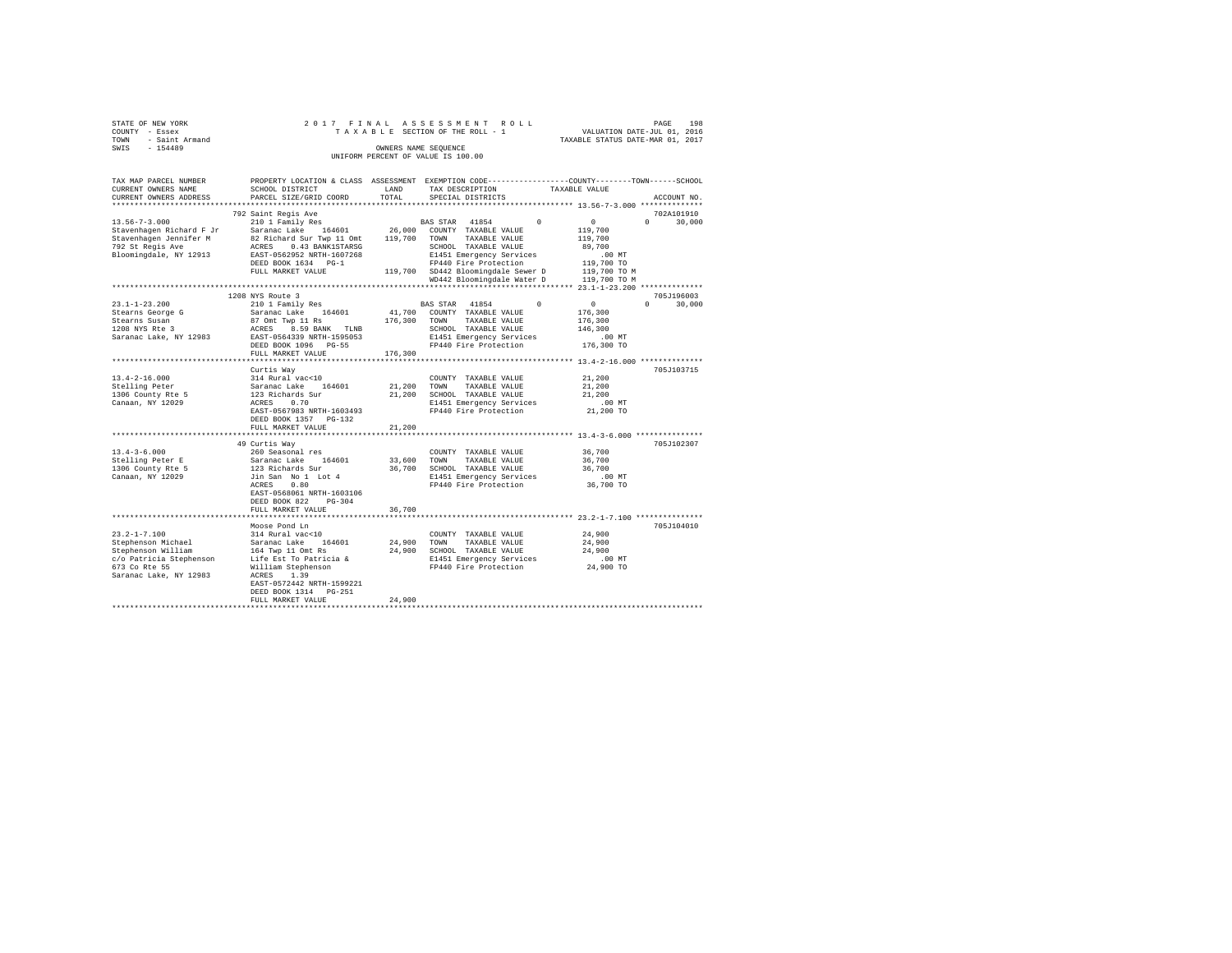| STATE OF NEW YORK<br>COUNTY - Essex                                   |                                                                                                                                                                                                                                                             |         | 2017 FINAL ASSESSMENT ROLL<br>TAXABLE SECTION OF THE ROLL - 1              | PAGE 198<br>VALUATION DATE-JUL 01, 2016 |               |
|-----------------------------------------------------------------------|-------------------------------------------------------------------------------------------------------------------------------------------------------------------------------------------------------------------------------------------------------------|---------|----------------------------------------------------------------------------|-----------------------------------------|---------------|
| TOWN - Saint Armand                                                   |                                                                                                                                                                                                                                                             |         |                                                                            | TAXABLE STATUS DATE-MAR 01, 2017        |               |
| SWIS - 154489                                                         |                                                                                                                                                                                                                                                             |         | OWNERS NAME SEQUENCE                                                       |                                         |               |
|                                                                       |                                                                                                                                                                                                                                                             |         | UNIFORM PERCENT OF VALUE IS 100.00                                         |                                         |               |
| TAX MAP PARCEL NUMBER                                                 | PROPERTY LOCATION & CLASS ASSESSMENT EXEMPTION CODE---------------COUNTY-------TOWN------SCHOOL                                                                                                                                                             |         |                                                                            |                                         |               |
| CURRENT OWNERS NAME                                                   | SCHOOL DISTRICT                                                                                                                                                                                                                                             | LAND    | TAX DESCRIPTION                                                            | TAXABLE VALUE                           |               |
| CURRENT OWNERS ADDRESS                                                | PARCEL SIZE/GRID COORD                                                                                                                                                                                                                                      | TOTAL   | SPECIAL DISTRICTS                                                          |                                         | ACCOUNT NO.   |
|                                                                       |                                                                                                                                                                                                                                                             |         |                                                                            |                                         |               |
|                                                                       | 792 Saint Regis Ave                                                                                                                                                                                                                                         |         |                                                                            |                                         | 702A101910    |
| $13.56 - 7 - 3.000$                                                   | 210 1 Family Res                                                                                                                                                                                                                                            |         | BAS STAR 41854 0                                                           | $\sim$ 0                                | $0 \t 30.000$ |
| Stavenhagen Richard F Jr                                              | Saranac Lake 164601                                                                                                                                                                                                                                         |         | 26,000 COUNTY TAXABLE VALUE                                                | 119,700                                 |               |
| Stavenhagen Jennifer M                                                | 82 Richard Sur Twp 11 Omt 119,700 TOWN TAXABLE VALUE<br>% Richard Sur Twp 11 Units<br>ACRES 0 0.43 BANK1STARSG<br>ERST-0562952 NRTH-1607268<br>FRIP 1634 PG-1 PH400 FRIP 1640 PT440 FRIP 1706 CORP PT440 PT440<br>CORPORATION CONTINUES TO CONTINUES Away D |         |                                                                            | 119,700                                 |               |
| 792 St Regis Ave                                                      |                                                                                                                                                                                                                                                             |         |                                                                            | 89,700                                  |               |
| Bloomingdale, NY 12913                                                |                                                                                                                                                                                                                                                             |         |                                                                            | $.00$ MT                                |               |
|                                                                       |                                                                                                                                                                                                                                                             |         |                                                                            | 119,700 TO                              |               |
|                                                                       | FULL MARKET VALUE                                                                                                                                                                                                                                           |         | 119,700 SD442 Bloomingdale Sewer D                                         | 119,700 TO M                            |               |
|                                                                       |                                                                                                                                                                                                                                                             |         | WD442 Bloomingdale Water D 119,700 TO M                                    |                                         |               |
|                                                                       |                                                                                                                                                                                                                                                             |         |                                                                            |                                         |               |
|                                                                       | 1208 NYS Route 3                                                                                                                                                                                                                                            |         |                                                                            |                                         | 705.T196003   |
| $23.1 - 1 - 23.200$                                                   | 210 1 Family Res                                                                                                                                                                                                                                            |         | BAS STAR 41854                                                             | $\Omega$<br>$\sim$ 0                    | $0 \t 30.000$ |
| Stearns George G                                                      | Saranac Lake 164601                                                                                                                                                                                                                                         |         | 41,700 COUNTY TAXABLE VALUE                                                | 176,300                                 |               |
| Stearns Susan<br>1208 NYS Rte 3                                       | 87 Omt Twp 11 Rs                                                                                                                                                                                                                                            |         | 176,300 TOWN TAXABLE VALUE                                                 | 176,300                                 |               |
|                                                                       | ACRES 8.59 BANK TLNB                                                                                                                                                                                                                                        |         | SCHOOL TAXABLE VALUE                                                       | 146,300                                 |               |
| Saranac Lake, NY 12983                                                | EAST-0564339 NRTH-1595053                                                                                                                                                                                                                                   |         | E1451 Emergency Services                                                   | $.00$ MT                                |               |
|                                                                       | DEED BOOK 1096 PG-55                                                                                                                                                                                                                                        |         | FP440 Fire Protection                                                      | 176,300 TO                              |               |
|                                                                       | FULL MARKET VALUE                                                                                                                                                                                                                                           | 176,300 |                                                                            |                                         |               |
|                                                                       |                                                                                                                                                                                                                                                             |         |                                                                            |                                         |               |
|                                                                       | Curtis Way                                                                                                                                                                                                                                                  |         |                                                                            | 21,200                                  | 705J103715    |
| $13.4 - 2 - 16.000$                                                   | 314 Rural vac<10<br>Saranac Lake 164601                                                                                                                                                                                                                     |         | COUNTY TAXABLE VALUE                                                       | 21,200                                  |               |
| $\begin{array}{c}\n \text{stelling Peter} \\  1305 = 7\n \end{array}$ | 123 Richards Sur                                                                                                                                                                                                                                            |         | 21,200 TOWN TAXABLE VALUE<br>21,200 SCHOOL TAXABLE VALUE                   | 21,200                                  |               |
| 1306 County Rte 5                                                     |                                                                                                                                                                                                                                                             |         |                                                                            | $.00$ MT                                |               |
| Canaan, NY 12029                                                      | ACRES 0.70<br>EAST-0567983 NRTH-1603493                                                                                                                                                                                                                     |         | E1451 Emergency Services<br>FP440 Fire Protection                          | 21,200 TO                               |               |
|                                                                       | DEED BOOK 1357 PG-132                                                                                                                                                                                                                                       |         |                                                                            |                                         |               |
|                                                                       | FULL MARKET VALUE                                                                                                                                                                                                                                           | 21,200  |                                                                            |                                         |               |
|                                                                       |                                                                                                                                                                                                                                                             |         |                                                                            |                                         |               |
|                                                                       | 49 Curtis Way                                                                                                                                                                                                                                               |         |                                                                            |                                         | 705J102307    |
| $13.4 - 3 - 6.000$                                                    | 260 Seasonal res                                                                                                                                                                                                                                            |         | COUNTY TAXABLE VALUE                                                       | 36,700                                  |               |
| Stelling Peter E                                                      | Saranac Lake 164601                                                                                                                                                                                                                                         |         | 33,600 TOWN TAXABLE VALUE                                                  | 36,700                                  |               |
| 1306 County Rte 5                                                     |                                                                                                                                                                                                                                                             |         | 36,700 SCHOOL TAXABLE VALUE                                                | 36,700                                  |               |
| Canaan, NY 12029                                                      | 123 Richards Sur<br>Jin San No 1 Lot 4                                                                                                                                                                                                                      |         | E1451 Emergency Services                                                   | $.00$ MT                                |               |
|                                                                       | ACRES 0.80                                                                                                                                                                                                                                                  |         | FP440 Fire Protection                                                      | 36,700 TO                               |               |
|                                                                       | EAST-0568061 NRTH-1603106                                                                                                                                                                                                                                   |         |                                                                            |                                         |               |
|                                                                       | DEED BOOK 822 PG-304                                                                                                                                                                                                                                        |         |                                                                            |                                         |               |
|                                                                       | FULL MARKET VALUE                                                                                                                                                                                                                                           | 36,700  |                                                                            |                                         |               |
|                                                                       |                                                                                                                                                                                                                                                             |         |                                                                            |                                         |               |
|                                                                       | Moose Pond Ln                                                                                                                                                                                                                                               |         |                                                                            |                                         | 705J104010    |
| $23.2 - 1 - 7.100$                                                    | 314 Rural vac<10                                                                                                                                                                                                                                            |         | COUNTY TAXABLE VALUE                                                       | 24,900                                  |               |
|                                                                       | Saranac Lake 164601                                                                                                                                                                                                                                         | 24,900  | TOWN<br>TAXABLE VALUE                                                      | 24,900                                  |               |
| Stephenson Michael<br>Stephenson William                              | 164 Twp 11 Omt Rs                                                                                                                                                                                                                                           |         | 24,900 SCHOOL TAXABLE VALUE                                                | 24,900                                  |               |
| c/o Patricia Stephenson                                               | Life Est To Patricia &                                                                                                                                                                                                                                      |         |                                                                            | $.00$ MT                                |               |
| 673 Co Rte 55                                                         | William Stephenson                                                                                                                                                                                                                                          |         | E1451 Emergency Services<br>FP440 Fire Protection<br>FP440 Fire Protection | 24,900 TO                               |               |
| Saranac Lake, NY 12983                                                | ACRES 1.39                                                                                                                                                                                                                                                  |         |                                                                            |                                         |               |
|                                                                       | EAST-0572442 NRTH-1599221                                                                                                                                                                                                                                   |         |                                                                            |                                         |               |
|                                                                       | DEED BOOK 1314 PG-251                                                                                                                                                                                                                                       |         |                                                                            |                                         |               |
|                                                                       |                                                                                                                                                                                                                                                             |         |                                                                            |                                         |               |
|                                                                       | FULL MARKET VALUE                                                                                                                                                                                                                                           | 24,900  |                                                                            |                                         |               |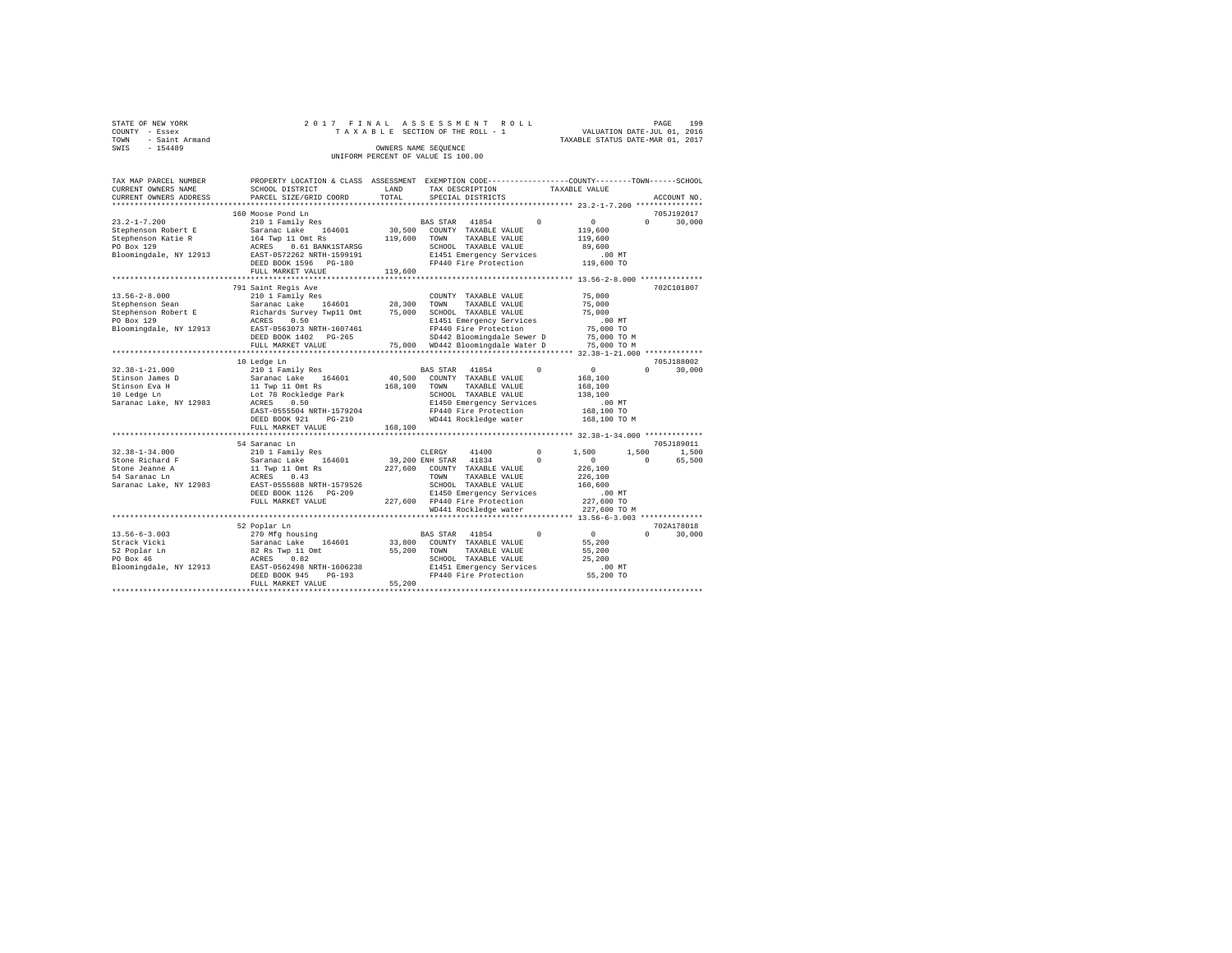|      | STATE OF NEW YORK | 2017 FINAL ASSESSMENT ROLL         | PAGE                             | 199 |
|------|-------------------|------------------------------------|----------------------------------|-----|
|      | COUNTY - Essex    | TAXABLE SECTION OF THE ROLL - 1    | VALUATION DATE-JUL 01, 2016      |     |
| TOWN | - Saint Armand    |                                    | TAXABLE STATUS DATE-MAR 01, 2017 |     |
| SWIS | $-154489$         | OWNERS NAME SEOUENCE               |                                  |     |
|      |                   | UNIFORM PERCENT OF VALUE IS 100.00 |                                  |     |

| TOTAL                        | SPECIAL DISTRICTS                                                                                                                |                                                                                                                                    |                                                                                                                                                                                                                  |                       |                                                                     |
|------------------------------|----------------------------------------------------------------------------------------------------------------------------------|------------------------------------------------------------------------------------------------------------------------------------|------------------------------------------------------------------------------------------------------------------------------------------------------------------------------------------------------------------|-----------------------|---------------------------------------------------------------------|
|                              |                                                                                                                                  |                                                                                                                                    |                                                                                                                                                                                                                  |                       | ACCOUNT NO.                                                         |
|                              |                                                                                                                                  |                                                                                                                                    |                                                                                                                                                                                                                  |                       | 705J192017                                                          |
| 30,500<br>119,600            | 41854<br>COUNTY TAXABLE VALUE<br>TOWN<br>TAXABLE VALUE<br>SCHOOL TAXABLE VALUE<br>FP440 Fire Protection                          | $\Omega$                                                                                                                           | $\circ$<br>119,600<br>119,600<br>89,600<br>.00MT<br>119,600 TO                                                                                                                                                   | $\Omega$              | 30,000                                                              |
|                              |                                                                                                                                  |                                                                                                                                    |                                                                                                                                                                                                                  |                       |                                                                     |
| 28,300<br>75,000             | COUNTY TAXABLE VALUE<br>TOWN<br>TAXABLE VALUE<br>SCHOOL TAXABLE VALUE<br>FP440 Fire Protection                                   |                                                                                                                                    | 75,000<br>75,000<br>75,000<br>$.00$ MT<br>75,000 TO<br>75,000 TO M<br>75,000 TO M                                                                                                                                |                       | 702C101807                                                          |
|                              |                                                                                                                                  |                                                                                                                                    |                                                                                                                                                                                                                  |                       | 705J188002                                                          |
| 40,500<br>168,100<br>168,100 | 41854<br>COUNTY TAXABLE VALUE<br>TOWN<br>TAXABLE VALUE<br>SCHOOL TAXABLE VALUE<br>FP440 Fire Protection<br>WD441 Rockledge water | $^{\circ}$                                                                                                                         | $\circ$<br>168,100<br>168,100<br>138,100<br>$.00$ MT<br>168,100 TO<br>168,100 TO M                                                                                                                               | $\Omega$              | 30,000                                                              |
|                              |                                                                                                                                  |                                                                                                                                    |                                                                                                                                                                                                                  |                       |                                                                     |
|                              |                                                                                                                                  |                                                                                                                                    |                                                                                                                                                                                                                  |                       | 705J189011                                                          |
| 227,600                      | 41834<br>COUNTY TAXABLE VALUE<br>TOWN<br>TAXABLE VALUE<br>SCHOOL TAXABLE VALUE<br>FP440 Fire Protection                          | $\Omega$                                                                                                                           | $\circ$<br>226,100<br>226,100<br>160,600<br>$.00$ MT<br>227,600 TO                                                                                                                                               | $\Omega$              | 1,500<br>65,500                                                     |
|                              |                                                                                                                                  |                                                                                                                                    |                                                                                                                                                                                                                  |                       |                                                                     |
|                              |                                                                                                                                  |                                                                                                                                    |                                                                                                                                                                                                                  |                       |                                                                     |
| 33,800<br>55,200<br>55,200   | 41854<br>COUNTY TAXABLE VALUE<br>TAXABLE VALUE<br>TOWN<br>SCHOOL TAXABLE VALUE<br>FP440 Fire Protection                          | $\Omega$                                                                                                                           | $\circ$<br>55,200<br>55,200<br>25,200<br>.00MT<br>55,200 TO                                                                                                                                                      | $\Omega$              | 702A178018<br>30,000                                                |
|                              | 119,600                                                                                                                          | <b>BAS STAR</b><br>75,000<br>BAS STAR<br>41400<br>CLERGY<br>39,200 ENH STAR<br>227,600<br>WD441 Rockledge water<br><b>BAS STAR</b> | E1451 Emergency Services<br>E1451 Emergency Services<br>SD442 Bloomingdale Sewer D<br>WD442 Bloomingdale Water D<br>E1450 Emergency Services<br>$\Omega$<br>E1450 Emergency Services<br>E1451 Emergency Services | 1,500<br>227,600 TO M | ***************************** 32.38-1-34.000 *************<br>1,500 |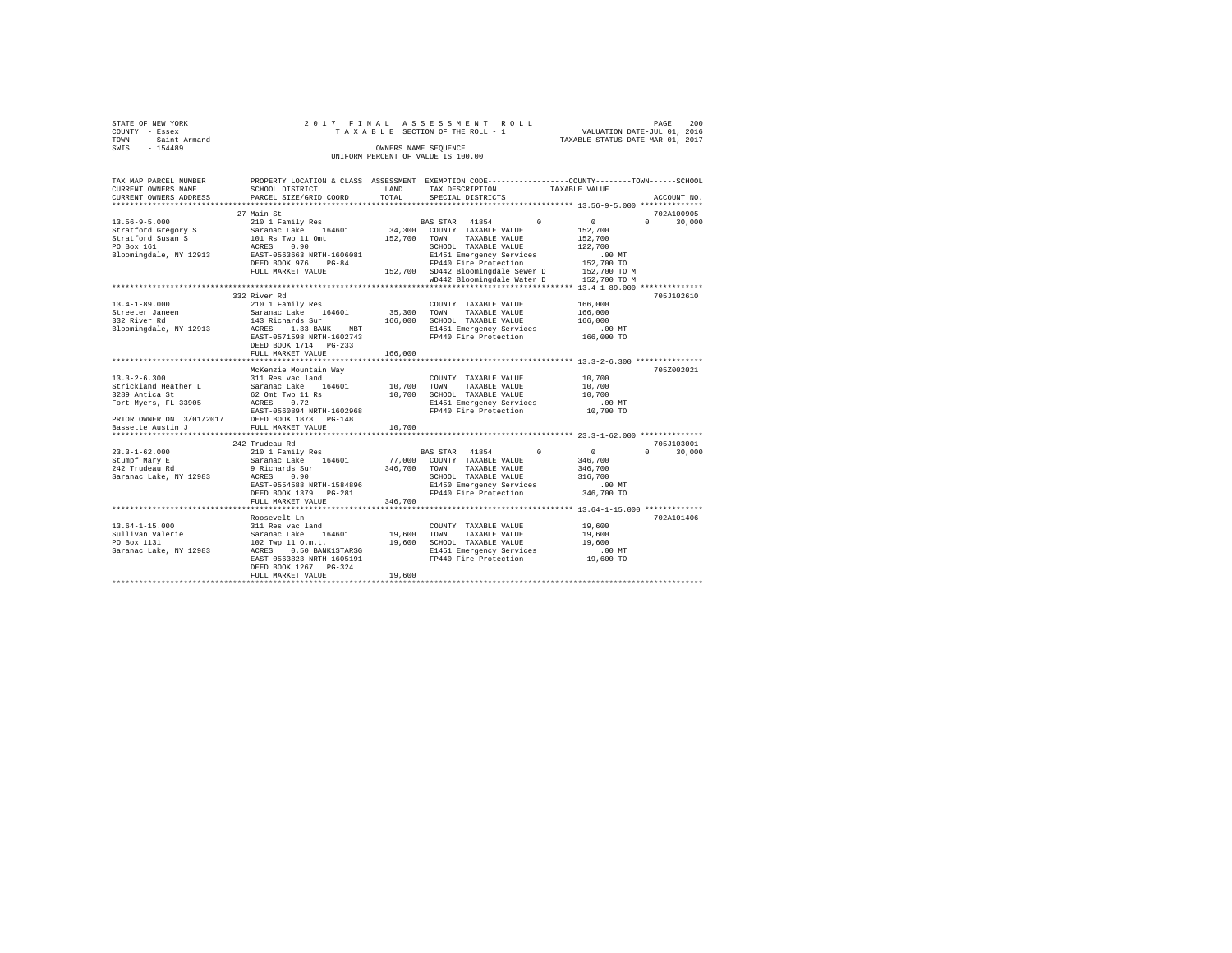| STATE OF NEW YORK   |  | 2017 FINAL ASSESSMENT ROLL         |                                  | PAGE | 200 |
|---------------------|--|------------------------------------|----------------------------------|------|-----|
| COUNTY - Essex      |  | TAXABLE SECTION OF THE ROLL - 1    | VALUATION DATE-JUL 01, 2016      |      |     |
| TOWN - Saint Armand |  |                                    | TAXABLE STATUS DATE-MAR 01, 2017 |      |     |
| SWIS<br>$-154489$   |  | OWNERS NAME SEOUENCE               |                                  |      |     |
|                     |  | UNIFORM PERCENT OF VALUE IS 100.00 |                                  |      |     |

| TAX MAP PARCEL NUMBER<br>CURRENT OWNERS NAME                                                                                                                                                                                                                         | PROPERTY LOCATION & CLASS ASSESSMENT EXEMPTION CODE---------------COUNTY-------TOWN------SCHOOL<br>SCHOOL DISTRICT                                                                                                                                                         | LAND                   | TAX DESCRIPTION                                                                                                                                                                                                                                                                                                                                                                    | TAXABLE VALUE |                                                                                                                |                                                         |
|----------------------------------------------------------------------------------------------------------------------------------------------------------------------------------------------------------------------------------------------------------------------|----------------------------------------------------------------------------------------------------------------------------------------------------------------------------------------------------------------------------------------------------------------------------|------------------------|------------------------------------------------------------------------------------------------------------------------------------------------------------------------------------------------------------------------------------------------------------------------------------------------------------------------------------------------------------------------------------|---------------|----------------------------------------------------------------------------------------------------------------|---------------------------------------------------------|
| CURRENT OWNERS ADDRESS                                                                                                                                                                                                                                               | PARCEL SIZE/GRID COORD                                                                                                                                                                                                                                                     | TOTAL                  | SPECIAL DISTRICTS                                                                                                                                                                                                                                                                                                                                                                  |               |                                                                                                                | ACCOUNT NO.                                             |
|                                                                                                                                                                                                                                                                      |                                                                                                                                                                                                                                                                            |                        |                                                                                                                                                                                                                                                                                                                                                                                    |               |                                                                                                                |                                                         |
| $13.56 - 9 - 5.000$<br>Stratford Gregory Saranac Lake 164601<br>Stratford Susan S 101 Rs Twp 11 Omt<br>PO Box 161 10213 ACRES 0.90<br>Bloomingdale, NY 12913 EAST-0563663 NRTH-1606081<br>13.4-1-89.000<br>Streeter Janeen<br>332 River Rd<br>Bloomingdale, NY 12913 | 27 Main St<br>210 1 Family Res 60 8 BAS STAR 41854 0<br>DEED BOOK 976 PG-84<br>FULL MARKET VALUE<br>332 River Rd<br>210 1 Family Res<br>Saranac Lake 164601<br>143 Richards Sur<br>ACRES 1.33 BANK NBT                                                                     | 35,300 TOWN<br>166,000 | 34.300 COUNTY TAXABLE VALUE<br>152,700 TOWN TAXABLE VALUE<br>SCHOOL TAXABLE VALUE<br>E1451 Emergency Services<br>84   FP440 Fire Protection   152,700 TO<br>152,700   SD442   Bloomingdale Sewer D   152,700 TO M<br>WD442 Bloomingdale Water D 152,700 TO M<br>COUNTY TAXABLE VALUE<br>TAXABLE VALUE<br>SCHOOL TAXABLE VALUE<br>E1451 Emergency Services<br>FP440 Fire Protection |               | $\sim$ 0<br>152,700<br>152,700<br>122,700<br>.00 MT<br>152,700 TO<br>166,000<br>166,000<br>166,000<br>$.00$ MT | 702A100905<br>$0 \qquad \qquad$<br>30,000<br>705J102610 |
|                                                                                                                                                                                                                                                                      | EAST-0571598 NRTH-1602743<br>DEED BOOK 1714 PG-233<br>FULL MARKET VALUE                                                                                                                                                                                                    | 166,000                |                                                                                                                                                                                                                                                                                                                                                                                    |               | 166,000 TO                                                                                                     |                                                         |
|                                                                                                                                                                                                                                                                      |                                                                                                                                                                                                                                                                            |                        |                                                                                                                                                                                                                                                                                                                                                                                    |               |                                                                                                                |                                                         |
| $13.3 - 2 - 6.300$<br>Strickland Heather L Saranac Lake 164601 10,700 TOWN<br>3289 Antica St<br>Port Myers, FL 33905<br>Fort Myers, FL 33905<br>EAST-0560894 NRTH-1602968<br>PRIOR OWNER ON 3/01/2017 DEED BOOK 1873 PG-148                                          | McKenzie Mountain Way<br>311 Res vac land<br>62 Omt Twp 11 Rs                                                                                                                                                                                                              |                        | COUNTY TAXABLE VALUE<br>TAXABLE VALUE<br>10,700 SCHOOL TAXABLE VALUE<br>E1451 Emergency Services<br>FP440 Fire Protection                                                                                                                                                                                                                                                          |               | 10,700<br>10,700<br>10,700<br>.00 MT<br>10,700 TO                                                              | 705Z002021                                              |
|                                                                                                                                                                                                                                                                      |                                                                                                                                                                                                                                                                            | 10,700                 |                                                                                                                                                                                                                                                                                                                                                                                    |               |                                                                                                                |                                                         |
| $23.3 - 1 - 62.000$<br>Stumpf Mary E<br>242 Trudeau Rd<br>Saranac Lake, NY 12983                                                                                                                                                                                     | 242 Trudeau Rd<br>212 Indeed AM Res BAS STAR 41854 0<br>Saranac Lake 164601 77,000 COUNTY TAXABLE VALUE<br>9 Richards Sur 346,700 TOWN TAXABLE VALUE<br>RCRES 0.90 346,700 SCHOOL TAXABLE VALUE<br>EAST-0554588 NRTH-1584896<br>DEED BOOK 1379 PG-281<br>FULL MARKET VALUE | 346,700                | E1450 Emergency Services<br>FP440 Fire Protection                                                                                                                                                                                                                                                                                                                                  |               | $\sim$ 0<br>346,700<br>346,700<br>316,700<br>.00MT<br>346,700 TO                                               | 705J103001<br>$\Omega$<br>30,000                        |
| 13.64-1-15.000<br>Sullivan Valerie<br>PO Box 1131                                                                                                                                                                                                                    | Roosevelt Ln<br>311 Res vac land<br>Saranac Lake      164601               19,600<br>102 Twp 11 O.m.t.                        19,600<br>DEED BOOK 1267 PG-324<br>FULL MARKET VALUE                                                                                         | 19,600                 | COUNTY TAXABLE VALUE<br>TOWN<br>TAXABLE VALUE<br>19,600 SCHOOL TAXABLE VALUE<br>E1451 Emergency Services<br>FP440 Fire Protection                                                                                                                                                                                                                                                  |               | 19,600<br>19,600<br>19,600<br>$.00$ MT<br>19,600 TO                                                            | 702A101406                                              |
|                                                                                                                                                                                                                                                                      |                                                                                                                                                                                                                                                                            |                        |                                                                                                                                                                                                                                                                                                                                                                                    |               |                                                                                                                |                                                         |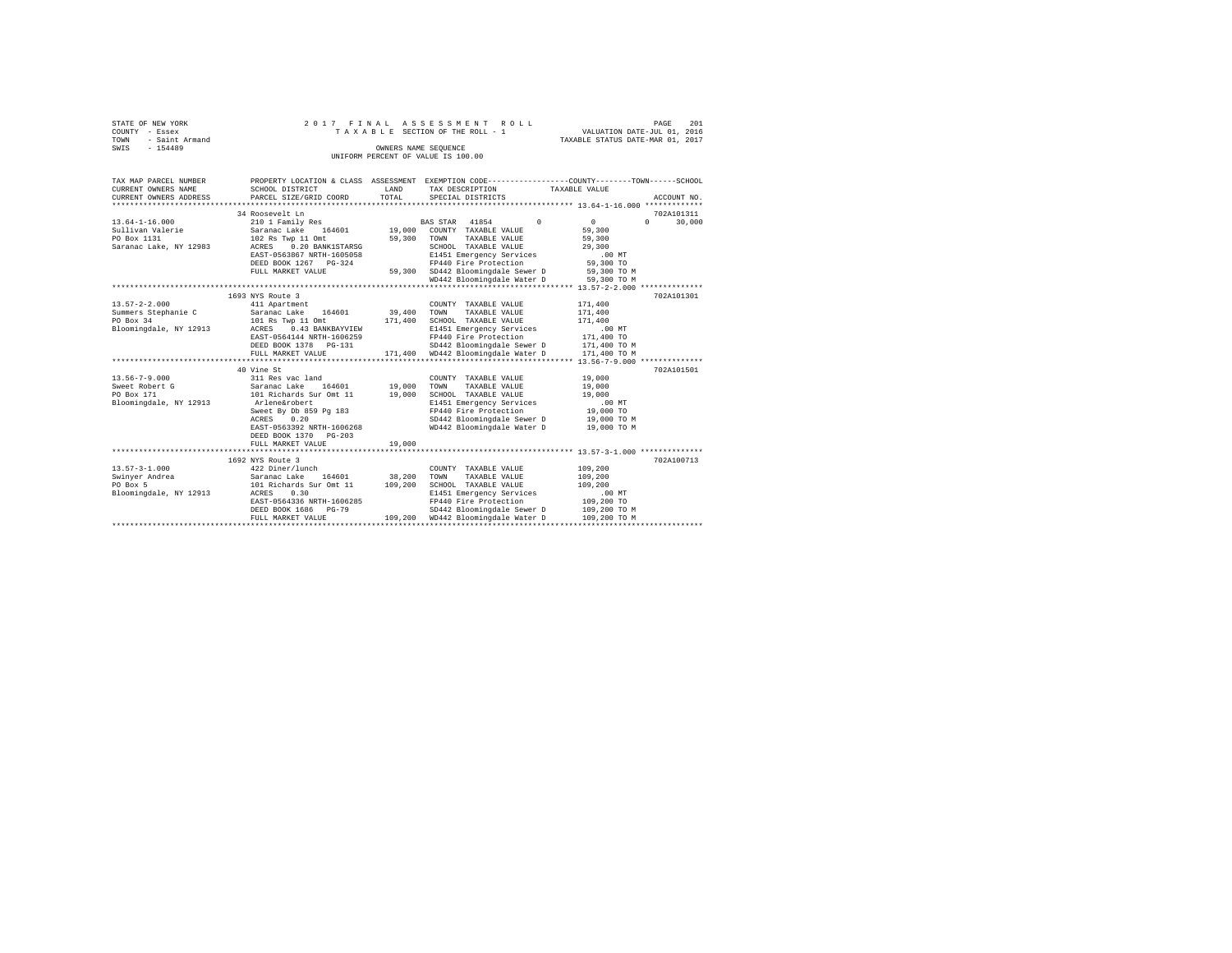|      | STATE OF NEW YORK |  |  |  | 2017 FINAL ASSESSMENT ROLL         |  |  |  | 201<br>PAGE                      |
|------|-------------------|--|--|--|------------------------------------|--|--|--|----------------------------------|
|      | COUNTY - Essex    |  |  |  | TAXABLE SECTION OF THE ROLL - 1    |  |  |  | VALUATION DATE-JUL 01, 2016      |
| TOWN | - Saint Armand    |  |  |  |                                    |  |  |  | TAXABLE STATUS DATE-MAR 01, 2017 |
| SWIS | $-154489$         |  |  |  | OWNERS NAME SEOUENCE               |  |  |  |                                  |
|      |                   |  |  |  | UNIFORM PERCENT OF VALUE IS 100.00 |  |  |  |                                  |

| TAX MAP PARCEL NUMBER<br>CURRENT OWNERS NAME<br>CURRENT OWNERS ADDRESS                      | SCHOOL DISTRICT<br>PARCEL SIZE/GRID COORD                                                                                                                                                              | LAND<br>TOTAL              | PROPERTY LOCATION & CLASS ASSESSMENT EXEMPTION CODE---------------COUNTY-------TOWN------SCHOOL<br>TAX DESCRIPTION TAXABLE VALUE<br>SPECIAL DISTRICTS                                                                                                        |                                                                                   | ACCOUNT NO.                      |
|---------------------------------------------------------------------------------------------|--------------------------------------------------------------------------------------------------------------------------------------------------------------------------------------------------------|----------------------------|--------------------------------------------------------------------------------------------------------------------------------------------------------------------------------------------------------------------------------------------------------------|-----------------------------------------------------------------------------------|----------------------------------|
| $13.64 - 1 - 16.000$<br>Sullivan Valerie<br>PO Box 1131<br>Saranac Lake, NY 12983           | 34 Roosevelt Ln<br>210 1 Family Res<br>164601<br>Saranac Lake<br>102 Rs Twp 11 Omt<br>ACRES 0.20 BANK1STARSG<br>EAST-0563867 NRTH-1605058<br>DEED BOOK 1267 PG-324<br>FULL MARKET VALUE                | 59,300                     | $\Omega$<br>BAS STAR 41854<br>19,000 COUNTY TAXABLE VALUE<br>TOWN<br>TAXABLE VALUE<br>SCHOOL TAXABLE VALUE<br>E1451 Emergency Services<br>FP440 Fire Protection<br>59,300 SD442 Bloomingdale Sewer D 59,300 TO M<br>WD442 Bloomingdale Water D 59,300 TO M   | $\mathbf{0}$<br>59,300<br>59,300<br>29,300<br>$.00$ MT<br>59,300 TO               | 702A101311<br>30,000<br>$\Omega$ |
| $13.57 - 2 - 2.000$<br>Summers Stephanie C<br>PO Box 34<br>Bloomingdale, NY 12913           | 1693 NYS Route 3<br>411 Apartment<br>164601<br>Saranac Lake<br>101 Rs Twp 11 Omt<br>ACRES 0.43 BANKBAYVIEW<br>EAST-0564144 NRTH-1606259<br>DEED BOOK 1378 PG-131<br>FULL MARKET VALUE                  | 39,400<br>171,400          | COUNTY TAXABLE VALUE<br>TOWN<br>TAXABLE VALUE<br>SCHOOL TAXABLE VALUE<br>E1451 Emergency Services<br>FP440 Fire Protection<br>SD442 Bloomingdale Sewer D 171,400 TO M<br>171,400 WD442 Bloomingdale Water D                                                  | 171,400<br>171,400<br>171,400<br>$.00$ MT<br>171,400 TO<br>171,400 TO M           | 702A101301                       |
| $13.56 - 7 - 9.000$<br>Sweet Robert G<br>PO Box 171<br>Bloomingdale, NY 12913 Arlene&robert | 40 Vine St<br>311 Res vac land<br>Saranac Lake 164601<br>101 Richards Sur Omt 11<br>Sweet By Db 859 Pg 183<br>0.20<br>ACRES<br>EAST-0563392 NRTH-1606268<br>DEED BOOK 1370 PG-203<br>FULL MARKET VALUE | 19,000<br>19,000<br>19,000 | COUNTY TAXABLE VALUE<br>TAXABLE VALUE<br>TOWN<br>SCHOOL TAXABLE VALUE<br>E1451 Emergency Services<br>FP440 Fire Protection<br>SD442 Bloomingdale Sewer D<br>WD442 Bloomingdale Water D                                                                       | 19,000<br>19,000<br>19,000<br>$.00$ MT<br>19,000 TO<br>19,000 TO M<br>19,000 TO M | 702A101501                       |
| $13.57 - 3 - 1.000$<br>Swinver Andrea<br>PO Box 5<br>Bloomingdale, NY 12913                 | 1692 NYS Route 3<br>422 Diner/lunch<br>Saranac Lake 164601<br>101 Richards Sur Omt 11<br>ACRES<br>0.30<br>EAST-0564336 NRTH-1606285<br>DEED BOOK 1686 PG-79<br>FULL MARKET VALUE                       | 38,200<br>109,200          | COUNTY TAXABLE VALUE<br>TOWN<br>TAXABLE VALUE<br>SCHOOL TAXABLE VALUE<br>E1451 Emergency Services<br>FP440 Fire Protection<br>$SD442$ Bloomingdale Sewer D $109,200$ TO M<br>WD442 Bloomingdale Water D $109,200$ TO M<br>109.200 WD442 Bloomingdale Water D | 109,200<br>109,200<br>109,200<br>$.00$ MT<br>109,200 TO<br>109,200 TO M           | 702A100713                       |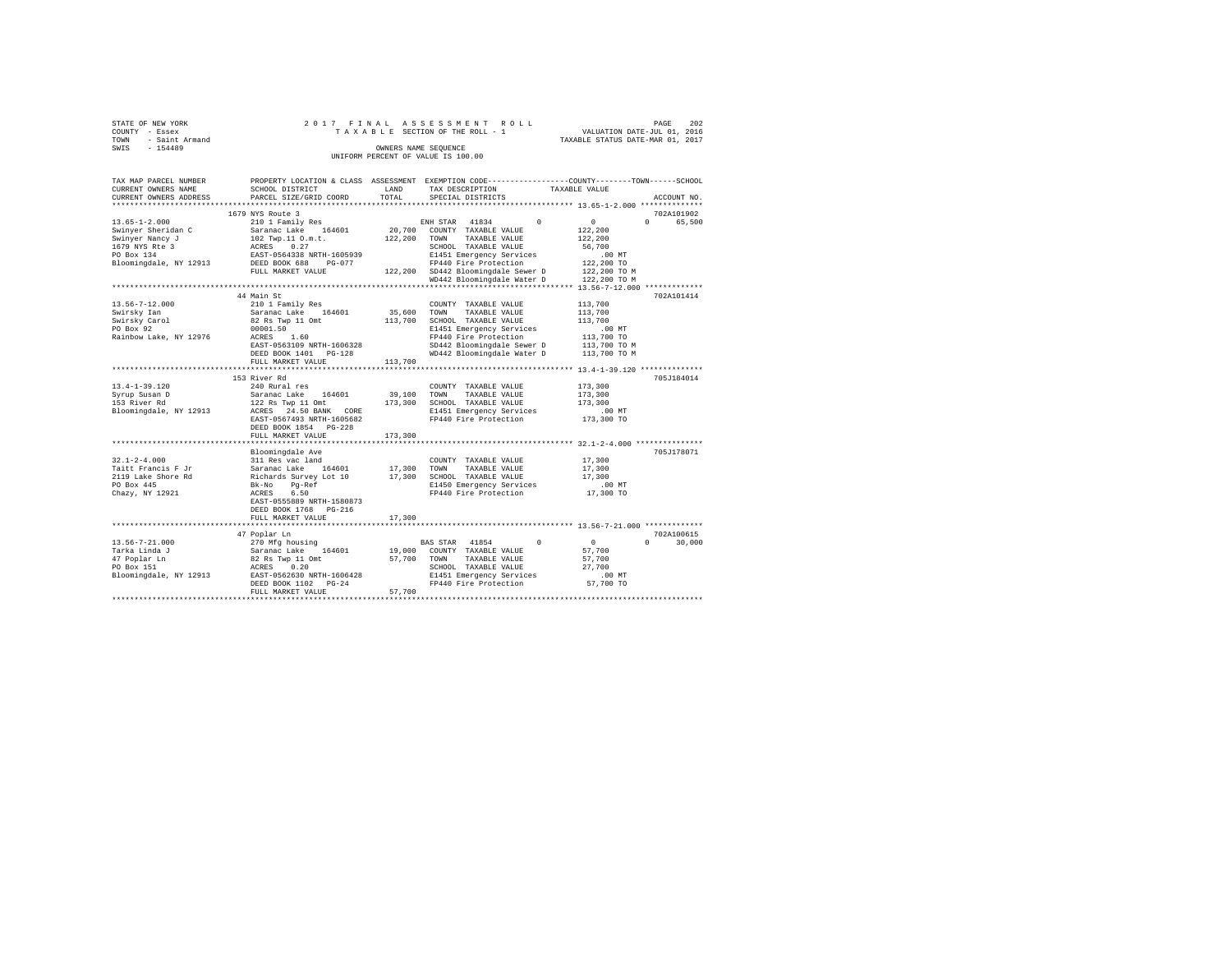|      | STATE OF NEW YORK |  |  |  | 2017 FINAL ASSESSMENT ROLL         |  |  |  |                                  | PAGE | 202 |
|------|-------------------|--|--|--|------------------------------------|--|--|--|----------------------------------|------|-----|
|      | COUNTY - Essex    |  |  |  | TAXABLE SECTION OF THE ROLL - 1    |  |  |  | VALUATION DATE-JUL 01, 2016      |      |     |
| TOWN | - Saint Armand    |  |  |  |                                    |  |  |  | TAXABLE STATUS DATE-MAR 01, 2017 |      |     |
| SWIS | $-154489$         |  |  |  | OWNERS NAME SEOUENCE               |  |  |  |                                  |      |     |
|      |                   |  |  |  | UNIFORM PERCENT OF VALUE IS 100.00 |  |  |  |                                  |      |     |

| TAX MAP PARCEL NUMBER<br>CURRENT OWNERS NAME<br>CURRENT OWNERS ADDRESS | SCHOOL DISTRICT<br>PARCEL SIZE/GRID COORD | LAND<br>TOTAL | PROPERTY LOCATION & CLASS ASSESSMENT EXEMPTION CODE----------------COUNTY-------TOWN------SCHOOL<br>TAX DESCRIPTION<br>SPECIAL DISTRICTS | TAXABLE VALUE                    | ACCOUNT NO.        |
|------------------------------------------------------------------------|-------------------------------------------|---------------|------------------------------------------------------------------------------------------------------------------------------------------|----------------------------------|--------------------|
|                                                                        |                                           |               |                                                                                                                                          |                                  |                    |
|                                                                        | 1679 NYS Route 3                          |               |                                                                                                                                          |                                  | 702A101902         |
| $13.65 - 1 - 2.000$                                                    | 210 1 Family Res                          |               | 41834<br>$\Omega$<br>ENH STAR                                                                                                            | $\circ$                          | $\Omega$<br>65,500 |
| Swinyer Sheridan C                                                     | Saranac Lake 164601                       | 20,700        | COUNTY TAXABLE VALUE                                                                                                                     | 122,200                          |                    |
| Swinyer Nancy J                                                        | 102 Twp.11 O.m.t.                         | 122,200       | TAXABLE VALUE<br>TOWN                                                                                                                    | 122,200                          |                    |
| 1679 NYS Rte 3                                                         | 0.27<br>ACRES                             |               | SCHOOL TAXABLE VALUE                                                                                                                     | 56,700                           |                    |
| PO Box 134                                                             | EAST-0564338 NRTH-1605939                 |               | E1451 Emergency Services                                                                                                                 | $.00$ MT                         |                    |
| Bloomingdale, NY 12913                                                 | DEED BOOK 688<br>$PG-077$                 |               | FP440 Fire Protection                                                                                                                    | 122,200 TO                       |                    |
|                                                                        | FULL MARKET VALUE                         |               | 122,200 SD442 Bloomingdale Sewer D                                                                                                       | 122,200 TO M                     |                    |
|                                                                        |                                           |               | WD442 Bloomingdale Water D                                                                                                               | 122,200 TO M                     |                    |
|                                                                        |                                           |               | ******************************                                                                                                           | *** 13.56-7-12.000 ************* |                    |
|                                                                        | 44 Main St                                |               |                                                                                                                                          |                                  | 702A101414         |
| $13.56 - 7 - 12.000$                                                   | 210 1 Family Res                          |               | COUNTY TAXABLE VALUE                                                                                                                     | 113,700                          |                    |
| Swirsky Ian                                                            | Saranac Lake 164601                       | 35,600        | TOWN<br>TAXABLE VALUE                                                                                                                    | 113,700                          |                    |
| Swirsky Carol                                                          | 82 Rs Twp 11 Omt                          | 113,700       | SCHOOL TAXABLE VALUE                                                                                                                     | 113,700                          |                    |
| PO Box 92                                                              | 00001.50                                  |               | E1451 Emergency Services                                                                                                                 | $.00$ MT                         |                    |
| Rainbow Lake, NY 12976                                                 | ACRES<br>1.60                             |               | FP440 Fire Protection                                                                                                                    | 113,700 TO                       |                    |
|                                                                        | EAST-0563109 NRTH-1606328                 |               | SD442 Bloomingdale Sewer D                                                                                                               | 113,700 TO M                     |                    |
|                                                                        | DEED BOOK 1401 PG-128                     |               | WD442 Bloomingdale Water D                                                                                                               | 113,700 TO M                     |                    |
|                                                                        | FULL MARKET VALUE                         | 113,700       |                                                                                                                                          |                                  |                    |
|                                                                        | ****************************              |               |                                                                                                                                          |                                  |                    |
|                                                                        | 153 River Rd                              |               |                                                                                                                                          |                                  | 705J184014         |
| $13.4 - 1 - 39.120$                                                    | 240 Rural res                             |               | COUNTY TAXABLE VALUE                                                                                                                     | 173,300                          |                    |
| Syrup Susan D                                                          | 164601<br>Saranac Lake                    | 39,100        | TOWN<br>TAXABLE VALUE                                                                                                                    | 173,300                          |                    |
| 153 River Rd                                                           | 122 Rs Twp 11 Omt                         | 173,300       | SCHOOL TAXABLE VALUE                                                                                                                     | 173,300                          |                    |
| Bloomingdale, NY 12913                                                 | ACRES 24.50 BANK CORE                     |               | E1451 Emergency Services                                                                                                                 | $.00$ MT                         |                    |
|                                                                        | EAST-0567493 NRTH-1605682                 |               | FP440 Fire Protection                                                                                                                    | 173,300 TO                       |                    |
|                                                                        | DEED BOOK 1854 PG-228                     |               |                                                                                                                                          |                                  |                    |
|                                                                        | FULL MARKET VALUE                         | 173,300       |                                                                                                                                          |                                  |                    |
|                                                                        | **********************                    |               | ********************************** 32.1-2-4.000 **************                                                                           |                                  |                    |
|                                                                        | Bloomingdale Ave                          |               |                                                                                                                                          |                                  | 705J178071         |
| $32.1 - 2 - 4.000$                                                     | 311 Res vac land                          |               | COUNTY TAXABLE VALUE                                                                                                                     | 17,300                           |                    |
| Taitt Francis F Jr                                                     | Saranac Lake 164601                       | 17,300        | TOWN<br>TAXABLE VALUE                                                                                                                    | 17,300                           |                    |
| 2119 Lake Shore Rd                                                     | Richards Survey Lot 10                    | 17,300        | SCHOOL TAXABLE VALUE                                                                                                                     | 17,300                           |                    |
| PO Box 445                                                             | Pq-Ref<br>Bk-No                           |               | E1450 Emergency Services                                                                                                                 | $.00$ MT                         |                    |
| Chazy, NY 12921                                                        | 6.50<br>ACRES                             |               | FP440 Fire Protection                                                                                                                    | 17,300 TO                        |                    |
|                                                                        | EAST-0555889 NRTH-1580873                 |               |                                                                                                                                          |                                  |                    |
|                                                                        | DEED BOOK 1768 PG-216                     |               |                                                                                                                                          |                                  |                    |
|                                                                        | FULL MARKET VALUE                         | 17,300        |                                                                                                                                          |                                  |                    |
|                                                                        | ****************************              |               |                                                                                                                                          |                                  |                    |
|                                                                        | 47 Poplar Ln                              |               |                                                                                                                                          |                                  | 702A100615         |
| $13.56 - 7 - 21.000$                                                   | 270 Mfg housing                           |               | BAS STAR 41854<br>$\Omega$                                                                                                               | $\sim$                           | $\Omega$<br>30,000 |
| Tarka Linda J                                                          | Saranac Lake<br>164601                    | 19,000        | COUNTY TAXABLE VALUE                                                                                                                     | 57,700                           |                    |
| 47 Poplar Ln                                                           | 82 Rs Twp 11 Omt                          | 57,700        | TAXABLE VALUE<br>TOWN                                                                                                                    | 57,700                           |                    |
| PO Box 151                                                             | 0.20<br>ACRES                             |               | SCHOOL TAXABLE VALUE                                                                                                                     | 27,700                           |                    |
| Bloomingdale, NY 12913                                                 | EAST-0562630 NRTH-1606428                 |               | E1451 Emergency Services                                                                                                                 | $.00$ MT                         |                    |
|                                                                        | DEED BOOK 1102 PG-24                      |               | FP440 Fire Protection                                                                                                                    | 57,700 TO                        |                    |
|                                                                        | FULL MARKET VALUE                         | 57,700        |                                                                                                                                          |                                  |                    |
|                                                                        |                                           |               |                                                                                                                                          |                                  |                    |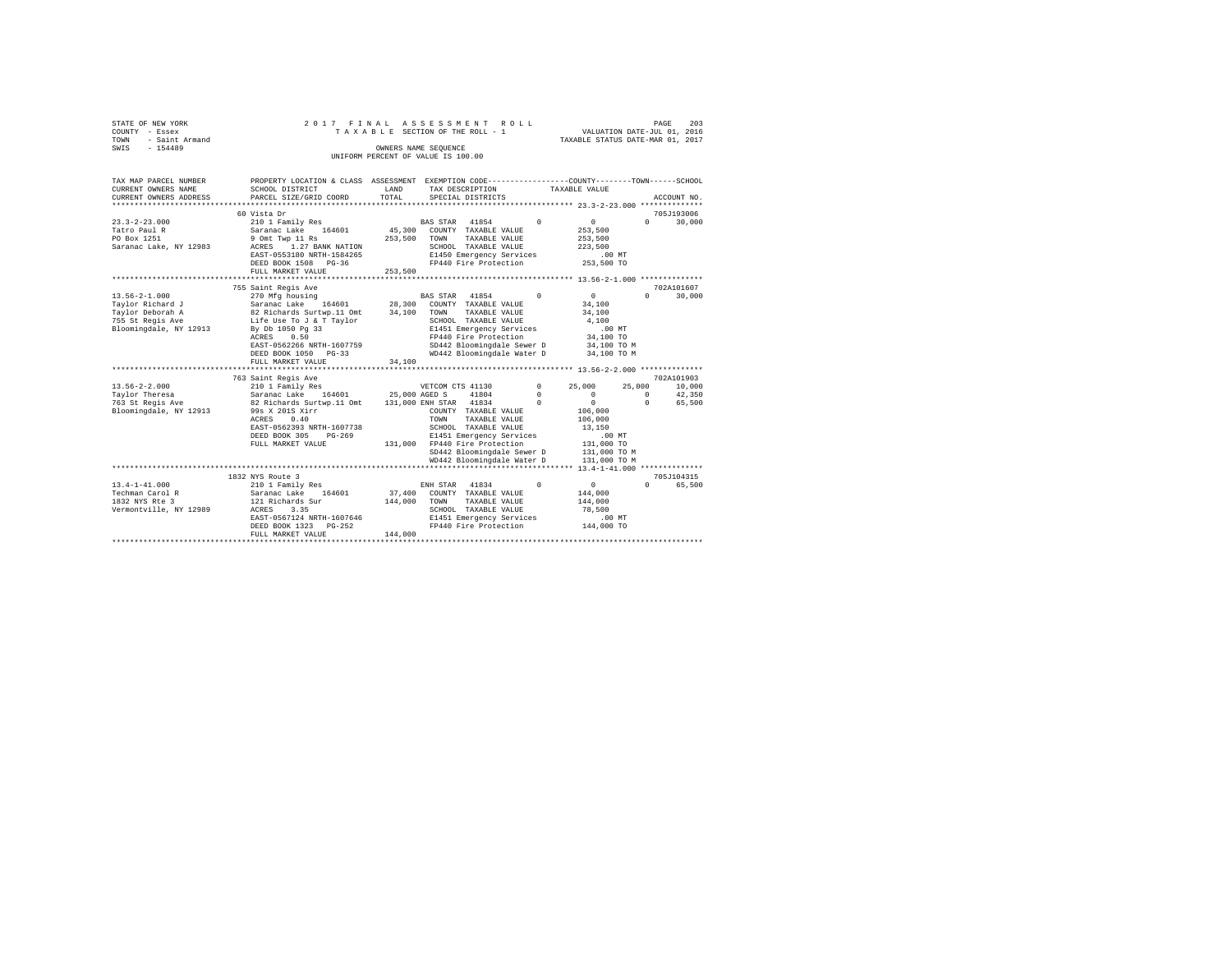|                | STATE OF NEW YORK   |  |  | 2017 FINAL ASSESSMENT ROLL         |  |                                  | PAGE | 203 |
|----------------|---------------------|--|--|------------------------------------|--|----------------------------------|------|-----|
| COUNTY - Essex |                     |  |  | TAXABLE SECTION OF THE ROLL - 1    |  | VALUATION DATE-JUL 01, 2016      |      |     |
|                | TOWN - Saint Armand |  |  |                                    |  | TAXABLE STATUS DATE-MAR 01, 2017 |      |     |
| SWTS           | $-154489$           |  |  | OWNERS NAME SEOUENCE               |  |                                  |      |     |
|                |                     |  |  | UNIFORM PERCENT OF VALUE IS 100.00 |  |                                  |      |     |

| TAX MAP PARCEL NUMBER  | PROPERTY LOCATION & CLASS ASSESSMENT EXEMPTION CODE---------------COUNTY-------TOWN------SCHOOL                          |         |                               |                   |                  |                      |
|------------------------|--------------------------------------------------------------------------------------------------------------------------|---------|-------------------------------|-------------------|------------------|----------------------|
| CURRENT OWNERS NAME    | SCHOOL DISTRICT                                                                                                          | LAND    | TAX DESCRIPTION               |                   | TAXABLE VALUE    |                      |
| CURRENT OWNERS ADDRESS | PARCEL SIZE/GRID COORD                                                                                                   | TOTAL   | SPECIAL DISTRICTS             |                   |                  | ACCOUNT NO.          |
|                        |                                                                                                                          |         |                               |                   |                  |                      |
|                        | 60 Vista Dr                                                                                                              |         |                               |                   |                  | 705J193006           |
| $23.3 - 2 - 23.000$    | 210 1 Family Res                                                                                                         |         | BAS STAR 41854 0              |                   | 0                | 30,000<br>$\Omega$   |
| Tatro Paul R           | Saranac Lake 164601                                                                                                      |         | 45,300 COUNTY TAXABLE VALUE   |                   | 253,500          |                      |
| PO Box 1251            | 9 Omt Twp 11 Rs                                                                                                          | 253,500 | TOWN<br>TAXABLE VALUE         |                   | 253,500          |                      |
| Saranac Lake, NY 12983 | ACRES 1.27 BANK NATION                                                                                                   |         | SCHOOL TAXABLE VALUE          |                   | 223,500          |                      |
|                        | EAST-0553180 NRTH-1584265                                                                                                |         | E1450 Emergency Services      |                   | .00MT            |                      |
|                        | DEED BOOK 1508 PG-36                                                                                                     |         | FP440 Fire Protection         |                   | 253,500 TO       |                      |
|                        | FULL MARKET VALUE                                                                                                        | 253,500 |                               |                   |                  |                      |
|                        |                                                                                                                          |         |                               |                   |                  |                      |
|                        | 755 Saint Regis Ave                                                                                                      |         |                               |                   |                  | 702A101607           |
| $13.56 - 2 - 1.000$    | 270 Mfg housing                                                                                                          |         | BAS STAR 41854                | $^{\circ}$        | $\mathbf{0}$     | $\cap$<br>30,000     |
| Taylor Richard J       | Saranac Lake 164601                                                                                                      |         | 28,300 COUNTY TAXABLE VALUE   |                   | 34,100           |                      |
| Taylor Deborah A       | 82 Richards Surtwp.11 Omt                                                                                                | 34,100  | TAXABLE VALUE<br>TOWN         |                   | 34,100           |                      |
| 755 St Regis Ave       | Life Use To J & T Taylor                                                                                                 |         | SCHOOL TAXABLE VALUE          |                   | 4,100            |                      |
| Bloomingdale, NY 12913 | By Db 1050 Pg 33                                                                                                         |         | E1451 Emergency Services      |                   | .00MT            |                      |
|                        | 0.50<br>ACRES                                                                                                            |         | FP440 Fire Protection         |                   | 34,100 TO        |                      |
|                        | EAST-0562266 NRTH-1607759                                                                                                |         | SD442 Bloomingdale Sewer D    |                   | 34,100 TO M      |                      |
|                        | DEED BOOK 1050 PG-33                                                                                                     |         | WD442 Bloomingdale Water D    |                   | 34,100 TO M      |                      |
|                        | FULL MARKET VALUE                                                                                                        | 34,100  |                               |                   |                  |                      |
|                        |                                                                                                                          |         |                               |                   |                  |                      |
|                        | 763 Saint Regis Ave                                                                                                      |         |                               |                   |                  | 702A101903           |
| $13.56 - 2 - 2.000$    | 210 1 Family Res                                                                                                         |         | VETCOM CTS 41130              | $0 \qquad \qquad$ | 25,000<br>25,000 | 10,000               |
| Taylor Theresa         |                                                                                                                          |         |                               | $^{\circ}$        | $\sim$           | 42,350<br>$^{\circ}$ |
| 763 St Regis Ave       |                                                                                                                          |         |                               | $^{\circ}$        | $\sim$ 0         | $\Omega$<br>65,500   |
| Bloomingdale, NY 12913 | Saranac Lake 164601<br>82 Richards Surtwp.11 Omt 131,000 ENH STAR 41834<br>82 Richards Surtwp.11 Omt 131,000 ENH TAXABLE |         | COUNTY TAXABLE VALUE          |                   | 106,000          |                      |
|                        | 0.40<br><b>ACRES</b>                                                                                                     |         | TAXABLE VALUE<br>TOWN         |                   | 106,000          |                      |
|                        | EAST-0562393 NRTH-1607738                                                                                                |         | SCHOOL TAXABLE VALUE          |                   | 13,150           |                      |
|                        | DEED BOOK 305<br>$PG-269$                                                                                                |         | E1451 Emergency Services      |                   | $.00$ MT         |                      |
|                        | FULL MARKET VALUE                                                                                                        |         | 131,000 FP440 Fire Protection |                   | 131,000 TO       |                      |
|                        |                                                                                                                          |         | SD442 Bloomingdale Sewer D    |                   | 131,000 TO M     |                      |
|                        |                                                                                                                          |         | WD442 Bloomingdale Water D    |                   | 131,000 TO M     |                      |
|                        |                                                                                                                          |         |                               |                   |                  |                      |
|                        | 1832 NYS Route 3                                                                                                         |         |                               |                   |                  | 705J104315           |
| $13.4 - 1 - 41.000$    | 210 1 Family Res                                                                                                         |         | 41834<br>ENH STAR             | $^{\circ}$        | $\mathbf{0}$     | $\Omega$<br>65,500   |
| Techman Carol R        | Saranac Lake 164601                                                                                                      |         | 37,400 COUNTY TAXABLE VALUE   |                   | 144,000          |                      |
| 1832 NYS Rte 3         | 121 Richards Sur                                                                                                         | 144,000 | TOWN<br>TAXABLE VALUE         |                   | 144,000          |                      |
| Vermontville, NY 12989 | ACRES<br>3.35                                                                                                            |         | SCHOOL TAXABLE VALUE          |                   | 78,500           |                      |
|                        | EAST-0567124 NRTH-1607646                                                                                                |         | E1451 Emergency Services      |                   | .00MT            |                      |
|                        | DEED BOOK 1323 PG-252                                                                                                    |         | FP440 Fire Protection         |                   | 144,000 TO       |                      |
|                        | FULL MARKET VALUE                                                                                                        | 144,000 |                               |                   |                  |                      |
|                        |                                                                                                                          |         |                               |                   |                  |                      |
|                        |                                                                                                                          |         |                               |                   |                  |                      |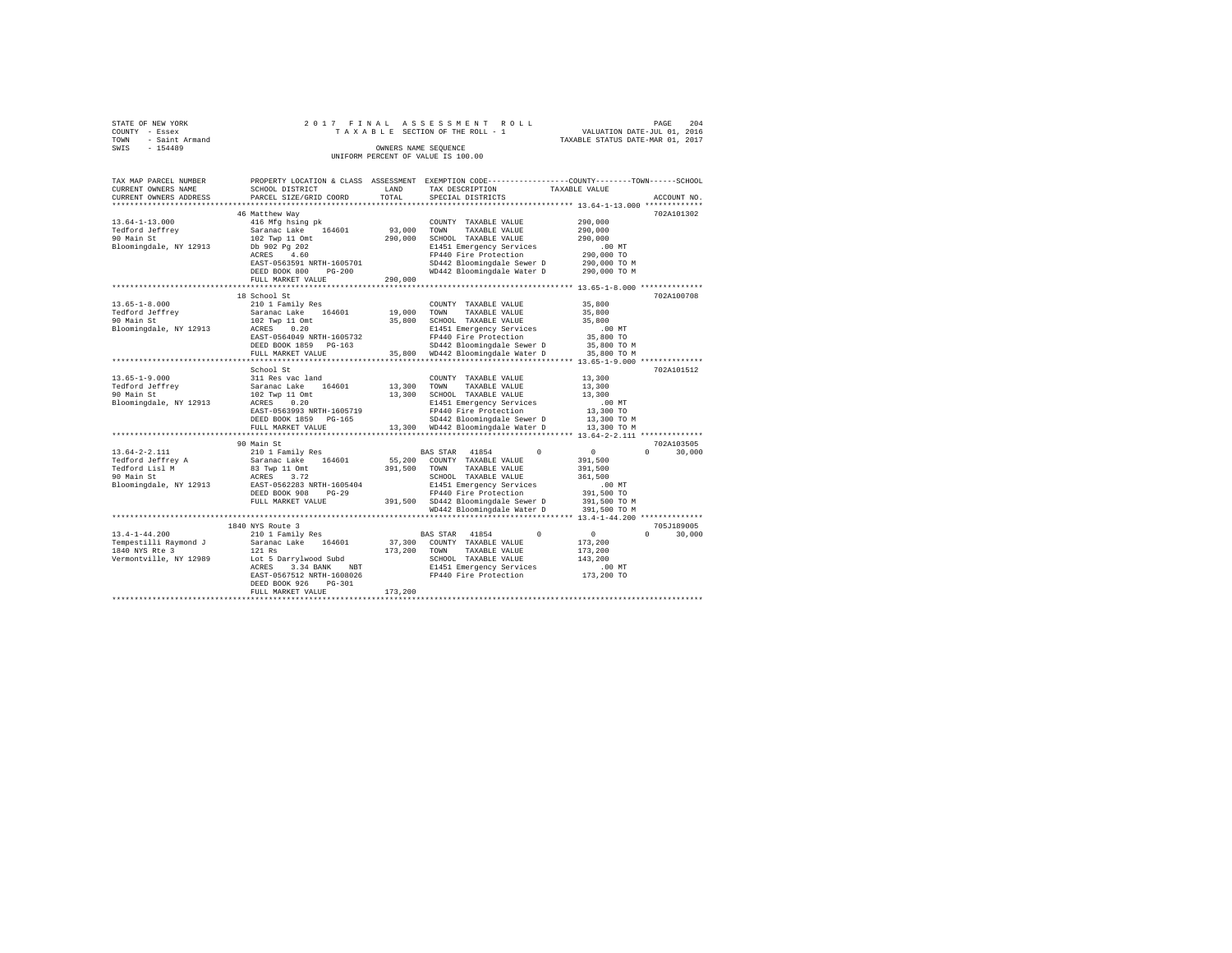| STATE OF NEW YORK                  |  |  |  |  |  | 2017 FINAL ASSESSMENT ROLL      |  |                                  | PAGE |  | 204 |
|------------------------------------|--|--|--|--|--|---------------------------------|--|----------------------------------|------|--|-----|
| COUNTY - Essex                     |  |  |  |  |  | TAXABLE SECTION OF THE ROLL - 1 |  | VALUATION DATE-JUL 01, 2016      |      |  |     |
| TOWN - Saint Armand                |  |  |  |  |  |                                 |  | TAXABLE STATUS DATE-MAR 01, 2017 |      |  |     |
| SWIS<br>$-154489$                  |  |  |  |  |  | OWNERS NAME SEOUENCE            |  |                                  |      |  |     |
| UNIFORM PERCENT OF VALUE IS 100.00 |  |  |  |  |  |                                 |  |                                  |      |  |     |

| TAX MAP PARCEL NUMBER<br>CURRENT OWNERS NAME<br>CURRENT OWNERS ADDRESS | SCHOOL DISTRICT<br>PARCEL SIZE/GRID COORD             | LAND<br>TOTAL | PROPERTY LOCATION & CLASS ASSESSMENT EXEMPTION CODE---------------COUNTY-------TOWN-----SCHOOL<br>TAX DESCRIPTION<br>SPECIAL DISTRICTS | TAXABLE VALUE                       | ACCOUNT NO |
|------------------------------------------------------------------------|-------------------------------------------------------|---------------|----------------------------------------------------------------------------------------------------------------------------------------|-------------------------------------|------------|
| .                                                                      |                                                       |               |                                                                                                                                        |                                     |            |
|                                                                        | 46 Matthew Way                                        |               |                                                                                                                                        |                                     | 702A101302 |
| $13.64 - 1 - 13.000$                                                   | 416 Mfg hsing pk                                      |               | COUNTY TAXABLE VALUE                                                                                                                   | 290,000                             |            |
| Tedford Jeffrey                                                        | Saranac Lake 164601                                   | 93,000        | TOWN<br>TAXABLE VALUE                                                                                                                  | 290,000                             |            |
| 90 Main St                                                             | 102 Twp 11 Omt                                        | 290,000       | SCHOOL TAXABLE VALUE                                                                                                                   | 290,000                             |            |
| Bloomingdale, NY 12913                                                 | Db 902 Pa 202                                         |               | E1451 Emergency Services                                                                                                               | $.00$ MT                            |            |
|                                                                        | 4.60<br>ACRES                                         |               | FP440 Fire Protection                                                                                                                  | 290,000 TO                          |            |
|                                                                        | EAST-0563591 NRTH-1605701                             |               | SD442 Bloomingdale Sewer D                                                                                                             | 290,000 TO M                        |            |
|                                                                        | DEED BOOK 800<br>$PG-200$                             |               | WD442 Bloomingdale Water D                                                                                                             | 290,000 TO M                        |            |
|                                                                        | FULL MARKET VALUE                                     | 290,000       |                                                                                                                                        |                                     |            |
|                                                                        | **************************                            |               | ************************************* 13.65-1-8.000 ***************                                                                    |                                     |            |
|                                                                        | 18 School St                                          |               |                                                                                                                                        |                                     | 702A100708 |
| $13.65 - 1 - 8.000$                                                    | 210 1 Family Res                                      |               | COUNTY TAXABLE VALUE                                                                                                                   | 35,800                              |            |
| Tedford Jeffrey                                                        | Saranac Lake 164601                                   | 19,000        | TOWN<br>TAXABLE VALUE                                                                                                                  | 35,800                              |            |
| 90 Main St                                                             | 102 Twp 11 Omt                                        | 35,800        | SCHOOL TAXABLE VALUE                                                                                                                   | 35,800                              |            |
| Bloomingdale, NY 12913                                                 | ACRES 0.20                                            |               | E1451 Emergency Services                                                                                                               | .00 MT                              |            |
|                                                                        | EAST-0564049 NRTH-1605732                             |               | FP440 Fire Protection                                                                                                                  | 35,800 TO                           |            |
|                                                                        | DEED BOOK 1859 PG-163                                 |               | SD442 Bloomingdale Sewer D                                                                                                             | 35,800 TO M                         |            |
|                                                                        | FULL MARKET VALUE                                     |               | 35,800 WD442 Bloomingdale Water D                                                                                                      | 35,800 TO M                         |            |
|                                                                        |                                                       |               |                                                                                                                                        | ********* 13.65-1-9.000 *********** |            |
|                                                                        | School St                                             |               |                                                                                                                                        |                                     | 702A101512 |
| $13.65 - 1 - 9.000$                                                    | 311 Res vac land                                      |               | COUNTY TAXABLE VALUE                                                                                                                   | 13,300                              |            |
| Tedford Jeffrey                                                        | Saranac Lake<br>164601                                | 13,300        | TOWN<br>TAXABLE VALUE                                                                                                                  | 13,300                              |            |
| 90 Main St                                                             | 102 Twp 11 Omt                                        | 13,300        | SCHOOL TAXABLE VALUE                                                                                                                   | 13,300                              |            |
| Bloomingdale, NY 12913                                                 | ACRES<br>0.20                                         |               | E1451 Emergency Services                                                                                                               | .00 MT                              |            |
|                                                                        | EAST-0563993 NRTH-1605719                             |               | FP440 Fire Protection                                                                                                                  | 13,300 TO                           |            |
|                                                                        | DEED BOOK 1859 PG-165                                 |               | SD442 Bloomingdale Sewer D                                                                                                             | 13,300 TO M                         |            |
|                                                                        | FULL MARKET VALUE                                     | 13,300        | WD442 Bloomingdale Water D                                                                                                             | 13,300 TO M                         |            |
|                                                                        | ***************************                           |               |                                                                                                                                        |                                     |            |
|                                                                        | 90 Main St                                            |               |                                                                                                                                        |                                     | 702A103505 |
| $13.64 - 2 - 2.111$                                                    | 210 1 Family Res                                      |               | 41854<br>$\Omega$<br>BAS STAR                                                                                                          | $\Omega$<br>$\mathbf{0}$            | 30,000     |
| Tedford Jeffrey A                                                      | Saranac Lake 164601                                   | 55,200        | COUNTY TAXABLE VALUE                                                                                                                   | 391,500                             |            |
| Tedford Lisl M                                                         | 83 Twp 11 Omt                                         | 391,500       | TOWN<br>TAXABLE VALUE                                                                                                                  | 391,500                             |            |
| 90 Main St                                                             | ACRES<br>3.72                                         |               | SCHOOL TAXABLE VALUE                                                                                                                   | 361,500                             |            |
| Bloomingdale, NY 12913                                                 | EAST-0562283 NRTH-1605404<br>DEED BOOK 908<br>$PG-29$ |               | E1451 Emergency Services<br>FP440 Fire Protection                                                                                      | $.00$ MT<br>391,500 TO              |            |
|                                                                        | FULL MARKET VALUE                                     |               | 391,500 SD442 Bloomingdale Sewer D                                                                                                     | 391,500 TO M                        |            |
|                                                                        |                                                       |               | WD442 Bloomingdale Water D                                                                                                             | 391,500 TO M                        |            |
|                                                                        | **********************************                    |               |                                                                                                                                        |                                     |            |
|                                                                        | 1840 NYS Route 3                                      |               |                                                                                                                                        |                                     | 705J189005 |
| $13.4 - 1 - 44.200$                                                    | 210 1 Family Res                                      |               | BAS STAR 41854<br>$\Omega$                                                                                                             | $\sim$ 0<br>$\Omega$                | 30,000     |
| Tempestilli Raymond J                                                  | 164601<br>Saranac Lake                                | 37,300        | COUNTY TAXABLE VALUE                                                                                                                   | 173,200                             |            |
| 1840 NYS Rte 3                                                         | 121 Rs                                                | 173,200       | TOWN<br>TAXABLE VALUE                                                                                                                  | 173,200                             |            |
| Vermontville, NY 12989                                                 | Lot 5 Darrylwood Subd                                 |               | SCHOOL TAXABLE VALUE                                                                                                                   | 143,200                             |            |
|                                                                        | 3.34 BANK<br>ACRES<br>NBT                             |               | E1451 Emergency Services                                                                                                               | .00MT                               |            |
|                                                                        | EAST-0567512 NRTH-1608026                             |               | FP440 Fire Protection                                                                                                                  | 173,200 TO                          |            |
|                                                                        | DEED BOOK 926<br>$PG-301$                             |               |                                                                                                                                        |                                     |            |
|                                                                        | FULL MARKET VALUE                                     | 173,200       |                                                                                                                                        |                                     |            |
|                                                                        |                                                       |               |                                                                                                                                        |                                     |            |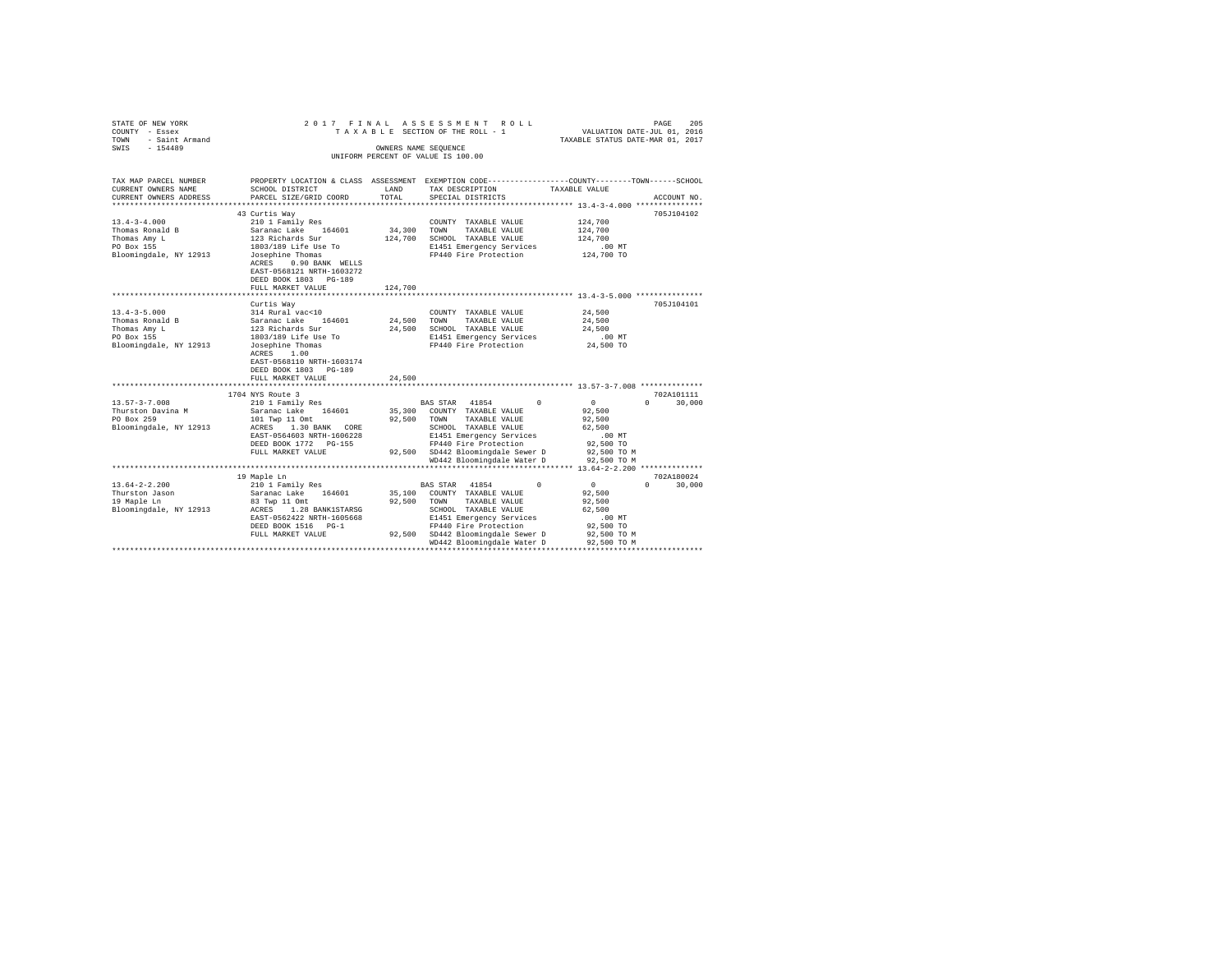| STATE OF NEW YORK      |                                                      |         | 2017 FINAL ASSESSMENT ROLL                                                                      |                                  | PAGE<br>205   |
|------------------------|------------------------------------------------------|---------|-------------------------------------------------------------------------------------------------|----------------------------------|---------------|
| COUNTY - Essex         |                                                      |         | TAXABLE SECTION OF THE ROLL - 1                                                                 | VALUATION DATE-JUL 01, 2016      |               |
| - Saint Armand<br>TOWN |                                                      |         |                                                                                                 | TAXABLE STATUS DATE-MAR 01, 2017 |               |
| SWIS - 154489          |                                                      |         | OWNERS NAME SEQUENCE                                                                            |                                  |               |
|                        |                                                      |         | UNIFORM PERCENT OF VALUE IS 100.00                                                              |                                  |               |
|                        |                                                      |         |                                                                                                 |                                  |               |
|                        |                                                      |         |                                                                                                 |                                  |               |
| TAX MAP PARCEL NUMBER  |                                                      |         | PROPERTY LOCATION & CLASS ASSESSMENT EXEMPTION CODE---------------COUNTY-------TOWN------SCHOOL |                                  |               |
| CURRENT OWNERS NAME    | SCHOOL DISTRICT                                      | LAND    | TAX DESCRIPTION                                                                                 | TAXABLE VALUE                    |               |
| CURRENT OWNERS ADDRESS | PARCEL SIZE/GRID COORD                               | TOTAL   | SPECIAL DISTRICTS                                                                               |                                  | ACCOUNT NO.   |
|                        |                                                      |         |                                                                                                 |                                  |               |
|                        | 43 Curtis Way                                        |         |                                                                                                 |                                  | 705J104102    |
| $13.4 - 3 - 4.000$     | 210 1 Family Res                                     |         | COUNTY TAXABLE VALUE                                                                            | 124,700                          |               |
| Thomas Ronald B        | Saranac Lake 164601                                  | 34,300  | TOWN<br>TAXABLE VALUE                                                                           | 124,700                          |               |
| Thomas Amy L           | 123 Richards Sur                                     | 124,700 | SCHOOL TAXABLE VALUE                                                                            | 124,700                          |               |
| PO Box 155             | 1803/189 Life Use To                                 |         | E1451 Emergency Services                                                                        | $.00$ MT                         |               |
| Bloomingdale, NY 12913 | Josephine Thomas                                     |         | FP440 Fire Protection                                                                           | 124,700 TO                       |               |
|                        | ACRES 0.90 BANK WELLS                                |         |                                                                                                 |                                  |               |
|                        | EAST-0568121 NRTH-1603272                            |         |                                                                                                 |                                  |               |
|                        | DEED BOOK 1803 PG-189                                |         |                                                                                                 |                                  |               |
|                        | FULL MARKET VALUE<br>******************************* | 124,700 |                                                                                                 |                                  |               |
|                        |                                                      |         |                                                                                                 |                                  |               |
|                        | Curtis Way                                           |         |                                                                                                 |                                  | 705J104101    |
| $13.4 - 3 - 5.000$     | 314 Rural vac<10                                     |         | COUNTY TAXABLE VALUE                                                                            | 24,500                           |               |
| Thomas Ronald B        | Saranac Lake 164601                                  | 24,500  | TAXABLE VALUE<br>TOWN                                                                           | 24,500                           |               |
| Thomas Amy L           | 123 Richards Sur                                     | 24,500  | SCHOOL TAXABLE VALUE                                                                            | 24,500                           |               |
| PO Box 155             | 1803/189 Life Use To                                 |         | E1451 Emergency Services                                                                        | $.00$ MT                         |               |
| Bloomingdale, NY 12913 | Josephine Thomas                                     |         | FP440 Fire Protection                                                                           | 24,500 TO                        |               |
|                        | ACRES 1.00                                           |         |                                                                                                 |                                  |               |
|                        | EAST-0568110 NRTH-1603174                            |         |                                                                                                 |                                  |               |
|                        | DEED BOOK 1803 PG-189                                |         |                                                                                                 |                                  |               |
|                        | FULL MARKET VALUE                                    | 24,500  |                                                                                                 |                                  |               |
|                        |                                                      |         |                                                                                                 |                                  |               |
|                        | 1704 NYS Route 3                                     |         |                                                                                                 |                                  | 702A101111    |
| $13.57 - 3 - 7.008$    | 210 1 Family Res                                     |         | BAS STAR 41854 0                                                                                | $\sim$ 0                         | $0 \t 30.000$ |
| Thurston Davina M      | Saranac Lake 164601                                  |         | 35,300 COUNTY TAXABLE VALUE                                                                     | 92,500                           |               |
| PO Box 259             | 101 Twp 11 Omt                                       | 92,500  | TAXABLE VALUE<br>TOWN                                                                           | 92,500                           |               |
| Bloomingdale, NY 12913 | ACRES 1.30 BANK CORE                                 |         | SCHOOL TAXABLE VALUE                                                                            | 62,500                           |               |
|                        | EAST-0564603 NRTH-1606228                            |         | E1451 Emergency Services                                                                        | $.00$ MT                         |               |
|                        | DEED BOOK 1772 PG-155                                |         | FP440 Fire Protection                                                                           | 92,500 TO                        |               |
|                        | FULL MARKET VALUE                                    |         | 92,500 SD442 Bloomingdale Sewer D                                                               | 92,500 TO M                      |               |
|                        |                                                      |         | WD442 Bloomingdale Water D                                                                      | 92,500 TO M                      |               |
|                        |                                                      |         |                                                                                                 |                                  |               |
|                        | 19 Maple Ln                                          |         |                                                                                                 |                                  | 702A180024    |
| $13.64 - 2 - 2.200$    | 210 1 Family Res                                     |         | BAS STAR 41854<br>$\Omega$                                                                      | $\sim$ 0                         | $0 \t 30.000$ |
| Thurston Jason         | Saranac Lake 164601                                  |         | 35,100 COUNTY TAXABLE VALUE                                                                     | 92,500                           |               |
| 19 Maple Ln            | 83 Twp 11 Omt                                        | 92,500  | TOWN TAXABLE VALUE                                                                              | 92,500                           |               |
| Bloomingdale, NY 12913 | ACRES 1.28 BANK1STARSG                               |         | SCHOOL TAXABLE VALUE                                                                            | 62,500                           |               |
|                        | EAST-0562422 NRTH-1605668                            |         | E1451 Emergency Services                                                                        | $.00$ MT                         |               |
|                        | DEED BOOK 1516 PG-1                                  |         | FP440 Fire Protection                                                                           | 92,500 TO                        |               |
|                        | FULL MARKET VALUE                                    |         | 92,500 SD442 Bloomingdale Sewer D                                                               | 92,500 TO M                      |               |
|                        |                                                      |         | WD442 Bloomingdale Water D                                                                      | 92,500 TO M                      |               |
|                        |                                                      |         |                                                                                                 |                                  |               |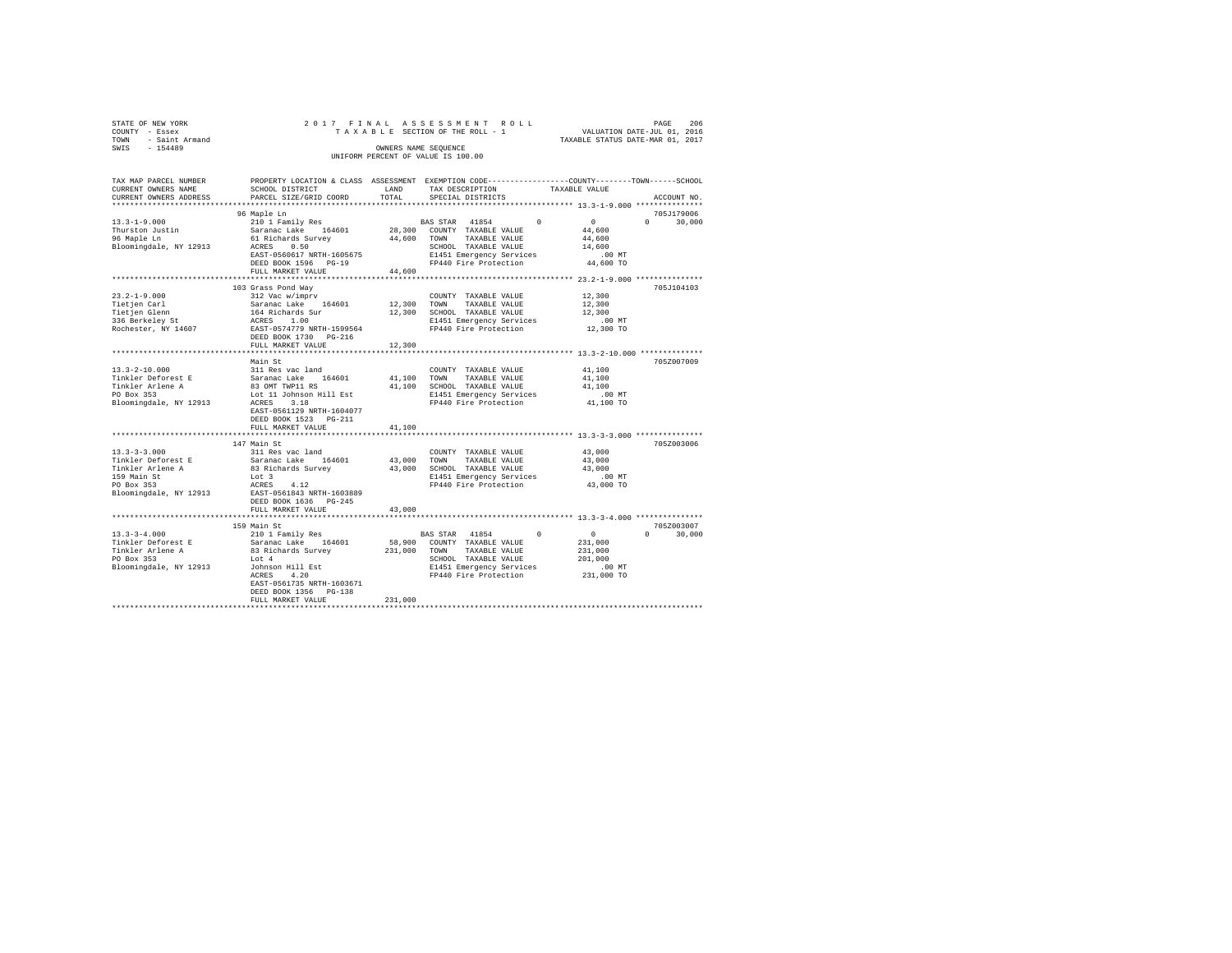| STATE OF NEW YORK                  | 2017 FINAL ASSESSMENT ROLL      | 206<br>PAGE                      |  |  |  |  |  |  |  |  |
|------------------------------------|---------------------------------|----------------------------------|--|--|--|--|--|--|--|--|
| COUNTY - Essex                     | TAXABLE SECTION OF THE ROLL - 1 | VALUATION DATE-JUL 01, 2016      |  |  |  |  |  |  |  |  |
| TOWN - Saint Armand                |                                 | TAXABLE STATUS DATE-MAR 01, 2017 |  |  |  |  |  |  |  |  |
| SWIS<br>$-154489$                  | OWNERS NAME SEOUENCE            |                                  |  |  |  |  |  |  |  |  |
| UNIFORM PERCENT OF VALUE IS 100.00 |                                 |                                  |  |  |  |  |  |  |  |  |

| TAX MAP PARCEL NUMBER<br>CURRENT OWNERS NAME          | SCHOOL DISTRICT                                       | LAND    | TAX DESCRIPTION              | PROPERTY LOCATION & CLASS ASSESSMENT EXEMPTION CODE---------------COUNTY-------TOWN-----SCHOOL<br>TAXABLE VALUE |
|-------------------------------------------------------|-------------------------------------------------------|---------|------------------------------|-----------------------------------------------------------------------------------------------------------------|
| CURRENT OWNERS ADDRESS                                | PARCEL SIZE/GRID COORD                                | TOTAL   | SPECIAL DISTRICTS            | ACCOUNT NO.                                                                                                     |
|                                                       |                                                       |         |                              |                                                                                                                 |
|                                                       | 96 Maple Ln                                           |         |                              | 705J179006                                                                                                      |
| $13.3 - 1 - 9.000$                                    | 210 1 Family Res                                      |         | BAS STAR 41854<br>$\Omega$   | $\mathbf{0}$<br>$\Omega$ and $\Omega$<br>30,000                                                                 |
| Thurston Justin                                       | ---<br>Saranac Lake 164601<br>61 Richards Survey      |         | 28,300 COUNTY TAXABLE VALUE  | 44,600                                                                                                          |
| 96 Maple Ln                                           |                                                       |         | 44,600 TOWN TAXABLE VALUE    | 44,600                                                                                                          |
| Bloomingdale, NY 12913                                | ACRES 0.50                                            |         | SCHOOL TAXABLE VALUE         | 14,600                                                                                                          |
|                                                       | EAST-0560617 NRTH-1605675                             |         | E1451 Emergency Services     | $.00$ MT                                                                                                        |
|                                                       | DEED BOOK 1596 PG-19                                  |         | FP440 Fire Protection        | 44,600 TO                                                                                                       |
|                                                       | FULL MARKET VALUE                                     | 44,600  |                              |                                                                                                                 |
|                                                       |                                                       |         |                              |                                                                                                                 |
|                                                       | 103 Grass Pond Way                                    |         |                              | 705J104103                                                                                                      |
| $23.2 - 1 - 9.000$                                    | 312 Vac w/imprv                                       |         | COUNTY TAXABLE VALUE         | 12,300                                                                                                          |
| Tietjen Carl                                          |                                                       |         | 12,300 TOWN TAXABLE VALUE    | 12,300                                                                                                          |
| Tietjen Carr<br>Tietjen Glenn                         |                                                       |         | 12,300 SCHOOL TAXABLE VALUE  | 12,300                                                                                                          |
| 336 Berkelev St                                       | Saranac Lake 164601<br>164 Richards Sur<br>ACRES 1.00 |         | E1451 Emergency Services     | $.00$ MT                                                                                                        |
| Rochester, NY 14607                                   |                                                       |         | FP440 Fire Protection        | 12,300 TO                                                                                                       |
|                                                       | EAST-0574779 NRTH-1599564                             |         |                              |                                                                                                                 |
|                                                       | DEED BOOK 1730 PG-216                                 |         |                              |                                                                                                                 |
|                                                       | FULL MARKET VALUE                                     | 12,300  |                              |                                                                                                                 |
|                                                       |                                                       |         |                              |                                                                                                                 |
|                                                       | Main St                                               |         |                              | 705Z007009                                                                                                      |
| $13.3 - 2 - 10.000$                                   |                                                       |         | COUNTY TAXABLE VALUE         | 41,100                                                                                                          |
| Tinkler Deforest E                                    |                                                       |         | 41,100 TOWN TAXABLE VALUE    | 41,100                                                                                                          |
| Tinkler Arlene A                                      |                                                       |         | 41.100 SCHOOL TAXABLE VALUE  | 41,100                                                                                                          |
| PO Box 353                                            |                                                       |         | E1451 Emergency Services     | .00MT                                                                                                           |
| Bloomingdale, NY 12913                                |                                                       |         | FP440 Fire Protection        | 41,100 TO                                                                                                       |
|                                                       | EAST-0561129 NRTH-1604077                             |         |                              |                                                                                                                 |
|                                                       | DEED BOOK 1523 PG-211                                 |         |                              |                                                                                                                 |
|                                                       | FULL MARKET VALUE                                     | 41,100  |                              |                                                                                                                 |
|                                                       |                                                       |         |                              |                                                                                                                 |
|                                                       | 147 Main St                                           |         |                              | 705Z003006                                                                                                      |
| $13.3 - 3 - 3.000$                                    | 311 Res vac land<br>Saranac Lake 164601               |         | COUNTY TAXABLE VALUE         | 43,000                                                                                                          |
| Tinkler Deforest E                                    |                                                       |         | 43,000 TOWN<br>TAXABLE VALUE | 43,000                                                                                                          |
| Tinkler Arlene A                                      | 83 Richards Survey (23,000 SCHOOL TAXABLE VALUE       |         |                              | 43,000                                                                                                          |
| 159 Main St                                           | Lot 3                                                 |         | E1451 Emergency Services     | .00 MT                                                                                                          |
| PO Box 353                                            | ACRES<br>4.12                                         |         | FP440 Fire Protection        | 43,000 TO                                                                                                       |
| Bloomingdale, NY 12913 EAST-0561843 NRTH-1603889      |                                                       |         |                              |                                                                                                                 |
|                                                       | DEED BOOK 1636 PG-245                                 |         |                              |                                                                                                                 |
|                                                       | FULL MARKET VALUE                                     | 43,000  |                              |                                                                                                                 |
|                                                       | *****************************                         |         |                              |                                                                                                                 |
|                                                       | 159 Main St                                           |         |                              | 705Z003007                                                                                                      |
| $13.3 - 3 - 4.000$                                    | 210 1 Family Res                                      |         | BAS STAR 41854<br>$^{\circ}$ | $\sim$ 0<br>$\Omega$<br>30,000                                                                                  |
| Tinkler Deforest E                                    |                                                       |         | 58,900 COUNTY TAXABLE VALUE  | 231,000                                                                                                         |
|                                                       | Saranac Lake 164601<br>83 Richards Survey             |         | 231,000 TOWN TAXABLE VALUE   | 231,000                                                                                                         |
| Tinkler Arlene A<br>PO Box 353                        | Lot 4                                                 |         | SCHOOL TAXABLE VALUE         | 201,000                                                                                                         |
|                                                       |                                                       |         | E1451 Emergency Services     |                                                                                                                 |
| Bloomingdale, NY 12913 Johnson Hill Est<br>ACRES 4.20 | 4.20<br>ACRES                                         |         | FP440 Fire Protection        | 00 MT.<br>231,000 TO                                                                                            |
|                                                       | EAST-0561735 NRTH-1603671                             |         |                              |                                                                                                                 |
|                                                       | DEED BOOK 1356 PG-138                                 |         |                              |                                                                                                                 |
|                                                       | FULL MARKET VALUE                                     | 231,000 |                              |                                                                                                                 |
|                                                       |                                                       |         |                              |                                                                                                                 |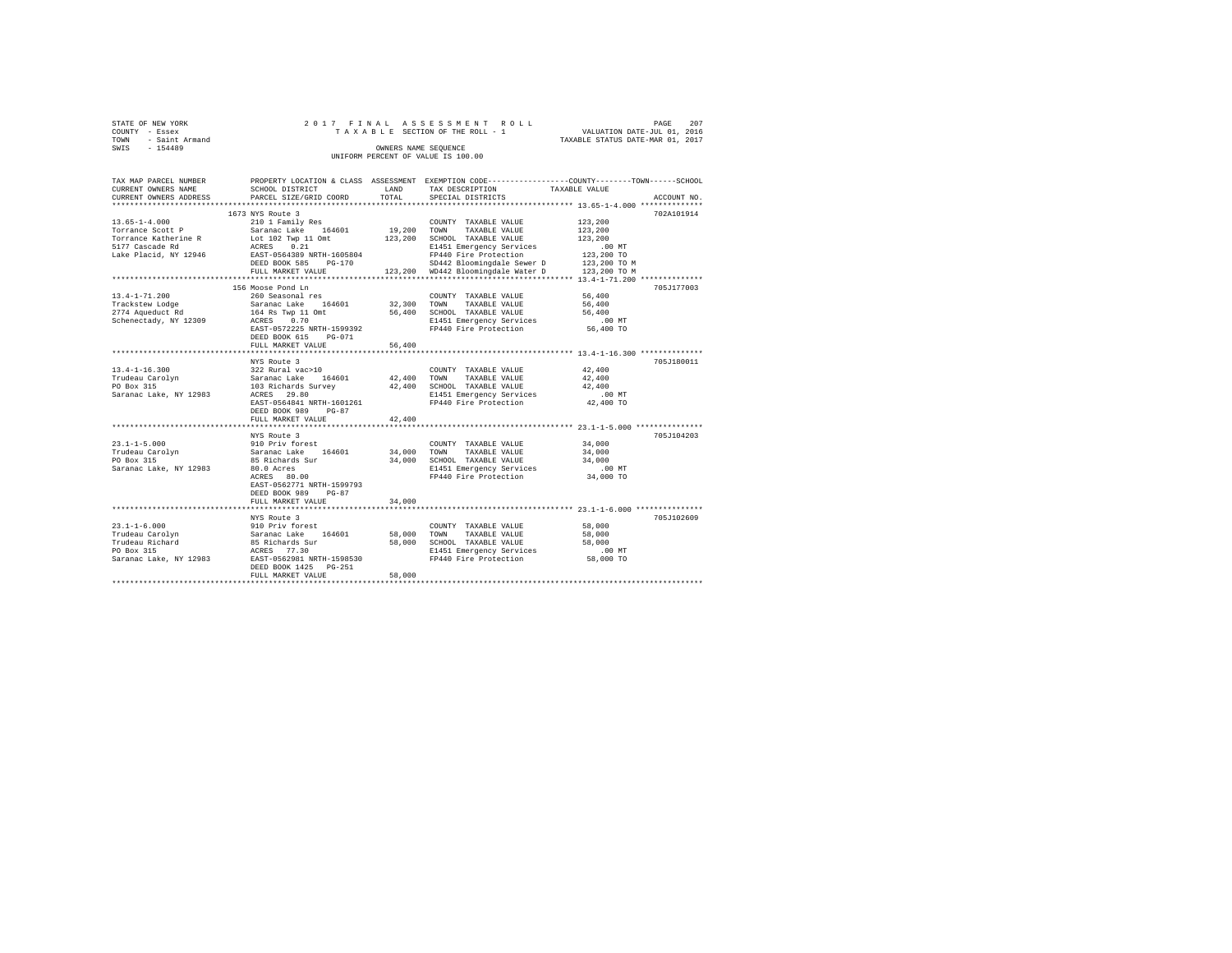| STATE OF NEW YORK   | 2017 FINAL ASSESSMENT ROLL         | 207<br>PAGE                      |
|---------------------|------------------------------------|----------------------------------|
| COUNTY - Essex      | TAXABLE SECTION OF THE ROLL - 1    | VALUATION DATE-JUL 01, 2016      |
| TOWN - Saint Armand |                                    | TAXABLE STATUS DATE-MAR 01, 2017 |
| SWIS<br>$-154489$   | OWNERS NAME SEOUENCE               |                                  |
|                     | UNIFORM PERCENT OF VALUE IS 100.00 |                                  |
|                     |                                    |                                  |

| TAX MAP PARCEL NUMBER                 |                                          |             | PROPERTY LOCATION & CLASS ASSESSMENT EXEMPTION CODE---------------COUNTY-------TOWN-----SCHOOL |                  |             |
|---------------------------------------|------------------------------------------|-------------|------------------------------------------------------------------------------------------------|------------------|-------------|
| CURRENT OWNERS NAME                   | SCHOOL DISTRICT                          | LAND        | TAX DESCRIPTION                                                                                | TAXABLE VALUE    |             |
| CURRENT OWNERS ADDRESS                | PARCEL SIZE/GRID COORD                   | TOTAL       | SPECIAL DISTRICTS                                                                              |                  | ACCOUNT NO. |
|                                       |                                          |             |                                                                                                |                  |             |
|                                       | 1673 NYS Route 3                         |             |                                                                                                |                  | 702A101914  |
| $13.65 - 1 - 4.000$                   | 210 1 Family Res                         |             | COUNTY TAXABLE VALUE                                                                           | 123,200          |             |
| Torrance Scott P                      | Saranac Lake 164601                      | 19,200 TOWN | TAXABLE VALUE                                                                                  | 123,200          |             |
| Torrance Katherine R                  | Lot 102 Twp 11 Omt                       |             | 123,200 SCHOOL TAXABLE VALUE                                                                   | 123,200          |             |
| 5177 Cascade Rd                       | ACRES 0.21                               |             | E1451 Emergency Services                                                                       | .00 MT           |             |
| Lake Placid, NY 12946                 | EAST-0564389 NRTH-1605804                |             | FP440 Fire Protection                                                                          | 123,200 TO       |             |
|                                       | DEED BOOK 585<br>$PG-170$                |             | SD442 Bloomingdale Sewer D 123,200 TO M                                                        |                  |             |
|                                       | FULL MARKET VALUE                        |             | 123.200 WD442 Bloomingdale Water D                                                             | 123,200 TO M     |             |
|                                       |                                          |             |                                                                                                |                  |             |
|                                       | 156 Moose Pond Ln                        |             |                                                                                                |                  | 705J177003  |
| $13.4 - 1 - 71.200$                   | 260 Seasonal res                         |             | COUNTY TAXABLE VALUE                                                                           | 56,400           |             |
|                                       | Saranac Lake 164601                      | 32,300 TOWN | TAXABLE VALUE                                                                                  | 56,400           |             |
| Trackstew Lodge<br>2774 Aqueduct Rd   | 164 Rs Twp 11 Omt                        | 56,400      | SCHOOL TAXABLE VALUE                                                                           | 56,400           |             |
| Schenectady, NY 12309                 | ACRES 0.70                               |             |                                                                                                | .00 MT           |             |
|                                       | EAST-0572225 NRTH-1599392                |             | E1451 Emergency Services<br>FP440 Fire Protection                                              | 56,400 TO        |             |
|                                       | DEED BOOK 615<br>PG-071                  |             |                                                                                                |                  |             |
|                                       | FULL MARKET VALUE                        | 56,400      |                                                                                                |                  |             |
|                                       |                                          |             |                                                                                                |                  |             |
|                                       | NYS Route 3                              |             |                                                                                                |                  | 705J180011  |
| $13.4 - 1 - 16.300$                   | 322 Rural vac>10                         |             | COUNTY TAXABLE VALUE                                                                           | 42,400           |             |
| Trudeau Carolyn                       | 164601 42,400 TOWN                       |             | TAXABLE VALUE                                                                                  | 42,400           |             |
| PO Box 315                            |                                          |             | 42,400 SCHOOL TAXABLE VALUE                                                                    | 42,400           |             |
| Saranac Lake, NY 12983                |                                          |             | E1451 Emergency Services                                                                       | $.00$ MT         |             |
|                                       | EAST-0564841 NRTH-1601261                |             | FP440 Fire Protection                                                                          | 42,400 TO        |             |
|                                       | DEED BOOK 989<br>$PG-87$                 |             |                                                                                                |                  |             |
|                                       | FULL MARKET VALUE                        | 42,400      |                                                                                                |                  |             |
|                                       |                                          |             |                                                                                                |                  |             |
|                                       |                                          |             |                                                                                                |                  | 705J104203  |
|                                       | NYS Route 3                              |             |                                                                                                | 34,000           |             |
| $23.1 - 1 - 5.000$                    | 910 Priv forest                          |             | COUNTY TAXABLE VALUE                                                                           |                  |             |
| Trudeau Carolyn (Saranac Lake 164601) |                                          |             | 34,000 TOWN TAXABLE VALUE                                                                      | 34,000<br>34,000 |             |
| PO Box 315                            | 85 Richards Sur                          |             | 34,000 SCHOOL TAXABLE VALUE                                                                    |                  |             |
| Saranac Lake, NY 12983                | 80.0 Acres                               |             | E1451 Emergency Services                                                                       | .00 MT           |             |
|                                       | ACRES 80.00                              |             | FP440 Fire Protection                                                                          | 34,000 TO        |             |
|                                       | EAST-0562771 NRTH-1599793                |             |                                                                                                |                  |             |
|                                       | DEED BOOK 989<br>$PG-87$                 |             |                                                                                                |                  |             |
|                                       | FULL MARKET VALUE                        | 34,000      |                                                                                                |                  |             |
|                                       |                                          |             |                                                                                                |                  |             |
|                                       | NYS Route 3                              |             |                                                                                                |                  | 705J102609  |
| $23.1 - 1 - 6.000$                    | 910 Priv forest                          |             | COUNTY TAXABLE VALUE                                                                           | 58,000           |             |
| Trudeau Carolyn                       | 164601                                   | 58,000      | TOWN<br>TAXABLE VALUE                                                                          | 58,000           |             |
| Trudeau Richard                       | Saranac Lake 16<br>85 Richards Sur       | 58,000      | SCHOOL TAXABLE VALUE                                                                           | 58,000           |             |
| PO Box 315                            | ACRES 77.30<br>EAST-0562981 NRTH-1598530 |             | E1451 Emergency Services                                                                       | $.00$ MT         |             |
| Saranac Lake, NY 12983                |                                          |             | FP440 Fire Protection                                                                          | 58,000 TO        |             |
|                                       | DEED BOOK 1425 PG-251                    |             |                                                                                                |                  |             |
|                                       | FULL MARKET VALUE                        | 58,000      |                                                                                                |                  |             |
|                                       |                                          |             |                                                                                                |                  |             |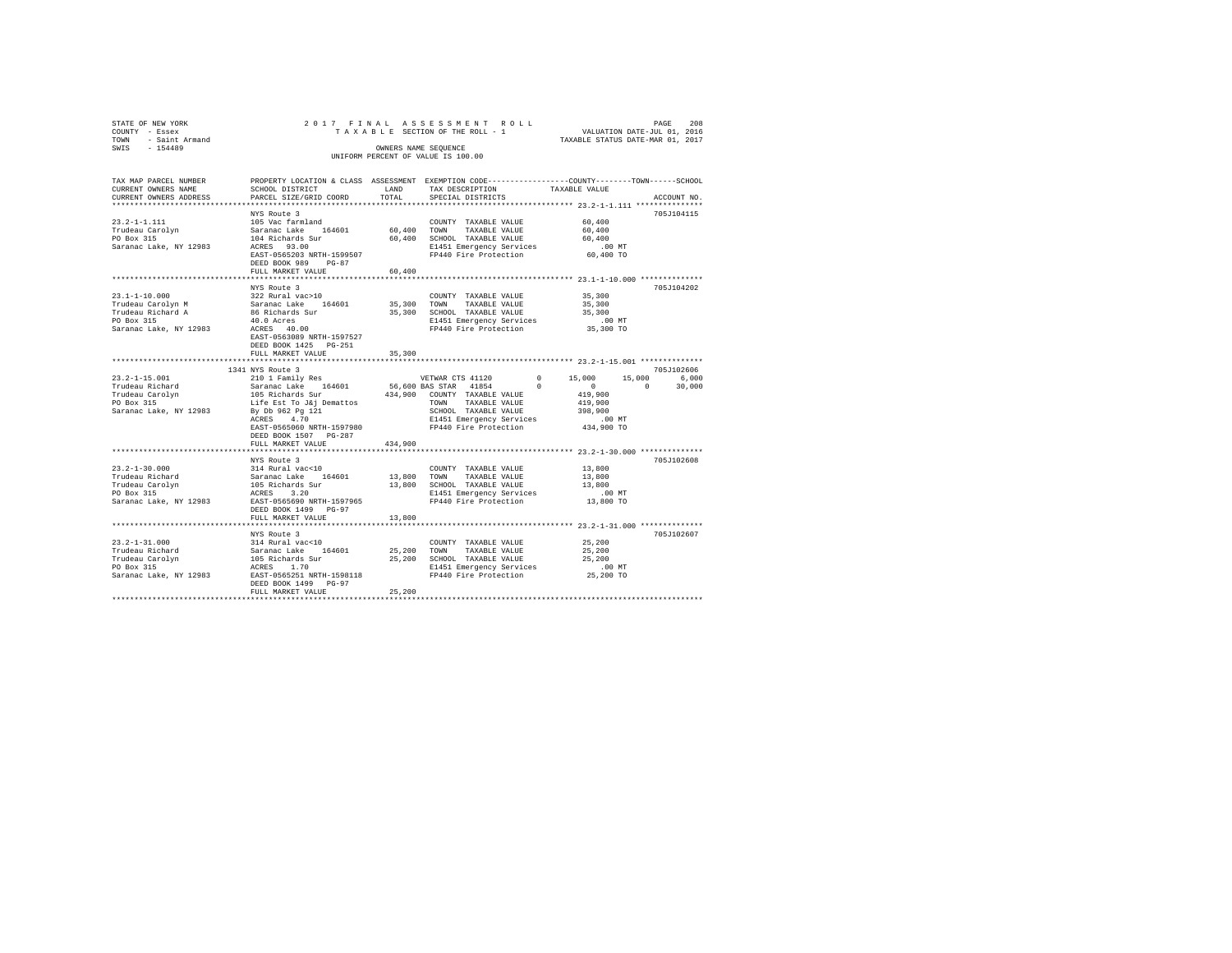| STATE OF NEW YORK<br>COUNTY - Essex              |                                              |             | 2017 FINAL ASSESSMENT ROLL<br>TAXABLE SECTION OF THE ROLL - 1                                   | PAGE 208<br>VALUATION DATE-JUL 01, 2016 |             |
|--------------------------------------------------|----------------------------------------------|-------------|-------------------------------------------------------------------------------------------------|-----------------------------------------|-------------|
| TOWN - Saint Armand<br>SWIS - 154489             |                                              |             | OWNERS NAME SEQUENCE                                                                            | TAXABLE STATUS DATE-MAR 01, 2017        |             |
|                                                  |                                              |             | UNIFORM PERCENT OF VALUE IS 100.00                                                              |                                         |             |
|                                                  |                                              |             |                                                                                                 |                                         |             |
| TAX MAP PARCEL NUMBER                            |                                              |             | PROPERTY LOCATION & CLASS ASSESSMENT EXEMPTION CODE---------------COUNTY-------TOWN------SCHOOL |                                         |             |
| CURRENT OWNERS NAME                              | SCHOOL DISTRICT                              | LAND        | TAX DESCRIPTION                                                                                 | TAXABLE VALUE                           |             |
| CURRENT OWNERS ADDRESS                           | PARCEL SIZE/GRID COORD                       | TOTAL       | SPECIAL DISTRICTS                                                                               |                                         | ACCOUNT NO. |
|                                                  |                                              |             |                                                                                                 |                                         |             |
|                                                  | NYS Route 3                                  |             |                                                                                                 |                                         | 705J104115  |
| $23.2 - 1 - 1.111$                               | 105 Vac farmland                             |             | COUNTY TAXABLE VALUE                                                                            | 60,400                                  |             |
| Trudeau Carolyn<br>DO Box 315                    | Saranac Lake 164601                          | 60,400 TOWN | TAXABLE VALUE                                                                                   | 60,400                                  |             |
|                                                  | 104 Richards Sur<br>ACRES 93.00              |             | 60.400 SCHOOL TAXABLE VALUE                                                                     | 60,400                                  |             |
| Saranac Lake, NY 12983                           |                                              |             | E1451 Emergency Services                                                                        | $.00$ MT                                |             |
|                                                  | EAST-0565203 NRTH-1599507                    |             | FP440 Fire Protection                                                                           | 60,400 TO                               |             |
|                                                  | DEED BOOK 989 PG-87                          |             |                                                                                                 |                                         |             |
|                                                  | FULL MARKET VALUE                            | 60,400      |                                                                                                 |                                         |             |
|                                                  | NYS Route 3                                  |             |                                                                                                 |                                         | 705J104202  |
| $23.1 - 1 - 10.000$                              | 322 Rural vac>10                             |             | COUNTY TAXABLE VALUE                                                                            | 35,300                                  |             |
| Trudeau Carolyn M                                | Saranac Lake 164601                          | 35,300      | TOWN TAXABLE VALUE                                                                              | 35,300                                  |             |
| Trudeau Richard A                                | 86 Richards Sur                              |             | 35,300 SCHOOL TAXABLE VALUE                                                                     | 35,300                                  |             |
| PO Box 315                                       |                                              |             | E1451 Emergency Services                                                                        | $.00$ MT                                |             |
| Saranac Lake, NY 12983                           | $40.0$ Acres<br>ACRES $40.00$                |             | FP440 Fire Protection                                                                           | 35,300 TO                               |             |
|                                                  | EAST-0563089 NRTH-1597527                    |             |                                                                                                 |                                         |             |
|                                                  | DEED BOOK 1425 PG-251                        |             |                                                                                                 |                                         |             |
|                                                  | FULL MARKET VALUE                            | 35,300      |                                                                                                 |                                         |             |
|                                                  |                                              |             |                                                                                                 |                                         |             |
|                                                  | 1341 NYS Route 3                             |             |                                                                                                 |                                         | 705-1102606 |
| $23.2 - 1 - 15.001$                              | 210 1 Family Res                             |             | VETWAR CTS 41120                                                                                | $0 \t 15,000$<br>15,000                 | 6.000       |
|                                                  | Saranac Lake 164601                          |             | 56,600 BAS STAR 41854<br>$^{\circ}$                                                             | $\sim$ 0<br>$\sim$ 0                    | 30,000      |
| Trudeau Richard<br>Trudeau Carolyn<br>PO Box 315 | 105 Richards Sur<br>Life Est To J&j Demattos |             | 434,900 COUNTY TAXABLE VALUE                                                                    | 419,900<br>419,900                      |             |
| Saranac Lake, NY 12983                           |                                              |             | TOWN TAXABLE VALUE<br>SCHOOL TAXABLE VALUE                                                      | 398,900                                 |             |
|                                                  | By Db 962 Pg 121<br>ACRES 4.70               |             | E1451 Emergency Services                                                                        | .00 MT                                  |             |
|                                                  | EAST-0565060 NRTH-1597980                    |             | FP440 Fire Protection                                                                           | 434,900 TO                              |             |
|                                                  | DEED BOOK 1507 PG-287                        |             |                                                                                                 |                                         |             |
|                                                  | FULL MARKET VALUE                            | 434,900     |                                                                                                 |                                         |             |
|                                                  |                                              |             |                                                                                                 |                                         |             |
|                                                  | NYS Route 3                                  |             |                                                                                                 |                                         | 705J102608  |
| $23.2 - 1 - 30.000$                              | 314 Rural vac<10                             |             | COUNTY TAXABLE VALUE                                                                            | 13,800                                  |             |
| Trudeau Richard<br>Trudeau Carolyn<br>PO Box 315 | Saranac Lake 164601                          | 13,800      | TOWN<br>TAXABLE VALUE                                                                           | 13,800                                  |             |
|                                                  | 105 Richards Sur<br>ACRES 3.20               |             | 13,800 SCHOOL TAXABLE VALUE                                                                     | 13,800                                  |             |
|                                                  |                                              |             | E1451 Emergency Services                                                                        | .00MT                                   |             |
| Saranac Lake, NY 12983                           | EAST-0565690 NRTH-1597965                    |             | FP440 Fire Protection                                                                           | 13,800 TO                               |             |
|                                                  | DEED BOOK 1499 PG-97                         |             |                                                                                                 |                                         |             |
|                                                  | FULL MARKET VALUE                            | 13,800      |                                                                                                 |                                         |             |
|                                                  | NYS Route 3                                  |             |                                                                                                 |                                         | 705J102607  |
| $23.2 - 1 - 31.000$                              | 314 Rural vac<10                             |             | COUNTY TAXABLE VALUE                                                                            | 25,200                                  |             |
| Trudeau Richard                                  | Saranac Lake 164601                          | 25,200 TOWN | TAXABLE VALUE                                                                                   | 25,200                                  |             |
| Trudeau Carolyn                                  | 105 Richards Sur                             |             | 25,200 SCHOOL TAXABLE VALUE                                                                     | 25,200                                  |             |
| PO Box 315                                       | ACRES 1.70                                   |             | E1451 Emergency Services                                                                        | .00 MT                                  |             |
| Saranac Lake, NY 12983                           | EAST-0565251 NRTH-1598118                    |             | FP440 Fire Protection                                                                           | 25,200 TO                               |             |
|                                                  | DEED BOOK 1499 PG-97                         |             |                                                                                                 |                                         |             |
|                                                  | FULL MARKET VALUE                            | 25,200      |                                                                                                 |                                         |             |
|                                                  |                                              |             |                                                                                                 |                                         |             |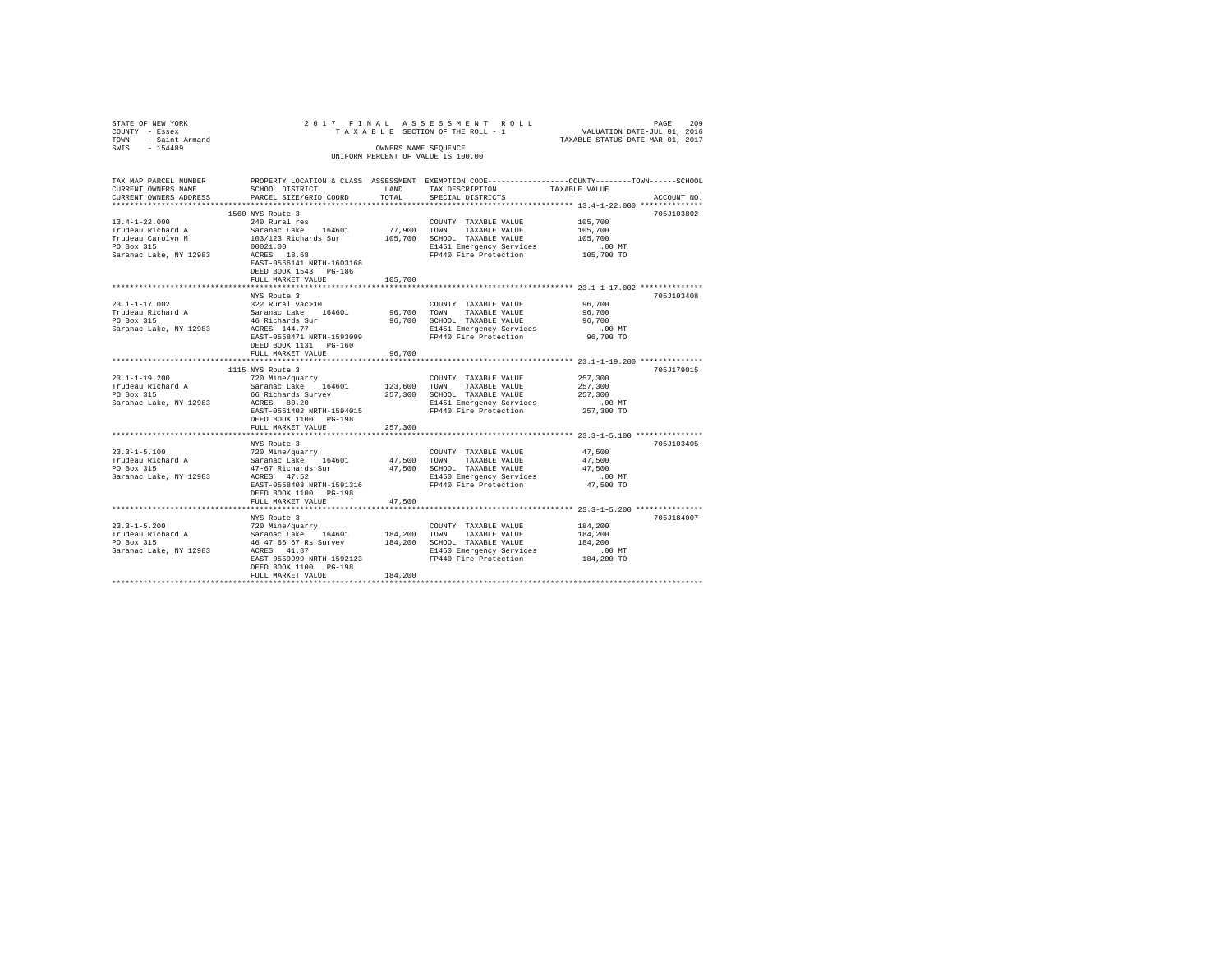| STATE OF NEW YORK<br>COUNTY - Essex             |                                                |         | 2017 FINAL ASSESSMENT ROLL<br>TAXABLE SECTION OF THE ROLL - 1                                   | VALUATION DATE-JUL 01, 2016<br>TAXABLE STATUS DATE-MAR 01, 2017 | PAGE<br>209 |
|-------------------------------------------------|------------------------------------------------|---------|-------------------------------------------------------------------------------------------------|-----------------------------------------------------------------|-------------|
| TOWN - Saint Armand                             |                                                |         |                                                                                                 |                                                                 |             |
| SWIS - 154489                                   |                                                |         | OWNERS NAME SEQUENCE                                                                            |                                                                 |             |
|                                                 |                                                |         | UNIFORM PERCENT OF VALUE IS 100.00                                                              |                                                                 |             |
|                                                 |                                                |         |                                                                                                 |                                                                 |             |
| TAX MAP PARCEL NUMBER                           |                                                |         | PROPERTY LOCATION & CLASS ASSESSMENT EXEMPTION CODE---------------COUNTY-------TOWN------SCHOOL |                                                                 |             |
| CURRENT OWNERS NAME                             | SCHOOL DISTRICT                                | LAND    | TAX DESCRIPTION                                                                                 | TAXABLE VALUE                                                   |             |
| CURRENT OWNERS ADDRESS                          | PARCEL SIZE/GRID COORD                         | TOTAL   | SPECIAL DISTRICTS                                                                               |                                                                 | ACCOUNT NO. |
|                                                 |                                                |         |                                                                                                 |                                                                 |             |
|                                                 | 1560 NYS Route 3                               |         |                                                                                                 |                                                                 | 705J103802  |
| $13.4 - 1 - 22.000$                             | 240 Rural res                                  |         | COUNTY TAXABLE VALUE                                                                            | 105,700                                                         |             |
| Trudeau Richard A                               | Saranac Lake 164601                            |         | 77,900 TOWN TAXABLE VALUE                                                                       | 105,700                                                         |             |
| Trudeau Carolyn M<br>PO Box 315                 | 103/123 Richards Sur                           |         | 105,700 SCHOOL TAXABLE VALUE<br>E1451 Emergency Services                                        | 105,700<br>$.00$ MT                                             |             |
| Saranac Lake, NY 12983                          | 00021.00<br>ACRES 18.68                        |         | FP440 Fire Protection                                                                           | 105,700 TO                                                      |             |
|                                                 | EAST-0566141 NRTH-1603168                      |         |                                                                                                 |                                                                 |             |
|                                                 | DEED BOOK 1543 PG-186                          |         |                                                                                                 |                                                                 |             |
|                                                 | FULL MARKET VALUE                              | 105,700 |                                                                                                 |                                                                 |             |
|                                                 |                                                |         |                                                                                                 |                                                                 |             |
|                                                 | NYS Route 3                                    |         |                                                                                                 |                                                                 | 705J103408  |
| $23.1 - 1 - 17.002$                             | 322 Rural vac>10                               |         | COUNTY TAXABLE VALUE                                                                            | 96,700                                                          |             |
| Trudeau Richard A<br>PO Box 315                 | Saranac Lake 164601                            |         | 96,700 TOWN TAXABLE VALUE                                                                       | 96,700                                                          |             |
|                                                 | 46 Richards Sur                                |         | 96,700 SCHOOL TAXABLE VALUE                                                                     | 96,700                                                          |             |
| Saranac Lake, NY 12983                          | ACRES 144.77                                   |         | E1451 Emergency Services                                                                        | $.00$ MT                                                        |             |
|                                                 | EAST-0558471 NRTH-1593099                      |         | FP440 Fire Protection                                                                           | 96,700 TO                                                       |             |
|                                                 | DEED BOOK 1131 PG-160                          |         |                                                                                                 |                                                                 |             |
|                                                 | FULL MARKET VALUE<br>************************  | 96,700  | ********************************* 23.1-1-19.200 **************                                  |                                                                 |             |
|                                                 |                                                |         |                                                                                                 |                                                                 |             |
| $23.1 - 1 - 19.200$                             | 1115 NYS Route 3<br>720 Mine/guarry            |         | COUNTY TAXABLE VALUE                                                                            | 257,300                                                         | 705J179015  |
|                                                 | Saranac Lake 164601                            |         | 123,600 TOWN TAXABLE VALUE                                                                      | 257,300                                                         |             |
| Trudeau Richard A<br>PO Box 315                 | 66 Richards Survey                             |         | 257,300 SCHOOL TAXABLE VALUE                                                                    | 257,300                                                         |             |
| Saranac Lake, NY 12983                          | ACRES 80.20                                    |         | E1451 Emergency Services                                                                        |                                                                 |             |
|                                                 | EAST-0561402 NRTH-1594015                      |         | FP440 Fire Protection                                                                           | 00 MT.<br>257,300 TO                                            |             |
|                                                 | DEED BOOK 1100 PG-198                          |         |                                                                                                 |                                                                 |             |
|                                                 | FULL MARKET VALUE                              | 257,300 |                                                                                                 |                                                                 |             |
|                                                 |                                                |         |                                                                                                 |                                                                 |             |
|                                                 | NYS Route 3                                    |         |                                                                                                 |                                                                 | 705J103405  |
|                                                 | 720 Mine/quarry                                |         | COUNTY TAXABLE VALUE                                                                            | 47.500                                                          |             |
| 23.3-1-5.100<br>Trudeau Richard A<br>PO Box 315 | Saranac Lake 164601                            |         | 47,500 TOWN TAXABLE VALUE                                                                       | 47.500                                                          |             |
|                                                 | 47-67 Richards Sur                             |         | 47,500 SCHOOL TAXABLE VALUE                                                                     | 47.500                                                          |             |
| Saranac Lake, NY 12983                          | ACRES 47.52                                    |         | E1450 Emergency Services                                                                        | $.00$ MT                                                        |             |
|                                                 | EAST-0558403 NRTH-1591316                      |         | FP440 Fire Protection                                                                           | 47,500 TO                                                       |             |
|                                                 | DEED BOOK 1100 PG-198                          | 47.500  |                                                                                                 |                                                                 |             |
|                                                 | FULL MARKET VALUE                              |         |                                                                                                 |                                                                 |             |
|                                                 | NYS Route 3                                    |         |                                                                                                 |                                                                 | 705J184007  |
| $23.3 - 1 - 5.200$                              | 720 Mine/quarry                                |         | COUNTY TAXABLE VALUE                                                                            | 184,200                                                         |             |
|                                                 | Saranac Lake 164601 184,200 TOWN TAXABLE VALUE |         |                                                                                                 | 184,200                                                         |             |
| Trudeau Richard A<br>PO Box 315                 | 46 47 66 67 Rs Survey                          |         | 184,200 SCHOOL TAXABLE VALUE                                                                    | 184,200                                                         |             |
| Saranac Lake, NY 12983                          | ACRES 41.87                                    |         | E1450 Emergency Services                                                                        | $.00$ MT                                                        |             |
|                                                 | EAST-0559999 NRTH-1592123                      |         | FP440 Fire Protection                                                                           | 184,200 TO                                                      |             |
|                                                 | DEED BOOK 1100 PG-198                          |         |                                                                                                 |                                                                 |             |
|                                                 | FULL MARKET VALUE                              | 184,200 |                                                                                                 |                                                                 |             |
|                                                 |                                                |         |                                                                                                 |                                                                 |             |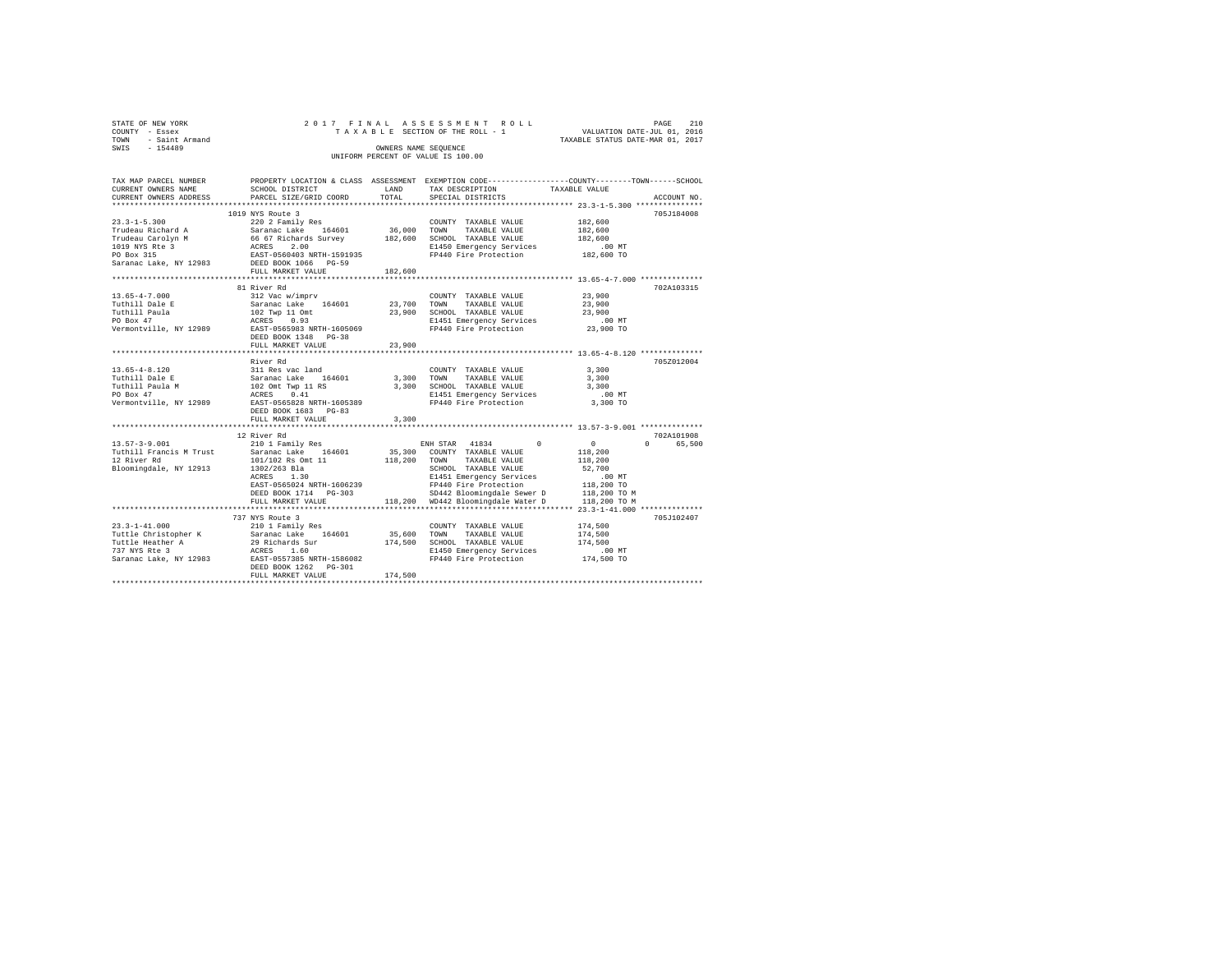| STATE OF NEW YORK |                     |  |  |                                    |                                 | 2017 FINAL ASSESSMENT ROLL |                                  | PAGE | 210 |
|-------------------|---------------------|--|--|------------------------------------|---------------------------------|----------------------------|----------------------------------|------|-----|
| COUNTY - Essex    |                     |  |  |                                    | TAXABLE SECTION OF THE ROLL - 1 |                            | VALUATION DATE-JUL 01, 2016      |      |     |
|                   | TOWN - Saint Armand |  |  |                                    |                                 |                            | TAXABLE STATUS DATE-MAR 01, 2017 |      |     |
| SWIS              | $-154489$           |  |  | OWNERS NAME SEOUENCE               |                                 |                            |                                  |      |     |
|                   |                     |  |  | UNIFORM PERCENT OF VALUE IS 100.00 |                                 |                            |                                  |      |     |
|                   |                     |  |  |                                    |                                 |                            |                                  |      |     |

| TAX MAP PARCEL NUMBER                       |                                                                                                                                                                                                                                                                                                                                                                                                                                                                                                                               |             | PROPERTY LOCATION & CLASS ASSESSMENT EXEMPTION CODE---------------COUNTY-------TOWN-----SCHOOL |                                         |
|---------------------------------------------|-------------------------------------------------------------------------------------------------------------------------------------------------------------------------------------------------------------------------------------------------------------------------------------------------------------------------------------------------------------------------------------------------------------------------------------------------------------------------------------------------------------------------------|-------------|------------------------------------------------------------------------------------------------|-----------------------------------------|
| CURRENT OWNERS NAME                         | SCHOOL DISTRICT                                                                                                                                                                                                                                                                                                                                                                                                                                                                                                               | LAND        | TAX DESCRIPTION                                                                                | TAXABLE VALUE                           |
| CURRENT OWNERS ADDRESS                      | PARCEL SIZE/GRID COORD                                                                                                                                                                                                                                                                                                                                                                                                                                                                                                        | TOTAL       | SPECIAL DISTRICTS                                                                              | ACCOUNT NO.                             |
|                                             |                                                                                                                                                                                                                                                                                                                                                                                                                                                                                                                               |             |                                                                                                |                                         |
|                                             | 1019 NYS Route 3                                                                                                                                                                                                                                                                                                                                                                                                                                                                                                              |             |                                                                                                | 705J184008                              |
|                                             |                                                                                                                                                                                                                                                                                                                                                                                                                                                                                                                               |             |                                                                                                | 182,600                                 |
|                                             |                                                                                                                                                                                                                                                                                                                                                                                                                                                                                                                               |             |                                                                                                | 182,600                                 |
|                                             |                                                                                                                                                                                                                                                                                                                                                                                                                                                                                                                               |             |                                                                                                | 182,600                                 |
|                                             |                                                                                                                                                                                                                                                                                                                                                                                                                                                                                                                               |             | E1450 Emergency Services                                                                       | $182,600$ TO                            |
|                                             |                                                                                                                                                                                                                                                                                                                                                                                                                                                                                                                               |             | FP440 Fire Protection                                                                          |                                         |
|                                             |                                                                                                                                                                                                                                                                                                                                                                                                                                                                                                                               |             |                                                                                                |                                         |
|                                             | FULL MARKET VALUE                                                                                                                                                                                                                                                                                                                                                                                                                                                                                                             | 182,600     |                                                                                                |                                         |
|                                             |                                                                                                                                                                                                                                                                                                                                                                                                                                                                                                                               |             |                                                                                                |                                         |
|                                             | 81 River Rd                                                                                                                                                                                                                                                                                                                                                                                                                                                                                                                   |             |                                                                                                | 702A103315                              |
| $13.65 - 4 - 7.000$                         | 312 Vac w/imprv                                                                                                                                                                                                                                                                                                                                                                                                                                                                                                               |             | COUNTY TAXABLE VALUE                                                                           | 23,900                                  |
|                                             |                                                                                                                                                                                                                                                                                                                                                                                                                                                                                                                               |             | TAXABLE VALUE                                                                                  | 23,900                                  |
|                                             |                                                                                                                                                                                                                                                                                                                                                                                                                                                                                                                               |             | 23,900 SCHOOL TAXABLE VALUE                                                                    | 23,900                                  |
|                                             | $\begin{tabular}{lcccc} {\small\texttt{Tuthill Dale E}} & & & & & \\ {\small\texttt{Tuthill Pale E}} & & & & \\ {\small\texttt{Tuthill Paula}} & & & & 102 & {\small\texttt{Type 110m}} & & \\ {\small\texttt{Twhill Paula}} & & & & 102 & {\small\texttt{Type 110m}} & & \\ {\small\texttt{PO Box 47}} & & & & & \\ {\small\texttt{PO Box 47}} & & & & & \\ {\small\texttt{POD Box 47}} & & & & & \\ {\small\texttt{POD BOM}} & & & & & \\ {\small\texttt{POD BOM}} & & & & \\ {\small\texttt{POD BOM}} & & & & \\ {\small\$ |             |                                                                                                |                                         |
|                                             |                                                                                                                                                                                                                                                                                                                                                                                                                                                                                                                               |             | E1451 Emergency Services .00 MT<br>FP440 Fire Protection 23,900 TO                             |                                         |
|                                             |                                                                                                                                                                                                                                                                                                                                                                                                                                                                                                                               |             |                                                                                                |                                         |
|                                             | DEED BOOK 1348 PG-38                                                                                                                                                                                                                                                                                                                                                                                                                                                                                                          |             |                                                                                                |                                         |
|                                             | FULL MARKET VALUE                                                                                                                                                                                                                                                                                                                                                                                                                                                                                                             | 23,900      |                                                                                                |                                         |
|                                             |                                                                                                                                                                                                                                                                                                                                                                                                                                                                                                                               |             |                                                                                                |                                         |
|                                             | River Rd<br>13.65-4-8.120<br>Tuthill Dale E<br>Tuthill Paula M<br>Tuthill Paula M<br>102 Omt Twp 11 RS<br>PO Box 47<br>PO BOX 47<br>Nermontville, NY 12989<br>EAST-055898 NRTH-1605389<br>PO BOX 47<br>PERT-0558928 NRTH-1605389<br>PO RST-05589<br>PERT-05589<br>P                                                                                                                                                                                                                                                           |             |                                                                                                | 705Z012004                              |
|                                             |                                                                                                                                                                                                                                                                                                                                                                                                                                                                                                                               |             | COUNTY TAXABLE VALUE                                                                           | 3,300                                   |
|                                             |                                                                                                                                                                                                                                                                                                                                                                                                                                                                                                                               | 3,300 TOWN  | TAXABLE VALUE                                                                                  | 3,300                                   |
|                                             |                                                                                                                                                                                                                                                                                                                                                                                                                                                                                                                               |             | 3,300 SCHOOL TAXABLE VALUE                                                                     | 3,300                                   |
|                                             |                                                                                                                                                                                                                                                                                                                                                                                                                                                                                                                               |             | E1451 Emergency Services                                                                       | $.00$ MT                                |
|                                             |                                                                                                                                                                                                                                                                                                                                                                                                                                                                                                                               |             | FP440 Fire Protection                                                                          | 3,300 TO                                |
|                                             | DEED BOOK 1683 PG-83                                                                                                                                                                                                                                                                                                                                                                                                                                                                                                          |             |                                                                                                |                                         |
|                                             | FULL MARKET VALUE                                                                                                                                                                                                                                                                                                                                                                                                                                                                                                             | 3,300       |                                                                                                |                                         |
|                                             |                                                                                                                                                                                                                                                                                                                                                                                                                                                                                                                               |             |                                                                                                |                                         |
|                                             | 12 River Rd                                                                                                                                                                                                                                                                                                                                                                                                                                                                                                                   |             |                                                                                                | 702A101908                              |
| $13.57 - 3 - 9.001$                         | 210 1 Family Res                                                                                                                                                                                                                                                                                                                                                                                                                                                                                                              |             | ENH STAR 41834 0                                                                               | $\sim$ 0<br>$0 \qquad \qquad$<br>65,500 |
| Tuthill Francis M Trust Saranac Lake 164601 |                                                                                                                                                                                                                                                                                                                                                                                                                                                                                                                               |             |                                                                                                | 118,200                                 |
| 12 River Rd                                 | 101/102 Rs Omt 11                                                                                                                                                                                                                                                                                                                                                                                                                                                                                                             |             | 35,300 COUNTY TAXABLE VALUE<br>118,200 TOWN TAXABLE VALUE                                      | 118,200                                 |
| Bloomingdale, NY 12913 1302/263 Bla         |                                                                                                                                                                                                                                                                                                                                                                                                                                                                                                                               |             | SCHOOL TAXABLE VALUE                                                                           | 52,700                                  |
|                                             | 1.30<br>ACRES                                                                                                                                                                                                                                                                                                                                                                                                                                                                                                                 |             | E1451 Emergency Services                                                                       | $.00$ MT                                |
|                                             | EAST-0565024 NRTH-1606239                                                                                                                                                                                                                                                                                                                                                                                                                                                                                                     |             |                                                                                                |                                         |
|                                             | DEED BOOK 1714 PG-303                                                                                                                                                                                                                                                                                                                                                                                                                                                                                                         |             | FP440 Fire Protection<br>SD442 Bloomingdale Sewer D                                            | 118,200 TO<br>118,200 TO M              |
|                                             | FULL MARKET VALUE                                                                                                                                                                                                                                                                                                                                                                                                                                                                                                             |             | 118,200 WD442 Bloomingdale Water D 118,200 TO M                                                |                                         |
|                                             |                                                                                                                                                                                                                                                                                                                                                                                                                                                                                                                               |             |                                                                                                |                                         |
|                                             | 737 NYS Route 3                                                                                                                                                                                                                                                                                                                                                                                                                                                                                                               |             |                                                                                                | 705J102407                              |
| $23.3 - 1 - 41.000$                         | 210 1 Family Res                                                                                                                                                                                                                                                                                                                                                                                                                                                                                                              |             | COUNTY TAXABLE VALUE                                                                           | 174,500                                 |
|                                             |                                                                                                                                                                                                                                                                                                                                                                                                                                                                                                                               | 35,600 TOWN |                                                                                                |                                         |
|                                             |                                                                                                                                                                                                                                                                                                                                                                                                                                                                                                                               |             | TAXABLE VALUE                                                                                  | 174,500                                 |
|                                             | 2019 11:00 11:00 11:00 11:00 11:00 11:00 11:00 11:00 11:00 11:00 11:00 11:00 11:00 11:00 11:00 11:00 11:00 11:00 11:00 11:00 11:00 11:00 11:00 11:00 11:00 11:00 11:00 11:00 11:00 11:00 11:00 11:00 11:00 11:00 11:00 11:00 1                                                                                                                                                                                                                                                                                                |             | 174,500 SCHOOL TAXABLE VALUE                                                                   | 174,500                                 |
|                                             |                                                                                                                                                                                                                                                                                                                                                                                                                                                                                                                               |             | E1450 Emergency Services                                                                       | 00 MT.<br>174,500 TO                    |
|                                             |                                                                                                                                                                                                                                                                                                                                                                                                                                                                                                                               |             | FP440 Fire Protection                                                                          |                                         |
|                                             | DEED BOOK 1262 PG-301                                                                                                                                                                                                                                                                                                                                                                                                                                                                                                         |             |                                                                                                |                                         |
|                                             | FULL MARKET VALUE                                                                                                                                                                                                                                                                                                                                                                                                                                                                                                             | 174,500     |                                                                                                |                                         |
|                                             |                                                                                                                                                                                                                                                                                                                                                                                                                                                                                                                               |             |                                                                                                |                                         |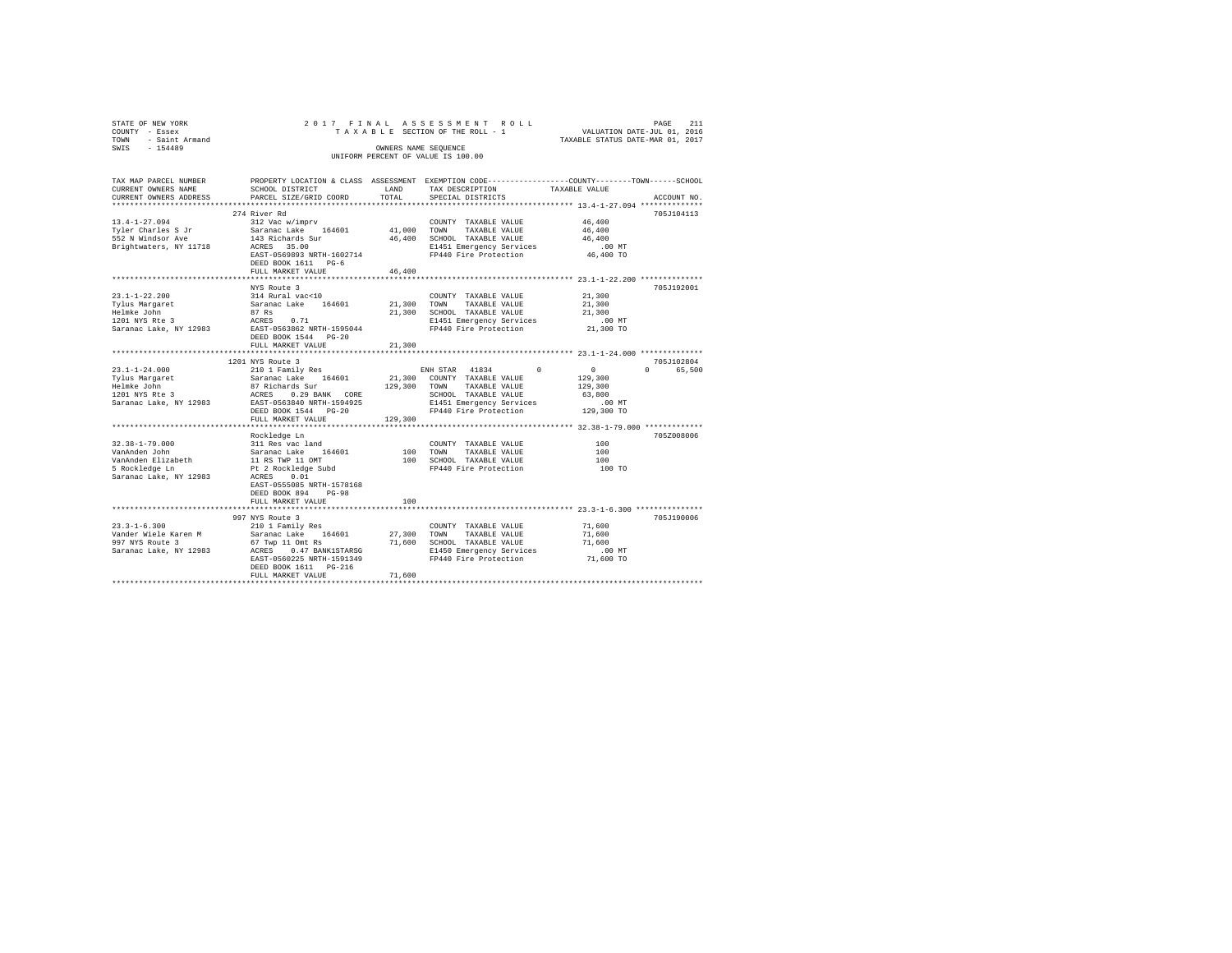| STATE OF NEW YORK<br>COUNTY - Essex<br>TOWN<br>- Saint Armand<br>SWIS - 154489 |                                                   |             | 2017 FINAL ASSESSMENT ROLL<br>TAXABLE SECTION OF THE ROLL - 1<br>OWNERS NAME SEQUENCE<br>UNIFORM PERCENT OF VALUE IS 100.00 | PAGE<br>211<br>VALUATION DATE-JUL 01, 2016<br>TAXABLE STATUS DATE-MAR 01, 2017                                   |  |
|--------------------------------------------------------------------------------|---------------------------------------------------|-------------|-----------------------------------------------------------------------------------------------------------------------------|------------------------------------------------------------------------------------------------------------------|--|
| TAX MAP PARCEL NUMBER<br>CURRENT OWNERS NAME                                   | SCHOOL DISTRICT                                   | LAND        | TAX DESCRIPTION                                                                                                             | PROPERTY LOCATION & CLASS ASSESSMENT EXEMPTION CODE---------------COUNTY-------TOWN------SCHOOL<br>TAXABLE VALUE |  |
| CURRENT OWNERS ADDRESS                                                         | PARCEL SIZE/GRID COORD                            | TOTAL       | SPECIAL DISTRICTS                                                                                                           | ACCOUNT NO.                                                                                                      |  |
|                                                                                |                                                   |             |                                                                                                                             |                                                                                                                  |  |
|                                                                                | 274 River Rd                                      |             |                                                                                                                             | 705J104113                                                                                                       |  |
| $13.4 - 1 - 27.094$                                                            | 312 Vac w/imprv                                   |             | COUNTY TAXABLE VALUE                                                                                                        | 46,400                                                                                                           |  |
| Tyler Charles S Jr                                                             | Saranac Lake 164601                               | 41,000 TOWN | TAXABLE VALUE                                                                                                               | 46,400                                                                                                           |  |
| 552 N Windsor Ave                                                              | 143 Richards Sur<br>ACRES 35.00                   |             | 46,400 SCHOOL TAXABLE VALUE                                                                                                 | 46,400<br>$.00$ MT                                                                                               |  |
| Brightwaters, NY 11718                                                         | EAST-0569893 NRTH-1602714                         |             | E1451 Emergency Services<br>FP440 Fire Protection                                                                           | 46,400 TO                                                                                                        |  |
|                                                                                | DEED BOOK 1611 PG-6                               |             |                                                                                                                             |                                                                                                                  |  |
|                                                                                | FULL MARKET VALUE                                 | 46,400      |                                                                                                                             |                                                                                                                  |  |
|                                                                                |                                                   |             |                                                                                                                             |                                                                                                                  |  |
|                                                                                | NYS Route 3                                       |             |                                                                                                                             | 705J192001                                                                                                       |  |
| $23.1 - 1 - 22.200$                                                            | 314 Rural vac<10                                  |             | COUNTY TAXABLE VALUE                                                                                                        | 21,300                                                                                                           |  |
| Tylus Margaret                                                                 | Saranac Lake 164601                               | 21,300 TOWN | TAXABLE VALUE                                                                                                               | 21,300                                                                                                           |  |
| Helmke John                                                                    | 87 Rs                                             |             | 21,300 SCHOOL TAXABLE VALUE                                                                                                 | 21,300                                                                                                           |  |
| 1201 NYS Rte 3                                                                 | ACRES 0.71                                        |             | E1451 Emergency Services                                                                                                    | $.00$ MT                                                                                                         |  |
| Saranac Lake, NY 12983                                                         | EAST-0563862 NRTH-1595044<br>DEED BOOK 1544 PG-20 |             | FP440 Fire Protection                                                                                                       | 21,300 TO                                                                                                        |  |
|                                                                                | FULL MARKET VALUE                                 | 21,300      |                                                                                                                             |                                                                                                                  |  |
|                                                                                |                                                   |             |                                                                                                                             |                                                                                                                  |  |
|                                                                                | 1201 NYS Route 3                                  |             |                                                                                                                             | 705J102804                                                                                                       |  |
| $23.1 - 1 - 24.000$                                                            | 210 1 Family Res                                  |             | ENH STAR 41834<br>$^{\circ}$                                                                                                | $\sim$ 0<br>0 65,500                                                                                             |  |
| Tylus Margaret                                                                 | Saranac Lake 164601                               |             | 21,300 COUNTY TAXABLE VALUE                                                                                                 | 129,300                                                                                                          |  |
| Helmke John                                                                    | 87 Richards Sur                                   |             | 129,300 TOWN<br>TAXABLE VALUE                                                                                               | 129,300                                                                                                          |  |
| 1201 NYS Rte 3                                                                 | ACRES 0.29 BANK CORE                              |             | SCHOOL TAXABLE VALUE                                                                                                        | 63,800                                                                                                           |  |
| Saranac Lake, NY 12983                                                         | EAST-0563840 NRTH-1594925                         |             | E1451 Emergency Services                                                                                                    | $.00$ MT                                                                                                         |  |
|                                                                                | DEED BOOK 1544 PG-20                              |             | FP440 Fire Protection                                                                                                       | 129,300 TO                                                                                                       |  |
|                                                                                | FULL MARKET VALUE                                 | 129,300     |                                                                                                                             |                                                                                                                  |  |
|                                                                                | Rockledge Ln                                      |             |                                                                                                                             | 7057008006                                                                                                       |  |
| $32.38 - 1 - 79.000$                                                           | 311 Res vac land                                  |             | COUNTY TAXABLE VALUE                                                                                                        | 100                                                                                                              |  |
| VanAnden John                                                                  | Saranac Lake 164601                               |             | 100 TOWN TAXABLE VALUE                                                                                                      | 100                                                                                                              |  |
| VanAnden Elizabeth                                                             | 11 RS TWP 11 OMT                                  |             | 100 SCHOOL TAXABLE VALUE                                                                                                    | 100                                                                                                              |  |
| 5 Rockledge Ln                                                                 | Pt 2 Rockledge Subd                               |             | FP440 Fire Protection                                                                                                       | 100 TO                                                                                                           |  |
| Saranac Lake, NY 12983                                                         | ACRES 0.01                                        |             |                                                                                                                             |                                                                                                                  |  |
|                                                                                | EAST-0555085 NRTH-1578168                         |             |                                                                                                                             |                                                                                                                  |  |
|                                                                                | DEED BOOK 894<br>$PG-98$                          |             |                                                                                                                             |                                                                                                                  |  |
|                                                                                | FULL MARKET VALUE                                 | 100         |                                                                                                                             |                                                                                                                  |  |
|                                                                                |                                                   |             |                                                                                                                             |                                                                                                                  |  |
|                                                                                | 997 NYS Route 3                                   |             |                                                                                                                             | 705J190006                                                                                                       |  |
| $23.3 - 1 - 6.300$<br>Vander Wiele Karen M                                     | 210 1 Family Res                                  |             | COUNTY TAXABLE VALUE                                                                                                        | 71,600<br>71,600                                                                                                 |  |
| 997 NYS Route 3                                                                | Saranac Lake 164601<br>67 Twp 11 Omt Rs           | 27,300 TOWN | TAXABLE VALUE<br>71,600 SCHOOL TAXABLE VALUE                                                                                | 71,600                                                                                                           |  |
| Saranac Lake, NY 12983                                                         | ACRES 0.47 BANK1STARSG                            |             | E1450 Emergency Services                                                                                                    | .00 MT                                                                                                           |  |
|                                                                                | EAST-0560225 NRTH-1591349                         |             | FP440 Fire Protection                                                                                                       | 71,600 TO                                                                                                        |  |
|                                                                                | DEED BOOK 1611 PG-216                             |             |                                                                                                                             |                                                                                                                  |  |
|                                                                                | FULL MARKET VALUE                                 | 71,600      |                                                                                                                             |                                                                                                                  |  |
|                                                                                |                                                   |             |                                                                                                                             |                                                                                                                  |  |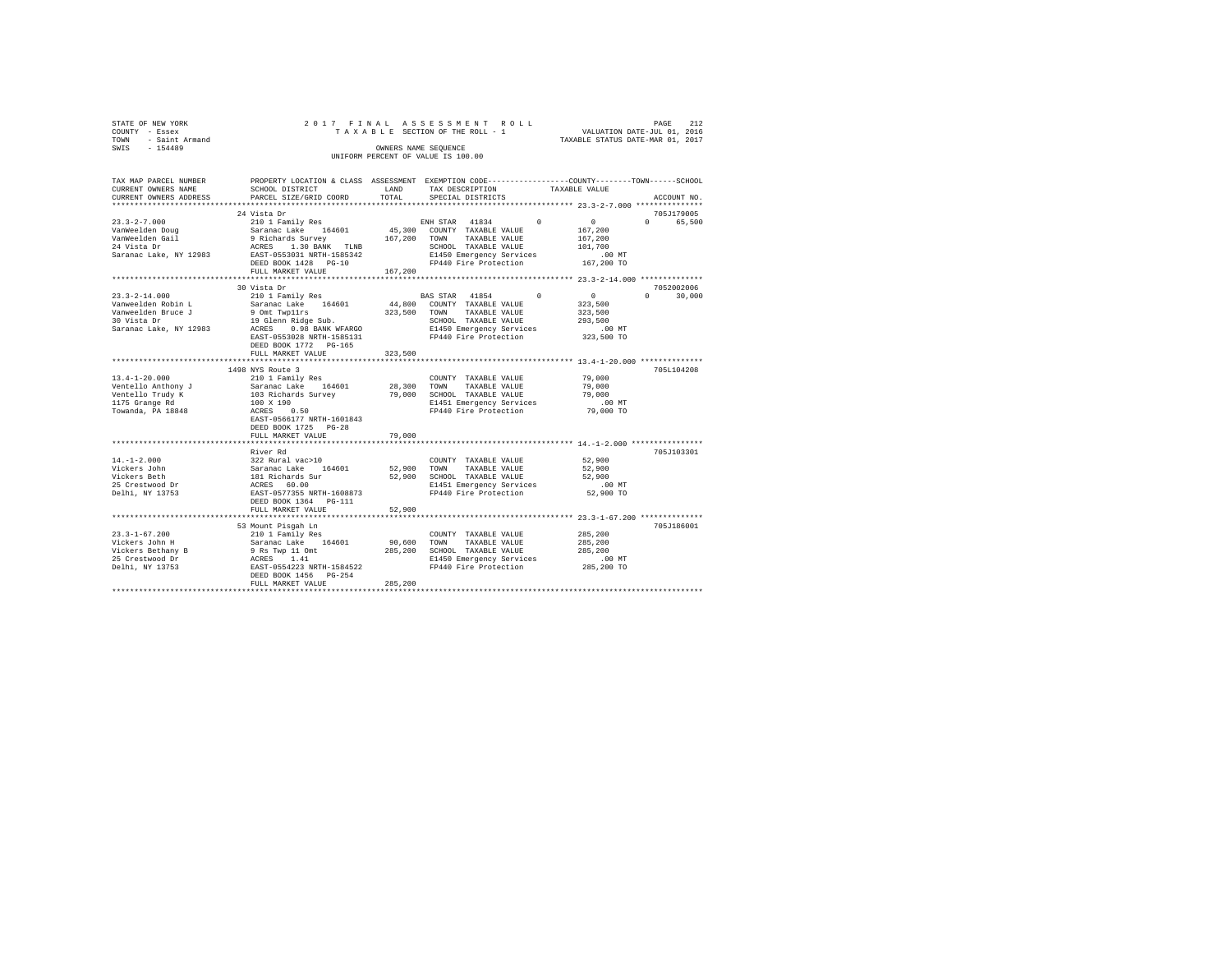|      | STATE OF NEW YORK | 2017 FINAL ASSESSMENT ROLL         | PAGE                             | 2.12 |
|------|-------------------|------------------------------------|----------------------------------|------|
|      | COUNTY - Essex    | TAXABLE SECTION OF THE ROLL - 1    | VALUATION DATE-JUL 01, 2016      |      |
| TOWN | - Saint Armand    |                                    | TAXABLE STATUS DATE-MAR 01, 2017 |      |
| SWIS | $-154489$         | OWNERS NAME SEOUENCE               |                                  |      |
|      |                   | UNIFORM PERCENT OF VALUE IS 100.00 |                                  |      |

| TAX MAP PARCEL NUMBER<br>CURRENT OWNERS NAME<br>CURRENT OWNERS ADDRESS                                          | PROPERTY LOCATION & CLASS ASSESSMENT EXEMPTION CODE----------------COUNTY-------TOWN------SCHOOL<br>SCHOOL DISTRICT<br>PARCEL SIZE/GRID COORD                                                                      | LAND<br>TOTAL              | TAX DESCRIPTION<br>SPECIAL DISTRICTS                                                                                                                        | TAXABLE VALUE                                                         | ACCOUNT NO.                               |
|-----------------------------------------------------------------------------------------------------------------|--------------------------------------------------------------------------------------------------------------------------------------------------------------------------------------------------------------------|----------------------------|-------------------------------------------------------------------------------------------------------------------------------------------------------------|-----------------------------------------------------------------------|-------------------------------------------|
| *************************                                                                                       |                                                                                                                                                                                                                    |                            |                                                                                                                                                             |                                                                       |                                           |
| 23.3-2-7.000<br>VanWeelden Doug<br>Alan Gail<br>24 Vista Dr                                                     | 24 Vista Dr<br>210 1 Family Res<br>Saranac Lake 164601<br>9 Richards Survey 167,200<br>ACRES 1.30 BANK TLNB<br>Saranac Lake, NY 12983 EAST-0553031 NRTH-1585342<br>DEED BOOK 1428 PG-10<br>FULL MARKET VALUE       | 167,200                    | ENH STAR 41834 0<br>45,300 COUNTY TAXABLE VALUE<br>TOWN<br>TAXABLE VALUE<br>SCHOOL TAXABLE VALUE<br>E1450 Emergency Services<br>FP440 Fire Protection       | $\mathbf{0}$<br>167,200<br>167.200<br>101,700<br>.00 MT<br>167,200 TO | 705J179005<br>$\Omega$<br>65,500          |
|                                                                                                                 |                                                                                                                                                                                                                    |                            |                                                                                                                                                             |                                                                       |                                           |
| $23.3 - 2 - 14.000$<br>Vanweelden Robin L<br>Vanweelden Bruce J<br>30 Vista Dr<br>Saranac Lake, NY 12983        | 30 Vista Dr<br>210 1 Family Res<br>Saranac Lake 164601<br>9 Omt Twpllrs<br>19 Glenn Ridge Sub.<br>ACRES 0.98 BANK W<br>0.98 BANK WFARGO<br>EAST-0553028 NRTH-1585131<br>DEED BOOK 1772 PG-165<br>FULL MARKET VALUE | 323,500                    | BAS STAR 41854<br>44,800 COUNTY TAXABLE VALUE<br>323,500 TOWN<br>TAXABLE VALUE<br>SCHOOL TAXABLE VALUE<br>E1450 Emergency Services<br>FP440 Fire Protection | $\sim$<br>0<br>323,500<br>323,500<br>293,500<br>.00MT<br>323,500 TO   | 7052002006<br>30,000<br>$0 \qquad \qquad$ |
|                                                                                                                 |                                                                                                                                                                                                                    |                            |                                                                                                                                                             | ******** 13.4-1-20.000 ************                                   |                                           |
| $13.4 - 1 - 20.000$<br>Ventello Anthony J<br>Ventello Trudy K<br>1175 Grange Rd<br>Towanda, PA 18848            | 1498 NYS Route 3<br>210 1 Family Res<br>210 1 Family Res<br>Saranac Lake      164601<br>103 Richards Survey<br>100 X 190<br>ACRES 0.50<br>EAST-0566177 NRTH-1601843<br>DEED BOOK 1725 PG-28<br>FULL MARKET VALUE   | 28,300<br>79,000<br>79,000 | COUNTY TAXABLE VALUE<br>TOWN<br>TAXABLE VALUE<br>SCHOOL TAXABLE VALUE<br>E1451 Emergency Services<br>FP440 Fire Protection                                  | 79,000<br>79,000<br>79,000<br>$.00$ MT<br>79,000 TO                   | 705L104208                                |
|                                                                                                                 |                                                                                                                                                                                                                    |                            |                                                                                                                                                             |                                                                       |                                           |
| $14. - 1 - 2.000$<br>Vickers John<br>Vickers Beth<br>25 Crestwood Dr<br>Delhi, NY 13753                         | River Rd<br>322 Rural vac>10<br>Saranac Lake<br>164601<br>181 Richards Sur<br>ACRES 60.00<br>EAST-0577355 NRTH-1608873<br>DEED BOOK 1364 PG-111                                                                    | 52,900                     | COUNTY TAXABLE VALUE<br>TOWN<br>TAXABLE VALUE<br>52,900 SCHOOL TAXABLE VALUE<br>E1451 Emergency Services<br>FP440 Fire Protection                           | 52,900<br>52,900<br>52,900<br>.00 MT<br>52,900 TO                     | 705J103301                                |
|                                                                                                                 | FULL MARKET VALUE                                                                                                                                                                                                  | 52,900                     |                                                                                                                                                             |                                                                       |                                           |
|                                                                                                                 |                                                                                                                                                                                                                    |                            |                                                                                                                                                             |                                                                       |                                           |
| $23.3 - 1 - 67.200$<br>Vickers John H<br>Vickers vum<br>Vickers Bethany B<br>^^ ^~eetwood Dr<br>Delhi, NY 13753 | 53 Mount Pisgah Ln<br>210 1 Family Res<br>210 1 Pamily Res<br>Sarance Lake 164601<br>9 Rs Twp 11 Omt<br>ACRES 1.41<br>EAST-0554223 NRTH-1584522<br>DEED BOOK 1456    PG-254<br>FULL MARKET VALUE                   | 90,600 TOWN<br>285,200     | COUNTY TAXABLE VALUE<br>TAXABLE VALUE<br>285,200 SCHOOL TAXABLE VALUE<br>E1450 Emergency Services<br>FP440 Fire Protection                                  | 285,200<br>285,200<br>285,200<br>.00MT<br>285,200 TO                  | 705J186001                                |
|                                                                                                                 |                                                                                                                                                                                                                    |                            |                                                                                                                                                             |                                                                       |                                           |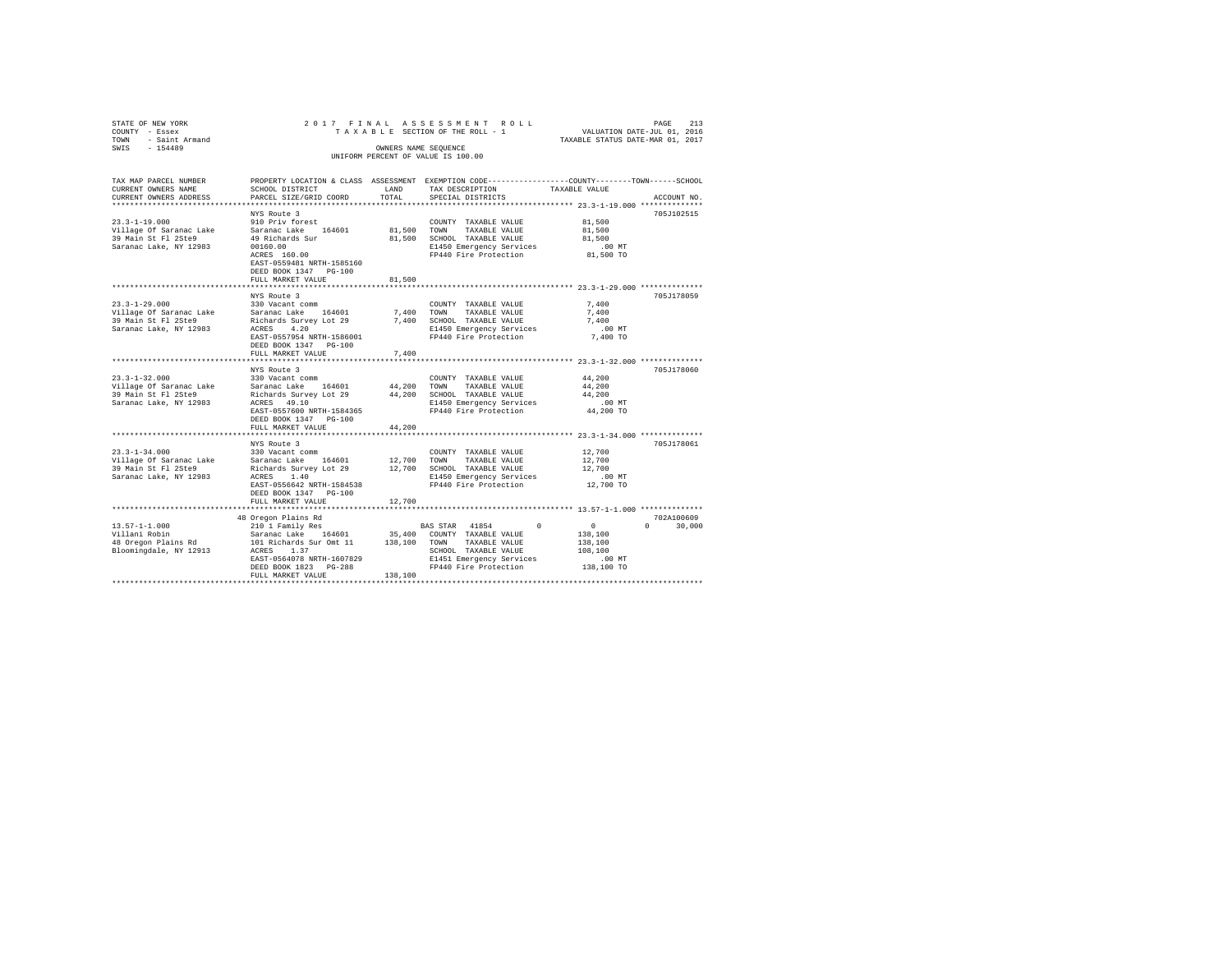| STATE OF NEW YORK<br>COUNTY - Essex<br>TOWN - Saint Armand<br>SWIS<br>$-154489$ |                                                                    | OWNERS NAME SEQUENCE | 2017 FINAL ASSESSMENT ROLL<br>TAXABLE SECTION OF THE ROLL - 1 | PAGE<br>VALUATION DATE-JUL 01, 2016<br>TAXABLE STATUS DATE-MAR 01, 2017                                                         | 213    |
|---------------------------------------------------------------------------------|--------------------------------------------------------------------|----------------------|---------------------------------------------------------------|---------------------------------------------------------------------------------------------------------------------------------|--------|
|                                                                                 |                                                                    |                      | UNIFORM PERCENT OF VALUE IS 100.00                            |                                                                                                                                 |        |
| TAX MAP PARCEL NUMBER<br>CURRENT OWNERS NAME<br>CURRENT OWNERS ADDRESS          | SCHOOL DISTRICT<br>PARCEL SIZE/GRID COORD                          | LAND<br>TOTAL        | TAX DESCRIPTION<br>SPECIAL DISTRICTS                          | PROPERTY LOCATION & CLASS ASSESSMENT EXEMPTION CODE---------------COUNTY-------TOWN------SCHOOL<br>TAXABLE VALUE<br>ACCOUNT NO. |        |
|                                                                                 | NYS Route 3                                                        |                      |                                                               | 705J102515                                                                                                                      |        |
| $23.3 - 1 - 19.000$                                                             | 910 Priv forest                                                    |                      | COUNTY TAXABLE VALUE                                          | 81,500                                                                                                                          |        |
| Village Of Saranac Lake                                                         | Saranac Lake 164601                                                |                      | 81,500 TOWN TAXABLE VALUE                                     | 81,500                                                                                                                          |        |
| 39 Main St Fl 2Ste9                                                             | 49 Richards Sur                                                    |                      | 81,500 SCHOOL TAXABLE VALUE                                   | 81,500                                                                                                                          |        |
| Saranac Lake, NY 12983                                                          | 00160.00                                                           |                      | E1450 Emergency Services                                      | $.00$ MT                                                                                                                        |        |
|                                                                                 | ACRES 160.00<br>EAST-0559481 NRTH-1585160<br>DEED BOOK 1347 PG-100 |                      | FP440 Fire Protection                                         | 81,500 TO                                                                                                                       |        |
|                                                                                 | FULL MARKET VALUE                                                  | 81,500               |                                                               |                                                                                                                                 |        |
|                                                                                 | NYS Route 3                                                        |                      |                                                               | 705J178059                                                                                                                      |        |
| $23.3 - 1 - 29.000$                                                             | 330 Vacant comm                                                    |                      | COUNTY TAXABLE VALUE                                          | 7.400                                                                                                                           |        |
| Village Of Saranac Lake                                                         | Saranac Lake 164601                                                | 7,400                | TOWN<br>TAXABLE VALUE                                         | 7.400                                                                                                                           |        |
| 39 Main St Fl 2Ste9                                                             | Richards Survey Lot 29                                             |                      | 7,400 SCHOOL TAXABLE VALUE                                    | 7.400                                                                                                                           |        |
| Saranac Lake, NY 12983                                                          | 4.20<br>ACRES                                                      |                      | E1450 Emergency Services                                      | $.00$ MT                                                                                                                        |        |
|                                                                                 | EAST-0557954 NRTH-1586001                                          |                      | FP440 Fire Protection                                         | 7,400 TO                                                                                                                        |        |
|                                                                                 | DEED BOOK 1347 PG-100                                              |                      |                                                               |                                                                                                                                 |        |
|                                                                                 | FULL MARKET VALUE<br>******************                            | 7.400                |                                                               | ********************* 23.3-1-32.000 **************                                                                              |        |
|                                                                                 | NYS Route 3                                                        |                      |                                                               | 705J178060                                                                                                                      |        |
| $23.3 - 1 - 32.000$                                                             | 330 Vacant comm                                                    |                      | COUNTY TAXABLE VALUE                                          | 44,200                                                                                                                          |        |
| Village Of Saranac Lake                                                         | Saranac Lake 164601                                                | 44,200               | TOWN<br>TAXABLE VALUE                                         | 44,200                                                                                                                          |        |
| 39 Main St Fl 2Ste9                                                             | Richards Survey Lot 29                                             |                      | 44,200 SCHOOL TAXABLE VALUE                                   | 44,200                                                                                                                          |        |
| Saranac Lake, NY 12983                                                          | ACRES 49.10                                                        |                      | E1450 Emergency Services                                      | $.00$ MT                                                                                                                        |        |
|                                                                                 | EAST-0557600 NRTH-1584365                                          |                      | FP440 Fire Protection                                         | 44,200 TO                                                                                                                       |        |
|                                                                                 | DEED BOOK 1347 PG-100<br>FULL MARKET VALUE                         | 44,200               |                                                               |                                                                                                                                 |        |
|                                                                                 |                                                                    |                      |                                                               |                                                                                                                                 |        |
|                                                                                 | NYS Route 3                                                        |                      |                                                               | 705J178061                                                                                                                      |        |
| $23.3 - 1 - 34.000$                                                             | 330 Vacant comm                                                    |                      | COUNTY TAXABLE VALUE                                          | 12,700                                                                                                                          |        |
| Village Of Saranac Lake                                                         | Saranac Lake 164601                                                | 12,700               | TOWN<br>TAXABLE VALUE                                         | 12,700                                                                                                                          |        |
| 39 Main St Fl 2Ste9                                                             | Richards Survey Lot 29                                             |                      | 12,700 SCHOOL TAXABLE VALUE                                   | 12,700                                                                                                                          |        |
| Saranac Lake, NY 12983                                                          | ACRES 1.40<br>EAST-0556642 NRTH-1584538                            |                      | E1450 Emergency Services<br>FP440 Fire Protection             | .00 MT<br>12,700 TO                                                                                                             |        |
|                                                                                 | DEED BOOK 1347 PG-100                                              |                      |                                                               |                                                                                                                                 |        |
|                                                                                 | FULL MARKET VALUE                                                  | 12,700               |                                                               |                                                                                                                                 |        |
|                                                                                 |                                                                    |                      |                                                               |                                                                                                                                 |        |
|                                                                                 | 48 Oregon Plains Rd                                                |                      |                                                               | 702A100609                                                                                                                      |        |
| $13.57 - 1 - 1.000$                                                             | 210 1 Family Res                                                   |                      | BAS STAR 41854<br>$^{\circ}$                                  | $\sim$ 0<br>$\Omega$ and $\Omega$                                                                                               | 30,000 |
| Villani Robin                                                                   | Saranac Lake 164601                                                |                      | 35,400 COUNTY TAXABLE VALUE                                   | 138,100                                                                                                                         |        |
| 48 Oregon Plains Rd<br>Bloomingdale, NY 12913                                   | 101 Richards Sur Omt 11<br>ACRES 1.37                              |                      | 138,100 TOWN TAXABLE VALUE<br>SCHOOL TAXABLE VALUE            | 138,100<br>108,100                                                                                                              |        |
|                                                                                 | EAST-0564078 NRTH-1607829                                          |                      | E1451 Emergency Services                                      | .00MT                                                                                                                           |        |
|                                                                                 | DEED BOOK 1823 PG-288                                              |                      | FP440 Fire Protection                                         | 138,100 TO                                                                                                                      |        |
|                                                                                 | FULL MARKET VALUE                                                  | 138,100              |                                                               |                                                                                                                                 |        |
|                                                                                 |                                                                    |                      |                                                               |                                                                                                                                 |        |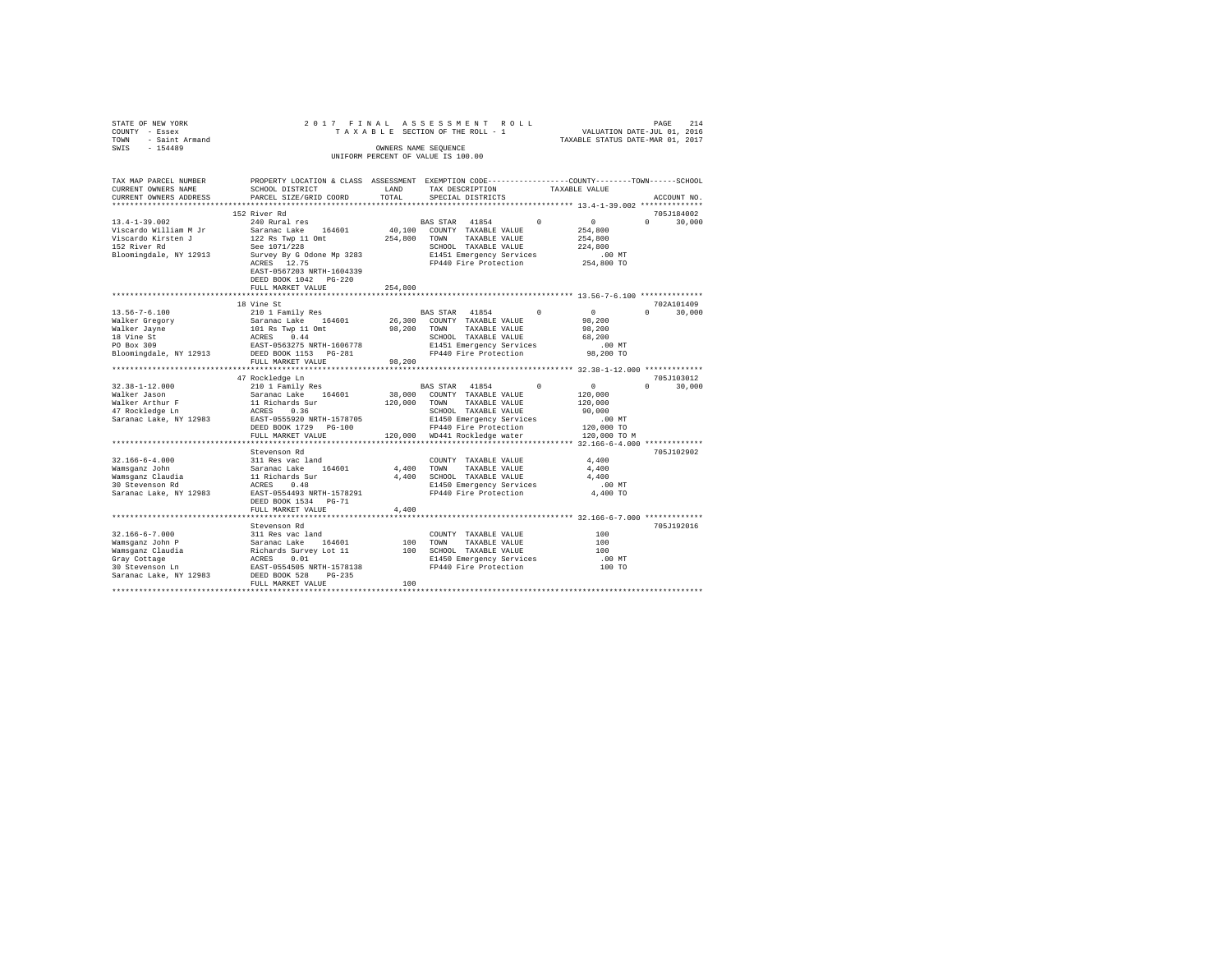| STATE OF NEW YORK<br>COUNTY - Essex<br>TOWN - Saint Armand<br>SWIS - 154489                                                                                            |                                           | OWNERS NAME SEOUENCE | 2017 FINAL ASSESSMENT ROLL<br>TAXABLE SECTION OF THE ROLL - 1<br>UNIFORM PERCENT OF VALUE IS 100.00 |            | VALUATION DATE-JUL 01, 2016<br>TAXABLE STATUS DATE-MAR 01, 2017 | 214<br>PAGE                 |
|------------------------------------------------------------------------------------------------------------------------------------------------------------------------|-------------------------------------------|----------------------|-----------------------------------------------------------------------------------------------------|------------|-----------------------------------------------------------------|-----------------------------|
| TAX MAP PARCEL NUMBER PROPERTY LOCATION & CLASS ASSESSMENT EXEMPTION CODE---------------COUNTY-------TOWN------SCHOOL<br>CURRENT OWNERS NAME<br>CURRENT OWNERS ADDRESS | SCHOOL DISTRICT<br>PARCEL SIZE/GRID COORD | LAND<br>TOTAL        | TAX DESCRIPTION<br>SPECIAL DISTRICTS                                                                |            | TAXABLE VALUE                                                   | ACCOUNT NO.                 |
|                                                                                                                                                                        |                                           |                      |                                                                                                     |            | **************** 13.4-1-39.002 **************                   |                             |
|                                                                                                                                                                        | 152 River Rd                              |                      |                                                                                                     |            |                                                                 | 705J184002                  |
| $13.4 - 1 - 39.002$                                                                                                                                                    | 240 Rural res                             |                      | BAS STAR 41854                                                                                      | $\Omega$   | $\sim$ 0                                                        | $0 \t 30,000$               |
| Viscardo William M Jr                                                                                                                                                  | Saranac Lake 164601                       |                      | 40,100 COUNTY TAXABLE VALUE                                                                         |            | 254,800                                                         |                             |
| Viscardo Kirsten J                                                                                                                                                     | 122 Rs Twp 11 Omt                         |                      | 254,800 TOWN TAXABLE VALUE                                                                          |            | 254,800                                                         |                             |
| 152 River Rd                                                                                                                                                           | See 1071/228                              |                      | SCHOOL TAXABLE VALUE<br>E1451 Emergency Services                                                    |            | 224,800                                                         |                             |
| Bloomingdale, NY 12913                                                                                                                                                 | Survey By G Odone Mp 3283                 |                      |                                                                                                     |            | $.00$ MT                                                        |                             |
|                                                                                                                                                                        | ACRES 12.75                               |                      | FP440 Fire Protection                                                                               |            | 254,800 TO                                                      |                             |
|                                                                                                                                                                        | EAST-0567203 NRTH-1604339                 |                      |                                                                                                     |            |                                                                 |                             |
|                                                                                                                                                                        | DEED BOOK 1042 PG-220                     |                      |                                                                                                     |            |                                                                 |                             |
|                                                                                                                                                                        | FULL MARKET VALUE                         | 254,800              |                                                                                                     |            |                                                                 |                             |
|                                                                                                                                                                        |                                           |                      |                                                                                                     |            |                                                                 |                             |
|                                                                                                                                                                        | 18 Vine St                                |                      |                                                                                                     |            | $\sim$ 0                                                        | 702A101409<br>$0 \t 30,000$ |
| $13.56 - 7 - 6.100$                                                                                                                                                    | 210 1 Family Res                          |                      | BAS STAR 41854 0                                                                                    |            | 98,200                                                          |                             |
| Walker Gregory                                                                                                                                                         | Saranac Lake 164601                       |                      | 26,300 COUNTY TAXABLE VALUE                                                                         |            | 98,200                                                          |                             |
| Walker Jayne<br>18 Vine St                                                                                                                                             | 101 Rs Twp 11 Omt<br>ACRES 0.44           |                      | 98,200 TOWN TAXABLE VALUE                                                                           |            | 68,200                                                          |                             |
| PO Box 309                                                                                                                                                             | EAST-0563275 NRTH-1606778                 |                      | SCHOOL TAXABLE VALUE<br>E1451 Emergency Services<br>FP440 Fire Protection                           |            | $.00$ MT                                                        |                             |
| Bloomingdale, NY 12913 DEED BOOK 1153 PG-281                                                                                                                           |                                           |                      |                                                                                                     |            | 98,200 TO                                                       |                             |
|                                                                                                                                                                        | FULL MARKET VALUE                         | 98,200               |                                                                                                     |            |                                                                 |                             |
|                                                                                                                                                                        |                                           |                      |                                                                                                     |            |                                                                 |                             |
|                                                                                                                                                                        | 47 Rockledge Ln                           |                      |                                                                                                     |            |                                                                 | 705J103012                  |
| $32.38 - 1 - 12.000$                                                                                                                                                   | 210 1 Family Res                          |                      | BAS STAR 41854                                                                                      | $^{\circ}$ | $\sim$ 0                                                        | $\Omega$<br>30,000          |
| Walker Jason                                                                                                                                                           | Saranac Lake 164601                       |                      | 38,000 COUNTY TAXABLE VALUE                                                                         |            | 120,000                                                         |                             |
| Walker Arthur F<br>47 Rockledge Ln                                                                                                                                     | 11 Richards Sur<br>ACRES 0.36             |                      | 120,000 TOWN TAXABLE VALUE                                                                          |            | 120,000                                                         |                             |
|                                                                                                                                                                        |                                           |                      | SCHOOL TAXABLE VALUE                                                                                |            | 90,000                                                          |                             |
| Saranac Lake, NY 12983                                                                                                                                                 | EAST-0555920 NRTH-1578705                 |                      | E1450 Emergency Services<br>FP440 Fire Protection                                                   |            | .00 MT                                                          |                             |
|                                                                                                                                                                        | DEED BOOK 1729 PG-100                     |                      |                                                                                                     |            | 120,000 TO                                                      |                             |
|                                                                                                                                                                        | FULL MARKET VALUE                         |                      | 120,000 WD441 Rockledge water                                                                       |            | 120,000 TO M                                                    |                             |
|                                                                                                                                                                        |                                           |                      |                                                                                                     |            |                                                                 |                             |
|                                                                                                                                                                        | Stevenson Rd                              |                      |                                                                                                     |            |                                                                 | 705J102902                  |
| $32.166 - 6 - 4.000$                                                                                                                                                   | 311 Res vac land                          |                      | COUNTY TAXABLE VALUE                                                                                |            | 4,400                                                           |                             |
| Wamsqanz John                                                                                                                                                          | Saranac Lake 164601                       | 4,400 TOWN           | TAXABLE VALUE                                                                                       |            | 4,400                                                           |                             |
| Wamsganz Claudia<br>30 Stevenson Rd                                                                                                                                    | 11 Richards Sur<br>ACRES 0.48             |                      | 4,400 SCHOOL TAXABLE VALUE                                                                          |            | 4,400                                                           |                             |
| Saranac Lake, NY 12983                                                                                                                                                 | EAST-0554493 NRTH-1578291                 |                      | E1450 Emergency Services<br>FP440 Fire Protection                                                   |            | $.00$ MT<br>4,400 TO                                            |                             |
|                                                                                                                                                                        | DEED BOOK 1534 PG-71                      |                      |                                                                                                     |            |                                                                 |                             |
|                                                                                                                                                                        | FULL MARKET VALUE                         | 4,400                |                                                                                                     |            |                                                                 |                             |
|                                                                                                                                                                        |                                           |                      |                                                                                                     |            |                                                                 |                             |
|                                                                                                                                                                        | Stevenson Rd                              |                      |                                                                                                     |            |                                                                 | 705J192016                  |
| $32.166 - 6 - 7.000$                                                                                                                                                   | 311 Res vac land                          |                      | COUNTY TAXABLE VALUE                                                                                |            | 100                                                             |                             |
| Wamsganz John P                                                                                                                                                        | Saranac Lake 164601                       |                      | 100 TOWN TAXABLE VALUE                                                                              |            | 100                                                             |                             |
|                                                                                                                                                                        | Richards Survey Lot 11                    |                      | 100 SCHOOL TAXABLE VALUE                                                                            |            | 100                                                             |                             |
|                                                                                                                                                                        | ACRES 0.01                                |                      | E1450 Emergency Services                                                                            |            | .00 MT<br>100 TO                                                |                             |
| Wamsganz Claudia<br>Gray Cottage<br>30 Stevenson Ln                                                                                                                    | EAST-0554505 NRTH-1578138                 |                      | FP440 Fire Protection                                                                               |            |                                                                 |                             |
| Saranac Lake, NY 12983                                                                                                                                                 | DEED BOOK 528 PG-235                      |                      |                                                                                                     |            |                                                                 |                             |
|                                                                                                                                                                        | FULL MARKET VALUE                         | 100                  |                                                                                                     |            |                                                                 |                             |
|                                                                                                                                                                        |                                           |                      |                                                                                                     |            |                                                                 |                             |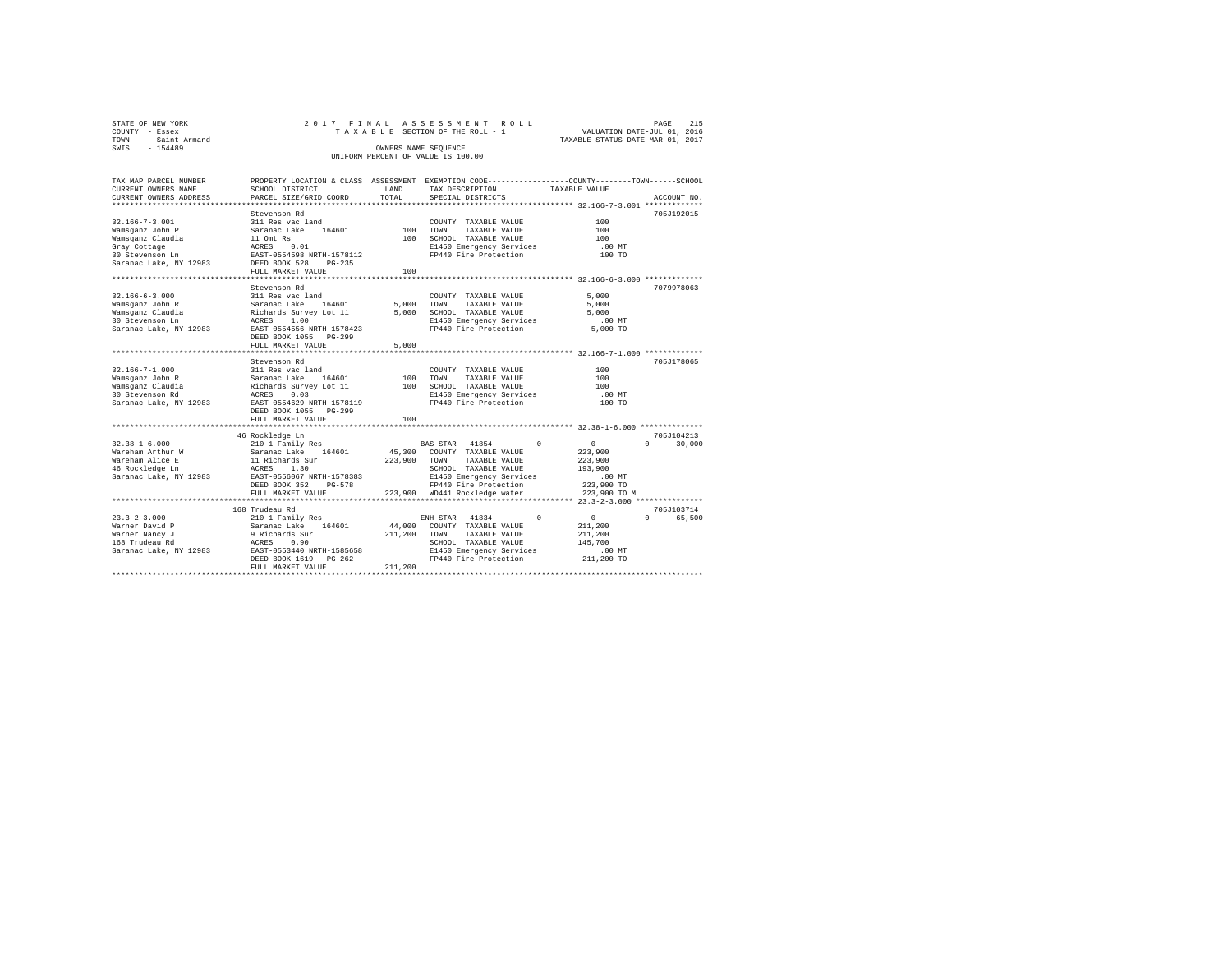| STATE OF NEW YORK   | 2017 FINAL ASSESSMENT ROLL         | 215<br>PAGE                      |
|---------------------|------------------------------------|----------------------------------|
| COUNTY - Essex      | TAXABLE SECTION OF THE ROLL - 1    | VALUATION DATE-JUL 01, 2016      |
| TOWN - Saint Armand |                                    | TAXABLE STATUS DATE-MAR 01, 2017 |
| SWIS<br>$-154489$   | OWNERS NAME SEOUENCE               |                                  |
|                     | UNIFORM PERCENT OF VALUE IS 100.00 |                                  |

| TAX MAP PARCEL NUMBER<br>CURRENT OWNERS NAME<br>CURRENT OWNERS ADDRESS                                                            | SCHOOL DISTRICT<br>PARCEL SIZE/GRID COORD<br>************************                                                                                                         | LAND<br>TOTAL           | TAX DESCRIPTION<br>SPECIAL DISTRICTS                                                                                                                                                       | PROPERTY LOCATION & CLASS ASSESSMENT EXEMPTION CODE----------------COUNTY-------TOWN-----SCHOOL<br>TAXABLE VALUE<br>ACCOUNT NO. |
|-----------------------------------------------------------------------------------------------------------------------------------|-------------------------------------------------------------------------------------------------------------------------------------------------------------------------------|-------------------------|--------------------------------------------------------------------------------------------------------------------------------------------------------------------------------------------|---------------------------------------------------------------------------------------------------------------------------------|
|                                                                                                                                   |                                                                                                                                                                               |                         |                                                                                                                                                                                            |                                                                                                                                 |
| $32.166 - 7 - 3.001$<br>Wamsganz John P<br>Wamsganz Claudia                                                                       | Stevenson Rd<br>311 Res vac land<br>Saranac Lake<br>164601<br>11 Omt Rs<br>FULL MARKET VALUE                                                                                  | 100<br>100<br>100       | COUNTY TAXABLE VALUE<br>TOWN<br>TAXABLE VALUE<br>SCHOOL TAXABLE VALUE<br>E1450 Emergency Services<br>FP440 Fire Protection                                                                 | 705J192015<br>100<br>100<br>100<br>.00 MT<br>100 TO                                                                             |
|                                                                                                                                   | *****************************                                                                                                                                                 |                         |                                                                                                                                                                                            |                                                                                                                                 |
| $32.166 - 6 - 3.000$<br>Wamsqanz John R<br>Wamsganz Claudia<br>30 Stevenson Ln<br>Saranac Lake, NY 12983                          | Stevenson Rd<br>311 Res vac land<br>Saranac Lake 164601<br>Richards Survey Lot 11<br>ACRES 1.00<br>EAST-0554556 NRTH-1578423<br>DEED BOOK 1055<br>PG-299<br>FULL MARKET VALUE | 5,000<br>5.000          | COUNTY TAXABLE VALUE<br>5,000 TOWN<br>TAXABLE VALUE<br>SCHOOL TAXABLE VALUE<br>E1450 Emergency Services<br>FP440 Fire Protection                                                           | 7079978063<br>5,000<br>5,000<br>5,000<br>$.00$ MT<br>5,000 TO                                                                   |
|                                                                                                                                   | ********************                                                                                                                                                          |                         |                                                                                                                                                                                            | **************** 32.166-7-1.000 **************                                                                                  |
| $32.166 - 7 - 1.000$<br>Wamsqanz John R<br>Wamsganz Claudia<br>30 Stevenson Rd<br>Saranac Lake, NY 12983                          | Stevenson Rd<br>311 Res vac land<br>Saranac Lake 164601<br>Richards Survey Lot 11<br>ACRES 0.03<br>EAST-0554629 NRTH-1578119<br>DEED BOOK 1055 PG-299                         | 100<br>100              | COUNTY TAXABLE VALUE<br>TOWN<br>TAXABLE VALUE<br>SCHOOL TAXABLE VALUE<br>E1450 Emergency Services<br>FP440 Fire Protection                                                                 | 705J178065<br>100<br>100<br>100<br>$.00$ MT<br>100 TO                                                                           |
|                                                                                                                                   | FULL MARKET VALUE                                                                                                                                                             | 100                     |                                                                                                                                                                                            |                                                                                                                                 |
|                                                                                                                                   |                                                                                                                                                                               |                         |                                                                                                                                                                                            | 705J104213                                                                                                                      |
| $32.38 - 1 - 6.000$<br>Wareham Arthur W<br>Wareham Alice E<br>46 Rockledge Ln<br>Saranac Lake, NY 12983 EAST-0556067 NRTH-1578383 | 46 Rockledge Ln<br>210 1 Family Res<br>Saranac Lake 164601<br>11 Richards Sur<br>ACRES 1.30<br>DEED BOOK 352<br>PG-578<br>FULL MARKET VALUE                                   | 223,900 TOWN            | BAS STAR 41854<br>$^{\circ}$<br>45,300 COUNTY TAXABLE VALUE<br>TAXABLE VALUE<br>SCHOOL TAXABLE VALUE<br>E1450 Emergency Services<br>FP440 Fire Protection<br>223,900 WD441 Rockledge water | $\sim$ 0<br>$\mathbf{r}$<br>30,000<br>223,900<br>223,900<br>193,900<br>00 MT.<br>223,900 TO<br>223,900 TO M                     |
|                                                                                                                                   |                                                                                                                                                                               |                         |                                                                                                                                                                                            |                                                                                                                                 |
| $23.3 - 2 - 3.000$<br>Warner David P<br>Warner Nancy J<br>168 Trudeau Rd<br>Saranac Lake, NY 12983                                | 168 Trudeau Rd<br>210 1 Family Res<br>Saranac Lake 164601<br>9 Richards Sur<br>ACRES 0.90<br>EAST-0553440 NRTH-1585658<br>$PG-262$<br>DEED BOOK 1619<br>FULL MARKET VALUE     | 211,200 TOWN<br>211,200 | ENH STAR 41834<br>$\Omega$<br>44,000 COUNTY TAXABLE VALUE<br>TAXABLE VALUE<br>SCHOOL TAXABLE VALUE<br>E1450 Emergency Services<br>FP440 Fire Protection                                    | 705J103714<br>$\sim$ 0<br>$0 \qquad \qquad$<br>65,500<br>211,200<br>211,200<br>145,700<br>$.00$ MT<br>211,200 TO                |
|                                                                                                                                   |                                                                                                                                                                               |                         |                                                                                                                                                                                            |                                                                                                                                 |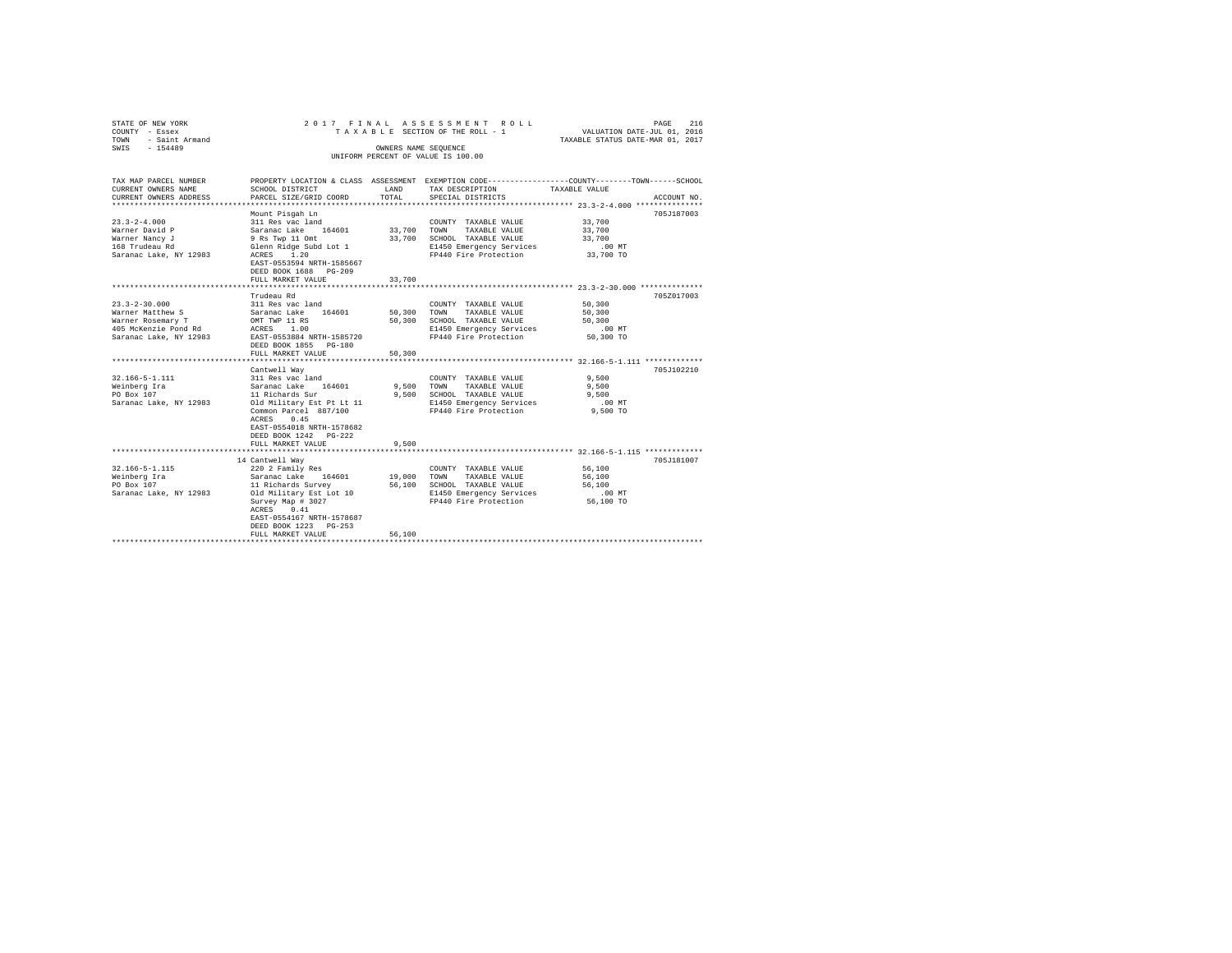| STATE OF NEW YORK<br>COUNTY - Essex<br>- Saint Armand<br>TOWN<br>SWIS - 154489                                                                                                                 |                                                                                                                                                                                                                                                                                                                                                                                              |                                              | 2017 FINAL ASSESSMENT ROLL<br>TAXABLE SECTION OF THE ROLL - 1<br>OWNERS NAME SEQUENCE<br>UNIFORM PERCENT OF VALUE IS 100.00                                                                                                                              | PAGE<br>216<br>VALUATION DATE-JUL 01, 2016<br>TAXABLE STATUS DATE-MAR 01, 2017                                                   |
|------------------------------------------------------------------------------------------------------------------------------------------------------------------------------------------------|----------------------------------------------------------------------------------------------------------------------------------------------------------------------------------------------------------------------------------------------------------------------------------------------------------------------------------------------------------------------------------------------|----------------------------------------------|----------------------------------------------------------------------------------------------------------------------------------------------------------------------------------------------------------------------------------------------------------|----------------------------------------------------------------------------------------------------------------------------------|
| TAX MAP PARCEL NUMBER<br>CURRENT OWNERS NAME<br>CURRENT OWNERS ADDRESS                                                                                                                         | SCHOOL DISTRICT<br>PARCEL SIZE/GRID COORD                                                                                                                                                                                                                                                                                                                                                    | LAND<br>TOTAL                                | TAX DESCRIPTION<br>SPECIAL DISTRICTS                                                                                                                                                                                                                     | PROPERTY LOCATION & CLASS ASSESSMENT EXEMPTION CODE---------------COUNTY-------TOWN------SCHOOL<br>TAXABLE VALUE<br>ACCOUNT NO.  |
| $23.3 - 2 - 4.000$<br>Warner David P<br>Warner Nancy J<br>168 Trudeau Rd<br>Saranac Lake, NY 12983                                                                                             | Mount Pisgah Ln<br>311 Res vac land<br>Saranac Lake 164601<br>9 Rs Twp 11 Omt<br>Glenn Ridge Subd Lot 1<br>ACRES 1.20<br>EAST-0553594 NRTH-1585667<br>DEED BOOK 1688 PG-209<br>FULL MARKET VALUE                                                                                                                                                                                             | 33,700 TOWN<br>33,700                        | COUNTY TAXABLE VALUE<br>TAXABLE VALUE<br>33,700 SCHOOL TAXABLE VALUE<br>E1450 Emergency Services<br>FP440 Fire Protection                                                                                                                                | 705J187003<br>33,700<br>33,700<br>33,700<br>$.00$ MT<br>33,700 TO                                                                |
|                                                                                                                                                                                                |                                                                                                                                                                                                                                                                                                                                                                                              | ************                                 |                                                                                                                                                                                                                                                          |                                                                                                                                  |
| $23.3 - 2 - 30.000$<br>Warner Matthew S<br>Warner Rosemary T<br>405 McKenzie Pond Rd<br>Saranac Lake, NY 12983<br>$32.166 - 5 - 1.111$<br>Weinberg Ira<br>PO Box 107<br>Saranac Lake, NY 12983 | Trudeau Rd<br>311 Res vac land<br>Saranac Lake 164601<br>OMT TWP 11 RS<br>ACRES 1.00<br>EAST-0553884 NRTH-1585720<br>DEED BOOK 1855 PG-180<br>FULL MARKET VALUE<br>Cantwell Way<br>311 Res vac land<br>Saranac Lake 164601<br>11 Richards Sur<br>Old Military Est Pt Lt 11<br>Common Parcel 887/100<br>ACRES 0.45<br>EAST-0554018 NRTH-1578682<br>DEED BOOK 1242 PG-222<br>FULL MARKET VALUE | 50,300<br>50,300<br>50,300<br>9.500<br>9,500 | COUNTY TAXABLE VALUE<br>TOWN TAXABLE VALUE<br>SCHOOL TAXABLE VALUE<br>E1450 Emergency Services<br>FP440 Fire Protection<br>COUNTY TAXABLE VALUE<br>9.500 TOWN TAXABLE VALUE<br>SCHOOL TAXABLE VALUE<br>E1450 Emergency Services<br>FP440 Fire Protection | 705Z017003<br>50,300<br>50,300<br>50,300<br>.00 MT<br>50,300 TO<br>705J102210<br>9.500<br>9,500<br>9,500<br>$.00$ MT<br>9,500 TO |
| $32.166 - 5 - 1.115$<br>Weinberg Ira<br>PO Box 107<br>Saranac Lake, NY 12983                                                                                                                   | 14 Cantwell Way<br>220 2 Family Res<br>Saranac Lake 164601<br>11 Richards Survey<br>Old Military Est Lot 10<br>Survey Map # 3027<br>ACRES 0.41<br>EAST-0554167 NRTH-1578687<br>DEED BOOK 1223 PG-253<br>FULL MARKET VALUE<br>*********************                                                                                                                                           | 19,000<br>56,100<br>56,100                   | COUNTY TAXABLE VALUE<br>TOWN<br>TAXABLE VALUE<br>SCHOOL TAXABLE VALUE<br>E1450 Emergency Services<br>FP440 Fire Protection                                                                                                                               | 705J181007<br>56,100<br>56,100<br>56,100<br>$.00$ MT<br>56,100 TO                                                                |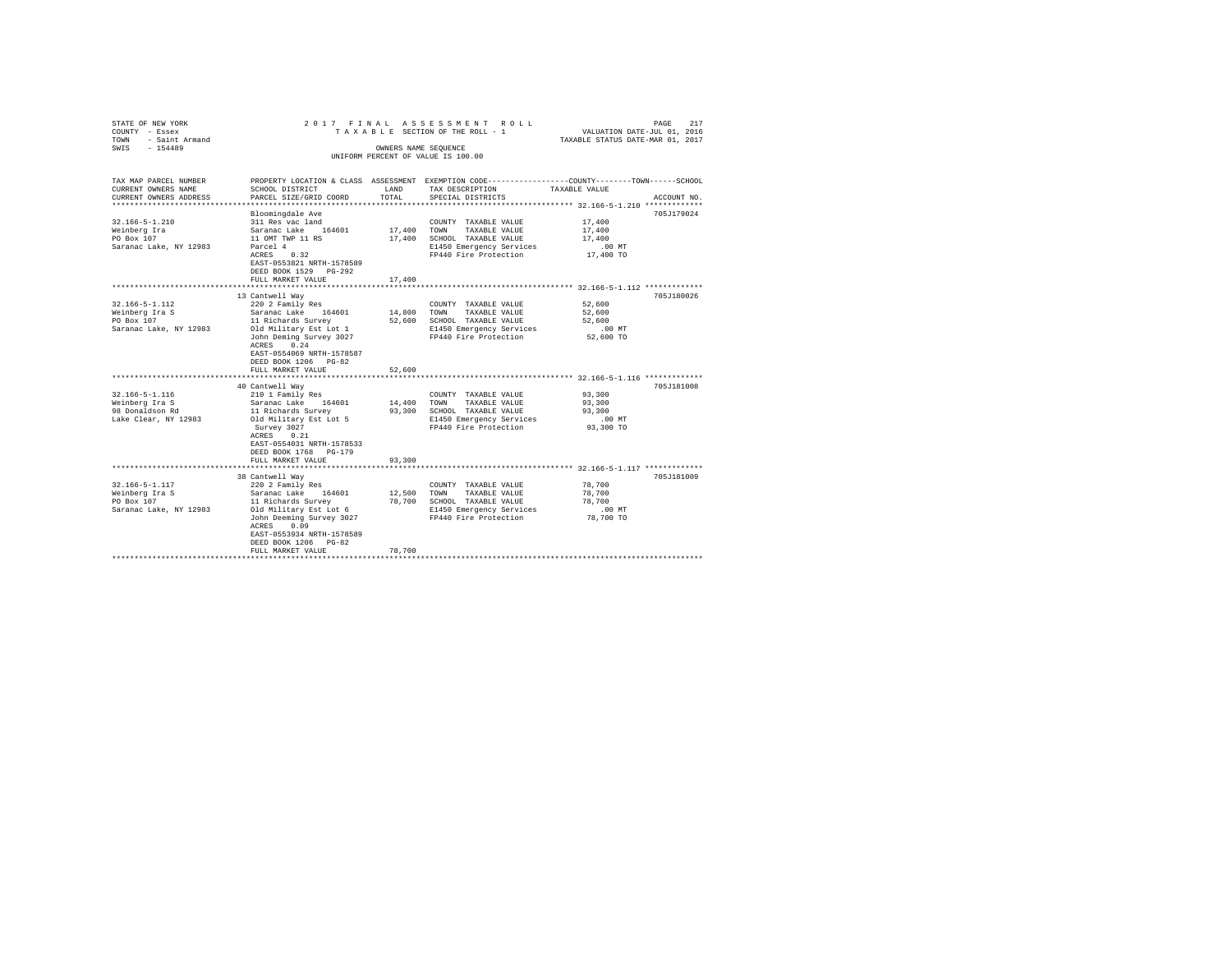| STATE OF NEW YORK<br>COUNTY - Essex<br>TOWN - Saint Armand<br>SWIS - 154489 |                                                   | OWNERS NAME SEQUENCE | 2017 FINAL ASSESSMENT ROLL<br>TAXABLE SECTION OF THE ROLL - 1 | PAGE<br>217<br>VALUATION DATE-JUL 01, 2016<br>TAXABLE STATUS DATE-MAR 01, 2017                  |  |
|-----------------------------------------------------------------------------|---------------------------------------------------|----------------------|---------------------------------------------------------------|-------------------------------------------------------------------------------------------------|--|
|                                                                             |                                                   |                      | UNIFORM PERCENT OF VALUE IS 100.00                            |                                                                                                 |  |
|                                                                             |                                                   |                      |                                                               |                                                                                                 |  |
| TAX MAP PARCEL NUMBER                                                       |                                                   |                      |                                                               | PROPERTY LOCATION & CLASS ASSESSMENT EXEMPTION CODE---------------COUNTY-------TOWN------SCHOOL |  |
| CURRENT OWNERS NAME                                                         | SCHOOL DISTRICT                                   | LAND                 | TAX DESCRIPTION                                               | TAXABLE VALUE                                                                                   |  |
| CURRENT OWNERS ADDRESS                                                      | PARCEL SIZE/GRID COORD                            | TOTAL                | SPECIAL DISTRICTS                                             | ACCOUNT NO.                                                                                     |  |
|                                                                             | Bloomingdale Ave                                  |                      |                                                               | 705J179024                                                                                      |  |
| $32.166 - 5 - 1.210$                                                        | 311 Res vac land                                  |                      | COUNTY TAXABLE VALUE                                          | 17,400                                                                                          |  |
| Weinberg Ira                                                                | Saranac Lake 164601                               | 17,400               | TOWN<br>TAXABLE VALUE                                         | 17,400                                                                                          |  |
| PO Box 107                                                                  | 11 OMT TWP 11 RS                                  | 17,400               | SCHOOL TAXABLE VALUE                                          | 17,400                                                                                          |  |
| Saranac Lake, NY 12983                                                      | Parcel 4                                          |                      | E1450 Emergency Services                                      | $.00$ MT                                                                                        |  |
|                                                                             | ACRES 0.32                                        |                      | FP440 Fire Protection                                         | 17,400 TO                                                                                       |  |
|                                                                             | EAST-0553821 NRTH-1578589                         |                      |                                                               |                                                                                                 |  |
|                                                                             | DEED BOOK 1529 PG-292<br>FULL MARKET VALUE        | 17,400               |                                                               |                                                                                                 |  |
|                                                                             |                                                   |                      |                                                               |                                                                                                 |  |
|                                                                             | 13 Cantwell Way                                   |                      |                                                               | 705J180026                                                                                      |  |
| 32.166-5-1.112                                                              | 220 2 Family Res                                  |                      | COUNTY TAXABLE VALUE                                          | 52,600                                                                                          |  |
| Weinberg Ira S                                                              | Saranac Lake 164601                               | 14,800               | TOWN<br>TAXABLE VALUE                                         | 52,600                                                                                          |  |
| $PO$ Box $107$                                                              | 11 Richards Survey                                | 52,600               | SCHOOL TAXABLE VALUE                                          | 52,600                                                                                          |  |
| Saranac Lake, NY 12983                                                      | Old Military Est Lot 1                            |                      | E1450 Emergency Services                                      | .00MT                                                                                           |  |
|                                                                             | John Deming Survey 3027                           |                      | FP440 Fire Protection                                         | 52,600 TO                                                                                       |  |
|                                                                             | ACRES 0.24                                        |                      |                                                               |                                                                                                 |  |
|                                                                             | EAST-0554069 NRTH-1578587<br>DEED BOOK 1206 PG-82 |                      |                                                               |                                                                                                 |  |
|                                                                             | FULL MARKET VALUE                                 | 52,600               |                                                               |                                                                                                 |  |
|                                                                             |                                                   |                      |                                                               | ******************************** 32.166-5-1.116 *************                                   |  |
|                                                                             | 40 Cantwell Way                                   |                      |                                                               | 705J181008                                                                                      |  |
| 32.166-5-1.116                                                              | 210 1 Family Res                                  |                      | COUNTY TAXABLE VALUE                                          | 93,300                                                                                          |  |
| Weinberg Ira S                                                              | Saranac Lake 164601                               | 14,400               | TOWN<br>TAXABLE VALUE                                         | 93,300                                                                                          |  |
| 98 Donaldson Rd                                                             | 11 Richards Survey                                |                      | 93,300 SCHOOL TAXABLE VALUE                                   | 93,300                                                                                          |  |
| Lake Clear, NY 12983                                                        | Old Military Est Lot 5                            |                      | E1450 Emergency Services                                      | $.00$ MT                                                                                        |  |
|                                                                             | Survey 3027                                       |                      | FP440 Fire Protection                                         | 93,300 TO                                                                                       |  |
|                                                                             | ACRES 0.21                                        |                      |                                                               |                                                                                                 |  |
|                                                                             | EAST-0554031 NRTH-1578533                         |                      |                                                               |                                                                                                 |  |
|                                                                             | DEED BOOK 1768 PG-179<br>FULL MARKET VALUE        | 93,300               |                                                               |                                                                                                 |  |
|                                                                             |                                                   |                      |                                                               |                                                                                                 |  |
|                                                                             | 38 Cantwell Way                                   |                      |                                                               | 705J181009                                                                                      |  |
| 32.166-5-1.117                                                              | 220 2 Family Res                                  |                      | COUNTY TAXABLE VALUE                                          | 78,700                                                                                          |  |
| Weinberg Ira S<br>20 Boy 107                                                | Saranac Lake 164601                               | 12,500               | TOWN<br>TAXABLE VALUE                                         | 78,700                                                                                          |  |
|                                                                             | 11 Richards Survey                                |                      | 78,700 SCHOOL TAXABLE VALUE                                   | 78,700                                                                                          |  |
| Saranac Lake, NY 12983                                                      | Old Military Est Lot 6                            |                      | E1450 Emergency Services                                      | .00MT                                                                                           |  |
|                                                                             | John Deeming Survey 3027                          |                      | FP440 Fire Protection                                         | 78,700 TO                                                                                       |  |
|                                                                             | ACRES 0.09                                        |                      |                                                               |                                                                                                 |  |
|                                                                             | EAST-0553934 NRTH-1578589                         |                      |                                                               |                                                                                                 |  |
|                                                                             | DEED BOOK 1206 PG-82<br>FULL MARKET VALUE         | 78,700               |                                                               |                                                                                                 |  |
|                                                                             |                                                   |                      |                                                               |                                                                                                 |  |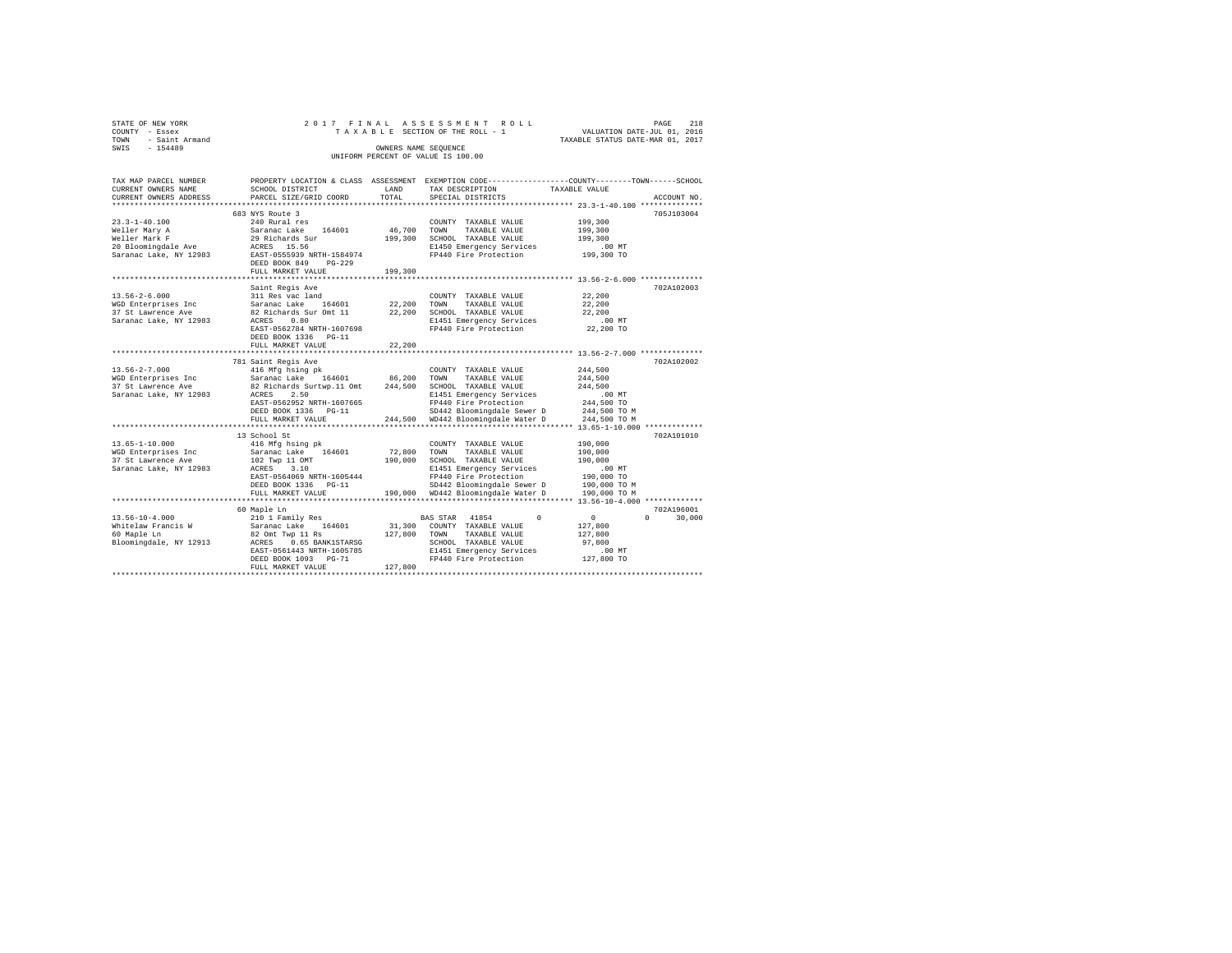| STATE OF NEW YORK<br>COUNTY<br>- Essex<br>- Saint Armand<br>TOWN<br>SWIS - 154489 |                                      | OWNERS NAME SEQUENCE | 2017 FINAL ASSESSMENT ROLL<br>UNIFORM PERCENT OF VALUE IS 100.00 | 218<br>PAGE<br>TAXABLE SECTION OF THE ROLL - 1 VALUATION DATE-JUL 01, 2016<br>TAXABLE STATUS DATE-MAR 01, 2017 |
|-----------------------------------------------------------------------------------|--------------------------------------|----------------------|------------------------------------------------------------------|----------------------------------------------------------------------------------------------------------------|
| TAX MAP PARCEL NUMBER                                                             | PROPERTY LOCATION & CLASS ASSESSMENT |                      |                                                                  | EXEMPTION CODE-----------------COUNTY-------TOWN------SCHOOL                                                   |
| CURRENT OWNERS NAME                                                               | SCHOOL DISTRICT                      | <b>LAND</b>          | TAX DESCRIPTION TAXABLE VALUE                                    |                                                                                                                |
| CURRENT OWNERS ADDRESS 6 PARCEL SIZE/GRID COORD 6 TOTAL SPECIAL DISTRICTS         |                                      |                      |                                                                  | ACCOUNT NO.                                                                                                    |
|                                                                                   |                                      |                      |                                                                  |                                                                                                                |
|                                                                                   | 683 NYS Route 3                      |                      |                                                                  | 705J103004                                                                                                     |
| $23.3 - 1 - 40.100$                                                               | 240 Rural res                        |                      | COUNTY TAXABLE VALUE                                             | 199,300                                                                                                        |
| Weller Mary A                                                                     | Saranac Lake 164601 46,700           |                      | TOWN<br>TAXABLE VALUE                                            | 199,300                                                                                                        |
| Weller Mark F                                                                     | 29 Richards Sur 199,300              |                      | SCHOOL TAXABLE VALUE 199,300                                     |                                                                                                                |
| 20 Bloomingdale Ave MCRES 15.56                                                   |                                      |                      | E1450 Emergency Services .00 MT                                  |                                                                                                                |
| Saranac Lake, NY 12983                                                            | EAST-0555939 NRTH-1584974            |                      | FP440 Fire Protection 199,300 TO                                 |                                                                                                                |
|                                                                                   | DEED BOOK 849<br>PG-229              |                      |                                                                  |                                                                                                                |
|                                                                                   | FULL MARKET VALUE                    | 199,300              |                                                                  |                                                                                                                |
|                                                                                   |                                      |                      |                                                                  |                                                                                                                |

|                        | **************                                 |         | ****************** 13.56-2-6.000 *************** |              |                    |
|------------------------|------------------------------------------------|---------|--------------------------------------------------|--------------|--------------------|
|                        | Saint Regis Ave                                |         |                                                  |              | 702A102003         |
| $13.56 - 2 - 6.000$    | 311 Res vac land                               |         | COUNTY TAXABLE VALUE                             | 22,200       |                    |
| WGD Enterprises Inc    | Saranac Lake 164601                            | 22,200  | TOWN<br>TAXABLE VALUE                            | 22,200       |                    |
| 37 St Lawrence Ave     | 82 Richards Sur Omt 11                         | 22,200  | SCHOOL TAXABLE VALUE                             | 22,200       |                    |
| Saranac Lake, NY 12983 | 0.80<br>ACRES                                  |         | E1451 Emergency Services                         | $.00$ MT     |                    |
|                        | EAST-0562784 NRTH-1607698                      |         | FP440 Fire Protection                            | 22,200 TO    |                    |
|                        | DEED BOOK 1336 PG-11                           |         |                                                  |              |                    |
|                        | FULL MARKET VALUE                              | 22,200  |                                                  |              |                    |
|                        |                                                |         |                                                  |              |                    |
|                        | 781 Saint Regis Ave                            |         |                                                  |              | 702A102002         |
| $13.56 - 2 - 7.000$    | 416 Mfg hsing pk                               |         | COUNTY TAXABLE VALUE                             | 244,500      |                    |
| WGD Enterprises Inc    | Saranac Lake 164601 86,200                     |         | TOWN<br>TAXABLE VALUE                            | 244,500      |                    |
| 37 St Lawrence Ave     | 82 Richards Surtwp.11 Omt                      | 244,500 | SCHOOL TAXABLE VALUE                             | 244,500      |                    |
| Saranac Lake, NY 12983 | 2.50<br>ACRES                                  |         | E1451 Emergency Services                         | .00MT        |                    |
|                        | EAST-0562952 NRTH-1607665                      |         | FP440 Fire Protection                            | 244,500 TO   |                    |
|                        | DEED BOOK 1336 PG-11                           |         | SD442 Bloomingdale Sewer D                       | 244,500 TO M |                    |
|                        | FULL MARKET VALUE                              | 244,500 | WD442 Bloomingdale Water D                       | 244,500 TO M |                    |
|                        |                                                |         |                                                  |              |                    |
|                        | 13 School St                                   |         |                                                  |              | 702A101010         |
| $13.65 - 1 - 10.000$   | 416 Mfg hsing pk                               |         | COUNTY TAXABLE VALUE                             | 190,000      |                    |
|                        | WGD Enterprises Inc 5aranac Lake 164601 72.800 |         | TOWN<br>TAXABLE VALUE                            | 190,000      |                    |
| 37 St Lawrence Ave     | 102 Twp 11 OMT                                 | 190,000 | SCHOOL TAXABLE VALUE                             | 190,000      |                    |
| Saranac Lake, NY 12983 | ACRES<br>3.10                                  |         | E1451 Emergency Services                         | .00MT        |                    |
|                        | EAST-0564069 NRTH-1605444                      |         | FP440 Fire Protection                            | 190,000 TO   |                    |
|                        | DEED BOOK 1336 PG-11                           |         | SD442 Bloomingdale Sewer D 190.000 TO M          |              |                    |
|                        | FULL MARKET VALUE                              |         | 190,000 WD442 Bloomingdale Water D               | 190,000 TO M |                    |
|                        |                                                |         |                                                  |              |                    |
|                        | 60 Maple Ln                                    |         |                                                  |              | 702A196001         |
| $13.56 - 10 - 4.000$   | 210 1 Family Res                               |         | BAS STAR 41854<br>$\Omega$                       | 0            | $\Omega$<br>30,000 |
| Whitelaw Francis W     | Saranac Lake 164601                            |         | 31,300 COUNTY TAXABLE VALUE                      | 127,800      |                    |
| 60 Maple Ln            | 82 Omt Twp 11 Rs                               | 127,800 | TAXABLE VALUE<br>TOWN                            | 127,800      |                    |
| Bloomingdale, NY 12913 | ACRES 0.65 BANK1STARSG                         |         | SCHOOL TAXABLE VALUE                             | 97.800       |                    |
|                        | EAST-0561443 NRTH-1605785                      |         | E1451 Emergency Services                         | $.00$ MT     |                    |
|                        | DEED BOOK 1093 PG-71                           |         | FP440 Fire Protection                            | 127,800 TO   |                    |
|                        | FULL MARKET VALUE                              | 127,800 |                                                  |              |                    |
|                        | *************************************          |         |                                                  |              |                    |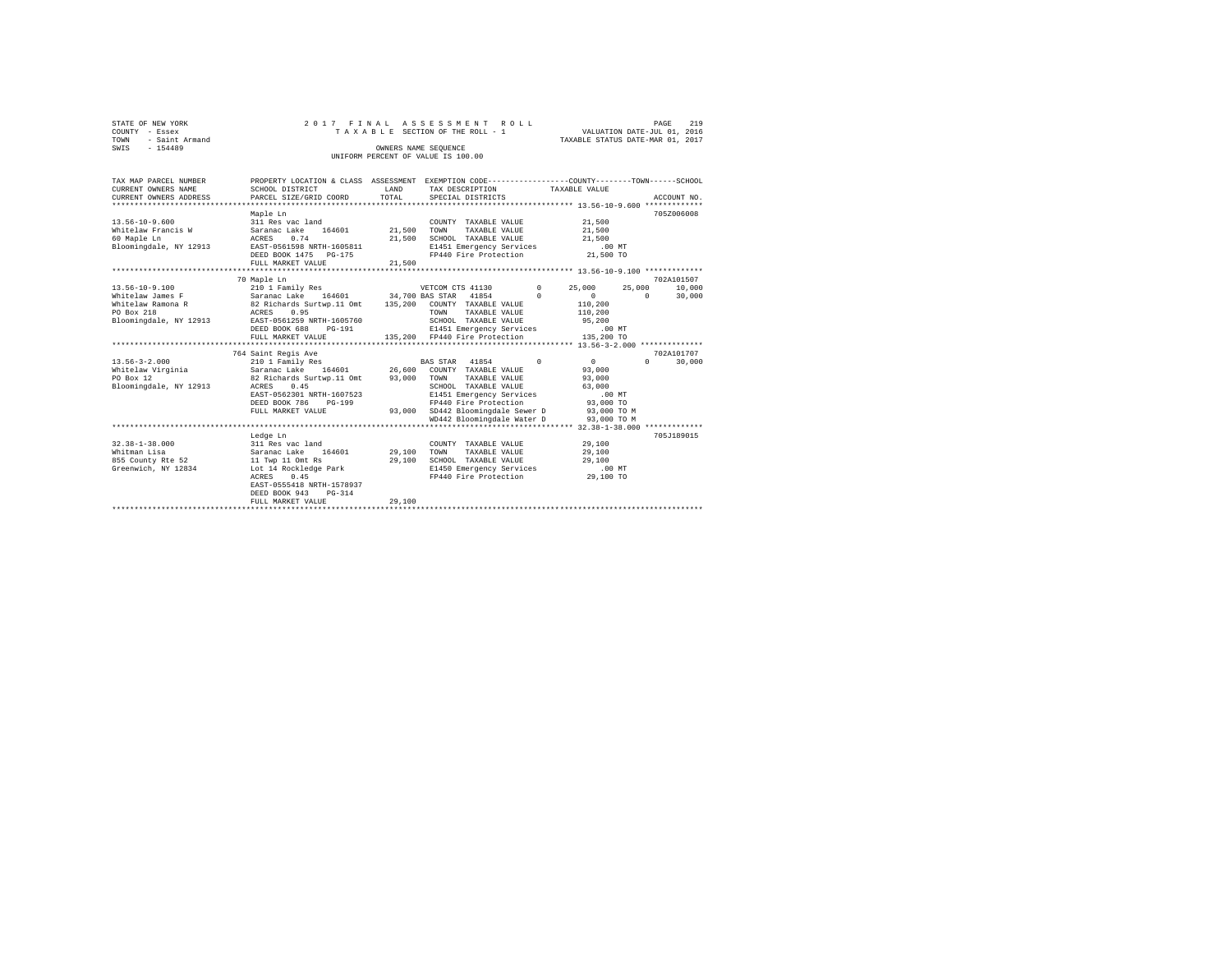|                | STATE OF NEW YORK   |  |  |  |  | 2017 FINAL ASSESSMENT ROLL         |  |  |  |                                  |                             | PAGE | 219 |
|----------------|---------------------|--|--|--|--|------------------------------------|--|--|--|----------------------------------|-----------------------------|------|-----|
| COUNTY - Essex |                     |  |  |  |  | TAXABLE SECTION OF THE ROLL - 1    |  |  |  |                                  | VALUATION DATE-JUL 01, 2016 |      |     |
|                | TOWN - Saint Armand |  |  |  |  |                                    |  |  |  | TAXABLE STATUS DATE-MAR 01, 2017 |                             |      |     |
| SWIS           | $-154489$           |  |  |  |  | OWNERS NAME SEOUENCE               |  |  |  |                                  |                             |      |     |
|                |                     |  |  |  |  | UNIFORM PERCENT OF VALUE IS 100.00 |  |  |  |                                  |                             |      |     |

| TAX MAP PARCEL NUMBER<br>CURRENT OWNERS NAME<br>CURRENT OWNERS ADDRESS                                                                                                                                           | PROPERTY LOCATION & CLASS ASSESSMENT EXEMPTION CODE----------------COUNTY-------TOWN------SCHOOL<br>SCHOOL DISTRICT<br>PARCEL SIZE/GRID COORD                                                             | LAND<br>TOTAL         | TAX DESCRIPTION<br>SPECIAL DISTRICTS                                                                                                                                                                    | TAXABLE VALUE                                                     | ACCOUNT NO.                                          |
|------------------------------------------------------------------------------------------------------------------------------------------------------------------------------------------------------------------|-----------------------------------------------------------------------------------------------------------------------------------------------------------------------------------------------------------|-----------------------|---------------------------------------------------------------------------------------------------------------------------------------------------------------------------------------------------------|-------------------------------------------------------------------|------------------------------------------------------|
| $13.56 - 10 - 9.600$<br>Whitelaw Francis W<br>60 Maple Ln<br>Bloomingdale, NY 12913                                                                                                                              | Maple Ln<br>311 Res vac land<br>Saranac Lake 164601<br>ACRES 0.74<br>EAST-0561598 NRTH-1605811<br>DEED BOOK 1475 PG-175                                                                                   | 21,500 TOWN<br>21,500 | COUNTY TAXABLE VALUE<br>TAXABLE VALUE<br>SCHOOL TAXABLE VALUE 21,500<br>E1451 Emergency Services .00 MT<br>FP440 Fire Protection 21,500 TO                                                              | 21,500<br>21,500                                                  | 705Z006008                                           |
|                                                                                                                                                                                                                  | FULL MARKET VALUE                                                                                                                                                                                         | 21,500                |                                                                                                                                                                                                         |                                                                   |                                                      |
| 13.56-10-9.100<br>Whitelaw James F Saranac Lake 164601 34,700 BAS STAR 41854<br>Whitelaw Ramona R 62 Richards Surtwp.11 Omt 135,200 COUNTY TAXABLE VALUE<br>PO Box 218<br><b>ACRES</b><br>Bloomingdale, NY 12913 | 70 Maple Ln<br>210 1 Family Res<br>0.95<br>EAST-0561259 NRTH-1605760<br>DEED BOOK 688<br>PG-191<br>FULL MARKET VALUE                                                                                      |                       | VETCOM CTS 41130 0<br>TOWN<br>TAXABLE VALUE<br>SCHOOL TAXABLE VALUE<br>E1451 Emergency Services .00 MT<br>135,200 FP440 Fire Protection 135,200 TO                                                      | 25,000<br>$\Omega$<br>$\Omega$<br>110,200<br>110,200<br>95,200    | 702A101507<br>25,000<br>10,000<br>30,000<br>$\Omega$ |
| $13.56 - 3 - 2.000$<br>Whitelaw Virginia             Saranac Lake     164601         26,600   COUNTY TAXABLE VALUE<br>PO Box 12<br>Bloomingdale, NY 12913                                                        | 764 Saint Regis Ave<br>210 1 Family Res<br>82 Richards Surtwp.11 Omt 93,000 TOWN<br>ACRES 0.45<br>EAST-0562301 NRTH-1607523<br>DEED BOOK 786<br>PG-199<br>FULL MARKET VALUE                               |                       | BAS STAR 41854 0<br>TAXABLE VALUE<br>SCHOOL TAXABLE VALUE<br>E1451 Emergency Services<br>FP440 Fire Protection 93,000 TO<br>93,000 SD442 Bloomingdale Sewer D 93,000 TO M<br>WD442 Bloomingdale Water D | $\sim$ 0<br>93,000<br>93,000<br>63,000<br>$.00$ MT<br>93,000 TO M | 702A101707<br>30,000<br>$\mathbf{r}$                 |
| $32.38 - 1 - 38.000$<br>Whitman Lisa<br>855 County Rte 52<br>Greenwich, NY 12834                                                                                                                                 | Ledge Ln<br>311 Res vac land<br>164601 29,100<br>Saranac Lake<br>11 Twp 11 Omt Rs<br>Lot $14$ Rockledge Park<br>ACRES 0.45<br>EAST-0555418 NRTH-1578937<br>DEED BOOK 943<br>$PG-314$<br>FULL MARKET VALUE | 29,100<br>29,100      | COUNTY TAXABLE VALUE<br>TOWN<br>TAXABLE VALUE<br>SCHOOL TAXABLE VALUE<br>E1450 Emergency Services<br>FP440 Fire Protection                                                                              | 29,100<br>29,100<br>29,100<br>.00MT<br>29,100 TO                  | 705J189015                                           |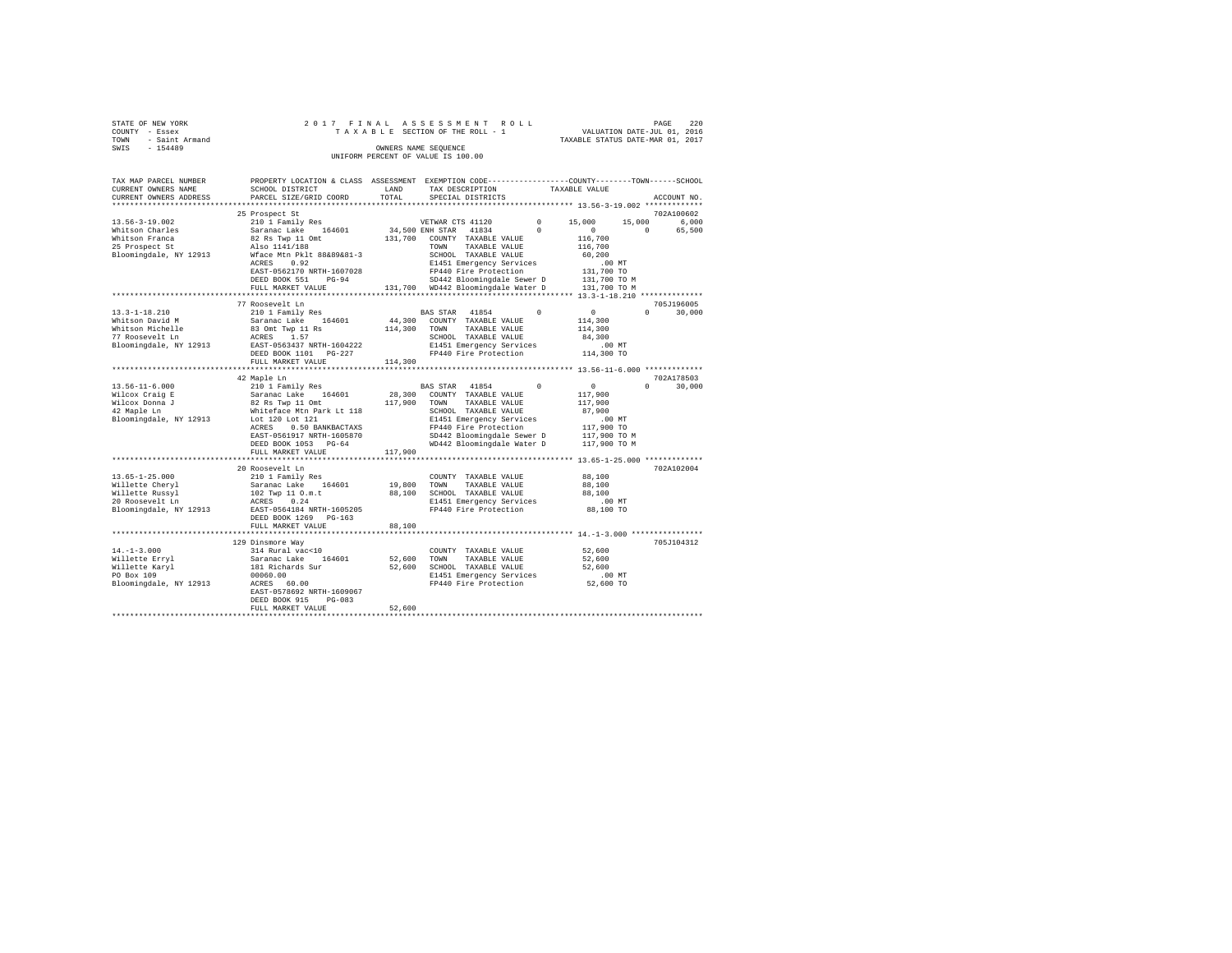| STATE OF NEW YORK      | 2017 FINAL ASSESSMENT ROLL         | 220<br>PAGE                      |
|------------------------|------------------------------------|----------------------------------|
| COUNTY - Essex         | TAXABLE SECTION OF THE ROLL - 1    | VALUATION DATE-JUL 01, 2016      |
| - Saint Armand<br>TOWN |                                    | TAXABLE STATUS DATE-MAR 01, 2017 |
| SWIS<br>$-154489$      | OWNERS NAME SEOUENCE               |                                  |
|                        | UNIFORM PERCENT OF VALUE IS 100.00 |                                  |
|                        |                                    |                                  |

| TAX MAP PARCEL NUMBER  | PROPERTY LOCATION & CLASS ASSESSMENT EXEMPTION CODE---------------COUNTY-------TOWN------SCHOOL |         |                                    |            |                  |                      |
|------------------------|-------------------------------------------------------------------------------------------------|---------|------------------------------------|------------|------------------|----------------------|
| CURRENT OWNERS NAME    | SCHOOL DISTRICT                                                                                 | LAND    | TAX DESCRIPTION                    |            | TAXABLE VALUE    |                      |
| CURRENT OWNERS ADDRESS | PARCEL SIZE/GRID COORD                                                                          | TOTAL   | SPECIAL DISTRICTS                  |            |                  | ACCOUNT NO.          |
|                        |                                                                                                 |         |                                    |            |                  |                      |
|                        | 25 Prospect St                                                                                  |         |                                    |            |                  | 702A100602           |
| $13.56 - 3 - 19.002$   | 210 1 Family Res                                                                                |         | VETWAR CTS 41120                   | $^{\circ}$ | 15,000<br>15,000 | 6,000                |
| Whitson Charles        | Saranac Lake 164601                                                                             |         | 34,500 ENH STAR<br>41834           | $^{\circ}$ | $^{\circ}$       | $^{\circ}$<br>65,500 |
| Whitson Franca         | 82 Rs Twp 11 Omt                                                                                |         | 131,700 COUNTY TAXABLE VALUE       |            | 116,700          |                      |
| 25 Prospect St         | Also 1141/188                                                                                   |         | TOWN<br>TAXABLE VALUE              |            | 116,700          |                      |
| Bloomingdale, NY 12913 | Wface Mtn Pklt 88&89&81-3                                                                       |         | SCHOOL TAXABLE VALUE               |            | 60,200           |                      |
|                        | 0.92<br>ACRES                                                                                   |         | E1451 Emergency Services           |            | .00MT            |                      |
|                        | EAST-0562170 NRTH-1607028                                                                       |         | FP440 Fire Protection              |            | 131,700 TO       |                      |
|                        | $PG-94$<br>DEED BOOK 551                                                                        |         | SD442 Bloomingdale Sewer D         |            | 131,700 TO M     |                      |
|                        | FULL MARKET VALUE                                                                               |         | 131,700 WD442 Bloomingdale Water D |            | 131,700 TO M     |                      |
|                        |                                                                                                 |         |                                    |            |                  |                      |
|                        | 77 Roosevelt Ln                                                                                 |         |                                    |            |                  | 705J196005           |
| $13.3 - 1 - 18.210$    | 210 1 Family Res                                                                                |         | BAS STAR 41854                     | $\Omega$   | $\sim$ 0         | $\Omega$<br>30,000   |
| Whitson David M        | Saranac Lake 164601                                                                             | 44,300  | COUNTY TAXABLE VALUE               |            | 114,300          |                      |
| Whitson Michelle       | 83 Omt Twp 11 Rs                                                                                | 114,300 | TOWN<br>TAXABLE VALUE              |            | 114,300          |                      |
| 77 Roosevelt Ln        | ACRES 1.57                                                                                      |         | SCHOOL TAXABLE VALUE               |            | 84,300           |                      |
| Bloomingdale, NY 12913 | EAST-0563437 NRTH-1604222                                                                       |         | E1451 Emergency Services           |            | $.00$ MT         |                      |
|                        | DEED BOOK 1101 PG-227                                                                           |         | FP440 Fire Protection              |            | 114,300 TO       |                      |
|                        | FULL MARKET VALUE                                                                               | 114,300 |                                    |            |                  |                      |
|                        |                                                                                                 |         |                                    |            |                  |                      |
|                        | 42 Maple Ln                                                                                     |         |                                    |            |                  | 702A178503           |
| $13.56 - 11 - 6.000$   | 210 1 Family Res                                                                                |         | BAS STAR 41854                     | $\Omega$   | $\circ$          | $\Omega$<br>30,000   |
| Wilcox Craig E         | Saranac Lake 164601                                                                             | 28,300  | COUNTY TAXABLE VALUE               |            | 117,900          |                      |
| Wilcox Donna J         | 82 Rs Twp 11 Omt                                                                                | 117,900 | TOWN<br>TAXABLE VALUE              |            | 117,900          |                      |
| 42 Maple Ln            | Whiteface Mtn Park Lt 118                                                                       |         | SCHOOL TAXABLE VALUE               |            | 87,900           |                      |
| Bloomingdale, NY 12913 | Lot 120 Lot 121                                                                                 |         | E1451 Emergency Services           |            | .00MT            |                      |
|                        | ACRES<br>0.50 BANKBACTAXS                                                                       |         | FP440 Fire Protection              |            | 117,900 TO       |                      |
|                        | EAST-0561917 NRTH-1605870                                                                       |         | SD442 Bloomingdale Sewer D         |            | 117,900 TO M     |                      |
|                        |                                                                                                 |         | WD442 Bloomingdale Water D         |            | 117,900 TO M     |                      |
|                        | DEED BOOK 1053 PG-64                                                                            |         |                                    |            |                  |                      |
|                        | FULL MARKET VALUE                                                                               | 117,900 |                                    |            |                  |                      |
|                        |                                                                                                 |         |                                    |            |                  | 702A102004           |
|                        | 20 Roosevelt Ln                                                                                 |         |                                    |            |                  |                      |
| $13.65 - 1 - 25.000$   | 210 1 Family Res<br>Saranac Lake 164601                                                         |         | COUNTY TAXABLE VALUE               |            | 88,100           |                      |
| Willette Cheryl        |                                                                                                 | 19,800  | TOWN<br>TAXABLE VALUE              |            | 88,100           |                      |
| Willette Russvl        | 102 Twp 11 O.m.t                                                                                | 88,100  | SCHOOL TAXABLE VALUE               |            | 88,100           |                      |
| 20 Roosevelt Ln        | ACRES 0.24                                                                                      |         | E1451 Emergency Services           |            | $.00$ MT         |                      |
| Bloomingdale, NY 12913 | EAST-0564184 NRTH-1605205                                                                       |         | FP440 Fire Protection              |            | 88,100 TO        |                      |
|                        | DEED BOOK 1269 PG-163                                                                           |         |                                    |            |                  |                      |
|                        | FULL MARKET VALUE                                                                               | 88,100  |                                    |            |                  |                      |
|                        |                                                                                                 |         |                                    |            |                  |                      |
|                        | 129 Dinsmore Way                                                                                |         |                                    |            |                  | 705J104312           |
| $14. - 1 - 3.000$      | 314 Rural vac<10                                                                                |         | COUNTY TAXABLE VALUE               |            | 52,600           |                      |
| Willette Erryl         | 164601<br>Saranac Lake                                                                          | 52,600  | TOWN<br>TAXABLE VALUE              |            | 52,600           |                      |
| Willette Karyl         | 181 Richards Sur                                                                                | 52,600  | SCHOOL TAXABLE VALUE               |            | 52,600           |                      |
| PO Box 109             |                                                                                                 |         | E1451 Emergency Services           |            | $.00$ MT         |                      |
| Bloomingdale, NY 12913 | $ACRES$ 60.00                                                                                   |         | FP440 Fire Protection              |            | 52,600 TO        |                      |
|                        | EAST-0578692 NRTH-1609067                                                                       |         |                                    |            |                  |                      |
|                        | DEED BOOK 915<br>$PG-083$                                                                       |         |                                    |            |                  |                      |
|                        | FULL MARKET VALUE                                                                               | 52,600  |                                    |            |                  |                      |
|                        |                                                                                                 |         |                                    |            |                  |                      |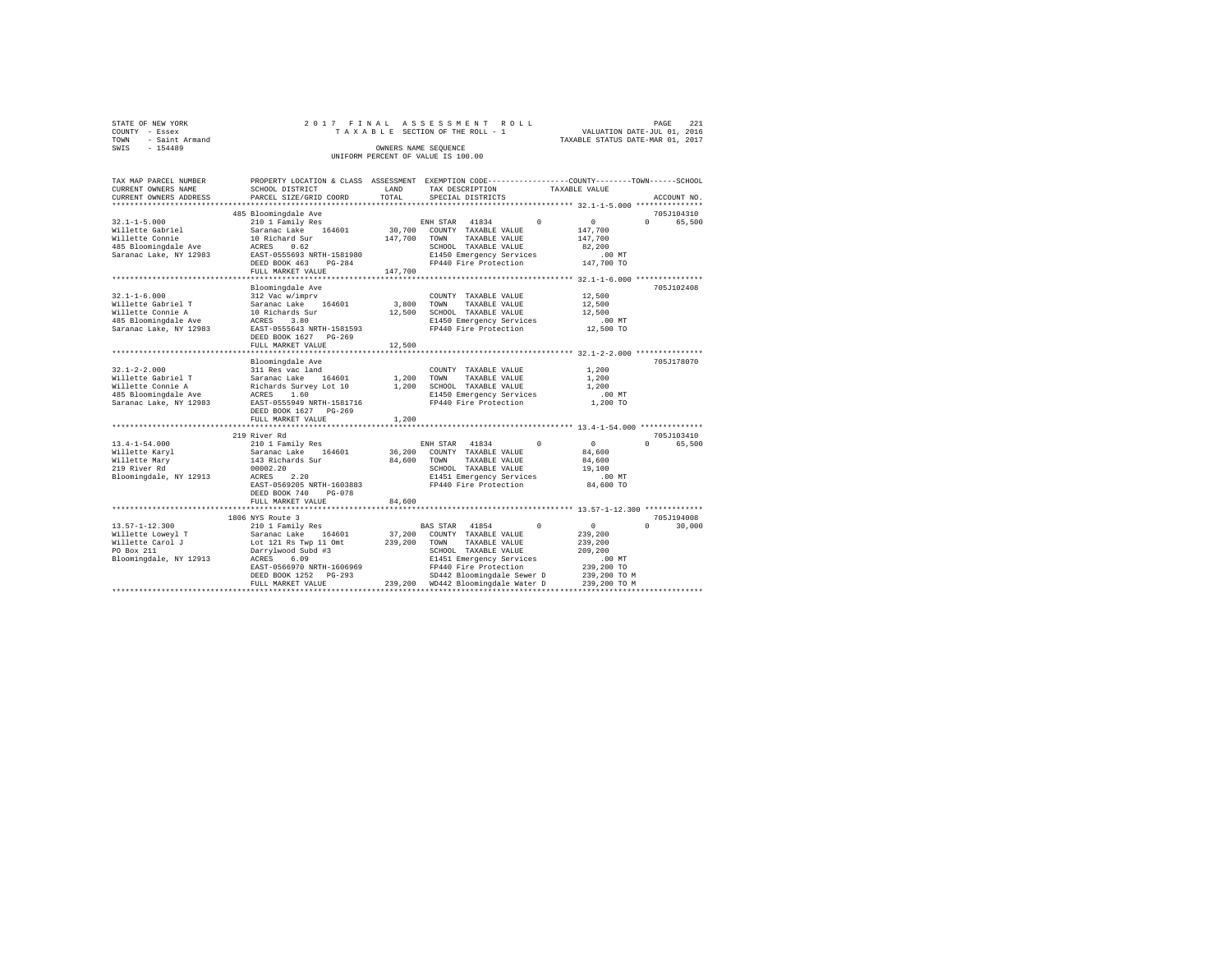|                | STATE OF NEW YORK   |  |  | 2017 FINAL ASSESSMENT ROLL         |                                  | PAGE | - 221 |
|----------------|---------------------|--|--|------------------------------------|----------------------------------|------|-------|
| COUNTY - Essex |                     |  |  | TAXABLE SECTION OF THE ROLL - 1    | VALUATION DATE-JUL 01, 2016      |      |       |
|                | TOWN - Saint Armand |  |  |                                    | TAXABLE STATUS DATE-MAR 01, 2017 |      |       |
| SWIS           | $-154489$           |  |  | OWNERS NAME SEOUENCE               |                                  |      |       |
|                |                     |  |  | UNIFORM PERCENT OF VALUE IS 100.00 |                                  |      |       |

| TAX MAP PARCEL NUMBER                            |                                                                                                                                                |              | PROPERTY LOCATION & CLASS ASSESSMENT EXEMPTION CODE----------------COUNTY-------TOWN------SCHOOL |                                    |
|--------------------------------------------------|------------------------------------------------------------------------------------------------------------------------------------------------|--------------|--------------------------------------------------------------------------------------------------|------------------------------------|
| CURRENT OWNERS NAME                              | SCHOOL DISTRICT                                                                                                                                | LAND         | TAX DESCRIPTION                                                                                  | TAXABLE VALUE                      |
| CURRENT OWNERS ADDRESS                           | PARCEL SIZE/GRID COORD                                                                                                                         | TOTAL        | SPECIAL DISTRICTS                                                                                | ACCOUNT NO.                        |
|                                                  |                                                                                                                                                |              |                                                                                                  |                                    |
|                                                  | 485 Bloomingdale Ave                                                                                                                           |              |                                                                                                  | 705J104310                         |
| $32.1 - 1 - 5.000$                               | 210 1 Family Res                                                                                                                               |              | ENH STAR 41834<br>$\Omega$                                                                       | $\sim$ 0<br>$\Omega$<br>65,500     |
| Willette Gabriel                                 | Saranac Lake 164601                                                                                                                            |              | 30,700 COUNTY TAXABLE VALUE                                                                      | 147,700                            |
| Willette Connie                                  | 10 Richard Sur                                                                                                                                 | 147,700 TOWN | TAXABLE VALUE                                                                                    | 147,700                            |
| 485 Bloomingdale Ave ACRES                       | 0.62                                                                                                                                           |              | SCHOOL TAXABLE VALUE                                                                             | 82,200                             |
| Saranac Lake, NY 12983                           | EAST-0555693 NRTH-1581980                                                                                                                      |              | E1450 Emergency Services<br>FP440 Fire Protection                                                | $.00$ MT                           |
|                                                  | $PG-284$<br>DEED BOOK 463                                                                                                                      |              |                                                                                                  | 147,700 TO                         |
|                                                  | FULL MARKET VALUE                                                                                                                              | 147,700      |                                                                                                  |                                    |
|                                                  |                                                                                                                                                |              |                                                                                                  |                                    |
|                                                  | Bloomingdale Ave                                                                                                                               |              |                                                                                                  | 705J102408                         |
| $32.1 - 1 - 6.000$                               |                                                                                                                                                |              | COUNTY TAXABLE VALUE                                                                             | 12,500                             |
| Willette Gabriel T                               | 312 Vac w/imprv<br>Saranac Lake 164601                                                                                                         | 3,800 TOWN   | TAXABLE VALUE                                                                                    | 12,500                             |
| Willette Connie A                                | $10 \text{ Richards Sur}$ $12,500$<br>ACRES $3.80$                                                                                             |              | SCHOOL TAXABLE VALUE                                                                             | 12,500                             |
| 485 Bloomingdale Ave                             |                                                                                                                                                |              | E1450 Emergency Services<br>FP440 Fire Protection                                                | $.00$ MT                           |
| Saranac Lake, NY 12983 EAST-0555643 NRTH-1581593 |                                                                                                                                                |              |                                                                                                  | 12,500 TO                          |
|                                                  | DEED BOOK 1627 PG-269                                                                                                                          |              |                                                                                                  |                                    |
|                                                  | FULL MARKET VALUE                                                                                                                              | 12,500       |                                                                                                  |                                    |
|                                                  |                                                                                                                                                |              |                                                                                                  |                                    |
|                                                  | Bloomingdale Ave                                                                                                                               |              |                                                                                                  | 705J178070                         |
| $32.1 - 2 - 2.000$                               | 311 Res vac land                                                                                                                               |              | COUNTY TAXABLE VALUE                                                                             | 1,200                              |
| Willette Gabriel T                               |                                                                                                                                                |              |                                                                                                  | 1,200                              |
| Willette Connie A                                | Saranac Lake 164601 1,200 TOWN TAXABLE VALUE<br>Richards Survey Lot 10 1,200 SCHOOL TAXABLE VALUE<br>ACRES 1.60 R1450 E1450 Emergency Services |              |                                                                                                  | 1,200                              |
| 485 Bloomingdale Ave                             |                                                                                                                                                |              | E1450 Emergency Services                                                                         | $.00$ MT                           |
| Saranac Lake, NY 12983 EAST-0555949 NRTH-1581716 |                                                                                                                                                |              | FP440 Fire Protection                                                                            | 1,200 TO                           |
|                                                  | DEED BOOK 1627 PG-269                                                                                                                          |              |                                                                                                  |                                    |
|                                                  | FULL MARKET VALUE                                                                                                                              | 1,200        |                                                                                                  |                                    |
|                                                  |                                                                                                                                                |              |                                                                                                  |                                    |
|                                                  | 219 River Rd                                                                                                                                   |              |                                                                                                  | 705J103410                         |
| $13.4 - 1 - 54.000$                              | 210 1 Family Res<br>Saranac Lake 164601<br>143 Richards Sur                                                                                    |              | ENH STAR 41834<br>$\Omega$                                                                       | $\sim$ 0<br>$\mathbf{0}$<br>65,500 |
| Willette Karyl                                   |                                                                                                                                                |              | 36,200 COUNTY TAXABLE VALUE                                                                      | 84,600                             |
| Willette Mary                                    |                                                                                                                                                | 84,600 TOWN  | TAXABLE VALUE                                                                                    | 84,600                             |
| 219 River Rd                                     |                                                                                                                                                |              | SCHOOL TAXABLE VALUE                                                                             | 19,100                             |
| Bloomingdale, NY 12913                           | 00002.20<br>ACRES<br>2.20                                                                                                                      |              | E1451 Emergency Services                                                                         | $.00$ MT                           |
|                                                  | EAST-0569205 NRTH-1603883                                                                                                                      |              | FP440 Fire Protection                                                                            | 84,600 TO                          |
|                                                  | DEED BOOK 740<br>$PG-078$                                                                                                                      |              |                                                                                                  |                                    |
|                                                  | FULL MARKET VALUE                                                                                                                              | 84,600       |                                                                                                  |                                    |
|                                                  |                                                                                                                                                |              |                                                                                                  |                                    |
|                                                  | 1806 NYS Route 3                                                                                                                               |              |                                                                                                  | 705J194008                         |
| $13.57 - 1 - 12.300$                             | 210 1 Family Res                                                                                                                               |              | BAS STAR 41854 0                                                                                 | $\sim$ 0<br>$\Omega$<br>30,000     |
|                                                  |                                                                                                                                                |              | 37,200 COUNTY TAXABLE VALUE                                                                      | 239,200                            |
| Willette Loweyl T<br>Willette Carol J            | Saranac Lake 164601 37,200 COUNTY<br>Lot 121 Rs Twp 11 Omt 239,200 TOWN                                                                        |              | TAXABLE VALUE                                                                                    | 239,200                            |
| PO Box 211                                       |                                                                                                                                                |              | SCHOOL TAXABLE VALUE                                                                             | 209,200                            |
| Bloomingdale, NY 12913                           | Darrylwood Subd #3                                                                                                                             |              | E1451 Emergency Services                                                                         | $.00$ MT                           |
|                                                  | EAST-0566970 NRTH-1606969                                                                                                                      |              | FP440 Fire Protection                                                                            | 239,200 TO                         |
|                                                  |                                                                                                                                                |              | SD442 Bloomingdale Sewer D                                                                       | 239,200 TO M                       |
|                                                  |                                                                                                                                                |              |                                                                                                  | 239,200 TO M                       |
|                                                  |                                                                                                                                                |              |                                                                                                  |                                    |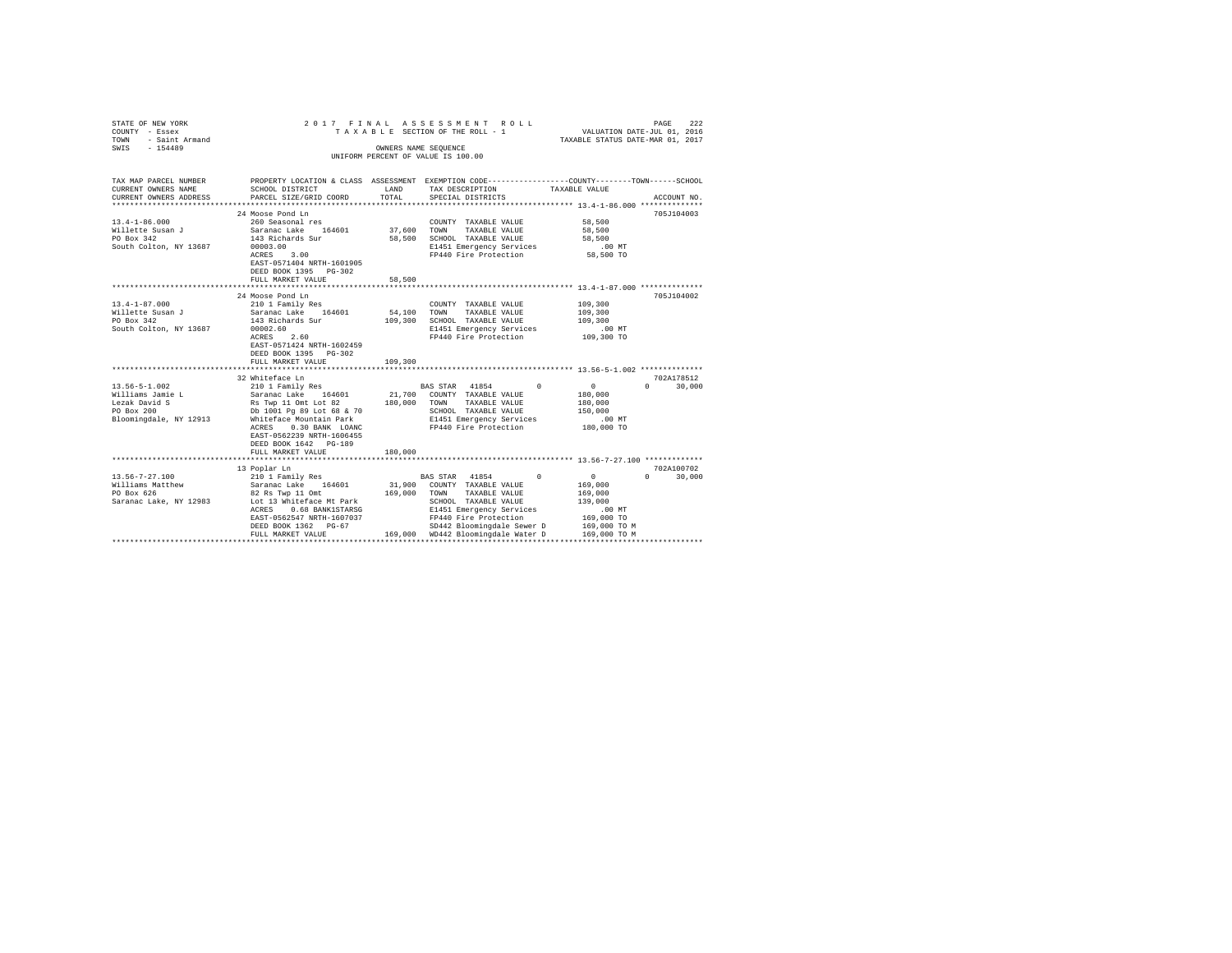| STATE OF NEW YORK<br>COUNTY - Essex<br>TOWN - Saint Armand<br>SWIS - 154489                |                                                                                                                                                                                                                                                                  |                       | 2017 FINAL ASSESSMENT ROLL<br>TAXABLE SECTION OF THE ROLL - 1<br>OWNERS NAME SEOUENCE<br>UNIFORM PERCENT OF VALUE IS 100.00                                                                                                    | PAGE 222<br>VALUATION DATE-JUL 01, 2016<br>TAXABLE STATUS DATE-MAR 01, 2017                                                            |
|--------------------------------------------------------------------------------------------|------------------------------------------------------------------------------------------------------------------------------------------------------------------------------------------------------------------------------------------------------------------|-----------------------|--------------------------------------------------------------------------------------------------------------------------------------------------------------------------------------------------------------------------------|----------------------------------------------------------------------------------------------------------------------------------------|
| TAX MAP PARCEL NUMBER<br>CURRENT OWNERS NAME<br>CURRENT OWNERS ADDRESS                     | SCHOOL DISTRICT<br>PARCEL SIZE/GRID COORD                                                                                                                                                                                                                        | LAND<br>TOTAL         | TAX DESCRIPTION<br>SPECIAL DISTRICTS                                                                                                                                                                                           | PROPERTY LOCATION & CLASS ASSESSMENT EXEMPTION CODE----------------COUNTY-------TOWN-----SCHOOL<br>TAXABLE VALUE<br>ACCOUNT NO.        |
| $13.4 - 1 - 86.000$<br>Willette Susan J<br>PO Box 342<br>South Colton, NY 13687            | 24 Moose Pond Ln<br>260 Seasonal res<br>Saranac Lake 164601<br>143 Richards Sur<br>00003.00<br>ACRES 3.00<br>00003.00<br>EAST-0571404 NRTH-1601905<br>DEED BOOK 1395 PG-302<br>FULL MARKET VALUE                                                                 | 37,600 TOWN<br>58,500 | COUNTY TAXABLE VALUE<br>TAXABLE VALUE<br>58,500 SCHOOL TAXABLE VALUE<br>E1451 Emergency Services<br>FP440 Fire Protection                                                                                                      | 705J104003<br>58,500<br>58,500<br>58,500<br>$.00$ MT<br>58,500 TO                                                                      |
| $13.4 - 1 - 87.000$<br>Willette Susan J<br>PO Box 342                                      | ***************************<br>24 Moose Pond Ln<br>210 1 Family Res<br>Saranac Lake 164601<br>143 Richards Sur                                                                                                                                                   | ************          | COUNTY TAXABLE VALUE<br>54,100 TOWN TAXABLE VALUE<br>109,300 SCHOOL TAXABLE VALUE                                                                                                                                              | 705J104002<br>109,300<br>109,300<br>109,300                                                                                            |
| South Colton, NY 13687                                                                     | 00002.60<br>ACRES 2.60<br>EAST-0571424 NRTH-1602459<br>DEED BOOK 1395 PG-302                                                                                                                                                                                     |                       | E1451 Emergency Services<br>FP440 Fire Protection                                                                                                                                                                              | .00 MT<br>109,300 TO                                                                                                                   |
|                                                                                            | FULL MARKET VALUE                                                                                                                                                                                                                                                | 109,300               |                                                                                                                                                                                                                                |                                                                                                                                        |
| 13.56-5-1.002<br>Williams Jamie L<br>Lezak David S<br>PO Box 200<br>Bloomingdale, NY 12913 | 32 Whiteface Ln<br>z whiterace En<br>210 1 Family Res<br>Saranac Lake 164601<br>Rs Twp 11 Omt Lot 82<br>Db 1001 Pg 89 Lot 68 & 70<br>Whiteface Mountain Park<br>ACRES 0.30 BANK LOANC<br>EAST-0562239 NRTH-1606455<br>DEED BOOK 1642 PG-189<br>FULL MARKET VALUE | 180,000               | BAS STAR 41854 0<br>21,700 COUNTY TAXABLE VALUE<br>180,000 TOWN TAXABLE VALUE<br>SCHOOL TAXABLE VALUE<br>E1451 Emergency Services<br>FP440 Fire Protection                                                                     | 702A178512<br>$0 \t 30,000$<br>$\sim$ 0<br>180,000<br>180,000<br>150,000<br>$.00$ MT<br>180,000 TO                                     |
|                                                                                            |                                                                                                                                                                                                                                                                  |                       |                                                                                                                                                                                                                                |                                                                                                                                        |
| $13.56 - 7 - 27.100$<br>Williams Matthew<br>PO Box 626<br>Saranac Lake, NY 12983           | 13 Poplar Ln<br>210 1 Family Res<br>Saranac Lake 164601<br>82 Rs Twp 11 Omt<br>Lot 13 Whiteface Mt Park<br>ACRES 0.68 BANK1STARSG<br>EAST-0562547 NRTH-1607037<br>DEED BOOK 1362 PG-67<br>FULL MARKET VALUE                                                      |                       | BAS STAR 41854 0<br>31,900 COUNTY TAXABLE VALUE<br>169,000 TOWN TAXABLE VALUE<br>SCHOOL TAXABLE VALUE<br>E1451 Emergency Services<br>FP440 Fire Protection<br>SD442 Bloomingdale Sewer D<br>169,000 WD442 Bloomingdale Water D | 702A100702<br>$0 \t 30,000$<br>$\sim$ 0 $\sim$<br>169,000<br>169,000<br>139,000<br>.00MT<br>169,000 TO<br>169,000 TO M<br>169,000 TO M |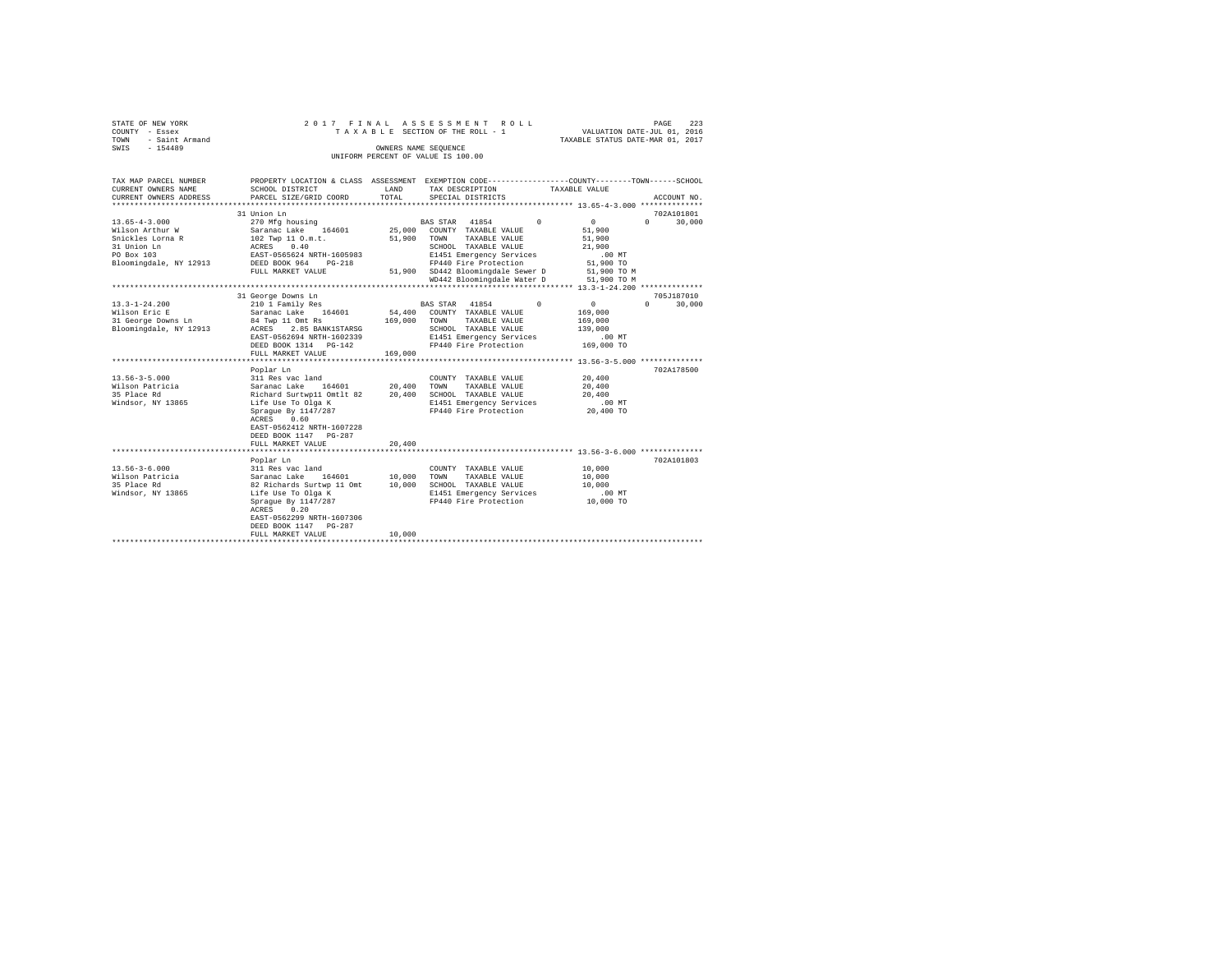|      | STATE OF NEW YORK |  |  |  | 2017 FINAL ASSESSMENT ROLL         |  |  |  |                                  |  | PAGE | 223 |
|------|-------------------|--|--|--|------------------------------------|--|--|--|----------------------------------|--|------|-----|
|      | COUNTY - Essex    |  |  |  | TAXABLE SECTION OF THE ROLL - 1    |  |  |  | VALUATION DATE-JUL 01, 2016      |  |      |     |
| TOWN | - Saint Armand    |  |  |  |                                    |  |  |  | TAXABLE STATUS DATE-MAR 01, 2017 |  |      |     |
| SWIS | $-154489$         |  |  |  | OWNERS NAME SEOUENCE               |  |  |  |                                  |  |      |     |
|      |                   |  |  |  |                                    |  |  |  |                                  |  |      |     |
|      |                   |  |  |  | UNIFORM PERCENT OF VALUE IS 100.00 |  |  |  |                                  |  |      |     |

| TAX MAP PARCEL NUMBER<br>CURRENT OWNERS NAME<br>CURRENT OWNERS ADDRESS                                            | SCHOOL DISTRICT<br>PARCEL SIZE/GRID COORD                                                                                                                                                                                                   | LAND<br>TOTAL              | PROPERTY LOCATION & CLASS ASSESSMENT EXEMPTION CODE---------------COUNTY-------TOWN------SCHOOL<br>TAX DESCRIPTION<br>SPECIAL DISTRICTS                                                                                                 | TAXABLE VALUE                                                                      | ACCOUNT NO.                               |
|-------------------------------------------------------------------------------------------------------------------|---------------------------------------------------------------------------------------------------------------------------------------------------------------------------------------------------------------------------------------------|----------------------------|-----------------------------------------------------------------------------------------------------------------------------------------------------------------------------------------------------------------------------------------|------------------------------------------------------------------------------------|-------------------------------------------|
| $13.65 - 4 - 3.000$<br>Wilson Arthur W<br>Snickles Lorna R<br>31 Union Ln<br>PO Box 103<br>Bloomingdale, NY 12913 | 31 Union Ln<br>270 Mfg housing<br>Saranac Lake 164601<br>102 Twp 11 O.m.t.<br>ACRES<br>0.40<br>EAST-0565624 NRTH-1605983<br>DEED BOOK 964 PG-218<br>FULL MARKET VALUE                                                                       | 25,000<br>51,900           | BAS STAR 41854<br>$\Omega$<br>COUNTY TAXABLE VALUE<br>TOWN<br>TAXABLE VALUE<br>SCHOOL TAXABLE VALUE<br>E1451 Emergency Services<br>FP440 Fire Protection<br>51,900 SD442 Bloomingdale Sewer D 51,900 TO M<br>WD442 Bloomingdale Water D | $\mathbf{0}$<br>51,900<br>51,900<br>21,900<br>$.00$ MT<br>51,900 TO<br>51,900 TO M | 702A101801<br>$0 \qquad \qquad$<br>30,000 |
| $13.3 - 1 - 24.200$<br>Wilson Eric E<br>31 George Downs Ln<br>Bloomingdale, NY 12913                              | 31 George Downs Ln<br>210 1 Family Res<br>Saranac Lake 164601<br>84 Twp 11 Omt Rs<br>ACRES 2.85 BANK1STARSG<br>EAST-0562694 NRTH-1602339<br>DEED BOOK 1314 PG-142<br>FULL MARKET VALUE                                                      | 169,000<br>169,000         | $\Omega$<br>BAS STAR 41854<br>54,400 COUNTY TAXABLE VALUE<br>TAXABLE VALUE<br>TOWN<br>SCHOOL TAXABLE VALUE<br>E1451 Emergency Services<br>FP440 Fire Protection                                                                         | $\overline{0}$<br>169,000<br>169,000<br>139,000<br>$.00$ MT<br>169,000 TO          | 705J187010<br>30,000<br>$\Omega$          |
| $13.56 - 3 - 5.000$<br>Wilson Patricia<br>35 Place Rd<br>Windsor, NY 13865                                        | Poplar Ln<br>311 Res vac land<br>164601 20.400<br>Saranac Lake<br>Richard Surtwp11 Omtlt 82 20,400<br>Life Use To Olga K<br>Sprague By 1147/287<br>ACRES<br>0.60<br>EAST-0562412 NRTH-1607228<br>DEED BOOK 1147 PG-287<br>FULL MARKET VALUE | 20,400                     | COUNTY TAXABLE VALUE<br>TOWN<br>TAXABLE VALUE<br>SCHOOL TAXABLE VALUE<br>E1451 Emergency Services<br>FP440 Fire Protection                                                                                                              | 20,400<br>20,400<br>20,400<br>$.00$ MT<br>20,400 TO                                | 702A178500                                |
| $13.56 - 3 - 6.000$<br>Wilson Patricia<br>35 Place Rd<br>Windsor, NY 13865                                        | Poplar Ln<br>311 Res vac land<br>Saranac Lake 164601<br>82 Richards Surtwp 11 Omt<br>Life Use To Olga K<br>Spraque By 1147/287<br>0.20<br>ACRES<br>EAST-0562299 NRTH-1607306<br>DEED BOOK 1147 PG-287<br>FULL MARKET VALUE                  | 10,000<br>10,000<br>10,000 | COUNTY TAXABLE VALUE<br>TAXABLE VALUE<br>TOWN<br>SCHOOL TAXABLE VALUE<br>E1451 Emergency Services<br>FP440 Fire Protection                                                                                                              | 10,000<br>10,000<br>10,000<br>$.00$ MT<br>10,000 TO                                | 702A101803                                |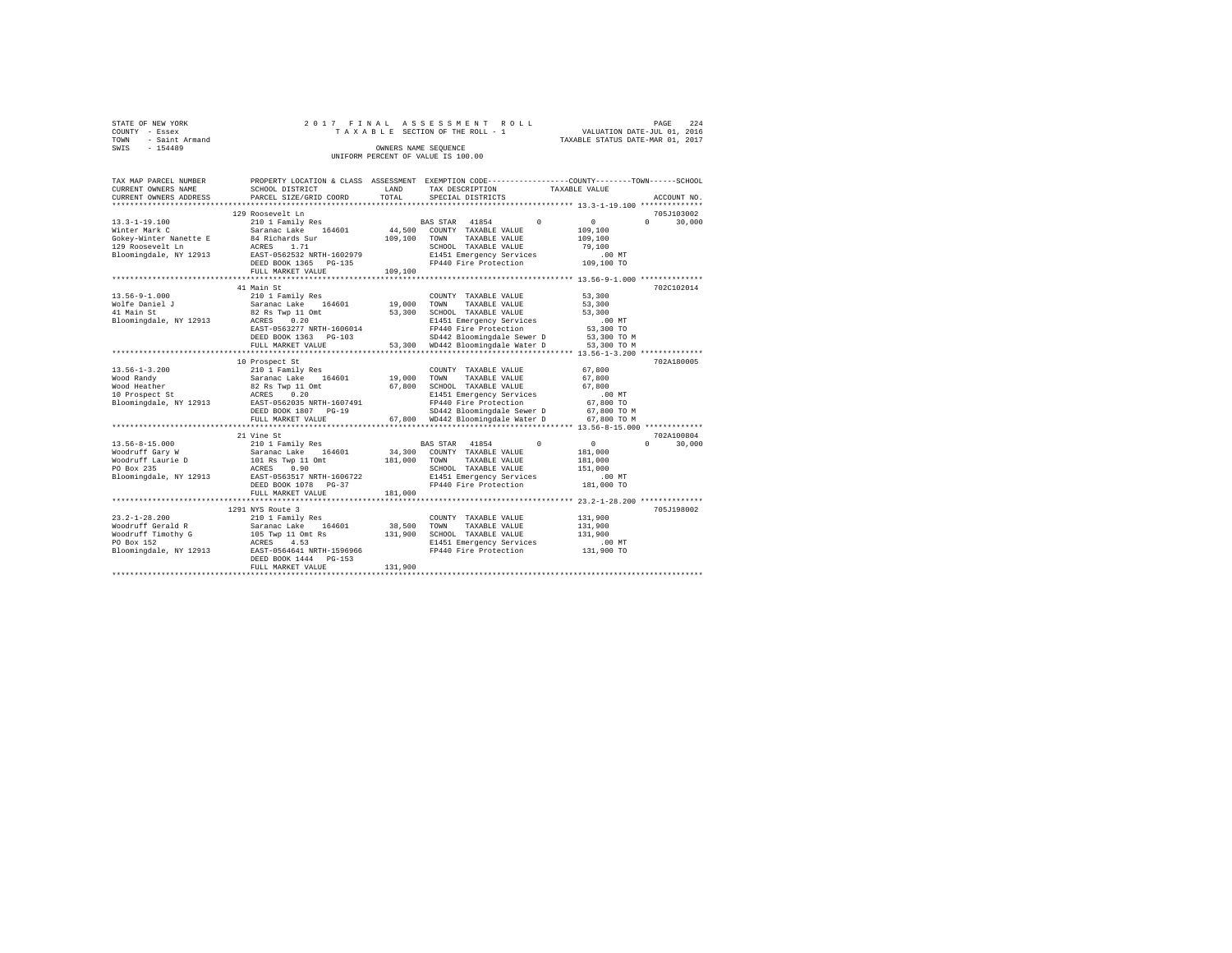|      | STATE OF NEW YORK |  |  |  | 2017 FINAL ASSESSMENT ROLL         |  |  |  |                                  | PAGE | 224 |
|------|-------------------|--|--|--|------------------------------------|--|--|--|----------------------------------|------|-----|
|      | COUNTY - Essex    |  |  |  | TAXABLE SECTION OF THE ROLL - 1    |  |  |  | VALUATION DATE-JUL 01, 2016      |      |     |
| TOWN | - Saint Armand    |  |  |  |                                    |  |  |  | TAXABLE STATUS DATE-MAR 01, 2017 |      |     |
| SWIS | $-154489$         |  |  |  | OWNERS NAME SEOUENCE               |  |  |  |                                  |      |     |
|      |                   |  |  |  | UNIFORM PERCENT OF VALUE IS 100.00 |  |  |  |                                  |      |     |

| TAX MAP PARCEL NUMBER<br>CURRENT OWNERS NAME       | PROPERTY LOCATION & CLASS ASSESSMENT EXEMPTION CODE---------------COUNTY-------TOWN-----SCHOOL<br>SCHOOL DISTRICT | LAND    | TAX DESCRIPTION                   | TAXABLE VALUE                           |                    |
|----------------------------------------------------|-------------------------------------------------------------------------------------------------------------------|---------|-----------------------------------|-----------------------------------------|--------------------|
| CURRENT OWNERS ADDRESS<br>************************ | PARCEL SIZE/GRID COORD                                                                                            | TOTAL   | SPECIAL DISTRICTS                 |                                         | ACCOUNT NO         |
|                                                    |                                                                                                                   |         |                                   |                                         |                    |
|                                                    | 129 Roosevelt Ln                                                                                                  |         |                                   |                                         | 705J103002         |
| $13.3 - 1 - 19.100$                                | 210 1 Family Res                                                                                                  |         | BAS STAR 41854                    | $\sqrt{2}$<br>$\sim$ 0                  | 30,000<br>$\Omega$ |
| Winter Mark C                                      | 164601<br>Saranac Lake                                                                                            | 44,500  | COUNTY TAXABLE VALUE              | 109,100                                 |                    |
| Gokey-Winter Nanette E                             | 84 Richards Sur                                                                                                   | 109,100 | TOWN<br>TAXABLE VALUE             | 109,100                                 |                    |
| 129 Roosevelt Ln                                   | ACRES<br>1.71                                                                                                     |         | SCHOOL TAXABLE VALUE              | 79,100                                  |                    |
| Bloomingdale, NY 12913                             | EAST-0562532 NRTH-1602979                                                                                         |         | E1451 Emergency Services          | $.00$ MT                                |                    |
|                                                    | DEED BOOK 1365 PG-135                                                                                             |         | FP440 Fire Protection             | 109,100 TO                              |                    |
|                                                    | FULL MARKET VALUE<br>*******************                                                                          | 109,100 |                                   |                                         |                    |
|                                                    |                                                                                                                   |         |                                   | ************ 13.56-9-1.000 ************ |                    |
|                                                    | 41 Main St                                                                                                        |         |                                   |                                         | 702C102014         |
| $13.56 - 9 - 1.000$                                | 210 1 Family Res                                                                                                  |         | COUNTY TAXABLE VALUE              | 53,300                                  |                    |
| Wolfe Daniel J                                     | Saranac Lake 164601                                                                                               | 19,000  | TOWN<br>TAXABLE VALUE             | 53,300                                  |                    |
| 41 Main St                                         | 82 Rs Twp 11 Omt                                                                                                  | 53,300  | SCHOOL TAXABLE VALUE              | 53,300                                  |                    |
| Bloomingdale, NY 12913                             | ACRES 0.20                                                                                                        |         | E1451 Emergency Services          | .00 MT                                  |                    |
|                                                    | EAST-0563277 NRTH-1606014                                                                                         |         | FP440 Fire Protection             | 53,300 TO                               |                    |
|                                                    | DEED BOOK 1363 PG-103                                                                                             |         | SD442 Bloomingdale Sewer D        | 53,300 TO M                             |                    |
|                                                    | FULL MARKET VALUE                                                                                                 |         | 53.300 WD442 Bloomingdale Water D | 53,300 TO M                             |                    |
|                                                    | *******************************                                                                                   |         |                                   |                                         |                    |
|                                                    | 10 Prospect St                                                                                                    |         |                                   |                                         | 702A180005         |
| $13.56 - 1 - 3.200$                                | 210 1 Family Res                                                                                                  |         | COUNTY TAXABLE VALUE              | 67,800                                  |                    |
| Wood Randy                                         | Saranac Lake 164601                                                                                               | 19,000  | TOWN<br>TAXABLE VALUE             | 67,800                                  |                    |
| Wood Heather                                       | 82 Rs Twp 11 Omt                                                                                                  | 67,800  | SCHOOL TAXABLE VALUE              | 67,800                                  |                    |
| 10 Prospect St                                     | ACRES<br>0.20                                                                                                     |         | E1451 Emergency Services          | $.00$ MT                                |                    |
| Bloomingdale, NY 12913                             | EAST-0562035 NRTH-1607491                                                                                         |         | FP440 Fire Protection             | 67,800 TO                               |                    |
|                                                    | DEED BOOK 1807 PG-19                                                                                              |         | SD442 Bloomingdale Sewer D        | 67,800 TO M                             |                    |
|                                                    | FULL MARKET VALUE                                                                                                 |         | 67.800 WD442 Bloomingdale Water D | 67.800 TO M                             |                    |
|                                                    | ******************                                                                                                |         |                                   |                                         |                    |
|                                                    | 21 Vine St                                                                                                        |         |                                   |                                         | 702A100804         |
| 13.56-8-15.000                                     | 210 1 Family Res                                                                                                  |         | BAS STAR 41854                    | $\Omega$<br>$\circ$                     | $\Omega$<br>30,000 |
| Woodruff Gary W                                    | Saranac Lake 164601<br>101 Rs Twp 11 Omt                                                                          | 34,300  | COUNTY TAXABLE VALUE              | 181,000                                 |                    |
| Woodruff Laurie D                                  |                                                                                                                   | 181,000 | TOWN<br>TAXABLE VALUE             | 181,000                                 |                    |
| PO Box 235                                         | ACRES<br>0.90                                                                                                     |         | SCHOOL TAXABLE VALUE              | 151,000                                 |                    |
| Bloomingdale, NY 12913                             | EAST-0563517 NRTH-1606722                                                                                         |         | E1451 Emergency Services          | $.00$ MT                                |                    |
|                                                    | DEED BOOK 1078 PG-37                                                                                              |         | FP440 Fire Protection             | 181,000 TO                              |                    |
|                                                    | FULL MARKET VALUE                                                                                                 | 181,000 |                                   |                                         |                    |
|                                                    |                                                                                                                   |         |                                   |                                         |                    |
|                                                    | 1291 NYS Route 3                                                                                                  |         |                                   |                                         | 705J198002         |
| $23.2 - 1 - 28.200$                                | 210 1 Family Res                                                                                                  |         | COUNTY TAXABLE VALUE              | 131,900                                 |                    |
| Woodruff Gerald R                                  | Saranac Lake<br>164601                                                                                            | 38,500  | TOWN<br>TAXABLE VALUE             | 131,900                                 |                    |
| Woodruff Timothy G                                 | 105 Twp 11 Omt Rs                                                                                                 | 131,900 | SCHOOL TAXABLE VALUE              | 131,900                                 |                    |
| PO Box 152                                         | ACRES<br>4.53                                                                                                     |         | E1451 Emergency Services          | .00 MT                                  |                    |
| Bloomingdale, NY 12913                             | EAST-0564641 NRTH-1596966                                                                                         |         | FP440 Fire Protection             | 131,900 TO                              |                    |
|                                                    | DEED BOOK 1444 PG-153                                                                                             |         |                                   |                                         |                    |
|                                                    | FULL MARKET VALUE                                                                                                 | 131,900 |                                   |                                         |                    |
|                                                    |                                                                                                                   |         |                                   |                                         |                    |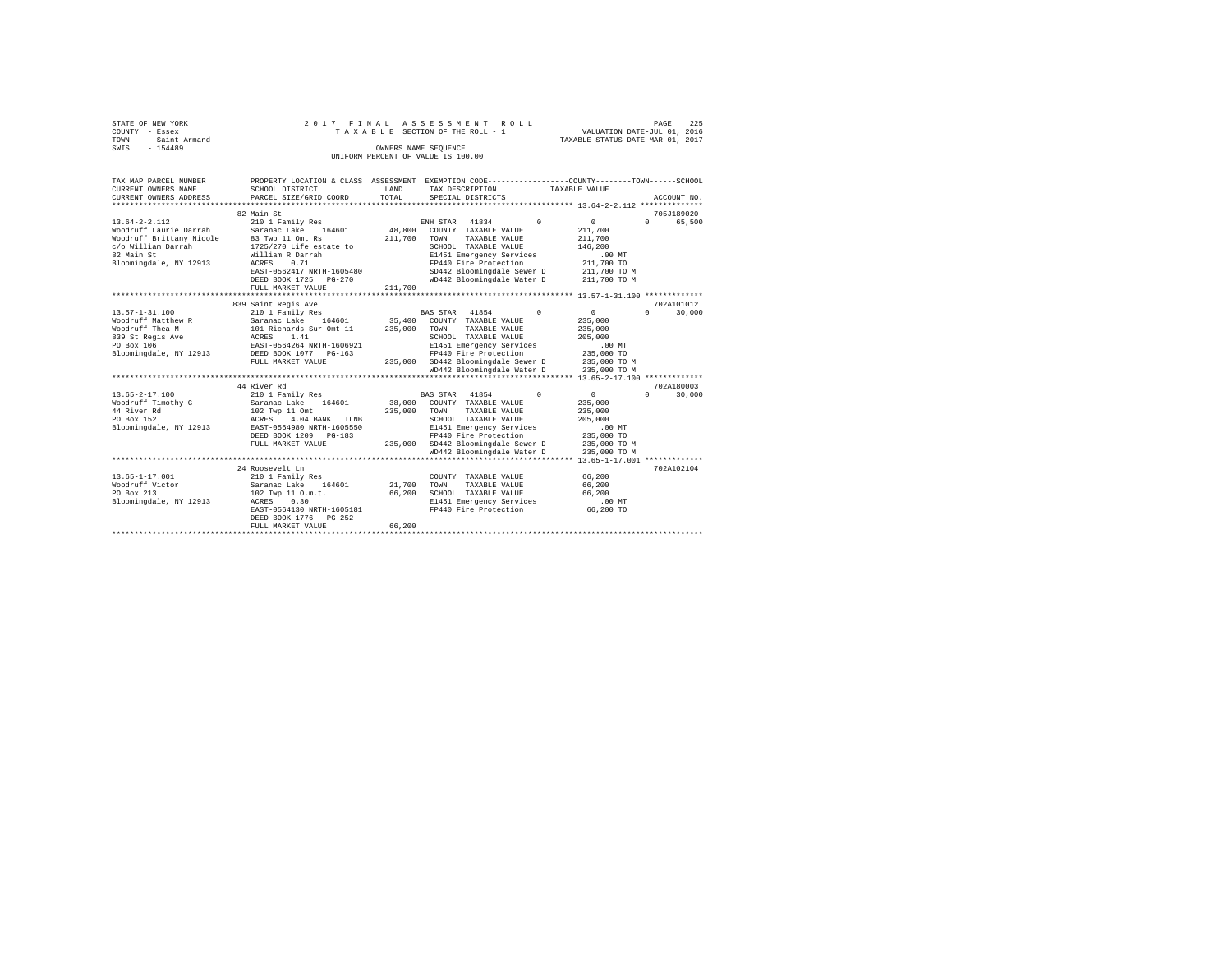|                | STATE OF NEW YORK |  |  |  | 2017 FINAL ASSESSMENT ROLL         |  |  |  |  |                                  | PAGE | 225 |
|----------------|-------------------|--|--|--|------------------------------------|--|--|--|--|----------------------------------|------|-----|
| COUNTY - Essex |                   |  |  |  | TAXABLE SECTION OF THE ROLL - 1    |  |  |  |  | VALUATION DATE-JUL 01, 2016      |      |     |
| TOWN           | - Saint Armand    |  |  |  |                                    |  |  |  |  | TAXABLE STATUS DATE-MAR 01, 2017 |      |     |
| SWIS           | $-154489$         |  |  |  | OWNERS NAME SEOUENCE               |  |  |  |  |                                  |      |     |
|                |                   |  |  |  | UNIFORM PERCENT OF VALUE IS 100.00 |  |  |  |  |                                  |      |     |

| TAX MAP PARCEL NUMBER<br>CURRENT OWNERS NAME<br>CURRENT OWNERS ADDRESS                                                                                                                                                         | SCHOOL DISTRICT<br>PARCEL SIZE/GRID COORD                                                                                                                                                                                                                                                                                                                               | LAND<br>TOTAL                 | PROPERTY LOCATION & CLASS ASSESSMENT EXEMPTION CODE---------------COUNTY-------TOWN------SCHOOL<br>TAX DESCRIPTION<br>SPECIAL DISTRICTS                                                                                                                                                                                                                                                                                              | TAXABLE VALUE<br>ACCOUNT NO.                                                                                                                                                                                                                           |
|--------------------------------------------------------------------------------------------------------------------------------------------------------------------------------------------------------------------------------|-------------------------------------------------------------------------------------------------------------------------------------------------------------------------------------------------------------------------------------------------------------------------------------------------------------------------------------------------------------------------|-------------------------------|--------------------------------------------------------------------------------------------------------------------------------------------------------------------------------------------------------------------------------------------------------------------------------------------------------------------------------------------------------------------------------------------------------------------------------------|--------------------------------------------------------------------------------------------------------------------------------------------------------------------------------------------------------------------------------------------------------|
|                                                                                                                                                                                                                                | 82 Main St                                                                                                                                                                                                                                                                                                                                                              |                               |                                                                                                                                                                                                                                                                                                                                                                                                                                      | 705J189020                                                                                                                                                                                                                                             |
| $13.64 - 2 - 2.112$<br>Woodruff Laurie Darrah<br>Woodruff Brittany Nicole<br>c/o William Darrah<br>82 Main St<br>Bloomingdale, NY 12913                                                                                        | 210 1 Family Res<br>Saranac Lake 164601<br>83 Twp 11 Omt Rs<br>1725/270 Life estate to<br>William R Darrah<br>ACRES<br>0.71<br>EAST-0562417 NRTH-1605480<br>DEED BOOK 1725 PG-270<br>FULL MARKET VALUE                                                                                                                                                                  | 48,800<br>211,700<br>211,700  | ENH STAR 41834<br>$\Omega$<br>COUNTY TAXABLE VALUE<br>TOWN<br>TAXABLE VALUE<br>SCHOOL TAXABLE VALUE<br>E1451 Emergency Services<br>FP440 Fire Protection<br>SD442 Bloomingdale Sewer D<br>WD442 Bloomingdale Water D 211,700 TO M                                                                                                                                                                                                    | $\sim$ 0<br>$0 \qquad \qquad$<br>65,500<br>211,700<br>211,700<br>146,200<br>$.00$ MT<br>211,700 TO<br>211,700 TO M                                                                                                                                     |
|                                                                                                                                                                                                                                |                                                                                                                                                                                                                                                                                                                                                                         |                               |                                                                                                                                                                                                                                                                                                                                                                                                                                      |                                                                                                                                                                                                                                                        |
| $13.57 - 1 - 31.100$<br>Woodruff Matthew R<br>Woodruff Thea M<br>839 St Regis Ave<br>PO Box 106<br>Bloomingdale, NY 12913<br>$13.65 - 2 - 17.100$<br>Woodruff Timothy G<br>44 River Rd<br>PO Box 152<br>Bloomingdale, NY 12913 | 839 Saint Regis Ave<br>210 1 Family Res<br>Saranac Lake 164601<br>101 Richards Sur Omt 11<br>ACRES<br>1.41<br>EAST-0564264 NRTH-1606921<br>DEED BOOK 1077 PG-163<br>FULL MARKET VALUE<br>44 River Rd<br>210 1 Family Res<br>Saranac Lake 164601<br>102 Twp 11 Omt<br>4.04 BANK TLNB<br>ACRES<br>EAST-0564980 NRTH-1605550<br>DEED BOOK 1209 PG-183<br>FULL MARKET VALUE | 235,000<br>235,000<br>235,000 | BAS STAR 41854<br>$\Omega$<br>35,400 COUNTY TAXABLE VALUE<br>TOWN<br>TAXABLE VALUE<br>SCHOOL TAXABLE VALUE<br>E1451 Emergency Services<br>FP440 Fire Protection<br>235,000 SD442 Bloomingdale Sewer D<br>WD442 Bloomingdale Water D<br>BAS STAR 41854<br>$\Omega$<br>38,000 COUNTY TAXABLE VALUE<br>TOWN<br>TAXABLE VALUE<br>SCHOOL TAXABLE VALUE<br>E1451 Emergency Services<br>FP440 Fire Protection<br>SD442 Bloomingdale Sewer D | 702A101012<br>0<br>$\Omega$<br>30,000<br>235,000<br>235,000<br>205,000<br>.00MT<br>235,000 TO<br>235,000 TO M<br>235,000 TO M<br>702A180003<br>30,000<br>$\sim$ 0<br>$\cap$<br>235,000<br>235,000<br>205,000<br>$.00$ MT<br>235,000 TO<br>235,000 TO M |
|                                                                                                                                                                                                                                |                                                                                                                                                                                                                                                                                                                                                                         |                               | WD442 Bloomingdale Water D                                                                                                                                                                                                                                                                                                                                                                                                           | 235,000 TO M                                                                                                                                                                                                                                           |
| $13.65 - 1 - 17.001$<br>Woodruff Victor<br>PO Box 213<br>Bloomingdale, NY 12913                                                                                                                                                | 24 Roosevelt Ln<br>210 1 Family Res<br>Saranac Lake 164601<br>102 Twp 11 O.m.t.<br>ACRES<br>0.30<br>EAST-0564130 NRTH-1605181<br>DEED BOOK 1776 PG-252<br>FULL MARKET VALUE                                                                                                                                                                                             | 66,200<br>66,200              | COUNTY TAXABLE VALUE<br>21.700 TOWN<br>TAXABLE VALUE<br>SCHOOL TAXABLE VALUE<br>E1451 Emergency Services<br>FP440 Fire Protection                                                                                                                                                                                                                                                                                                    | 702A102104<br>66,200<br>66,200<br>66,200<br>.00 MT<br>66,200 TO                                                                                                                                                                                        |
|                                                                                                                                                                                                                                |                                                                                                                                                                                                                                                                                                                                                                         |                               |                                                                                                                                                                                                                                                                                                                                                                                                                                      |                                                                                                                                                                                                                                                        |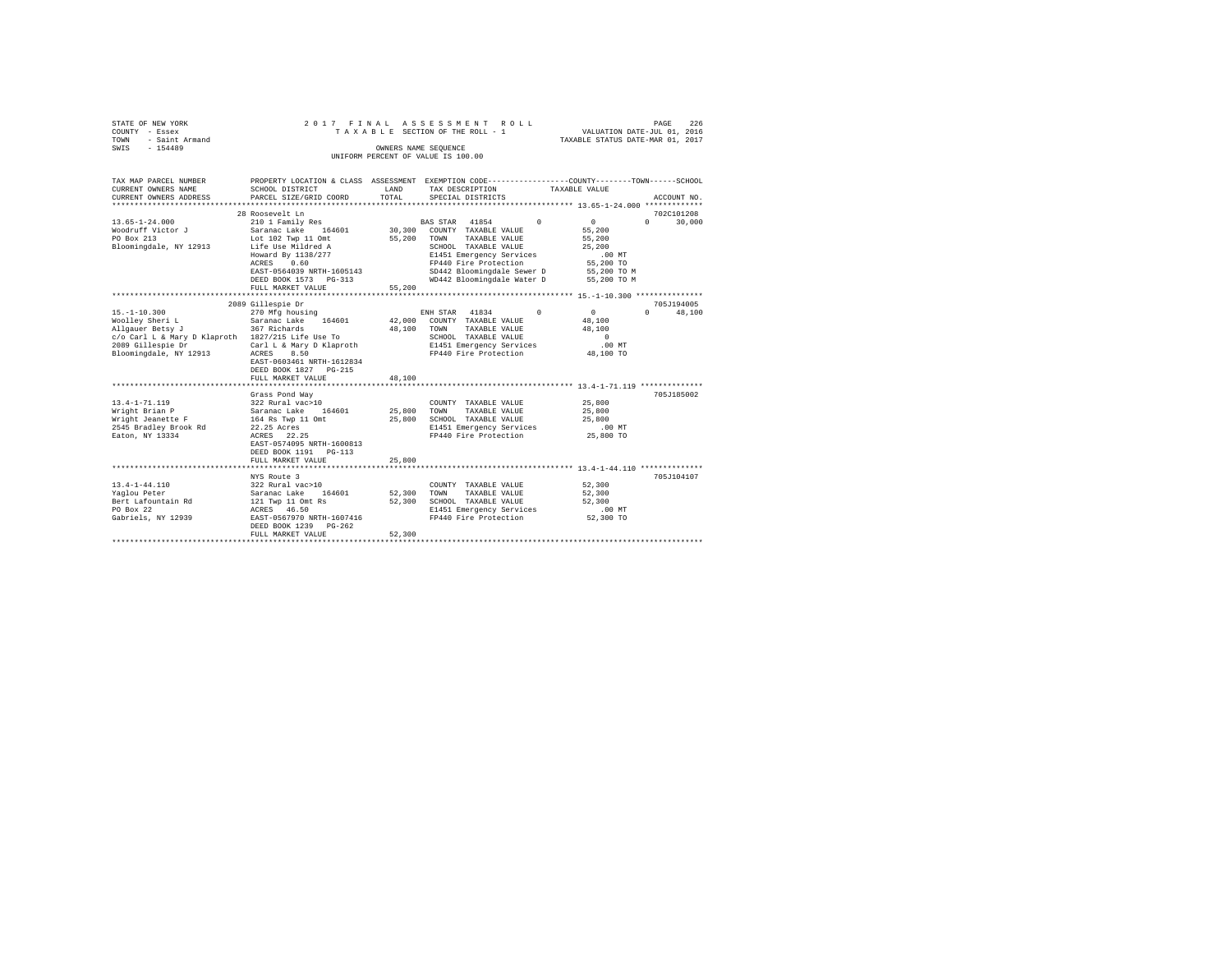| STATE OF NEW YORK   |  |  |  | 2017 FINAL ASSESSMENT ROLL         |  |  |                                  | PAGE | 226 |
|---------------------|--|--|--|------------------------------------|--|--|----------------------------------|------|-----|
| COUNTY - Essex      |  |  |  | TAXABLE SECTION OF THE ROLL - 1    |  |  | VALUATION DATE-JUL 01, 2016      |      |     |
| TOWN - Saint Armand |  |  |  |                                    |  |  | TAXABLE STATUS DATE-MAR 01, 2017 |      |     |
| SWIS<br>$-154489$   |  |  |  | OWNERS NAME SEOUENCE               |  |  |                                  |      |     |
|                     |  |  |  | UNIFORM PERCENT OF VALUE IS 100.00 |  |  |                                  |      |     |

| TAX MAP PARCEL NUMBER                                             |                                                                                                 |               |                                                                    | PROPERTY LOCATION & CLASS ASSESSMENT EXEMPTION CODE---------------COUNTY-------TOWN------SCHOOL |  |
|-------------------------------------------------------------------|-------------------------------------------------------------------------------------------------|---------------|--------------------------------------------------------------------|-------------------------------------------------------------------------------------------------|--|
| CURRENT OWNERS NAME<br>CURRENT OWNERS ADDRESS                     | SCHOOL DISTRICT<br>PARCEL SIZE/GRID COORD                                                       | LAND<br>TOTAL | TAX DESCRIPTION<br>SPECIAL DISTRICTS                               | TAXABLE VALUE<br>ACCOUNT NO.                                                                    |  |
|                                                                   |                                                                                                 |               |                                                                    |                                                                                                 |  |
|                                                                   | 28 Roosevelt Ln                                                                                 |               |                                                                    | 702C101208                                                                                      |  |
| $13.65 - 1 - 24.000$                                              | 210 1 Family Res                                                                                |               | BAS STAR 41854 0                                                   | $\sim$ 0<br>30,000<br>$\Omega$                                                                  |  |
|                                                                   | Saranac Lake 164601 30,300 COUNTY TAXABLE VALUE<br>Lot 102 Twp 11 Omt 55,200 TOWN TAXABLE VALUE |               |                                                                    | 55,200                                                                                          |  |
| Woodruff Victor J<br>PO Box 213                                   |                                                                                                 |               |                                                                    | 55,200                                                                                          |  |
| Bloomingdale, NY 12913 Life Use Mildred A                         |                                                                                                 |               | SCHOOL TAXABLE VALUE                                               | 25,200                                                                                          |  |
|                                                                   | Howard By 1138/277<br>ACRES 0.60                                                                |               | E1451 Emergency Services .00 MT<br>FP440 Fire Protection 55,200 TO |                                                                                                 |  |
|                                                                   |                                                                                                 |               |                                                                    |                                                                                                 |  |
|                                                                   | EAST-0564039 NRTH-1605143                                                                       |               | SD442 Bloomingdale Sewer D 55,200 TO M                             |                                                                                                 |  |
|                                                                   | DEED BOOK 1573 PG-313                                                                           |               | WD442 Bloomingdale Water D 55,200 TO M                             |                                                                                                 |  |
|                                                                   | FULL MARKET VALUE                                                                               | 55,200        |                                                                    |                                                                                                 |  |
|                                                                   |                                                                                                 |               |                                                                    |                                                                                                 |  |
|                                                                   | 2089 Gillespie Dr                                                                               |               |                                                                    | 705J194005                                                                                      |  |
| $15. - 1 - 10.300$                                                | 270 Mfg housing                                                                                 |               | ENH STAR 41834 0                                                   | $\sim$ 0<br>$\Omega$<br>48,100                                                                  |  |
| Woolley Sheri L . Saranac Lake 164601 42,000 COUNTY TAXABLE VALUE |                                                                                                 |               |                                                                    | 48,100                                                                                          |  |
| Allgauer Betsy J                                                  | 367 Richards                                                                                    | 48.100 TOWN   | TAXABLE VALUE                                                      | 48,100                                                                                          |  |
| c/o Carl L & Mary D Klaproth 1827/215 Life Use To                 |                                                                                                 |               | SCHOOL TAXABLE VALUE                                               | $\sim$ 0                                                                                        |  |
| 2089 Gillespie Dr                                                 |                                                                                                 |               | E1451 Emergency Services<br>FP440 Fire Protection                  | .00 MT                                                                                          |  |
| Bloomingdale, NY 12913                                            | EAST-0603461 NRTH-1612834                                                                       |               |                                                                    | 48,100 TO                                                                                       |  |
|                                                                   | DEED BOOK 1827 PG-215                                                                           |               |                                                                    |                                                                                                 |  |
|                                                                   | FULL MARKET VALUE                                                                               | 48,100        |                                                                    |                                                                                                 |  |
|                                                                   |                                                                                                 |               |                                                                    |                                                                                                 |  |
|                                                                   | Grass Pond Way                                                                                  |               |                                                                    | 705J185002                                                                                      |  |
| $13.4 - 1 - 71.119$                                               |                                                                                                 |               | COUNTY TAXABLE VALUE                                               | 25,800                                                                                          |  |
| Wright Brian P                                                    |                                                                                                 |               | TAXABLE VALUE 25,800                                               |                                                                                                 |  |
| Wright Jeanette F 164 Rs Twp 11 Omt 25,800 SCHOOL TAXABLE VALUE   |                                                                                                 |               |                                                                    | 25,800                                                                                          |  |
| 2545 Bradley Brook Rd                                             | 22.25 Acres                                                                                     |               | E1451 Emergency Services                                           | $.00$ MT                                                                                        |  |
| Eaton, NY 13334                                                   | 22.25 Acres<br>ACRES 22.25                                                                      |               | FP440 Fire Protection                                              | 25,800 TO                                                                                       |  |
|                                                                   | EAST-0574095 NRTH-1600813                                                                       |               |                                                                    |                                                                                                 |  |
|                                                                   | DEED BOOK 1191   PG-113                                                                         |               |                                                                    |                                                                                                 |  |
|                                                                   | FULL MARKET VALUE                                                                               | 25,800        |                                                                    |                                                                                                 |  |
|                                                                   |                                                                                                 |               |                                                                    |                                                                                                 |  |
|                                                                   | NYS Route 3                                                                                     |               |                                                                    | 705.7104107                                                                                     |  |
| $13.4 - 1 - 44.110$                                               | 322 Rural vac>10                                                                                |               | COUNTY TAXABLE VALUE 52,300                                        |                                                                                                 |  |
| Yaglou Peter<br>Bert Lafountain Rd                                | Saranac Lake 164601<br>121 Twp 11 Omt Rs                                                        |               | 52,300 TOWN TAXABLE VALUE                                          | 52,300                                                                                          |  |
|                                                                   |                                                                                                 |               | 52.300 SCHOOL TAXABLE VALUE                                        | 52,300                                                                                          |  |
| PO Box 22                                                         | ACRES 46.50                                                                                     |               | E1451 Emergency Services                                           | $.00$ MT                                                                                        |  |
| Gabriels, NY 12939                                                | EAST-0567970 NRTH-1607416                                                                       |               | FP440 Fire Protection 52,300 TO                                    |                                                                                                 |  |
|                                                                   | DEED BOOK 1239 PG-262<br>FULL MARKET VALUE                                                      | 52,300        |                                                                    |                                                                                                 |  |
|                                                                   |                                                                                                 |               |                                                                    |                                                                                                 |  |
|                                                                   |                                                                                                 |               |                                                                    |                                                                                                 |  |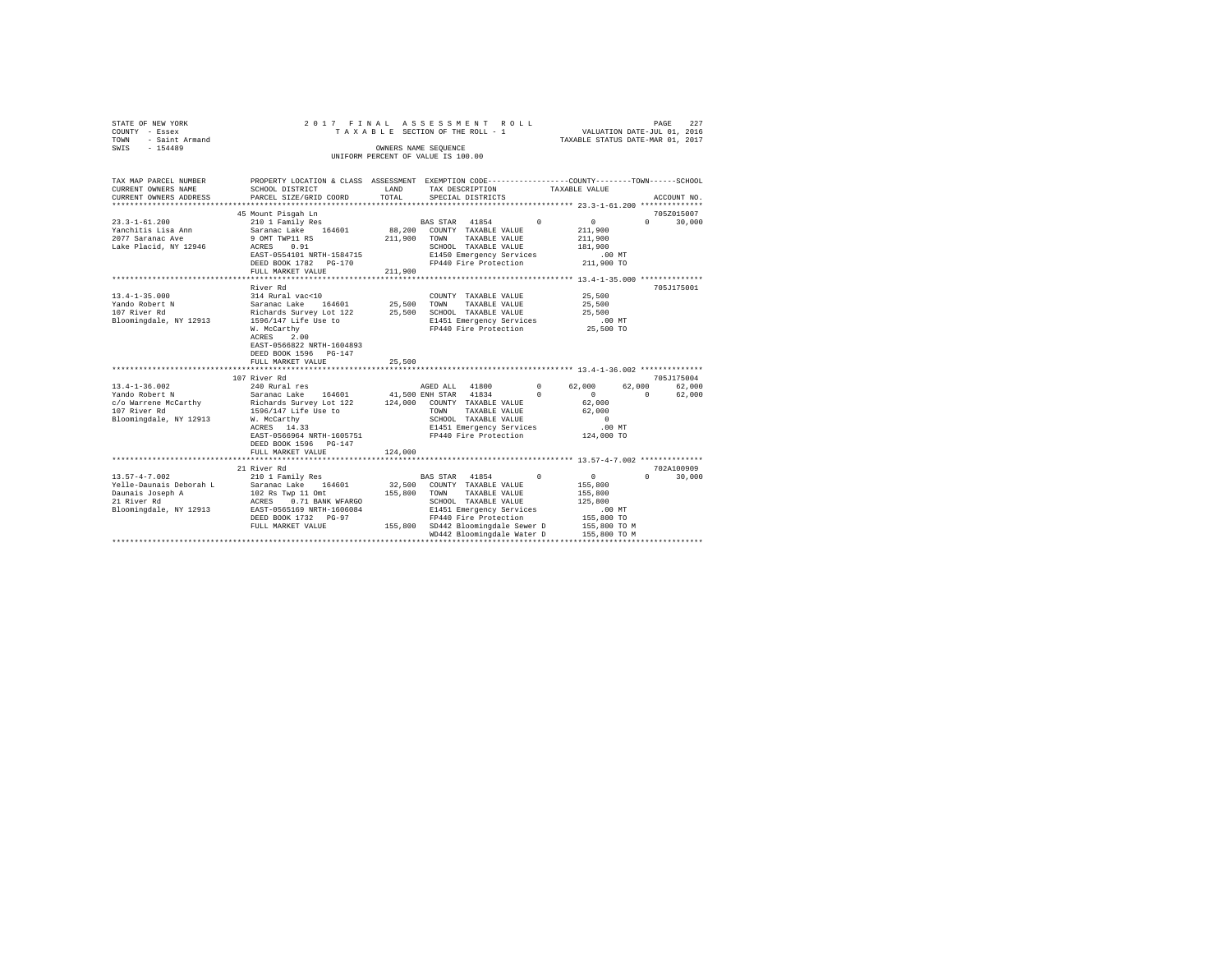| STATE OF NEW YORK<br>COUNTY - Essex  | 2017 FINAL                                                                                     |         | TAXABLE SECTION OF THE ROLL - 1    | ASSESSMENT ROLL                       |          | VALUATION DATE-JUL 01, 2016                   |          | PAGE        | 227    |
|--------------------------------------|------------------------------------------------------------------------------------------------|---------|------------------------------------|---------------------------------------|----------|-----------------------------------------------|----------|-------------|--------|
| TOWN<br>- Saint Armand               |                                                                                                |         |                                    |                                       |          | TAXABLE STATUS DATE-MAR 01, 2017              |          |             |        |
| $-154489$<br>SWIS                    |                                                                                                |         | OWNERS NAME SEQUENCE               |                                       |          |                                               |          |             |        |
|                                      |                                                                                                |         | UNIFORM PERCENT OF VALUE IS 100.00 |                                       |          |                                               |          |             |        |
|                                      |                                                                                                |         |                                    |                                       |          |                                               |          |             |        |
| TAX MAP PARCEL NUMBER                | PROPERTY LOCATION & CLASS ASSESSMENT EXEMPTION CODE---------------COUNTY-------TOWN-----SCHOOL |         |                                    |                                       |          |                                               |          |             |        |
| CURRENT OWNERS NAME                  | SCHOOL DISTRICT                                                                                | LAND    | TAX DESCRIPTION                    |                                       |          | TAXABLE VALUE                                 |          |             |        |
| CURRENT OWNERS ADDRESS               | PARCEL SIZE/GRID COORD                                                                         | TOTAL   | SPECIAL DISTRICTS                  |                                       |          |                                               |          | ACCOUNT NO. |        |
|                                      |                                                                                                |         |                                    |                                       |          |                                               |          |             |        |
|                                      | 45 Mount Pisgah Ln                                                                             |         |                                    |                                       |          |                                               |          | 705Z015007  |        |
| $23.3 - 1 - 61.200$                  | 210 1 Family Res                                                                               |         | BAS STAR 41854                     |                                       | $\Omega$ | $\circ$                                       | $\Omega$ |             | 30,000 |
| Yanchitis Lisa Ann                   | Saranac Lake 164601                                                                            |         | 88,200 COUNTY TAXABLE VALUE        |                                       |          | 211,900                                       |          |             |        |
| 2077 Saranac Ave                     | 9 OMT TWP11 RS                                                                                 |         | 211,900 TOWN TAXABLE VALUE         |                                       |          | 211,900                                       |          |             |        |
| Lake Placid, NY 12946                | ACRES 0.91                                                                                     |         |                                    | SCHOOL TAXABLE VALUE                  |          | 181,900                                       |          |             |        |
|                                      | EAST-0554101 NRTH-1584715                                                                      |         |                                    | E1450 Emergency Services              |          | $.00$ MT                                      |          |             |        |
|                                      | DEED BOOK 1782 PG-170                                                                          |         |                                    | FP440 Fire Protection                 |          | 211,900 TO                                    |          |             |        |
|                                      | FULL MARKET VALUE                                                                              | 211,900 |                                    |                                       |          |                                               |          |             |        |
|                                      | River Rd                                                                                       |         |                                    |                                       |          |                                               |          | 705J175001  |        |
| $13.4 - 1 - 35.000$                  | 314 Rural vac<10                                                                               |         |                                    | COUNTY TAXABLE VALUE                  |          | 25,500                                        |          |             |        |
| Yando Robert N                       | Saranac Lake 164601                                                                            |         | 25,500 TOWN                        | TAXABLE VALUE                         |          | 25,500                                        |          |             |        |
| 107 River Rd                         | Richards Survey Lot 122                                                                        |         |                                    | 25,500 SCHOOL TAXABLE VALUE           |          | 25,500                                        |          |             |        |
| Bloomingdale, NY 12913               | 1596/147 Life Use to                                                                           |         |                                    | E1451 Emergency Services              |          | $.00$ MT                                      |          |             |        |
|                                      | W. McCarthy                                                                                    |         |                                    | FP440 Fire Protection                 |          | 25,500 TO                                     |          |             |        |
|                                      | ACRES<br>2.00                                                                                  |         |                                    |                                       |          |                                               |          |             |        |
|                                      | EAST-0566822 NRTH-1604893                                                                      |         |                                    |                                       |          |                                               |          |             |        |
|                                      | DEED BOOK 1596 PG-147                                                                          |         |                                    |                                       |          |                                               |          |             |        |
|                                      | FULL MARKET VALUE                                                                              | 25,500  |                                    |                                       |          |                                               |          |             |        |
|                                      | ********************************                                                               |         |                                    |                                       |          |                                               |          |             |        |
|                                      | 107 River Rd                                                                                   |         |                                    |                                       |          |                                               |          | 705J175004  |        |
| $13.4 - 1 - 36.002$                  | 240 Rural res                                                                                  |         | AGED ALL 41800                     |                                       | $\sim$ 0 | 62,000                                        | 62,000   |             | 62,000 |
| Yando Robert N                       | Saranac Lake 164601                                                                            |         | 41,500 ENH STAR 41834              |                                       | $\Omega$ | $\Omega$                                      | $\Omega$ |             | 62,000 |
| c/o Warrene McCarthy<br>107 River Rd | Richards Survey Lot 122                                                                        |         | 124,000 COUNTY TAXABLE VALUE       |                                       |          | 62,000                                        |          |             |        |
|                                      | 1596/147 Life Use to<br>W. McCarthy                                                            |         | TOWN                               | TAXABLE VALUE<br>SCHOOL TAXABLE VALUE |          | 62,000<br>$\sim$ 0                            |          |             |        |
| Bloomingdale, NY 12913               | ACRES 14.33                                                                                    |         |                                    | E1451 Emergency Services              |          | $.00$ MT                                      |          |             |        |
|                                      | EAST-0566964 NRTH-1605751                                                                      |         |                                    | FP440 Fire Protection                 |          | 124,000 TO                                    |          |             |        |
|                                      | DEED BOOK 1596 PG-147                                                                          |         |                                    |                                       |          |                                               |          |             |        |
|                                      | FULL MARKET VALUE                                                                              | 124,000 |                                    |                                       |          |                                               |          |             |        |
|                                      | .                                                                                              |         |                                    |                                       |          | **************** 13.57-4-7.002 ************** |          |             |        |
|                                      | 21 River Rd                                                                                    |         |                                    |                                       |          |                                               |          | 702A100909  |        |
| $13.57 - 4 - 7.002$                  | 210 1 Family Res                                                                               |         | BAS STAR 41854                     |                                       | $\sim$ 0 | $\overline{0}$                                | $\Omega$ |             | 30,000 |
| Yelle-Daunais Deborah L              | Saranac Lake 164601                                                                            |         | 32,500 COUNTY TAXABLE VALUE        |                                       |          | 155,800                                       |          |             |        |
| Daunais Joseph A                     | 102 Rs Twp 11 Omt                                                                              |         | 155,800 TOWN TAXABLE VALUE         |                                       |          | 155,800                                       |          |             |        |
| 21 River Rd                          | ACRES 0.71 BANK WFARGO                                                                         |         |                                    | SCHOOL TAXABLE VALUE                  |          | 125,800                                       |          |             |        |
| Bloomingdale, NY 12913               | EAST-0565169 NRTH-1606084                                                                      |         |                                    | E1451 Emergency Services              |          | .00MT                                         |          |             |        |
|                                      | DEED BOOK 1732 PG-97                                                                           |         |                                    | FP440 Fire Protection                 |          | 155,800 TO                                    |          |             |        |
|                                      | FULL MARKET VALUE                                                                              |         |                                    | 155,800 SD442 Bloomingdale Sewer D    |          | 155,800 TO M                                  |          |             |        |
|                                      |                                                                                                |         |                                    | WD442 Bloomingdale Water D            |          | 155,800 TO M                                  |          |             |        |
|                                      |                                                                                                |         |                                    |                                       |          |                                               |          |             |        |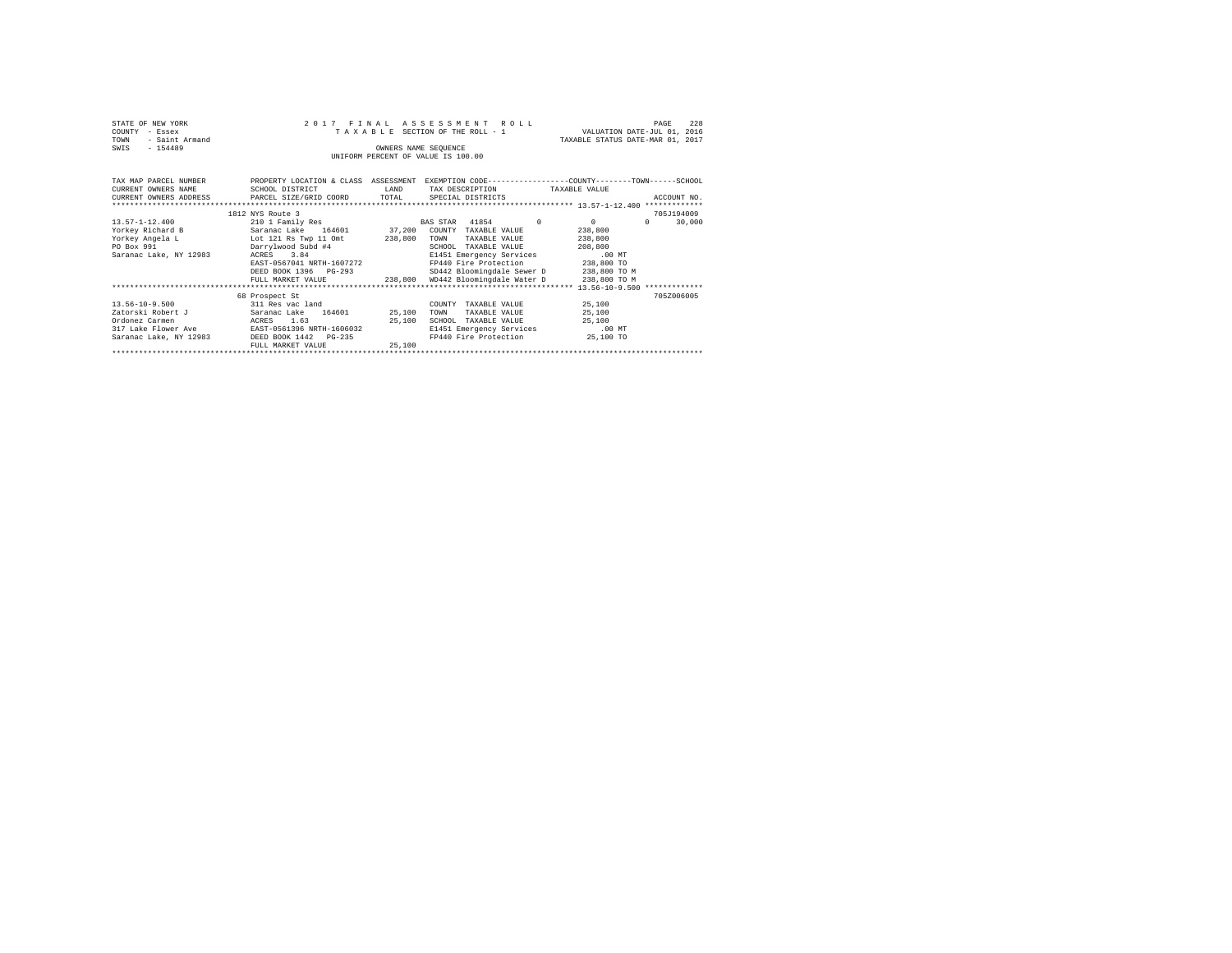| STATE OF NEW YORK<br>COUNTY<br>- Essex<br>- Saint Armand<br>TOWN<br>$-154489$<br>SWIS                                   | 2017 FINAL                                                          |         | ASSESSMENT<br>ROLL<br>TAXABLE SECTION OF THE ROLL - 1<br>OWNERS NAME SEOUENCE<br>UNIFORM PERCENT OF VALUE IS 100.00 | VALUATION DATE-JUL 01, 2016<br>TAXABLE STATUS DATE-MAR 01, 2017 | 228<br>PAGE        |
|-------------------------------------------------------------------------------------------------------------------------|---------------------------------------------------------------------|---------|---------------------------------------------------------------------------------------------------------------------|-----------------------------------------------------------------|--------------------|
| TAX MAP PARCEL NUMBER THE PROPERTY LOCATION & CLASS ASSESSMENT EXEMPTION CODE-------------COUNTY--------TOWN-----SCHOOL |                                                                     |         |                                                                                                                     |                                                                 |                    |
| CURRENT OWNERS NAME                                                                                                     | SCHOOL DISTRICT                                                     | LAND    | TAX DESCRIPTION TAXABLE VALUE                                                                                       |                                                                 |                    |
| CURRENT OWNERS ADDRESS PARCEL SIZE/GRID COORD TOTAL                                                                     |                                                                     |         | SPECIAL DISTRICTS                                                                                                   |                                                                 | ACCOUNT NO.        |
|                                                                                                                         |                                                                     |         |                                                                                                                     |                                                                 |                    |
|                                                                                                                         | 1812 NYS Route 3                                                    |         |                                                                                                                     |                                                                 | 705J194009         |
| $13.57 - 1 - 12.400$                                                                                                    | 210 1 Family Res                                                    |         | BAS STAR 41854                                                                                                      | $\Omega$<br>$\Omega$                                            | 30,000<br>$\Omega$ |
| Yorkey Richard B                                                                                                        | Saranac Lake 164601 37,200 COUNTY TAXABLE VALUE                     |         |                                                                                                                     | 238,800                                                         |                    |
| Yorkey Angela L Lot 121 Rs Twp 11 Omt                                                                                   |                                                                     | 238,800 | TOWN<br>TAXABLE VALUE                                                                                               | 238,800                                                         |                    |
| PO Box 991                                                                                                              | Darrylwood Subd #4                                                  |         | SCHOOL<br>TAXABLE VALUE                                                                                             | 208,800                                                         |                    |
| Saranac Lake, NY 12983                                                                                                  | ACRES 3.84                                                          |         | E1451 Emergency Services                                                                                            | $.00$ MT                                                        |                    |
|                                                                                                                         | EAST-0567041 NRTH-1607272                                           |         | FP440 Fire Protection 238,800 TO                                                                                    |                                                                 |                    |
|                                                                                                                         | DEED BOOK 1396 PG-293                                               |         | SD442 Bloomingdale Sewer D 238,800 TO M                                                                             |                                                                 |                    |
|                                                                                                                         | FULL MARKET VALUE $238,800$ WD442 Bloomingdale Water D 238,800 TO M |         |                                                                                                                     |                                                                 |                    |
|                                                                                                                         |                                                                     |         |                                                                                                                     |                                                                 |                    |
|                                                                                                                         | 68 Prospect St                                                      |         |                                                                                                                     |                                                                 | 705Z006005         |
| $13.56 - 10 - 9.500$                                                                                                    | 311 Res vac land                                                    |         | TAXABLE VALUE<br>COUNTY                                                                                             | 25,100                                                          |                    |
| Zatorski Robert J                                                                                                       | Saranac Lake 164601 25,100                                          |         | TOWN<br>TAXABLE VALUE                                                                                               | 25,100                                                          |                    |
| Ordonez Carmen                                                                                                          | ACRES 1.63                                                          | 25,100  | SCHOOL<br>TAXABLE VALUE                                                                                             | 25,100                                                          |                    |
| 317 Lake Flower Ave                                                                                                     | EAST-0561396 NRTH-1606032                                           |         | E1451 Emergency Services                                                                                            | $.00$ MT                                                        |                    |
| Saranac Lake, NY 12983 DEED BOOK 1442 PG-235                                                                            |                                                                     |         | FP440 Fire Protection 25,100 TO                                                                                     |                                                                 |                    |
|                                                                                                                         | FULL MARKET VALUE                                                   | 25,100  |                                                                                                                     |                                                                 |                    |
|                                                                                                                         |                                                                     |         |                                                                                                                     |                                                                 |                    |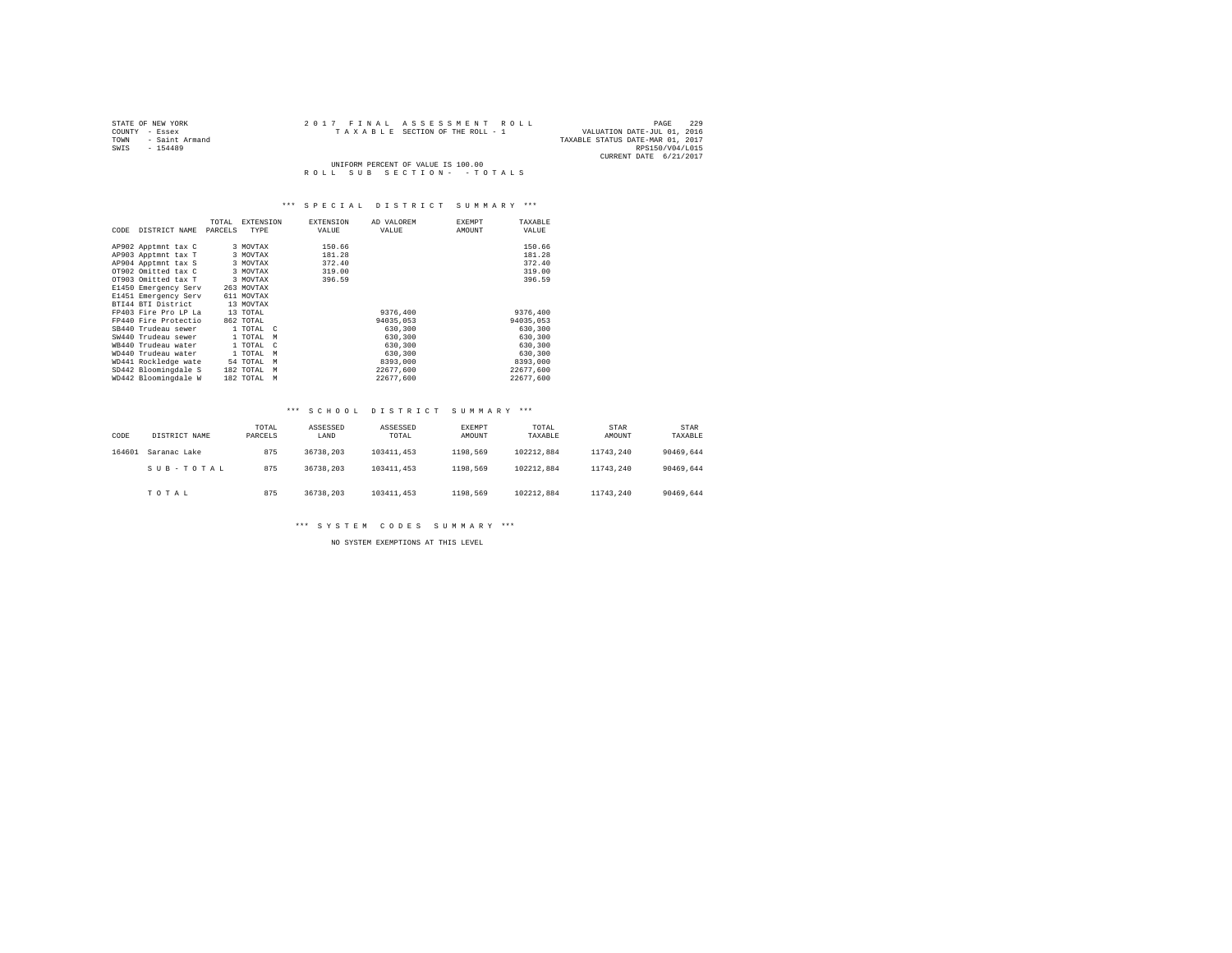| STATE OF NEW YORK      | 2017 FINAL ASSESSMENT ROLL         | 229<br>PAGE                      |
|------------------------|------------------------------------|----------------------------------|
| COUNTY - Essex         | TAXABLE SECTION OF THE ROLL - 1    | VALUATION DATE-JUL 01, 2016      |
| - Saint Armand<br>TOWN |                                    | TAXABLE STATUS DATE-MAR 01, 2017 |
| SWIS<br>$-154489$      |                                    | RPS150/V04/L015                  |
|                        |                                    | CURRENT DATE 6/21/2017           |
|                        | UNIFORM PERCENT OF VALUE IS 100.00 |                                  |
|                        | ROLL SUB SECTION- - TOTALS         |                                  |

| CODE | DISTRICT NAME        | TOTAL<br>PARCELS | EXTENSION<br>TYPE | <b>EXTENSION</b><br>VALUE | AD VALOREM<br>VALUE | EXEMPT<br>AMOUNT | TAXABLE<br>VALUE |
|------|----------------------|------------------|-------------------|---------------------------|---------------------|------------------|------------------|
|      | AP902 Apptmnt tax C  |                  | 3 MOVTAX          | 150.66                    |                     |                  | 150.66           |
|      | AP903 Apptmnt tax T  |                  | 3 MOVTAX          | 181.28                    |                     |                  | 181.28           |
|      | AP904 Apptmnt tax S  |                  | 3 MOVTAX          | 372.40                    |                     |                  | 372.40           |
|      | OT902 Omitted tax C  |                  | 3 MOVTAX          | 319.00                    |                     |                  | 319.00           |
|      | OT903 Omitted tax T  |                  | 3 MOVTAX          | 396.59                    |                     |                  | 396.59           |
|      | E1450 Emergency Serv |                  | 263 MOVTAX        |                           |                     |                  |                  |
|      | E1451 Emergency Serv |                  | 611 MOVTAX        |                           |                     |                  |                  |
|      | BTI44 BTI District   |                  | 13 MOVTAX         |                           |                     |                  |                  |
|      | FP403 Fire Pro LP La |                  | 13 TOTAL          |                           | 9376,400            |                  | 9376,400         |
|      | FP440 Fire Protectio |                  | 862 TOTAL         |                           | 94035,053           |                  | 94035.053        |
|      | SB440 Trudeau sewer  |                  | 1 TOTAL C         |                           | 630,300             |                  | 630,300          |
|      | SW440 Trudeau sewer  |                  | 1 TOTAL M         |                           | 630,300             |                  | 630,300          |
|      | WB440 Trudeau water  |                  | 1 TOTAL C         |                           | 630,300             |                  | 630,300          |
|      | WD440 Trudeau water  |                  | 1 TOTAL<br>M      |                           | 630,300             |                  | 630,300          |
|      | WD441 Rockledge wate |                  | 54 TOTAL<br>M     |                           | 8393,000            |                  | 8393,000         |
|      | SD442 Bloomingdale S |                  | 182 TOTAL M       |                           | 22677.600           |                  | 22677.600        |
|      | WD442 Bloomingdale W |                  | 182 TOTAL M       |                           | 22677.600           |                  | 22677.600        |

#### \*\*\* S C H O O L D I S T R I C T S U M M A R Y \*\*\*

| CODE   | DISTRICT NAME | TOTAL<br>PARCELS | ASSESSED<br>LAND | ASSESSED<br>TOTAL | <b>EXEMPT</b><br>AMOUNT | TOTAL<br>TAXABLE | STAR<br>AMOUNT | STAR<br>TAXABLE |
|--------|---------------|------------------|------------------|-------------------|-------------------------|------------------|----------------|-----------------|
| 164601 | Saranac Lake  | 875              | 36738.203        | 103411,453        | 1198.569                | 102212.884       | 11743.240      | 90469.644       |
|        | SUB-TOTAL     | 875              | 36738.203        | 103411.453        | 1198.569                | 102212.884       | 11743.240      | 90469.644       |
|        | TOTAL         | 875              | 36738.203        | 103411.453        | 1198.569                | 102212.884       | 11743.240      | 90469.644       |

\*\*\* S Y S T E M C O D E S S U M M A R Y \*\*\*

NO SYSTEM EXEMPTIONS AT THIS LEVEL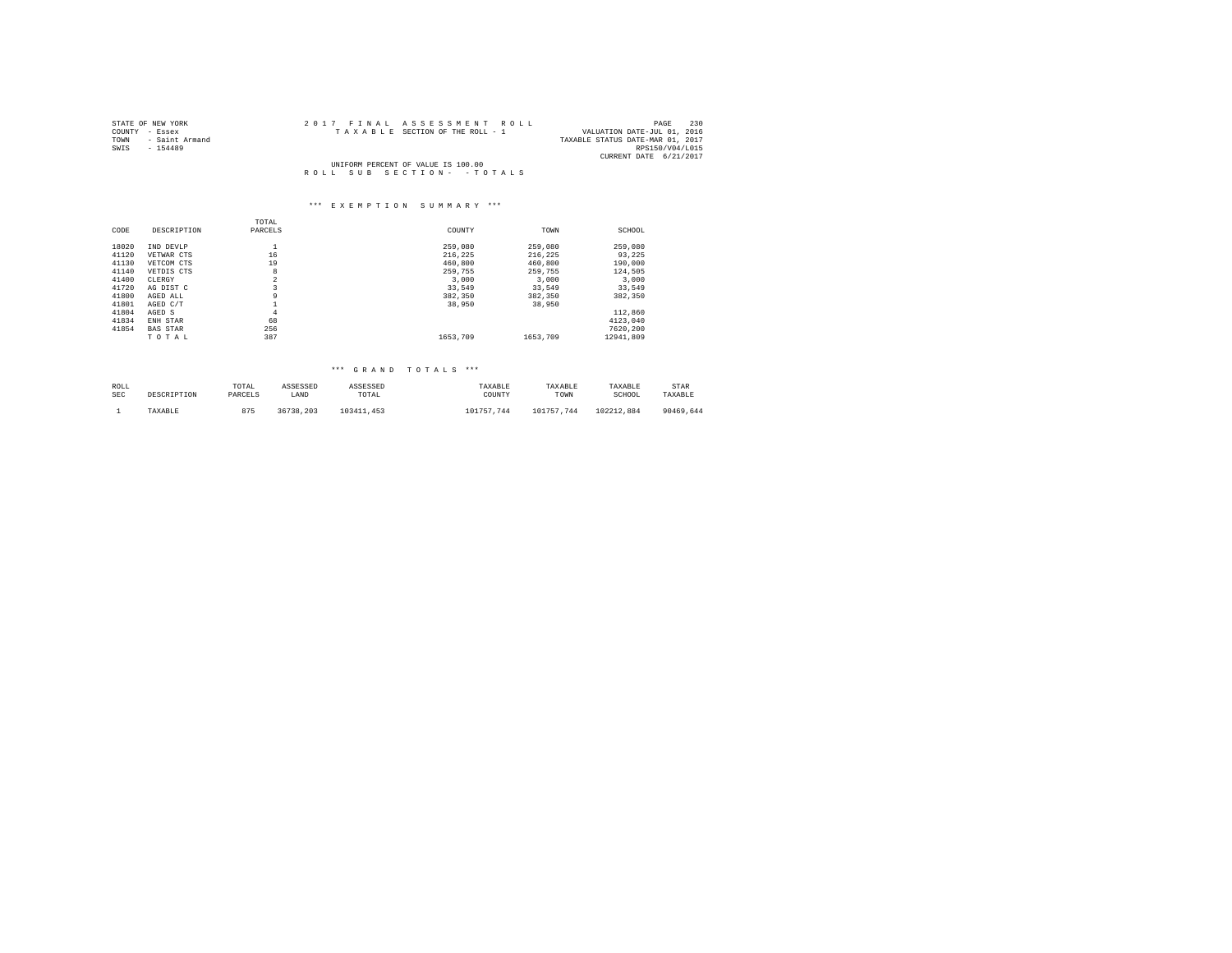| STATE OF NEW YORK      |                                    | 2017 FINAL ASSESSMENT ROLL      | 230<br>PAGE                      |
|------------------------|------------------------------------|---------------------------------|----------------------------------|
| COUNTY - Essex         |                                    | TAXABLE SECTION OF THE ROLL - 1 | VALUATION DATE-JUL 01, 2016      |
| TOWN<br>- Saint Armand |                                    |                                 | TAXABLE STATUS DATE-MAR 01, 2017 |
| SWIS<br>$-154489$      |                                    |                                 | RPS150/V04/L015                  |
|                        |                                    |                                 | CURRENT DATE 6/21/2017           |
|                        | UNIFORM PERCENT OF VALUE IS 100.00 |                                 |                                  |
|                        |                                    | ROLL SUB SECTION- - TOTALS      |                                  |

# \*\*\* E X E M P T I O N S U M M A R Y \*\*\*

|       |                 | TOTAL          |          |          |           |
|-------|-----------------|----------------|----------|----------|-----------|
| CODE  | DESCRIPTION     | PARCELS        | COUNTY   | TOWN     | SCHOOL    |
| 18020 | IND DEVLP       | ÷              | 259,080  | 259,080  | 259,080   |
| 41120 | VETWAR CTS      | 16             | 216.225  | 216.225  | 93.225    |
| 41130 | VETCOM CTS      | 19             | 460,800  | 460,800  | 190,000   |
| 41140 | VETDIS CTS      | 8              | 259,755  | 259.755  | 124.505   |
| 41400 | CLERGY          | $\overline{2}$ | 3,000    | 3,000    | 3.000     |
| 41720 | AG DIST C       | 3              | 33,549   | 33.549   | 33,549    |
| 41800 | AGED ALL        | 9              | 382,350  | 382,350  | 382,350   |
| 41801 | AGED C/T        |                | 38,950   | 38,950   |           |
| 41804 | AGED S          | $\overline{4}$ |          |          | 112,860   |
| 41834 | ENH STAR        | 68             |          |          | 4123.040  |
| 41854 | <b>BAS STAR</b> | 256            |          |          | 7620.200  |
|       | TOTAL           | 387            | 1653,709 | 1653.709 | 12941.809 |

| ROLL | DESCRIPTION | TOTAL   | ASSESSED  | ASSESSED   | TAXARLE    | TAXARLE    | TAXABLE    | STAR      |
|------|-------------|---------|-----------|------------|------------|------------|------------|-----------|
| SEC  |             | PARCELS | LAND      | TOTAL      | COUNTY     | TOWN       | SCHOOL     | TAXABLE   |
|      | TAXABLE     | 875     | 36738.203 | 103411.453 | 101757.744 | 101757.744 | 102212.884 | 90469.644 |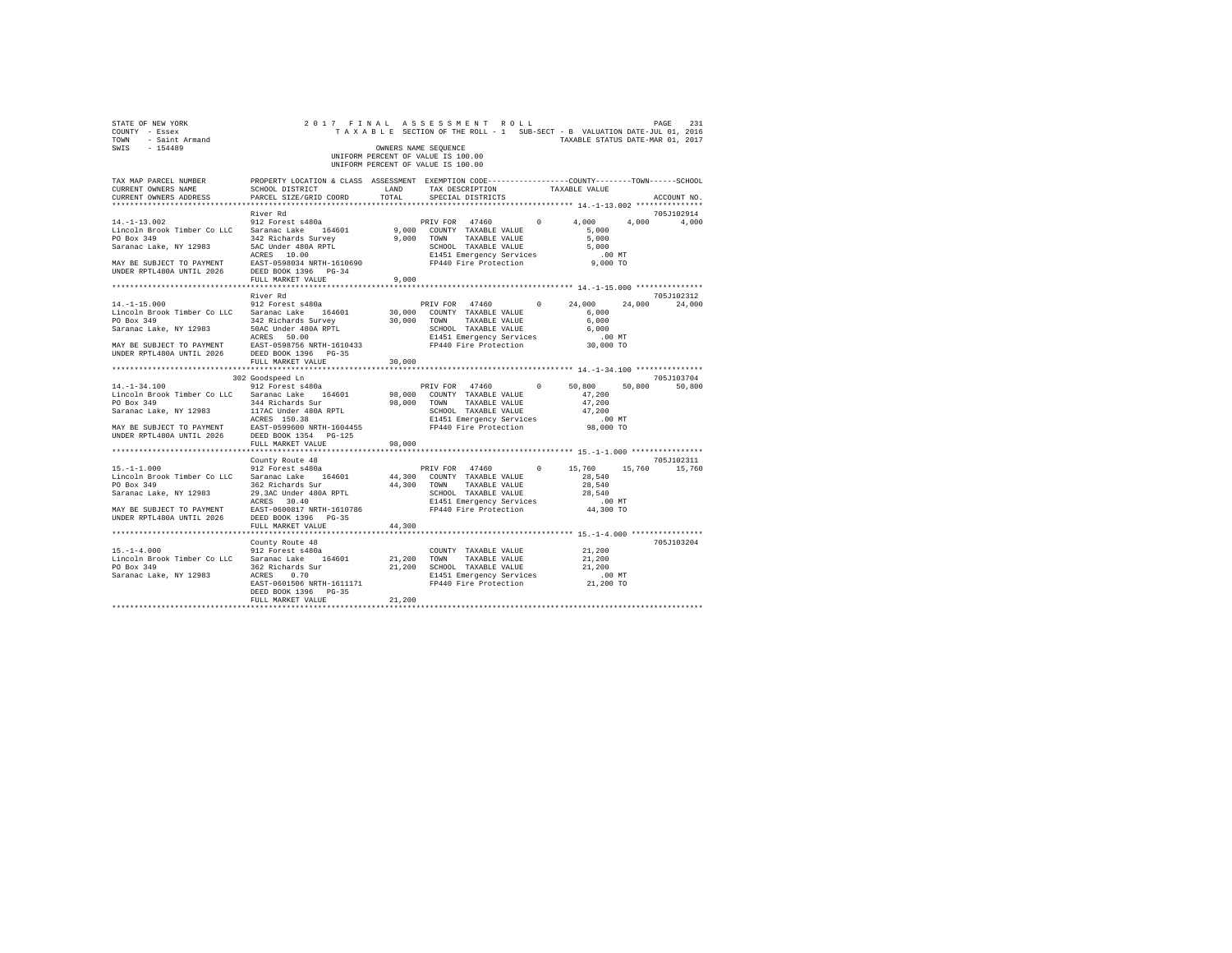| STATE OF NEW YORK<br>COUNTY - Essex<br>TOWN - Saint Armand<br>SWIS - 154489                                                                                                                                                                                                                                                                                                                      | 2017 FINAL ASSESSMENT ROLL                                                                                                                | OWNERS NAME SEQUENCE<br>UNIFORM PERCENT OF VALUE IS 100.00<br>UNIFORM PERCENT OF VALUE IS 100.00 |                      |  | TAXABLE SECTION OF THE ROLL - 1 SUB-SECT - B VALUATION DATE-JUL 01, 2016<br>TAXABLE STATUS DATE-MAR 01, 2017 | PAGE<br>231                 |
|--------------------------------------------------------------------------------------------------------------------------------------------------------------------------------------------------------------------------------------------------------------------------------------------------------------------------------------------------------------------------------------------------|-------------------------------------------------------------------------------------------------------------------------------------------|--------------------------------------------------------------------------------------------------|----------------------|--|--------------------------------------------------------------------------------------------------------------|-----------------------------|
| TAX MAP PARCEL NUMBER<br>CURRENT OWNERS NAME<br>CURRENT OWNERS ADDRESS PARCEL SIZE/GRID COORD TOTAL                                                                                                                                                                                                                                                                                              | PROPERTY LOCATION & CLASS ASSESSMENT EXEMPTION CODE-----------------COUNTY-------TOWN------SCHOOL<br>SCHOOL DISTRICT LAND TAX DESCRIPTION |                                                                                                  | SPECIAL DISTRICTS    |  | TAXABLE VALUE                                                                                                | ACCOUNT NO.                 |
|                                                                                                                                                                                                                                                                                                                                                                                                  | River Rd                                                                                                                                  |                                                                                                  |                      |  |                                                                                                              | 705J102914                  |
| $\begin{tabular}{lcccc} $4\texttt{--1--1-1.5}.\, \color{blue}012 & \texttt{Forest 8480a} & \texttt{PRIV FOR} & 47460 & 0 & 4,000 & 4,000 & 4,000 \\ \texttt{Linrocln } Brob & Saranaca Lake, NY & 12983 & 342 \texttt{ Richard} & 164601 & 9,000 & \texttt{COMNT} & TAXABLE VAUJE & 5,000 \\ \texttt{Soaanaca Lake, NY & 12983 & 342 \texttt{ Richard} & 800k RPTI & 9,000 & \texttt{COMNT} & T$ |                                                                                                                                           |                                                                                                  |                      |  | PRIV FOR 47460 0 4,000 4,000 4,000                                                                           |                             |
|                                                                                                                                                                                                                                                                                                                                                                                                  |                                                                                                                                           |                                                                                                  |                      |  |                                                                                                              |                             |
|                                                                                                                                                                                                                                                                                                                                                                                                  |                                                                                                                                           |                                                                                                  |                      |  |                                                                                                              |                             |
|                                                                                                                                                                                                                                                                                                                                                                                                  |                                                                                                                                           |                                                                                                  |                      |  |                                                                                                              |                             |
|                                                                                                                                                                                                                                                                                                                                                                                                  |                                                                                                                                           |                                                                                                  |                      |  |                                                                                                              |                             |
|                                                                                                                                                                                                                                                                                                                                                                                                  |                                                                                                                                           |                                                                                                  |                      |  |                                                                                                              |                             |
|                                                                                                                                                                                                                                                                                                                                                                                                  |                                                                                                                                           |                                                                                                  |                      |  |                                                                                                              |                             |
|                                                                                                                                                                                                                                                                                                                                                                                                  |                                                                                                                                           |                                                                                                  |                      |  |                                                                                                              |                             |
|                                                                                                                                                                                                                                                                                                                                                                                                  | River Rd                                                                                                                                  |                                                                                                  |                      |  |                                                                                                              | 705J102312                  |
|                                                                                                                                                                                                                                                                                                                                                                                                  |                                                                                                                                           |                                                                                                  |                      |  | PRIV FOR 47460 0 24,000 24,000                                                                               | 24,000                      |
|                                                                                                                                                                                                                                                                                                                                                                                                  |                                                                                                                                           |                                                                                                  |                      |  |                                                                                                              |                             |
|                                                                                                                                                                                                                                                                                                                                                                                                  |                                                                                                                                           |                                                                                                  |                      |  |                                                                                                              |                             |
|                                                                                                                                                                                                                                                                                                                                                                                                  |                                                                                                                                           |                                                                                                  |                      |  |                                                                                                              |                             |
|                                                                                                                                                                                                                                                                                                                                                                                                  |                                                                                                                                           |                                                                                                  |                      |  |                                                                                                              |                             |
|                                                                                                                                                                                                                                                                                                                                                                                                  |                                                                                                                                           |                                                                                                  |                      |  |                                                                                                              |                             |
| $[14.1-15.000$ $[12.1-15.000$ $[12.10] \text{POR}$ $[14.1-15.000$ $[14.10] \text{POR}$ $[14.10] \text{POR}$ $[14.10] \text{POR}$ $[14.10] \text{POR}$ $[14.10] \text{POR}$ $[14.10] \text{POR}$ $[14.10] \text{POR}$ $[14.10] \text{POR}$ $[14.10] \text{POR}$ $[14.10] \text{POR}$                                                                                                              |                                                                                                                                           |                                                                                                  |                      |  |                                                                                                              |                             |
|                                                                                                                                                                                                                                                                                                                                                                                                  |                                                                                                                                           |                                                                                                  |                      |  |                                                                                                              |                             |
|                                                                                                                                                                                                                                                                                                                                                                                                  |                                                                                                                                           |                                                                                                  |                      |  | ******************************** 14.-1-34.100 ***************                                                |                             |
|                                                                                                                                                                                                                                                                                                                                                                                                  | 302 Goodspeed Ln                                                                                                                          |                                                                                                  |                      |  |                                                                                                              | 705J103704<br>50,800 50,800 |
|                                                                                                                                                                                                                                                                                                                                                                                                  |                                                                                                                                           |                                                                                                  |                      |  |                                                                                                              |                             |
|                                                                                                                                                                                                                                                                                                                                                                                                  |                                                                                                                                           |                                                                                                  |                      |  |                                                                                                              |                             |
|                                                                                                                                                                                                                                                                                                                                                                                                  |                                                                                                                                           |                                                                                                  |                      |  |                                                                                                              |                             |
|                                                                                                                                                                                                                                                                                                                                                                                                  |                                                                                                                                           |                                                                                                  |                      |  |                                                                                                              |                             |
|                                                                                                                                                                                                                                                                                                                                                                                                  |                                                                                                                                           |                                                                                                  |                      |  |                                                                                                              |                             |
|                                                                                                                                                                                                                                                                                                                                                                                                  |                                                                                                                                           |                                                                                                  |                      |  |                                                                                                              |                             |
|                                                                                                                                                                                                                                                                                                                                                                                                  | FULL MARKET VALUE                                                                                                                         | 98,000                                                                                           |                      |  |                                                                                                              |                             |
|                                                                                                                                                                                                                                                                                                                                                                                                  |                                                                                                                                           |                                                                                                  |                      |  |                                                                                                              |                             |
|                                                                                                                                                                                                                                                                                                                                                                                                  | County Route 48                                                                                                                           |                                                                                                  |                      |  |                                                                                                              | 705J102311                  |
| $\begin{array}{cccccc} 15. -1-1.000 & 912\  \, \text{Forest s480a} & \text{PRIV FOR} & 47460 & 0 & 15,760 \\ \text{Lincoh Brook Timber Co LLC} & \text{Saranac Lake} & 164601 & 44,300\  \, \text{COUNTY Y TAXABLE VALUE} & 28,540 \end{array}$                                                                                                                                                  |                                                                                                                                           |                                                                                                  |                      |  |                                                                                                              | 15,760 15,760               |
|                                                                                                                                                                                                                                                                                                                                                                                                  |                                                                                                                                           |                                                                                                  |                      |  |                                                                                                              |                             |
| PO Box 349<br>PO Box 349<br>Sac Richards Survey 144,300 TOWN TAXABLE VALUE 28,540<br>Saranac Lake, NY 12983<br>28,540<br>MAY BE SURGER TO PAYMENT EARLY EXPLOIT NETH-1610A RPTL<br>MAY BE SURGER TO POSSES 30.40<br>THE SURGERY SURVEY EXPLO                                                                                                                                                     |                                                                                                                                           |                                                                                                  |                      |  |                                                                                                              |                             |
|                                                                                                                                                                                                                                                                                                                                                                                                  |                                                                                                                                           |                                                                                                  |                      |  |                                                                                                              |                             |
|                                                                                                                                                                                                                                                                                                                                                                                                  |                                                                                                                                           |                                                                                                  |                      |  |                                                                                                              |                             |
|                                                                                                                                                                                                                                                                                                                                                                                                  |                                                                                                                                           |                                                                                                  |                      |  |                                                                                                              |                             |
|                                                                                                                                                                                                                                                                                                                                                                                                  | FULL MARKET VALUE                                                                                                                         | 44,300                                                                                           |                      |  |                                                                                                              |                             |
|                                                                                                                                                                                                                                                                                                                                                                                                  |                                                                                                                                           |                                                                                                  |                      |  |                                                                                                              |                             |
|                                                                                                                                                                                                                                                                                                                                                                                                  | County Route 48                                                                                                                           |                                                                                                  |                      |  |                                                                                                              | 705J103204                  |
| $15. - 1 - 4.000$                                                                                                                                                                                                                                                                                                                                                                                | 912 Forest s480a                                                                                                                          |                                                                                                  | COUNTY TAXABLE VALUE |  | 21,200                                                                                                       |                             |
| Lincoln Brook Timber Co LLC Saranac Lake 164601                                                                                                                                                                                                                                                                                                                                                  |                                                                                                                                           | 21,200 TOWN TAXABLE VALUE                                                                        |                      |  | 21,200                                                                                                       |                             |
| PO Box 349<br>362 Richards Sur 21,200 SCHOOL TAXABLE VALUE<br>Saranac Lake, NY 12983<br>ACRES 0.70 E1451 Emergency Services                                                                                                                                                                                                                                                                      |                                                                                                                                           |                                                                                                  |                      |  | 21,200                                                                                                       |                             |
|                                                                                                                                                                                                                                                                                                                                                                                                  | ACRES 0.70<br>EAST-0601506 NRTH-1611171 FP440 Fire Protection<br>EAST-0601506 REPARTH-161171 FP440 Fire Protection                        |                                                                                                  |                      |  | .00 MT.<br>21,200 TO                                                                                         |                             |
|                                                                                                                                                                                                                                                                                                                                                                                                  | DEED BOOK 1396 PG-35                                                                                                                      |                                                                                                  |                      |  |                                                                                                              |                             |
|                                                                                                                                                                                                                                                                                                                                                                                                  | FULL MARKET VALUE                                                                                                                         | 21,200                                                                                           |                      |  |                                                                                                              |                             |
|                                                                                                                                                                                                                                                                                                                                                                                                  |                                                                                                                                           |                                                                                                  |                      |  |                                                                                                              |                             |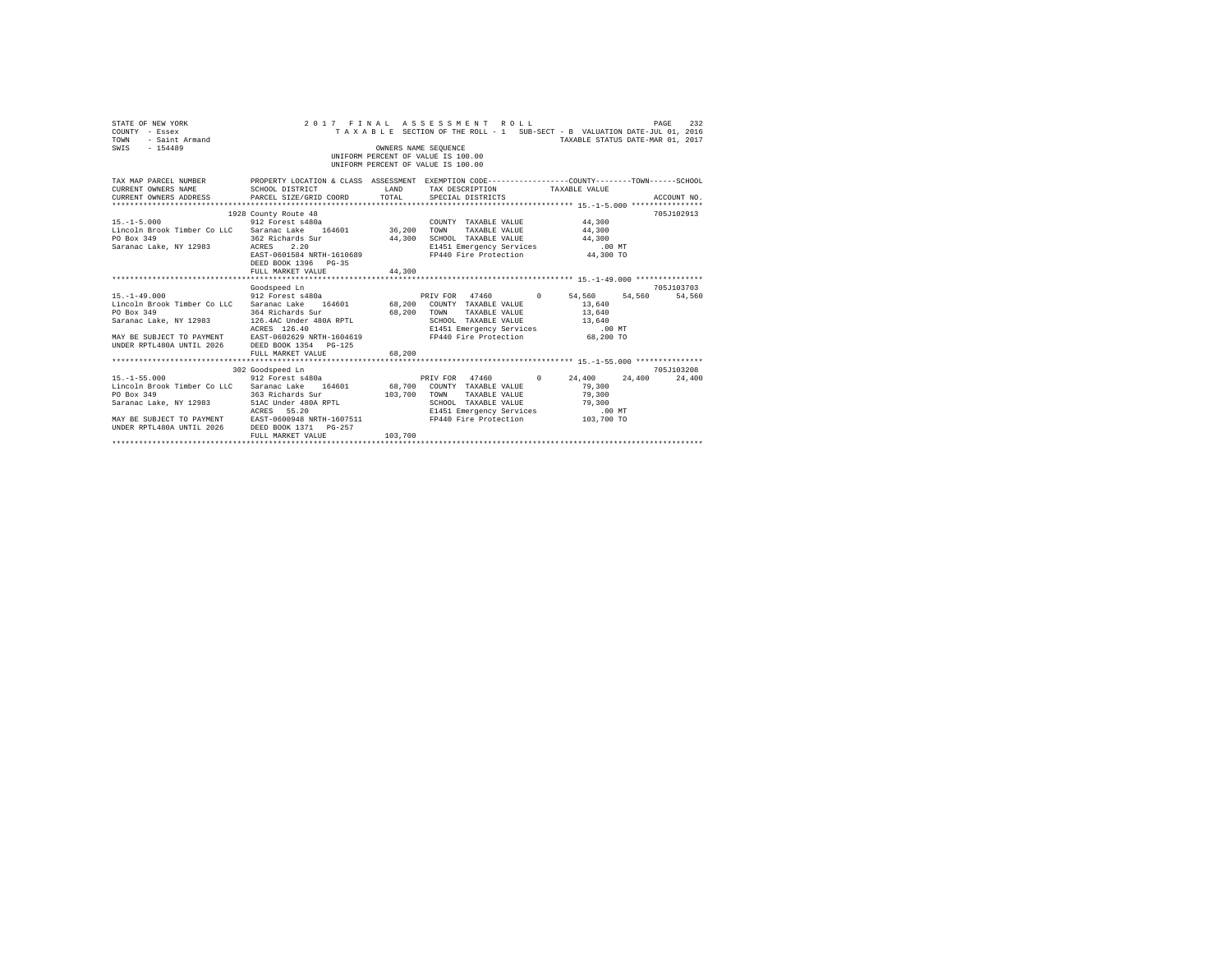| STATE OF NEW YORK<br>COUNTY - Essex<br>- Saint Armand<br>TOWN<br>SWIS - 154489                                                                                                                                                                                                                                                                                          |                                                                                                                                                                          | OWNERS NAME SEQUENCE    | 2017 FINAL ASSESSMENT ROLL<br>TAXABLE SECTION OF THE ROLL - 1 SUB-SECT - B VALUATION DATE-JUL 01, 2016<br>UNIFORM PERCENT OF VALUE IS 100.00<br>UNIFORM PERCENT OF VALUE IS 100.00 | TAXABLE STATUS DATE-MAR 01, 2017 | 232<br>PAGE |
|-------------------------------------------------------------------------------------------------------------------------------------------------------------------------------------------------------------------------------------------------------------------------------------------------------------------------------------------------------------------------|--------------------------------------------------------------------------------------------------------------------------------------------------------------------------|-------------------------|------------------------------------------------------------------------------------------------------------------------------------------------------------------------------------|----------------------------------|-------------|
| TAX MAP PARCEL NUMBER PROPERTY LOCATION & CLASS ASSESSMENT EXEMPTION CODE--------------COUNTY-------TOWN-----SCHOOL<br>CURRENT OWNERS NAME SCHOOL DISTRICT<br>CURRENT OWNERS ADDRESS PARCEL SIZE/GRID COORD                                                                                                                                                             | <b>LAND</b>                                                                                                                                                              | TOTAL                   | TAX DESCRIPTION TAXABLE VALUE<br>SPECIAL DISTRICTS                                                                                                                                 |                                  | ACCOUNT NO. |
| COUNT 912 Forest s480a<br>Lincoln Brook Timber Co LLC Saranac Lake 164601 36,200 TOWN<br>PO Box 349<br>Saranac Lake, NY 12983 ACRES                                                                                                                                                                                                                                     | 1928 County Route 48<br>362 Richards Sur<br>2.20<br>EXERS 2.20<br>EAST-0601584 NRTH-1610689 FP440 Fire Protection 44,300 TO<br>DEED BOOK 1396 PG-35<br>FULL MARKET VALUE | 44,300<br>44,300        | COUNTY TAXABLE VALUE<br>TAXABLE VALUE<br>SCHOOL TAXABLE VALUE 44,300<br>E1451 Emergency Services                                                                                   | 44,300<br>44,300<br>$.00$ MT     | 705J102913  |
| 15.-1-49.000 54.560 912 Forest s480a PRIV FOR 47460 0 54.560 54.560 54.560<br>Lincoln Brook Timber Co LLC Saranac Lake 164601 68,200 COUNTY TAXABLE VALUE 13,640<br>PO Box 349<br>Saranac Lake, NY 12983 126.4AC Under 480A RPTL<br>MAY BE SUBJECT TO PAYMENT<br>UNDER RPTL480A UNTIL 2026 BAST-0602629 NRTH-1604619<br>UNDER RPTL480A UNTIL 2026 BEED BOOK 1354 PG-125 | Goodspeed Ln<br>364 Richards Sur 68,200 TOWN<br>ACRES 126.40<br>FULL MARKET VALUE                                                                                        | 68,200                  | TAXABLE VALUE 13,640<br>SCHOOL TAXABLE VALUE 13,640<br>E1451 Emergency Services<br>FP440 Fire Protection                                                                           | .00 MT<br>68,200 TO              | 705J103703  |
| $15. - 1 - 55.000$<br>Lincoln Brook Timber Co LLC Saranac Lake 164601 68,700 COUNTY TAXABLE VALUE<br>PO Box 349<br>MAY BE SUBJECT TO PAYMENT EAST-0600948 NRTH-1607511<br>UNDER RPTL480A UNTIL 2026 DEED BOOK 1371 PG-257                                                                                                                                               | 302 Goodspeed Ln<br>Goodspeed Ln<br>912 Forest s480a<br>363 Richards Sur<br>FULL MARKET VALUE                                                                            | 103,700 TOWN<br>103,700 | PRIV FOR 47460 0 24,400 24,400 24,400<br>TAXABLE VALUE<br>SCHOOL TAXABLE VALUE<br>E1451 Emergency Services .00 MT<br>FP440 Fire Protection 103,700 TO                              | 79,300<br>79,300<br>79,300       | 705J103208  |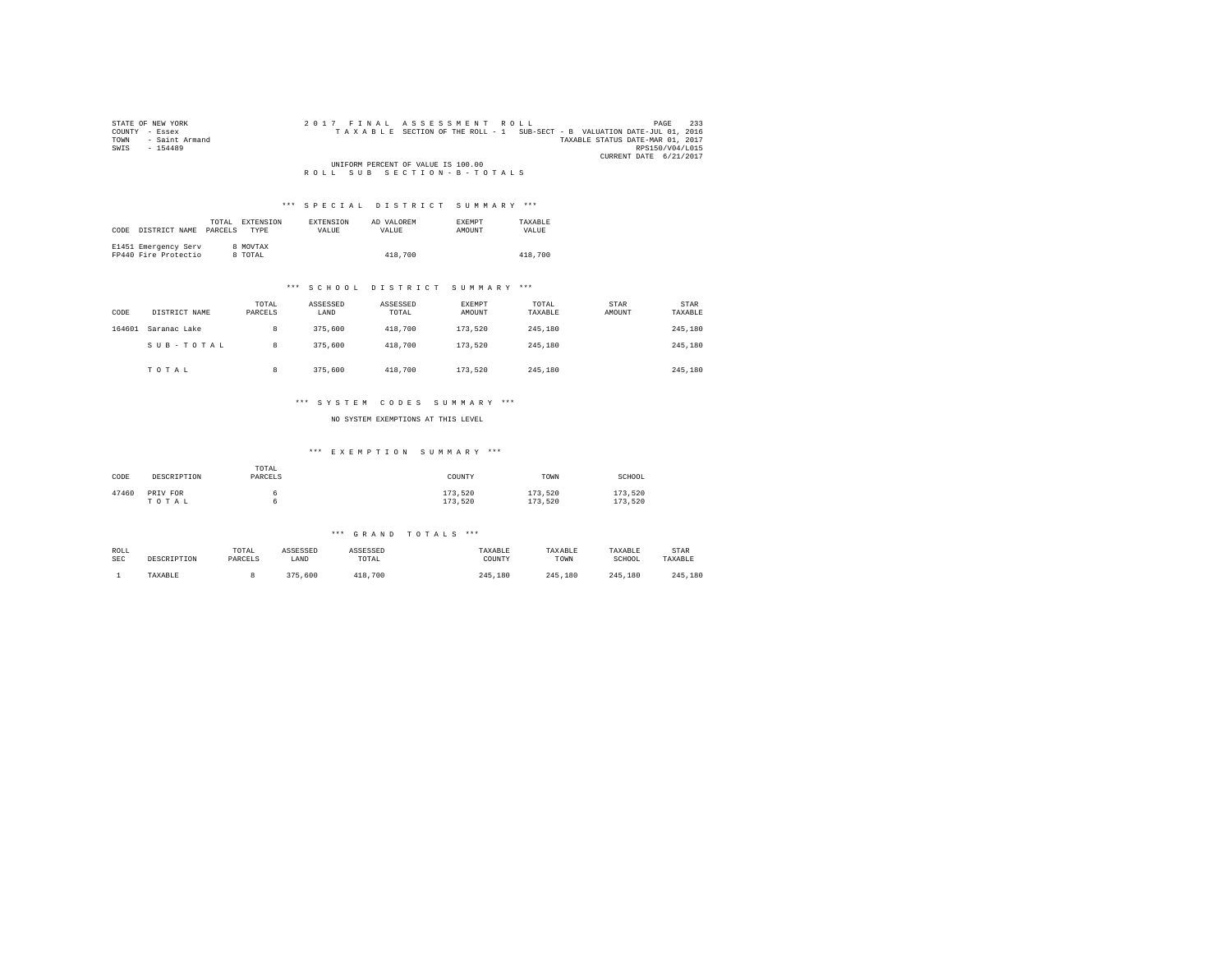| STATE OF NEW YORK      | 2017 FINAL ASSESSMENT ROLL<br>PAGE                                       | 233 |
|------------------------|--------------------------------------------------------------------------|-----|
| COUNTY - Essex         | TAXABLE SECTION OF THE ROLL - 1 SUB-SECT - B VALUATION DATE-JUL 01, 2016 |     |
| - Saint Armand<br>TOWN | TAXABLE STATUS DATE-MAR 01, 2017                                         |     |
| SWTS<br>$-154489$      | RPS150/V04/L015                                                          |     |
|                        | CURRENT DATE 6/21/2017                                                   |     |
|                        | UNIFORM PERCENT OF VALUE IS 100.00                                       |     |
|                        | ROLL SUB SECTION-B-TOTALS                                                |     |

| CODE | DISTRICT NAME                                | TOTAL.<br>PARCELS | EXTENSION<br><b>TYPE</b> | <b>EXTENSION</b><br><b>VALUE</b> | AD VALOREM<br>VALUE | <b>EXEMPT</b><br>AMOUNT | TAXARLE<br>VALUE |
|------|----------------------------------------------|-------------------|--------------------------|----------------------------------|---------------------|-------------------------|------------------|
|      | E1451 Emergency Serv<br>FP440 Fire Protectio |                   | 8 MOVTAX<br>8 TOTAL      |                                  | 418,700             |                         | 418,700          |

## \*\*\* S C H O O L D I S T R I C T S U M M A R Y \*\*\*

| CODE   | DISTRICT NAME | TOTAL<br>PARCELS | ASSESSED<br>LAND | ASSESSED<br>TOTAL | <b>EXEMPT</b><br>AMOUNT | TOTAL<br>TAXABLE | STAR<br>AMOUNT | STAR<br>TAXABLE |
|--------|---------------|------------------|------------------|-------------------|-------------------------|------------------|----------------|-----------------|
| 164601 | Saranac Lake  | 8                | 375,600          | 418,700           | 173,520                 | 245,180          |                | 245,180         |
|        | SUB-TOTAL     | 8                | 375,600          | 418,700           | 173.520                 | 245,180          |                | 245,180         |
|        | TOTAL         | 8                | 375,600          | 418,700           | 173,520                 | 245,180          |                | 245,180         |

## \*\*\* S Y S T E M C O D E S S U M M A R Y \*\*\*

NO SYSTEM EXEMPTIONS AT THIS LEVEL

## \*\*\* E X E M P T I O N S U M M A R Y \*\*\*

| CODE  | DESCRIPTION       | TOTAL<br>PARCELS | COUNTY             | TOWN               | SCHOOL             |
|-------|-------------------|------------------|--------------------|--------------------|--------------------|
| 47460 | PRIV FOR<br>TOTAL |                  | 173,520<br>173.520 | 173.520<br>173.520 | 173.520<br>173.520 |

| ROLL | DESCRIPTION | TOTAL   | ASSESSED | ASSESSED | TAXABLE | TAXABLE | TAXABLE     | STAR    |
|------|-------------|---------|----------|----------|---------|---------|-------------|---------|
| SEC  |             | PARCELS | LAND     | TOTAL    | COUNTY  | TOWN    | SCHOOL      | TAXABLE |
|      | TAXABLE     |         | 375,600  | 418,700  | 245,180 | 245.180 | 245<br>.180 | 245,180 |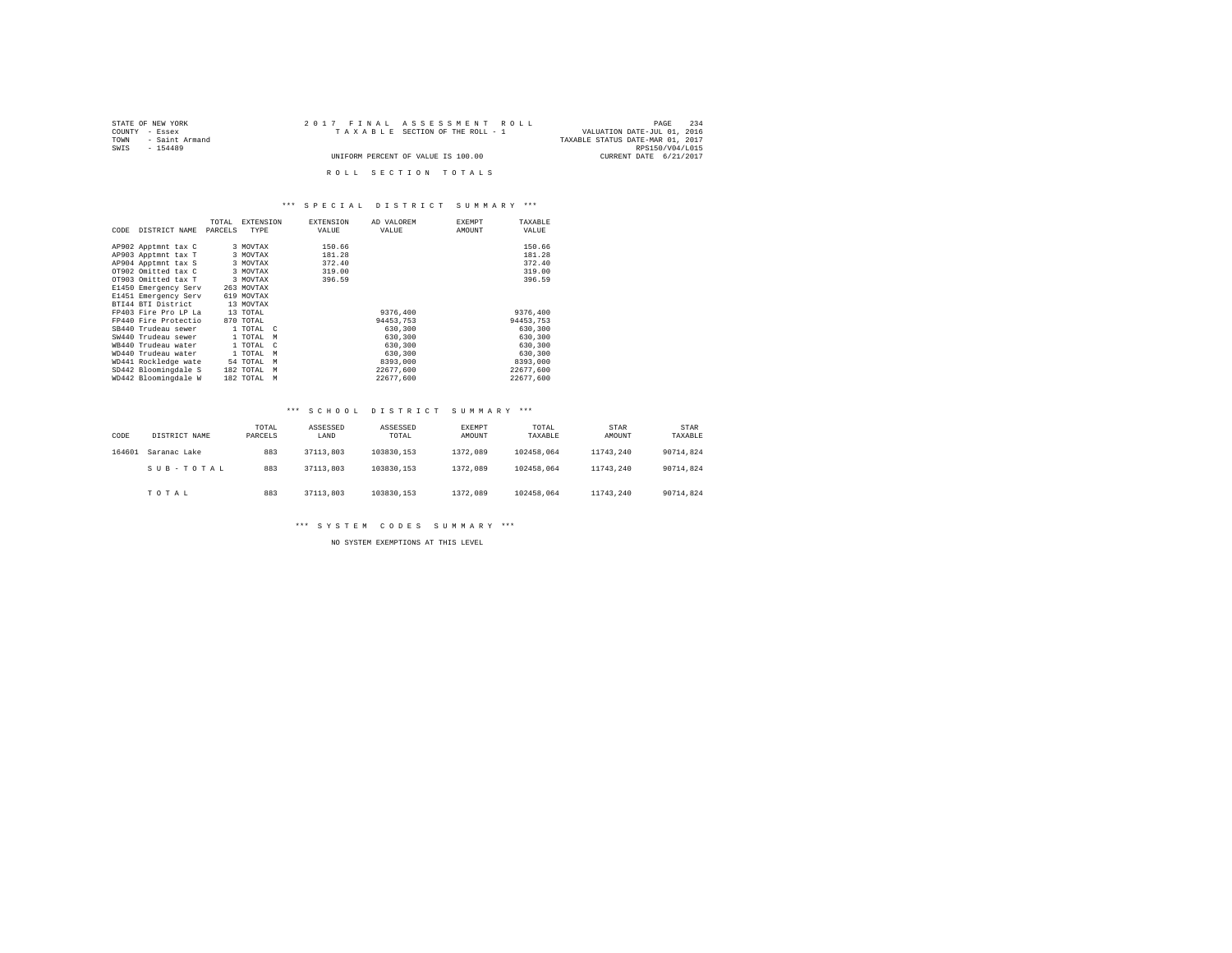| STATE OF NEW YORK      | 2017 FINAL ASSESSMENT ROLL         | 234<br>PAGE                      |
|------------------------|------------------------------------|----------------------------------|
| COUNTY - Essex         | TAXABLE SECTION OF THE ROLL - 1    | VALUATION DATE-JUL 01, 2016      |
| - Saint Armand<br>TOWN |                                    | TAXABLE STATUS DATE-MAR 01, 2017 |
| SWTS<br>$-154489$      |                                    | RPS150/V04/L015                  |
|                        | UNIFORM PERCENT OF VALUE IS 100.00 | CURRENT DATE 6/21/2017           |
|                        |                                    |                                  |
|                        | ROLL SECTION TOTALS                |                                  |

|      |                      | TOTAL   | <b>EXTENSION</b>       | <b>EXTENSION</b> | AD VALOREM | <b>EXEMPT</b> | TAXABLE   |
|------|----------------------|---------|------------------------|------------------|------------|---------------|-----------|
| CODE | DISTRICT NAME        | PARCELS | TYPE                   | VALUE            | VALUE      | AMOUNT        | VALUE     |
|      |                      |         |                        |                  |            |               |           |
|      | AP902 Apptmnt tax C  |         | 3 MOVTAX               | 150.66           |            |               | 150.66    |
|      | AP903 Apptmnt tax T  |         | 3 MOVTAX               | 181.28           |            |               | 181.28    |
|      | AP904 Apptmnt tax S  |         | 3 MOVTAX               | 372.40           |            |               | 372.40    |
|      | OT902 Omitted tax C  |         | 3 MOVTAX               | 319.00           |            |               | 319.00    |
|      | OT903 Omitted tax T  |         | 3 MOVTAX               | 396.59           |            |               | 396.59    |
|      | E1450 Emergency Serv |         | 263 MOVTAX             |                  |            |               |           |
|      | E1451 Emergency Serv |         | 619 MOVTAX             |                  |            |               |           |
|      | BTI44 BTI District   |         | 13 MOVTAX              |                  |            |               |           |
|      | FP403 Fire Pro LP La |         | 13 TOTAL               |                  | 9376.400   |               | 9376.400  |
|      | FP440 Fire Protectio |         | 870 TOTAL              |                  | 94453.753  |               | 94453.753 |
|      | SB440 Trudeau sewer  |         | 1 TOTAL C              |                  | 630,300    |               | 630,300   |
|      | SW440 Trudeau sewer  |         | 1 TOTAL<br>M           |                  | 630,300    |               | 630,300   |
|      | WB440 Trudeau water  |         | 1 TOTAL<br>$\mathbf C$ |                  | 630,300    |               | 630,300   |
|      | WD440 Trudeau water  |         | 1 TOTAL<br>M           |                  | 630,300    |               | 630,300   |
|      | WD441 Rockledge wate |         | 54 TOTAL<br>M          |                  | 8393,000   |               | 8393,000  |
|      | SD442 Bloomingdale S |         | 182 TOTAL<br>М         |                  | 22677.600  |               | 22677.600 |
|      | WD442 Bloomingdale W |         | 182 TOTAL<br>M         |                  | 22677.600  |               | 22677.600 |

#### \*\*\* S C H O O L D I S T R I C T S U M M A R Y \*\*\*

| CODE   | DISTRICT NAME | TOTAL<br>PARCELS | ASSESSED<br>LAND | ASSESSED<br>TOTAL | EXEMPT<br>AMOUNT | TOTAL<br>TAXABLE | STAR<br>AMOUNT | <b>STAR</b><br>TAXABLE |
|--------|---------------|------------------|------------------|-------------------|------------------|------------------|----------------|------------------------|
| 164601 | Saranac Lake  | 883              | 37113.803        | 103830.153        | 1372.089         | 102458.064       | 11743.240      | 90714.824              |
|        | SUB-TOTAL     | 883              | 37113.803        | 103830.153        | 1372.089         | 102458.064       | 11743.240      | 90714.824              |
|        | TOTAL         | 883              | 37113.803        | 103830.153        | 1372.089         | 102458.064       | 11743.240      | 90714.824              |

\*\*\* S Y S T E M C O D E S S U M M A R Y \*\*\*

NO SYSTEM EXEMPTIONS AT THIS LEVEL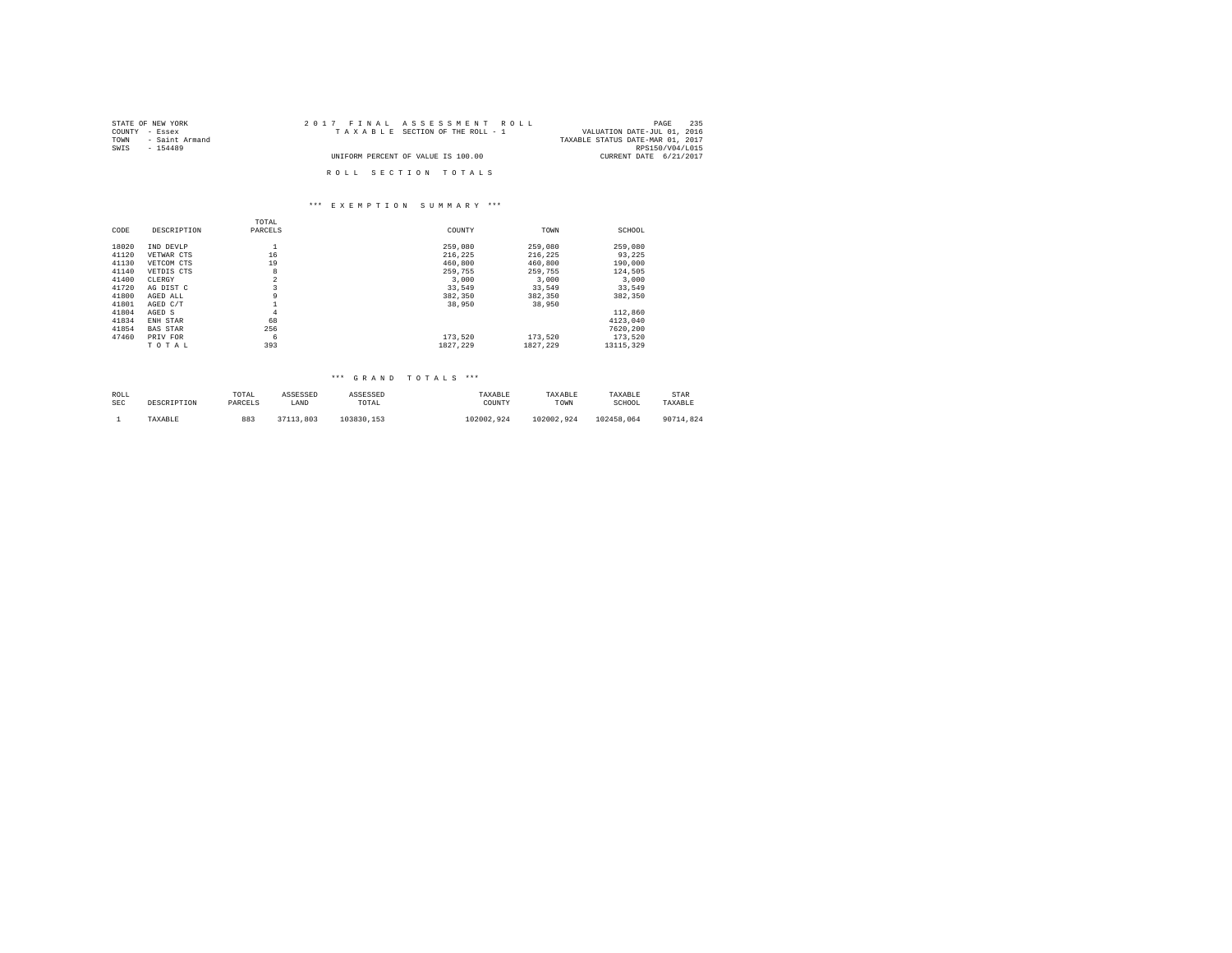| STATE OF NEW YORK      | 2017 FINAL ASSESSMENT ROLL         | 235<br>PAGE                      |
|------------------------|------------------------------------|----------------------------------|
| COUNTY - Essex         | TAXABLE SECTION OF THE ROLL - 1    | VALUATION DATE-JUL 01, 2016      |
| - Saint Armand<br>TOWN |                                    | TAXABLE STATUS DATE-MAR 01, 2017 |
| SWIS<br>$-154489$      |                                    | RPS150/V04/L015                  |
|                        | UNIFORM PERCENT OF VALUE IS 100.00 | CURRENT DATE 6/21/2017           |
|                        | ROLL SECTION TOTALS                |                                  |

## \*\*\* E X E M P T I O N S U M M A R Y \*\*\*

|       |                 | TOTAL          |          |          |           |
|-------|-----------------|----------------|----------|----------|-----------|
| CODE  | DESCRIPTION     | PARCELS        | COUNTY   | TOWN     | SCHOOL    |
| 18020 | IND DEVLP       | ÷              | 259,080  | 259,080  | 259,080   |
| 41120 | VETWAR CTS      | 16             | 216.225  | 216.225  | 93.225    |
| 41130 | VETCOM CTS      | 19             | 460,800  | 460,800  | 190,000   |
| 41140 | VETDIS CTS      | 8              | 259,755  | 259,755  | 124,505   |
| 41400 | CLERGY          | $\overline{a}$ | 3,000    | 3,000    | 3,000     |
| 41720 | AG DIST C       | 3              | 33,549   | 33,549   | 33,549    |
| 41800 | AGED ALL        | 9              | 382.350  | 382,350  | 382,350   |
| 41801 | AGED C/T        |                | 38,950   | 38,950   |           |
| 41804 | AGED S          | $\overline{4}$ |          |          | 112,860   |
| 41834 | ENH STAR        | 68             |          |          | 4123.040  |
| 41854 | <b>BAS STAR</b> | 256            |          |          | 7620.200  |
| 47460 | PRIV FOR        | 6              | 173.520  | 173.520  | 173.520   |
|       | TOTAL           | 393            | 1827.229 | 1827.229 | 13115,329 |

| ROLL       | DESCRIPTION | TOTAL   | ASSESSED  | ASSESSED   | TAXABLE    | TAXABLE    | TAXABLE    | STAR      |
|------------|-------------|---------|-----------|------------|------------|------------|------------|-----------|
| <b>SEC</b> |             | PARCELS | LAND      | TOTAL      | COUNTY     | TOWN       | SCHOOL     | TAXABLE   |
|            | TAXABLE     | 883     | 37113.803 | 103830.153 | 102002.924 | 102002.924 | 102458.064 | 90714.824 |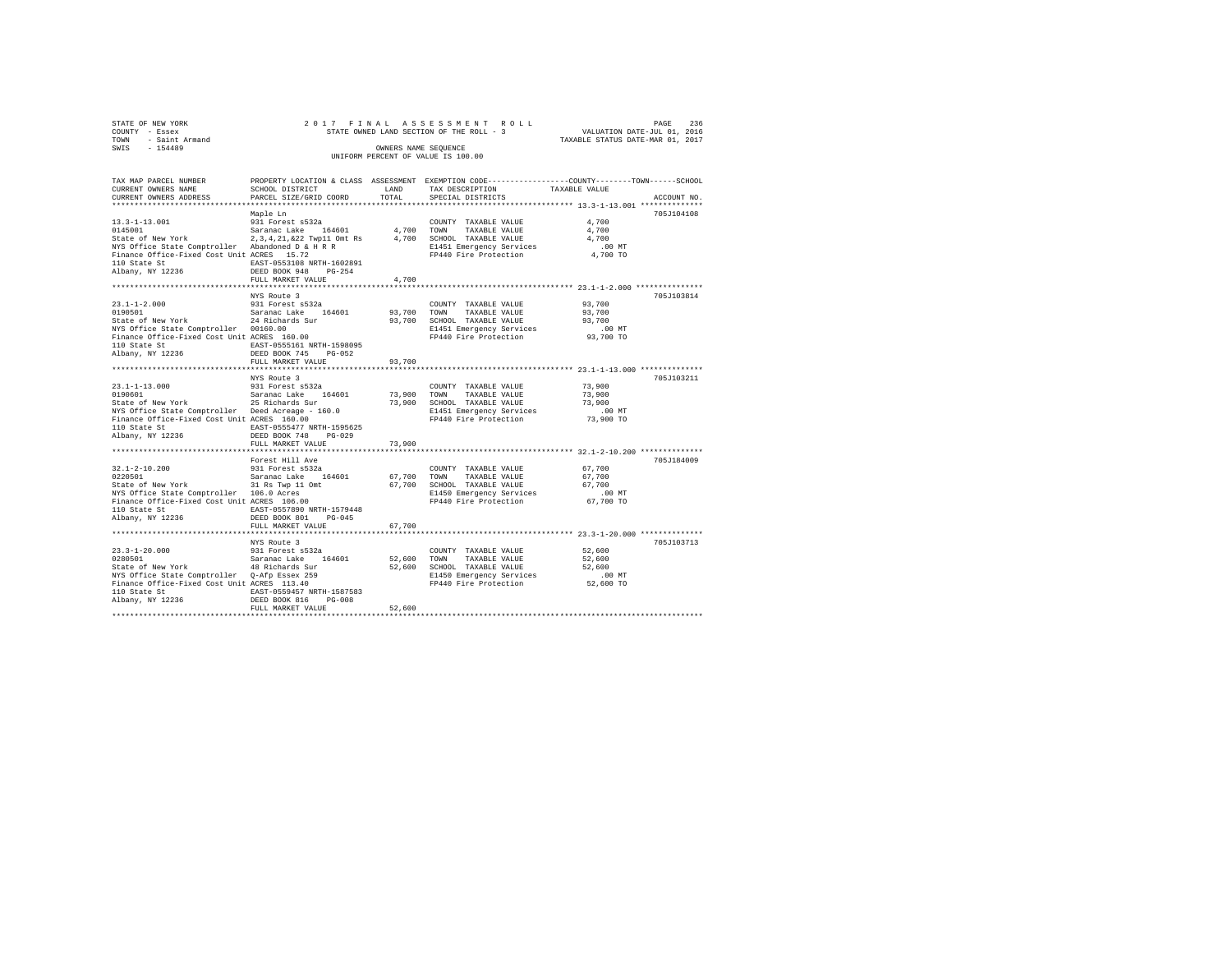| STATE OF NEW YORK      | 2017 FINAL ASSESSMENT ROLL               | 236<br>PAGE                      |
|------------------------|------------------------------------------|----------------------------------|
| COUNTY - Essex         | STATE OWNED LAND SECTION OF THE ROLL - 3 | VALUATION DATE-JUL 01, 2016      |
| - Saint Armand<br>TOWN |                                          | TAXABLE STATUS DATE-MAR 01, 2017 |
| $-154489$<br>SWIS      | OWNERS NAME SEOUENCE                     |                                  |
|                        | UNIFORM PERCENT OF VALUE IS 100.00       |                                  |

| TAX MAP PARCEL NUMBER<br>CURRENT OWNERS NAME                                                                                                                                                                                                                  | PROPERTY LOCATION & CLASS ASSESSMENT EXEMPTION CODE---------------COUNTY-------TOWN------SCHOOL<br>SCHOOL DISTRICT |        | LAND TAX DESCRIPTION                              | TAXABLE VALUE       |             |
|---------------------------------------------------------------------------------------------------------------------------------------------------------------------------------------------------------------------------------------------------------------|--------------------------------------------------------------------------------------------------------------------|--------|---------------------------------------------------|---------------------|-------------|
| CURRENT OWNERS ADDRESS                                                                                                                                                                                                                                        | PARCEL SIZE/GRID COORD                                                                                             | TOTAL  | SPECIAL DISTRICTS                                 |                     | ACCOUNT NO. |
|                                                                                                                                                                                                                                                               |                                                                                                                    |        |                                                   |                     |             |
|                                                                                                                                                                                                                                                               | Maple Ln                                                                                                           |        |                                                   |                     | 705J104108  |
| 13.3-1-13.001<br>931 Porest s532a<br>State of New York 24,202 Twp11 Omt Rs = 14,700 TONN TAXABLE VALUE<br>State of New York 24,34,21,622 Twp11 Omt Rs = 4,700 SCHOOL TAXABLE VALUE<br>State of New York 24,34,21,622 Twp11 Omt Rs = 14<br>$13.3 - 1 - 13.001$ |                                                                                                                    |        |                                                   | 4,700               |             |
|                                                                                                                                                                                                                                                               |                                                                                                                    |        |                                                   | 4,700               |             |
|                                                                                                                                                                                                                                                               |                                                                                                                    |        |                                                   | 4,700               |             |
|                                                                                                                                                                                                                                                               |                                                                                                                    |        | E1451 Emergency Services<br>FP440 Fire Protection | .00MT               |             |
|                                                                                                                                                                                                                                                               |                                                                                                                    |        |                                                   | 4,700 TO            |             |
|                                                                                                                                                                                                                                                               |                                                                                                                    |        |                                                   |                     |             |
|                                                                                                                                                                                                                                                               |                                                                                                                    |        |                                                   |                     |             |
|                                                                                                                                                                                                                                                               | FULL MARKET VALUE                                                                                                  | 4,700  |                                                   |                     |             |
|                                                                                                                                                                                                                                                               |                                                                                                                    |        |                                                   |                     |             |
|                                                                                                                                                                                                                                                               | NYS Route 3                                                                                                        |        |                                                   |                     | 705J103814  |
|                                                                                                                                                                                                                                                               |                                                                                                                    |        |                                                   | 93,700              |             |
|                                                                                                                                                                                                                                                               |                                                                                                                    |        |                                                   | 93,700              |             |
|                                                                                                                                                                                                                                                               |                                                                                                                    |        |                                                   | 93,700              |             |
|                                                                                                                                                                                                                                                               |                                                                                                                    |        |                                                   |                     |             |
|                                                                                                                                                                                                                                                               |                                                                                                                    |        |                                                   |                     |             |
|                                                                                                                                                                                                                                                               |                                                                                                                    |        |                                                   |                     |             |
|                                                                                                                                                                                                                                                               |                                                                                                                    |        |                                                   |                     |             |
|                                                                                                                                                                                                                                                               | FULL MARKET VALUE                                                                                                  | 93,700 |                                                   |                     |             |
|                                                                                                                                                                                                                                                               |                                                                                                                    |        |                                                   |                     |             |
|                                                                                                                                                                                                                                                               | NYS Route 3                                                                                                        |        |                                                   |                     | 705J103211  |
| 23.1-1-13.000 931 Forest s532a<br>0190601 Saranac Lake 164601<br>State of New York 25 Richards Sur                                                                                                                                                            |                                                                                                                    |        | COUNTY TAXABLE VALUE                              | 73,900              |             |
| 0190601<br>Saranac Lake 164601 73,900 TOWN TAXABLE VALUE 73,900<br>State of New York 25 Richards Sur 73,900 SCHOOL TAXABLE VALUE 73,900<br>NYS Office State Comptroller Deed Acreage - 160.0 B1451 Emergency Services .00 NT<br>Financ                        |                                                                                                                    |        |                                                   |                     |             |
|                                                                                                                                                                                                                                                               |                                                                                                                    |        |                                                   |                     |             |
|                                                                                                                                                                                                                                                               |                                                                                                                    |        |                                                   |                     |             |
|                                                                                                                                                                                                                                                               |                                                                                                                    |        |                                                   |                     |             |
|                                                                                                                                                                                                                                                               |                                                                                                                    |        |                                                   |                     |             |
|                                                                                                                                                                                                                                                               |                                                                                                                    |        |                                                   |                     |             |
|                                                                                                                                                                                                                                                               | FULL MARKET VALUE                                                                                                  | 73,900 |                                                   |                     |             |
|                                                                                                                                                                                                                                                               |                                                                                                                    |        |                                                   |                     |             |
|                                                                                                                                                                                                                                                               | Forest Hill Ave                                                                                                    |        |                                                   |                     | 705J184009  |
|                                                                                                                                                                                                                                                               |                                                                                                                    |        | COUNTY TAXABLE VALUE 67,700                       |                     |             |
|                                                                                                                                                                                                                                                               |                                                                                                                    |        |                                                   | 67,700              |             |
|                                                                                                                                                                                                                                                               |                                                                                                                    |        |                                                   | 67,700              |             |
| 32.1-2-10.200<br>23.1-2-10.200<br>23.1 Forest assex<br>23.1 Forest assex<br>23.1 Forest assex<br>23.1 Forest and COLOR (67,700 SCHOOL TAXABLE VALUE<br>23.1 Finance Office State Comptroller 105.0 action (67,700 SCHOOL TAXABLE VALUE<br>21                  |                                                                                                                    |        |                                                   | $.00$ MT            |             |
|                                                                                                                                                                                                                                                               |                                                                                                                    |        | FP440 Fire Protection                             | 67,700 TO           |             |
|                                                                                                                                                                                                                                                               |                                                                                                                    |        |                                                   |                     |             |
|                                                                                                                                                                                                                                                               |                                                                                                                    |        |                                                   |                     |             |
|                                                                                                                                                                                                                                                               | FULL MARKET VALUE                                                                                                  | 67,700 |                                                   |                     |             |
|                                                                                                                                                                                                                                                               | NYS Route 3                                                                                                        |        |                                                   |                     | 705J103713  |
|                                                                                                                                                                                                                                                               |                                                                                                                    |        | COUNTY TAXABLE VALUE 52,600                       |                     |             |
|                                                                                                                                                                                                                                                               |                                                                                                                    |        |                                                   | 52,600              |             |
|                                                                                                                                                                                                                                                               |                                                                                                                    |        |                                                   | 52,600              |             |
| 23.3-1-20.000<br>23.3-1-20.000 131 Forest 5532a<br>23.600 TOWN TAXABLE VALUE<br>25.600 TOWN TAXABLE VALUE<br>25.600 SCHOOL TAXABLE VALUE<br>25.600 SCHOOL TAXABLE VALUE<br>25.600 SCHOOL TAXABLE VALUE<br>25.600 SCHOOL TAXABLE VALUE<br>25.60                |                                                                                                                    |        |                                                   |                     |             |
|                                                                                                                                                                                                                                                               |                                                                                                                    |        |                                                   | 00 MT.<br>52,600 TO |             |
|                                                                                                                                                                                                                                                               |                                                                                                                    |        |                                                   |                     |             |
|                                                                                                                                                                                                                                                               |                                                                                                                    |        |                                                   |                     |             |
|                                                                                                                                                                                                                                                               | FULL MARKET VALUE                                                                                                  | 52,600 |                                                   |                     |             |
|                                                                                                                                                                                                                                                               |                                                                                                                    |        |                                                   |                     |             |
|                                                                                                                                                                                                                                                               |                                                                                                                    |        |                                                   |                     |             |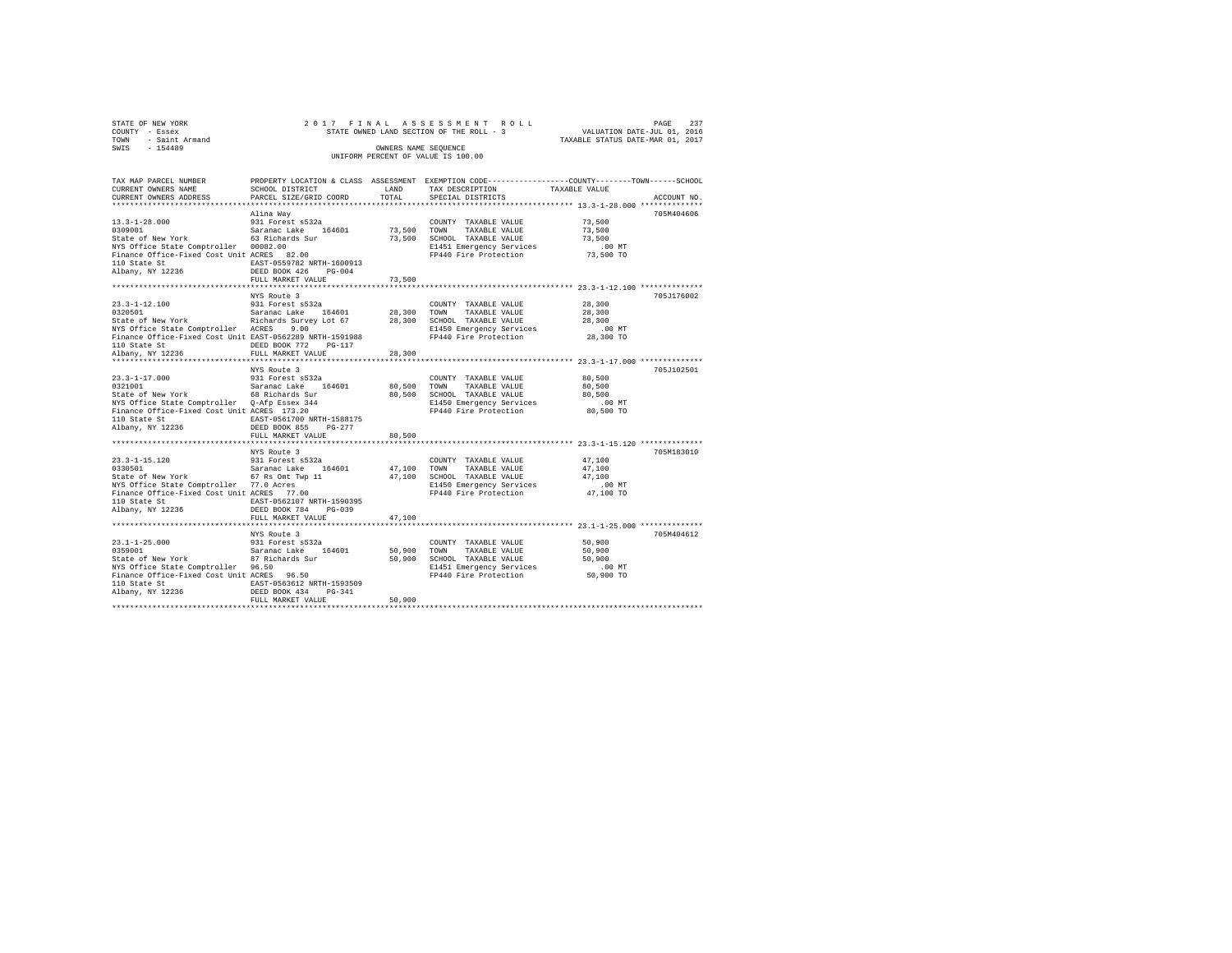| STATE OF NEW YORK      |  | 2017 FINAL ASSESSMENT ROLL               |                                  | PAGE | 237 |
|------------------------|--|------------------------------------------|----------------------------------|------|-----|
| COUNTY - Essex         |  | STATE OWNED LAND SECTION OF THE ROLL - 3 | VALUATION DATE-JUL 01, 2016      |      |     |
| - Saint Armand<br>TOWN |  |                                          | TAXABLE STATUS DATE-MAR 01, 2017 |      |     |
| SWTS<br>$-154489$      |  | OWNERS NAME SEOUENCE                     |                                  |      |     |
|                        |  | UNIFORM PERCENT OF VALUE IS 100.00       |                                  |      |     |

| TAX MAP PARCEL NUMBER<br>CURRENT OWNERS NAME                                                                                                                                                                                                                                                        | PROPERTY LOCATION & CLASS ASSESSMENT EXEMPTION CODE----------------COUNTY-------TOWN------SCHOOL<br>SCHOOL DISTRICT | LAND                 | TAX DESCRIPTION                                                                                                                       | TAXABLE VALUE                                           |             |
|-----------------------------------------------------------------------------------------------------------------------------------------------------------------------------------------------------------------------------------------------------------------------------------------------------|---------------------------------------------------------------------------------------------------------------------|----------------------|---------------------------------------------------------------------------------------------------------------------------------------|---------------------------------------------------------|-------------|
| CURRENT OWNERS ADDRESS                                                                                                                                                                                                                                                                              | PARCEL SIZE/GRID COORD                                                                                              |                      | TOTAL SPECIAL DISTRICTS                                                                                                               |                                                         | ACCOUNT NO. |
|                                                                                                                                                                                                                                                                                                     | Alina Wav                                                                                                           |                      |                                                                                                                                       | 73,500<br>73,500                                        | 705M404606  |
| NYS Office State Comptroller 00082.00<br>Finance Office-Fixed Cost Unit ACRES 82.00                                                                                                                                                                                                                 |                                                                                                                     |                      | E1451 Emergency Services<br>FP440 Fire Protection                                                                                     | 73,500<br>$.00$ MT<br>73,500 TO                         |             |
| 110 State St<br>Albany, NY 12236                                                                                                                                                                                                                                                                    | EAST-0559782 NRTH-1600913<br>DEED BOOK 426 PG-004<br>FULL MARKET VALUE<br>*************************                 | 73,500<br>********** |                                                                                                                                       | ************************* 23.3-1-12.100 *************** |             |
|                                                                                                                                                                                                                                                                                                     | NYS Route 3                                                                                                         |                      |                                                                                                                                       |                                                         | 705J176002  |
| 23.3-1-12.100<br>931 Forest a532a<br>5328 Saranac Lake 164601 28,300 TOWN TAXABLE VALUE<br>51450 State of New York Richards Survey Lot 67 28,300 SCHOOL TAXABLE VALUE<br>RI450 Emergency Services<br>NYS Office State Comptroller ACRES<br>Finance Office-Fixed Cost Unit EAST-0562289 NRTH-1591988 |                                                                                                                     |                      | E1450 Emergency Services<br>FP440 Fire Protection                                                                                     | 28,300<br>28,300<br>28,300<br>$.00$ MT<br>28,300 TO     |             |
| 110 State St<br>Albany, NY 12236                                                                                                                                                                                                                                                                    | DEED BOOK 772 PG-117<br>FULL MARKET VALUE                                                                           | 28,300               |                                                                                                                                       |                                                         |             |
| 23.3-1-17.000                                                                                                                                                                                                                                                                                       | NYS Route 3<br>931 Forest s532a                                                                                     |                      | COUNTY TAXABLE VALUE                                                                                                                  | 80,500                                                  | 705J102501  |
| 0321001  Saranac Lake 164601<br>State of New York    68 Richards Sur<br>NYS Office State Comptroller Q-Afp Essex 344<br>Finance Office-Fixed Cost Unit ACRES 173.20<br>110 State St 6 EAST-0561700 NRTH-1588175<br>Albany, NY 12236                                                                 | DEED BOOK 855 PG-277<br>FULL MARKET VALUE                                                                           | 80,500               | 80,500 TOWN TAXABLE VALUE<br>80.500 SCHOOL TAXABLE VALUE<br>E1450 Emergency Services<br>FP440 Fire Protection 80,500 TO               | 80,500<br>80,500<br>$.00$ MT                            |             |
|                                                                                                                                                                                                                                                                                                     |                                                                                                                     |                      |                                                                                                                                       |                                                         |             |
| NYS Office State Comptroller 77.0 Acres<br>Finance Office-Fixed Cost Unit ACRES 77.00<br>110 State St  EAST-0562107 NRTH-1590395<br>Albany, NY 12236                                                                                                                                                | DEED BOOK 784 PG-039                                                                                                |                      | COUNTY TAXABLE VALUE<br>47,100 TOWN TAXABLE VALUE<br>47,100 SCHOOL TAXABLE VALUE<br>E1450 Emergency Services<br>FP440 Fire Protection | 47,100<br>47,100<br>47,100<br>$.00$ MT<br>47,100 TO     | 705M183010  |
|                                                                                                                                                                                                                                                                                                     | FULL MARKET VALUE                                                                                                   | 47,100               |                                                                                                                                       |                                                         |             |
|                                                                                                                                                                                                                                                                                                     | NYS Route 3                                                                                                         | 50,900 TOWN          | COUNTY TAXABLE VALUE<br>TAXABLE VALUE<br>50,900 SCHOOL TAXABLE VALUE                                                                  | 50,900<br>50,900<br>50,900                              | 705M404612  |
| 110 State St<br>Albany, NY 12236                                                                                                                                                                                                                                                                    | EAST-0563612 NRTH-1593509<br>DEED BOOK 434 PG-341<br>FULL MARKET VALUE                                              | 50,900               | E1451 Emergency Services<br>FP440 Fire Protection                                                                                     | .00MT<br>$50,900$ TO                                    |             |
|                                                                                                                                                                                                                                                                                                     |                                                                                                                     |                      |                                                                                                                                       |                                                         |             |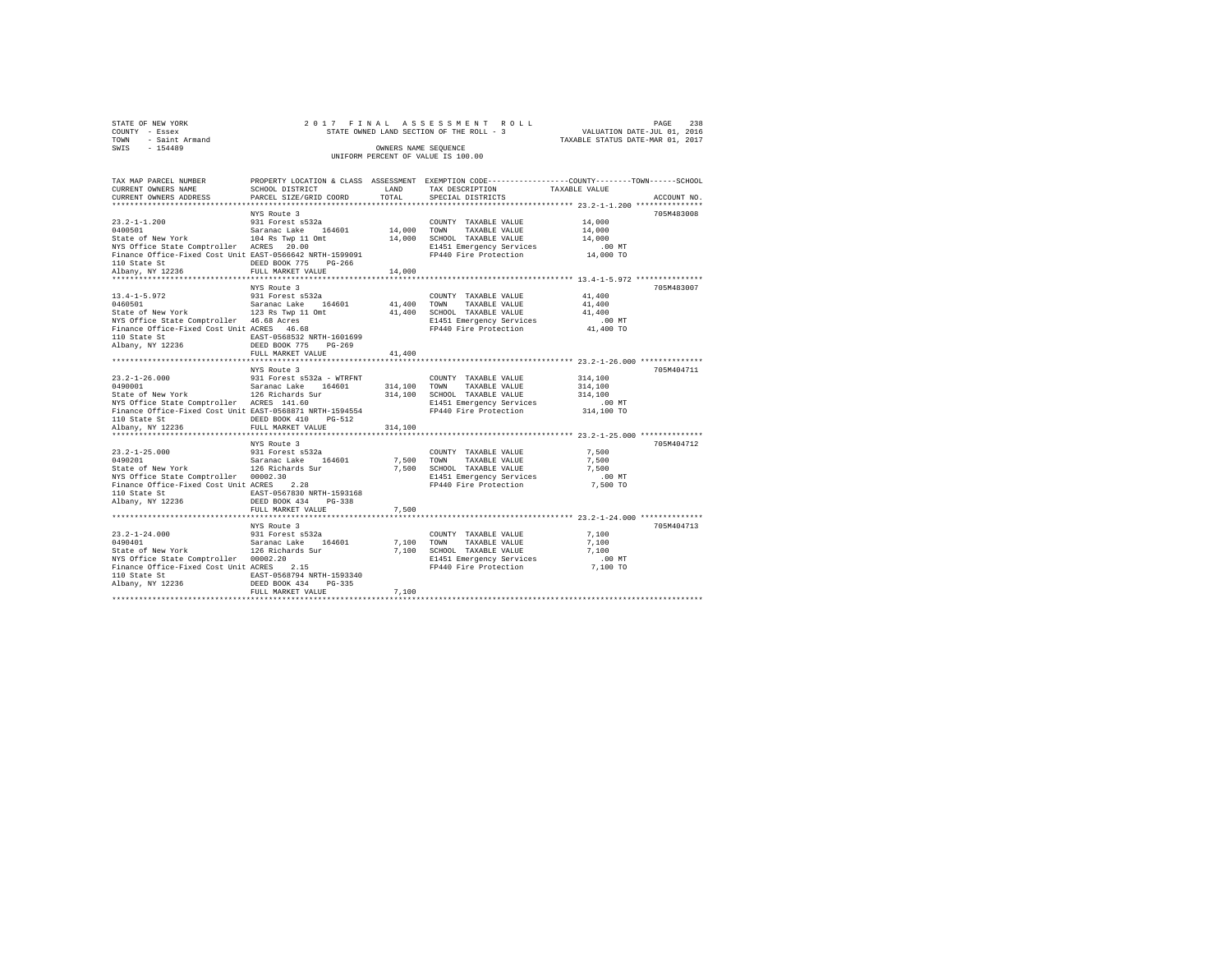| STATE OF NEW YORK      | 2017 FINAL ASSESSMENT ROLL               | 238<br>PAGE                      |
|------------------------|------------------------------------------|----------------------------------|
| COUNTY - Essex         | STATE OWNED LAND SECTION OF THE ROLL - 3 | VALUATION DATE-JUL 01, 2016      |
| - Saint Armand<br>TOWN |                                          | TAXABLE STATUS DATE-MAR 01, 2017 |
| SWIS<br>$-154489$      | OWNERS NAME SEOUENCE                     |                                  |
|                        | UNIFORM PERCENT OF VALUE IS 100.00       |                                  |

| TAX MAP PARCEL NUMBER<br>CURRENT OWNERS NAME                                                                                                                    | PROPERTY LOCATION & CLASS ASSESSMENT EXEMPTION CODE---------------COUNTY-------TOWN------SCHOOL<br>SCHOOL DISTRICT | LAND    | TAX DESCRIPTION                                        | TAXABLE VALUE    |             |
|-----------------------------------------------------------------------------------------------------------------------------------------------------------------|--------------------------------------------------------------------------------------------------------------------|---------|--------------------------------------------------------|------------------|-------------|
| CURRENT OWNERS ADDRESS                                                                                                                                          | PARCEL SIZE/GRID COORD                                                                                             |         | TOTAL SPECIAL DISTRICTS                                |                  | ACCOUNT NO. |
|                                                                                                                                                                 |                                                                                                                    |         |                                                        |                  |             |
|                                                                                                                                                                 | NYS Route 3                                                                                                        |         |                                                        |                  | 705M483008  |
|                                                                                                                                                                 |                                                                                                                    |         | COUNTY TAXABLE VALUE<br>14,000 TOWN TAXABLE VALUE      | 14,000<br>14,000 |             |
|                                                                                                                                                                 |                                                                                                                    |         | 14,000 SCHOOL TAXABLE VALUE                            | 14,000           |             |
| 23.2-1-1.200 931 Forest s532a<br>0400501 532a 542a 542a 542a 164601<br>5tate of New York 104 Rs Twp 11 Omt<br>NYS Office State Comptroller ACRES 20.00          |                                                                                                                    |         | E1451 Emergency Services                               | $.00$ MT         |             |
| Finance Office-Fixed Cost Unit EAST-0566642 NRTH-1599091                                                                                                        |                                                                                                                    |         | FP440 Fire Protection                                  | 14,000 TO        |             |
|                                                                                                                                                                 | DEED BOOK 775 PG-266                                                                                               |         |                                                        |                  |             |
| 110 State St<br>Albany, NY 12236                                                                                                                                | FULL MARKET VALUE                                                                                                  | 14,000  |                                                        |                  |             |
|                                                                                                                                                                 |                                                                                                                    |         |                                                        |                  |             |
|                                                                                                                                                                 | NYS Route 3                                                                                                        |         |                                                        |                  | 705M483007  |
| 13.4-1-5.972<br>0460501                                                                                                                                         | 931 Forest s532a                                                                                                   |         | COUNTY TAXABLE VALUE                                   | 41,400           |             |
|                                                                                                                                                                 |                                                                                                                    |         |                                                        | 41,400           |             |
|                                                                                                                                                                 |                                                                                                                    |         |                                                        | 41,400           |             |
|                                                                                                                                                                 |                                                                                                                    |         | E1451 Emergency Services                               | $.00$ MT         |             |
|                                                                                                                                                                 |                                                                                                                    |         | FP440 Fire Protection                                  | 41,400 TO        |             |
|                                                                                                                                                                 |                                                                                                                    |         |                                                        |                  |             |
|                                                                                                                                                                 | FULL MARKET VALUE                                                                                                  | 41,400  |                                                        |                  |             |
|                                                                                                                                                                 |                                                                                                                    |         |                                                        |                  |             |
|                                                                                                                                                                 | NYS Route 3                                                                                                        |         |                                                        |                  | 705M404711  |
|                                                                                                                                                                 |                                                                                                                    |         | COUNTY TAXABLE VALUE                                   | 314,100          |             |
| 23.2-1-26.000 931 Forest s532a - WTRFNT<br>0490001 931 Forest s532a - WTRFNT<br>5tate of New York 126 Richards Sur<br>NYS Office State Comptroller 12KES 141.60 |                                                                                                                    |         | 314,100 TOWN TAXABLE VALUE                             | 314,100          |             |
|                                                                                                                                                                 |                                                                                                                    |         | 314,100 SCHOOL TAXABLE VALUE                           | 314,100          |             |
|                                                                                                                                                                 |                                                                                                                    |         | E1451 Emergency Services                               | $.00$ MT         |             |
| Finance Office-Fixed Cost Unit EAST-0568871 NRTH-1594554                                                                                                        |                                                                                                                    |         | FP440 Fire Protection 314,100 TO                       |                  |             |
| 110 State St                                                                                                                                                    | DEED BOOK 410 PG-512                                                                                               |         |                                                        |                  |             |
| Albany, NY 12236                                                                                                                                                | FULL MARKET VALUE                                                                                                  | 314,100 |                                                        |                  |             |
|                                                                                                                                                                 |                                                                                                                    |         |                                                        |                  |             |
|                                                                                                                                                                 | NYS Route 3                                                                                                        |         |                                                        |                  | 705M404712  |
|                                                                                                                                                                 |                                                                                                                    |         | COUNTY TAXABLE VALUE                                   | 7.500            |             |
|                                                                                                                                                                 |                                                                                                                    |         | 7,500 TOWN TAXABLE VALUE                               | 7.500<br>7.500   |             |
|                                                                                                                                                                 |                                                                                                                    |         | 7,500 SCHOOL TAXABLE VALUE<br>E1451 Emergency Services | $.00$ MT         |             |
| NYS Office State Comptroller 00002.30<br>Finance Office-Fixed Cost Unit ACRES 2.28                                                                              |                                                                                                                    |         | FP440 Fire Protection                                  | 7,500 TO         |             |
| 110 State St                                                                                                                                                    | EAST-0567830 NRTH-1593168                                                                                          |         |                                                        |                  |             |
| Albany, NY 12236                                                                                                                                                | DEED BOOK 434 PG-338                                                                                               |         |                                                        |                  |             |
|                                                                                                                                                                 | FULL MARKET VALUE                                                                                                  | 7.500   |                                                        |                  |             |
|                                                                                                                                                                 |                                                                                                                    |         |                                                        |                  |             |
|                                                                                                                                                                 |                                                                                                                    |         |                                                        |                  | 705M404713  |
|                                                                                                                                                                 |                                                                                                                    |         | COUNTY TAXABLE VALUE                                   | 7,100            |             |
|                                                                                                                                                                 |                                                                                                                    |         | 7,100 TOWN TAXABLE VALUE                               | 7,100            |             |
|                                                                                                                                                                 |                                                                                                                    |         | 7,100 SCHOOL TAXABLE VALUE                             | 7.100            |             |
|                                                                                                                                                                 |                                                                                                                    |         | E1451 Emergency Services<br>FP440 Fire Protection      | $.00$ MT         |             |
| wis UIIIce State Comptroller 00002.20<br>Finance Office-Fixed Cost Unit ACRES 2.15<br>110 State Co                                                              |                                                                                                                    |         |                                                        | 7,100 TO         |             |
| 110 State St                                                                                                                                                    | EAST-0568794 NRTH-1593340                                                                                          |         |                                                        |                  |             |
| Albany, NY 12236                                                                                                                                                | DEED BOOK 434 PG-335                                                                                               |         |                                                        |                  |             |
|                                                                                                                                                                 | FULL MARKET VALUE                                                                                                  | 7,100   |                                                        |                  |             |
|                                                                                                                                                                 |                                                                                                                    |         |                                                        |                  |             |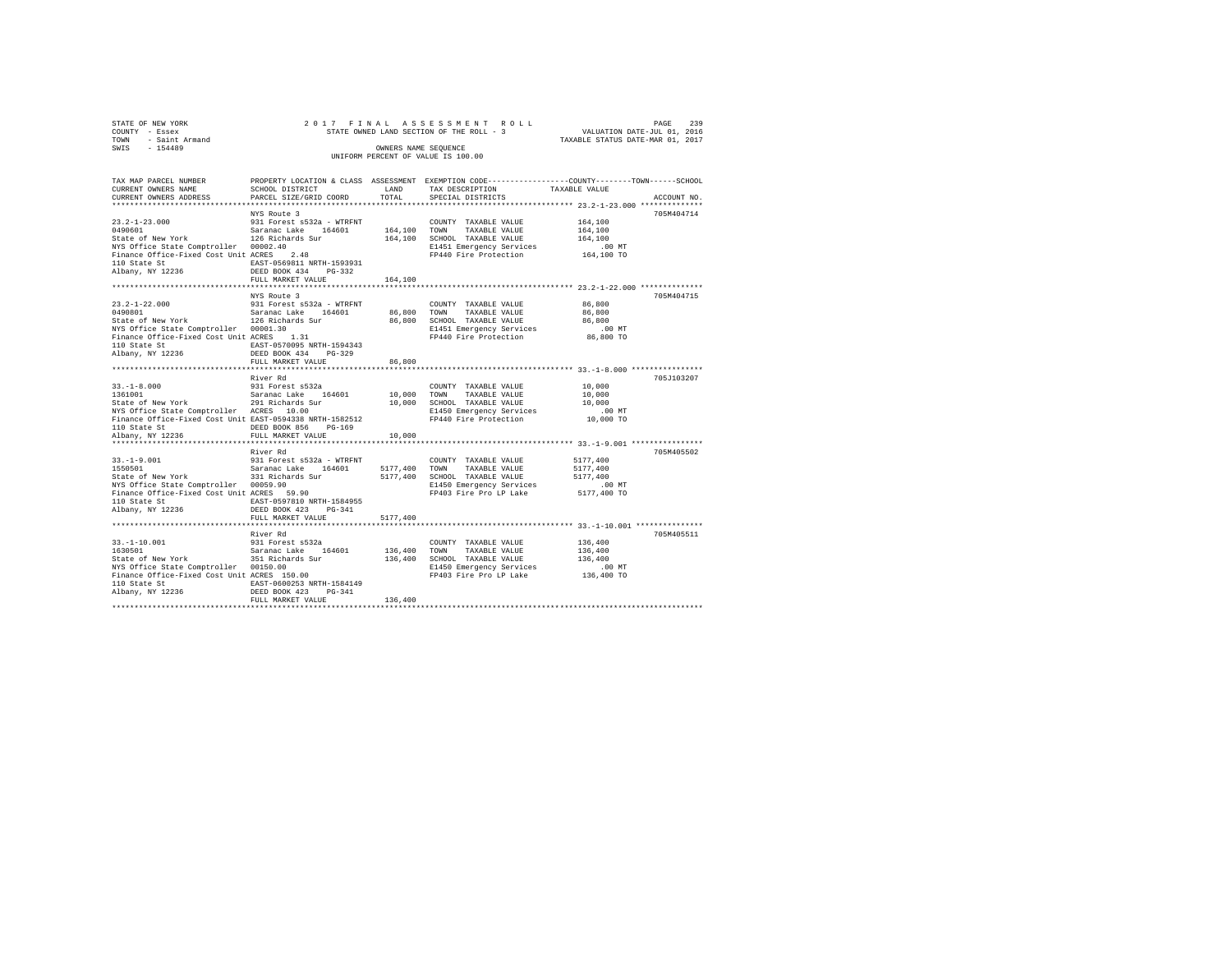| STATE OF NEW YORK   | 2017 FINAL ASSESSMENT ROLL               | 239<br>PAGE                      |
|---------------------|------------------------------------------|----------------------------------|
| COUNTY - Essex      | STATE OWNED LAND SECTION OF THE ROLL - 3 | VALUATION DATE-JUL 01, 2016      |
| TOWN - Saint Armand |                                          | TAXABLE STATUS DATE-MAR 01, 2017 |
| SWIS<br>$-154489$   | OWNERS NAME SEOUENCE                     |                                  |
|                     | UNIFORM PERCENT OF VALUE IS 100.00       |                                  |

| TAX MAP PARCEL NUMBER<br>CURRENT OWNERS NAME                                                                                               | SCHOOL DISTRICT                                        | LAND                 | PROPERTY LOCATION & CLASS ASSESSMENT EXEMPTION CODE----------------COUNTY-------TOWN------SCHOOL<br>TAX DESCRIPTION | TAXABLE VALUE        |             |
|--------------------------------------------------------------------------------------------------------------------------------------------|--------------------------------------------------------|----------------------|---------------------------------------------------------------------------------------------------------------------|----------------------|-------------|
| CURRENT OWNERS ADDRESS                                                                                                                     | PARCEL SIZE/GRID COORD                                 | TOTAL                | SPECIAL DISTRICTS                                                                                                   |                      | ACCOUNT NO. |
|                                                                                                                                            | NYS Route 3                                            |                      |                                                                                                                     |                      | 705M404714  |
| 13.2-1-23.000<br>1490601 0991 931 Forest s532a - WTRFNT 164,100<br>164,100 State of New York 126 State Sur 164,100 SCHO                    |                                                        |                      | COUNTY TAXABLE VALUE                                                                                                | 164,100              |             |
|                                                                                                                                            |                                                        |                      | TAXABLE VALUE                                                                                                       | 164,100              |             |
|                                                                                                                                            |                                                        |                      | 164,100 SCHOOL TAXABLE VALUE                                                                                        | 164,100              |             |
|                                                                                                                                            |                                                        |                      |                                                                                                                     | $.00$ MT             |             |
| NIS UIILCE State Comptroller 00002.40<br>Finance Office-Fixed Cost Unit ACRES 2.48                                                         |                                                        |                      | E1451 Emergency Services<br>FP440 Fire Protection                                                                   | 164,100 TO           |             |
|                                                                                                                                            | EAST-0569811 NRTH-1593931                              |                      |                                                                                                                     |                      |             |
| 110 State St<br>Albany, NY 12236                                                                                                           | DEED BOOK 434<br>PG-332                                |                      |                                                                                                                     |                      |             |
|                                                                                                                                            | FULL MARKET VALUE                                      | 164,100              |                                                                                                                     |                      |             |
|                                                                                                                                            |                                                        |                      |                                                                                                                     |                      |             |
|                                                                                                                                            | NYS Route 3                                            |                      |                                                                                                                     |                      | 705M404715  |
| $23.2 - 1 - 22.000$<br>13.2-1-22.000<br>1490801 099001 1082002010104 164601 64,800 100001<br>1490801 126 Richards Sur 164601 86,800 169000 |                                                        |                      | COUNTY TAXABLE VALUE                                                                                                | 86,800               |             |
|                                                                                                                                            |                                                        |                      | TAXABLE VALUE                                                                                                       | 86,800               |             |
|                                                                                                                                            |                                                        |                      | 86,800 SCHOOL TAXABLE VALUE                                                                                         | 86,800               |             |
| NYS Office State Comptroller 00001.30                                                                                                      | $\begin{array}{c} 30 \\ 1.31 \end{array}$              |                      | E1451 Emergency Services .00 MT<br>FP440 Fire Protection  86,800 TO                                                 |                      |             |
| Finance Office-Fixed Cost Unit ACRES                                                                                                       |                                                        |                      |                                                                                                                     |                      |             |
|                                                                                                                                            | EAST-0570095 NRTH-1594343                              |                      |                                                                                                                     |                      |             |
|                                                                                                                                            | $PG-329$                                               |                      |                                                                                                                     |                      |             |
|                                                                                                                                            | FULL MARKET VALUE                                      | 86,800<br>********** |                                                                                                                     |                      |             |
|                                                                                                                                            | River Rd                                               |                      |                                                                                                                     |                      | 705J103207  |
|                                                                                                                                            |                                                        |                      | COUNTY TAXABLE VALUE                                                                                                | 10,000               |             |
| $33. -1 - 8.000$                                                                                                                           |                                                        | 10,000 TOWN          | TAXABLE VALUE                                                                                                       | 10,000               |             |
| 33.-1-8.000 931 Forest $s532a$<br>1361001<br>State of New York 291 Richards Sur<br>NYS Office State Comptroller 2CRES 10.00                |                                                        |                      | 10,000 SCHOOL TAXABLE VALUE                                                                                         | 10,000               |             |
|                                                                                                                                            |                                                        |                      | E1450 Emergency Services                                                                                            | $.00$ MT             |             |
| Finance Office-Fixed Cost Unit EAST-0594338 NRTH-1582512                                                                                   |                                                        |                      | FP440 Fire Protection                                                                                               | 10,000 TO            |             |
|                                                                                                                                            | DEED BOOK 856<br>PG-169                                |                      |                                                                                                                     |                      |             |
| 110 State St<br>Albany, NY 12236                                                                                                           | FULL MARKET VALUE                                      | 10,000               |                                                                                                                     |                      |             |
|                                                                                                                                            |                                                        |                      |                                                                                                                     |                      |             |
|                                                                                                                                            | River Rd                                               |                      |                                                                                                                     |                      | 705M405502  |
| $33. -1 - 9.001$                                                                                                                           | 931 Forest s532a - WTRFNT                              |                      | COUNTY TAXABLE VALUE                                                                                                | 5177,400             |             |
|                                                                                                                                            |                                                        |                      | 5177,400 TOWN TAXABLE VALUE                                                                                         | 5177,400             |             |
| 33.-1-9.001 931 Forest s532a - WTRFNT<br>1550501 - Saranac Lake 164601<br>State of New York 331 Richards Sur                               |                                                        |                      | 5177,400 SCHOOL TAXABLE VALUE                                                                                       | 5177.400             |             |
|                                                                                                                                            |                                                        |                      | E1450 Emergency Services                                                                                            | $.00$ MT             |             |
| u.a.e comptroller 00059.90<br>Finance Office-Fixed Cost Unit ACRES 59.90<br>110 State St                                                   |                                                        |                      | FP403 Fire Pro LP Lake                                                                                              | 5177,400 TO          |             |
|                                                                                                                                            |                                                        |                      |                                                                                                                     |                      |             |
| Albany, NY 12236                                                                                                                           | DEED BOOK 423 PG-341                                   |                      |                                                                                                                     |                      |             |
|                                                                                                                                            | FULL MARKET VALUE                                      | 5177,400             |                                                                                                                     |                      |             |
|                                                                                                                                            |                                                        |                      |                                                                                                                     |                      |             |
|                                                                                                                                            | River Rd                                               |                      |                                                                                                                     |                      | 705M405511  |
| $33. -1 - 10.001$                                                                                                                          | 931 Forest s532a                                       |                      | COUNTY TAXABLE VALUE                                                                                                | 136,400              |             |
|                                                                                                                                            | Saranac Lake 164601<br>351 Richards Sur                | 136,400 TOWN         | TAXABLE VALUE                                                                                                       | 136,400              |             |
| State of New York                                                                                                                          |                                                        |                      | 136,400 SCHOOL TAXABLE VALUE                                                                                        | 136,400              |             |
|                                                                                                                                            |                                                        |                      | E1450 Emergency Services                                                                                            | 00 MT.<br>136,400 TO |             |
|                                                                                                                                            |                                                        |                      | FP403 Fire Pro LP Lake                                                                                              |                      |             |
| 110 State St<br>Albany, NY 12236                                                                                                           | EAST-0600253 NRTH-1584149<br>DEED BOOK 423<br>$PG-341$ |                      |                                                                                                                     |                      |             |
|                                                                                                                                            | FULL MARKET VALUE                                      | 136,400              |                                                                                                                     |                      |             |
|                                                                                                                                            |                                                        |                      |                                                                                                                     |                      |             |
|                                                                                                                                            |                                                        |                      |                                                                                                                     |                      |             |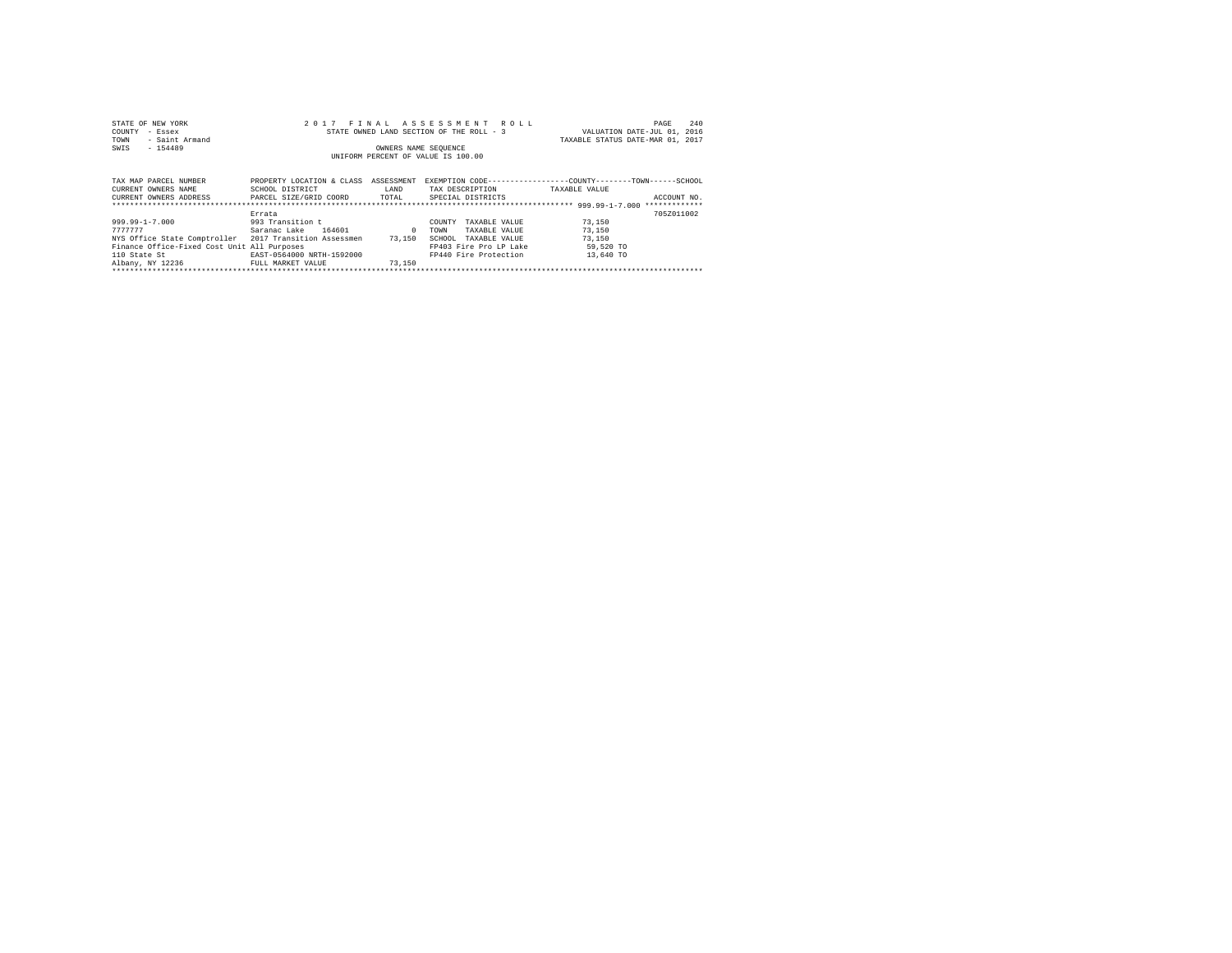| STATE OF NEW YORK<br>COUNTY<br>- Essex<br>- Saint Armand<br>TOWN<br>$-154489$<br>SWIS |                           | OWNERS NAME SEOUENCE | 2017 FINAL ASSESSMENT ROLL<br>STATE OWNED LAND SECTION OF THE ROLL - 3 | 240<br>PAGE<br>VALUATION DATE-JUL 01, 2016<br>TAXABLE STATUS DATE-MAR 01, 2017 |
|---------------------------------------------------------------------------------------|---------------------------|----------------------|------------------------------------------------------------------------|--------------------------------------------------------------------------------|
|                                                                                       |                           |                      | UNIFORM PERCENT OF VALUE IS 100.00                                     |                                                                                |
|                                                                                       |                           |                      |                                                                        |                                                                                |
| TAX MAP PARCEL NUMBER                                                                 | PROPERTY LOCATION & CLASS | ASSESSMENT           |                                                                        | EXEMPTION CODE----------------COUNTY-------TOWN------SCHOOL                    |
| CURRENT OWNERS NAME                                                                   | SCHOOL DISTRICT           | <b>T.AND</b>         | TAX DESCRIPTION                                                        | TAXARLE VALUE                                                                  |
| CURRENT OWNERS ADDRESS                                                                | PARCEL SIZE/GRID COORD    | TOTAL                | SPECIAL DISTRICTS                                                      | ACCOUNT NO.                                                                    |
|                                                                                       |                           |                      |                                                                        | *************                                                                  |
|                                                                                       | Errata                    |                      |                                                                        | 7057011002                                                                     |

|                                                        | Errata                    |        |      |                        |           | 705Z011002 |
|--------------------------------------------------------|---------------------------|--------|------|------------------------|-----------|------------|
| 999.99-1-7.000                                         | 993 Transition t          |        |      | COUNTY TAXABLE VALUE   | 73,150    |            |
| 7777777                                                | 164601<br>Saranac Lake    |        | TOWN | TAXABLE VALUE          | 73,150    |            |
| NYS Office State Comptroller 2017 Transition Assessmen |                           | 73,150 |      | SCHOOL TAXABLE VALUE   | 73,150    |            |
| Finance Office-Fixed Cost Unit All Purposes            |                           |        |      | FP403 Fire Pro LP Lake | 59,520 TO |            |
| 110 State St                                           | EAST-0564000 NRTH-1592000 |        |      | FP440 Fire Protection  | 13,640 TO |            |
| 31hany NV 12226                                        | UIIII MADVUT VAIHU        | 72 150 |      |                        |           |            |

Albany, NY 12236 FULL MARKET VALUE 73,150 \*\*\*\*\*\*\*\*\*\*\*\*\*\*\*\*\*\*\*\*\*\*\*\*\*\*\*\*\*\*\*\*\*\*\*\*\*\*\*\*\*\*\*\*\*\*\*\*\*\*\*\*\*\*\*\*\*\*\*\*\*\*\*\*\*\*\*\*\*\*\*\*\*\*\*\*\*\*\*\*\*\*\*\*\*\*\*\*\*\*\*\*\*\*\*\*\*\*\*\*\*\*\*\*\*\*\*\*\*\*\*\*\*\*\*\*\*\*\*\*\*\*\*\*\*\*\*\*\*\*\*\*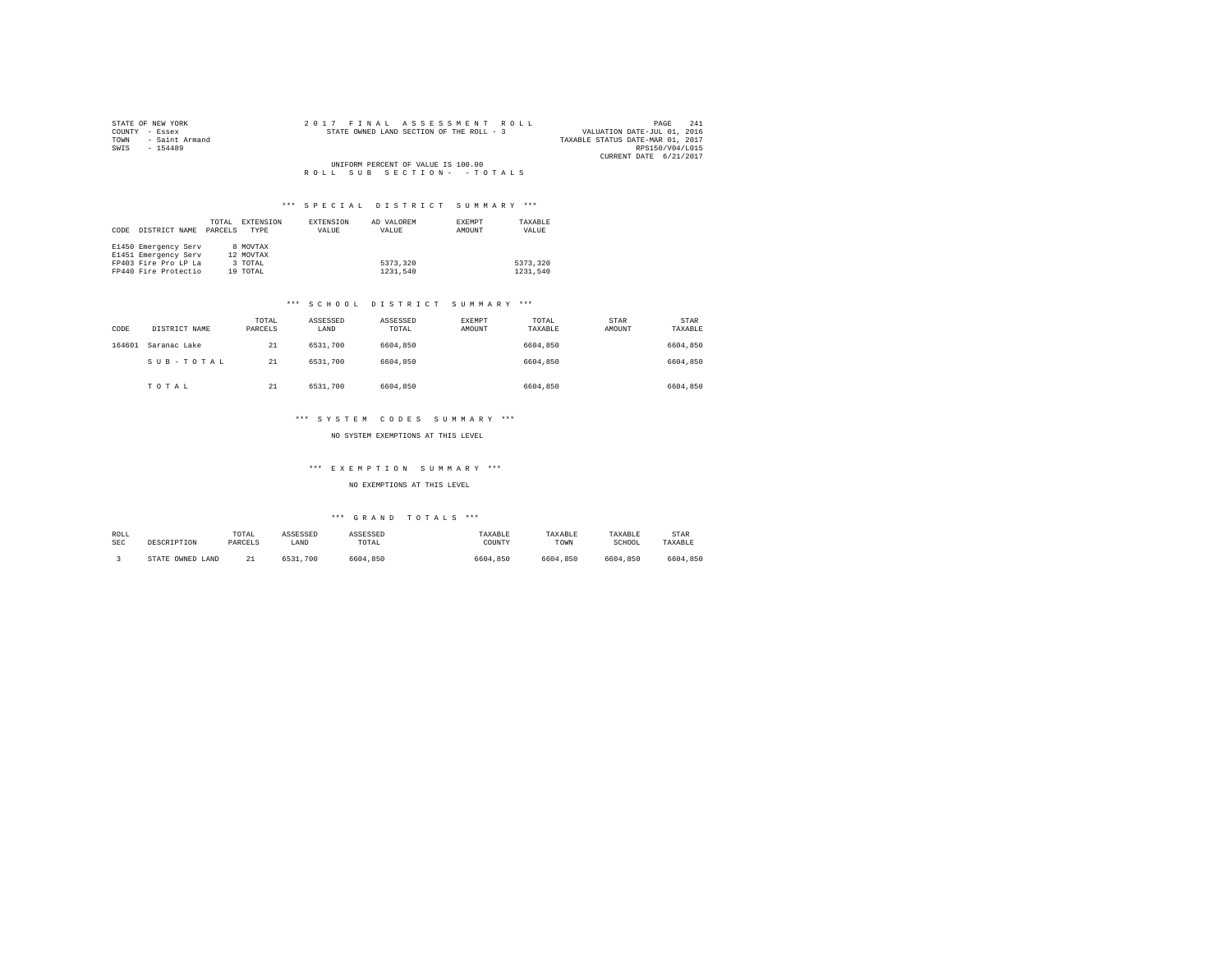| STATE OF NEW YORK   |  |  |  | 2017 FINAL ASSESSMENT ROLL               |  |  |  |                                  |                        | PAGE | 241 |
|---------------------|--|--|--|------------------------------------------|--|--|--|----------------------------------|------------------------|------|-----|
| COUNTY - Essex      |  |  |  | STATE OWNED LAND SECTION OF THE ROLL - 3 |  |  |  | VALUATION DATE-JUL 01, 2016      |                        |      |     |
| TOWN - Saint Armand |  |  |  |                                          |  |  |  | TAXABLE STATUS DATE-MAR 01, 2017 |                        |      |     |
| SWTS<br>$-154489$   |  |  |  |                                          |  |  |  |                                  | RPS150/V04/L015        |      |     |
|                     |  |  |  |                                          |  |  |  |                                  | CURRENT DATE 6/21/2017 |      |     |
|                     |  |  |  | UNIFORM PERCENT OF VALUE IS 100.00       |  |  |  |                                  |                        |      |     |
|                     |  |  |  | ROLL SUB SECTION- - TOTALS               |  |  |  |                                  |                        |      |     |

|      |                      | TOTAL   | EXTENSION | EXTENSION | AD VALOREM | <b>EXEMPT</b> | TAXABLE  |
|------|----------------------|---------|-----------|-----------|------------|---------------|----------|
| CODE | DISTRICT NAME        | PARCELS | TYPE      | VALUE     | VALUE      | AMOUNT        | VALUE    |
|      |                      |         |           |           |            |               |          |
|      | E1450 Emergency Serv |         | 8 MOVTAX  |           |            |               |          |
|      | E1451 Emergency Serv |         | 12 MOVTAX |           |            |               |          |
|      | FP403 Fire Pro LP La |         | 3 TOTAL   |           | 5373.320   |               | 5373.320 |
|      | FP440 Fire Protectio |         | 19 TOTAL  |           | 1231.540   |               | 1231,540 |

## \*\*\* S C H O O L D I S T R I C T S U M M A R Y \*\*\*

| CODE   | DISTRICT NAME | TOTAL<br>PARCELS | ASSESSED<br>LAND | ASSESSED<br>TOTAL | EXEMPT<br>AMOUNT | TOTAL<br>TAXABLE | STAR<br>AMOUNT | <b>STAR</b><br>TAXABLE |
|--------|---------------|------------------|------------------|-------------------|------------------|------------------|----------------|------------------------|
| 164601 | Saranac Lake  | 21               | 6531,700         | 6604,850          |                  | 6604,850         |                | 6604,850               |
|        | SUB-TOTAL     | 21               | 6531,700         | 6604,850          |                  | 6604,850         |                | 6604,850               |
|        | TOTAL         | 21               | 6531,700         | 6604,850          |                  | 6604,850         |                | 6604,850               |

## \*\*\* S Y S T E M C O D E S S U M M A R Y \*\*\*

## NO SYSTEM EXEMPTIONS AT THIS LEVEL

## \*\*\* E X E M P T I O N S U M M A R Y \*\*\*

## NO EXEMPTIONS AT THIS LEVEL

| ROLL<br><b>SEC</b> | DESCRIPTION      | TOTAL<br>PARCELS | ASSESSED<br>LAND | ASSESSED<br>TOTAL | TAXABLE<br>COUNTY | TAXABLE<br>TOWN | TAXABLE<br>SCHOOL | <b>STAR</b><br>TAXABLE |
|--------------------|------------------|------------------|------------------|-------------------|-------------------|-----------------|-------------------|------------------------|
|                    | STATE OWNED LAND | 22<br>--         | 6531<br>700      | 6604.850          | 6604.850          | 6604.850        | 6604,850          | 6604,850               |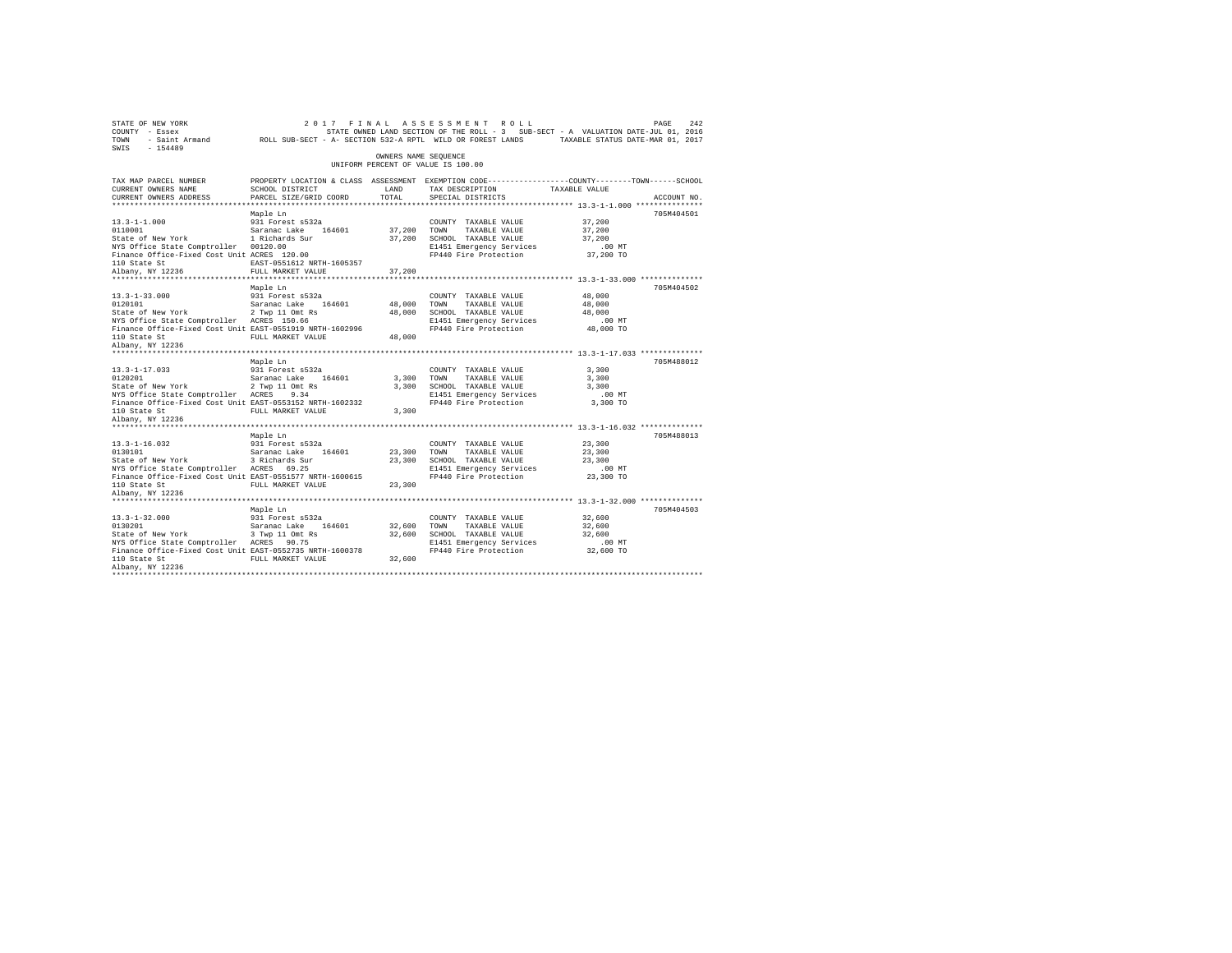| $\begin{array}{ccccccccc} \texttt{STATE OF NEW YORK} & & & & & 2\ 0 & 1 & 7 & & \texttt{F} \text{ I N A L} & \texttt{A S S S S S M E N T} & \texttt{R O L L} & & & & & & \texttt{PAGE} & 242 \\ \texttt{COUNTY} & - \texttt{Eseex} & & & & & & & \texttt{STATE ONNED LAND SECTION OF THE ROLL} & - 3 & & & & & \texttt{SUE-SET - A VALUATION DATE-JUL 01, 2016} \\ \texttt{TONN} & - \texttt{Saint Armand} & & & & & & \texttt{ROLL SUB-SECT - A - SECTION 532-A R$ |                                           | OWNERS NAME SEQUENCE |                                                                                                                                                        |                            |             |
|---------------------------------------------------------------------------------------------------------------------------------------------------------------------------------------------------------------------------------------------------------------------------------------------------------------------------------------------------------------------------------------------------------------------------------------------------------------------|-------------------------------------------|----------------------|--------------------------------------------------------------------------------------------------------------------------------------------------------|----------------------------|-------------|
|                                                                                                                                                                                                                                                                                                                                                                                                                                                                     |                                           |                      | UNIFORM PERCENT OF VALUE IS 100.00                                                                                                                     |                            |             |
| TAX MAP PARCEL NUMBER<br>CURRENT OWNERS NAME<br>CURRENT OWNERS ADDRESS                                                                                                                                                                                                                                                                                                                                                                                              | SCHOOL DISTRICT<br>PARCEL SIZE/GRID COORD | LAND<br>TOTAL        | PROPERTY LOCATION & CLASS ASSESSMENT EXEMPTION CODE----------------COUNTY-------TOWN------SCHOOL<br>TAX DESCRIPTION TAXABLE VALUE<br>SPECIAL DISTRICTS |                            | ACCOUNT NO. |
|                                                                                                                                                                                                                                                                                                                                                                                                                                                                     | Maple Ln                                  |                      |                                                                                                                                                        |                            | 705M404501  |
|                                                                                                                                                                                                                                                                                                                                                                                                                                                                     |                                           |                      | TAXABLE VALUE                                                                                                                                          | 37,200<br>37,200           |             |
|                                                                                                                                                                                                                                                                                                                                                                                                                                                                     |                                           |                      |                                                                                                                                                        |                            |             |
|                                                                                                                                                                                                                                                                                                                                                                                                                                                                     |                                           |                      |                                                                                                                                                        |                            |             |
|                                                                                                                                                                                                                                                                                                                                                                                                                                                                     | Maple Ln                                  |                      |                                                                                                                                                        |                            | 705M404502  |
|                                                                                                                                                                                                                                                                                                                                                                                                                                                                     |                                           |                      |                                                                                                                                                        |                            |             |
|                                                                                                                                                                                                                                                                                                                                                                                                                                                                     | Maple Ln                                  |                      |                                                                                                                                                        |                            | 705M488012  |
|                                                                                                                                                                                                                                                                                                                                                                                                                                                                     |                                           |                      |                                                                                                                                                        |                            |             |
|                                                                                                                                                                                                                                                                                                                                                                                                                                                                     |                                           |                      |                                                                                                                                                        |                            |             |
| 931 Forest space 13.1-16.032<br>0130101 Saranac Lake 164601<br>State of New York 3 Richards Sur<br>2010 Controller 2018 State Sur<br>Albany, NY 12236                                                                                                                                                                                                                                                                                                               | Maple Ln                                  |                      | COUNTY TAXABLE VALUE<br>TAXABLE VALUE                                                                                                                  | 23,300                     | 705M488013  |
|                                                                                                                                                                                                                                                                                                                                                                                                                                                                     |                                           |                      |                                                                                                                                                        |                            |             |
| NYS Office State Comptroller ACRES 90.75 E1451 Emergency Services COMMIC COMMIC COMMIC PROPERTY COMMIC PROPERTY COMMIC PROPERTY ON THE PROPERTY OF STATE 100 AT 100 AM 22,600 TO<br>PIAN STATE STATE PROPERTY AND PULL MARKET VAL<br>Albany, NY 12236                                                                                                                                                                                                               | Maple Ln                                  |                      | COUNTY TAXABLE VALUE<br>TAXABLE VALUE<br>32,600 SCHOOL TAXABLE VALUE                                                                                   | 32,600<br>32,600<br>32,600 | 705M404503  |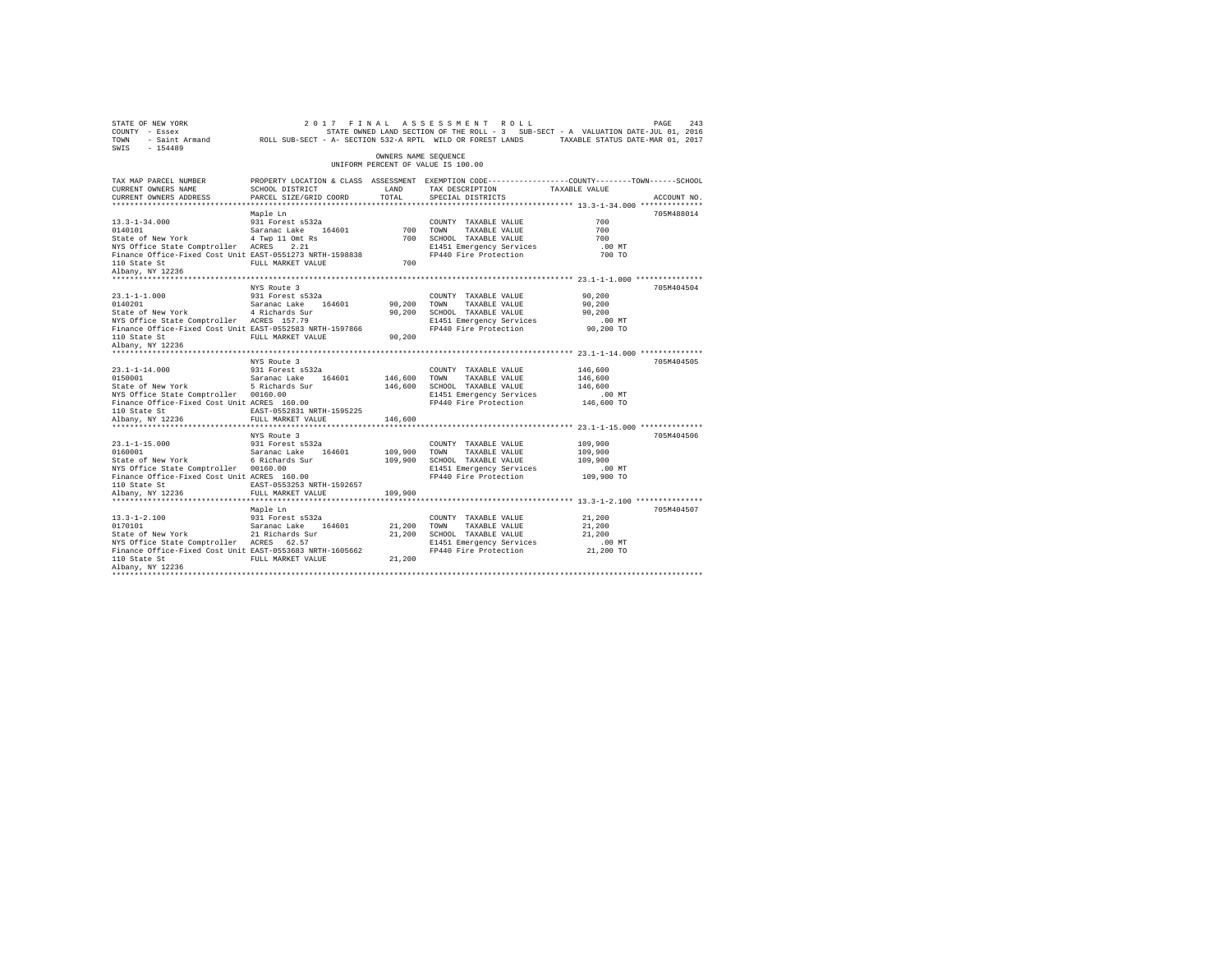| SWIS - 154489                                                                                                                                                                                                                                                                                                         |                                               | OWNERS NAME SEQUENCE |                                                                                                                                                      |                           |             |
|-----------------------------------------------------------------------------------------------------------------------------------------------------------------------------------------------------------------------------------------------------------------------------------------------------------------------|-----------------------------------------------|----------------------|------------------------------------------------------------------------------------------------------------------------------------------------------|---------------------------|-------------|
|                                                                                                                                                                                                                                                                                                                       |                                               |                      | UNIFORM PERCENT OF VALUE IS 100.00                                                                                                                   |                           |             |
| TAX MAP PARCEL NUMBER<br>CURRENT OWNERS NAME<br>CURRENT OWNERS ADDRESS                                                                                                                                                                                                                                                | SCHOOL DISTRICT<br>PARCEL SIZE/GRID COORD     | LAND<br>TOTAL        | PROPERTY LOCATION & CLASS ASSESSMENT EXEMPTION CODE---------------COUNTY-------TOWN-----SCHOOL<br>TAX DESCRIPTION TAXABLE VALUE<br>SPECIAL DISTRICTS |                           | ACCOUNT NO. |
|                                                                                                                                                                                                                                                                                                                       |                                               |                      |                                                                                                                                                      |                           | 705M488014  |
| $\begin{tabular}{lllllllllll} 13.3\text{--}1\text{--}34.000 & 931 Forest \text{ s}532 \text{a} \\ 0140101 & Saraanac Lake & 164601 \\ \text{State of New York} & 4 Type 11 Omt Rs \\ \text{NYS Office State Computer} & \text{ACRES} & 2.21 & \text{---} \\ \end{tabular}$                                            | Maple Ln                                      |                      | COUNTY TAXABLE VALUE                                                                                                                                 | 700<br>700                |             |
| Finance Office-Fixed Cost Unit EAST-0551273 NRTH-1598838<br>110 State St                                                                                                                                                                                                                                              | FULL MARKET VALUE                             | 700                  | TOWN TAXABLE VALUE<br>700 SCHOOL TAXABLE VALUE<br>81451 Emergency Services<br>FP440 Fire Protection                                                  | 700<br>$.00$ MT<br>700 TO |             |
| Albany, NY 12236                                                                                                                                                                                                                                                                                                      |                                               |                      |                                                                                                                                                      |                           |             |
|                                                                                                                                                                                                                                                                                                                       | NYS Route 3                                   |                      |                                                                                                                                                      |                           | 705M404504  |
|                                                                                                                                                                                                                                                                                                                       |                                               |                      | COUNTY TAXABLE VALUE                                                                                                                                 | 90,200                    |             |
|                                                                                                                                                                                                                                                                                                                       |                                               | 90,200 TOWN          | TAXABLE VALUE                                                                                                                                        | 90,200                    |             |
|                                                                                                                                                                                                                                                                                                                       |                                               |                      |                                                                                                                                                      |                           |             |
| Finance Office-Fixed Cost Unit EAST-0552583 NRTH-1597866                                                                                                                                                                                                                                                              |                                               |                      |                                                                                                                                                      |                           |             |
|                                                                                                                                                                                                                                                                                                                       |                                               |                      |                                                                                                                                                      |                           |             |
| 110 State St<br>Albany, NY 12236                                                                                                                                                                                                                                                                                      |                                               |                      |                                                                                                                                                      |                           |             |
|                                                                                                                                                                                                                                                                                                                       |                                               |                      |                                                                                                                                                      |                           |             |
|                                                                                                                                                                                                                                                                                                                       | NYS Route 3                                   |                      | COUNTY TAXABLE VALUE                                                                                                                                 | 146,600                   | 705M404505  |
| $\begin{tabular}{lllllllllll} 23.1\hbox{--}1\hbox{--}1\hbox{--}4.000 & & 931 Forest s532a \\ 0150001 & & Saranac Lake & 164601 \\ \end{tabular}$                                                                                                                                                                      |                                               | 146,600 TOWN         |                                                                                                                                                      | 146,600                   |             |
|                                                                                                                                                                                                                                                                                                                       |                                               |                      | 146,600 TOWN TAXABLE VALUE<br>146,600 SCHOOL TAXABLE VALUE                                                                                           | 146,600                   |             |
| NYS Office State Comptroller 00160.00                                                                                                                                                                                                                                                                                 |                                               |                      | E1451 Emergency Services                                                                                                                             | $.00$ MT                  |             |
| Finance Office-Fixed Cost Unit ACRES 160.00                                                                                                                                                                                                                                                                           |                                               |                      | FP440 Fire Protection 146,600 TO                                                                                                                     |                           |             |
| 110 State St                                                                                                                                                                                                                                                                                                          | EAST-0552831 NRTH-1595225                     |                      |                                                                                                                                                      |                           |             |
| Albany, NY 12236                                                                                                                                                                                                                                                                                                      | FULL MARKET VALUE 146,600                     |                      |                                                                                                                                                      |                           |             |
|                                                                                                                                                                                                                                                                                                                       | ****************************                  |                      |                                                                                                                                                      |                           |             |
|                                                                                                                                                                                                                                                                                                                       | NYS Route 3                                   |                      | COUNTY TAXABLE VALUE                                                                                                                                 | 109,900                   | 705M404506  |
|                                                                                                                                                                                                                                                                                                                       |                                               |                      |                                                                                                                                                      | 109,900                   |             |
| 23.1-1-15.000 931 Forest s532a<br>0160001 931 Forest and Saranac Lake 164601 109,900 TOWN<br>209,900 SCHOOL 6 Richards Sur 109,900 SCHOOL                                                                                                                                                                             |                                               |                      | 109,900 TOWN TAXABLE VALUE<br>109,900 SCHOOL TAXABLE VALUE                                                                                           | 109,900                   |             |
| NYS Office State Comptroller 00160.00                                                                                                                                                                                                                                                                                 |                                               |                      | E1451 Emergency Services                                                                                                                             | $.00$ MT                  |             |
| Finance Office-Fixed Cost Unit ACRES 160.00                                                                                                                                                                                                                                                                           |                                               |                      | FP440 Fire Protection 109,900 TO                                                                                                                     |                           |             |
| 110 State St                                                                                                                                                                                                                                                                                                          | EAST-0553253 NRTH-1592657                     |                      |                                                                                                                                                      |                           |             |
| Albany, NY 12236                                                                                                                                                                                                                                                                                                      | FULL MARKET VALUE<br>************************ | 109,900              | ************************************ 13.3-1-2.100 ****************                                                                                   |                           |             |
|                                                                                                                                                                                                                                                                                                                       | Maple Ln                                      |                      |                                                                                                                                                      |                           | 705M404507  |
| $13.3 - 1 - 2.100$                                                                                                                                                                                                                                                                                                    | 931 Forest s532a                              |                      | COUNTY TAXABLE VALUE                                                                                                                                 | 21,200                    |             |
|                                                                                                                                                                                                                                                                                                                       |                                               |                      | TAXABLE VALUE                                                                                                                                        | 21,200                    |             |
| $\begin{tabular}{lllllllllllll} 13.3\mbox{-}1\mbox{-}2.100 & 931 Forest $532a & 001\mbox{N}TY \\ 0170101 & Saranac Lake & 164601 & 21,200 T0\mbox{N} \\ \mbox{State of New York} & 21 kidney & 21,200 T0\mbox{N}TY \\ \mbox{NS Office State Computer Access} & 62.57 & 21,200 T0\mbox{N}T1451 & 21,200 \end{tabular}$ |                                               |                      | 21,200 SCHOOL TAXABLE VALUE                                                                                                                          | 21,200                    |             |
|                                                                                                                                                                                                                                                                                                                       |                                               |                      |                                                                                                                                                      |                           |             |
| Finance Office-Fixed Cost Unit EAST-0553683 NRTH-1605662                                                                                                                                                                                                                                                              |                                               |                      |                                                                                                                                                      |                           |             |
| 110 State St<br>Albany, NY 12236                                                                                                                                                                                                                                                                                      |                                               |                      |                                                                                                                                                      |                           |             |
|                                                                                                                                                                                                                                                                                                                       |                                               |                      |                                                                                                                                                      |                           |             |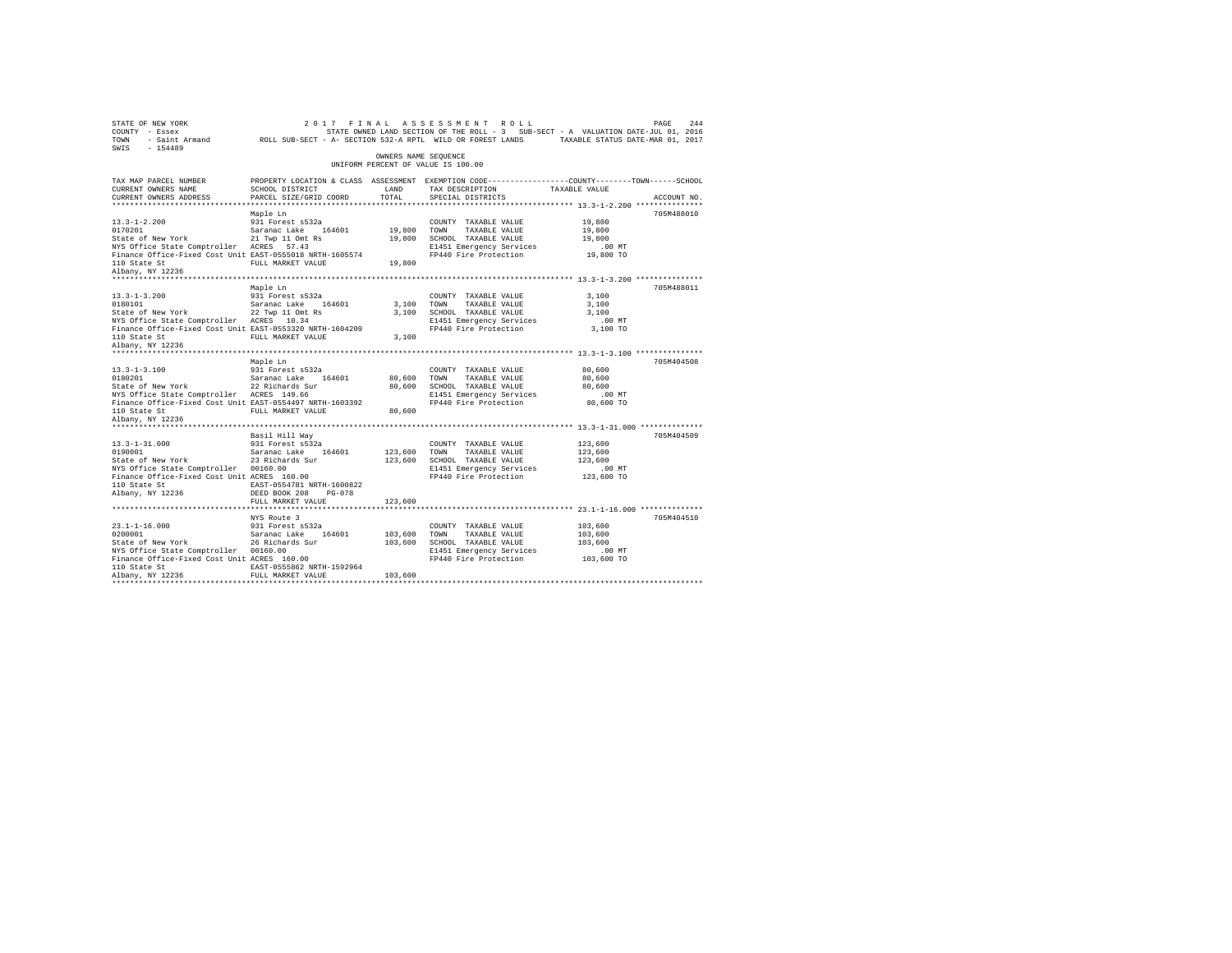| STATE OF NEW YORK<br>COUNTY - Essex<br>TOWN<br>$-154489$<br>SWIS                     |                              |                      | 2017 FINAL ASSESSMENT ROLL<br>STATE OWNED LAND SECTION OF THE ROLL - 3 SUB-SECT - A VALUATION DATE-JUL 01, 2016<br>- Saint Armand ROLL SUB-SECT - A- SECTION 532-A RPTL WILD OR FOREST LANDS TAXABLE STATUS DATE-MAR 01, 2017 |                     | 244<br>PAGE |
|--------------------------------------------------------------------------------------|------------------------------|----------------------|-------------------------------------------------------------------------------------------------------------------------------------------------------------------------------------------------------------------------------|---------------------|-------------|
|                                                                                      |                              | OWNERS NAME SEQUENCE | UNIFORM PERCENT OF VALUE IS 100.00                                                                                                                                                                                            |                     |             |
| TAX MAP PARCEL NUMBER<br>CURRENT OWNERS NAME                                         | SCHOOL DISTRICT              | LAND                 | PROPERTY LOCATION & CLASS ASSESSMENT EXEMPTION CODE---------------COUNTY-------TOWN-----SCHOOL<br>TAX DESCRIPTION                                                                                                             | TAXABLE VALUE       |             |
| CURRENT OWNERS ADDRESS                                                               | PARCEL SIZE/GRID COORD       | TOTAL                | SPECIAL DISTRICTS                                                                                                                                                                                                             |                     | ACCOUNT NO. |
|                                                                                      |                              |                      |                                                                                                                                                                                                                               |                     |             |
|                                                                                      | Maple Ln                     |                      |                                                                                                                                                                                                                               |                     | 705M488010  |
| $13.3 - 1 - 2.200$                                                                   | 931 Forest s532a             |                      | COUNTY TAXABLE VALUE                                                                                                                                                                                                          | 19,800              |             |
| 0170201                                                                              | Saranac Lake 164601          | 19,800               | TOWN<br>TAXABLE VALUE                                                                                                                                                                                                         | 19,800              |             |
| State of New York                                                                    | 21 Twp 11 Omt Rs             | 19,800               | SCHOOL TAXABLE VALUE                                                                                                                                                                                                          | 19,800              |             |
| NYS Office State Comptroller ACRES 57.43                                             |                              |                      | E1451 Emergency Services                                                                                                                                                                                                      | .00 MT              |             |
| Finance Office-Fixed Cost Unit EAST-0555018 NRTH-1605574                             | FULL MARKET VALUE            |                      | FP440 Fire Protection                                                                                                                                                                                                         | 19,800 TO           |             |
| 110 State St<br>Albany, NY 12236                                                     |                              | 19,800               |                                                                                                                                                                                                                               |                     |             |
|                                                                                      |                              |                      |                                                                                                                                                                                                                               |                     |             |
|                                                                                      | Maple Ln                     |                      |                                                                                                                                                                                                                               |                     | 705M488011  |
| $13.3 - 1 - 3.200$                                                                   | 931 Forest s532a             |                      | COUNTY TAXABLE VALUE                                                                                                                                                                                                          | 3,100               |             |
| 0180101                                                                              | Saranac Lake 164601          | 3,100                | TOWN<br>TAXABLE VALUE                                                                                                                                                                                                         | 3,100               |             |
| State of New York                                                                    | 22 Twp 11 Omt Rs             | 3,100                | SCHOOL TAXABLE VALUE                                                                                                                                                                                                          | 3,100               |             |
| NYS Office State Comptroller ACRES 10.34                                             |                              |                      | E1451 Emergency Services                                                                                                                                                                                                      | .00 MT              |             |
| Finance Office-Fixed Cost Unit EAST-0553320 NRTH-1604209                             |                              |                      | FP440 Fire Protection                                                                                                                                                                                                         | 3,100 TO            |             |
| 110 State St                                                                         | FULL MARKET VALUE            | 3,100                |                                                                                                                                                                                                                               |                     |             |
| Albany, NY 12236                                                                     |                              |                      |                                                                                                                                                                                                                               |                     |             |
|                                                                                      |                              |                      |                                                                                                                                                                                                                               |                     |             |
| $13.3 - 1 - 3.100$                                                                   | Maple Ln<br>931 Forest s532a |                      | COUNTY TAXABLE VALUE                                                                                                                                                                                                          | 80,600              | 705M404508  |
| 0180201                                                                              | Saranac Lake 164601          | 80,600               | TOWN<br>TAXABLE VALUE                                                                                                                                                                                                         | 80,600              |             |
| State of New York                                                                    | 22 Richards Sur              | 80,600               | SCHOOL TAXABLE VALUE                                                                                                                                                                                                          | 80,600              |             |
| NYS Office State Comptroller ACRES 149.66                                            |                              |                      | E1451 Emergency Services                                                                                                                                                                                                      | .00 MT              |             |
| Finance Office-Fixed Cost Unit EAST-0554497 NRTH-1603392                             |                              |                      | FP440 Fire Protection                                                                                                                                                                                                         | 80,600 TO           |             |
| 110 State St                                                                         | FULL MARKET VALUE            | 80,600               |                                                                                                                                                                                                                               |                     |             |
| Albany, NY 12236                                                                     |                              |                      |                                                                                                                                                                                                                               |                     |             |
|                                                                                      |                              |                      |                                                                                                                                                                                                                               |                     |             |
|                                                                                      | Basil Hill Way               |                      |                                                                                                                                                                                                                               |                     | 705M404509  |
| $13.3 - 1 - 31.000$                                                                  | 931 Forest s532a             |                      | COUNTY TAXABLE VALUE                                                                                                                                                                                                          | 123,600             |             |
| 0190001                                                                              | Saranac Lake<br>164601       | 123,600              | TAXABLE VALUE<br>TOWN                                                                                                                                                                                                         | 123,600             |             |
| State of New York                                                                    | 23 Richards Sur              | 123,600              | SCHOOL TAXABLE VALUE<br>E1451 Emergency Services                                                                                                                                                                              | 123,600<br>$.00$ MT |             |
| NYS Office State Comptroller 00160.00<br>Finance Office-Fixed Cost Unit ACRES 160.00 |                              |                      | FP440 Fire Protection                                                                                                                                                                                                         | 123,600 TO          |             |
| 110 State St                                                                         | EAST-0554781 NRTH-1600822    |                      |                                                                                                                                                                                                                               |                     |             |
| Albany, NY 12236                                                                     | DEED BOOK 208<br>$PG-078$    |                      |                                                                                                                                                                                                                               |                     |             |
|                                                                                      | FULL MARKET VALUE            | 123,600              |                                                                                                                                                                                                                               |                     |             |
|                                                                                      |                              |                      |                                                                                                                                                                                                                               |                     |             |
|                                                                                      | NYS Route 3                  |                      |                                                                                                                                                                                                                               |                     | 705M404510  |
| $23.1 - 1 - 16.000$                                                                  | 931 Forest s532a             |                      | COUNTY TAXABLE VALUE                                                                                                                                                                                                          | 103,600             |             |
| 0200001                                                                              | Saranac Lake<br>164601       | 103,600              | TAXABLE VALUE<br>TOWN                                                                                                                                                                                                         | 103,600             |             |
| State of New York                                                                    | 26 Richards Sur              | 103,600              | SCHOOL TAXABLE VALUE                                                                                                                                                                                                          | 103,600             |             |
| NYS Office State Comptroller 00160.00                                                |                              |                      | E1451 Emergency Services                                                                                                                                                                                                      | $.00$ MT            |             |
| Finance Office-Fixed Cost Unit ACRES 160.00<br>110 State St                          | EAST-0555862 NRTH-1592964    |                      | FP440 Fire Protection                                                                                                                                                                                                         | 103,600 TO          |             |
| Albany, NY 12236                                                                     | FULL MARKET VALUE            | 103,600              |                                                                                                                                                                                                                               |                     |             |
|                                                                                      |                              |                      |                                                                                                                                                                                                                               |                     |             |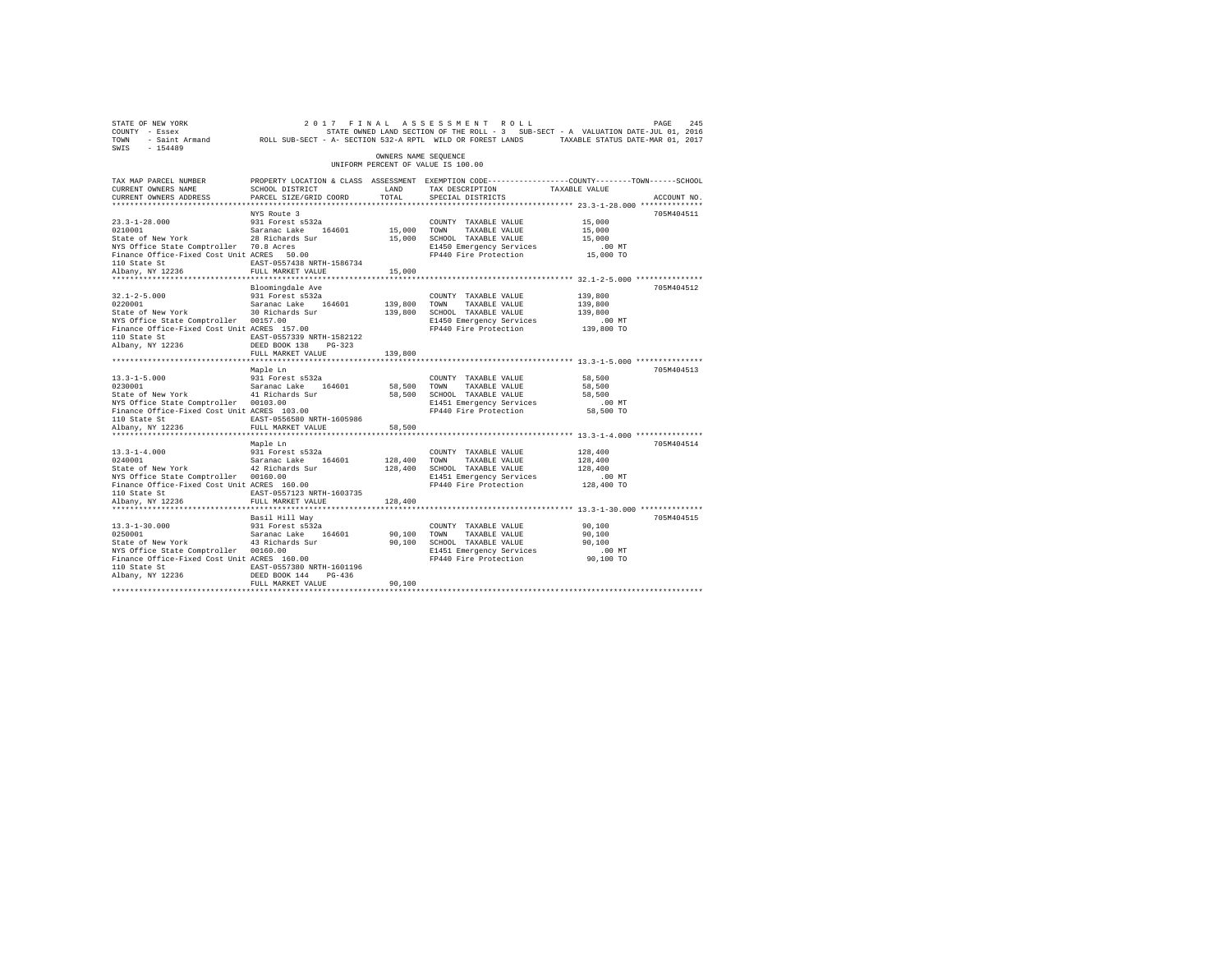| STATE OF NEW YORK<br>COUNTY - Essex<br>TOWN<br>$-154489$<br>SWIS                                                                                                                                             |                                                                                                                                                                                                |                                    | 2017 FINAL ASSESSMENT ROLL<br>STATE OWNED LAND SECTION OF THE ROLL - 3 SUB-SECT - A VALUATION DATE-JUL 01, 2016<br>- Saint Armand ROLL SUB-SECT - A- SECTION 532-A RPTL WILD OR FOREST LANDS TAXABLE STATUS DATE-MAR 01, 2017 |                                                                                                       | PAGE<br>245 |
|--------------------------------------------------------------------------------------------------------------------------------------------------------------------------------------------------------------|------------------------------------------------------------------------------------------------------------------------------------------------------------------------------------------------|------------------------------------|-------------------------------------------------------------------------------------------------------------------------------------------------------------------------------------------------------------------------------|-------------------------------------------------------------------------------------------------------|-------------|
|                                                                                                                                                                                                              |                                                                                                                                                                                                | OWNERS NAME SEOUENCE               | UNIFORM PERCENT OF VALUE IS 100.00                                                                                                                                                                                            |                                                                                                       |             |
| TAX MAP PARCEL NUMBER<br>CURRENT OWNERS NAME<br>CURRENT OWNERS ADDRESS                                                                                                                                       | SCHOOL DISTRICT<br>PARCEL SIZE/GRID COORD                                                                                                                                                      | LAND<br>TOTAL                      | PROPERTY LOCATION & CLASS ASSESSMENT EXEMPTION CODE---------------COUNTY-------TOWN------SCHOOL<br>TAX DESCRIPTION<br>SPECIAL DISTRICTS                                                                                       | TAXABLE VALUE                                                                                         | ACCOUNT NO. |
| $23.3 - 1 - 28.000$<br>0210001<br>State of New York<br>NYS Office State Comptroller 70.8 Acres<br>Finance Office-Fixed Cost Unit ACRES 50.00<br>110 State St<br>Albany, NY 12236<br>********************     | NYS Route 3<br>931 Forest s532a<br>Saranac Lake 164601<br>28 Richards Sur<br>EAST-0557438 NRTH-1586734<br>FULL MARKET VALUE<br>********************                                            | 15,000 TOWN<br>15,000<br>********* | COUNTY TAXABLE VALUE<br>TAXABLE VALUE<br>15,000 SCHOOL TAXABLE VALUE<br>E1450 Emergency Services<br>FP440 Fire Protection                                                                                                     | 15,000<br>15,000<br>15,000<br>.00 MT<br>15,000 TO                                                     | 705M404511  |
| $32.1 - 2 - 5.000$<br>0220001<br>State of New York<br>NYS Office State Comptroller 00157.00<br>Finance Office-Fixed Cost Unit ACRES 157.00<br>110 State St<br>Albany, NY 12236                               | Bloomingdale Ave<br>931 Forest s532a<br>Saranac Lake 164601<br>30 Richards Sur<br>EAST-0557339 NRTH-1582122<br>DEED BOOK 138 PG-323                                                            | 139,800                            | COUNTY TAXABLE VALUE<br>TOWN<br>TAXABLE VALUE<br>139,800 SCHOOL TAXABLE VALUE<br>E1450 Emergency Services<br>FP440 Fire Protection                                                                                            | ************ 32.1-2-5.000 ****************<br>139,800<br>139,800<br>139,800<br>$.00$ MT<br>139,800 TO | 705M404512  |
| $13.3 - 1 - 5.000$<br>0230001<br>State of New York<br>NYS Office State Comptroller 00103.00<br>Finance Office-Fixed Cost Unit ACRES 103.00<br>110 State St<br>Albany, NY 12236                               | FULL MARKET VALUE<br>Maple Ln<br>931 Forest s532a<br>Saranac Lake 164601<br>41 Richards Sur<br>EAST-0556580 NRTH-1605986<br>FULL MARKET VALUE                                                  | 139,800<br>58,500 TOWN<br>58,500   | COUNTY TAXABLE VALUE<br>TAXABLE VALUE<br>58,500 SCHOOL TAXABLE VALUE<br>E1451 Emergency Services<br>FP440 Fire Protection                                                                                                     | 58,500<br>58,500<br>58,500<br>$.00$ MT<br>58,500 TO                                                   | 705M404513  |
| $13.3 - 1 - 4.000$<br>0240001<br>State of New York<br>NYS Office State Comptroller 00160.00<br>Finance Office-Fixed Cost Unit ACRES 160.00<br>110 State St<br>Albany, NY 12236<br>************************** | ******************************<br>Maple Ln<br>931 Forest s532a<br>Saranac Lake 164601<br>42 Richards Sur<br>EAST-0557123 NRTH-1603735<br>FULL MARKET VALUE<br>******************************** | 128,400<br>128,400                 | ************************************* 13.3-1-4.000 ****************<br>COUNTY TAXABLE VALUE<br>TOWN<br>TAXABLE VALUE<br>128,400 SCHOOL TAXABLE VALUE<br>E1451 Emergency Services<br>FP440 Fire Protection                     | 128,400<br>128,400<br>128,400<br>$.00$ MT<br>128,400 TO                                               | 705M404514  |
| $13.3 - 1 - 30.000$<br>0250001<br>State of New York<br>NYS Office State Comptroller 00160.00<br>Finance Office-Fixed Cost Unit ACRES 160.00<br>110 State St<br>Albany, NY 12236                              | Basil Hill Way<br>931 Forest s532a<br>Saranac Lake 164601<br>43 Richards Sur<br>EAST-0557380 NRTH-1601196<br>DEED BOOK 144 PG-436<br>FULL MARKET VALUE                                         | 90,100<br>90,100<br>90,100         | COUNTY TAXABLE VALUE<br>TOWN<br>TAXABLE VALUE<br>SCHOOL TAXABLE VALUE<br>E1451 Emergency Services<br>FP440 Fire Protection                                                                                                    | 90,100<br>90,100<br>90,100<br>$.00$ MT<br>90,100 TO                                                   | 705M404515  |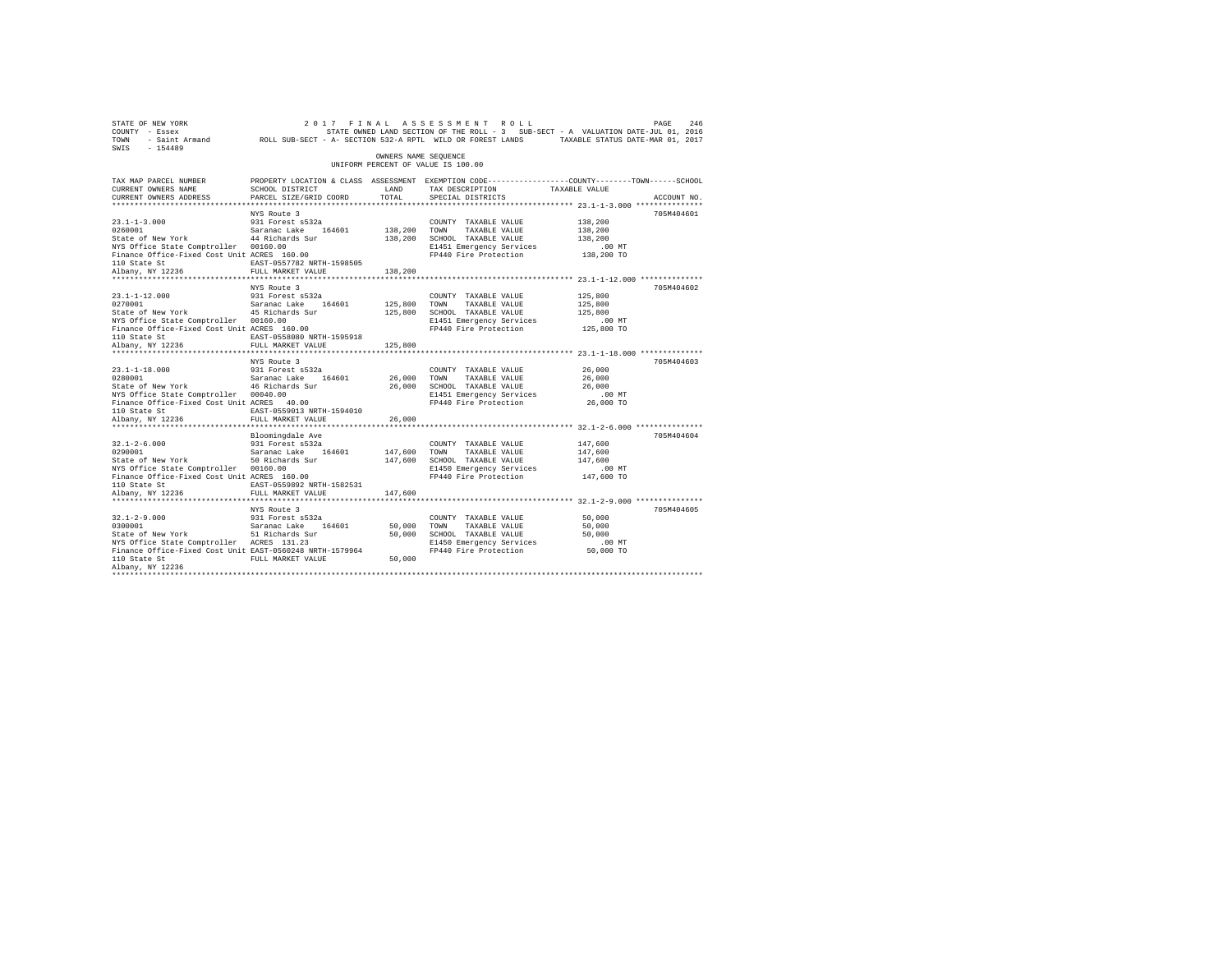| 2017 FINAL ASSESSMENT ROLL PAGE PAGE 246 (2017 FINAL ASSESSMENT ROLL)<br>COUNTY - Essex STATE STATE ONNED LAND SECTION OF THE ROLL - 3 SUB-SECT - A VALUATION DATE-JUL 01, 2016<br>TOWN - Saint_Armand ROLL SUB-SECT - A- SECTION 53<br>SWIS - 154489                                                                          |                                                                                                                                                |                         |                                                                                                                                                                                                      |                                                          |             |
|--------------------------------------------------------------------------------------------------------------------------------------------------------------------------------------------------------------------------------------------------------------------------------------------------------------------------------|------------------------------------------------------------------------------------------------------------------------------------------------|-------------------------|------------------------------------------------------------------------------------------------------------------------------------------------------------------------------------------------------|----------------------------------------------------------|-------------|
|                                                                                                                                                                                                                                                                                                                                |                                                                                                                                                | OWNERS NAME SEOUENCE    | UNIFORM PERCENT OF VALUE IS 100.00                                                                                                                                                                   |                                                          |             |
| TAX MAP PARCEL NUMBER<br>CURRENT OWNERS NAME<br>CURRENT OWNERS ADDRESS                                                                                                                                                                                                                                                         | PROPERTY LOCATION & CLASS ASSESSMENT EXEMPTION CODE---------------COUNTY-------TOWN-----SCHOOL<br>SCHOOL DISTRICT<br>PARCEL SIZE/GRID COORD    | LAND<br>TOTAL           | TAX DESCRIPTION TAXABLE VALUE<br>SPECIAL DISTRICTS                                                                                                                                                   |                                                          | ACCOUNT NO. |
|                                                                                                                                                                                                                                                                                                                                |                                                                                                                                                |                         |                                                                                                                                                                                                      |                                                          |             |
| $\begin{array}{cccc} 23.1\hbox{-}1\hbox{-}3.000 & 931\hbox{ Forests532a} & 154601 & 138,200\hbox{ CODWT}\\ 0260001 & 5874832 & 164601 & 138,200\hbox{ TODWT}\\ 35620001 & 44\hbox{ Richards Sur} & 138,200\hbox{ SCHOO}\\ \end{array}$<br>NYS Office State Comptroller 00160.00<br>Finance Office-Fixed Cost Unit ACRES 160.00 | NYS Route 3<br>EAST-0557782 NRTH-1598505                                                                                                       |                         | COUNTY TAXABLE VALUE<br>138,200 TOWN TAXABLE VALUE<br>138,200 SCHOOL TAXABLE VALUE<br>E1451 Emergency Services .00 MT<br>FP440 Fire Protection 138,200 TO                                            | 138,200<br>138,200<br>138,200                            | 705M404601  |
|                                                                                                                                                                                                                                                                                                                                |                                                                                                                                                | 138,200                 |                                                                                                                                                                                                      |                                                          |             |
| NYS Office State Comptroller 00160.00<br>Finance Office-Fixed Cost Unit ACRES 160.00<br>110 State St<br>Albany, NY 12236                                                                                                                                                                                                       | NYS Route 3<br>EAST-0558080 NRTH-1595918<br>FULL MARKET VALUE                                                                                  | 125,800 TOWN<br>125,800 | COUNTY TAXABLE VALUE<br>TAXABLE VALUE<br>125,800 SCHOOL TAXABLE VALUE<br>E1451 Emergency Services<br>FP440 Fire Protection 125,800 TO                                                                | 125,800<br>125,800<br>125,800<br>$.00$ MT                | 705M404602  |
|                                                                                                                                                                                                                                                                                                                                |                                                                                                                                                |                         |                                                                                                                                                                                                      |                                                          |             |
| 23.1-1-18.000 931 Forest s532a<br>0280001 931 Saranac Lake 164601<br>State of New York 46 Richards Sur<br>NYS Office State Comptroller 00040.00<br>Finance Office-Fixed Cost Unit ACRES $40.00$<br>110 Shek: $25$<br>110 State St<br>Albany, NY 12236                                                                          | NYS Route 3<br>EAST-0559013 NRTH-1594010<br>FULL MARKET VALUE                                                                                  | 26,000                  | COUNTY TAXABLE VALUE<br>26,000 TOWN TAXABLE VALUE<br>26,000 SCHOOL TAXABLE VALUE<br>E1451 Emergency Services<br>FP440 Fire Protection<br>E1451 Emergency Services<br>FP440 Fire Protection 26,000 TO | 26,000<br>26,000<br>26,000<br>$.00$ MT                   | 705M404603  |
|                                                                                                                                                                                                                                                                                                                                |                                                                                                                                                |                         |                                                                                                                                                                                                      | *************************** 32.1-2-6.000 *************** |             |
| $32.1 - 2 - 6.000$<br>32.1-2-6.000 931 Forest s532a<br>0290001 931 5aranac Lake 164601<br>State of New York 50 Richards Sur<br>NYS Office State Comptroller 00160.00<br>Finance Office-Fixed Cost Unit ACRES 160.00<br>110 State St<br>Albany, NY 12236                                                                        | Bloomingdale Ave<br>EAST-0559892 NRTH-1582531<br>FULL MARKET VALUE                                                                             | 147,600 TOWN<br>147,600 | COUNTY TAXABLE VALUE<br>147,600 TOWN TAXABLE VALUE<br>147,600 SCHOOL TAXABLE VALUE                                                                                                                   | 147,600<br>147,600<br>147,600                            | 705M404604  |
|                                                                                                                                                                                                                                                                                                                                |                                                                                                                                                |                         |                                                                                                                                                                                                      |                                                          |             |
| Finance Office-Fixed Cost Unit EAST-0560248 NRTH-1579964<br>110 State St<br>Albany, NY 12236                                                                                                                                                                                                                                   | NYS Route 3<br>RCRES 131.23 E1450 Emergency Services<br>The Sast-O560248 RF440 Fire Protection 50,000 TO<br>FULL MARKET VALUE 50,000 50,000 FO |                         | TAXABLE VALUE                                                                                                                                                                                        | 50,000<br>50,000<br>50,000                               | 705M404605  |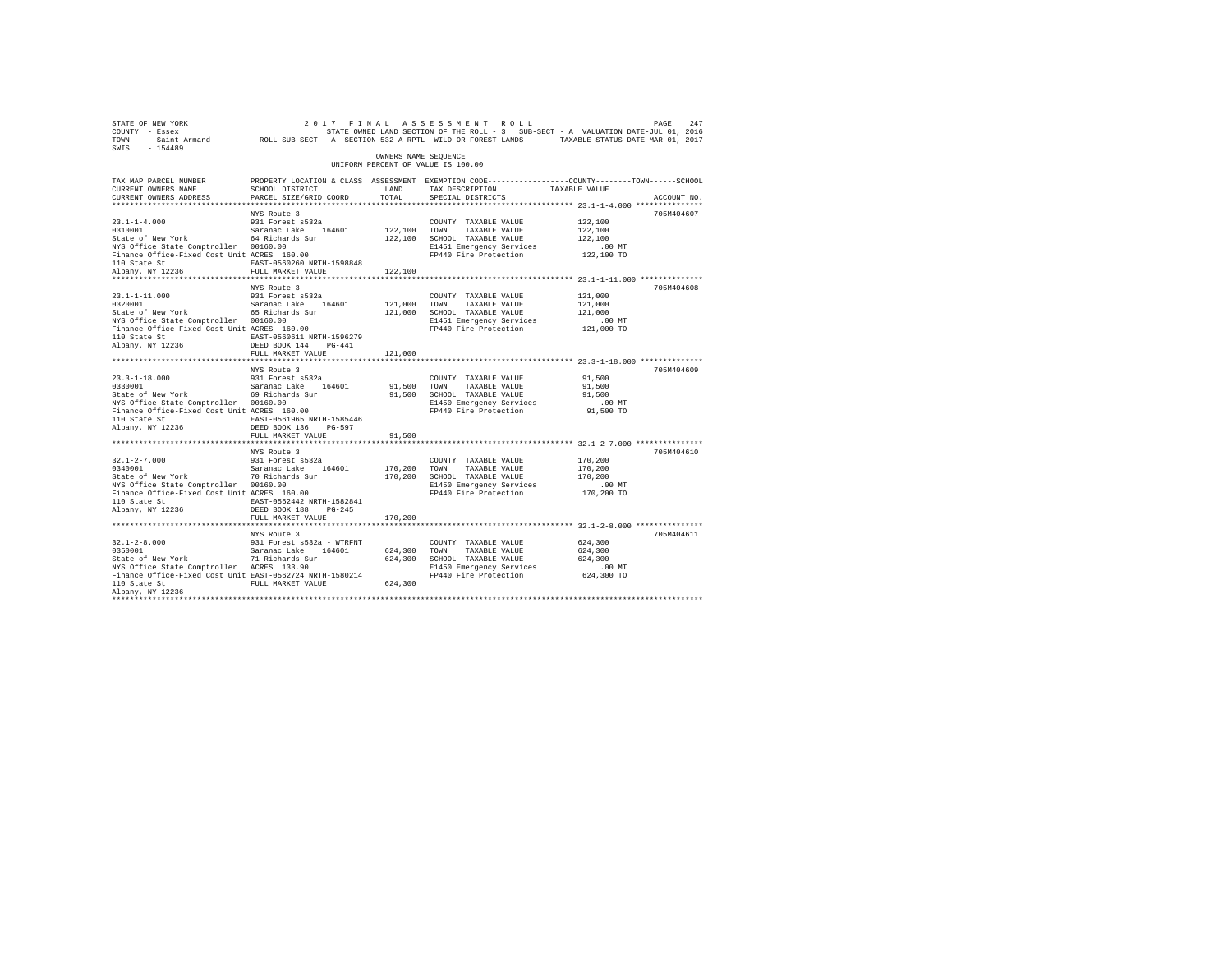| SWIS - 154489                                                                                                                                                                                                        |                                         | OWNERS NAME SEQUENCE |                                                                      | STATE OF NEW YORK THEORY OF THE ALL AS SES SEN EN THEORY PROFINE THEORY AND THE PACE 247<br>COUNTY - ESSEX AND SECTION OF THE ROLL - 3 SUB-SECT - A VALUATION DATE-JUL 01, 2016<br>SWIS - 154489<br>SWIS - 154489 |  |
|----------------------------------------------------------------------------------------------------------------------------------------------------------------------------------------------------------------------|-----------------------------------------|----------------------|----------------------------------------------------------------------|-------------------------------------------------------------------------------------------------------------------------------------------------------------------------------------------------------------------|--|
|                                                                                                                                                                                                                      |                                         |                      | UNIFORM PERCENT OF VALUE IS 100.00                                   |                                                                                                                                                                                                                   |  |
|                                                                                                                                                                                                                      |                                         |                      |                                                                      | TAX MAP PARCEL NUMBER PROPERTY LOCATION & CLASS ASSESSMENT EXEMPTION CODE--------------COUNTY-------TOWN-----SCHOOL                                                                                               |  |
| CURRENT OWNERS NAME                                                                                                                                                                                                  | SCHOOL DISTRICT<br>LAND TAX DESCRIPTION |                      |                                                                      | TAXABLE VALUE                                                                                                                                                                                                     |  |
| CURRENT OWNERS ADDRESS                                                                                                                                                                                               | PARCEL SIZE/GRID COORD TOTAL            |                      | SPECIAL DISTRICTS                                                    | ACCOUNT NO.<br>******************************** 23.1-1-4.000 ***************                                                                                                                                      |  |
|                                                                                                                                                                                                                      | NYS Route 3                             |                      |                                                                      | 705M404607                                                                                                                                                                                                        |  |
| $\begin{tabular}{lllllllllll} 23.1\mbox{-}1\mbox{-}4.000 & 931 Forest s532a \\ 0310001 & Saranac Lake & 164601 \\ \end{tabular}$<br>State of New York<br>$\begin{tabular}{lllllll} 64 Richards Sur \\ \end{tabular}$ |                                         |                      | COUNTY TAXABLE VALUE                                                 | 122,100                                                                                                                                                                                                           |  |
|                                                                                                                                                                                                                      |                                         | 122,100 TOWN         |                                                                      | 122,100                                                                                                                                                                                                           |  |
|                                                                                                                                                                                                                      |                                         |                      | 122,100 TOWN TAXABLE VALUE<br>122,100 SCHOOL TAXABLE VALUE           | 122,100                                                                                                                                                                                                           |  |
|                                                                                                                                                                                                                      |                                         |                      | E1451 Emergency Services<br>FP440 Fire Protection                    | .00 MT                                                                                                                                                                                                            |  |
| NYS Office State Comptroller 00160.00<br>Finance Office-Fixed Cost Unit ACRES 160.00                                                                                                                                 |                                         |                      |                                                                      | 122,100 TO                                                                                                                                                                                                        |  |
|                                                                                                                                                                                                                      |                                         |                      |                                                                      |                                                                                                                                                                                                                   |  |
|                                                                                                                                                                                                                      |                                         | 122,100              |                                                                      |                                                                                                                                                                                                                   |  |
|                                                                                                                                                                                                                      |                                         |                      |                                                                      | ************************************ 23.1-1-11.000 **************                                                                                                                                                 |  |
|                                                                                                                                                                                                                      | NYS Route 3                             |                      |                                                                      | 705M404608                                                                                                                                                                                                        |  |
| $23.1 - 1 - 11.000$<br>0320001                                                                                                                                                                                       | 931 Forest s532a                        | 121,000 TOWN         | COUNTY TAXABLE VALUE<br>TAXABLE VALUE                                | 121,000<br>121,000                                                                                                                                                                                                |  |
| 0320001 Saranac Lake 164601<br>State of New York 65 Richards Sur                                                                                                                                                     |                                         |                      |                                                                      | 121,000                                                                                                                                                                                                           |  |
|                                                                                                                                                                                                                      |                                         |                      | 121,000 SCHOOL TAXABLE VALUE                                         |                                                                                                                                                                                                                   |  |
| NYS Office State Comptroller 00160.00<br>Finance Office-Fixed Cost Unit ACRES 160.00                                                                                                                                 |                                         |                      | E1451 Emergency Services 6.00 MT<br>FP440 Fire Protection 121,000 TO |                                                                                                                                                                                                                   |  |
| 110 State St EAST-0560611 NRTH-1596279                                                                                                                                                                               |                                         |                      |                                                                      |                                                                                                                                                                                                                   |  |
| Albany, NY 12236                                                                                                                                                                                                     | DEED BOOK 144 PG-441                    |                      |                                                                      |                                                                                                                                                                                                                   |  |
|                                                                                                                                                                                                                      | FULL MARKET VALUE                       | 121,000              |                                                                      |                                                                                                                                                                                                                   |  |
|                                                                                                                                                                                                                      |                                         |                      |                                                                      |                                                                                                                                                                                                                   |  |
|                                                                                                                                                                                                                      | NYS Route 3                             |                      |                                                                      | 705M404609                                                                                                                                                                                                        |  |
|                                                                                                                                                                                                                      |                                         |                      |                                                                      | 91,500                                                                                                                                                                                                            |  |
|                                                                                                                                                                                                                      |                                         |                      |                                                                      | 91,500                                                                                                                                                                                                            |  |
|                                                                                                                                                                                                                      |                                         |                      |                                                                      | 91,500                                                                                                                                                                                                            |  |
|                                                                                                                                                                                                                      |                                         |                      |                                                                      | $.00$ MT<br>91,500 TO                                                                                                                                                                                             |  |
|                                                                                                                                                                                                                      |                                         |                      |                                                                      |                                                                                                                                                                                                                   |  |
| 110 State St EAST-0561965 NRTH-1585446<br>Albany, NY 12236 DEED BOOK 136 PG-597                                                                                                                                      |                                         |                      |                                                                      |                                                                                                                                                                                                                   |  |
|                                                                                                                                                                                                                      | FULL MARKET VALUE                       | 91,500               |                                                                      |                                                                                                                                                                                                                   |  |
|                                                                                                                                                                                                                      |                                         |                      |                                                                      |                                                                                                                                                                                                                   |  |
|                                                                                                                                                                                                                      | NYS Route 3                             |                      |                                                                      | 705M404610                                                                                                                                                                                                        |  |
|                                                                                                                                                                                                                      |                                         |                      |                                                                      |                                                                                                                                                                                                                   |  |
|                                                                                                                                                                                                                      |                                         |                      |                                                                      |                                                                                                                                                                                                                   |  |
|                                                                                                                                                                                                                      |                                         |                      |                                                                      |                                                                                                                                                                                                                   |  |
|                                                                                                                                                                                                                      |                                         |                      |                                                                      |                                                                                                                                                                                                                   |  |
|                                                                                                                                                                                                                      |                                         |                      |                                                                      |                                                                                                                                                                                                                   |  |
| ${\tt BAST-0562442\ NRTH-1582841}$ ${\tt RBAST-0562442\ NRTH-1582841}$ ${\tt DEED\ BOK\ 188}\ {\tt PG-245}$                                                                                                          |                                         |                      |                                                                      |                                                                                                                                                                                                                   |  |
|                                                                                                                                                                                                                      |                                         |                      |                                                                      |                                                                                                                                                                                                                   |  |
|                                                                                                                                                                                                                      | FULL MARKET VALUE                       | 170,200              |                                                                      |                                                                                                                                                                                                                   |  |
|                                                                                                                                                                                                                      | NYS Route 3                             |                      |                                                                      | 705M404611                                                                                                                                                                                                        |  |
|                                                                                                                                                                                                                      |                                         |                      | COUNTY TAXABLE VALUE                                                 | 624,300                                                                                                                                                                                                           |  |
|                                                                                                                                                                                                                      |                                         |                      | TAXABLE VALUE                                                        | 624,300                                                                                                                                                                                                           |  |
|                                                                                                                                                                                                                      |                                         |                      | 624,300 SCHOOL TAXABLE VALUE                                         | 624,300                                                                                                                                                                                                           |  |
|                                                                                                                                                                                                                      |                                         |                      |                                                                      | .00 MT                                                                                                                                                                                                            |  |
| NYS Office State Comptroller ACRES 133.90 E1450 Emergency Services<br>Finance Office-Fixed Cost Unit EAST-0562724 NRTH-1580214 FP440 Fire Protection                                                                 |                                         |                      |                                                                      | 624,300 TO                                                                                                                                                                                                        |  |
| 110 State St                                                                                                                                                                                                         | FULL MARKET VALUE                       | 624,300              |                                                                      |                                                                                                                                                                                                                   |  |
| Albany, NY 12236                                                                                                                                                                                                     |                                         |                      |                                                                      |                                                                                                                                                                                                                   |  |
|                                                                                                                                                                                                                      |                                         |                      |                                                                      |                                                                                                                                                                                                                   |  |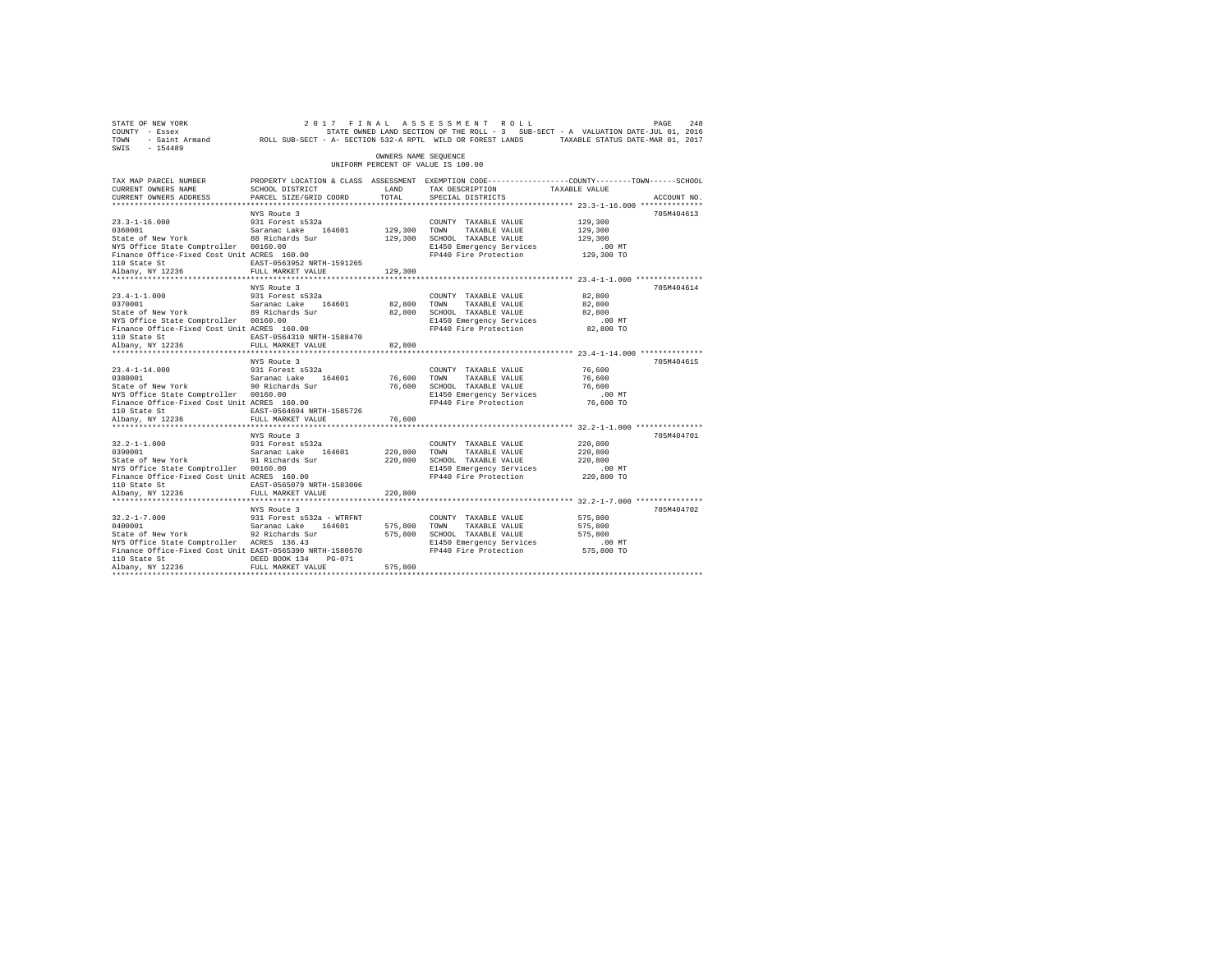| 248 PAGE 248 (2017 FINAL ASSESSMENT ROLL PAGE 248 PAGE 248 PAGE 249<br>COUNTY - Essex – STATE STATE ONNED LAND SECTION OF THE ROLL - 3 SUB-SECT - A VALUATION DATE-JUL 01, 2016<br>TOWN - Saint_Armand – ROLL SUB-SECT - A- SECTION<br>SWIS - 154489 |                                                                                                                   |                      |                                                                                                                                           |                                                             |             |
|------------------------------------------------------------------------------------------------------------------------------------------------------------------------------------------------------------------------------------------------------|-------------------------------------------------------------------------------------------------------------------|----------------------|-------------------------------------------------------------------------------------------------------------------------------------------|-------------------------------------------------------------|-------------|
|                                                                                                                                                                                                                                                      |                                                                                                                   | OWNERS NAME SEOUENCE | UNIFORM PERCENT OF VALUE IS 100.00                                                                                                        |                                                             |             |
| TAX MAP PARCEL NUMBER<br>CURRENT OWNERS NAME                                                                                                                                                                                                         | PROPERTY LOCATION & CLASS ASSESSMENT EXEMPTION CODE---------------COUNTY-------TOWN-----SCHOOL<br>SCHOOL DISTRICT | LAND<br>TOTAL        | TAX DESCRIPTION TAXABLE VALUE                                                                                                             |                                                             | ACCOUNT NO. |
| CURRENT OWNERS ADDRESS                                                                                                                                                                                                                               | PARCEL SIZE/GRID COORD                                                                                            |                      | SPECIAL DISTRICTS                                                                                                                         |                                                             |             |
|                                                                                                                                                                                                                                                      | NYS Route 3                                                                                                       |                      |                                                                                                                                           |                                                             | 705M404613  |
|                                                                                                                                                                                                                                                      |                                                                                                                   |                      | COUNTY TAXABLE VALUE                                                                                                                      | 129,300                                                     |             |
|                                                                                                                                                                                                                                                      |                                                                                                                   | 129,300 TOWN         | TAXABLE VALUE                                                                                                                             | 129,300                                                     |             |
| 23.3-1-16.000 931 Forest s532a<br>0360001 931 5aranac Lake 164601<br>State of New York 88 Richards Sur                                                                                                                                               |                                                                                                                   |                      | 129,300 SCHOOL TAXABLE VALUE                                                                                                              | 129,300                                                     |             |
| NYS Office State Comptroller 00160.00                                                                                                                                                                                                                |                                                                                                                   |                      | E1450 Emergency Services .00 MT<br>FP440 Fire Protection 129,300 TO                                                                       |                                                             |             |
| Finance Office-Fixed Cost Unit ACRES 160.00                                                                                                                                                                                                          |                                                                                                                   |                      |                                                                                                                                           |                                                             |             |
| 110 State St<br>Albany, NY 12236                                                                                                                                                                                                                     | EAST-0563952 NRTH-1591265<br>FULL MARKET VALUE                                                                    | 129,300              |                                                                                                                                           |                                                             |             |
|                                                                                                                                                                                                                                                      |                                                                                                                   |                      |                                                                                                                                           |                                                             |             |
|                                                                                                                                                                                                                                                      | NYS Route 3                                                                                                       |                      |                                                                                                                                           |                                                             | 705M404614  |
| $23.4 - 1 - 1.000$                                                                                                                                                                                                                                   | 931 Forest s532a                                                                                                  |                      | COUNTY TAXABLE VALUE                                                                                                                      | 82,800                                                      |             |
| 23.4-1-1.000 931 Forest s532a<br>0370001 9320 Saranac Lake 164601<br>State of New York 89 Richards Sur                                                                                                                                               |                                                                                                                   | 82,800 TOWN          | TAXABLE VALUE                                                                                                                             | 82,800                                                      |             |
|                                                                                                                                                                                                                                                      |                                                                                                                   |                      | 82,800 SCHOOL TAXABLE VALUE                                                                                                               | 82,800                                                      |             |
| NYS Office State Comptroller 00160.00                                                                                                                                                                                                                |                                                                                                                   |                      | E1450 Emergency Services                                                                                                                  | $.00$ MT                                                    |             |
| Finance Office-Fixed Cost Unit ACRES 160.00                                                                                                                                                                                                          |                                                                                                                   |                      | FP440 Fire Protection 82,800 TO                                                                                                           |                                                             |             |
| 110 State St<br>Albany, NY 12236                                                                                                                                                                                                                     |                                                                                                                   |                      |                                                                                                                                           |                                                             |             |
|                                                                                                                                                                                                                                                      |                                                                                                                   | 82,800               |                                                                                                                                           |                                                             |             |
|                                                                                                                                                                                                                                                      | NYS Route 3                                                                                                       |                      |                                                                                                                                           |                                                             | 705M404615  |
|                                                                                                                                                                                                                                                      |                                                                                                                   |                      | COUNTY TAXABLE VALUE                                                                                                                      | 76,600                                                      |             |
|                                                                                                                                                                                                                                                      |                                                                                                                   |                      |                                                                                                                                           | 76,600                                                      |             |
| 23.4-1-14.000 931 Forest s532a<br>0380001 Saranac Lake 164601<br>State of New York 90 Richards Sur                                                                                                                                                   |                                                                                                                   |                      |                                                                                                                                           | 76,600                                                      |             |
| NYS Office State Comptroller 00160.00                                                                                                                                                                                                                |                                                                                                                   |                      | 76,600 TOWN TAXABLE VALUE<br>76,600 SCHOOL TAXABLE VALUE<br>E1450 Emergency Services<br>FP440 Fire Protection<br>E1450 Emergency Services | $.00$ MT                                                    |             |
| Finance Office-Fixed Cost Unit ACRES 160.00                                                                                                                                                                                                          |                                                                                                                   |                      | FP440 Fire Protection                                                                                                                     | 76,600 TO                                                   |             |
| 110 State St                                                                                                                                                                                                                                         | EAST-0564694 NRTH-1585726                                                                                         |                      |                                                                                                                                           |                                                             |             |
| Albany, NY 12236                                                                                                                                                                                                                                     | FULL MARKET VALUE<br>                                                                                             | 76,600               |                                                                                                                                           | ************************* 32.2-1-1.000 ***************      |             |
|                                                                                                                                                                                                                                                      | NYS Route 3                                                                                                       |                      |                                                                                                                                           |                                                             | 705M404701  |
| $32.2 - 1 - 1.000$                                                                                                                                                                                                                                   |                                                                                                                   |                      | COUNTY TAXABLE VALUE                                                                                                                      | 220,800                                                     |             |
|                                                                                                                                                                                                                                                      |                                                                                                                   | 220,800 TOWN         |                                                                                                                                           | 220,800                                                     |             |
|                                                                                                                                                                                                                                                      |                                                                                                                   |                      | 220,800 TOWN TAXABLE VALUE<br>220,800 SCHOOL TAXABLE VALUE                                                                                | 220,800                                                     |             |
| NYS Office State Comptroller 00160.00                                                                                                                                                                                                                |                                                                                                                   |                      | E1450 Emergency Services                                                                                                                  | $.00$ MT                                                    |             |
| Finance Office-Fixed Cost Unit ACRES 160.00                                                                                                                                                                                                          |                                                                                                                   |                      | FP440 Fire Protection 220,800 TO                                                                                                          |                                                             |             |
| 110 State St                                                                                                                                                                                                                                         | EAST-0565079 NRTH-1583006<br>FULL MARKET VALUE                                                                    |                      |                                                                                                                                           |                                                             |             |
| Albany, NY 12236                                                                                                                                                                                                                                     |                                                                                                                   | 220,800              |                                                                                                                                           | ****************************** 32.2-1-7.000 *************** |             |
|                                                                                                                                                                                                                                                      | NYS Route 3                                                                                                       |                      |                                                                                                                                           |                                                             | 705M404702  |
|                                                                                                                                                                                                                                                      |                                                                                                                   |                      | COUNTY TAXABLE VALUE                                                                                                                      | 575,800                                                     |             |
| $\begin{tabular}{lllllllllllll} 32.2-1-7.000 & 931 Forest $532a - Winkrni \\ 0400001 & Saranac Lake & 164601 \\ State of New York & 92 Richardson & S2K 10hards Sur \\ & & & & & \\ \end{tabular}$                                                   |                                                                                                                   | 575,800 TOWN         | TAXABLE VALUE                                                                                                                             | 575,800                                                     |             |
|                                                                                                                                                                                                                                                      |                                                                                                                   |                      | 575,800 SCHOOL TAXABLE VALUE                                                                                                              | 575,800                                                     |             |
| NYS Office State Comptroller ACRES 136.43                                                                                                                                                                                                            |                                                                                                                   |                      | E1450 Emergency Services                                                                                                                  | .00MT                                                       |             |
| Finance Office-Fixed Cost Unit EAST-0565390 NRTH-1580570                                                                                                                                                                                             |                                                                                                                   |                      | FP440 Fire Protection 575,800 TO                                                                                                          |                                                             |             |
| 110 State St                                                                                                                                                                                                                                         | DEED BOOK 134 PG-071                                                                                              |                      |                                                                                                                                           |                                                             |             |
| Albany, NY 12236                                                                                                                                                                                                                                     | FULL MARKET VALUE                                                                                                 | 575,800              |                                                                                                                                           |                                                             |             |
|                                                                                                                                                                                                                                                      |                                                                                                                   |                      |                                                                                                                                           |                                                             |             |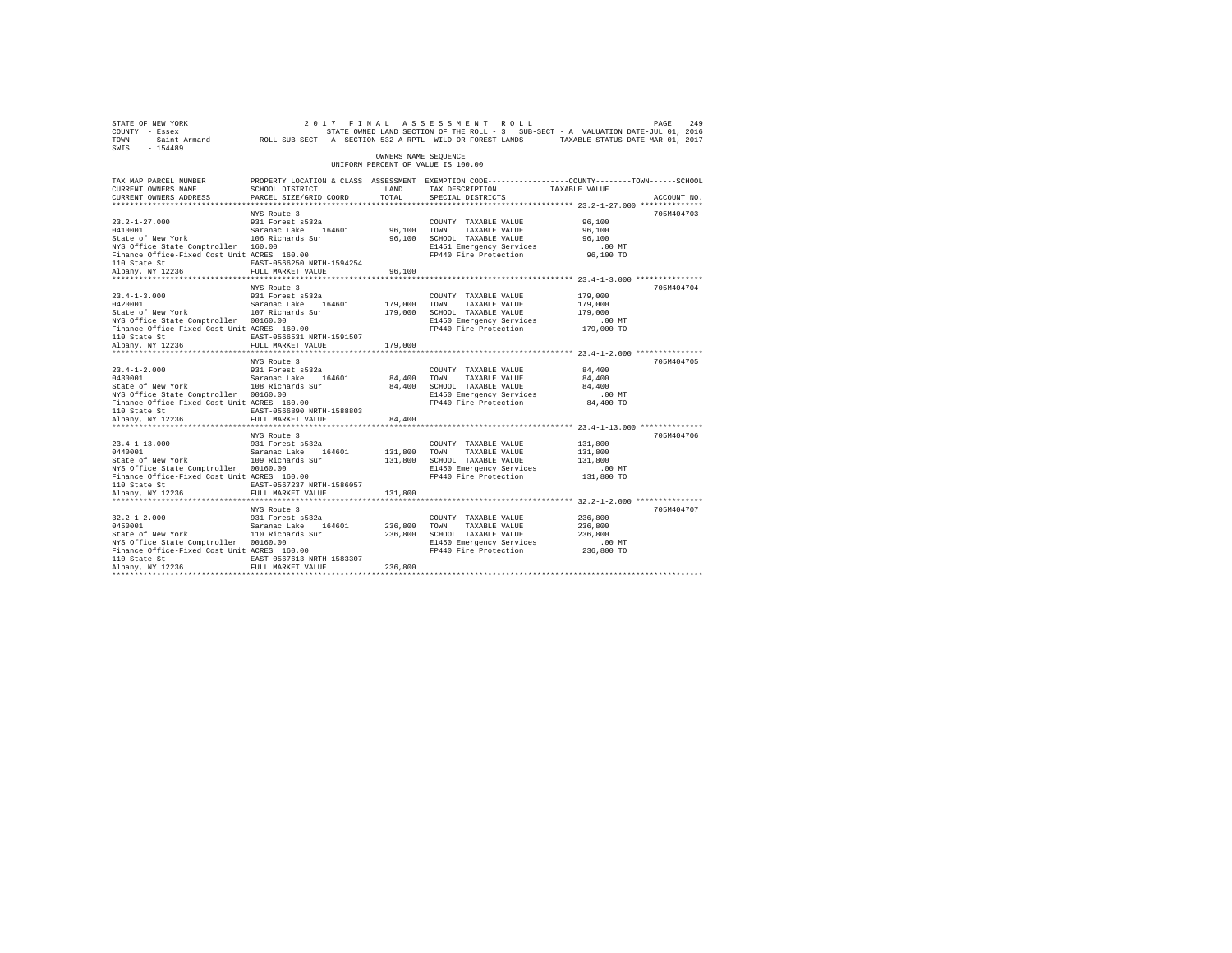| 2017 FINAL ASSESSMENT ROLL PAGE PAGE 249<br>COUNTY - Essex STATE STATE ONCE THE ROLL - 3 SUB-SECT - A VALUATION DATE-JUL 01, 2016<br>TOWN - Saint_Armand ROLL SUB-SECT - A-SECTION 532-A RPTL WILD OR FOREST LANDS TAXABLE STATUS DA<br>SWIS - 154489 |                                                                                                                   |                      |                                                              |                                                          |             |
|-------------------------------------------------------------------------------------------------------------------------------------------------------------------------------------------------------------------------------------------------------|-------------------------------------------------------------------------------------------------------------------|----------------------|--------------------------------------------------------------|----------------------------------------------------------|-------------|
|                                                                                                                                                                                                                                                       |                                                                                                                   | OWNERS NAME SEOUENCE | UNIFORM PERCENT OF VALUE IS 100.00                           |                                                          |             |
| TAX MAP PARCEL NUMBER<br>CURRENT OWNERS NAME                                                                                                                                                                                                          | PROPERTY LOCATION & CLASS ASSESSMENT EXEMPTION CODE---------------COUNTY-------TOWN-----SCHOOL<br>SCHOOL DISTRICT | LAND                 | TAX DESCRIPTION TAXABLE VALUE                                |                                                          |             |
| CURRENT OWNERS ADDRESS                                                                                                                                                                                                                                | PARCEL SIZE/GRID COORD                                                                                            | TOTAL                | SPECIAL DISTRICTS                                            |                                                          | ACCOUNT NO. |
|                                                                                                                                                                                                                                                       |                                                                                                                   |                      |                                                              |                                                          |             |
|                                                                                                                                                                                                                                                       | NYS Route 3                                                                                                       |                      |                                                              |                                                          | 705M404703  |
|                                                                                                                                                                                                                                                       |                                                                                                                   |                      | COUNTY TAXABLE VALUE                                         | 96,100<br>96,100                                         |             |
|                                                                                                                                                                                                                                                       |                                                                                                                   |                      | 96,100 TOWN TAXABLE VALUE<br>96,100 SCHOOL TAXABLE VALUE     |                                                          |             |
| NYS Office State Comptroller 160.00                                                                                                                                                                                                                   |                                                                                                                   |                      |                                                              |                                                          |             |
| Finance Office-Fixed Cost Unit ACRES 160.00                                                                                                                                                                                                           |                                                                                                                   |                      |                                                              |                                                          |             |
|                                                                                                                                                                                                                                                       |                                                                                                                   |                      |                                                              |                                                          |             |
| 110 State St<br>Albany, NY 12236                                                                                                                                                                                                                      | FULL MARKET VALUE                                                                                                 | 96,100               |                                                              |                                                          |             |
|                                                                                                                                                                                                                                                       |                                                                                                                   |                      |                                                              |                                                          |             |
|                                                                                                                                                                                                                                                       | NYS Route 3                                                                                                       |                      |                                                              |                                                          | 705M404704  |
| $23.4 - 1 - 3.000$                                                                                                                                                                                                                                    | 931 Forest s532a                                                                                                  |                      | COUNTY TAXABLE VALUE                                         | 179,000                                                  |             |
|                                                                                                                                                                                                                                                       |                                                                                                                   | 179,000 TOWN         | TAXABLE VALUE                                                | 179,000                                                  |             |
|                                                                                                                                                                                                                                                       |                                                                                                                   |                      | 179,000 SCHOOL TAXABLE VALUE                                 | 179,000                                                  |             |
| NYS Office State Comptroller 00160.00<br>Finance Office-Fixed Cost Unit ACRES 160.00                                                                                                                                                                  |                                                                                                                   |                      | E1450 Emergency Services<br>FP440 Fire Protection 179,000 TO | $.00$ MT                                                 |             |
|                                                                                                                                                                                                                                                       | EAST-0566531 NRTH-1591507                                                                                         |                      |                                                              |                                                          |             |
| 110 State St<br>Albany, NY 12236                                                                                                                                                                                                                      | FULL MARKET VALUE                                                                                                 | 179,000              |                                                              |                                                          |             |
|                                                                                                                                                                                                                                                       |                                                                                                                   |                      |                                                              |                                                          |             |
|                                                                                                                                                                                                                                                       | NYS Route 3                                                                                                       |                      |                                                              |                                                          | 705M404705  |
| $23.4 - 1 - 2.000$                                                                                                                                                                                                                                    |                                                                                                                   |                      | COUNTY TAXABLE VALUE                                         | 84,400                                                   |             |
|                                                                                                                                                                                                                                                       |                                                                                                                   |                      |                                                              | 84,400                                                   |             |
|                                                                                                                                                                                                                                                       |                                                                                                                   |                      | 84,400 TOWN TAXABLE VALUE<br>84,400 SCHOOL TAXABLE VALUE     | 84,400                                                   |             |
| NYS Office State Comptroller 00160.00                                                                                                                                                                                                                 |                                                                                                                   |                      | E1450 Emergency Services                                     | .00MT                                                    |             |
| Finance Office-Fixed Cost Unit ACRES 160.00                                                                                                                                                                                                           |                                                                                                                   |                      | FP440 Fire Protection 84,400 TO                              |                                                          |             |
| 110 State St                                                                                                                                                                                                                                          | EAST-0566890 NRTH-1588803                                                                                         |                      |                                                              |                                                          |             |
| Albany, NY 12236                                                                                                                                                                                                                                      | FULL MARKET VALUE<br>*************************                                                                    | 84,400               |                                                              | *************************** 23.4-1-13.000 ************** |             |
|                                                                                                                                                                                                                                                       | NYS Route 3                                                                                                       |                      |                                                              |                                                          | 705M404706  |
| $23.4 - 1 - 13.000$                                                                                                                                                                                                                                   |                                                                                                                   |                      | COUNTY TAXABLE VALUE                                         | 131,800                                                  |             |
|                                                                                                                                                                                                                                                       |                                                                                                                   |                      |                                                              | 131,800                                                  |             |
| 23.4-1-13.000 931 Forest s532a<br>0440001 931 Saranac Lake 164601<br>State of New York 109 Richards Sur                                                                                                                                               |                                                                                                                   |                      | 131,800 TOWN TAXABLE VALUE<br>131,800 SCHOOL TAXABLE VALUE   | 131,800                                                  |             |
| NYS Office State Comptroller 00160.00                                                                                                                                                                                                                 |                                                                                                                   |                      | E1450 Emergency Services                                     | $.00$ MT                                                 |             |
| Finance Office-Fixed Cost Unit ACRES 160.00                                                                                                                                                                                                           |                                                                                                                   |                      | FP440 Fire Protection 131,800 TO                             |                                                          |             |
| 110 State St                                                                                                                                                                                                                                          | EAST-0567237 NRTH-1586057                                                                                         |                      |                                                              |                                                          |             |
| Albany, NY 12236                                                                                                                                                                                                                                      | FULL MARKET VALUE                                                                                                 | 131,800              |                                                              |                                                          |             |
|                                                                                                                                                                                                                                                       |                                                                                                                   |                      |                                                              |                                                          |             |
|                                                                                                                                                                                                                                                       | NYS Route 3                                                                                                       |                      |                                                              |                                                          | 705M404707  |
| $32.2 - 1 - 2.000$                                                                                                                                                                                                                                    | 931 Forest s532a                                                                                                  |                      | COUNTY TAXABLE VALUE                                         | 236,800                                                  |             |
|                                                                                                                                                                                                                                                       |                                                                                                                   | 236,800 TOWN         | TAXABLE VALUE                                                | 236,800                                                  |             |
| NYS Office State Comptroller 00160.00                                                                                                                                                                                                                 |                                                                                                                   |                      | 236,800 SCHOOL TAXABLE VALUE<br>E1450 Emergency Services     | 236,800<br>$.00$ MT                                      |             |
| Finance Office-Fixed Cost Unit ACRES 160.00                                                                                                                                                                                                           |                                                                                                                   |                      | FP440 Fire Protection 236,800 TO                             |                                                          |             |
| 110 State St                                                                                                                                                                                                                                          | EAST-0567613 NRTH-1583307                                                                                         |                      |                                                              |                                                          |             |
| Albany, NY 12236                                                                                                                                                                                                                                      | FULL MARKET VALUE                                                                                                 | 236,800              |                                                              |                                                          |             |
|                                                                                                                                                                                                                                                       |                                                                                                                   |                      |                                                              |                                                          |             |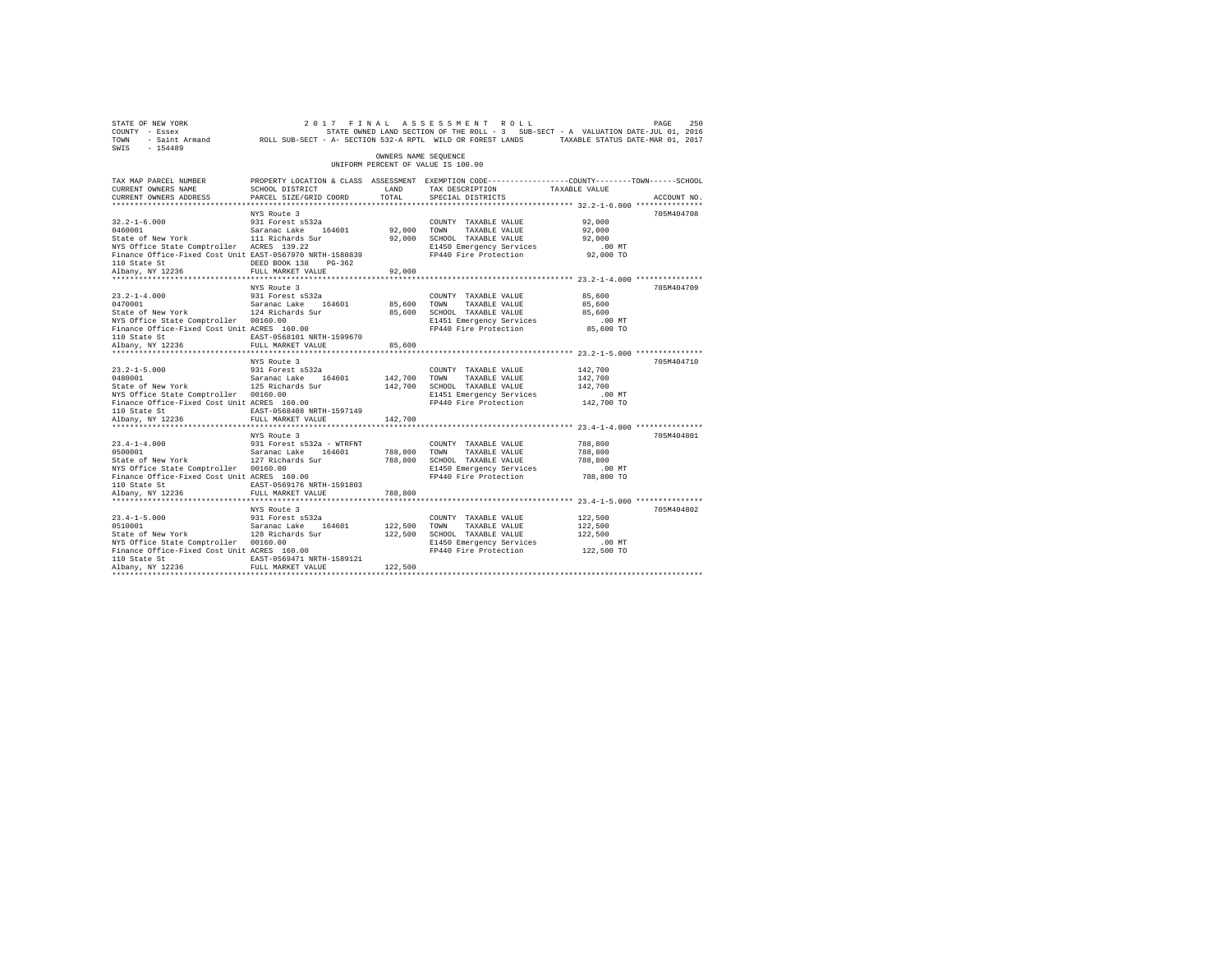| 260 PME PAGE 250 250 250 250 250 250 260 27 27 1 N A L A S S E S S M E N T R O L L<br>COUNTY - Essex 5 250 250 250 STATE ONNED LAND SECTION OF THE ROLL - 3 SUB-SECT - A VALUATION DATE-JUL 01, 2016<br>2011 - TOWN - Saint Armand<br>SWIS - 154489 |                                                                                                                   |                      |                                                                   |                  |             |
|-----------------------------------------------------------------------------------------------------------------------------------------------------------------------------------------------------------------------------------------------------|-------------------------------------------------------------------------------------------------------------------|----------------------|-------------------------------------------------------------------|------------------|-------------|
|                                                                                                                                                                                                                                                     |                                                                                                                   | OWNERS NAME SEOUENCE | UNIFORM PERCENT OF VALUE IS 100.00                                |                  |             |
| TAX MAP PARCEL NUMBER<br>CURRENT OWNERS NAME                                                                                                                                                                                                        | PROPERTY LOCATION & CLASS ASSESSMENT EXEMPTION CODE---------------COUNTY-------TOWN-----SCHOOL<br>SCHOOL DISTRICT | LAND                 | TAX DESCRIPTION TAXABLE VALUE                                     |                  |             |
| CURRENT OWNERS ADDRESS                                                                                                                                                                                                                              | PARCEL SIZE/GRID COORD                                                                                            | TOTAL                | SPECIAL DISTRICTS                                                 |                  | ACCOUNT NO. |
|                                                                                                                                                                                                                                                     |                                                                                                                   |                      |                                                                   |                  |             |
|                                                                                                                                                                                                                                                     | NYS Route 3                                                                                                       |                      |                                                                   |                  | 705M404708  |
| $\begin{tabular}{lllllllllll} 32.2\text{--}1\text{--}6.000 & 931 Forest s532a \\ 0460001 & Saranca: Lake & 164601 \\ State of New York & 111 Richards Sur \\ NYS Office State Computer & ACRES & 139.22 \\ \end{tabular}$                           |                                                                                                                   |                      | COUNTY TAXABLE VALUE                                              | 92,000<br>92,000 |             |
|                                                                                                                                                                                                                                                     |                                                                                                                   |                      | 92,000 TOWN TAXABLE VALUE<br>92,000 SCHOOL TAXABLE VALUE          | 92,000           |             |
|                                                                                                                                                                                                                                                     |                                                                                                                   |                      |                                                                   |                  |             |
| NYS Office State Comptroller ACRES 139.22<br>Finance Office-Fixed Cost Unit EAST-0567970 NRTH-1580839 PP440 Fire Protection 92,000 TO                                                                                                               |                                                                                                                   |                      |                                                                   |                  |             |
|                                                                                                                                                                                                                                                     | DEED BOOK 138 PG-362                                                                                              |                      |                                                                   |                  |             |
| 110 State St<br>Albany, NY 12236                                                                                                                                                                                                                    | FULL MARKET VALUE                                                                                                 | 92,000               |                                                                   |                  |             |
|                                                                                                                                                                                                                                                     |                                                                                                                   |                      |                                                                   |                  |             |
|                                                                                                                                                                                                                                                     | NYS Route 3                                                                                                       |                      |                                                                   |                  | 705M404709  |
|                                                                                                                                                                                                                                                     | 931 Forest s532a                                                                                                  |                      | COUNTY TAXABLE VALUE                                              | 85,600           |             |
| 23.2-1-4.000 931 Forest s532a<br>0470001 931 Saranac Lake 164601<br>State of New York 124 Richards Sur                                                                                                                                              |                                                                                                                   | 85,600 TOWN          | TAXABLE VALUE                                                     | 85,600           |             |
|                                                                                                                                                                                                                                                     |                                                                                                                   |                      | 85,600 SCHOOL TAXABLE VALUE                                       | 85,600           |             |
|                                                                                                                                                                                                                                                     |                                                                                                                   |                      | E1451 Emergency Services<br>FP440 Fire Protection 85,600 TO       | $.00$ MT         |             |
|                                                                                                                                                                                                                                                     |                                                                                                                   |                      |                                                                   |                  |             |
|                                                                                                                                                                                                                                                     |                                                                                                                   | 85,600               |                                                                   |                  |             |
|                                                                                                                                                                                                                                                     |                                                                                                                   |                      |                                                                   |                  |             |
|                                                                                                                                                                                                                                                     | NYS Route 3                                                                                                       |                      |                                                                   |                  | 705M404710  |
|                                                                                                                                                                                                                                                     |                                                                                                                   |                      | COUNTY TAXABLE VALUE                                              | 142,700          |             |
| 23.2-1-5.000 931 Forest s532a<br>0480001 931 Saranac Lake 164601<br>State of New York 125 Richards Sur                                                                                                                                              |                                                                                                                   |                      | 142,700 TOWN TAXABLE VALUE<br>142,700 SCHOOL TAXABLE VALUE        | 142,700          |             |
|                                                                                                                                                                                                                                                     |                                                                                                                   |                      |                                                                   | 142,700          |             |
| NYS Office State Comptroller 00160.00                                                                                                                                                                                                               |                                                                                                                   |                      | E1451 Emergency Services                                          | .00 MT           |             |
| Finance Office-Fixed Cost Unit ACRES 160.00                                                                                                                                                                                                         |                                                                                                                   |                      | FP440 Fire Protection 142,700 TO                                  |                  |             |
| 110 State St                                                                                                                                                                                                                                        | EAST-0568408 NRTH-1597149                                                                                         |                      |                                                                   |                  |             |
| Albany, NY 12236                                                                                                                                                                                                                                    | FULL MARKET VALUE<br>************************                                                                     | 142,700              |                                                                   |                  |             |
|                                                                                                                                                                                                                                                     | NYS Route 3                                                                                                       |                      |                                                                   |                  | 705M404801  |
| $23.4 - 1 - 4.000$                                                                                                                                                                                                                                  | 931 Forest s532a - WTRFNT                                                                                         |                      |                                                                   | 788,800          |             |
|                                                                                                                                                                                                                                                     |                                                                                                                   |                      |                                                                   | 788,800          |             |
|                                                                                                                                                                                                                                                     |                                                                                                                   |                      |                                                                   | 788,800          |             |
| NYS Office State Comptroller 00160.00                                                                                                                                                                                                               |                                                                                                                   |                      | E1450 Emergency Services                                          | $.00$ MT         |             |
| Finance Office-Fixed Cost Unit ACRES 160.00                                                                                                                                                                                                         |                                                                                                                   |                      | FP440 Fire Protection                                             | 788,800 TO       |             |
| 110 State St                                                                                                                                                                                                                                        | EAST-0569176 NRTH-1591803                                                                                         |                      |                                                                   |                  |             |
| Albany, NY 12236                                                                                                                                                                                                                                    | FULL MARKET VALUE                                                                                                 | 788,800              | *********************************** 23.4-1-5.000 **************** |                  |             |
|                                                                                                                                                                                                                                                     | NYS Route 3                                                                                                       |                      |                                                                   |                  | 705M404802  |
| $23.4 - 1 - 5.000$                                                                                                                                                                                                                                  | 931 Forest s532a                                                                                                  |                      | COUNTY TAXABLE VALUE                                              | 122,500          |             |
| 23.4-1-5.000 931 Forest s532a<br>0510001 930 Saranac Lake 164601<br>State of New York 128 Richards Sur                                                                                                                                              |                                                                                                                   | 122,500 TOWN         | TAXABLE VALUE                                                     | 122,500          |             |
|                                                                                                                                                                                                                                                     |                                                                                                                   |                      | 122,500 SCHOOL TAXABLE VALUE                                      | 122,500          |             |
| NYS Office State Comptroller 00160.00                                                                                                                                                                                                               |                                                                                                                   |                      | E1450 Emergency Services                                          | $.00$ MT         |             |
| Finance Office-Fixed Cost Unit ACRES 160.00                                                                                                                                                                                                         |                                                                                                                   |                      | FP440 Fire Protection 122.500 TO                                  |                  |             |
| 110 State St                                                                                                                                                                                                                                        | EAST-0569471 NRTH-1589121                                                                                         |                      |                                                                   |                  |             |
| Albany, NY 12236                                                                                                                                                                                                                                    | FULL MARKET VALUE                                                                                                 | 122,500              |                                                                   |                  |             |
|                                                                                                                                                                                                                                                     |                                                                                                                   |                      |                                                                   |                  |             |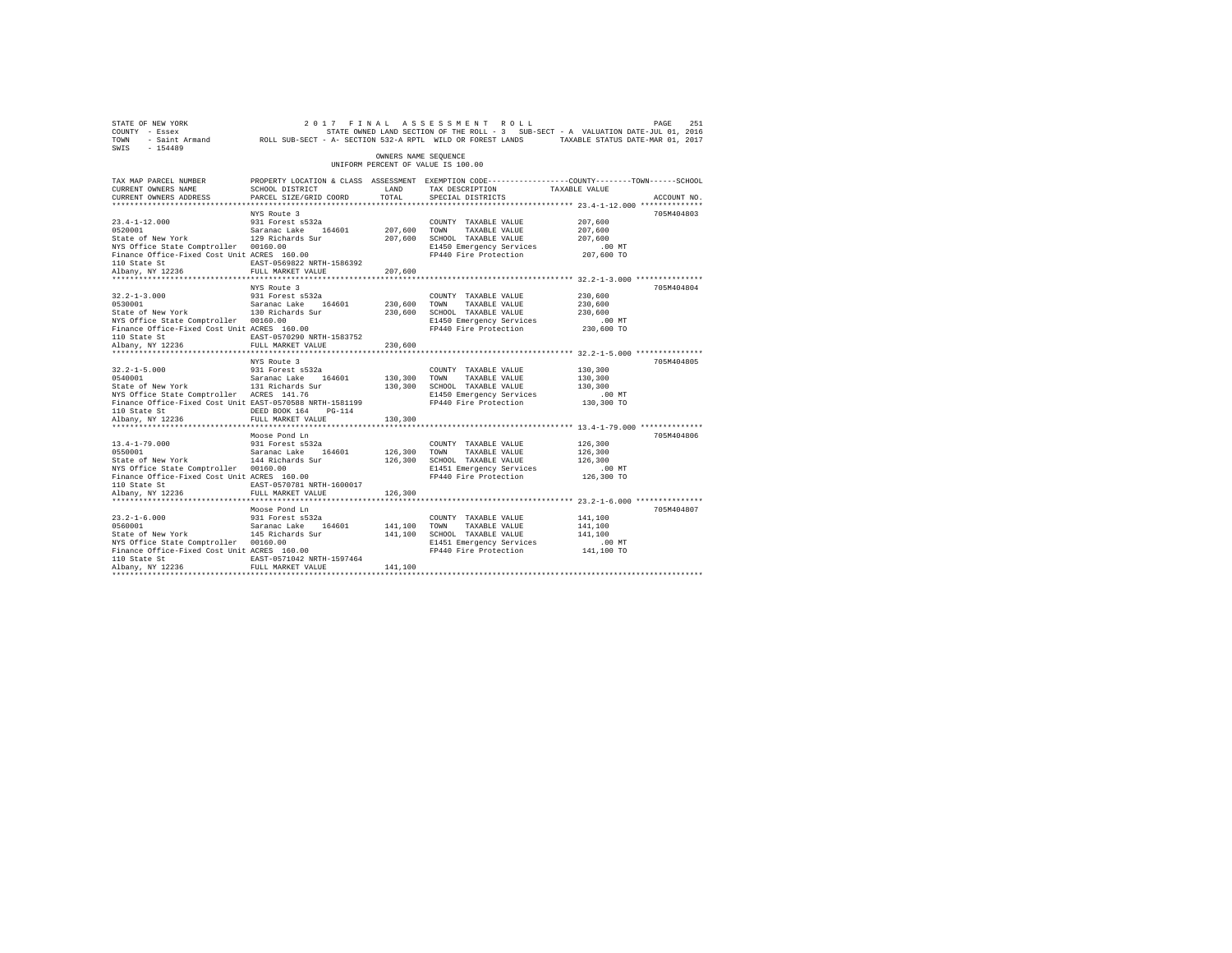| 2017 FINAL ASSESSMENT ROLL PAGE 251 PAGE 251 PAGE 251 PAGE 251 PAGE 251<br>COUNTY - Essex<br>TOWN - Saint_Armand ROLL SUB-SECT - A-SECTION 532-A RPTL WILD OR FOREST LANDS TAXABLE STATUS DATE-NAR 01, 2016<br>SWIS - 154489                                                                                                                      |             |
|---------------------------------------------------------------------------------------------------------------------------------------------------------------------------------------------------------------------------------------------------------------------------------------------------------------------------------------------------|-------------|
| OWNERS NAME SEOUENCE<br>UNIFORM PERCENT OF VALUE IS 100.00                                                                                                                                                                                                                                                                                        |             |
| PROPERTY LOCATION & CLASS ASSESSMENT EXEMPTION CODE---------------COUNTY-------TOWN-----SCHOOL<br>TAX MAP PARCEL NUMBER<br>TAX DESCRIPTION TAXABLE VALUE<br>CURRENT OWNERS NAME<br>SCHOOL DISTRICT<br>LAND                                                                                                                                        |             |
| CURRENT OWNERS ADDRESS<br>PARCEL SIZE/GRID COORD<br>TOTAL<br>SPECIAL DISTRICTS                                                                                                                                                                                                                                                                    | ACCOUNT NO. |
|                                                                                                                                                                                                                                                                                                                                                   |             |
| NYS Route 3                                                                                                                                                                                                                                                                                                                                       | 705M404803  |
| 23.4-1-12.000 931 Forest s532a<br>0520001 932001 5120 527201 528001<br>State of New York 129 Richards Sur<br>207,600<br>COUNTY TAXABLE VALUE                                                                                                                                                                                                      |             |
| 207.600<br>207,600<br>TOWN<br>TAXABLE VALUE                                                                                                                                                                                                                                                                                                       |             |
| 207,600 SCHOOL TAXABLE VALUE<br>207,600<br>NYS Office State Comptroller 00160.00                                                                                                                                                                                                                                                                  |             |
| E1450 Emergency Services<br>$.00$ MT<br>Finance Office-Fixed Cost Unit ACRES 160.00<br>FP440 Fire Protection 207,600 TO                                                                                                                                                                                                                           |             |
| EAST-0569822 NRTH-1586392                                                                                                                                                                                                                                                                                                                         |             |
| 110 State St<br>Albany, NY 12236<br>FULL MARKET VALUE<br>207,600                                                                                                                                                                                                                                                                                  |             |
|                                                                                                                                                                                                                                                                                                                                                   |             |
| NYS Route 3                                                                                                                                                                                                                                                                                                                                       | 705M404804  |
| $32.2 - 1 - 3.000$<br>931 Forest s532a<br>230,600<br>COUNTY TAXABLE VALUE                                                                                                                                                                                                                                                                         |             |
| $\begin{array}{lll} 32.2\text{--}1\text{--}3.000 & \phantom{00}931\text{ Forest s}532\text{a} \\ 0530001 & \phantom{00}530001 & \phantom{00}530001 \\ 0530001 & \phantom{000}332001 & \phantom{000}332000 \\ \text{State of New York} & \phantom{0000}332000 & \phantom{0000}33200 \\ \end{array}$<br>230,600<br>TAXABLE VALUE<br>230,600<br>TOWN |             |
| 230,600 SCHOOL TAXABLE VALUE<br>230,600                                                                                                                                                                                                                                                                                                           |             |
| NYS Office State Comptroller 00160.00<br>E1450 Emergency Services<br>$.00$ MT                                                                                                                                                                                                                                                                     |             |
| Finance Office-Fixed Cost Unit ACRES 160.00<br>FP440 Fire Protection 230,600 TO                                                                                                                                                                                                                                                                   |             |
| EAST-0570290 NRTH-1583752<br>110 State St<br>Albany, NY 12236                                                                                                                                                                                                                                                                                     |             |
| FULL MARKET VALUE<br>230,600                                                                                                                                                                                                                                                                                                                      |             |
| NYS Route 3                                                                                                                                                                                                                                                                                                                                       | 705M404805  |
| 130,300<br>COUNTY TAXABLE VALUE                                                                                                                                                                                                                                                                                                                   |             |
| 130,300                                                                                                                                                                                                                                                                                                                                           |             |
| 32.2-1-5.000 931 Forest s532a<br>0540001 5 Saranac Lake 164601<br>State of New York 131 Richards Sur<br>130,300 TOWN TAXABLE VALUE<br>130,300 SCHOOL TAXABLE VALUE<br>130,300                                                                                                                                                                     |             |
| NYS Office State Comptroller ACRES 141.76<br>E1450 Emergency Services<br>.00 MT                                                                                                                                                                                                                                                                   |             |
| Finance Office-Fixed Cost Unit EAST-0570588 NRTH-1581199<br>FP440 Fire Protection 130,300 TO                                                                                                                                                                                                                                                      |             |
| 110 State St<br>DEED BOOK 164 PG-114                                                                                                                                                                                                                                                                                                              |             |
| FULL MARKET VALUE<br>Albany, NY 12236<br>130,300                                                                                                                                                                                                                                                                                                  |             |
| **************************<br>*************************** 13.4-1-79.000 **************                                                                                                                                                                                                                                                            |             |
| Moose Pond Ln                                                                                                                                                                                                                                                                                                                                     | 705M404806  |
| 126,300<br>$13.4 - 1 - 79.000$<br>931 Forest s532a<br>COUNTY TAXABLE VALUE<br>$13.4 - 1 - 79.000$<br>0550001                                                                                                                                                                                                                                      |             |
| 0550001 Saranac Lake 164601<br>State of New York 144 Richards Sur<br>126,300 TOWN<br>126,300<br>TAXABLE VALUE<br>126,300 SCHOOL TAXABLE VALUE<br>126,300                                                                                                                                                                                          |             |
| NYS Office State Comptroller 00160.00<br>E1451 Emergency Services<br>$.00$ MT                                                                                                                                                                                                                                                                     |             |
| Finance Office-Fixed Cost Unit ACRES 160.00<br>FP440 Fire Protection 126,300 TO                                                                                                                                                                                                                                                                   |             |
| EAST-0570781 NRTH-1600017<br>110 State St                                                                                                                                                                                                                                                                                                         |             |
| FULL MARKET VALUE<br>Albany, NY 12236<br>126,300                                                                                                                                                                                                                                                                                                  |             |
|                                                                                                                                                                                                                                                                                                                                                   |             |
| Moose Pond Ln                                                                                                                                                                                                                                                                                                                                     | 705M404807  |
| $23.2 - 1 - 6.000$<br>931 Forest s532a<br>141,100<br>COUNTY TAXABLE VALUE<br>$23.2 - 1 - 6.000$<br>0560001                                                                                                                                                                                                                                        |             |
| 0560001 Saranac Lake 164601<br>State of New York 145 Richards Sur<br>141.100 TOWN<br>141,100<br>TAXABLE VALUE                                                                                                                                                                                                                                     |             |
| 141,100 SCHOOL TAXABLE VALUE<br>141,100                                                                                                                                                                                                                                                                                                           |             |
| NYS Office State Comptroller 00160.00<br>E1451 Emergency Services<br>$.00$ MT<br>Finance Office-Fixed Cost Unit ACRES 160.00<br>FP440 Fire Protection 141,100 TO                                                                                                                                                                                  |             |
| EAST-0571042 NRTH-1597464<br>110 State St                                                                                                                                                                                                                                                                                                         |             |
| 141,100<br>Albany, NY 12236<br>FULL MARKET VALUE                                                                                                                                                                                                                                                                                                  |             |
|                                                                                                                                                                                                                                                                                                                                                   |             |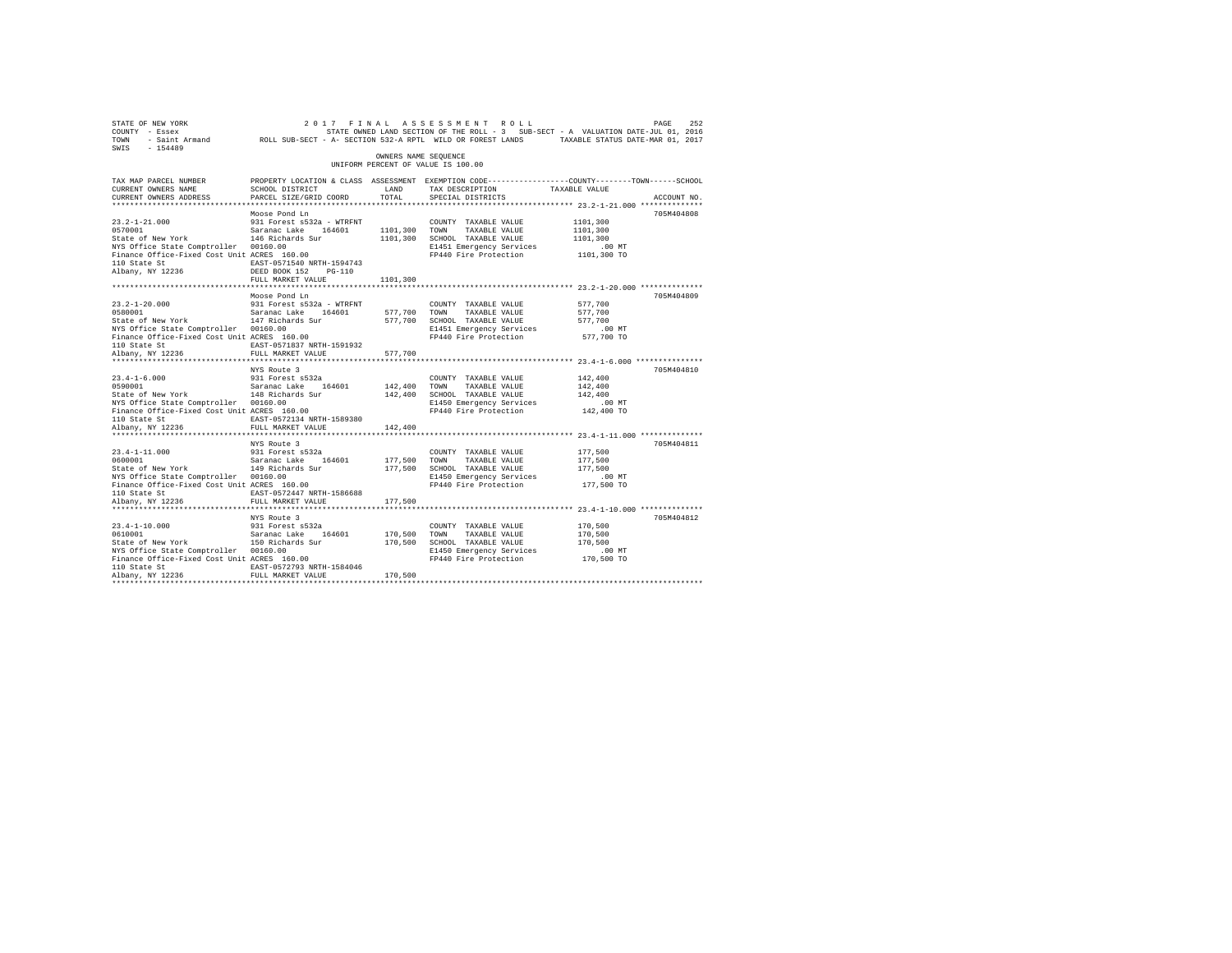| STATE OF NEW YORK<br>COUNTY - Essex<br>TOWN<br>$-154489$<br>SWIS                                                                                                                                    |                                                                                                               |                         | 2017 FINAL ASSESSMENT ROLL<br>STATE OWNED LAND SECTION OF THE ROLL - 3 SUB-SECT - A VALUATION DATE-JUL 01, 2016<br>- Saint Armand ROLL SUB-SECT - A- SECTION 532-A RPTL WILD OR FOREST LANDS TAXABLE STATUS DATE-MAR 01, 2017 |                                                         | 252<br>PAGE |  |
|-----------------------------------------------------------------------------------------------------------------------------------------------------------------------------------------------------|---------------------------------------------------------------------------------------------------------------|-------------------------|-------------------------------------------------------------------------------------------------------------------------------------------------------------------------------------------------------------------------------|---------------------------------------------------------|-------------|--|
| OWNERS NAME SEOUENCE<br>UNIFORM PERCENT OF VALUE IS 100.00                                                                                                                                          |                                                                                                               |                         |                                                                                                                                                                                                                               |                                                         |             |  |
| TAX MAP PARCEL NUMBER<br>CURRENT OWNERS NAME<br>CURRENT OWNERS ADDRESS<br>**************************                                                                                                | SCHOOL DISTRICT<br>PARCEL SIZE/GRID COORD                                                                     | LAND<br>TOTAL.          | PROPERTY LOCATION & CLASS ASSESSMENT EXEMPTION CODE---------------COUNTY-------TOWN-----SCHOOL<br>TAX DESCRIPTION<br>SPECIAL DISTRICTS                                                                                        | TAXABLE VALUE                                           | ACCOUNT NO. |  |
|                                                                                                                                                                                                     | Moose Pond Ln                                                                                                 |                         |                                                                                                                                                                                                                               |                                                         | 705M404808  |  |
| $23.2 - 1 - 21.000$<br>0570001<br>State of New York                                                                                                                                                 | 931 Forest s532a - WTRFNT<br>Saranac Lake 164601<br>146 Richards Sur                                          | 1101,300 TOWN           | COUNTY TAXABLE VALUE<br>TAXABLE VALUE<br>1101,300 SCHOOL TAXABLE VALUE                                                                                                                                                        | 1101,300<br>1101,300<br>1101,300                        |             |  |
| wis UIIIce State Comptroller 00160.00<br>Finance Office-Fixed Cost Unit ACRES 160.00<br>110 Otel –<br>110 State St<br>Albany, NY 12236                                                              | EAST-0571540 NRTH-1594743<br>DEED BOOK 152 PG-110<br>FULL MARKET VALUE                                        | 1101,300                | E1451 Emergency Services<br>FP440 Fire Protection                                                                                                                                                                             | $.00$ MT<br>1101,300 TO                                 |             |  |
|                                                                                                                                                                                                     |                                                                                                               |                         |                                                                                                                                                                                                                               |                                                         |             |  |
| $23.2 - 1 - 20.000$<br>0580001<br>State of New York 147 Richards Sur<br>NYS Office State Comptroller 00160.00<br>Finance Office-Fixed Cost Unit ACRES 160.00                                        | Moose Pond Ln<br>931 Forest s532a - WTRFNT<br>Saranac Lake 164601                                             | 577,700 TOWN            | COUNTY TAXABLE VALUE<br>TAXABLE VALUE<br>577,700 SCHOOL TAXABLE VALUE<br>E1451 Emergency Services<br>FP440 Fire Protection                                                                                                    | 577,700<br>577,700<br>577.700<br>$.00$ MT<br>577,700 TO | 705M404809  |  |
| 110 State St<br>Albany, NY 12236                                                                                                                                                                    | EAST-0571837 NRTH-1591932<br>FULL MARKET VALUE                                                                | 577,700                 |                                                                                                                                                                                                                               |                                                         |             |  |
|                                                                                                                                                                                                     | NYS Route 3                                                                                                   |                         |                                                                                                                                                                                                                               |                                                         | 705M404810  |  |
| $23.4 - 1 - 6.000$<br>0590001<br>State of New York<br>NYS Office State Comptroller 00160.00<br>NYS Office State Comptroller 00160.00<br>Finance Office-Fixed Cost Unit ACRES 160.00<br>110 State St | 931 Forest s532a<br>Saranac Lake 164601<br>148 Richards Sur<br>EAST-0572134 NRTH-1589380                      | 142,400 TOWN            | COUNTY TAXABLE VALUE<br>TAXABLE VALUE<br>142,400 SCHOOL TAXABLE VALUE<br>E1450 Emergency Services<br>FP440 Fire Protection                                                                                                    | 142,400<br>142,400<br>142,400<br>$.00$ MT<br>142,400 TO |             |  |
| Albany, NY 12236                                                                                                                                                                                    | FULL MARKET VALUE                                                                                             | 142,400                 |                                                                                                                                                                                                                               |                                                         |             |  |
|                                                                                                                                                                                                     | NYS Route 3                                                                                                   |                         |                                                                                                                                                                                                                               |                                                         | 705M404811  |  |
| $23.4 - 1 - 11.000$<br>0600001<br>State of New York<br>NYS Office State Comptroller 00160.00<br>Finance Office-Fixed Cost Unit ACRES 160.00<br>110 State St<br>Albany, NY 12236                     | 931 Forest s532a<br>Saranac Lake 164601<br>149 Richards Sur<br>EAST-0572447 NRTH-1586688<br>FULL MARKET VALUE | 177,500 TOWN<br>177,500 | COUNTY TAXABLE VALUE<br>TAXABLE VALUE<br>177,500 SCHOOL TAXABLE VALUE<br>E1450 Emergency Services<br>FP440 Fire Protection                                                                                                    | 177,500<br>177,500<br>177.500<br>$.00$ MT<br>177,500 TO |             |  |
|                                                                                                                                                                                                     | NYS Route 3                                                                                                   |                         |                                                                                                                                                                                                                               |                                                         | 705M404812  |  |
| $23.4 - 1 - 10.000$<br>0610001<br>State of New York<br>NYS Office State Comptroller 00160.00<br>Finance Office-Fixed Cost Unit ACRES 160.00<br>110 State St                                         | 931 Forest s532a<br>Saranac Lake 164601<br>150 Richards Sur<br>EAST-0572793 NRTH-1584046                      | 170,500                 | COUNTY TAXABLE VALUE<br>TOWN<br>TAXABLE VALUE<br>170,500 SCHOOL TAXABLE VALUE<br>E1450 Emergency Services<br>FP440 Fire Protection                                                                                            | 170,500<br>170,500<br>170,500<br>.00 MT<br>170,500 TO   |             |  |
| Albany, NY 12236                                                                                                                                                                                    | FULL MARKET VALUE                                                                                             | 170,500                 |                                                                                                                                                                                                                               |                                                         |             |  |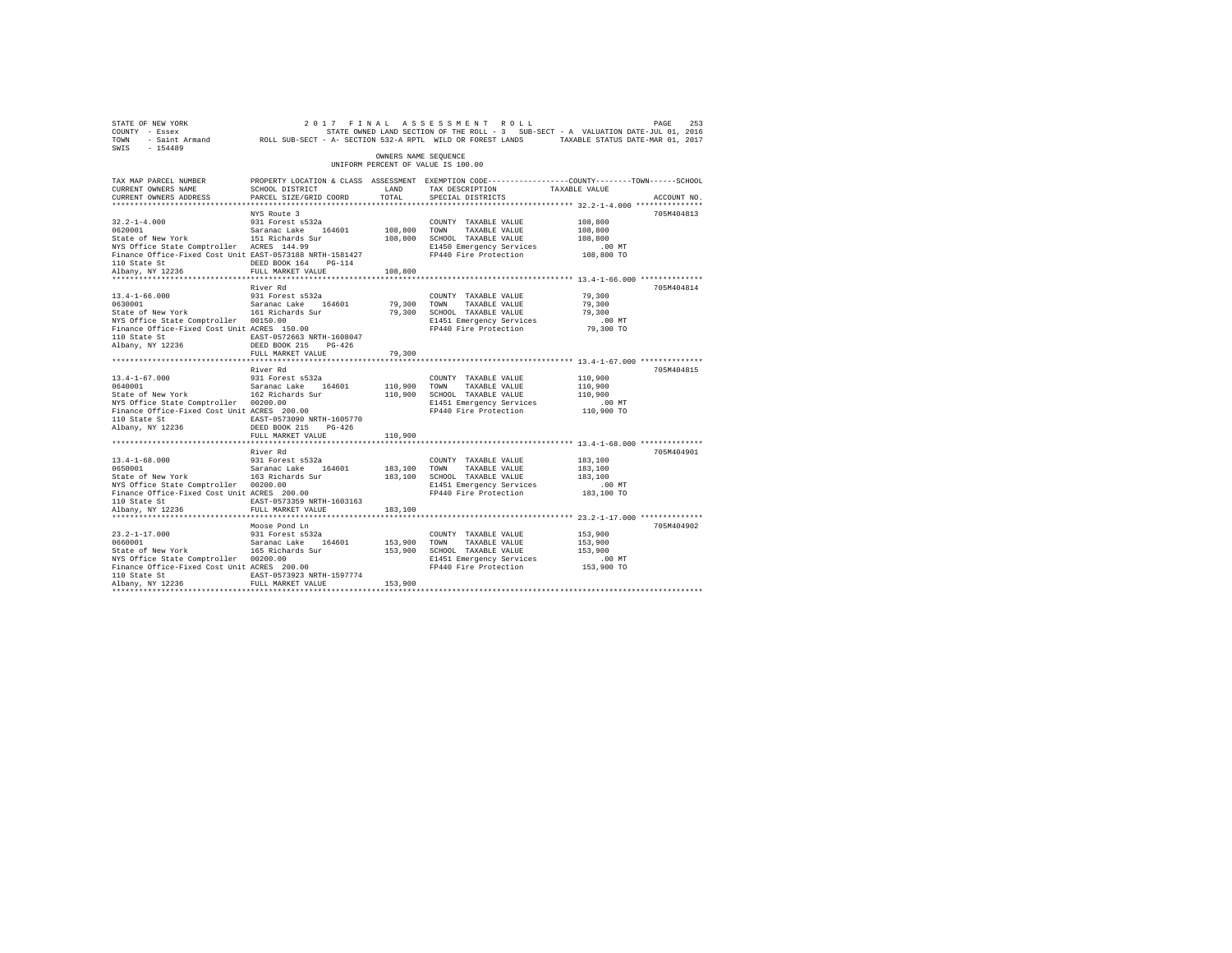| STATE OF NEW YORK<br>COUNTY - Essex<br>TOWN<br>SWIS<br>$-154489$                                                                                                                                                                                  | - Saint Armand ROLL SUB-SECT - A- SECTION 532-A RPTL WILD OR FOREST LANDS TAXABLE STATUS DATE-MAR 01, 2017                                   |                         | 2017 FINAL ASSESSMENT ROLL<br>STATE OWNED LAND SECTION OF THE ROLL - 3 SUB-SECT - A VALUATION DATE-JUL 01, 2016            |                                                         | 253<br>PAGE |
|---------------------------------------------------------------------------------------------------------------------------------------------------------------------------------------------------------------------------------------------------|----------------------------------------------------------------------------------------------------------------------------------------------|-------------------------|----------------------------------------------------------------------------------------------------------------------------|---------------------------------------------------------|-------------|
|                                                                                                                                                                                                                                                   |                                                                                                                                              | OWNERS NAME SEQUENCE    | UNIFORM PERCENT OF VALUE IS 100.00                                                                                         |                                                         |             |
| TAX MAP PARCEL NUMBER<br>CURRENT OWNERS NAME<br>CURRENT OWNERS ADDRESS                                                                                                                                                                            | PROPERTY LOCATION & CLASS ASSESSMENT EXEMPTION CODE----------------COUNTY-------TOWN-----SCHOOL<br>SCHOOL DISTRICT<br>PARCEL SIZE/GRID COORD | LAND<br>TOTAL           | TAX DESCRIPTION<br>SPECIAL DISTRICTS                                                                                       | TAXABLE VALUE                                           | ACCOUNT NO. |
| $32.2 - 1 - 4.000$<br>$32.2 - 1 - 4.000$<br>0620001<br>0620001 Saranac Lake 164601<br>State of New York 151 Richards Sur<br>NYS Office State Comptroller ACRES 144.99<br>Finance Office-Fixed Cost Unit EAST-0573188 NRTH-1581427<br>110 State St | NYS Route 3<br>931 Forest s532a<br>DEED BOOK 164 PG-114                                                                                      | 108,800 TOWN            | COUNTY TAXABLE VALUE<br>TAXABLE VALUE<br>108,800 SCHOOL TAXABLE VALUE<br>E1450 Emergency Services<br>FP440 Fire Protection | 108,800<br>108,800<br>108,800<br>$.00$ MT<br>108,800 TO | 705M404813  |
| Albany, NY 12236<br>**********************                                                                                                                                                                                                        | FULL MARKET VALUE<br>************************                                                                                                | 108,800<br>***********  |                                                                                                                            | ************** 13.4-1-66.000 ***************            |             |
| $13.4 - 1 - 66.000$<br>0630001<br>State of New York<br>wis UIIIce State Comptroller 00150.00<br>Finance Office-Fixed Cost Unit ACRES 150.00<br>110 Oktober<br>110 State St<br>Albany, NY 12236                                                    | River Rd<br>931 Forest s532a<br>Saranac Lake 164601<br>161 Richards Sur<br>EAST-0572663 NRTH-1608047<br>DEED BOOK 215 PG-426                 | 79,300<br>79,300        | COUNTY TAXABLE VALUE<br>TAXABLE VALUE<br>TOWN<br>SCHOOL TAXABLE VALUE<br>E1451 Emergency Services<br>FP440 Fire Protection | 79,300<br>79,300<br>79,300<br>$.00$ MT<br>79,300 TO     | 705M404814  |
|                                                                                                                                                                                                                                                   | FULL MARKET VALUE                                                                                                                            | 79,300                  |                                                                                                                            |                                                         |             |
| $13.4 - 1 - 67.000$<br>0640001 Saranac Lake 164601<br>State of New York 162 Richards Sur<br>NYS Office State Comptroller 00200.00<br>Finance Office-Fixed Cost Unit ACRES 200.00<br>110 State St<br>Albany, NY 12236                              | River Rd<br>931 Forest s532a<br>EAST-0573090 NRTH-1605770<br>DEED BOOK 215 PG-426                                                            | 110,900 TOWN            | COUNTY TAXABLE VALUE<br>TAXABLE VALUE<br>110,900 SCHOOL TAXABLE VALUE<br>E1451 Emergency Services<br>FP440 Fire Protection | 110,900<br>110,900<br>110,900<br>$.00$ MT<br>110,900 TO | 705M404815  |
|                                                                                                                                                                                                                                                   | FULL MARKET VALUE                                                                                                                            | 110,900                 |                                                                                                                            |                                                         |             |
| $13.4 - 1 - 68.000$<br>0650001<br>State of New York 163 Richards Sur<br>NYS Office State Comptroller 00200.00<br>Finance Office-Fixed Cost Unit ACRES 200.00<br>110 State St<br>Albany, NY 12236                                                  | River Rd<br>931 Forest s532a<br>Saranac Lake 164601<br>EAST-0573359 NRTH-1603163<br>FULL MARKET VALUE                                        | 183,100 TOWN<br>183,100 | COUNTY TAXABLE VALUE<br>TAXABLE VALUE<br>183,100 SCHOOL TAXABLE VALUE<br>E1451 Emergency Services<br>FP440 Fire Protection | 183,100<br>183,100<br>183,100<br>$.00$ MT<br>183,100 TO | 705M404901  |
| $23.2 - 1 - 17.000$<br>0660001<br>State of New York<br>NYS Office State Comptroller 00200.00<br>Finance Office-Fixed Cost Unit ACRES 200.00<br>110 State St<br>Albany, NY 12236                                                                   | Moose Pond Ln<br>931 Forest s532a<br>Saranac Lake 164601<br>165 Richards Sur<br>EAST-0573923 NRTH-1597774<br>FULL MARKET VALUE               | 153,900 TOWN<br>153,900 | COUNTY TAXABLE VALUE<br>TAXABLE VALUE<br>153,900 SCHOOL TAXABLE VALUE<br>E1451 Emergency Services<br>FP440 Fire Protection | 153,900<br>153,900<br>153,900<br>$.00$ MT<br>153,900 TO | 705M404902  |
|                                                                                                                                                                                                                                                   |                                                                                                                                              |                         |                                                                                                                            |                                                         |             |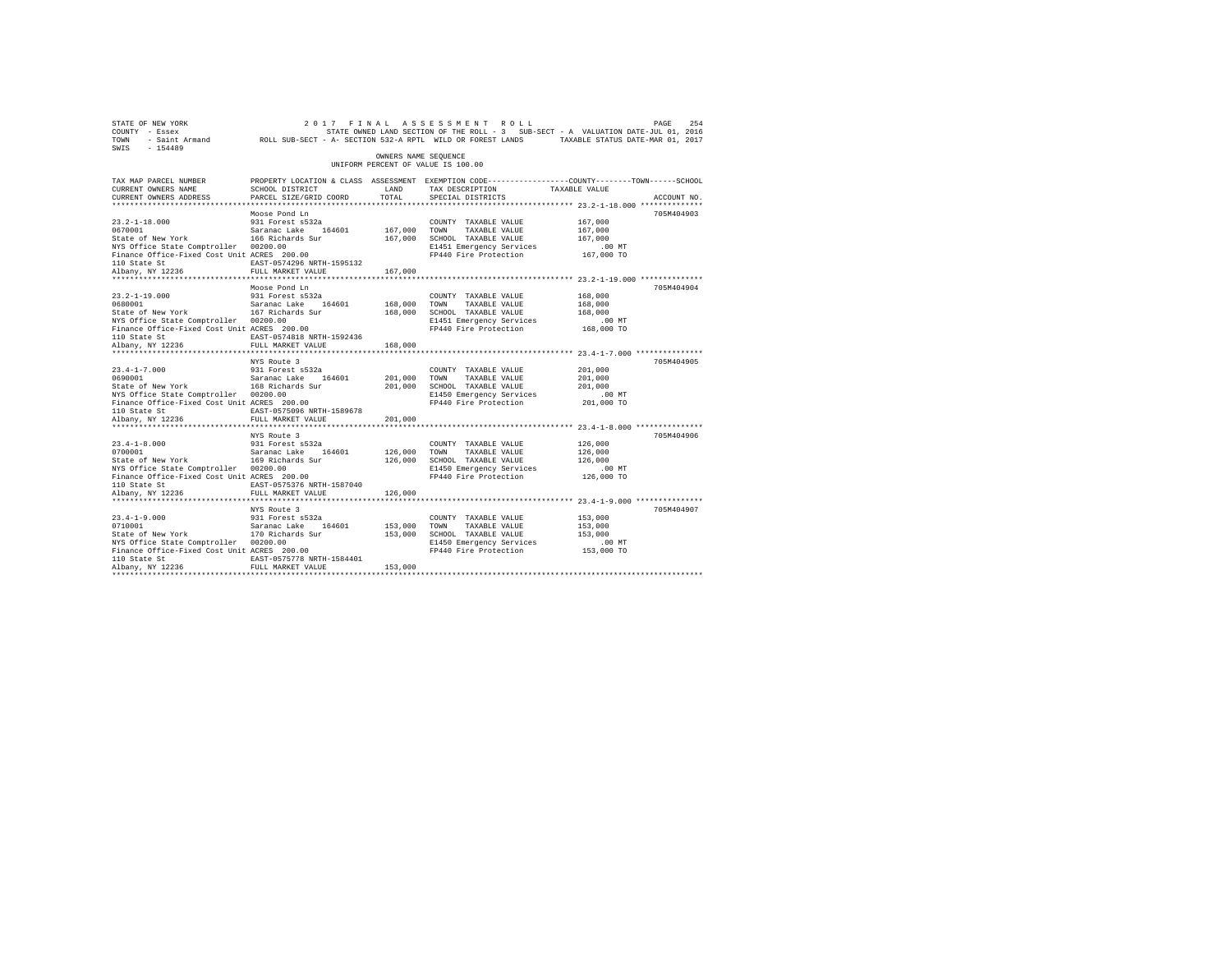| 2017 FINAL ASSESSMENT ROLL PAGE 254 PAGE 254 PAGE 254 PAGE 254 PAGE 254 PAGE 254 PAGE 254 PAGE 254 PAGE 254 PAGE 254 PAGE 254 PAGE 254 PAGE 254 PAGE 276 PAGE 276 PAGE 276 PAGE 276 PAGE 276 PAGE 276 PAGE 276 PAGE 276 PAGE 2<br>SWIS - 154489 |                                                                                                                   |                      |                                                              |                                                          |             |
|-------------------------------------------------------------------------------------------------------------------------------------------------------------------------------------------------------------------------------------------------|-------------------------------------------------------------------------------------------------------------------|----------------------|--------------------------------------------------------------|----------------------------------------------------------|-------------|
|                                                                                                                                                                                                                                                 |                                                                                                                   | OWNERS NAME SEOUENCE | UNIFORM PERCENT OF VALUE IS 100.00                           |                                                          |             |
| TAX MAP PARCEL NUMBER<br>CURRENT OWNERS NAME                                                                                                                                                                                                    | PROPERTY LOCATION & CLASS ASSESSMENT EXEMPTION CODE---------------COUNTY-------TOWN-----SCHOOL<br>SCHOOL DISTRICT | LAND                 | TAX DESCRIPTION TAXABLE VALUE                                |                                                          |             |
| CURRENT OWNERS ADDRESS                                                                                                                                                                                                                          | PARCEL SIZE/GRID COORD                                                                                            | TOTAL                | SPECIAL DISTRICTS                                            |                                                          | ACCOUNT NO. |
|                                                                                                                                                                                                                                                 | Moose Pond Ln                                                                                                     |                      |                                                              |                                                          | 705M404903  |
|                                                                                                                                                                                                                                                 |                                                                                                                   |                      | COUNTY TAXABLE VALUE                                         | 167,000                                                  |             |
|                                                                                                                                                                                                                                                 |                                                                                                                   | 167,000              | TOWN<br>TAXABLE VALUE                                        | 167,000                                                  |             |
|                                                                                                                                                                                                                                                 |                                                                                                                   |                      | 167,000 SCHOOL TAXABLE VALUE                                 | 167,000                                                  |             |
| NYS Office State Comptroller 00200.00                                                                                                                                                                                                           |                                                                                                                   |                      | E1451 Emergency Services                                     | $.00$ MT                                                 |             |
| Finance Office-Fixed Cost Unit ACRES 200.00                                                                                                                                                                                                     |                                                                                                                   |                      | FP440 Fire Protection 167,000 TO                             |                                                          |             |
| 110 State St<br>Albany, NY 12236                                                                                                                                                                                                                | EAST-0574296 NRTH-1595132                                                                                         |                      |                                                              |                                                          |             |
|                                                                                                                                                                                                                                                 | FULL MARKET VALUE                                                                                                 | 167,000              |                                                              |                                                          |             |
|                                                                                                                                                                                                                                                 |                                                                                                                   |                      |                                                              |                                                          |             |
|                                                                                                                                                                                                                                                 | Moose Pond Ln                                                                                                     |                      |                                                              |                                                          | 705M404904  |
| $23.2 - 1 - 19.000$                                                                                                                                                                                                                             | 931 Forest s532a                                                                                                  |                      | COUNTY TAXABLE VALUE                                         | 168,000                                                  |             |
| 0680001 Saranac Lake 164601<br>State of New York 167 Richards Sur                                                                                                                                                                               |                                                                                                                   | 168,000              | TAXABLE VALUE<br>TOWN                                        | 168,000                                                  |             |
| NYS Office State Comptroller 00200.00                                                                                                                                                                                                           |                                                                                                                   |                      | 168,000 SCHOOL TAXABLE VALUE                                 | 168,000                                                  |             |
| Finance Office-Fixed Cost Unit ACRES 200.00                                                                                                                                                                                                     |                                                                                                                   |                      | E1451 Emergency Services<br>FP440 Fire Protection 168,000 TO | $.00$ MT                                                 |             |
|                                                                                                                                                                                                                                                 | EAST-0574818 NRTH-1592436                                                                                         |                      |                                                              |                                                          |             |
| 110 State St<br>Albany, NY 12236                                                                                                                                                                                                                | FULL MARKET VALUE                                                                                                 | 168,000              |                                                              |                                                          |             |
|                                                                                                                                                                                                                                                 |                                                                                                                   |                      |                                                              |                                                          |             |
|                                                                                                                                                                                                                                                 | NYS Route 3                                                                                                       |                      |                                                              |                                                          | 705M404905  |
| $23.4 - 1 - 7.000$                                                                                                                                                                                                                              |                                                                                                                   |                      | COUNTY TAXABLE VALUE                                         | 201,000                                                  |             |
| 23.4-1-7.000 931 Forest s532a<br>0690001 931 582ananac Lake 164601<br>State of New York 168 Richards Sur                                                                                                                                        |                                                                                                                   | 201,000              | 201,000 TOWN TAXABLE VALUE<br>201,000 SCHOOL TAXABLE VALUE   | 201,000                                                  |             |
|                                                                                                                                                                                                                                                 |                                                                                                                   |                      |                                                              | 201,000                                                  |             |
| NYS Office State Comptroller 00200.00                                                                                                                                                                                                           |                                                                                                                   |                      | E1450 Emergency Services                                     | .00 MT                                                   |             |
| Finance Office-Fixed Cost Unit ACRES 200.00                                                                                                                                                                                                     |                                                                                                                   |                      | FP440 Fire Protection                                        | 201,000 TO                                               |             |
| 110 State St                                                                                                                                                                                                                                    | EAST-0575096 NRTH-1589678<br>FULL MARKET VALUE                                                                    |                      |                                                              |                                                          |             |
| Albany, NY 12236                                                                                                                                                                                                                                | ************************                                                                                          | 201,000              |                                                              | *************************** 23.4-1-8.000 *************** |             |
|                                                                                                                                                                                                                                                 | NYS Route 3                                                                                                       |                      |                                                              |                                                          | 705M404906  |
| $23.4 - 1 - 8.000$                                                                                                                                                                                                                              |                                                                                                                   |                      | COUNTY TAXABLE VALUE                                         | 126,000                                                  |             |
|                                                                                                                                                                                                                                                 |                                                                                                                   |                      |                                                              | 126,000                                                  |             |
| 23.4-1-8.000 931 Forest s532a<br>0700001 Saranac Lake 164601<br>State of New York 169 Richards Sur                                                                                                                                              |                                                                                                                   |                      | 126,000 TOWN TAXABLE VALUE<br>126,000 SCHOOL TAXABLE VALUE   | 126,000                                                  |             |
| NYS Office State Comptroller 00200.00                                                                                                                                                                                                           |                                                                                                                   |                      | E1450 Emergency Services                                     | $.00$ MT                                                 |             |
| Finance Office-Fixed Cost Unit ACRES 200.00                                                                                                                                                                                                     |                                                                                                                   |                      | FP440 Fire Protection 126,000 TO                             |                                                          |             |
| 110 State St                                                                                                                                                                                                                                    | EAST-0575376 NRTH-1587040                                                                                         |                      |                                                              |                                                          |             |
| Albany, NY 12236                                                                                                                                                                                                                                | FULL MARKET VALUE                                                                                                 | 126,000              |                                                              |                                                          |             |
|                                                                                                                                                                                                                                                 |                                                                                                                   |                      |                                                              |                                                          | 705M404907  |
| $23.4 - 1 - 9.000$                                                                                                                                                                                                                              | NYS Route 3<br>931 Forest s532a                                                                                   |                      |                                                              | 153,000                                                  |             |
| 23.4-1-9.000<br>0710001                                                                                                                                                                                                                         |                                                                                                                   | 153,000 TOWN         | COUNTY TAXABLE VALUE<br>TAXABLE VALUE                        | 153,000                                                  |             |
| 0710001 Saranac Lake 164601<br>State of New York 170 Richards Sur                                                                                                                                                                               |                                                                                                                   |                      | 153,000 SCHOOL TAXABLE VALUE                                 | 153,000                                                  |             |
| NYS Office State Comptroller 00200.00                                                                                                                                                                                                           |                                                                                                                   |                      | E1450 Emergency Services                                     | $.00$ MT                                                 |             |
| Finance Office-Fixed Cost Unit ACRES 200.00                                                                                                                                                                                                     |                                                                                                                   |                      | FP440 Fire Protection 153,000 TO                             |                                                          |             |
| 110 State St                                                                                                                                                                                                                                    | EAST-0575778 NRTH-1584401                                                                                         |                      |                                                              |                                                          |             |
| Albany, NY 12236                                                                                                                                                                                                                                | FULL MARKET VALUE                                                                                                 | 153,000              |                                                              |                                                          |             |
|                                                                                                                                                                                                                                                 |                                                                                                                   |                      |                                                              |                                                          |             |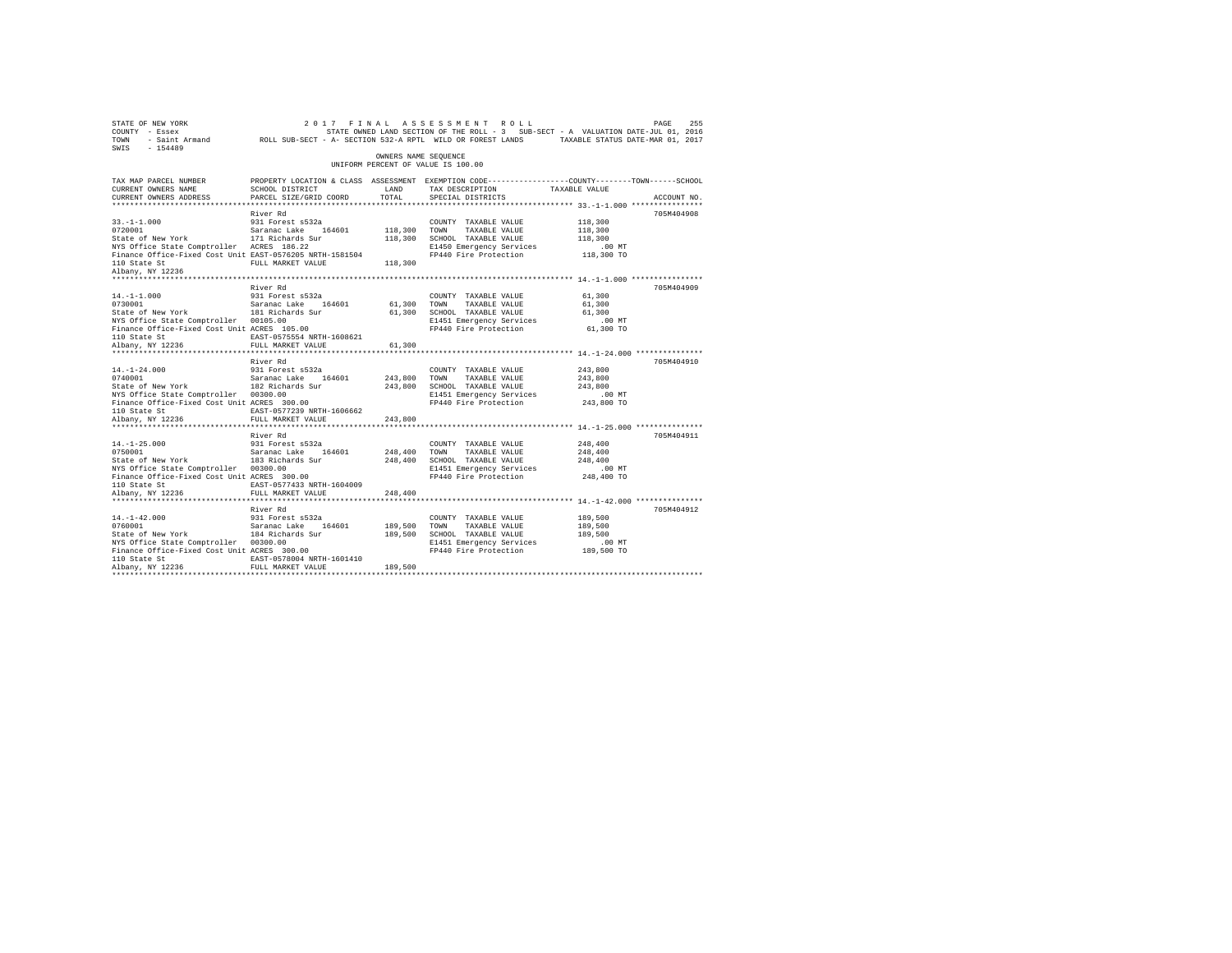| 2017 FINAL ASSESSMENT ROLL PAGE 255 PAGE 255 PAGE 255 PAGE 255 PAGE 255 PAGE 255<br>COUNTY - Essex<br>TOWN - Saint_Armand ROLL SUB-SECT - A-SECTION 532-A RPTL WILD OR FOREST LANDS TAXABLE STATUS DATE-MAR 01, 2017<br>SWIS - 154489 |                                                                                                                   |                      |                                                                    |                    |             |
|---------------------------------------------------------------------------------------------------------------------------------------------------------------------------------------------------------------------------------------|-------------------------------------------------------------------------------------------------------------------|----------------------|--------------------------------------------------------------------|--------------------|-------------|
|                                                                                                                                                                                                                                       |                                                                                                                   | OWNERS NAME SEOUENCE | UNIFORM PERCENT OF VALUE IS 100.00                                 |                    |             |
| TAX MAP PARCEL NUMBER<br>CURRENT OWNERS NAME                                                                                                                                                                                          | PROPERTY LOCATION & CLASS ASSESSMENT EXEMPTION CODE---------------COUNTY-------TOWN-----SCHOOL<br>SCHOOL DISTRICT | LAND                 | TAX DESCRIPTION TAXABLE VALUE                                      |                    |             |
| CURRENT OWNERS ADDRESS                                                                                                                                                                                                                | PARCEL SIZE/GRID COORD                                                                                            | TOTAL                | SPECIAL DISTRICTS                                                  |                    | ACCOUNT NO. |
|                                                                                                                                                                                                                                       |                                                                                                                   |                      |                                                                    |                    |             |
|                                                                                                                                                                                                                                       | River Rd                                                                                                          |                      |                                                                    |                    | 705M404908  |
| $33. -1 - 1.000$                                                                                                                                                                                                                      | 931 Forest s532a                                                                                                  | 118,300 TOWN         | COUNTY TAXABLE VALUE<br>TAXABLE VALUE                              | 118,300<br>118,300 |             |
| 0720001 Saranac Lake 164601<br>State of New York 171 Richards Sur                                                                                                                                                                     |                                                                                                                   |                      | 118,300 SCHOOL TAXABLE VALUE                                       | 118,300            |             |
| NYS Office State Comptroller ACRES 186.22                                                                                                                                                                                             |                                                                                                                   |                      |                                                                    |                    |             |
| Finance Office-Fixed Cost Unit EAST-0576205 NRTH-1581504                                                                                                                                                                              |                                                                                                                   |                      |                                                                    |                    |             |
| 110 State St<br>Albany, NY 12236                                                                                                                                                                                                      | FULL MARKET VALUE                                                                                                 | 118,300              |                                                                    |                    |             |
|                                                                                                                                                                                                                                       |                                                                                                                   |                      |                                                                    |                    |             |
|                                                                                                                                                                                                                                       | River Rd                                                                                                          |                      |                                                                    |                    | 705M404909  |
| $14. - 1 - 1.000$                                                                                                                                                                                                                     | 931 Forest s532a                                                                                                  |                      | COUNTY TAXABLE VALUE                                               | 61,300             |             |
| 17.1-1.000<br>Saranac Lake 164601<br>Saranac Lake 164601<br>Saranac Lake 164601                                                                                                                                                       |                                                                                                                   | 61,300               | TOWN<br>TAXABLE VALUE                                              | 61,300             |             |
|                                                                                                                                                                                                                                       |                                                                                                                   | 61,300               | SCHOOL TAXABLE VALUE                                               | 61,300             |             |
| NYS Office State Comptroller 00105.00                                                                                                                                                                                                 |                                                                                                                   |                      | E1451 Emergency Services                                           | $.00$ MT           |             |
| Finance Office-Fixed Cost Unit ACRES 105.00                                                                                                                                                                                           |                                                                                                                   |                      | FP440 Fire Protection 61,300 TO                                    |                    |             |
| 110 State St<br>Albany, NY 12236                                                                                                                                                                                                      | EAST-0575554 NRTH-1608621                                                                                         |                      |                                                                    |                    |             |
|                                                                                                                                                                                                                                       | FULL MARKET VALUE                                                                                                 | 61,300               |                                                                    |                    |             |
|                                                                                                                                                                                                                                       |                                                                                                                   |                      |                                                                    |                    |             |
| $14. - 1 - 24.000$                                                                                                                                                                                                                    | River Rd<br>931 Forest s532a                                                                                      |                      | COUNTY TAXABLE VALUE                                               | 243,800            | 705M404910  |
|                                                                                                                                                                                                                                       |                                                                                                                   | 243,800              | TOWN<br>TAXABLE VALUE                                              | 243,800            |             |
| 14.-1-24.000 931 Forest s532a<br>0740001 931 Saranac Lake 164601<br>State of New York 182 Richards Sur                                                                                                                                |                                                                                                                   |                      | 243,800 SCHOOL TAXABLE VALUE                                       | 243,800            |             |
| NYS Office State Comptroller 00300.00                                                                                                                                                                                                 |                                                                                                                   |                      | E1451 Emergency Services                                           | $.00$ MT           |             |
| Finance Office-Fixed Cost Unit ACRES 300.00                                                                                                                                                                                           |                                                                                                                   |                      | FP440 Fire Protection                                              | 243,800 TO         |             |
| 110 State St                                                                                                                                                                                                                          | EAST-0577239 NRTH-1606662                                                                                         |                      |                                                                    |                    |             |
| Albany, NY 12236                                                                                                                                                                                                                      | FULL MARKET VALUE                                                                                                 | 243,800              |                                                                    |                    |             |
|                                                                                                                                                                                                                                       | *************************                                                                                         |                      |                                                                    |                    |             |
|                                                                                                                                                                                                                                       | River Rd                                                                                                          |                      |                                                                    |                    | 705M404911  |
| $14. -1 - 25.000$<br>14.-1-25.000<br>0750001                                                                                                                                                                                          | 931 Forest s532a                                                                                                  |                      | COUNTY TAXABLE VALUE                                               | 248,400            |             |
| 0750001 Saranac Lake 164601<br>State of New York 183 Richards Sur                                                                                                                                                                     |                                                                                                                   | 248,400              | TOWN<br>TAXABLE VALUE                                              | 248,400            |             |
|                                                                                                                                                                                                                                       |                                                                                                                   |                      | 248,400 SCHOOL TAXABLE VALUE                                       | 248,400            |             |
| NYS Office State Comptroller 00300.00                                                                                                                                                                                                 |                                                                                                                   |                      | E1451 Emergency Services                                           | $.00$ MT           |             |
| Finance Office-Fixed Cost Unit ACRES 300.00                                                                                                                                                                                           |                                                                                                                   |                      | FP440 Fire Protection 248,400 TO                                   |                    |             |
| 110 State St<br>Albany, NY 12236                                                                                                                                                                                                      | EAST-0577433 NRTH-1604009<br>FULL MARKET VALUE                                                                    |                      |                                                                    |                    |             |
|                                                                                                                                                                                                                                       |                                                                                                                   | 248,400              | ************************************ 14.-1-42.000 **************** |                    |             |
|                                                                                                                                                                                                                                       | River Rd                                                                                                          |                      |                                                                    |                    | 705M404912  |
| $14. -1 - 42.000$                                                                                                                                                                                                                     | 931 Forest s532a                                                                                                  |                      | COUNTY TAXABLE VALUE                                               | 189,500            |             |
| 14.-1-42.000<br>0760001                                                                                                                                                                                                               |                                                                                                                   | 189,500 TOWN         | TAXABLE VALUE                                                      | 189,500            |             |
| 0760001 Saranac Lake 164601<br>State of New York 184 Richards Sur                                                                                                                                                                     |                                                                                                                   |                      | 189,500 SCHOOL TAXABLE VALUE                                       | 189,500            |             |
| NYS Office State Comptroller 00300.00                                                                                                                                                                                                 |                                                                                                                   |                      | E1451 Emergency Services                                           | $.00$ MT           |             |
| Finance Office-Fixed Cost Unit ACRES 300.00                                                                                                                                                                                           |                                                                                                                   |                      | FP440 Fire Protection 189,500 TO                                   |                    |             |
| 110 State St                                                                                                                                                                                                                          | EAST-0578004 NRTH-1601410                                                                                         |                      |                                                                    |                    |             |
| Albany, NY 12236                                                                                                                                                                                                                      | FULL MARKET VALUE                                                                                                 | 189,500              |                                                                    |                    |             |
|                                                                                                                                                                                                                                       |                                                                                                                   |                      |                                                                    |                    |             |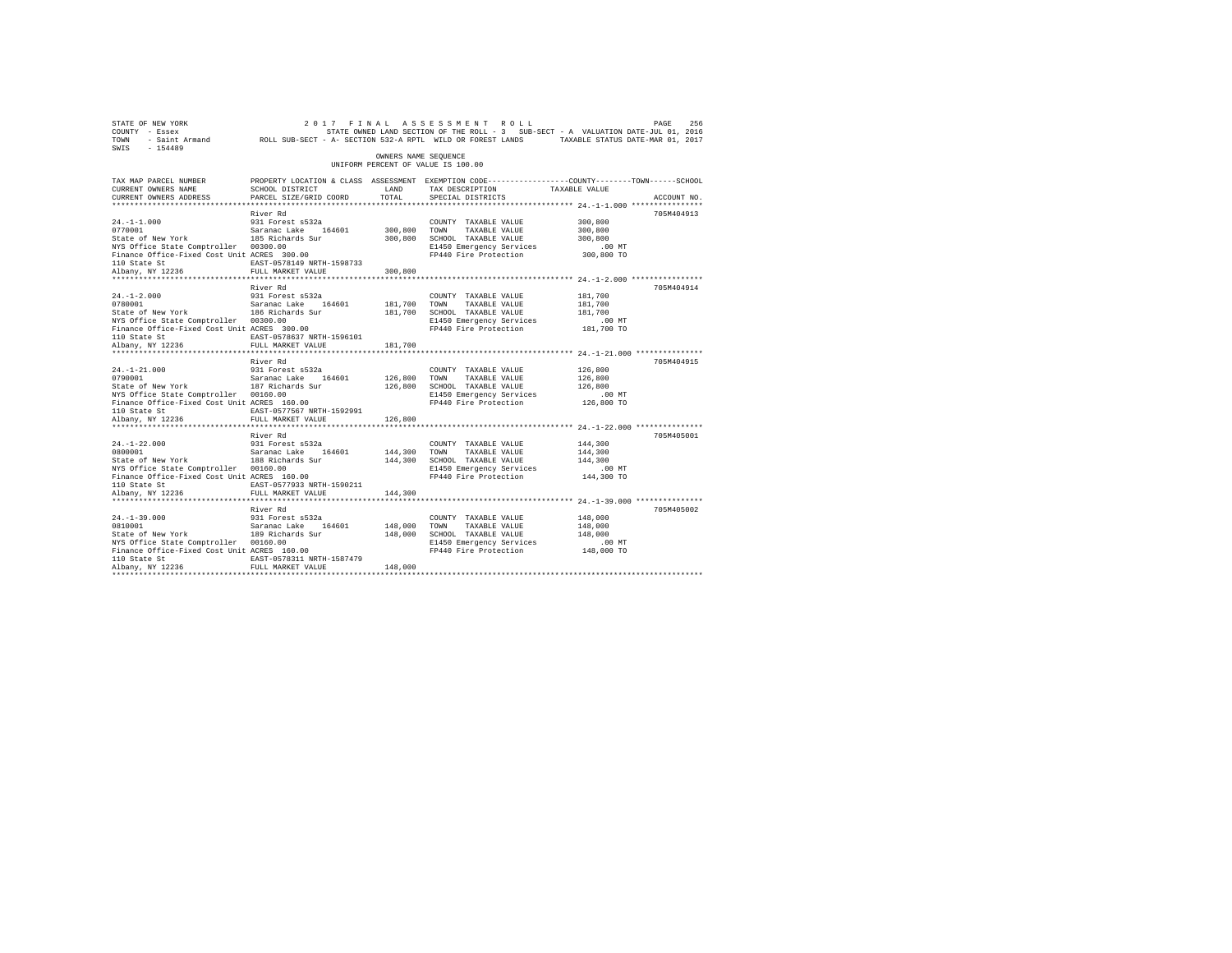| STATE OF NEW YORK<br>COUNTY - Essex<br>TOWN<br>$SWTS = 154489$                                                                                                                                                                                          |                                                                                |                         |                                                                                                                                                       |                                           |             |
|---------------------------------------------------------------------------------------------------------------------------------------------------------------------------------------------------------------------------------------------------------|--------------------------------------------------------------------------------|-------------------------|-------------------------------------------------------------------------------------------------------------------------------------------------------|-------------------------------------------|-------------|
|                                                                                                                                                                                                                                                         |                                                                                | OWNERS NAME SEQUENCE    | UNIFORM PERCENT OF VALUE IS 100.00                                                                                                                    |                                           |             |
| TAX MAP PARCEL NUMBER<br>CURRENT OWNERS NAME<br>CURRENT OWNERS ADDRESS                                                                                                                                                                                  | SCHOOL DISTRICT<br>PARCEL SIZE/GRID COORD                                      | LAND<br>TOTAL           | PROPERTY LOCATION & CLASS ASSESSMENT EXEMPTION CODE----------------COUNTY-------TOWN-----SCHOOL<br>TAX DESCRIPTION TAXABLE VALUE<br>SPECIAL DISTRICTS |                                           | ACCOUNT NO. |
| $24. -1 - 1.000$<br>2770001<br>Saranac Lake 164601<br>State of New York 185 Richards Sur<br>NYS Office State Comptroller 00300.00<br>Finance Office-Fixed Cost Unit ACRES 300.00<br>110 State St<br>Albany, NY 12236                                    | River Rd<br>931 Forest s532a<br>EAST-0578149 NRTH-1598733<br>FULL MARKET VALUE | 300,800 TOWN<br>300,800 | COUNTY TAXABLE VALUE<br>TAXABLE VALUE<br>300,800 SCHOOL TAXABLE VALUE<br>E1450 Emergency Services<br>FP440 Fire Protection 300,800 TO                 | 300,800<br>300,800<br>300,800<br>$.00$ MT | 705M404913  |
| $24. -1 - 2.000$<br>$24. -1 - 2.000$<br>0780001<br>0780001 Saranac Lake 164601<br>State of New York 186 Richards Sur<br>NYS Office State Comptroller 00300.00<br>Finance Office-Fixed Cost Unit ACRES 300.00                                            | River Rd<br>931 Forest s532a                                                   | 181,700 TOWN<br>181,700 | COUNTY TAXABLE VALUE<br>TAXABLE VALUE<br>181,700 SCHOOL TAXABLE VALUE<br>E1450 Emergency Services<br>FP440 Fire Protection 181,700 TO                 | 181,700<br>181,700<br>181,700<br>$.00$ MT | 705M404914  |
| $24. -1 - 21.000$<br>24.-1-21.000 931 Forest s532a<br>0790001 581 582anac Lake 164601<br>State of New York 187 Richards Sur<br>NYS Office State Comptroller 00160.00<br>Finance Office-Fixed Cost Unit ACRES 160.00<br>110 State St<br>Albany, NY 12236 | River Rd<br>931 Forest s532a<br>EAST-0577567 NRTH-1592991<br>FULL MARKET VALUE | 126,800 TOWN<br>126,800 | COUNTY TAXABLE VALUE<br>TAXABLE VALUE<br>126,800 SCHOOL TAXABLE VALUE<br>E1450 Emergency Services<br>FP440 Fire Protection 126,800 TO                 | 126,800<br>126,800<br>126,800<br>$.00$ MT | 705M404915  |
| $24. -1 - 22.000$<br>24.-1-22.000<br>0800001<br>0800001 Saranac Lake 164601<br>State of New York 188 Richards Sur<br>NYS Office State Comptroller 00160.00<br>Finance Office-Fixed Cost Unit ACRES 160.00<br>110 State St<br>Albany, NY 12236           | River Rd<br>931 Forest s532a<br>EAST-0577933 NRTH-1590211<br>FULL MARKET VALUE | 144,300                 | COUNTY TAXABLE VALUE<br>144,300 TOWN TAXABLE VALUE<br>144,300 SCHOOL TAXABLE VALUE<br>E1450 Emergency Services<br>FP440 Fire Protection 144,300 TO    | 144,300<br>144,300<br>144,300<br>$.00$ MT | 705M405001  |
| $24. -1 - 39.000$<br>$24. -1 - 39.000$<br>0810001<br>0810001  Saranac Lake 164601<br>State of New York  189 Richards Sur<br>NYS Office State Comptroller 00160.00<br>Finance Office-Fixed Cost Unit ACRES 160.00<br>110 State St<br>Albany, NY 12236    | River Rd<br>931 Forest s532a<br>EAST-0578311 NRTH-1587479<br>FULL MARKET VALUE | 148,000 TOWN<br>148,000 | COUNTY TAXABLE VALUE<br>TAXABLE VALUE<br>148,000 SCHOOL TAXABLE VALUE<br>E1450 Emergency Services<br>FP440 Fire Protection 148,000 TO                 | 148,000<br>148,000<br>148,000<br>$.00$ MT | 705M405002  |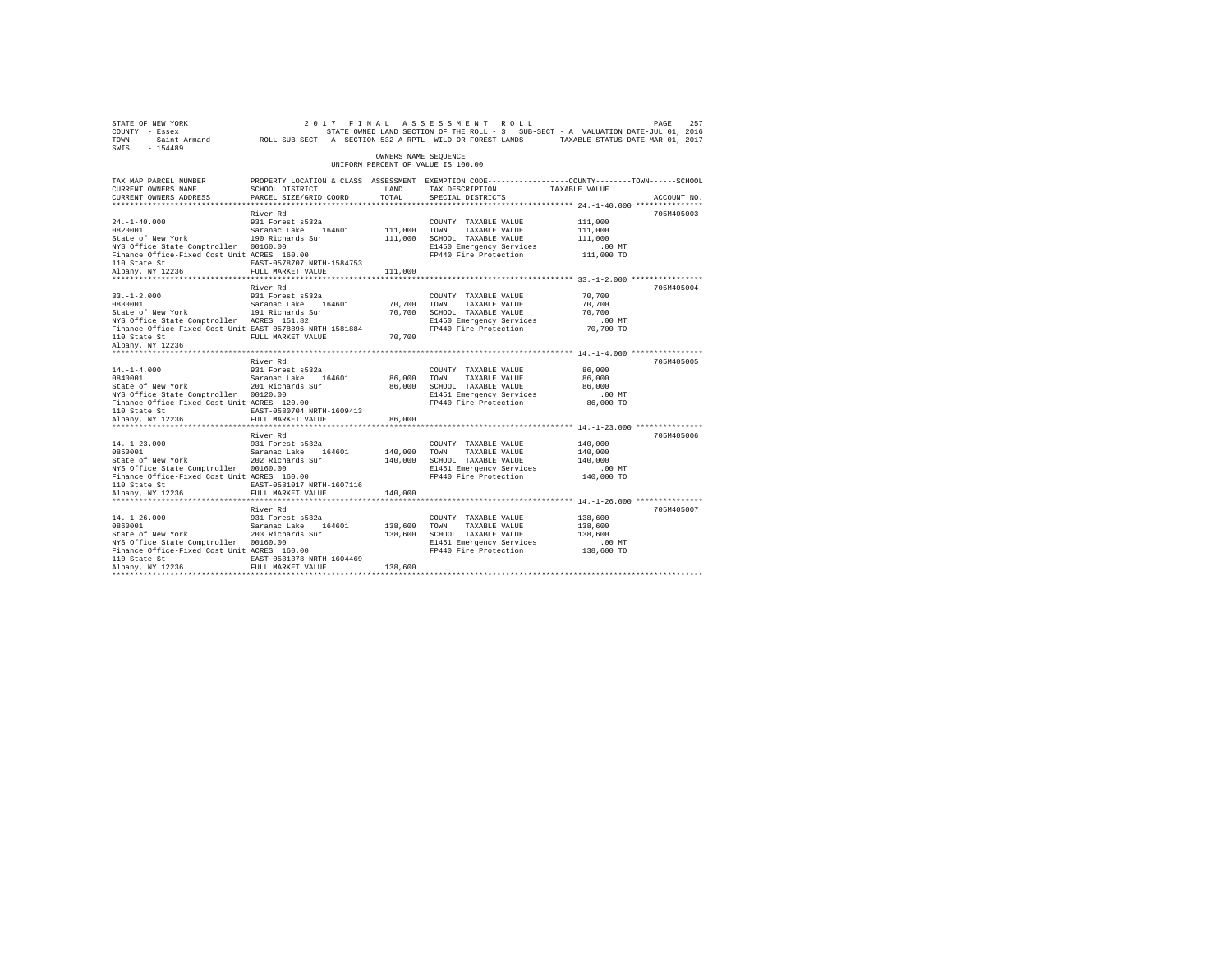| $\begin{array}{cccccccccccccc} \texttt{STATE OF NEW WORK} & \texttt{OREN} & \texttt{ORNE} & \texttt{ORNE} & \texttt{ORNE} & \texttt{ORNE} & \texttt{ORNE} & \texttt{ORNE} & \texttt{ORNE} & \texttt{ORNE} & \texttt{ORNE} & \texttt{ORNE} & \texttt{ORNE} & \texttt{ORNE} & \texttt{ORNE} & \texttt{ORNE} & \texttt{ORNE} & \texttt{ORNE} & \texttt{ORNE} & \texttt{ORNE} & \texttt{ORNE} & \texttt{ORNE} & \texttt{ORNE} & \texttt{ORNE} & \texttt{ORNE} & \texttt{ORNE}$<br>SWIS - 154489 |                                                                                                                                                                                                                                | OWNERS NAME SEQUENCE    |                                                                                                                                                         |                                                          |             |
|---------------------------------------------------------------------------------------------------------------------------------------------------------------------------------------------------------------------------------------------------------------------------------------------------------------------------------------------------------------------------------------------------------------------------------------------------------------------------------------------|--------------------------------------------------------------------------------------------------------------------------------------------------------------------------------------------------------------------------------|-------------------------|---------------------------------------------------------------------------------------------------------------------------------------------------------|----------------------------------------------------------|-------------|
|                                                                                                                                                                                                                                                                                                                                                                                                                                                                                             |                                                                                                                                                                                                                                |                         | UNIFORM PERCENT OF VALUE IS 100.00                                                                                                                      |                                                          |             |
| TAX MAP PARCEL NUMBER<br>CURRENT OWNERS NAME<br>CURRENT OWNERS ADDRESS                                                                                                                                                                                                                                                                                                                                                                                                                      | PROPERTY LOCATION & CLASS ASSESSMENT EXEMPTION CODE---------------COUNTY-------TOWN------SCHOOL<br>SCHOOL DISTRICT<br>PARCEL SIZE/GRID COORD                                                                                   | LAND<br>TOTAL           | TAX DESCRIPTION TAXABLE VALUE<br>SPECIAL DISTRICTS                                                                                                      |                                                          | ACCOUNT NO. |
|                                                                                                                                                                                                                                                                                                                                                                                                                                                                                             |                                                                                                                                                                                                                                |                         |                                                                                                                                                         |                                                          |             |
| $24. -1 - 40.000$<br>24.-1-40.000 931 Forest s532a<br>0820001 931 Saranac Lake 164601<br>State of New York 190 Richards Sur<br>NYS Office State Comptroller 00160.00<br>Finance Office-Fixed Cost Unit ACRES 160.00                                                                                                                                                                                                                                                                         | River Rd<br>931 Forest s532a                                                                                                                                                                                                   | 111,000 TOWN            | COUNTY TAXABLE VALUE<br>TAXABLE VALUE<br>111,000 SCHOOL TAXABLE VALUE<br>E1450 Emergency Services<br>FP440 Fire Protection 111,000 TO                   | 111,000<br>111,000<br>111,000<br>$.00$ MT                | 705M405003  |
| 110 State St<br>Albany, NY 12236                                                                                                                                                                                                                                                                                                                                                                                                                                                            | EAST-0578707 NRTH-1584753<br>FULL MARKET VALUE                                                                                                                                                                                 | 111,000                 |                                                                                                                                                         |                                                          |             |
| $33. - 1 - 2.000$                                                                                                                                                                                                                                                                                                                                                                                                                                                                           | River Rd<br>931 Forest s532a                                                                                                                                                                                                   |                         | COUNTY TAXABLE VALUE                                                                                                                                    | 70,700                                                   | 705M405004  |
| $33. - 1 - 2.000$<br>0830001<br>0830001 Saranac Lake 164601<br>State of New York 191 Richards Sur<br>NYS Office State Comptroller ACRES 151.82<br>Finance Office-Fixed Cost Unit EAST-0578896 NRTH-1581884                                                                                                                                                                                                                                                                                  | 912 - 2022 - 2022 - 2022 - 2022 - 2022 - 2022 - 2022 - 2022 - 2022 - 2022 - 2022 - 2022 - 2022 - 2022 - 2022 - 2022 - 2022 - 2022 - 2022 - 2022 - 2022 - 2022 - 2022 - 2022 - 2022 - 2022 - 2022 - 2022 - 2022 - 2022 - 2022 - |                         |                                                                                                                                                         |                                                          |             |
| 110 State St<br>Albany, NY 12236                                                                                                                                                                                                                                                                                                                                                                                                                                                            |                                                                                                                                                                                                                                |                         |                                                                                                                                                         |                                                          |             |
|                                                                                                                                                                                                                                                                                                                                                                                                                                                                                             | River Rd                                                                                                                                                                                                                       |                         |                                                                                                                                                         |                                                          | 705M405005  |
| $14. - 1 - 4.000$<br>14.-1-4.000 931 Forest s532a<br>0840001 931 Saranac Lake 164601<br>State of New York 201 Richards Sur<br>NYS Office State Comptroller 00120.00<br>Finance Office-Fixed Cost Unit ACRES 120.00<br>110 State St                                                                                                                                                                                                                                                          | 931 Forest s532a<br>EAST-0580704 NRTH-1609413                                                                                                                                                                                  |                         | COUNTY TAXABLE VALUE<br>86,000 TOWN TAXABLE VALUE<br>86,000 SCHOOL TAXABLE VALUE<br>E1451 Emergency Services .00 MT<br>FP440 Fire Protection  86,000 TO | 86,000<br>86,000<br>86,000                               |             |
| Albany, NY 12236                                                                                                                                                                                                                                                                                                                                                                                                                                                                            | FULL MARKET VALUE                                                                                                                                                                                                              | 86,000                  |                                                                                                                                                         |                                                          |             |
|                                                                                                                                                                                                                                                                                                                                                                                                                                                                                             | ***************************<br>River Rd                                                                                                                                                                                        |                         |                                                                                                                                                         | *************************** 14.-1-23.000 *************** | 705M405006  |
| 14.-1-23.000 931 Forest s532a<br>0850001 931 Saranac Lake 164601<br>State of New York 202 Richards Sur<br>NYS Office State Comptroller 00160.00<br>Finance Office-Fixed Cost Unit ACRES 160.00<br>110 State St<br>Albany, NY 12236                                                                                                                                                                                                                                                          | EAST-0581017 NRTH-1607116<br>FULL MARKET VALUE                                                                                                                                                                                 | 140,000 TOWN<br>140,000 | COUNTY TAXABLE VALUE<br>140,000 TOWN TAXABLE VALUE<br>140,000 SCHOOL TAXABLE VALUE<br>E1451 Emergency Services<br>FP440 Fire Protection 140,000 TO      | 140,000<br>140,000<br>140,000<br>$.00$ MT                |             |
|                                                                                                                                                                                                                                                                                                                                                                                                                                                                                             |                                                                                                                                                                                                                                |                         | ********************************** 14.-1-26.000 ****************                                                                                        |                                                          |             |
| $14. - 1 - 26.000$<br>NYS Office State Comptroller 00160.00<br>Finance Office-Fixed Cost Unit ACRES 160.00<br>110 State St                                                                                                                                                                                                                                                                                                                                                                  | River Rd<br>931 Forest s532a<br>EAST-0581378 NRTH-1604469                                                                                                                                                                      |                         | COUNTY TAXABLE VALUE<br>TAXABLE VALUE<br>138,600 SCHOOL TAXABLE VALUE<br>E1451 Emergency Services<br>FP440 Fire Protection 138,600 TO                   | 138,600<br>138,600<br>138,600<br>.00MT                   | 705M405007  |
| Albany, NY 12236                                                                                                                                                                                                                                                                                                                                                                                                                                                                            | FULL MARKET VALUE                                                                                                                                                                                                              | 138,600                 |                                                                                                                                                         |                                                          |             |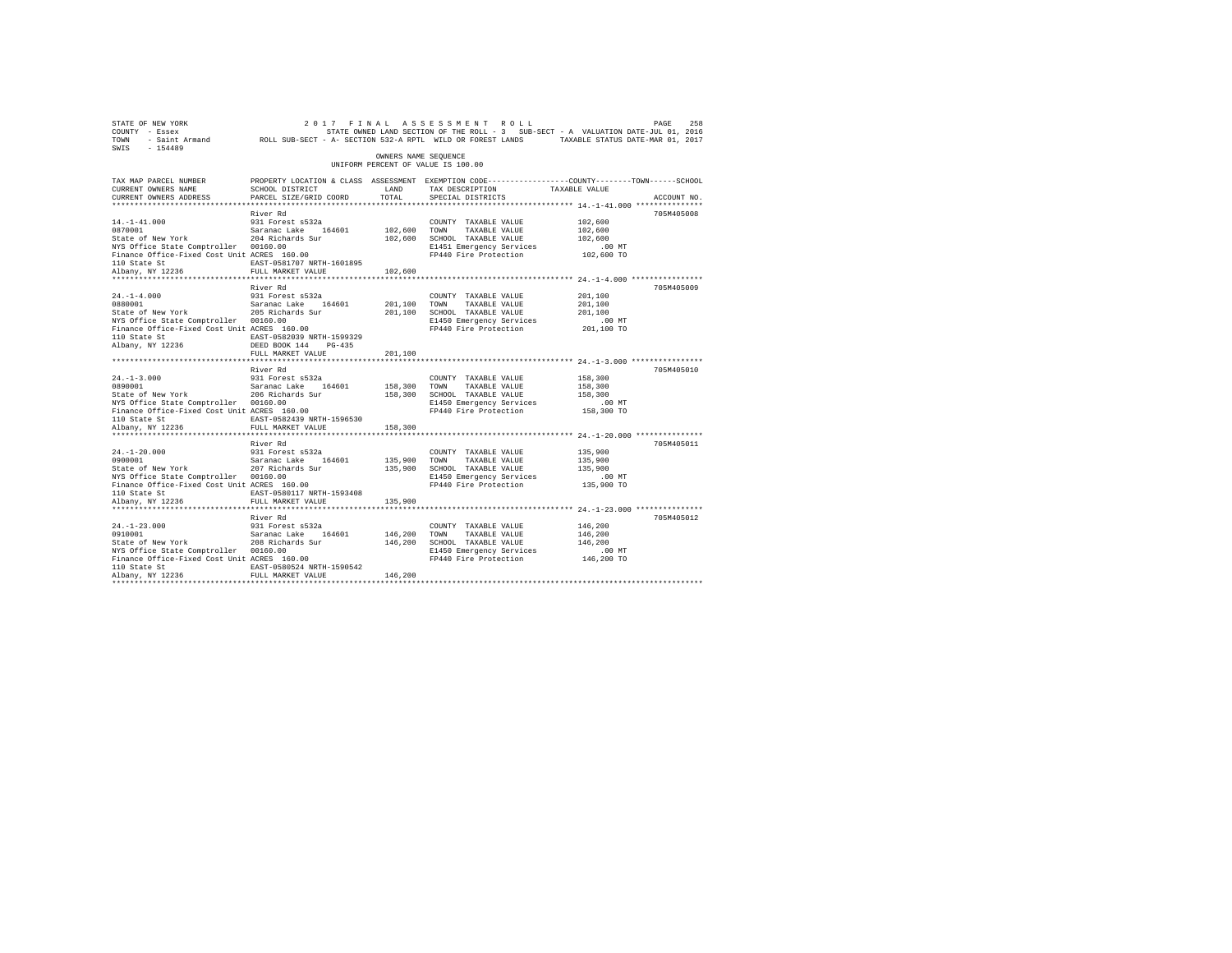| STATE OF NEW YORK<br>COUNTY - Essex<br>TOWN<br>$-154489$<br>SWIS                                                                                                                                           | - Saint Armand ROLL SUB-SECT - A- SECTION 532-A RPTL WILD OR FOREST LANDS TAXABLE STATUS DATE-MAR 01, 2017                                        |                         | 2017 FINAL ASSESSMENT ROLL<br>STATE OWNED LAND SECTION OF THE ROLL - 3 SUB-SECT - A VALUATION DATE-JUL 01, 2016            |                                                         | PAGE<br>258 |
|------------------------------------------------------------------------------------------------------------------------------------------------------------------------------------------------------------|---------------------------------------------------------------------------------------------------------------------------------------------------|-------------------------|----------------------------------------------------------------------------------------------------------------------------|---------------------------------------------------------|-------------|
|                                                                                                                                                                                                            |                                                                                                                                                   | OWNERS NAME SEOUENCE    | UNIFORM PERCENT OF VALUE IS 100.00                                                                                         |                                                         |             |
| TAX MAP PARCEL NUMBER<br>CURRENT OWNERS NAME<br>CURRENT OWNERS ADDRESS<br>*************************                                                                                                        | PROPERTY LOCATION & CLASS ASSESSMENT EXEMPTION CODE----------------COUNTY-------TOWN-----SCHOOL<br>SCHOOL DISTRICT<br>PARCEL SIZE/GRID COORD      | LAND<br>TOTAL.          | TAX DESCRIPTION<br>SPECIAL DISTRICTS                                                                                       | TAXABLE VALUE                                           | ACCOUNT NO. |
|                                                                                                                                                                                                            | River Rd                                                                                                                                          |                         |                                                                                                                            |                                                         | 705M405008  |
| $14. - 1 - 41.000$<br>0870001<br>State of New York<br>NYS Office State Comptroller 00160.00<br>Finance Office-Fixed Cost Unit ACRES 160.00<br>110 State St                                                 | 931 Forest s532a<br>Saranac Lake 164601<br>204 Richards Sur<br>EAST-0581707 NRTH-1601895                                                          | 102,600 TOWN            | COUNTY TAXABLE VALUE<br>TAXABLE VALUE<br>102,600 SCHOOL TAXABLE VALUE<br>E1451 Emergency Services<br>FP440 Fire Protection | 102,600<br>102,600<br>102,600<br>.00 MT<br>102,600 TO   |             |
| Albany, NY 12236                                                                                                                                                                                           | FULL MARKET VALUE                                                                                                                                 | 102,600                 |                                                                                                                            |                                                         |             |
| $24. -1 - 4.000$<br>0880001<br>State of New York<br>NYS Office State Comptroller 00160.00<br>Finance Office-Fixed Cost Unit ACRES 160.00<br>110 State St<br>Albany, NY 12236                               | River Rd<br>931 Forest s532a<br>Saranac Lake 164601<br>205 Richards Sur<br>EAST-0582039 NRTH-1599329<br>DEED BOOK 144 PG-435<br>FULL MARKET VALUE | 201.100 TOWN<br>201,100 | COUNTY TAXABLE VALUE<br>TAXABLE VALUE<br>201,100 SCHOOL TAXABLE VALUE<br>E1450 Emergency Services<br>FP440 Fire Protection | 201,100<br>201,100<br>201,100<br>$.00$ MT<br>201,100 TO | 705M405009  |
|                                                                                                                                                                                                            | ****************************                                                                                                                      |                         |                                                                                                                            |                                                         |             |
| $24. -1 - 3.000$<br>0890001<br>State of New York<br>NYS Office State Comptroller 00160.00<br>wis office state complicated contours 00160.00<br>Finance Office-Fixed Cost Unit ACRES 160.00<br>110 State St | River Rd<br>931 Forest s532a<br>Saranac Lake 164601<br>206 Richards Sur<br>EAST-0582439 NRTH-1596530                                              | 158,300 TOWN            | COUNTY TAXABLE VALUE<br>TAXABLE VALUE<br>158,300 SCHOOL TAXABLE VALUE<br>E1450 Emergency Services<br>FP440 Fire Protection | 158,300<br>158,300<br>158,300<br>$.00$ MT<br>158,300 TO | 705M405010  |
| Albany, NY 12236                                                                                                                                                                                           | FULL MARKET VALUE                                                                                                                                 | 158,300                 |                                                                                                                            |                                                         |             |
| $24. -1 - 20.000$<br>0900001<br>State of New York<br>NYS Office State Comptroller 00160.00<br>Finance Office-Fixed Cost Unit ACRES 160.00<br>110 State St<br>Albany, NY 12236                              | River Rd<br>931 Forest s532a<br>Saranac Lake 164601<br>207 Richards Sur<br>EAST-0580117 NRTH-1593408<br>FULL MARKET VALUE                         | 135,900 TOWN<br>135,900 | COUNTY TAXABLE VALUE<br>TAXABLE VALUE<br>135,900 SCHOOL TAXABLE VALUE<br>E1450 Emergency Services<br>FP440 Fire Protection | 135,900<br>135,900<br>135,900<br>.00 MT<br>135,900 TO   | 705M405011  |
|                                                                                                                                                                                                            | River Rd                                                                                                                                          |                         |                                                                                                                            |                                                         | 705M405012  |
| $24. -1 - 23.000$<br>0910001<br>State of New York<br>NYS Office State Comptroller 00160.00<br>Finance Office-Fixed Cost Unit ACRES 160.00<br>110 State St<br>Albany, NY 12236                              | 931 Forest s532a<br>Saranac Lake 164601<br>208 Richards Sur<br>EAST-0580524 NRTH-1590542<br>FULL MARKET VALUE                                     | 146,200 TOWN<br>146,200 | COUNTY TAXABLE VALUE<br>TAXABLE VALUE<br>146,200 SCHOOL TAXABLE VALUE<br>E1450 Emergency Services<br>FP440 Fire Protection | 146,200<br>146,200<br>146,200<br>$.00$ MT<br>146,200 TO |             |
|                                                                                                                                                                                                            |                                                                                                                                                   |                         |                                                                                                                            |                                                         |             |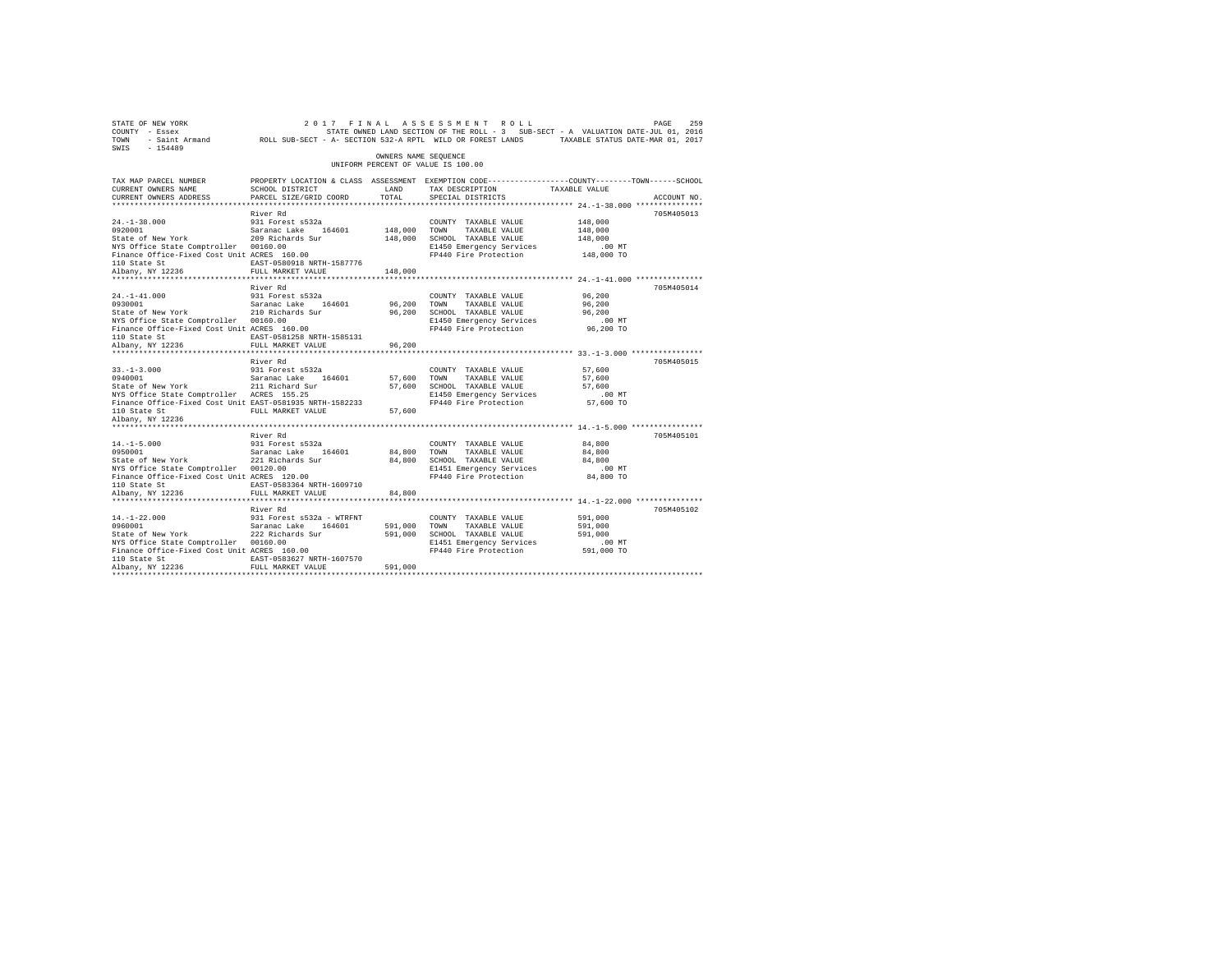| 9269 PAGE 269 217 FINAL ASSESSMENT ROLL 2017 PAGE 259 PAGE 259<br>COUNTY - Essex – STATE ON STATE ONNED LAND SECTION OF THE ROLL - 3 SUB-SECT - A VALUATION DATE-JUL 01, 2016<br>2011 - Saint Armand – ROLL SUB-SECT - A- SECTION 53<br>SWIS - 154489 |                                                                                                                    |                      |                                                                         |                    |             |
|-------------------------------------------------------------------------------------------------------------------------------------------------------------------------------------------------------------------------------------------------------|--------------------------------------------------------------------------------------------------------------------|----------------------|-------------------------------------------------------------------------|--------------------|-------------|
|                                                                                                                                                                                                                                                       |                                                                                                                    | OWNERS NAME SEOUENCE | UNIFORM PERCENT OF VALUE IS 100.00                                      |                    |             |
| TAX MAP PARCEL NUMBER<br>CURRENT OWNERS NAME                                                                                                                                                                                                          | PROPERTY LOCATION & CLASS ASSESSMENT EXEMPTION CODE----------------COUNTY-------TOWN-----SCHOOL<br>SCHOOL DISTRICT | LAND                 | TAX DESCRIPTION TAXABLE VALUE                                           |                    |             |
| CURRENT OWNERS ADDRESS                                                                                                                                                                                                                                | PARCEL SIZE/GRID COORD                                                                                             | TOTAL                | SPECIAL DISTRICTS                                                       |                    | ACCOUNT NO. |
|                                                                                                                                                                                                                                                       |                                                                                                                    |                      |                                                                         |                    |             |
|                                                                                                                                                                                                                                                       | River Rd                                                                                                           |                      |                                                                         |                    | 705M405013  |
| 24.-1-38.000 931 Forest s532a<br>0920001 93001 53ranac Lake 164601<br>State of New York 209 Richards Sur                                                                                                                                              |                                                                                                                    | 148,000 TOWN         | COUNTY TAXABLE VALUE                                                    | 148,000<br>148,000 |             |
|                                                                                                                                                                                                                                                       |                                                                                                                    |                      | 148,000 TOWN TAXABLE VALUE<br>148,000 SCHOOL TAXABLE VALUE              | 148,000            |             |
| NYS Office State Comptroller 00160.00                                                                                                                                                                                                                 |                                                                                                                    |                      |                                                                         |                    |             |
| Finance Office-Fixed Cost Unit ACRES 160.00                                                                                                                                                                                                           |                                                                                                                    |                      | E1450 Emergency Services .00 MT<br>FP440 Fire Protection 148,000 TO     |                    |             |
|                                                                                                                                                                                                                                                       | EAST-0580918 NRTH-1587776                                                                                          |                      |                                                                         |                    |             |
| 110 State St<br>110 State St<br>148,000<br>FULL MARKET VALUE 148,000                                                                                                                                                                                  |                                                                                                                    |                      |                                                                         |                    |             |
|                                                                                                                                                                                                                                                       |                                                                                                                    |                      |                                                                         |                    |             |
|                                                                                                                                                                                                                                                       | River Rd                                                                                                           |                      |                                                                         |                    | 705M405014  |
| 24.-1-41.000 931 Forest s532a<br>0930001 93001 512 52 52 532 546601<br>State of New York 210 Richards Sur                                                                                                                                             |                                                                                                                    |                      | COUNTY TAXABLE VALUE                                                    | 96,200             |             |
|                                                                                                                                                                                                                                                       |                                                                                                                    | 96,200 TOWN          | TAXABLE VALUE                                                           | 96,200             |             |
|                                                                                                                                                                                                                                                       |                                                                                                                    |                      |                                                                         | 96,200             |             |
| USAUGLE STATE MEW YORK 210 RICHARDS SURFACE 210 RICHARD 96, 200 SCHOOL TAXABLE VALUE<br>NYS Office State Comptroller 00160.00 96, 200 SCHOOL TAXABLE VALUE<br>NYS Office State Comptroller 00160.00 E1450 Emergency Services<br>FP44                  |                                                                                                                    |                      | E1450 Emergency Services .00 MT<br>FP440 Fire Protection .06,200 TO     |                    |             |
|                                                                                                                                                                                                                                                       |                                                                                                                    |                      |                                                                         |                    |             |
| 110 State St<br>Albany, NY 12236                                                                                                                                                                                                                      | FULL MARKET VALUE                                                                                                  | 96,200               |                                                                         |                    |             |
|                                                                                                                                                                                                                                                       |                                                                                                                    |                      |                                                                         |                    |             |
|                                                                                                                                                                                                                                                       | River Rd                                                                                                           |                      |                                                                         |                    | 705M405015  |
|                                                                                                                                                                                                                                                       |                                                                                                                    |                      |                                                                         |                    |             |
|                                                                                                                                                                                                                                                       |                                                                                                                    |                      |                                                                         |                    |             |
|                                                                                                                                                                                                                                                       |                                                                                                                    |                      |                                                                         |                    |             |
|                                                                                                                                                                                                                                                       |                                                                                                                    |                      |                                                                         |                    |             |
|                                                                                                                                                                                                                                                       |                                                                                                                    |                      |                                                                         |                    |             |
| Albany, NY 12236                                                                                                                                                                                                                                      |                                                                                                                    |                      |                                                                         |                    |             |
|                                                                                                                                                                                                                                                       |                                                                                                                    |                      |                                                                         |                    |             |
|                                                                                                                                                                                                                                                       | River Rd                                                                                                           |                      |                                                                         |                    | 705M405101  |
| $14. -1 - 5.000$                                                                                                                                                                                                                                      | 931 Forest s532a                                                                                                   |                      | COUNTY TAXABLE VALUE                                                    | 84,800             |             |
| 14.-1-5.000 931 Forest s532a<br>0950001 98001 5aranac Lake 164601<br>State of New York 221 Richards Sur                                                                                                                                               |                                                                                                                    |                      |                                                                         | 84,800             |             |
|                                                                                                                                                                                                                                                       |                                                                                                                    |                      | 84,800 TOWN TAXABLE VALUE<br>84,800 SCHOOL TAXABLE VALUE                | 84,800             |             |
| NYS Office State Comptroller 00120.00                                                                                                                                                                                                                 |                                                                                                                    |                      | E1451 Emergency Services .00 MT<br>FP440 Fire Protection  84,800 TO     |                    |             |
| NYS UTILE State Comptroller 00120.00<br>Finance Office-Fixed Cost Unit ACRES 120.00<br>110 State St                                                                                                                                                   |                                                                                                                    |                      |                                                                         |                    |             |
| 110 State St<br>Albany, NY 12236                                                                                                                                                                                                                      | FULL MARKET VALUE                                                                                                  |                      |                                                                         |                    |             |
|                                                                                                                                                                                                                                                       |                                                                                                                    | 84,800               | ********************************** 14.-1-22.000 ****************        |                    |             |
|                                                                                                                                                                                                                                                       | River Rd                                                                                                           |                      |                                                                         |                    | 705M405102  |
|                                                                                                                                                                                                                                                       |                                                                                                                    |                      | COUNTY TAXABLE VALUE                                                    | 591,000            |             |
|                                                                                                                                                                                                                                                       |                                                                                                                    |                      |                                                                         | 591,000            |             |
|                                                                                                                                                                                                                                                       |                                                                                                                    |                      | 591,000    TOWN      TAXABLE VALUE<br>591,000    SCHOOL   TAXABLE VALUE | 591,000            |             |
| NYS Office State Comptroller 00160.00                                                                                                                                                                                                                 |                                                                                                                    |                      | E1451 Emergency Services                                                | .00 MT             |             |
| Finance Office-Fixed Cost Unit ACRES 160.00                                                                                                                                                                                                           |                                                                                                                    |                      | FP440 Fire Protection 591.000 TO                                        |                    |             |
| 110 State St                                                                                                                                                                                                                                          | EAST-0583627 NRTH-1607570                                                                                          |                      |                                                                         |                    |             |
| Albany, NY 12236                                                                                                                                                                                                                                      | FULL MARKET VALUE                                                                                                  | 591,000              |                                                                         |                    |             |
|                                                                                                                                                                                                                                                       |                                                                                                                    |                      |                                                                         |                    |             |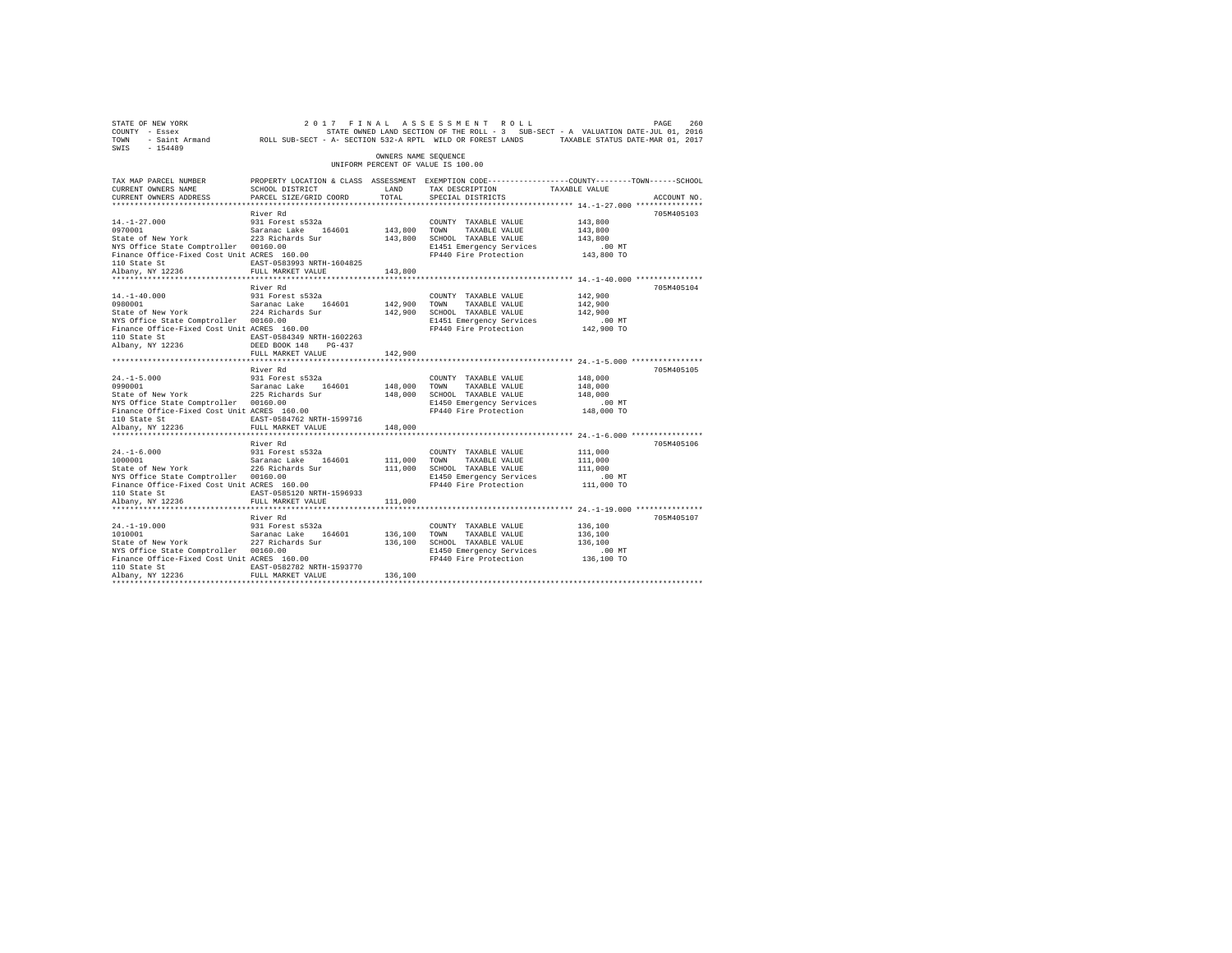| STATE OF NEW YORK<br>COUNTY - Essex<br>TOWN<br>$-154489$<br>SWIS                                                                                                               | - Saint Armand ROLL SUB-SECT - A- SECTION 532-A RPTL WILD OR FOREST LANDS TAXABLE STATUS DATE-MAR 01, 2017                                                                        |                                    | 2017 FINAL ASSESSMENT ROLL<br>STATE OWNED LAND SECTION OF THE ROLL - 3 SUB-SECT - A VALUATION DATE-JUL 01, 2016            |                                                         | PAGE<br>260 |
|--------------------------------------------------------------------------------------------------------------------------------------------------------------------------------|-----------------------------------------------------------------------------------------------------------------------------------------------------------------------------------|------------------------------------|----------------------------------------------------------------------------------------------------------------------------|---------------------------------------------------------|-------------|
|                                                                                                                                                                                |                                                                                                                                                                                   | OWNERS NAME SEOUENCE               | UNIFORM PERCENT OF VALUE IS 100.00                                                                                         |                                                         |             |
| TAX MAP PARCEL NUMBER<br>CURRENT OWNERS NAME<br>CURRENT OWNERS ADDRESS<br>*************************                                                                            | PROPERTY LOCATION & CLASS ASSESSMENT EXEMPTION CODE---------------COUNTY-------TOWN------SCHOOL<br>SCHOOL DISTRICT<br>PARCEL SIZE/GRID COORD                                      | LAND<br>TOTAL.                     | TAX DESCRIPTION<br>SPECIAL DISTRICTS                                                                                       | TAXABLE VALUE                                           | ACCOUNT NO. |
|                                                                                                                                                                                | River Rd                                                                                                                                                                          |                                    |                                                                                                                            |                                                         | 705M405103  |
| $14. - 1 - 27.000$<br>0970001<br>State of New York<br>NYS Office State Comptroller 00160.00<br>Finance Office-Fixed Cost Unit ACRES 160.00<br>110 State St                     | 931 Forest s532a<br>Saranac Lake 164601<br>223 Richards Sur<br>EAST-0583993 NRTH-1604825                                                                                          | 143,800 TOWN                       | COUNTY TAXABLE VALUE<br>TAXABLE VALUE<br>143,800 SCHOOL TAXABLE VALUE<br>E1451 Emergency Services<br>FP440 Fire Protection | 143,800<br>143,800<br>143,800<br>$.00$ MT<br>143,800 TO |             |
| Albany, NY 12236                                                                                                                                                               | FULL MARKET VALUE                                                                                                                                                                 | 143,800                            |                                                                                                                            |                                                         |             |
| $14. - 1 - 40.000$<br>0980001<br>State of New York<br>NYS Office State Comptroller 00160.00<br>Finance Office-Fixed Cost Unit ACRES 160.00<br>110 State St<br>Albany, NY 12236 | River Rd<br>931 Forest s532a<br>Saranac Lake 164601<br>224 Richards Sur<br>EAST-0584349 NRTH-1602263<br>DEED BOOK 148 PG-437<br>FULL MARKET VALUE<br>**************************** | 142,900 TOWN<br>142,900<br>142,900 | COUNTY TAXABLE VALUE<br>TAXABLE VALUE<br>SCHOOL TAXABLE VALUE<br>E1451 Emergency Services<br>FP440 Fire Protection         | 142,900<br>142,900<br>142,900<br>$.00$ MT<br>142,900 TO | 705M405104  |
|                                                                                                                                                                                | River Rd                                                                                                                                                                          |                                    |                                                                                                                            |                                                         | 705M405105  |
| $24. -1 - 5.000$<br>0990001<br>State of New York<br>NYS Office State Comptroller 00160.00<br>Finance Office-Fixed Cost Unit ACRES 160.00<br>110 State St                       | 931 Forest s532a<br>Saranac Lake 164601<br>225 Richards Sur<br>EAST-0584762 NRTH-1599716                                                                                          | 148,000 TOWN                       | COUNTY TAXABLE VALUE<br>TAXABLE VALUE<br>148,000 SCHOOL TAXABLE VALUE<br>E1450 Emergency Services<br>FP440 Fire Protection | 148,000<br>148,000<br>148,000<br>$.00$ MT<br>148,000 TO |             |
| Albany, NY 12236                                                                                                                                                               | FULL MARKET VALUE                                                                                                                                                                 | 148,000                            |                                                                                                                            |                                                         |             |
| $24. -1 - 6.000$<br>1000001<br>State of New York<br>NYS Office State Comptroller 00160.00<br>Finance Office-Fixed Cost Unit ACRES 160.00<br>110 State St<br>Albany, NY 12236   | River Rd<br>931 Forest s532a<br>Saranac Lake 164601<br>226 Richards Sur<br>EAST-0585120 NRTH-1596933<br>FULL MARKET VALUE                                                         | 111,000 TOWN<br>111,000<br>111,000 | COUNTY TAXABLE VALUE<br>TAXABLE VALUE<br>SCHOOL TAXABLE VALUE<br>E1450 Emergency Services<br>FP440 Fire Protection         | 111,000<br>111,000<br>111,000<br>$.00$ MT<br>111,000 TO | 705M405106  |
|                                                                                                                                                                                | River Rd                                                                                                                                                                          |                                    |                                                                                                                            |                                                         | 705M405107  |
| $24. -1 - 19.000$<br>1010001<br>State of New York<br>NYS Office State Comptroller 00160.00<br>Finance Office-Fixed Cost Unit ACRES 160.00<br>110 State St<br>Albany, NY 12236  | 931 Forest s532a<br>Saranac Lake<br>164601<br>227 Richards Sur<br>EAST-0582782 NRTH-1593770<br>FULL MARKET VALUE                                                                  | 136,100 TOWN<br>136,100            | COUNTY TAXABLE VALUE<br>TAXABLE VALUE<br>136,100 SCHOOL TAXABLE VALUE<br>E1450 Emergency Services<br>FP440 Fire Protection | 136,100<br>136,100<br>136,100<br>$.00$ MT<br>136,100 TO |             |
|                                                                                                                                                                                |                                                                                                                                                                                   |                                    |                                                                                                                            |                                                         |             |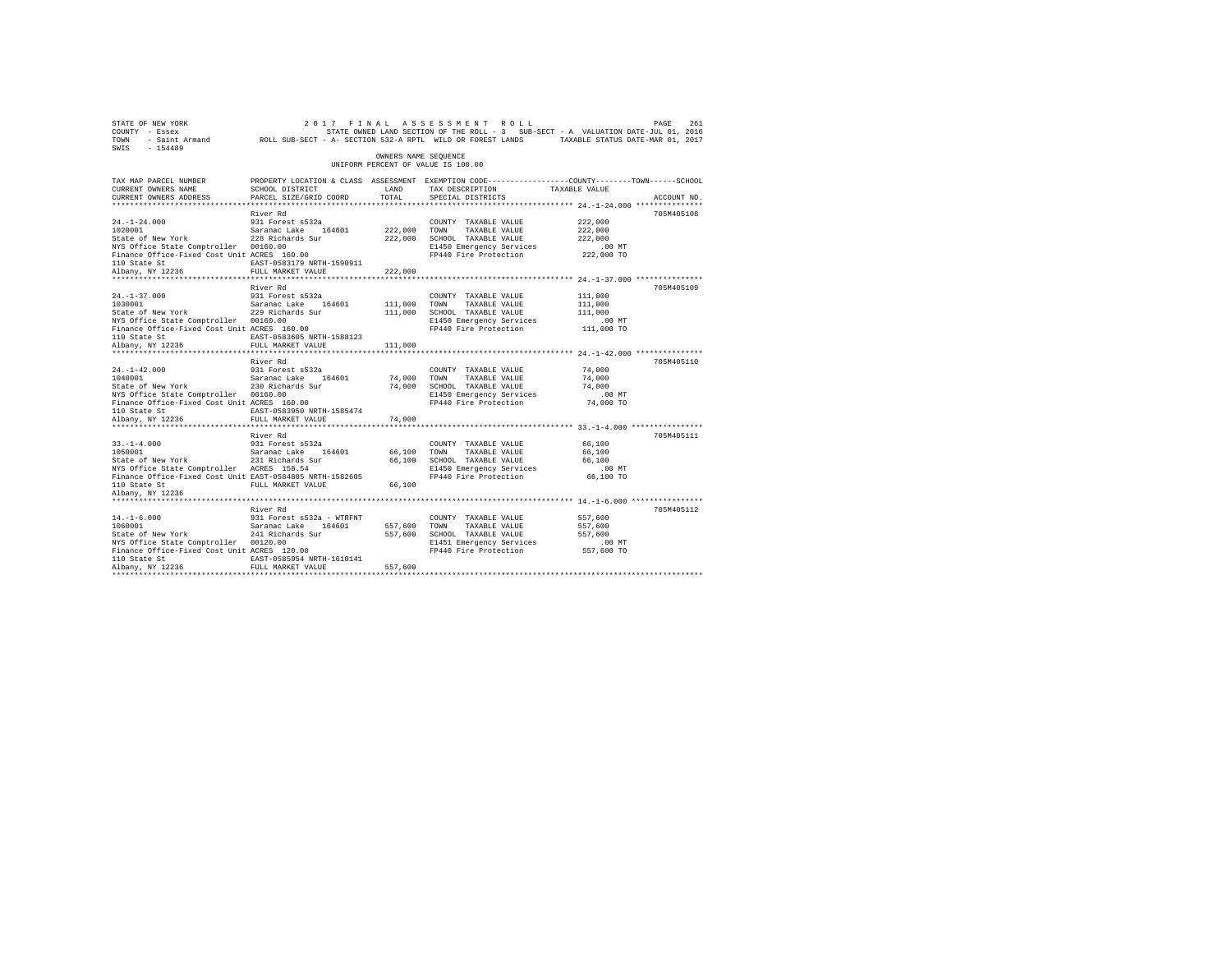| 2017 FINAL ASSESSMENT ROLL PAGE 261 PAGE 261 PAGE 261 PAGE 261<br>COUNTY - Essex – STATE ON A STATE ONNED LAND SECTION OF THE ROLL - 3 SUB-SECT - A VALUATION DATE-JUL 01, 2016<br>TOWN - Saint_Armand – ROLL SUB-SECT - A-SECTION 5<br>SWIS - 154489 |                                                                                                                    |                      |                                                                                                                                                  |                    |             |
|-------------------------------------------------------------------------------------------------------------------------------------------------------------------------------------------------------------------------------------------------------|--------------------------------------------------------------------------------------------------------------------|----------------------|--------------------------------------------------------------------------------------------------------------------------------------------------|--------------------|-------------|
|                                                                                                                                                                                                                                                       |                                                                                                                    | OWNERS NAME SEOUENCE | UNIFORM PERCENT OF VALUE IS 100.00                                                                                                               |                    |             |
| TAX MAP PARCEL NUMBER<br>CURRENT OWNERS NAME                                                                                                                                                                                                          | PROPERTY LOCATION & CLASS ASSESSMENT EXEMPTION CODE----------------COUNTY-------TOWN-----SCHOOL<br>SCHOOL DISTRICT | LAND                 | TAX DESCRIPTION TAXABLE VALUE                                                                                                                    |                    |             |
| CURRENT OWNERS ADDRESS                                                                                                                                                                                                                                | PARCEL SIZE/GRID COORD                                                                                             | TOTAL                | SPECIAL DISTRICTS                                                                                                                                |                    | ACCOUNT NO. |
|                                                                                                                                                                                                                                                       |                                                                                                                    |                      |                                                                                                                                                  |                    |             |
|                                                                                                                                                                                                                                                       | River Rd                                                                                                           |                      |                                                                                                                                                  |                    | 705M405108  |
| 24.-1-24.000 931 Forest s532a<br>1020001 5881 5812001 5812001 5812001<br>State of New York 228 Richards Sur                                                                                                                                           |                                                                                                                    | 222,000 TOWN         | COUNTY TAXABLE VALUE<br>TAXABLE VALUE                                                                                                            | 222,000<br>222,000 |             |
|                                                                                                                                                                                                                                                       |                                                                                                                    |                      | 222,000 SCHOOL TAXABLE VALUE                                                                                                                     | 222,000            |             |
| NYS Office State Comptroller 00160.00                                                                                                                                                                                                                 |                                                                                                                    |                      | E1450 Emergency Services                                                                                                                         | $.00$ MT           |             |
| Finance Office-Fixed Cost Unit ACRES 160.00                                                                                                                                                                                                           |                                                                                                                    |                      | FP440 Fire Protection 222,000 TO                                                                                                                 |                    |             |
|                                                                                                                                                                                                                                                       | EAST-0583179 NRTH-1590911                                                                                          |                      |                                                                                                                                                  |                    |             |
| 110 State St<br>Albany, NY 12236                                                                                                                                                                                                                      | FULL MARKET VALUE                                                                                                  | 222,000              |                                                                                                                                                  |                    |             |
|                                                                                                                                                                                                                                                       |                                                                                                                    |                      |                                                                                                                                                  |                    |             |
|                                                                                                                                                                                                                                                       | River Rd                                                                                                           |                      |                                                                                                                                                  |                    | 705M405109  |
|                                                                                                                                                                                                                                                       |                                                                                                                    |                      | COUNTY TAXABLE VALUE                                                                                                                             | 111,000            |             |
| 24.-1-37.000 931 Forest s532a<br>1030001 931 Saranac Lake 164601<br>State of New York 229 Richards Sur                                                                                                                                                |                                                                                                                    | 111,000 TOWN         | TAXABLE VALUE<br>111,000 SCHOOL TAXABLE VALUE                                                                                                    | 111,000<br>111,000 |             |
| NYS Office State Comptroller 00160.00                                                                                                                                                                                                                 |                                                                                                                    |                      | E1450 Emergency Services                                                                                                                         | $.00$ MT           |             |
| Finance Office-Fixed Cost Unit ACRES 160.00                                                                                                                                                                                                           |                                                                                                                    |                      | FP440 Fire Protection 111,000 TO                                                                                                                 |                    |             |
|                                                                                                                                                                                                                                                       | EAST-0583605 NRTH-1588123                                                                                          |                      |                                                                                                                                                  |                    |             |
| 110 State St<br>Albany, NY 12236                                                                                                                                                                                                                      | FULL MARKET VALUE                                                                                                  | 111,000              |                                                                                                                                                  |                    |             |
|                                                                                                                                                                                                                                                       |                                                                                                                    |                      |                                                                                                                                                  |                    |             |
|                                                                                                                                                                                                                                                       | River Rd                                                                                                           |                      |                                                                                                                                                  |                    | 705M405110  |
| $24. -1 - 42.000$<br>24.-1-42.000 931 Forest s532a<br>1040001 932 5aranac Lake 164601<br>State of New York 230 Richards Sur                                                                                                                           | 931 Forest s532a                                                                                                   |                      | COUNTY TAXABLE VALUE                                                                                                                             | 74,000             |             |
|                                                                                                                                                                                                                                                       |                                                                                                                    |                      |                                                                                                                                                  | 74,000             |             |
| NYS Office State Comptroller 00160.00                                                                                                                                                                                                                 |                                                                                                                    |                      | E1450 Emergency Services                                                                                                                         | 74,000<br>$.00$ MT |             |
| Finance Office-Fixed Cost Unit ACRES 160.00                                                                                                                                                                                                           |                                                                                                                    |                      | 74,000 TOWN TAXABLE VALUE<br>74,000 SCHOOL TAXABLE VALUE<br>E1450 Emergency Services<br>FP440 Fire Protection<br>FP440 Fire Protection 74,000 TO |                    |             |
| 110 State St                                                                                                                                                                                                                                          | EAST-0583950 NRTH-1585474                                                                                          |                      |                                                                                                                                                  |                    |             |
| Albany, NY 12236                                                                                                                                                                                                                                      | FULL MARKET VALUE                                                                                                  | 74,000               |                                                                                                                                                  |                    |             |
|                                                                                                                                                                                                                                                       | *************************                                                                                          |                      |                                                                                                                                                  |                    |             |
|                                                                                                                                                                                                                                                       | River Rd                                                                                                           |                      |                                                                                                                                                  |                    | 705M405111  |
| $33. -1 - 4.000$                                                                                                                                                                                                                                      | 931 Forest s532a                                                                                                   |                      | COUNTY TAXABLE VALUE                                                                                                                             | 66,100             |             |
| 33.-1-4.000 931 Forest s532a<br>1050001 931 54601 5aranac Lake 164601<br>State of New York 231 Richards Sur                                                                                                                                           |                                                                                                                    | 66,100 TOWN          | 66,100 TOWN TAXABLE VALUE<br>66,100 SCHOOL TAXABLE VALUE                                                                                         | 66,100             |             |
|                                                                                                                                                                                                                                                       |                                                                                                                    |                      |                                                                                                                                                  | 66,100             |             |
| NYS Office State Comptroller ACRES 158.54<br>Finance Office-Fixed Cost Unit EAST-0584805 NRTH-1582605                                                                                                                                                 |                                                                                                                    |                      | E1450 Emergency Services .00 MT<br>FP440 Fire Protection 66,100 TO                                                                               |                    |             |
| 110 State St                                                                                                                                                                                                                                          | FULL MARKET VALUE                                                                                                  |                      |                                                                                                                                                  |                    |             |
| Albany, NY 12236                                                                                                                                                                                                                                      |                                                                                                                    |                      |                                                                                                                                                  |                    |             |
|                                                                                                                                                                                                                                                       |                                                                                                                    |                      |                                                                                                                                                  |                    |             |
|                                                                                                                                                                                                                                                       | River Rd                                                                                                           |                      |                                                                                                                                                  |                    | 705M405112  |
| $14. - 1 - 6.000$                                                                                                                                                                                                                                     | 931 Forest s532a - WTRFNT                                                                                          |                      | COUNTY TAXABLE VALUE                                                                                                                             | 557,600            |             |
| $14.-1-6.000$<br>$1060001$<br>1060001  Saranac Lake  164601  557,600  TOWN<br>State of New York  241 Richards Sur  557,600  SCHOOL                                                                                                                    |                                                                                                                    |                      | TAXABLE VALUE                                                                                                                                    | 557,600            |             |
|                                                                                                                                                                                                                                                       |                                                                                                                    |                      | 557,600 SCHOOL TAXABLE VALUE                                                                                                                     | 557,600            |             |
| NYS Office State Comptroller 00120.00<br>NYS Office State Comptroller 00120.00<br>Finance Office-Fixed Cost Unit ACRES 120.00                                                                                                                         |                                                                                                                    |                      | E1451 Emergency Services<br>FP440 Fire Protection 557,600 TO                                                                                     | $.00$ MT           |             |
|                                                                                                                                                                                                                                                       |                                                                                                                    |                      |                                                                                                                                                  |                    |             |
| 110 State St<br>Albany, NY 12236                                                                                                                                                                                                                      | EAST-0585954 NRTH-1610141<br>FULL MARKET VALUE                                                                     | 557,600              |                                                                                                                                                  |                    |             |
|                                                                                                                                                                                                                                                       |                                                                                                                    |                      |                                                                                                                                                  |                    |             |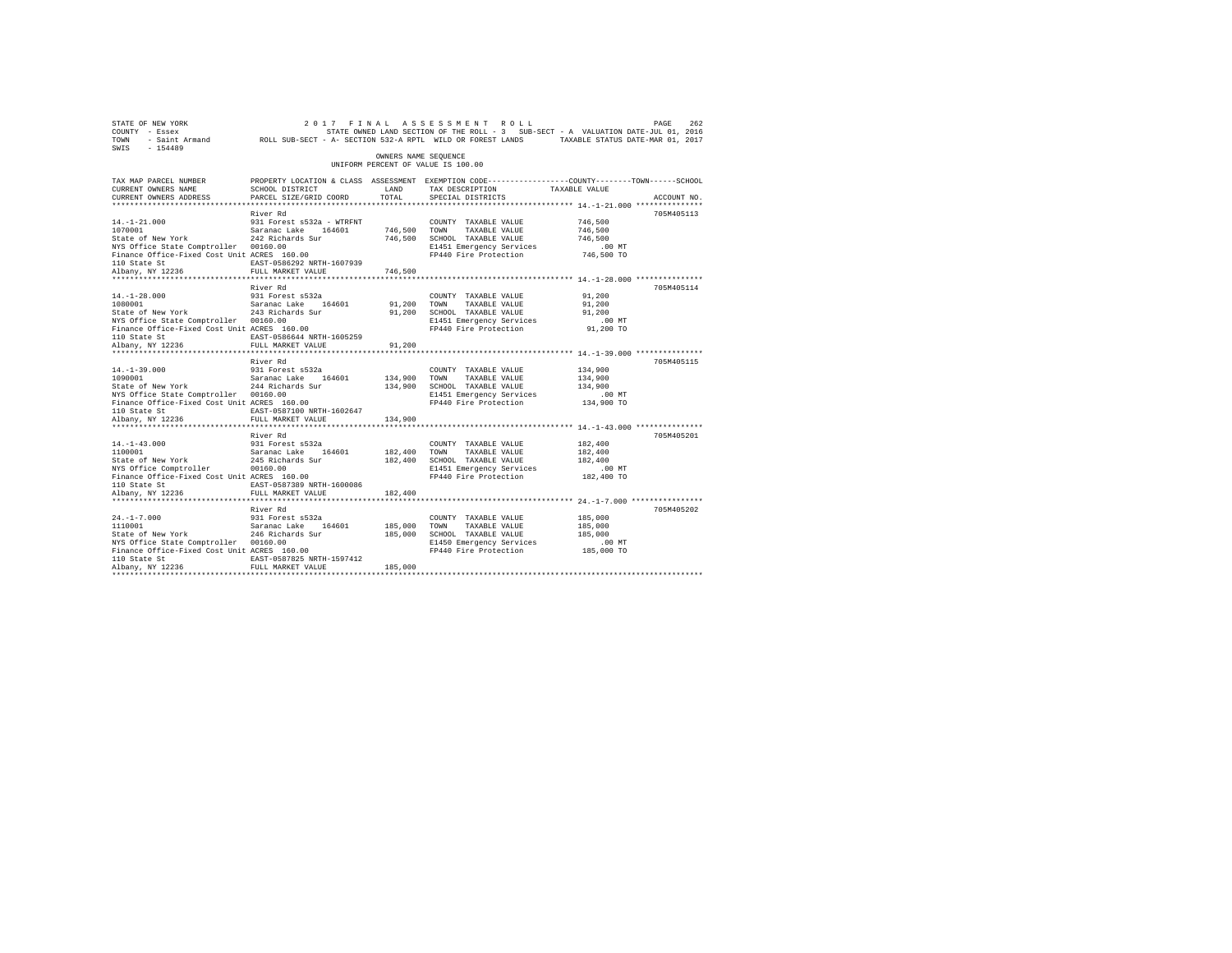| STATE OF NEW YORK<br>COUNTY - Essex<br>TOWN<br>$SWTS = 154489$                                                                                                                                                                    |                                                                                                                                               |                         | 2017 FINAL ASSESSMENT ROLL                                                                                                                                                                     |                                                         | 262<br>PAGE |
|-----------------------------------------------------------------------------------------------------------------------------------------------------------------------------------------------------------------------------------|-----------------------------------------------------------------------------------------------------------------------------------------------|-------------------------|------------------------------------------------------------------------------------------------------------------------------------------------------------------------------------------------|---------------------------------------------------------|-------------|
|                                                                                                                                                                                                                                   |                                                                                                                                               | OWNERS NAME SEQUENCE    | UNIFORM PERCENT OF VALUE IS 100.00                                                                                                                                                             |                                                         |             |
| TAX MAP PARCEL NUMBER<br>CURRENT OWNERS NAME<br>CURRENT OWNERS ADDRESS                                                                                                                                                            | PROPERTY LOCATION & CLASS ASSESSMENT EXEMPTION CODE----------------COUNTY-------TOWN------SCHOOL<br>SCHOOL DISTRICT<br>PARCEL SIZE/GRID COORD | LAND<br>TOTAL           | TAX DESCRIPTION TAXABLE VALUE<br>SPECIAL DISTRICTS                                                                                                                                             |                                                         | ACCOUNT NO. |
| $14.-1-21.000$<br>14.-1-21.000<br>1070001 - Saranac Lake 164601<br>State of New York 242 Richards Sur<br>NYS Office State Comptroller 00160.00<br>Finance Office-Fixed Cost Unit ACRES 160.00<br>110 State St<br>Albany, NY 12236 | River Rd<br>931 Forest s532a - WTRFNT<br>EAST-0586292 NRTH-1607939<br>FULL MARKET VALUE                                                       | 746,500 TOWN<br>746,500 | COUNTY TAXABLE VALUE<br>TAXABLE VALUE<br>746,500 SCHOOL TAXABLE VALUE<br>E1451 Emergency Services<br>FP440 Fire Protection                                                                     | 746,500<br>746,500<br>746,500<br>.00 MT<br>746,500 TO   | 705M405113  |
| $14. - 1 - 28.000$<br>1080001 Saranac Lake 164601<br>State of New York 243 Richards Sur<br>NYS Office State Comptroller 00160.00<br>Finance Office-Fixed Cost Unit ACRES 160.00<br>110 State St<br>Albany, NY 12236               | River Rd<br>931 Forest s532a<br>EAST-0586644 NRTH-1605259<br>FULL MARKET VALUE                                                                | 91,200 TOWN<br>91,200   | COUNTY TAXABLE VALUE<br>TAXABLE VALUE<br>91,200 SCHOOL TAXABLE VALUE<br>E1451 Emergency Services<br>FP440 Fire Protection 91,200 TO                                                            | 91,200<br>91,200<br>91,200<br>$.00$ MT                  | 705M405114  |
| $14. -1 - 39.000$<br>1090001<br>1090001<br>Saranac Lake 164601<br>244 Richards Sur<br>NYS Office State Comptroller 00160.00<br>Finance Office-Fixed Cost Unit ACRES 160.00<br>110 State St<br>Albany, NY 12236                    | River Rd<br>931 Forest s532a<br>EAST-0587100 NRTH-1602647<br>FULL MARKET VALUE                                                                | 134,900 TOWN<br>134,900 | COUNTY TAXABLE VALUE<br>TAXABLE VALUE<br>134,900 SCHOOL TAXABLE VALUE<br>E1451 Emergency Services<br>FP440 Fire Protection<br>********************************** 14.-1-43.000 **************** | 134,900<br>134,900<br>134,900<br>$.00$ MT<br>134,900 TO | 705M405115  |
| $14. -1 - 43.000$<br>14.-1-43.000<br>1100001<br>1100001 Saranac Lake 164601<br>State of New York 245 Richards Sur<br>NYS Office Comptroller<br>Finance Office-Fixed Cost Unit ACRES 160.00<br>110 State St<br>Albany, NY 12236    | River Rd<br>931 Forest s532a<br>00160.00<br>EAST-0587389 NRTH-1600086<br>FULL MARKET VALUE                                                    | 182,400 TOWN<br>182,400 | COUNTY TAXABLE VALUE<br>TAXABLE VALUE<br>182,400 SCHOOL TAXABLE VALUE<br>E1451 Emergency Services<br>FP440 Fire Protection                                                                     | 182,400<br>182,400<br>182,400<br>$.00$ MT<br>182,400 TO | 705M405201  |
| $24. -1 - 7.000$<br>1110001 Saranac Lake 164601<br>State of New York 246 Richards Sur<br>NYS Office State Comptroller 00160.00<br>Finance Office-Fixed Cost Unit ACRES 160.00<br>110 State St<br>Albany, NY 12236                 | River Rd<br>931 Forest s532a<br>EAST-0587825 NRTH-1597412<br>FULL MARKET VALUE                                                                | 185,000 TOWN<br>185,000 | COUNTY TAXABLE VALUE<br>TAXABLE VALUE<br>185,000 SCHOOL TAXABLE VALUE<br>E1450 Emergency Services<br>FP440 Fire Protection 185,000 TO                                                          | 185,000<br>185,000<br>185,000<br>.00MT                  | 705M405202  |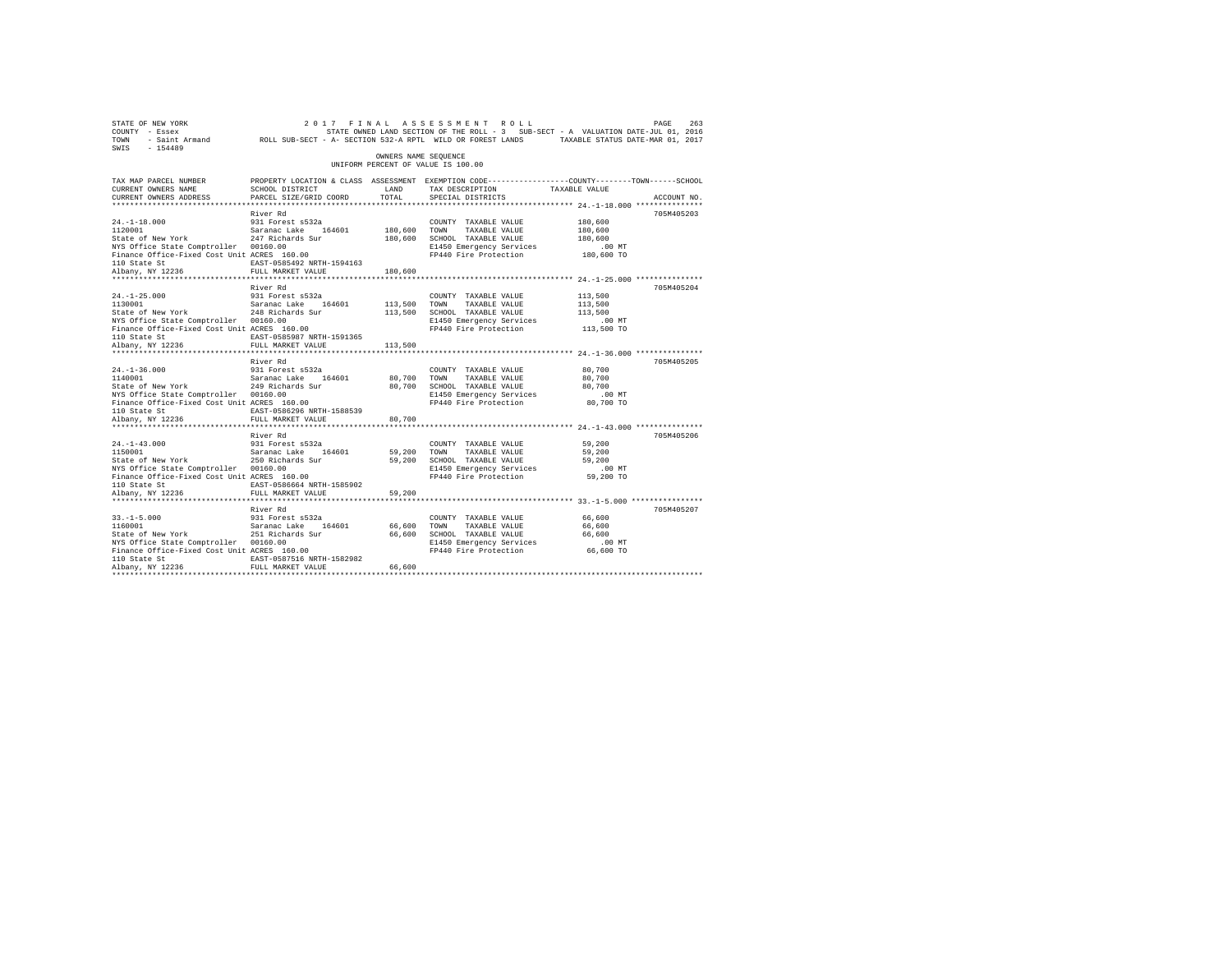| STATE OF NEW YORK<br>COUNTY - Essex<br>TOWN<br>SWIS - 154489                                                                                                                                                                                                                                                                                                                     |                                                                    |                      | 263 263 263 17 PINAL ASSESSMENT ROLL<br>The Resex STATE OWNED LAND SECTION OF THE ROLL -3 SUB-SECT - A VALUATION DATE-JUL 01, 2016<br>Saint Armand ROLL SUB-SECT - A SECTION 532-A RPTL WILD OR FOREST LANDS TAXABLE STATUS DATE-MAR |                                         |             |
|----------------------------------------------------------------------------------------------------------------------------------------------------------------------------------------------------------------------------------------------------------------------------------------------------------------------------------------------------------------------------------|--------------------------------------------------------------------|----------------------|--------------------------------------------------------------------------------------------------------------------------------------------------------------------------------------------------------------------------------------|-----------------------------------------|-------------|
|                                                                                                                                                                                                                                                                                                                                                                                  |                                                                    | OWNERS NAME SEQUENCE | UNIFORM PERCENT OF VALUE IS 100.00                                                                                                                                                                                                   |                                         |             |
| TAX MAP PARCEL NUMBER<br>CURRENT OWNERS NAME<br>CURRENT OWNERS ADDRESS                                                                                                                                                                                                                                                                                                           | SCHOOL DISTRICT<br>PARCEL SIZE/GRID COORD                          | LAND<br>TOTAL        | PROPERTY LOCATION & CLASS ASSESSMENT EXEMPTION CODE----------------COUNTY-------TOWN-----SCHOOL<br>TAX DESCRIPTION TAXABLE VALUE<br>SPECIAL DISTRICTS                                                                                |                                         | ACCOUNT NO. |
|                                                                                                                                                                                                                                                                                                                                                                                  |                                                                    |                      |                                                                                                                                                                                                                                      |                                         |             |
| 24.-1-18.000 931 Forest s532a<br>1120001 588 5aranac Lake 164601<br>State of New York 247 Richards Sur                                                                                                                                                                                                                                                                           | River Rd                                                           | 180,600 TOWN         | COUNTY TAXABLE VALUE<br>TAXABLE VALUE                                                                                                                                                                                                | 180,600<br>180,600                      | 705M405203  |
| NYS Office State Comptroller 00160.00<br>Finance Office-Fixed Cost Unit ACRES 160.00                                                                                                                                                                                                                                                                                             | EAST-0585492 NRTH-1594163                                          |                      | 180,600 SCHOOL TAXABLE VALUE<br>E1450 Emergency Services<br>FP440 Fire Protection 180,600 TO                                                                                                                                         | 180,600<br>$.00$ MT                     |             |
| 110 State St<br>Albany, NY 12236                                                                                                                                                                                                                                                                                                                                                 | FULL MARKET VALUE                                                  | 180,600              |                                                                                                                                                                                                                                      |                                         |             |
| 24.-1-25.000 931 Forest s532a<br>1130001 931 Saranac Lake 164601<br>State of New York 248 Richards Sur<br>NYS Office State Comptroller 00160.00<br>Finance Office-Fixed Cost Unit ACRES 160.00                                                                                                                                                                                   | River Rd                                                           | 113,500 TOWN         | COUNTY TAXABLE VALUE<br>TAXABLE VALUE<br>113,500 SCHOOL TAXABLE VALUE<br>E1450 Emergency Services<br>FP440 Fire Protection 113,500 TO                                                                                                | 113,500<br>113,500<br>113,500<br>.00 MT | 705M405204  |
| 110 State St<br>Albany, NY 12236                                                                                                                                                                                                                                                                                                                                                 | EAST-0585987 NRTH-1591365<br>FULL MARKET VALUE                     | 113,500              |                                                                                                                                                                                                                                      |                                         |             |
|                                                                                                                                                                                                                                                                                                                                                                                  | River Rd                                                           |                      |                                                                                                                                                                                                                                      |                                         | 705M405205  |
| $\begin{array}{cccc} 24 & -1-36.000 & 931\hbox{ Forest s532a} \\ 1140001 & 5044001 & 80,700\hbox{ TOWN} & 7\hbox{XABLE VALUE} \\ 5\hbox{426 eG} & 5\hbox{new York} & 249 \hbox{ Richardson} & 249 \hbox{Richardis} & 80 & 80,700\hbox{ TOWRABLE VALUE} \\ 249 \hbox{Richardis} & 80 & 80,700\hbox{ SCHODL TAXABLE VALUE} \\ 80,700 & 5\hbox{CEOOL} & 8\hbox{RHS$<br>110 State St | EAST-0586296 NRTH-1588539                                          |                      | E1450 Emergency Services<br>FP440 Fire Protection 80,700 TO                                                                                                                                                                          | 80,700<br>80,700<br>80,700<br>$.00$ MT  |             |
| Albany, NY 12236                                                                                                                                                                                                                                                                                                                                                                 | FULL MARKET VALUE                                                  | 80,700               |                                                                                                                                                                                                                                      |                                         |             |
|                                                                                                                                                                                                                                                                                                                                                                                  | River Rd                                                           |                      | ********************************** 24.-1-43.000 ****************                                                                                                                                                                     |                                         | 705M405206  |
| $24. -1 - 43.000$<br>24.-1-43.000 931 Forest s532a<br>1150001 931 5aranac Lake 164601<br>State of New York 250 Richards Sur<br>NYS Office State Comptroller 00160.00<br>Finance Office-Fixed Cost Unit ACRES 160.00<br>110 State St<br>Albany, NY 12236                                                                                                                          | 931 Forest s532a<br>EAST-0586664 NRTH-1585902<br>FULL MARKET VALUE | 59,200               | COUNTY TAXABLE VALUE<br>59,200 TOWN TAXABLE VALUE<br>59,200 SCHOOL TAXABLE VALUE<br>TAXABLE VALUE<br>E1450 Emergency Services<br>FP440 Fire Protection 59,200 TO                                                                     | 59,200<br>59,200<br>59,200<br>.00 MT    |             |
|                                                                                                                                                                                                                                                                                                                                                                                  |                                                                    |                      |                                                                                                                                                                                                                                      |                                         |             |
| $33. -1 - 5.000$<br>$33. -1 - 5.000$<br>1160001<br>1160001 Saranac Lake 164601<br>State of New York 251 Richards Sur<br>NYS Office State Comptroller 00160.00<br>Finance Office-Fixed Cost Unit ACRES 160.00<br>110 State St                                                                                                                                                     | River Rd<br>931 Forest s532a<br>EAST-0587516 NRTH-1582982          | 66,600               | COUNTY TAXABLE VALUE<br>TAXABLE VALUE<br>TOWN<br>66,600 SCHOOL TAXABLE VALUE<br>E1450 Emergency Services<br>FP440 Fire Protection 66.600 TO                                                                                          | 66,600<br>66,600<br>66,600<br>$.00$ MT  | 705M405207  |
| Albany, NY 12236                                                                                                                                                                                                                                                                                                                                                                 | FULL MARKET VALUE                                                  | 66,600               |                                                                                                                                                                                                                                      |                                         |             |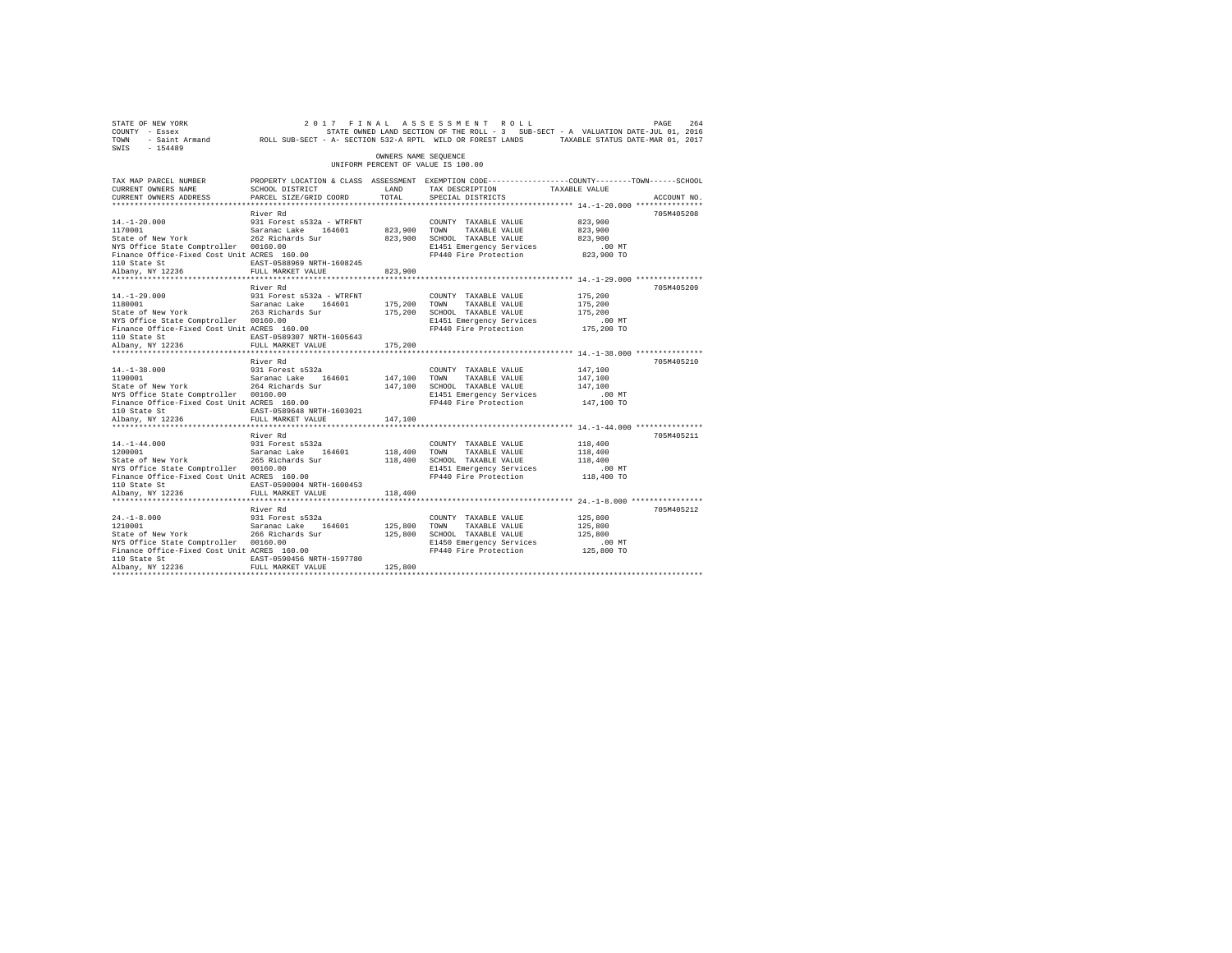| STATE OF NEW YORK<br>COUNTY - Essex<br>TOWN<br>SWIS - 154489                                                                                                                                                                                                                                                                                                         | DE NEW YORK PAGE 264 2017 FINAL ASSESSMENT ROLL DRES 264 PAGE 264 264 264 PAGE 264 264 264 264 PAGE 264 264 26<br>- Essex reserved on the Strats owned Land Section of The Roll - 3 SUB-SECT - A VALUATION DATE-JUL 01, 2016<br>- Sa |                         |                                                                                                                                                    |                                                         |             |
|----------------------------------------------------------------------------------------------------------------------------------------------------------------------------------------------------------------------------------------------------------------------------------------------------------------------------------------------------------------------|--------------------------------------------------------------------------------------------------------------------------------------------------------------------------------------------------------------------------------------|-------------------------|----------------------------------------------------------------------------------------------------------------------------------------------------|---------------------------------------------------------|-------------|
|                                                                                                                                                                                                                                                                                                                                                                      |                                                                                                                                                                                                                                      | OWNERS NAME SEQUENCE    | UNIFORM PERCENT OF VALUE IS 100.00                                                                                                                 |                                                         |             |
| TAX MAP PARCEL NUMBER<br>CURRENT OWNERS NAME<br>CURRENT OWNERS ADDRESS                                                                                                                                                                                                                                                                                               | PROPERTY LOCATION & CLASS ASSESSMENT EXEMPTION CODE---------------COUNTY-------TOWN-----SCHOOL<br>SCHOOL DISTRICT<br>PARCEL SIZE/GRID COORD                                                                                          | LAND<br>TOTAL           | TAX DESCRIPTION TAXABLE VALUE<br>SPECIAL DISTRICTS                                                                                                 |                                                         | ACCOUNT NO. |
| $14. - 1 - 20.000$<br>117-12000<br>1170001 170001 Saranac Lake 164601 823,900 TOWN TAXABLE VALUE<br>State of New York 262 Richards Sur 823,900 SCHOOL TAXABLE VALUE<br>NYS Office State Comptroller 00160.00 end of the matrice of E1451 Emergency Services<br>Finance Office-Fixed Cost Unit ACRES 160.00 end of the Protection<br>110 State St<br>Albany, NY 12236 | River Rd<br>931 Forest s532a - WTRFNT<br>EAST-0588969 NRTH-1608245<br>FULL MARKET VALUE                                                                                                                                              | 823,900                 | COUNTY TAXABLE VALUE<br>FP440 Fire Protection                                                                                                      | 823,900<br>823,900<br>823,900<br>$.00$ MT<br>823,900 TO | 705M405208  |
| $14. - 1 - 29.000$<br>14.-1-29.000<br>1180001<br>NYS Office State Comptroller 00160.00<br>Finance Office-Fixed Cost Unit ACRES 160.00<br>110 State St<br>Albany, NY 12236                                                                                                                                                                                            | River Rd<br>931 Forest s532a - WTRFNT<br>Saranac Lake 164601<br>EAST-0589307 NRTH-1605643<br>FULL MARKET VALUE                                                                                                                       | 175,200 TOWN<br>175,200 | COUNTY TAXABLE VALUE<br>TAXABLE VALUE<br>E1451 Emergency Services<br>FP440 Fire Protection 175,200 TO                                              | 175,200<br>175,200<br>175,200<br>$.00$ MT               | 705M405209  |
| $14. - 1 - 38.000$<br>14.-1-38.000 931 Forest s532a<br>1190001 - Saranac Lake 164601<br>State of New York 264 Richards Sur<br>NYS Office State Comptroller 00160.00<br>Finance Office-Fixed Cost Unit ACRES 160.00<br>110 State St<br>Albany, NY 12236                                                                                                               | River Rd<br>931 Forest s532a<br>EAST-0589648 NRTH-1603021<br>FULL MARKET VALUE                                                                                                                                                       | 147,100 TOWN<br>147,100 | COUNTY TAXABLE VALUE<br>TAXABLE VALUE<br>147,100 SCHOOL TAXABLE VALUE<br>E1451 Emergency Services<br>FP440 Fire Protection                         | 147,100<br>147,100<br>147,100<br>$.00$ MT<br>147,100 TO | 705M405210  |
| $14. - 1 - 44.000$<br>NYS Office State Comptroller 00160.00<br>Finance Office-Fixed Cost Unit ACRES 160.00<br>110 State St<br>Albany, NY 12236                                                                                                                                                                                                                       | River Rd<br>931 Forest s532a<br>EAST-0590004 NRTH-1600453<br>FULL MARKET VALUE                                                                                                                                                       | 118,400 TOWN<br>118,400 | COUNTY TAXABLE VALUE<br>118,400 TOWN TAXABLE VALUE<br>118,400 SCHOOL TAXABLE VALUE<br>E1451 Emergency Services<br>FP440 Fire Protection 118,400 TO | 118,400<br>118,400<br>118,400<br>$.00$ MT               | 705M405211  |
| $24. -1 - 8.000$<br>24.-1-8.000<br>1210001<br>Saranac Bake 194001<br>State of New York 266 Richards Sur<br>NYS Office State Comptroller 00160.00<br>NYS OII1ce State Comptroller 00160.00<br>Finance Office-Fixed Cost Unit ACRES 160.00<br>110 State St<br>Albany, NY 12236                                                                                         | River Rd<br>931 Forest s532a<br>Saranac Lake 164601<br>EAST-0590456 NRTH-1597780<br>FULL MARKET VALUE                                                                                                                                | 125,800 TOWN<br>125,800 | COUNTY TAXABLE VALUE<br>TAXABLE VALUE<br>125,800 SCHOOL TAXABLE VALUE<br>E1450 Emergency Services<br>FP440 Fire Protection 125,800 TO              | 125,800<br>125,800<br>125,800<br>$.00$ MT               | 705M405212  |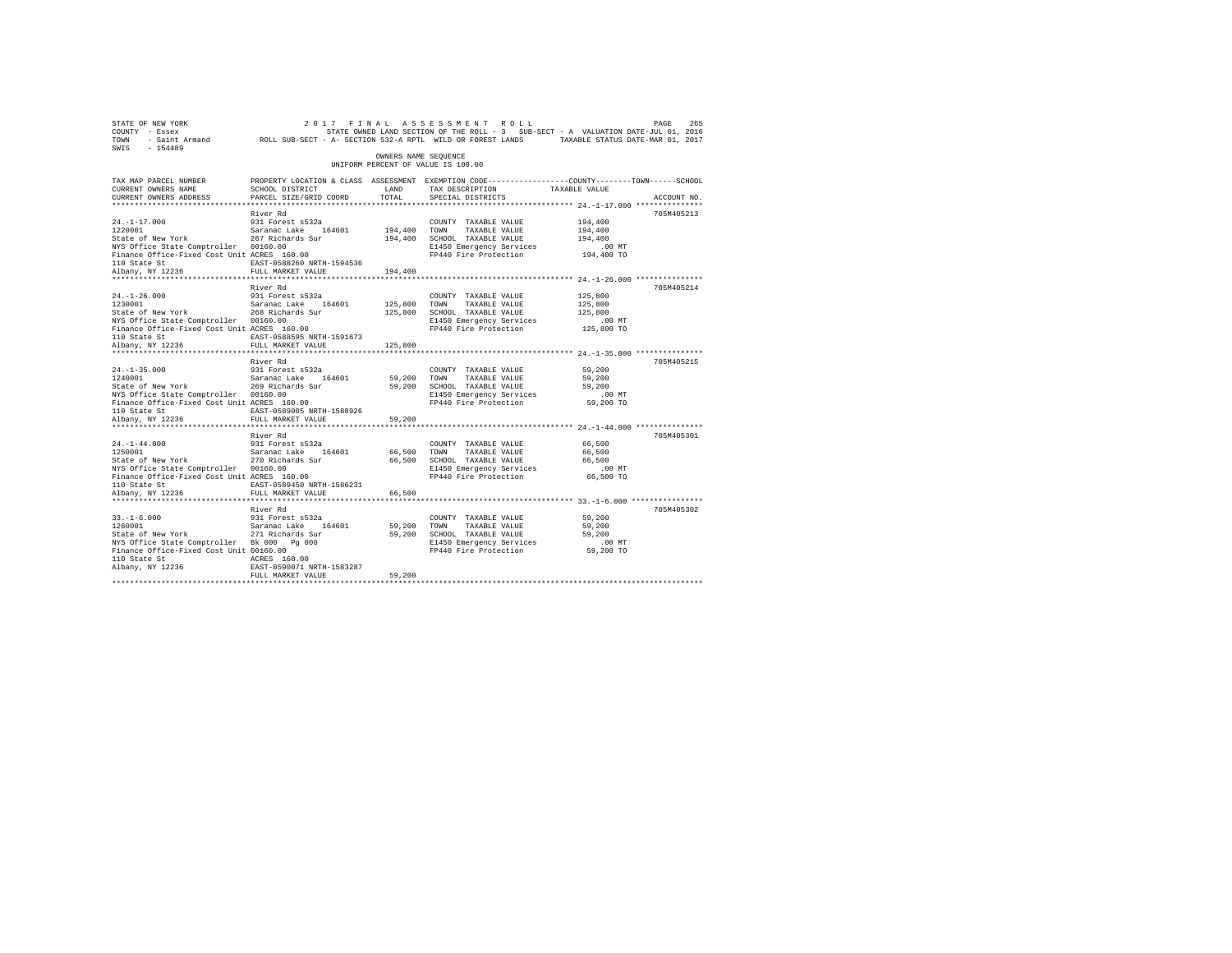| STATE OF NEW YORK<br>COUNTY - Essex<br>TOWN<br>$-154489$<br>SWIS                     | - Saint Armand ROLL SUB-SECT - A- SECTION 532-A RPTL WILD OR FOREST LANDS |                      | 2017 FINAL ASSESSMENT ROLL<br>STATE OWNED LAND SECTION OF THE ROLL - 3 SUB-SECT - A VALUATION DATE-JUL 01, 2016 | TAXABLE STATUS DATE-MAR 01, 2017 | PAGE<br>265 |
|--------------------------------------------------------------------------------------|---------------------------------------------------------------------------|----------------------|-----------------------------------------------------------------------------------------------------------------|----------------------------------|-------------|
|                                                                                      |                                                                           | OWNERS NAME SEOUENCE | UNIFORM PERCENT OF VALUE IS 100.00                                                                              |                                  |             |
| TAX MAP PARCEL NUMBER                                                                |                                                                           |                      | PROPERTY LOCATION & CLASS ASSESSMENT EXEMPTION CODE---------------COUNTY-------TOWN-----SCHOOL                  |                                  |             |
| CURRENT OWNERS NAME                                                                  | SCHOOL DISTRICT                                                           | LAND                 | TAX DESCRIPTION                                                                                                 | TAXABLE VALUE                    |             |
| CURRENT OWNERS ADDRESS                                                               | PARCEL SIZE/GRID COORD                                                    | TOTAL.               | SPECIAL DISTRICTS                                                                                               |                                  | ACCOUNT NO. |
| ***********************                                                              | ***************************                                               |                      |                                                                                                                 |                                  |             |
|                                                                                      | River Rd                                                                  |                      |                                                                                                                 |                                  | 705M405213  |
| $24. -1 - 17.000$<br>1220001                                                         | 931 Forest s532a<br>Saranac Lake 164601                                   | 194,400              | COUNTY TAXABLE VALUE<br>TAXABLE VALUE<br>TOWN                                                                   | 194,400<br>194,400               |             |
| State of New York                                                                    | 267 Richards Sur                                                          | 194,400              | SCHOOL TAXABLE VALUE                                                                                            | 194,400                          |             |
| NYS Office State Comptroller 00160.00                                                |                                                                           |                      | E1450 Emergency Services                                                                                        | $.00$ MT                         |             |
| Finance Office-Fixed Cost Unit ACRES 160.00                                          |                                                                           |                      | FP440 Fire Protection                                                                                           | 194,400 TO                       |             |
| 110 State St                                                                         | EAST-0588260 NRTH-1594536                                                 |                      |                                                                                                                 |                                  |             |
| Albany, NY 12236                                                                     | FULL MARKET VALUE                                                         | 194,400              |                                                                                                                 |                                  |             |
|                                                                                      |                                                                           |                      |                                                                                                                 |                                  |             |
|                                                                                      | River Rd                                                                  |                      |                                                                                                                 |                                  | 705M405214  |
| $24. -1 - 26.000$                                                                    | 931 Forest s532a                                                          |                      | COUNTY TAXABLE VALUE                                                                                            | 125,800                          |             |
| 1230001                                                                              | Saranac Lake 164601                                                       | 125,800              | TOWN<br>TAXABLE VALUE                                                                                           | 125,800                          |             |
| State of New York<br>NYS Office State Comptroller 00160.00                           | 268 Richards Sur                                                          | 125,800              | SCHOOL TAXABLE VALUE<br>E1450 Emergency Services                                                                | 125,800<br>.00MT                 |             |
| Finance Office-Fixed Cost Unit ACRES 160.00                                          |                                                                           |                      | FP440 Fire Protection                                                                                           | 125,800 TO                       |             |
| 110 State St                                                                         | EAST-0588595 NRTH-1591673                                                 |                      |                                                                                                                 |                                  |             |
| Albany, NY 12236                                                                     | FULL MARKET VALUE                                                         | 125,800              |                                                                                                                 |                                  |             |
| ************************                                                             | **************************                                                | ***********          |                                                                                                                 |                                  |             |
|                                                                                      | River Rd                                                                  |                      |                                                                                                                 |                                  | 705M405215  |
| $24. -1 - 35.000$                                                                    | 931 Forest s532a                                                          |                      | COUNTY TAXABLE VALUE                                                                                            | 59,200                           |             |
| 1240001                                                                              | Saranac Lake<br>164601                                                    | 59,200               | TOWN<br>TAXABLE VALUE                                                                                           | 59,200                           |             |
| State of New York                                                                    | 269 Richards Sur                                                          | 59,200               | SCHOOL TAXABLE VALUE                                                                                            | 59,200                           |             |
| NYS Office State Comptroller 00160.00<br>Finance Office-Fixed Cost Unit ACRES 160.00 |                                                                           |                      | E1450 Emergency Services<br>FP440 Fire Protection                                                               | $.00$ MT<br>59,200 TO            |             |
| 110 State St                                                                         | EAST-0589005 NRTH-1588926                                                 |                      |                                                                                                                 |                                  |             |
| Albany, NY 12236                                                                     | FULL MARKET VALUE                                                         | 59,200               |                                                                                                                 |                                  |             |
| *************************                                                            | *************************                                                 | .                    |                                                                                                                 |                                  |             |
|                                                                                      | River Rd                                                                  |                      |                                                                                                                 |                                  | 705M405301  |
| $24. -1 - 44.000$                                                                    | 931 Forest s532a                                                          |                      | COUNTY TAXABLE VALUE                                                                                            | 66,500                           |             |
| 1250001                                                                              | Saranac Lake<br>164601                                                    | 66,500               | TAXABLE VALUE<br>TOWN                                                                                           | 66,500                           |             |
| State of New York                                                                    | 270 Richards Sur                                                          | 66,500               | SCHOOL TAXABLE VALUE                                                                                            | 66,500                           |             |
| NYS Office State Comptroller 00160.00                                                |                                                                           |                      | E1450 Emergency Services<br>FP440 Fire Protection                                                               | $.00$ MT                         |             |
| Finance Office-Fixed Cost Unit ACRES 160.00<br>110 State St                          | EAST-0589450 NRTH-1586231                                                 |                      |                                                                                                                 | 66,500 TO                        |             |
| Albany, NY 12236                                                                     | FULL MARKET VALUE                                                         | 66,500               |                                                                                                                 |                                  |             |
|                                                                                      |                                                                           |                      |                                                                                                                 |                                  |             |
|                                                                                      | River Rd                                                                  |                      |                                                                                                                 |                                  | 705M405302  |
| $33. - 1 - 6.000$                                                                    | 931 Forest s532a                                                          |                      | COUNTY TAXABLE VALUE                                                                                            | 59,200                           |             |
| 1260001                                                                              | Saranac Lake<br>164601                                                    | 59,200               | TOWN<br>TAXABLE VALUE                                                                                           | 59,200                           |             |
| State of New York                                                                    | 271 Richards Sur                                                          | 59,200               | SCHOOL TAXABLE VALUE                                                                                            | 59,200                           |             |
| NYS Office State Comptroller Bk 000 Pg 000                                           |                                                                           |                      | E1450 Emergency Services                                                                                        | $.00$ MT                         |             |
| Finance Office-Fixed Cost Unit 00160.00                                              |                                                                           |                      | FP440 Fire Protection                                                                                           | 59,200 TO                        |             |
| 110 State St<br>Albany, NY 12236                                                     | ACRES 160.00<br>EAST-0590071 NRTH-1583287                                 |                      |                                                                                                                 |                                  |             |
|                                                                                      | FULL MARKET VALUE                                                         | 59,200               |                                                                                                                 |                                  |             |
|                                                                                      |                                                                           |                      |                                                                                                                 |                                  |             |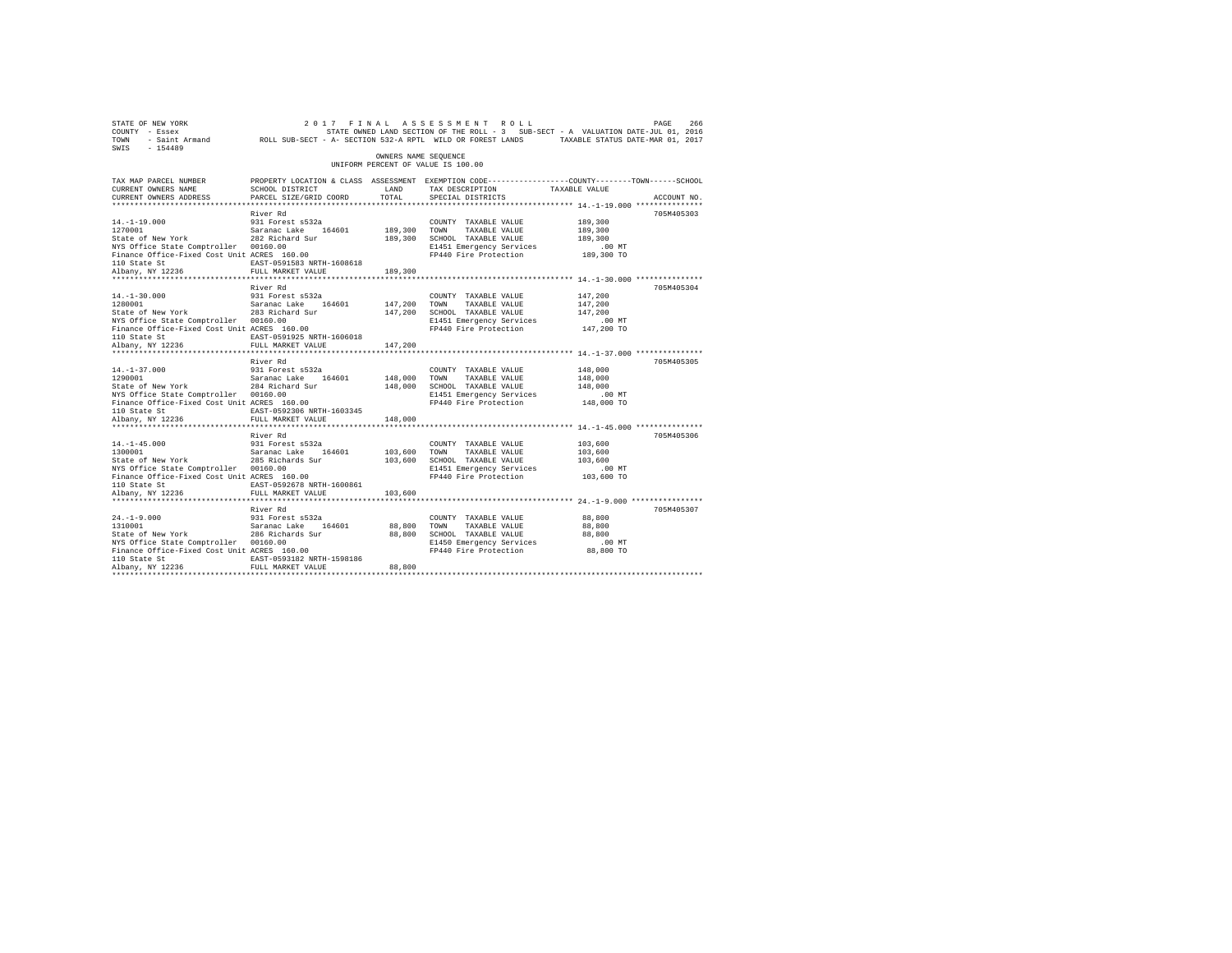| STATE OF NEW YORK<br>COUNTY - Essex<br>TOWN<br>$SWTS = 154489$                                                                                                                                                                                          |                                                                    |                         | 266 DE REW YORK 2017 FINAL ASSESSMENT ROLL (PAGE 266 PART ROLL)<br>Fasex - Essex STATE OWNED LAND SECTION OF THE ROLL -3 SUB-SECT - A VALUATION DATE-JUL 01, 2016<br>Saint Armand ROLL SUB-SECT - A-SECTION 532-A RPTL WILD OR FORES |                                           |             |
|---------------------------------------------------------------------------------------------------------------------------------------------------------------------------------------------------------------------------------------------------------|--------------------------------------------------------------------|-------------------------|--------------------------------------------------------------------------------------------------------------------------------------------------------------------------------------------------------------------------------------|-------------------------------------------|-------------|
|                                                                                                                                                                                                                                                         |                                                                    | OWNERS NAME SEQUENCE    | UNIFORM PERCENT OF VALUE IS 100.00                                                                                                                                                                                                   |                                           |             |
| TAX MAP PARCEL NUMBER<br>CURRENT OWNERS NAME<br>CURRENT OWNERS ADDRESS                                                                                                                                                                                  | SCHOOL DISTRICT<br>PARCEL SIZE/GRID COORD                          | LAND<br>TOTAL           | PROPERTY LOCATION & CLASS ASSESSMENT EXEMPTION CODE----------------COUNTY-------TOWN-----SCHOOL<br>TAX DESCRIPTION TAXABLE VALUE<br>SPECIAL DISTRICTS                                                                                |                                           | ACCOUNT NO. |
|                                                                                                                                                                                                                                                         |                                                                    |                         |                                                                                                                                                                                                                                      |                                           |             |
| $14. -1 - 19.000$<br>1270001<br>1270001 5aranac Lake 164601<br>Saranac Lake 164601<br>282 Richard Sur<br>NYS Office State Comptroller 00160.00<br>Finance Office-Fixed Cost Unit ACRES 160.00                                                           | River Rd<br>931 Forest s532a                                       | 189,300 TOWN            | COUNTY TAXABLE VALUE<br>TAXABLE VALUE<br>189,300 SCHOOL TAXABLE VALUE<br>E1451 Emergency Services<br>FP440 Fire Protection 189,300 TO                                                                                                | 189,300<br>189,300<br>189,300<br>$.00$ MT | 705M405303  |
| 110 State St<br>Albany, NY 12236                                                                                                                                                                                                                        | EAST-0591583 NRTH-1608618<br>FULL MARKET VALUE                     | 189,300                 |                                                                                                                                                                                                                                      |                                           |             |
| $14. - 1 - 30.000$<br>14.-1-30.000<br>1280001<br>1280001 Saranac Lake 164601<br>State of New York 283 Richard Sur<br>NYS Office State Comptroller 00160.00<br>Finance Office-Fixed Cost Unit ACRES 160.00                                               | River Rd<br>931 Forest s532a<br>EAST-0591925 NRTH-1606018          | 147,200 TOWN            | COUNTY TAXABLE VALUE<br>TAXABLE VALUE<br>147,200 SCHOOL TAXABLE VALUE<br>E1451 Emergency Services<br>FP440 Fire Protection 147,200 TO                                                                                                | 147,200<br>147,200<br>147,200<br>.00 MT   | 705M405304  |
| 110 State St<br>Albany, NY 12236                                                                                                                                                                                                                        | FULL MARKET VALUE                                                  | 147,200                 |                                                                                                                                                                                                                                      |                                           |             |
|                                                                                                                                                                                                                                                         | River Rd                                                           |                         |                                                                                                                                                                                                                                      |                                           | 705M405305  |
| $14. - 1 - 37.000$<br>14.-1-37.000 931 Forest s532a<br>1290001 - Saranac Lake 164601<br>State of New York 284 Richard Sur<br>NYS Office State Comptroller 00160.00<br>Finance Office-Fixed Cost Unit ACRES 160.00<br>110 State St                       | 931 Forest s532a<br>EAST-0592306 NRTH-1603345                      | 148,000                 | COUNTY TAXABLE VALUE<br>TOWN<br>TAXABLE VALUE<br>148,000 SCHOOL TAXABLE VALUE<br>E1451 Emergency Services<br>FP440 Fire Protection 148,000 TO                                                                                        | 148,000<br>148,000<br>148,000<br>$.00$ MT |             |
| Albany, NY 12236                                                                                                                                                                                                                                        | FULL MARKET VALUE                                                  | 148,000                 |                                                                                                                                                                                                                                      |                                           |             |
|                                                                                                                                                                                                                                                         | River Rd                                                           |                         |                                                                                                                                                                                                                                      |                                           | 705M405306  |
| $14. -1 - 45.000$<br>14.-1-45.000 931 Forest s532a<br>1300001 931 Saranac Lake 164601<br>State of New York 285 Richards Sur<br>NYS Office State Comptroller 00160.00<br>Finance Office-Fixed Cost Unit ACRES 160.00<br>110 State St<br>Albany, NY 12236 | 931 Forest s532a<br>EAST-0592678 NRTH-1600861<br>FULL MARKET VALUE | 103,600 TOWN<br>103,600 | COUNTY TAXABLE VALUE<br>TAXABLE VALUE<br>103,600 SCHOOL TAXABLE VALUE<br>E1451 Emergency Services<br>FP440 Fire Protection 103,600 TO                                                                                                | 103,600<br>103,600<br>103,600<br>$.00$ MT |             |
|                                                                                                                                                                                                                                                         | River Rd                                                           |                         |                                                                                                                                                                                                                                      |                                           | 705M405307  |
| $24. -1 - 9.000$<br>1310001 Saranac Lake 164601<br>State of New York 286 Richards Sur<br>NYS Office State Comptroller 00160.00<br>Finance Office-Fixed Cost Unit ACRES 160.00<br>110 State St                                                           | 931 Forest s532a<br>EAST-0593182 NRTH-1598186                      | 88,800                  | COUNTY TAXABLE VALUE<br>TAXABLE VALUE<br>TOWN<br>88,800 SCHOOL TAXABLE VALUE<br>E1450 Emergency Services<br>FP440 Fire Protection 88,800 TO                                                                                          | 88,800<br>88,800<br>88,800<br>$.00$ MT    |             |
| Albany, NY 12236                                                                                                                                                                                                                                        | FULL MARKET VALUE                                                  | 88,800                  |                                                                                                                                                                                                                                      |                                           |             |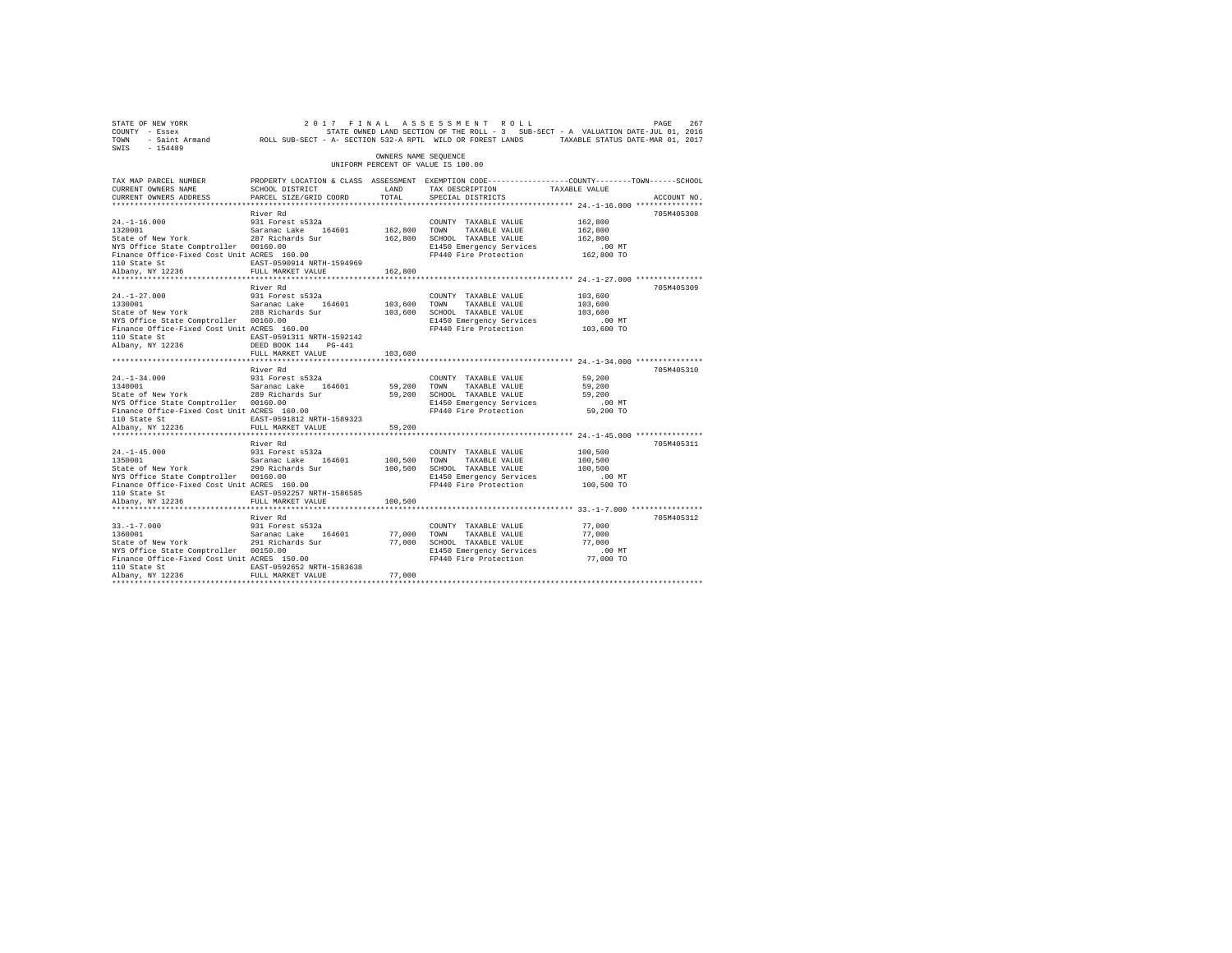| STATE OF NEW YORK<br>COUNTY - Essex<br>TOWN<br>SWTS<br>$-154489$                                                                                                                           |                                                                                                                                                   |                         | 2017 FINAL ASSESSMENT ROLL<br>STATE OWNED LAND SECTION OF THE ROLL - 3 SUB-SECT - A VALUATION DATE-JUL 01, 2016<br>- Saint Armand ROLL SUB-SECT - A- SECTION 532-A RPTL WILD OR FOREST LANDS TAXABLE STATUS DATE-MAR 01, 2017 |                                                         | 267<br>PAGE |
|--------------------------------------------------------------------------------------------------------------------------------------------------------------------------------------------|---------------------------------------------------------------------------------------------------------------------------------------------------|-------------------------|-------------------------------------------------------------------------------------------------------------------------------------------------------------------------------------------------------------------------------|---------------------------------------------------------|-------------|
|                                                                                                                                                                                            |                                                                                                                                                   | OWNERS NAME SEQUENCE    | UNIFORM PERCENT OF VALUE IS 100.00                                                                                                                                                                                            |                                                         |             |
| TAX MAP PARCEL NUMBER<br>CURRENT OWNERS NAME<br>CURRENT OWNERS ADDRESS                                                                                                                     | SCHOOL DISTRICT<br>PARCEL SIZE/GRID COORD                                                                                                         | LAND<br>TOTAL           | PROPERTY LOCATION & CLASS ASSESSMENT EXEMPTION CODE---------------COUNTY-------TOWN-----SCHOOL<br>TAX DESCRIPTION<br>SPECIAL DISTRICTS                                                                                        | TAXABLE VALUE                                           | ACCOUNT NO. |
|                                                                                                                                                                                            |                                                                                                                                                   |                         |                                                                                                                                                                                                                               |                                                         |             |
| $24. -1 - 16.000$<br>1320001<br>State of New York<br>NYS Office State Comptroller 00160.00<br>Finance Office-Fixed Cost Unit ACRES 160.00<br>110 State St                                  | River Rd<br>931 Forest s532a<br>Saranac Lake 164601<br>287 Richards Sur<br>EAST-0590914 NRTH-1594969                                              | 162.800 TOWN            | COUNTY TAXABLE VALUE<br>TAXABLE VALUE<br>162,800 SCHOOL TAXABLE VALUE<br>E1450 Emergency Services<br>FP440 Fire Protection                                                                                                    | 162,800<br>162,800<br>162,800<br>$.00$ MT<br>162,800 TO | 705M405308  |
| Albany, NY 12236                                                                                                                                                                           | FULL MARKET VALUE                                                                                                                                 | 162,800                 |                                                                                                                                                                                                                               |                                                         |             |
| $24. -1 - 27.000$<br>1330001<br>State of New York<br>wis UIIICE State Comptroller 00160.00<br>Finance Office-Fixed Cost Unit ACRES 160.00<br>110 Other<br>110 State St<br>Albany, NY 12236 | River Rd<br>931 Forest s532a<br>Saranac Lake 164601<br>288 Richards Sur<br>EAST-0591311 NRTH-1592142<br>DEED BOOK 144 PG-441<br>FULL MARKET VALUE | 103,600 TOWN<br>103,600 | COUNTY TAXABLE VALUE<br>TAXABLE VALUE<br>103,600 SCHOOL TAXABLE VALUE<br>E1450 Emergency Services<br>FP440 Fire Protection                                                                                                    | 103,600<br>103,600<br>103,600<br>$.00$ MT<br>103,600 TO | 705M405309  |
|                                                                                                                                                                                            |                                                                                                                                                   |                         |                                                                                                                                                                                                                               |                                                         |             |
| $24. -1 - 34.000$<br>1340001<br>State of New York<br>NYS Office State Comptroller 00160.00<br>Finance Office-Fixed Cost Unit ACRES 160.00<br>110 State St                                  | River Rd<br>931 Forest s532a<br>Saranac Lake 164601<br>289 Richards Sur<br>EAST-0591812 NRTH-1589323                                              | 59,200 TOWN             | COUNTY TAXABLE VALUE<br>TAXABLE VALUE<br>59,200 SCHOOL TAXABLE VALUE<br>E1450 Emergency Services<br>FP440 Fire Protection                                                                                                     | 59,200<br>59,200<br>59,200<br>$.00$ MT<br>59,200 TO     | 705M405310  |
| Albany, NY 12236                                                                                                                                                                           | FULL MARKET VALUE                                                                                                                                 | 59,200                  |                                                                                                                                                                                                                               |                                                         |             |
| $24. -1 - 45.000$<br>1350001<br>State of New York<br>NYS Office State Comptroller 00160.00<br>Finance Office-Fixed Cost Unit ACRES 160.00<br>110 State St<br>Albany, NY 12236              | River Rd<br>931 Forest s532a<br>Saranac Lake 164601<br>290 Richards Sur<br>EAST-0592257 NRTH-1586585<br>FULL MARKET VALUE                         | 100.500 TOWN<br>100,500 | COUNTY TAXABLE VALUE<br>TAXABLE VALUE<br>100,500 SCHOOL TAXABLE VALUE<br>E1450 Emergency Services<br>FP440 Fire Protection                                                                                                    | 100,500<br>100,500<br>100,500<br>$.00$ MT<br>100,500 TO | 705M405311  |
|                                                                                                                                                                                            |                                                                                                                                                   |                         |                                                                                                                                                                                                                               |                                                         |             |
| $33. -1 - 7.000$<br>1360001<br>State of New York<br>NYS Office State Comptroller 00150.00<br>Finance Office-Fixed Cost Unit ACRES 150.00<br>110 State St                                   | River Rd<br>931 Forest s532a<br>Saranac Lake 164601<br>291 Richards Sur<br>EAST-0592652 NRTH-1583638                                              | 77,000 TOWN<br>77,000   | COUNTY TAXABLE VALUE<br>TAXABLE VALUE<br>77,000 SCHOOL TAXABLE VALUE<br>E1450 Emergency Services<br>FP440 Fire Protection                                                                                                     | 77,000<br>77,000<br>77,000<br>$.00$ MT<br>77,000 TO     | 705M405312  |
| Albany, NY 12236                                                                                                                                                                           | FULL MARKET VALUE                                                                                                                                 |                         |                                                                                                                                                                                                                               |                                                         |             |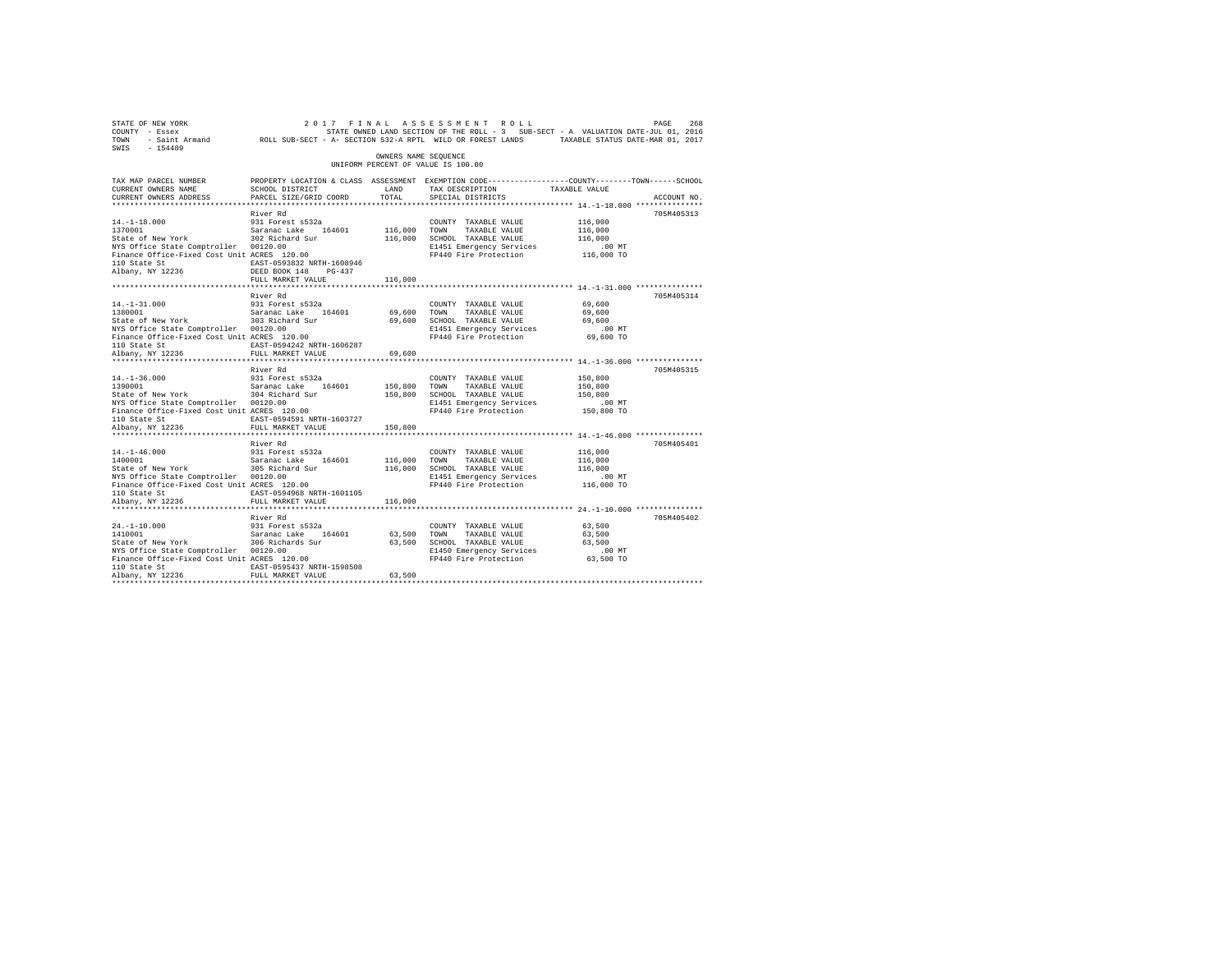| STATE OF NEW YORK<br>COUNTY - Essex<br>TOWN<br>SWIS - 154489                         | - Saint Armand MOLL SUB-SECT - A- SECTION 532-A RPTL WILD OR FOREST LANDS TAXABLE STATUS DATE-MAR 01, 2017                                  |                      | 2017 FINAL ASSESSMENT ROLL<br>STATE OWNED LAND SECTION OF THE ROLL - 3 SUB-SECT - A VALUATION DATE-JUL 01, 2016 |                        | PAGE<br>268 |
|--------------------------------------------------------------------------------------|---------------------------------------------------------------------------------------------------------------------------------------------|----------------------|-----------------------------------------------------------------------------------------------------------------|------------------------|-------------|
|                                                                                      |                                                                                                                                             | OWNERS NAME SEOUENCE | UNIFORM PERCENT OF VALUE IS 100.00                                                                              |                        |             |
| TAX MAP PARCEL NUMBER<br>CURRENT OWNERS NAME<br>CURRENT OWNERS ADDRESS               | PROPERTY LOCATION & CLASS ASSESSMENT EXEMPTION CODE---------------COUNTY-------TOWN-----SCHOOL<br>SCHOOL DISTRICT<br>PARCEL SIZE/GRID COORD | LAND<br>TOTAL.       | TAX DESCRIPTION<br>SPECIAL DISTRICTS                                                                            | TAXABLE VALUE          | ACCOUNT NO. |
|                                                                                      |                                                                                                                                             |                      |                                                                                                                 |                        |             |
|                                                                                      | River Rd                                                                                                                                    |                      |                                                                                                                 |                        | 705M405313  |
| $14. -1 - 18.000$<br>1370001                                                         | 931 Forest s532a                                                                                                                            |                      | COUNTY TAXABLE VALUE                                                                                            | 116,000                |             |
| State of New York                                                                    | Saranac Lake 164601                                                                                                                         | 116,000 TOWN         | TAXABLE VALUE<br>116,000 SCHOOL TAXABLE VALUE                                                                   | 116,000<br>116,000     |             |
|                                                                                      | 302 Richard Sur                                                                                                                             |                      | E1451 Emergency Services                                                                                        | .00 MT                 |             |
| NIS UIIICE State Comptroller 00120.00<br>Finance Office-Fixed Cost Unit ACRES 120.00 |                                                                                                                                             |                      | FP440 Fire Protection                                                                                           | 116,000 TO             |             |
| 110 State St                                                                         | EAST-0593832 NRTH-1608946                                                                                                                   |                      |                                                                                                                 |                        |             |
| Albany, NY 12236                                                                     | DEED BOOK 148 PG-437                                                                                                                        |                      |                                                                                                                 |                        |             |
|                                                                                      | FULL MARKET VALUE                                                                                                                           | 116,000              |                                                                                                                 |                        |             |
|                                                                                      |                                                                                                                                             |                      |                                                                                                                 |                        |             |
|                                                                                      | River Rd                                                                                                                                    |                      |                                                                                                                 |                        | 705M405314  |
| $14. -1 - 31.000$                                                                    | 931 Forest s532a                                                                                                                            |                      | COUNTY TAXABLE VALUE                                                                                            | 69,600                 |             |
| 1380001<br>State of New York 303 Richard Sur                                         | Saranac Lake 164601                                                                                                                         | 69,600               | TOWN<br>TAXABLE VALUE                                                                                           | 69,600<br>69,600       |             |
|                                                                                      |                                                                                                                                             |                      | 69,600 SCHOOL TAXABLE VALUE<br>E1451 Emergency Services                                                         | $.00$ MT               |             |
| NYS Office State Comptroller 00120.00<br>Finance Office-Fixed Cost Unit ACRES 120.00 |                                                                                                                                             |                      | FP440 Fire Protection                                                                                           | 69,600 TO              |             |
| 110 State St                                                                         | EAST-0594242 NRTH-1606287                                                                                                                   |                      |                                                                                                                 |                        |             |
| Albany, NY 12236                                                                     | FULL MARKET VALUE                                                                                                                           | 69,600               |                                                                                                                 |                        |             |
|                                                                                      |                                                                                                                                             | **************       | ********************************** 14.-1-36.000 ****************                                                |                        |             |
|                                                                                      | River Rd                                                                                                                                    |                      |                                                                                                                 |                        | 705M405315  |
| $14. - 1 - 36.000$                                                                   | 931 Forest s532a                                                                                                                            |                      | COUNTY TAXABLE VALUE                                                                                            | 150,800                |             |
| 1390001                                                                              | Saranac Lake 164601                                                                                                                         | 150,800 TOWN         | TAXABLE VALUE                                                                                                   | 150,800                |             |
| State of New York                                                                    | 304 Richard Sur                                                                                                                             |                      | 150,800 SCHOOL TAXABLE VALUE                                                                                    | 150,800                |             |
| NYS Office State Comptroller 00120.00<br>Finance Office-Fixed Cost Unit ACRES 120.00 |                                                                                                                                             |                      | E1451 Emergency Services<br>FP440 Fire Protection                                                               | $.00$ MT<br>150,800 TO |             |
| 110 State St                                                                         | EAST-0594591 NRTH-1603727                                                                                                                   |                      |                                                                                                                 |                        |             |
| Albany, NY 12236                                                                     | FULL MARKET VALUE                                                                                                                           | 150,800              |                                                                                                                 |                        |             |
|                                                                                      |                                                                                                                                             |                      |                                                                                                                 |                        |             |
|                                                                                      | River Rd                                                                                                                                    |                      |                                                                                                                 |                        | 705M405401  |
| $14. - 1 - 46.000$                                                                   | 931 Forest s532a                                                                                                                            |                      | COUNTY TAXABLE VALUE                                                                                            | 116,000                |             |
| 1400001                                                                              | Saranac Lake 164601                                                                                                                         | 116,000 TOWN         | TAXABLE VALUE                                                                                                   | 116,000                |             |
| State of New York                                                                    | 305 Richard Sur                                                                                                                             |                      | 116,000 SCHOOL TAXABLE VALUE                                                                                    | 116,000                |             |
| NYS Office State Comptroller 00120.00<br>Finance Office-Fixed Cost Unit ACRES 120.00 |                                                                                                                                             |                      | E1451 Emergency Services                                                                                        | $.00$ MT               |             |
|                                                                                      |                                                                                                                                             |                      | FP440 Fire Protection                                                                                           | 116,000 TO             |             |
| 110 State St<br>Albany, NY 12236                                                     | EAST-0594968 NRTH-1601105<br>FULL MARKET VALUE                                                                                              |                      |                                                                                                                 |                        |             |
|                                                                                      |                                                                                                                                             | 116,000              |                                                                                                                 |                        |             |
|                                                                                      | River Rd                                                                                                                                    |                      |                                                                                                                 |                        | 705M405402  |
| $24. -1 - 10.000$                                                                    | 931 Forest s532a                                                                                                                            |                      | COUNTY TAXABLE VALUE                                                                                            | 63,500                 |             |
|                                                                                      |                                                                                                                                             | 63,500 TOWN          | TAXABLE VALUE                                                                                                   | 63,500                 |             |
| 1410001 Saranac Lake 164601<br>State of New York 306 Richards Sur                    |                                                                                                                                             |                      | 63,500 SCHOOL TAXABLE VALUE                                                                                     | 63,500                 |             |
| NYS Office State Comptroller 00120.00                                                |                                                                                                                                             |                      | E1450 Emergency Services                                                                                        | $.00$ MT               |             |
| Finance Office-Fixed Cost Unit ACRES 120.00                                          |                                                                                                                                             |                      | FP440 Fire Protection                                                                                           | 63,500 TO              |             |
| 110 State St                                                                         | EAST-0595437 NRTH-1598508                                                                                                                   |                      |                                                                                                                 |                        |             |
| Albany, NY 12236                                                                     | FULL MARKET VALUE                                                                                                                           | 63,500               |                                                                                                                 |                        |             |
|                                                                                      |                                                                                                                                             |                      |                                                                                                                 |                        |             |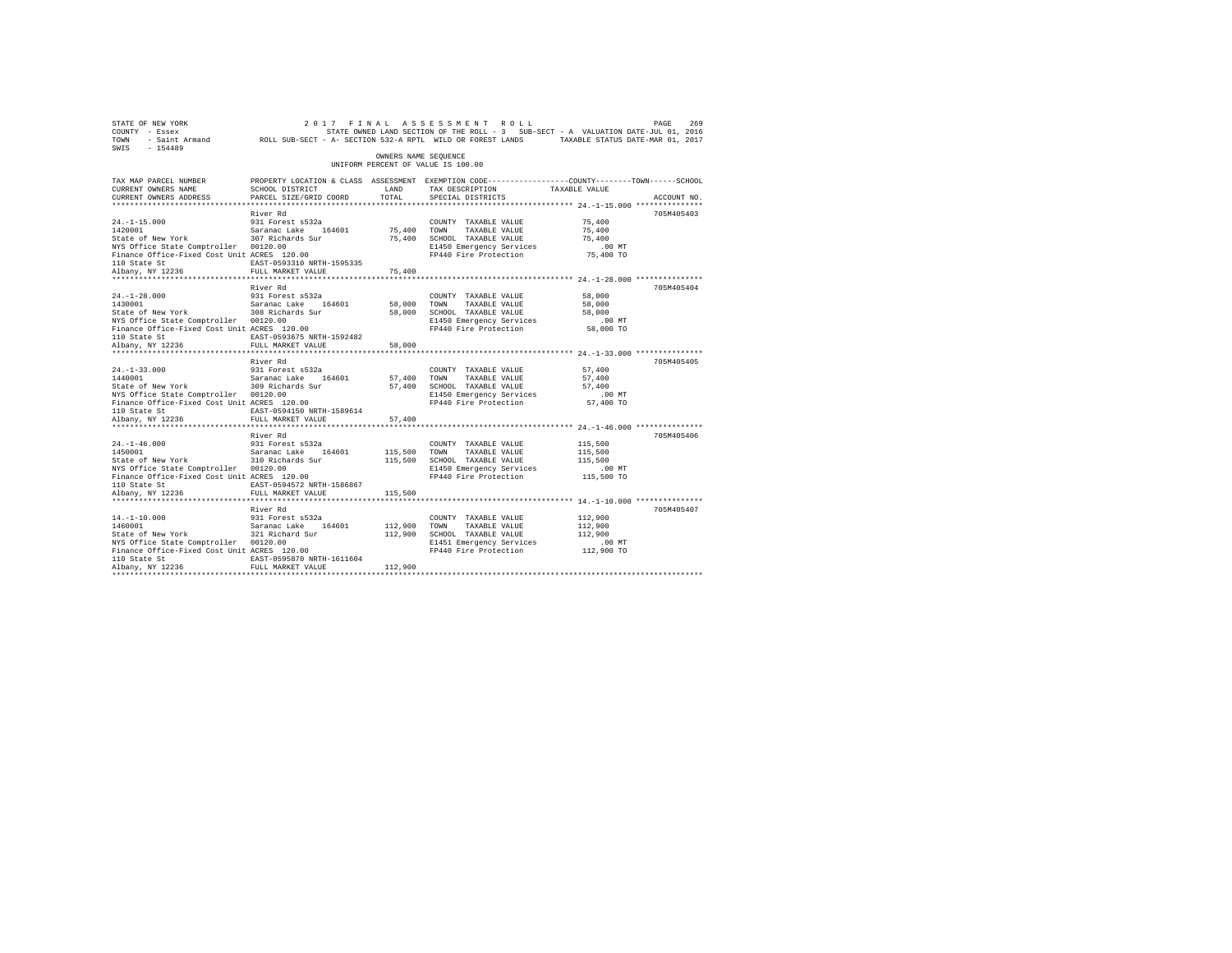| 269 PAGE 269 269 269 269 269 27 FINAL ASSESSMENT ROLL 2017 PAGE 269<br>COUNTY - Essex 57 STATE SONNED LAND SECTION OF THE ROLL - 3 SUB-SECT - A VALUATION DATE-JUL 01, 2016<br>2011 - Saint Armand 200LL SUB-SECT - A-SECTION 532-A<br>SWIS - 154489 |                                                                                                                    |                      |                                                                                                                  |                    |             |
|------------------------------------------------------------------------------------------------------------------------------------------------------------------------------------------------------------------------------------------------------|--------------------------------------------------------------------------------------------------------------------|----------------------|------------------------------------------------------------------------------------------------------------------|--------------------|-------------|
|                                                                                                                                                                                                                                                      |                                                                                                                    | OWNERS NAME SEOUENCE | UNIFORM PERCENT OF VALUE IS 100.00                                                                               |                    |             |
| TAX MAP PARCEL NUMBER<br>CURRENT OWNERS NAME                                                                                                                                                                                                         | PROPERTY LOCATION & CLASS ASSESSMENT EXEMPTION CODE----------------COUNTY-------TOWN-----SCHOOL<br>SCHOOL DISTRICT | LAND                 | TAX DESCRIPTION TAXABLE VALUE                                                                                    |                    |             |
| CURRENT OWNERS ADDRESS                                                                                                                                                                                                                               | PARCEL SIZE/GRID COORD                                                                                             | TOTAL                | SPECIAL DISTRICTS                                                                                                |                    | ACCOUNT NO. |
|                                                                                                                                                                                                                                                      |                                                                                                                    |                      |                                                                                                                  |                    |             |
|                                                                                                                                                                                                                                                      | River Rd                                                                                                           |                      |                                                                                                                  |                    | 705M405403  |
| 24.-1-15.000 931 Forest s532a<br>1420001 931 Saranac Lake 164601<br>State of New York 307 Richards Sur                                                                                                                                               |                                                                                                                    |                      | COUNTY TAXABLE VALUE                                                                                             | 75,400             |             |
|                                                                                                                                                                                                                                                      |                                                                                                                    |                      | 75,400 TOWN TAXABLE VALUE<br>75,400 SCHOOL TAXABLE VALUE                                                         | 75,400             |             |
|                                                                                                                                                                                                                                                      |                                                                                                                    |                      |                                                                                                                  | 75,400             |             |
| NYS Office State Comptroller 00120.00<br>Finance Office-Fixed Cost Unit ACRES 120.00                                                                                                                                                                 |                                                                                                                    |                      |                                                                                                                  |                    |             |
|                                                                                                                                                                                                                                                      |                                                                                                                    |                      |                                                                                                                  |                    |             |
| 110 State St<br>Albany, NY 12236                                                                                                                                                                                                                     | FULL MARKET VALUE                                                                                                  | 75,400               |                                                                                                                  |                    |             |
|                                                                                                                                                                                                                                                      |                                                                                                                    |                      |                                                                                                                  |                    |             |
|                                                                                                                                                                                                                                                      | River Rd                                                                                                           |                      |                                                                                                                  |                    | 705M405404  |
|                                                                                                                                                                                                                                                      |                                                                                                                    |                      | COUNTY TAXABLE VALUE                                                                                             | 58,000             |             |
| 24.-1-28.000 931 Forest s532a<br>1430001 931 Saranac Lake 164601<br>State of New York 308 Richards Sur                                                                                                                                               |                                                                                                                    | 58,000 TOWN          | TAXABLE VALUE                                                                                                    | 58,000             |             |
|                                                                                                                                                                                                                                                      |                                                                                                                    |                      | 58,000 SCHOOL TAXABLE VALUE                                                                                      | 58,000             |             |
| NYS Office State Comptroller 00120.00                                                                                                                                                                                                                |                                                                                                                    |                      | E1450 Emergency Services                                                                                         | .00MT              |             |
| Finance Office-Fixed Cost Unit ACRES 120.00                                                                                                                                                                                                          | t ACRES 120.00<br>EAST-0593675 NRTH-1592482                                                                        |                      | FP440 Fire Protection 58,000 TO                                                                                  |                    |             |
| 110 State St<br>Albany, NY 12236                                                                                                                                                                                                                     |                                                                                                                    |                      |                                                                                                                  |                    |             |
|                                                                                                                                                                                                                                                      | FULL MARKET VALUE                                                                                                  | 58,000               |                                                                                                                  |                    |             |
|                                                                                                                                                                                                                                                      | River Rd                                                                                                           |                      |                                                                                                                  |                    | 705M405405  |
| $24. -1 - 33.000$                                                                                                                                                                                                                                    |                                                                                                                    |                      | COUNTY TAXABLE VALUE                                                                                             | 57,400             |             |
|                                                                                                                                                                                                                                                      |                                                                                                                    |                      |                                                                                                                  | 57,400             |             |
| 24.-1-33.000 931 Forest s532a<br>1440001 - Saranac Lake 164601<br>State of New York 309 Richards Sur                                                                                                                                                 |                                                                                                                    |                      |                                                                                                                  | 57,400             |             |
| NYS Office State Comptroller 00120.00                                                                                                                                                                                                                |                                                                                                                    |                      | 57,400 TOWN TAXABLE VALUE<br>57,400 SCHOOL TAXABLE VALUE<br>E1450 Emergency Services<br>E1450 Emergency Services | $.00$ MT           |             |
| Finance Office-Fixed Cost Unit ACRES 120.00                                                                                                                                                                                                          |                                                                                                                    |                      | FP440 Fire Protection 57,400 TO                                                                                  |                    |             |
| 110 State St                                                                                                                                                                                                                                         | EAST-0594150 NRTH-1589614                                                                                          |                      |                                                                                                                  |                    |             |
| Albany, NY 12236                                                                                                                                                                                                                                     | FULL MARKET VALUE                                                                                                  | 57,400               |                                                                                                                  |                    |             |
|                                                                                                                                                                                                                                                      | ************************                                                                                           |                      | *************************** 24. -1-46.000 ***************                                                        |                    |             |
|                                                                                                                                                                                                                                                      | River Rd                                                                                                           |                      |                                                                                                                  |                    | 705M405406  |
| $24. -1 - 46.000$                                                                                                                                                                                                                                    |                                                                                                                    |                      | COUNTY TAXABLE VALUE                                                                                             | 115,500            |             |
| 24.-1-46.000 931 Forest s532a<br>1450001 931 Saranac Lake 164601<br>State of New York 310 Richards Sur                                                                                                                                               |                                                                                                                    | 115,500 TOWN         | TAXABLE VALUE<br>115,500 SCHOOL TAXABLE VALUE                                                                    | 115,500<br>115,500 |             |
| NYS Office State Comptroller 00120.00                                                                                                                                                                                                                |                                                                                                                    |                      | E1450 Emergency Services                                                                                         | $.00$ MT           |             |
| Finance Office-Fixed Cost Unit ACRES 120.00                                                                                                                                                                                                          |                                                                                                                    |                      | FP440 Fire Protection 115,500 TO                                                                                 |                    |             |
| 110 State St                                                                                                                                                                                                                                         | EAST-0594572 NRTH-1586867                                                                                          |                      |                                                                                                                  |                    |             |
| Albany, NY 12236                                                                                                                                                                                                                                     | FULL MARKET VALUE                                                                                                  | 115,500              |                                                                                                                  |                    |             |
|                                                                                                                                                                                                                                                      |                                                                                                                    |                      |                                                                                                                  |                    |             |
|                                                                                                                                                                                                                                                      | River Rd                                                                                                           |                      |                                                                                                                  |                    | 705M405407  |
| $14. - 1 - 10.000$<br>14.-1-10.000<br>1460001                                                                                                                                                                                                        | 931 Forest s532a                                                                                                   |                      | COUNTY TAXABLE VALUE                                                                                             | 112,900            |             |
| 1460001 Saranac Lake 164601<br>State of New York 321 Richard Sur                                                                                                                                                                                     |                                                                                                                    | 112,900 TOWN         | TAXABLE VALUE                                                                                                    | 112,900            |             |
|                                                                                                                                                                                                                                                      |                                                                                                                    |                      | 112,900 SCHOOL TAXABLE VALUE                                                                                     | 112,900            |             |
| NYS Office State Comptroller 00120.00<br>Finance Office-Fixed Cost Unit ACRES 120.00                                                                                                                                                                 |                                                                                                                    |                      | E1451 Emergency Services<br>FP440 Fire Protection 112,900 TO                                                     | $.00$ MT           |             |
| 110 State St                                                                                                                                                                                                                                         | EAST-0595870 NRTH-1611604                                                                                          |                      |                                                                                                                  |                    |             |
| Albany, NY 12236                                                                                                                                                                                                                                     | FULL MARKET VALUE                                                                                                  | 112,900              |                                                                                                                  |                    |             |
|                                                                                                                                                                                                                                                      |                                                                                                                    |                      |                                                                                                                  |                    |             |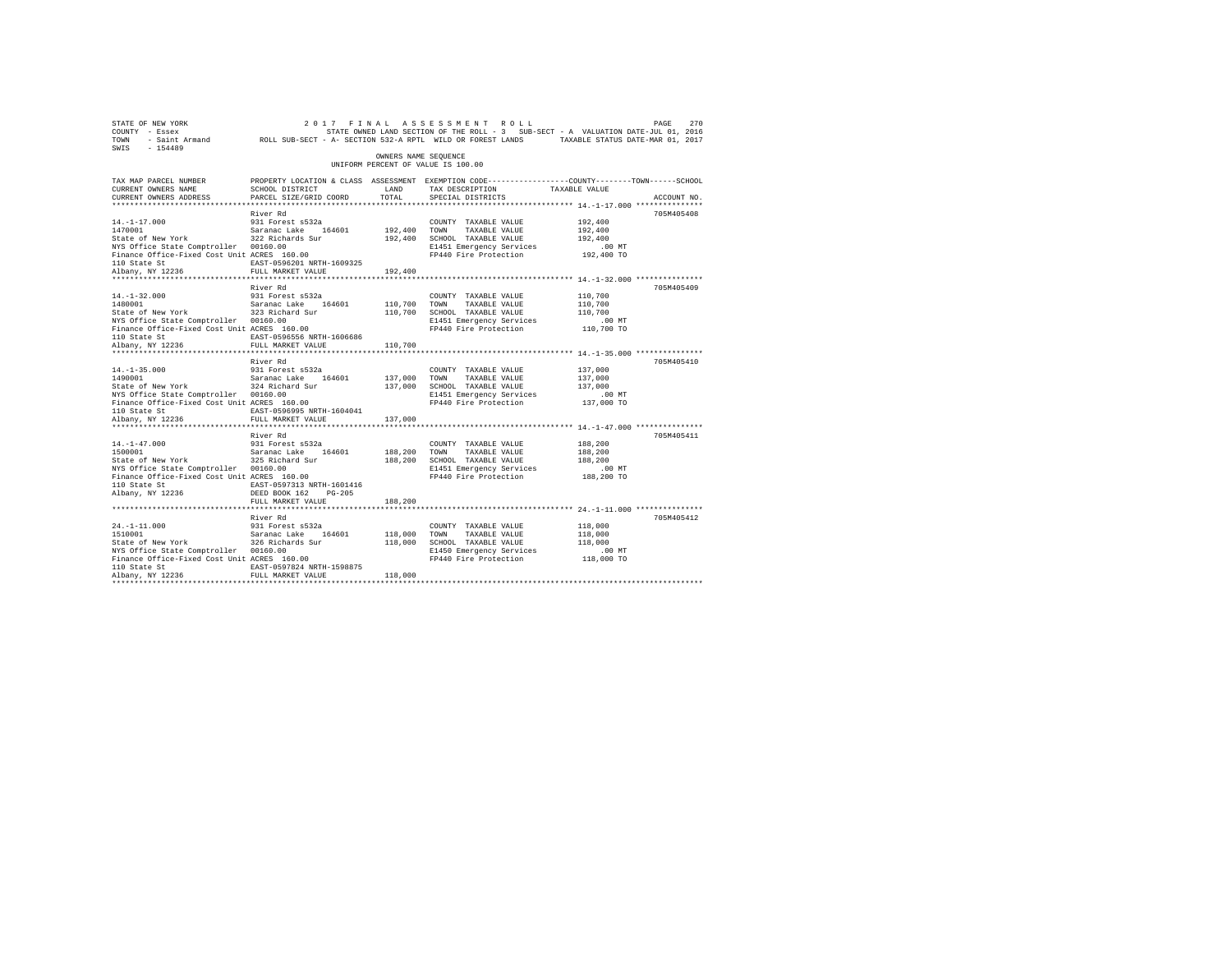| STATE OF NEW YORK<br>COUNTY - Essex<br>TOWN<br>$-154489$<br>SWIS                                                                                                               | - Saint Armand MCLL SUB-SECT - A- SECTION 532-A RPTL WILD OR FOREST LANDS                                                                                |                               | 2017 FINAL ASSESSMENT ROLL<br>STATE OWNED LAND SECTION OF THE ROLL - 3 SUB-SECT - A VALUATION DATE-JUL 01, 2016                         | TAXABLE STATUS DATE-MAR 01, 2017                       | PAGE<br>270 |
|--------------------------------------------------------------------------------------------------------------------------------------------------------------------------------|----------------------------------------------------------------------------------------------------------------------------------------------------------|-------------------------------|-----------------------------------------------------------------------------------------------------------------------------------------|--------------------------------------------------------|-------------|
|                                                                                                                                                                                |                                                                                                                                                          | OWNERS NAME SEOUENCE          | UNIFORM PERCENT OF VALUE IS 100.00                                                                                                      |                                                        |             |
| TAX MAP PARCEL NUMBER<br>CURRENT OWNERS NAME<br>CURRENT OWNERS ADDRESS                                                                                                         | SCHOOL DISTRICT<br>PARCEL SIZE/GRID COORD                                                                                                                | LAND<br>TOTAL.                | PROPERTY LOCATION & CLASS ASSESSMENT EXEMPTION CODE----------------COUNTY-------TOWN-----SCHOOL<br>TAX DESCRIPTION<br>SPECIAL DISTRICTS | TAXABLE VALUE                                          | ACCOUNT NO. |
|                                                                                                                                                                                | River Rd                                                                                                                                                 |                               |                                                                                                                                         |                                                        | 705M405408  |
| $14. -1 - 17.000$<br>1470001<br>State of New York<br>NYS Office State Comptroller 00160.00<br>Finance Office-Fixed Cost Unit ACRES 160.00<br>110 State St                      | 931 Forest s532a<br>Saranac Lake 164601<br>322 Richards Sur<br>EAST-0596201 NRTH-1609325                                                                 | 192,400<br>192,400            | COUNTY TAXABLE VALUE<br>TAXABLE VALUE<br>TOWN<br>SCHOOL TAXABLE VALUE<br>E1451 Emergency Services<br>FP440 Fire Protection              | 192,400<br>192,400<br>192,400<br>.00 MT<br>192,400 TO  |             |
| Albany, NY 12236                                                                                                                                                               | FULL MARKET VALUE                                                                                                                                        | 192,400                       |                                                                                                                                         |                                                        |             |
| $14. - 1 - 32.000$                                                                                                                                                             | River Rd<br>931 Forest s532a                                                                                                                             |                               | COUNTY TAXABLE VALUE                                                                                                                    | 110,700                                                | 705M405409  |
| 1480001<br>State of New York<br>NYS Office State Comptroller 00160.00<br>Finance Office-Fixed Cost Unit ACRES 160.00<br>110 State St                                           | Saranac Lake 164601<br>323 Richard Sur<br>EAST-0596556 NRTH-1606686                                                                                      | 110,700<br>110,700            | TOWN<br>TAXABLE VALUE<br>SCHOOL TAXABLE VALUE<br>E1451 Emergency Services<br>FP440 Fire Protection                                      | 110,700<br>110,700<br>.00MT<br>110,700 TO              |             |
| Albany, NY 12236                                                                                                                                                               | FULL MARKET VALUE                                                                                                                                        | 110,700                       |                                                                                                                                         |                                                        |             |
| *********************                                                                                                                                                          | ***********************<br>River Rd                                                                                                                      | ***********                   |                                                                                                                                         | ************************* 14.-1-35.000 *************** | 705M405410  |
| $14. -1 - 35.000$<br>1490001<br>State of New York<br>NYS Office State Comptroller 00160.00<br>Finance Office-Fixed Cost Unit ACRES 160.00<br>110 State St<br>Albany, NY 12236  | 931 Forest s532a<br>Saranac Lake<br>164601<br>324 Richard Sur<br>EAST-0596995 NRTH-1604041<br>FULL MARKET VALUE                                          | 137,000<br>137,000<br>137,000 | COUNTY TAXABLE VALUE<br>TOWN<br>TAXABLE VALUE<br>SCHOOL TAXABLE VALUE<br>E1451 Emergency Services<br>FP440 Fire Protection              | 137,000<br>137,000<br>137,000<br>.00MT<br>137,000 TO   |             |
|                                                                                                                                                                                | *********************                                                                                                                                    | *********                     | ************************************ 14.-1-47.000 ***************                                                                       |                                                        |             |
| $14. - 1 - 47.000$<br>1500001<br>State of New York<br>NYS Office State Comptroller 00160.00<br>Finance Office-Fixed Cost Unit ACRES 160.00<br>110 State St<br>Albany, NY 12236 | River Rd<br>931 Forest s532a<br>Saranac Lake<br>164601<br>325 Richard Sur<br>EAST-0597313 NRTH-1601416<br>DEED BOOK 162<br>$PG-205$<br>FULL MARKET VALUE | 188,200<br>188,200<br>188,200 | COUNTY TAXABLE VALUE<br>TAXABLE VALUE<br>TOWN<br>SCHOOL TAXABLE VALUE<br>E1451 Emergency Services<br>FP440 Fire Protection              | 188,200<br>188,200<br>188,200<br>.00 MT<br>188,200 TO  | 705M405411  |
|                                                                                                                                                                                |                                                                                                                                                          |                               |                                                                                                                                         |                                                        |             |
| $24. -1 - 11.000$<br>1510001<br>State of New York<br>NYS Office State Comptroller 00160.00<br>Finance Office-Fixed Cost Unit ACRES 160.00<br>110 State St<br>Albany, NY 12236  | River Rd<br>931 Forest s532a<br>Saranac Lake<br>164601<br>326 Richards Sur<br>EAST-0597824 NRTH-1598875<br>FULL MARKET VALUE                             | 118,000<br>118,000            | COUNTY TAXABLE VALUE<br>TOWN<br>TAXABLE VALUE<br>118,000 SCHOOL TAXABLE VALUE<br>E1450 Emergency Services<br>FP440 Fire Protection      | 118,000<br>118,000<br>118,000<br>.00 MT<br>118,000 TO  | 705M405412  |
|                                                                                                                                                                                |                                                                                                                                                          |                               |                                                                                                                                         |                                                        |             |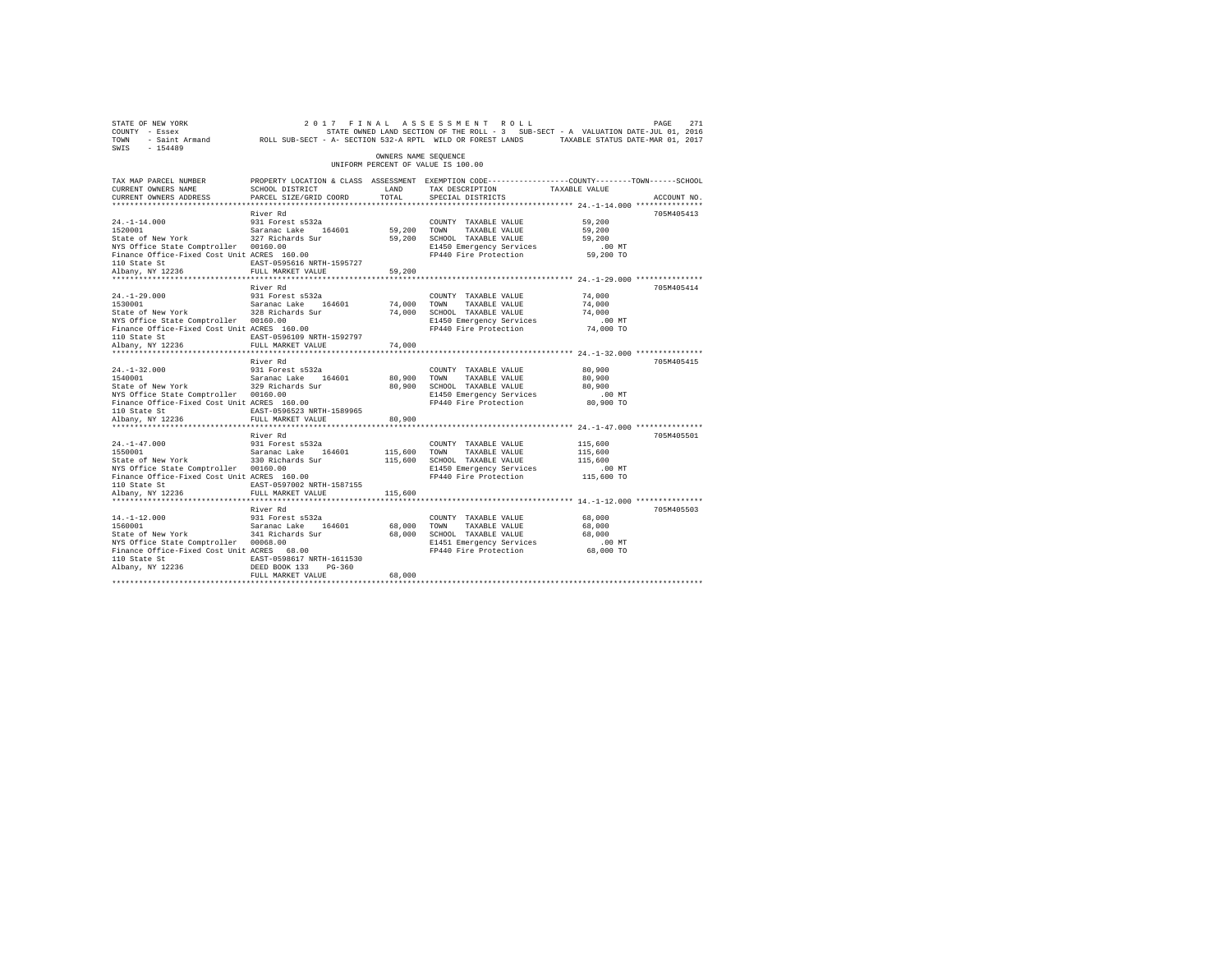| STATE OF NEW YORK<br>COUNTY - Essex<br>TOWN<br>SWIS<br>$-154489$            | - Saint Armand MOLL SUB-SECT - A- SECTION 532-A RPTL WILD OR FOREST LANDS |                      | 2017 FINAL ASSESSMENT<br>ROLL<br>STATE OWNED LAND SECTION OF THE ROLL - 3 SUB-SECT - A VALUATION DATE-JUL 01, 2016 | TAXABLE STATUS DATE-MAR 01, 2017 | PAGE<br>271 |
|-----------------------------------------------------------------------------|---------------------------------------------------------------------------|----------------------|--------------------------------------------------------------------------------------------------------------------|----------------------------------|-------------|
|                                                                             |                                                                           | OWNERS NAME SEQUENCE | UNIFORM PERCENT OF VALUE IS 100.00                                                                                 |                                  |             |
| TAX MAP PARCEL NUMBER<br>CURRENT OWNERS NAME                                | SCHOOL DISTRICT                                                           | LAND                 | PROPERTY LOCATION & CLASS ASSESSMENT EXEMPTION CODE---------------COUNTY-------TOWN-----SCHOOL<br>TAX DESCRIPTION  | TAXABLE VALUE                    |             |
| CURRENT OWNERS ADDRESS                                                      | PARCEL SIZE/GRID COORD                                                    | TOTAL                | SPECIAL DISTRICTS                                                                                                  |                                  | ACCOUNT NO. |
|                                                                             |                                                                           |                      |                                                                                                                    |                                  |             |
|                                                                             | River Rd                                                                  |                      |                                                                                                                    |                                  | 705M405413  |
| $24. -1 - 14.000$                                                           | 931 Forest s532a                                                          |                      | COUNTY TAXABLE VALUE                                                                                               | 59,200                           |             |
| 1520001                                                                     | Saranac Lake 164601                                                       | 59,200               | TOWN<br>TAXABLE VALUE                                                                                              | 59,200                           |             |
| State of New York                                                           | 327 Richards Sur                                                          | 59,200               | SCHOOL TAXABLE VALUE                                                                                               | 59,200                           |             |
| NYS Office State Comptroller 00160.00                                       |                                                                           |                      | E1450 Emergency Services                                                                                           | .00MT                            |             |
| Finance Office-Fixed Cost Unit ACRES 160.00<br>110 State St                 | EAST-0595616 NRTH-1595727                                                 |                      | FP440 Fire Protection                                                                                              | 59,200 TO                        |             |
| Albany, NY 12236                                                            | FULL MARKET VALUE                                                         | 59,200               |                                                                                                                    |                                  |             |
|                                                                             |                                                                           |                      |                                                                                                                    |                                  |             |
|                                                                             | River Rd                                                                  |                      |                                                                                                                    |                                  | 705M405414  |
| $24. -1 - 29.000$                                                           | 931 Forest s532a                                                          |                      | COUNTY TAXABLE VALUE                                                                                               | 74,000                           |             |
| 1530001                                                                     | Saranac Lake 164601                                                       | 74,000               | TOWN<br>TAXABLE VALUE                                                                                              | 74,000                           |             |
| State of New York                                                           | 328 Richards Sur                                                          | 74,000               | SCHOOL TAXABLE VALUE                                                                                               | 74,000                           |             |
| NYS Office State Comptroller 00160.00                                       |                                                                           |                      | E1450 Emergency Services                                                                                           | $.00$ $MT$                       |             |
| Finance Office-Fixed Cost Unit ACRES 160.00                                 |                                                                           |                      | FP440 Fire Protection                                                                                              | 74,000 TO                        |             |
| 110 State St                                                                | EAST-0596109 NRTH-1592797                                                 |                      |                                                                                                                    |                                  |             |
| Albany, NY 12236                                                            | FULL MARKET VALUE                                                         | 74,000               |                                                                                                                    |                                  |             |
| ***********************                                                     | ************************                                                  |                      |                                                                                                                    |                                  |             |
| $24. -1 - 32.000$                                                           | River Rd<br>931 Forest s532a                                              |                      |                                                                                                                    | 80,900                           | 705M405415  |
| 1540001                                                                     | Saranac Lake<br>164601                                                    | 80,900               | COUNTY TAXABLE VALUE<br>TOWN<br>TAXABLE VALUE                                                                      | 80,900                           |             |
| State of New York                                                           | 329 Richards Sur                                                          | 80,900               | SCHOOL TAXABLE VALUE                                                                                               | 80,900                           |             |
| NYS Office State Comptroller 00160.00                                       |                                                                           |                      | E1450 Emergency Services                                                                                           | .00 MT                           |             |
| Finance Office-Fixed Cost Unit ACRES 160.00                                 |                                                                           |                      | FP440 Fire Protection                                                                                              | 80,900 TO                        |             |
| 110 State St                                                                | EAST-0596523 NRTH-1589965                                                 |                      |                                                                                                                    |                                  |             |
| Albany, NY 12236                                                            | FULL MARKET VALUE                                                         | 80,900               |                                                                                                                    |                                  |             |
| *************************                                                   | *************************                                                 | **********           |                                                                                                                    |                                  |             |
|                                                                             | River Rd                                                                  |                      |                                                                                                                    |                                  | 705M405501  |
| $24. -1 - 47.000$                                                           | 931 Forest s532a                                                          |                      | COUNTY TAXABLE VALUE                                                                                               | 115,600                          |             |
| 1550001                                                                     | Saranac Lake<br>164601                                                    | 115,600              | TOWN<br>TAXABLE VALUE                                                                                              | 115,600                          |             |
| State of New York                                                           | 330 Richards Sur                                                          | 115,600              | SCHOOL TAXABLE VALUE                                                                                               | 115,600                          |             |
| NYS Office State Comptroller<br>Finance Office-Fixed Cost Unit ACRES 160.00 | 00160.00                                                                  |                      | E1450 Emergency Services<br>FP440 Fire Protection                                                                  | $.00$ MT<br>115,600 TO           |             |
| 110 State St                                                                | EAST-0597002 NRTH-1587155                                                 |                      |                                                                                                                    |                                  |             |
| Albany, NY 12236                                                            | FULL MARKET VALUE                                                         | 115,600              |                                                                                                                    |                                  |             |
|                                                                             |                                                                           |                      |                                                                                                                    |                                  |             |
|                                                                             | River Rd                                                                  |                      |                                                                                                                    |                                  | 705M405503  |
| $14. -1 - 12.000$                                                           | 931 Forest s532a                                                          |                      | COUNTY TAXABLE VALUE                                                                                               | 68,000                           |             |
| 1560001                                                                     | Saranac Lake<br>164601                                                    | 68,000               | TOWN<br>TAXABLE VALUE                                                                                              | 68,000                           |             |
| State of New York                                                           | 341 Richards Sur                                                          | 68,000               | SCHOOL TAXABLE VALUE                                                                                               | 68,000                           |             |
| NYS Office State Comptroller 00068.00                                       |                                                                           |                      | E1451 Emergency Services                                                                                           | .00MT                            |             |
| Finance Office-Fixed Cost Unit ACRES 68.00                                  |                                                                           |                      | FP440 Fire Protection                                                                                              | 68,000 TO                        |             |
| 110 State St                                                                | EAST-0598617 NRTH-1611530                                                 |                      |                                                                                                                    |                                  |             |
| Albany, NY 12236                                                            | DEED BOOK 133<br>$PG-360$                                                 | 68,000               |                                                                                                                    |                                  |             |
|                                                                             | FULL MARKET VALUE                                                         |                      |                                                                                                                    |                                  |             |
|                                                                             |                                                                           |                      |                                                                                                                    |                                  |             |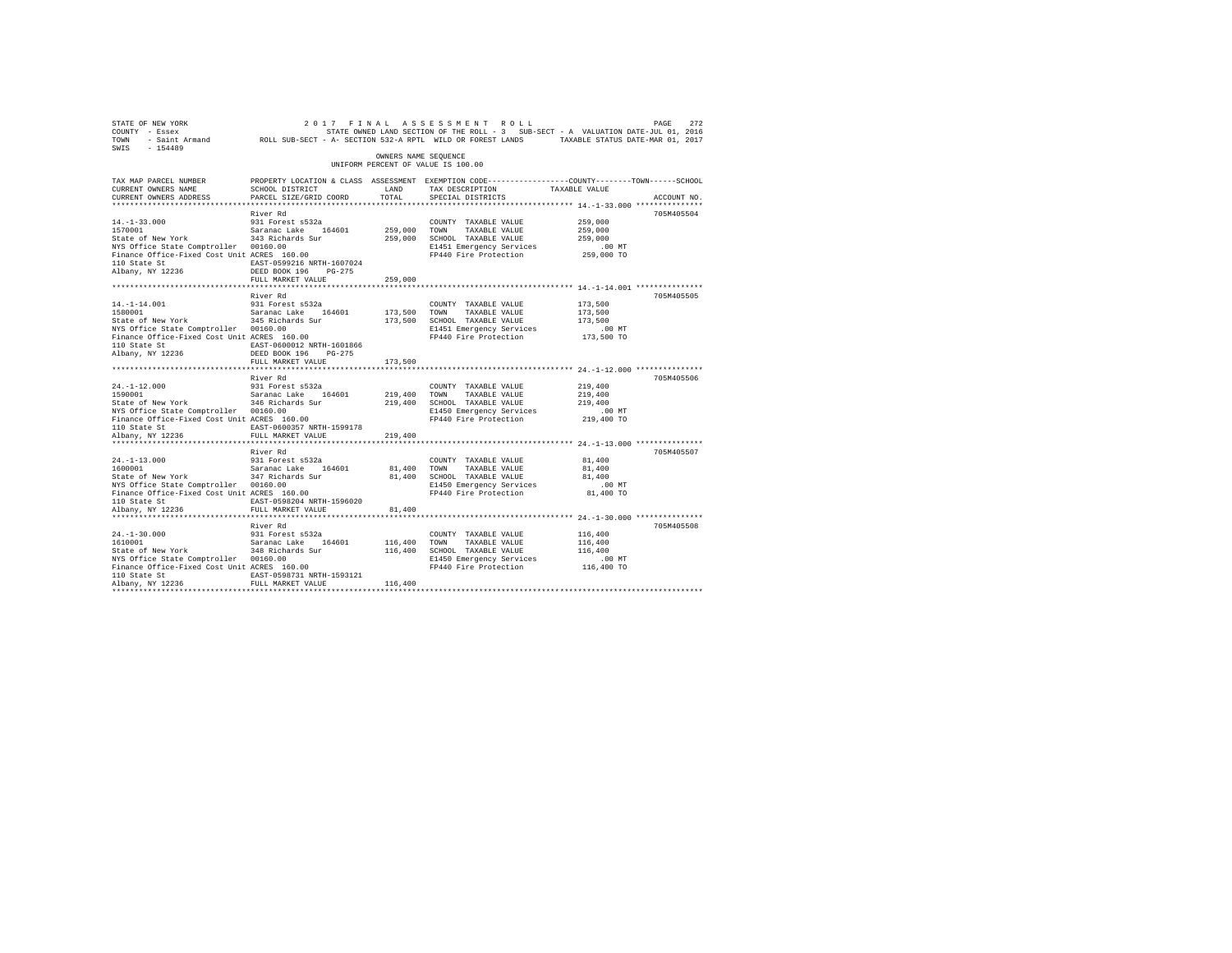| STATE OF NEW YORK<br>COUNTY - Essex<br>TOWN - Saint Armand ROLL SUB-SECT - A- SECTION 532-A RPTL WILD OR FOREST LANDS TAXABLE STATUS DATE-MAR 01, 2017<br>SWIS - 154489 |                                                                                                                                               |                      | 2017 FINAL ASSESSMENT ROLL<br>STATE OWNED LAND SECTION OF THE ROLL - 3 SUB-SECT - A VALUATION DATE-JUL 01, 2016 |                        | PAGE<br>272 |
|-------------------------------------------------------------------------------------------------------------------------------------------------------------------------|-----------------------------------------------------------------------------------------------------------------------------------------------|----------------------|-----------------------------------------------------------------------------------------------------------------|------------------------|-------------|
|                                                                                                                                                                         |                                                                                                                                               | OWNERS NAME SEQUENCE | UNIFORM PERCENT OF VALUE IS 100.00                                                                              |                        |             |
| TAX MAP PARCEL NUMBER<br>CURRENT OWNERS NAME<br>CURRENT OWNERS ADDRESS                                                                                                  | PROPERTY LOCATION & CLASS ASSESSMENT EXEMPTION CODE----------------COUNTY--------TOWN-----SCHOOL<br>SCHOOL DISTRICT<br>PARCEL SIZE/GRID COORD | LAND<br>TOTAL        | TAX DESCRIPTION<br>SPECIAL DISTRICTS                                                                            | TAXABLE VALUE          | ACCOUNT NO. |
|                                                                                                                                                                         | River Rd                                                                                                                                      |                      |                                                                                                                 |                        | 705M405504  |
| $14. -1 - 33.000$                                                                                                                                                       | 931 Forest s532a                                                                                                                              |                      | COUNTY TAXABLE VALUE                                                                                            | 259,000                |             |
| 1570001                                                                                                                                                                 | Saranac Lake 164601                                                                                                                           | 259,000 TOWN         | TAXABLE VALUE                                                                                                   | 259,000                |             |
| State of New York                                                                                                                                                       | 343 Richards Sur                                                                                                                              |                      | 259,000 SCHOOL TAXABLE VALUE                                                                                    | 259,000                |             |
| NYS Office State Comptroller 00160.00                                                                                                                                   |                                                                                                                                               |                      | E1451 Emergency Services<br>FP440 Fire Protection                                                               | $.00$ MT<br>259,000 TO |             |
|                                                                                                                                                                         |                                                                                                                                               |                      |                                                                                                                 |                        |             |
|                                                                                                                                                                         |                                                                                                                                               | 259,000              |                                                                                                                 |                        |             |
|                                                                                                                                                                         | River Rd                                                                                                                                      |                      |                                                                                                                 |                        | 705M405505  |
| $14. -1 - 14.001$                                                                                                                                                       | 931 Forest s532a                                                                                                                              |                      | COUNTY TAXABLE VALUE                                                                                            | 173,500                |             |
| 1580001                                                                                                                                                                 | Saranac Lake 164601<br>345 Richards Sur                                                                                                       | 173,500 TOWN         | TAXABLE VALUE                                                                                                   | 173,500                |             |
| State of New York                                                                                                                                                       |                                                                                                                                               |                      | 173,500 SCHOOL TAXABLE VALUE                                                                                    | 173,500                |             |
| NYS Office State Comptroller 00160.00<br>Finance Office-Fixed Cost Unit ACRES 160.00                                                                                    |                                                                                                                                               |                      | E1451 Emergency Services                                                                                        | $.00$ MT               |             |
|                                                                                                                                                                         |                                                                                                                                               |                      | FP440 Fire Protection                                                                                           | 173,500 TO             |             |
| 110 State St<br>Albany, NY 12236                                                                                                                                        | EAST-0600012 NRTH-1601866<br>DEED BOOK 196 PG-275                                                                                             |                      |                                                                                                                 |                        |             |
|                                                                                                                                                                         | FULL MARKET VALUE                                                                                                                             | 173,500              |                                                                                                                 |                        |             |
|                                                                                                                                                                         | River Rd                                                                                                                                      |                      |                                                                                                                 |                        | 705M405506  |
| $24. -1 - 12.000$                                                                                                                                                       | 931 Forest s532a                                                                                                                              |                      | COUNTY TAXABLE VALUE                                                                                            | 219,400                |             |
| 1590001                                                                                                                                                                 | Saranac Lake 164601                                                                                                                           | 219,400              | TOWN<br>TAXABLE VALUE                                                                                           | 219,400                |             |
| State of New York 346 Richards Sur                                                                                                                                      |                                                                                                                                               | 219,400              | SCHOOL TAXABLE VALUE                                                                                            | 219,400                |             |
| NYS Office State Comptroller 00160.00                                                                                                                                   |                                                                                                                                               |                      | E1450 Emergency Services                                                                                        | .00 MT                 |             |
| Finance Office-Fixed Cost Unit ACRES 160.00                                                                                                                             |                                                                                                                                               |                      | FP440 Fire Protection                                                                                           | 219,400 TO             |             |
| 110 State St                                                                                                                                                            | EAST-0600357 NRTH-1599178                                                                                                                     |                      |                                                                                                                 |                        |             |
| Albany, NY 12236                                                                                                                                                        | FULL MARKET VALUE                                                                                                                             | 219,400              |                                                                                                                 |                        |             |
|                                                                                                                                                                         | River Rd                                                                                                                                      |                      |                                                                                                                 |                        | 705M405507  |
| $24. -1 - 13.000$                                                                                                                                                       | 931 Forest s532a                                                                                                                              |                      | COUNTY TAXABLE VALUE                                                                                            | 81,400                 |             |
| 1600001                                                                                                                                                                 | Saranac Lake 164601                                                                                                                           | 81,400               | TOWN<br>TAXABLE VALUE                                                                                           | 81,400                 |             |
| State of New York<br>NYS Office State Comptroller 0160.00<br>Finance Office-Fixed Cost Unit ACRES 160.00                                                                |                                                                                                                                               | 81,400               | SCHOOL TAXABLE VALUE                                                                                            | 81,400                 |             |
|                                                                                                                                                                         |                                                                                                                                               |                      | E1450 Emergency Services                                                                                        | $.00$ MT               |             |
|                                                                                                                                                                         |                                                                                                                                               |                      | FP440 Fire Protection                                                                                           | 81,400 TO              |             |
| 110 State St                                                                                                                                                            | EAST-0598204 NRTH-1596020                                                                                                                     |                      |                                                                                                                 |                        |             |
| Albany, NY 12236                                                                                                                                                        | FULL MARKET VALUE                                                                                                                             | 81,400               |                                                                                                                 |                        |             |
|                                                                                                                                                                         |                                                                                                                                               |                      |                                                                                                                 |                        |             |
| $24. -1 - 30.000$                                                                                                                                                       | River Rd<br>931 Forest s532a                                                                                                                  |                      | COUNTY TAXABLE VALUE                                                                                            | 116,400                | 705M405508  |
| 1610001                                                                                                                                                                 | Saranac Lake 164601                                                                                                                           | 116,400 TOWN         | TAXABLE VALUE                                                                                                   | 116,400                |             |
| State of New York                                                                                                                                                       | 348 Richards Sur                                                                                                                              | 116,400              | SCHOOL TAXABLE VALUE                                                                                            | 116,400                |             |
| NYS Office State Comptroller 00160.00                                                                                                                                   |                                                                                                                                               |                      | E1450 Emergency Services                                                                                        | $.00$ MT               |             |
| Finance Office-Fixed Cost Unit ACRES 160.00                                                                                                                             |                                                                                                                                               |                      | FP440 Fire Protection                                                                                           | 116,400 TO             |             |
| 110 State St                                                                                                                                                            | EAST-0598731 NRTH-1593121                                                                                                                     |                      |                                                                                                                 |                        |             |
| Albany, NY 12236                                                                                                                                                        | FULL MARKET VALUE                                                                                                                             | 116,400              |                                                                                                                 |                        |             |
|                                                                                                                                                                         |                                                                                                                                               |                      |                                                                                                                 |                        |             |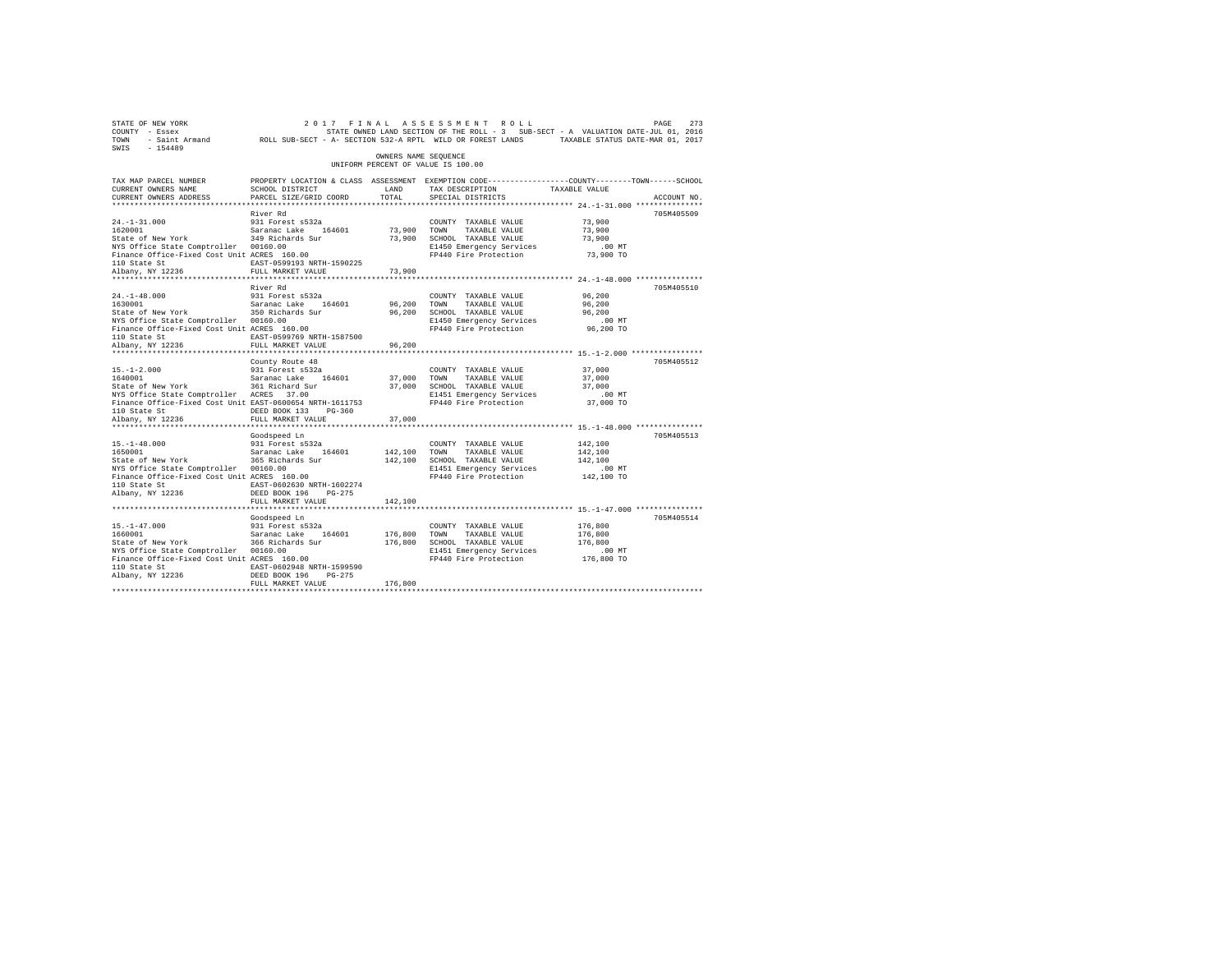| STATE OF NEW YORK<br>COUNTY - Essex<br>TOWN<br>SWIS<br>$-154489$                                                                                                                                                       | - Saint Armand MOLL SUB-SECT - A- SECTION 532-A RPTL WILD OR FOREST LANDS                                                                                |                       | 2017 FINAL ASSESSMENT ROLL<br>STATE OWNED LAND SECTION OF THE ROLL - 3 SUB-SECT - A VALUATION DATE-JUL 01, 2016                    | TAXABLE STATUS DATE-MAR 01, 2017                        | PAGE<br>273 |
|------------------------------------------------------------------------------------------------------------------------------------------------------------------------------------------------------------------------|----------------------------------------------------------------------------------------------------------------------------------------------------------|-----------------------|------------------------------------------------------------------------------------------------------------------------------------|---------------------------------------------------------|-------------|
|                                                                                                                                                                                                                        |                                                                                                                                                          | OWNERS NAME SEOUENCE  | UNIFORM PERCENT OF VALUE IS 100.00                                                                                                 |                                                         |             |
| TAX MAP PARCEL NUMBER<br>CURRENT OWNERS NAME<br>CURRENT OWNERS ADDRESS                                                                                                                                                 | PROPERTY LOCATION & CLASS ASSESSMENT EXEMPTION CODE---------------COUNTY-------TOWN------SCHOOL<br>SCHOOL DISTRICT<br>PARCEL SIZE/GRID COORD             | LAND<br>TOTAL         | TAX DESCRIPTION<br>SPECIAL DISTRICTS                                                                                               | TAXABLE VALUE                                           | ACCOUNT NO. |
| $24. -1 - 31.000$<br>1620001<br>State of New York<br>NYS Office State Comptroller 00160.00<br>Finance Office-Fixed Cost Unit ACRES 160.00<br>110 State St<br>Albany, NY 12236                                          | River Rd<br>931 Forest s532a<br>Saranac Lake 164601<br>349 Richards Sur<br>EAST-0599193 NRTH-1590225<br>FULL MARKET VALUE                                | 73,900 TOWN<br>73,900 | COUNTY TAXABLE VALUE<br>TAXABLE VALUE<br>73,900 SCHOOL TAXABLE VALUE<br>E1450 Emergency Services<br>FP440 Fire Protection          | 73,900<br>73,900<br>73,900<br>.00 MT<br>73,900 TO       | 705M405509  |
| *********************<br>$24. -1 - 48.000$                                                                                                                                                                             | River Rd<br>931 Forest s532a                                                                                                                             | *********             | COUNTY TAXABLE VALUE                                                                                                               | ************ 24.-1-48.000 ****************<br>96,200    | 705M405510  |
| 1630001<br>State of New York<br>NYS Office State Comptroller 00160.00<br>Finance Office-Fixed Cost Unit ACRES 160.00<br>110 State St<br>Albany, NY 12236                                                               | Saranac Lake 164601<br>350 Richards Sur<br>EAST-0599769 NRTH-1587500<br>FULL MARKET VALUE                                                                | 96,200<br>96,200      | TOWN<br>TAXABLE VALUE<br>96,200 SCHOOL TAXABLE VALUE<br>E1450 Emergency Services<br>FP440 Fire Protection                          | 96,200<br>96,200<br>$.00$ MT<br>96,200 TO               |             |
| $15. - 1 - 2.000$<br>1640001<br>State of New York<br>NYS Office State Comptroller ACRES 37.00<br>Finance Office-Fixed Cost Unit EAST-0600654 NRTH-1611753<br>110 State St<br>Albany, NY 12236<br>********************* | County Route 48<br>931 Forest s532a<br>Saranac Lake 164601<br>361 Richard Sur<br>DEED BOOK 133 PG-360<br>FULL MARKET VALUE                               | 37,000 TOWN<br>37,000 | COUNTY TAXABLE VALUE<br>TAXABLE VALUE<br>37,000 SCHOOL TAXABLE VALUE<br>E1451 Emergency Services<br>FP440 Fire Protection          | 37,000<br>37,000<br>37,000<br>$.00$ MT<br>37,000 TO     | 705M405512  |
| $15. - 1 - 48.000$<br>1650001<br>State of New York<br>NYS Office State Comptroller 00160.00<br>Finance Office-Fixed Cost Unit ACRES 160.00<br>110 State St                                                             | Goodspeed Ln<br>931 Forest s532a<br>Saranac Lake 164601<br>365 Richards Sur<br>EAST-0602630 NRTH-1602274                                                 | 142,100               | COUNTY TAXABLE VALUE<br>TOWN<br>TAXABLE VALUE<br>142,100 SCHOOL TAXABLE VALUE<br>E1451 Emergency Services<br>FP440 Fire Protection | 142,100<br>142,100<br>142,100<br>$.00$ MT<br>142,100 TO | 705M405513  |
| Albany, NY 12236                                                                                                                                                                                                       | DEED BOOK 196 PG-275<br>FULL MARKET VALUE<br>***************************                                                                                 | 142,100               |                                                                                                                                    |                                                         |             |
| $15. - 1 - 47.000$<br>1660001<br>State of New York<br>NYS Office State Comptroller 00160.00<br>Finance Office-Fixed Cost Unit ACRES 160.00<br>110 State St<br>Albany, NY 12236                                         | Goodspeed Ln<br>931 Forest s532a<br>Saranac Lake<br>164601<br>366 Richards Sur<br>EAST-0602948 NRTH-1599590<br>DEED BOOK 196 PG-275<br>FULL MARKET VALUE | 176,800<br>176,800    | COUNTY TAXABLE VALUE<br>TAXABLE VALUE<br>TOWN<br>176,800 SCHOOL TAXABLE VALUE<br>E1451 Emergency Services<br>FP440 Fire Protection | 176,800<br>176,800<br>176,800<br>$.00$ MT<br>176,800 TO | 705M405514  |
|                                                                                                                                                                                                                        |                                                                                                                                                          |                       |                                                                                                                                    |                                                         |             |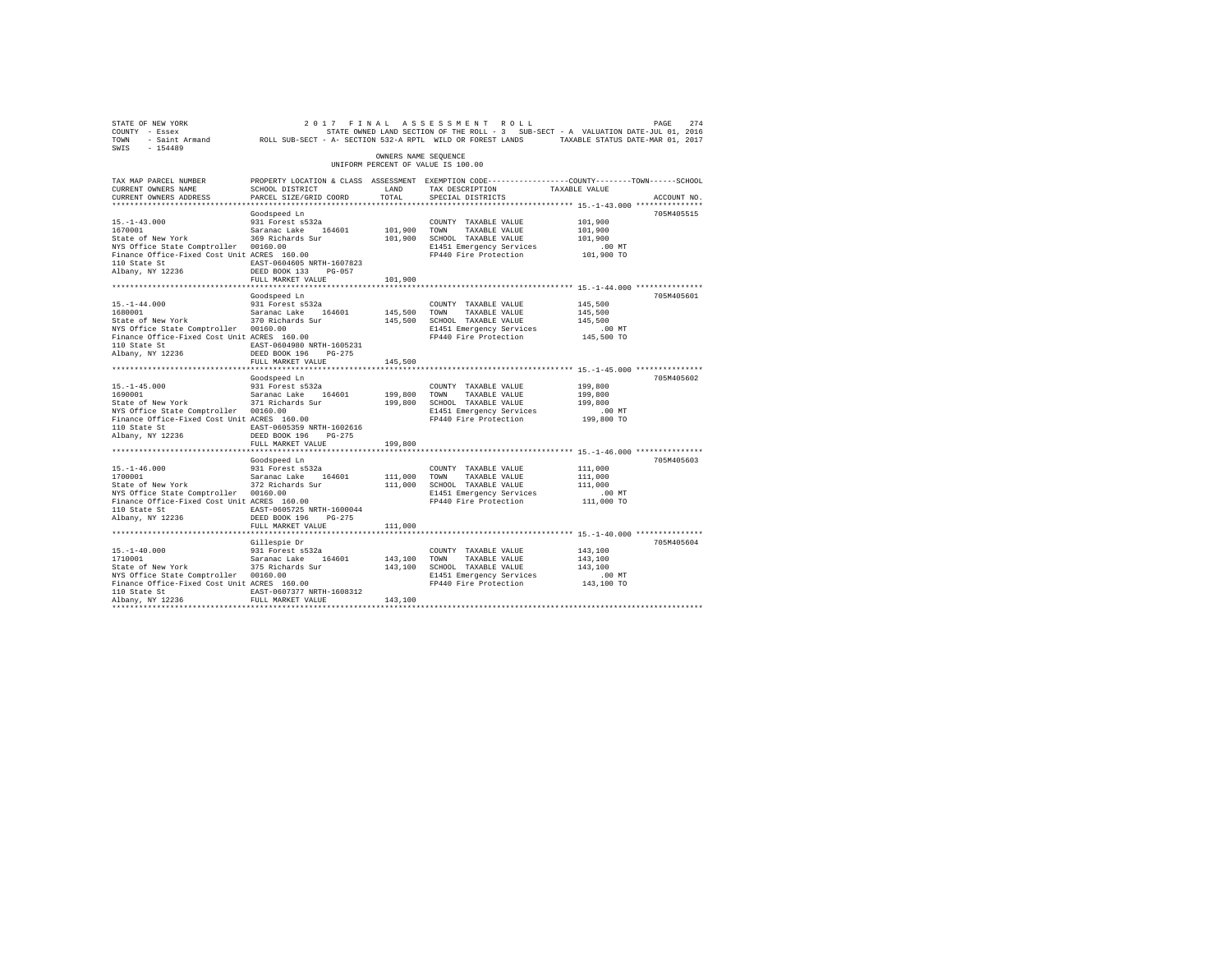| STATE OF NEW YORK<br>COUNTY - Essex<br>TOWN<br>SWIS<br>$-154489$                     | - Saint Armand MOLL SUB-SECT - A- SECTION 532-A RPTL WILD OR FOREST LANDS                                          |                      | 2017 FINAL ASSESSMENT ROLL                        | STATE OWNED LAND SECTION OF THE ROLL - 3 SUB-SECT - A VALUATION DATE-JUL 01, 2016<br>TAXABLE STATUS DATE-MAR 01, 2017 | PAGE<br>274 |
|--------------------------------------------------------------------------------------|--------------------------------------------------------------------------------------------------------------------|----------------------|---------------------------------------------------|-----------------------------------------------------------------------------------------------------------------------|-------------|
|                                                                                      |                                                                                                                    | OWNERS NAME SEQUENCE | UNIFORM PERCENT OF VALUE IS 100.00                |                                                                                                                       |             |
| TAX MAP PARCEL NUMBER<br>CURRENT OWNERS NAME                                         | PROPERTY LOCATION & CLASS ASSESSMENT EXEMPTION CODE---------------COUNTY-------TOWN------SCHOOL<br>SCHOOL DISTRICT | LAND                 | TAX DESCRIPTION                                   | TAXABLE VALUE                                                                                                         |             |
| CURRENT OWNERS ADDRESS                                                               | PARCEL SIZE/GRID COORD                                                                                             | TOTAL                | SPECIAL DISTRICTS                                 |                                                                                                                       | ACCOUNT NO. |
|                                                                                      |                                                                                                                    |                      |                                                   |                                                                                                                       |             |
|                                                                                      | Goodspeed Ln                                                                                                       |                      |                                                   |                                                                                                                       | 705M405515  |
| $15. - 1 - 43.000$                                                                   | 931 Forest s532a                                                                                                   |                      | COUNTY TAXABLE VALUE                              | 101,900                                                                                                               |             |
| 1670001                                                                              | Saranac Lake 164601                                                                                                | 101,900 TOWN         | TAXABLE VALUE                                     | 101,900                                                                                                               |             |
| State of New York                                                                    | 369 Richards Sur                                                                                                   | 101,900              | SCHOOL TAXABLE VALUE                              | 101,900                                                                                                               |             |
| NYS Office State Comptroller 00160.00<br>Finance Office-Fixed Cost Unit ACRES 160.00 |                                                                                                                    |                      | E1451 Emergency Services                          | .00 MT                                                                                                                |             |
| 110 State St                                                                         | EAST-0604605 NRTH-1607823                                                                                          |                      | FP440 Fire Protection                             | 101,900 TO                                                                                                            |             |
| Albany, NY 12236                                                                     | DEED BOOK 133 PG-057                                                                                               |                      |                                                   |                                                                                                                       |             |
|                                                                                      | FULL MARKET VALUE                                                                                                  | 101,900              |                                                   |                                                                                                                       |             |
|                                                                                      |                                                                                                                    |                      |                                                   |                                                                                                                       |             |
|                                                                                      | Goodspeed Ln                                                                                                       |                      |                                                   |                                                                                                                       | 705M405601  |
| $15. - 1 - 44.000$                                                                   | 931 Forest s532a                                                                                                   |                      | COUNTY TAXABLE VALUE                              | 145,500                                                                                                               |             |
| 1680001                                                                              | Saranac Lake 164601                                                                                                | 145,500              | TOWN<br>TAXABLE VALUE                             | 145,500                                                                                                               |             |
| State of New York                                                                    | 370 Richards Sur                                                                                                   | 145,500              | SCHOOL TAXABLE VALUE                              | 145,500                                                                                                               |             |
| NYS Office State Comptroller 00160.00                                                |                                                                                                                    |                      | E1451 Emergency Services                          | .00 MT                                                                                                                |             |
| Finance Office-Fixed Cost Unit ACRES 160.00                                          |                                                                                                                    |                      | FP440 Fire Protection                             | 145,500 TO                                                                                                            |             |
| 110 State St                                                                         | EAST-0604980 NRTH-1605231                                                                                          |                      |                                                   |                                                                                                                       |             |
| Albany, NY 12236                                                                     | DEED BOOK 196 PG-275                                                                                               |                      |                                                   |                                                                                                                       |             |
|                                                                                      | FULL MARKET VALUE                                                                                                  | 145,500              |                                                   |                                                                                                                       |             |
|                                                                                      |                                                                                                                    |                      |                                                   |                                                                                                                       |             |
|                                                                                      | Goodspeed Ln                                                                                                       |                      |                                                   |                                                                                                                       | 705M405602  |
| $15. - 1 - 45.000$                                                                   | 931 Forest s532a                                                                                                   |                      | COUNTY TAXABLE VALUE                              | 199,800                                                                                                               |             |
| 1690001                                                                              | Saranac Lake 164601                                                                                                | 199,800              | TOWN<br>TAXABLE VALUE                             | 199,800                                                                                                               |             |
| State of New York                                                                    | 371 Richards Sur                                                                                                   | 199,800              | SCHOOL TAXABLE VALUE                              | 199,800<br>$.00$ MT                                                                                                   |             |
| NYS Office State Comptroller 00160.00<br>Finance Office-Fixed Cost Unit ACRES 160.00 |                                                                                                                    |                      | E1451 Emergency Services<br>FP440 Fire Protection |                                                                                                                       |             |
| 110 State St                                                                         | EAST-0605359 NRTH-1602616                                                                                          |                      |                                                   | 199,800 TO                                                                                                            |             |
| Albany, NY 12236                                                                     | $PG-275$<br>DEED BOOK 196                                                                                          |                      |                                                   |                                                                                                                       |             |
|                                                                                      | FULL MARKET VALUE                                                                                                  | 199,800              |                                                   |                                                                                                                       |             |
|                                                                                      |                                                                                                                    |                      |                                                   |                                                                                                                       |             |
|                                                                                      | Goodspeed Ln                                                                                                       |                      |                                                   |                                                                                                                       | 705M405603  |
| $15. - 1 - 46.000$                                                                   | 931 Forest s532a                                                                                                   |                      | COUNTY TAXABLE VALUE                              | 111,000                                                                                                               |             |
| 1700001                                                                              | Saranac Lake 164601                                                                                                | 111,000              | TOWN<br>TAXABLE VALUE                             | 111,000                                                                                                               |             |
| State of New York                                                                    | 372 Richards Sur                                                                                                   | 111,000              | SCHOOL TAXABLE VALUE                              | 111,000                                                                                                               |             |
| NYS Office State Comptroller 00160.00                                                |                                                                                                                    |                      | E1451 Emergency Services                          | .00 MT                                                                                                                |             |
| Finance Office-Fixed Cost Unit ACRES 160.00                                          |                                                                                                                    |                      | FP440 Fire Protection                             | 111,000 TO                                                                                                            |             |
| 110 State St                                                                         | EAST-0605725 NRTH-1600044                                                                                          |                      |                                                   |                                                                                                                       |             |
| Albany, NY 12236                                                                     | DEED BOOK 196 PG-275                                                                                               |                      |                                                   |                                                                                                                       |             |
|                                                                                      | FULL MARKET VALUE                                                                                                  | 111,000              |                                                   |                                                                                                                       |             |
|                                                                                      |                                                                                                                    |                      |                                                   |                                                                                                                       |             |
|                                                                                      | Gillespie Dr                                                                                                       |                      |                                                   |                                                                                                                       | 705M405604  |
| $15. - 1 - 40.000$                                                                   | 931 Forest s532a                                                                                                   |                      | COUNTY TAXABLE VALUE                              | 143,100                                                                                                               |             |
| 1710001                                                                              | Saranac Lake 164601                                                                                                | 143,100              | TOWN<br>TAXABLE VALUE                             | 143,100                                                                                                               |             |
| State of New York                                                                    | 375 Richards Sur                                                                                                   | 143,100              | SCHOOL TAXABLE VALUE                              | 143,100                                                                                                               |             |
| NYS Office State Comptroller 00160.00<br>Finance Office-Fixed Cost Unit ACRES 160.00 |                                                                                                                    |                      | E1451 Emergency Services<br>FP440 Fire Protection | $.00$ MT<br>143,100 TO                                                                                                |             |
| 110 State St                                                                         | EAST-0607377 NRTH-1608312                                                                                          |                      |                                                   |                                                                                                                       |             |
| Albany, NY 12236                                                                     | FULL MARKET VALUE                                                                                                  | 143,100              |                                                   |                                                                                                                       |             |
|                                                                                      |                                                                                                                    |                      |                                                   |                                                                                                                       |             |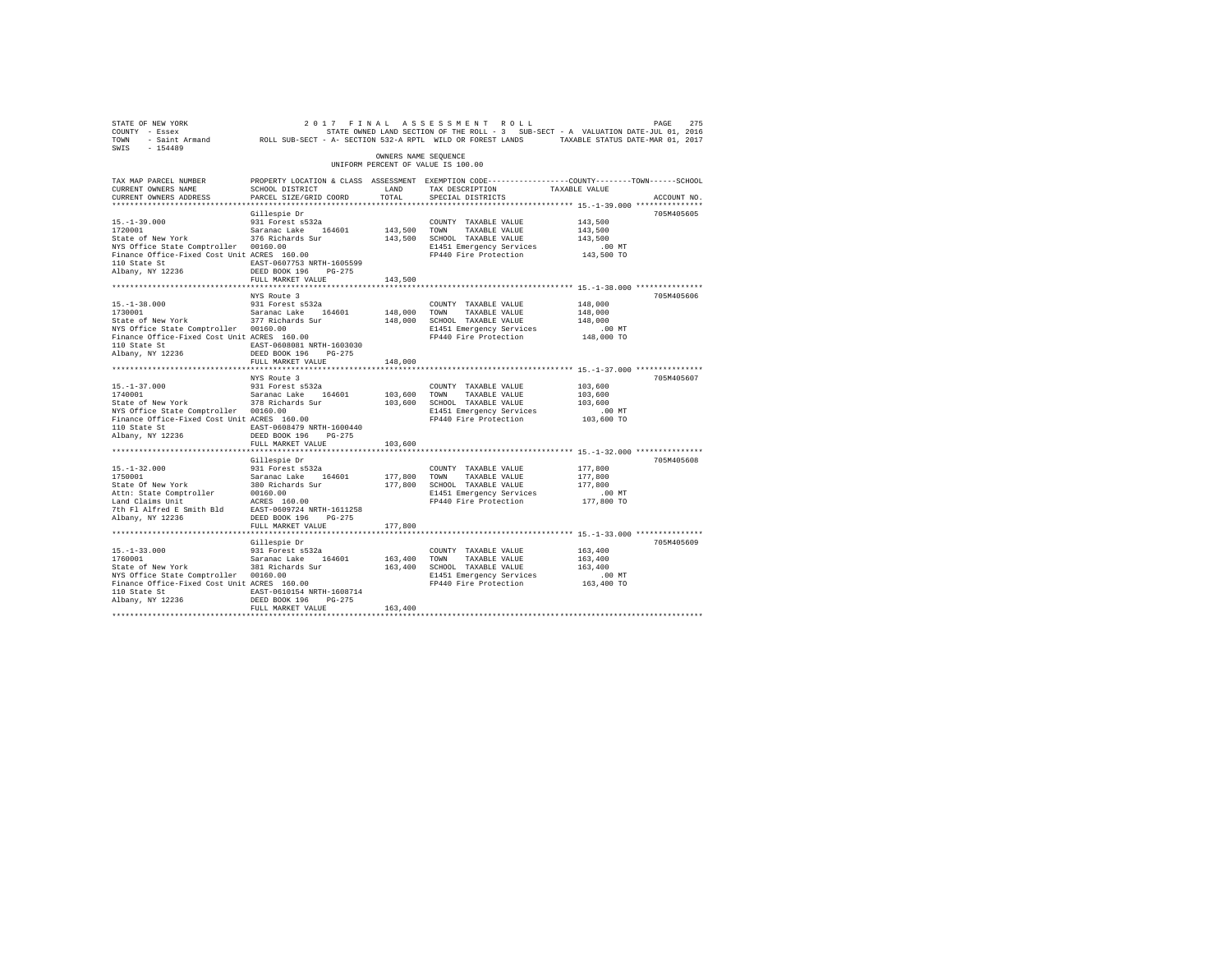| STATE OF NEW YORK<br>COUNTY - Essex<br>TOWN - Saint Armand ROLL SUB-SECT - A- SECTION 532-A RPTL WILD OR FOREST LANDS TAXABLE STATUS DATE-MAR 01, 2017<br>$-154489$<br>SWIS |                                                                                                                                              |                      | 2017 FINAL ASSESSMENT ROLL<br>STATE OWNED LAND SECTION OF THE ROLL - 3 SUB-SECT - A VALUATION DATE-JUL 01, 2016 |                    | PAGE<br>275 |
|-----------------------------------------------------------------------------------------------------------------------------------------------------------------------------|----------------------------------------------------------------------------------------------------------------------------------------------|----------------------|-----------------------------------------------------------------------------------------------------------------|--------------------|-------------|
|                                                                                                                                                                             |                                                                                                                                              | OWNERS NAME SEQUENCE | UNIFORM PERCENT OF VALUE IS 100.00                                                                              |                    |             |
| TAX MAP PARCEL NUMBER<br>CURRENT OWNERS NAME<br>CURRENT OWNERS ADDRESS                                                                                                      | PROPERTY LOCATION & CLASS ASSESSMENT EXEMPTION CODE---------------COUNTY-------TOWN------SCHOOL<br>SCHOOL DISTRICT<br>PARCEL SIZE/GRID COORD | LAND<br>TOTAL        | TAX DESCRIPTION<br>SPECIAL DISTRICTS                                                                            | TAXABLE VALUE      | ACCOUNT NO. |
|                                                                                                                                                                             |                                                                                                                                              |                      |                                                                                                                 |                    |             |
| $15. - 1 - 39.000$                                                                                                                                                          | Gillespie Dr<br>931 Forest s532a                                                                                                             |                      | COUNTY TAXABLE VALUE                                                                                            | 143,500            | 705M405605  |
| 1720001                                                                                                                                                                     |                                                                                                                                              | 143,500 TOWN         | TAXABLE VALUE                                                                                                   | 143,500            |             |
| State of New York                                                                                                                                                           | Saranac Lake 164601<br>376 Richards Sur                                                                                                      |                      | 143,500 SCHOOL TAXABLE VALUE                                                                                    | 143,500            |             |
| NYS Office State Comptroller 00160.00                                                                                                                                       |                                                                                                                                              |                      | E1451 Emergency Services                                                                                        | $.00$ MT           |             |
| Finance Office-Fixed Cost Unit ACRES 160.00                                                                                                                                 |                                                                                                                                              |                      | FP440 Fire Protection                                                                                           | 143,500 TO         |             |
| 110 State St                                                                                                                                                                | EAST-0607753 NRTH-1605599                                                                                                                    |                      |                                                                                                                 |                    |             |
| Albany, NY 12236                                                                                                                                                            | DEED BOOK 196 PG-275                                                                                                                         |                      |                                                                                                                 |                    |             |
|                                                                                                                                                                             | FULL MARKET VALUE                                                                                                                            | 143,500              |                                                                                                                 |                    |             |
|                                                                                                                                                                             |                                                                                                                                              |                      |                                                                                                                 |                    |             |
| $15. - 1 - 38.000$                                                                                                                                                          | NYS Route 3<br>931 Forest s532a                                                                                                              |                      | COUNTY TAXABLE VALUE                                                                                            | 148,000            | 705M405606  |
| 1730001                                                                                                                                                                     | Saranac Lake 164601                                                                                                                          | 148,000              | TAXABLE VALUE<br>TOWN                                                                                           | 148,000            |             |
| State of New York                                                                                                                                                           | 377 Richards Sur                                                                                                                             |                      | 148,000 SCHOOL TAXABLE VALUE                                                                                    | 148,000            |             |
| NYS Office State Comptroller 00160.00                                                                                                                                       |                                                                                                                                              |                      | E1451 Emergency Services                                                                                        | $.00$ MT           |             |
| NYS Office State Comptroller 00160.00<br>Finance Office-Fixed Cost Unit ACRES 160.00                                                                                        |                                                                                                                                              |                      | FP440 Fire Protection                                                                                           | 148,000 TO         |             |
| 110 State St                                                                                                                                                                | EAST-0608081 NRTH-1603030                                                                                                                    |                      |                                                                                                                 |                    |             |
| Albany, NY 12236                                                                                                                                                            | DEED BOOK 196 PG-275                                                                                                                         |                      |                                                                                                                 |                    |             |
|                                                                                                                                                                             | FULL MARKET VALUE                                                                                                                            | 148,000              |                                                                                                                 |                    |             |
|                                                                                                                                                                             |                                                                                                                                              | **************       |                                                                                                                 |                    |             |
|                                                                                                                                                                             | NYS Route 3                                                                                                                                  |                      |                                                                                                                 |                    | 705M405607  |
| $15. - 1 - 37.000$<br>1740001                                                                                                                                               | 931 Forest s532a<br>Saranac Lake 164601                                                                                                      | 103,600              | COUNTY TAXABLE VALUE<br>TOWN<br>TAXABLE VALUE                                                                   | 103,600<br>103,600 |             |
| State of New York                                                                                                                                                           | 378 Richards Sur                                                                                                                             | 103,600              | SCHOOL TAXABLE VALUE                                                                                            | 103,600            |             |
|                                                                                                                                                                             |                                                                                                                                              |                      | E1451 Emergency Services                                                                                        | $.00$ MT           |             |
| NYS Office State Comptroller 00160.00<br>Finance Office-Fixed Cost Unit ACRES 160.00                                                                                        |                                                                                                                                              |                      | FP440 Fire Protection                                                                                           | 103,600 TO         |             |
| 110 State St EAST-0608479 NRTH-1600440                                                                                                                                      |                                                                                                                                              |                      |                                                                                                                 |                    |             |
| Albany, NY 12236                                                                                                                                                            | DEED BOOK 196 PG-275                                                                                                                         |                      |                                                                                                                 |                    |             |
|                                                                                                                                                                             | FULL MARKET VALUE                                                                                                                            | 103,600              |                                                                                                                 |                    |             |
|                                                                                                                                                                             | *************************                                                                                                                    |                      |                                                                                                                 |                    |             |
|                                                                                                                                                                             | Gillespie Dr                                                                                                                                 |                      |                                                                                                                 |                    | 705M405608  |
| $15. - 1 - 32.000$                                                                                                                                                          | 931 Forest s532a                                                                                                                             | 177.800 TOWN         | COUNTY TAXABLE VALUE<br>TAXABLE VALUE                                                                           | 177,800<br>177,800 |             |
|                                                                                                                                                                             |                                                                                                                                              |                      | 177,800 SCHOOL TAXABLE VALUE                                                                                    | 177,800            |             |
|                                                                                                                                                                             |                                                                                                                                              |                      | E1451 Emergency Services                                                                                        | $.00$ MT           |             |
|                                                                                                                                                                             |                                                                                                                                              |                      | FP440 Fire Protection                                                                                           | 177,800 TO         |             |
|                                                                                                                                                                             |                                                                                                                                              |                      |                                                                                                                 |                    |             |
| Albany, NY 12236                                                                                                                                                            | DEED BOOK 196 PG-275                                                                                                                         |                      |                                                                                                                 |                    |             |
|                                                                                                                                                                             | FULL MARKET VALUE                                                                                                                            | 177,800              |                                                                                                                 |                    |             |
|                                                                                                                                                                             |                                                                                                                                              |                      |                                                                                                                 |                    |             |
|                                                                                                                                                                             | Gillespie Dr                                                                                                                                 |                      |                                                                                                                 |                    | 705M405609  |
| $15. - 1 - 33.000$<br>1760001                                                                                                                                               | 931 Forest s532a<br>Saranac Lake 164601                                                                                                      | 163,400 TOWN         | COUNTY TAXABLE VALUE<br>TAXABLE VALUE                                                                           | 163,400<br>163,400 |             |
| State of New York                                                                                                                                                           | 381 Richards Sur                                                                                                                             |                      | 163,400 SCHOOL TAXABLE VALUE                                                                                    | 163,400            |             |
| NYS Office State Comptroller 00160.00                                                                                                                                       |                                                                                                                                              |                      | E1451 Emergency Services                                                                                        | $.00$ MT           |             |
| Finance Office-Fixed Cost Unit ACRES 160.00                                                                                                                                 |                                                                                                                                              |                      | FP440 Fire Protection                                                                                           | 163,400 TO         |             |
| 110 State St EAST-0610154 NRTH-1608714                                                                                                                                      |                                                                                                                                              |                      |                                                                                                                 |                    |             |
| Albany, NY 12236                                                                                                                                                            | DEED BOOK 196 PG-275                                                                                                                         |                      |                                                                                                                 |                    |             |
|                                                                                                                                                                             | FULL MARKET VALUE                                                                                                                            | 163,400              |                                                                                                                 |                    |             |
|                                                                                                                                                                             |                                                                                                                                              |                      |                                                                                                                 |                    |             |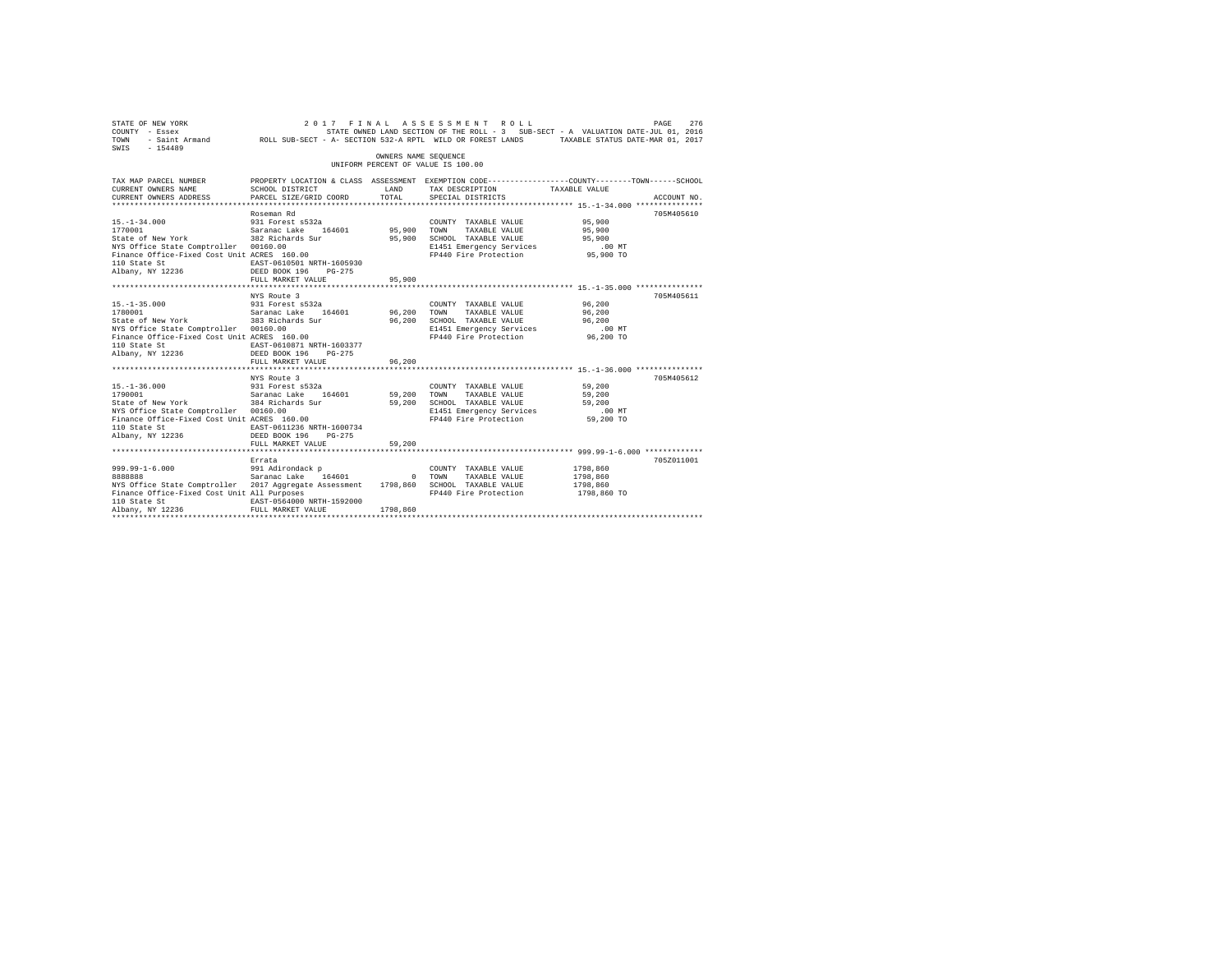| STATE OF NEW YORK<br>COUNTY - Essex<br>TOWN<br>SWIS - 154489                                                                                                                                                        | - Essex Particular Districts of the Section of the RULL - 3 SUP-SECT A VALUATION DATE-ULL UI, 2010<br>Saint Armand ROLL SUB-SECT - A- SECTION 532-A RPTL WILD OR FOREST LANDS TAXABLE STATUS DATE-MAR 01, 2017 | OWNERS NAME SEQUENCE            | 2017 FINAL ASSESSMENT ROLL<br>STATE OWNED LAND SECTION OF THE ROLL - 3 SUB-SECT - A VALUATION DATE-JUL 01, 2016              |                                                   | PAGE<br>276 |
|---------------------------------------------------------------------------------------------------------------------------------------------------------------------------------------------------------------------|----------------------------------------------------------------------------------------------------------------------------------------------------------------------------------------------------------------|---------------------------------|------------------------------------------------------------------------------------------------------------------------------|---------------------------------------------------|-------------|
|                                                                                                                                                                                                                     |                                                                                                                                                                                                                |                                 | UNIFORM PERCENT OF VALUE IS 100.00                                                                                           |                                                   |             |
| TAX MAP PARCEL NUMBER<br>CURRENT OWNERS NAME<br>CURRENT OWNERS ADDRESS                                                                                                                                              | PROPERTY LOCATION & CLASS ASSESSMENT EXEMPTION CODE----------------COUNTY-------TOWN------SCHOOL<br>SCHOOL DISTRICT<br>PARCEL SIZE/GRID COORD                                                                  | LAND<br>TOTAL                   | TAX DESCRIPTION<br>SPECIAL DISTRICTS                                                                                         | TAXABLE VALUE                                     | ACCOUNT NO. |
| $15. - 1 - 34.000$<br>1770001<br>State of New York 382 Richards Sur<br>NYS Office State Comptroller 00160.00<br>Finance Office-Fixed Cost Unit ACRES 160.00<br>110 State St<br>Albany, NY 12236 DEED BOOK 196       | Roseman Rd<br>931 Forest s532a<br>Saranac Lake 164601<br>EAST-0610501 NRTH-1605930<br>PG-275<br>FULL MARKET VALUE                                                                                              | 95,900 TOWN<br>95,900<br>95,900 | COUNTY TAXABLE VALUE<br>TAXABLE VALUE<br>SCHOOL TAXABLE VALUE<br>E1451 Emergency Services<br>FP440 Fire Protection 95,900 TO | 95,900<br>95,900<br>95,900<br>$.00$ MT            | 705M405610  |
| $15. - 1 - 35.000$<br>1780001 Saranac Lake 164601<br>State of New York 383 Richards Sur<br>NYS Office State Comptroller 00160.00<br>Finance Office-Fixed Cost Unit ACRES 160.00<br>110 State St<br>Albany, NY 12236 | NYS Route 3<br>931 Forest s532a<br>EAST-0610871 NRTH-1603377<br>DEED BOOK 196 PG-275<br>FULL MARKET VALUE                                                                                                      | 96,200 TOWN<br>96,200<br>96,200 | COUNTY TAXABLE VALUE 96,200<br>TAXABLE VALUE<br>SCHOOL TAXABLE VALUE<br>E1451 Emergency Services<br>FP440 Fire Protection    | 96,200<br>96,200<br>$.00$ MT<br>96,200 TO         | 705M405611  |
| $15. - 1 - 36.000$<br>1790001<br>State of New York<br>NYS Office State Comptroller 00160.00<br>Finance Office-Fixed Cost Unit ACRES 160.00<br>110 State St<br>Albany, NY 12236                                      | NYS Route 3<br>931 Forest s532a<br>Saranac Lake     164601<br>384 Richards Sur<br>EAST-0611236 NRTH-1600734<br>DEED BOOK 196<br>$PG-275$<br>FULL MARKET VALUE                                                  | 59,200<br>59,200<br>59,200      | COUNTY TAXABLE VALUE<br>TOWN<br>TAXABLE VALUE<br>SCHOOL TAXABLE VALUE<br>E1451 Emergency Services<br>FP440 Fire Protection   | 59,200<br>59,200<br>59,200<br>.00 MT<br>59,200 TO | 705M405612  |
| $999.99 - 1 - 6.000$<br>8888888<br>NYS Office State Comptroller 2017 Aggregate Assessment 1798,860 SCHOOL TAXABLE VALUE<br>Finance Office-Fixed Cost Unit All Purposes<br>110 State St<br>Albany, NY 12236          | Errata<br>991 Adirondack p<br>Saranac Lake 1<br>164601 0 TOWN<br>EAST-0564000 NRTH-1592000<br>FULL MARKET VALUE                                                                                                | 1798,860                        | COUNTY TAXABLE VALUE<br>TAXABLE VALUE<br>FP440 Fire Protection                                                               | 1798,860<br>1798,860<br>1798,860<br>1798,860 TO   | 705Z011001  |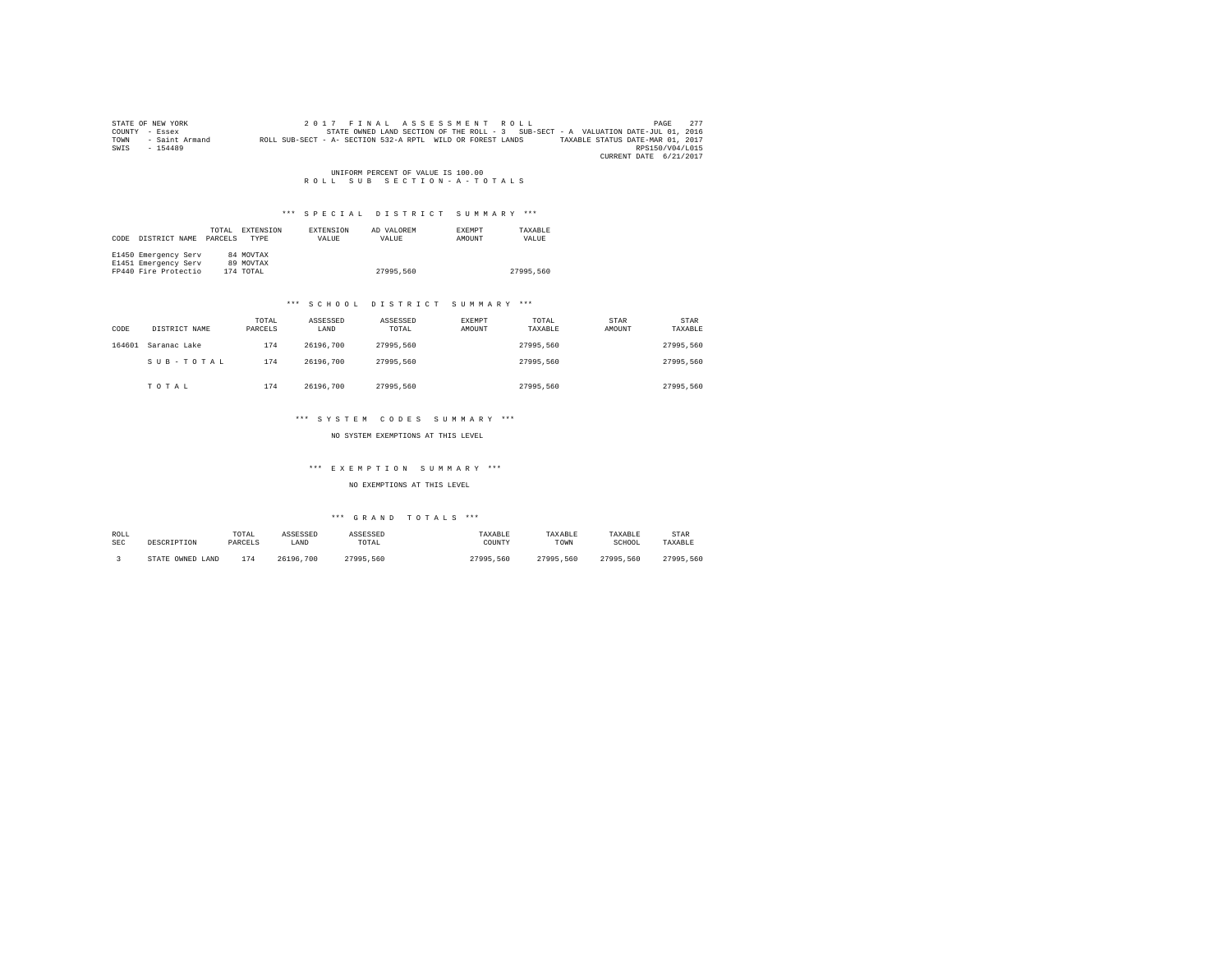|      | STATE OF NEW YORK | 2017 FINAL ASSESSMENT ROLL                                                                     | PAGE            | 2.77 |
|------|-------------------|------------------------------------------------------------------------------------------------|-----------------|------|
|      | COUNTY - Essex    | STATE OWNED LAND SECTION OF THE ROLL - 3 SUB-SECT - A VALUATION DATE-JUL 01, 2016              |                 |      |
| TOWN | - Saint Armand    | ROLL SUB-SECT - A- SECTION 532-A RPTL WILD OR FOREST LANDS<br>TAXABLE STATUS DATE-MAR 01, 2017 |                 |      |
| SWIS | $-154489$         |                                                                                                | RPS150/V04/L015 |      |
|      |                   | CURRENT DATE 6/21/2017                                                                         |                 |      |

UNIFORM PERCENT OF VALUE IS 100.00<br>R O L L S U B S E C T I O N - A - T O T A L S

# \*\*\* S P E C I A L D I S T R I C T S U M M A R Y \*\*\*

| CODE | DISTRICT NAME        | TOTAL<br>PARCELS | EXTENSION<br><b>TYPE</b> | EXTENSION<br>VALUE | AD VALOREM<br>VALUE | <b>EXEMPT</b><br>AMOUNT | TAXARLE<br>VALUE |
|------|----------------------|------------------|--------------------------|--------------------|---------------------|-------------------------|------------------|
|      | E1450 Emergency Serv |                  | 84 MOVTAX                |                    |                     |                         |                  |
|      | E1451 Emergency Serv |                  | 89 MOVTAX                |                    |                     |                         |                  |
|      | FP440 Fire Protectio |                  | 174 TOTAL                |                    | 27995.560           |                         | 27995,560        |

## \*\*\* S C H O O L D I S T R I C T S U M M A R Y \*\*\*

| CODE   | DISTRICT NAME | TOTAL<br>PARCELS | ASSESSED<br>LAND | ASSESSED<br>TOTAL | EXEMPT<br>AMOUNT | TOTAL<br>TAXABLE | STAR<br>AMOUNT | STAR<br>TAXABLE |
|--------|---------------|------------------|------------------|-------------------|------------------|------------------|----------------|-----------------|
| 164601 | Saranac Lake  | 174              | 26196.700        | 27995.560         |                  | 27995.560        |                | 27995.560       |
|        | SUB-TOTAL     | 174              | 26196.700        | 27995.560         |                  | 27995.560        |                | 27995.560       |
|        | TOTAL         | 174              | 26196.700        | 27995.560         |                  | 27995.560        |                | 27995.560       |

# \*\*\* S Y S T E M C O D E S S U M M A R Y \*\*\*

## NO SYSTEM EXEMPTIONS AT THIS LEVEL

## \*\*\* E X E M P T I O N S U M M A R Y \*\*\*

## NO EXEMPTIONS AT THIS LEVEL

| ROLL       | DESCRIPTION      | TOTAL   | ASSESSED  | ASSESSED  | TAXABLE   | TAXABLE   | TAXABLE   | <b>STAR</b> |
|------------|------------------|---------|-----------|-----------|-----------|-----------|-----------|-------------|
| <b>SEC</b> |                  | PARCELS | LAND      | TOTAL     | COUNTY    | TOWN      | SCHOOL    | TAXABLE     |
|            | STATE OWNED LAND | 174     | 26196.700 | 27995.560 | 27995.560 | 27995.560 | 27995.560 | 27995.560   |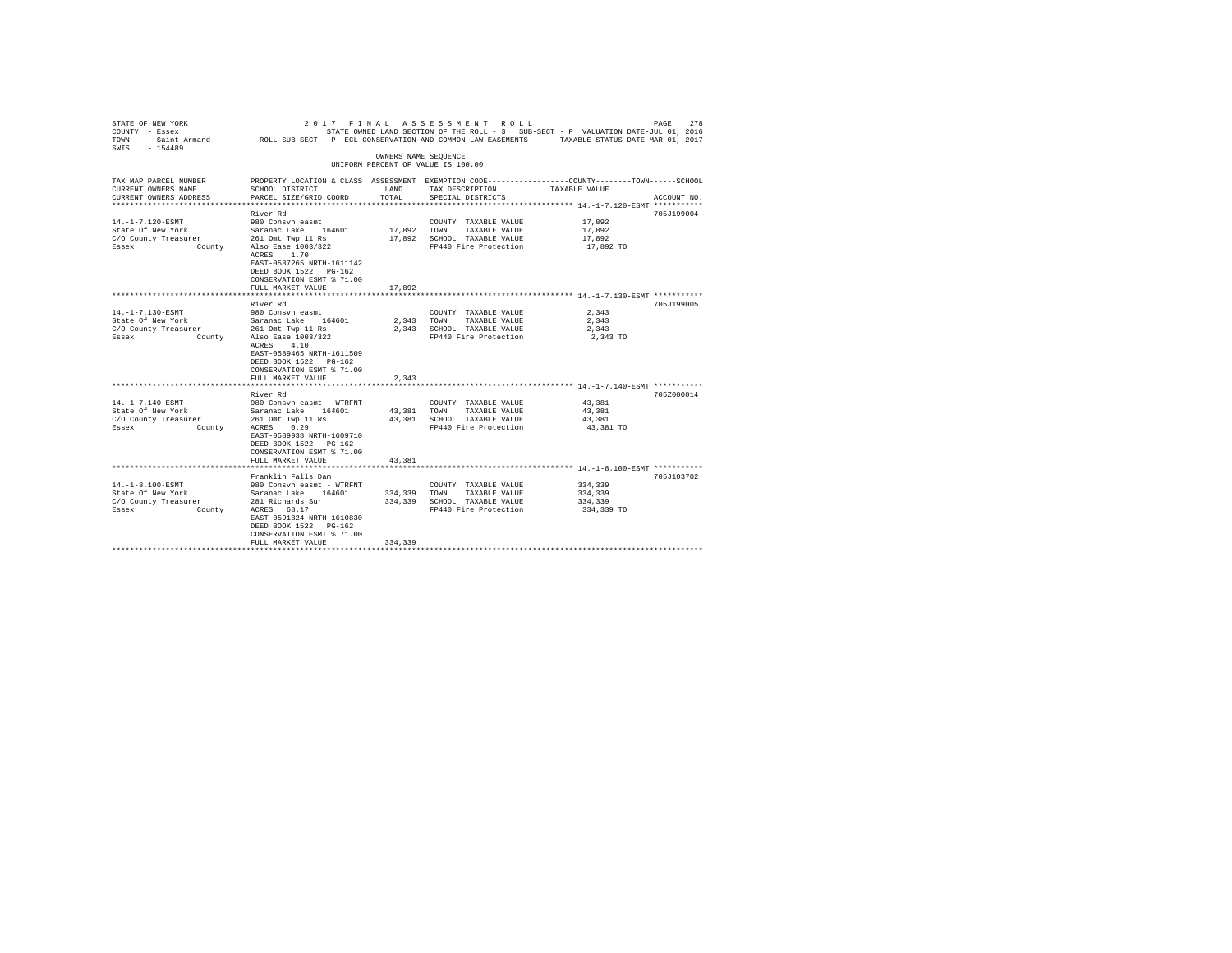| STATE OF NEW YORK<br>COUNTY - Essex<br>TOWN<br>$-154489$<br>SWIS | 2017 FINAL<br>- Saint Armand MOLL SUB-SECT - P- ECL CONSERVATION AND COMMON LAW EASEMENTS TAXABLE STATUS DATE-MAR 01, 2017 |                      | ASSESSMENT ROLL                               | STATE OWNED LAND SECTION OF THE ROLL - 3 SUB-SECT - P VALUATION DATE-JUL 01, 2016                                | 278<br>PAGE |
|------------------------------------------------------------------|----------------------------------------------------------------------------------------------------------------------------|----------------------|-----------------------------------------------|------------------------------------------------------------------------------------------------------------------|-------------|
|                                                                  |                                                                                                                            | OWNERS NAME SEQUENCE |                                               |                                                                                                                  |             |
|                                                                  |                                                                                                                            |                      | UNIFORM PERCENT OF VALUE IS 100.00            |                                                                                                                  |             |
| TAX MAP PARCEL NUMBER<br>CURRENT OWNERS NAME                     | SCHOOL DISTRICT                                                                                                            | LAND                 | TAX DESCRIPTION                               | PROPERTY LOCATION & CLASS ASSESSMENT EXEMPTION CODE---------------COUNTY-------TOWN------SCHOOL<br>TAXABLE VALUE |             |
| CURRENT OWNERS ADDRESS                                           | PARCEL SIZE/GRID COORD                                                                                                     | TOTAL                | SPECIAL DISTRICTS                             |                                                                                                                  | ACCOUNT NO. |
|                                                                  | River Rd                                                                                                                   |                      |                                               |                                                                                                                  | 705J199004  |
| 14. -1-7.120-ESMT                                                | 980 Consyn easmt                                                                                                           |                      | COUNTY TAXABLE VALUE                          | 17,892                                                                                                           |             |
| State Of New York                                                | Saranac Lake 164601                                                                                                        | 17,892               | TOWN<br>TAXABLE VALUE                         | 17,892                                                                                                           |             |
| C/O County Treasurer                                             | 261 Omt Twp 11 Rs                                                                                                          | 17,892               | SCHOOL TAXABLE VALUE                          | 17.892                                                                                                           |             |
| Essex                                                            | County Also Ease 1003/322                                                                                                  |                      | FP440 Fire Protection                         | 17,892 TO                                                                                                        |             |
|                                                                  | ACRES 1.70                                                                                                                 |                      |                                               |                                                                                                                  |             |
|                                                                  | EAST-0587265 NRTH-1611142                                                                                                  |                      |                                               |                                                                                                                  |             |
|                                                                  | DEED BOOK 1522 PG-162                                                                                                      |                      |                                               |                                                                                                                  |             |
|                                                                  | CONSERVATION ESMT % 71.00<br>FULL MARKET VALUE                                                                             | 17,892               |                                               |                                                                                                                  |             |
|                                                                  | ********************                                                                                                       |                      |                                               | ********************************* 14.-1-7.130-ESMT ************                                                  |             |
|                                                                  | River Rd                                                                                                                   |                      |                                               |                                                                                                                  | 705J199005  |
| 14. -1-7.130-ESMT                                                | 980 Consyn easmt                                                                                                           |                      | COUNTY TAXABLE VALUE                          | 2.343                                                                                                            |             |
| State Of New York                                                | Saranac Lake 164601                                                                                                        | 2.343                | TOWN<br>TAXABLE VALUE                         | 2.343                                                                                                            |             |
| C/O County Treasurer                                             | 261 Omt Twp 11 Rs                                                                                                          | 2,343                | SCHOOL TAXABLE VALUE                          | 2,343                                                                                                            |             |
| Essex                                                            | County Also Ease 1003/322                                                                                                  |                      | FP440 Fire Protection                         | 2,343 TO                                                                                                         |             |
|                                                                  | ACRES 4.10                                                                                                                 |                      |                                               |                                                                                                                  |             |
|                                                                  | EAST-0589465 NRTH-1611509                                                                                                  |                      |                                               |                                                                                                                  |             |
|                                                                  | DEED BOOK 1522 PG-162                                                                                                      |                      |                                               |                                                                                                                  |             |
|                                                                  | CONSERVATION ESMT % 71.00                                                                                                  |                      |                                               |                                                                                                                  |             |
|                                                                  | FULL MARKET VALUE                                                                                                          | 2,343                |                                               |                                                                                                                  |             |
|                                                                  |                                                                                                                            |                      |                                               |                                                                                                                  |             |
|                                                                  | River Rd                                                                                                                   |                      |                                               |                                                                                                                  | 705Z000014  |
| 14. -1-7.140-ESMT                                                | 980 Consvn easmt - WTRFNT                                                                                                  |                      | COUNTY TAXABLE VALUE                          | 43,381                                                                                                           |             |
| State Of New York                                                | Saranac Lake 164601                                                                                                        | 43.381               | TOWN<br>TAXABLE VALUE                         | 43,381                                                                                                           |             |
| C/O County Treasurer<br>Essex                                    | 261 Omt Twp 11 Rs<br>0.29<br>ACRES                                                                                         | 43,381               | SCHOOL TAXABLE VALUE<br>FP440 Fire Protection | 43.381<br>43,381 TO                                                                                              |             |
| County                                                           | EAST-0589938 NRTH-1609710                                                                                                  |                      |                                               |                                                                                                                  |             |
|                                                                  | DEED BOOK 1522 PG-162                                                                                                      |                      |                                               |                                                                                                                  |             |
|                                                                  | CONSERVATION ESMT % 71.00                                                                                                  |                      |                                               |                                                                                                                  |             |
|                                                                  | FULL MARKET VALUE                                                                                                          | 43,381               |                                               |                                                                                                                  |             |
|                                                                  |                                                                                                                            |                      |                                               |                                                                                                                  |             |
|                                                                  | Franklin Falls Dam                                                                                                         |                      |                                               |                                                                                                                  | 705J103702  |
| 14. -1-8.100-ESMT                                                | 980 Consvn easmt - WTRFNT                                                                                                  |                      | COUNTY TAXABLE VALUE                          | 334,339                                                                                                          |             |
| State Of New York                                                | Saranac Lake 164601                                                                                                        | 334,339              | TOWN<br>TAXABLE VALUE                         | 334,339                                                                                                          |             |
| C/O County Treasurer                                             | 281 Richards Sur                                                                                                           | 334,339              | SCHOOL TAXABLE VALUE                          | 334,339                                                                                                          |             |
| Essex<br>County                                                  | ACRES 68.17                                                                                                                |                      | FP440 Fire Protection                         | 334,339 TO                                                                                                       |             |
|                                                                  | EAST-0591824 NRTH-1610830                                                                                                  |                      |                                               |                                                                                                                  |             |
|                                                                  | DEED BOOK 1522 PG-162                                                                                                      |                      |                                               |                                                                                                                  |             |
|                                                                  | CONSERVATION ESMT % 71.00                                                                                                  |                      |                                               |                                                                                                                  |             |
|                                                                  | FULL MARKET VALUE                                                                                                          | 334,339              |                                               |                                                                                                                  |             |
|                                                                  |                                                                                                                            |                      |                                               |                                                                                                                  |             |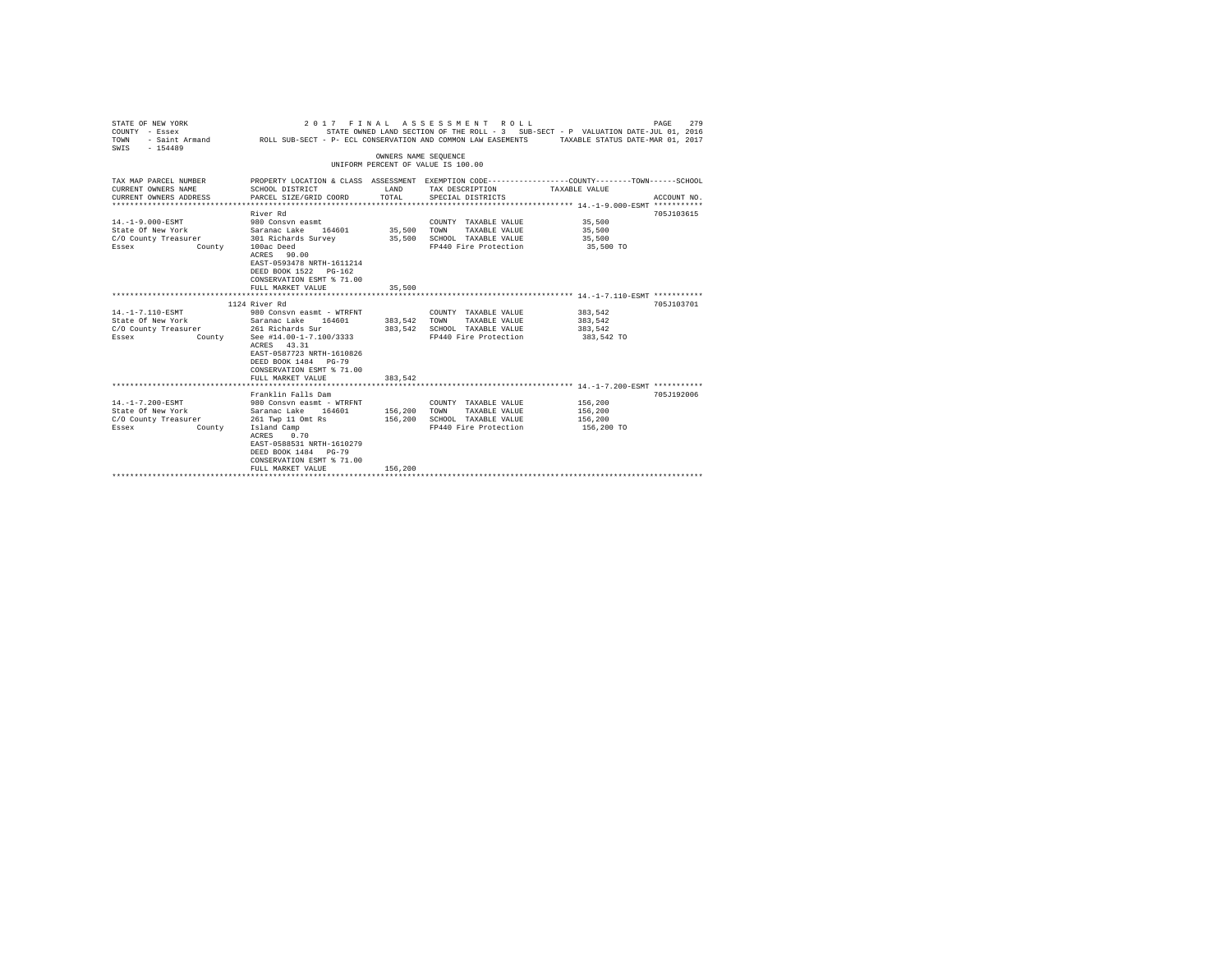| STATE OF NEW YORK<br>2017 FINAL<br>ASSESSMENT ROLL<br>STATE OWNED LAND SECTION OF THE ROLL - 3 SUB-SECT - P VALUATION DATE-JUL 01, 2016<br>COUNTY - Essex<br>- Saint Armand ROLL SUB-SECT - P- ECL CONSERVATION AND COMMON LAW EASEMENTS TAXABLE STATUS DATE-MAR 01, 2017<br>TOWN<br>$-154489$<br>SWIS |                                                                                                                                                                                                                |                       |                                                                                                                                         |                                             | PAGE<br>279 |
|--------------------------------------------------------------------------------------------------------------------------------------------------------------------------------------------------------------------------------------------------------------------------------------------------------|----------------------------------------------------------------------------------------------------------------------------------------------------------------------------------------------------------------|-----------------------|-----------------------------------------------------------------------------------------------------------------------------------------|---------------------------------------------|-------------|
|                                                                                                                                                                                                                                                                                                        |                                                                                                                                                                                                                | OWNERS NAME SEQUENCE  | UNIFORM PERCENT OF VALUE IS 100.00                                                                                                      |                                             |             |
| TAX MAP PARCEL NUMBER<br>CURRENT OWNERS NAME<br>CURRENT OWNERS ADDRESS                                                                                                                                                                                                                                 | SCHOOL DISTRICT<br>PARCEL SIZE/GRID COORD                                                                                                                                                                      | LAND<br>TOTAL         | PROPERTY LOCATION & CLASS ASSESSMENT EXEMPTION CODE---------------COUNTY-------TOWN------SCHOOL<br>TAX DESCRIPTION<br>SPECIAL DISTRICTS | TAXABLE VALUE                               | ACCOUNT NO. |
| $14. -1 - 9.000 - ESMT$<br>State Of New York Saranac Lake 164601<br>C/O County Treasurer 301 Richards Survey<br>County<br>Essex                                                                                                                                                                        | River Rd<br>980 Consyn easmt<br>100ac Deed<br>ACRES 90.00<br>EAST-0593478 NRTH-1611214<br>DEED BOOK 1522 PG-162<br>CONSERVATION ESMT % 71.00<br>FULL MARKET VALUE                                              | 35,500 TOWN<br>35,500 | COUNTY TAXABLE VALUE 35,500<br>TAXABLE VALUE<br>35,500 SCHOOL TAXABLE VALUE<br>FP440 Fire Protection                                    | 35,500<br>35,500<br>35,500 TO               | 705J103615  |
|                                                                                                                                                                                                                                                                                                        | 1124 River Rd                                                                                                                                                                                                  |                       |                                                                                                                                         |                                             | 705J103701  |
| 14. -1-7.110-ESMT<br>State Of New York<br>C/O County Treasurer 261 Richards Sur<br>Essex<br>County                                                                                                                                                                                                     | 980 Consvn easmt - WTRFNT<br>Saranac Lake 164601 383,542 TOWN<br>See #14.00-1-7.100/3333<br>ACRES 43.31<br>EAST-0587723 NRTH-1610826<br>DEED BOOK 1484 PG-79<br>CONSERVATION ESMT % 71.00<br>FULL MARKET VALUE | 383.542               | COUNTY TAXABLE VALUE<br>TAXABLE VALUE<br>383.542 SCHOOL TAXABLE VALUE<br>FP440 Fire Protection                                          | 383.542<br>383.542<br>383,542<br>383,542 TO |             |
|                                                                                                                                                                                                                                                                                                        |                                                                                                                                                                                                                |                       |                                                                                                                                         |                                             |             |
| 14. -1-7.200-ESMT<br>State Of New York<br>C/O County Treasurer 261 Twp 11 Omt Rs<br>Essex<br>County                                                                                                                                                                                                    | Franklin Falls Dam<br>980 Consvn easmt - WTRFNT<br>Saranac Lake 164601<br>Island Camp<br>0.70<br>ACRES<br>EAST-0588531 NRTH-1610279<br>DEED BOOK 1484 PG-79<br>CONSERVATION ESMT % 71.00                       | 156,200 TOWN          | COUNTY TAXABLE VALUE<br>TAXABLE VALUE<br>156,200 SCHOOL TAXABLE VALUE<br>FP440 Fire Protection                                          | 156,200<br>156,200<br>156,200<br>156,200 TO | 705J192006  |
|                                                                                                                                                                                                                                                                                                        | FULL MARKET VALUE                                                                                                                                                                                              | 156,200               |                                                                                                                                         |                                             |             |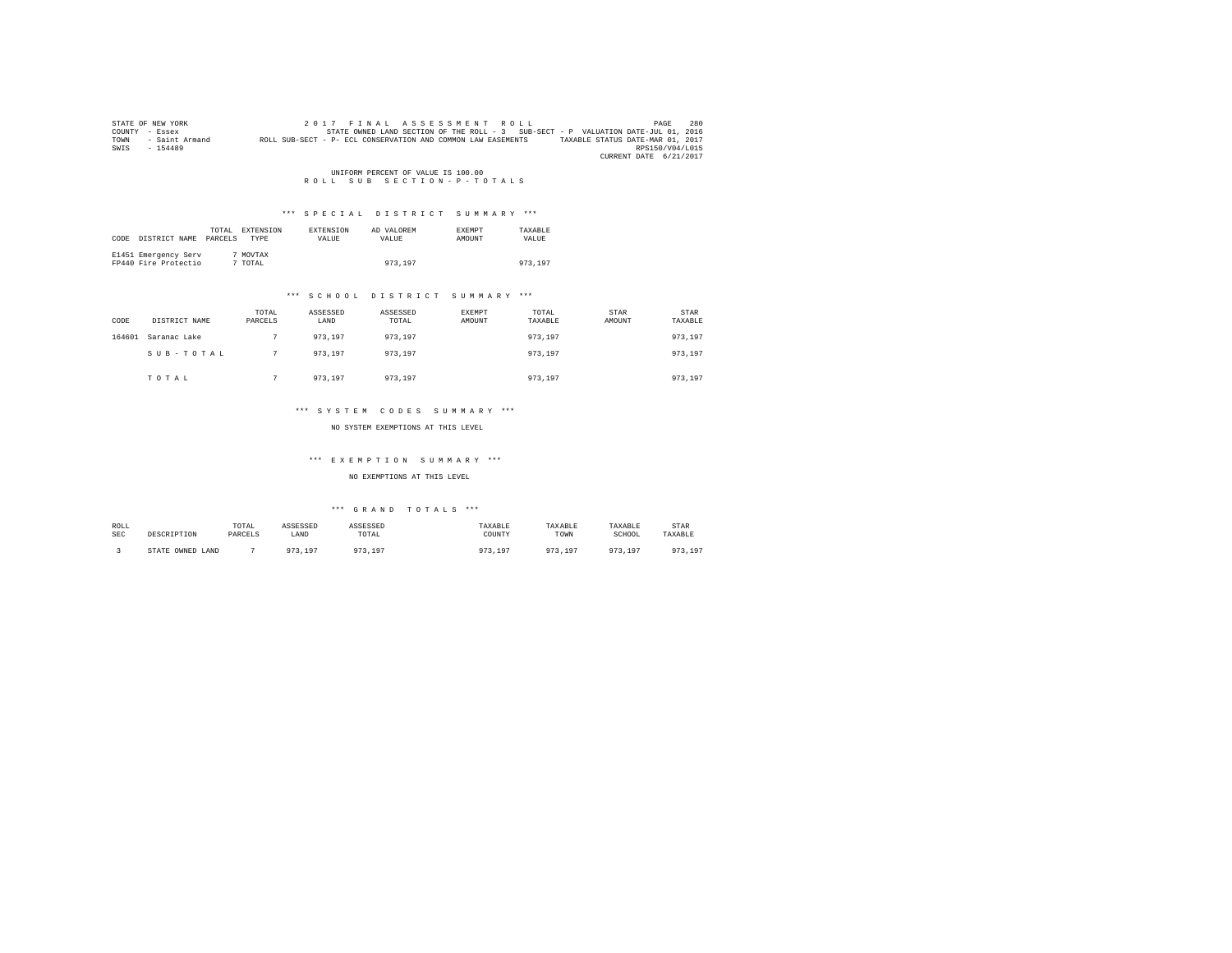|      | STATE OF NEW YORK | 2017 FINAL ASSESSMENT ROLL                                                                       | PAGE            | 280 |
|------|-------------------|--------------------------------------------------------------------------------------------------|-----------------|-----|
|      | COUNTY - Essex    | STATE OWNED LAND SECTION OF THE ROLL - 3 SUB-SECT - P VALUATION DATE-JUL 01, 2016                |                 |     |
| TOWN | - Saint Armand    | TAXABLE STATUS DATE-MAR 01, 2017<br>ROLL SUB-SECT - P- ECL CONSERVATION AND COMMON LAW EASEMENTS |                 |     |
| SWIS | $-154489$         |                                                                                                  | RPS150/V04/L015 |     |
|      |                   | CURRENT DATE 6/21/2017                                                                           |                 |     |

UNIFORM PERCENT OF VALUE IS 100.00<br>R O L L S U B S E C T I O N - P - T O T A L S

## \*\*\* S P E C I A L D I S T R I C T S U M M A R Y \*\*\*

| CODE | DISTRICT NAME                                | TOTAL<br>PARCELS | EXTENSION<br><b>TYPE</b> | EXTENSION<br>VALUE | AD VALOREM<br>VALUE | <b>EXEMPT</b><br>AMOUNT | TAXABLE<br>VALUE |  |
|------|----------------------------------------------|------------------|--------------------------|--------------------|---------------------|-------------------------|------------------|--|
|      | E1451 Emergency Serv<br>FP440 Fire Protectio |                  | 7 MOVTAX<br>7 TOTAL      |                    | 973,197             |                         | 973,197          |  |

#### \*\*\* S C H O O L D I S T R I C T S U M M A R Y \*\*\*

| CODE   | DISTRICT NAME | TOTAL<br>PARCELS | ASSESSED<br>LAND | ASSESSED<br>TOTAL | <b>EXEMPT</b><br>AMOUNT | TOTAL<br>TAXABLE | STAR<br>AMOUNT | STAR<br>TAXABLE |
|--------|---------------|------------------|------------------|-------------------|-------------------------|------------------|----------------|-----------------|
| 164601 | Saranac Lake  |                  | 973.197          | 973,197           |                         | 973,197          |                | 973,197         |
|        | SUB-TOTAL     |                  | 973.197          | 973,197           |                         | 973,197          |                | 973,197         |
|        | TOTAL         |                  | 973.197          | 973,197           |                         | 973.197          |                | 973,197         |

#### \*\*\* S Y S T E M C O D E S S U M M A R Y \*\*\*

NO SYSTEM EXEMPTIONS AT THIS LEVEL

## \*\*\* E X E M P T I O N S U M M A R Y \*\*\*

#### NO EXEMPTIONS AT THIS LEVEL

## $***$  GRAND TOTALS  $***$

| ROLL<br><b>SEC</b> | DESCRIPTION            | TOTAL<br>PARCELS | ASSESSED<br>LAND       | ASSESSED<br>TOTAL                | TAXABLE<br>COUNTY | TAXABLE<br>TOWN | TAXABLE<br>SCHOOL | STAR<br>TAXABLE             |
|--------------------|------------------------|------------------|------------------------|----------------------------------|-------------------|-----------------|-------------------|-----------------------------|
|                    | OWNED<br>STATE<br>LAND |                  | Q72<br>10 <sup>7</sup> | 07 <sup>o</sup><br>10'<br>1.3.17 | 107               | 0.75<br>$10-1$  | 973,197           | 072<br>197<br>, , , , , , , |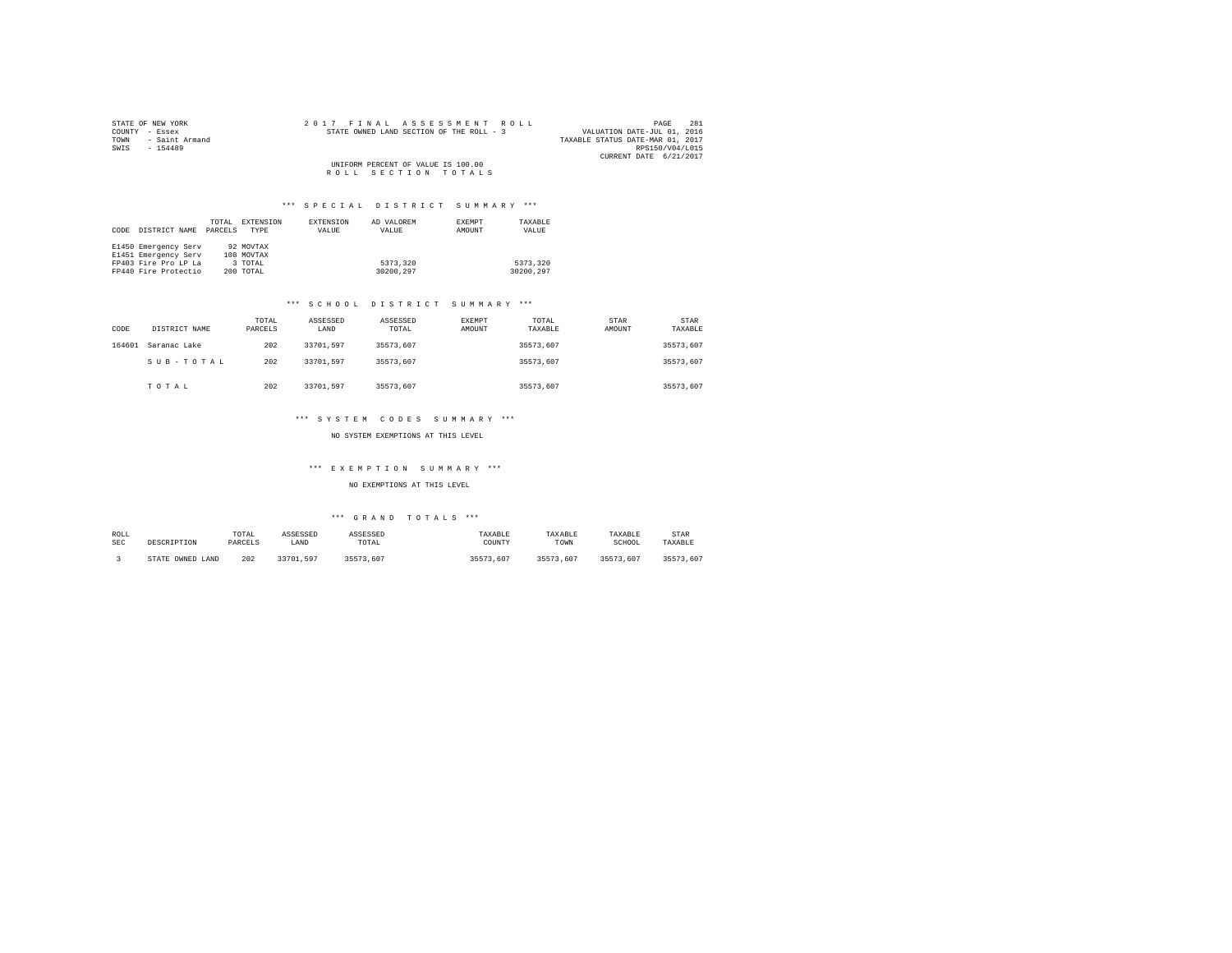| STATE OF NEW YORK      | 2017 FINAL ASSESSMENT ROLL               | 281<br>PAGE                      |
|------------------------|------------------------------------------|----------------------------------|
| COUNTY - Essex         | STATE OWNED LAND SECTION OF THE ROLL - 3 | VALUATION DATE-JUL 01, 2016      |
| TOWN<br>- Saint Armand |                                          | TAXABLE STATUS DATE-MAR 01, 2017 |
| SWIS<br>$-154489$      |                                          | RPS150/V04/L015                  |
|                        |                                          | CURRENT DATE 6/21/2017           |
|                        | UNIFORM PERCENT OF VALUE IS 100.00       |                                  |
|                        | ROLL SECTION TOTALS                      |                                  |

# \*\*\* S P E C I A L D I S T R I C T S U M M A R Y \*\*\*

| CODE | DISTRICT NAME        | TOTAL<br>PARCELS | EXTENSION<br>TYPE | EXTENSION<br>VALUE | AD VALOREM<br>VALUE | EXEMPT<br>AMOUNT | TAXABLE<br>VALUE |
|------|----------------------|------------------|-------------------|--------------------|---------------------|------------------|------------------|
|      | E1450 Emergency Serv |                  | 92 MOVTAX         |                    |                     |                  |                  |
|      | E1451 Emergency Serv |                  | 108 MOVTAX        |                    |                     |                  |                  |
|      | FP403 Fire Pro LP La |                  | 3 TOTAL           |                    | 5373,320            |                  | 5373.320         |
|      | FP440 Fire Protectio |                  | 200 TOTAL         |                    | 30200.297           |                  | 30200.297        |

# \*\*\* S C H O O L D I S T R I C T S U M M A R Y \*\*\*

| CODE   | DISTRICT NAME | TOTAL<br>PARCELS | ASSESSED<br>LAND | ASSESSED<br>TOTAL | <b>EXEMPT</b><br>AMOUNT | TOTAL<br>TAXABLE | <b>STAR</b><br>AMOUNT | STAR<br>TAXABLE |
|--------|---------------|------------------|------------------|-------------------|-------------------------|------------------|-----------------------|-----------------|
| 164601 | Saranac Lake  | 202              | 33701.597        | 35573.607         |                         | 35573.607        |                       | 35573.607       |
|        | SUB-TOTAL     | 202              | 33701.597        | 35573.607         |                         | 35573.607        |                       | 35573.607       |
|        | TOTAL         | 202              | 33701.597        | 35573.607         |                         | 35573.607        |                       | 35573.607       |

# \*\*\* S Y S T E M C O D E S S U M M A R Y \*\*\*

## NO SYSTEM EXEMPTIONS AT THIS LEVEL

## \*\*\* E X E M P T I O N S U M M A R Y \*\*\*

## NO EXEMPTIONS AT THIS LEVEL

| ROLL       | DESCRIPTION      | TOTAL   | ASSESSED  | ASSESSED  | TAXABLE   | TAXABLE   | TAXABLE   | STAR      |
|------------|------------------|---------|-----------|-----------|-----------|-----------|-----------|-----------|
| <b>SEC</b> |                  | PARCELS | LAND      | TOTAL     | COUNTY    | TOWN      | SCHOOL    | TAXABLE   |
|            | STATE OWNED LAND | 202     | 33701.597 | 35573.607 | 35573.607 | 35573.607 | 35573.607 | 35573.607 |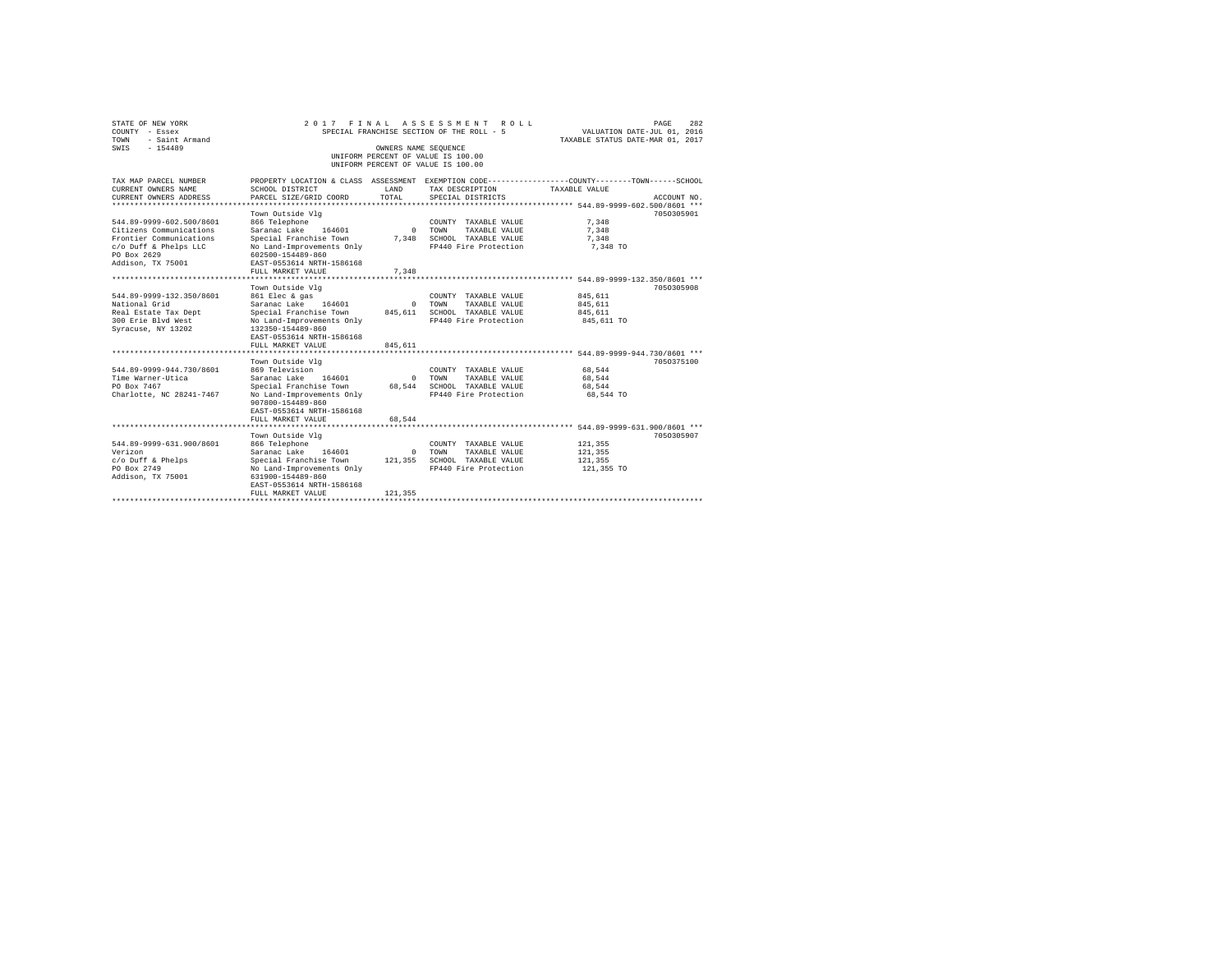| STATE OF NEW YORK<br>COUNTY - Essex<br>TOWN<br>- Saint Armand | 2017 FINAL ASSESSMENT<br>SPECIAL FRANCHISE SECTION OF THE ROLL - 5                               | 282<br>PAGE<br>VALUATION DATE-JUL 01, 2016<br>TAXABLE STATUS DATE-MAR 01, 2017 |                                    |                                          |             |
|---------------------------------------------------------------|--------------------------------------------------------------------------------------------------|--------------------------------------------------------------------------------|------------------------------------|------------------------------------------|-------------|
| $-154489$<br>SWIS                                             |                                                                                                  | OWNERS NAME SEQUENCE                                                           |                                    |                                          |             |
|                                                               |                                                                                                  |                                                                                | UNIFORM PERCENT OF VALUE IS 100.00 |                                          |             |
|                                                               |                                                                                                  |                                                                                | UNIFORM PERCENT OF VALUE IS 100.00 |                                          |             |
| TAX MAP PARCEL NUMBER                                         | PROPERTY LOCATION & CLASS ASSESSMENT EXEMPTION CODE----------------COUNTY-------TOWN------SCHOOL |                                                                                |                                    |                                          |             |
| CURRENT OWNERS NAME                                           | SCHOOL DISTRICT                                                                                  | LAND                                                                           | TAX DESCRIPTION                    | TAXABLE VALUE                            |             |
| CURRENT OWNERS ADDRESS                                        | PARCEL SIZE/GRID COORD                                                                           | TOTAL.                                                                         | SPECIAL DISTRICTS                  |                                          | ACCOUNT NO. |
| *********************                                         |                                                                                                  |                                                                                |                                    |                                          |             |
|                                                               | Town Outside Vlg                                                                                 |                                                                                |                                    |                                          | 7050305901  |
| 544.89-9999-602.500/8601                                      | 866 Telephone                                                                                    |                                                                                | COUNTY TAXABLE VALUE               | 7,348                                    |             |
| Citizens Communications                                       | Saranac Lake 164601                                                                              | $\Omega$                                                                       | TOWN<br>TAXABLE VALUE              | 7.348                                    |             |
| Frontier Communications                                       | Special Franchise Town                                                                           | 7.348                                                                          | SCHOOL TAXABLE VALUE               | 7.348                                    |             |
| c/o Duff & Phelps LLC                                         | No Land-Improvements Only                                                                        |                                                                                | FP440 Fire Protection              | 7,348 TO                                 |             |
| PO Box 2629                                                   | 602500-154489-860                                                                                |                                                                                |                                    |                                          |             |
| Addison, TX 75001                                             | EAST-0553614 NRTH-1586168                                                                        |                                                                                |                                    |                                          |             |
|                                                               | FULL MARKET VALUE                                                                                | 7.348                                                                          |                                    |                                          |             |
|                                                               | *****************                                                                                |                                                                                |                                    | *********** 544.89-9999-132.350/8601 *** |             |
|                                                               | Town Outside Vlg                                                                                 |                                                                                |                                    |                                          | 7050305908  |
| 544.89-9999-132.350/8601                                      | 861 Elec & gas                                                                                   |                                                                                | COUNTY TAXABLE VALUE               | 845,611                                  |             |
| National Grid                                                 | Saranac Lake 164601                                                                              | $^{\circ}$                                                                     | TOWN<br>TAXABLE VALUE              | 845,611                                  |             |
| Real Estate Tax Dept                                          | Special Franchise Town                                                                           | 845,611                                                                        | SCHOOL TAXABLE VALUE               | 845.611                                  |             |
| 300 Erie Blyd West<br>Syracuse, NY 13202                      | No Land-Improvements Only<br>132350-154489-860                                                   |                                                                                | FP440 Fire Protection              | 845,611 TO                               |             |
|                                                               | EAST-0553614 NRTH-1586168                                                                        |                                                                                |                                    |                                          |             |
|                                                               | FULL MARKET VALUE                                                                                | 845.611                                                                        |                                    |                                          |             |
|                                                               |                                                                                                  |                                                                                |                                    |                                          |             |
|                                                               | Town Outside Vla                                                                                 |                                                                                |                                    |                                          | 7050375100  |
| 544.89-9999-944.730/8601                                      | 869 Television                                                                                   |                                                                                | COUNTY TAXABLE VALUE               | 68.544                                   |             |
| Time Warner-Utica                                             | 164601<br>Saranac Lake                                                                           | $\Omega$                                                                       | TOWN<br>TAXABLE VALUE              | 68.544                                   |             |
| PO Box 7467                                                   | Special Franchise Town                                                                           | 68,544                                                                         | SCHOOL TAXABLE VALUE               | 68,544                                   |             |
| Charlotte, NC 28241-7467                                      | No Land-Improvements Only                                                                        |                                                                                | FP440 Fire Protection              | 68.544 TO                                |             |
|                                                               | 907800-154489-860                                                                                |                                                                                |                                    |                                          |             |
|                                                               | EAST-0553614 NRTH-1586168                                                                        |                                                                                |                                    |                                          |             |
|                                                               | FULL MARKET VALUE                                                                                | 68.544                                                                         |                                    |                                          |             |
|                                                               | **************************                                                                       |                                                                                |                                    |                                          |             |
|                                                               | Town Outside Vlg                                                                                 |                                                                                |                                    |                                          | 7050305907  |
| 544.89-9999-631.900/8601                                      | 866 Telephone                                                                                    |                                                                                | COUNTY TAXABLE VALUE               | 121,355                                  |             |
| Verizon                                                       | Saranac Lake 164601                                                                              | $\Omega$                                                                       | TOWN<br>TAXARLE VALUE              | 121,355                                  |             |
| $c$ /o Duff & Phelps                                          | Special Franchise Town                                                                           | 121,355                                                                        | SCHOOL TAXABLE VALUE               | 121,355                                  |             |
| PO Box 2749                                                   | No Land-Improvements Only                                                                        |                                                                                | FP440 Fire Protection              | 121,355 TO                               |             |
| Addison, TX 75001                                             | 631900-154489-860<br>EAST-0553614 NRTH-1586168                                                   |                                                                                |                                    |                                          |             |
|                                                               | FULL MARKET VALUE                                                                                | 121,355                                                                        |                                    |                                          |             |
|                                                               |                                                                                                  |                                                                                |                                    |                                          |             |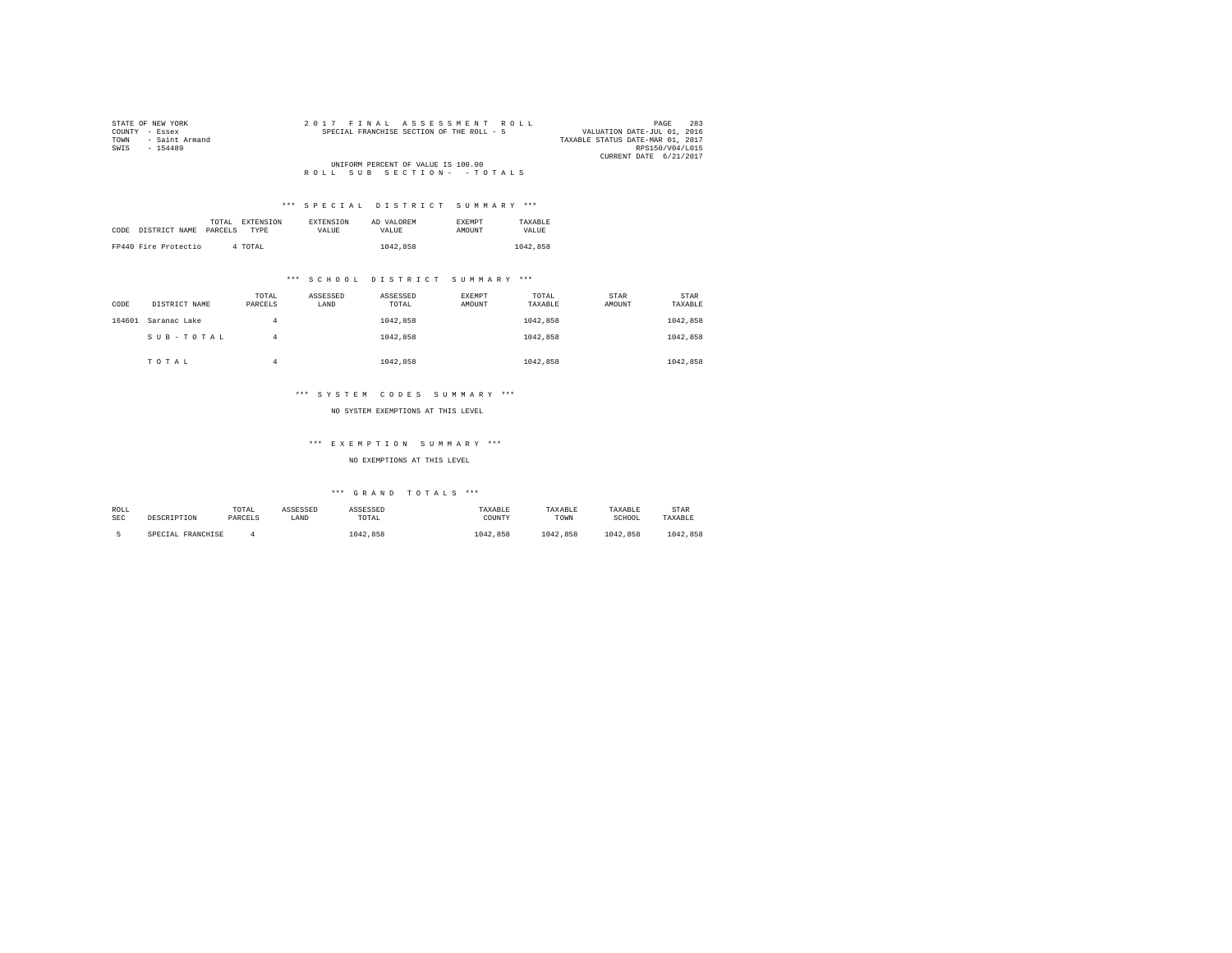| STATE OF NEW YORK      | 2017 FINAL ASSESSMENT ROLL                | 283<br>PAGE                      |
|------------------------|-------------------------------------------|----------------------------------|
| COUNTY - Essex         | SPECIAL FRANCHISE SECTION OF THE ROLL - 5 | VALUATION DATE-JUL 01, 2016      |
| - Saint Armand<br>TOWN |                                           | TAXABLE STATUS DATE-MAR 01, 2017 |
| SWIS<br>$-154489$      |                                           | RPS150/V04/L015                  |
|                        |                                           | CURRENT DATE 6/21/2017           |
|                        | UNIFORM PERCENT OF VALUE IS 100.00        |                                  |
|                        | ROLL SUB SECTION- - TOTALS                |                                  |

## \*\*\* S P E C I A L D I S T R I C T S U M M A R Y \*\*\*

|      |                       | TOTAL | <b>EXTENSION</b> | <b>EXTENSION</b> | AD VALOREM | <b>EXEMPT</b> | TAXARLE  |
|------|-----------------------|-------|------------------|------------------|------------|---------------|----------|
| CODE | DISTRICT NAME PARCELS |       | TYPE             | <b>VALUE</b>     | VALUE.     | <b>AMOUNT</b> | VALUE    |
|      |                       |       |                  |                  |            |               |          |
|      | FP440 Fire Protectio  |       | TOTAL            |                  | 1042,858   |               | 1042,858 |

## \*\*\* S C H O O L D I S T R I C T S U M M A R Y \*\*\*

| CODE   | DISTRICT NAME | TOTAL<br>PARCELS | ASSESSED<br>LAND | ASSESSED<br>TOTAL | EXEMPT<br>AMOUNT | TOTAL<br>TAXABLE | STAR<br>AMOUNT | STAR<br>TAXABLE |
|--------|---------------|------------------|------------------|-------------------|------------------|------------------|----------------|-----------------|
| 164601 | Saranac Lake  | 4                |                  | 1042.858          |                  | 1042.858         |                | 1042,858        |
|        | SUB-TOTAL     | 4                |                  | 1042.858          |                  | 1042.858         |                | 1042,858        |
|        | TOTAL         | 4                |                  | 1042.858          |                  | 1042.858         |                | 1042.858        |

## \*\*\* S Y S T E M C O D E S S U M M A R Y \*\*\*

#### NO SYSTEM EXEMPTIONS AT THIS LEVEL

## \*\*\* E X E M P T I O N S U M M A R Y \*\*\*

## NO EXEMPTIONS AT THIS LEVEL

| ROLL       |                   | TOTAL   | ASSESSED | ASSESSED | TAXABLE  | TAXABLE  | TAXABLE  | <b>STAR</b> |
|------------|-------------------|---------|----------|----------|----------|----------|----------|-------------|
| <b>SEC</b> | DESCRIPTION       | PARCELS | LAND     | TOTAL    | COUNTY   | TOWN     | SCHOOL   | TAXABLE     |
|            | SPECIAL FRANCHISE |         |          | 1042.858 | 1042.858 | 1042.858 | 1042.858 | 1042.858    |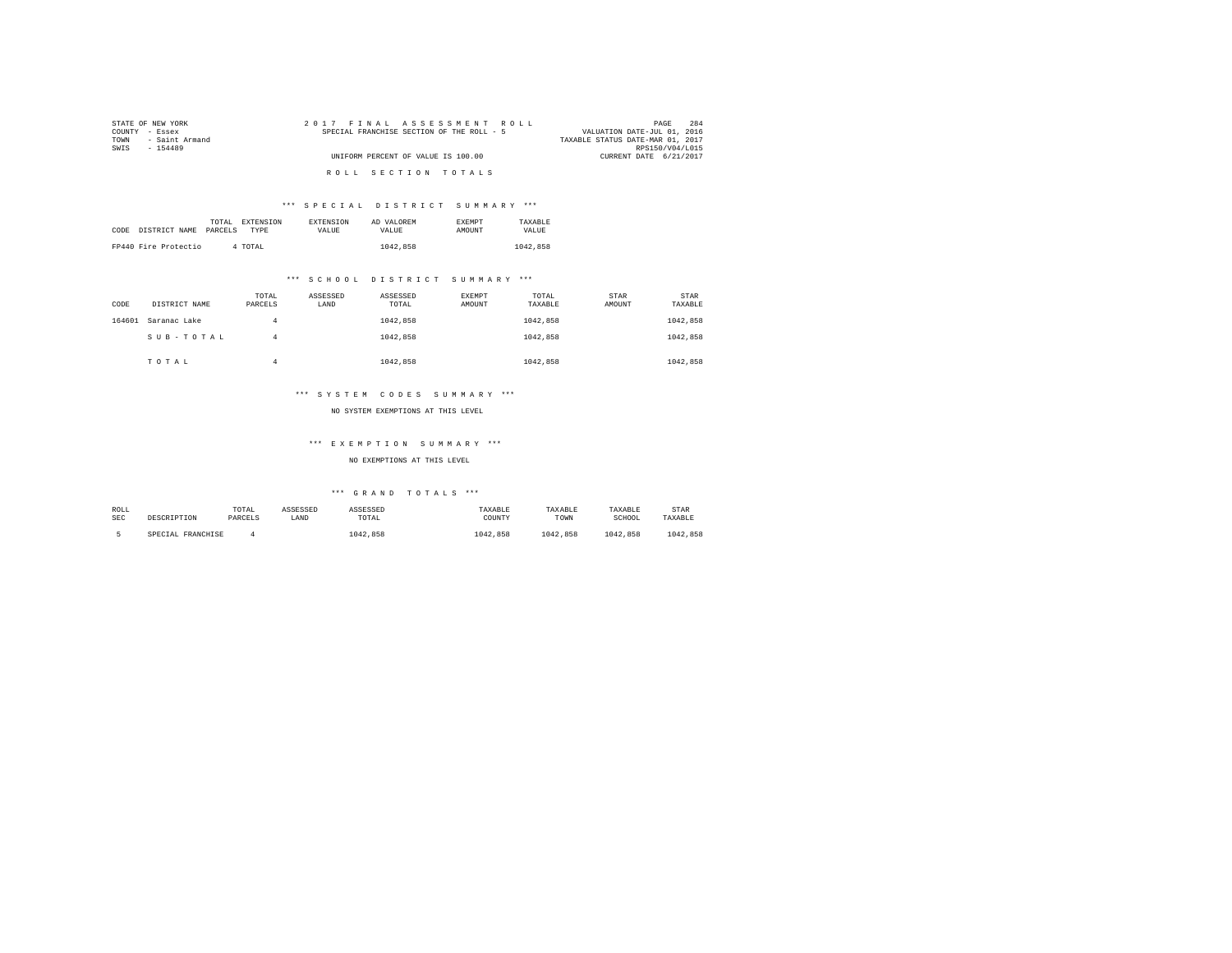| STATE OF NEW YORK      | 2017 FINAL ASSESSMENT ROLL                | 284<br>PAGE                      |
|------------------------|-------------------------------------------|----------------------------------|
| COUNTY - Essex         | SPECIAL FRANCHISE SECTION OF THE ROLL - 5 | VALUATION DATE-JUL 01, 2016      |
| - Saint Armand<br>TOWN |                                           | TAXABLE STATUS DATE-MAR 01, 2017 |
| SWIS<br>$-154489$      |                                           | RPS150/V04/L015                  |
|                        | UNIFORM PERCENT OF VALUE IS 100.00        | CURRENT DATE 6/21/2017           |
|                        |                                           |                                  |
|                        | ROLL SECTION TOTALS                       |                                  |

## \*\*\* S P E C I A L D I S T R I C T S U M M A R Y \*\*\*

|      |                      | TOTAL   | EXTENSION | <b>EXTENSION</b> | AD VALOREM | <b>EXEMPT</b> | TAXARLE  |
|------|----------------------|---------|-----------|------------------|------------|---------------|----------|
| CODE | DISTRICT NAME        | PARCELS | TYPE      | VALUE            | VALUE.     | <b>AMOUNT</b> | VALUE    |
|      |                      |         |           |                  |            |               |          |
|      | FP440 Fire Protectio | 4 TOTAL |           |                  | 1042.858   |               | 1042,858 |

## \*\*\* S C H O O L D I S T R I C T S U M M A R Y \*\*\*

| CODE   | DISTRICT NAME | TOTAL<br>PARCELS | ASSESSED<br>LAND | ASSESSED<br>TOTAL | <b>EXEMPT</b><br>AMOUNT | TOTAL<br>TAXABLE | STAR<br>AMOUNT | STAR<br>TAXABLE |
|--------|---------------|------------------|------------------|-------------------|-------------------------|------------------|----------------|-----------------|
| 164601 | Saranac Lake  | 4                |                  | 1042.858          |                         | 1042.858         |                | 1042,858        |
|        | SUB-TOTAL     | 4                |                  | 1042.858          |                         | 1042.858         |                | 1042.858        |
|        | TOTAL         | 4                |                  | 1042.858          |                         | 1042.858         |                | 1042.858        |

## \*\*\* S Y S T E M C O D E S S U M M A R Y \*\*\*

#### NO SYSTEM EXEMPTIONS AT THIS LEVEL

## \*\*\* E X E M P T I O N S U M M A R Y \*\*\*

## NO EXEMPTIONS AT THIS LEVEL

| ROLL       |                   | TOTAL   | ASSESSED | ASSESSED | TAXABLE  | TAXARI.R | TAXABLE  | STAR     |
|------------|-------------------|---------|----------|----------|----------|----------|----------|----------|
| <b>SEC</b> | DESCRIPTION       | PARCELS | LAND     | TOTAL    | COUNTY   | TOWN     | SCHOOL   | TAXABLE  |
|            | SPECIAL FRANCHISE |         |          | 1042.858 | 1042.858 | 1042.858 | 1042.858 | 1042.858 |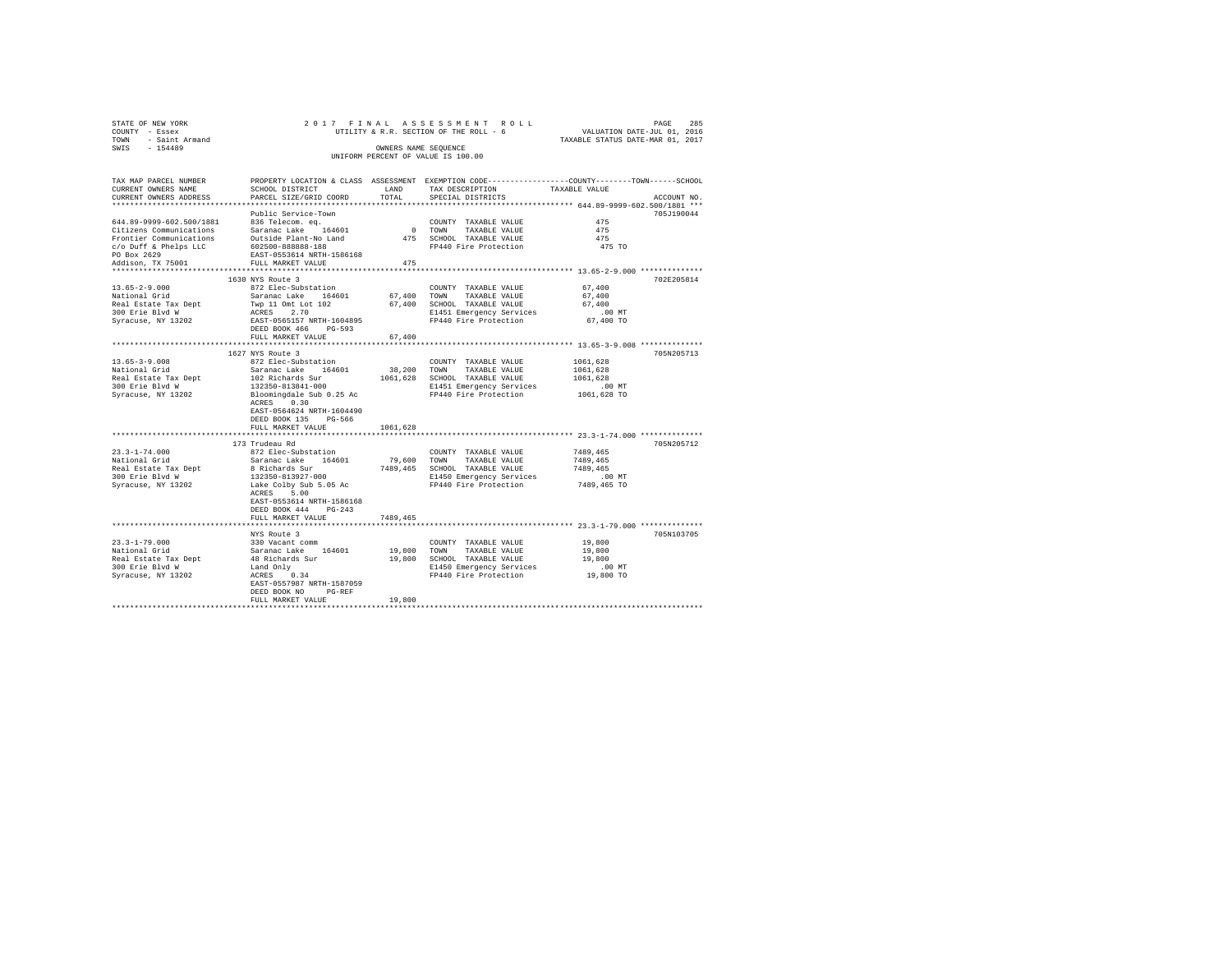| STATE OF NEW YORK                                             |                                                                                                                                                                                                                                |                    |                                                                                                                    |                      |             |
|---------------------------------------------------------------|--------------------------------------------------------------------------------------------------------------------------------------------------------------------------------------------------------------------------------|--------------------|--------------------------------------------------------------------------------------------------------------------|----------------------|-------------|
| COUNTY - Essex                                                | 285 PAGE 217 FINAL ASSESSMENT ROLL<br>UTILITY & R.R. SECTION OF THE ROLL - 6 VALUATION DATE-JUL 01, 2016<br>TAXABLE STATUS DATE-MAR 01, 2017                                                                                   |                    |                                                                                                                    |                      |             |
| TOWN - Saint Armand                                           |                                                                                                                                                                                                                                |                    |                                                                                                                    |                      |             |
| SWIS - 154489                                                 |                                                                                                                                                                                                                                |                    | OWNERS NAME SEOUENCE                                                                                               |                      |             |
|                                                               |                                                                                                                                                                                                                                |                    | UNIFORM PERCENT OF VALUE IS 100.00                                                                                 |                      |             |
| TAX MAP PARCEL NUMBER                                         | PROPERTY LOCATION & CLASS ASSESSMENT EXEMPTION CODE---------------COUNTY-------TOWN-----SCHOOL                                                                                                                                 |                    |                                                                                                                    |                      |             |
| CURRENT OWNERS NAME                                           | SCHOOL DISTRICT                                                                                                                                                                                                                |                    | LAND TAX DESCRIPTION                                                                                               | TAXABLE VALUE        |             |
| CURRENT OWNERS ADDRESS                                        | PARCEL SIZE/GRID COORD                                                                                                                                                                                                         |                    | TOTAL SPECIAL DISTRICTS                                                                                            |                      | ACCOUNT NO. |
|                                                               |                                                                                                                                                                                                                                |                    |                                                                                                                    |                      |             |
|                                                               | Public Service-Town                                                                                                                                                                                                            |                    |                                                                                                                    |                      | 705J190044  |
|                                                               |                                                                                                                                                                                                                                |                    | COUNTY TAXABLE VALUE                                                                                               | 475                  |             |
|                                                               |                                                                                                                                                                                                                                |                    | 0 TOWN TAXABLE VALUE                                                                                               | 475                  |             |
|                                                               |                                                                                                                                                                                                                                |                    |                                                                                                                    | 475                  |             |
|                                                               |                                                                                                                                                                                                                                |                    | 475 SCHOOL TAXABLE VALUE<br>475 SCHOOL TAXABLE VALUE<br>FP440 Fire Protection                                      | 475 TO               |             |
|                                                               |                                                                                                                                                                                                                                |                    |                                                                                                                    |                      |             |
|                                                               |                                                                                                                                                                                                                                | 475                |                                                                                                                    |                      |             |
|                                                               |                                                                                                                                                                                                                                |                    |                                                                                                                    |                      |             |
|                                                               | 1630 NYS Route 3                                                                                                                                                                                                               |                    |                                                                                                                    |                      | 702E205814  |
|                                                               | 872 Elec-Substation                                                                                                                                                                                                            |                    | $\texttt{COUNTY} \quad \texttt{TAXABLE} \quad \texttt{VALUE} \qquad \qquad 67 \, ,400$                             |                      |             |
| 13.65-2-9.000<br>National Grid                                |                                                                                                                                                                                                                                |                    |                                                                                                                    | 67,400               |             |
| Real Estate Tax Dept<br>300 Erie Blvd W<br>Syracuse, NY 13202 |                                                                                                                                                                                                                                |                    |                                                                                                                    | 67,400               |             |
|                                                               |                                                                                                                                                                                                                                |                    |                                                                                                                    |                      |             |
|                                                               |                                                                                                                                                                                                                                |                    |                                                                                                                    | .00 MT.<br>67,400 TO |             |
|                                                               | DEED BOOK 466 PG-593                                                                                                                                                                                                           |                    |                                                                                                                    |                      |             |
|                                                               | FULL MARKET VALUE                                                                                                                                                                                                              | 67,400             |                                                                                                                    |                      |             |
|                                                               |                                                                                                                                                                                                                                | ****************** | ******************************** 13.65-3-9.008 **************                                                      |                      |             |
|                                                               | 1627 NYS Route 3                                                                                                                                                                                                               |                    |                                                                                                                    |                      | 705N205713  |
| $13.65 - 3 - 9.008$                                           | 872 Elec-Substation                                                                                                                                                                                                            |                    | COUNTY TAXABLE VALUE                                                                                               | 1061,628             |             |
| National Grid                                                 | Saranac Lake 164601                                                                                                                                                                                                            |                    | 38,200 TOWN TAXABLE VALUE                                                                                          | 1061.628             |             |
|                                                               | Maticular or and the state of the set of the match of the conduction of the set of the set of the set of the set of the set of the set of the set of the set of the set of the set of the set of the set of the set of the set |                    |                                                                                                                    |                      |             |
|                                                               |                                                                                                                                                                                                                                |                    |                                                                                                                    | .00 MT               |             |
|                                                               |                                                                                                                                                                                                                                |                    |                                                                                                                    | 1061,628 TO          |             |
|                                                               | ACRES 0.30                                                                                                                                                                                                                     |                    |                                                                                                                    |                      |             |
|                                                               | EAST-0564624 NRTH-1604490                                                                                                                                                                                                      |                    |                                                                                                                    |                      |             |
|                                                               | DEED BOOK 135 PG-566                                                                                                                                                                                                           |                    |                                                                                                                    |                      |             |
|                                                               | FULL MARKET VALUE                                                                                                                                                                                                              | 1061,628           |                                                                                                                    |                      |             |
|                                                               |                                                                                                                                                                                                                                |                    |                                                                                                                    |                      |             |
|                                                               | 173 Trudeau Rd                                                                                                                                                                                                                 |                    |                                                                                                                    |                      | 705N205712  |
| $23.3 - 1 - 74.000$                                           | 872 Elec-Substation                                                                                                                                                                                                            |                    | COUNTY TAXABLE VALUE                                                                                               | 7489,465             |             |
|                                                               |                                                                                                                                                                                                                                |                    | 79,600 TOWN TAXABLE VALUE                                                                                          | 7489,465             |             |
|                                                               |                                                                                                                                                                                                                                |                    |                                                                                                                    |                      |             |
|                                                               |                                                                                                                                                                                                                                |                    | 7489,465 SCHOOL TAXABLE VALUE 7489,465<br>E1450 Emergency Services 7180 CD MT<br>FP440 Fire Protection 7489,465 TO |                      |             |
|                                                               |                                                                                                                                                                                                                                |                    |                                                                                                                    |                      |             |
|                                                               | ACRES 5.00                                                                                                                                                                                                                     |                    |                                                                                                                    |                      |             |
|                                                               | EAST-0553614 NRTH-1586168                                                                                                                                                                                                      |                    |                                                                                                                    |                      |             |
|                                                               | DEED BOOK 444 PG-243                                                                                                                                                                                                           |                    |                                                                                                                    |                      |             |
|                                                               | FULL MARKET VALUE                                                                                                                                                                                                              | 7489,465           |                                                                                                                    |                      |             |
|                                                               |                                                                                                                                                                                                                                |                    |                                                                                                                    |                      |             |
|                                                               | NYS Route 3                                                                                                                                                                                                                    |                    |                                                                                                                    |                      | 705N103705  |
|                                                               |                                                                                                                                                                                                                                |                    |                                                                                                                    |                      |             |
|                                                               |                                                                                                                                                                                                                                |                    |                                                                                                                    |                      |             |
|                                                               |                                                                                                                                                                                                                                |                    |                                                                                                                    |                      |             |
|                                                               |                                                                                                                                                                                                                                |                    |                                                                                                                    |                      |             |
|                                                               |                                                                                                                                                                                                                                |                    |                                                                                                                    |                      |             |
|                                                               |                                                                                                                                                                                                                                |                    |                                                                                                                    |                      |             |
|                                                               | DEED BOOK NO PG-REF<br>FULL MARKET VALUE                                                                                                                                                                                       | 19,800             |                                                                                                                    |                      |             |
|                                                               |                                                                                                                                                                                                                                |                    |                                                                                                                    |                      |             |
|                                                               |                                                                                                                                                                                                                                |                    |                                                                                                                    |                      |             |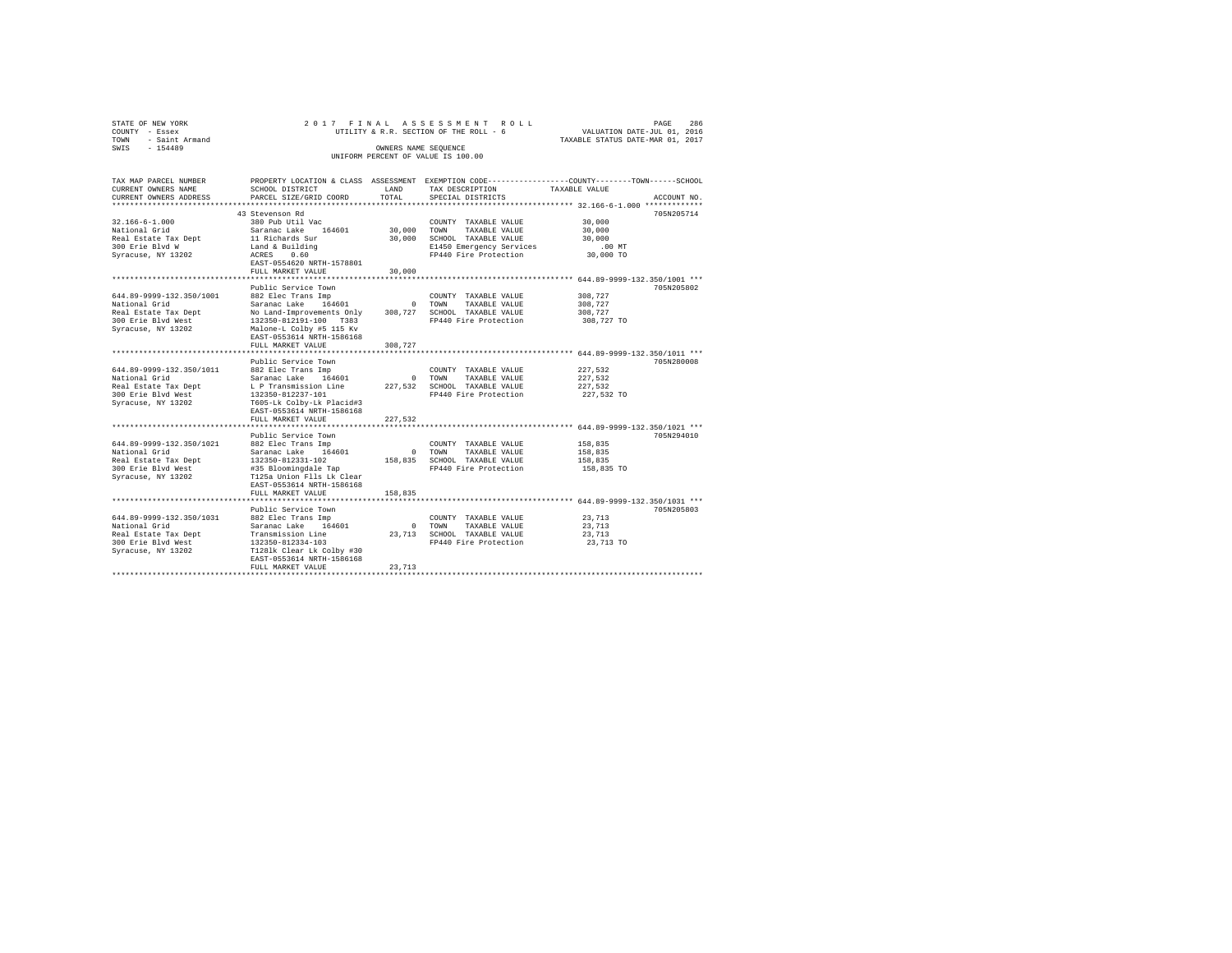| STATE OF NEW YORK   |                      |  | 2017 FINAL ASSESSMENT ROLL             |  |                                  | PAGE                        | 286 |
|---------------------|----------------------|--|----------------------------------------|--|----------------------------------|-----------------------------|-----|
| COUNTY - Essex      |                      |  | UTILITY & R.R. SECTION OF THE ROLL - 6 |  |                                  | VALUATION DATE-JUL 01, 2016 |     |
| TOWN - Saint Armand |                      |  |                                        |  | TAXABLE STATUS DATE-MAR 01, 2017 |                             |     |
| SWTS<br>$-154489$   | OWNERS NAME SEOUENCE |  |                                        |  |                                  |                             |     |
|                     |                      |  | UNIFORM PERCENT OF VALUE IS 100.00     |  |                                  |                             |     |
|                     |                      |  |                                        |  |                                  |                             |     |

| TAX MAP PARCEL NUMBER    |                                                 |             |                              | PROPERTY LOCATION & CLASS ASSESSMENT EXEMPTION CODE---------------COUNTY-------TOWN-----SCHOOL |
|--------------------------|-------------------------------------------------|-------------|------------------------------|------------------------------------------------------------------------------------------------|
| CURRENT OWNERS NAME      | SCHOOL DISTRICT                                 | LAND        | TAX DESCRIPTION              | TAXABLE VALUE                                                                                  |
| CURRENT OWNERS ADDRESS   | PARCEL SIZE/GRID COORD                          | TOTAL       | SPECIAL DISTRICTS            | ACCOUNT NO.                                                                                    |
|                          |                                                 |             |                              |                                                                                                |
|                          | 43 Stevenson Rd                                 |             |                              | 705N205714                                                                                     |
| $32.166 - 6 - 1.000$     | 380 Pub Util Vac                                |             | COUNTY TAXABLE VALUE         | 30,000                                                                                         |
| National Grid            | Saranac Lake<br>164601                          | 30,000 TOWN | TAXABLE VALUE                | 30,000                                                                                         |
| Real Estate Tax Dept     | 11 Richards Sur                                 | 30,000      | SCHOOL TAXABLE VALUE         | 30,000                                                                                         |
| 300 Erie Blvd W          | Land & Building                                 |             | E1450 Emergency Services     | $.00$ MT                                                                                       |
| Syracuse, NY 13202       | ACRES<br>0.60                                   |             | FP440 Fire Protection        | 30,000 TO                                                                                      |
|                          | EAST-0554620 NRTH-1578801                       |             |                              |                                                                                                |
|                          | FULL MARKET VALUE                               | 30,000      |                              |                                                                                                |
|                          |                                                 |             |                              |                                                                                                |
|                          | Public Service Town                             |             |                              | 705N205802                                                                                     |
| 644.89-9999-132.350/1001 | 882 Elec Trans Imp                              |             | COUNTY TAXABLE VALUE         | 308,727                                                                                        |
| National Grid            | Saranac Lake 164601                             |             | 0 TOWN<br>TAXABLE VALUE      | 308,727                                                                                        |
| Real Estate Tax Dept     | No Land-Improvements Only                       |             | 308,727 SCHOOL TAXABLE VALUE | 308,727                                                                                        |
| 300 Erie Blvd West       | 132350-812191-100 T383                          |             | FP440 Fire Protection        | 308,727 TO                                                                                     |
| Syracuse, NY 13202       | Malone-L Colby #5 115 Kv                        |             |                              |                                                                                                |
|                          | EAST-0553614 NRTH-1586168                       |             |                              |                                                                                                |
|                          | FULL MARKET VALUE                               | 308,727     |                              |                                                                                                |
|                          |                                                 |             |                              | ******************* 644.89-9999-132.350/1011 ***                                               |
|                          | Public Service Town                             |             |                              | 705N280008                                                                                     |
| 644.89-9999-132.350/1011 | 882 Elec Trans Imp                              |             | COUNTY TAXABLE VALUE         | 227.532                                                                                        |
| National Grid            | Saranac Lake 164601                             |             | 0 TOWN<br>TAXABLE VALUE      | 227,532                                                                                        |
| Real Estate Tax Dept     | L P Transmission Line                           |             | 227.532 SCHOOL TAXABLE VALUE | 227.532                                                                                        |
| 300 Erie Blvd West       | 132350-812237-101                               |             | FP440 Fire Protection        | 227,532 TO                                                                                     |
| Syracuse, NY 13202       | T605-Lk Colby-Lk Placid#3                       |             |                              |                                                                                                |
|                          | EAST-0553614 NRTH-1586168                       |             |                              |                                                                                                |
|                          | FULL MARKET VALUE                               | 227,532     |                              |                                                                                                |
|                          |                                                 |             |                              |                                                                                                |
|                          | Public Service Town                             |             |                              | 705N294010                                                                                     |
| 644.89-9999-132.350/1021 | 882 Elec Trans Imp                              |             | COUNTY TAXABLE VALUE         | 158,835                                                                                        |
| National Grid            | Saranac Lake 164601                             |             | 0 TOWN<br>TAXABLE VALUE      | 158,835                                                                                        |
| Real Estate Tax Dept     | 132350-812331-102                               |             | 158,835 SCHOOL TAXABLE VALUE | 158,835                                                                                        |
| 300 Erie Blyd West       | #35 Bloomingdale Tap                            |             | FP440 Fire Protection        | 158,835 TO                                                                                     |
| Syracuse, NY 13202       | T125a Union Flls Lk Clear                       |             |                              |                                                                                                |
|                          | EAST-0553614 NRTH-1586168                       |             |                              |                                                                                                |
|                          | FULL MARKET VALUE<br>************************** | 158,835     |                              | ********************** 644.89-9999-132.350/1031 ***                                            |
|                          |                                                 |             |                              |                                                                                                |
|                          | Public Service Town                             |             |                              | 705N205803                                                                                     |
| 644.89-9999-132.350/1031 | 882 Elec Trans Imp                              |             | COUNTY TAXABLE VALUE         | 23,713                                                                                         |
| National Grid            | Saranac Lake 164601                             |             | 0 TOWN<br>TAXABLE VALUE      | 23,713                                                                                         |
| Real Estate Tax Dept     | Transmission Line                               |             | 23.713 SCHOOL TAXABLE VALUE  | 23,713                                                                                         |
| 300 Erie Blvd West       | 132350-812334-103                               |             | FP440 Fire Protection        | 23,713 TO                                                                                      |
| Syracuse, NY 13202       | T1281k Clear Lk Colby #30                       |             |                              |                                                                                                |
|                          | EAST-0553614 NRTH-1586168<br>FULL MARKET VALUE  | 23,713      |                              |                                                                                                |
|                          |                                                 |             |                              |                                                                                                |
|                          |                                                 |             |                              |                                                                                                |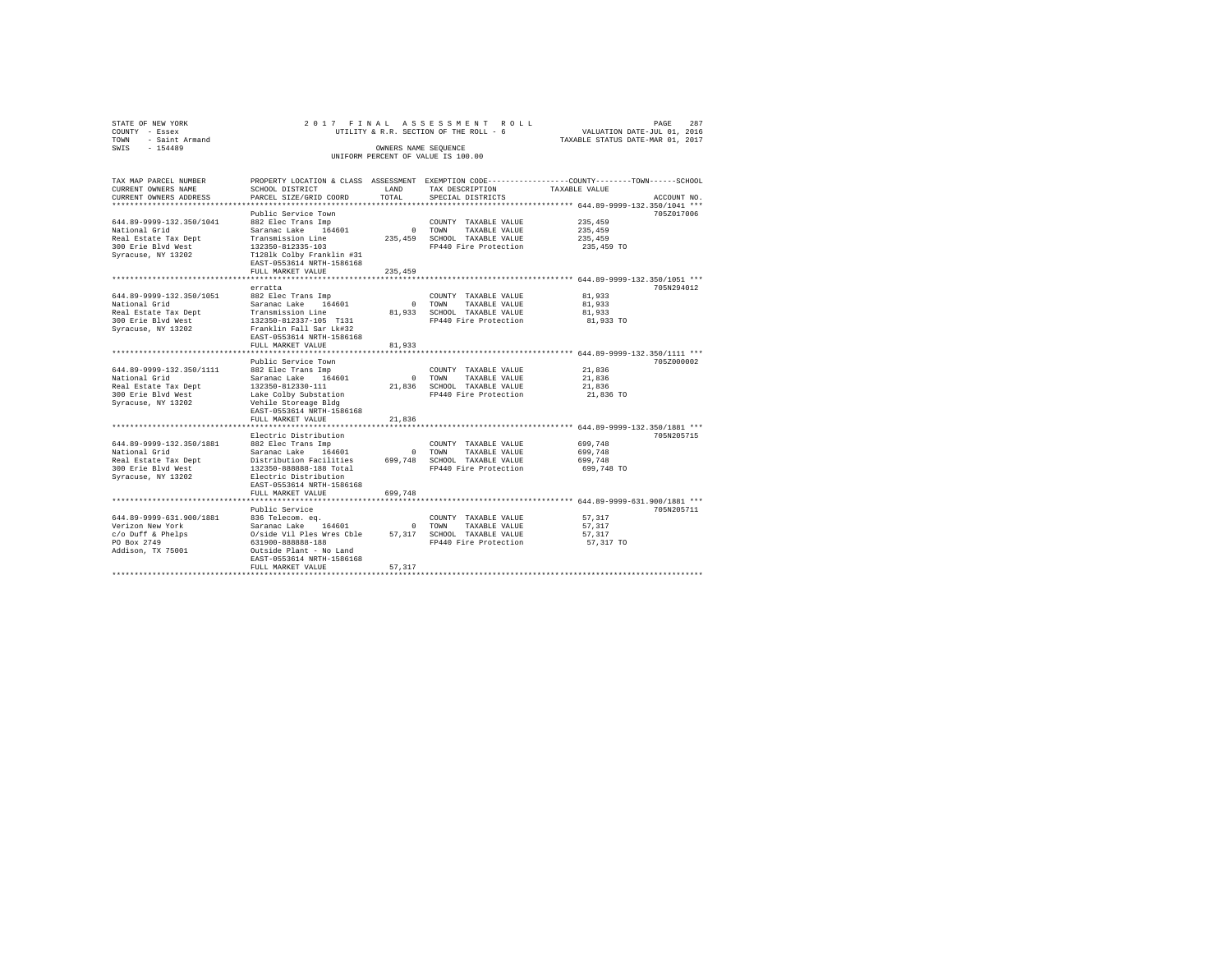| STATE OF NEW YORK<br>COUNTY - Essex<br>TOWN<br>- Saint Armand<br>$-154489$<br>SWIS                            |                                                                                                                                                                                                                                               | OWNERS NAME SEQUENCE             | 2017 FINAL ASSESSMENT ROLL<br>UTILITY & R.R. SECTION OF THE ROLL - 6<br>UNIFORM PERCENT OF VALUE IS 100.00 | PAGE<br>287<br>VALUATION DATE-JUL 01, 2016<br>TAXABLE STATUS DATE-MAR 01, 2017                                                 |
|---------------------------------------------------------------------------------------------------------------|-----------------------------------------------------------------------------------------------------------------------------------------------------------------------------------------------------------------------------------------------|----------------------------------|------------------------------------------------------------------------------------------------------------|--------------------------------------------------------------------------------------------------------------------------------|
| TAX MAP PARCEL NUMBER<br>CURRENT OWNERS NAME<br>CURRENT OWNERS ADDRESS                                        | SCHOOL DISTRICT<br>PARCEL SIZE/GRID COORD                                                                                                                                                                                                     | LAND<br>TOTAL                    | TAX DESCRIPTION<br>SPECIAL DISTRICTS                                                                       | PROPERTY LOCATION & CLASS ASSESSMENT EXEMPTION CODE---------------COUNTY-------TOWN-----SCHOOL<br>TAXABLE VALUE<br>ACCOUNT NO. |
| 644.89-9999-132.350/1041<br>National Grid<br>Real Estate Tax Dept<br>300 Erie Blvd West<br>Syracuse, NY 13202 | Public Service Town<br>882 Elec Trans Imp<br>Saranac Lake 164601<br>Transmission Line<br>132350-812335-103<br>T1281k Colby Franklin #31<br>EAST-0553614 NRTH-1586168                                                                          | $\overline{0}$<br>235,459        | COUNTY TAXABLE VALUE<br>TOWN<br>TAXABLE VALUE<br>SCHOOL TAXABLE VALUE<br>FP440 Fire Protection             | 705Z017006<br>235,459<br>235,459<br>235,459<br>235,459 TO                                                                      |
|                                                                                                               | FULL MARKET VALUE                                                                                                                                                                                                                             | 235,459                          |                                                                                                            |                                                                                                                                |
| 644.89-9999-132.350/1051<br>National Grid<br>Real Estate Tax Dept<br>300 Erie Blvd West<br>Syracuse, NY 13202 | erratta<br>882 Elec Trans Imp<br>Saranac Lake 164601<br>Transmission Line<br>132350-812337-105 T131<br>Franklin Fall Sar Lk#32<br>EAST-0553614 NRTH-1586168                                                                                   | $\Omega$                         | COUNTY TAXABLE VALUE<br>TOWN<br>TAXABLE VALUE<br>81,933 SCHOOL TAXABLE VALUE<br>FP440 Fire Protection      | 705N294012<br>81,933<br>81,933<br>81,933<br>81,933 TO                                                                          |
|                                                                                                               | FULL MARKET VALUE                                                                                                                                                                                                                             | 81,933                           |                                                                                                            |                                                                                                                                |
| 644.89-9999-132.350/1111<br>National Grid<br>Real Estate Tax Dept<br>300 Erie Blyd West<br>Syracuse, NY 13202 | *******************<br>Public Service Town<br>882 Elec Trans Imp<br>Saranac Lake<br>164601<br>132350-812330-111<br>Lake Colby Substation<br>Vehile Storeage Bldg<br>EAST-0553614 NRTH-1586168                                                 | $\Omega$<br>21,836               | COUNTY TAXABLE VALUE<br>TOWN<br>TAXABLE VALUE<br>SCHOOL TAXABLE VALUE<br>FP440 Fire Protection             | *************************** 644.89-9999-132.350/1111 ***<br>705Z000002<br>21,836<br>21,836<br>21,836<br>21,836 TO              |
|                                                                                                               | FULL MARKET VALUE                                                                                                                                                                                                                             | 21,836                           |                                                                                                            |                                                                                                                                |
| 644.89-9999-132.350/1881<br>National Grid<br>Real Estate Tax Dept<br>300 Erie Blyd West<br>Syracuse, NY 13202 | **************************************<br>Electric Distribution<br>882 Elec Trans Imp<br>Saranac Lake 164601<br>Distribution Facilities<br>132350-888888-188 Total<br>Electric Distribution<br>EAST-0553614 NRTH-1586168<br>FULL MARKET VALUE | $^{\circ}$<br>699,748<br>699,748 | COUNTY TAXABLE VALUE<br>TOWN<br>TAXABLE VALUE<br>SCHOOL TAXABLE VALUE<br>FP440 Fire Protection             | **************************** 644.89-9999-132.350/1881 ***<br>705N205715<br>699,748<br>699,748<br>699,748<br>699,748 TO         |
|                                                                                                               | ********************                                                                                                                                                                                                                          |                                  |                                                                                                            | **************************** 644.89-9999-631.900/1881 ***                                                                      |
| 644.89-9999-631.900/1881<br>Verizon New York<br>c/o Duff & Phelps<br>PO Box 2749<br>Addison, TX 75001         | Public Service<br>836 Telecom. eq.<br>Saranac Lake 164601<br>O/side Vil Ples Wres Cble<br>631900-888888-188<br>Outside Plant - No Land<br>EAST-0553614 NRTH-1586168<br>FULL MARKET VALUE                                                      | $\Omega$<br>57,317               | COUNTY TAXABLE VALUE<br>TOWN<br>TAXABLE VALUE<br>57,317 SCHOOL TAXABLE VALUE<br>FP440 Fire Protection      | 705N205711<br>57.317<br>57.317<br>57.317<br>57,317 TO                                                                          |
|                                                                                                               |                                                                                                                                                                                                                                               |                                  |                                                                                                            |                                                                                                                                |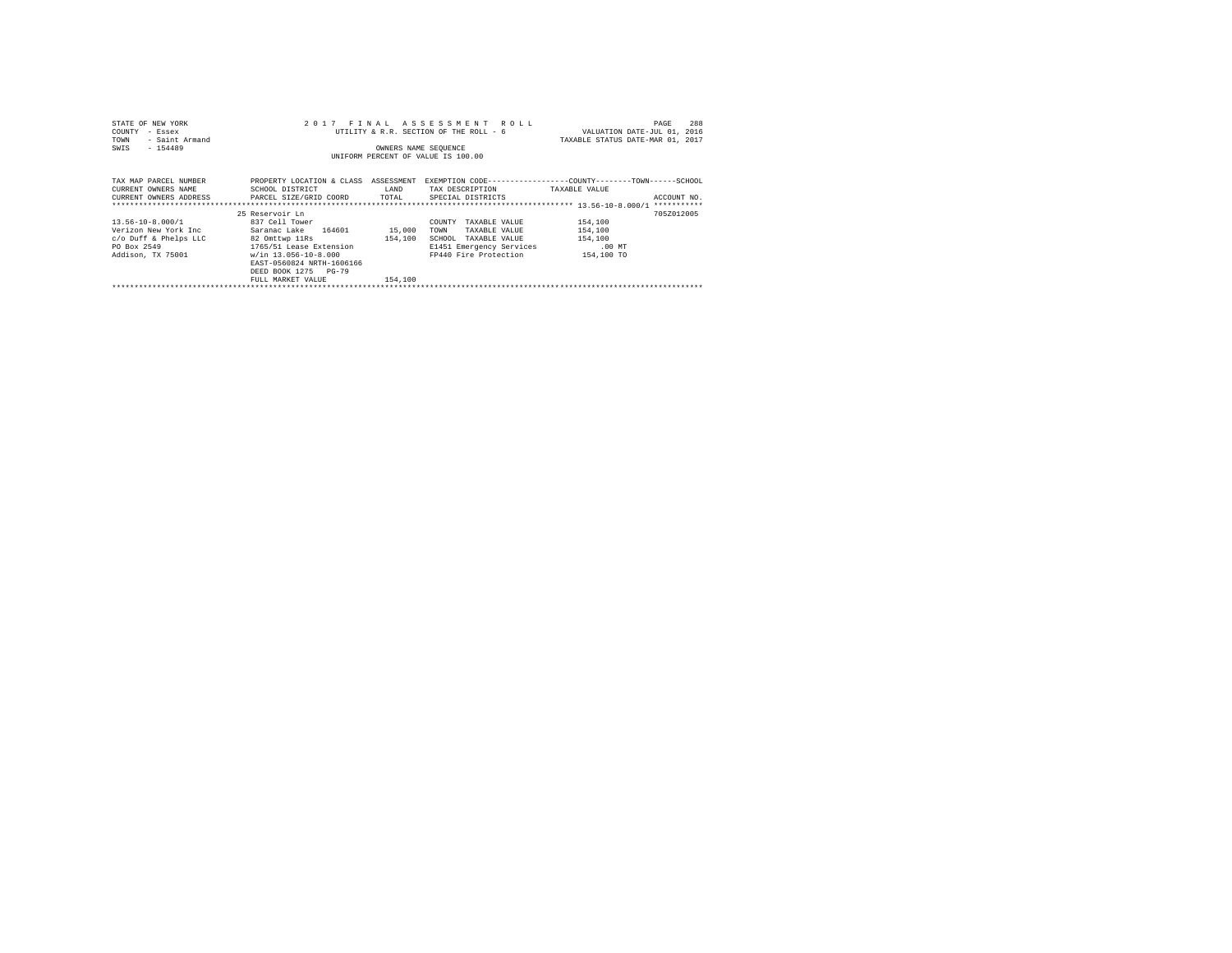| STATE OF NEW YORK<br>COUNTY<br>- Essex<br>- Saint Armand<br>TOWN<br>$-154489$<br>SWIS                 | 2017 FINAL                                                                                                                                                                                              | OWNERS NAME SEQUENCE         | ASSESSMENT ROLL<br>UTILITY & R.R. SECTION OF THE ROLL - 6<br>UNIFORM PERCENT OF VALUE IS 100.00                                  | 288<br>PAGE<br>VALUATION DATE-JUL 01, 2016<br>TAXABLE STATUS DATE-MAR 01, 2017               |  |
|-------------------------------------------------------------------------------------------------------|---------------------------------------------------------------------------------------------------------------------------------------------------------------------------------------------------------|------------------------------|----------------------------------------------------------------------------------------------------------------------------------|----------------------------------------------------------------------------------------------|--|
| TAX MAP PARCEL NUMBER<br>CURRENT OWNERS NAME<br>CURRENT OWNERS ADDRESS . PARCEL SIZE/GRID COORD TOTAL | PROPERTY LOCATION & CLASS ASSESSMENT<br>SCHOOL DISTRICT                                                                                                                                                 | LAND                         | TAX DESCRIPTION<br>SPECIAL DISTRICTS                                                                                             | EXEMPTION CODE-----------------COUNTY-------TOWN------SCHOOL<br>TAXABLE VALUE<br>ACCOUNT NO. |  |
| 13.56-10-8.000/1<br>Verizon New York Inc<br>c/o Duff & Phelps LLC<br>PO Box 2549<br>Addison, TX 75001 | 25 Reservoir Ln<br>837 Cell Tower<br>Saranac Lake 164601<br>82 Omttwp 11Rs<br>1765/51 Lease Extension<br>w/in 13.056-10-8.000<br>EAST-0560824 NRTH-1606166<br>DEED BOOK 1275 PG-79<br>FULL MARKET VALUE | 15,000<br>154,100<br>154,100 | COUNTY<br>TAXABLE VALUE<br>TAXABLE VALUE<br>TOWN<br>SCHOOL<br>TAXABLE VALUE<br>E1451 Emergency Services<br>FP440 Fire Protection | 705Z012005<br>154,100<br>154,100<br>154,100<br>$.00$ MT<br>154,100 TO                        |  |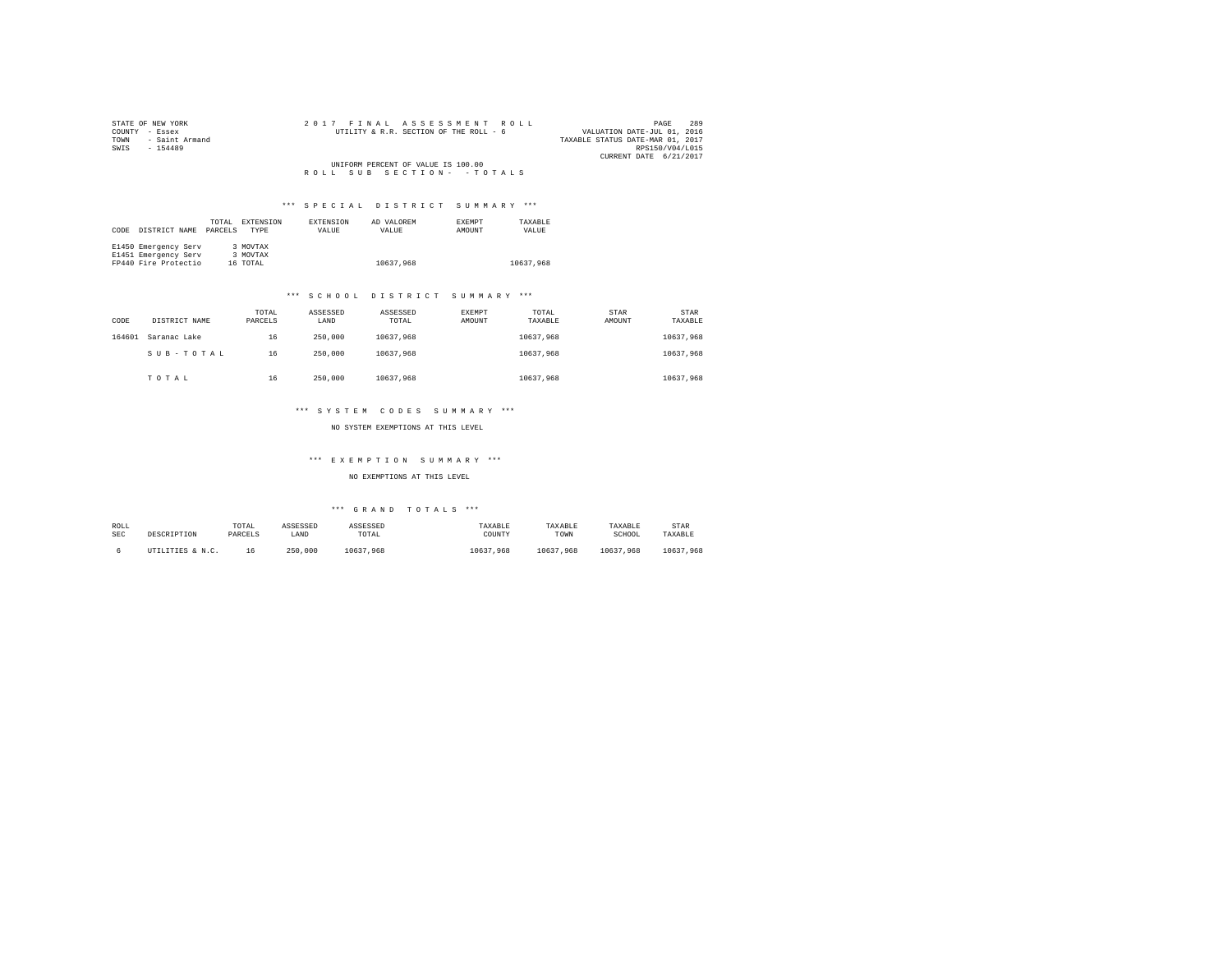| STATE OF NEW YORK      |  |  |  | 2017 FINAL ASSESSMENT ROLL             |  |  |                                  |                        | PAGE | 289 |
|------------------------|--|--|--|----------------------------------------|--|--|----------------------------------|------------------------|------|-----|
| COUNTY - Essex         |  |  |  | UTILITY & R.R. SECTION OF THE ROLL - 6 |  |  | VALUATION DATE-JUL 01, 2016      |                        |      |     |
| TOWN<br>- Saint Armand |  |  |  |                                        |  |  | TAXABLE STATUS DATE-MAR 01, 2017 |                        |      |     |
| SWIS<br>$-154489$      |  |  |  |                                        |  |  |                                  | RPS150/V04/L015        |      |     |
|                        |  |  |  |                                        |  |  |                                  | CURRENT DATE 6/21/2017 |      |     |
|                        |  |  |  | UNIFORM PERCENT OF VALUE IS 100.00     |  |  |                                  |                        |      |     |
|                        |  |  |  | ROLL SUB SECTION- - TOTALS             |  |  |                                  |                        |      |     |

| CODE | DISTRICT NAME        | TOTAL<br>PARCELS | EXTENSION<br><b>TYPE</b> | <b>EXTENSION</b><br>VALUE | AD VALOREM<br>VALUE | <b>EXEMPT</b><br>AMOUNT | TAXARLE<br>VALUE |
|------|----------------------|------------------|--------------------------|---------------------------|---------------------|-------------------------|------------------|
|      | E1450 Emergency Serv |                  | 3 MOVTAX                 |                           |                     |                         |                  |
|      | E1451 Emergency Serv |                  | 3 MOVTAX                 |                           |                     |                         |                  |
|      | FP440 Fire Protectio |                  | 16 TOTAL                 |                           | 10637.968           |                         | 10637.968        |

#### \*\*\* S C H O O L D I S T R I C T S U M M A R Y \*\*\*

| CODE   | DISTRICT NAME | TOTAL<br>PARCELS | ASSESSED<br>LAND | ASSESSED<br>TOTAL | EXEMPT<br>AMOUNT | TOTAL<br>TAXABLE | STAR<br>AMOUNT | <b>STAR</b><br>TAXABLE |
|--------|---------------|------------------|------------------|-------------------|------------------|------------------|----------------|------------------------|
| 164601 | Saranac Lake  | 16               | 250,000          | 10637.968         |                  | 10637.968        |                | 10637.968              |
|        | SUB-TOTAL     | 16               | 250,000          | 10637.968         |                  | 10637.968        |                | 10637.968              |
|        | TOTAL         | 16               | 250,000          | 10637.968         |                  | 10637.968        |                | 10637.968              |

#### \*\*\* S Y S T E M C O D E S S U M M A R Y \*\*\*

NO SYSTEM EXEMPTIONS AT THIS LEVEL

## \*\*\* E X E M P T I O N S U M M A R Y \*\*\*

NO EXEMPTIONS AT THIS LEVEL

| ROLL<br>SEC | DESCRIPTION      | TOTAL<br>PARCELS | ASSESSED<br>LAND | ASSESSED<br>TOTAL | TAXABLE<br>COUNTY | TAXABLE<br>TOWN | TAXABLE<br>SCHOOL | STAR<br>TAXABLE |
|-------------|------------------|------------------|------------------|-------------------|-------------------|-----------------|-------------------|-----------------|
|             | UTILITIES & N.C. |                  | .000<br>250      | 10637.968         | 10637<br>.968     | 10637<br>.968   | 10637.968         | 10637<br>.968   |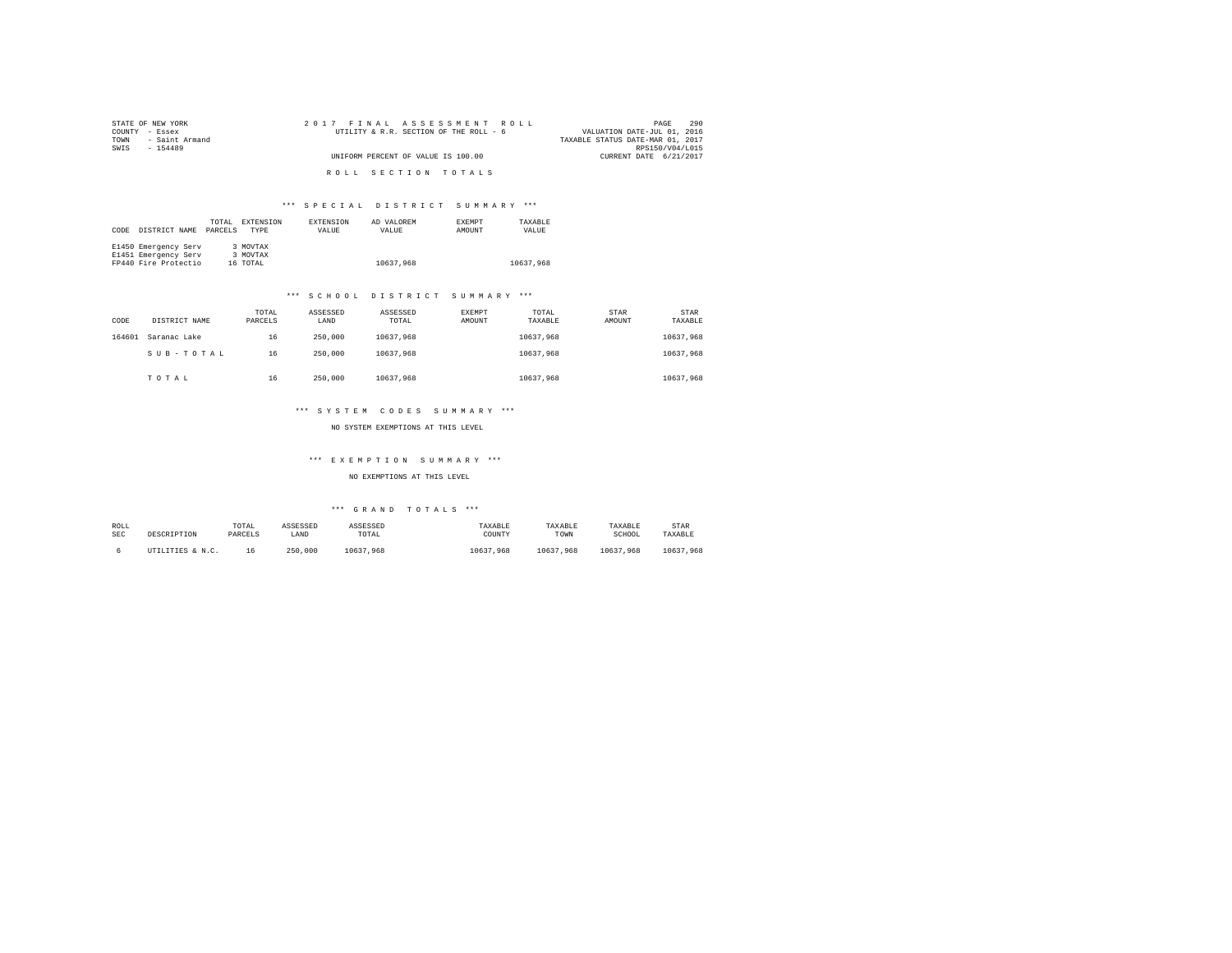| STATE OF NEW YORK      | 2017 FINAL ASSESSMENT ROLL             | 290<br>PAGE                      |
|------------------------|----------------------------------------|----------------------------------|
| COUNTY - Essex         | UTILITY & R.R. SECTION OF THE ROLL - 6 | VALUATION DATE-JUL 01, 2016      |
| - Saint Armand<br>TOWN |                                        | TAXABLE STATUS DATE-MAR 01, 2017 |
| SWTS<br>$-154489$      |                                        | RPS150/V04/L015                  |
|                        | UNIFORM PERCENT OF VALUE IS 100.00     | CURRENT DATE 6/21/2017           |
|                        |                                        |                                  |
|                        | ROLL SECTION TOTALS                    |                                  |

|      |                      | TOTAL   | EXTENSION | EXTENSION | AD VALOREM | <b>EXEMPT</b> | TAXARLE   |
|------|----------------------|---------|-----------|-----------|------------|---------------|-----------|
| CODE | DISTRICT NAME        | PARCELS | TYPE      | VALUE     | VALUE      | AMOUNT        | VALUE     |
|      |                      |         |           |           |            |               |           |
|      | E1450 Emergency Serv |         | 3 MOVTAX  |           |            |               |           |
|      | E1451 Emergency Serv |         | 3 MOVTAX  |           |            |               |           |
|      | FP440 Fire Protectio |         | 16 TOTAL  |           | 10637.968  |               | 10637.968 |

#### \*\*\* S C H O O L D I S T R I C T S U M M A R Y \*\*\*

| CODE   | DISTRICT NAME | TOTAL<br>PARCELS | ASSESSED<br>LAND | ASSESSED<br>TOTAL | EXEMPT<br>AMOUNT | TOTAL<br>TAXABLE | STAR<br>AMOUNT | <b>STAR</b><br>TAXABLE |
|--------|---------------|------------------|------------------|-------------------|------------------|------------------|----------------|------------------------|
| 164601 | Saranac Lake  | 16               | 250,000          | 10637.968         |                  | 10637.968        |                | 10637.968              |
|        | SUB-TOTAL     | 16               | 250,000          | 10637.968         |                  | 10637.968        |                | 10637.968              |
|        | TOTAL         | 16               | 250,000          | 10637.968         |                  | 10637.968        |                | 10637.968              |

#### \*\*\* S Y S T E M C O D E S S U M M A R Y \*\*\*

NO SYSTEM EXEMPTIONS AT THIS LEVEL

## \*\*\* E X E M P T I O N S U M M A R Y \*\*\*

#### NO EXEMPTIONS AT THIS LEVEL

| ROLL       | DESCRIPTION      | TOTAL   | ASSESSED | ASSESSED  | TAXABLE   | TAXABLE   | TAXABLE       | STAR          |
|------------|------------------|---------|----------|-----------|-----------|-----------|---------------|---------------|
| <b>SEC</b> |                  | PARCELS | LAND     | TOTAL     | COUNTY    | TOWN      | SCHOOL        | TAXABLE       |
|            | UTILITIES & N.C. | 16      | 250,000  | 10637.968 | 10637.968 | 10637.968 | 10637<br>.968 | 10637<br>.968 |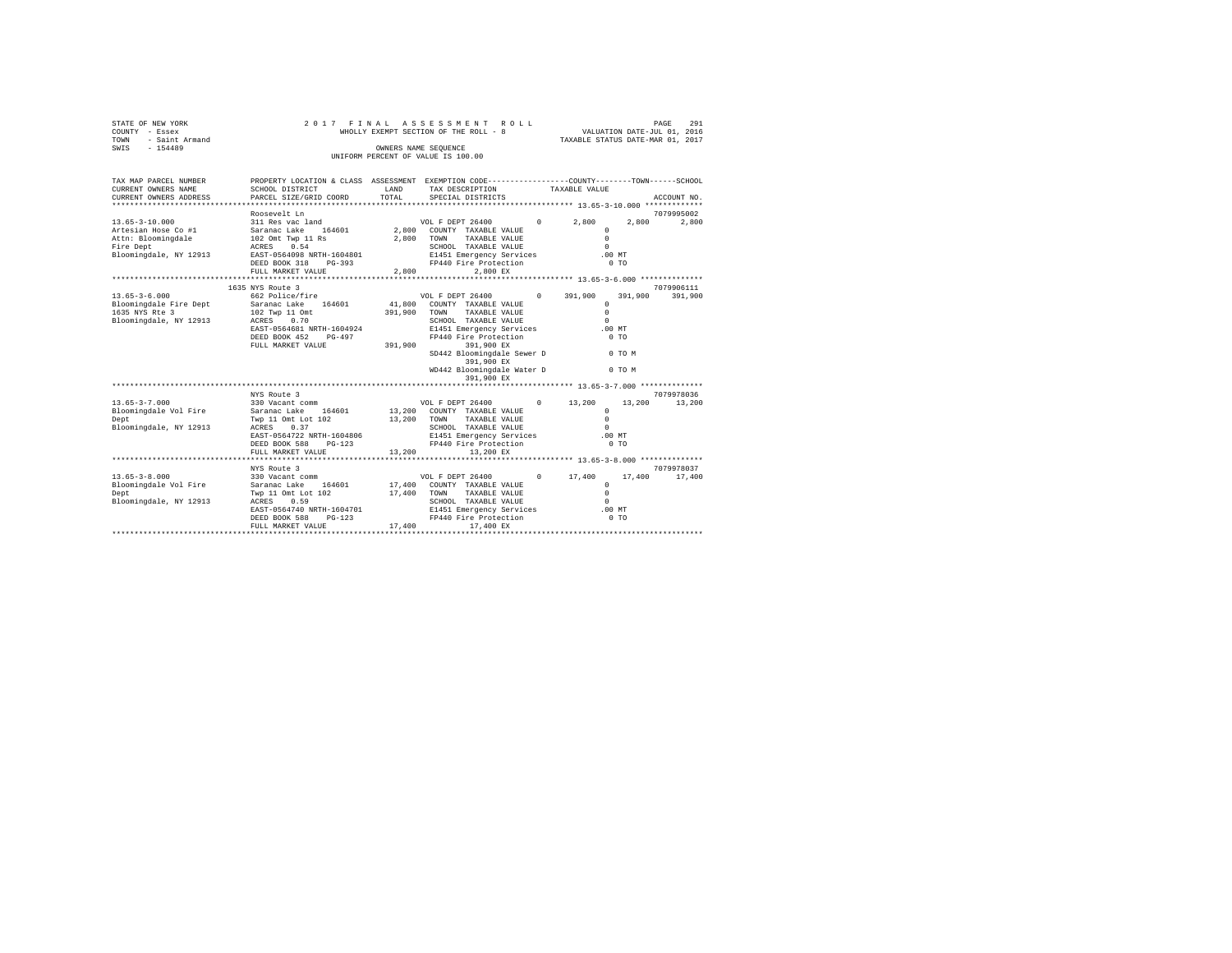| STATE OF NEW YORK<br>COUNTY - Essex<br>- Saint Armand<br>TOWN<br>$-154489$<br>SWIS                  |                                                                                                                                                                                                     | OWNERS NAME SEQUENCE | 2017 FINAL ASSESSMENT ROLL<br>WHOLLY EXEMPT SECTION OF THE ROLL - 8<br>UNIFORM PERCENT OF VALUE IS 100.00                                                     |                   |                                                      | VALUATION DATE-JUL 01, 2016<br>TAXABLE STATUS DATE-MAR 01, 2017 | 291<br>PAGE         |  |
|-----------------------------------------------------------------------------------------------------|-----------------------------------------------------------------------------------------------------------------------------------------------------------------------------------------------------|----------------------|---------------------------------------------------------------------------------------------------------------------------------------------------------------|-------------------|------------------------------------------------------|-----------------------------------------------------------------|---------------------|--|
| TAX MAP PARCEL NUMBER<br>CURRENT OWNERS NAME                                                        | PROPERTY LOCATION & CLASS ASSESSMENT EXEMPTION CODE---------------COUNTY-------TOWN------SCHOOL<br>SCHOOL DISTRICT                                                                                  | LAND                 | TAX DESCRIPTION                                                                                                                                               | TAXABLE VALUE     |                                                      |                                                                 |                     |  |
| CURRENT OWNERS ADDRESS                                                                              | PARCEL SIZE/GRID COORD                                                                                                                                                                              | TOTAL                | SPECIAL DISTRICTS                                                                                                                                             |                   |                                                      |                                                                 | ACCOUNT NO.         |  |
| $13.65 - 3 - 10.000$<br>Attn: Bloomingdale 102 Omt Twp 11 Rs<br>Fire Dept<br>Bloomingdale, NY 12913 | Roosevelt Ln<br>311 Res vac land<br>Artesian Hose Co #1 5aranac Lake 164601 2,800 COUNTY TAXABLE VALUE<br>ACRES 0.54<br>EAST-0564098 NRTH-1604801<br>$PG-393$<br>DEED BOOK 318<br>FULL MARKET VALUE | 2,800 TOWN<br>2,800  | VOL F DEPT 26400<br>TAXABLE VALUE<br>SCHOOL TAXABLE VALUE<br>E1451 Emergency Services<br>FP440 Fire Protection<br>2.800 EX                                    | $0 \qquad \qquad$ | 2.800<br>$\Omega$<br>$\circ$<br>$\Omega$<br>$.00$ MT | 2,800<br>0 <sub>T</sub>                                         | 7079995002<br>2,800 |  |
|                                                                                                     | 1635 NYS Route 3                                                                                                                                                                                    |                      |                                                                                                                                                               |                   |                                                      |                                                                 | 7079906111          |  |
| $13.65 - 3 - 6.000$<br>Bloomingdale Fire Dept<br>1635 NYS Rte 3<br>Bloomingdale, NY 12913           | 662 Police/fire<br>Saranac Lake 164601<br>102 Twp 11 Omt<br>ACRES 0.70<br>EAST-0564681 NRTH-1604924<br>DEED BOOK 452 PG-497                                                                         |                      | VOL F DEPT 26400<br>41.800 COUNTY TAXABLE VALUE<br>391,900 TOWN<br>TAXABLE VALUE<br>SCHOOL TAXABLE VALUE<br>E1451 Emergency Services<br>FP440 Fire Protection | $0 \t 391,900$    | $\circ$<br>$\circ$<br>$\Omega$<br>$.00$ MT           | 391,900 391,900<br>0.70                                         |                     |  |
|                                                                                                     | FULL MARKET VALUE                                                                                                                                                                                   | 391,900              | 391,900 EX<br>SD442 Bloomingdale Sewer D<br>391,900 EX<br>WD442 Bloomingdale Water D<br>391,900 EX                                                            |                   |                                                      | 0 TO M<br>0 TO M                                                |                     |  |
|                                                                                                     |                                                                                                                                                                                                     |                      |                                                                                                                                                               |                   |                                                      |                                                                 |                     |  |
|                                                                                                     | NYS Route 3                                                                                                                                                                                         |                      |                                                                                                                                                               |                   |                                                      |                                                                 | 7079978036          |  |
| $13.65 - 3 - 7.000$<br>Bloomingdale Vol Fire Saranac Lake 164601<br>Dept                            | 330 Vacant comm<br>Twp 11 Omt Lot 102                                                                                                                                                               | 13,200 TOWN          | VOL F DEPT 26400<br>13,200 COUNTY TAXABLE VALUE<br>TAXABLE VALUE                                                                                              | $0 \qquad \qquad$ | 13,200<br>$\Omega$<br>$\Omega$                       |                                                                 | 13,200 13,200       |  |
| Bloomingdale, NY 12913                                                                              | ACRES 0.37<br>EAST-0564722 NRTH-1604806                                                                                                                                                             |                      | SCHOOL TAXABLE VALUE<br>E1451 Emergency Services                                                                                                              |                   | $\Omega$                                             | $.00$ $MT$                                                      |                     |  |

| bioominguaic, ni issis | ------<br>.               |        | UCHOOD IAAADDB VADUB     |            |        |                |            |
|------------------------|---------------------------|--------|--------------------------|------------|--------|----------------|------------|
|                        | EAST-0564722 NRTH-1604806 |        | E1451 Emergency Services |            |        | $.00$ MT       |            |
|                        | DEED BOOK 588 PG-123      |        | FP440 Fire Protection    |            |        | 0.70           |            |
|                        | FULL MARKET VALUE         | 13,200 | 13,200 EX                |            |        |                |            |
|                        |                           |        |                          |            |        |                |            |
|                        | NYS Route 3               |        |                          |            |        |                | 7079978037 |
| $13.65 - 3 - 8.000$    | 330 Vacant comm           |        | VOL F DEPT 26400         | $^{\circ}$ | 17,400 | 17,400         | 17,400     |
| Bloomingdale Vol Fire  | Saranac Lake 164601       | 17,400 | COUNTY TAXABLE VALUE     |            |        |                |            |
| Dept                   | Twp 11 Omt Lot 102        | 17,400 | TAXABLE VALUE<br>TOWN    |            |        |                |            |
| Bloomingdale, NY 12913 | ACRES 0.59                |        | SCHOOL TAXABLE VALUE     |            |        |                |            |
|                        | EAST-0564740 NRTH-1604701 |        | E1451 Emergency Services |            |        | $.00$ MT       |            |
|                        | DEED BOOK 588 PG-123      |        | FP440 Fire Protection    |            |        | 0 <sub>T</sub> |            |
|                        | FULL MARKET VALUE         | 17,400 | 17,400 EX                |            |        |                |            |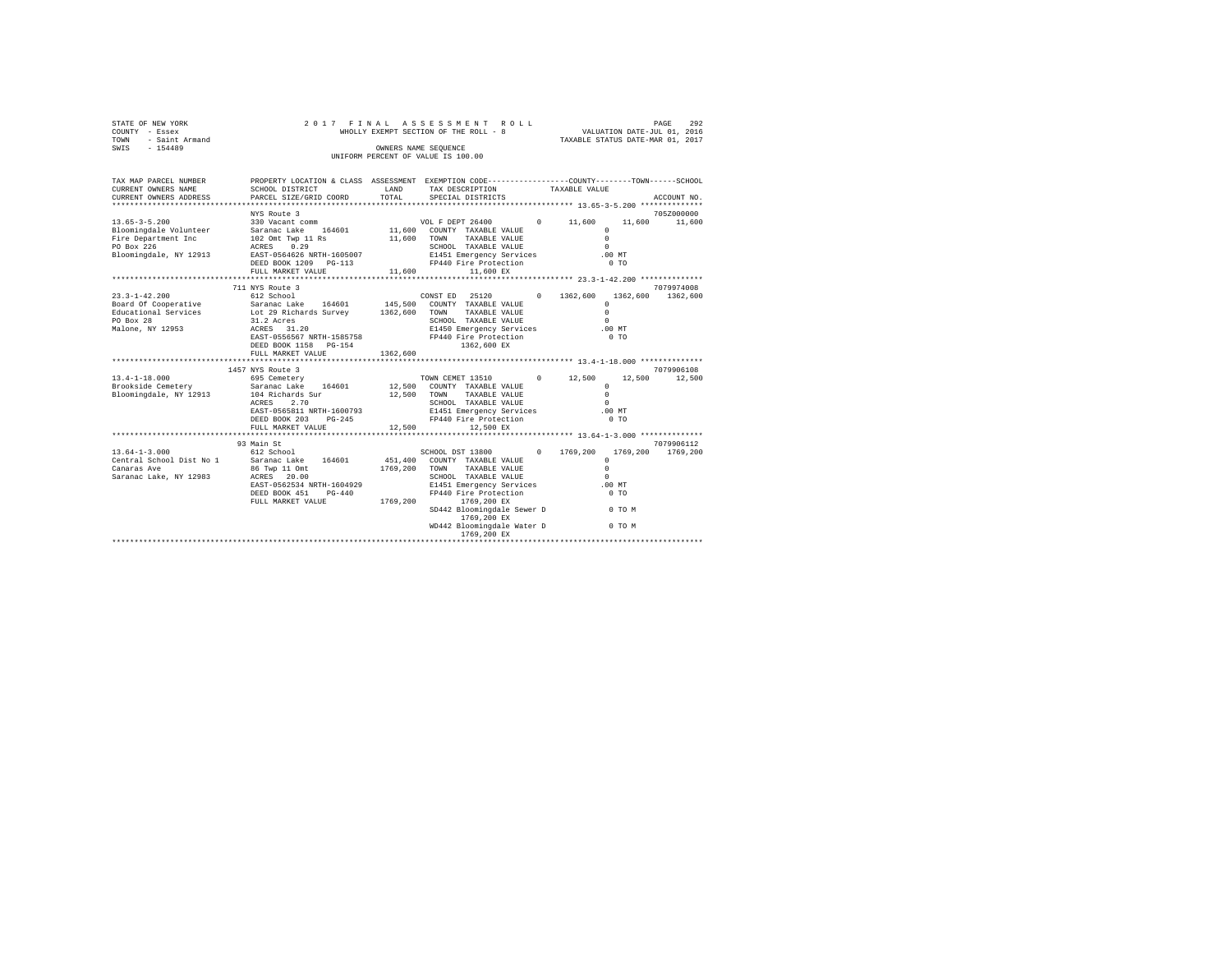| STATE OF NEW YORK<br>COUNTY - Essex<br>TOWN<br>- Saint Armand<br>$-154489$<br>SWIS                   | 2017 FINAL                                                                                                                                                     |                      | ASSESSMENT ROLL<br>WHOLLY EXEMPT SECTION OF THE ROLL - 8<br>OWNERS NAME SEQUENCE<br>UNIFORM PERCENT OF VALUE IS 100.00                                                                                                                                          |                      | VALUATION DATE-JUL 01, 2016<br>TAXABLE STATUS DATE-MAR 01, 2017                                            | PAGE<br>292            |
|------------------------------------------------------------------------------------------------------|----------------------------------------------------------------------------------------------------------------------------------------------------------------|----------------------|-----------------------------------------------------------------------------------------------------------------------------------------------------------------------------------------------------------------------------------------------------------------|----------------------|------------------------------------------------------------------------------------------------------------|------------------------|
| TAX MAP PARCEL NUMBER<br>CURRENT OWNERS NAME<br>CURRENT OWNERS ADDRESS                               | PROPERTY LOCATION & CLASS ASSESSMENT EXEMPTION CODE---------------COUNTY-------TOWN------SCHOOL<br>SCHOOL DISTRICT<br>PARCEL SIZE/GRID COORD                   | LAND<br>TOTAL        | TAX DESCRIPTION<br>SPECIAL DISTRICTS                                                                                                                                                                                                                            |                      | TAXABLE VALUE                                                                                              | ACCOUNT NO.            |
|                                                                                                      | NYS Route 3                                                                                                                                                    |                      |                                                                                                                                                                                                                                                                 |                      |                                                                                                            | 705Z000000             |
| $13.65 - 3 - 5.200$                                                                                  | 330 Vacant comm                                                                                                                                                |                      | VOL F DEPT 26400                                                                                                                                                                                                                                                | $0 \t 11.600$        | 11,600                                                                                                     | 11,600                 |
| Bloomingdale Volunteer<br>Fire Department Inc<br>PO Box 226<br>Bloomingdale, NY 12913                | Saranac Lake 164601<br>102 Omt Twp 11 Rs<br>ACRES 0.29<br>EAST-0564626 NRTH-1605007<br>DEED BOOK 1209 PG-113                                                   | 11,600               | 11,600 COUNTY TAXABLE VALUE<br>TOWN<br>TAXABLE VALUE<br>SCHOOL TAXABLE VALUE<br>E1451 Emergency Services<br>FP440 Fire Protection                                                                                                                               |                      | $\circ$<br>$\Omega$<br>$\Omega$<br>.00MT<br>0 <sub>T</sub>                                                 |                        |
|                                                                                                      | FULL MARKET VALUE                                                                                                                                              | 11,600               | 11,600 EX                                                                                                                                                                                                                                                       |                      |                                                                                                            |                        |
|                                                                                                      | 711 NYS Route 3                                                                                                                                                |                      |                                                                                                                                                                                                                                                                 |                      |                                                                                                            | 7079974008             |
| $23.3 - 1 - 42.200$<br>Board Of Cooperative<br>Educational Services<br>PO Box 28<br>Malone, NY 12953 | 612 School<br>Saranac Lake 164601<br>Lot 29 Richards Survey 1362,600<br>31.2 Acres<br>ACRES 31.20                                                              |                      | CONST ED 25120<br>145,500 COUNTY TAXABLE VALUE<br>TAXABLE VALUE<br>TOWN<br>SCHOOL TAXABLE VALUE<br>E1450 Emergency Services                                                                                                                                     | $0 \t1362.600$       | $\Omega$<br>$\Omega$<br>$\Omega$<br>.00MT                                                                  | 1362.600 1362.600      |
|                                                                                                      | EAST-0556567 NRTH-1585758<br>DEED BOOK 1158 PG-154<br>FULL MARKET VALUE                                                                                        | 1362,600             | FP440 Fire Protection<br>1362,600 EX                                                                                                                                                                                                                            |                      | $0$ TO                                                                                                     |                        |
|                                                                                                      | 1457 NYS Route 3                                                                                                                                               |                      |                                                                                                                                                                                                                                                                 |                      |                                                                                                            | 7079906108             |
| $13.4 - 1 - 18.000$<br>Brookside Cemetery<br>Bloomingdale, NY 12913                                  | 695 Cemetery<br>Saranac Lake 164601<br>104 Richards Sur<br>2.70<br>ACRES<br>EAST-0565811 NRTH-1600793<br>DEED BOOK 203 PG-245<br>FULL MARKET VALUE             | 12,500<br>12,500     | TOWN CEMET 13510<br>12,500 COUNTY TAXABLE VALUE<br>TOWN<br>TAXABLE VALUE<br>SCHOOL TAXABLE VALUE<br>E1451 Emergency Services<br>FP440 Fire Protection<br>12,500 EX                                                                                              | 12,500<br>$\Omega$   | 12,500<br>$\mathbf{r}$<br>$\Omega$<br>$\Omega$<br>.00 MT<br>0 <sub>T</sub>                                 | 12,500                 |
|                                                                                                      |                                                                                                                                                                |                      |                                                                                                                                                                                                                                                                 |                      |                                                                                                            |                        |
| $13.64 - 1 - 3.000$<br>Central School Dist No 1<br>Canaras Ave<br>Saranac Lake, NY 12983             | 93 Main St<br>612 School<br>Saranac Lake 164601<br>86 Twp 11 Omt<br>ACRES 20.00<br>EAST-0562534 NRTH-1604929<br>DEED BOOK 451<br>$PG-440$<br>FULL MARKET VALUE | 1769,200<br>1769,200 | SCHOOL DST 13800<br>451,400 COUNTY TAXABLE VALUE<br>TOWN<br>TAXABLE VALUE<br>SCHOOL TAXABLE VALUE<br>E1451 Emergency Services<br>FP440 Fire Protection<br>1769,200 EX<br>SD442 Bloomingdale Sewer D<br>1769,200 EX<br>WD442 Bloomingdale Water D<br>1769,200 EX | $\Omega$<br>1769,200 | 1769,200<br>$\Omega$<br>$\Omega$<br>$\Omega$<br>.00MT<br>0 <sub>T</sub><br><b>COMPANY</b> OF TOM<br>0 TO M | 7079906112<br>1769.200 |
|                                                                                                      |                                                                                                                                                                |                      |                                                                                                                                                                                                                                                                 |                      |                                                                                                            |                        |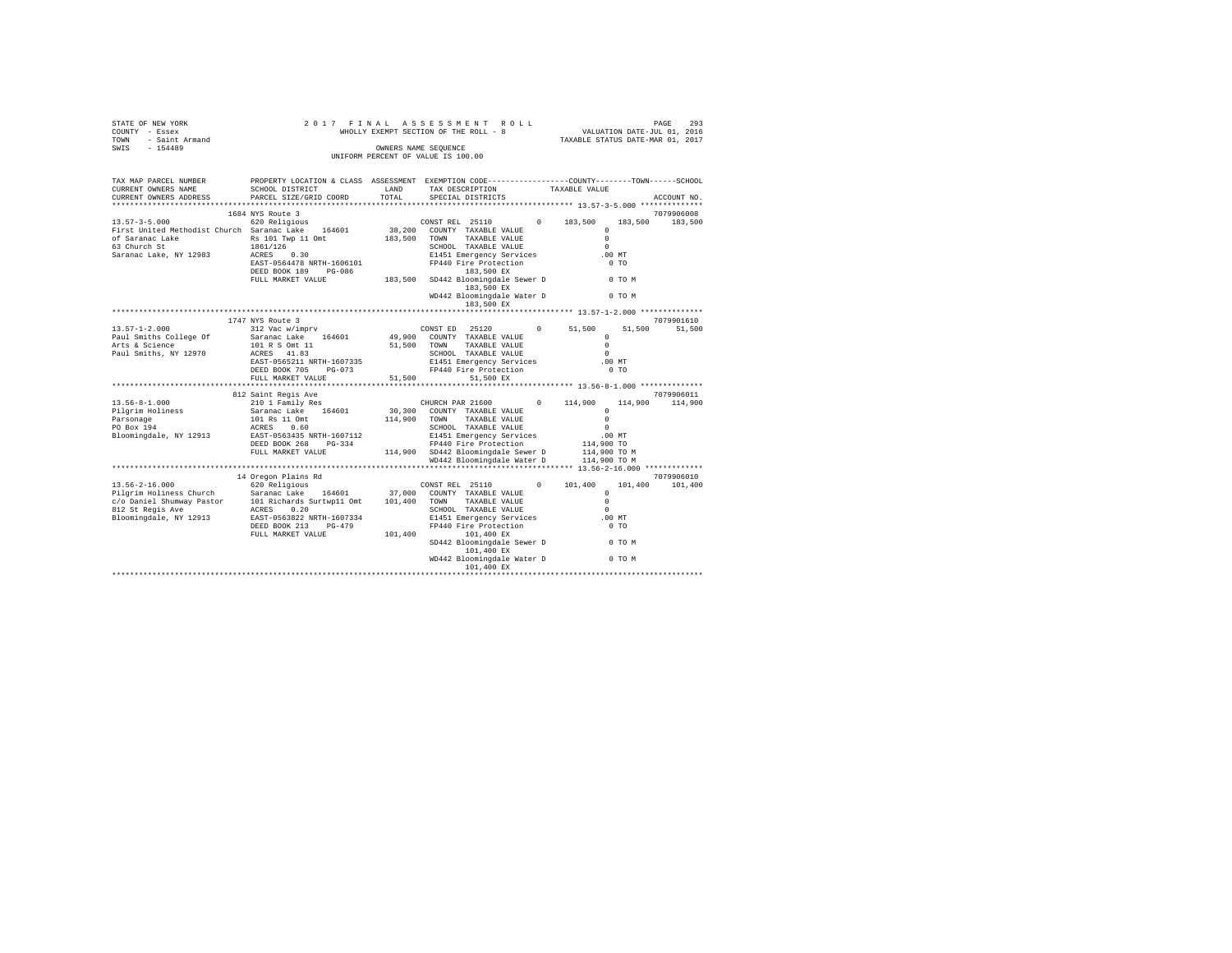| OF NEW YORK<br>- Essex<br>- Saint Armand<br>- 154489<br>STATE OF NEW YORK<br>COUNTY - Essex<br>TOWN                                                                                                                                                                                                                                                                                                                                                            | 2017 FINAL<br>WHOLLY EXEMPT SECTION OF THE ROLL - 8 | PAGE 293<br>VALUATION DATE-JUL 01, 2016<br>TAXABLE STATUS DATE-MAR 01, 2017 |                                                            |                                                                                                                   |                       |
|----------------------------------------------------------------------------------------------------------------------------------------------------------------------------------------------------------------------------------------------------------------------------------------------------------------------------------------------------------------------------------------------------------------------------------------------------------------|-----------------------------------------------------|-----------------------------------------------------------------------------|------------------------------------------------------------|-------------------------------------------------------------------------------------------------------------------|-----------------------|
| SWIS                                                                                                                                                                                                                                                                                                                                                                                                                                                           |                                                     |                                                                             | OWNERS NAME SEQUENCE<br>UNIFORM PERCENT OF VALUE IS 100.00 |                                                                                                                   |                       |
| TAX MAP PARCEL NUMBER<br>CURRENT OWNERS NAME<br>CURRENT OWNERS ADDRESS                                                                                                                                                                                                                                                                                                                                                                                         | SCHOOL DISTRICT<br>PARCEL SIZE/GRID COORD           | LAND<br>TOTAL                                                               | TAX DESCRIPTION<br>SPECIAL DISTRICTS                       | PROPERTY LOCATION & CLASS ASSESSMENT EXEMPTION CODE----------------COUNTY-------TOWN------SCHOOL<br>TAXABLE VALUE | ACCOUNT NO.           |
|                                                                                                                                                                                                                                                                                                                                                                                                                                                                | 1684 NYS Route 3                                    |                                                                             |                                                            |                                                                                                                   | 7079906008            |
| $13.57 - 3 - 5.000$                                                                                                                                                                                                                                                                                                                                                                                                                                            | 620 Religious                                       |                                                                             | CONST REL 25110                                            | $0 \t 183.500$<br>183,500                                                                                         | 183,500               |
| First United Methodist Church Saranac Lake 164601                                                                                                                                                                                                                                                                                                                                                                                                              |                                                     |                                                                             | 38,200 COUNTY TAXABLE VALUE                                | $\Omega$                                                                                                          |                       |
| of Saranac Lake<br>63 Church St                                                                                                                                                                                                                                                                                                                                                                                                                                | Rs 101 Twp 11 Omt                                   | 183,500 TOWN                                                                | TAXABLE VALUE                                              | $\Omega$                                                                                                          |                       |
|                                                                                                                                                                                                                                                                                                                                                                                                                                                                | 1861/126                                            |                                                                             | SCHOOL TAXABLE VALUE                                       | $\Omega$                                                                                                          |                       |
| Saranac Lake, NY 12983                                                                                                                                                                                                                                                                                                                                                                                                                                         | ACRES 0.30                                          |                                                                             | E1451 Emergency Services                                   | $.00$ MT                                                                                                          |                       |
|                                                                                                                                                                                                                                                                                                                                                                                                                                                                |                                                     |                                                                             | FP440 Fire Protection<br>183,500 EX                        | 0 <sub>T</sub>                                                                                                    |                       |
|                                                                                                                                                                                                                                                                                                                                                                                                                                                                |                                                     |                                                                             | SD442 Bloomingdale Sewer D<br>183,500 EX                   | 0 TO M                                                                                                            |                       |
|                                                                                                                                                                                                                                                                                                                                                                                                                                                                |                                                     |                                                                             | WD442 Bloomingdale Water D<br>183,500 EX                   | 0 TO M                                                                                                            |                       |
|                                                                                                                                                                                                                                                                                                                                                                                                                                                                |                                                     |                                                                             |                                                            |                                                                                                                   |                       |
|                                                                                                                                                                                                                                                                                                                                                                                                                                                                | 1747 NYS Route 3                                    |                                                                             |                                                            |                                                                                                                   | 7079901610            |
| $13.57 - 1 - 2.000$                                                                                                                                                                                                                                                                                                                                                                                                                                            | 312 Vac w/imprv                                     |                                                                             | CONST ED 25120<br>$^{\circ}$                               | 51,500<br>51,500<br>$\Omega$                                                                                      | 51,500                |
| Paul Smiths College Of<br>Arts & Science                                                                                                                                                                                                                                                                                                                                                                                                                       | Saranac Lake 164601<br>101 R S Omt 11               |                                                                             | 49,900 COUNTY TAXABLE VALUE<br>51,500 TOWN TAXABLE VALUE   | $\Omega$                                                                                                          |                       |
| Paul Smiths, NY 12970                                                                                                                                                                                                                                                                                                                                                                                                                                          | ACRES 41.83                                         |                                                                             | SCHOOL TAXABLE VALUE                                       | $\Omega$                                                                                                          |                       |
|                                                                                                                                                                                                                                                                                                                                                                                                                                                                | EAST-0565211 NRTH-1607335                           |                                                                             | E1451 Emergency Services                                   | $.00$ MT                                                                                                          |                       |
|                                                                                                                                                                                                                                                                                                                                                                                                                                                                | DEED BOOK 705 PG-073                                |                                                                             | FP440 Fire Protection                                      | 0 <sub>T</sub>                                                                                                    |                       |
|                                                                                                                                                                                                                                                                                                                                                                                                                                                                | FULL MARKET VALUE                                   | 51,500                                                                      | 51,500 EX                                                  |                                                                                                                   |                       |
|                                                                                                                                                                                                                                                                                                                                                                                                                                                                |                                                     |                                                                             |                                                            |                                                                                                                   |                       |
| $13.56 - 8 - 1.000$                                                                                                                                                                                                                                                                                                                                                                                                                                            | 812 Saint Regis Ave<br>210 1 Family Res             |                                                                             | CHURCH PAR 21600<br>$\Omega$                               | 114,900<br>114,900                                                                                                | 7079906011<br>114,900 |
| Pilgrim Holiness                                                                                                                                                                                                                                                                                                                                                                                                                                               |                                                     |                                                                             | 30,300 COUNTY TAXABLE VALUE                                | $\Omega$                                                                                                          |                       |
|                                                                                                                                                                                                                                                                                                                                                                                                                                                                | Saranac Lake 164601<br>101 Rs 11 Omt                |                                                                             | 114,900 TOWN TAXABLE VALUE                                 | $\Omega$                                                                                                          |                       |
| Parsonage<br>PO Box 194                                                                                                                                                                                                                                                                                                                                                                                                                                        | ACRES 0.60                                          |                                                                             | SCHOOL TAXABLE VALUE                                       | $\sim$                                                                                                            |                       |
| Bloomingdale, NY 12913                                                                                                                                                                                                                                                                                                                                                                                                                                         | EAST-0563435 NRTH-1607112                           |                                                                             | E1451 Emergency Services                                   | $.00$ MT                                                                                                          |                       |
|                                                                                                                                                                                                                                                                                                                                                                                                                                                                | DEED BOOK 268 PG-334                                |                                                                             | FP440 Fire Protection                                      | 114,900 TO                                                                                                        |                       |
|                                                                                                                                                                                                                                                                                                                                                                                                                                                                | FULL MARKET VALUE                                   |                                                                             | 114,900 SD442 Bloomingdale Sewer D                         | 114,900 TO M<br>$114,900$ TO M                                                                                    |                       |
|                                                                                                                                                                                                                                                                                                                                                                                                                                                                |                                                     |                                                                             | WD442 Bloomingdale Water D                                 |                                                                                                                   |                       |
|                                                                                                                                                                                                                                                                                                                                                                                                                                                                | 14 Oregon Plains Rd                                 |                                                                             |                                                            |                                                                                                                   | 7079906010            |
| $13.56 - 2 - 16.000$                                                                                                                                                                                                                                                                                                                                                                                                                                           | 620 Religious                                       |                                                                             | CONST REL 25110<br>$\Omega$                                | 101,400<br>101,400                                                                                                | 101,400               |
|                                                                                                                                                                                                                                                                                                                                                                                                                                                                |                                                     |                                                                             |                                                            | $\Omega$                                                                                                          |                       |
| $\begin{tabular}{l c c c c c} \hline \texttt{Pilgrim Holmes Church} & \texttt{Sarnac Lake} & \texttt{164601} & \texttt{37,000} & \texttt{COUNTT TAXABLE VALUE} \\ \hline \texttt{C} & \texttt{Dinalmiumy Pastor} & \texttt{101 Richard Surtwpl1 Omt} & \texttt{101,400} & \texttt{TONNN} & \texttt{TAXABLE VALUE} \\ \hline \texttt{812 St Reg1s Ave} & \texttt{ACES} & \texttt{0.20} & \texttt{0.20} & \texttt{SCHOOL TAXABLE VALUE} \\ \hline \end{tabular}$ |                                                     |                                                                             |                                                            | $\Omega$                                                                                                          |                       |
|                                                                                                                                                                                                                                                                                                                                                                                                                                                                |                                                     |                                                                             | SCHOOL TAXABLE VALUE                                       | $\Omega$                                                                                                          |                       |
| Bloomingdale, NY 12913                                                                                                                                                                                                                                                                                                                                                                                                                                         | EAST-0563822 NRTH-1607334                           |                                                                             | E1451 Emergency Services                                   | .00MT                                                                                                             |                       |
|                                                                                                                                                                                                                                                                                                                                                                                                                                                                | DEED BOOK 213 PG-479<br>FULL MARKET VALUE           | 101,400                                                                     | FP440 Fire Protection<br>101,400 EX                        | 0 <sub>T</sub>                                                                                                    |                       |
|                                                                                                                                                                                                                                                                                                                                                                                                                                                                |                                                     |                                                                             | SD442 Bloomingdale Sewer D<br>101,400 EX                   | 0 TO M                                                                                                            |                       |
|                                                                                                                                                                                                                                                                                                                                                                                                                                                                |                                                     |                                                                             | WD442 Bloomingdale Water D                                 | 0 TO M                                                                                                            |                       |
|                                                                                                                                                                                                                                                                                                                                                                                                                                                                |                                                     |                                                                             |                                                            |                                                                                                                   |                       |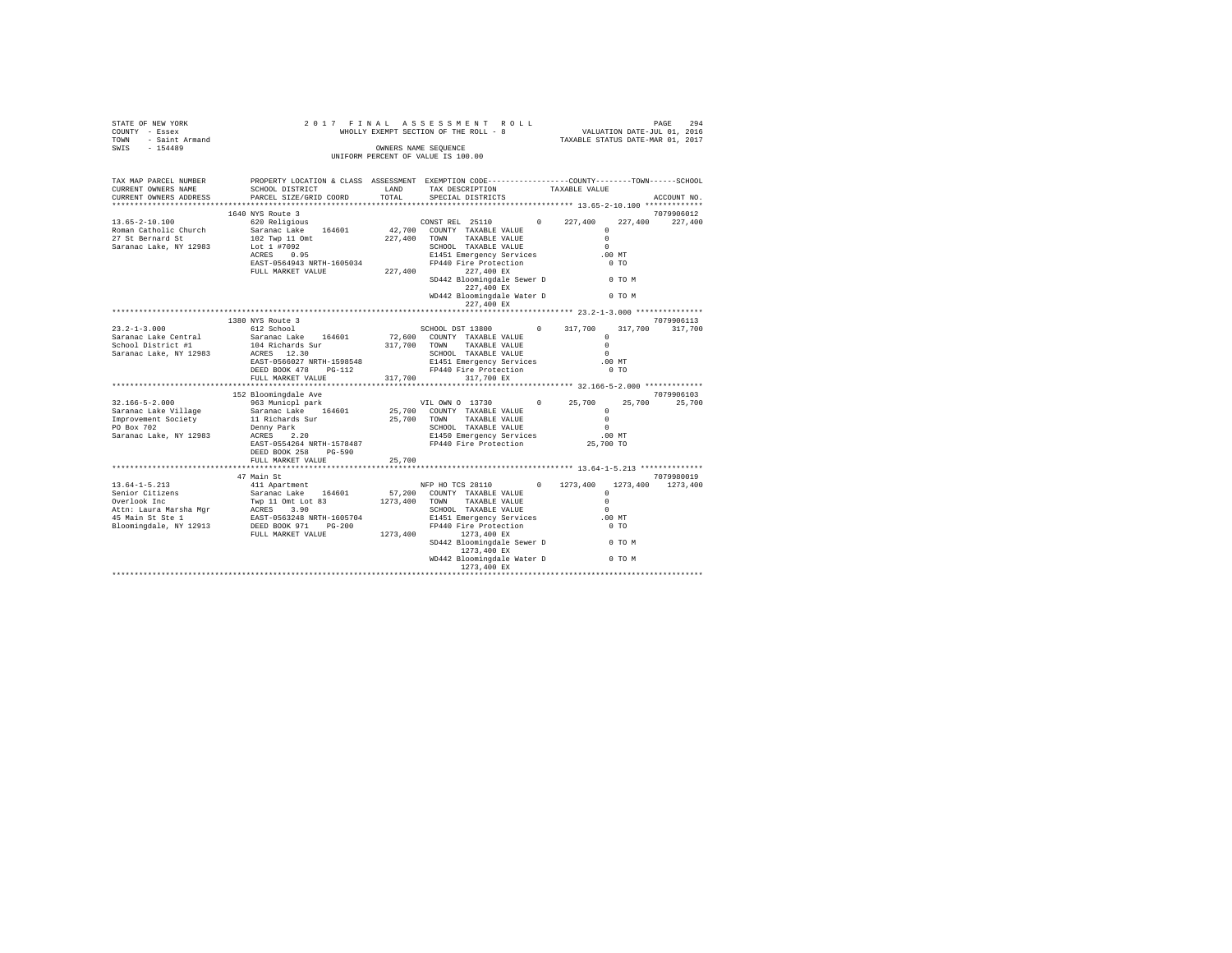| STATE OF NEW YORK<br>COUNTY - Essex<br>TOWN - Saint Armand<br>SWIS - 154489                                                                                                                                                                                                | 2017 FINAL                                                                                                                                                                           | PAGE 294 אפגע PAGE 294 אפגע PAGE 294<br>WHOLLY EXEMPT SECTION OF THE ROLL - 8 און WALUATION DATE-JUL 0.1<br>TAXABLE STATUS DATE-MAR 0.1, 2017 |                                                                                                                                                                                                                                                                                 |          |                   |
|----------------------------------------------------------------------------------------------------------------------------------------------------------------------------------------------------------------------------------------------------------------------------|--------------------------------------------------------------------------------------------------------------------------------------------------------------------------------------|-----------------------------------------------------------------------------------------------------------------------------------------------|---------------------------------------------------------------------------------------------------------------------------------------------------------------------------------------------------------------------------------------------------------------------------------|----------|-------------------|
|                                                                                                                                                                                                                                                                            |                                                                                                                                                                                      |                                                                                                                                               | OWNERS NAME SEQUENCE<br>UNIFORM PERCENT OF VALUE IS 100.00                                                                                                                                                                                                                      |          |                   |
|                                                                                                                                                                                                                                                                            |                                                                                                                                                                                      |                                                                                                                                               |                                                                                                                                                                                                                                                                                 |          |                   |
| TAX MAP PARCEL NUMBER<br>CURRENT OWNERS NAME<br>CURRENT OWNERS ADDRESS                                                                                                                                                                                                     | PROPERTY LOCATION & CLASS ASSESSMENT EXEMPTION CODE---------------COUNTY-------TOWN------SCHOOL<br>SCHOOL DISTRICT<br>PARCEL SIZE/GRID COORD                                         |                                                                                                                                               | ${\small \begin{tabular}{ll} \bf{LAND} \end{tabular} \hspace{0.2in} {\small \begin{tabular}{l} \bf{LAND} \end{tabular} \hspace{0.2in} {\small \begin{tabular}{l} \bf{LAND} \end{tabular} \hspace{0.2in} {\small \begin{tabular}{l} \bf{V}AXABLE} \end{tabular} \end{tabular} }$ |          | ACCOUNT NO.       |
|                                                                                                                                                                                                                                                                            |                                                                                                                                                                                      |                                                                                                                                               |                                                                                                                                                                                                                                                                                 |          |                   |
|                                                                                                                                                                                                                                                                            | 1640 NYS Route 3                                                                                                                                                                     |                                                                                                                                               |                                                                                                                                                                                                                                                                                 |          | 7079906012        |
|                                                                                                                                                                                                                                                                            |                                                                                                                                                                                      |                                                                                                                                               |                                                                                                                                                                                                                                                                                 |          |                   |
|                                                                                                                                                                                                                                                                            |                                                                                                                                                                                      |                                                                                                                                               |                                                                                                                                                                                                                                                                                 |          |                   |
|                                                                                                                                                                                                                                                                            |                                                                                                                                                                                      |                                                                                                                                               |                                                                                                                                                                                                                                                                                 |          |                   |
|                                                                                                                                                                                                                                                                            | 1.0001 1 = 0.95<br>ACRES 0.95<br>ACRES 0.95<br>ENGINE PRESS 0.95<br>ENGINEERING 227,400<br>ENGINEERING 227,400<br>EVILL MARKET VALUE 227,400<br>PLIL MARKET VALUE 227,400<br>227,400 |                                                                                                                                               |                                                                                                                                                                                                                                                                                 |          |                   |
|                                                                                                                                                                                                                                                                            |                                                                                                                                                                                      |                                                                                                                                               |                                                                                                                                                                                                                                                                                 | $.00$ MT |                   |
|                                                                                                                                                                                                                                                                            |                                                                                                                                                                                      |                                                                                                                                               |                                                                                                                                                                                                                                                                                 | $0$ TO   |                   |
|                                                                                                                                                                                                                                                                            |                                                                                                                                                                                      |                                                                                                                                               |                                                                                                                                                                                                                                                                                 |          |                   |
|                                                                                                                                                                                                                                                                            |                                                                                                                                                                                      |                                                                                                                                               | SD442 Bloomingdale Sewer D 0 TO M<br>227,400 EX                                                                                                                                                                                                                                 |          |                   |
|                                                                                                                                                                                                                                                                            |                                                                                                                                                                                      |                                                                                                                                               | WD442 Bloomingdale Water D 0 TO M<br>227,400 EX                                                                                                                                                                                                                                 |          |                   |
|                                                                                                                                                                                                                                                                            |                                                                                                                                                                                      |                                                                                                                                               |                                                                                                                                                                                                                                                                                 |          |                   |
|                                                                                                                                                                                                                                                                            | 1380 NYS Route 3                                                                                                                                                                     |                                                                                                                                               |                                                                                                                                                                                                                                                                                 |          | 7079906113        |
| $23.2 - 1 - 3.000$                                                                                                                                                                                                                                                         | 612 School                                                                                                                                                                           |                                                                                                                                               | SCHOOL DST 13800 0 317,700                                                                                                                                                                                                                                                      |          | 317,700 317,700   |
| Saranac Lake Central                                                                                                                                                                                                                                                       | Saranac Lake 164601                                                                                                                                                                  |                                                                                                                                               | 72,600 COUNTY TAXABLE VALUE                                                                                                                                                                                                                                                     | $\Omega$ |                   |
| School District #1                                                                                                                                                                                                                                                         | 104 Richards Sur<br>ACRES 12.30                                                                                                                                                      |                                                                                                                                               | 317,700 TOWN TAXABLE VALUE                                                                                                                                                                                                                                                      | $\Omega$ |                   |
| Saranac Lake, NY 12983                                                                                                                                                                                                                                                     |                                                                                                                                                                                      |                                                                                                                                               |                                                                                                                                                                                                                                                                                 |          |                   |
|                                                                                                                                                                                                                                                                            |                                                                                                                                                                                      |                                                                                                                                               |                                                                                                                                                                                                                                                                                 |          |                   |
|                                                                                                                                                                                                                                                                            |                                                                                                                                                                                      |                                                                                                                                               | 317,700 317,700 EX                                                                                                                                                                                                                                                              |          |                   |
|                                                                                                                                                                                                                                                                            |                                                                                                                                                                                      |                                                                                                                                               |                                                                                                                                                                                                                                                                                 |          |                   |
|                                                                                                                                                                                                                                                                            | 152 Bloomingdale Ave                                                                                                                                                                 |                                                                                                                                               |                                                                                                                                                                                                                                                                                 |          | 7079906103        |
| $32.166 - 5 - 2.000$                                                                                                                                                                                                                                                       | 963 Municpl park                                                                                                                                                                     |                                                                                                                                               | VIL OWN 0 13730 0 25,700                                                                                                                                                                                                                                                        |          | 25,700 25,700     |
|                                                                                                                                                                                                                                                                            |                                                                                                                                                                                      |                                                                                                                                               |                                                                                                                                                                                                                                                                                 |          |                   |
|                                                                                                                                                                                                                                                                            |                                                                                                                                                                                      |                                                                                                                                               |                                                                                                                                                                                                                                                                                 |          |                   |
|                                                                                                                                                                                                                                                                            |                                                                                                                                                                                      |                                                                                                                                               |                                                                                                                                                                                                                                                                                 |          |                   |
|                                                                                                                                                                                                                                                                            |                                                                                                                                                                                      |                                                                                                                                               |                                                                                                                                                                                                                                                                                 |          |                   |
|                                                                                                                                                                                                                                                                            |                                                                                                                                                                                      |                                                                                                                                               |                                                                                                                                                                                                                                                                                 |          |                   |
|                                                                                                                                                                                                                                                                            | DEED BOOK 258 PG-590                                                                                                                                                                 |                                                                                                                                               |                                                                                                                                                                                                                                                                                 |          |                   |
|                                                                                                                                                                                                                                                                            | FULL MARKET VALUE                                                                                                                                                                    | 25,700                                                                                                                                        |                                                                                                                                                                                                                                                                                 |          |                   |
|                                                                                                                                                                                                                                                                            |                                                                                                                                                                                      |                                                                                                                                               |                                                                                                                                                                                                                                                                                 |          |                   |
|                                                                                                                                                                                                                                                                            | 47 Main St                                                                                                                                                                           |                                                                                                                                               |                                                                                                                                                                                                                                                                                 |          | 7079980019        |
|                                                                                                                                                                                                                                                                            |                                                                                                                                                                                      |                                                                                                                                               |                                                                                                                                                                                                                                                                                 |          | 1273,400 1273,400 |
|                                                                                                                                                                                                                                                                            |                                                                                                                                                                                      |                                                                                                                                               |                                                                                                                                                                                                                                                                                 | $\Omega$ |                   |
|                                                                                                                                                                                                                                                                            |                                                                                                                                                                                      |                                                                                                                                               |                                                                                                                                                                                                                                                                                 |          |                   |
|                                                                                                                                                                                                                                                                            |                                                                                                                                                                                      |                                                                                                                                               |                                                                                                                                                                                                                                                                                 |          |                   |
|                                                                                                                                                                                                                                                                            |                                                                                                                                                                                      |                                                                                                                                               |                                                                                                                                                                                                                                                                                 | $.00$ MT |                   |
| $\begin{tabular}{l c c c c c} \hline 13.64-1-5.213 & 47 Mant & 81 & 844445 & 140445 & 14045 & 14045 & 14045 & 14045 & 14045 & 14045 & 14045 & 14045 & 14045 & 14045 & 14045 & 14045 & 14045 & 14045 & 14045 & 14045 & 14045 & 14045 & 14045 & 14045 & 14045 & 14045 & 140$ |                                                                                                                                                                                      |                                                                                                                                               |                                                                                                                                                                                                                                                                                 | $0$ TO   |                   |
|                                                                                                                                                                                                                                                                            |                                                                                                                                                                                      |                                                                                                                                               | SD442 Bloomingdale Sewer D 0 TO M<br>1273,400 EX                                                                                                                                                                                                                                |          |                   |
|                                                                                                                                                                                                                                                                            |                                                                                                                                                                                      |                                                                                                                                               | WD442 Bloomingdale Water D 0 TO M                                                                                                                                                                                                                                               |          |                   |
|                                                                                                                                                                                                                                                                            |                                                                                                                                                                                      |                                                                                                                                               |                                                                                                                                                                                                                                                                                 |          |                   |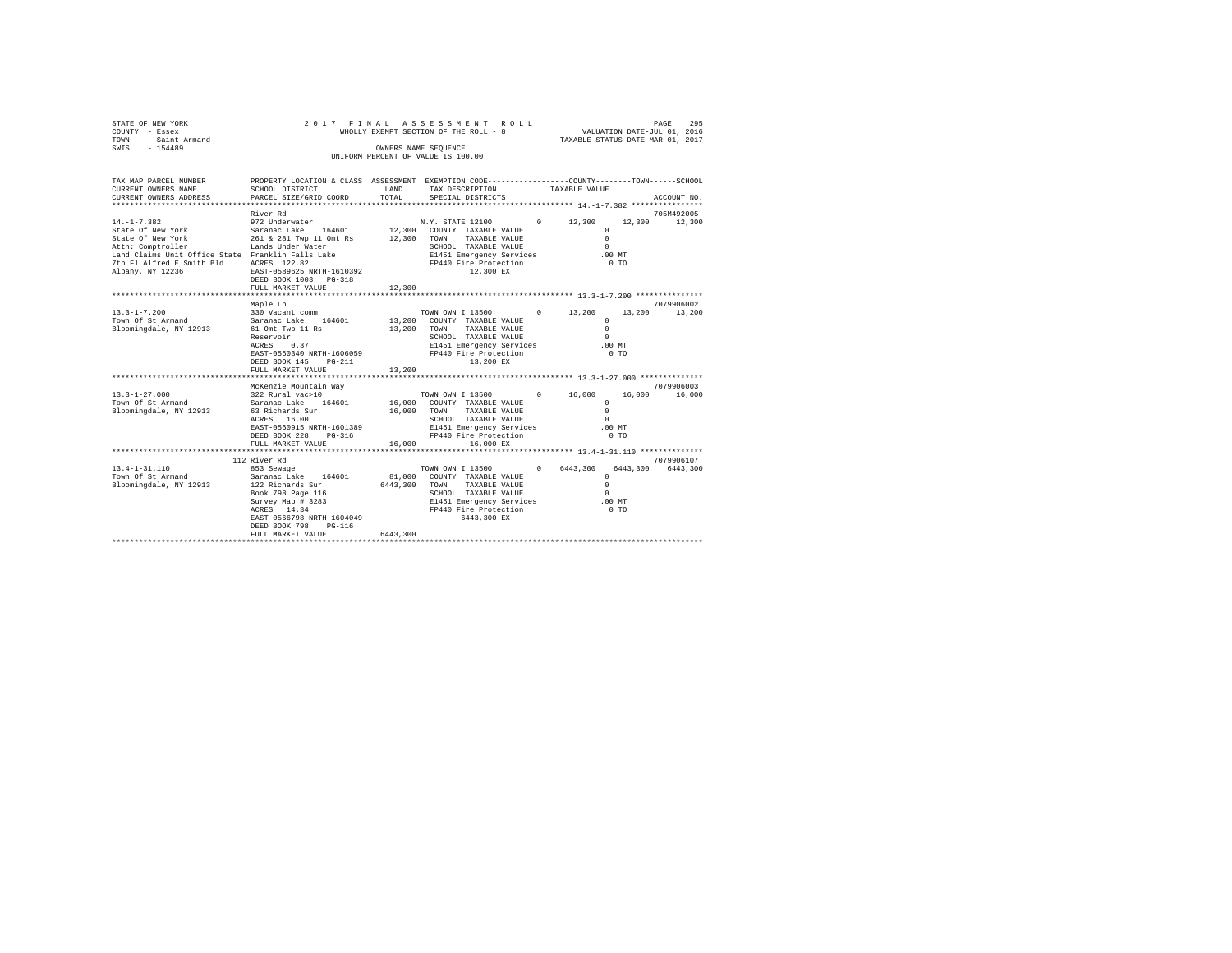| STATE OF NEW YORK<br>COUNTY - Essex<br>TOWN<br>- Saint Armand<br>SWIS - 154489                                                                                         | 2017 FINAL                                                                                                                                                                                                                                                                |               | ASSESSMENT ROLL<br>WHOLLY EXEMPT SECTION OF THE ROLL - 8<br>OWNERS NAME SEOUENCE<br>UNIFORM PERCENT OF VALUE IS 100.00                                                                                     |                                                | 295<br>PAGE<br>VALUATION DATE-JUL 01, 2016<br>TAXABLE STATUS DATE-MAR 01, 2017 |                             |  |
|------------------------------------------------------------------------------------------------------------------------------------------------------------------------|---------------------------------------------------------------------------------------------------------------------------------------------------------------------------------------------------------------------------------------------------------------------------|---------------|------------------------------------------------------------------------------------------------------------------------------------------------------------------------------------------------------------|------------------------------------------------|--------------------------------------------------------------------------------|-----------------------------|--|
|                                                                                                                                                                        |                                                                                                                                                                                                                                                                           |               |                                                                                                                                                                                                            |                                                |                                                                                |                             |  |
| TAX MAP PARCEL NUMBER PROPERTY LOCATION & CLASS ASSESSMENT EXEMPTION CODE---------------COUNTY-------TOWN------SCHOOL<br>CURRENT OWNERS NAME<br>CURRENT OWNERS ADDRESS | SCHOOL DISTRICT<br>PARCEL SIZE/GRID COORD                                                                                                                                                                                                                                 | LAND<br>TOTAL | TAX DESCRIPTION<br>SPECIAL DISTRICTS                                                                                                                                                                       | TAXABLE VALUE                                  |                                                                                | ACCOUNT NO.                 |  |
|                                                                                                                                                                        |                                                                                                                                                                                                                                                                           |               |                                                                                                                                                                                                            |                                                |                                                                                |                             |  |
|                                                                                                                                                                        | River Rd                                                                                                                                                                                                                                                                  |               |                                                                                                                                                                                                            |                                                |                                                                                | 705M492005                  |  |
| $14. -1 - 7.382$                                                                                                                                                       | 972 Underwater<br>DEED BOOK 1003 PG-318<br>FULL MARKET VALUE                                                                                                                                                                                                              | 12,300        | N.Y. STATE 12100 0 12,300<br>E1451 Emergency Services<br>FP440 Fire Protection<br>12,300 EX                                                                                                                |                                                | $\circ$<br>$\Omega$<br>$\Omega$<br>$.00$ MT<br>$0$ TO                          | 12,300 12,300               |  |
|                                                                                                                                                                        |                                                                                                                                                                                                                                                                           |               |                                                                                                                                                                                                            |                                                |                                                                                |                             |  |
|                                                                                                                                                                        | Maple Ln                                                                                                                                                                                                                                                                  |               |                                                                                                                                                                                                            |                                                |                                                                                | 7079906002                  |  |
| $13.3 - 1 - 7.200$<br>Town Of St Armand<br>Bloomingdale, NY 12913                                                                                                      | 330 Vacant comm<br>Saranac Lake 164601<br>61 Omt Twp 11 Rs<br>Reservoir<br>$ACRES$ 0.37<br>EAST-0560340 NRTH-1606059 FP440 Fire Protection<br>DEED BOOK 145 PG-211<br>FULL MARKET VALUE                                                                                   | 13,200        | TOWN OWN I 13500 0 13,200<br>13,200 COUNTY TAXABLE VALUE<br>13,200 TOWN TAXABLE VALUE<br>SCHOOL TAXABLE VALUE<br>E1451 Emergency Services<br>13,200 EX                                                     |                                                | $\Omega$<br>$\Omega$<br>$\Omega$<br>$.00$ MT<br>$0$ TO                         | 13,200 13,200               |  |
|                                                                                                                                                                        | *************************                                                                                                                                                                                                                                                 |               |                                                                                                                                                                                                            |                                                |                                                                                |                             |  |
| $13.3 - 1 - 27.000$<br>Town Of St Armand<br>Bloomingdale, NY 12913                                                                                                     | McKenzie Mountain Way<br>322 Rural vac>10<br>Saranac Lake 164601<br>63 Richards Sur<br>ACRES 16.00<br>EAST-0560915 NRTH-1601389<br>DEED BOOK 228 PG-316<br>FULL MARKET VALUE                                                                                              | 16,000        | TOWN OWN I 13500 0 16,000<br>16,000 COUNTY TAXABLE VALUE<br>16,000 TOWN TAXABLE VALUE<br>SCHOOL TAXABLE VALUE<br>E1451 Emergency Services<br>E1451 Emergency Services<br>FP440 Eire Brotoctic<br>16,000 EX |                                                | $\mathbf{r}$<br>$\Omega$<br>$\Omega$<br>$.00$ MT<br>0 <sub>T</sub>             | 7079906003<br>16,000 16,000 |  |
|                                                                                                                                                                        | *************************                                                                                                                                                                                                                                                 |               |                                                                                                                                                                                                            | **************** 13.4-1-31.110 *************** |                                                                                |                             |  |
| $13.4 - 1 - 31.110$<br>Town Of St Armand<br>Bloomingdale, NY 12913                                                                                                     | 112 River Rd<br>853 Sewage<br>our Common Saranac Lake 164601<br>Saranac Lake 164601 81,000 COUNTY TAXABLE VALUE<br>122 Richards Sur<br>Book 798 Page 116<br>Survey Map # 3283<br>ACRES 14.34<br>EAST-0566798 NRTH-1604049<br>DEED BOOK 798<br>PG-116<br>FULL MARKET VALUE | 6443,300      | TOWN OWN I 13500 0 6443.300<br>6443,300 TOWN TAXABLE VALUE<br>SCHOOL TAXABLE VALUE<br>SCHOOL IMANUM<br>E1451 Emergency Services<br>FP440 Fire Protection<br>6443,300 EX                                    |                                                | 6443,300<br>$\Omega$<br>$\Omega$<br>$\Omega$<br>$.00$ MT<br>0 <sub>T</sub>     | 7079906107<br>6443.300      |  |
|                                                                                                                                                                        | **************************                                                                                                                                                                                                                                                |               |                                                                                                                                                                                                            |                                                |                                                                                |                             |  |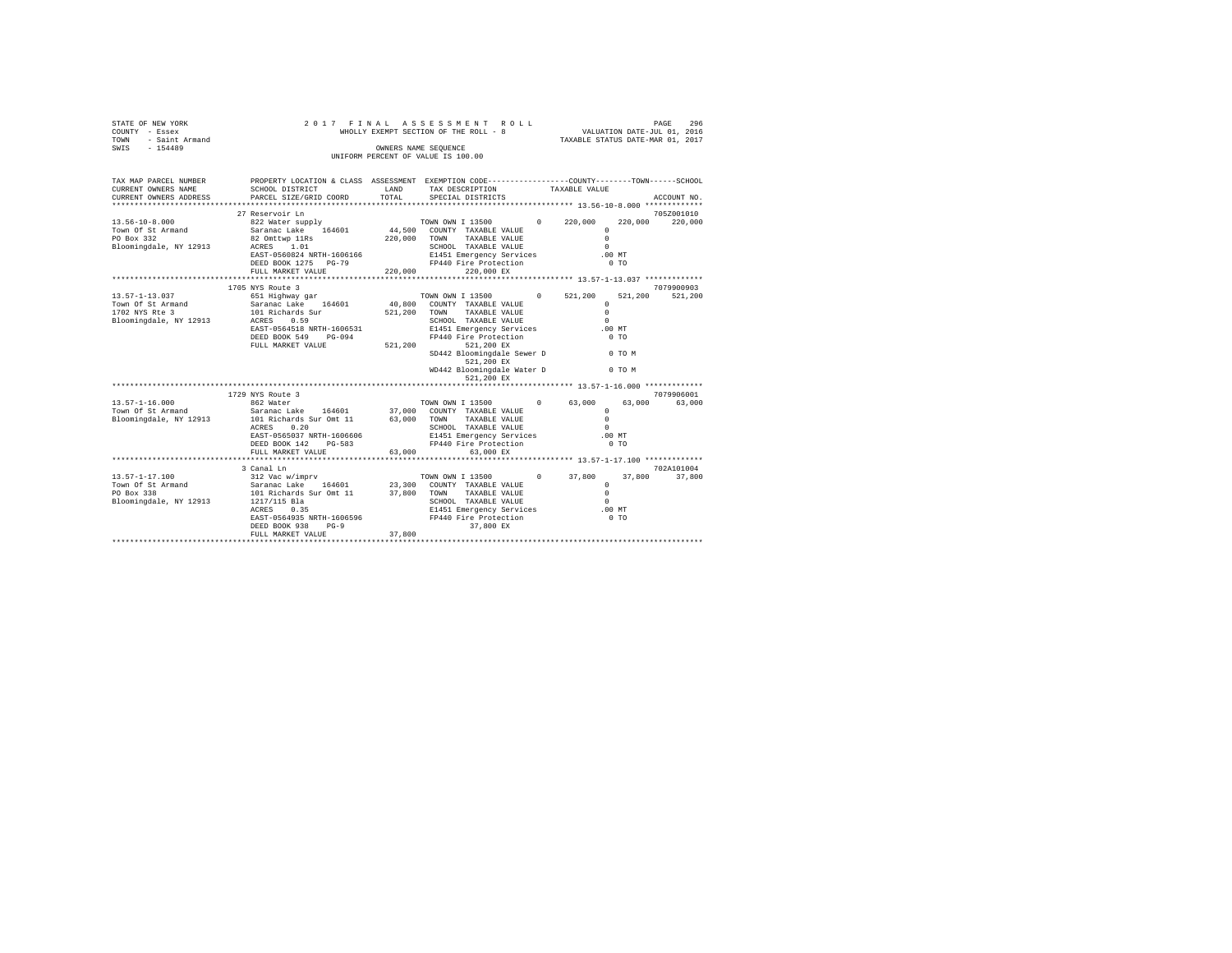|                                               | $\begin{tabular}{lcccc} \texttt{STATE} & \texttt{OF} & \texttt{NEW} & \texttt{VORE} & \texttt{9} & \texttt{1} & \texttt{0} & \texttt{0} \\ \texttt{COUNT} & - & \texttt{Eseex} & & & & & & & & \texttt{WHC} \\ \texttt{TOWN} & - & \texttt{Saint} & \texttt{Armand} & & & & & & & \texttt{WHC} \\ \texttt{SWIS} & - & 154489 & & & & & & & & \texttt{UNIF} \\ \end{tabular}$ |               | 2017 FINAL ASSESSMENT ROLL<br>WHOLLY EXEMPT SECTION OF THE ROLL - 8       | PAGE 296<br>VALUATION DATE-JUL 01, 2016<br>TAXABLE STATUS DATE-MAR 01, 2017 |                                |  |
|-----------------------------------------------|------------------------------------------------------------------------------------------------------------------------------------------------------------------------------------------------------------------------------------------------------------------------------------------------------------------------------------------------------------------------------|---------------|---------------------------------------------------------------------------|-----------------------------------------------------------------------------|--------------------------------|--|
|                                               |                                                                                                                                                                                                                                                                                                                                                                              |               | OWNERS NAME SEOUENCE<br>UNIFORM PERCENT OF VALUE IS 100.00                |                                                                             |                                |  |
|                                               |                                                                                                                                                                                                                                                                                                                                                                              |               |                                                                           |                                                                             |                                |  |
|                                               | TAX MAP PARCEL NUMBER PROPERTY LOCATION & CLASS ASSESSMENT EXEMPTION CODE---------------COUNTY-------TOWN------SCHOOL                                                                                                                                                                                                                                                        |               |                                                                           |                                                                             |                                |  |
| CURRENT OWNERS NAME<br>CURRENT OWNERS ADDRESS | SCHOOL DISTRICT                                                                                                                                                                                                                                                                                                                                                              | LAND<br>TOTAL | TAX DESCRIPTION                                                           | TAXABLE VALUE                                                               |                                |  |
|                                               | PARCEL SIZE/GRID COORD                                                                                                                                                                                                                                                                                                                                                       |               | SPECIAL DISTRICTS                                                         |                                                                             | ACCOUNT NO.                    |  |
|                                               | 27 Reservoir Ln                                                                                                                                                                                                                                                                                                                                                              |               |                                                                           |                                                                             | 705Z001010                     |  |
| $13.56 - 10 - 8.000$                          |                                                                                                                                                                                                                                                                                                                                                                              |               | TOWN OWN I 13500 0 220,000                                                |                                                                             | 220,000<br>220,000             |  |
| Town Of St Armand                             | 822 Water supply<br>Saranac Lake 164601                                                                                                                                                                                                                                                                                                                                      |               | 44,500 COUNTY TAXABLE VALUE                                               | $\circ$                                                                     |                                |  |
|                                               | PO Box 332 82 Omttwp 11Rs<br>Bloomingdale, NY 12913 ACRES 1.01                                                                                                                                                                                                                                                                                                               |               | 220,000 TOWN TAXABLE VALUE                                                | $\Omega$                                                                    |                                |  |
|                                               |                                                                                                                                                                                                                                                                                                                                                                              |               | SCHOOL TAXABLE VALUE<br>E1451 Emergency Services<br>FP440 Fire Protection | $\Omega$                                                                    |                                |  |
|                                               | EAST-0560824 NRTH-1606166                                                                                                                                                                                                                                                                                                                                                    |               |                                                                           | $.00$ MT                                                                    |                                |  |
|                                               | DEED BOOK 1275 PG-79                                                                                                                                                                                                                                                                                                                                                         |               |                                                                           | $0$ TO                                                                      |                                |  |
|                                               | FULL MARKET VALUE                                                                                                                                                                                                                                                                                                                                                            | 220,000       | 220,000 EX                                                                |                                                                             |                                |  |
|                                               | 1705 NYS Route 3                                                                                                                                                                                                                                                                                                                                                             |               |                                                                           |                                                                             | 7079900903                     |  |
| 13.57-1-13.037                                |                                                                                                                                                                                                                                                                                                                                                                              |               |                                                                           |                                                                             | 521,200                        |  |
|                                               |                                                                                                                                                                                                                                                                                                                                                                              |               |                                                                           | $\circ$                                                                     |                                |  |
|                                               | Town Of St Armand Saranac Lake 164601 40,800 COUNTY TAXABLE VALUE 1702 NYS Rte 3 101 Richards Sur 521,200 TOWN TAXABLE VALUE                                                                                                                                                                                                                                                 |               |                                                                           | $\Omega$                                                                    |                                |  |
|                                               | Bloomingdale, NY 12913 ACRES 0.59                                                                                                                                                                                                                                                                                                                                            |               | SCHOOL TAXABLE VALUE<br>E1451 Emergency Services                          | $\Omega$                                                                    |                                |  |
|                                               | EAST-0564518 NRTH-1606531                                                                                                                                                                                                                                                                                                                                                    |               |                                                                           | .00MT                                                                       |                                |  |
|                                               | DEED BOOK 549 PG-094                                                                                                                                                                                                                                                                                                                                                         |               | FP440 Fire Protection                                                     | $0$ TO                                                                      |                                |  |
|                                               | FULL MARKET VALUE 521,200                                                                                                                                                                                                                                                                                                                                                    |               | 521,200 EX                                                                |                                                                             |                                |  |
|                                               |                                                                                                                                                                                                                                                                                                                                                                              |               | SD442 Bloomingdale Sewer D 0 TO M                                         |                                                                             |                                |  |
|                                               |                                                                                                                                                                                                                                                                                                                                                                              |               | 521,200 EX                                                                |                                                                             |                                |  |
|                                               |                                                                                                                                                                                                                                                                                                                                                                              |               | WD442 Bloomingdale Water D 0 TO M                                         |                                                                             |                                |  |
|                                               |                                                                                                                                                                                                                                                                                                                                                                              |               | 521,200 EX                                                                |                                                                             |                                |  |
|                                               | 1729 NYS Route 3                                                                                                                                                                                                                                                                                                                                                             |               |                                                                           |                                                                             | 7079906001                     |  |
| $13.57 - 1 - 16.000$                          | 862 Water                                                                                                                                                                                                                                                                                                                                                                    |               | TOWN OWN I 13500 0 63,000                                                 |                                                                             | 63,000<br>63,000               |  |
| Town Of St Armand                             | Saranac Lake 164601                                                                                                                                                                                                                                                                                                                                                          |               |                                                                           | $\mathbf{r}$                                                                |                                |  |
| Bloomingdale, NY 12913                        | 101 Richards Sur Omt 11                                                                                                                                                                                                                                                                                                                                                      |               | 37,000 COUNTY TAXABLE VALUE<br>63,000 TOWN TAXABLE VALUE                  | $\Omega$                                                                    |                                |  |
|                                               | ACRES 0.20                                                                                                                                                                                                                                                                                                                                                                   |               | SCHOOL TAXABLE VALUE                                                      | $\Omega$                                                                    |                                |  |
|                                               | EAST-0565037 NRTH-1606606                                                                                                                                                                                                                                                                                                                                                    |               | E1451 Emergency Services .00 MT                                           |                                                                             |                                |  |
|                                               | DEED BOOK 142 PG-583                                                                                                                                                                                                                                                                                                                                                         |               | FP440 Fire Protection                                                     | $0$ TO                                                                      |                                |  |
|                                               | FULL MARKET VALUE                                                                                                                                                                                                                                                                                                                                                            | 63,000        | 63,000 EX                                                                 |                                                                             |                                |  |
|                                               |                                                                                                                                                                                                                                                                                                                                                                              |               | ********************************** 13.57-1-17.100 *************           |                                                                             |                                |  |
| 13.57-1-17.100                                | 3 Canal Ln<br>312 Vac w/imprv                                                                                                                                                                                                                                                                                                                                                |               | TOWN OWN I 13500 0 37,800                                                 |                                                                             | 702A101004<br>37,800<br>37,800 |  |
|                                               |                                                                                                                                                                                                                                                                                                                                                                              |               |                                                                           | $\Omega$                                                                    |                                |  |
| Town Of St Armand<br>PO Box 338               | Saranac Lake     164601                 23,300   COUNTY  TAXABLE VALUE<br>101 Richards Sur Omt 11            37,800    TOWN      TAXABLE VALUE                                                                                                                                                                                                                               |               |                                                                           | $\Omega$                                                                    |                                |  |
| Bloomingdale, NY 12913                        | 1217/115 Bla                                                                                                                                                                                                                                                                                                                                                                 |               | SCHOOL TAXABLE VALUE                                                      | $\Omega$                                                                    |                                |  |
|                                               | 1217/115 Bla<br>ACRES 0.35                                                                                                                                                                                                                                                                                                                                                   |               | E1451 Emergency Services 60 0 MT<br>FP440 Fire Protection 60 TO           |                                                                             |                                |  |
|                                               | EAST-0564935 NRTH-1606596                                                                                                                                                                                                                                                                                                                                                    |               |                                                                           |                                                                             |                                |  |
|                                               | DEED BOOK 938<br>$PG-9$                                                                                                                                                                                                                                                                                                                                                      |               | 37,800 EX                                                                 |                                                                             |                                |  |
|                                               | FULL MARKET VALUE                                                                                                                                                                                                                                                                                                                                                            | 37,800        |                                                                           |                                                                             |                                |  |
|                                               | *************************                                                                                                                                                                                                                                                                                                                                                    |               |                                                                           |                                                                             |                                |  |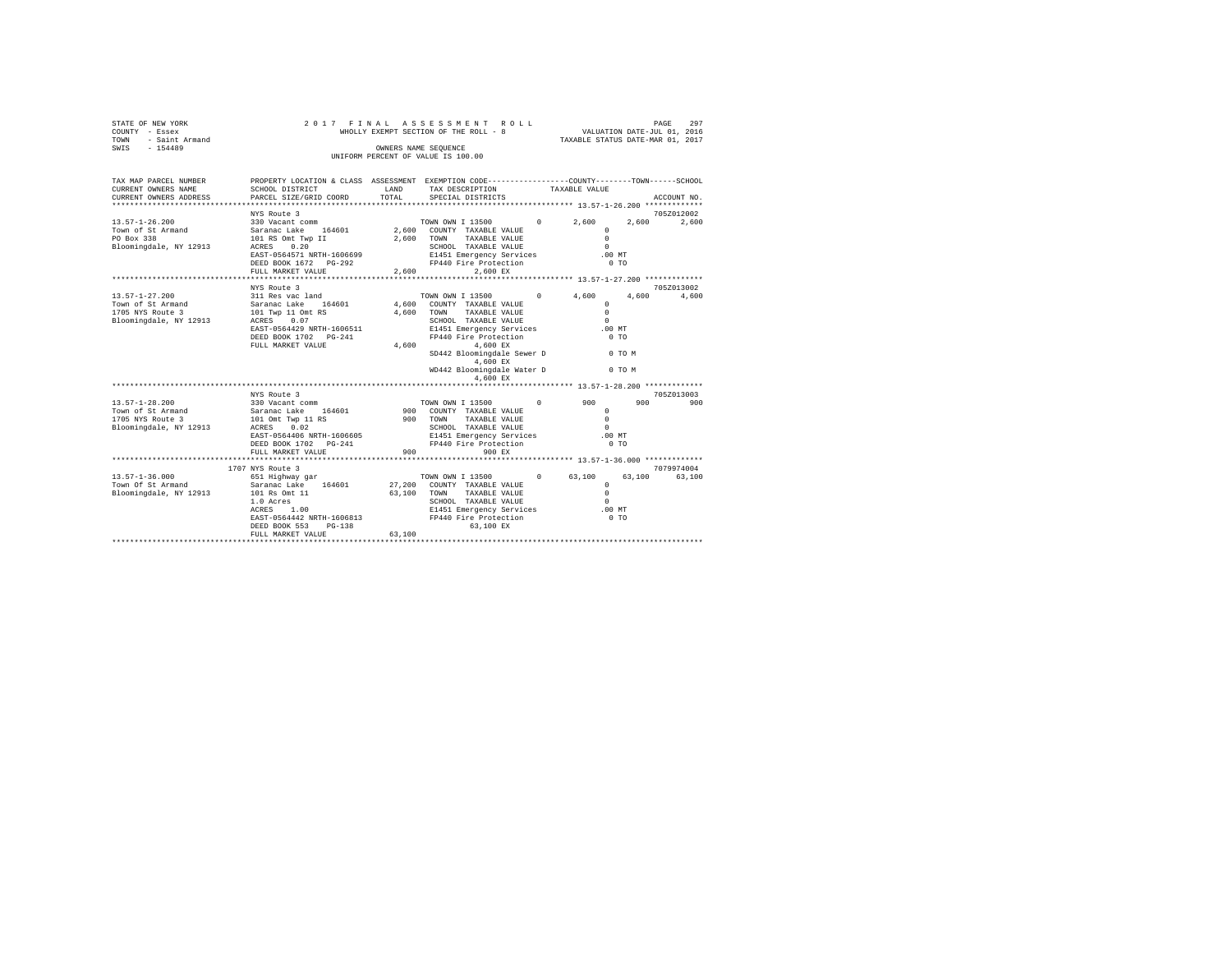| STATE OF NEW YORK<br>- Essex<br>COUNTY<br>- Saint Armand<br>TOWN<br>$-154489$<br>SWIS | 2017 FINAL<br>WHOLLY EXEMPT SECTION OF THE ROLL - 8<br>UNIFORM PERCENT OF VALUE IS 100.00 | ASSESSMENT ROLL             | 297<br>PAGE<br>VALUATION DATE-JUL 01, 2016<br>TAXABLE STATUS DATE-MAR 01, 2017                       |                   |                |
|---------------------------------------------------------------------------------------|-------------------------------------------------------------------------------------------|-----------------------------|------------------------------------------------------------------------------------------------------|-------------------|----------------|
| TAX MAP PARCEL NUMBER<br>CURRENT OWNERS NAME<br>CURRENT OWNERS ADDRESS                | PROPERTY LOCATION & CLASS<br>SCHOOL DISTRICT<br>PARCEL SIZE/GRID COORD                    | ASSESSMENT<br>LAND<br>TOTAL | EXEMPTION CODE-----------------COUNTY-------TOWN------SCHOOL<br>TAX DESCRIPTION<br>SPECIAL DISTRICTS | TAXABLE VALUE     | ACCOUNT NO.    |
|                                                                                       |                                                                                           |                             |                                                                                                      |                   |                |
|                                                                                       | NYS Route 3                                                                               |                             |                                                                                                      |                   | 705Z012002     |
| $13.57 - 1 - 26.200$                                                                  | 330 Vacant comm                                                                           |                             | TOWN OWN I 13500                                                                                     | $\Omega$<br>2,600 | 2,600<br>2,600 |
| Town of St Armand                                                                     | 164601<br>Saranac Lake                                                                    | 2,600                       | COUNTY<br>TAXABLE VALUE                                                                              |                   |                |
| PO Box 338                                                                            | 101 RS Omt Twp II                                                                         | 2,600                       | TOWN<br>TAXABLE VALUE                                                                                |                   |                |
| Bloomingdale, NY 12913                                                                | 0.20<br>ACRES                                                                             |                             | SCHOOL<br>TAXABLE VALUE                                                                              | $\Omega$          |                |
|                                                                                       | EAST-0564571 NRTH-1606699                                                                 |                             | E1451 Emergency Services                                                                             | .00MT             |                |
|                                                                                       | DEED BOOK 1672<br>$PG-292$                                                                |                             | FP440 Fire Protection                                                                                |                   | 0 <sub>T</sub> |

|                                                                                         | DESD BUOR 1072 PG-292<br>FULL MARKET VALUE                                                                                                               | PRESU PILE PLOLECLION<br>2.600<br>2.600 EX                                                                                                                                                                                                                                           | U 1 U                                                                                            |                   |
|-----------------------------------------------------------------------------------------|----------------------------------------------------------------------------------------------------------------------------------------------------------|--------------------------------------------------------------------------------------------------------------------------------------------------------------------------------------------------------------------------------------------------------------------------------------|--------------------------------------------------------------------------------------------------|-------------------|
|                                                                                         | NYS Route 3                                                                                                                                              |                                                                                                                                                                                                                                                                                      |                                                                                                  | 705Z013002        |
| $13.57 - 1 - 27.200$<br>Town of St Armand<br>1705 NYS Route 3<br>Bloomingdale, NY 12913 | 311 Res vac land<br>164601<br>Saranac Lake<br>101 Twp 11 Omt RS<br>ACRES 0.07<br>EAST-0564429 NRTH-1606511<br>DEED BOOK 1702 PG-241<br>FULL MARKET VALUE | TOWN OWN I 13500<br>$\circ$<br>4,600<br>COUNTY TAXABLE VALUE<br>4,600<br>TOWN<br>TAXABLE VALUE<br>SCHOOL TAXABLE VALUE<br>E1451 Emergency Services<br>FP440 Fire Protection<br>4,600<br>4.600 EX<br>SD442 Bloomingdale Sewer D<br>4.600 EX<br>WD442 Bloomingdale Water D<br>4.600 EX | 4,600<br>4,600<br>$\mathbf{r}$<br>$\Omega$<br>$\Omega$<br>$.00$ MT<br>0.70<br>$0$ TO M<br>0 TO M | 4,600             |
|                                                                                         |                                                                                                                                                          |                                                                                                                                                                                                                                                                                      |                                                                                                  |                   |
| $13.57 - 1 - 28.200$                                                                    | NYS Route 3<br>330 Vacant comm                                                                                                                           | TOWN OWN I 13500<br>$^{\circ}$                                                                                                                                                                                                                                                       | 900<br>900                                                                                       | 705Z013003<br>900 |
| Town of St Armand<br>1705 NYS Route 3<br>Bloomingdale, NY 12913                         | Saranac Lake 164601<br>101 Omt Twp 11 RS<br>0.02<br>ACRES<br>EAST-0564406 NRTH-1606605                                                                   | 900 COUNTY TAXABLE VALUE<br>900<br>TOWN<br>TAXABLE VALUE<br>SCHOOL TAXABLE VALUE<br>E1451 Emergency Services<br>FP440 Fire Protection                                                                                                                                                | $\mathbf{r}$<br>$\mathbf{r}$<br>$\Omega$<br>.00MT<br>0.70                                        |                   |
|                                                                                         | FULL MARKET VALUE                                                                                                                                        | 900<br>900 RX                                                                                                                                                                                                                                                                        |                                                                                                  |                   |
|                                                                                         | 1707 NYS Route 3                                                                                                                                         |                                                                                                                                                                                                                                                                                      |                                                                                                  | 7079974004        |
| $13.57 - 1 - 36.000$<br>Town Of St Armand<br>Bloomingdale, NY 12913                     | 651 Highway gar<br>164601<br>Saranac Lake<br>101 Rs Omt 11<br>1.0 Acres<br>ACRES 1.00<br>EAST-0564442 NRTH-1606813<br>DEED BOOK 553<br>$PG-138$          | TOWN OWN I 13500<br>$\circ$<br>27,200 COUNTY TAXABLE VALUE<br>TOWN<br>63,100<br>TAXABLE VALUE<br>SCHOOL TAXABLE VALUE<br>E1451 Emergency Services<br>FP440 Fire Protection<br>63,100 EX<br>$\sim$ 100                                                                                | 63,100<br>63,100<br>$\mathbf{r}$<br>$\Omega$<br>$\Omega$<br>$.00$ MT<br>0.70                     | 63,100            |

FULL MARKET VALUE 63,100 \*\*\*\*\*\*\*\*\*\*\*\*\*\*\*\*\*\*\*\*\*\*\*\*\*\*\*\*\*\*\*\*\*\*\*\*\*\*\*\*\*\*\*\*\*\*\*\*\*\*\*\*\*\*\*\*\*\*\*\*\*\*\*\*\*\*\*\*\*\*\*\*\*\*\*\*\*\*\*\*\*\*\*\*\*\*\*\*\*\*\*\*\*\*\*\*\*\*\*\*\*\*\*\*\*\*\*\*\*\*\*\*\*\*\*\*\*\*\*\*\*\*\*\*\*\*\*\*\*\*\*\*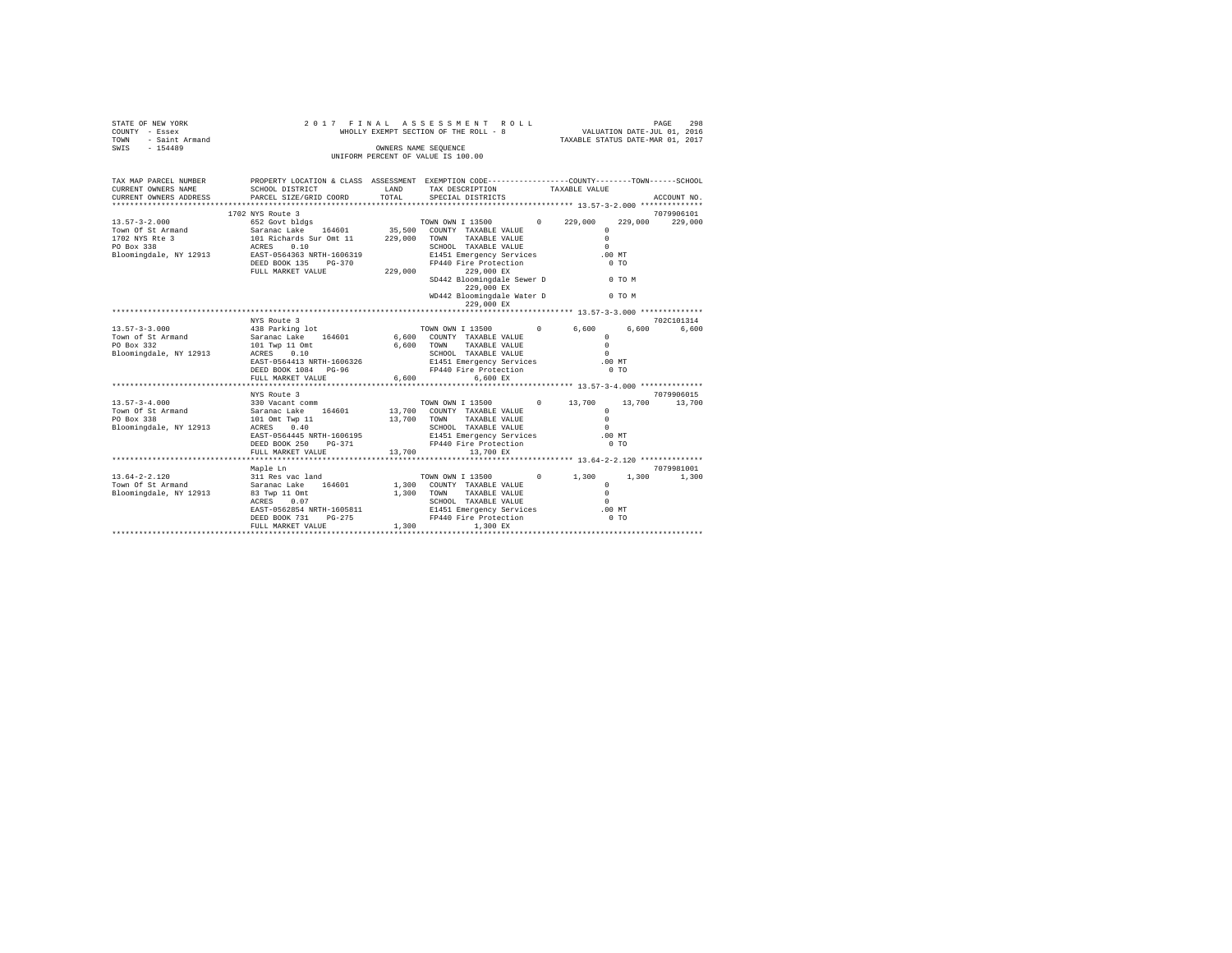| STATE OF NEW YORK<br>COUNTY - Essex<br>- Saint Armand<br>TOWN                                                                                                             | 2017 FINAL<br>WHOLLY EXEMPT SECTION OF THE ROLL - 8 | ASSESSMENT ROLL | 298<br>PAGE<br>VALUATION DATE-JUL 01, 2016<br>TAXABLE STATUS DATE-MAR 01, 2017 |                        |                |             |
|---------------------------------------------------------------------------------------------------------------------------------------------------------------------------|-----------------------------------------------------|-----------------|--------------------------------------------------------------------------------|------------------------|----------------|-------------|
| SWIS - 154489                                                                                                                                                             |                                                     |                 | OWNERS NAME SEQUENCE<br>UNIFORM PERCENT OF VALUE IS 100.00                     |                        |                |             |
|                                                                                                                                                                           |                                                     |                 |                                                                                |                        |                |             |
| TAX MAP PARCEL NUMBER THE PROPERTY LOCATION & CLASS ASSESSMENT EXEMPTION CODE--------------COUNTY-------TOWN------SCHOOL<br>CURRENT OWNERS NAME<br>CURRENT OWNERS ADDRESS | SCHOOL DISTRICT<br>PARCEL SIZE/GRID COORD           | LAND<br>TOTAL   | TAX DESCRIPTION<br>SPECIAL DISTRICTS                                           | TAXABLE VALUE          |                | ACCOUNT NO. |
| ***********************                                                                                                                                                   |                                                     |                 |                                                                                |                        |                |             |
|                                                                                                                                                                           | 1702 NYS Route 3                                    |                 |                                                                                |                        |                | 7079906101  |
|                                                                                                                                                                           |                                                     |                 |                                                                                | $0\qquad 229.000$      | 229,000        | 229,000     |
|                                                                                                                                                                           |                                                     |                 |                                                                                | $\Omega$               |                |             |
|                                                                                                                                                                           |                                                     |                 | TAXABLE VALUE                                                                  | $\Omega$               |                |             |
|                                                                                                                                                                           |                                                     |                 |                                                                                | $\Omega$               |                |             |
|                                                                                                                                                                           | DEED BOOK 135 PG-370                                |                 | E1451 Emergency Services<br>FP440 Fire Protection                              | .00 MT                 | 0 <sub>T</sub> |             |
|                                                                                                                                                                           | FULL MARKET VALUE                                   |                 | 229,000<br>229,000 EX                                                          |                        |                |             |
|                                                                                                                                                                           |                                                     |                 | SD442 Bloomingdale Sewer D 0 TO M<br>229,000 EX                                |                        |                |             |
|                                                                                                                                                                           |                                                     |                 | WD442 Bloomingdale Water D<br>229,000 EX                                       | O TO M                 |                |             |
|                                                                                                                                                                           |                                                     |                 |                                                                                |                        |                |             |
|                                                                                                                                                                           | NYS Route 3                                         |                 |                                                                                |                        |                | 702C101314  |
| $13.57 - 3 - 3.000$                                                                                                                                                       | 438 Parking lot<br>Saranac Lake 164601              |                 | TOWN OWN I 13500                                                               | $\circ$<br>6,600       | 6,600          | 6.600       |
| Town of St Armand                                                                                                                                                         |                                                     |                 | 6,600 COUNTY TAXABLE VALUE                                                     | $\Omega$               |                |             |
| PO Box 332                                                                                                                                                                | 101 Twp 11 Omt<br>ACRES 0.10<br>ACRES 0.10          |                 | TAXABLE VALUE<br>6.600 TOWN<br>SCHOOL TAXABLE VALUE                            | $\Omega$<br>$\Omega$   |                |             |
| Bloomingdale, NY 12913                                                                                                                                                    | EAST-0564413 NRTH-1606326                           |                 |                                                                                |                        | $.00$ MT       |             |
|                                                                                                                                                                           | DEED BOOK 1084 PG-96                                |                 | E1451 Emergency Services<br>FP440 Fire Protection                              |                        | 0.70           |             |
|                                                                                                                                                                           | FULL MARKET VALUE                                   |                 | 6.600<br>$6.600$ EX                                                            |                        |                |             |
|                                                                                                                                                                           |                                                     |                 |                                                                                |                        |                |             |
|                                                                                                                                                                           | NYS Route 3                                         |                 |                                                                                |                        |                | 7079906015  |
| $13.57 - 3 - 4.000$                                                                                                                                                       | 330 Vacant comm                                     |                 | TOWN OWN I 13500 0 13,700                                                      |                        | 13,700         | 13,700      |
| Town Of St Armand<br>PO Box 338                                                                                                                                           | Saranac Lake 164601<br>101 Omt Twp 11               |                 | 13,700 COUNTY TAXABLE VALUE<br>13,700 TOWN TAXABLE VALUE                       | $\Omega$               |                |             |
|                                                                                                                                                                           |                                                     |                 |                                                                                | $\Omega$<br>$\Omega$   |                |             |
| Bloomingdale, NY 12913                                                                                                                                                    | ACRES 0.40<br>EAST-0564445 NRTH-1606195             |                 | SCHOOL TAXABLE VALUE<br>E1451 Emergency Services                               | .00 MT                 |                |             |
|                                                                                                                                                                           | DEED BOOK 250 PG-371                                |                 | FP440 Fire Protection                                                          |                        | 0 <sub>T</sub> |             |
|                                                                                                                                                                           | FULL MARKET VALUE                                   | 13,700          | 13,700 EX                                                                      |                        |                |             |
|                                                                                                                                                                           |                                                     |                 |                                                                                |                        |                |             |
|                                                                                                                                                                           | Maple Ln                                            |                 |                                                                                |                        |                | 7079981001  |
| $13.64 - 2 - 2.120$                                                                                                                                                       | 311 Res vac land                                    |                 | TOWN OWN I 13500                                                               | $0 \t 1.300$           | 1,300          | 1,300       |
| Town Of St Armand                                                                                                                                                         | Saranac Lake 164601                                 |                 | 1,300 COUNTY TAXABLE VALUE                                                     | $^{\circ}$<br>$\Omega$ |                |             |
| Bloomingdale, NY 12913                                                                                                                                                    | 83 Twp 11 Omt<br>ACRES 0.07                         |                 | 1,300 TOWN<br>TAXABLE VALUE<br>SCHOOL TAXABLE VALUE                            | $\Omega$               |                |             |
|                                                                                                                                                                           | EAST-0562854 NRTH-1605811                           |                 | E1451 Emergency Services                                                       | .00 MT                 |                |             |
|                                                                                                                                                                           | DEED BOOK 731<br>$PG-275$                           |                 | FP440 Fire Protection                                                          |                        | 0 <sub>T</sub> |             |
|                                                                                                                                                                           | FULL MARKET VALUE                                   | 1,300           | 1,300 EX                                                                       |                        |                |             |
|                                                                                                                                                                           |                                                     |                 |                                                                                |                        |                |             |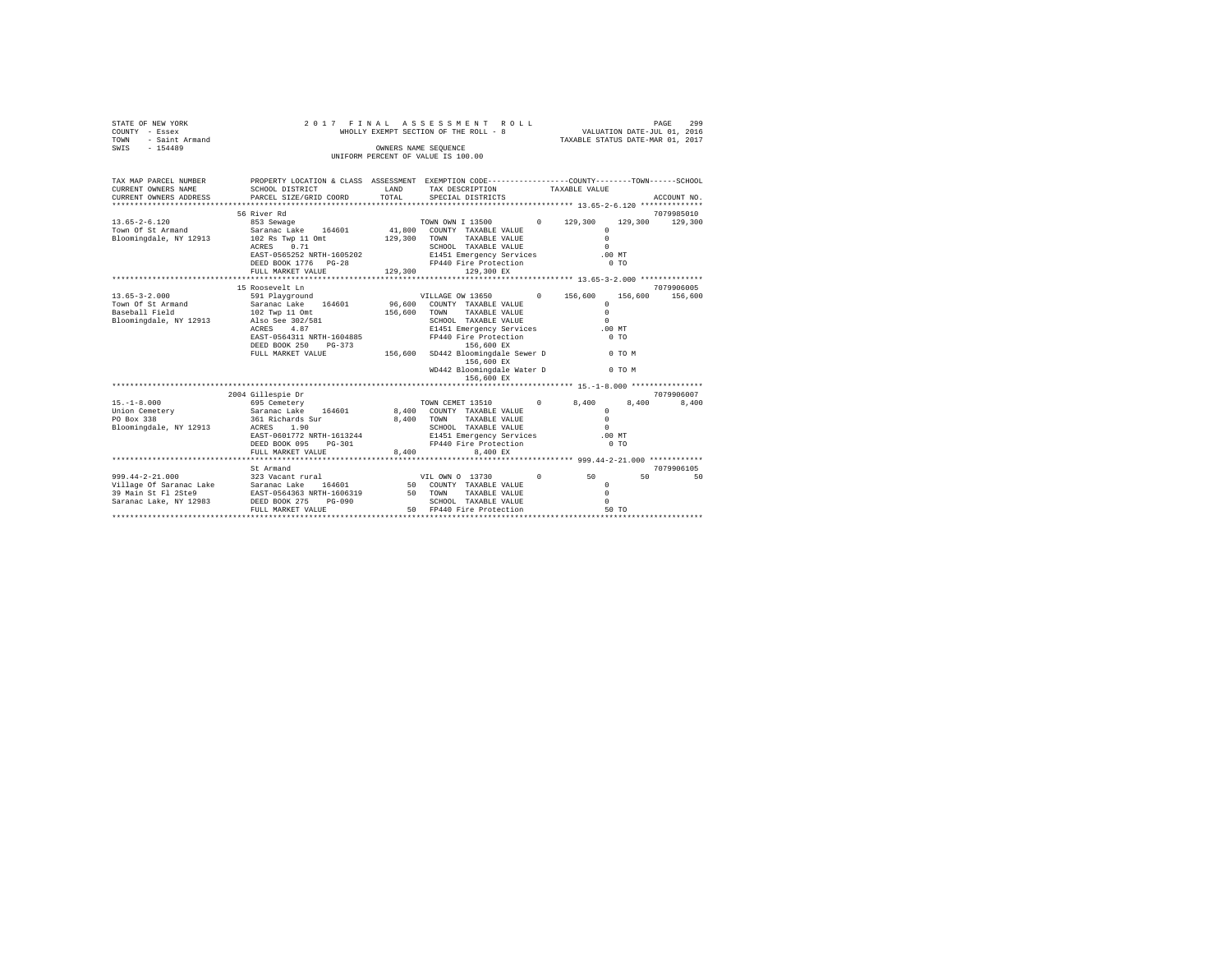| STATE OF NEW YORK<br>COUNTY - Essex<br>- Saint Armand<br>TOWN<br>SWIS<br>$-154489$                                                              | 2017 FINAL<br>WHOLLY EXEMPT SECTION OF THE ROLL - 8<br>UNIFORM PERCENT OF VALUE IS 100.00                                                                                                                        | ROLL               | PAGE 299<br>VALUATION DATE-JUL 01, 2016<br>TAXABLE STATUS DATE-MAR 01, 2017                                                                                                                     |                  |                                                                         |                       |
|-------------------------------------------------------------------------------------------------------------------------------------------------|------------------------------------------------------------------------------------------------------------------------------------------------------------------------------------------------------------------|--------------------|-------------------------------------------------------------------------------------------------------------------------------------------------------------------------------------------------|------------------|-------------------------------------------------------------------------|-----------------------|
| TAX MAP PARCEL NUMBER<br>CURRENT OWNERS NAME<br>CURRENT OWNERS ADDRESS                                                                          | PROPERTY LOCATION & CLASS ASSESSMENT EXEMPTION CODE---------------COUNTY-------TOWN------SCHOOL<br>SCHOOL DISTRICT<br>PARCEL SIZE/GRID COORD                                                                     | LAND<br>TOTAL      | TAX DESCRIPTION<br>SPECIAL DISTRICTS                                                                                                                                                            | TAXABLE VALUE    |                                                                         | ACCOUNT NO.           |
|                                                                                                                                                 |                                                                                                                                                                                                                  |                    |                                                                                                                                                                                                 |                  |                                                                         |                       |
| $13.65 - 2 - 6.120$<br>Town Of St Armand<br>Bloomingdale, NY 12913                                                                              | 56 River Rd<br>853 Sewage<br>Saranac Lake 164601<br>102 Rs Twp 11 Omt                                                                                                                                            | 129,300            | TOWN OWN I 13500<br>41,800 COUNTY TAXABLE VALUE<br>TOWN<br>TAXABLE VALUE                                                                                                                        | $0 \t 129,300$   | 129,300<br>$\Omega$<br>$\Omega$<br>$\Omega$                             | 7079985010<br>129,300 |
|                                                                                                                                                 | 0.71<br>ACRES<br>EAST-0565252 NRTH-1605202<br>DEED BOOK 1776 PG-28<br>FULL MARKET VALUE                                                                                                                          | 129,300            | SCHOOL TAXABLE VALUE<br>E1451 Emergency Services<br>FP440 Fire Protection<br>129,300 EX                                                                                                         |                  | .00MT<br>0.70                                                           |                       |
|                                                                                                                                                 |                                                                                                                                                                                                                  |                    |                                                                                                                                                                                                 |                  |                                                                         |                       |
| $13.65 - 3 - 2.000$<br>Town Of St Armand<br>Baseball Field<br>Bloomingdale, NY 12913                                                            | 15 Roosevelt Ln<br>591 Playground VILLAGE OW 13650<br>164601<br>Saranac Lake<br>102 Twp 11 Omt<br>Also See 302/581<br>4.87<br>ACRES<br>EAST-0564311 NRTH-1604885<br>DEED BOOK 250<br>PG-373<br>FULL MARKET VALUE | 156,600<br>156,600 | 96,600 COUNTY TAXABLE VALUE<br>TOWN TAXABLE VALUE<br>SCHOOL TAXABLE VALUE<br>E1451 Emergency Services<br>FP440 Fire Protection<br>156,600 EX<br>SD442 Bloomingdale Sewer D 0 TO M<br>156,600 EX | 0 156,600        | 156,600<br>$\Omega$<br>$\Omega$<br>$\Omega$<br>.00MT<br>0 <sub>T</sub>  | 7079906005<br>156,600 |
|                                                                                                                                                 |                                                                                                                                                                                                                  |                    | WD442 Bloomingdale Water D<br>156,600 EX                                                                                                                                                        |                  | 0 TO M                                                                  |                       |
|                                                                                                                                                 |                                                                                                                                                                                                                  |                    |                                                                                                                                                                                                 |                  |                                                                         |                       |
| $15. - 1 - 8.000$<br>Union Cemetery<br>PO Box 338<br>Bloomingdale, NY 12913                                                                     | 2004 Gillespie Dr<br>695 Cemetery<br>Saranac Lake 164601<br>361 Richards Sur<br>ACRES 1.90<br>EAST-0601772 NRTH-1613244<br>DEED BOOK 095<br>$PG-301$                                                             | 8,400              | TOWN CEMET 13510 0<br>8,400 COUNTY TAXABLE VALUE<br>TOWN<br>TAXABLE VALUE<br>SCHOOL TAXABLE VALUE<br>E1451 Emergency Services<br>FP440 Fire Protection                                          | 8,400            | 8.400<br>$\Omega$<br>$\Omega$<br>$\Omega$<br>$.00$ MT<br>0 <sub>T</sub> | 7079906007<br>8,400   |
|                                                                                                                                                 | FULL MARKET VALUE                                                                                                                                                                                                | 8.400              | 8.400 EX<br>*********************************** 999.44-2-21.000 ************                                                                                                                    |                  |                                                                         |                       |
| $999.44 - 2 - 21.000$<br>Village Of Saranac Lake Saranac Lake 164601<br>39 Main St Fl 2Ste9 EAST-0564363 NRTH-1606319<br>Saranac Lake, NY 12983 | St Armand<br>323 Vacant rural VIL OWN 0 13730<br>DEED BOOK 275<br>$PG-090$<br>FULL MARKET VALUE                                                                                                                  |                    | 50 COUNTY TAXABLE VALUE<br>50 TOWN TAXABLE VALUE<br>SCHOOL TAXABLE VALUE<br>SCHOOL TAXABLE VALUE<br>50 FP440 Fire Protection                                                                    | $^{\circ}$<br>50 | 50<br>$\Omega$<br>$\Omega$<br>$\Omega$<br>50 TO                         | 7079906105<br>50      |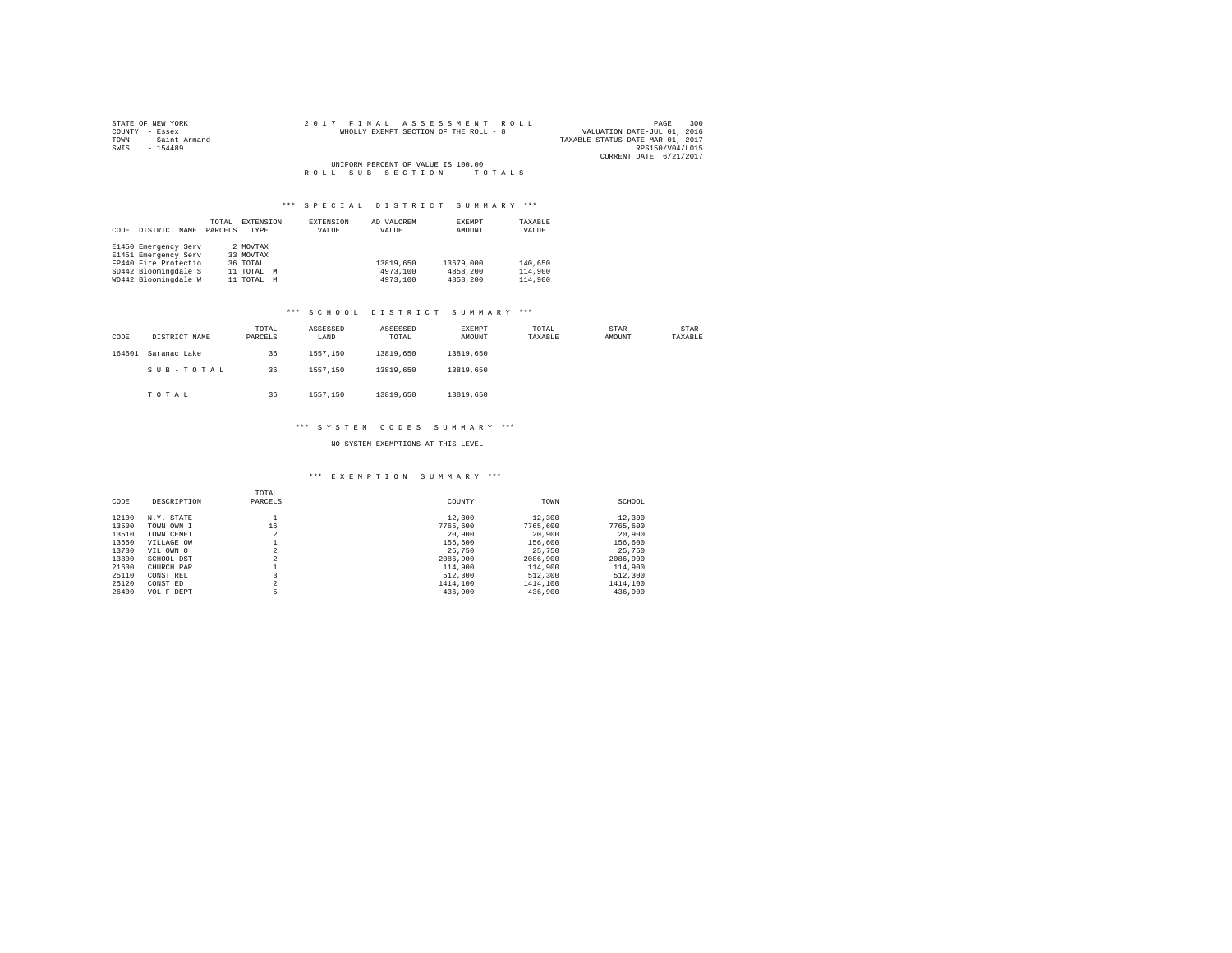| STATE OF NEW YORK   | 2017 FINAL ASSESSMENT ROLL            | 300<br>PAGE                      |
|---------------------|---------------------------------------|----------------------------------|
| COUNTY - Essex      | WHOLLY EXEMPT SECTION OF THE ROLL - 8 | VALUATION DATE-JUL 01, 2016      |
| TOWN - Saint Armand |                                       | TAXABLE STATUS DATE-MAR 01, 2017 |
| SWIS<br>$-154489$   |                                       | RPS150/V04/L015                  |
|                     |                                       | CURRENT DATE 6/21/2017           |
|                     | UNIFORM PERCENT OF VALUE IS 100.00    |                                  |
|                     | ROLL SUB SECTION- - TOTALS            |                                  |

| CODE | DISTRICT NAME        | TOTAL<br>PARCELS | EXTENSION<br>TYPE | EXTENSION<br>VALUE | AD VALOREM<br>VALUE | EXEMPT<br>AMOUNT | TAXABLE<br>VALUE |
|------|----------------------|------------------|-------------------|--------------------|---------------------|------------------|------------------|
|      | E1450 Emergency Serv |                  | 2 MOVTAX          |                    |                     |                  |                  |
|      | E1451 Emergency Serv |                  | 33 MOVTAX         |                    |                     |                  |                  |
|      | FP440 Fire Protectio |                  | 36 TOTAL          |                    | 13819,650           | 13679,000        | 140,650          |
|      | SD442 Bloomingdale S |                  | 11 TOTAL M        |                    | 4973,100            | 4858,200         | 114,900          |
|      | WD442 Bloomingdale W |                  | 11 TOTAL          | M                  | 4973,100            | 4858,200         | 114,900          |

## \*\*\* S C H O O L D I S T R I C T S U M M A R Y \*\*\*

| CODE   | DISTRICT NAME | TOTAL<br>PARCELS | ASSESSED<br>LAND | ASSESSED<br>TOTAL | EXEMPT<br>AMOUNT | TOTAL<br>TAXABLE | STAR<br>AMOUNT | STAR<br>TAXABLE |
|--------|---------------|------------------|------------------|-------------------|------------------|------------------|----------------|-----------------|
| 164601 | Saranac Lake  | 36               | 1557.150         | 13819,650         | 13819,650        |                  |                |                 |
|        | SUB-TOTAL     | 36               | 1557.150         | 13819,650         | 13819,650        |                  |                |                 |
|        | TOTAL         | 36               | 1557.150         | 13819,650         | 13819,650        |                  |                |                 |

## \*\*\* S Y S T E M C O D E S S U M M A R Y \*\*\*

## NO SYSTEM EXEMPTIONS AT THIS LEVEL

## \*\*\* E X E M P T I O N S U M M A R Y \*\*\*

| CODE  | DESCRIPTION | TOTAL<br>PARCELS    | COUNTY   | TOWN     | SCHOOL   |
|-------|-------------|---------------------|----------|----------|----------|
| 12100 | N.Y. STATE  |                     | 12,300   | 12,300   | 12,300   |
| 13500 | TOWN OWN I  | 16                  | 7765,600 | 7765,600 | 7765.600 |
| 13510 | TOWN CEMET  | o<br>۷              | 20,900   | 20,900   | 20,900   |
| 13650 | VILLAGE OW  |                     | 156,600  | 156,600  | 156,600  |
| 13730 | VIL OWN O   | n                   | 25,750   | 25,750   | 25,750   |
| 13800 | SCHOOL DST  | $\sim$              | 2086,900 | 2086,900 | 2086,900 |
| 21600 | CHURCH PAR  |                     | 114,900  | 114,900  | 114,900  |
| 25110 | CONST REL   |                     | 512,300  | 512,300  | 512,300  |
| 25120 | CONST ED    | $\hat{\phantom{a}}$ | 1414,100 | 1414,100 | 1414,100 |
| 26400 | VOL F DEPT  | 5                   | 436,900  | 436,900  | 436,900  |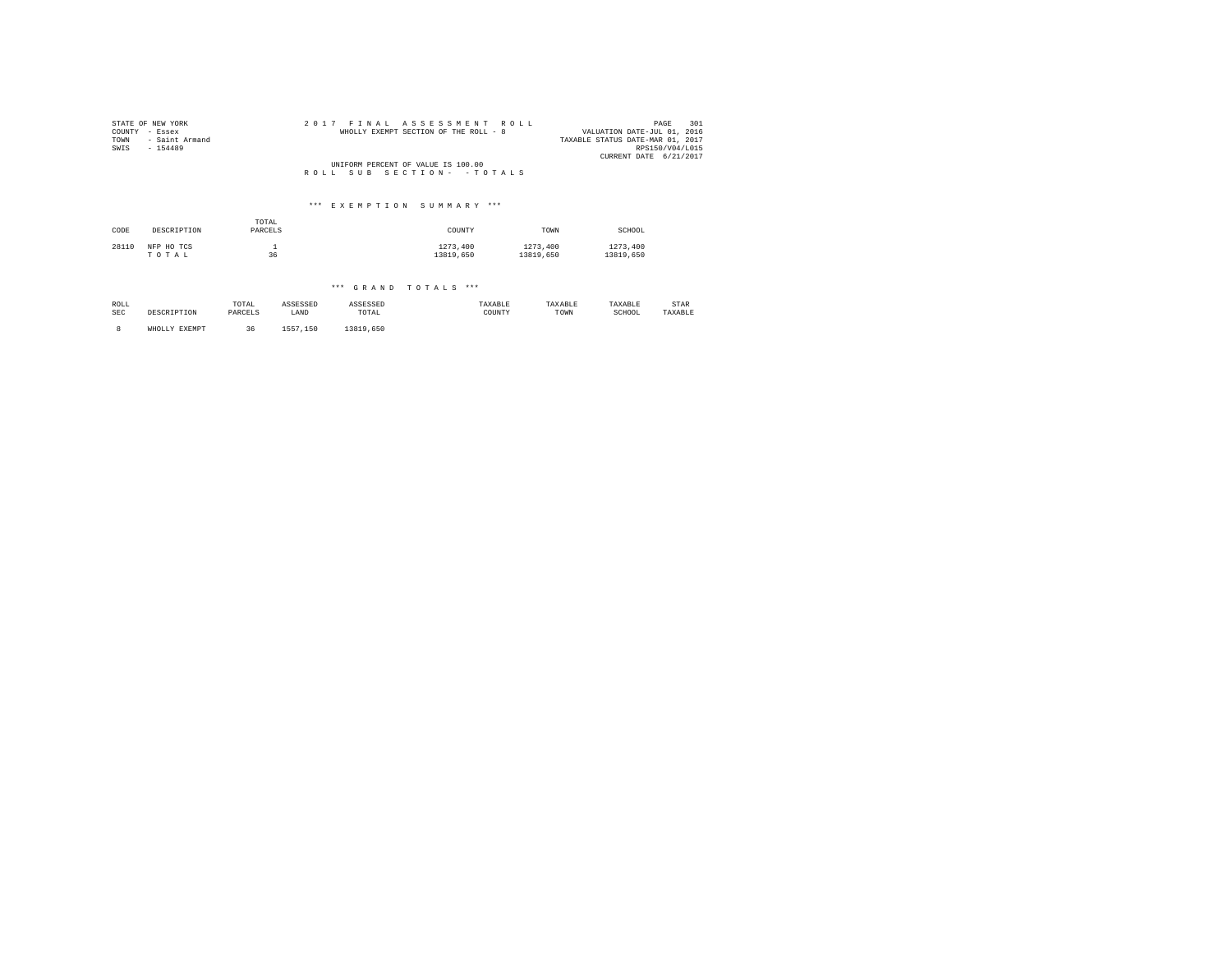| COUNTY<br>TOWN<br>SWIS | STATE OF NEW YORK<br>- Essex<br>- Saint Armand<br>$-154489$ |              | 2 0 1 7  | FTNAL    | ASSESSMENT<br>WHOLLY EXEMPT SECTION OF THE ROLL - 8 | R O L L |           | PAGE<br>VALUATION DATE-JUL 01, 2016<br>TAXABLE STATUS DATE-MAR 01, 2017<br>RPS150/V04/L015<br>CURRENT DATE 6/21/2017 | 301 |
|------------------------|-------------------------------------------------------------|--------------|----------|----------|-----------------------------------------------------|---------|-----------|----------------------------------------------------------------------------------------------------------------------|-----|
|                        |                                                             |              |          |          | UNIFORM PERCENT OF VALUE IS 100.00                  |         |           |                                                                                                                      |     |
|                        |                                                             |              | ROLL.    | SUB      | SECTION- - TOTALS                                   |         |           |                                                                                                                      |     |
|                        |                                                             |              |          |          |                                                     |         |           |                                                                                                                      |     |
|                        |                                                             |              |          |          | *** EXEMPTION SUMMARY ***                           |         |           |                                                                                                                      |     |
|                        |                                                             | TOTAL        |          |          |                                                     |         |           |                                                                                                                      |     |
| CODE                   | DESCRIPTION                                                 | PARCELS      |          |          | COUNTY                                              |         | TOWN      | SCHOOL                                                                                                               |     |
| 28110                  | NFP HO TCS                                                  | $\mathbf{1}$ |          |          | 1273,400                                            |         | 1273,400  | 1273,400                                                                                                             |     |
|                        | TOTAL                                                       | 36           |          |          | 13819,650                                           |         | 13819,650 | 13819,650                                                                                                            |     |
|                        |                                                             |              |          |          |                                                     |         |           |                                                                                                                      |     |
|                        |                                                             |              |          |          | *** GRAND TOTALS ***                                |         |           |                                                                                                                      |     |
| ROLL                   |                                                             | TOTAL        | ASSESSED | ASSESSED |                                                     | TAXABLE | TAXABLE   | TAXABLE<br>STAR                                                                                                      |     |
| <b>SEC</b>             | DESCRIPTION                                                 | PARCELS      | LAND     | TOTAL    |                                                     | COUNTY  | TOWN      | SCHOOL<br>TAXABLE                                                                                                    |     |

8 WHOLLY EXEMPT 36 1557,150 13819,650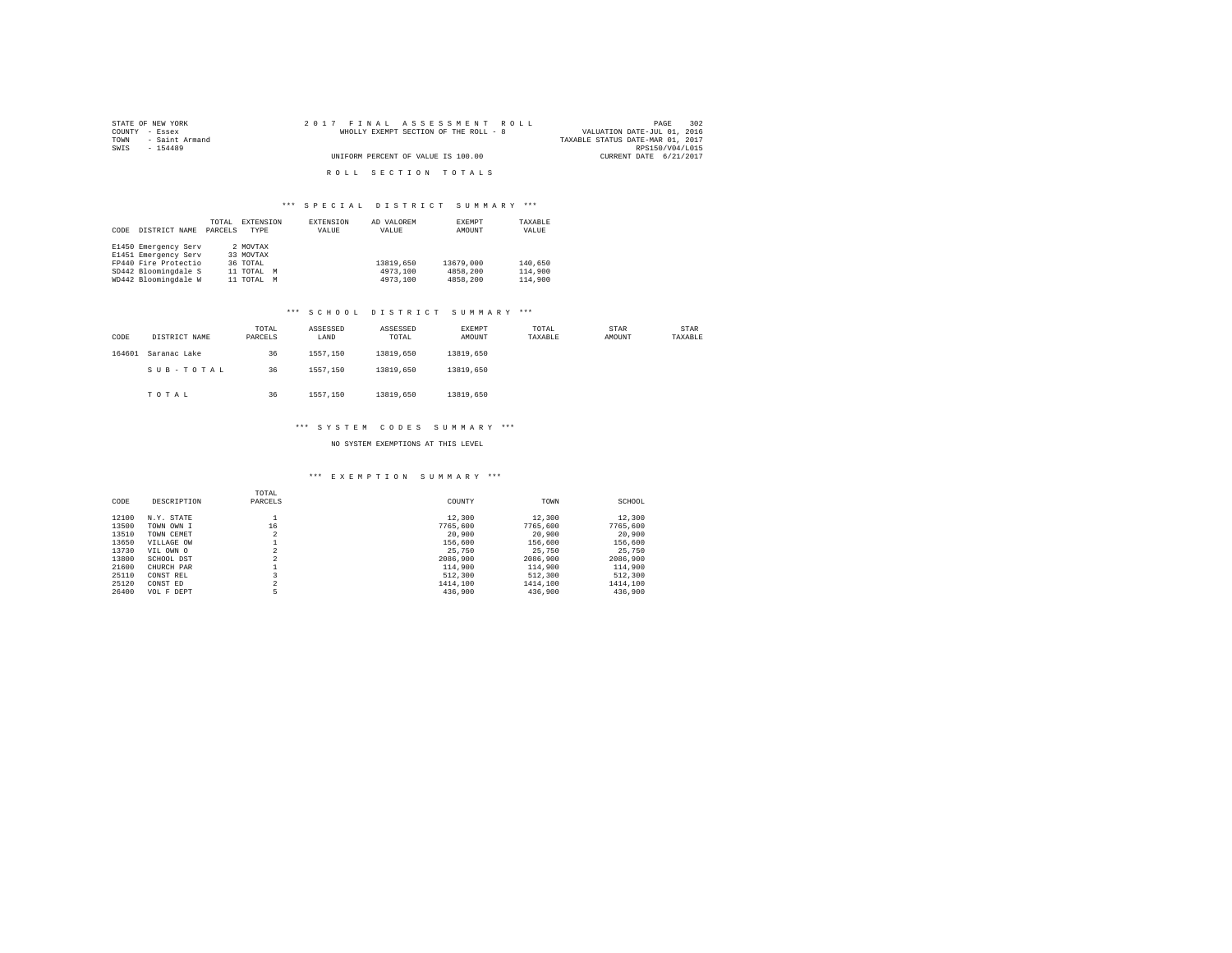| STATE OF NEW YORK   | 2017 FINAL ASSESSMENT ROLL            | 302<br>PAGE                      |
|---------------------|---------------------------------------|----------------------------------|
| COUNTY - Essex      | WHOLLY EXEMPT SECTION OF THE ROLL - 8 | VALUATION DATE-JUL 01, 2016      |
| TOWN - Saint Armand |                                       | TAXABLE STATUS DATE-MAR 01, 2017 |
| SWTS<br>$-154489$   |                                       | RPS150/V04/L015                  |
|                     | UNIFORM PERCENT OF VALUE IS 100.00    | CURRENT DATE 6/21/2017           |
|                     |                                       |                                  |
|                     | ROLL SECTION TOTALS                   |                                  |

|      |                      | TOTAL   | EXTENSION   |   | <b>EXTENSION</b> | AD VALOREM | EXEMPT    | TAXABLE |
|------|----------------------|---------|-------------|---|------------------|------------|-----------|---------|
| CODE | DISTRICT NAME        | PARCELS | <b>TYPE</b> |   | VALUE            | VALUE      | AMOUNT    | VALUE   |
|      |                      |         |             |   |                  |            |           |         |
|      | E1450 Emergency Serv |         | 2 MOVTAX    |   |                  |            |           |         |
|      | E1451 Emergency Serv |         | 33 MOVTAX   |   |                  |            |           |         |
|      | FP440 Fire Protectio |         | 36 TOTAL    |   |                  | 13819,650  | 13679,000 | 140,650 |
|      | SD442 Bloomingdale S |         | 11 TOTAL M  |   |                  | 4973,100   | 4858,200  | 114,900 |
|      | WD442 Bloomingdale W |         | 11 TOTAL    | M |                  | 4973,100   | 4858,200  | 114,900 |

## \*\*\* S C H O O L D I S T R I C T S U M M A R Y \*\*\*

| CODE   | DISTRICT NAME | TOTAL<br>PARCELS | ASSESSED<br>LAND | ASSESSED<br>TOTAL | <b>EXEMPT</b><br>AMOUNT | TOTAL<br>TAXABLE | STAR<br>AMOUNT | STAR<br>TAXABLE |
|--------|---------------|------------------|------------------|-------------------|-------------------------|------------------|----------------|-----------------|
| 164601 | Saranac Lake  | 36               | 1557.150         | 13819,650         | 13819,650               |                  |                |                 |
|        | SUB-TOTAL     | 36               | 1557.150         | 13819,650         | 13819,650               |                  |                |                 |
|        | TOTAL         | 36               | 1557.150         | 13819,650         | 13819,650               |                  |                |                 |

#### \*\*\* S Y S T E M C O D E S S U M M A R Y \*\*\*

## NO SYSTEM EXEMPTIONS AT THIS LEVEL

#### \*\*\* E X E M P T I O N S U M M A R Y \*\*\*

| CODE  | DESCRIPTION | TOTAL<br>PARCELS    | COUNTY   | TOWN     | SCHOOL   |
|-------|-------------|---------------------|----------|----------|----------|
| 12100 | N.Y. STATE  |                     | 12,300   | 12,300   | 12,300   |
| 13500 | TOWN OWN I  | 16                  | 7765,600 | 7765,600 | 7765.600 |
| 13510 | TOWN CEMET  | o<br>۷              | 20,900   | 20,900   | 20,900   |
| 13650 | VILLAGE OW  |                     | 156,600  | 156,600  | 156,600  |
| 13730 | VIL OWN O   | n                   | 25,750   | 25,750   | 25,750   |
| 13800 | SCHOOL DST  | $\sim$              | 2086,900 | 2086,900 | 2086,900 |
| 21600 | CHURCH PAR  |                     | 114,900  | 114,900  | 114,900  |
| 25110 | CONST REL   |                     | 512,300  | 512,300  | 512,300  |
| 25120 | CONST ED    | $\hat{\phantom{a}}$ | 1414,100 | 1414,100 | 1414,100 |
| 26400 | VOL F DEPT  | 5                   | 436,900  | 436,900  | 436,900  |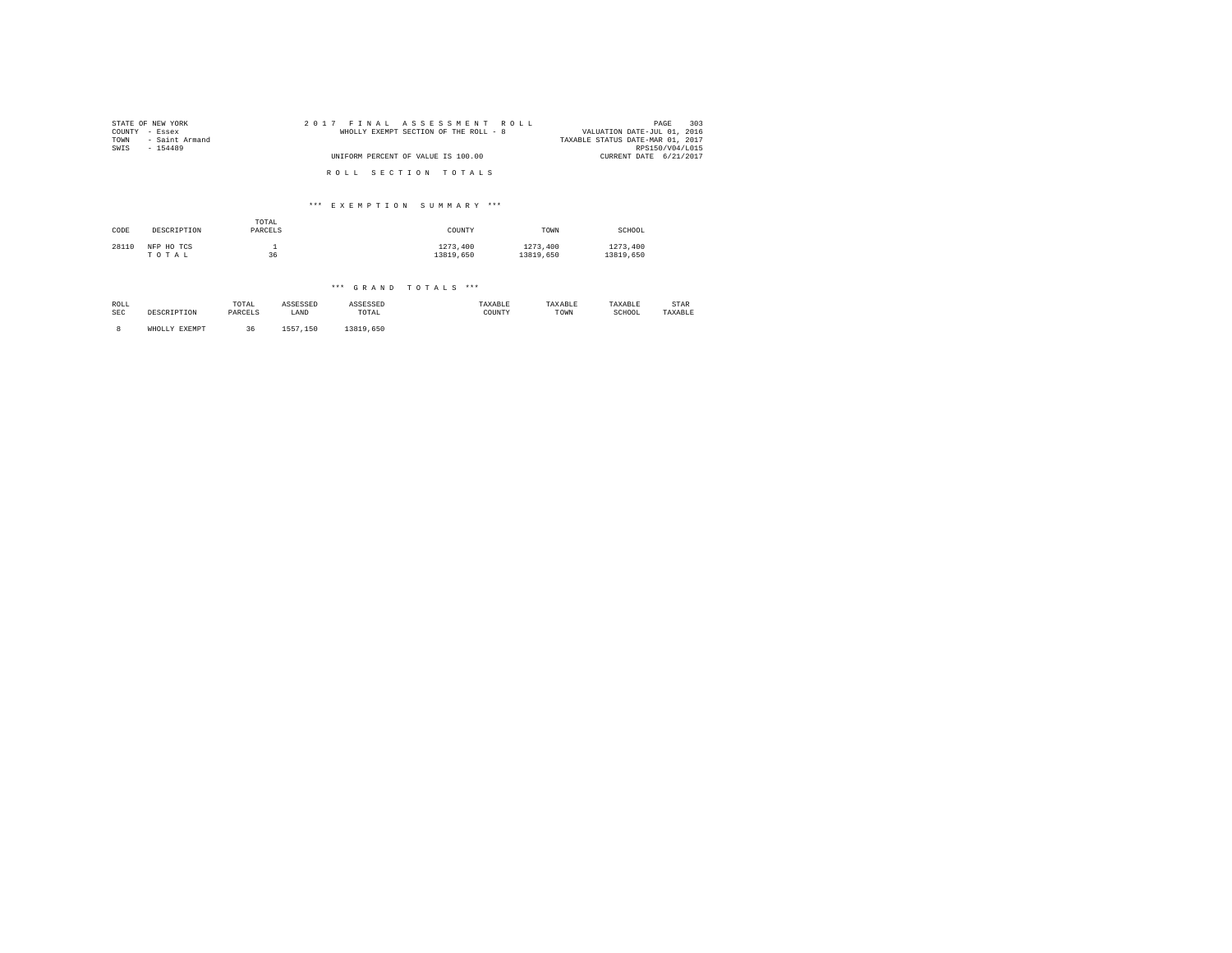| COUNTY<br>TOWN<br>SWIS | STATE OF NEW YORK<br>- Essex<br>- Saint Armand<br>$-154489$ |              | 2017 FINAL<br>WHOLLY EXEMPT SECTION OF THE ROLL - 8 | ASSESSMENT ROLL |           | PAGE<br>VALUATION DATE-JUL 01, 2016<br>TAXABLE STATUS DATE-MAR 01, 2017<br>RPS150/V04/L015 | 303 |
|------------------------|-------------------------------------------------------------|--------------|-----------------------------------------------------|-----------------|-----------|--------------------------------------------------------------------------------------------|-----|
|                        |                                                             |              | UNIFORM PERCENT OF VALUE IS 100.00                  |                 |           | CURRENT DATE 6/21/2017                                                                     |     |
|                        |                                                             |              | ROLL SECTION TOTALS                                 |                 |           |                                                                                            |     |
|                        |                                                             |              | *** EXEMPTION SUMMARY ***                           |                 |           |                                                                                            |     |
|                        |                                                             | TOTAL        |                                                     |                 |           |                                                                                            |     |
| CODE                   | DESCRIPTION                                                 | PARCELS      |                                                     | COUNTY          | TOWN      | SCHOOL                                                                                     |     |
| 28110                  | NFP HO TCS                                                  | $\mathbf{1}$ |                                                     | 1273,400        | 1273,400  | 1273,400                                                                                   |     |
|                        | TOTAL                                                       | 36           |                                                     | 13819,650       | 13819,650 | 13819,650                                                                                  |     |
|                        |                                                             |              |                                                     |                 |           |                                                                                            |     |
|                        |                                                             |              | *** GRAND TOTALS ***                                |                 |           |                                                                                            |     |

| ROLL | DESCRIPTION   | TOTAL   | ASSESSED | ASSESSED  | TAXABLE | TAXABLE | TAXABLE | STAR    |
|------|---------------|---------|----------|-----------|---------|---------|---------|---------|
| SEC  |               | PARCELS | LAND     | TOTAL     | COUNTY  | TOWN    | SCHOOL  | TAXABLE |
|      | WHOLLY EXEMPT | 36      | 1557.150 | 13819,650 |         |         |         |         |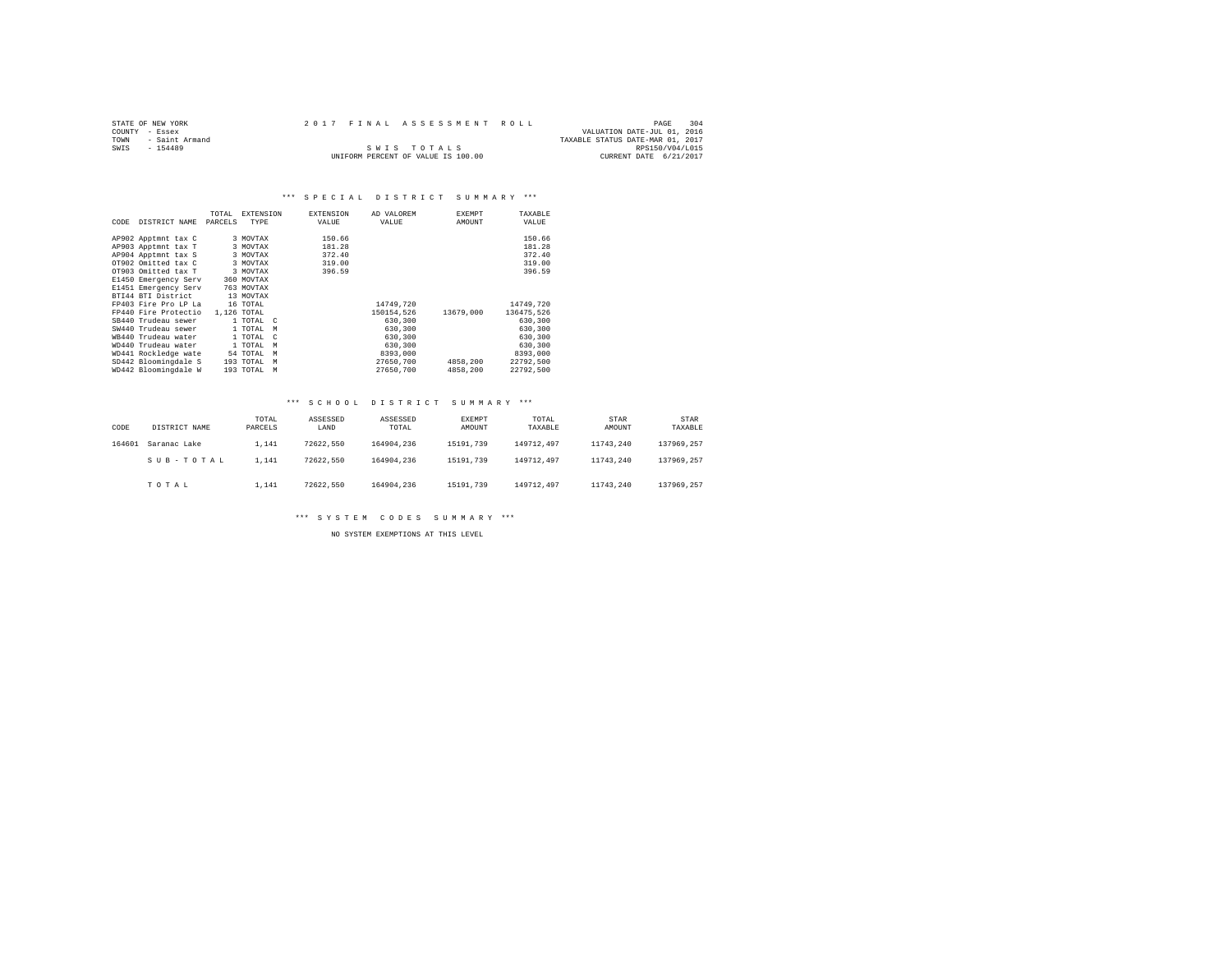| STATE OF NEW YORK |                |  | 2017 FINAL ASSESSMENT ROLL         |                                  | PAGE            | 304 |
|-------------------|----------------|--|------------------------------------|----------------------------------|-----------------|-----|
| COUNTY - Essex    |                |  |                                    | VALUATION DATE-JUL 01, 2016      |                 |     |
| TOWN              | - Saint Armand |  |                                    | TAXABLE STATUS DATE-MAR 01, 2017 |                 |     |
| SWTS<br>$-154489$ |                |  | SWIS TOTALS                        |                                  | RPS150/V04/L015 |     |
|                   |                |  | UNIFORM PERCENT OF VALUE IS 100.00 | CURRENT DATE 6/21/2017           |                 |     |

|      |                      | TOTAL   | <b>EXTENSION</b>         | <b>EXTENSION</b> | AD VALOREM | EXEMPT    | TAXABLE    |
|------|----------------------|---------|--------------------------|------------------|------------|-----------|------------|
| CODE | DISTRICT NAME        | PARCELS | TYPE                     | VALUE            | VALUE      | AMOUNT    | VALUE      |
|      |                      |         |                          |                  |            |           |            |
|      | AP902 Apptmnt tax C  |         | 3 MOVTAX                 | 150.66           |            |           | 150.66     |
|      | AP903 Apptmnt tax T  |         | 3 MOVTAX                 | 181.28           |            |           | 181.28     |
|      | AP904 Apptmnt tax S  |         | 3 MOVTAX                 | 372.40           |            |           | 372.40     |
|      | OT902 Omitted tax C  |         | 3 MOVTAX                 | 319.00           |            |           | 319.00     |
|      | OT903 Omitted tax T  |         | 3 MOVTAX                 | 396.59           |            |           | 396.59     |
|      | E1450 Emergency Serv |         | 360 MOVTAX               |                  |            |           |            |
|      | E1451 Emergency Serv |         | 763 MOVTAX               |                  |            |           |            |
|      | BTI44 BTI District   |         | 13 MOVTAX                |                  |            |           |            |
|      | FP403 Fire Pro LP La |         | 16 TOTAL                 |                  | 14749,720  |           | 14749,720  |
|      | FP440 Fire Protectio |         | 1,126 TOTAL              |                  | 150154.526 | 13679,000 | 136475.526 |
|      | SB440 Trudeau sewer  |         | 1 TOTAL C                |                  | 630,300    |           | 630,300    |
|      | SW440 Trudeau sewer  |         | 1 TOTAL<br>M             |                  | 630,300    |           | 630,300    |
|      | WB440 Trudeau water  |         | 1 TOTAL<br>$\mathcal{C}$ |                  | 630,300    |           | 630,300    |
|      | WD440 Trudeau water  |         | 1 TOTAL<br>M             |                  | 630,300    |           | 630,300    |
|      | WD441 Rockledge wate |         | 54 TOTAL<br>M            |                  | 8393,000   |           | 8393,000   |
|      | SD442 Bloomingdale S |         | 193 TOTAL<br>M           |                  | 27650.700  | 4858,200  | 22792.500  |
|      | WD442 Bloomingdale W |         | 193 TOTAL<br>M           |                  | 27650.700  | 4858,200  | 22792.500  |

## \*\*\* S C H O O L D I S T R I C T S U M M A R Y \*\*\*

| CODE   | DISTRICT NAME | TOTAL<br>PARCELS | ASSESSED<br>LAND | ASSESSED<br>TOTAL | <b>EXEMPT</b><br>AMOUNT | TOTAL<br>TAXABLE | <b>STAR</b><br>AMOUNT | STAR<br>TAXABLE |
|--------|---------------|------------------|------------------|-------------------|-------------------------|------------------|-----------------------|-----------------|
| 164601 | Saranac Lake  | 1.141            | 72622.550        | 164904.236        | 15191.739               | 149712.497       | 11743.240             | 137969.257      |
|        | SUB-TOTAL     | 1.141            | 72622.550        | 164904.236        | 15191.739               | 149712.497       | 11743.240             | 137969.257      |
|        | TOTAL         | 1.141            | 72622.550        | 164904.236        | 15191.739               | 149712.497       | 11743.240             | 137969.257      |

# \*\*\* S Y S T E M C O D E S S U M M A R Y \*\*\*

NO SYSTEM EXEMPTIONS AT THIS LEVEL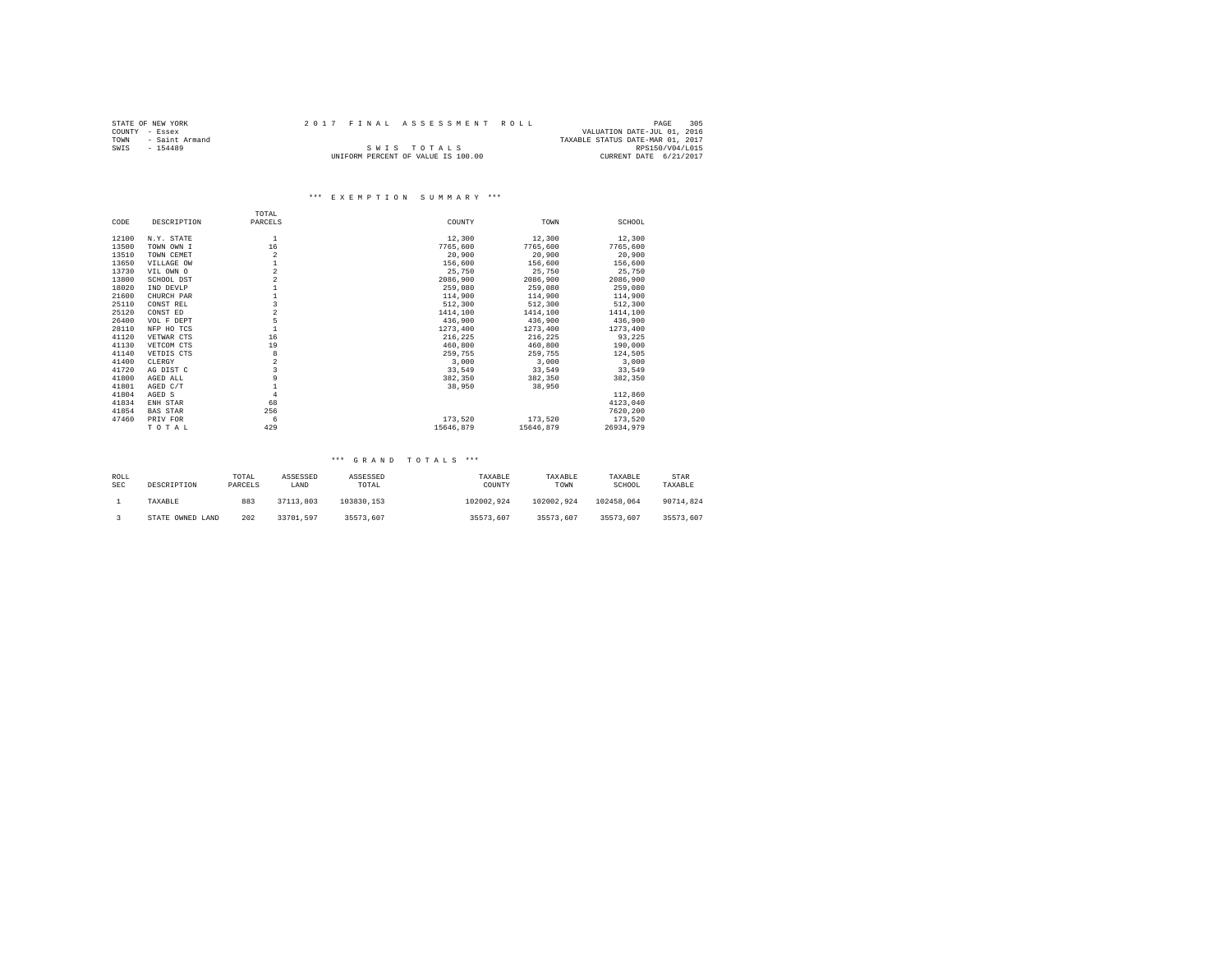| STATE OF NEW YORK |           |                |  | 2017 FINAL ASSESSMENT ROLL         |                                  | PAGE            | 305 |
|-------------------|-----------|----------------|--|------------------------------------|----------------------------------|-----------------|-----|
| COUNTY - Essex    |           |                |  |                                    | VALUATION DATE-JUL 01, 2016      |                 |     |
| TOWN              |           | - Saint Armand |  |                                    | TAXABLE STATUS DATE-MAR 01, 2017 |                 |     |
| SWIS              | $-154489$ |                |  | SWIS TOTALS                        |                                  | RPS150/V04/L015 |     |
|                   |           |                |  | UNIFORM PERCENT OF VALUE IS 100.00 | CURRENT DATE 6/21/2017           |                 |     |

# \*\*\* E X E M P T I O N S U M M A R Y \*\*\*

|       |                 | TOTAL                   |           |           |           |
|-------|-----------------|-------------------------|-----------|-----------|-----------|
| CODE  | DESCRIPTION     | PARCELS                 | COUNTY    | TOWN      | SCHOOL    |
| 12100 | N.Y. STATE      | 1                       | 12,300    | 12,300    | 12,300    |
| 13500 | TOWN OWN I      | 16                      | 7765,600  | 7765,600  | 7765,600  |
| 13510 | TOWN CEMET      | $\overline{2}$          | 20,900    | 20,900    | 20,900    |
| 13650 | VILLAGE OW      |                         | 156,600   | 156,600   | 156,600   |
| 13730 | VIL OWN O       | $\,2$                   | 25,750    | 25,750    | 25,750    |
| 13800 | SCHOOL DST      | $\,2$                   | 2086,900  | 2086,900  | 2086,900  |
| 18020 | IND DEVLP       |                         | 259,080   | 259,080   | 259,080   |
| 21600 | CHURCH PAR      |                         | 114,900   | 114,900   | 114,900   |
| 25110 | CONST REL       | $\overline{\mathbf{3}}$ | 512,300   | 512,300   | 512,300   |
| 25120 | CONST ED        | $\,2$                   | 1414,100  | 1414,100  | 1414,100  |
| 26400 | VOL F DEPT      | 5                       | 436,900   | 436,900   | 436,900   |
| 28110 | NFP HO TCS      | $\mathbf{1}$            | 1273,400  | 1273,400  | 1273,400  |
| 41120 | VETWAR CTS      | 16                      | 216,225   | 216.225   | 93.225    |
| 41130 | VETCOM CTS      | 19                      | 460,800   | 460,800   | 190,000   |
| 41140 | VETDIS CTS      | 8                       | 259.755   | 259,755   | 124,505   |
| 41400 | CLERGY          | $\overline{a}$          | 3,000     | 3,000     | 3,000     |
| 41720 | AG DIST C       | $\overline{\mathbf{3}}$ | 33,549    | 33,549    | 33,549    |
| 41800 | AGED ALL        | 9                       | 382,350   | 382,350   | 382,350   |
| 41801 | AGED C/T        | $\mathbf{1}$            | 38,950    | 38,950    |           |
| 41804 | AGED S          | $\overline{4}$          |           |           | 112,860   |
| 41834 | ENH STAR        | 68                      |           |           | 4123,040  |
| 41854 | <b>BAS STAR</b> | 256                     |           |           | 7620,200  |
| 47460 | PRIV FOR        | 6                       | 173.520   | 173.520   | 173,520   |
|       | TOTAL           | 429                     | 15646.879 | 15646.879 | 26934.979 |

| ROLL<br><b>SEC</b> | DESCRIPTION      | TOTAL<br>PARCELS | ASSESSED<br>LAND | ASSESSED<br>TOTAL | TAXABLE<br>COUNTY | TAXABLE<br>TOWN | TAXABLE<br>SCHOOL | STAR<br>TAXABLE |
|--------------------|------------------|------------------|------------------|-------------------|-------------------|-----------------|-------------------|-----------------|
|                    | TAXABLE          | 883              | 37113.803        | 103830.153        | 102002.924        | 102002.924      | 102458.064        | 90714.824       |
|                    | STATE OWNED LAND | 202              | 33701.597        | 35573.607         | 35573.607         | 35573.607       | 35573.607         | 35573.607       |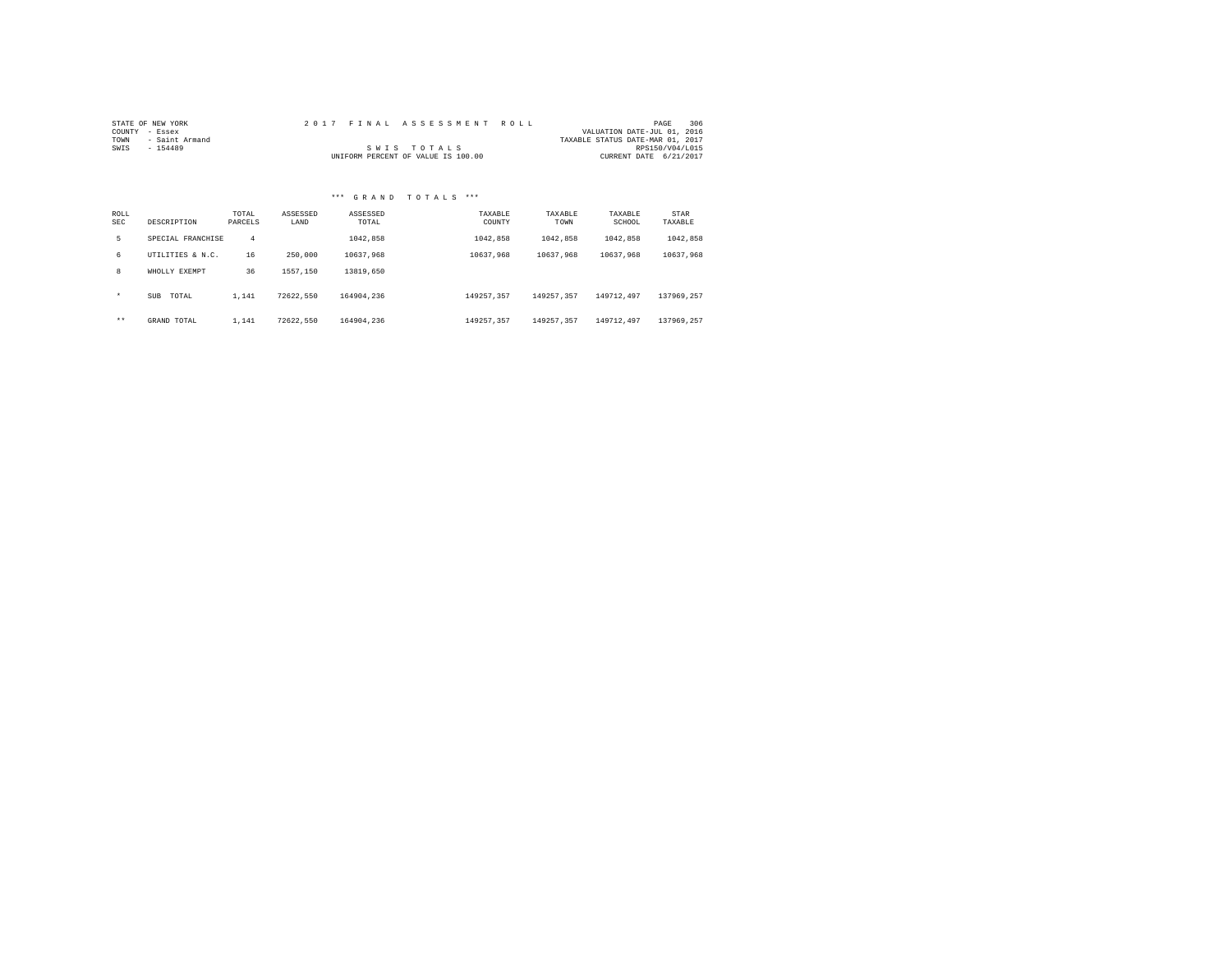| STATE OF NEW YORK |                |  | 2017 FINAL ASSESSMENT ROLL         |                                  | PAGE            | 306 |
|-------------------|----------------|--|------------------------------------|----------------------------------|-----------------|-----|
| COUNTY - Essex    |                |  |                                    | VALUATION DATE-JUL 01, 2016      |                 |     |
| TOWN              | - Saint Armand |  |                                    | TAXABLE STATUS DATE-MAR 01, 2017 |                 |     |
| SWIS              | $-154489$      |  | SWIS TOTALS                        |                                  | RPS150/V04/L015 |     |
|                   |                |  | UNIFORM PERCENT OF VALUE IS 100.00 | CURRENT DATE 6/21/2017           |                 |     |

| ROLL<br><b>SEC</b> | DESCRIPTION         | TOTAL<br>PARCELS | ASSESSED<br>LAND | ASSESSED<br>TOTAL | TAXABLE<br>COUNTY | TAXABLE<br>TOWN | TAXABLE<br>SCHOOL | STAR<br>TAXABLE |
|--------------------|---------------------|------------------|------------------|-------------------|-------------------|-----------------|-------------------|-----------------|
| 5.                 | SPECIAL FRANCHISE   | 4                |                  | 1042.858          | 1042.858          | 1042.858        | 1042.858          | 1042.858        |
| б.                 | HTTLITIES & N.C.    | 16               | 250,000          | 10637.968         | 10637.968         | 10637.968       | 10637.968         | 10637.968       |
| 8                  | WHOLLY EXEMPT       | 36               | 1557.150         | 13819,650         |                   |                 |                   |                 |
| $\star$            | <b>SUB</b><br>TOTAL | 1.141            | 72622.550        | 164904.236        | 149257.357        | 149257.357      | 149712.497        | 137969.257      |
| $***$              | GRAND TOTAL         | 1.141            | 72622.550        | 164904.236        | 149257.357        | 149257.357      | 149712.497        | 137969.257      |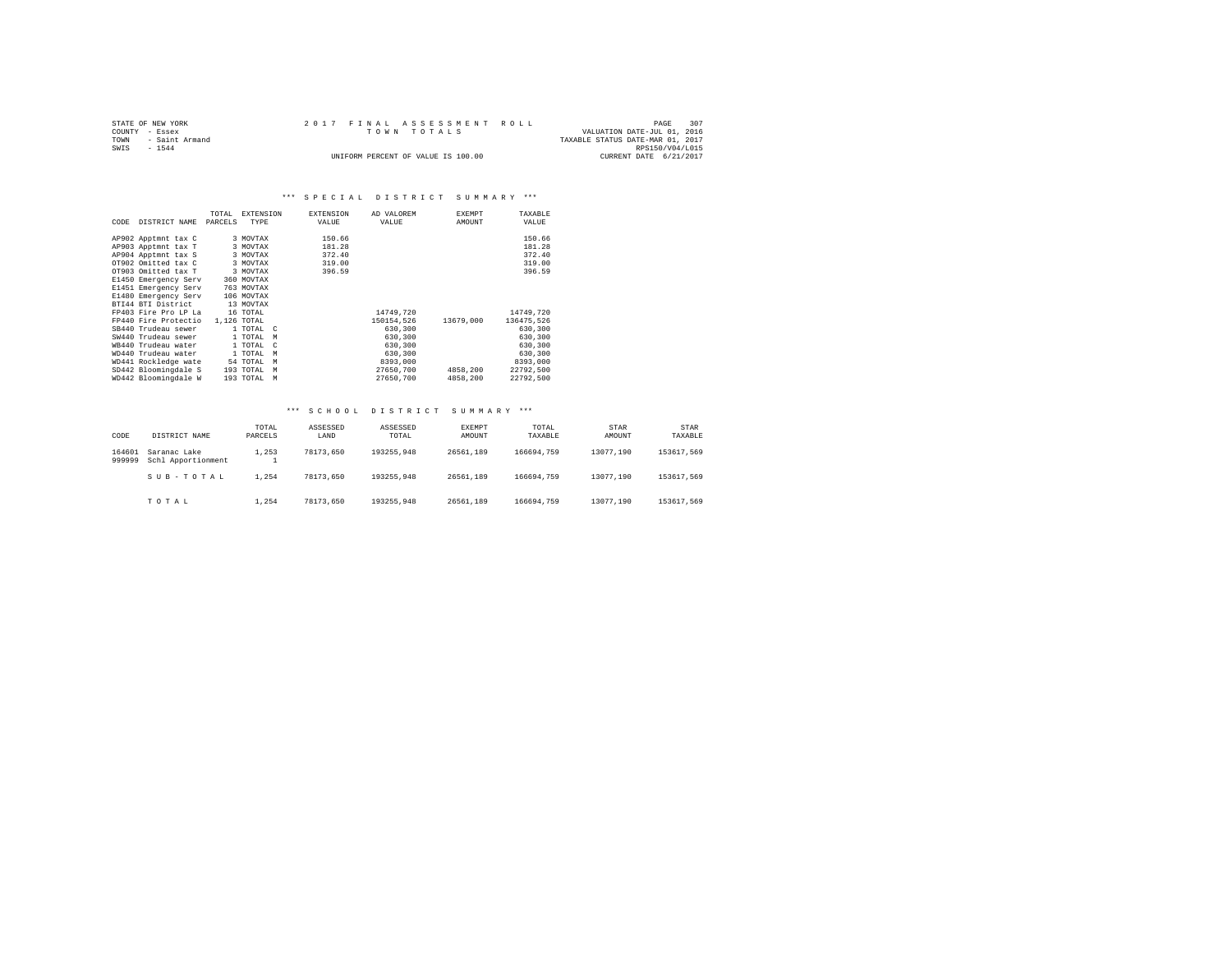| STATE OF NEW YORK   | 2017 FINAL ASSESSMENT ROLL         | 307<br>PAGE                      |
|---------------------|------------------------------------|----------------------------------|
| COUNTY - Essex      | TOWN TOTALS                        | VALUATION DATE-JUL 01, 2016      |
| TOWN - Saint Armand |                                    | TAXABLE STATUS DATE-MAR 01, 2017 |
| SWIS<br>$-1544$     |                                    | RPS150/V04/L015                  |
|                     | UNIFORM PERCENT OF VALUE IS 100.00 | CURRENT DATE 6/21/2017           |

|      |                      | TOTAL   | <b>EXTENSION</b>        | <b>EXTENSION</b> | AD VALOREM | <b>EXEMPT</b> | TAXABLE    |
|------|----------------------|---------|-------------------------|------------------|------------|---------------|------------|
| CODE | DISTRICT NAME        | PARCELS | TYPE                    | VALUE            | VALUE      | AMOUNT        | VALUE      |
|      |                      |         |                         |                  |            |               |            |
|      | AP902 Apptmnt tax C  |         | 3 MOVTAX                | 150.66           |            |               | 150.66     |
|      | AP903 Apptmnt tax T  |         | 3 MOVTAX                | 181.28           |            |               | 181.28     |
|      | AP904 Apptmnt tax S  |         | 3 MOVTAX                | 372.40           |            |               | 372.40     |
|      | OT902 Omitted tax C  |         | 3 MOVTAX                | 319.00           |            |               | 319.00     |
|      | OT903 Omitted tax T  |         | 3 MOVTAX                | 396.59           |            |               | 396.59     |
|      | E1450 Emergency Serv |         | 360 MOVTAX              |                  |            |               |            |
|      | E1451 Emergency Serv |         | 763 MOVTAX              |                  |            |               |            |
|      | E1480 Emergency Serv |         | 106 MOVTAX              |                  |            |               |            |
|      | BTI44 BTI District   |         | 13 MOVTAX               |                  |            |               |            |
|      | FP403 Fire Pro LP La |         | 16 TOTAL                |                  | 14749.720  |               | 14749.720  |
|      | FP440 Fire Protectio |         | 1,126 TOTAL             |                  | 150154.526 | 13679,000     | 136475.526 |
|      | SB440 Trudeau sewer  |         | 1 TOTAL C               |                  | 630,300    |               | 630,300    |
|      | SW440 Trudeau sewer  |         | 1 TOTAL<br>M            |                  | 630,300    |               | 630,300    |
|      | WB440 Trudeau water  |         | 1 TOTAL<br>$\mathbf{C}$ |                  | 630,300    |               | 630,300    |
|      | WD440 Trudeau water  |         | 1 TOTAL<br>M            |                  | 630,300    |               | 630,300    |
|      | WD441 Rockledge wate |         | 54 TOTAL<br>M           |                  | 8393,000   |               | 8393,000   |
|      | SD442 Bloomingdale S |         | 193 TOTAL<br>M          |                  | 27650.700  | 4858,200      | 22792.500  |
|      | WD442 Bloomingdale W |         | 193 TOTAL<br>M          |                  | 27650.700  | 4858,200      | 22792.500  |

#### \*\*\* S C H O O L D I S T R I C T S U M M A R Y \*\*\*

| CODE             | DISTRICT NAME                      | TOTAL<br>PARCELS | ASSESSED<br>LAND | ASSESSED<br>TOTAL | EXEMPT<br>AMOUNT | TOTAL<br>TAXABLE | STAR<br>AMOUNT | STAR<br>TAXABLE |
|------------------|------------------------------------|------------------|------------------|-------------------|------------------|------------------|----------------|-----------------|
| 164601<br>999999 | Saranac Lake<br>Schl Apportionment | 1.253<br>÷       | 78173.650        | 193255,948        | 26561,189        | 166694.759       | 13077.190      | 153617.569      |
|                  | SUB-TOTAL                          | 1.254            | 78173.650        | 193255.948        | 26561.189        | 166694.759       | 13077.190      | 153617.569      |
|                  | TOTAL                              | 1.254            | 78173.650        | 193255.948        | 26561.189        | 166694.759       | 13077.190      | 153617.569      |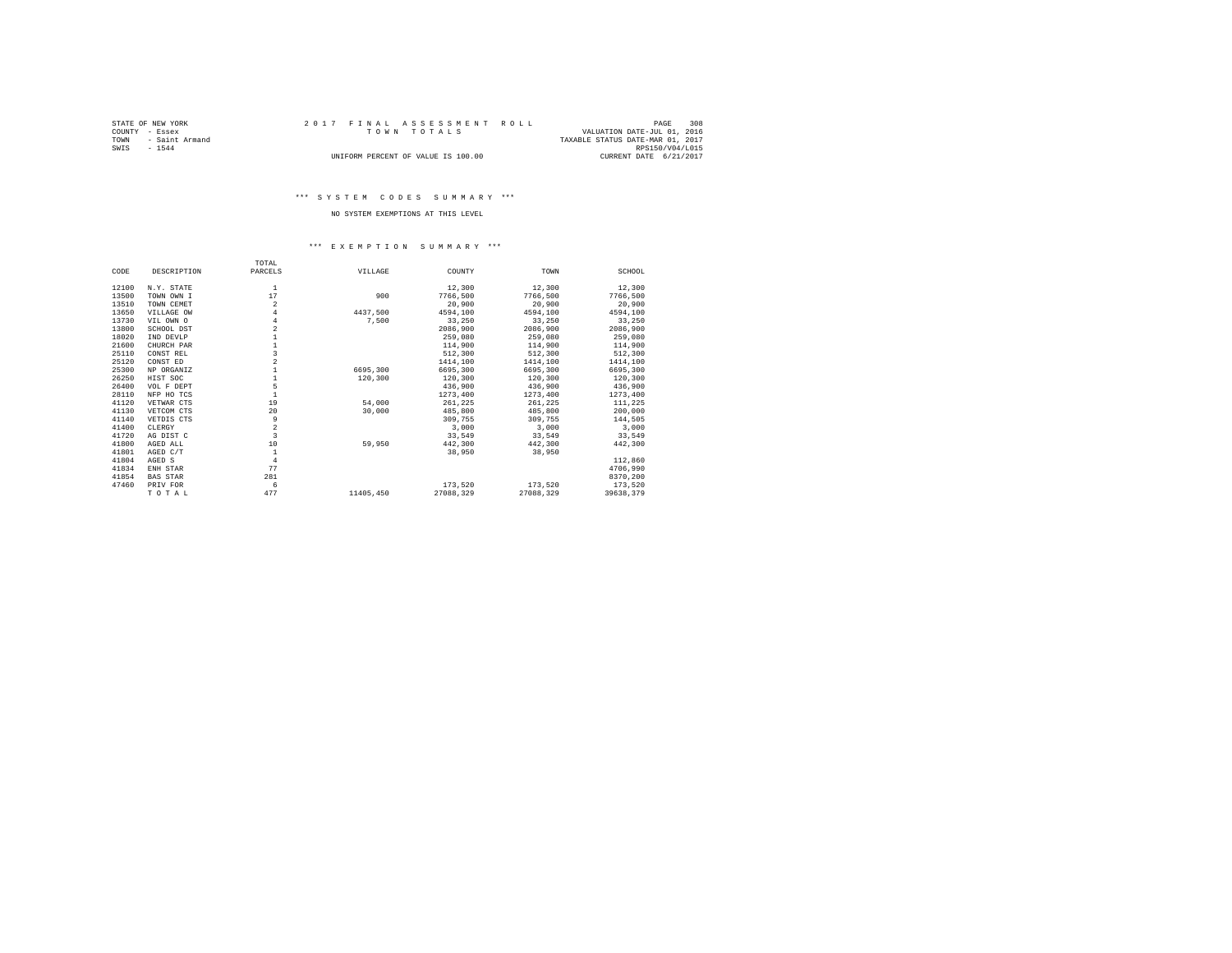| STATE OF NEW YORK   |  | 2017 FINAL ASSESSMENT ROLL         | PAGE                             | 308 |
|---------------------|--|------------------------------------|----------------------------------|-----|
| COUNTY - Essex      |  | TOWN TOTALS                        | VALUATION DATE-JUL 01, 2016      |     |
| TOWN - Saint Armand |  |                                    | TAXABLE STATUS DATE-MAR 01, 2017 |     |
| SWIS<br>$-1544$     |  |                                    | RPS150/V04/L015                  |     |
|                     |  | UNIFORM PERCENT OF VALUE IS 100.00 | CURRENT DATE 6/21/2017           |     |

# \*\*\* S Y S T E M C O D E S S U M M A R Y \*\*\*

# NO SYSTEM EXEMPTIONS AT THIS LEVEL

#### \*\*\* E X E M P T I O N S U M M A R Y \*\*\*

|       |                 | TOTAL                   |           |           |           |           |
|-------|-----------------|-------------------------|-----------|-----------|-----------|-----------|
| CODE  | DESCRIPTION     | PARCELS                 | VILLAGE   | COUNTY    | TOWN      | SCHOOL    |
| 12100 | N.Y. STATE      | $\mathbf{1}$            |           | 12,300    | 12,300    | 12,300    |
| 13500 | TOWN OWN I      | 17                      | 900       | 7766.500  | 7766,500  | 7766,500  |
| 13510 | TOWN CEMET      | $\overline{2}$          |           | 20,900    | 20,900    | 20,900    |
| 13650 | VILLAGE OW      | 4                       | 4437.500  | 4594,100  | 4594,100  | 4594.100  |
| 13730 | VIL OWN O       | $\overline{4}$          | 7.500     | 33,250    | 33,250    | 33,250    |
| 13800 | SCHOOL DST      |                         |           | 2086.900  | 2086,900  | 2086,900  |
| 18020 | IND DEVLP       |                         |           | 259,080   | 259,080   | 259,080   |
| 21600 | CHURCH PAR      |                         |           | 114,900   | 114,900   | 114,900   |
| 25110 | CONST REL       | 3                       |           | 512,300   | 512,300   | 512,300   |
| 25120 | CONST ED        | $\overline{a}$          |           | 1414,100  | 1414,100  | 1414,100  |
| 25300 | NP ORGANIZ      |                         | 6695,300  | 6695,300  | 6695,300  | 6695,300  |
| 26250 | HIST SOC        |                         | 120,300   | 120,300   | 120,300   | 120,300   |
| 26400 | VOL F DEPT      | 5                       |           | 436,900   | 436,900   | 436,900   |
| 28110 | NFP HO TCS      | $\mathbf{1}$            |           | 1273,400  | 1273,400  | 1273,400  |
| 41120 | VETWAR CTS      | 19                      | 54,000    | 261.225   | 261.225   | 111.225   |
| 41130 | VETCOM CTS      | 20                      | 30,000    | 485,800   | 485,800   | 200,000   |
| 41140 | VETDIS CTS      | 9                       |           | 309,755   | 309,755   | 144,505   |
| 41400 | CLERGY          | $\overline{\mathbf{2}}$ |           | 3,000     | 3,000     | 3,000     |
| 41720 | AG DIST C       | 3                       |           | 33,549    | 33,549    | 33,549    |
| 41800 | AGED ALL        | 10                      | 59,950    | 442,300   | 442,300   | 442,300   |
| 41801 | AGED C/T        | $\mathbf{1}$            |           | 38,950    | 38,950    |           |
| 41804 | AGED S          | 4                       |           |           |           | 112,860   |
| 41834 | ENH STAR        | 77                      |           |           |           | 4706.990  |
| 41854 | <b>BAS STAR</b> | 281                     |           |           |           | 8370.200  |
| 47460 | PRIV FOR        | 6                       |           | 173.520   | 173.520   | 173.520   |
|       | TOTAL           | 477                     | 11405,450 | 27088.329 | 27088.329 | 39638.379 |